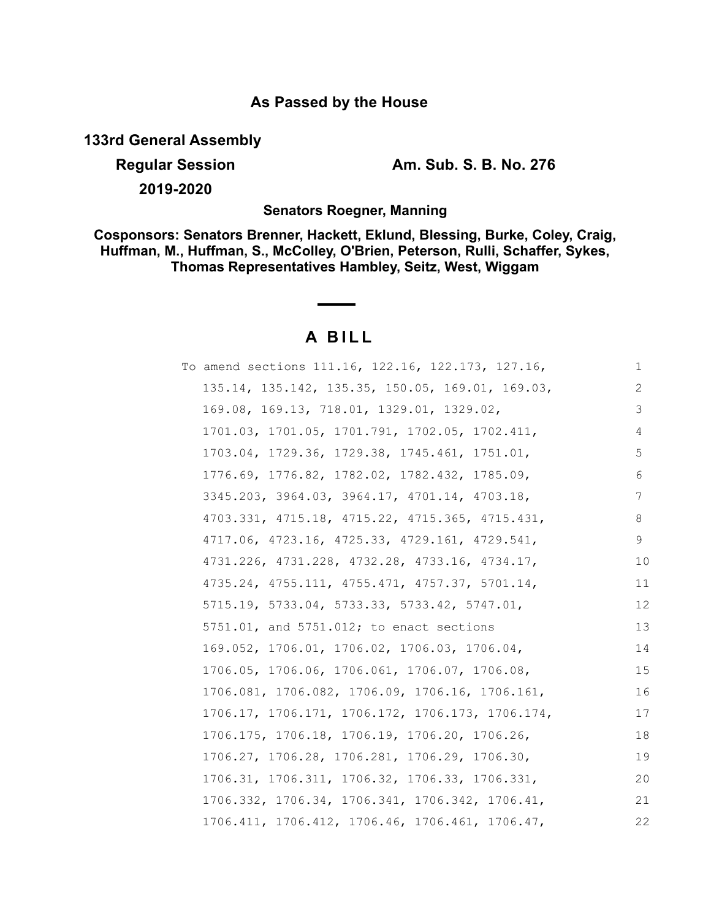# **As Passed by the House**

**133rd General Assembly**

**2019-2020**

**Regular Session Am. Sub. S. B. No. 276**

**Senators Roegner, Manning**

**Cosponsors: Senators Brenner, Hackett, Eklund, Blessing, Burke, Coley, Craig, Huffman, M., Huffman, S., McColley, O'Brien, Peterson, Rulli, Schaffer, Sykes, Thomas Representatives Hambley, Seitz, West, Wiggam**

# **A B I L L**

| To amend sections 111.16, 122.16, 122.173, 127.16, | 1  |
|----------------------------------------------------|----|
| 135.14, 135.142, 135.35, 150.05, 169.01, 169.03,   | 2  |
| 169.08, 169.13, 718.01, 1329.01, 1329.02,          | 3  |
| 1701.03, 1701.05, 1701.791, 1702.05, 1702.411,     | 4  |
| 1703.04, 1729.36, 1729.38, 1745.461, 1751.01,      | 5  |
| 1776.69, 1776.82, 1782.02, 1782.432, 1785.09,      | 6  |
| 3345.203, 3964.03, 3964.17, 4701.14, 4703.18,      | 7  |
| 4703.331, 4715.18, 4715.22, 4715.365, 4715.431,    | 8  |
| 4717.06, 4723.16, 4725.33, 4729.161, 4729.541,     | 9  |
| 4731.226, 4731.228, 4732.28, 4733.16, 4734.17,     | 10 |
| 4735.24, 4755.111, 4755.471, 4757.37, 5701.14,     | 11 |
| 5715.19, 5733.04, 5733.33, 5733.42, 5747.01,       | 12 |
| 5751.01, and 5751.012; to enact sections           | 13 |
| 169.052, 1706.01, 1706.02, 1706.03, 1706.04,       | 14 |
| 1706.05, 1706.06, 1706.061, 1706.07, 1706.08,      | 15 |
| 1706.081, 1706.082, 1706.09, 1706.16, 1706.161,    | 16 |
| 1706.17, 1706.171, 1706.172, 1706.173, 1706.174,   | 17 |
| 1706.175, 1706.18, 1706.19, 1706.20, 1706.26,      | 18 |
| 1706.27, 1706.28, 1706.281, 1706.29, 1706.30,      | 19 |
| 1706.31, 1706.311, 1706.32, 1706.33, 1706.331,     | 20 |
| 1706.332, 1706.34, 1706.341, 1706.342, 1706.41,    | 21 |
| 1706.411, 1706.412, 1706.46, 1706.461, 1706.47,    | 22 |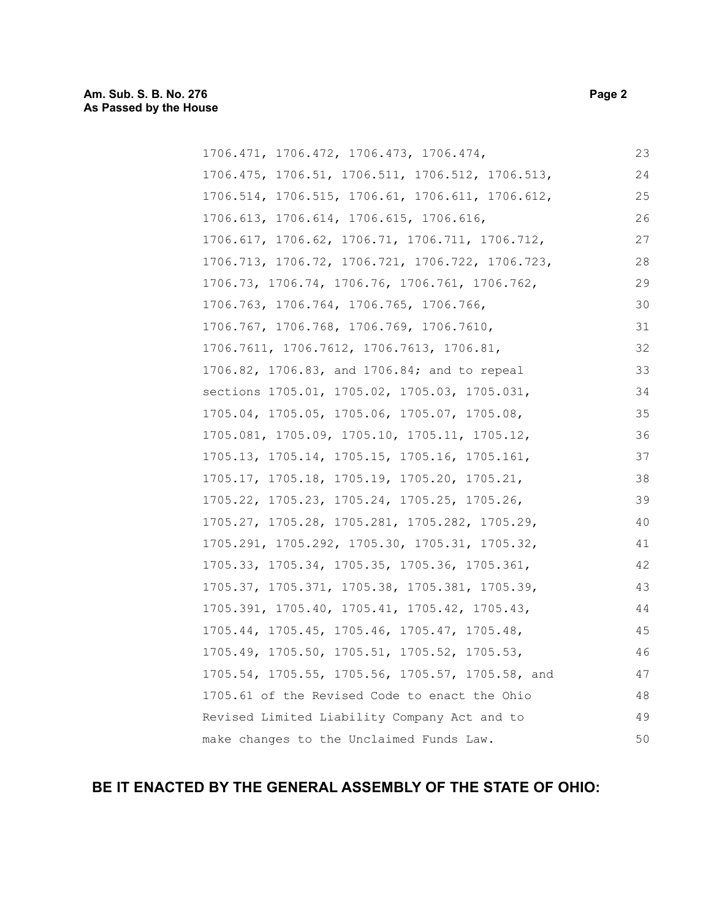| 1706.471, 1706.472, 1706.473, 1706.474,          | 23 |
|--------------------------------------------------|----|
| 1706.475, 1706.51, 1706.511, 1706.512, 1706.513, | 24 |
| 1706.514, 1706.515, 1706.61, 1706.611, 1706.612, | 25 |
| 1706.613, 1706.614, 1706.615, 1706.616,          | 26 |
| 1706.617, 1706.62, 1706.71, 1706.711, 1706.712,  | 27 |
| 1706.713, 1706.72, 1706.721, 1706.722, 1706.723, | 28 |
| 1706.73, 1706.74, 1706.76, 1706.761, 1706.762,   | 29 |
| 1706.763, 1706.764, 1706.765, 1706.766,          | 30 |
| 1706.767, 1706.768, 1706.769, 1706.7610,         | 31 |
| 1706.7611, 1706.7612, 1706.7613, 1706.81,        | 32 |
| 1706.82, 1706.83, and 1706.84; and to repeal     | 33 |
| sections 1705.01, 1705.02, 1705.03, 1705.031,    | 34 |
| 1705.04, 1705.05, 1705.06, 1705.07, 1705.08,     | 35 |
| 1705.081, 1705.09, 1705.10, 1705.11, 1705.12,    | 36 |
| 1705.13, 1705.14, 1705.15, 1705.16, 1705.161,    | 37 |
| 1705.17, 1705.18, 1705.19, 1705.20, 1705.21,     | 38 |
| 1705.22, 1705.23, 1705.24, 1705.25, 1705.26,     | 39 |
| 1705.27, 1705.28, 1705.281, 1705.282, 1705.29,   | 40 |
| 1705.291, 1705.292, 1705.30, 1705.31, 1705.32,   | 41 |
| 1705.33, 1705.34, 1705.35, 1705.36, 1705.361,    | 42 |
| 1705.37, 1705.371, 1705.38, 1705.381, 1705.39,   | 43 |
| 1705.391, 1705.40, 1705.41, 1705.42, 1705.43,    | 44 |
| 1705.44, 1705.45, 1705.46, 1705.47, 1705.48,     | 45 |
| 1705.49, 1705.50, 1705.51, 1705.52, 1705.53,     | 46 |
| 1705.54, 1705.55, 1705.56, 1705.57, 1705.58, and | 47 |
| 1705.61 of the Revised Code to enact the Ohio    | 48 |
| Revised Limited Liability Company Act and to     | 49 |
| make changes to the Unclaimed Funds Law.         | 50 |

# **BE IT ENACTED BY THE GENERAL ASSEMBLY OF THE STATE OF OHIO:**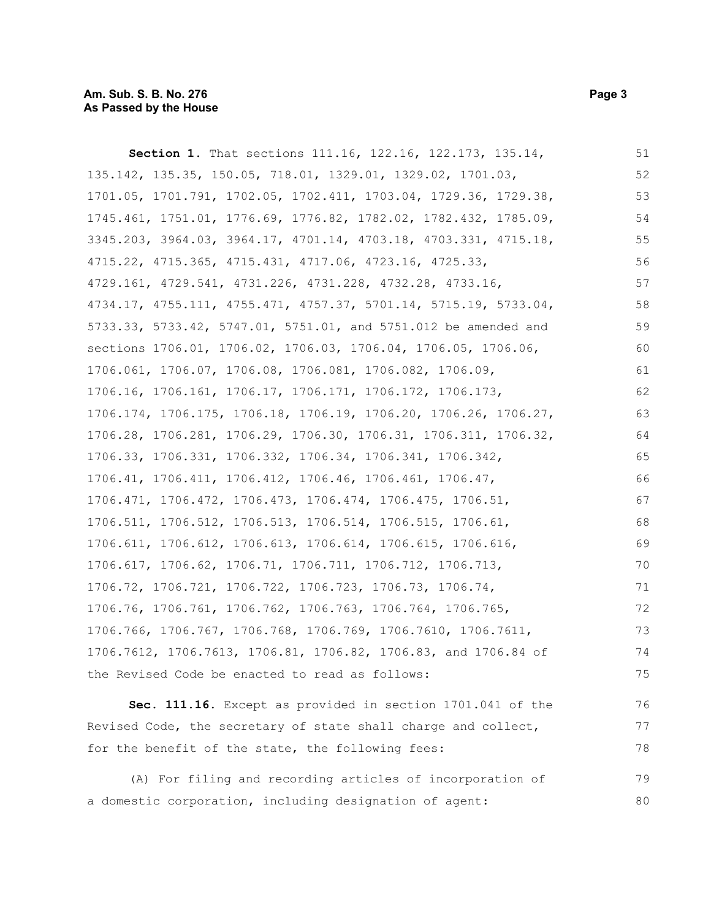**Section 1.** That sections 111.16, 122.16, 122.173, 135.14, 135.142, 135.35, 150.05, 718.01, 1329.01, 1329.02, 1701.03, 1701.05, 1701.791, 1702.05, 1702.411, 1703.04, 1729.36, 1729.38, 1745.461, 1751.01, 1776.69, 1776.82, 1782.02, 1782.432, 1785.09, 3345.203, 3964.03, 3964.17, 4701.14, 4703.18, 4703.331, 4715.18, 4715.22, 4715.365, 4715.431, 4717.06, 4723.16, 4725.33, 4729.161, 4729.541, 4731.226, 4731.228, 4732.28, 4733.16, 4734.17, 4755.111, 4755.471, 4757.37, 5701.14, 5715.19, 5733.04, 5733.33, 5733.42, 5747.01, 5751.01, and 5751.012 be amended and sections 1706.01, 1706.02, 1706.03, 1706.04, 1706.05, 1706.06, 1706.061, 1706.07, 1706.08, 1706.081, 1706.082, 1706.09, 1706.16, 1706.161, 1706.17, 1706.171, 1706.172, 1706.173, 1706.174, 1706.175, 1706.18, 1706.19, 1706.20, 1706.26, 1706.27, 1706.28, 1706.281, 1706.29, 1706.30, 1706.31, 1706.311, 1706.32, 1706.33, 1706.331, 1706.332, 1706.34, 1706.341, 1706.342, 1706.41, 1706.411, 1706.412, 1706.46, 1706.461, 1706.47, 1706.471, 1706.472, 1706.473, 1706.474, 1706.475, 1706.51, 1706.511, 1706.512, 1706.513, 1706.514, 1706.515, 1706.61, 1706.611, 1706.612, 1706.613, 1706.614, 1706.615, 1706.616, 1706.617, 1706.62, 1706.71, 1706.711, 1706.712, 1706.713, 1706.72, 1706.721, 1706.722, 1706.723, 1706.73, 1706.74, 1706.76, 1706.761, 1706.762, 1706.763, 1706.764, 1706.765, 1706.766, 1706.767, 1706.768, 1706.769, 1706.7610, 1706.7611, 1706.7612, 1706.7613, 1706.81, 1706.82, 1706.83, and 1706.84 of the Revised Code be enacted to read as follows: 51 52 53 54 55 56 57 58 59 60 61 62 63 64 65 66 67 68 69 70 71 72 73 74 75

**Sec. 111.16.** Except as provided in section 1701.041 of the Revised Code, the secretary of state shall charge and collect, for the benefit of the state, the following fees: 76 77 78

(A) For filing and recording articles of incorporation of a domestic corporation, including designation of agent: 79 80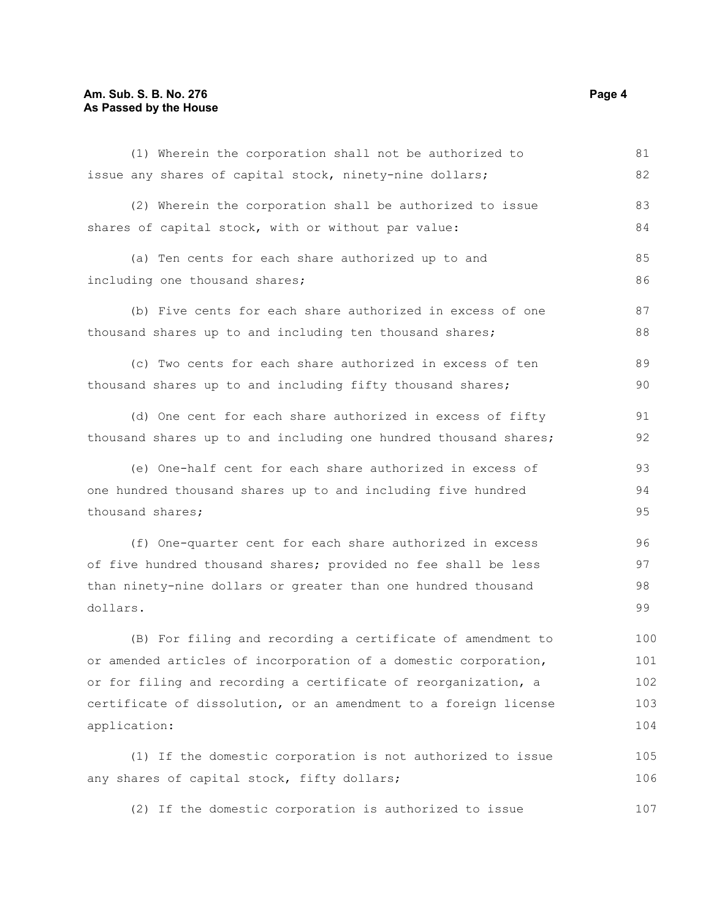## **Am. Sub. S. B. No. 276 Page 4 As Passed by the House**

| (1) Wherein the corporation shall not be authorized to           | 81  |
|------------------------------------------------------------------|-----|
| issue any shares of capital stock, ninety-nine dollars;          | 82  |
| (2) Wherein the corporation shall be authorized to issue         | 83  |
| shares of capital stock, with or without par value:              | 84  |
| (a) Ten cents for each share authorized up to and                | 85  |
| including one thousand shares;                                   | 86  |
| (b) Five cents for each share authorized in excess of one        | 87  |
| thousand shares up to and including ten thousand shares;         | 88  |
| (c) Two cents for each share authorized in excess of ten         | 89  |
| thousand shares up to and including fifty thousand shares;       | 90  |
| (d) One cent for each share authorized in excess of fifty        | 91  |
| thousand shares up to and including one hundred thousand shares; | 92  |
| (e) One-half cent for each share authorized in excess of         | 93  |
| one hundred thousand shares up to and including five hundred     | 94  |
| thousand shares;                                                 | 95  |
| (f) One-quarter cent for each share authorized in excess         | 96  |
| of five hundred thousand shares; provided no fee shall be less   | 97  |
| than ninety-nine dollars or greater than one hundred thousand    | 98  |
| dollars.                                                         | 99  |
| (B) For filing and recording a certificate of amendment to       | 100 |
| or amended articles of incorporation of a domestic corporation,  | 101 |
| or for filing and recording a certificate of reorganization, a   | 102 |
| certificate of dissolution, or an amendment to a foreign license | 103 |
| application:                                                     | 104 |
| (1) If the domestic corporation is not authorized to issue       | 105 |
| any shares of capital stock, fifty dollars;                      | 106 |
| (2) If the domestic corporation is authorized to issue           | 107 |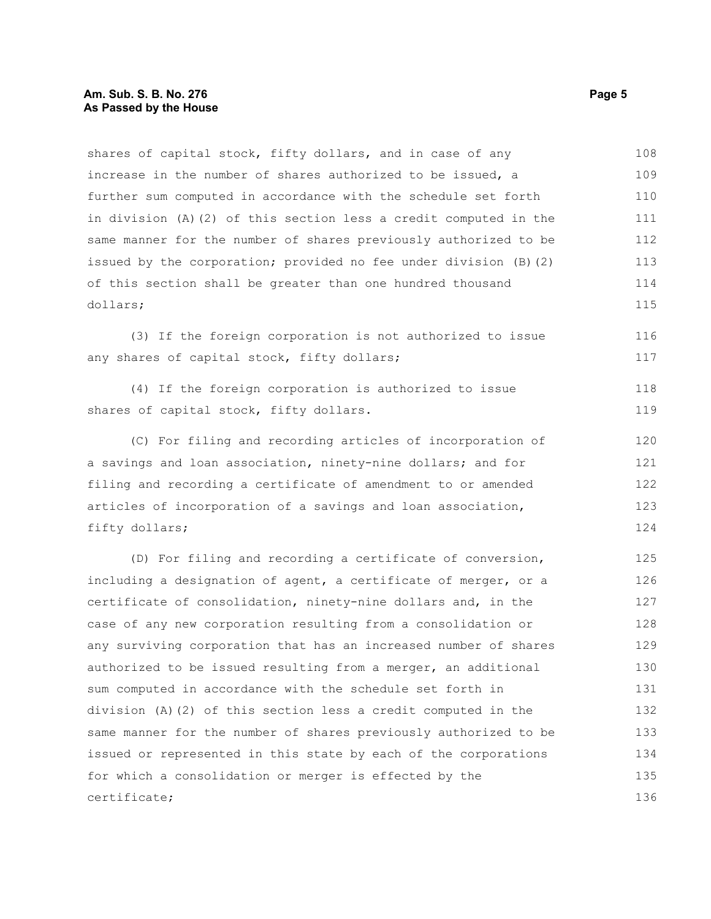## **Am. Sub. S. B. No. 276 Page 5** Page 5 **As Passed by the House**

shares of capital stock, fifty dollars, and in case of any increase in the number of shares authorized to be issued, a further sum computed in accordance with the schedule set forth in division (A)(2) of this section less a credit computed in the same manner for the number of shares previously authorized to be issued by the corporation; provided no fee under division (B)(2) of this section shall be greater than one hundred thousand dollars; 108 109 110 111 112 113 114 115

(3) If the foreign corporation is not authorized to issue any shares of capital stock, fifty dollars; 116 117

(4) If the foreign corporation is authorized to issue shares of capital stock, fifty dollars. 118 119

(C) For filing and recording articles of incorporation of a savings and loan association, ninety-nine dollars; and for filing and recording a certificate of amendment to or amended articles of incorporation of a savings and loan association, fifty dollars; 120 121 122 123 124

(D) For filing and recording a certificate of conversion, including a designation of agent, a certificate of merger, or a certificate of consolidation, ninety-nine dollars and, in the case of any new corporation resulting from a consolidation or any surviving corporation that has an increased number of shares authorized to be issued resulting from a merger, an additional sum computed in accordance with the schedule set forth in division (A)(2) of this section less a credit computed in the same manner for the number of shares previously authorized to be issued or represented in this state by each of the corporations for which a consolidation or merger is effected by the certificate; 125 126 127 128 129 130 131 132 133 134 135 136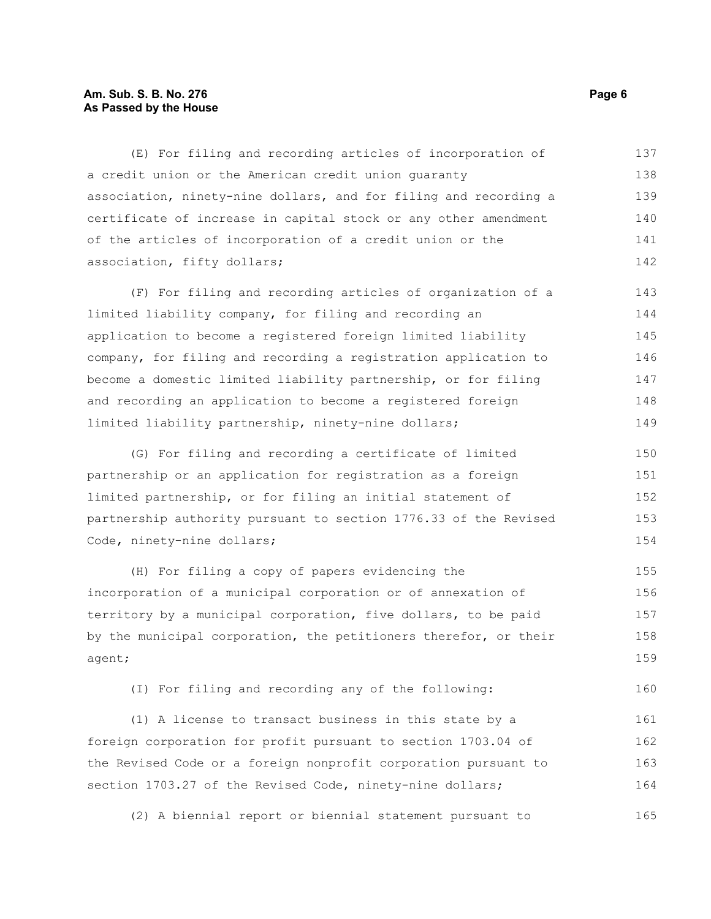## **Am. Sub. S. B. No. 276 Page 6 Page 6 Page 6 Page 6 Page 6 Page 6 Page 6 As Passed by the House**

(E) For filing and recording articles of incorporation of a credit union or the American credit union guaranty association, ninety-nine dollars, and for filing and recording a certificate of increase in capital stock or any other amendment of the articles of incorporation of a credit union or the association, fifty dollars; 137 138 139 140 141 142

(F) For filing and recording articles of organization of a limited liability company, for filing and recording an application to become a registered foreign limited liability company, for filing and recording a registration application to become a domestic limited liability partnership, or for filing and recording an application to become a registered foreign limited liability partnership, ninety-nine dollars; 143 144 145 146 147 148 149

(G) For filing and recording a certificate of limited partnership or an application for registration as a foreign limited partnership, or for filing an initial statement of partnership authority pursuant to section 1776.33 of the Revised Code, ninety-nine dollars; 150 151 152 153 154

(H) For filing a copy of papers evidencing the incorporation of a municipal corporation or of annexation of territory by a municipal corporation, five dollars, to be paid by the municipal corporation, the petitioners therefor, or their agent; 155 156 157 158 159

(I) For filing and recording any of the following:

(1) A license to transact business in this state by a foreign corporation for profit pursuant to section 1703.04 of the Revised Code or a foreign nonprofit corporation pursuant to section 1703.27 of the Revised Code, ninety-nine dollars; 161 162 163 164

(2) A biennial report or biennial statement pursuant to 165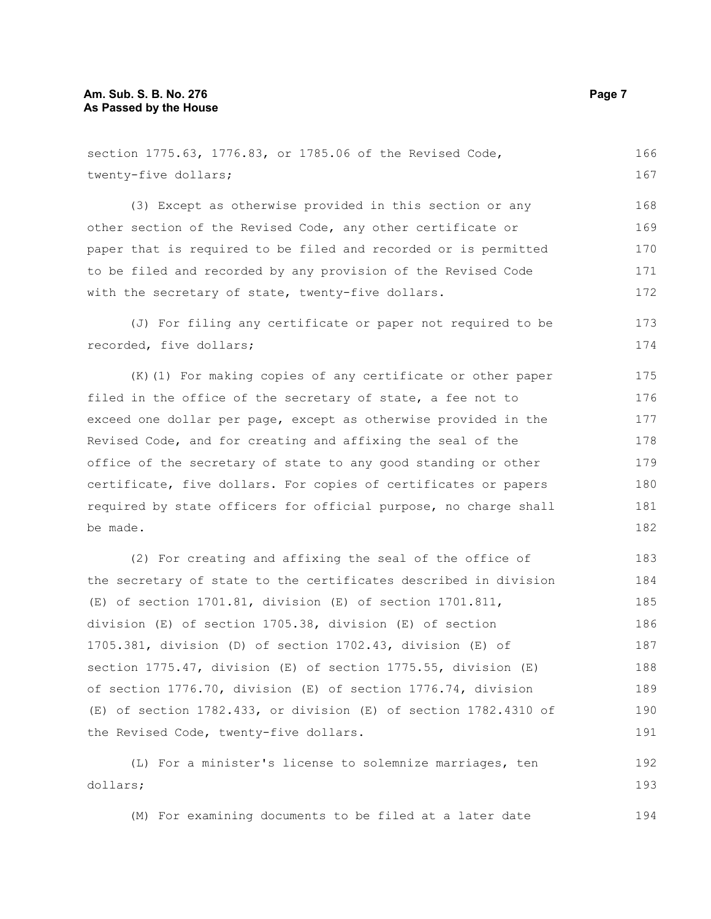dollars;

| section 1775.63, 1776.83, or 1785.06 of the Revised Code,        | 166 |
|------------------------------------------------------------------|-----|
| twenty-five dollars;                                             | 167 |
| (3) Except as otherwise provided in this section or any          | 168 |
| other section of the Revised Code, any other certificate or      | 169 |
| paper that is required to be filed and recorded or is permitted  | 170 |
| to be filed and recorded by any provision of the Revised Code    | 171 |
| with the secretary of state, twenty-five dollars.                | 172 |
| (J) For filing any certificate or paper not required to be       | 173 |
| recorded, five dollars;                                          | 174 |
| (K) (1) For making copies of any certificate or other paper      | 175 |
| filed in the office of the secretary of state, a fee not to      | 176 |
| exceed one dollar per page, except as otherwise provided in the  | 177 |
| Revised Code, and for creating and affixing the seal of the      | 178 |
| office of the secretary of state to any good standing or other   | 179 |
| certificate, five dollars. For copies of certificates or papers  | 180 |
| required by state officers for official purpose, no charge shall | 181 |
| be made.                                                         | 182 |
| (2) For creating and affixing the seal of the office of          | 183 |
| the secretary of state to the certificates described in division | 184 |
| $(E)$ of section 1701.81, division $(E)$ of section 1701.811,    | 185 |
| division (E) of section 1705.38, division (E) of section         | 186 |
| 1705.381, division (D) of section 1702.43, division (E) of       | 187 |
| section 1775.47, division (E) of section 1775.55, division (E)   | 188 |
| of section 1776.70, division (E) of section 1776.74, division    | 189 |
| (E) of section 1782.433, or division (E) of section 1782.4310 of | 190 |
| the Revised Code, twenty-five dollars.                           | 191 |
| (L) For a minister's license to solemnize marriages, ten         | 192 |

(M) For examining documents to be filed at a later date

193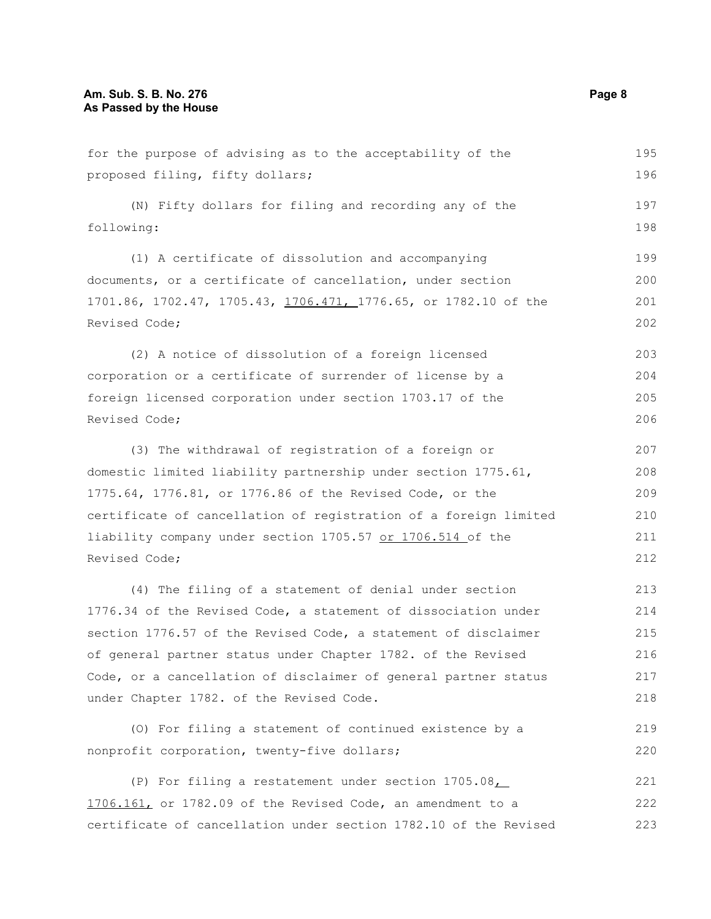| for the purpose of advising as to the acceptability of the       | 195 |
|------------------------------------------------------------------|-----|
| proposed filing, fifty dollars;                                  | 196 |
| (N) Fifty dollars for filing and recording any of the            | 197 |
| following:                                                       | 198 |
| (1) A certificate of dissolution and accompanying                | 199 |
| documents, or a certificate of cancellation, under section       | 200 |
| 1701.86, 1702.47, 1705.43, 1706.471, 1776.65, or 1782.10 of the  | 201 |
| Revised Code;                                                    | 202 |
| (2) A notice of dissolution of a foreign licensed                | 203 |
| corporation or a certificate of surrender of license by a        | 204 |
| foreign licensed corporation under section 1703.17 of the        | 205 |
| Revised Code;                                                    | 206 |
| (3) The withdrawal of registration of a foreign or               | 207 |
| domestic limited liability partnership under section 1775.61,    | 208 |
| 1775.64, 1776.81, or 1776.86 of the Revised Code, or the         | 209 |
| certificate of cancellation of registration of a foreign limited | 210 |
| liability company under section 1705.57 or 1706.514 of the       | 211 |
| Revised Code;                                                    | 212 |
| (4) The filing of a statement of denial under section            | 213 |
| 1776.34 of the Revised Code, a statement of dissociation under   | 214 |
| section 1776.57 of the Revised Code, a statement of disclaimer   | 215 |
| of general partner status under Chapter 1782. of the Revised     | 216 |
| Code, or a cancellation of disclaimer of general partner status  | 217 |
| under Chapter 1782. of the Revised Code.                         | 218 |
| (O) For filing a statement of continued existence by a           | 219 |
| nonprofit corporation, twenty-five dollars;                      | 220 |
| (P) For filing a restatement under section $1705.08$             | 221 |
| 1706.161, or 1782.09 of the Revised Code, an amendment to a      | 222 |
| certificate of cancellation under section 1782.10 of the Revised | 223 |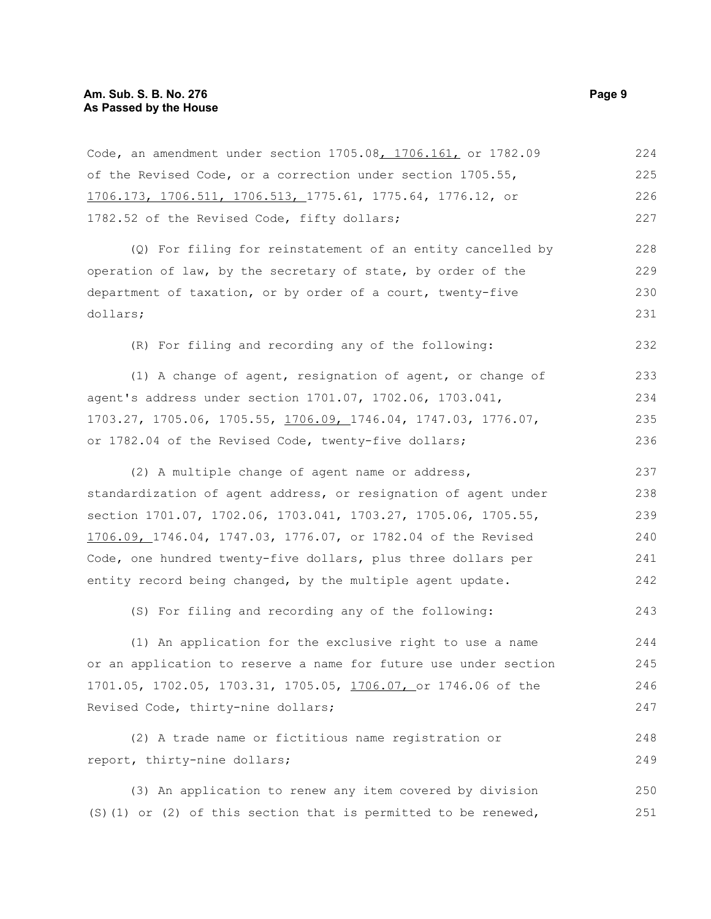| Code, an amendment under section 1705.08, 1706.161, or 1782.09    | 224 |
|-------------------------------------------------------------------|-----|
| of the Revised Code, or a correction under section 1705.55,       | 225 |
| 1706.173, 1706.511, 1706.513, 1775.61, 1775.64, 1776.12, or       | 226 |
| 1782.52 of the Revised Code, fifty dollars;                       | 227 |
| (Q) For filing for reinstatement of an entity cancelled by        | 228 |
| operation of law, by the secretary of state, by order of the      | 229 |
| department of taxation, or by order of a court, twenty-five       | 230 |
| dollars;                                                          | 231 |
| (R) For filing and recording any of the following:                | 232 |
| (1) A change of agent, resignation of agent, or change of         | 233 |
| agent's address under section 1701.07, 1702.06, 1703.041,         | 234 |
| 1703.27, 1705.06, 1705.55, 1706.09, 1746.04, 1747.03, 1776.07,    | 235 |
| or 1782.04 of the Revised Code, twenty-five dollars;              | 236 |
| (2) A multiple change of agent name or address,                   | 237 |
| standardization of agent address, or resignation of agent under   | 238 |
| section 1701.07, 1702.06, 1703.041, 1703.27, 1705.06, 1705.55,    | 239 |
| 1706.09, 1746.04, 1747.03, 1776.07, or 1782.04 of the Revised     | 240 |
| Code, one hundred twenty-five dollars, plus three dollars per     | 241 |
| entity record being changed, by the multiple agent update.        | 242 |
| (S) For filing and recording any of the following:                | 243 |
| (1) An application for the exclusive right to use a name          | 244 |
| or an application to reserve a name for future use under section  | 245 |
| 1701.05, 1702.05, 1703.31, 1705.05, 1706.07, or 1746.06 of the    | 246 |
| Revised Code, thirty-nine dollars;                                | 247 |
| (2) A trade name or fictitious name registration or               | 248 |
| report, thirty-nine dollars;                                      | 249 |
| (3) An application to renew any item covered by division          | 250 |
| $(S)$ (1) or (2) of this section that is permitted to be renewed, | 251 |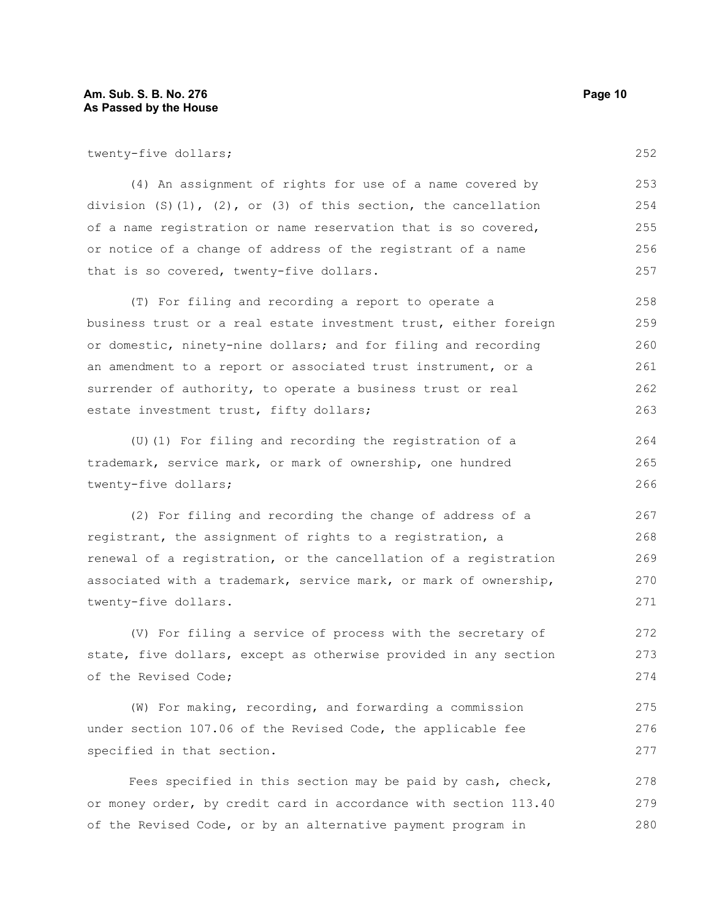twenty-five dollars;

(4) An assignment of rights for use of a name covered by division  $(S)(1)$ ,  $(2)$ , or  $(3)$  of this section, the cancellation of a name registration or name reservation that is so covered, or notice of a change of address of the registrant of a name that is so covered, twenty-five dollars. 253 254 255 256 257

(T) For filing and recording a report to operate a business trust or a real estate investment trust, either foreign or domestic, ninety-nine dollars; and for filing and recording an amendment to a report or associated trust instrument, or a surrender of authority, to operate a business trust or real estate investment trust, fifty dollars; 258 259 260 261 262 263

(U)(1) For filing and recording the registration of a trademark, service mark, or mark of ownership, one hundred twenty-five dollars; 264 265 266

(2) For filing and recording the change of address of a registrant, the assignment of rights to a registration, a renewal of a registration, or the cancellation of a registration associated with a trademark, service mark, or mark of ownership, twenty-five dollars.

(V) For filing a service of process with the secretary of state, five dollars, except as otherwise provided in any section of the Revised Code; 272 273 274

(W) For making, recording, and forwarding a commission under section 107.06 of the Revised Code, the applicable fee specified in that section. 275 276 277

Fees specified in this section may be paid by cash, check, or money order, by credit card in accordance with section 113.40 of the Revised Code, or by an alternative payment program in 278 279 280

252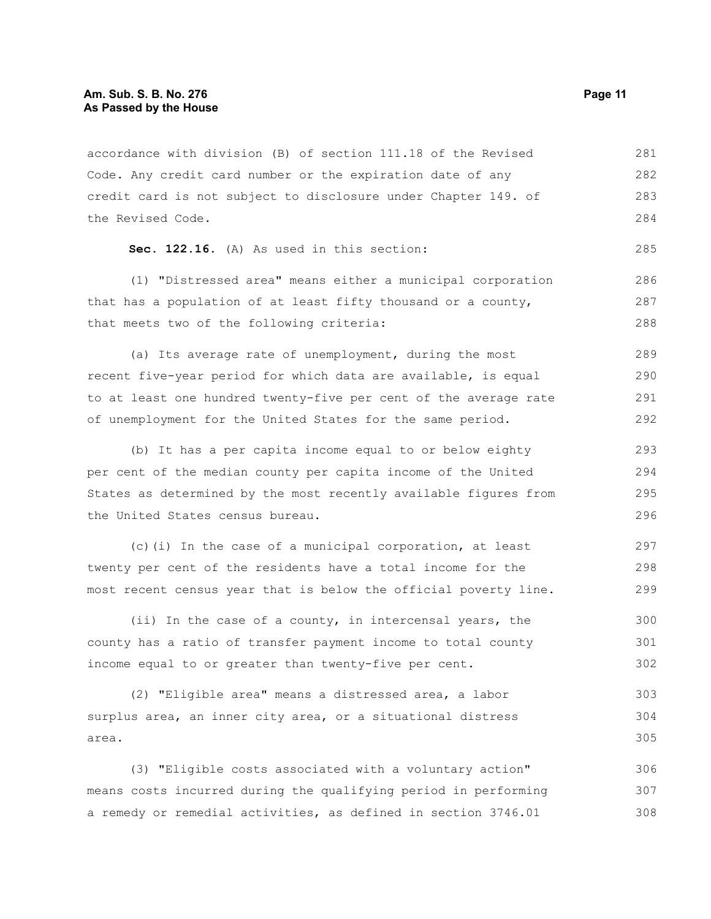accordance with division (B) of section 111.18 of the Revised Code. Any credit card number or the expiration date of any credit card is not subject to disclosure under Chapter 149. of the Revised Code. 281 282 283 284

```
Sec. 122.16. (A) As used in this section:
```
(1) "Distressed area" means either a municipal corporation that has a population of at least fifty thousand or a county, that meets two of the following criteria:

(a) Its average rate of unemployment, during the most recent five-year period for which data are available, is equal to at least one hundred twenty-five per cent of the average rate of unemployment for the United States for the same period. 289 290 291 292

(b) It has a per capita income equal to or below eighty per cent of the median county per capita income of the United States as determined by the most recently available figures from the United States census bureau. 293 294 295 296

(c)(i) In the case of a municipal corporation, at least twenty per cent of the residents have a total income for the most recent census year that is below the official poverty line. 297 298 299

(ii) In the case of a county, in intercensal years, the county has a ratio of transfer payment income to total county income equal to or greater than twenty-five per cent. 300 301 302

(2) "Eligible area" means a distressed area, a labor surplus area, an inner city area, or a situational distress area. 303 304 305

(3) "Eligible costs associated with a voluntary action" means costs incurred during the qualifying period in performing a remedy or remedial activities, as defined in section 3746.01 306 307 308

285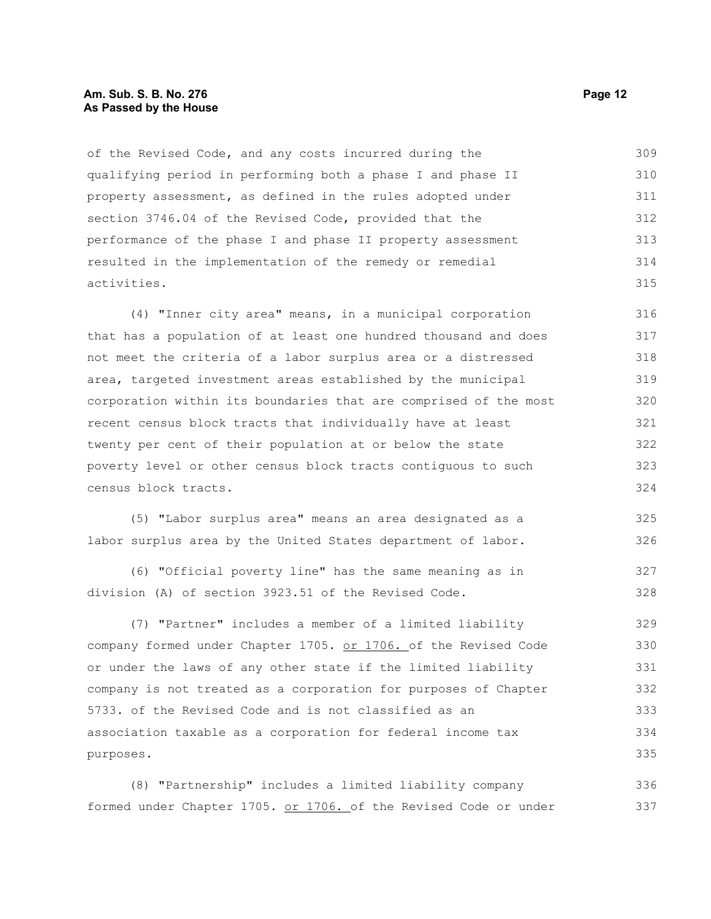## **Am. Sub. S. B. No. 276 Page 12 As Passed by the House**

of the Revised Code, and any costs incurred during the qualifying period in performing both a phase I and phase II property assessment, as defined in the rules adopted under section 3746.04 of the Revised Code, provided that the performance of the phase I and phase II property assessment resulted in the implementation of the remedy or remedial activities. 309 310 311 312 313 314 315

(4) "Inner city area" means, in a municipal corporation that has a population of at least one hundred thousand and does not meet the criteria of a labor surplus area or a distressed area, targeted investment areas established by the municipal corporation within its boundaries that are comprised of the most recent census block tracts that individually have at least twenty per cent of their population at or below the state poverty level or other census block tracts contiguous to such census block tracts. 316 317 318 319 320 321 322 323 324

(5) "Labor surplus area" means an area designated as a labor surplus area by the United States department of labor. 325 326

(6) "Official poverty line" has the same meaning as in division (A) of section 3923.51 of the Revised Code. 327 328

(7) "Partner" includes a member of a limited liability company formed under Chapter 1705. or 1706. of the Revised Code or under the laws of any other state if the limited liability company is not treated as a corporation for purposes of Chapter 5733. of the Revised Code and is not classified as an association taxable as a corporation for federal income tax purposes. 329 330 331 332 333 334 335

(8) "Partnership" includes a limited liability company formed under Chapter 1705. or 1706. of the Revised Code or under 336 337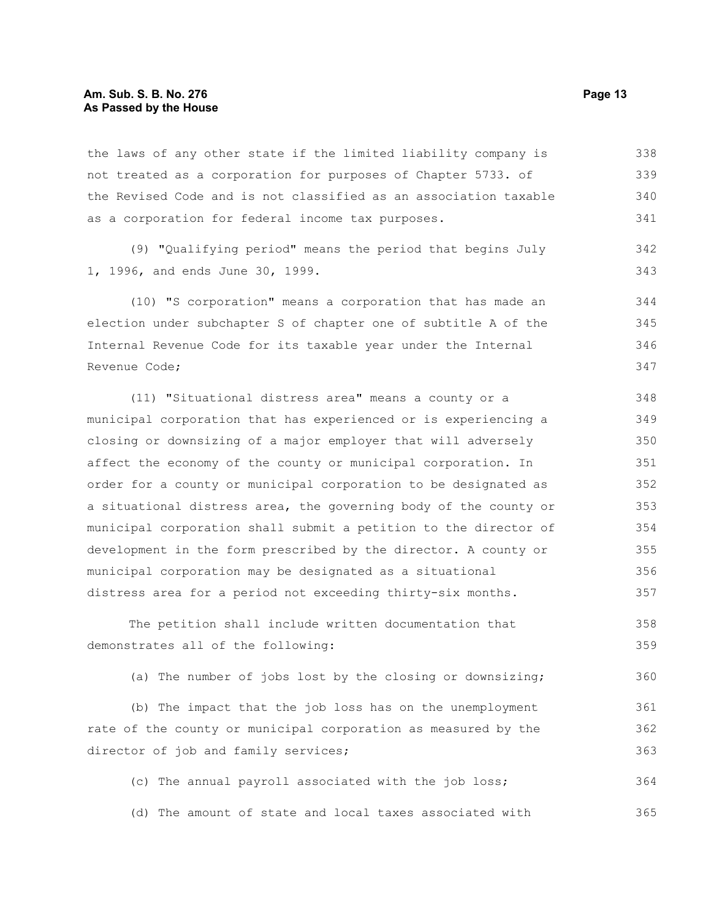## **Am. Sub. S. B. No. 276 Page 13 As Passed by the House**

the laws of any other state if the limited liability company is not treated as a corporation for purposes of Chapter 5733. of the Revised Code and is not classified as an association taxable as a corporation for federal income tax purposes. 338 339 340 341

(9) "Qualifying period" means the period that begins July 1, 1996, and ends June 30, 1999.

(10) "S corporation" means a corporation that has made an election under subchapter S of chapter one of subtitle A of the Internal Revenue Code for its taxable year under the Internal Revenue Code; 344 345 346 347

(11) "Situational distress area" means a county or a municipal corporation that has experienced or is experiencing a closing or downsizing of a major employer that will adversely affect the economy of the county or municipal corporation. In order for a county or municipal corporation to be designated as a situational distress area, the governing body of the county or municipal corporation shall submit a petition to the director of development in the form prescribed by the director. A county or municipal corporation may be designated as a situational distress area for a period not exceeding thirty-six months. 348 349 350 351 352 353 354 355 356 357

The petition shall include written documentation that demonstrates all of the following: 358 359

(a) The number of jobs lost by the closing or downsizing; 360

(b) The impact that the job loss has on the unemployment rate of the county or municipal corporation as measured by the director of job and family services; 361 362 363

(c) The annual payroll associated with the job loss; (d) The amount of state and local taxes associated with 364 365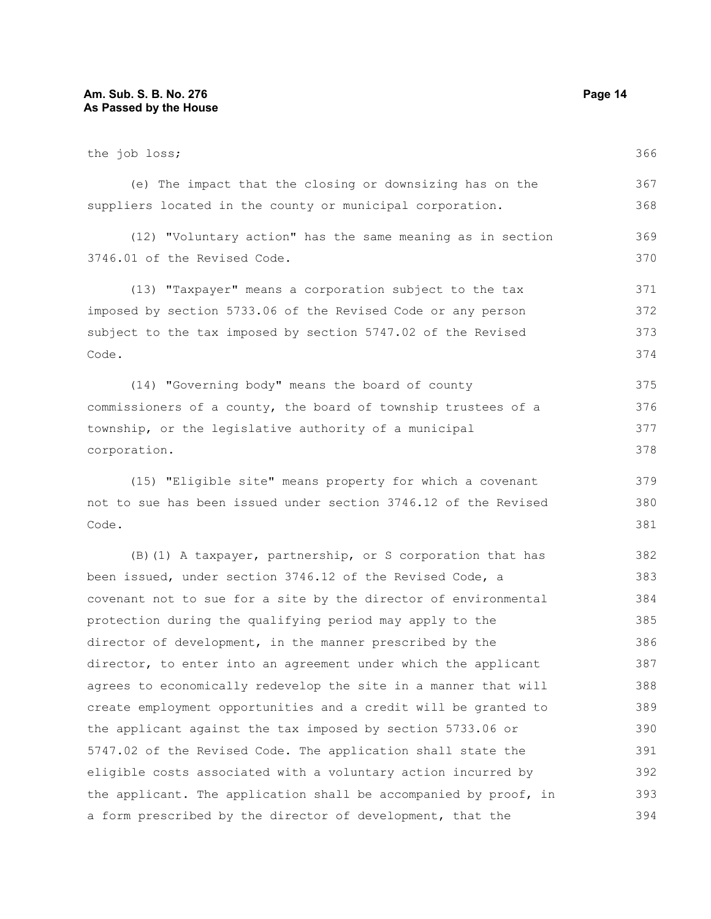## **Am. Sub. S. B. No. 276** Page 14 **As Passed by the House**

| the job loss;                                                    | 366 |
|------------------------------------------------------------------|-----|
| (e) The impact that the closing or downsizing has on the         | 367 |
| suppliers located in the county or municipal corporation.        | 368 |
| (12) "Voluntary action" has the same meaning as in section       | 369 |
| 3746.01 of the Revised Code.                                     | 370 |
| (13) "Taxpayer" means a corporation subject to the tax           | 371 |
| imposed by section 5733.06 of the Revised Code or any person     | 372 |
| subject to the tax imposed by section 5747.02 of the Revised     | 373 |
| Code.                                                            | 374 |
| (14) "Governing body" means the board of county                  | 375 |
| commissioners of a county, the board of township trustees of a   | 376 |
| township, or the legislative authority of a municipal            | 377 |
| corporation.                                                     | 378 |
| (15) "Eligible site" means property for which a covenant         | 379 |
| not to sue has been issued under section 3746.12 of the Revised  | 380 |
| Code.                                                            | 381 |
| (B) (1) A taxpayer, partnership, or S corporation that has       | 382 |
| been issued, under section 3746.12 of the Revised Code, a        | 383 |
| covenant not to sue for a site by the director of environmental  | 384 |
| protection during the qualifying period may apply to the         | 385 |
| director of development, in the manner prescribed by the         | 386 |
| director, to enter into an agreement under which the applicant   | 387 |
| agrees to economically redevelop the site in a manner that will  | 388 |
| create employment opportunities and a credit will be granted to  | 389 |
| the applicant against the tax imposed by section 5733.06 or      | 390 |
| 5747.02 of the Revised Code. The application shall state the     | 391 |
| eligible costs associated with a voluntary action incurred by    | 392 |
| the applicant. The application shall be accompanied by proof, in | 393 |
| a form prescribed by the director of development, that the       | 394 |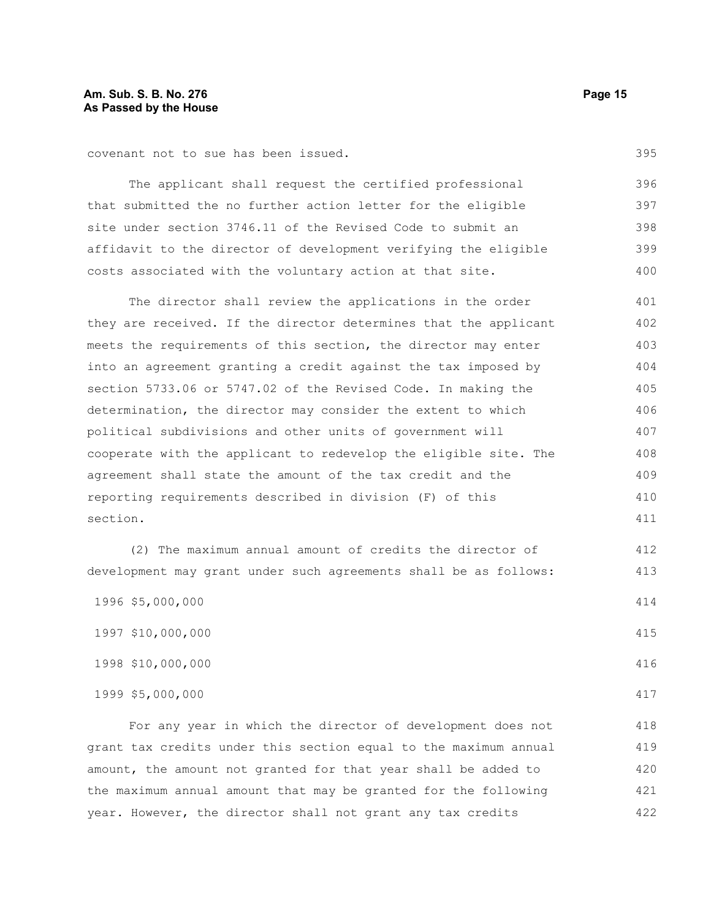covenant not to sue has been issued.

The applicant shall request the certified professional that submitted the no further action letter for the eligible site under section 3746.11 of the Revised Code to submit an affidavit to the director of development verifying the eligible costs associated with the voluntary action at that site. 396 397 398 399 400

The director shall review the applications in the order they are received. If the director determines that the applicant meets the requirements of this section, the director may enter into an agreement granting a credit against the tax imposed by section 5733.06 or 5747.02 of the Revised Code. In making the determination, the director may consider the extent to which political subdivisions and other units of government will cooperate with the applicant to redevelop the eligible site. The agreement shall state the amount of the tax credit and the reporting requirements described in division (F) of this section. 401 402 403 404 405 406 407 408 409 410 411

(2) The maximum annual amount of credits the director of development may grant under such agreements shall be as follows:

| 1996 \$5,000,000  | 414 |
|-------------------|-----|
| 1997 \$10,000,000 | 415 |
| 1998 \$10,000,000 | 416 |
| 1999 \$5,000,000  | 417 |

For any year in which the director of development does not grant tax credits under this section equal to the maximum annual amount, the amount not granted for that year shall be added to the maximum annual amount that may be granted for the following year. However, the director shall not grant any tax credits 418 419 420 421 422

395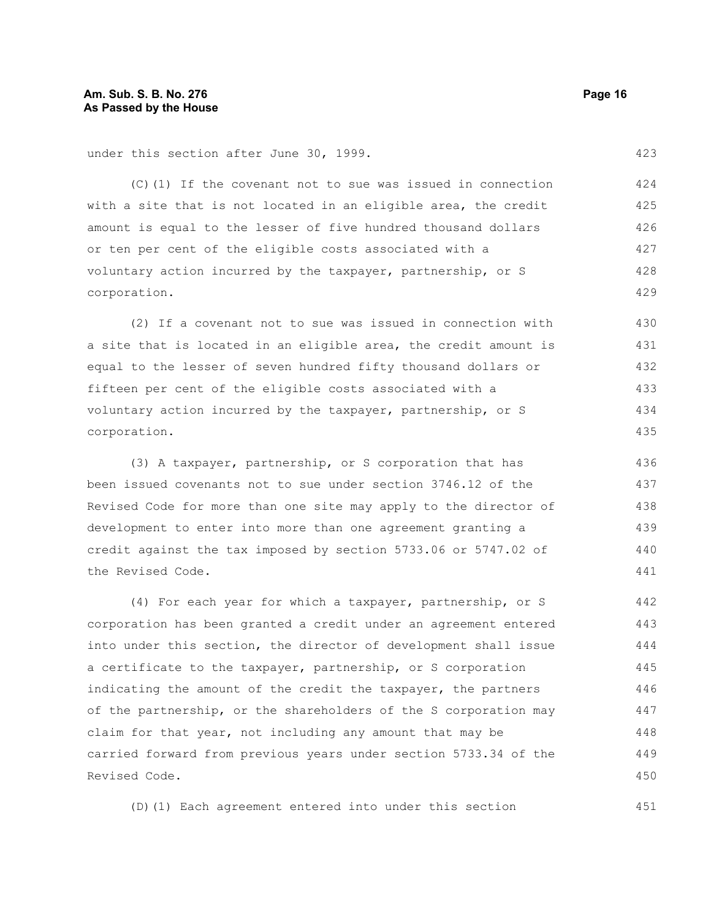(C)(1) If the covenant not to sue was issued in connection with a site that is not located in an eligible area, the credit amount is equal to the lesser of five hundred thousand dollars or ten per cent of the eligible costs associated with a voluntary action incurred by the taxpayer, partnership, or S corporation. 424 425 426 427 428 429

(2) If a covenant not to sue was issued in connection with a site that is located in an eligible area, the credit amount is equal to the lesser of seven hundred fifty thousand dollars or fifteen per cent of the eligible costs associated with a voluntary action incurred by the taxpayer, partnership, or S corporation. 430 431 432 433 434 435

(3) A taxpayer, partnership, or S corporation that has been issued covenants not to sue under section 3746.12 of the Revised Code for more than one site may apply to the director of development to enter into more than one agreement granting a credit against the tax imposed by section 5733.06 or 5747.02 of the Revised Code. 436 437 438 439 440 441

(4) For each year for which a taxpayer, partnership, or S corporation has been granted a credit under an agreement entered into under this section, the director of development shall issue a certificate to the taxpayer, partnership, or S corporation indicating the amount of the credit the taxpayer, the partners of the partnership, or the shareholders of the S corporation may claim for that year, not including any amount that may be carried forward from previous years under section 5733.34 of the Revised Code. 442 443 444 445 446 447 448 449 450

(D)(1) Each agreement entered into under this section

423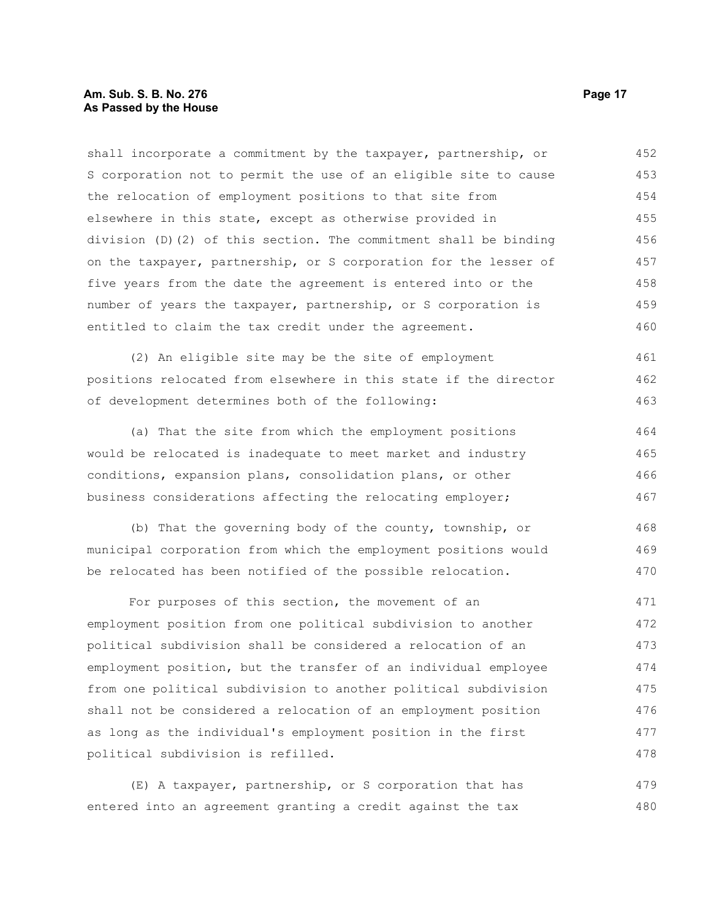## **Am. Sub. S. B. No. 276 Page 17 As Passed by the House**

shall incorporate a commitment by the taxpayer, partnership, or S corporation not to permit the use of an eligible site to cause the relocation of employment positions to that site from elsewhere in this state, except as otherwise provided in division (D)(2) of this section. The commitment shall be binding on the taxpayer, partnership, or S corporation for the lesser of five years from the date the agreement is entered into or the number of years the taxpayer, partnership, or S corporation is entitled to claim the tax credit under the agreement. 452 453 454 455 456 457 458 459 460

(2) An eligible site may be the site of employment positions relocated from elsewhere in this state if the director of development determines both of the following: 461 462 463

(a) That the site from which the employment positions would be relocated is inadequate to meet market and industry conditions, expansion plans, consolidation plans, or other business considerations affecting the relocating employer; 464 465 466 467

(b) That the governing body of the county, township, or municipal corporation from which the employment positions would be relocated has been notified of the possible relocation. 468 469 470

For purposes of this section, the movement of an employment position from one political subdivision to another political subdivision shall be considered a relocation of an employment position, but the transfer of an individual employee from one political subdivision to another political subdivision shall not be considered a relocation of an employment position as long as the individual's employment position in the first political subdivision is refilled. 471 472 473 474 475 476 477 478

(E) A taxpayer, partnership, or S corporation that has entered into an agreement granting a credit against the tax 479 480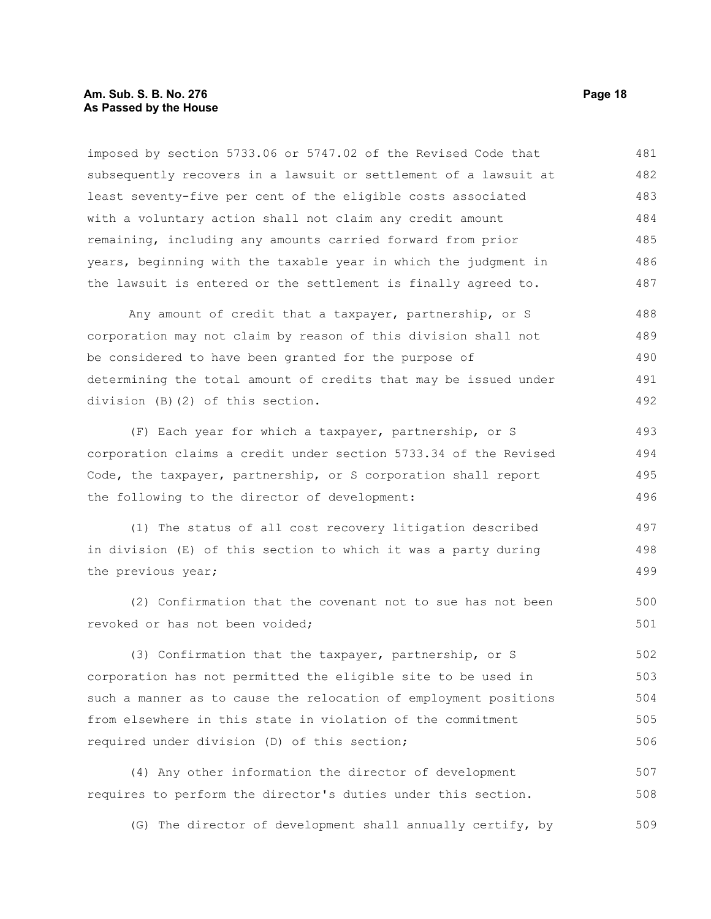## **Am. Sub. S. B. No. 276 Page 18 As Passed by the House**

imposed by section 5733.06 or 5747.02 of the Revised Code that subsequently recovers in a lawsuit or settlement of a lawsuit at least seventy-five per cent of the eligible costs associated with a voluntary action shall not claim any credit amount remaining, including any amounts carried forward from prior years, beginning with the taxable year in which the judgment in the lawsuit is entered or the settlement is finally agreed to. 481 482 483 484 485 486 487

Any amount of credit that a taxpayer, partnership, or S corporation may not claim by reason of this division shall not be considered to have been granted for the purpose of determining the total amount of credits that may be issued under division (B)(2) of this section. 488 489 490 491 492

(F) Each year for which a taxpayer, partnership, or S corporation claims a credit under section 5733.34 of the Revised Code, the taxpayer, partnership, or S corporation shall report the following to the director of development: 493 494 495

(1) The status of all cost recovery litigation described in division (E) of this section to which it was a party during the previous year; 497 498 499

(2) Confirmation that the covenant not to sue has not been revoked or has not been voided;

(3) Confirmation that the taxpayer, partnership, or S corporation has not permitted the eligible site to be used in such a manner as to cause the relocation of employment positions from elsewhere in this state in violation of the commitment required under division (D) of this section; 502 503 504 505 506

(4) Any other information the director of development requires to perform the director's duties under this section. 507 508

(G) The director of development shall annually certify, by 509

496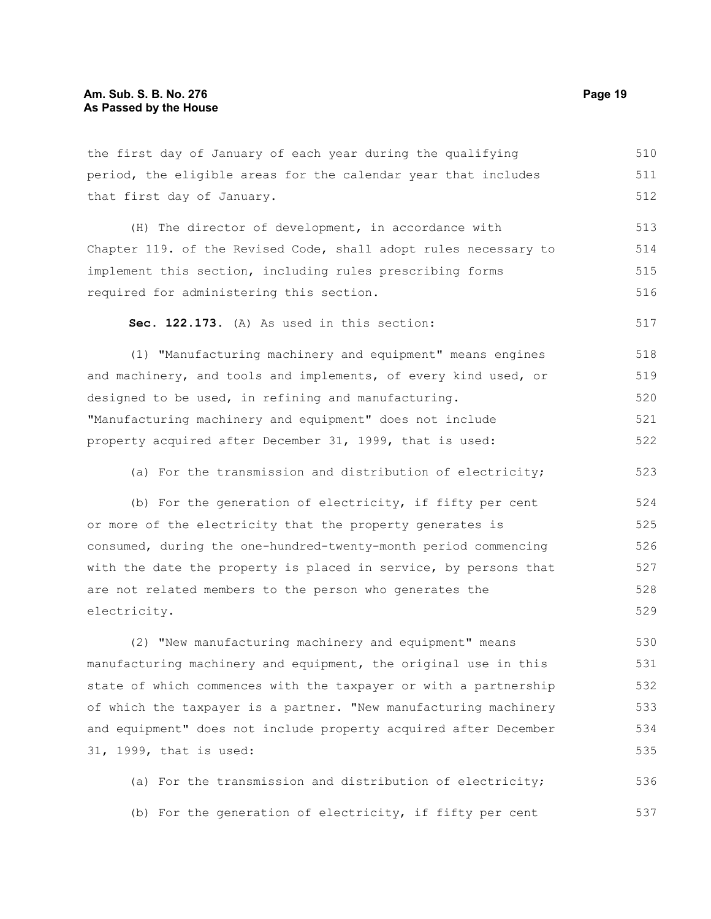the first day of January of each year during the qualifying period, the eligible areas for the calendar year that includes that first day of January. (H) The director of development, in accordance with Chapter 119. of the Revised Code, shall adopt rules necessary to implement this section, including rules prescribing forms required for administering this section.

**Sec. 122.173.** (A) As used in this section: 517

(1) "Manufacturing machinery and equipment" means engines and machinery, and tools and implements, of every kind used, or designed to be used, in refining and manufacturing. "Manufacturing machinery and equipment" does not include property acquired after December 31, 1999, that is used: 518 519 520 521 522

(a) For the transmission and distribution of electricity; 523

(b) For the generation of electricity, if fifty per cent or more of the electricity that the property generates is consumed, during the one-hundred-twenty-month period commencing with the date the property is placed in service, by persons that are not related members to the person who generates the electricity. 524 525 526 527 528 529

(2) "New manufacturing machinery and equipment" means manufacturing machinery and equipment, the original use in this state of which commences with the taxpayer or with a partnership of which the taxpayer is a partner. "New manufacturing machinery and equipment" does not include property acquired after December 31, 1999, that is used: 530 531 532 533 534 535

(a) For the transmission and distribution of electricity; (b) For the generation of electricity, if fifty per cent 536 537

510 511 512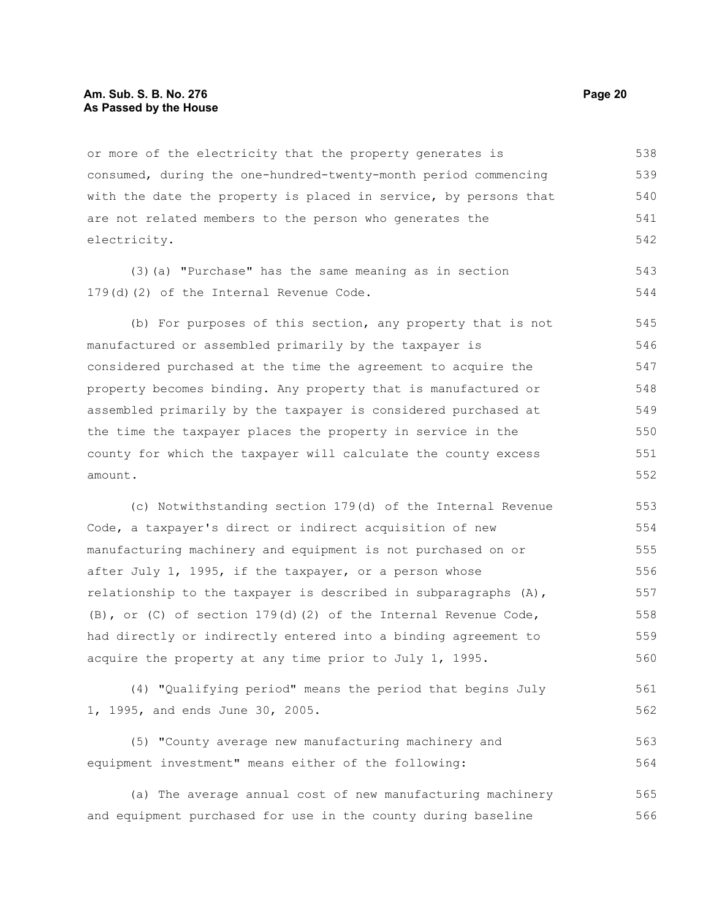## **Am. Sub. S. B. No. 276 Page 20 As Passed by the House**

or more of the electricity that the property generates is consumed, during the one-hundred-twenty-month period commencing with the date the property is placed in service, by persons that are not related members to the person who generates the electricity. 538 539 540 541 542

(3)(a) "Purchase" has the same meaning as in section 179(d)(2) of the Internal Revenue Code. 543 544

(b) For purposes of this section, any property that is not manufactured or assembled primarily by the taxpayer is considered purchased at the time the agreement to acquire the property becomes binding. Any property that is manufactured or assembled primarily by the taxpayer is considered purchased at the time the taxpayer places the property in service in the county for which the taxpayer will calculate the county excess amount. 545 546 547 548 549 550 551 552

(c) Notwithstanding section 179(d) of the Internal Revenue Code, a taxpayer's direct or indirect acquisition of new manufacturing machinery and equipment is not purchased on or after July 1, 1995, if the taxpayer, or a person whose relationship to the taxpayer is described in subparagraphs (A), (B), or (C) of section  $179(d)(2)$  of the Internal Revenue Code, had directly or indirectly entered into a binding agreement to acquire the property at any time prior to July 1, 1995. 553 554 555 556 557 558 559 560

(4) "Qualifying period" means the period that begins July 1, 1995, and ends June 30, 2005. 561 562

(5) "County average new manufacturing machinery and equipment investment" means either of the following: 563 564

(a) The average annual cost of new manufacturing machinery and equipment purchased for use in the county during baseline 565 566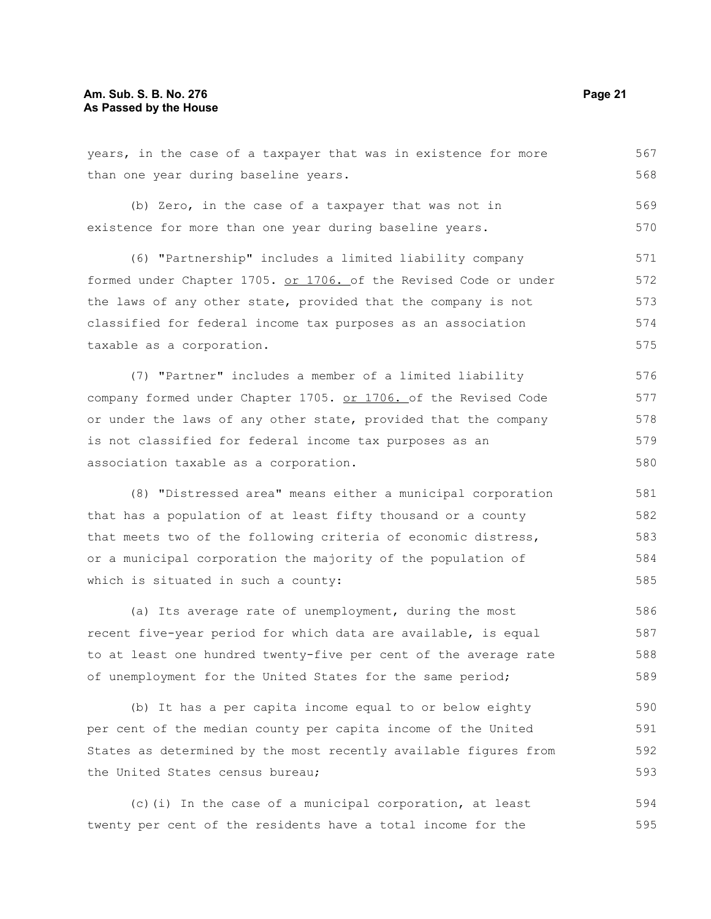## **Am. Sub. S. B. No. 276 Page 21 As Passed by the House**

years, in the case of a taxpayer that was in existence for more than one year during baseline years. (b) Zero, in the case of a taxpayer that was not in existence for more than one year during baseline years. (6) "Partnership" includes a limited liability company formed under Chapter 1705. or 1706. of the Revised Code or under the laws of any other state, provided that the company is not classified for federal income tax purposes as an association taxable as a corporation. (7) "Partner" includes a member of a limited liability company formed under Chapter 1705. or 1706. of the Revised Code or under the laws of any other state, provided that the company is not classified for federal income tax purposes as an association taxable as a corporation. (8) "Distressed area" means either a municipal corporation that has a population of at least fifty thousand or a county that meets two of the following criteria of economic distress, or a municipal corporation the majority of the population of which is situated in such a county: (a) Its average rate of unemployment, during the most recent five-year period for which data are available, is equal to at least one hundred twenty-five per cent of the average rate of unemployment for the United States for the same period; (b) It has a per capita income equal to or below eighty per cent of the median county per capita income of the United States as determined by the most recently available figures from the United States census bureau; 567 568 569 570 571 572 573 574 575 576 577 578 579 580 581 582 583 584 585 586 587 588 589 590 591 592 593

(c)(i) In the case of a municipal corporation, at least twenty per cent of the residents have a total income for the 594 595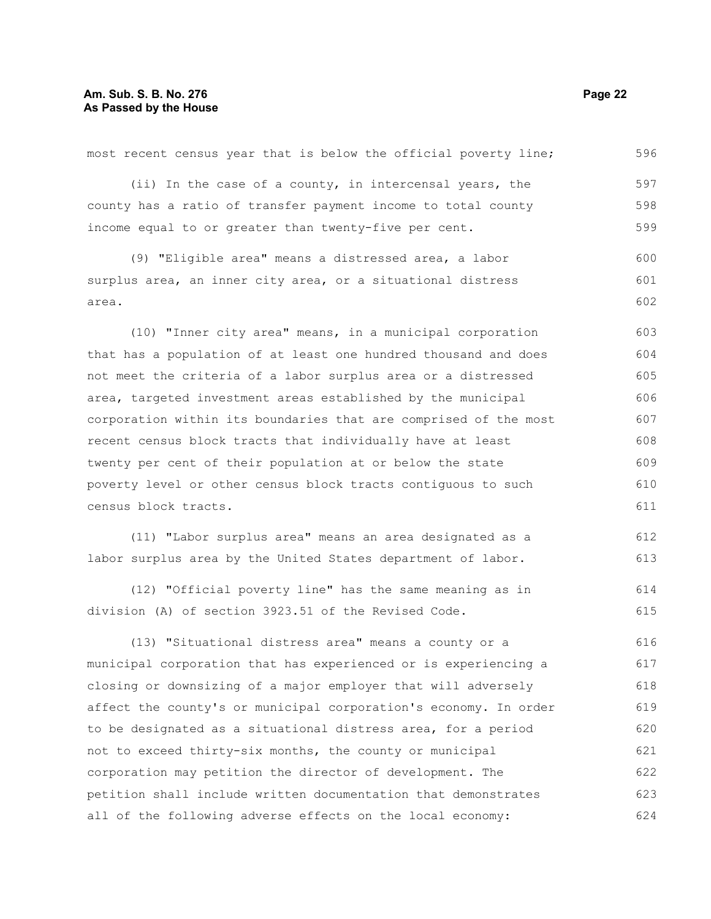## **Am. Sub. S. B. No. 276 Page 22 As Passed by the House**

| most recent census year that is below the official poverty line; | 596 |
|------------------------------------------------------------------|-----|
| (ii) In the case of a county, in intercensal years, the          | 597 |
| county has a ratio of transfer payment income to total county    | 598 |
| income equal to or greater than twenty-five per cent.            | 599 |
| (9) "Eligible area" means a distressed area, a labor             | 600 |
| surplus area, an inner city area, or a situational distress      | 601 |
| area.                                                            | 602 |
|                                                                  |     |
| (10) "Inner city area" means, in a municipal corporation         | 603 |
| that has a population of at least one hundred thousand and does  | 604 |
| not meet the criteria of a labor surplus area or a distressed    | 605 |
| area, targeted investment areas established by the municipal     | 606 |
| corporation within its boundaries that are comprised of the most | 607 |
| recent census block tracts that individually have at least       | 608 |
| twenty per cent of their population at or below the state        | 609 |
| poverty level or other census block tracts contiguous to such    | 610 |
| census block tracts.                                             | 611 |
| (11) "Labor surplus area" means an area designated as a          | 612 |
| labor surplus area by the United States department of labor.     | 613 |
| (12) "Official poverty line" has the same meaning as in          | 614 |
| division (A) of section 3923.51 of the Revised Code.             | 615 |
|                                                                  |     |
| (13) "Situational distress area" means a county or a             | 616 |
| municipal corporation that has experienced or is experiencing a  | 617 |
| closing or downsizing of a major employer that will adversely    | 618 |
| affect the county's or municipal corporation's economy. In order | 619 |
| to be designated as a situational distress area, for a period    | 620 |
| not to exceed thirty-six months, the county or municipal         | 621 |
| corporation may petition the director of development. The        | 622 |

petition shall include written documentation that demonstrates all of the following adverse effects on the local economy: 623 624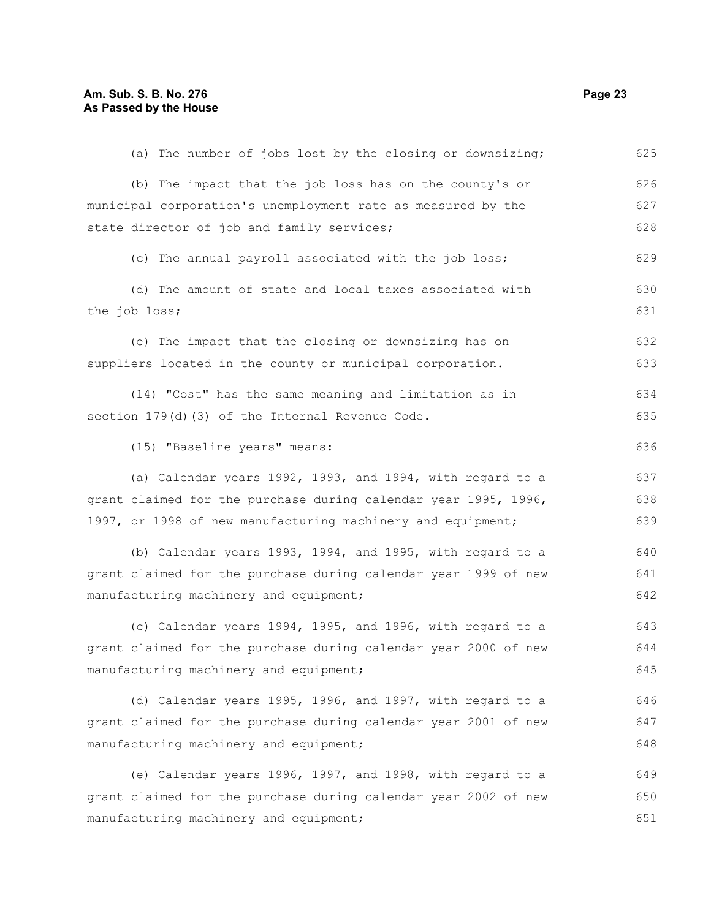| (a) The number of jobs lost by the closing or downsizing;       | 625 |
|-----------------------------------------------------------------|-----|
| (b) The impact that the job loss has on the county's or         | 626 |
| municipal corporation's unemployment rate as measured by the    | 627 |
| state director of job and family services;                      | 628 |
| (c) The annual payroll associated with the job loss;            | 629 |
| (d) The amount of state and local taxes associated with         | 630 |
| the job loss;                                                   | 631 |
| (e) The impact that the closing or downsizing has on            | 632 |
| suppliers located in the county or municipal corporation.       | 633 |
| (14) "Cost" has the same meaning and limitation as in           | 634 |
| section 179(d)(3) of the Internal Revenue Code.                 | 635 |
| (15) "Baseline years" means:                                    | 636 |
| (a) Calendar years 1992, 1993, and 1994, with regard to a       | 637 |
| grant claimed for the purchase during calendar year 1995, 1996, | 638 |
| 1997, or 1998 of new manufacturing machinery and equipment;     | 639 |
| (b) Calendar years 1993, 1994, and 1995, with regard to a       | 640 |
| grant claimed for the purchase during calendar year 1999 of new | 641 |
| manufacturing machinery and equipment;                          | 642 |
| (c) Calendar years 1994, 1995, and 1996, with regard to a       | 643 |
| grant claimed for the purchase during calendar year 2000 of new | 644 |
| manufacturing machinery and equipment;                          | 645 |
| (d) Calendar years 1995, 1996, and 1997, with regard to a       | 646 |
| grant claimed for the purchase during calendar year 2001 of new | 647 |
| manufacturing machinery and equipment;                          | 648 |
| (e) Calendar years 1996, 1997, and 1998, with regard to a       | 649 |
| grant claimed for the purchase during calendar year 2002 of new | 650 |
| manufacturing machinery and equipment;                          | 651 |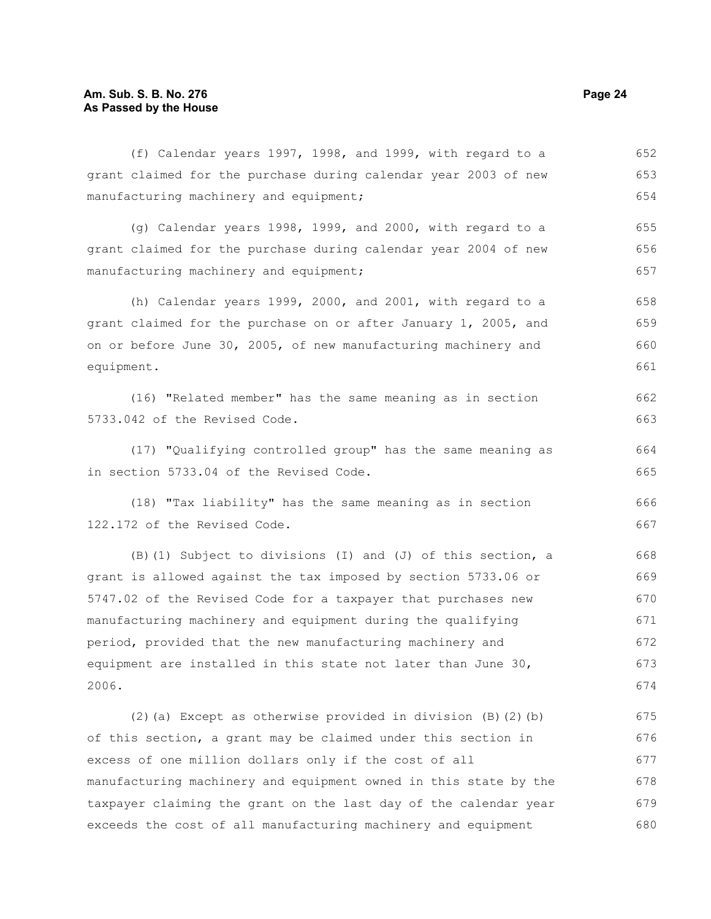## **Am. Sub. S. B. No. 276 Page 24 As Passed by the House**

(f) Calendar years 1997, 1998, and 1999, with regard to a grant claimed for the purchase during calendar year 2003 of new manufacturing machinery and equipment; 652 653 654

(g) Calendar years 1998, 1999, and 2000, with regard to a grant claimed for the purchase during calendar year 2004 of new manufacturing machinery and equipment; 655 656 657

(h) Calendar years 1999, 2000, and 2001, with regard to a grant claimed for the purchase on or after January 1, 2005, and on or before June 30, 2005, of new manufacturing machinery and equipment. 658 659 660 661

(16) "Related member" has the same meaning as in section 5733.042 of the Revised Code.

(17) "Qualifying controlled group" has the same meaning as in section 5733.04 of the Revised Code.

(18) "Tax liability" has the same meaning as in section 122.172 of the Revised Code.

(B)(1) Subject to divisions (I) and (J) of this section, a grant is allowed against the tax imposed by section 5733.06 or 5747.02 of the Revised Code for a taxpayer that purchases new manufacturing machinery and equipment during the qualifying period, provided that the new manufacturing machinery and equipment are installed in this state not later than June 30, 2006. 668 669 670 671 672 673 674

(2)(a) Except as otherwise provided in division  $(B)(2)(b)$ of this section, a grant may be claimed under this section in excess of one million dollars only if the cost of all manufacturing machinery and equipment owned in this state by the taxpayer claiming the grant on the last day of the calendar year exceeds the cost of all manufacturing machinery and equipment 675 676 677 678 679 680

663

662

664 665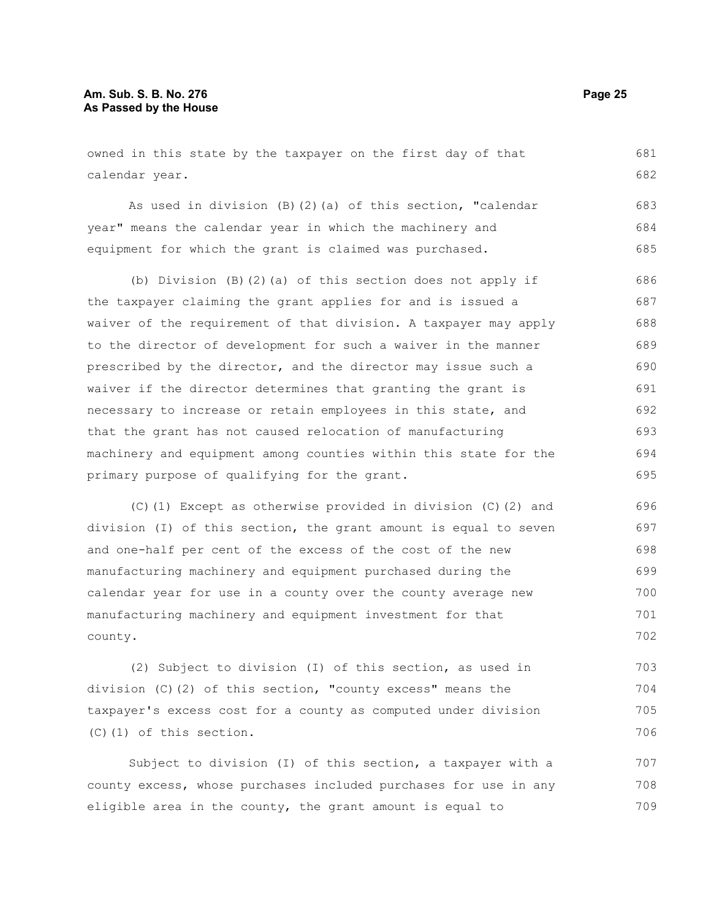## **Am. Sub. S. B. No. 276 Page 25 As Passed by the House**

owned in this state by the taxpayer on the first day of that calendar year. 681 682

As used in division  $(B)$   $(2)$   $(a)$  of this section, "calendar year" means the calendar year in which the machinery and equipment for which the grant is claimed was purchased. 683 684 685

(b) Division (B)(2)(a) of this section does not apply if the taxpayer claiming the grant applies for and is issued a waiver of the requirement of that division. A taxpayer may apply to the director of development for such a waiver in the manner prescribed by the director, and the director may issue such a waiver if the director determines that granting the grant is necessary to increase or retain employees in this state, and that the grant has not caused relocation of manufacturing machinery and equipment among counties within this state for the primary purpose of qualifying for the grant. 686 687 688 689 690 691 692 693 694 695

(C)(1) Except as otherwise provided in division (C)(2) and division (I) of this section, the grant amount is equal to seven and one-half per cent of the excess of the cost of the new manufacturing machinery and equipment purchased during the calendar year for use in a county over the county average new manufacturing machinery and equipment investment for that county. 696 697 698 699 700 701 702

(2) Subject to division (I) of this section, as used in division (C)(2) of this section, "county excess" means the taxpayer's excess cost for a county as computed under division (C)(1) of this section. 703 704 705 706

Subject to division (I) of this section, a taxpayer with a county excess, whose purchases included purchases for use in any eligible area in the county, the grant amount is equal to 707 708 709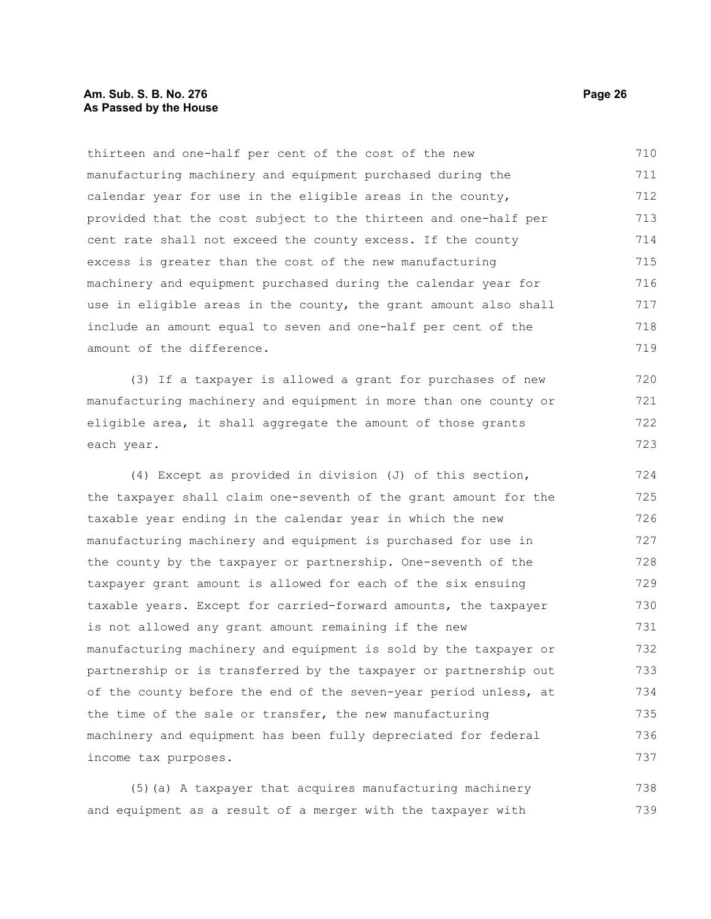## **Am. Sub. S. B. No. 276 Page 26 As Passed by the House**

thirteen and one-half per cent of the cost of the new manufacturing machinery and equipment purchased during the calendar year for use in the eligible areas in the county, provided that the cost subject to the thirteen and one-half per cent rate shall not exceed the county excess. If the county excess is greater than the cost of the new manufacturing machinery and equipment purchased during the calendar year for use in eligible areas in the county, the grant amount also shall include an amount equal to seven and one-half per cent of the amount of the difference. 710 711 712 713 714 715 716 717 718 719

(3) If a taxpayer is allowed a grant for purchases of new manufacturing machinery and equipment in more than one county or eligible area, it shall aggregate the amount of those grants each year.

(4) Except as provided in division (J) of this section, the taxpayer shall claim one-seventh of the grant amount for the taxable year ending in the calendar year in which the new manufacturing machinery and equipment is purchased for use in the county by the taxpayer or partnership. One-seventh of the taxpayer grant amount is allowed for each of the six ensuing taxable years. Except for carried-forward amounts, the taxpayer is not allowed any grant amount remaining if the new manufacturing machinery and equipment is sold by the taxpayer or partnership or is transferred by the taxpayer or partnership out of the county before the end of the seven-year period unless, at the time of the sale or transfer, the new manufacturing machinery and equipment has been fully depreciated for federal income tax purposes. 724 725 726 727 728 729 730 731 732 733 734 735 736 737

(5)(a) A taxpayer that acquires manufacturing machinery and equipment as a result of a merger with the taxpayer with 738 739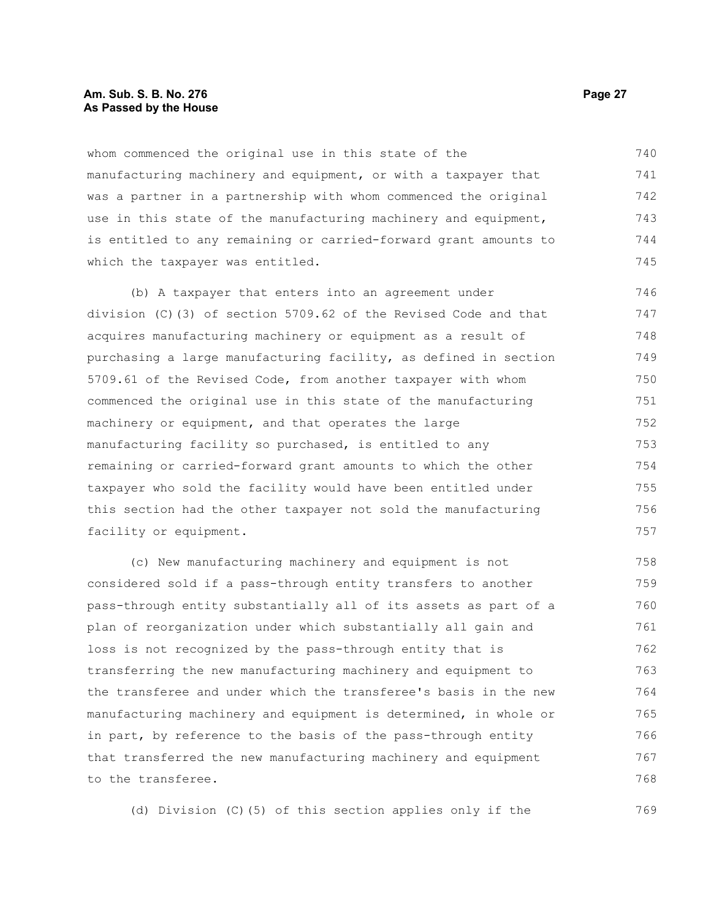## **Am. Sub. S. B. No. 276 Page 27 As Passed by the House**

whom commenced the original use in this state of the manufacturing machinery and equipment, or with a taxpayer that was a partner in a partnership with whom commenced the original use in this state of the manufacturing machinery and equipment, is entitled to any remaining or carried-forward grant amounts to which the taxpayer was entitled. 740 741 742 743 744 745

(b) A taxpayer that enters into an agreement under division (C)(3) of section 5709.62 of the Revised Code and that acquires manufacturing machinery or equipment as a result of purchasing a large manufacturing facility, as defined in section 5709.61 of the Revised Code, from another taxpayer with whom commenced the original use in this state of the manufacturing machinery or equipment, and that operates the large manufacturing facility so purchased, is entitled to any remaining or carried-forward grant amounts to which the other taxpayer who sold the facility would have been entitled under this section had the other taxpayer not sold the manufacturing facility or equipment. 746 747 748 749 750 751 752 753 754 755 756 757

(c) New manufacturing machinery and equipment is not considered sold if a pass-through entity transfers to another pass-through entity substantially all of its assets as part of a plan of reorganization under which substantially all gain and loss is not recognized by the pass-through entity that is transferring the new manufacturing machinery and equipment to the transferee and under which the transferee's basis in the new manufacturing machinery and equipment is determined, in whole or in part, by reference to the basis of the pass-through entity that transferred the new manufacturing machinery and equipment to the transferee. 758 759 760 761 762 763 764 765 766 767 768

(d) Division (C)(5) of this section applies only if the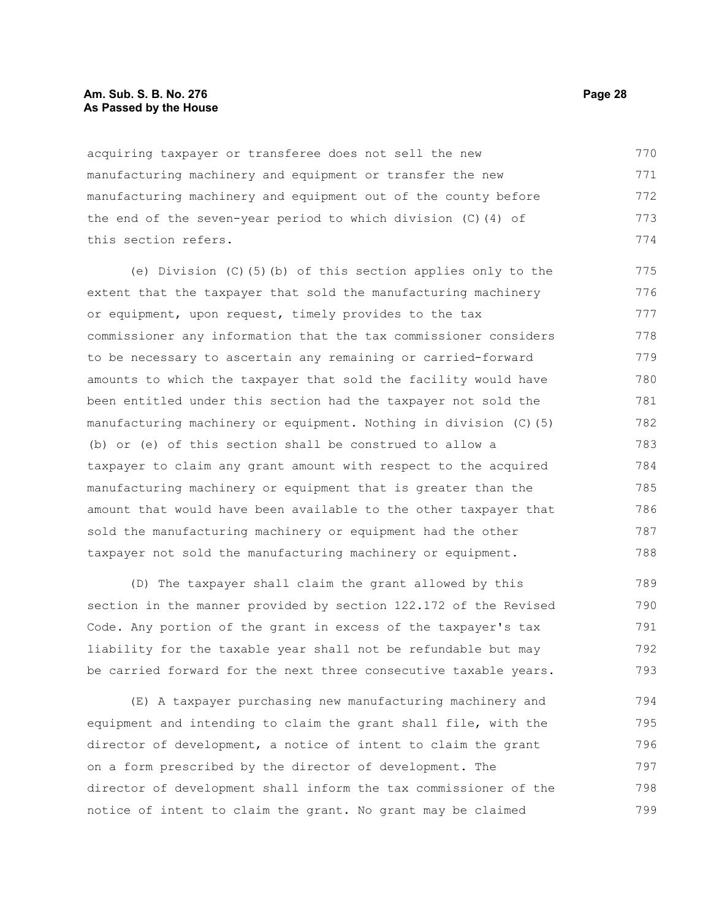## **Am. Sub. S. B. No. 276 Page 28 As Passed by the House**

acquiring taxpayer or transferee does not sell the new manufacturing machinery and equipment or transfer the new manufacturing machinery and equipment out of the county before the end of the seven-year period to which division (C)(4) of this section refers. 770 771 772 773 774

(e) Division (C)(5)(b) of this section applies only to the extent that the taxpayer that sold the manufacturing machinery or equipment, upon request, timely provides to the tax commissioner any information that the tax commissioner considers to be necessary to ascertain any remaining or carried-forward amounts to which the taxpayer that sold the facility would have been entitled under this section had the taxpayer not sold the manufacturing machinery or equipment. Nothing in division (C)(5) (b) or (e) of this section shall be construed to allow a taxpayer to claim any grant amount with respect to the acquired manufacturing machinery or equipment that is greater than the amount that would have been available to the other taxpayer that sold the manufacturing machinery or equipment had the other taxpayer not sold the manufacturing machinery or equipment. 775 776 777 778 779 780 781 782 783 784 785 786 787 788

(D) The taxpayer shall claim the grant allowed by this section in the manner provided by section 122.172 of the Revised Code. Any portion of the grant in excess of the taxpayer's tax liability for the taxable year shall not be refundable but may be carried forward for the next three consecutive taxable years. 789 790 791 792 793

(E) A taxpayer purchasing new manufacturing machinery and equipment and intending to claim the grant shall file, with the director of development, a notice of intent to claim the grant on a form prescribed by the director of development. The director of development shall inform the tax commissioner of the notice of intent to claim the grant. No grant may be claimed 794 795 796 797 798 799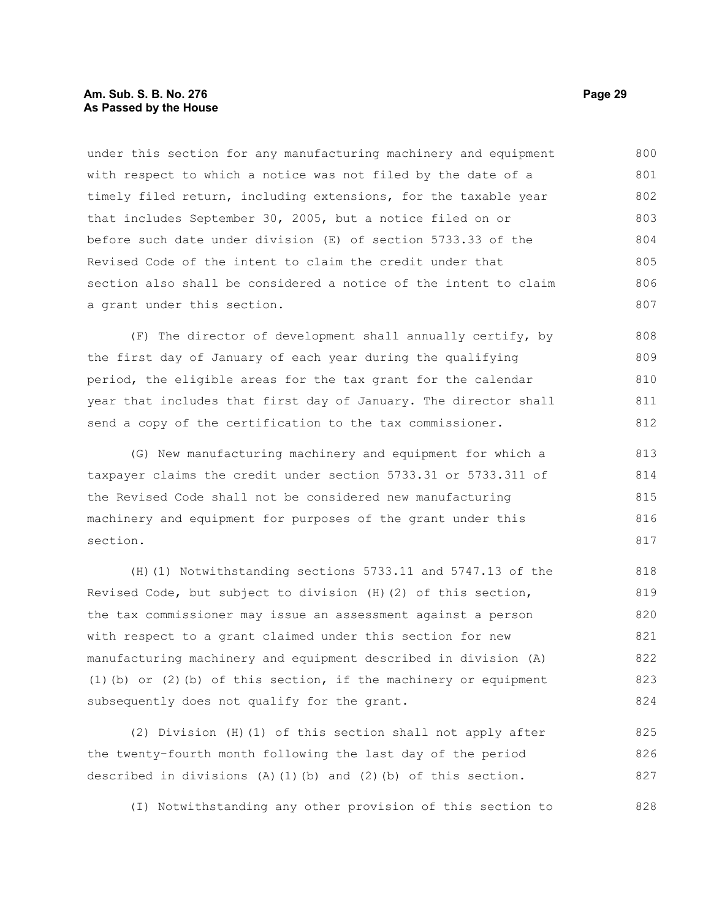## **Am. Sub. S. B. No. 276 Page 29 As Passed by the House**

under this section for any manufacturing machinery and equipment with respect to which a notice was not filed by the date of a timely filed return, including extensions, for the taxable year that includes September 30, 2005, but a notice filed on or before such date under division (E) of section 5733.33 of the Revised Code of the intent to claim the credit under that section also shall be considered a notice of the intent to claim a grant under this section. 800 801 802 803 804 805 806 807

(F) The director of development shall annually certify, by the first day of January of each year during the qualifying period, the eligible areas for the tax grant for the calendar year that includes that first day of January. The director shall send a copy of the certification to the tax commissioner. 808 809 810 811 812

(G) New manufacturing machinery and equipment for which a taxpayer claims the credit under section 5733.31 or 5733.311 of the Revised Code shall not be considered new manufacturing machinery and equipment for purposes of the grant under this section. 813 814 815 816 817

(H)(1) Notwithstanding sections 5733.11 and 5747.13 of the Revised Code, but subject to division (H)(2) of this section, the tax commissioner may issue an assessment against a person with respect to a grant claimed under this section for new manufacturing machinery and equipment described in division (A) (1)(b) or (2)(b) of this section, if the machinery or equipment subsequently does not qualify for the grant. 818 819 820 821 822 823 824

(2) Division (H)(1) of this section shall not apply after the twenty-fourth month following the last day of the period described in divisions  $(A)$  (1)(b) and (2)(b) of this section. 825 826 827

(I) Notwithstanding any other provision of this section to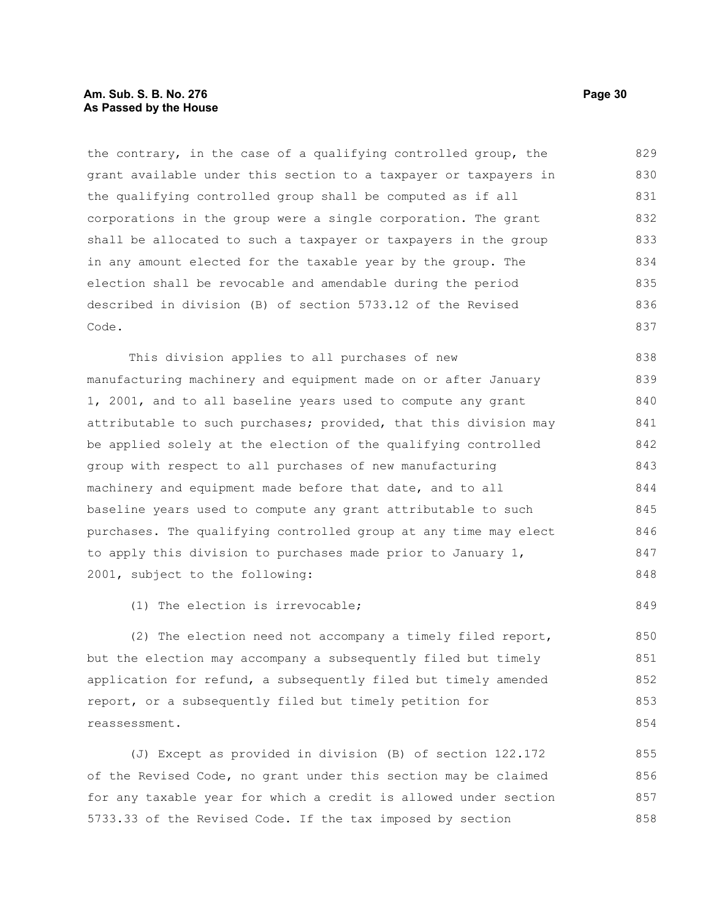## **Am. Sub. S. B. No. 276 Page 30 As Passed by the House**

the contrary, in the case of a qualifying controlled group, the grant available under this section to a taxpayer or taxpayers in the qualifying controlled group shall be computed as if all corporations in the group were a single corporation. The grant shall be allocated to such a taxpayer or taxpayers in the group in any amount elected for the taxable year by the group. The election shall be revocable and amendable during the period described in division (B) of section 5733.12 of the Revised Code. 829 830 831 832 833 834 835 836 837

This division applies to all purchases of new manufacturing machinery and equipment made on or after January 1, 2001, and to all baseline years used to compute any grant attributable to such purchases; provided, that this division may be applied solely at the election of the qualifying controlled group with respect to all purchases of new manufacturing machinery and equipment made before that date, and to all baseline years used to compute any grant attributable to such purchases. The qualifying controlled group at any time may elect to apply this division to purchases made prior to January 1, 2001, subject to the following: 838 839 840 841 842 843 844 845 846 847 848

(1) The election is irrevocable;

(2) The election need not accompany a timely filed report, but the election may accompany a subsequently filed but timely application for refund, a subsequently filed but timely amended report, or a subsequently filed but timely petition for reassessment. 850 851 852

(J) Except as provided in division (B) of section 122.172 of the Revised Code, no grant under this section may be claimed for any taxable year for which a credit is allowed under section 5733.33 of the Revised Code. If the tax imposed by section 855 856 857 858

849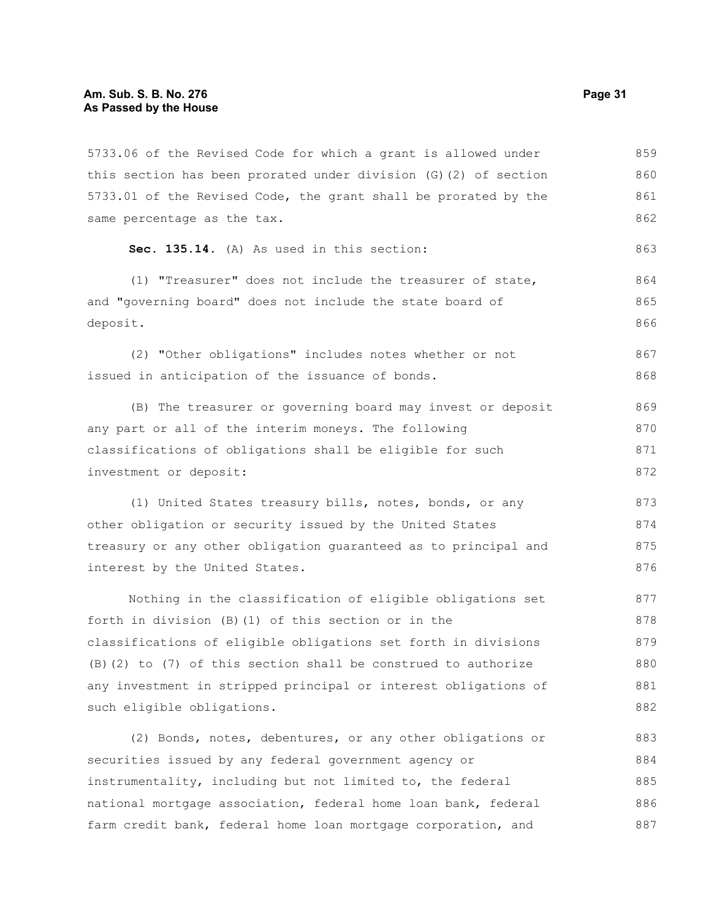5733.06 of the Revised Code for which a grant is allowed under this section has been prorated under division (G)(2) of section 5733.01 of the Revised Code, the grant shall be prorated by the same percentage as the tax. 859 860 861 862

```
Sec. 135.14. (A) As used in this section:
```
(1) "Treasurer" does not include the treasurer of state, and "governing board" does not include the state board of deposit. 864 865 866

(2) "Other obligations" includes notes whether or not issued in anticipation of the issuance of bonds. 867 868

(B) The treasurer or governing board may invest or deposit any part or all of the interim moneys. The following classifications of obligations shall be eligible for such investment or deposit: 869 870 871 872

(1) United States treasury bills, notes, bonds, or any other obligation or security issued by the United States treasury or any other obligation guaranteed as to principal and interest by the United States. 873 874 875 876

Nothing in the classification of eligible obligations set forth in division (B)(1) of this section or in the classifications of eligible obligations set forth in divisions (B)(2) to (7) of this section shall be construed to authorize any investment in stripped principal or interest obligations of such eligible obligations. 877 878 879 880 881 882

(2) Bonds, notes, debentures, or any other obligations or securities issued by any federal government agency or instrumentality, including but not limited to, the federal national mortgage association, federal home loan bank, federal farm credit bank, federal home loan mortgage corporation, and 883 884 885 886 887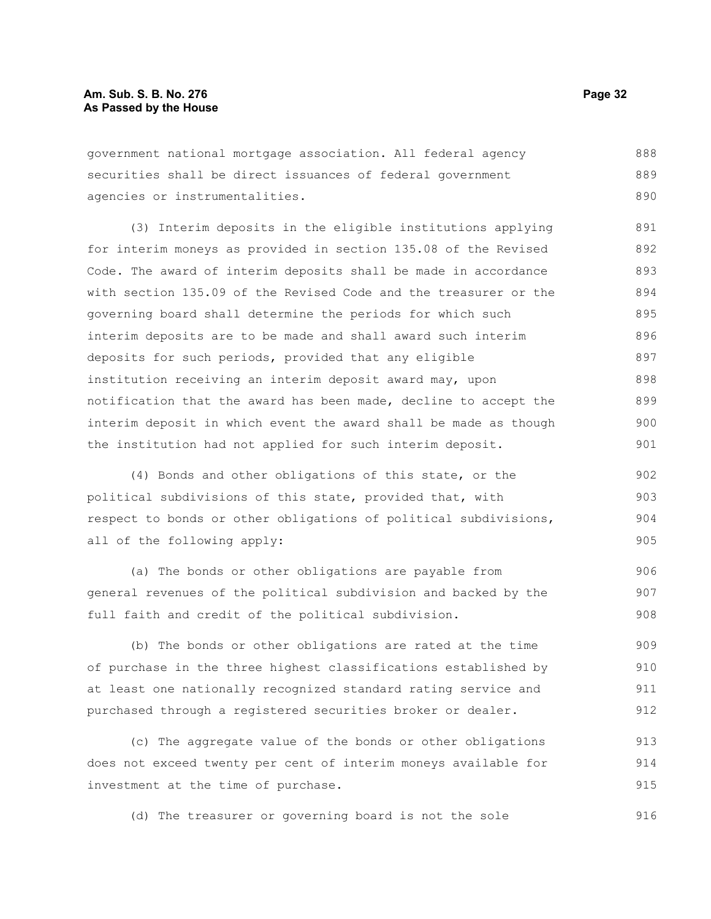## **Am. Sub. S. B. No. 276 Page 32 As Passed by the House**

government national mortgage association. All federal agency securities shall be direct issuances of federal government agencies or instrumentalities. 888 889 890

(3) Interim deposits in the eligible institutions applying for interim moneys as provided in section 135.08 of the Revised Code. The award of interim deposits shall be made in accordance with section 135.09 of the Revised Code and the treasurer or the governing board shall determine the periods for which such interim deposits are to be made and shall award such interim deposits for such periods, provided that any eligible institution receiving an interim deposit award may, upon notification that the award has been made, decline to accept the interim deposit in which event the award shall be made as though the institution had not applied for such interim deposit. 891 892 893 894 895 896 897 898 899 900 901

(4) Bonds and other obligations of this state, or the political subdivisions of this state, provided that, with respect to bonds or other obligations of political subdivisions, all of the following apply: 902 903 904 905

(a) The bonds or other obligations are payable from general revenues of the political subdivision and backed by the full faith and credit of the political subdivision. 906 907 908

(b) The bonds or other obligations are rated at the time of purchase in the three highest classifications established by at least one nationally recognized standard rating service and purchased through a registered securities broker or dealer. 909 910 911 912

(c) The aggregate value of the bonds or other obligations does not exceed twenty per cent of interim moneys available for investment at the time of purchase. 913 914 915

(d) The treasurer or governing board is not the sole 916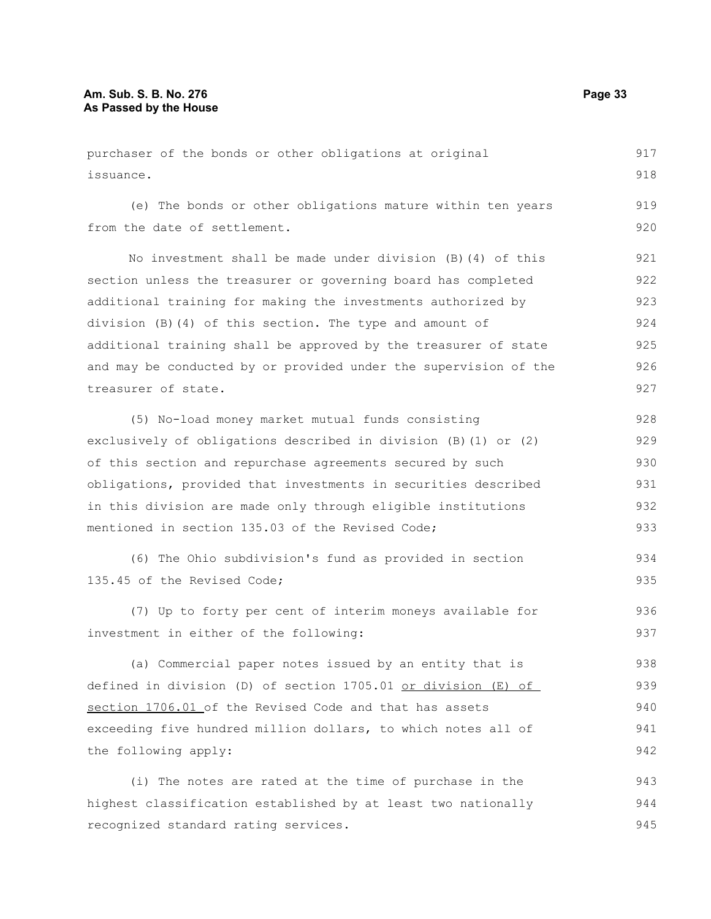purchaser of the bonds or other obligations at original issuance. (e) The bonds or other obligations mature within ten years from the date of settlement. No investment shall be made under division (B)(4) of this section unless the treasurer or governing board has completed additional training for making the investments authorized by division (B)(4) of this section. The type and amount of additional training shall be approved by the treasurer of state and may be conducted by or provided under the supervision of the treasurer of state. (5) No-load money market mutual funds consisting exclusively of obligations described in division (B)(1) or (2) of this section and repurchase agreements secured by such obligations, provided that investments in securities described in this division are made only through eligible institutions mentioned in section 135.03 of the Revised Code; (6) The Ohio subdivision's fund as provided in section 135.45 of the Revised Code; (7) Up to forty per cent of interim moneys available for investment in either of the following: (a) Commercial paper notes issued by an entity that is defined in division (D) of section 1705.01 or division (E) of section 1706.01 of the Revised Code and that has assets exceeding five hundred million dollars, to which notes all of the following apply: (i) The notes are rated at the time of purchase in the 917 918 919 920 921 922 923 924 925 926 927 928 929 930 931 932 933 934 935 936 937 938 939 940 941 942 943

highest classification established by at least two nationally

recognized standard rating services.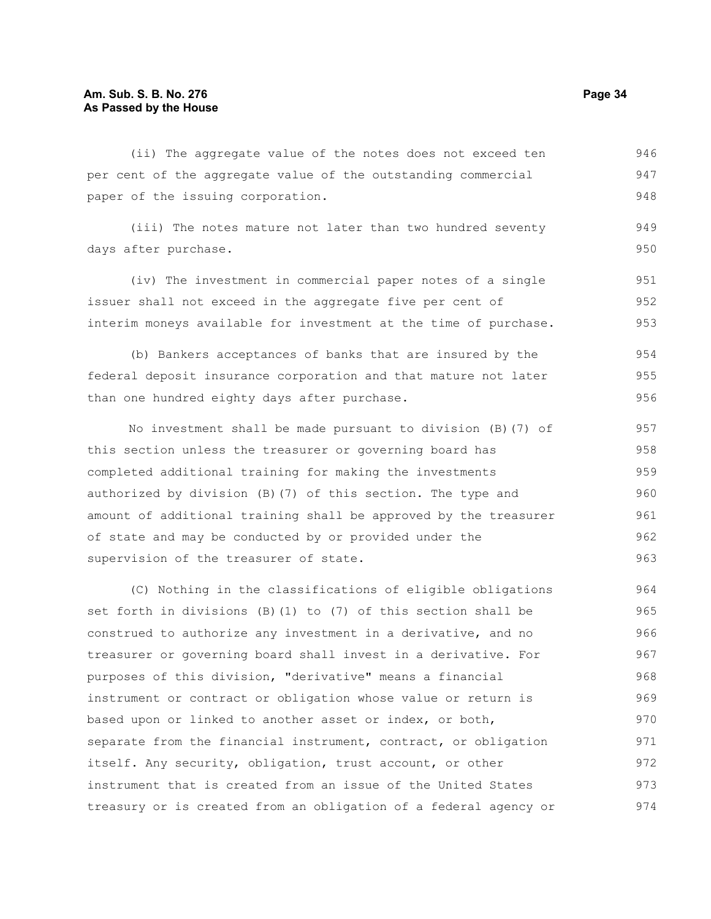(ii) The aggregate value of the notes does not exceed ten per cent of the aggregate value of the outstanding commercial paper of the issuing corporation. 946 947 948

(iii) The notes mature not later than two hundred seventy days after purchase. 949 950

(iv) The investment in commercial paper notes of a single issuer shall not exceed in the aggregate five per cent of interim moneys available for investment at the time of purchase. 951 952 953

(b) Bankers acceptances of banks that are insured by the federal deposit insurance corporation and that mature not later than one hundred eighty days after purchase. 954 955 956

No investment shall be made pursuant to division (B)(7) of this section unless the treasurer or governing board has completed additional training for making the investments authorized by division (B)(7) of this section. The type and amount of additional training shall be approved by the treasurer of state and may be conducted by or provided under the supervision of the treasurer of state. 957 958 959 960 961 962 963

(C) Nothing in the classifications of eligible obligations set forth in divisions (B)(1) to (7) of this section shall be construed to authorize any investment in a derivative, and no treasurer or governing board shall invest in a derivative. For purposes of this division, "derivative" means a financial instrument or contract or obligation whose value or return is based upon or linked to another asset or index, or both, separate from the financial instrument, contract, or obligation itself. Any security, obligation, trust account, or other instrument that is created from an issue of the United States treasury or is created from an obligation of a federal agency or 964 965 966 967 968 969 970 971 972 973 974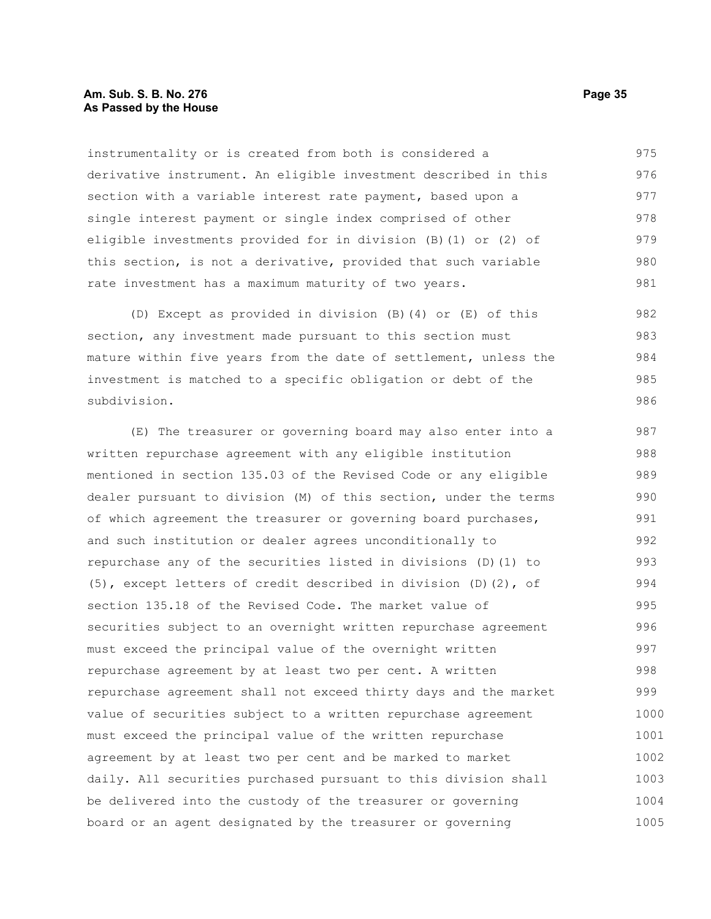## **Am. Sub. S. B. No. 276 Page 35 As Passed by the House**

instrumentality or is created from both is considered a derivative instrument. An eligible investment described in this section with a variable interest rate payment, based upon a single interest payment or single index comprised of other eligible investments provided for in division (B)(1) or (2) of this section, is not a derivative, provided that such variable rate investment has a maximum maturity of two years. 975 976 977 978 979 980 981

(D) Except as provided in division (B)(4) or (E) of this section, any investment made pursuant to this section must mature within five years from the date of settlement, unless the investment is matched to a specific obligation or debt of the subdivision. 982 983 984 985 986

(E) The treasurer or governing board may also enter into a written repurchase agreement with any eligible institution mentioned in section 135.03 of the Revised Code or any eligible dealer pursuant to division (M) of this section, under the terms of which agreement the treasurer or governing board purchases, and such institution or dealer agrees unconditionally to repurchase any of the securities listed in divisions (D)(1) to (5), except letters of credit described in division (D)(2), of section 135.18 of the Revised Code. The market value of securities subject to an overnight written repurchase agreement must exceed the principal value of the overnight written repurchase agreement by at least two per cent. A written repurchase agreement shall not exceed thirty days and the market value of securities subject to a written repurchase agreement must exceed the principal value of the written repurchase agreement by at least two per cent and be marked to market daily. All securities purchased pursuant to this division shall be delivered into the custody of the treasurer or governing board or an agent designated by the treasurer or governing 987 988 989 990 991 992 993 994 995 996 997 998 999 1000 1001 1002 1003 1004 1005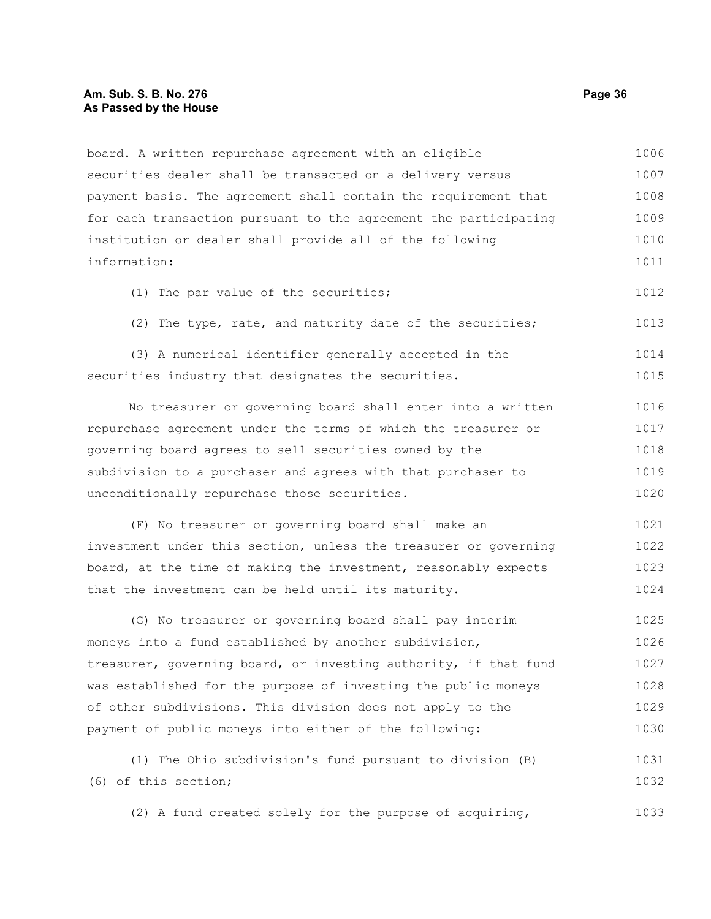## **Am. Sub. S. B. No. 276 Page 36 As Passed by the House**

| board. A written repurchase agreement with an eligible                                   | 1006 |
|------------------------------------------------------------------------------------------|------|
| securities dealer shall be transacted on a delivery versus                               | 1007 |
| payment basis. The agreement shall contain the requirement that                          | 1008 |
| for each transaction pursuant to the agreement the participating                         | 1009 |
| institution or dealer shall provide all of the following                                 | 1010 |
| information:                                                                             | 1011 |
| (1) The par value of the securities;                                                     | 1012 |
| (2) The type, rate, and maturity date of the securities;                                 | 1013 |
| (3) A numerical identifier generally accepted in the                                     | 1014 |
| securities industry that designates the securities.                                      | 1015 |
| No treasurer or governing board shall enter into a written                               | 1016 |
| repurchase agreement under the terms of which the treasurer or                           | 1017 |
| governing board agrees to sell securities owned by the                                   | 1018 |
| subdivision to a purchaser and agrees with that purchaser to                             | 1019 |
| unconditionally repurchase those securities.                                             | 1020 |
| (F) No treasurer or governing board shall make an                                        | 1021 |
| investment under this section, unless the treasurer or governing                         | 1022 |
| board, at the time of making the investment, reasonably expects                          | 1023 |
| that the investment can be held until its maturity.                                      | 1024 |
| (G) No treasurer or governing board shall pay interim                                    | 1025 |
| in the main of the common statement of the common security of the statement of the first | 1000 |

moneys into a fund established by another subdivision, treasurer, governing board, or investing authority, if that fund was established for the purpose of investing the public moneys of other subdivisions. This division does not apply to the payment of public moneys into either of the following: 1026 1027 1028 1029 1030

(1) The Ohio subdivision's fund pursuant to division (B) (6) of this section; 1031 1032

(2) A fund created solely for the purpose of acquiring, 1033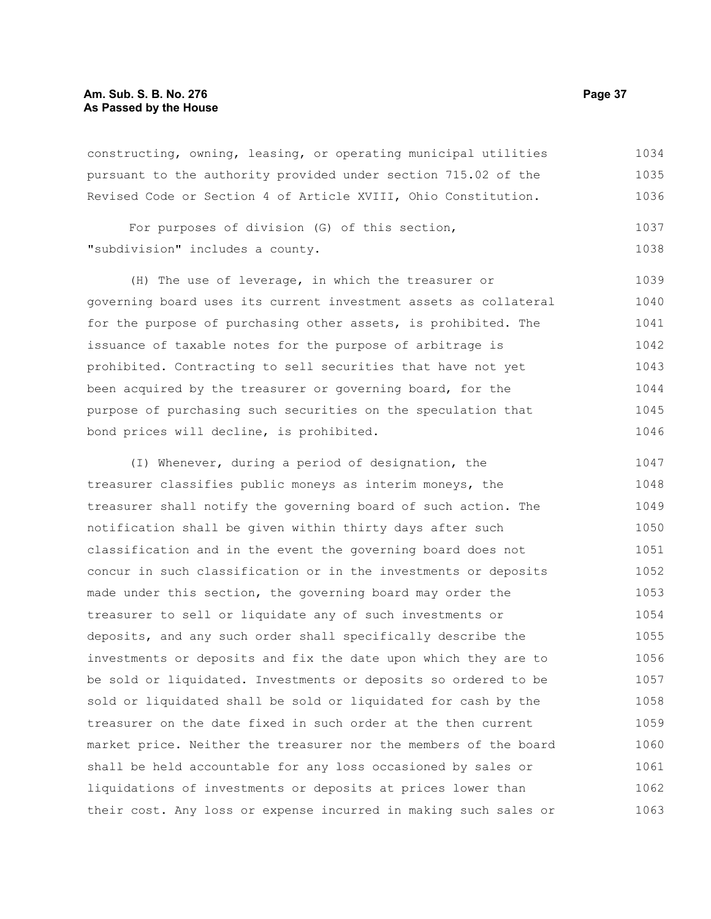# **Am. Sub. S. B. No. 276 Page 37 As Passed by the House**

constructing, owning, leasing, or operating municipal utilities pursuant to the authority provided under section 715.02 of the Revised Code or Section 4 of Article XVIII, Ohio Constitution. 1034 1035 1036

```
For purposes of division (G) of this section,
"subdivision" includes a county.
                                                                            1037
                                                                            1038
```
(H) The use of leverage, in which the treasurer or governing board uses its current investment assets as collateral for the purpose of purchasing other assets, is prohibited. The issuance of taxable notes for the purpose of arbitrage is prohibited. Contracting to sell securities that have not yet been acquired by the treasurer or governing board, for the purpose of purchasing such securities on the speculation that bond prices will decline, is prohibited. 1039 1040 1041 1042 1043 1044 1045 1046

(I) Whenever, during a period of designation, the treasurer classifies public moneys as interim moneys, the treasurer shall notify the governing board of such action. The notification shall be given within thirty days after such classification and in the event the governing board does not concur in such classification or in the investments or deposits made under this section, the governing board may order the treasurer to sell or liquidate any of such investments or deposits, and any such order shall specifically describe the investments or deposits and fix the date upon which they are to be sold or liquidated. Investments or deposits so ordered to be sold or liquidated shall be sold or liquidated for cash by the treasurer on the date fixed in such order at the then current market price. Neither the treasurer nor the members of the board shall be held accountable for any loss occasioned by sales or liquidations of investments or deposits at prices lower than their cost. Any loss or expense incurred in making such sales or 1047 1048 1049 1050 1051 1052 1053 1054 1055 1056 1057 1058 1059 1060 1061 1062 1063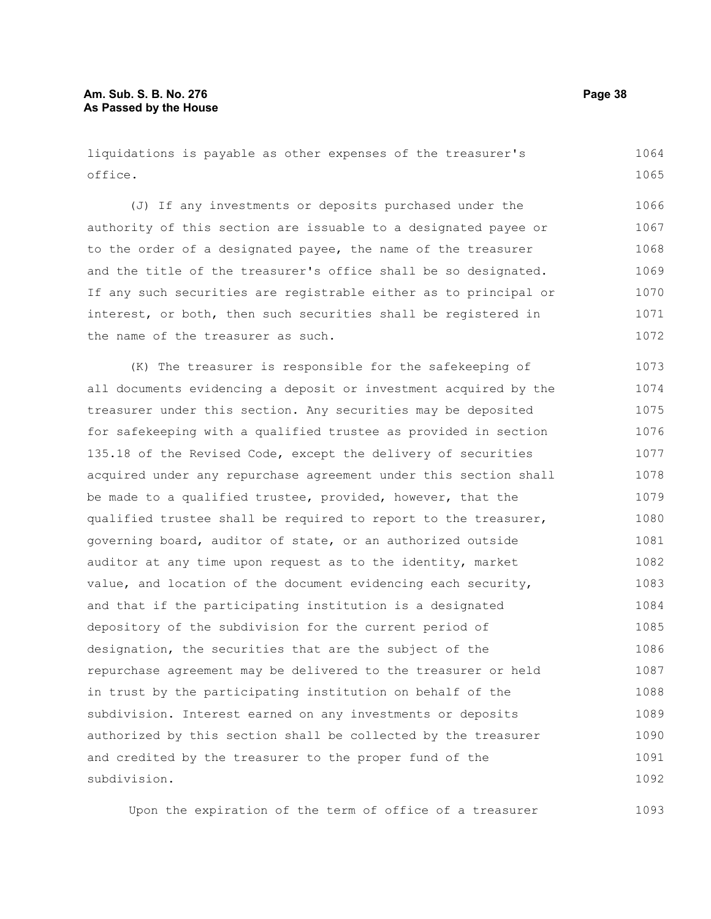liquidations is payable as other expenses of the treasurer's office. 1064 1065

(J) If any investments or deposits purchased under the authority of this section are issuable to a designated payee or to the order of a designated payee, the name of the treasurer and the title of the treasurer's office shall be so designated. If any such securities are registrable either as to principal or interest, or both, then such securities shall be registered in the name of the treasurer as such. 1066 1067 1068 1069 1070 1071 1072

(K) The treasurer is responsible for the safekeeping of all documents evidencing a deposit or investment acquired by the treasurer under this section. Any securities may be deposited for safekeeping with a qualified trustee as provided in section 135.18 of the Revised Code, except the delivery of securities acquired under any repurchase agreement under this section shall be made to a qualified trustee, provided, however, that the qualified trustee shall be required to report to the treasurer, governing board, auditor of state, or an authorized outside auditor at any time upon request as to the identity, market value, and location of the document evidencing each security, and that if the participating institution is a designated depository of the subdivision for the current period of designation, the securities that are the subject of the repurchase agreement may be delivered to the treasurer or held in trust by the participating institution on behalf of the subdivision. Interest earned on any investments or deposits authorized by this section shall be collected by the treasurer and credited by the treasurer to the proper fund of the subdivision. 1073 1074 1075 1076 1077 1078 1079 1080 1081 1082 1083 1084 1085 1086 1087 1088 1089 1090 1091 1092

Upon the expiration of the term of office of a treasurer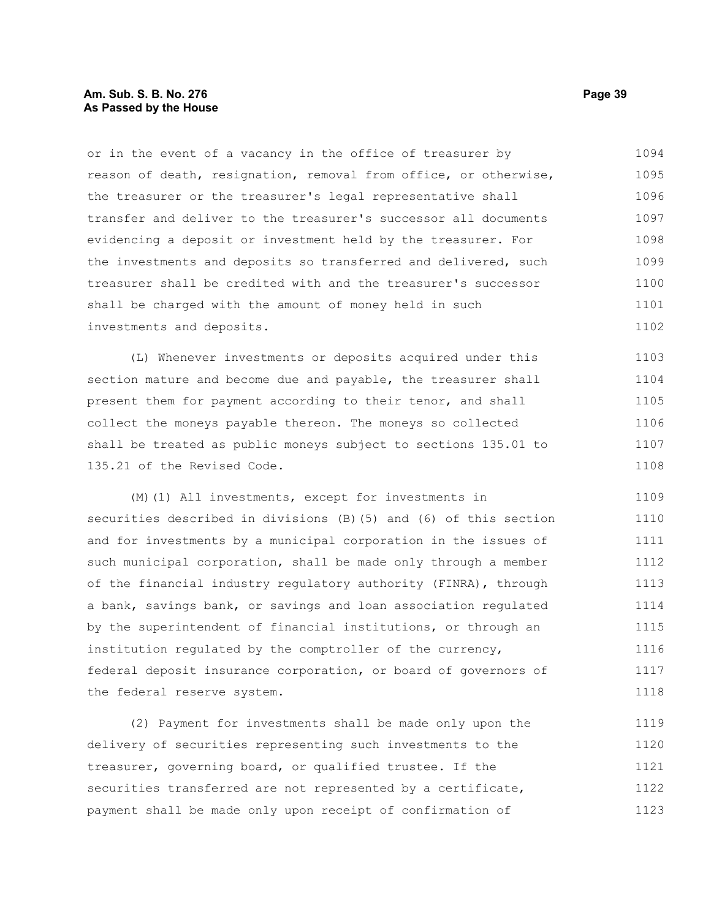## **Am. Sub. S. B. No. 276 Page 39 As Passed by the House**

or in the event of a vacancy in the office of treasurer by reason of death, resignation, removal from office, or otherwise, the treasurer or the treasurer's legal representative shall transfer and deliver to the treasurer's successor all documents evidencing a deposit or investment held by the treasurer. For the investments and deposits so transferred and delivered, such treasurer shall be credited with and the treasurer's successor shall be charged with the amount of money held in such investments and deposits. 1094 1095 1096 1097 1098 1099 1100 1101 1102

(L) Whenever investments or deposits acquired under this section mature and become due and payable, the treasurer shall present them for payment according to their tenor, and shall collect the moneys payable thereon. The moneys so collected shall be treated as public moneys subject to sections 135.01 to 135.21 of the Revised Code. 1103 1104 1105 1106 1107 1108

(M)(1) All investments, except for investments in securities described in divisions (B)(5) and (6) of this section and for investments by a municipal corporation in the issues of such municipal corporation, shall be made only through a member of the financial industry regulatory authority (FINRA), through a bank, savings bank, or savings and loan association regulated by the superintendent of financial institutions, or through an institution regulated by the comptroller of the currency, federal deposit insurance corporation, or board of governors of the federal reserve system. 1109 1110 1111 1112 1113 1114 1115 1116 1117 1118

(2) Payment for investments shall be made only upon the delivery of securities representing such investments to the treasurer, governing board, or qualified trustee. If the securities transferred are not represented by a certificate, payment shall be made only upon receipt of confirmation of 1119 1120 1121 1122 1123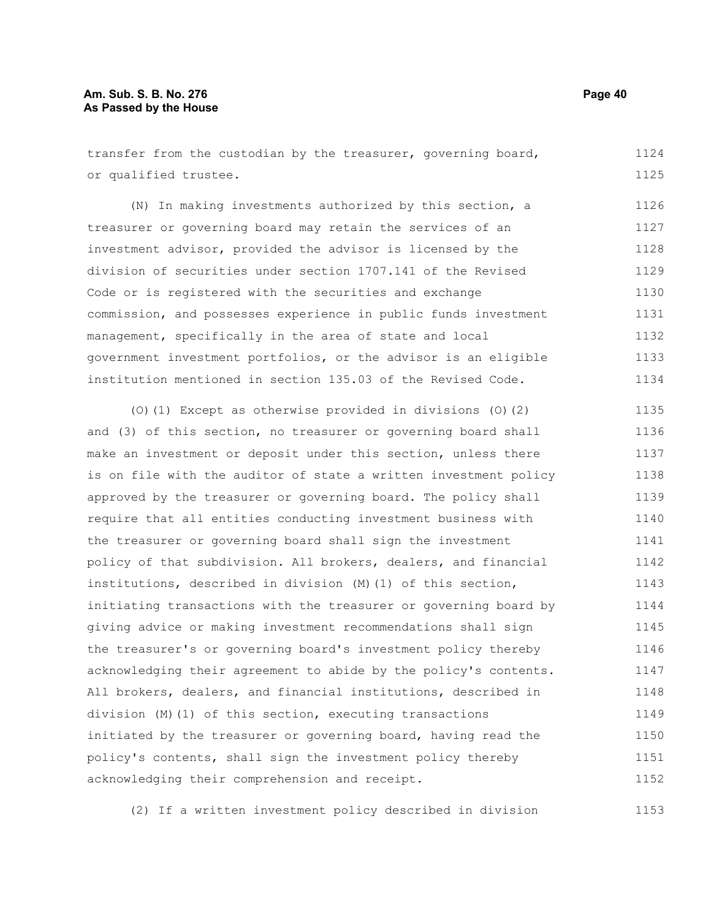transfer from the custodian by the treasurer, governing board, or qualified trustee. 1124 1125

(N) In making investments authorized by this section, a treasurer or governing board may retain the services of an investment advisor, provided the advisor is licensed by the division of securities under section 1707.141 of the Revised Code or is registered with the securities and exchange commission, and possesses experience in public funds investment management, specifically in the area of state and local government investment portfolios, or the advisor is an eligible institution mentioned in section 135.03 of the Revised Code. 1126 1127 1128 1129 1130 1131 1132 1133 1134

(O)(1) Except as otherwise provided in divisions (O)(2) and (3) of this section, no treasurer or governing board shall make an investment or deposit under this section, unless there is on file with the auditor of state a written investment policy approved by the treasurer or governing board. The policy shall require that all entities conducting investment business with the treasurer or governing board shall sign the investment policy of that subdivision. All brokers, dealers, and financial institutions, described in division (M)(1) of this section, initiating transactions with the treasurer or governing board by giving advice or making investment recommendations shall sign the treasurer's or governing board's investment policy thereby acknowledging their agreement to abide by the policy's contents. All brokers, dealers, and financial institutions, described in division (M)(1) of this section, executing transactions initiated by the treasurer or governing board, having read the policy's contents, shall sign the investment policy thereby acknowledging their comprehension and receipt. 1135 1136 1137 1138 1139 1140 1141 1142 1143 1144 1145 1146 1147 1148 1149 1150 1151 1152

(2) If a written investment policy described in division 1153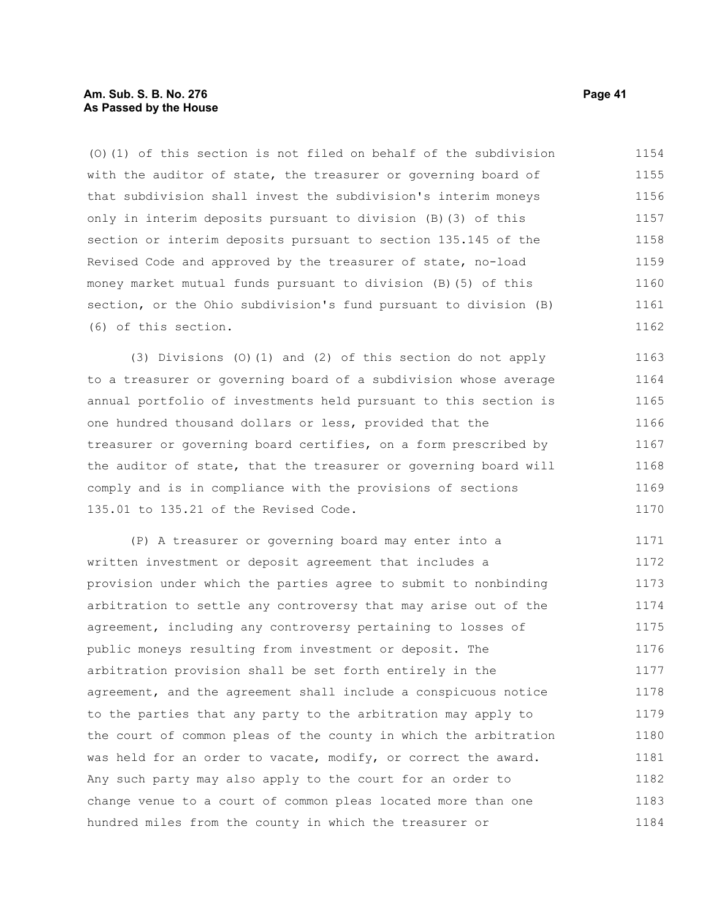## **Am. Sub. S. B. No. 276 Page 41 As Passed by the House**

(O)(1) of this section is not filed on behalf of the subdivision with the auditor of state, the treasurer or governing board of that subdivision shall invest the subdivision's interim moneys only in interim deposits pursuant to division (B)(3) of this section or interim deposits pursuant to section 135.145 of the Revised Code and approved by the treasurer of state, no-load money market mutual funds pursuant to division (B)(5) of this section, or the Ohio subdivision's fund pursuant to division (B) (6) of this section. 1154 1155 1156 1157 1158 1159 1160 1161 1162

(3) Divisions (O)(1) and (2) of this section do not apply to a treasurer or governing board of a subdivision whose average annual portfolio of investments held pursuant to this section is one hundred thousand dollars or less, provided that the treasurer or governing board certifies, on a form prescribed by the auditor of state, that the treasurer or governing board will comply and is in compliance with the provisions of sections 135.01 to 135.21 of the Revised Code. 1163 1164 1165 1166 1167 1168 1169 1170

(P) A treasurer or governing board may enter into a written investment or deposit agreement that includes a provision under which the parties agree to submit to nonbinding arbitration to settle any controversy that may arise out of the agreement, including any controversy pertaining to losses of public moneys resulting from investment or deposit. The arbitration provision shall be set forth entirely in the agreement, and the agreement shall include a conspicuous notice to the parties that any party to the arbitration may apply to the court of common pleas of the county in which the arbitration was held for an order to vacate, modify, or correct the award. Any such party may also apply to the court for an order to change venue to a court of common pleas located more than one hundred miles from the county in which the treasurer or 1171 1172 1173 1174 1175 1176 1177 1178 1179 1180 1181 1182 1183 1184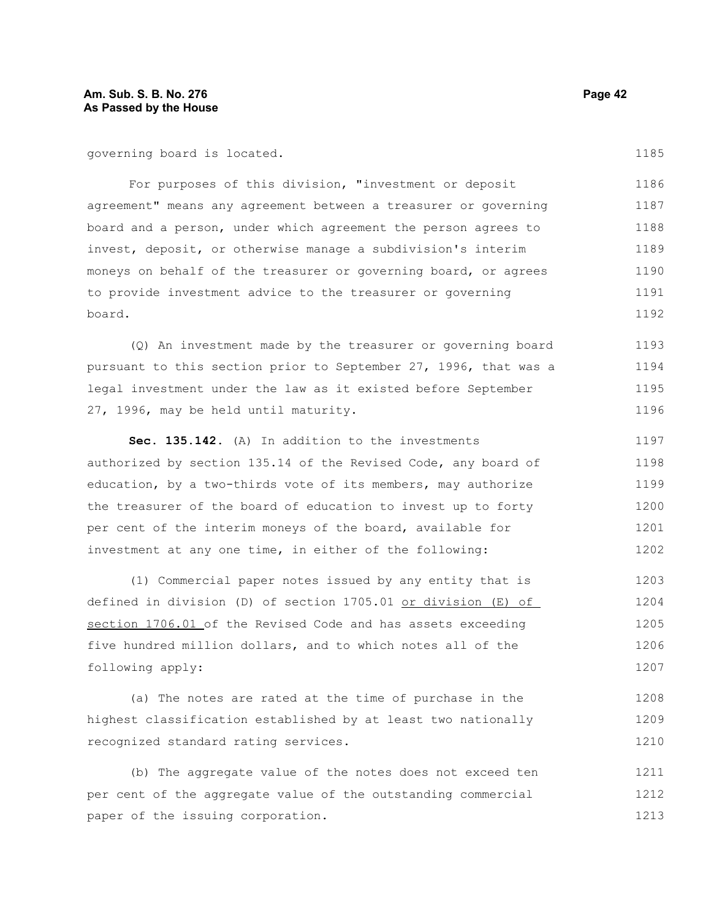# **Am. Sub. S. B. No. 276 Page 42 As Passed by the House**

governing board is located.

For purposes of this division, "investment or deposit agreement" means any agreement between a treasurer or governing board and a person, under which agreement the person agrees to invest, deposit, or otherwise manage a subdivision's interim moneys on behalf of the treasurer or governing board, or agrees to provide investment advice to the treasurer or governing board. 1186 1187 1188 1189 1190 1191 1192

(Q) An investment made by the treasurer or governing board pursuant to this section prior to September 27, 1996, that was a legal investment under the law as it existed before September 27, 1996, may be held until maturity. 1193 1194 1195 1196

**Sec. 135.142.** (A) In addition to the investments authorized by section 135.14 of the Revised Code, any board of education, by a two-thirds vote of its members, may authorize the treasurer of the board of education to invest up to forty per cent of the interim moneys of the board, available for investment at any one time, in either of the following: 1197 1198 1199 1200 1201 1202

(1) Commercial paper notes issued by any entity that is defined in division (D) of section 1705.01 or division (E) of section 1706.01 of the Revised Code and has assets exceeding five hundred million dollars, and to which notes all of the following apply: 1203 1204 1205 1206 1207

(a) The notes are rated at the time of purchase in the highest classification established by at least two nationally recognized standard rating services. 1208 1209 1210

(b) The aggregate value of the notes does not exceed ten per cent of the aggregate value of the outstanding commercial paper of the issuing corporation. 1211 1212 1213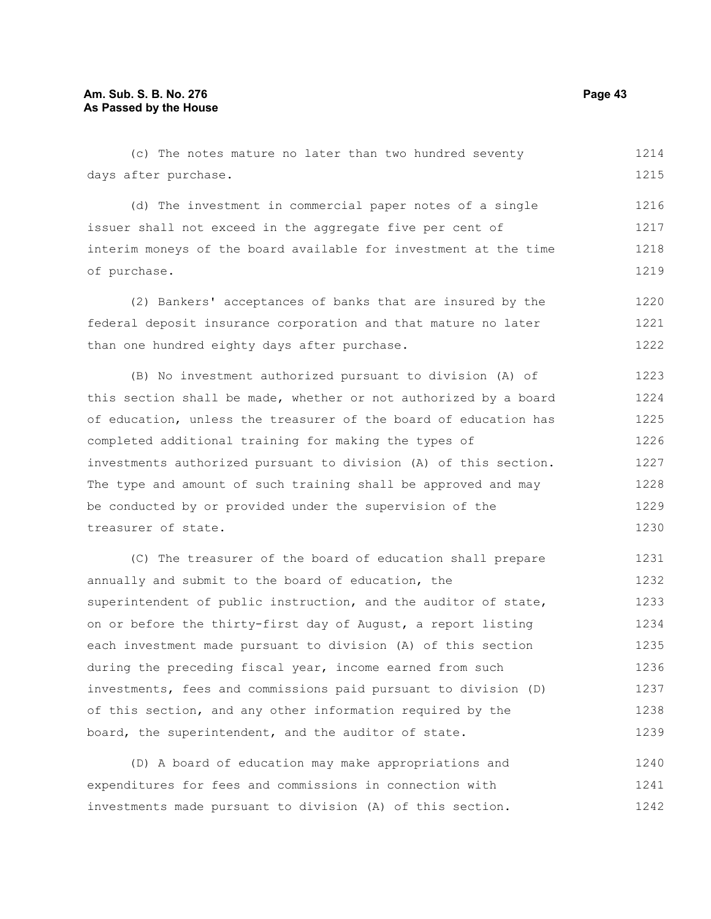(c) The notes mature no later than two hundred seventy days after purchase. 1214 1215

(d) The investment in commercial paper notes of a single issuer shall not exceed in the aggregate five per cent of interim moneys of the board available for investment at the time of purchase. 1216 1217 1218 1219

(2) Bankers' acceptances of banks that are insured by the federal deposit insurance corporation and that mature no later than one hundred eighty days after purchase. 1220 1221 1222

(B) No investment authorized pursuant to division (A) of this section shall be made, whether or not authorized by a board of education, unless the treasurer of the board of education has completed additional training for making the types of investments authorized pursuant to division (A) of this section. The type and amount of such training shall be approved and may be conducted by or provided under the supervision of the treasurer of state. 1223 1224 1225 1226 1227 1228 1229 1230

(C) The treasurer of the board of education shall prepare annually and submit to the board of education, the superintendent of public instruction, and the auditor of state, on or before the thirty-first day of August, a report listing each investment made pursuant to division (A) of this section during the preceding fiscal year, income earned from such investments, fees and commissions paid pursuant to division (D) of this section, and any other information required by the board, the superintendent, and the auditor of state. 1231 1232 1233 1234 1235 1236 1237 1238 1239

(D) A board of education may make appropriations and expenditures for fees and commissions in connection with investments made pursuant to division (A) of this section. 1240 1241 1242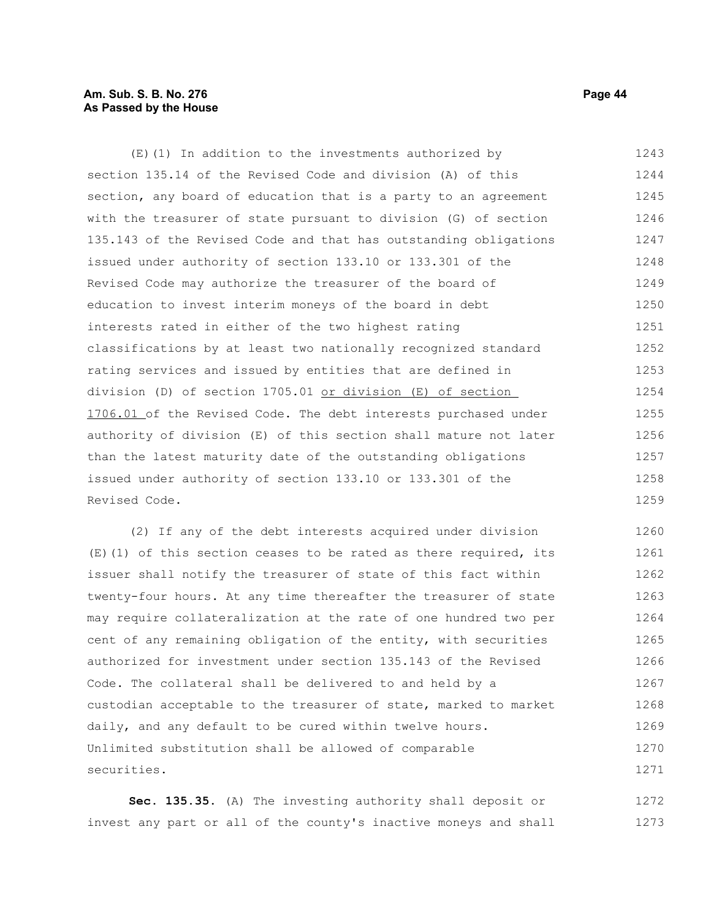# **Am. Sub. S. B. No. 276 Page 44 As Passed by the House**

(E)(1) In addition to the investments authorized by section 135.14 of the Revised Code and division (A) of this section, any board of education that is a party to an agreement with the treasurer of state pursuant to division (G) of section 135.143 of the Revised Code and that has outstanding obligations issued under authority of section 133.10 or 133.301 of the Revised Code may authorize the treasurer of the board of education to invest interim moneys of the board in debt interests rated in either of the two highest rating classifications by at least two nationally recognized standard rating services and issued by entities that are defined in division (D) of section 1705.01 or division (E) of section 1706.01 of the Revised Code. The debt interests purchased under authority of division (E) of this section shall mature not later than the latest maturity date of the outstanding obligations issued under authority of section 133.10 or 133.301 of the Revised Code. 1243 1244 1245 1246 1247 1248 1249 1250 1251 1252 1253 1254 1255 1256 1257 1258 1259

(2) If any of the debt interests acquired under division (E)(1) of this section ceases to be rated as there required, its issuer shall notify the treasurer of state of this fact within twenty-four hours. At any time thereafter the treasurer of state may require collateralization at the rate of one hundred two per cent of any remaining obligation of the entity, with securities authorized for investment under section 135.143 of the Revised Code. The collateral shall be delivered to and held by a custodian acceptable to the treasurer of state, marked to market daily, and any default to be cured within twelve hours. Unlimited substitution shall be allowed of comparable securities. 1260 1261 1262 1263 1264 1265 1266 1267 1268 1269 1270 1271

**Sec. 135.35.** (A) The investing authority shall deposit or invest any part or all of the county's inactive moneys and shall 1272 1273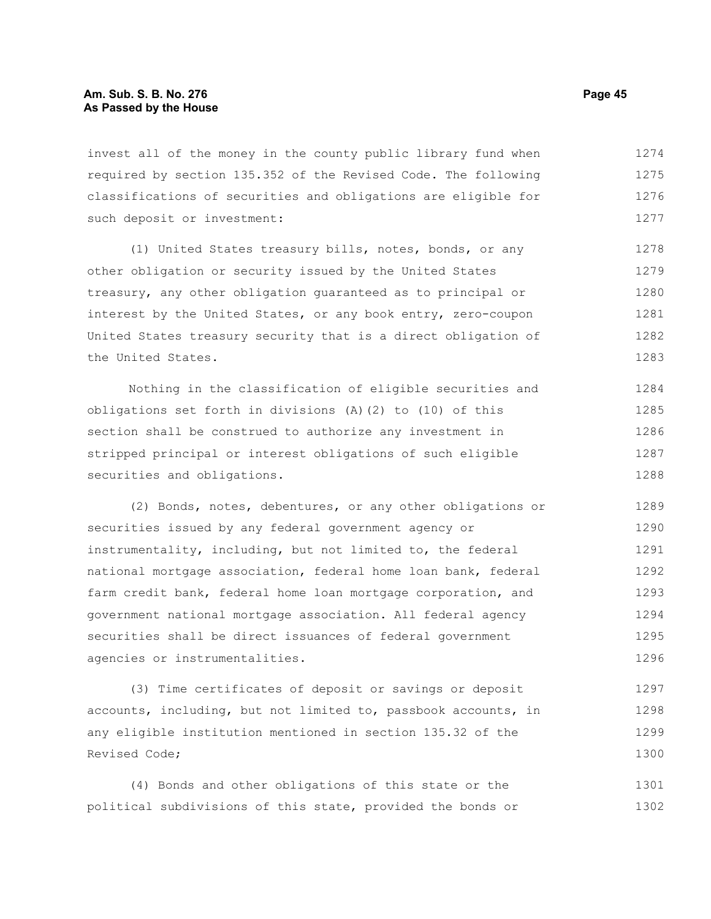invest all of the money in the county public library fund when required by section 135.352 of the Revised Code. The following classifications of securities and obligations are eligible for such deposit or investment: 1274 1275 1276 1277

(1) United States treasury bills, notes, bonds, or any other obligation or security issued by the United States treasury, any other obligation guaranteed as to principal or interest by the United States, or any book entry, zero-coupon United States treasury security that is a direct obligation of the United States. 1278 1279 1280 1281 1282 1283

Nothing in the classification of eligible securities and obligations set forth in divisions (A)(2) to (10) of this section shall be construed to authorize any investment in stripped principal or interest obligations of such eligible securities and obligations. 1284 1285 1286 1287 1288

(2) Bonds, notes, debentures, or any other obligations or securities issued by any federal government agency or instrumentality, including, but not limited to, the federal national mortgage association, federal home loan bank, federal farm credit bank, federal home loan mortgage corporation, and government national mortgage association. All federal agency securities shall be direct issuances of federal government agencies or instrumentalities. 1289 1290 1291 1292 1293 1294 1295 1296

(3) Time certificates of deposit or savings or deposit accounts, including, but not limited to, passbook accounts, in any eligible institution mentioned in section 135.32 of the Revised Code; 1297 1298 1299 1300

(4) Bonds and other obligations of this state or the political subdivisions of this state, provided the bonds or 1301 1302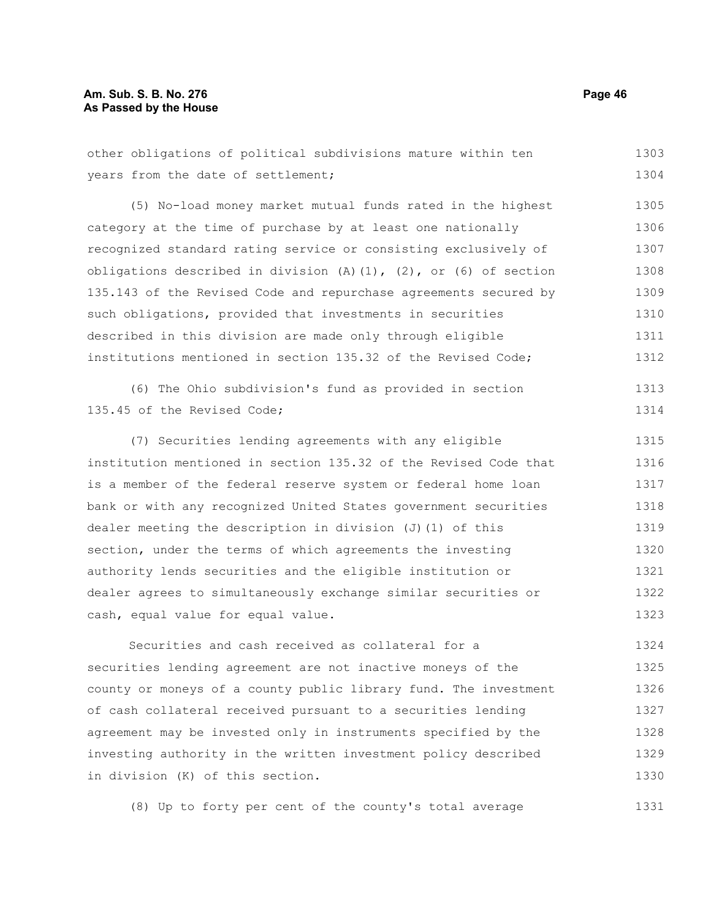# **Am. Sub. S. B. No. 276 Page 46 As Passed by the House**

other obligations of political subdivisions mature within ten years from the date of settlement; 1303 1304

(5) No-load money market mutual funds rated in the highest category at the time of purchase by at least one nationally recognized standard rating service or consisting exclusively of obligations described in division  $(A)$   $(1)$ ,  $(2)$ , or  $(6)$  of section 135.143 of the Revised Code and repurchase agreements secured by such obligations, provided that investments in securities described in this division are made only through eligible institutions mentioned in section 135.32 of the Revised Code; 1305 1306 1307 1308 1309 1310 1311 1312

(6) The Ohio subdivision's fund as provided in section 135.45 of the Revised Code; 1313 1314

(7) Securities lending agreements with any eligible institution mentioned in section 135.32 of the Revised Code that is a member of the federal reserve system or federal home loan bank or with any recognized United States government securities dealer meeting the description in division (J)(1) of this section, under the terms of which agreements the investing authority lends securities and the eligible institution or dealer agrees to simultaneously exchange similar securities or cash, equal value for equal value. 1315 1316 1317 1318 1319 1320 1321 1322 1323

Securities and cash received as collateral for a securities lending agreement are not inactive moneys of the county or moneys of a county public library fund. The investment of cash collateral received pursuant to a securities lending agreement may be invested only in instruments specified by the investing authority in the written investment policy described in division (K) of this section. 1324 1325 1326 1327 1328 1329 1330

(8) Up to forty per cent of the county's total average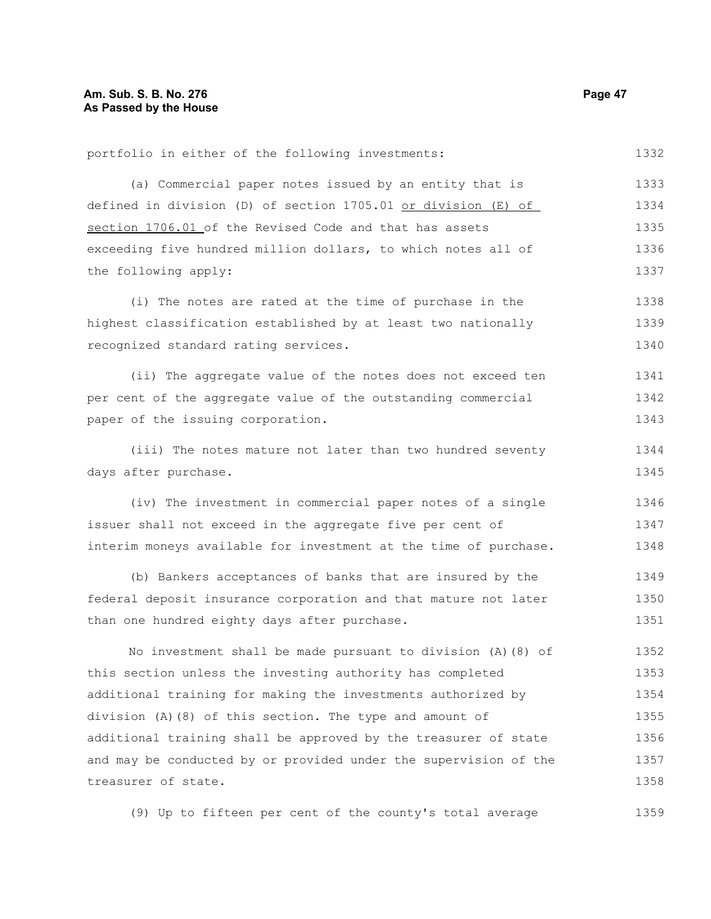1332

portfolio in either of the following investments:

(a) Commercial paper notes issued by an entity that is defined in division (D) of section 1705.01 or division (E) of section 1706.01 of the Revised Code and that has assets exceeding five hundred million dollars, to which notes all of the following apply: 1333 1334 1335 1336 1337

(i) The notes are rated at the time of purchase in the highest classification established by at least two nationally recognized standard rating services. 1338 1339 1340

(ii) The aggregate value of the notes does not exceed ten per cent of the aggregate value of the outstanding commercial paper of the issuing corporation. 1341 1342 1343

(iii) The notes mature not later than two hundred seventy days after purchase. 1344 1345

(iv) The investment in commercial paper notes of a single issuer shall not exceed in the aggregate five per cent of interim moneys available for investment at the time of purchase. 1346 1347 1348

(b) Bankers acceptances of banks that are insured by the federal deposit insurance corporation and that mature not later than one hundred eighty days after purchase. 1349 1350 1351

No investment shall be made pursuant to division (A)(8) of this section unless the investing authority has completed additional training for making the investments authorized by division (A)(8) of this section. The type and amount of additional training shall be approved by the treasurer of state and may be conducted by or provided under the supervision of the treasurer of state. 1352 1353 1354 1355 1356 1357 1358

(9) Up to fifteen per cent of the county's total average 1359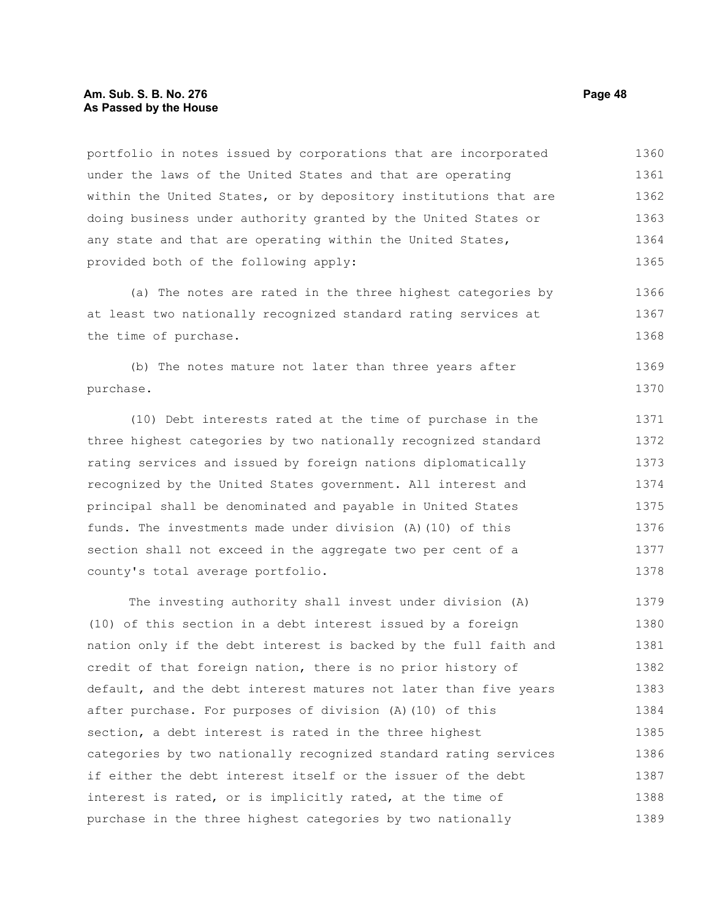## **Am. Sub. S. B. No. 276 Page 48 As Passed by the House**

portfolio in notes issued by corporations that are incorporated under the laws of the United States and that are operating within the United States, or by depository institutions that are doing business under authority granted by the United States or any state and that are operating within the United States, provided both of the following apply: 1360 1361 1362 1363 1364 1365

(a) The notes are rated in the three highest categories by at least two nationally recognized standard rating services at the time of purchase. 1366 1367 1368

(b) The notes mature not later than three years after purchase. 1369 1370

(10) Debt interests rated at the time of purchase in the three highest categories by two nationally recognized standard rating services and issued by foreign nations diplomatically recognized by the United States government. All interest and principal shall be denominated and payable in United States funds. The investments made under division (A)(10) of this section shall not exceed in the aggregate two per cent of a county's total average portfolio. 1371 1372 1373 1374 1375 1376 1377 1378

The investing authority shall invest under division (A) (10) of this section in a debt interest issued by a foreign nation only if the debt interest is backed by the full faith and credit of that foreign nation, there is no prior history of default, and the debt interest matures not later than five years after purchase. For purposes of division (A)(10) of this section, a debt interest is rated in the three highest categories by two nationally recognized standard rating services if either the debt interest itself or the issuer of the debt interest is rated, or is implicitly rated, at the time of purchase in the three highest categories by two nationally 1379 1380 1381 1382 1383 1384 1385 1386 1387 1388 1389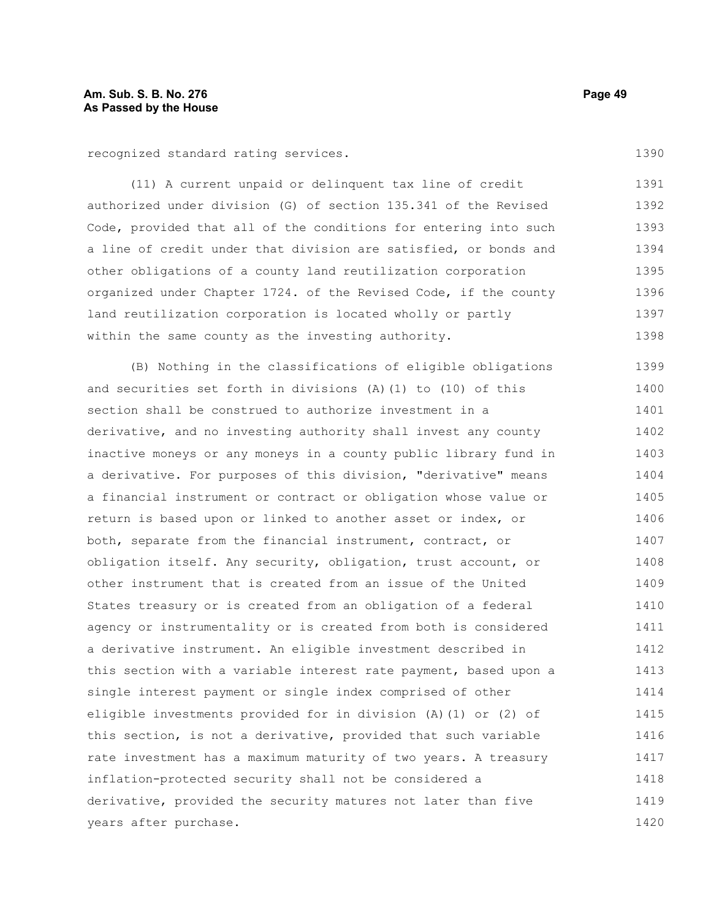recognized standard rating services.

(11) A current unpaid or delinquent tax line of credit authorized under division (G) of section 135.341 of the Revised Code, provided that all of the conditions for entering into such a line of credit under that division are satisfied, or bonds and other obligations of a county land reutilization corporation organized under Chapter 1724. of the Revised Code, if the county land reutilization corporation is located wholly or partly within the same county as the investing authority. 1391 1392 1393 1394 1395 1396 1397 1398

(B) Nothing in the classifications of eligible obligations and securities set forth in divisions  $(A)$  (1) to (10) of this section shall be construed to authorize investment in a derivative, and no investing authority shall invest any county inactive moneys or any moneys in a county public library fund in a derivative. For purposes of this division, "derivative" means a financial instrument or contract or obligation whose value or return is based upon or linked to another asset or index, or both, separate from the financial instrument, contract, or obligation itself. Any security, obligation, trust account, or other instrument that is created from an issue of the United States treasury or is created from an obligation of a federal agency or instrumentality or is created from both is considered a derivative instrument. An eligible investment described in this section with a variable interest rate payment, based upon a single interest payment or single index comprised of other eligible investments provided for in division (A)(1) or (2) of this section, is not a derivative, provided that such variable rate investment has a maximum maturity of two years. A treasury inflation-protected security shall not be considered a derivative, provided the security matures not later than five years after purchase. 1399 1400 1401 1402 1403 1404 1405 1406 1407 1408 1409 1410 1411 1412 1413 1414 1415 1416 1417 1418 1419 1420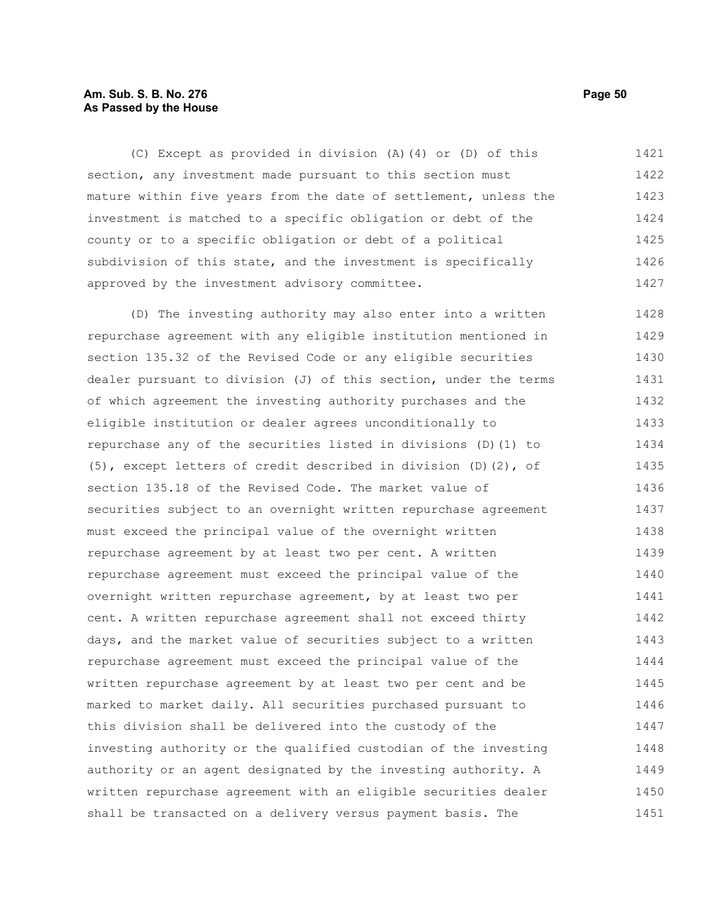# **Am. Sub. S. B. No. 276 Page 50 As Passed by the House**

(C) Except as provided in division (A)(4) or (D) of this section, any investment made pursuant to this section must mature within five years from the date of settlement, unless the investment is matched to a specific obligation or debt of the county or to a specific obligation or debt of a political subdivision of this state, and the investment is specifically approved by the investment advisory committee. 1421 1422 1423 1424 1425 1426 1427

(D) The investing authority may also enter into a written repurchase agreement with any eligible institution mentioned in section 135.32 of the Revised Code or any eligible securities dealer pursuant to division (J) of this section, under the terms of which agreement the investing authority purchases and the eligible institution or dealer agrees unconditionally to repurchase any of the securities listed in divisions (D)(1) to (5), except letters of credit described in division (D)(2), of section 135.18 of the Revised Code. The market value of securities subject to an overnight written repurchase agreement must exceed the principal value of the overnight written repurchase agreement by at least two per cent. A written repurchase agreement must exceed the principal value of the overnight written repurchase agreement, by at least two per cent. A written repurchase agreement shall not exceed thirty days, and the market value of securities subject to a written repurchase agreement must exceed the principal value of the written repurchase agreement by at least two per cent and be marked to market daily. All securities purchased pursuant to this division shall be delivered into the custody of the investing authority or the qualified custodian of the investing authority or an agent designated by the investing authority. A written repurchase agreement with an eligible securities dealer shall be transacted on a delivery versus payment basis. The 1428 1429 1430 1431 1432 1433 1434 1435 1436 1437 1438 1439 1440 1441 1442 1443 1444 1445 1446 1447 1448 1449 1450 1451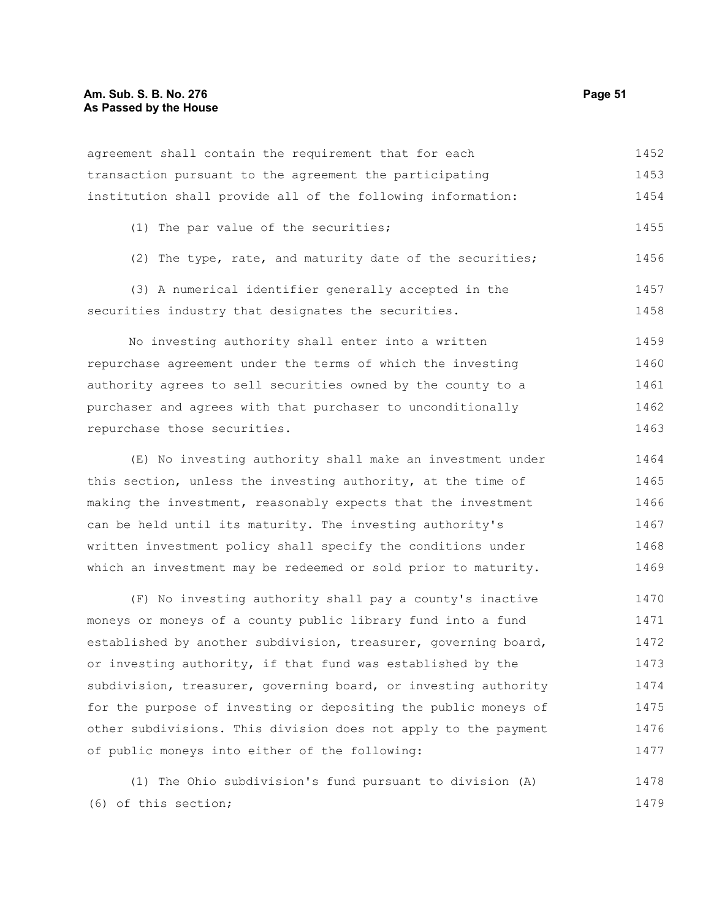## **Am. Sub. S. B. No. 276 Page 51 As Passed by the House**

| agreement shall contain the requirement that for each        | 1452 |
|--------------------------------------------------------------|------|
| transaction pursuant to the agreement the participating      | 1453 |
| institution shall provide all of the following information:  | 1454 |
| (1) The par value of the securities;                         | 1455 |
| (2) The type, rate, and maturity date of the securities;     | 1456 |
| (3) A numerical identifier generally accepted in the         | 1457 |
| securities industry that designates the securities.          | 1458 |
| No investing authority shall enter into a written            | 1459 |
| repurchase agreement under the terms of which the investing  | 1460 |
| authority agrees to sell securities owned by the county to a | 1461 |
| purchaser and agrees with that purchaser to unconditionally  | 1462 |
| repurchase those securities.                                 | 1463 |

(E) No investing authority shall make an investment under this section, unless the investing authority, at the time of making the investment, reasonably expects that the investment can be held until its maturity. The investing authority's written investment policy shall specify the conditions under which an investment may be redeemed or sold prior to maturity. 1464 1465 1466 1467 1468 1469

(F) No investing authority shall pay a county's inactive moneys or moneys of a county public library fund into a fund established by another subdivision, treasurer, governing board, or investing authority, if that fund was established by the subdivision, treasurer, governing board, or investing authority for the purpose of investing or depositing the public moneys of other subdivisions. This division does not apply to the payment of public moneys into either of the following: 1470 1471 1472 1473 1474 1475 1476 1477

(1) The Ohio subdivision's fund pursuant to division (A) (6) of this section; 1478 1479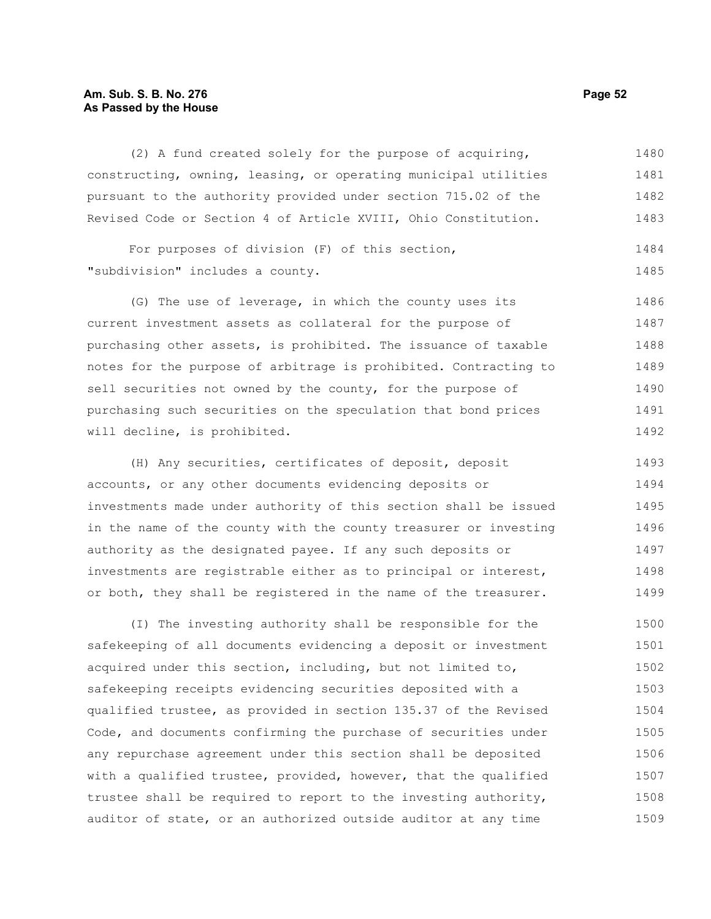# **Am. Sub. S. B. No. 276 Page 52 As Passed by the House**

(2) A fund created solely for the purpose of acquiring, constructing, owning, leasing, or operating municipal utilities pursuant to the authority provided under section 715.02 of the Revised Code or Section 4 of Article XVIII, Ohio Constitution. 1480 1481 1482 1483

For purposes of division (F) of this section, "subdivision" includes a county. 1484 1485

(G) The use of leverage, in which the county uses its current investment assets as collateral for the purpose of purchasing other assets, is prohibited. The issuance of taxable notes for the purpose of arbitrage is prohibited. Contracting to sell securities not owned by the county, for the purpose of purchasing such securities on the speculation that bond prices will decline, is prohibited. 1486 1487 1488 1489 1490 1491 1492

(H) Any securities, certificates of deposit, deposit accounts, or any other documents evidencing deposits or investments made under authority of this section shall be issued in the name of the county with the county treasurer or investing authority as the designated payee. If any such deposits or investments are registrable either as to principal or interest, or both, they shall be registered in the name of the treasurer. 1493 1494 1495 1496 1497 1498 1499

(I) The investing authority shall be responsible for the safekeeping of all documents evidencing a deposit or investment acquired under this section, including, but not limited to, safekeeping receipts evidencing securities deposited with a qualified trustee, as provided in section 135.37 of the Revised Code, and documents confirming the purchase of securities under any repurchase agreement under this section shall be deposited with a qualified trustee, provided, however, that the qualified trustee shall be required to report to the investing authority, auditor of state, or an authorized outside auditor at any time 1500 1501 1502 1503 1504 1505 1506 1507 1508 1509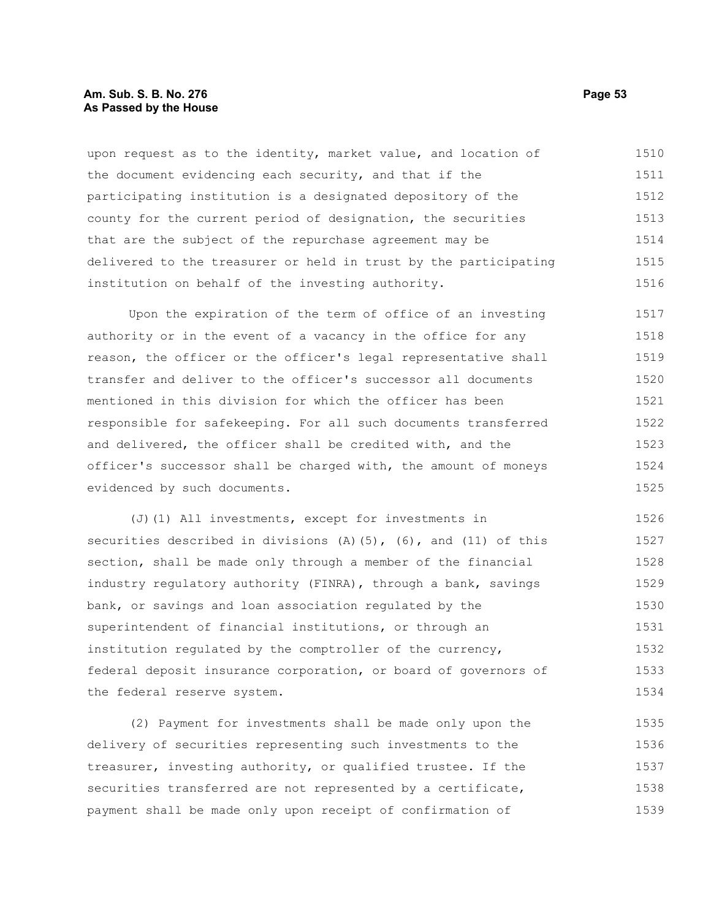## **Am. Sub. S. B. No. 276 Page 53 As Passed by the House**

upon request as to the identity, market value, and location of the document evidencing each security, and that if the participating institution is a designated depository of the county for the current period of designation, the securities that are the subject of the repurchase agreement may be delivered to the treasurer or held in trust by the participating institution on behalf of the investing authority. 1510 1511 1512 1513 1514 1515 1516

Upon the expiration of the term of office of an investing authority or in the event of a vacancy in the office for any reason, the officer or the officer's legal representative shall transfer and deliver to the officer's successor all documents mentioned in this division for which the officer has been responsible for safekeeping. For all such documents transferred and delivered, the officer shall be credited with, and the officer's successor shall be charged with, the amount of moneys evidenced by such documents. 1517 1518 1519 1520 1521 1522 1523 1524 1525

(J)(1) All investments, except for investments in securities described in divisions  $(A)$  (5), (6), and (11) of this section, shall be made only through a member of the financial industry regulatory authority (FINRA), through a bank, savings bank, or savings and loan association regulated by the superintendent of financial institutions, or through an institution regulated by the comptroller of the currency, federal deposit insurance corporation, or board of governors of the federal reserve system. 1526 1527 1528 1529 1530 1531 1532 1533 1534

(2) Payment for investments shall be made only upon the delivery of securities representing such investments to the treasurer, investing authority, or qualified trustee. If the securities transferred are not represented by a certificate, payment shall be made only upon receipt of confirmation of 1535 1536 1537 1538 1539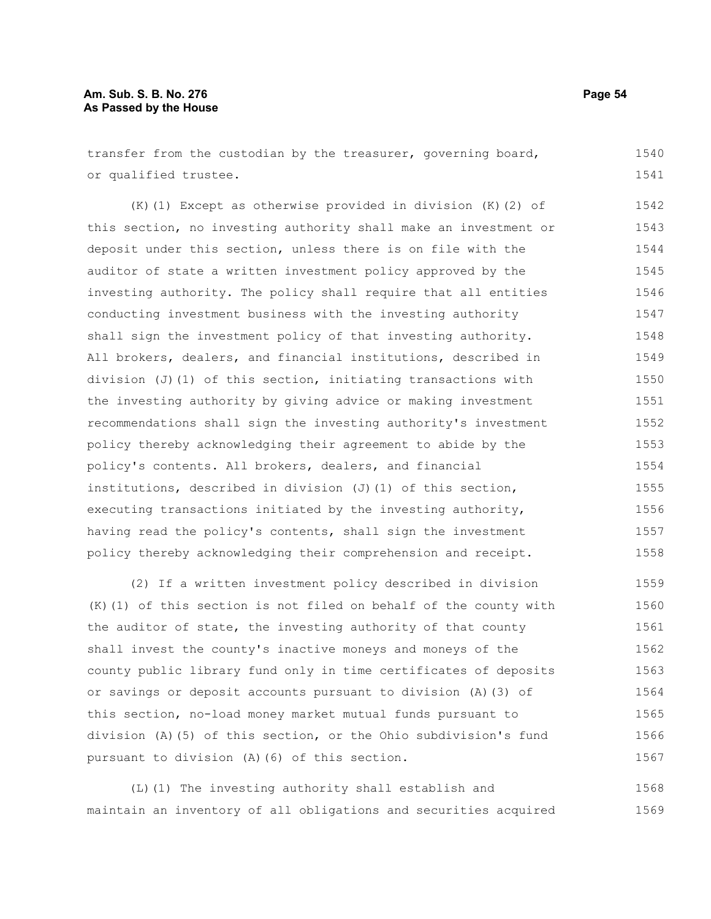# **Am. Sub. S. B. No. 276 Page 54 As Passed by the House**

transfer from the custodian by the treasurer, governing board, or qualified trustee. 1540 1541

(K)(1) Except as otherwise provided in division (K)(2) of this section, no investing authority shall make an investment or deposit under this section, unless there is on file with the auditor of state a written investment policy approved by the investing authority. The policy shall require that all entities conducting investment business with the investing authority shall sign the investment policy of that investing authority. All brokers, dealers, and financial institutions, described in division (J)(1) of this section, initiating transactions with the investing authority by giving advice or making investment recommendations shall sign the investing authority's investment policy thereby acknowledging their agreement to abide by the policy's contents. All brokers, dealers, and financial institutions, described in division  $(J)$  (1) of this section, executing transactions initiated by the investing authority, having read the policy's contents, shall sign the investment policy thereby acknowledging their comprehension and receipt. 1542 1543 1544 1545 1546 1547 1548 1549 1550 1551 1552 1553 1554 1555 1556 1557 1558

(2) If a written investment policy described in division (K)(1) of this section is not filed on behalf of the county with the auditor of state, the investing authority of that county shall invest the county's inactive moneys and moneys of the county public library fund only in time certificates of deposits or savings or deposit accounts pursuant to division (A)(3) of this section, no-load money market mutual funds pursuant to division (A)(5) of this section, or the Ohio subdivision's fund pursuant to division (A)(6) of this section. 1559 1560 1561 1562 1563 1564 1565 1566 1567

(L)(1) The investing authority shall establish and maintain an inventory of all obligations and securities acquired 1568 1569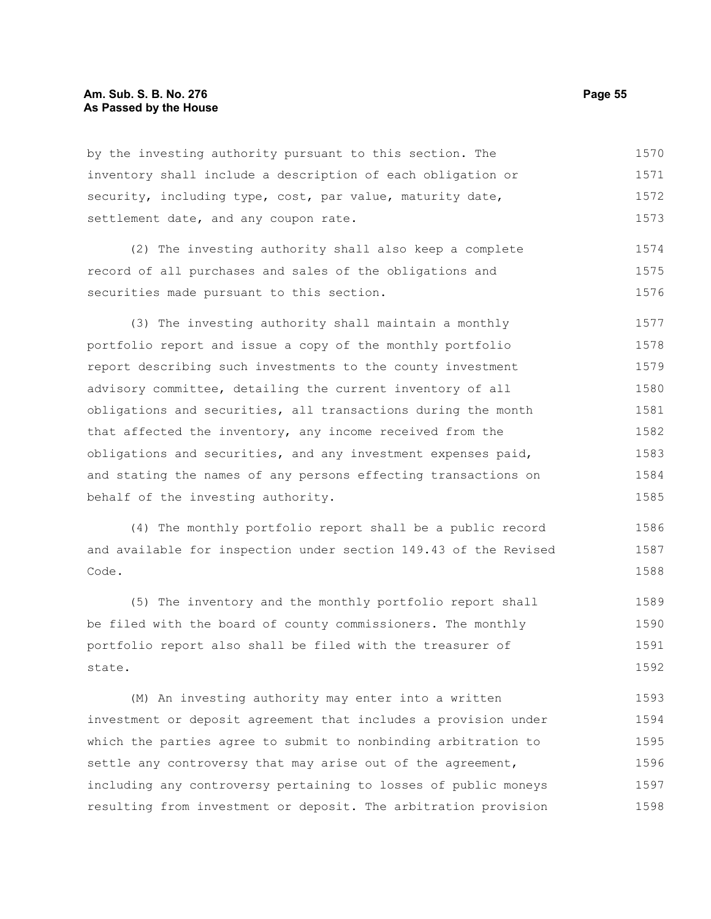## **Am. Sub. S. B. No. 276 Page 55 As Passed by the House**

by the investing authority pursuant to this section. The inventory shall include a description of each obligation or security, including type, cost, par value, maturity date, settlement date, and any coupon rate. 1570 1571 1572 1573

(2) The investing authority shall also keep a complete record of all purchases and sales of the obligations and securities made pursuant to this section. 1574 1575 1576

(3) The investing authority shall maintain a monthly portfolio report and issue a copy of the monthly portfolio report describing such investments to the county investment advisory committee, detailing the current inventory of all obligations and securities, all transactions during the month that affected the inventory, any income received from the obligations and securities, and any investment expenses paid, and stating the names of any persons effecting transactions on behalf of the investing authority. 1577 1578 1579 1580 1581 1582 1583 1584 1585

(4) The monthly portfolio report shall be a public record and available for inspection under section 149.43 of the Revised Code. 1586 1587 1588

(5) The inventory and the monthly portfolio report shall be filed with the board of county commissioners. The monthly portfolio report also shall be filed with the treasurer of state. 1589 1590 1591 1592

(M) An investing authority may enter into a written investment or deposit agreement that includes a provision under which the parties agree to submit to nonbinding arbitration to settle any controversy that may arise out of the agreement, including any controversy pertaining to losses of public moneys resulting from investment or deposit. The arbitration provision 1593 1594 1595 1596 1597 1598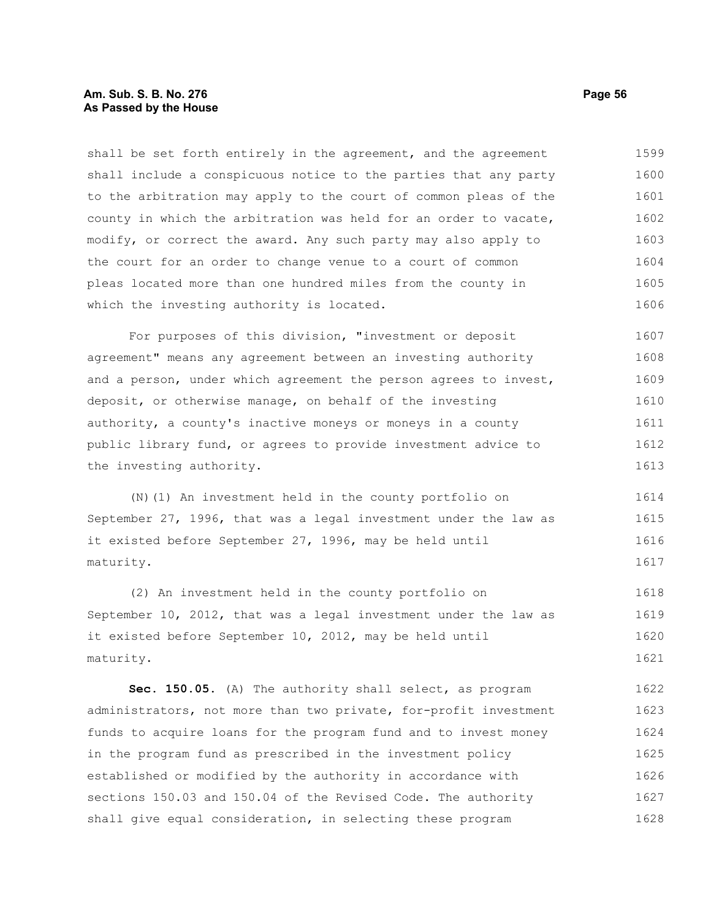## **Am. Sub. S. B. No. 276 Page 56 As Passed by the House**

shall be set forth entirely in the agreement, and the agreement shall include a conspicuous notice to the parties that any party to the arbitration may apply to the court of common pleas of the county in which the arbitration was held for an order to vacate, modify, or correct the award. Any such party may also apply to the court for an order to change venue to a court of common pleas located more than one hundred miles from the county in which the investing authority is located. 1599 1600 1601 1602 1603 1604 1605 1606

For purposes of this division, "investment or deposit agreement" means any agreement between an investing authority and a person, under which agreement the person agrees to invest, deposit, or otherwise manage, on behalf of the investing authority, a county's inactive moneys or moneys in a county public library fund, or agrees to provide investment advice to the investing authority. 1607 1608 1609 1610 1611 1612 1613

(N)(1) An investment held in the county portfolio on September 27, 1996, that was a legal investment under the law as it existed before September 27, 1996, may be held until maturity. 1614 1615 1616 1617

(2) An investment held in the county portfolio on September 10, 2012, that was a legal investment under the law as it existed before September 10, 2012, may be held until maturity. 1618 1619 1620 1621

**Sec. 150.05.** (A) The authority shall select, as program administrators, not more than two private, for-profit investment funds to acquire loans for the program fund and to invest money in the program fund as prescribed in the investment policy established or modified by the authority in accordance with sections 150.03 and 150.04 of the Revised Code. The authority shall give equal consideration, in selecting these program 1622 1623 1624 1625 1626 1627 1628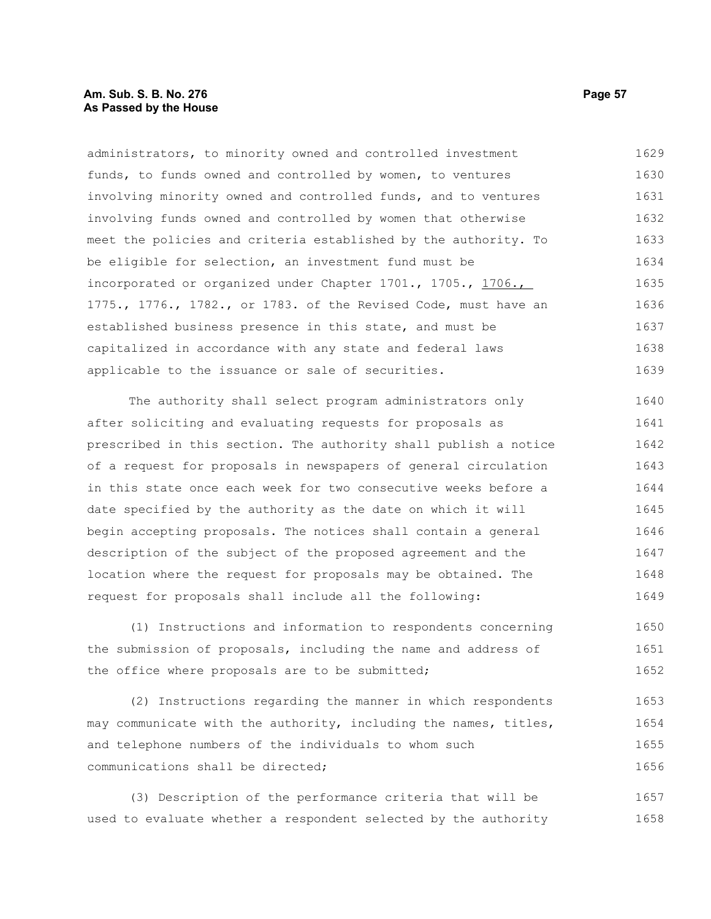# **Am. Sub. S. B. No. 276 Page 57 As Passed by the House**

administrators, to minority owned and controlled investment funds, to funds owned and controlled by women, to ventures involving minority owned and controlled funds, and to ventures involving funds owned and controlled by women that otherwise meet the policies and criteria established by the authority. To be eligible for selection, an investment fund must be incorporated or organized under Chapter 1701., 1705., 1706., 1775., 1776., 1782., or 1783. of the Revised Code, must have an established business presence in this state, and must be capitalized in accordance with any state and federal laws applicable to the issuance or sale of securities. 1629 1630 1631 1632 1633 1634 1635 1636 1637 1638 1639

The authority shall select program administrators only after soliciting and evaluating requests for proposals as prescribed in this section. The authority shall publish a notice of a request for proposals in newspapers of general circulation in this state once each week for two consecutive weeks before a date specified by the authority as the date on which it will begin accepting proposals. The notices shall contain a general description of the subject of the proposed agreement and the location where the request for proposals may be obtained. The request for proposals shall include all the following: 1640 1641 1642 1643 1644 1645 1646 1647 1648 1649

(1) Instructions and information to respondents concerning the submission of proposals, including the name and address of the office where proposals are to be submitted; 1650 1651 1652

(2) Instructions regarding the manner in which respondents may communicate with the authority, including the names, titles, and telephone numbers of the individuals to whom such communications shall be directed; 1653 1654 1655 1656

(3) Description of the performance criteria that will be used to evaluate whether a respondent selected by the authority 1657 1658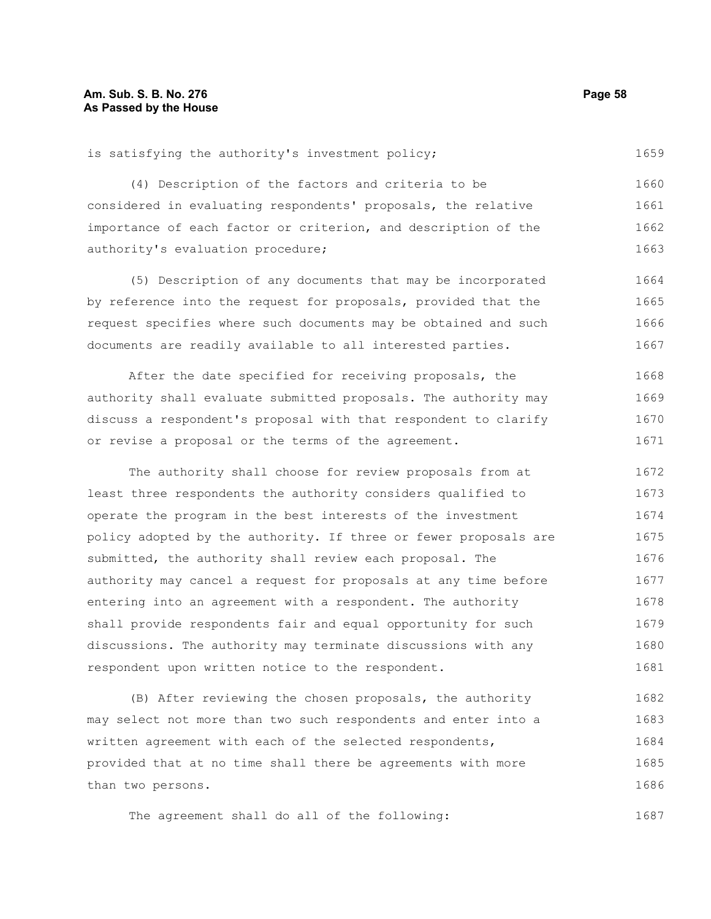(4) Description of the factors and criteria to be considered in evaluating respondents' proposals, the relative importance of each factor or criterion, and description of the authority's evaluation procedure; 1660 1661 1662 1663

(5) Description of any documents that may be incorporated by reference into the request for proposals, provided that the request specifies where such documents may be obtained and such documents are readily available to all interested parties. 1664 1665 1666 1667

After the date specified for receiving proposals, the authority shall evaluate submitted proposals. The authority may discuss a respondent's proposal with that respondent to clarify or revise a proposal or the terms of the agreement. 1668 1669 1670 1671

The authority shall choose for review proposals from at least three respondents the authority considers qualified to operate the program in the best interests of the investment policy adopted by the authority. If three or fewer proposals are submitted, the authority shall review each proposal. The authority may cancel a request for proposals at any time before entering into an agreement with a respondent. The authority shall provide respondents fair and equal opportunity for such discussions. The authority may terminate discussions with any respondent upon written notice to the respondent. 1672 1673 1674 1675 1676 1677 1678 1679 1680 1681

(B) After reviewing the chosen proposals, the authority may select not more than two such respondents and enter into a written agreement with each of the selected respondents, provided that at no time shall there be agreements with more than two persons. 1682 1683 1684 1685 1686

The agreement shall do all of the following: 1687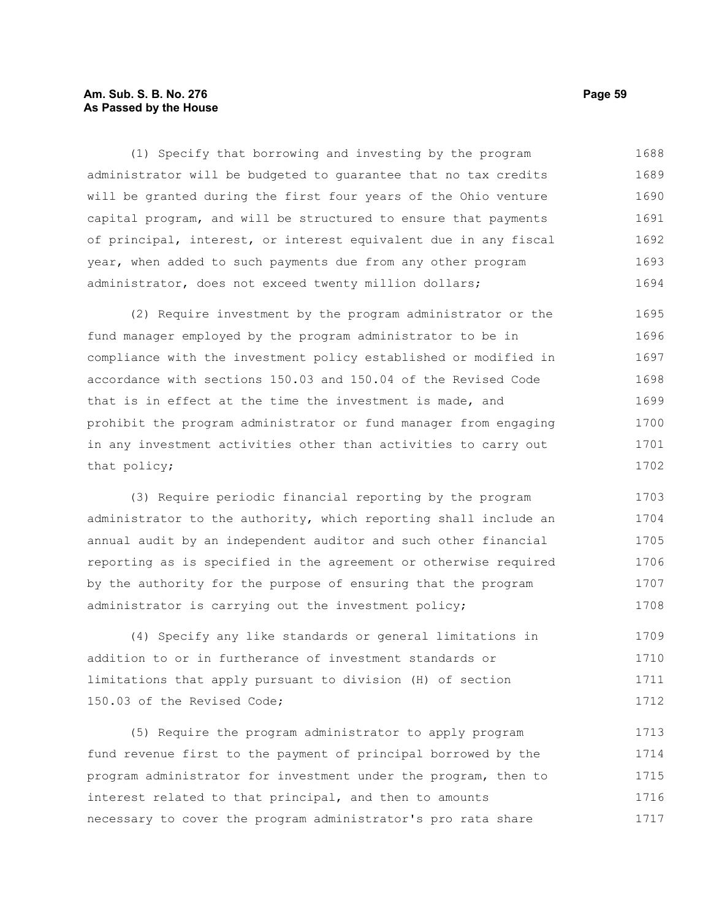# **Am. Sub. S. B. No. 276 Page 59 As Passed by the House**

(1) Specify that borrowing and investing by the program administrator will be budgeted to guarantee that no tax credits will be granted during the first four years of the Ohio venture capital program, and will be structured to ensure that payments of principal, interest, or interest equivalent due in any fiscal year, when added to such payments due from any other program administrator, does not exceed twenty million dollars; 1688 1689 1690 1691 1692 1693 1694

(2) Require investment by the program administrator or the fund manager employed by the program administrator to be in compliance with the investment policy established or modified in accordance with sections 150.03 and 150.04 of the Revised Code that is in effect at the time the investment is made, and prohibit the program administrator or fund manager from engaging in any investment activities other than activities to carry out that policy; 1695 1696 1697 1698 1699 1700 1701 1702

(3) Require periodic financial reporting by the program administrator to the authority, which reporting shall include an annual audit by an independent auditor and such other financial reporting as is specified in the agreement or otherwise required by the authority for the purpose of ensuring that the program administrator is carrying out the investment policy; 1703 1704 1705 1706 1707 1708

(4) Specify any like standards or general limitations in addition to or in furtherance of investment standards or limitations that apply pursuant to division (H) of section 150.03 of the Revised Code; 1709 1710 1711 1712

(5) Require the program administrator to apply program fund revenue first to the payment of principal borrowed by the program administrator for investment under the program, then to interest related to that principal, and then to amounts necessary to cover the program administrator's pro rata share 1713 1714 1715 1716 1717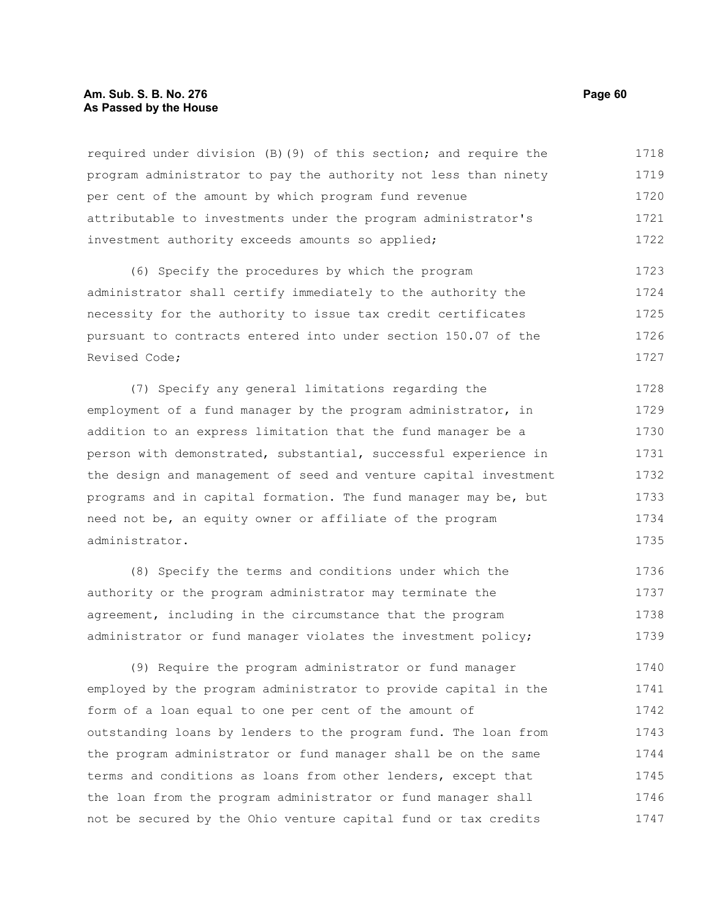## **Am. Sub. S. B. No. 276 Page 60 As Passed by the House**

required under division (B)(9) of this section; and require the program administrator to pay the authority not less than ninety per cent of the amount by which program fund revenue attributable to investments under the program administrator's investment authority exceeds amounts so applied; 1718 1719 1720 1721 1722

(6) Specify the procedures by which the program administrator shall certify immediately to the authority the necessity for the authority to issue tax credit certificates pursuant to contracts entered into under section 150.07 of the Revised Code; 1723 1724 1725 1726 1727

(7) Specify any general limitations regarding the employment of a fund manager by the program administrator, in addition to an express limitation that the fund manager be a person with demonstrated, substantial, successful experience in the design and management of seed and venture capital investment programs and in capital formation. The fund manager may be, but need not be, an equity owner or affiliate of the program administrator. 1728 1729 1730 1731 1732 1733 1734 1735

(8) Specify the terms and conditions under which the authority or the program administrator may terminate the agreement, including in the circumstance that the program administrator or fund manager violates the investment policy; 1736 1737 1738 1739

(9) Require the program administrator or fund manager employed by the program administrator to provide capital in the form of a loan equal to one per cent of the amount of outstanding loans by lenders to the program fund. The loan from the program administrator or fund manager shall be on the same terms and conditions as loans from other lenders, except that the loan from the program administrator or fund manager shall not be secured by the Ohio venture capital fund or tax credits 1740 1741 1742 1743 1744 1745 1746 1747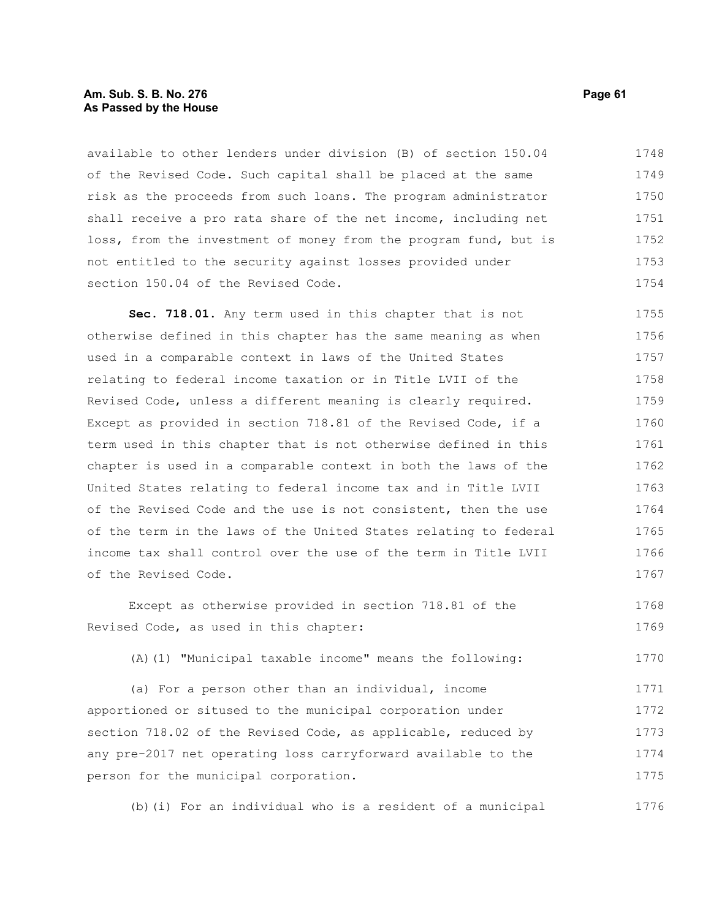### **Am. Sub. S. B. No. 276 Page 61 As Passed by the House**

available to other lenders under division (B) of section 150.04 of the Revised Code. Such capital shall be placed at the same risk as the proceeds from such loans. The program administrator shall receive a pro rata share of the net income, including net loss, from the investment of money from the program fund, but is not entitled to the security against losses provided under section 150.04 of the Revised Code. 1748 1749 1750 1751 1752 1753 1754

**Sec. 718.01.** Any term used in this chapter that is not otherwise defined in this chapter has the same meaning as when used in a comparable context in laws of the United States relating to federal income taxation or in Title LVII of the Revised Code, unless a different meaning is clearly required. Except as provided in section 718.81 of the Revised Code, if a term used in this chapter that is not otherwise defined in this chapter is used in a comparable context in both the laws of the United States relating to federal income tax and in Title LVII of the Revised Code and the use is not consistent, then the use of the term in the laws of the United States relating to federal income tax shall control over the use of the term in Title LVII of the Revised Code. 1755 1756 1757 1758 1759 1760 1761 1762 1763 1764 1765 1766 1767

Except as otherwise provided in section 718.81 of the Revised Code, as used in this chapter: 1768 1769

(A)(1) "Municipal taxable income" means the following: 1770

(a) For a person other than an individual, income apportioned or sitused to the municipal corporation under section 718.02 of the Revised Code, as applicable, reduced by any pre-2017 net operating loss carryforward available to the person for the municipal corporation. 1771 1772 1773 1774 1775

(b)(i) For an individual who is a resident of a municipal 1776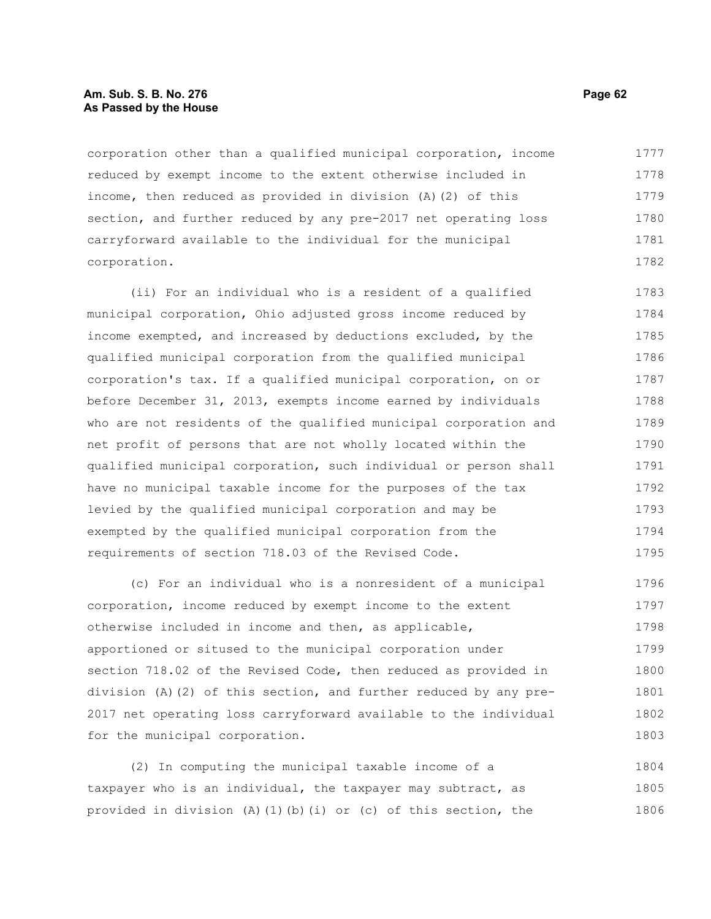## **Am. Sub. S. B. No. 276 Page 62 As Passed by the House**

corporation other than a qualified municipal corporation, income reduced by exempt income to the extent otherwise included in income, then reduced as provided in division (A)(2) of this section, and further reduced by any pre-2017 net operating loss carryforward available to the individual for the municipal corporation. 1777 1778 1779 1780 1781 1782

(ii) For an individual who is a resident of a qualified municipal corporation, Ohio adjusted gross income reduced by income exempted, and increased by deductions excluded, by the qualified municipal corporation from the qualified municipal corporation's tax. If a qualified municipal corporation, on or before December 31, 2013, exempts income earned by individuals who are not residents of the qualified municipal corporation and net profit of persons that are not wholly located within the qualified municipal corporation, such individual or person shall have no municipal taxable income for the purposes of the tax levied by the qualified municipal corporation and may be exempted by the qualified municipal corporation from the requirements of section 718.03 of the Revised Code. 1783 1784 1785 1786 1787 1788 1789 1790 1791 1792 1793 1794 1795

(c) For an individual who is a nonresident of a municipal corporation, income reduced by exempt income to the extent otherwise included in income and then, as applicable, apportioned or sitused to the municipal corporation under section 718.02 of the Revised Code, then reduced as provided in division (A)(2) of this section, and further reduced by any pre-2017 net operating loss carryforward available to the individual for the municipal corporation. 1796 1797 1798 1799 1800 1801 1802 1803

(2) In computing the municipal taxable income of a taxpayer who is an individual, the taxpayer may subtract, as provided in division (A)(1)(b)(i) or (c) of this section, the 1804 1805 1806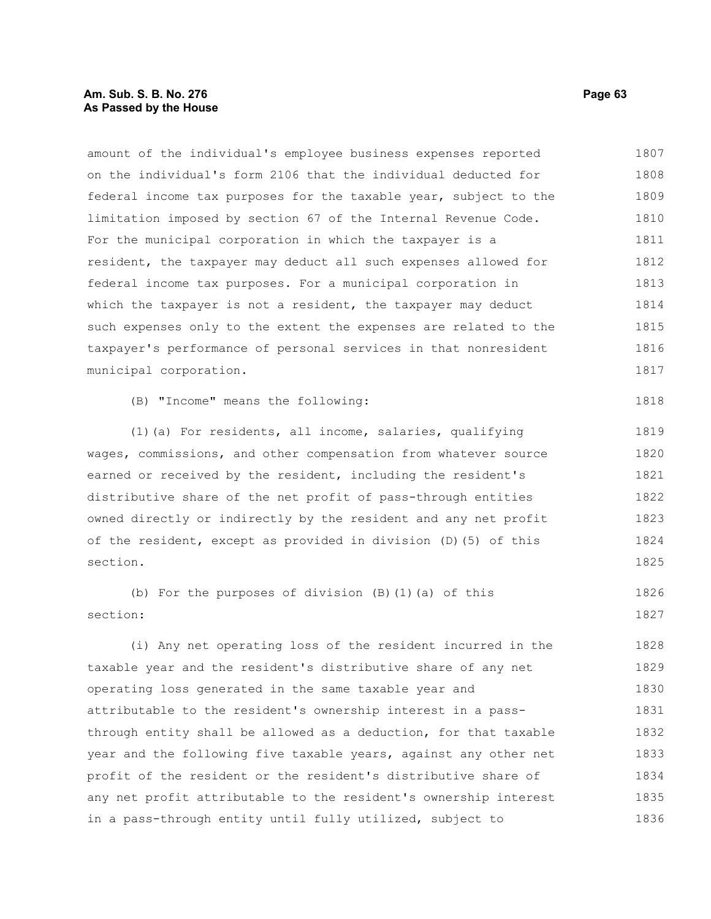# **Am. Sub. S. B. No. 276 Page 63 As Passed by the House**

amount of the individual's employee business expenses reported on the individual's form 2106 that the individual deducted for federal income tax purposes for the taxable year, subject to the limitation imposed by section 67 of the Internal Revenue Code. For the municipal corporation in which the taxpayer is a resident, the taxpayer may deduct all such expenses allowed for federal income tax purposes. For a municipal corporation in which the taxpayer is not a resident, the taxpayer may deduct such expenses only to the extent the expenses are related to the taxpayer's performance of personal services in that nonresident municipal corporation. (B) "Income" means the following: (1)(a) For residents, all income, salaries, qualifying wages, commissions, and other compensation from whatever source earned or received by the resident, including the resident's distributive share of the net profit of pass-through entities owned directly or indirectly by the resident and any net profit of the resident, except as provided in division (D)(5) of this section. (b) For the purposes of division (B)(1)(a) of this section: (i) Any net operating loss of the resident incurred in the taxable year and the resident's distributive share of any net operating loss generated in the same taxable year and attributable to the resident's ownership interest in a passthrough entity shall be allowed as a deduction, for that taxable year and the following five taxable years, against any other net profit of the resident or the resident's distributive share of any net profit attributable to the resident's ownership interest 1807 1808 1809 1810 1811 1812 1813 1814 1815 1816 1817 1818 1819 1820 1821 1822 1823 1824 1825 1826 1827 1828 1829 1830 1831 1832 1833 1834 1835

in a pass-through entity until fully utilized, subject to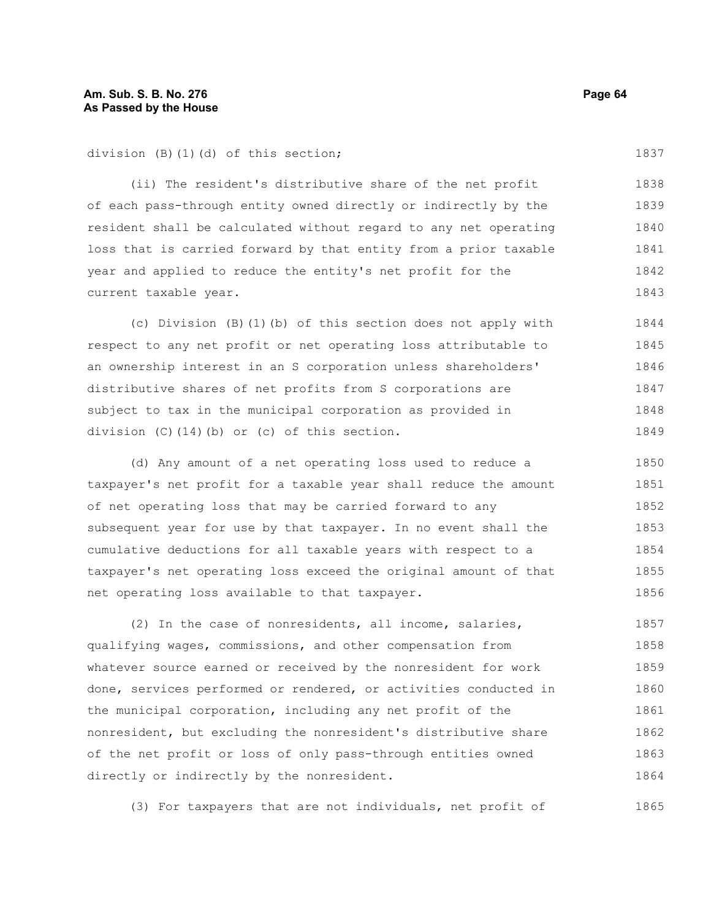division (B)(1)(d) of this section;

(ii) The resident's distributive share of the net profit of each pass-through entity owned directly or indirectly by the resident shall be calculated without regard to any net operating loss that is carried forward by that entity from a prior taxable year and applied to reduce the entity's net profit for the current taxable year. 1838 1839 1840 1841 1842 1843

(c) Division (B)(1)(b) of this section does not apply with respect to any net profit or net operating loss attributable to an ownership interest in an S corporation unless shareholders' distributive shares of net profits from S corporations are subject to tax in the municipal corporation as provided in division (C)(14)(b) or (c) of this section. 1844 1845 1846 1847 1848 1849

(d) Any amount of a net operating loss used to reduce a taxpayer's net profit for a taxable year shall reduce the amount of net operating loss that may be carried forward to any subsequent year for use by that taxpayer. In no event shall the cumulative deductions for all taxable years with respect to a taxpayer's net operating loss exceed the original amount of that net operating loss available to that taxpayer. 1850 1851 1852 1853 1854 1855 1856

(2) In the case of nonresidents, all income, salaries, qualifying wages, commissions, and other compensation from whatever source earned or received by the nonresident for work done, services performed or rendered, or activities conducted in the municipal corporation, including any net profit of the nonresident, but excluding the nonresident's distributive share of the net profit or loss of only pass-through entities owned directly or indirectly by the nonresident. 1857 1858 1859 1860 1861 1862 1863 1864

(3) For taxpayers that are not individuals, net profit of 1865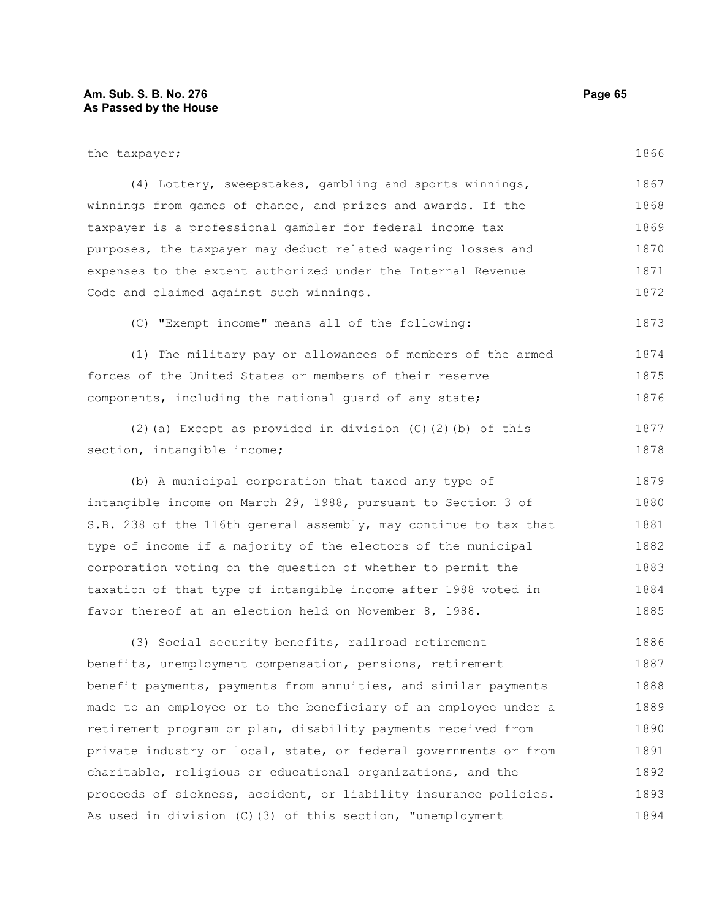# **Am. Sub. S. B. No. 276 Page 65 As Passed by the House**

| the taxpayer;                                                    | 1866 |
|------------------------------------------------------------------|------|
| (4) Lottery, sweepstakes, gambling and sports winnings,          | 1867 |
| winnings from games of chance, and prizes and awards. If the     | 1868 |
| taxpayer is a professional gambler for federal income tax        | 1869 |
| purposes, the taxpayer may deduct related wagering losses and    | 1870 |
| expenses to the extent authorized under the Internal Revenue     | 1871 |
| Code and claimed against such winnings.                          | 1872 |
| (C) "Exempt income" means all of the following:                  | 1873 |
| (1) The military pay or allowances of members of the armed       | 1874 |
| forces of the United States or members of their reserve          | 1875 |
| components, including the national quard of any state;           | 1876 |
| $(2)$ (a) Except as provided in division $(C)$ $(2)$ (b) of this | 1877 |
| section, intangible income;                                      | 1878 |
| (b) A municipal corporation that taxed any type of               | 1879 |
| intangible income on March 29, 1988, pursuant to Section 3 of    | 1880 |
| S.B. 238 of the 116th general assembly, may continue to tax that | 1881 |
| type of income if a majority of the electors of the municipal    | 1882 |
| corporation voting on the question of whether to permit the      | 1883 |
| taxation of that type of intangible income after 1988 voted in   | 1884 |
| favor thereof at an election held on November 8, 1988.           | 1885 |

(3) Social security benefits, railroad retirement benefits, unemployment compensation, pensions, retirement benefit payments, payments from annuities, and similar payments made to an employee or to the beneficiary of an employee under a retirement program or plan, disability payments received from private industry or local, state, or federal governments or from charitable, religious or educational organizations, and the proceeds of sickness, accident, or liability insurance policies. As used in division (C)(3) of this section, "unemployment 1886 1887 1888 1889 1890 1891 1892 1893 1894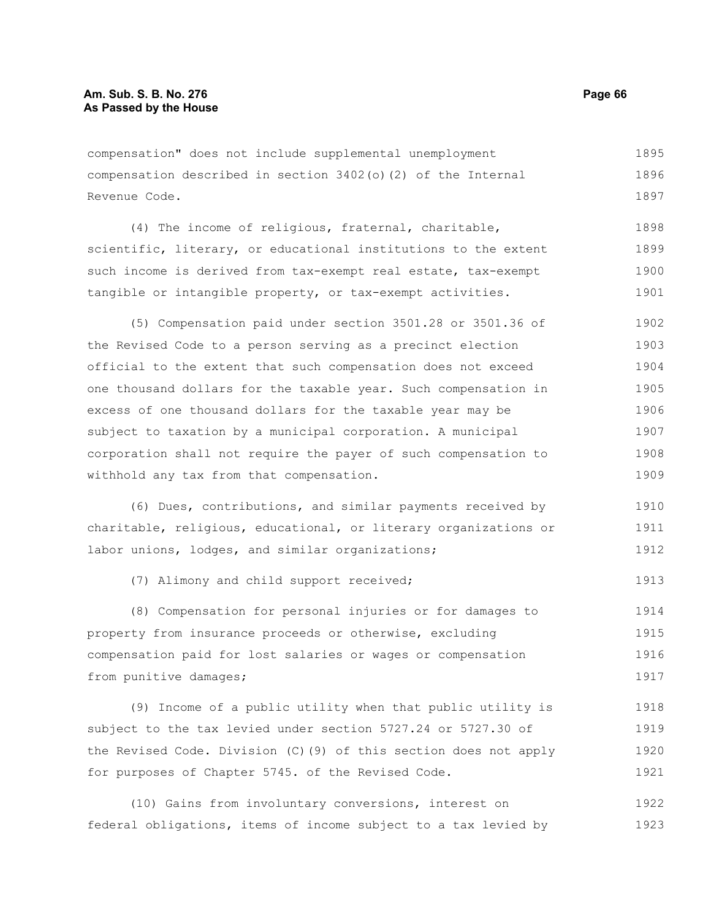compensation" does not include supplemental unemployment compensation described in section 3402(o)(2) of the Internal Revenue Code. 1895 1896 1897

(4) The income of religious, fraternal, charitable, scientific, literary, or educational institutions to the extent such income is derived from tax-exempt real estate, tax-exempt tangible or intangible property, or tax-exempt activities. 1898 1899 1900 1901

(5) Compensation paid under section 3501.28 or 3501.36 of the Revised Code to a person serving as a precinct election official to the extent that such compensation does not exceed one thousand dollars for the taxable year. Such compensation in excess of one thousand dollars for the taxable year may be subject to taxation by a municipal corporation. A municipal corporation shall not require the payer of such compensation to withhold any tax from that compensation. 1902 1903 1904 1905 1906 1907 1908 1909

(6) Dues, contributions, and similar payments received by charitable, religious, educational, or literary organizations or labor unions, lodges, and similar organizations; 1910 1911 1912

(7) Alimony and child support received;

(8) Compensation for personal injuries or for damages to property from insurance proceeds or otherwise, excluding compensation paid for lost salaries or wages or compensation from punitive damages; 1914 1915 1916 1917

(9) Income of a public utility when that public utility is subject to the tax levied under section 5727.24 or 5727.30 of the Revised Code. Division (C)(9) of this section does not apply for purposes of Chapter 5745. of the Revised Code. 1918 1919 1920 1921

(10) Gains from involuntary conversions, interest on federal obligations, items of income subject to a tax levied by 1922 1923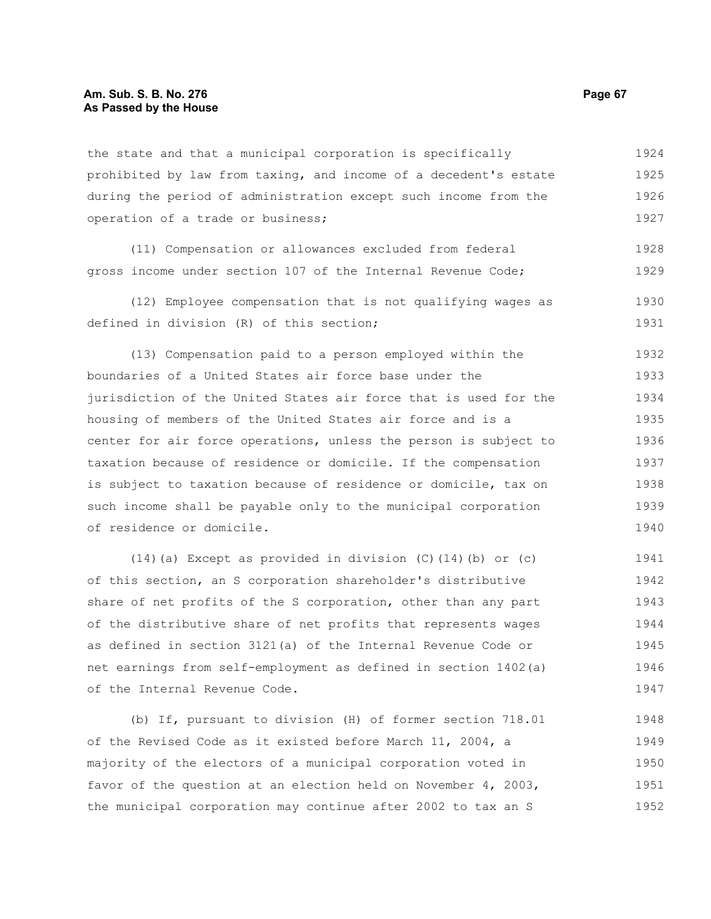## **Am. Sub. S. B. No. 276 Page 67 As Passed by the House**

the state and that a municipal corporation is specifically prohibited by law from taxing, and income of a decedent's estate during the period of administration except such income from the operation of a trade or business; 1924 1925 1926 1927

(11) Compensation or allowances excluded from federal gross income under section 107 of the Internal Revenue Code; 1928 1929

(12) Employee compensation that is not qualifying wages as defined in division (R) of this section; 1930 1931

(13) Compensation paid to a person employed within the boundaries of a United States air force base under the jurisdiction of the United States air force that is used for the housing of members of the United States air force and is a center for air force operations, unless the person is subject to taxation because of residence or domicile. If the compensation is subject to taxation because of residence or domicile, tax on such income shall be payable only to the municipal corporation of residence or domicile. 1932 1933 1934 1935 1936 1937 1938 1939 1940

(14)(a) Except as provided in division (C)(14)(b) or (c) of this section, an S corporation shareholder's distributive share of net profits of the S corporation, other than any part of the distributive share of net profits that represents wages as defined in section 3121(a) of the Internal Revenue Code or net earnings from self-employment as defined in section 1402(a) of the Internal Revenue Code. 1941 1942 1943 1944 1945 1946 1947

(b) If, pursuant to division (H) of former section 718.01 of the Revised Code as it existed before March 11, 2004, a majority of the electors of a municipal corporation voted in favor of the question at an election held on November 4, 2003, the municipal corporation may continue after 2002 to tax an S 1948 1949 1950 1951 1952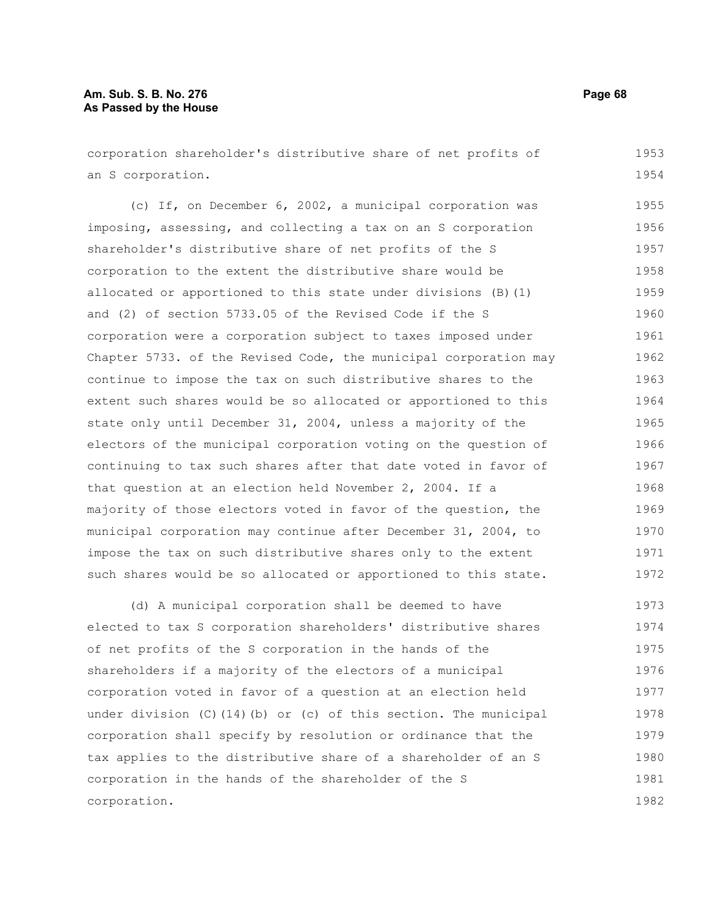# **Am. Sub. S. B. No. 276 Page 68 As Passed by the House**

corporation shareholder's distributive share of net profits of an S corporation. 1953 1954

(c) If, on December 6, 2002, a municipal corporation was imposing, assessing, and collecting a tax on an S corporation shareholder's distributive share of net profits of the S corporation to the extent the distributive share would be allocated or apportioned to this state under divisions (B)(1) and (2) of section 5733.05 of the Revised Code if the S corporation were a corporation subject to taxes imposed under Chapter 5733. of the Revised Code, the municipal corporation may continue to impose the tax on such distributive shares to the extent such shares would be so allocated or apportioned to this state only until December 31, 2004, unless a majority of the electors of the municipal corporation voting on the question of continuing to tax such shares after that date voted in favor of that question at an election held November 2, 2004. If a majority of those electors voted in favor of the question, the municipal corporation may continue after December 31, 2004, to impose the tax on such distributive shares only to the extent such shares would be so allocated or apportioned to this state. 1955 1956 1957 1958 1959 1960 1961 1962 1963 1964 1965 1966 1967 1968 1969 1970 1971 1972

(d) A municipal corporation shall be deemed to have elected to tax S corporation shareholders' distributive shares of net profits of the S corporation in the hands of the shareholders if a majority of the electors of a municipal corporation voted in favor of a question at an election held under division (C)(14)(b) or (c) of this section. The municipal corporation shall specify by resolution or ordinance that the tax applies to the distributive share of a shareholder of an S corporation in the hands of the shareholder of the S corporation. 1973 1974 1975 1976 1977 1978 1979 1980 1981 1982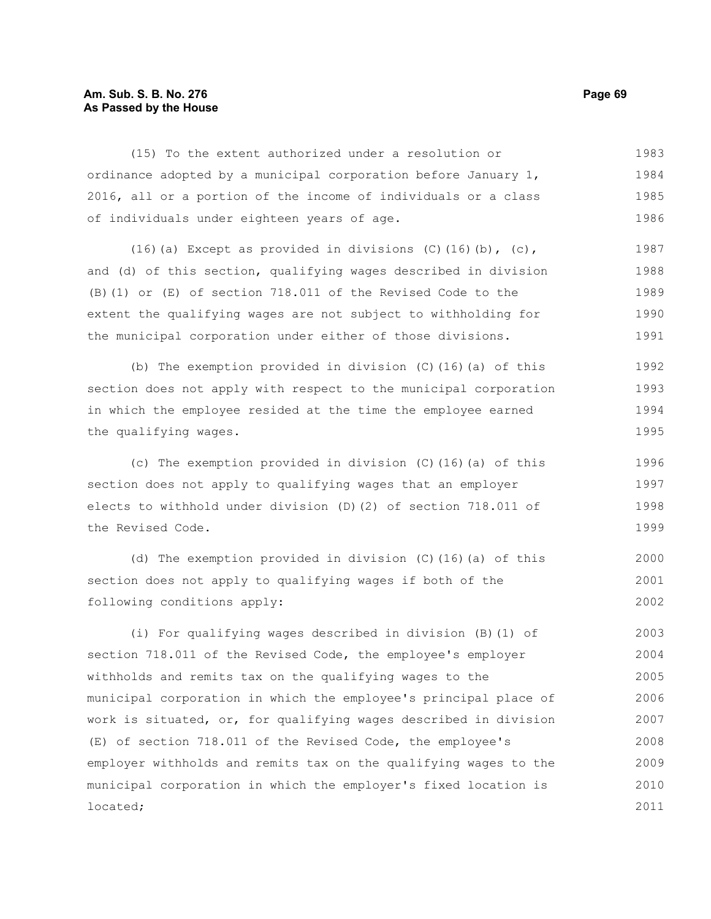# **Am. Sub. S. B. No. 276 Page 69 As Passed by the House**

(15) To the extent authorized under a resolution or ordinance adopted by a municipal corporation before January 1, 2016, all or a portion of the income of individuals or a class of individuals under eighteen years of age. 1983 1984 1985 1986

(16)(a) Except as provided in divisions (C)(16)(b), (c), and (d) of this section, qualifying wages described in division (B)(1) or (E) of section 718.011 of the Revised Code to the extent the qualifying wages are not subject to withholding for the municipal corporation under either of those divisions. 1987 1988 1989 1990 1991

(b) The exemption provided in division (C)(16)(a) of this section does not apply with respect to the municipal corporation in which the employee resided at the time the employee earned the qualifying wages. 1992 1993 1994 1995

(c) The exemption provided in division (C)(16)(a) of this section does not apply to qualifying wages that an employer elects to withhold under division (D)(2) of section 718.011 of the Revised Code. 1996 1997 1998 1999

(d) The exemption provided in division (C)(16)(a) of this section does not apply to qualifying wages if both of the following conditions apply: 2000 2001 2002

(i) For qualifying wages described in division (B)(1) of section 718.011 of the Revised Code, the employee's employer withholds and remits tax on the qualifying wages to the municipal corporation in which the employee's principal place of work is situated, or, for qualifying wages described in division (E) of section 718.011 of the Revised Code, the employee's employer withholds and remits tax on the qualifying wages to the municipal corporation in which the employer's fixed location is located; 2003 2004 2005 2006 2007 2008 2009 2010 2011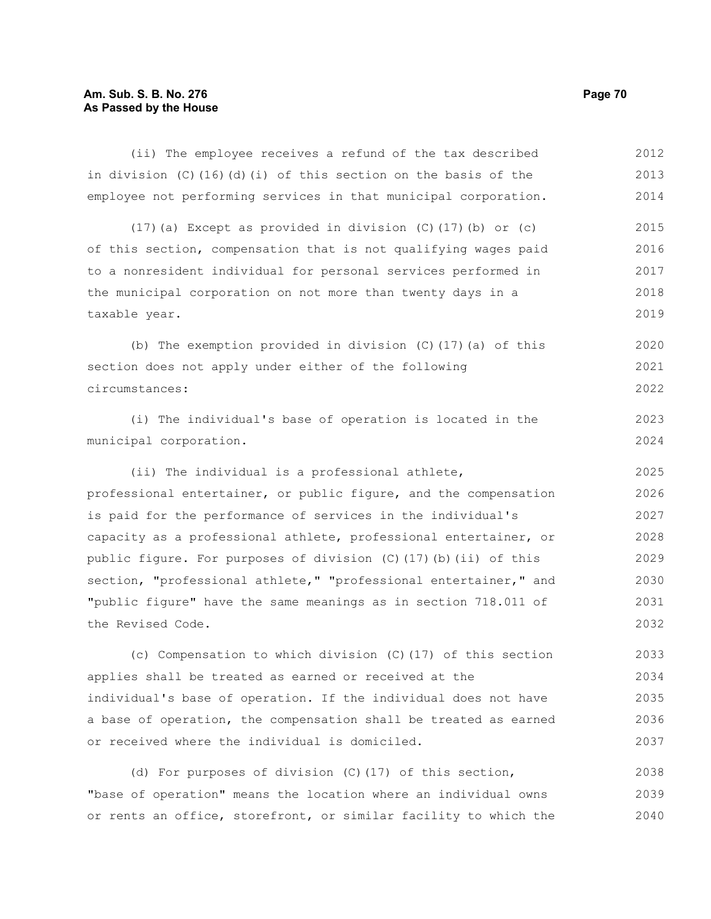# **Am. Sub. S. B. No. 276** Page 70 **As Passed by the House**

| (ii) The employee receives a refund of the tax described           | 2012 |
|--------------------------------------------------------------------|------|
| in division $(C)$ (16) (d) (i) of this section on the basis of the | 2013 |
| employee not performing services in that municipal corporation.    | 2014 |
| $(17)$ (a) Except as provided in division (C) $(17)$ (b) or (c)    | 2015 |
| of this section, compensation that is not qualifying wages paid    | 2016 |
| to a nonresident individual for personal services performed in     | 2017 |
| the municipal corporation on not more than twenty days in a        | 2018 |
| taxable year.                                                      | 2019 |
| (b) The exemption provided in division $(C)$ (17) (a) of this      | 2020 |
| section does not apply under either of the following               | 2021 |
| circumstances:                                                     | 2022 |
| (i) The individual's base of operation is located in the           | 2023 |
| municipal corporation.                                             | 2024 |
| (ii) The individual is a professional athlete,                     | 2025 |
| professional entertainer, or public figure, and the compensation   | 2026 |
| is paid for the performance of services in the individual's        | 2027 |
| capacity as a professional athlete, professional entertainer, or   | 2028 |
| public figure. For purposes of division (C) (17) (b) (ii) of this  | 2029 |
| section, "professional athlete," "professional entertainer," and   | 2030 |
| "public figure" have the same meanings as in section 718.011 of    | 2031 |
| the Revised Code.                                                  | 2032 |
| (c) Compensation to which division (C) (17) of this section        | 2033 |
| applies shall be treated as earned or received at the              | 2034 |
| individual's base of operation. If the individual does not have    | 2035 |
| a base of operation, the compensation shall be treated as earned   | 2036 |
| or received where the individual is domiciled.                     | 2037 |
| (d) For purposes of division (C) (17) of this section,             | 2038 |

"base of operation" means the location where an individual owns or rents an office, storefront, or similar facility to which the 2039 2040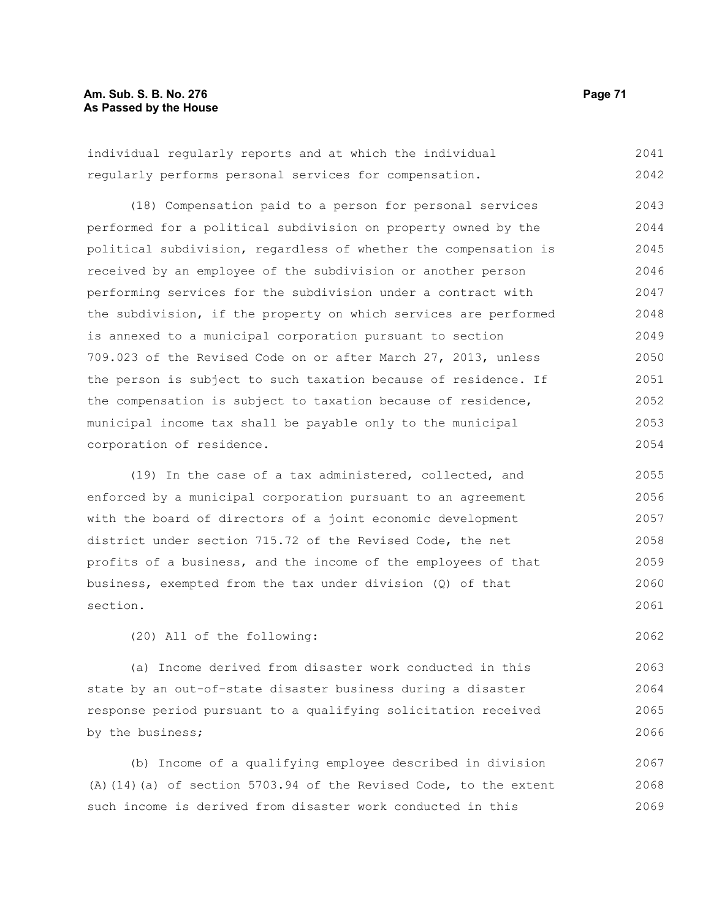# **Am. Sub. S. B. No. 276 Page 71 As Passed by the House**

individual regularly reports and at which the individual regularly performs personal services for compensation. 2041 2042

(18) Compensation paid to a person for personal services performed for a political subdivision on property owned by the political subdivision, regardless of whether the compensation is received by an employee of the subdivision or another person performing services for the subdivision under a contract with the subdivision, if the property on which services are performed is annexed to a municipal corporation pursuant to section 709.023 of the Revised Code on or after March 27, 2013, unless the person is subject to such taxation because of residence. If the compensation is subject to taxation because of residence, municipal income tax shall be payable only to the municipal corporation of residence. 2043 2044 2045 2046 2047 2048 2049 2050 2051 2052 2053 2054

(19) In the case of a tax administered, collected, and enforced by a municipal corporation pursuant to an agreement with the board of directors of a joint economic development district under section 715.72 of the Revised Code, the net profits of a business, and the income of the employees of that business, exempted from the tax under division (Q) of that section. 2055 2056 2057 2058 2059 2060 2061

(20) All of the following:

(a) Income derived from disaster work conducted in this state by an out-of-state disaster business during a disaster response period pursuant to a qualifying solicitation received by the business; 2063 2064 2065 2066

(b) Income of a qualifying employee described in division (A)(14)(a) of section 5703.94 of the Revised Code, to the extent such income is derived from disaster work conducted in this 2067 2068 2069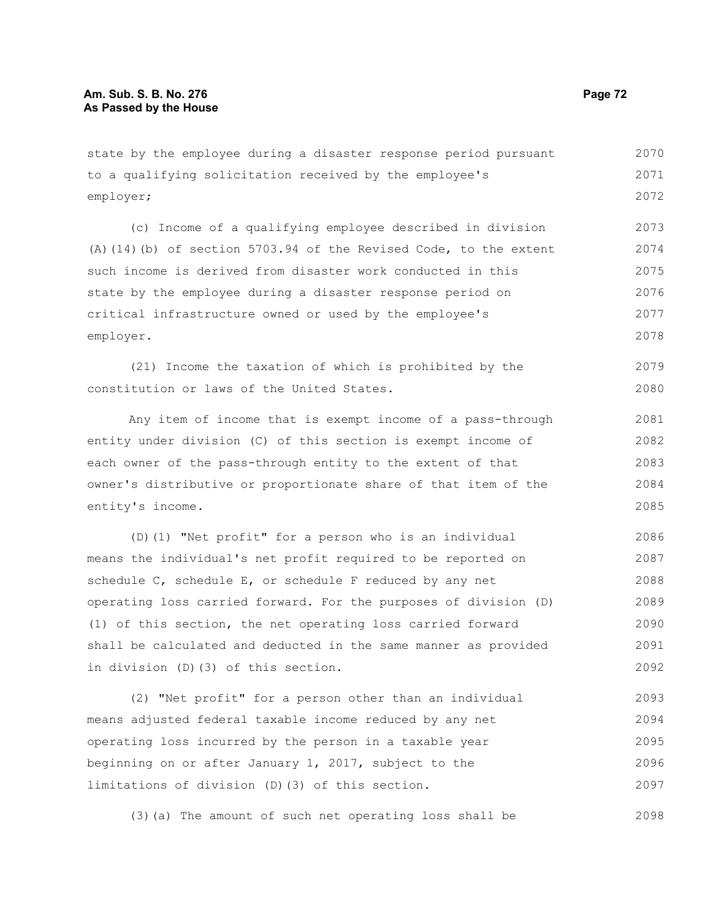state by the employee during a disaster response period pursuant to a qualifying solicitation received by the employee's employer; 2070 2071 2072

(c) Income of a qualifying employee described in division (A)(14)(b) of section 5703.94 of the Revised Code, to the extent such income is derived from disaster work conducted in this state by the employee during a disaster response period on critical infrastructure owned or used by the employee's employer. 2073 2074 2075 2076 2077 2078

(21) Income the taxation of which is prohibited by the constitution or laws of the United States. 2079 2080

Any item of income that is exempt income of a pass-through entity under division (C) of this section is exempt income of each owner of the pass-through entity to the extent of that owner's distributive or proportionate share of that item of the entity's income. 2081 2082 2083 2084 2085

(D)(1) "Net profit" for a person who is an individual means the individual's net profit required to be reported on schedule C, schedule E, or schedule F reduced by any net operating loss carried forward. For the purposes of division (D) (1) of this section, the net operating loss carried forward shall be calculated and deducted in the same manner as provided in division (D)(3) of this section. 2086 2087 2088 2089 2090 2091 2092

(2) "Net profit" for a person other than an individual means adjusted federal taxable income reduced by any net operating loss incurred by the person in a taxable year beginning on or after January 1, 2017, subject to the limitations of division (D)(3) of this section. 2093 2094 2095 2096 2097

(3)(a) The amount of such net operating loss shall be 2098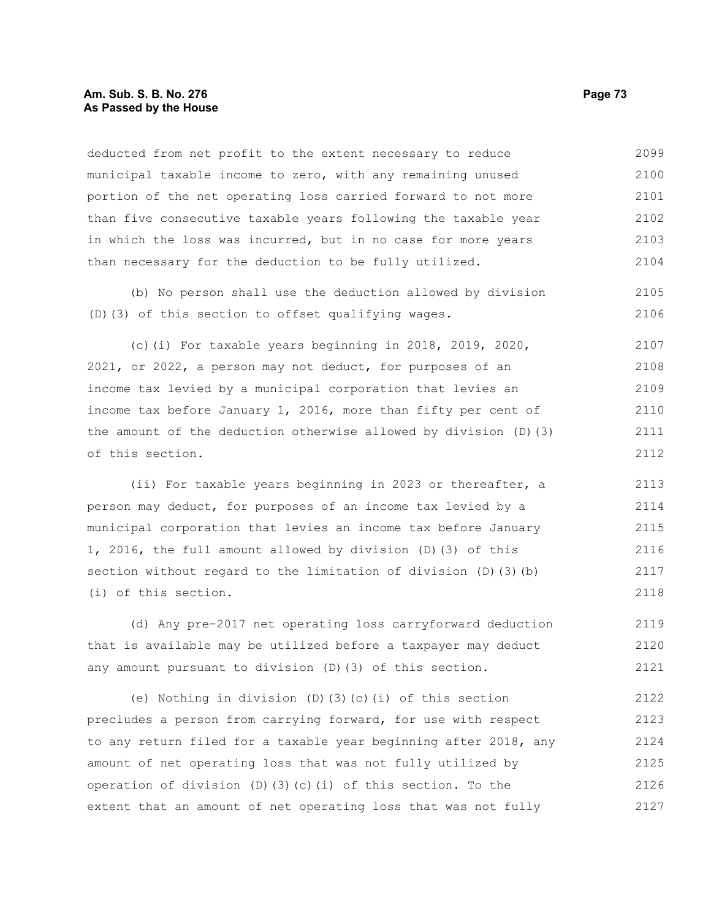## **Am. Sub. S. B. No. 276 Page 73 As Passed by the House**

deducted from net profit to the extent necessary to reduce municipal taxable income to zero, with any remaining unused portion of the net operating loss carried forward to not more than five consecutive taxable years following the taxable year in which the loss was incurred, but in no case for more years than necessary for the deduction to be fully utilized. 2099 2100 2101 2102 2103 2104

(b) No person shall use the deduction allowed by division (D)(3) of this section to offset qualifying wages. 2105 2106

(c)(i) For taxable years beginning in 2018, 2019, 2020, 2021, or 2022, a person may not deduct, for purposes of an income tax levied by a municipal corporation that levies an income tax before January 1, 2016, more than fifty per cent of the amount of the deduction otherwise allowed by division (D)(3) of this section. 2107 2108 2109 2110 2111 2112

(ii) For taxable years beginning in 2023 or thereafter, a person may deduct, for purposes of an income tax levied by a municipal corporation that levies an income tax before January 1, 2016, the full amount allowed by division (D)(3) of this section without regard to the limitation of division (D)(3)(b) (i) of this section. 2113 2114 2115 2116 2117 2118

(d) Any pre-2017 net operating loss carryforward deduction that is available may be utilized before a taxpayer may deduct any amount pursuant to division (D)(3) of this section. 2119 2120 2121

(e) Nothing in division (D)(3)(c)(i) of this section precludes a person from carrying forward, for use with respect to any return filed for a taxable year beginning after 2018, any amount of net operating loss that was not fully utilized by operation of division (D)(3)(c)(i) of this section. To the extent that an amount of net operating loss that was not fully 2122 2123 2124 2125 2126 2127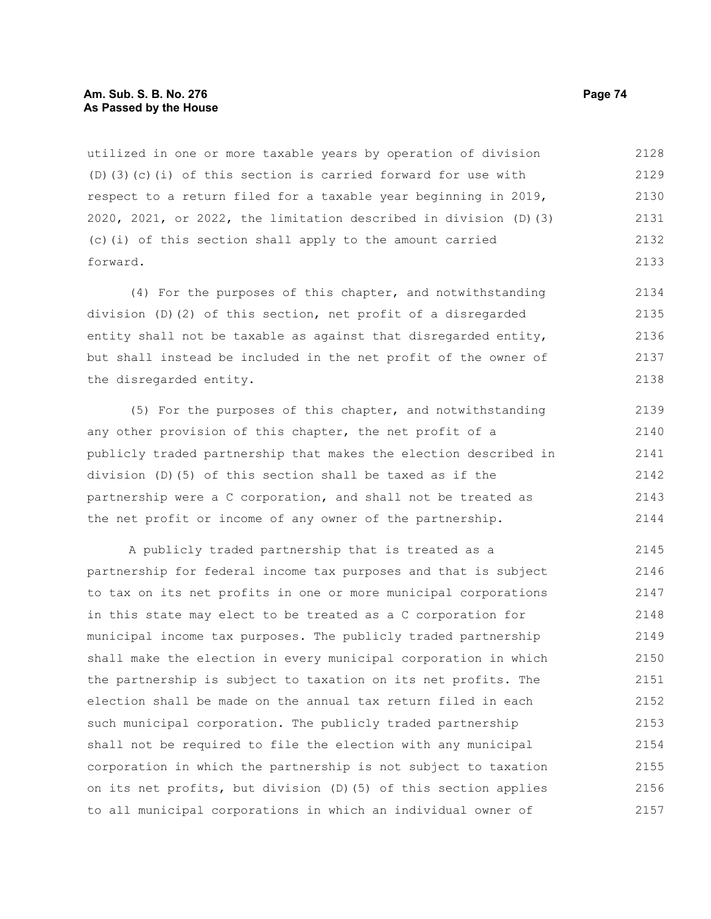## **Am. Sub. S. B. No. 276 Page 74 As Passed by the House**

utilized in one or more taxable years by operation of division (D)(3)(c)(i) of this section is carried forward for use with respect to a return filed for a taxable year beginning in 2019, 2020, 2021, or 2022, the limitation described in division (D)(3) (c)(i) of this section shall apply to the amount carried forward. 2128 2129 2130 2131 2132 2133

(4) For the purposes of this chapter, and notwithstanding division (D)(2) of this section, net profit of a disregarded entity shall not be taxable as against that disregarded entity, but shall instead be included in the net profit of the owner of the disregarded entity. 2134 2135 2136 2137 2138

(5) For the purposes of this chapter, and notwithstanding any other provision of this chapter, the net profit of a publicly traded partnership that makes the election described in division (D)(5) of this section shall be taxed as if the partnership were a C corporation, and shall not be treated as the net profit or income of any owner of the partnership. 2139 2140 2141 2142 2143 2144

A publicly traded partnership that is treated as a partnership for federal income tax purposes and that is subject to tax on its net profits in one or more municipal corporations in this state may elect to be treated as a C corporation for municipal income tax purposes. The publicly traded partnership shall make the election in every municipal corporation in which the partnership is subject to taxation on its net profits. The election shall be made on the annual tax return filed in each such municipal corporation. The publicly traded partnership shall not be required to file the election with any municipal corporation in which the partnership is not subject to taxation on its net profits, but division (D)(5) of this section applies to all municipal corporations in which an individual owner of 2145 2146 2147 2148 2149 2150 2151 2152 2153 2154 2155 2156 2157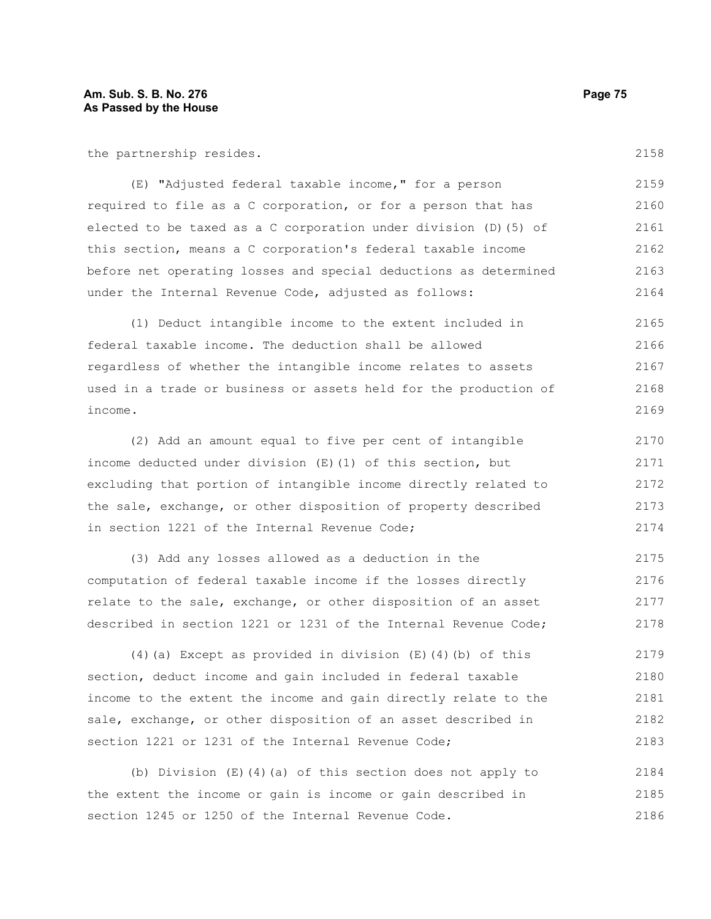the partnership resides.

(E) "Adjusted federal taxable income," for a person required to file as a C corporation, or for a person that has elected to be taxed as a C corporation under division (D)(5) of this section, means a C corporation's federal taxable income before net operating losses and special deductions as determined under the Internal Revenue Code, adjusted as follows: 2159 2160 2161 2162 2163 2164

(1) Deduct intangible income to the extent included in federal taxable income. The deduction shall be allowed regardless of whether the intangible income relates to assets used in a trade or business or assets held for the production of income. 2165 2166 2167 2168 2169

(2) Add an amount equal to five per cent of intangible income deducted under division (E)(1) of this section, but excluding that portion of intangible income directly related to the sale, exchange, or other disposition of property described in section 1221 of the Internal Revenue Code; 2170 2171 2172 2173 2174

(3) Add any losses allowed as a deduction in the computation of federal taxable income if the losses directly relate to the sale, exchange, or other disposition of an asset described in section 1221 or 1231 of the Internal Revenue Code; 2175 2176 2177 2178

(4)(a) Except as provided in division  $(E)$  (4)(b) of this section, deduct income and gain included in federal taxable income to the extent the income and gain directly relate to the sale, exchange, or other disposition of an asset described in section 1221 or 1231 of the Internal Revenue Code; 2179 2180 2181 2182 2183

(b) Division (E)(4)(a) of this section does not apply to the extent the income or gain is income or gain described in section 1245 or 1250 of the Internal Revenue Code. 2184 2185 2186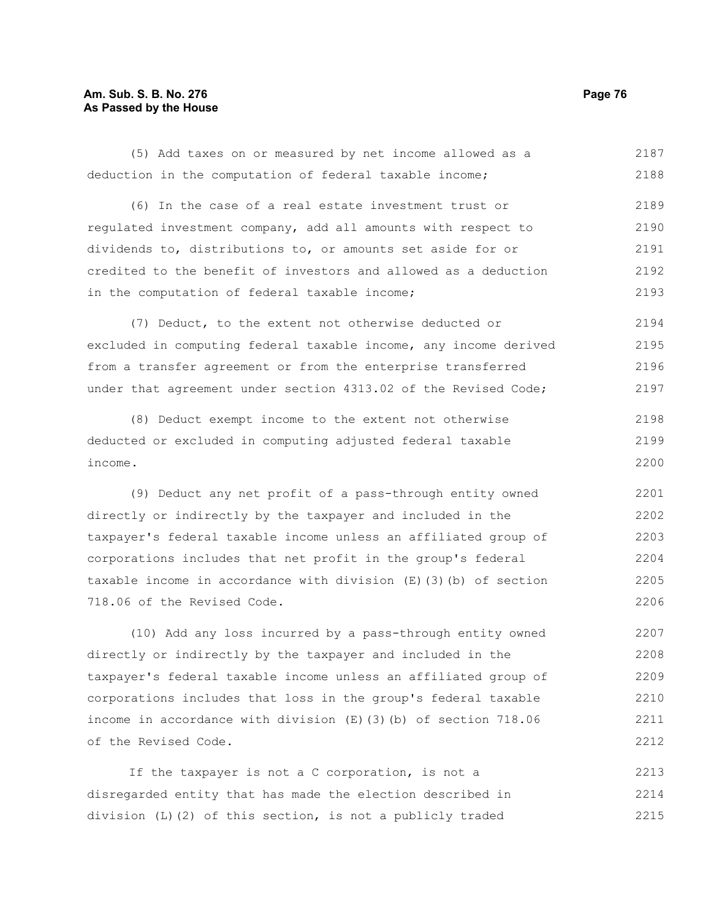## **Am. Sub. S. B. No. 276 Page 76 As Passed by the House**

(5) Add taxes on or measured by net income allowed as a deduction in the computation of federal taxable income; (6) In the case of a real estate investment trust or regulated investment company, add all amounts with respect to dividends to, distributions to, or amounts set aside for or credited to the benefit of investors and allowed as a deduction in the computation of federal taxable income; (7) Deduct, to the extent not otherwise deducted or excluded in computing federal taxable income, any income derived from a transfer agreement or from the enterprise transferred 2187 2188 2189 2190 2191 2192 2193 2194 2195 2196

(8) Deduct exempt income to the extent not otherwise deducted or excluded in computing adjusted federal taxable income. 2198 2199 2200

under that agreement under section 4313.02 of the Revised Code;

(9) Deduct any net profit of a pass-through entity owned directly or indirectly by the taxpayer and included in the taxpayer's federal taxable income unless an affiliated group of corporations includes that net profit in the group's federal taxable income in accordance with division (E)(3)(b) of section 718.06 of the Revised Code. 2201 2202 2203 2204 2205 2206

(10) Add any loss incurred by a pass-through entity owned directly or indirectly by the taxpayer and included in the taxpayer's federal taxable income unless an affiliated group of corporations includes that loss in the group's federal taxable income in accordance with division (E)(3)(b) of section 718.06 of the Revised Code. 2207 2208 2209 2210 2211 2212

If the taxpayer is not a C corporation, is not a disregarded entity that has made the election described in division (L)(2) of this section, is not a publicly traded 2213 2214 2215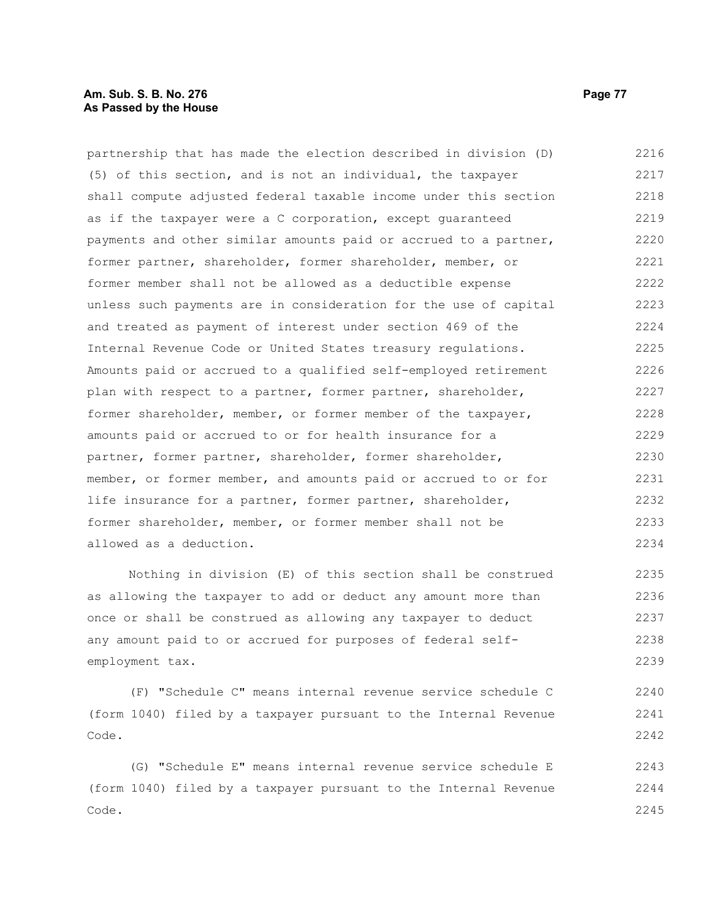## **Am. Sub. S. B. No. 276 Page 77 As Passed by the House**

partnership that has made the election described in division (D) (5) of this section, and is not an individual, the taxpayer shall compute adjusted federal taxable income under this section as if the taxpayer were a C corporation, except guaranteed payments and other similar amounts paid or accrued to a partner, former partner, shareholder, former shareholder, member, or former member shall not be allowed as a deductible expense unless such payments are in consideration for the use of capital and treated as payment of interest under section 469 of the Internal Revenue Code or United States treasury regulations. Amounts paid or accrued to a qualified self-employed retirement plan with respect to a partner, former partner, shareholder, former shareholder, member, or former member of the taxpayer, amounts paid or accrued to or for health insurance for a partner, former partner, shareholder, former shareholder, member, or former member, and amounts paid or accrued to or for life insurance for a partner, former partner, shareholder, former shareholder, member, or former member shall not be allowed as a deduction. 2216 2217 2218 2219 2220 2221 2222 2223 2224 2225 2226 2227 2228 2229 2230 2231 2232 2233 2234

Nothing in division (E) of this section shall be construed as allowing the taxpayer to add or deduct any amount more than once or shall be construed as allowing any taxpayer to deduct any amount paid to or accrued for purposes of federal selfemployment tax. 2235 2236 2237 2238 2239

(F) "Schedule C" means internal revenue service schedule C (form 1040) filed by a taxpayer pursuant to the Internal Revenue Code. 2240 2241 2242

(G) "Schedule E" means internal revenue service schedule E (form 1040) filed by a taxpayer pursuant to the Internal Revenue Code. 2243 2244 2245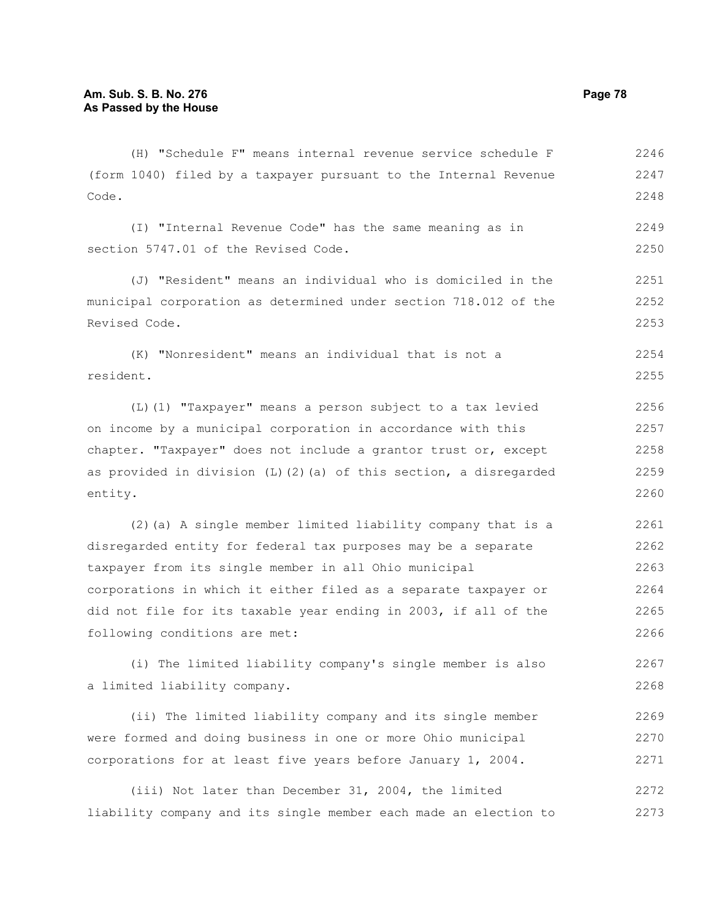Revised Code.

(H) "Schedule F" means internal revenue service schedule F (form 1040) filed by a taxpayer pursuant to the Internal Revenue Code. (I) "Internal Revenue Code" has the same meaning as in section 5747.01 of the Revised Code. (J) "Resident" means an individual who is domiciled in the municipal corporation as determined under section 718.012 of the 2246 2247 2248 2249 2250 2251 2252

(K) "Nonresident" means an individual that is not a resident. 2254 2255

(L)(1) "Taxpayer" means a person subject to a tax levied on income by a municipal corporation in accordance with this chapter. "Taxpayer" does not include a grantor trust or, except as provided in division (L)(2)(a) of this section, a disregarded entity. 2256 2257 2258 2259 2260

(2)(a) A single member limited liability company that is a disregarded entity for federal tax purposes may be a separate taxpayer from its single member in all Ohio municipal corporations in which it either filed as a separate taxpayer or did not file for its taxable year ending in 2003, if all of the following conditions are met: 2261 2262 2263 2264 2265 2266

(i) The limited liability company's single member is also a limited liability company. 2267 2268

(ii) The limited liability company and its single member were formed and doing business in one or more Ohio municipal corporations for at least five years before January 1, 2004. 2269 2270 2271

(iii) Not later than December 31, 2004, the limited liability company and its single member each made an election to 2272 2273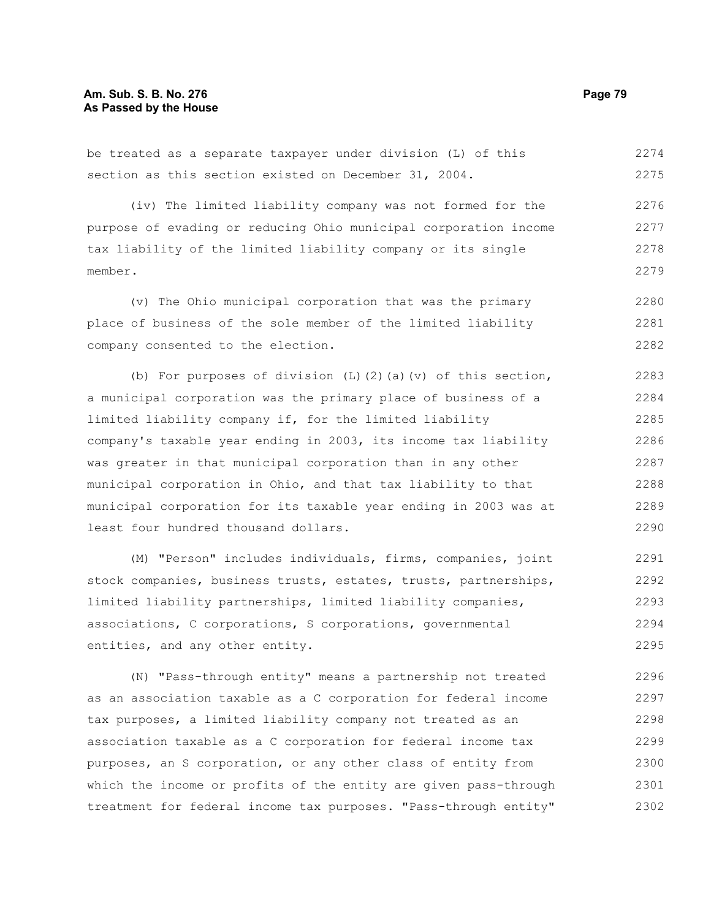be treated as a separate taxpayer under division (L) of this section as this section existed on December 31, 2004. 2274 2275

(iv) The limited liability company was not formed for the purpose of evading or reducing Ohio municipal corporation income tax liability of the limited liability company or its single member. 2276 2277 2278 2279

(v) The Ohio municipal corporation that was the primary place of business of the sole member of the limited liability company consented to the election. 2280 2281 2282

(b) For purposes of division  $(L)$   $(2)$   $(a)$   $(v)$  of this section, a municipal corporation was the primary place of business of a limited liability company if, for the limited liability company's taxable year ending in 2003, its income tax liability was greater in that municipal corporation than in any other municipal corporation in Ohio, and that tax liability to that municipal corporation for its taxable year ending in 2003 was at least four hundred thousand dollars. 2283 2284 2285 2286 2287 2288 2289 2290

(M) "Person" includes individuals, firms, companies, joint stock companies, business trusts, estates, trusts, partnerships, limited liability partnerships, limited liability companies, associations, C corporations, S corporations, governmental entities, and any other entity. 2291 2292 2293 2294 2295

(N) "Pass-through entity" means a partnership not treated as an association taxable as a C corporation for federal income tax purposes, a limited liability company not treated as an association taxable as a C corporation for federal income tax purposes, an S corporation, or any other class of entity from which the income or profits of the entity are given pass-through treatment for federal income tax purposes. "Pass-through entity" 2296 2297 2298 2299 2300 2301 2302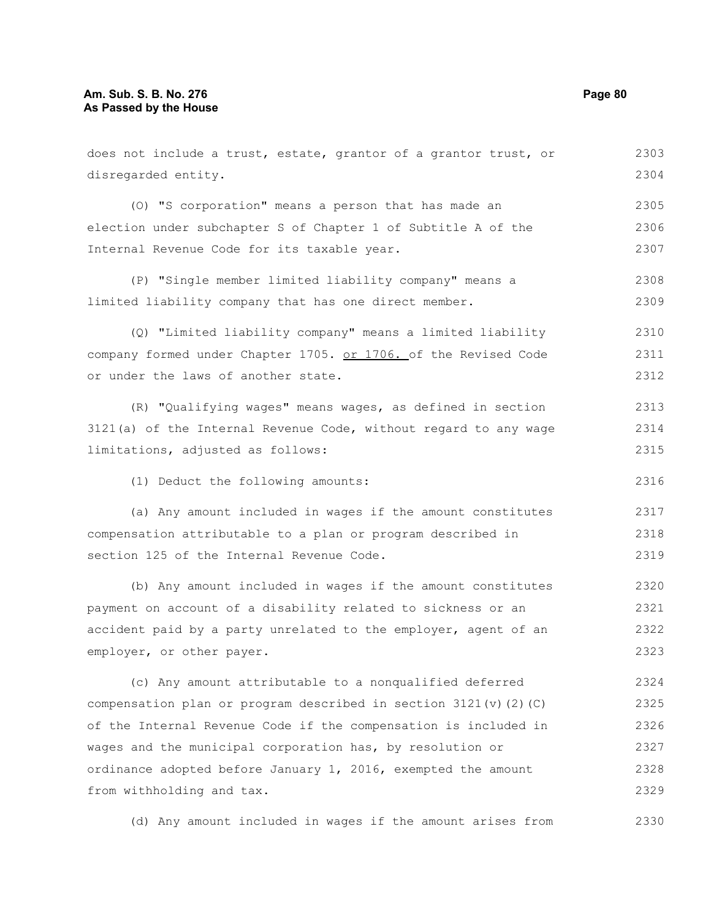from withholding and tax.

does not include a trust, estate, grantor of a grantor trust, or disregarded entity. (O) "S corporation" means a person that has made an election under subchapter S of Chapter 1 of Subtitle A of the Internal Revenue Code for its taxable year. (P) "Single member limited liability company" means a limited liability company that has one direct member. (Q) "Limited liability company" means a limited liability company formed under Chapter 1705. or 1706. of the Revised Code or under the laws of another state. (R) "Qualifying wages" means wages, as defined in section 3121(a) of the Internal Revenue Code, without regard to any wage limitations, adjusted as follows: (1) Deduct the following amounts: (a) Any amount included in wages if the amount constitutes compensation attributable to a plan or program described in section 125 of the Internal Revenue Code. (b) Any amount included in wages if the amount constitutes payment on account of a disability related to sickness or an accident paid by a party unrelated to the employer, agent of an employer, or other payer. (c) Any amount attributable to a nonqualified deferred compensation plan or program described in section  $3121(v)(2)(C)$ of the Internal Revenue Code if the compensation is included in wages and the municipal corporation has, by resolution or ordinance adopted before January 1, 2016, exempted the amount 2303 2304 2305 2306 2307 2308 2309 2310 2311 2312 2313 2314 2315 2316 2317 2318 2319 2320 2321 2322 2323 2324 2325 2326 2327 2328

(d) Any amount included in wages if the amount arises from 2330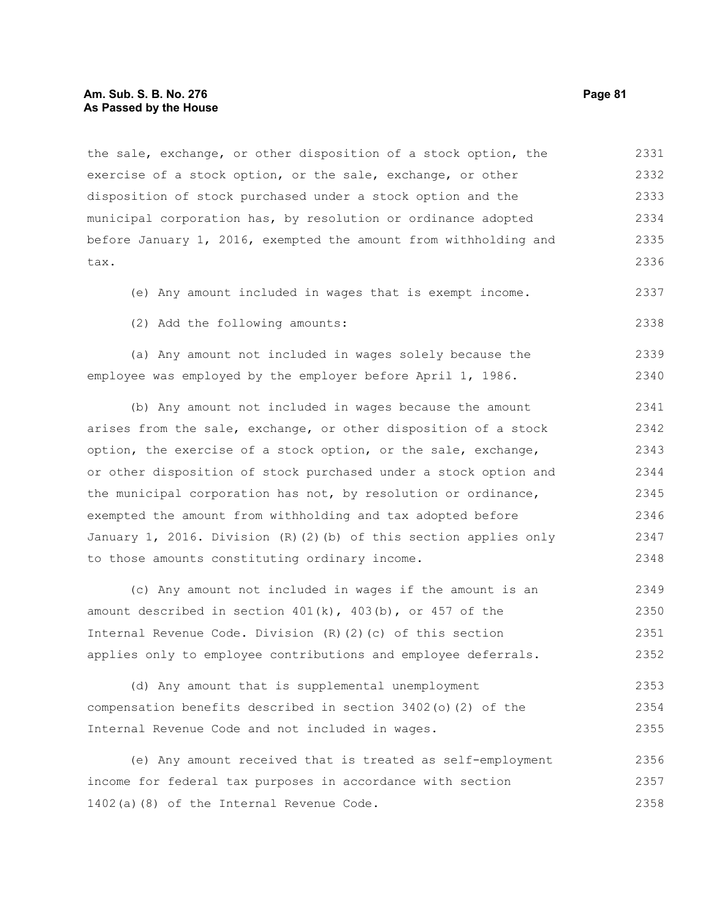#### **Am. Sub. S. B. No. 276 Page 81 As Passed by the House**

the sale, exchange, or other disposition of a stock option, the exercise of a stock option, or the sale, exchange, or other disposition of stock purchased under a stock option and the municipal corporation has, by resolution or ordinance adopted before January 1, 2016, exempted the amount from withholding and tax. 2331 2332 2333 2334 2335 2336

(e) Any amount included in wages that is exempt income.

(2) Add the following amounts:

(a) Any amount not included in wages solely because the employee was employed by the employer before April 1, 1986. 2339 2340

(b) Any amount not included in wages because the amount arises from the sale, exchange, or other disposition of a stock option, the exercise of a stock option, or the sale, exchange, or other disposition of stock purchased under a stock option and the municipal corporation has not, by resolution or ordinance, exempted the amount from withholding and tax adopted before January 1, 2016. Division (R)(2)(b) of this section applies only to those amounts constituting ordinary income. 2341 2342 2343 2344 2345 2346 2347 2348

(c) Any amount not included in wages if the amount is an amount described in section  $401(k)$ ,  $403(b)$ , or  $457$  of the Internal Revenue Code. Division (R)(2)(c) of this section applies only to employee contributions and employee deferrals. 2349 2350 2351 2352

(d) Any amount that is supplemental unemployment compensation benefits described in section 3402(o)(2) of the Internal Revenue Code and not included in wages. 2353 2354 2355

(e) Any amount received that is treated as self-employment income for federal tax purposes in accordance with section 1402(a)(8) of the Internal Revenue Code. 2356 2357 2358

2337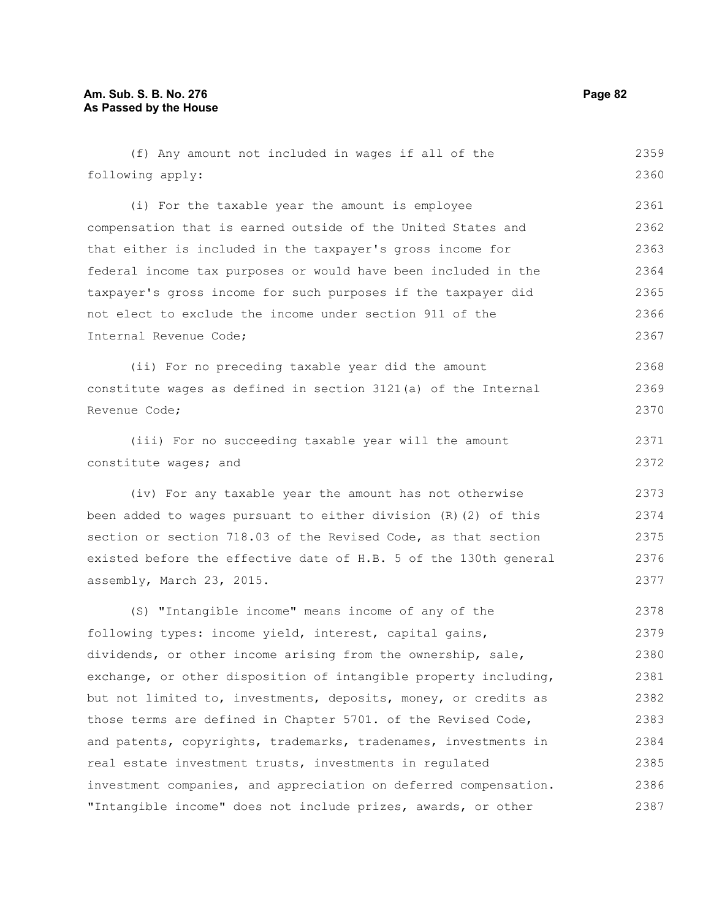# **Am. Sub. S. B. No. 276 Page 82 As Passed by the House**

(f) Any amount not included in wages if all of the following apply: (i) For the taxable year the amount is employee compensation that is earned outside of the United States and that either is included in the taxpayer's gross income for federal income tax purposes or would have been included in the taxpayer's gross income for such purposes if the taxpayer did not elect to exclude the income under section 911 of the Internal Revenue Code; (ii) For no preceding taxable year did the amount constitute wages as defined in section 3121(a) of the Internal Revenue Code; (iii) For no succeeding taxable year will the amount constitute wages; and (iv) For any taxable year the amount has not otherwise been added to wages pursuant to either division (R)(2) of this section or section 718.03 of the Revised Code, as that section existed before the effective date of H.B. 5 of the 130th general assembly, March 23, 2015. (S) "Intangible income" means income of any of the following types: income yield, interest, capital gains, dividends, or other income arising from the ownership, sale, exchange, or other disposition of intangible property including, but not limited to, investments, deposits, money, or credits as those terms are defined in Chapter 5701. of the Revised Code, and patents, copyrights, trademarks, tradenames, investments in real estate investment trusts, investments in regulated 2359 2360 2361 2362 2363 2364 2365 2366 2367 2368 2369 2370 2371 2372 2373 2374 2375 2376 2377 2378 2379 2380 2381 2382 2383 2384 2385

investment companies, and appreciation on deferred compensation. "Intangible income" does not include prizes, awards, or other 2386 2387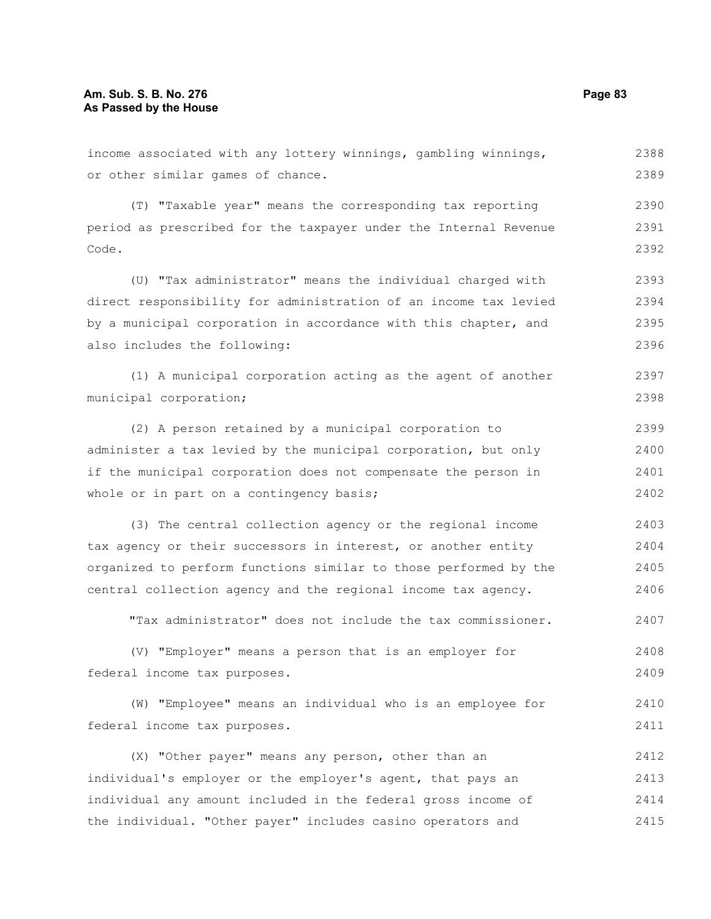income associated with any lottery winnings, gambling winnings, or other similar games of chance. 2388 2389

(T) "Taxable year" means the corresponding tax reporting period as prescribed for the taxpayer under the Internal Revenue Code. 2390 2391 2392

(U) "Tax administrator" means the individual charged with direct responsibility for administration of an income tax levied by a municipal corporation in accordance with this chapter, and also includes the following: 2393 2394 2395 2396

(1) A municipal corporation acting as the agent of another municipal corporation; 2397 2398

(2) A person retained by a municipal corporation to administer a tax levied by the municipal corporation, but only if the municipal corporation does not compensate the person in whole or in part on a contingency basis; 2399 2400 2401 2402

(3) The central collection agency or the regional income tax agency or their successors in interest, or another entity organized to perform functions similar to those performed by the central collection agency and the regional income tax agency. 2403 2404 2405 2406

"Tax administrator" does not include the tax commissioner. 2407

(V) "Employer" means a person that is an employer for federal income tax purposes. 2408 2409

(W) "Employee" means an individual who is an employee for federal income tax purposes. 2410 2411

(X) "Other payer" means any person, other than an individual's employer or the employer's agent, that pays an individual any amount included in the federal gross income of the individual. "Other payer" includes casino operators and 2412 2413 2414 2415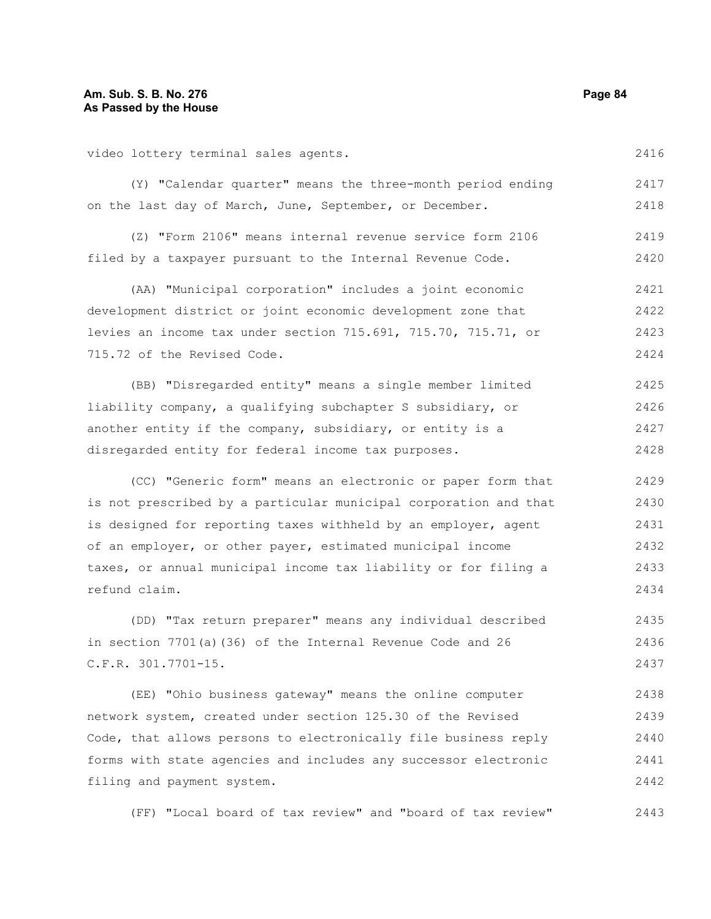video lottery terminal sales agents.

(Y) "Calendar quarter" means the three-month period ending on the last day of March, June, September, or December. 2417 2418

(Z) "Form 2106" means internal revenue service form 2106 filed by a taxpayer pursuant to the Internal Revenue Code. 2419 2420

(AA) "Municipal corporation" includes a joint economic development district or joint economic development zone that levies an income tax under section 715.691, 715.70, 715.71, or 715.72 of the Revised Code. 2421 2422 2423 2424

(BB) "Disregarded entity" means a single member limited liability company, a qualifying subchapter S subsidiary, or another entity if the company, subsidiary, or entity is a disregarded entity for federal income tax purposes. 2425 2426 2427 2428

(CC) "Generic form" means an electronic or paper form that is not prescribed by a particular municipal corporation and that is designed for reporting taxes withheld by an employer, agent of an employer, or other payer, estimated municipal income taxes, or annual municipal income tax liability or for filing a refund claim. 2429 2430 2431 2432 2433 2434

(DD) "Tax return preparer" means any individual described in section 7701(a)(36) of the Internal Revenue Code and 26 C.F.R. 301.7701-15. 2435 2436 2437

(EE) "Ohio business gateway" means the online computer network system, created under section 125.30 of the Revised Code, that allows persons to electronically file business reply forms with state agencies and includes any successor electronic filing and payment system. 2438 2439 2440 2441 2442

(FF) "Local board of tax review" and "board of tax review" 2443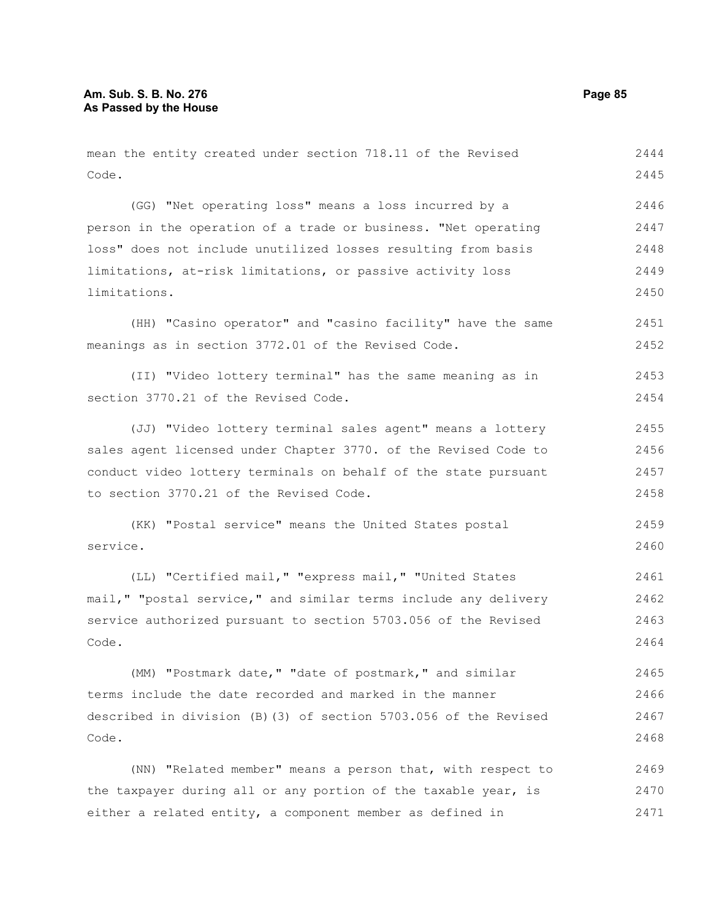mean the entity created under section 718.11 of the Revised Code. (GG) "Net operating loss" means a loss incurred by a person in the operation of a trade or business. "Net operating loss" does not include unutilized losses resulting from basis limitations, at-risk limitations, or passive activity loss limitations. (HH) "Casino operator" and "casino facility" have the same meanings as in section 3772.01 of the Revised Code. (II) "Video lottery terminal" has the same meaning as in section 3770.21 of the Revised Code. (JJ) "Video lottery terminal sales agent" means a lottery sales agent licensed under Chapter 3770. of the Revised Code to conduct video lottery terminals on behalf of the state pursuant to section 3770.21 of the Revised Code. (KK) "Postal service" means the United States postal service. (LL) "Certified mail," "express mail," "United States mail," "postal service," and similar terms include any delivery service authorized pursuant to section 5703.056 of the Revised Code. (MM) "Postmark date," "date of postmark," and similar terms include the date recorded and marked in the manner described in division (B)(3) of section 5703.056 of the Revised Code. (NN) "Related member" means a person that, with respect to the taxpayer during all or any portion of the taxable year, is 2444 2445 2446 2447 2448 2449 2450 2451 2452 2453 2454 2455 2456 2457 2458 2459 2460 2461 2462 2463 2464 2465 2466 2467 2468 2469 2470

either a related entity, a component member as defined in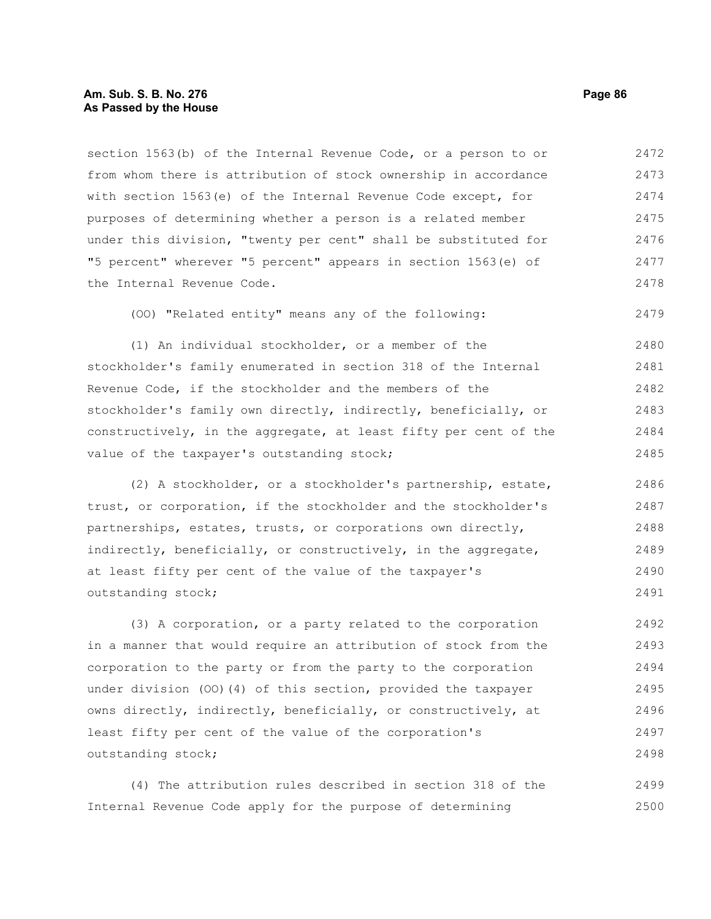#### **Am. Sub. S. B. No. 276 Page 86 As Passed by the House**

section 1563(b) of the Internal Revenue Code, or a person to or from whom there is attribution of stock ownership in accordance with section 1563(e) of the Internal Revenue Code except, for purposes of determining whether a person is a related member under this division, "twenty per cent" shall be substituted for "5 percent" wherever "5 percent" appears in section 1563(e) of the Internal Revenue Code. 2472 2473 2474 2475 2476 2477 2478

(OO) "Related entity" means any of the following:

(1) An individual stockholder, or a member of the stockholder's family enumerated in section 318 of the Internal Revenue Code, if the stockholder and the members of the stockholder's family own directly, indirectly, beneficially, or constructively, in the aggregate, at least fifty per cent of the value of the taxpayer's outstanding stock; 2480 2481 2482 2483 2484 2485

(2) A stockholder, or a stockholder's partnership, estate, trust, or corporation, if the stockholder and the stockholder's partnerships, estates, trusts, or corporations own directly, indirectly, beneficially, or constructively, in the aggregate, at least fifty per cent of the value of the taxpayer's outstanding stock; 2486 2487 2488 2489 2490 2491

(3) A corporation, or a party related to the corporation in a manner that would require an attribution of stock from the corporation to the party or from the party to the corporation under division (OO)(4) of this section, provided the taxpayer owns directly, indirectly, beneficially, or constructively, at least fifty per cent of the value of the corporation's outstanding stock; 2492 2493 2494 2495 2496 2497 2498

(4) The attribution rules described in section 318 of the Internal Revenue Code apply for the purpose of determining 2499 2500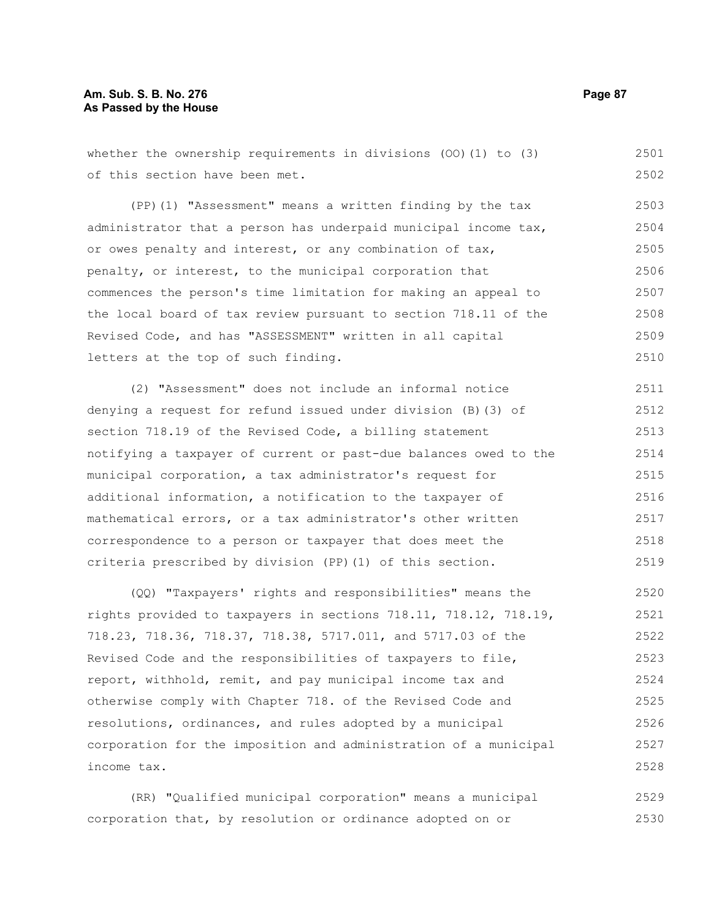# **Am. Sub. S. B. No. 276 Page 87 As Passed by the House**

whether the ownership requirements in divisions (OO)(1) to (3) of this section have been met. 2501 2502

(PP)(1) "Assessment" means a written finding by the tax administrator that a person has underpaid municipal income tax, or owes penalty and interest, or any combination of tax, penalty, or interest, to the municipal corporation that commences the person's time limitation for making an appeal to the local board of tax review pursuant to section 718.11 of the Revised Code, and has "ASSESSMENT" written in all capital letters at the top of such finding. 2503 2504 2505 2506 2507 2508 2509 2510

(2) "Assessment" does not include an informal notice denying a request for refund issued under division (B)(3) of section 718.19 of the Revised Code, a billing statement notifying a taxpayer of current or past-due balances owed to the municipal corporation, a tax administrator's request for additional information, a notification to the taxpayer of mathematical errors, or a tax administrator's other written correspondence to a person or taxpayer that does meet the criteria prescribed by division (PP)(1) of this section. 2511 2512 2513 2514 2515 2516 2517 2518 2519

(QQ) "Taxpayers' rights and responsibilities" means the rights provided to taxpayers in sections 718.11, 718.12, 718.19, 718.23, 718.36, 718.37, 718.38, 5717.011, and 5717.03 of the Revised Code and the responsibilities of taxpayers to file, report, withhold, remit, and pay municipal income tax and otherwise comply with Chapter 718. of the Revised Code and resolutions, ordinances, and rules adopted by a municipal corporation for the imposition and administration of a municipal income tax. 2520 2521 2522 2523 2524 2525 2526 2527 2528

(RR) "Qualified municipal corporation" means a municipal corporation that, by resolution or ordinance adopted on or 2529 2530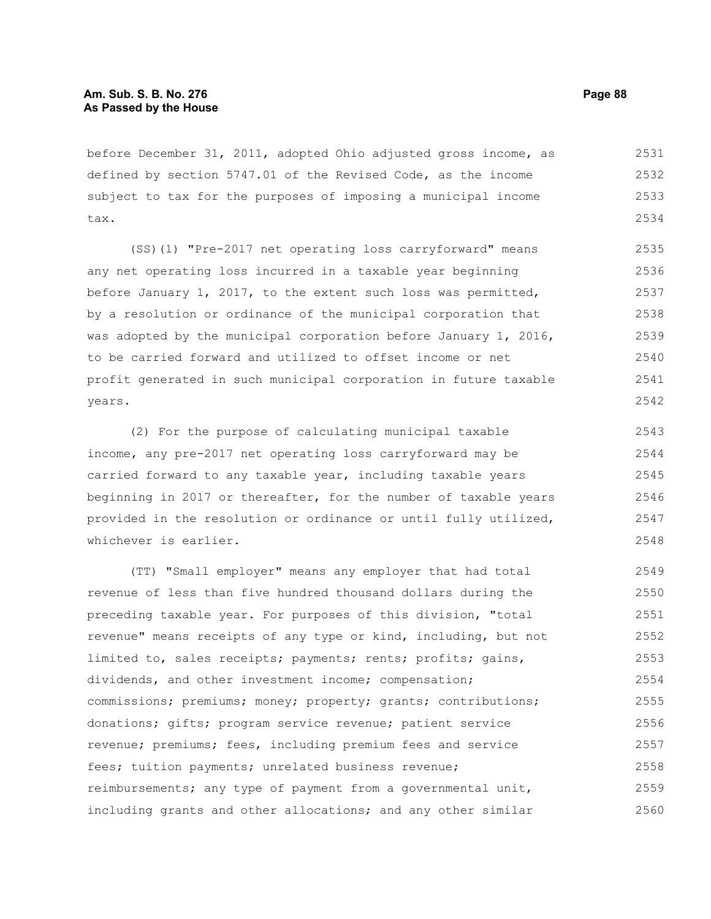# **Am. Sub. S. B. No. 276 Page 88 As Passed by the House**

before December 31, 2011, adopted Ohio adjusted gross income, as defined by section 5747.01 of the Revised Code, as the income subject to tax for the purposes of imposing a municipal income tax. 2531 2532 2533 2534

(SS)(1) "Pre-2017 net operating loss carryforward" means any net operating loss incurred in a taxable year beginning before January 1, 2017, to the extent such loss was permitted, by a resolution or ordinance of the municipal corporation that was adopted by the municipal corporation before January 1, 2016, to be carried forward and utilized to offset income or net profit generated in such municipal corporation in future taxable years. 2535 2536 2537 2538 2539 2540 2541 2542

(2) For the purpose of calculating municipal taxable income, any pre-2017 net operating loss carryforward may be carried forward to any taxable year, including taxable years beginning in 2017 or thereafter, for the number of taxable years provided in the resolution or ordinance or until fully utilized, whichever is earlier. 2543 2544 2545 2546 2547 2548

(TT) "Small employer" means any employer that had total revenue of less than five hundred thousand dollars during the preceding taxable year. For purposes of this division, "total revenue" means receipts of any type or kind, including, but not limited to, sales receipts; payments; rents; profits; gains, dividends, and other investment income; compensation; commissions; premiums; money; property; grants; contributions; donations; gifts; program service revenue; patient service revenue; premiums; fees, including premium fees and service fees; tuition payments; unrelated business revenue; reimbursements; any type of payment from a governmental unit, including grants and other allocations; and any other similar 2549 2550 2551 2552 2553 2554 2555 2556 2557 2558 2559 2560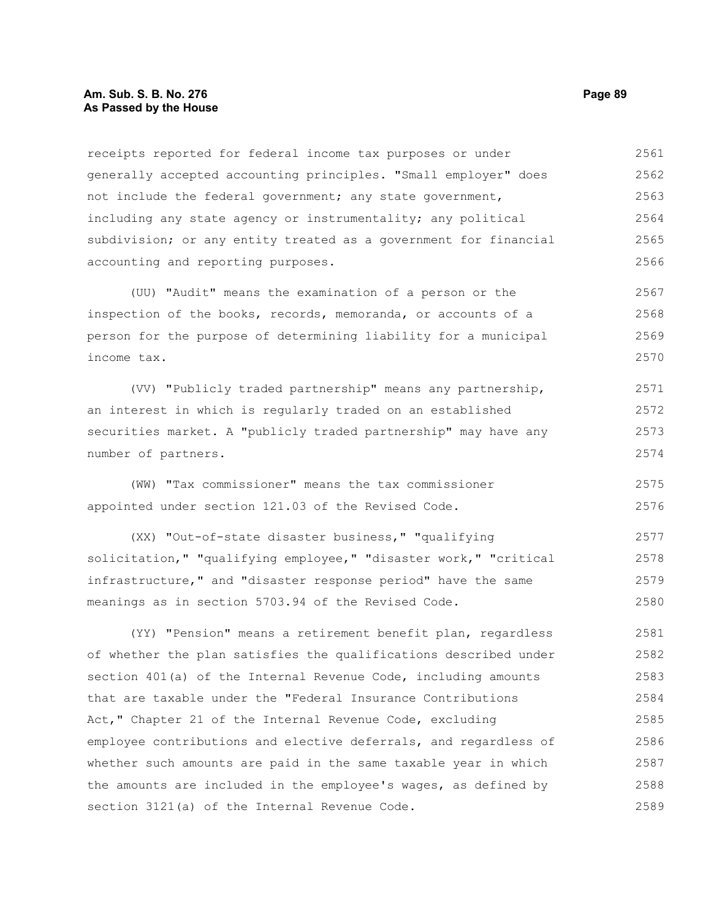## **Am. Sub. S. B. No. 276 Page 89 As Passed by the House**

receipts reported for federal income tax purposes or under generally accepted accounting principles. "Small employer" does not include the federal government; any state government, including any state agency or instrumentality; any political subdivision; or any entity treated as a government for financial accounting and reporting purposes. 2561 2562 2563 2564 2565 2566

(UU) "Audit" means the examination of a person or the inspection of the books, records, memoranda, or accounts of a person for the purpose of determining liability for a municipal income tax. 2567 2568 2569 2570

(VV) "Publicly traded partnership" means any partnership, an interest in which is regularly traded on an established securities market. A "publicly traded partnership" may have any number of partners. 2571 2572 2573 2574

(WW) "Tax commissioner" means the tax commissioner appointed under section 121.03 of the Revised Code. 2575 2576

(XX) "Out-of-state disaster business," "qualifying solicitation," "qualifying employee," "disaster work," "critical infrastructure," and "disaster response period" have the same meanings as in section 5703.94 of the Revised Code. 2577 2578 2579 2580

(YY) "Pension" means a retirement benefit plan, regardless of whether the plan satisfies the qualifications described under section 401(a) of the Internal Revenue Code, including amounts that are taxable under the "Federal Insurance Contributions Act," Chapter 21 of the Internal Revenue Code, excluding employee contributions and elective deferrals, and regardless of whether such amounts are paid in the same taxable year in which the amounts are included in the employee's wages, as defined by section 3121(a) of the Internal Revenue Code. 2581 2582 2583 2584 2585 2586 2587 2588 2589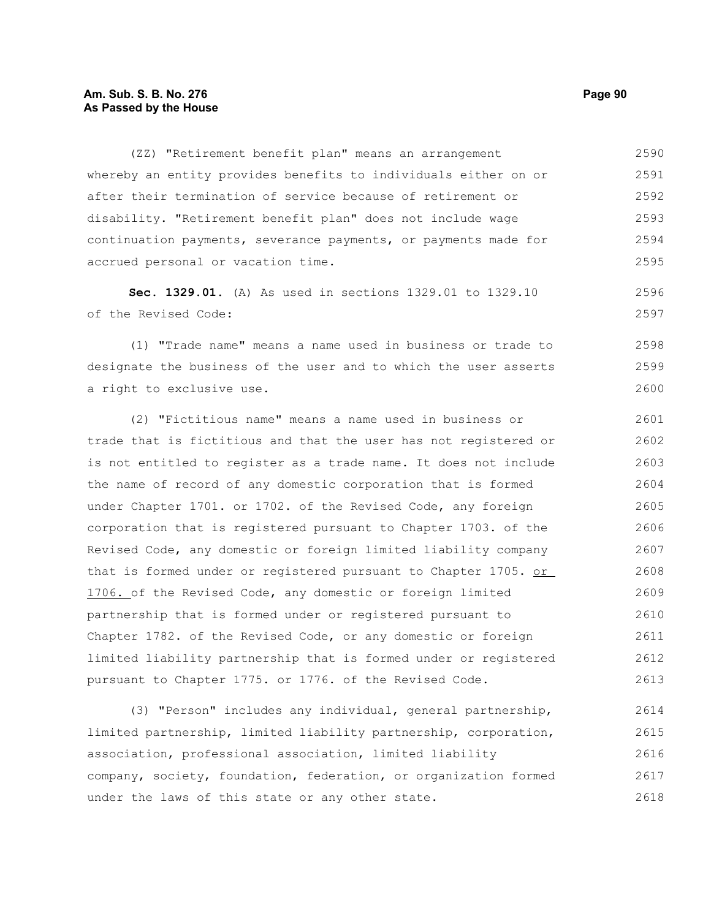## **Am. Sub. S. B. No. 276 Page 90 As Passed by the House**

(ZZ) "Retirement benefit plan" means an arrangement whereby an entity provides benefits to individuals either on or after their termination of service because of retirement or disability. "Retirement benefit plan" does not include wage continuation payments, severance payments, or payments made for accrued personal or vacation time. 2590 2591 2592 2593 2594 2595

**Sec. 1329.01.** (A) As used in sections 1329.01 to 1329.10 of the Revised Code:

(1) "Trade name" means a name used in business or trade to designate the business of the user and to which the user asserts a right to exclusive use. 2598 2599 2600

(2) "Fictitious name" means a name used in business or trade that is fictitious and that the user has not registered or is not entitled to register as a trade name. It does not include the name of record of any domestic corporation that is formed under Chapter 1701. or 1702. of the Revised Code, any foreign corporation that is registered pursuant to Chapter 1703. of the Revised Code, any domestic or foreign limited liability company that is formed under or registered pursuant to Chapter 1705. or 1706. of the Revised Code, any domestic or foreign limited partnership that is formed under or registered pursuant to Chapter 1782. of the Revised Code, or any domestic or foreign limited liability partnership that is formed under or registered pursuant to Chapter 1775. or 1776. of the Revised Code. 2601 2602 2603 2604 2605 2606 2607 2608 2609 2610 2611 2612 2613

(3) "Person" includes any individual, general partnership, limited partnership, limited liability partnership, corporation, association, professional association, limited liability company, society, foundation, federation, or organization formed under the laws of this state or any other state. 2614 2615 2616 2617 2618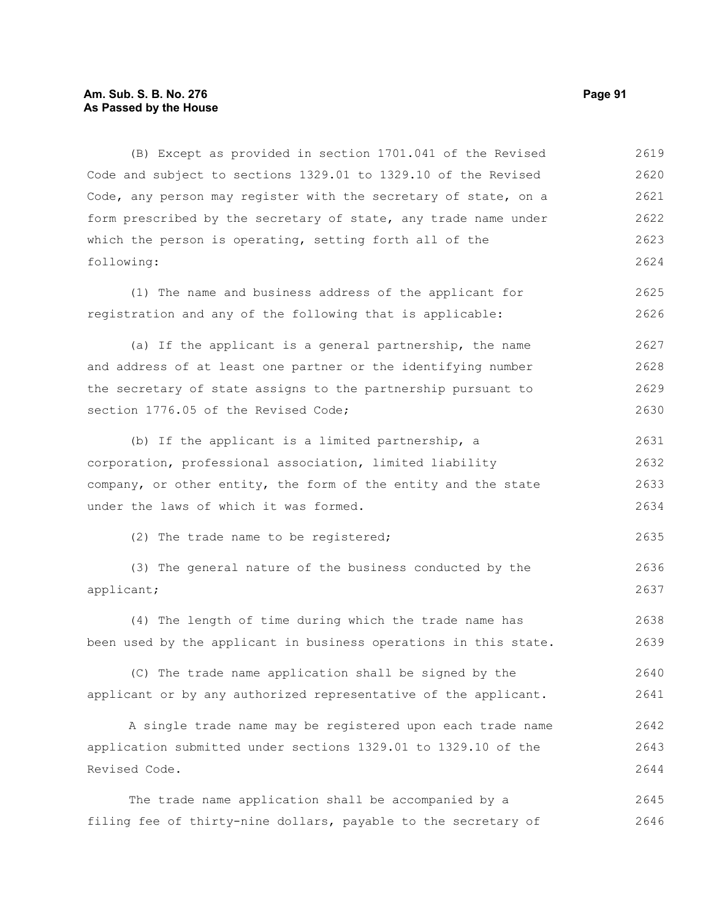## **Am. Sub. S. B. No. 276 Page 91 As Passed by the House**

(B) Except as provided in section 1701.041 of the Revised Code and subject to sections 1329.01 to 1329.10 of the Revised Code, any person may register with the secretary of state, on a form prescribed by the secretary of state, any trade name under which the person is operating, setting forth all of the following: 2619 2620 2621 2622 2623 2624

(1) The name and business address of the applicant for registration and any of the following that is applicable: 2625 2626

(a) If the applicant is a general partnership, the name and address of at least one partner or the identifying number the secretary of state assigns to the partnership pursuant to section 1776.05 of the Revised Code; 2627 2628 2629 2630

(b) If the applicant is a limited partnership, a corporation, professional association, limited liability company, or other entity, the form of the entity and the state under the laws of which it was formed. 2631 2632 2633 2634

(2) The trade name to be registered;

(3) The general nature of the business conducted by the applicant; 2636 2637

(4) The length of time during which the trade name has been used by the applicant in business operations in this state. 2638 2639

(C) The trade name application shall be signed by the applicant or by any authorized representative of the applicant. 2640 2641

A single trade name may be registered upon each trade name application submitted under sections 1329.01 to 1329.10 of the Revised Code. 2642 2643 2644

The trade name application shall be accompanied by a filing fee of thirty-nine dollars, payable to the secretary of 2645 2646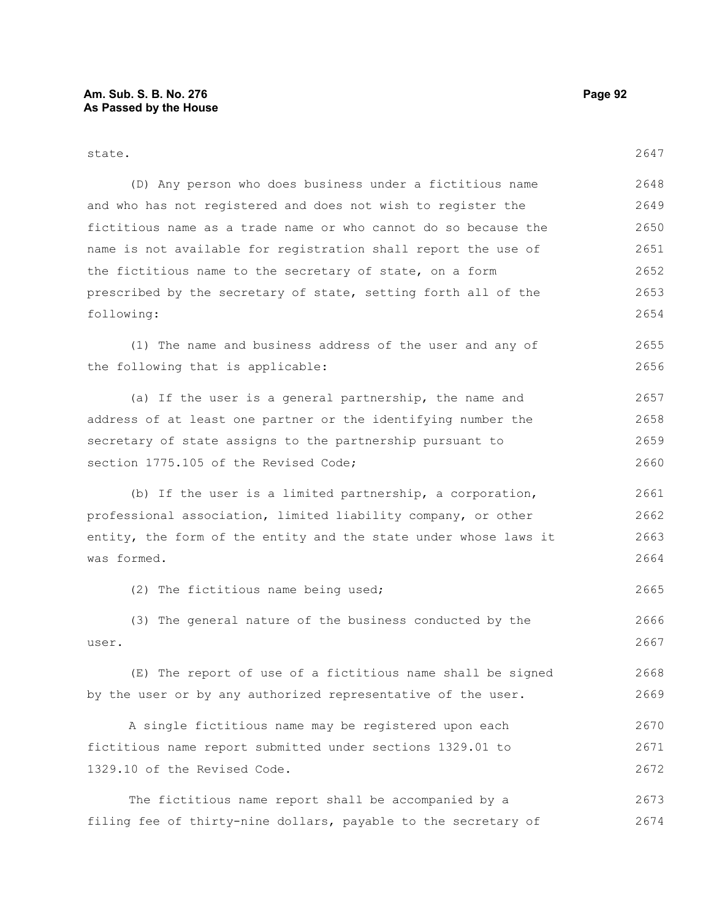| state.                                                           | 2647 |
|------------------------------------------------------------------|------|
| (D) Any person who does business under a fictitious name         | 2648 |
| and who has not registered and does not wish to register the     | 2649 |
| fictitious name as a trade name or who cannot do so because the  | 2650 |
| name is not available for registration shall report the use of   | 2651 |
| the fictitious name to the secretary of state, on a form         | 2652 |
| prescribed by the secretary of state, setting forth all of the   | 2653 |
| following:                                                       | 2654 |
| (1) The name and business address of the user and any of         | 2655 |
| the following that is applicable:                                | 2656 |
| (a) If the user is a general partnership, the name and           | 2657 |
| address of at least one partner or the identifying number the    | 2658 |
| secretary of state assigns to the partnership pursuant to        | 2659 |
| section 1775.105 of the Revised Code;                            | 2660 |
| (b) If the user is a limited partnership, a corporation,         | 2661 |
| professional association, limited liability company, or other    | 2662 |
| entity, the form of the entity and the state under whose laws it | 2663 |
| was formed.                                                      | 2664 |
| (2) The fictitious name being used;                              | 2665 |
| (3) The general nature of the business conducted by the          | 2666 |
| user.                                                            | 2667 |
| (E) The report of use of a fictitious name shall be signed       | 2668 |
| by the user or by any authorized representative of the user.     | 2669 |
| A single fictitious name may be registered upon each             | 2670 |
| fictitious name report submitted under sections 1329.01 to       | 2671 |
| 1329.10 of the Revised Code.                                     | 2672 |
| The fictitious name report shall be accompanied by a             | 2673 |
| filing fee of thirty-nine dollars, payable to the secretary of   | 2674 |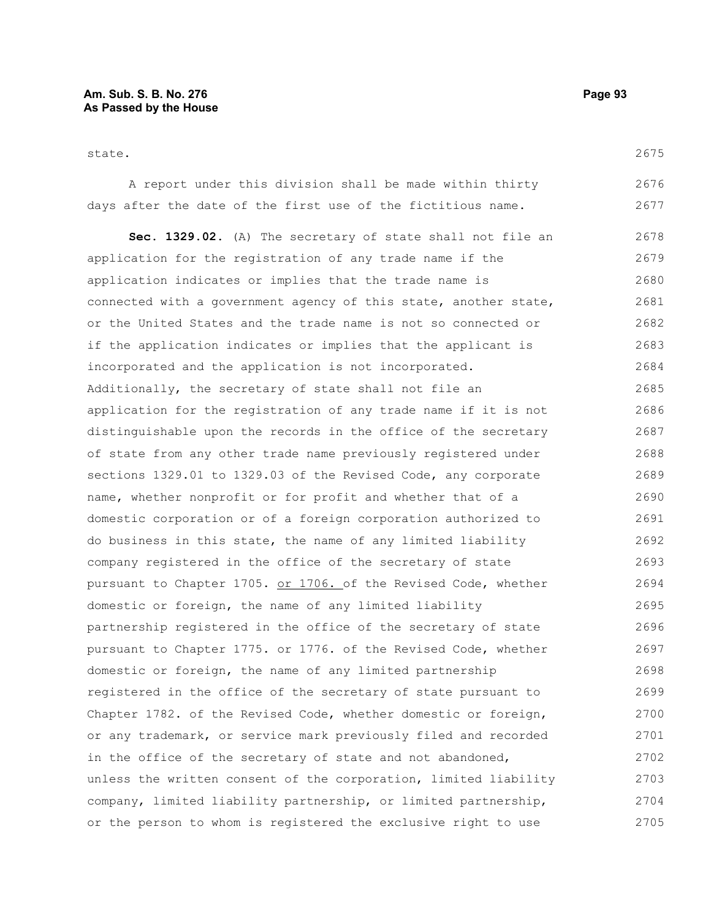state.

A report under this division shall be made within thirty days after the date of the first use of the fictitious name. 2676 2677

**Sec. 1329.02.** (A) The secretary of state shall not file an application for the registration of any trade name if the application indicates or implies that the trade name is connected with a government agency of this state, another state, or the United States and the trade name is not so connected or if the application indicates or implies that the applicant is incorporated and the application is not incorporated. Additionally, the secretary of state shall not file an application for the registration of any trade name if it is not distinguishable upon the records in the office of the secretary of state from any other trade name previously registered under sections 1329.01 to 1329.03 of the Revised Code, any corporate name, whether nonprofit or for profit and whether that of a domestic corporation or of a foreign corporation authorized to do business in this state, the name of any limited liability company registered in the office of the secretary of state pursuant to Chapter 1705. or 1706. of the Revised Code, whether domestic or foreign, the name of any limited liability partnership registered in the office of the secretary of state pursuant to Chapter 1775. or 1776. of the Revised Code, whether domestic or foreign, the name of any limited partnership registered in the office of the secretary of state pursuant to Chapter 1782. of the Revised Code, whether domestic or foreign, or any trademark, or service mark previously filed and recorded in the office of the secretary of state and not abandoned, unless the written consent of the corporation, limited liability company, limited liability partnership, or limited partnership, or the person to whom is registered the exclusive right to use 2678 2679 2680 2681 2682 2683 2684 2685 2686 2687 2688 2689 2690 2691 2692 2693 2694 2695 2696 2697 2698 2699 2700 2701 2702 2703 2704 2705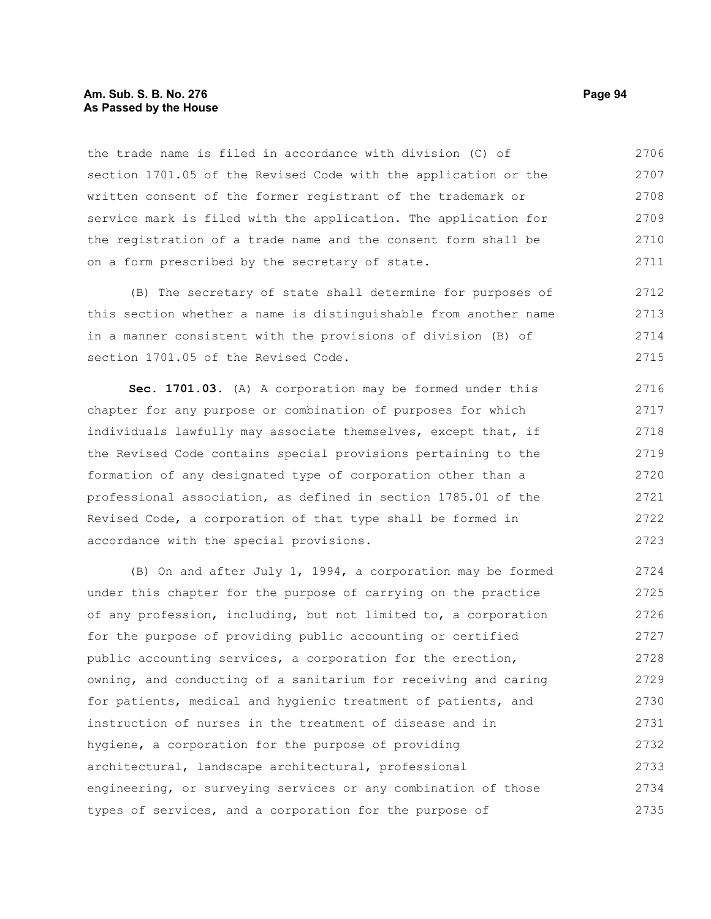#### **Am. Sub. S. B. No. 276 Page 94 As Passed by the House**

the trade name is filed in accordance with division (C) of section 1701.05 of the Revised Code with the application or the written consent of the former registrant of the trademark or service mark is filed with the application. The application for the registration of a trade name and the consent form shall be on a form prescribed by the secretary of state. 2706 2707 2708 2709 2710 2711

(B) The secretary of state shall determine for purposes of this section whether a name is distinguishable from another name in a manner consistent with the provisions of division (B) of section 1701.05 of the Revised Code. 2712 2713 2714 2715

**Sec. 1701.03.** (A) A corporation may be formed under this chapter for any purpose or combination of purposes for which individuals lawfully may associate themselves, except that, if the Revised Code contains special provisions pertaining to the formation of any designated type of corporation other than a professional association, as defined in section 1785.01 of the Revised Code, a corporation of that type shall be formed in accordance with the special provisions. 2716 2717 2718 2719 2720 2721 2722 2723

(B) On and after July 1, 1994, a corporation may be formed under this chapter for the purpose of carrying on the practice of any profession, including, but not limited to, a corporation for the purpose of providing public accounting or certified public accounting services, a corporation for the erection, owning, and conducting of a sanitarium for receiving and caring for patients, medical and hygienic treatment of patients, and instruction of nurses in the treatment of disease and in hygiene, a corporation for the purpose of providing architectural, landscape architectural, professional engineering, or surveying services or any combination of those types of services, and a corporation for the purpose of 2724 2725 2726 2727 2728 2729 2730 2731 2732 2733 2734 2735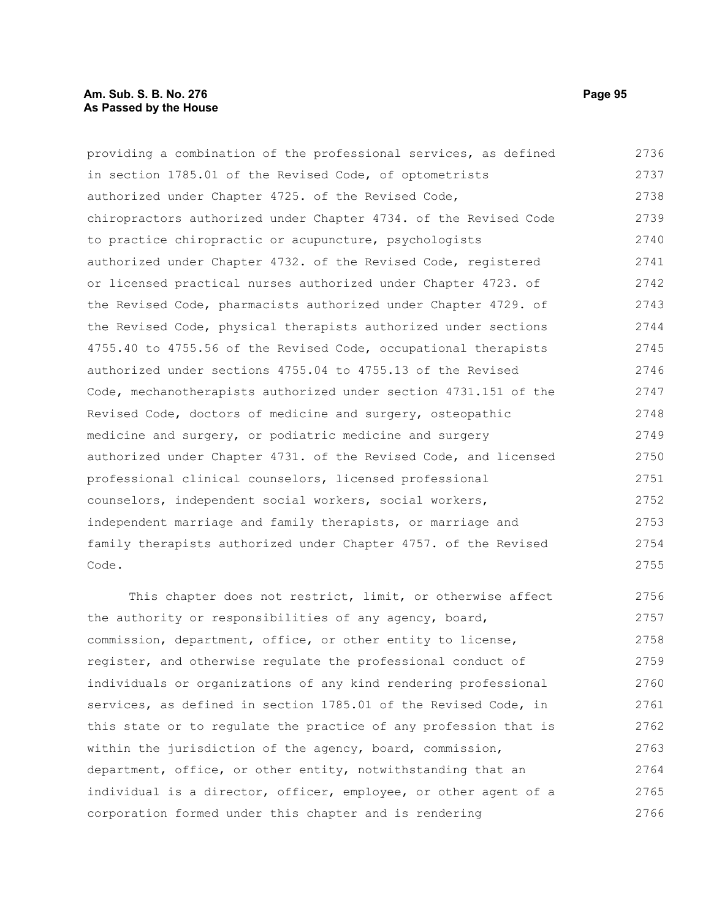providing a combination of the professional services, as defined in section 1785.01 of the Revised Code, of optometrists authorized under Chapter 4725. of the Revised Code, chiropractors authorized under Chapter 4734. of the Revised Code to practice chiropractic or acupuncture, psychologists authorized under Chapter 4732. of the Revised Code, registered or licensed practical nurses authorized under Chapter 4723. of the Revised Code, pharmacists authorized under Chapter 4729. of the Revised Code, physical therapists authorized under sections 4755.40 to 4755.56 of the Revised Code, occupational therapists authorized under sections 4755.04 to 4755.13 of the Revised Code, mechanotherapists authorized under section 4731.151 of the Revised Code, doctors of medicine and surgery, osteopathic medicine and surgery, or podiatric medicine and surgery authorized under Chapter 4731. of the Revised Code, and licensed professional clinical counselors, licensed professional counselors, independent social workers, social workers, independent marriage and family therapists, or marriage and family therapists authorized under Chapter 4757. of the Revised Code. 2736 2737 2738 2739 2740 2741 2742 2743 2744 2745 2746 2747 2748 2749 2750 2751 2752 2753 2754 2755

This chapter does not restrict, limit, or otherwise affect the authority or responsibilities of any agency, board, commission, department, office, or other entity to license, register, and otherwise regulate the professional conduct of individuals or organizations of any kind rendering professional services, as defined in section 1785.01 of the Revised Code, in this state or to regulate the practice of any profession that is within the jurisdiction of the agency, board, commission, department, office, or other entity, notwithstanding that an individual is a director, officer, employee, or other agent of a corporation formed under this chapter and is rendering 2756 2757 2758 2759 2760 2761 2762 2763 2764 2765 2766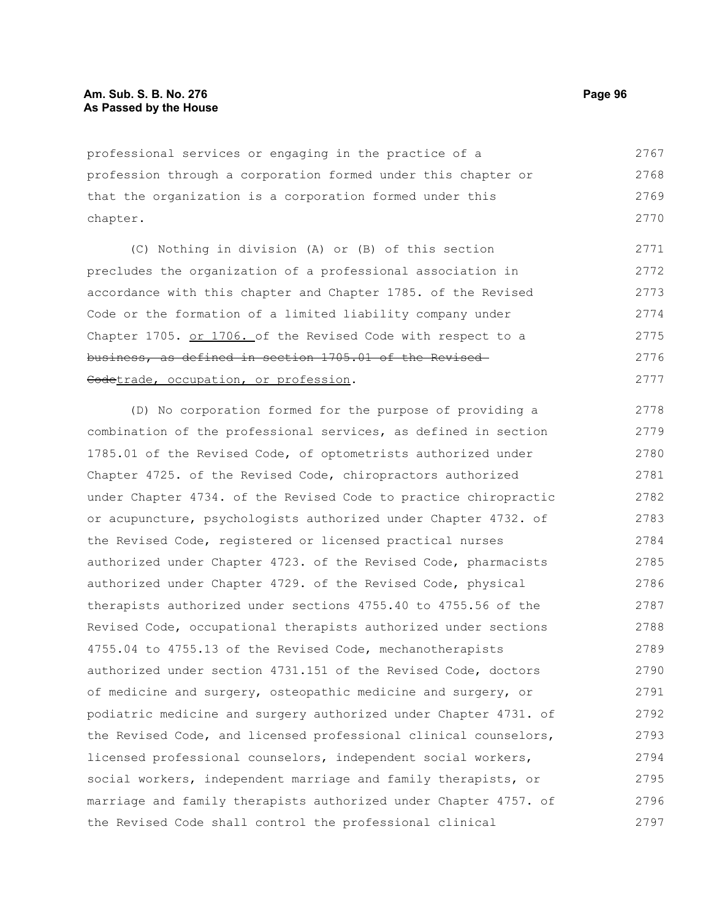professional services or engaging in the practice of a profession through a corporation formed under this chapter or that the organization is a corporation formed under this chapter. 2767 2768 2769 2770

(C) Nothing in division (A) or (B) of this section precludes the organization of a professional association in accordance with this chapter and Chapter 1785. of the Revised Code or the formation of a limited liability company under Chapter 1705. or 1706. of the Revised Code with respect to a business, as defined in section 1705.01 of the Revised Codetrade, occupation, or profession. 2771 2772 2773 2774 2775 2776 2777

(D) No corporation formed for the purpose of providing a combination of the professional services, as defined in section 1785.01 of the Revised Code, of optometrists authorized under Chapter 4725. of the Revised Code, chiropractors authorized under Chapter 4734. of the Revised Code to practice chiropractic or acupuncture, psychologists authorized under Chapter 4732. of the Revised Code, registered or licensed practical nurses authorized under Chapter 4723. of the Revised Code, pharmacists authorized under Chapter 4729. of the Revised Code, physical therapists authorized under sections 4755.40 to 4755.56 of the Revised Code, occupational therapists authorized under sections 4755.04 to 4755.13 of the Revised Code, mechanotherapists authorized under section 4731.151 of the Revised Code, doctors of medicine and surgery, osteopathic medicine and surgery, or podiatric medicine and surgery authorized under Chapter 4731. of the Revised Code, and licensed professional clinical counselors, licensed professional counselors, independent social workers, social workers, independent marriage and family therapists, or marriage and family therapists authorized under Chapter 4757. of the Revised Code shall control the professional clinical 2778 2779 2780 2781 2782 2783 2784 2785 2786 2787 2788 2789 2790 2791 2792 2793 2794 2795 2796 2797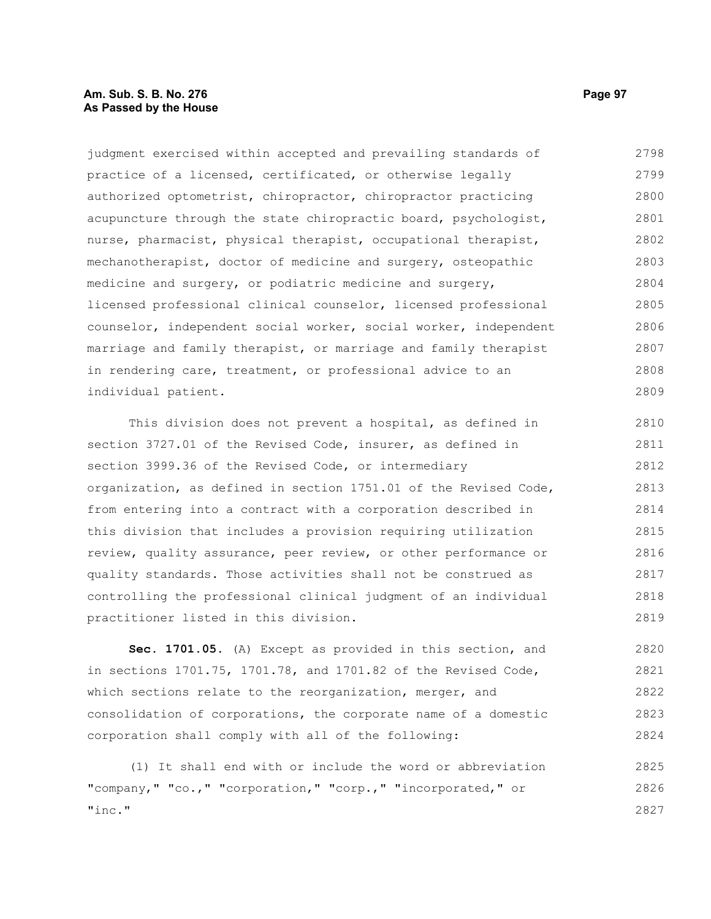## **Am. Sub. S. B. No. 276 Page 97 As Passed by the House**

judgment exercised within accepted and prevailing standards of practice of a licensed, certificated, or otherwise legally authorized optometrist, chiropractor, chiropractor practicing acupuncture through the state chiropractic board, psychologist, nurse, pharmacist, physical therapist, occupational therapist, mechanotherapist, doctor of medicine and surgery, osteopathic medicine and surgery, or podiatric medicine and surgery, licensed professional clinical counselor, licensed professional counselor, independent social worker, social worker, independent marriage and family therapist, or marriage and family therapist in rendering care, treatment, or professional advice to an individual patient. 2798 2799 2800 2801 2802 2803 2804 2805 2806 2807 2808 2809

This division does not prevent a hospital, as defined in section 3727.01 of the Revised Code, insurer, as defined in section 3999.36 of the Revised Code, or intermediary organization, as defined in section 1751.01 of the Revised Code, from entering into a contract with a corporation described in this division that includes a provision requiring utilization review, quality assurance, peer review, or other performance or quality standards. Those activities shall not be construed as controlling the professional clinical judgment of an individual practitioner listed in this division. 2810 2811 2812 2813 2814 2815 2816 2817 2818 2819

**Sec. 1701.05.** (A) Except as provided in this section, and in sections 1701.75, 1701.78, and 1701.82 of the Revised Code, which sections relate to the reorganization, merger, and consolidation of corporations, the corporate name of a domestic corporation shall comply with all of the following: 2820 2821 2822 2823 2824

(1) It shall end with or include the word or abbreviation "company," "co.," "corporation," "corp.," "incorporated," or "inc." 2825 2826 2827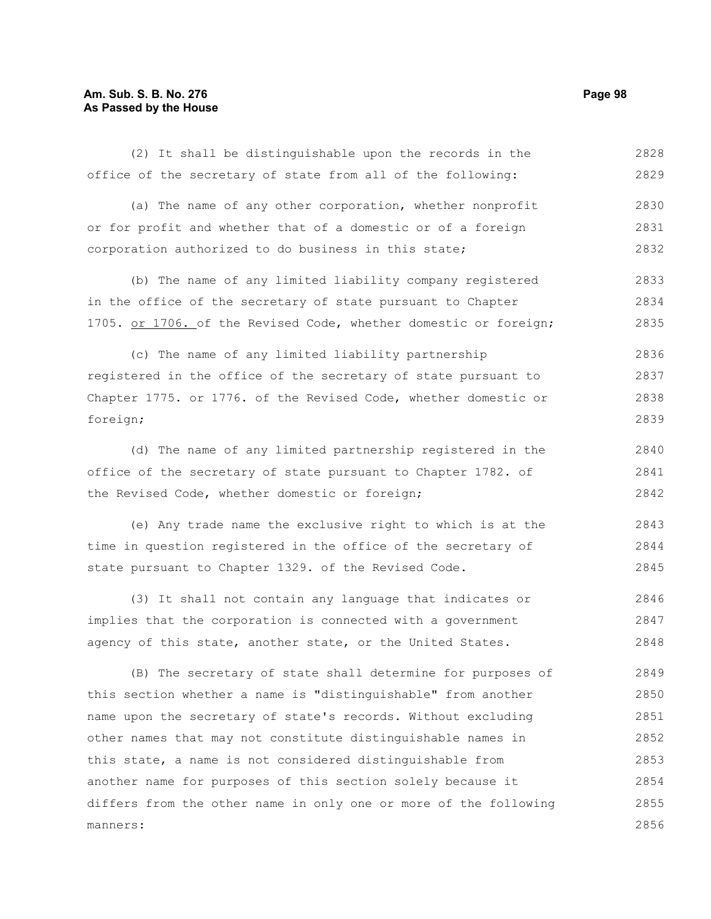## **Am. Sub. S. B. No. 276 Page 98 As Passed by the House**

office of the secretary of state from all of the following: (a) The name of any other corporation, whether nonprofit or for profit and whether that of a domestic or of a foreign corporation authorized to do business in this state; (b) The name of any limited liability company registered in the office of the secretary of state pursuant to Chapter 1705. or 1706. of the Revised Code, whether domestic or foreign; (c) The name of any limited liability partnership registered in the office of the secretary of state pursuant to Chapter 1775. or 1776. of the Revised Code, whether domestic or foreign; (d) The name of any limited partnership registered in the office of the secretary of state pursuant to Chapter 1782. of the Revised Code, whether domestic or foreign; (e) Any trade name the exclusive right to which is at the time in question registered in the office of the secretary of state pursuant to Chapter 1329. of the Revised Code. 2829 2830 2831 2832 2833 2834 2835 2836 2837 2838 2839 2840 2841 2842 2843 2844 2845

(2) It shall be distinguishable upon the records in the

(3) It shall not contain any language that indicates or implies that the corporation is connected with a government agency of this state, another state, or the United States. 2846 2847 2848

(B) The secretary of state shall determine for purposes of this section whether a name is "distinguishable" from another name upon the secretary of state's records. Without excluding other names that may not constitute distinguishable names in this state, a name is not considered distinguishable from another name for purposes of this section solely because it differs from the other name in only one or more of the following manners: 2849 2850 2851 2852 2853 2854 2855 2856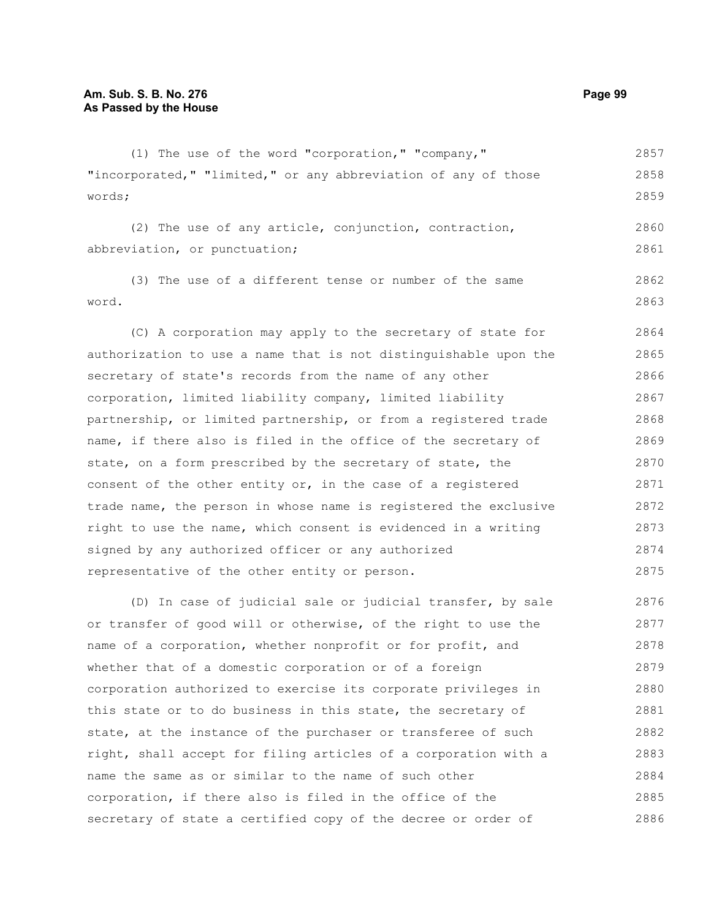(1) The use of the word "corporation," "company," "incorporated," "limited," or any abbreviation of any of those words; (2) The use of any article, conjunction, contraction, abbreviation, or punctuation; (3) The use of a different tense or number of the same word. (C) A corporation may apply to the secretary of state for authorization to use a name that is not distinguishable upon the secretary of state's records from the name of any other corporation, limited liability company, limited liability partnership, or limited partnership, or from a registered trade name, if there also is filed in the office of the secretary of state, on a form prescribed by the secretary of state, the consent of the other entity or, in the case of a registered trade name, the person in whose name is registered the exclusive 2857 2858 2859 2860 2861 2862 2863 2864 2865 2866 2867 2868 2869 2870 2871 2872

right to use the name, which consent is evidenced in a writing signed by any authorized officer or any authorized representative of the other entity or person. 2873 2874 2875

(D) In case of judicial sale or judicial transfer, by sale or transfer of good will or otherwise, of the right to use the name of a corporation, whether nonprofit or for profit, and whether that of a domestic corporation or of a foreign corporation authorized to exercise its corporate privileges in this state or to do business in this state, the secretary of state, at the instance of the purchaser or transferee of such right, shall accept for filing articles of a corporation with a name the same as or similar to the name of such other corporation, if there also is filed in the office of the secretary of state a certified copy of the decree or order of 2876 2877 2878 2879 2880 2881 2882 2883 2884 2885 2886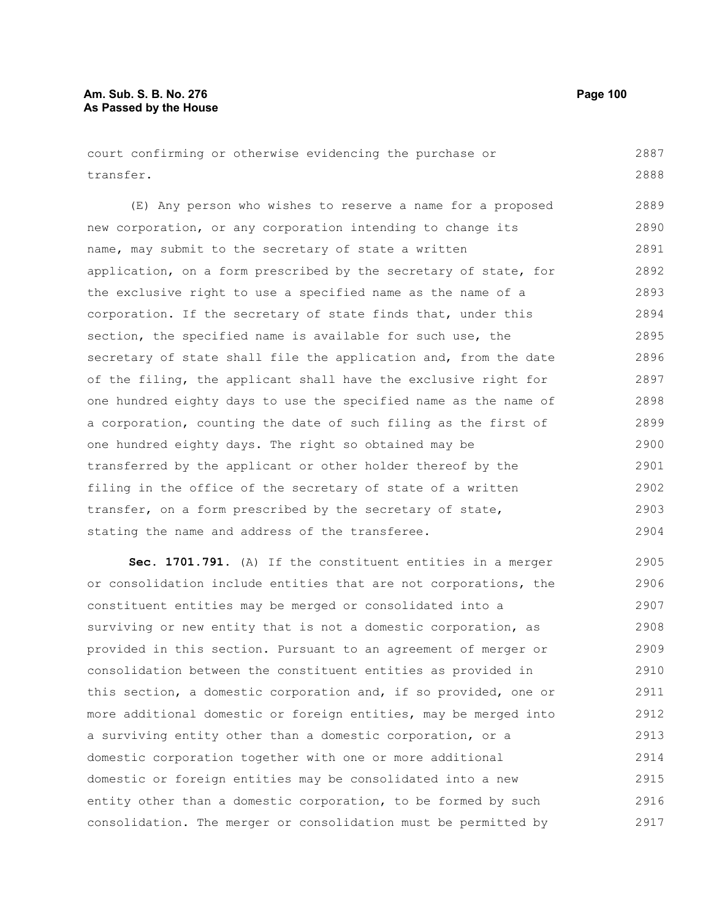# **Am. Sub. S. B. No. 276 Page 100 As Passed by the House**

court confirming or otherwise evidencing the purchase or transfer. 2887 2888

(E) Any person who wishes to reserve a name for a proposed new corporation, or any corporation intending to change its name, may submit to the secretary of state a written application, on a form prescribed by the secretary of state, for the exclusive right to use a specified name as the name of a corporation. If the secretary of state finds that, under this section, the specified name is available for such use, the secretary of state shall file the application and, from the date of the filing, the applicant shall have the exclusive right for one hundred eighty days to use the specified name as the name of a corporation, counting the date of such filing as the first of one hundred eighty days. The right so obtained may be transferred by the applicant or other holder thereof by the filing in the office of the secretary of state of a written transfer, on a form prescribed by the secretary of state, stating the name and address of the transferee. 2889 2890 2891 2892 2893 2894 2895 2896 2897 2898 2899 2900 2901 2902 2903 2904

**Sec. 1701.791.** (A) If the constituent entities in a merger or consolidation include entities that are not corporations, the constituent entities may be merged or consolidated into a surviving or new entity that is not a domestic corporation, as provided in this section. Pursuant to an agreement of merger or consolidation between the constituent entities as provided in this section, a domestic corporation and, if so provided, one or more additional domestic or foreign entities, may be merged into a surviving entity other than a domestic corporation, or a domestic corporation together with one or more additional domestic or foreign entities may be consolidated into a new entity other than a domestic corporation, to be formed by such consolidation. The merger or consolidation must be permitted by 2905 2906 2907 2908 2909 2910 2911 2912 2913 2914 2915 2916 2917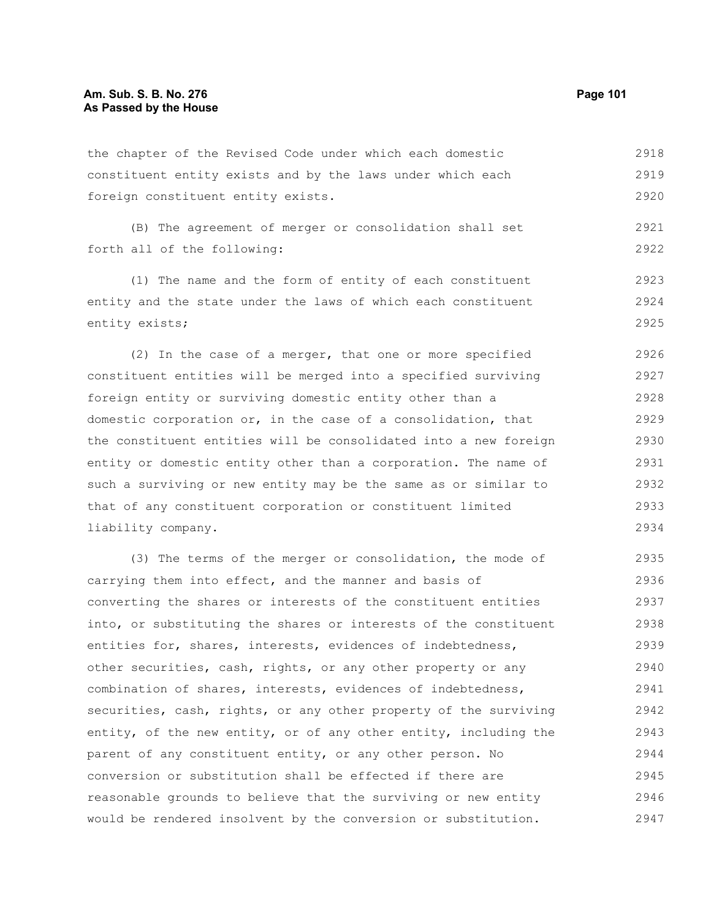2921 2922

the chapter of the Revised Code under which each domestic constituent entity exists and by the laws under which each foreign constituent entity exists. 2918 2919 2920

(B) The agreement of merger or consolidation shall set forth all of the following:

(1) The name and the form of entity of each constituent entity and the state under the laws of which each constituent entity exists; 2923 2924 2925

(2) In the case of a merger, that one or more specified constituent entities will be merged into a specified surviving foreign entity or surviving domestic entity other than a domestic corporation or, in the case of a consolidation, that the constituent entities will be consolidated into a new foreign entity or domestic entity other than a corporation. The name of such a surviving or new entity may be the same as or similar to that of any constituent corporation or constituent limited liability company. 2926 2927 2928 2929 2930 2931 2932 2933 2934

(3) The terms of the merger or consolidation, the mode of carrying them into effect, and the manner and basis of converting the shares or interests of the constituent entities into, or substituting the shares or interests of the constituent entities for, shares, interests, evidences of indebtedness, other securities, cash, rights, or any other property or any combination of shares, interests, evidences of indebtedness, securities, cash, rights, or any other property of the surviving entity, of the new entity, or of any other entity, including the parent of any constituent entity, or any other person. No conversion or substitution shall be effected if there are reasonable grounds to believe that the surviving or new entity would be rendered insolvent by the conversion or substitution. 2935 2936 2937 2938 2939 2940 2941 2942 2943 2944 2945 2946 2947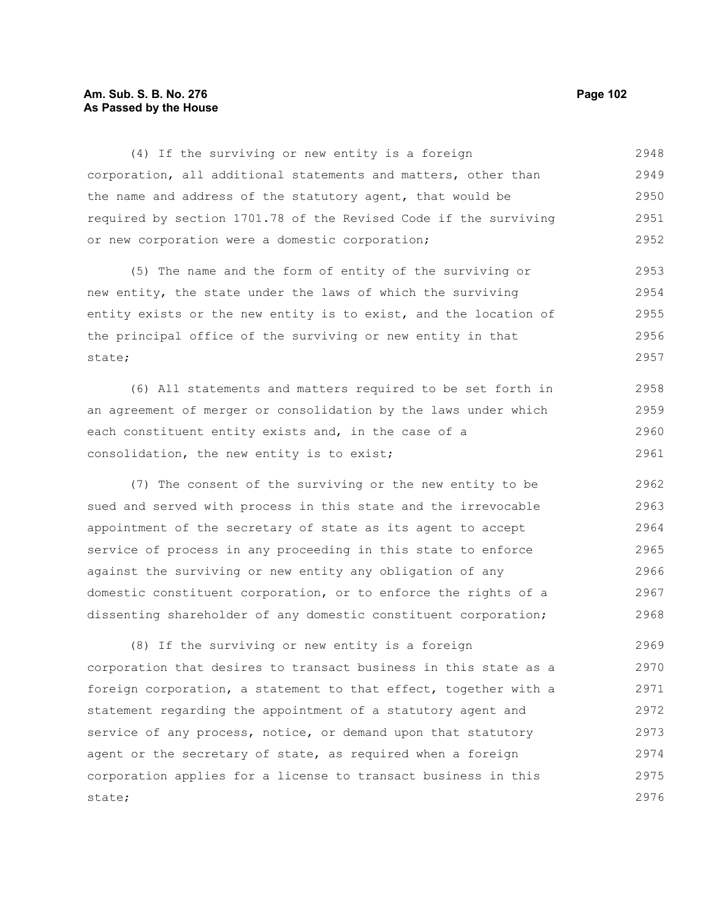## **Am. Sub. S. B. No. 276 Page 102 As Passed by the House**

(4) If the surviving or new entity is a foreign corporation, all additional statements and matters, other than the name and address of the statutory agent, that would be required by section 1701.78 of the Revised Code if the surviving or new corporation were a domestic corporation; 2948 2949 2950 2951 2952

(5) The name and the form of entity of the surviving or new entity, the state under the laws of which the surviving entity exists or the new entity is to exist, and the location of the principal office of the surviving or new entity in that state; 2953 2954 2955 2956 2957

(6) All statements and matters required to be set forth in an agreement of merger or consolidation by the laws under which each constituent entity exists and, in the case of a consolidation, the new entity is to exist; 2958 2959 2960 2961

(7) The consent of the surviving or the new entity to be sued and served with process in this state and the irrevocable appointment of the secretary of state as its agent to accept service of process in any proceeding in this state to enforce against the surviving or new entity any obligation of any domestic constituent corporation, or to enforce the rights of a dissenting shareholder of any domestic constituent corporation; 2962 2963 2964 2965 2966 2967 2968

(8) If the surviving or new entity is a foreign corporation that desires to transact business in this state as a foreign corporation, a statement to that effect, together with a statement regarding the appointment of a statutory agent and service of any process, notice, or demand upon that statutory agent or the secretary of state, as required when a foreign corporation applies for a license to transact business in this state; 2969 2970 2971 2972 2973 2974 2975 2976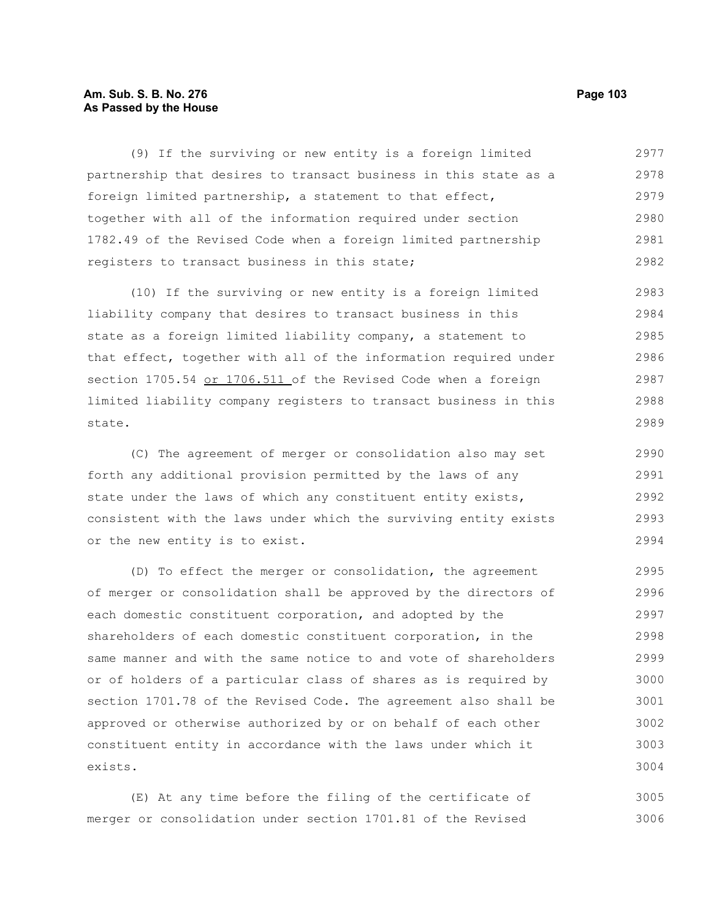## **Am. Sub. S. B. No. 276 Page 103 As Passed by the House**

(9) If the surviving or new entity is a foreign limited partnership that desires to transact business in this state as a foreign limited partnership, a statement to that effect, together with all of the information required under section 1782.49 of the Revised Code when a foreign limited partnership registers to transact business in this state; 2977 2978 2979 2980 2981 2982

(10) If the surviving or new entity is a foreign limited liability company that desires to transact business in this state as a foreign limited liability company, a statement to that effect, together with all of the information required under section 1705.54 or 1706.511 of the Revised Code when a foreign limited liability company registers to transact business in this state. 2983 2984 2985 2986 2987 2988 2989

(C) The agreement of merger or consolidation also may set forth any additional provision permitted by the laws of any state under the laws of which any constituent entity exists, consistent with the laws under which the surviving entity exists or the new entity is to exist.

(D) To effect the merger or consolidation, the agreement of merger or consolidation shall be approved by the directors of each domestic constituent corporation, and adopted by the shareholders of each domestic constituent corporation, in the same manner and with the same notice to and vote of shareholders or of holders of a particular class of shares as is required by section 1701.78 of the Revised Code. The agreement also shall be approved or otherwise authorized by or on behalf of each other constituent entity in accordance with the laws under which it exists. 2995 2996 2997 2998 2999 3000 3001 3002 3003 3004

(E) At any time before the filing of the certificate of merger or consolidation under section 1701.81 of the Revised 3005 3006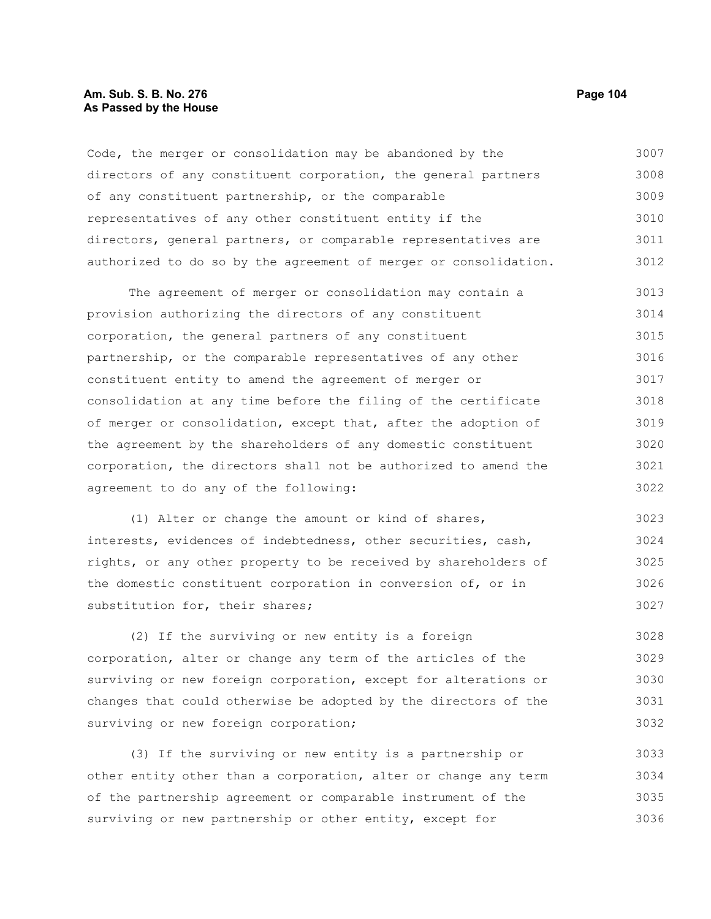#### **Am. Sub. S. B. No. 276 Page 104** Page 104 **As Passed by the House**

Code, the merger or consolidation may be abandoned by the directors of any constituent corporation, the general partners of any constituent partnership, or the comparable representatives of any other constituent entity if the directors, general partners, or comparable representatives are authorized to do so by the agreement of merger or consolidation. 3007 3008 3009 3010 3011 3012

The agreement of merger or consolidation may contain a provision authorizing the directors of any constituent corporation, the general partners of any constituent partnership, or the comparable representatives of any other constituent entity to amend the agreement of merger or consolidation at any time before the filing of the certificate of merger or consolidation, except that, after the adoption of the agreement by the shareholders of any domestic constituent corporation, the directors shall not be authorized to amend the agreement to do any of the following: 3013 3014 3015 3016 3017 3018 3019 3020 3021 3022

(1) Alter or change the amount or kind of shares, interests, evidences of indebtedness, other securities, cash, rights, or any other property to be received by shareholders of the domestic constituent corporation in conversion of, or in substitution for, their shares; 3023 3024 3025 3026 3027

(2) If the surviving or new entity is a foreign corporation, alter or change any term of the articles of the surviving or new foreign corporation, except for alterations or changes that could otherwise be adopted by the directors of the surviving or new foreign corporation; 3028 3029 3030 3031 3032

(3) If the surviving or new entity is a partnership or other entity other than a corporation, alter or change any term of the partnership agreement or comparable instrument of the surviving or new partnership or other entity, except for 3033 3034 3035 3036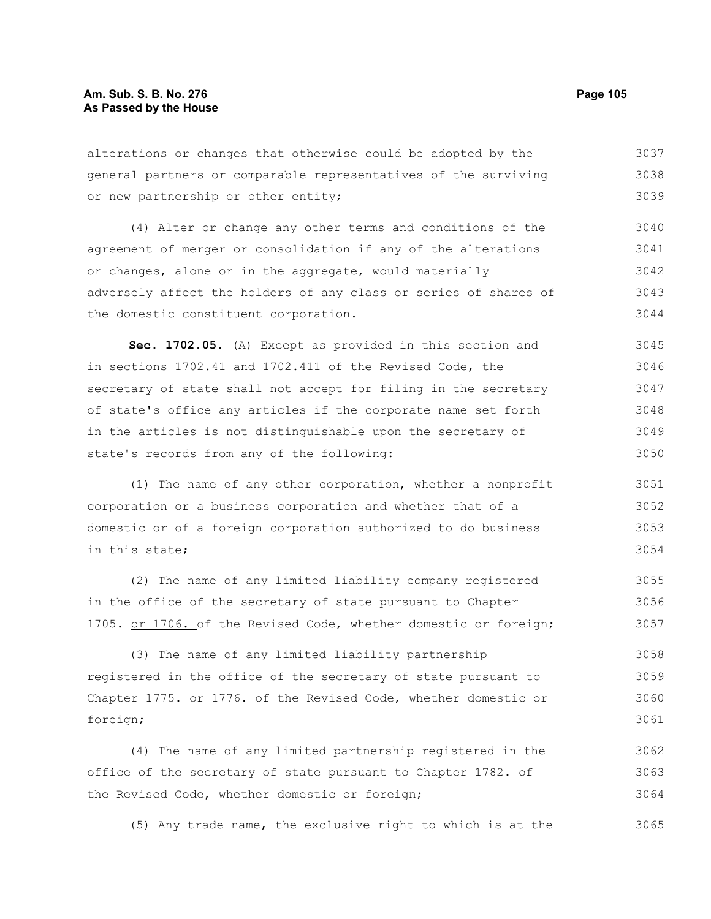alterations or changes that otherwise could be adopted by the general partners or comparable representatives of the surviving or new partnership or other entity; 3037 3038 3039

(4) Alter or change any other terms and conditions of the agreement of merger or consolidation if any of the alterations or changes, alone or in the aggregate, would materially adversely affect the holders of any class or series of shares of the domestic constituent corporation. 3040 3041 3042 3043 3044

**Sec. 1702.05.** (A) Except as provided in this section and in sections 1702.41 and 1702.411 of the Revised Code, the secretary of state shall not accept for filing in the secretary of state's office any articles if the corporate name set forth in the articles is not distinguishable upon the secretary of state's records from any of the following: 3045 3046 3047 3048 3049 3050

(1) The name of any other corporation, whether a nonprofit corporation or a business corporation and whether that of a domestic or of a foreign corporation authorized to do business in this state; 3051 3052 3053 3054

(2) The name of any limited liability company registered in the office of the secretary of state pursuant to Chapter 1705. or 1706. of the Revised Code, whether domestic or foreign; 3055 3056 3057

(3) The name of any limited liability partnership registered in the office of the secretary of state pursuant to Chapter 1775. or 1776. of the Revised Code, whether domestic or foreign; 3058 3059 3060 3061

(4) The name of any limited partnership registered in the office of the secretary of state pursuant to Chapter 1782. of the Revised Code, whether domestic or foreign; 3062 3063 3064

(5) Any trade name, the exclusive right to which is at the 3065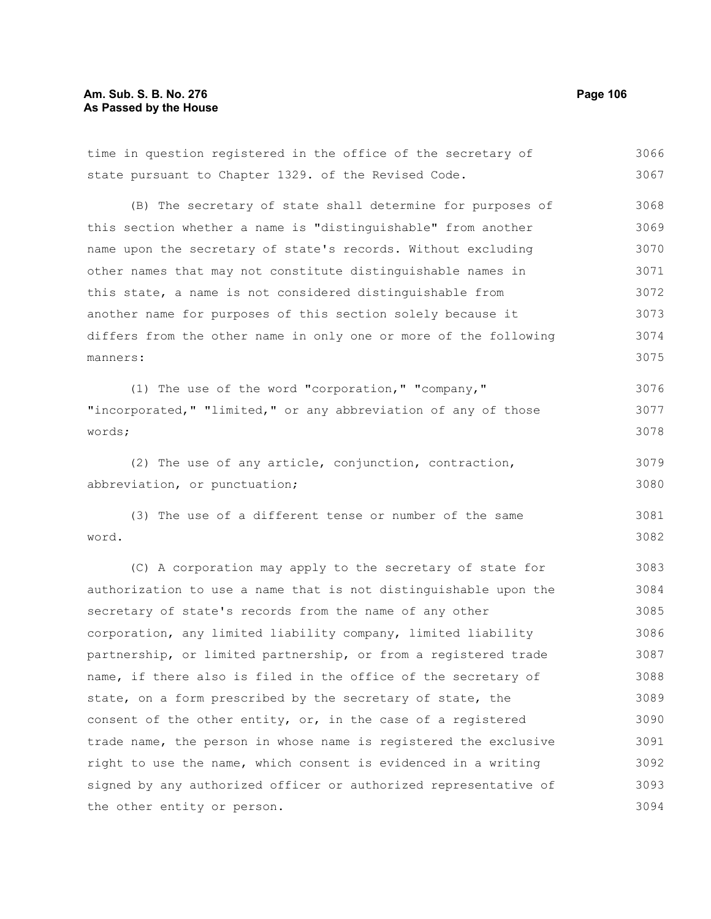# **Am. Sub. S. B. No. 276** Page 106 **As Passed by the House**

| time in question registered in the office of the secretary of    | 3066 |
|------------------------------------------------------------------|------|
| state pursuant to Chapter 1329. of the Revised Code.             | 3067 |
| (B) The secretary of state shall determine for purposes of       | 3068 |
| this section whether a name is "distinguishable" from another    | 3069 |
| name upon the secretary of state's records. Without excluding    | 3070 |
| other names that may not constitute distinguishable names in     | 3071 |
| this state, a name is not considered distinguishable from        | 3072 |
| another name for purposes of this section solely because it      | 3073 |
| differs from the other name in only one or more of the following | 3074 |
| manners:                                                         | 3075 |
| (1) The use of the word "corporation," "company,"                | 3076 |
| "incorporated," "limited," or any abbreviation of any of those   | 3077 |
| words;                                                           | 3078 |
| (2) The use of any article, conjunction, contraction,            | 3079 |
| abbreviation, or punctuation;                                    | 3080 |
| (3) The use of a different tense or number of the same           | 3081 |
| word.                                                            | 3082 |
| (C) A corporation may apply to the secretary of state for        | 3083 |
| authorization to use a name that is not distinguishable upon the | 3084 |
| secretary of state's records from the name of any other          | 3085 |
| corporation, any limited liability company, limited liability    | 3086 |
| partnership, or limited partnership, or from a registered trade  | 3087 |
| name, if there also is filed in the office of the secretary of   | 3088 |
| state, on a form prescribed by the secretary of state, the       | 3089 |
| consent of the other entity, or, in the case of a registered     | 3090 |
| trade name, the person in whose name is registered the exclusive | 3091 |
| right to use the name, which consent is evidenced in a writing   | 3092 |
| signed by any authorized officer or authorized representative of | 3093 |
| the other entity or person.                                      | 3094 |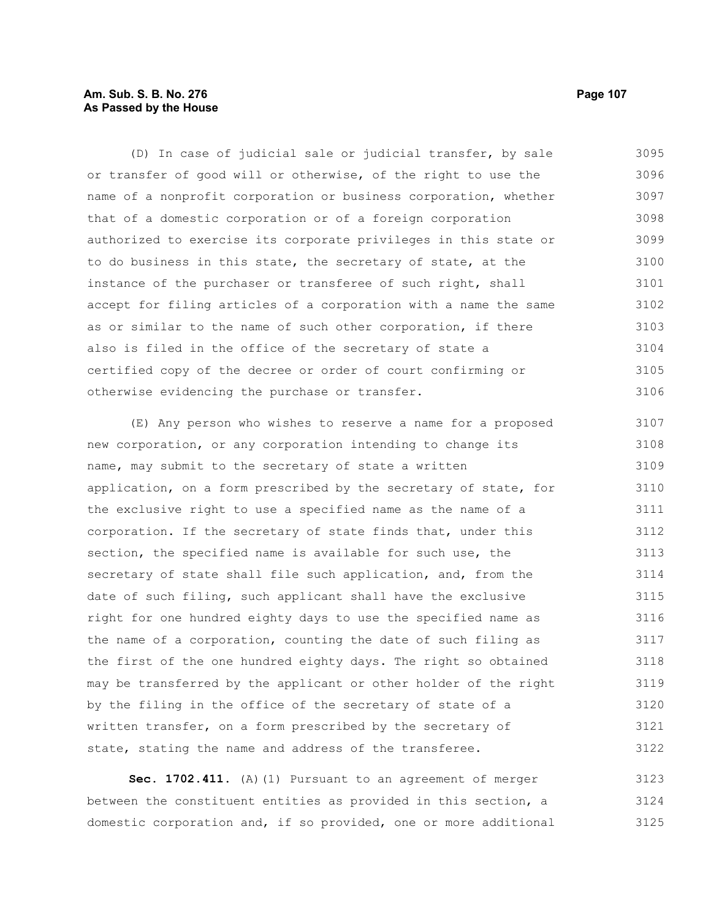# **Am. Sub. S. B. No. 276 Page 107** Page 107 **As Passed by the House**

(D) In case of judicial sale or judicial transfer, by sale or transfer of good will or otherwise, of the right to use the name of a nonprofit corporation or business corporation, whether that of a domestic corporation or of a foreign corporation authorized to exercise its corporate privileges in this state or to do business in this state, the secretary of state, at the instance of the purchaser or transferee of such right, shall accept for filing articles of a corporation with a name the same as or similar to the name of such other corporation, if there also is filed in the office of the secretary of state a certified copy of the decree or order of court confirming or otherwise evidencing the purchase or transfer. 3095 3096 3097 3098 3099 3100 3101 3102 3103 3104 3105 3106

(E) Any person who wishes to reserve a name for a proposed new corporation, or any corporation intending to change its name, may submit to the secretary of state a written application, on a form prescribed by the secretary of state, for the exclusive right to use a specified name as the name of a corporation. If the secretary of state finds that, under this section, the specified name is available for such use, the secretary of state shall file such application, and, from the date of such filing, such applicant shall have the exclusive right for one hundred eighty days to use the specified name as the name of a corporation, counting the date of such filing as the first of the one hundred eighty days. The right so obtained may be transferred by the applicant or other holder of the right by the filing in the office of the secretary of state of a written transfer, on a form prescribed by the secretary of state, stating the name and address of the transferee. 3107 3108 3109 3110 3111 3112 3113 3114 3115 3116 3117 3118 3119 3120 3121 3122

**Sec. 1702.411.** (A)(1) Pursuant to an agreement of merger between the constituent entities as provided in this section, a domestic corporation and, if so provided, one or more additional 3123 3124 3125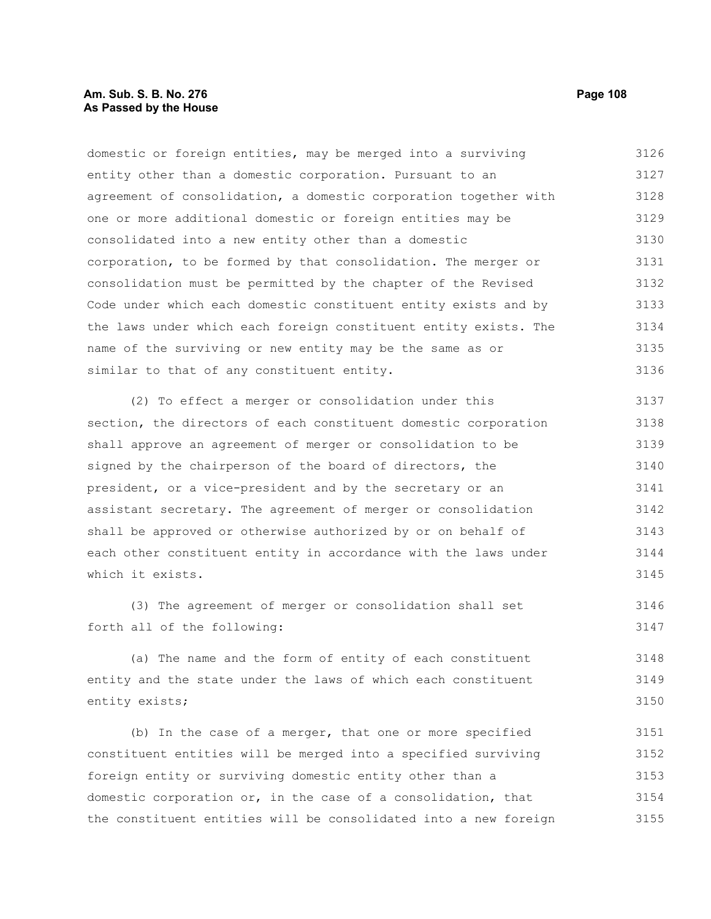# **Am. Sub. S. B. No. 276 Page 108 As Passed by the House**

domestic or foreign entities, may be merged into a surviving entity other than a domestic corporation. Pursuant to an agreement of consolidation, a domestic corporation together with one or more additional domestic or foreign entities may be consolidated into a new entity other than a domestic corporation, to be formed by that consolidation. The merger or consolidation must be permitted by the chapter of the Revised Code under which each domestic constituent entity exists and by the laws under which each foreign constituent entity exists. The name of the surviving or new entity may be the same as or similar to that of any constituent entity. 3126 3127 3128 3129 3130 3131 3132 3133 3134 3135 3136

(2) To effect a merger or consolidation under this section, the directors of each constituent domestic corporation shall approve an agreement of merger or consolidation to be signed by the chairperson of the board of directors, the president, or a vice-president and by the secretary or an assistant secretary. The agreement of merger or consolidation shall be approved or otherwise authorized by or on behalf of each other constituent entity in accordance with the laws under which it exists. 3137 3138 3139 3140 3141 3142 3143 3144 3145

(3) The agreement of merger or consolidation shall set forth all of the following: 3146 3147

(a) The name and the form of entity of each constituent entity and the state under the laws of which each constituent entity exists; 3148 3149 3150

(b) In the case of a merger, that one or more specified constituent entities will be merged into a specified surviving foreign entity or surviving domestic entity other than a domestic corporation or, in the case of a consolidation, that the constituent entities will be consolidated into a new foreign 3151 3152 3153 3154 3155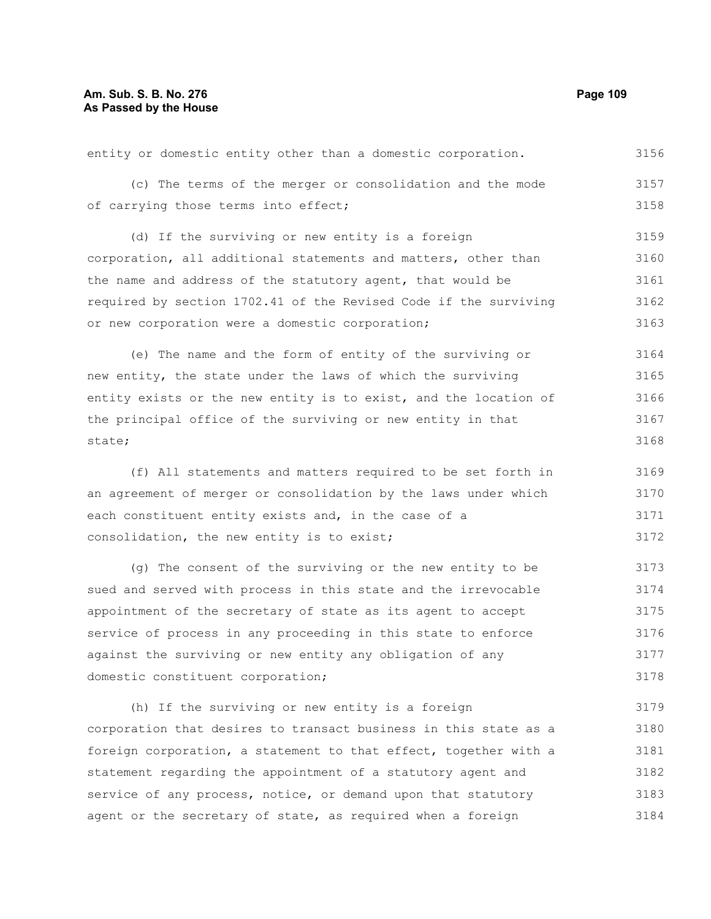## **Am. Sub. S. B. No. 276 Page 109 As Passed by the House**

| entity or domestic entity other than a domestic corporation.     | 3156 |
|------------------------------------------------------------------|------|
| (c) The terms of the merger or consolidation and the mode        | 3157 |
| of carrying those terms into effect;                             | 3158 |
| (d) If the surviving or new entity is a foreign                  | 3159 |
| corporation, all additional statements and matters, other than   | 3160 |
| the name and address of the statutory agent, that would be       | 3161 |
| required by section 1702.41 of the Revised Code if the surviving | 3162 |
| or new corporation were a domestic corporation;                  | 3163 |
| (e) The name and the form of entity of the surviving or          | 3164 |
| new entity, the state under the laws of which the surviving      | 3165 |

entity exists or the new entity is to exist, and the location of the principal office of the surviving or new entity in that state; 3166 3167 3168

(f) All statements and matters required to be set forth in an agreement of merger or consolidation by the laws under which each constituent entity exists and, in the case of a consolidation, the new entity is to exist; 3169 3170 3171 3172

(g) The consent of the surviving or the new entity to be sued and served with process in this state and the irrevocable appointment of the secretary of state as its agent to accept service of process in any proceeding in this state to enforce against the surviving or new entity any obligation of any domestic constituent corporation; 3173 3174 3175 3176 3177 3178

(h) If the surviving or new entity is a foreign corporation that desires to transact business in this state as a foreign corporation, a statement to that effect, together with a statement regarding the appointment of a statutory agent and service of any process, notice, or demand upon that statutory agent or the secretary of state, as required when a foreign 3179 3180 3181 3182 3183 3184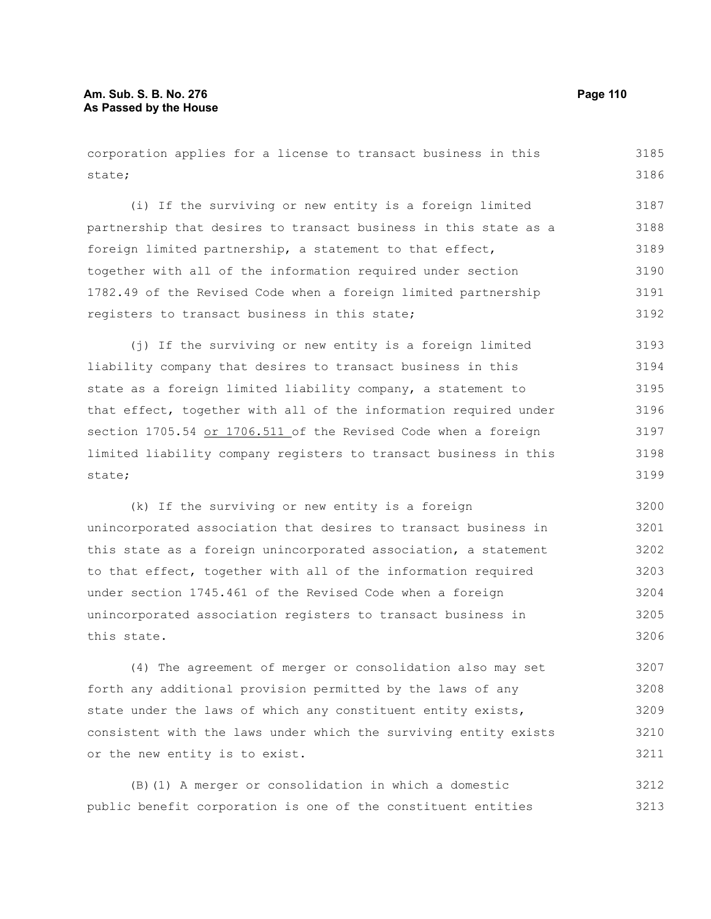state;

state;

(i) If the surviving or new entity is a foreign limited partnership that desires to transact business in this state as a foreign limited partnership, a statement to that effect, together with all of the information required under section 1782.49 of the Revised Code when a foreign limited partnership registers to transact business in this state; (j) If the surviving or new entity is a foreign limited liability company that desires to transact business in this state as a foreign limited liability company, a statement to that effect, together with all of the information required under section 1705.54 or 1706.511 of the Revised Code when a foreign limited liability company registers to transact business in this 3186 3187 3188 3189 3190 3191 3192 3193 3194 3195 3196 3197 3198 3199

corporation applies for a license to transact business in this

(k) If the surviving or new entity is a foreign unincorporated association that desires to transact business in this state as a foreign unincorporated association, a statement to that effect, together with all of the information required under section 1745.461 of the Revised Code when a foreign unincorporated association registers to transact business in this state. 3200 3201 3202 3203 3204 3205 3206

(4) The agreement of merger or consolidation also may set forth any additional provision permitted by the laws of any state under the laws of which any constituent entity exists, consistent with the laws under which the surviving entity exists or the new entity is to exist. 3207 3208 3209 3210 3211

(B)(1) A merger or consolidation in which a domestic public benefit corporation is one of the constituent entities 3212 3213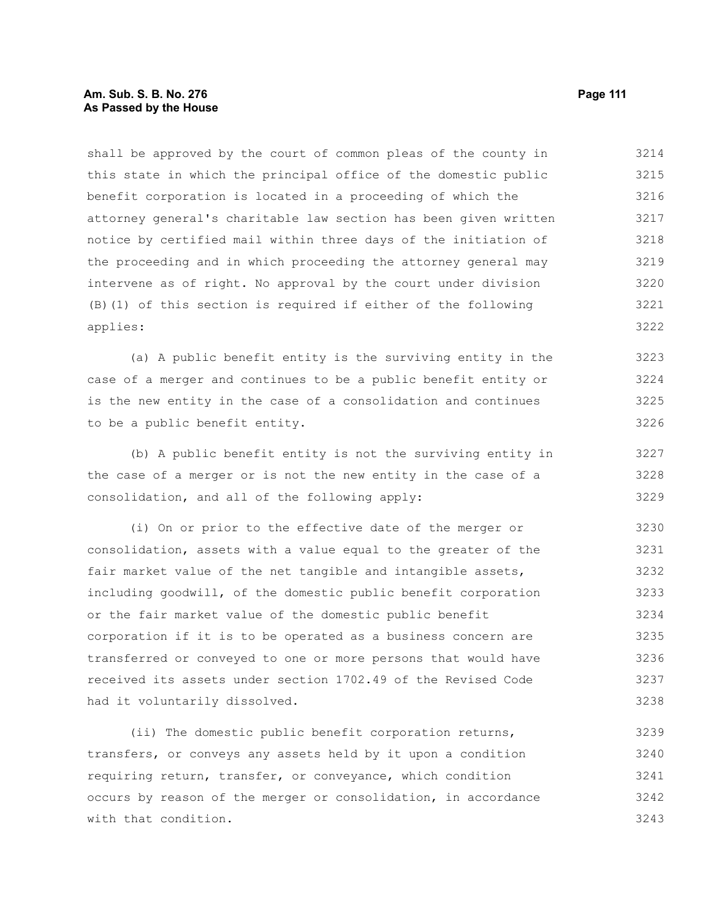## **Am. Sub. S. B. No. 276 Page 111 As Passed by the House**

shall be approved by the court of common pleas of the county in this state in which the principal office of the domestic public benefit corporation is located in a proceeding of which the attorney general's charitable law section has been given written notice by certified mail within three days of the initiation of the proceeding and in which proceeding the attorney general may intervene as of right. No approval by the court under division (B)(1) of this section is required if either of the following applies: 3214 3215 3216 3217 3218 3219 3220 3221 3222

(a) A public benefit entity is the surviving entity in the case of a merger and continues to be a public benefit entity or is the new entity in the case of a consolidation and continues to be a public benefit entity.

(b) A public benefit entity is not the surviving entity in the case of a merger or is not the new entity in the case of a consolidation, and all of the following apply:

(i) On or prior to the effective date of the merger or consolidation, assets with a value equal to the greater of the fair market value of the net tangible and intangible assets, including goodwill, of the domestic public benefit corporation or the fair market value of the domestic public benefit corporation if it is to be operated as a business concern are transferred or conveyed to one or more persons that would have received its assets under section 1702.49 of the Revised Code had it voluntarily dissolved. 3230 3231 3232 3233 3234 3235 3236 3237 3238

(ii) The domestic public benefit corporation returns, transfers, or conveys any assets held by it upon a condition requiring return, transfer, or conveyance, which condition occurs by reason of the merger or consolidation, in accordance with that condition. 3239 3240 3241 3242 3243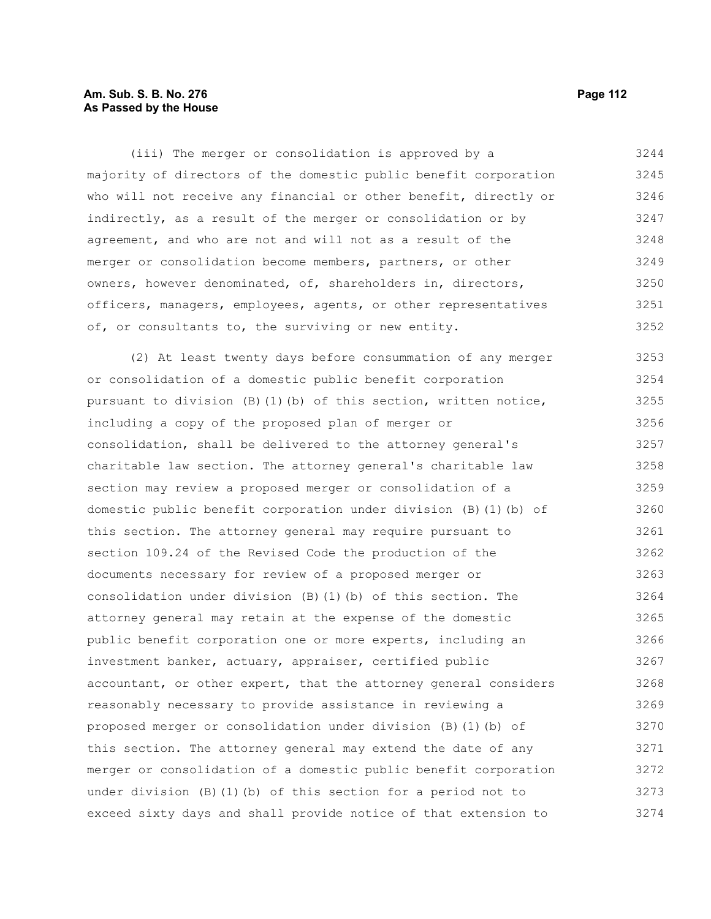## **Am. Sub. S. B. No. 276 Page 112 As Passed by the House**

(iii) The merger or consolidation is approved by a majority of directors of the domestic public benefit corporation who will not receive any financial or other benefit, directly or indirectly, as a result of the merger or consolidation or by agreement, and who are not and will not as a result of the merger or consolidation become members, partners, or other owners, however denominated, of, shareholders in, directors, officers, managers, employees, agents, or other representatives of, or consultants to, the surviving or new entity. 3244 3245 3246 3247 3248 3249 3250 3251 3252

(2) At least twenty days before consummation of any merger or consolidation of a domestic public benefit corporation pursuant to division (B)(1)(b) of this section, written notice, including a copy of the proposed plan of merger or consolidation, shall be delivered to the attorney general's charitable law section. The attorney general's charitable law section may review a proposed merger or consolidation of a domestic public benefit corporation under division (B)(1)(b) of this section. The attorney general may require pursuant to section 109.24 of the Revised Code the production of the documents necessary for review of a proposed merger or consolidation under division (B)(1)(b) of this section. The attorney general may retain at the expense of the domestic public benefit corporation one or more experts, including an investment banker, actuary, appraiser, certified public accountant, or other expert, that the attorney general considers reasonably necessary to provide assistance in reviewing a proposed merger or consolidation under division (B)(1)(b) of this section. The attorney general may extend the date of any merger or consolidation of a domestic public benefit corporation under division (B)(1)(b) of this section for a period not to exceed sixty days and shall provide notice of that extension to 3253 3254 3255 3256 3257 3258 3259 3260 3261 3262 3263 3264 3265 3266 3267 3268 3269 3270 3271 3272 3273 3274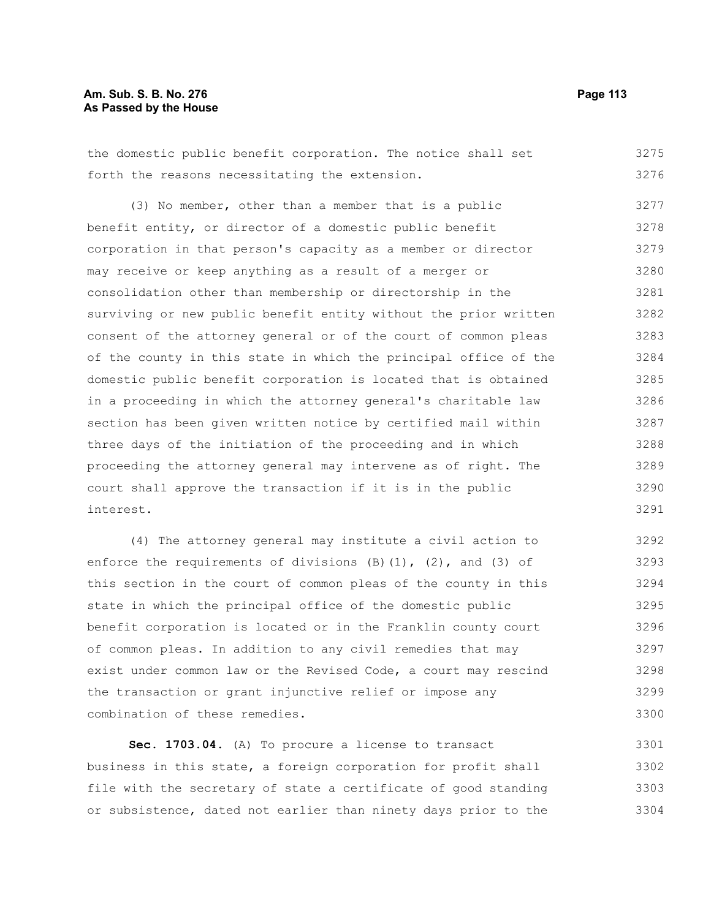## **Am. Sub. S. B. No. 276 Page 113 As Passed by the House**

the domestic public benefit corporation. The notice shall set forth the reasons necessitating the extension. 3275 3276

(3) No member, other than a member that is a public benefit entity, or director of a domestic public benefit corporation in that person's capacity as a member or director may receive or keep anything as a result of a merger or consolidation other than membership or directorship in the surviving or new public benefit entity without the prior written consent of the attorney general or of the court of common pleas of the county in this state in which the principal office of the domestic public benefit corporation is located that is obtained in a proceeding in which the attorney general's charitable law section has been given written notice by certified mail within three days of the initiation of the proceeding and in which proceeding the attorney general may intervene as of right. The court shall approve the transaction if it is in the public interest. 3277 3278 3279 3280 3281 3282 3283 3284 3285 3286 3287 3288 3289 3290 3291

(4) The attorney general may institute a civil action to enforce the requirements of divisions  $(B)(1)$ ,  $(2)$ , and  $(3)$  of this section in the court of common pleas of the county in this state in which the principal office of the domestic public benefit corporation is located or in the Franklin county court of common pleas. In addition to any civil remedies that may exist under common law or the Revised Code, a court may rescind the transaction or grant injunctive relief or impose any combination of these remedies. 3292 3293 3294 3295 3296 3297 3298 3299 3300

**Sec. 1703.04.** (A) To procure a license to transact business in this state, a foreign corporation for profit shall file with the secretary of state a certificate of good standing or subsistence, dated not earlier than ninety days prior to the 3301 3302 3303 3304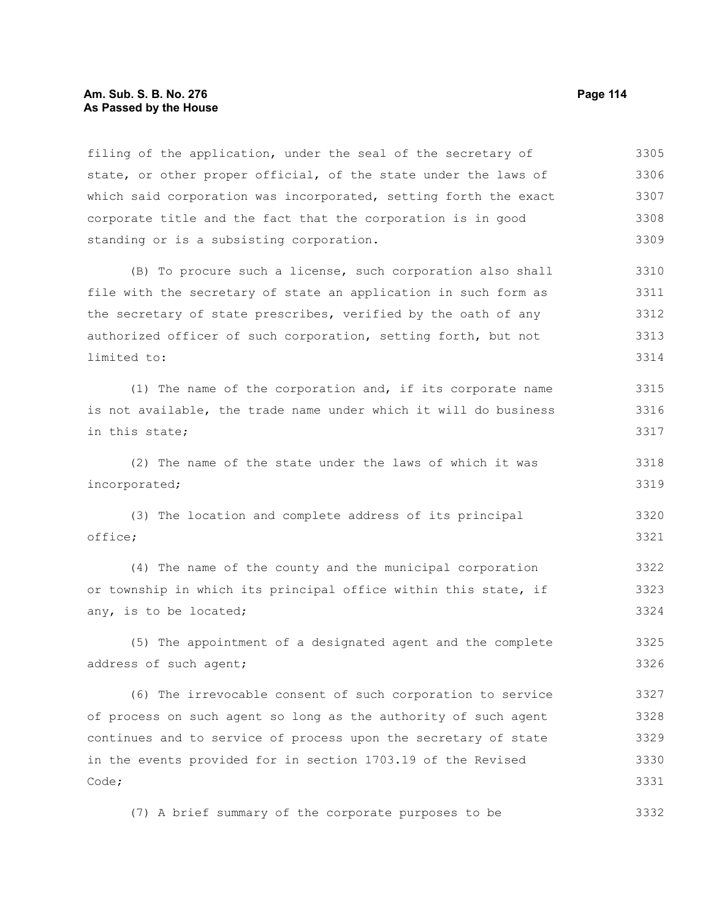### **Am. Sub. S. B. No. 276 Page 114** Page 114 **As Passed by the House**

filing of the application, under the seal of the secretary of state, or other proper official, of the state under the laws of which said corporation was incorporated, setting forth the exact corporate title and the fact that the corporation is in good standing or is a subsisting corporation. 3305 3306 3307 3308 3309

(B) To procure such a license, such corporation also shall file with the secretary of state an application in such form as the secretary of state prescribes, verified by the oath of any authorized officer of such corporation, setting forth, but not limited to: 3310 3311 3312 3313 3314

(1) The name of the corporation and, if its corporate name is not available, the trade name under which it will do business in this state; 3315 3316 3317

(2) The name of the state under the laws of which it was incorporated; 3318 3319

(3) The location and complete address of its principal office; 3320 3321

(4) The name of the county and the municipal corporation or township in which its principal office within this state, if any, is to be located; 3322 3323 3324

(5) The appointment of a designated agent and the complete address of such agent; 3325 3326

(6) The irrevocable consent of such corporation to service of process on such agent so long as the authority of such agent continues and to service of process upon the secretary of state in the events provided for in section 1703.19 of the Revised Code; 3327 3328 3329 3330 3331

(7) A brief summary of the corporate purposes to be 3332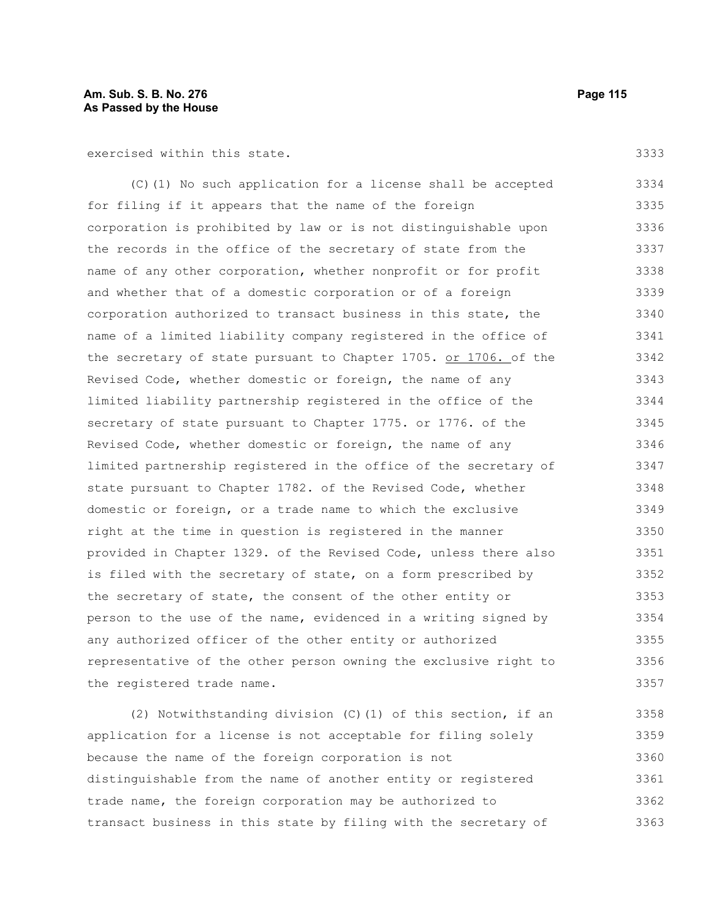exercised within this state.

(C)(1) No such application for a license shall be accepted for filing if it appears that the name of the foreign corporation is prohibited by law or is not distinguishable upon the records in the office of the secretary of state from the name of any other corporation, whether nonprofit or for profit and whether that of a domestic corporation or of a foreign corporation authorized to transact business in this state, the name of a limited liability company registered in the office of the secretary of state pursuant to Chapter 1705. or 1706. of the Revised Code, whether domestic or foreign, the name of any limited liability partnership registered in the office of the secretary of state pursuant to Chapter 1775. or 1776. of the Revised Code, whether domestic or foreign, the name of any limited partnership registered in the office of the secretary of state pursuant to Chapter 1782. of the Revised Code, whether domestic or foreign, or a trade name to which the exclusive right at the time in question is registered in the manner provided in Chapter 1329. of the Revised Code, unless there also is filed with the secretary of state, on a form prescribed by the secretary of state, the consent of the other entity or person to the use of the name, evidenced in a writing signed by any authorized officer of the other entity or authorized representative of the other person owning the exclusive right to the registered trade name. 3334 3335 3336 3337 3338 3339 3340 3341 3342 3343 3344 3345 3346 3347 3348 3349 3350 3351 3352 3353 3354 3355 3356 3357

(2) Notwithstanding division (C)(1) of this section, if an application for a license is not acceptable for filing solely because the name of the foreign corporation is not distinguishable from the name of another entity or registered trade name, the foreign corporation may be authorized to transact business in this state by filing with the secretary of 3358 3359 3360 3361 3362 3363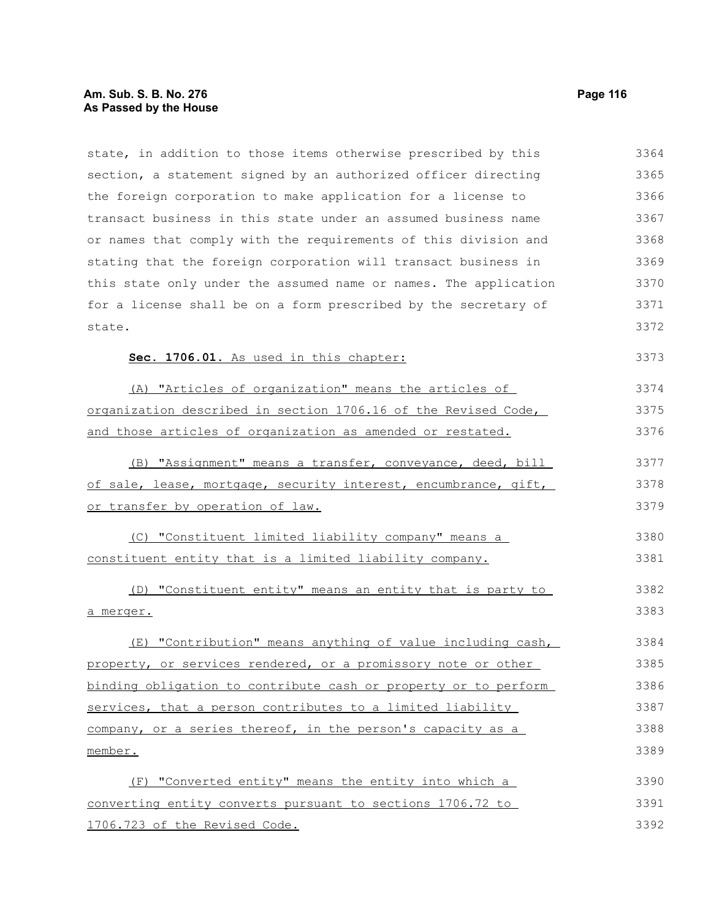# **Am. Sub. S. B. No. 276** Page 116 **As Passed by the House**

| state, in addition to those items otherwise prescribed by this   | 3364 |
|------------------------------------------------------------------|------|
| section, a statement signed by an authorized officer directing   | 3365 |
| the foreign corporation to make application for a license to     | 3366 |
| transact business in this state under an assumed business name   | 3367 |
| or names that comply with the requirements of this division and  | 3368 |
| stating that the foreign corporation will transact business in   | 3369 |
| this state only under the assumed name or names. The application | 3370 |
| for a license shall be on a form prescribed by the secretary of  | 3371 |
| state.                                                           | 3372 |
| Sec. 1706.01. As used in this chapter:                           | 3373 |
| (A) "Articles of organization" means the articles of             | 3374 |
| organization described in section 1706.16 of the Revised Code,   | 3375 |
| and those articles of organization as amended or restated.       | 3376 |
| (B) "Assignment" means a transfer, conveyance, deed, bill        | 3377 |
| of sale, lease, mortgage, security interest, encumbrance, gift,  | 3378 |
| or transfer by operation of law.                                 | 3379 |
| (C) "Constituent limited liability company" means a              | 3380 |
| constituent entity that is a limited liability company.          | 3381 |
| (D) "Constituent entity" means an entity that is party to        | 3382 |
| <u>a merger.</u>                                                 | 3383 |
| (E) "Contribution" means anything of value including cash,       | 3384 |
| property, or services rendered, or a promissory note or other    | 3385 |
| binding obligation to contribute cash or property or to perform  | 3386 |
| services, that a person contributes to a limited liability       | 3387 |
| company, or a series thereof, in the person's capacity as a      | 3388 |
| member.                                                          | 3389 |
| "Converted entity" means the entity into which a<br>(F)          | 3390 |
| converting entity converts pursuant to sections 1706.72 to       | 3391 |
| 1706.723 of the Revised Code.                                    | 3392 |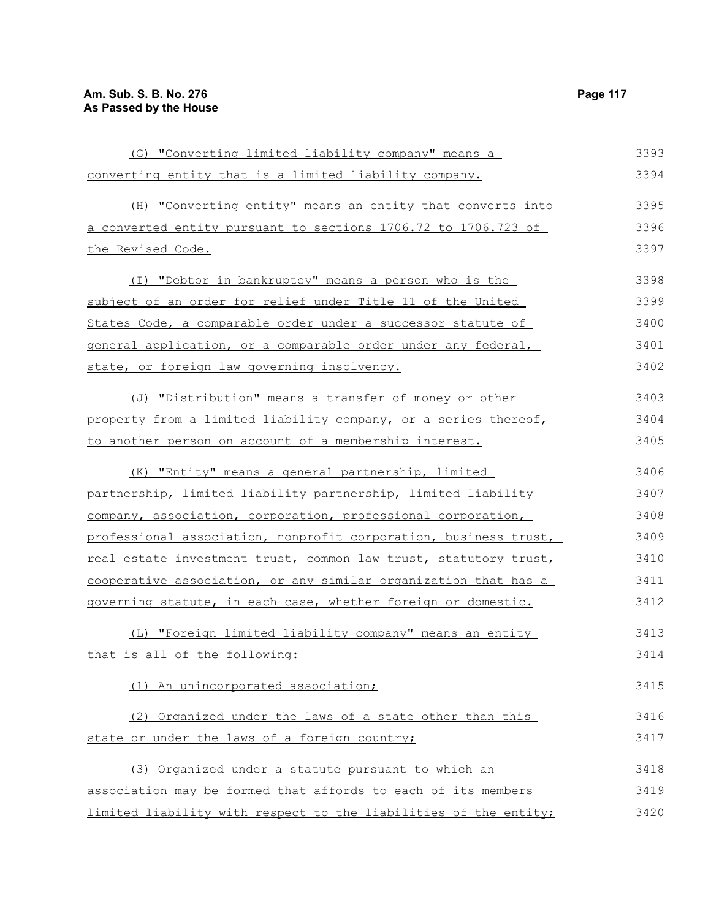| (G) "Converting limited liability company" means a               | 3393 |
|------------------------------------------------------------------|------|
| converting entity that is a limited liability company.           | 3394 |
| (H) "Converting entity" means an entity that converts into       | 3395 |
| a converted entity pursuant to sections 1706.72 to 1706.723 of   | 3396 |
| the Revised Code.                                                | 3397 |
| (I) "Debtor in bankruptcy" means a person who is the             | 3398 |
| subject of an order for relief under Title 11 of the United      | 3399 |
| States Code, a comparable order under a successor statute of     | 3400 |
| general application, or a comparable order under any federal,    | 3401 |
| state, or foreign law governing insolvency.                      | 3402 |
| (J) "Distribution" means a transfer of money or other            | 3403 |
| property from a limited liability company, or a series thereof,  | 3404 |
| to another person on account of a membership interest.           | 3405 |
| (K) "Entity" means a general partnership, limited                | 3406 |
| partnership, limited liability partnership, limited liability    | 3407 |
| company, association, corporation, professional corporation,     | 3408 |
| professional association, nonprofit corporation, business trust, | 3409 |
| real estate investment trust, common law trust, statutory trust, | 3410 |
| cooperative association, or any similar organization that has a  | 3411 |
| governing statute, in each case, whether foreign or domestic.    | 3412 |
| (L) "Foreign limited liability company" means an entity          | 3413 |
| that is all of the following:                                    | 3414 |
| (1) An unincorporated association;                               | 3415 |
| (2) Organized under the laws of a state other than this          | 3416 |
| state or under the laws of a foreign country;                    | 3417 |
| (3) Organized under a statute pursuant to which an               | 3418 |
| association may be formed that affords to each of its members    | 3419 |
| limited liability with respect to the liabilities of the entity; | 3420 |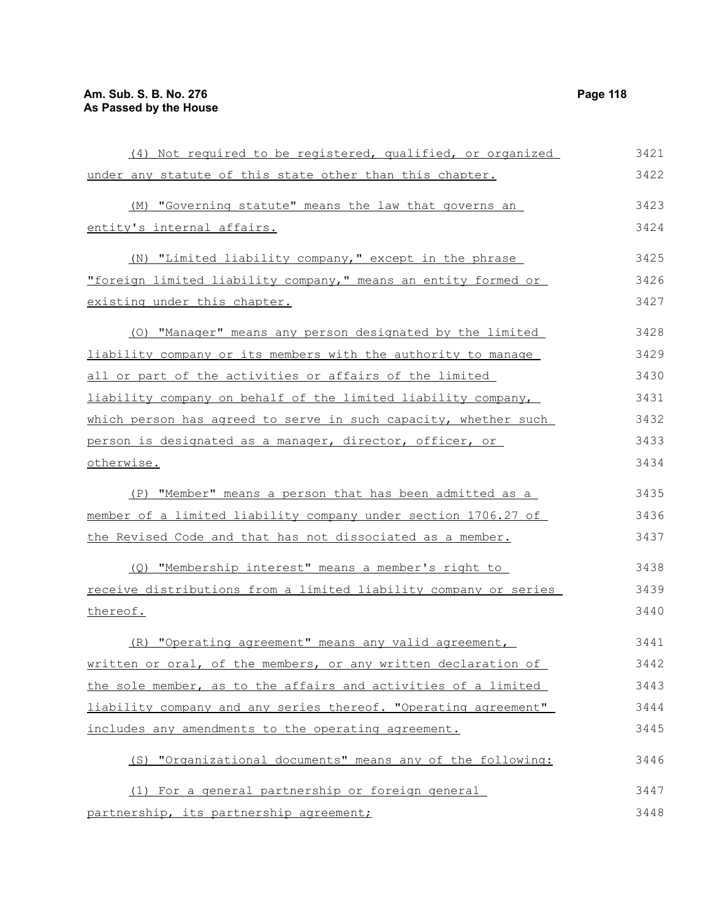| (4) Not required to be registered, qualified, or organized       | 3421 |
|------------------------------------------------------------------|------|
| under any statute of this state other than this chapter.         | 3422 |
| (M) "Governing statute" means the law that governs an            | 3423 |
| entity's internal affairs.                                       | 3424 |
| (N) "Limited liability company," except in the phrase            | 3425 |
| "foreign limited liability company," means an entity formed or   | 3426 |
| existing under this chapter.                                     | 3427 |
| (0) "Manager" means any person designated by the limited         | 3428 |
| liability company or its members with the authority to manage    | 3429 |
| all or part of the activities or affairs of the limited          | 3430 |
| liability company on behalf of the limited liability company,    | 3431 |
| which person has agreed to serve in such capacity, whether such  | 3432 |
| person is designated as a manager, director, officer, or         | 3433 |
| otherwise.                                                       | 3434 |
| (P) "Member" means a person that has been admitted as a          | 3435 |
| member of a limited liability company under section 1706.27 of   | 3436 |
| the Revised Code and that has not dissociated as a member.       | 3437 |
| (Q) "Membership interest" means a member's right to              | 3438 |
| receive distributions from a limited liability company or series | 3439 |
| thereof.                                                         | 3440 |
| (R) "Operating agreement" means any valid agreement,             | 3441 |
| written or oral, of the members, or any written declaration of   | 3442 |
| the sole member, as to the affairs and activities of a limited   | 3443 |
| liability company and any series thereof. "Operating agreement"  | 3444 |
| includes any amendments to the operating agreement.              | 3445 |
| (S) "Organizational documents" means any of the following:       | 3446 |
| (1) For a general partnership or foreign general                 | 3447 |
| partnership, its partnership agreement;                          | 3448 |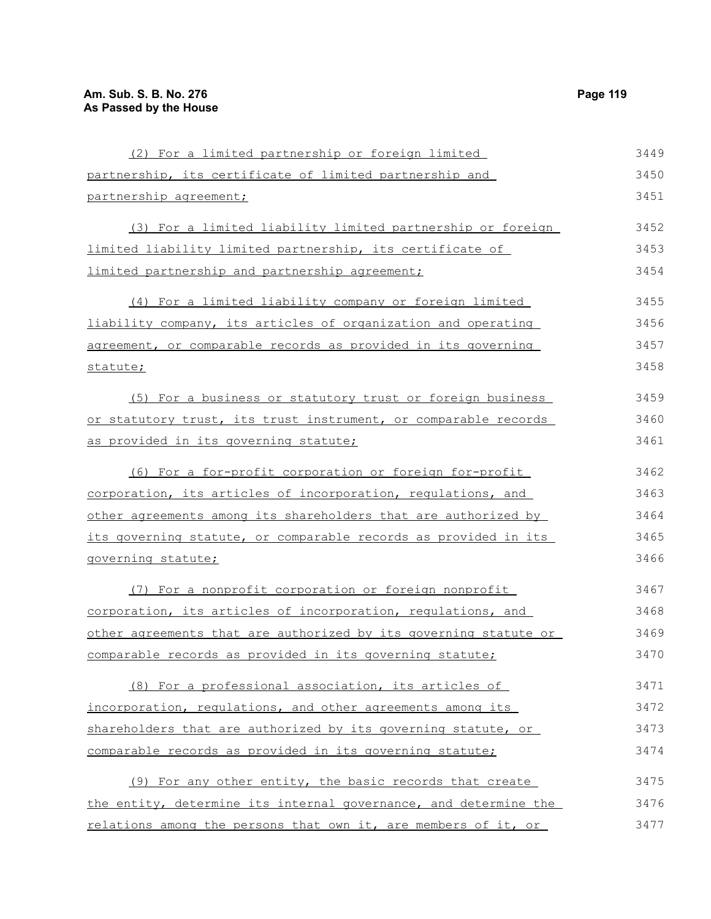| (2) For a limited partnership or foreign limited                 | 3449 |
|------------------------------------------------------------------|------|
| partnership, its certificate of limited partnership and          | 3450 |
| partnership agreement;                                           | 3451 |
| (3) For a limited liability limited partnership or foreign       | 3452 |
| limited liability limited partnership, its certificate of        | 3453 |
| limited partnership and partnership agreement;                   | 3454 |
| (4) For a limited liability company or foreign limited           | 3455 |
| liability company, its articles of organization and operating    | 3456 |
| agreement, or comparable records as provided in its governing    | 3457 |
| statute;                                                         | 3458 |
| (5) For a business or statutory trust or foreign business        | 3459 |
| or statutory trust, its trust instrument, or comparable records  | 3460 |
| as provided in its governing statute;                            | 3461 |
| (6) For a for-profit corporation or foreign for-profit           | 3462 |
| corporation, its articles of incorporation, regulations, and     | 3463 |
| other agreements among its shareholders that are authorized by   | 3464 |
| its governing statute, or comparable records as provided in its  | 3465 |
| governing statute;                                               | 3466 |
| (7) For a nonprofit corporation or foreign nonprofit             | 3467 |
| corporation, its articles of incorporation, regulations, and     | 3468 |
| other agreements that are authorized by its governing statute or | 3469 |
| comparable records as provided in its governing statute;         | 3470 |
| (8) For a professional association, its articles of              | 3471 |
| incorporation, regulations, and other agreements among its       | 3472 |
| shareholders that are authorized by its governing statute, or    | 3473 |
| comparable records as provided in its governing statute;         | 3474 |
| (9) For any other entity, the basic records that create          | 3475 |
| the entity, determine its internal governance, and determine the | 3476 |
| relations among the persons that own it, are members of it, or   | 3477 |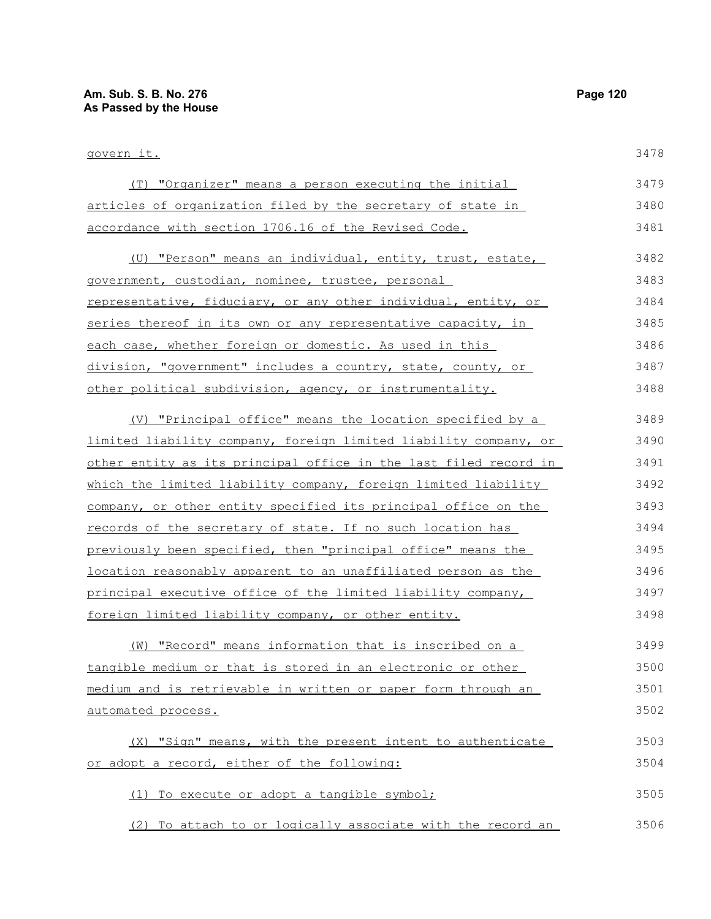| govern it.                                                       | 3478 |
|------------------------------------------------------------------|------|
| (T) "Organizer" means a person executing the initial             | 3479 |
| articles of organization filed by the secretary of state in      | 3480 |
| accordance with section 1706.16 of the Revised Code.             | 3481 |
| (U) "Person" means an individual, entity, trust, estate,         | 3482 |
| government, custodian, nominee, trustee, personal                | 3483 |
| representative, fiduciary, or any other individual, entity, or   | 3484 |
| series thereof in its own or any representative capacity, in     | 3485 |
| each case, whether foreign or domestic. As used in this          | 3486 |
| division, "government" includes a country, state, county, or     | 3487 |
| other political subdivision, agency, or instrumentality.         | 3488 |
| (V) "Principal office" means the location specified by a         | 3489 |
| limited liability company, foreign limited liability company, or | 3490 |
| other entity as its principal office in the last filed record in | 3491 |
| which the limited liability company, foreign limited liability   | 3492 |
| company, or other entity specified its principal office on the   | 3493 |
| records of the secretary of state. If no such location has       | 3494 |
| previously been specified, then "principal office" means the     | 3495 |
| location reasonably apparent to an unaffiliated person as the    | 3496 |
| principal executive office of the limited liability company,     | 3497 |
| foreign limited liability company, or other entity.              | 3498 |
| "Record" means information that is inscribed on a<br>(W)         | 3499 |
| tangible medium or that is stored in an electronic or other      | 3500 |
| medium and is retrievable in written or paper form through an    | 3501 |
| <u>automated process.</u>                                        | 3502 |
| (X) "Sign" means, with the present intent to authenticate        | 3503 |
| or adopt a record, either of the following:                      | 3504 |
| (1) To execute or adopt a tangible symbol;                       | 3505 |
| (2) To attach to or logically associate with the record an       | 3506 |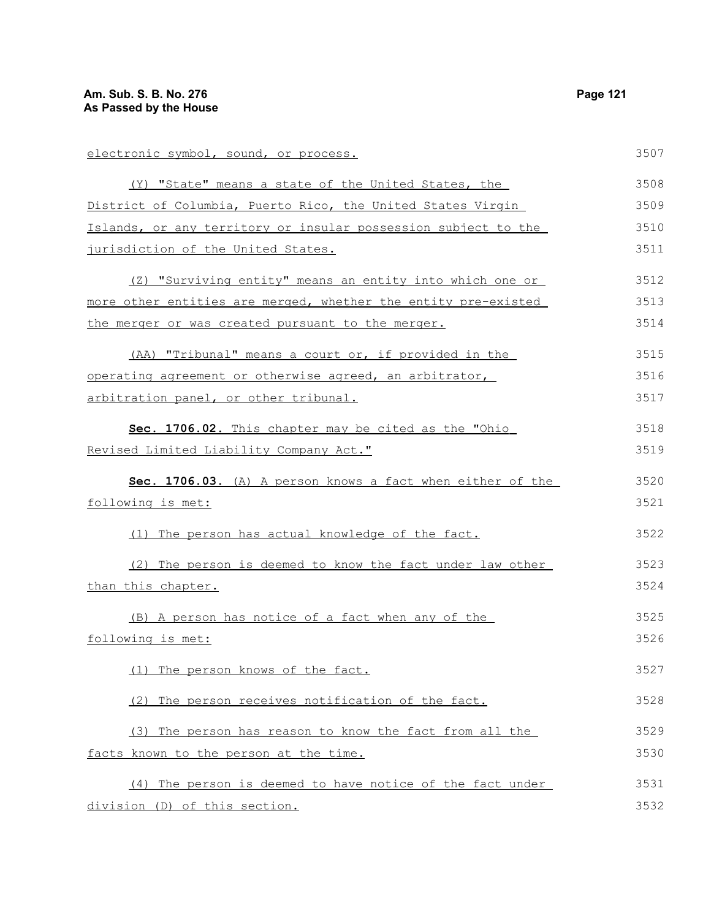| electronic symbol, sound, or process.                          | 3507 |
|----------------------------------------------------------------|------|
| (Y) "State" means a state of the United States, the            | 3508 |
| District of Columbia, Puerto Rico, the United States Virgin    | 3509 |
| Islands, or any territory or insular possession subject to the | 3510 |
| jurisdiction of the United States.                             | 3511 |
| (Z) "Surviving entity" means an entity into which one or       | 3512 |
| more other entities are merged, whether the entity pre-existed | 3513 |
| the merger or was created pursuant to the merger.              | 3514 |
| (AA) "Tribunal" means a court or, if provided in the           | 3515 |
| operating agreement or otherwise agreed, an arbitrator,        | 3516 |
| arbitration panel, or other tribunal.                          | 3517 |
| Sec. 1706.02. This chapter may be cited as the "Ohio           | 3518 |
| Revised Limited Liability Company Act."                        | 3519 |
| Sec. 1706.03. (A) A person knows a fact when either of the     | 3520 |
| <u>following is met:</u>                                       | 3521 |
| (1) The person has actual knowledge of the fact.               | 3522 |
| (2) The person is deemed to know the fact under law other      | 3523 |
| than this chapter.                                             | 3524 |
| (B) A person has notice of a fact when any of the              | 3525 |
| following is met:                                              | 3526 |
| (1)<br>The person knows of the fact.                           | 3527 |
| (2) The person receives notification of the fact.              | 3528 |
| (3) The person has reason to know the fact from all the        | 3529 |
| facts known to the person at the time.                         | 3530 |
| (4) The person is deemed to have notice of the fact under      | 3531 |
| division (D) of this section.                                  | 3532 |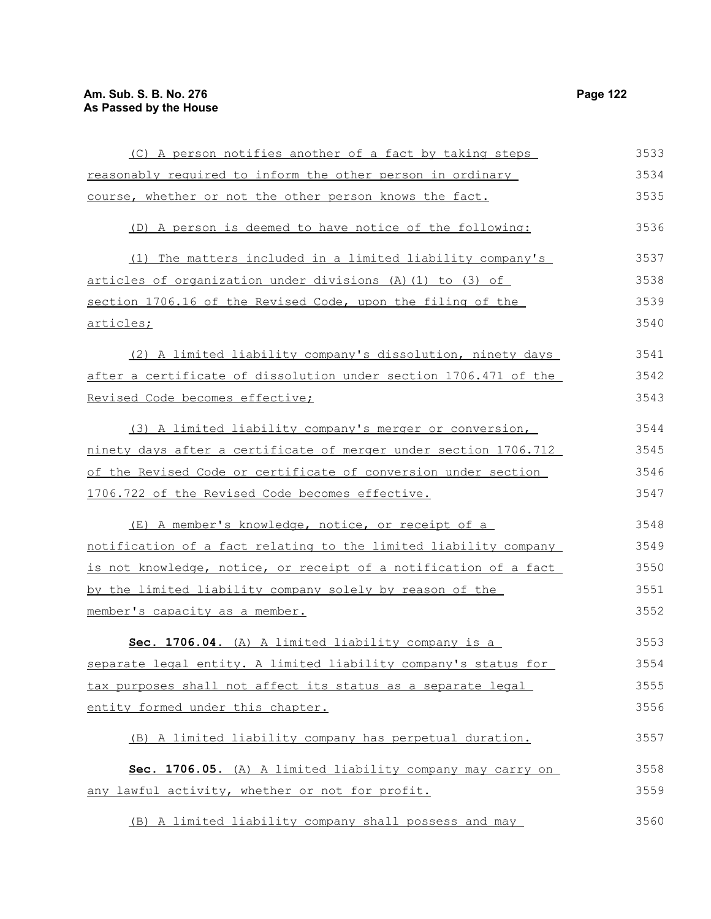(C) A person notifies another of a fact by taking steps reasonably required to inform the other person in ordinary course, whether or not the other person knows the fact. (D) A person is deemed to have notice of the following: (1) The matters included in a limited liability company's articles of organization under divisions (A)(1) to (3) of section 1706.16 of the Revised Code, upon the filing of the articles; (2) A limited liability company's dissolution, ninety days after a certificate of dissolution under section 1706.471 of the Revised Code becomes effective; (3) A limited liability company's merger or conversion, ninety days after a certificate of merger under section 1706.712 of the Revised Code or certificate of conversion under section 1706.722 of the Revised Code becomes effective. (E) A member's knowledge, notice, or receipt of a notification of a fact relating to the limited liability company is not knowledge, notice, or receipt of a notification of a fact by the limited liability company solely by reason of the member's capacity as a member. **Sec. 1706.04.** (A) A limited liability company is a separate legal entity. A limited liability company's status for tax purposes shall not affect its status as a separate legal entity formed under this chapter. (B) A limited liability company has perpetual duration. **Sec. 1706.05.** (A) A limited liability company may carry on any lawful activity, whether or not for profit. (B) A limited liability company shall possess and may 3533 3534 3535 3536 3537 3538 3539 3540 3541 3542 3543 3544 3545 3546 3547 3548 3549 3550 3551 3552 3553 3554 3555 3556 3557 3558 3559 3560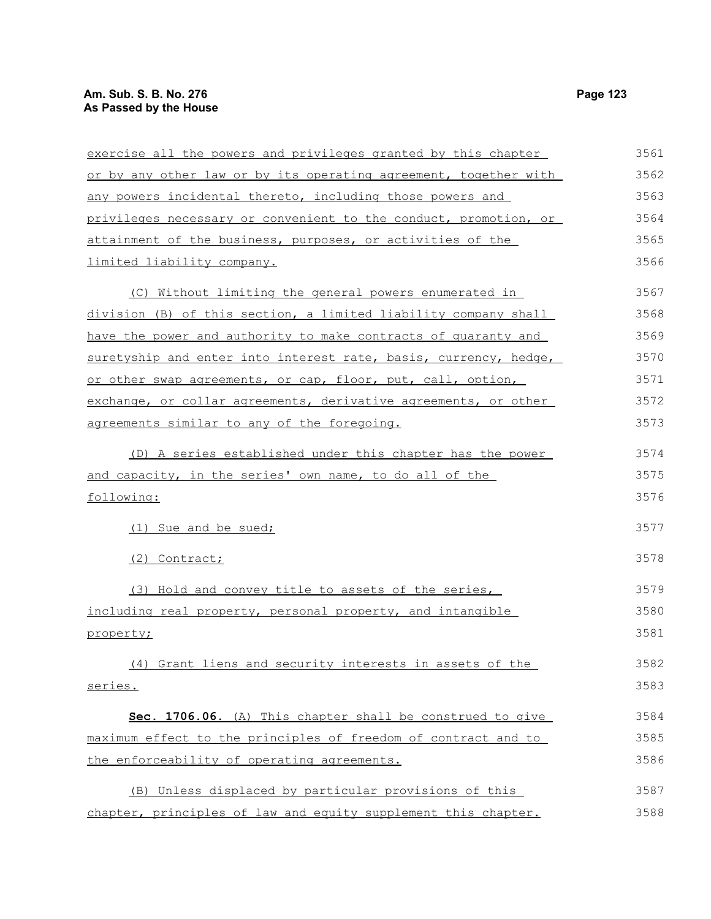| exercise all the powers and privileges granted by this chapter   | 3561 |
|------------------------------------------------------------------|------|
| or by any other law or by its operating agreement, together with | 3562 |
| any powers incidental thereto, including those powers and        | 3563 |
| privileges necessary or convenient to the conduct, promotion, or | 3564 |
| attainment of the business, purposes, or activities of the       | 3565 |
| limited liability company.                                       | 3566 |
| (C) Without limiting the general powers enumerated in            | 3567 |
| division (B) of this section, a limited liability company shall  | 3568 |
| have the power and authority to make contracts of quaranty and   | 3569 |
| suretyship and enter into interest rate, basis, currency, hedge, | 3570 |
| or other swap agreements, or cap, floor, put, call, option,      | 3571 |
| exchange, or collar agreements, derivative agreements, or other  | 3572 |
| agreements similar to any of the foregoing.                      | 3573 |
| (D) A series established under this chapter has the power        | 3574 |
| and capacity, in the series' own name, to do all of the          | 3575 |
| following:                                                       | 3576 |
| (1) Sue and be sued;                                             | 3577 |
| (2) Contract;                                                    | 3578 |
| (3) Hold and convey title to assets of the series,               | 3579 |
| including real property, personal property, and intangible       | 3580 |
| property;                                                        | 3581 |
| (4) Grant liens and security interests in assets of the          | 3582 |
| series.                                                          | 3583 |
| Sec. 1706.06. (A) This chapter shall be construed to give        | 3584 |
| maximum effect to the principles of freedom of contract and to   | 3585 |
| the enforceability of operating agreements.                      | 3586 |
| (B) Unless displaced by particular provisions of this            | 3587 |
| chapter, principles of law and equity supplement this chapter.   | 3588 |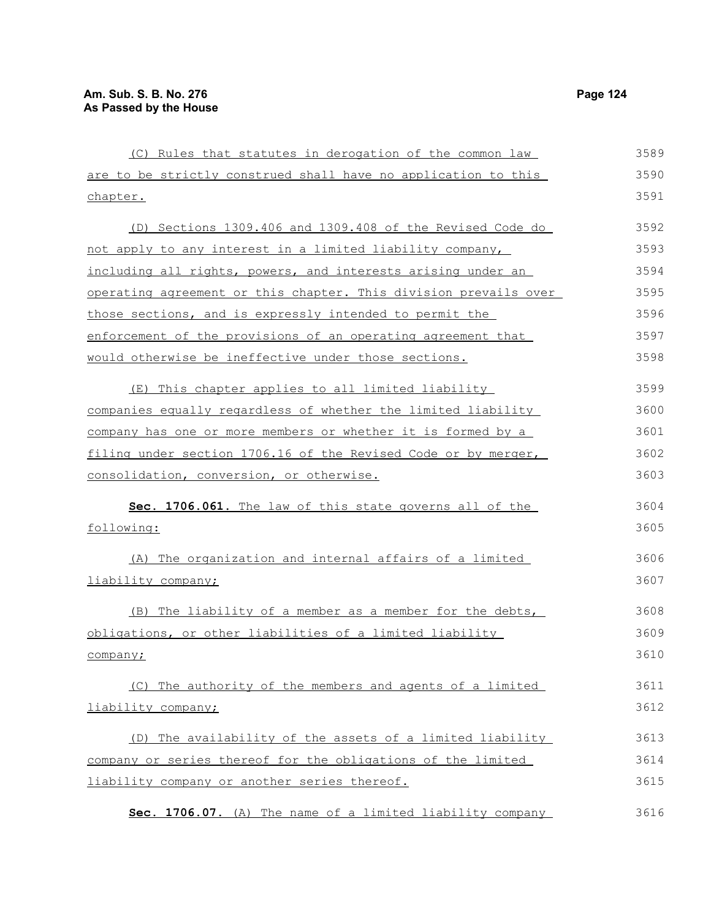| (C) Rules that statutes in derogation of the common law          | 3589 |
|------------------------------------------------------------------|------|
| are to be strictly construed shall have no application to this   | 3590 |
| chapter.                                                         | 3591 |
| (D) Sections 1309.406 and 1309.408 of the Revised Code do        | 3592 |
| not apply to any interest in a limited liability company,        | 3593 |
| including all rights, powers, and interests arising under an     | 3594 |
| operating agreement or this chapter. This division prevails over | 3595 |
| those sections, and is expressly intended to permit the          | 3596 |
| enforcement of the provisions of an operating agreement that     | 3597 |
| would otherwise be ineffective under those sections.             | 3598 |
| (E) This chapter applies to all limited liability                | 3599 |
| companies equally regardless of whether the limited liability    | 3600 |
| company has one or more members or whether it is formed by a     | 3601 |
| filing under section 1706.16 of the Revised Code or by merger,   | 3602 |
| consolidation, conversion, or otherwise.                         | 3603 |
| Sec. 1706.061. The law of this state governs all of the          | 3604 |
| following:                                                       | 3605 |
| (A) The organization and internal affairs of a limited           | 3606 |
| liability company;                                               | 3607 |
| (B) The liability of a member as a member for the debts,         | 3608 |
| obligations, or other liabilities of a limited liability         | 3609 |
| company;                                                         | 3610 |
| (C) The authority of the members and agents of a limited         | 3611 |
| liability company;                                               | 3612 |
| (D) The availability of the assets of a limited liability        | 3613 |
| company or series thereof for the obligations of the limited     | 3614 |
| liability company or another series thereof.                     | 3615 |
| Sec. 1706.07. (A) The name of a limited liability company        | 3616 |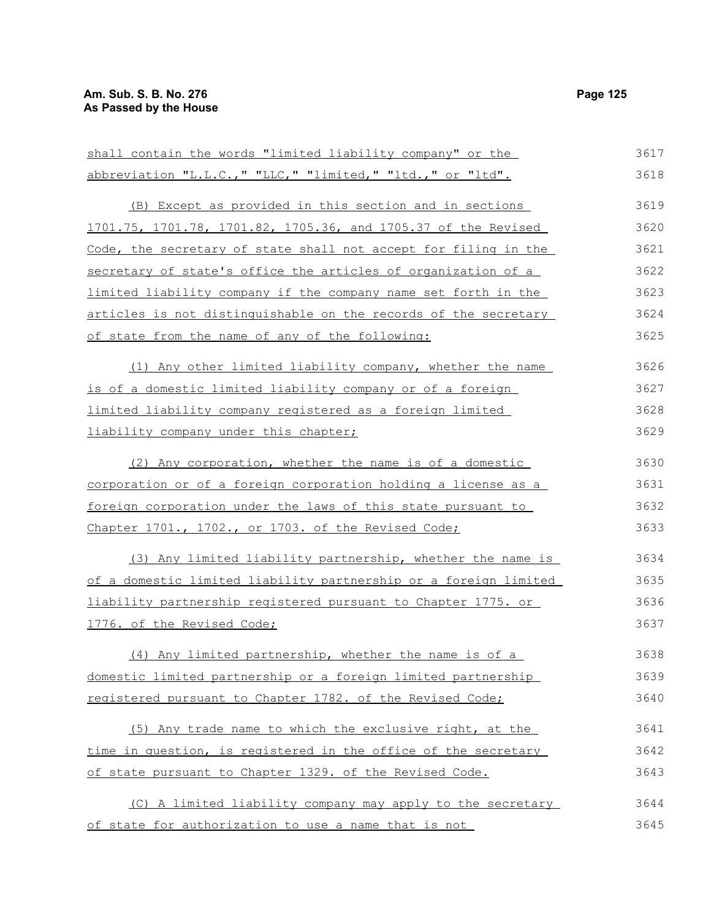| shall contain the words "limited liability company" or the            | 3617 |
|-----------------------------------------------------------------------|------|
| abbreviation "L.L.C.," "LLC," "limited," "ltd.," or "ltd".            | 3618 |
| (B) Except as provided in this section and in sections                | 3619 |
| 1701.75, 1701.78, 1701.82, 1705.36, and 1705.37 of the Revised        | 3620 |
| Code, the secretary of state shall not accept for filing in the       | 3621 |
| secretary of state's office the articles of organization of a         | 3622 |
| limited liability company if the company name set forth in the        | 3623 |
| articles is not distinguishable on the records of the secretary       | 3624 |
| of state from the name of any of the following:                       | 3625 |
| (1) Any other limited liability company, whether the name             | 3626 |
| is of a domestic limited liability company or of a foreign            | 3627 |
| <u>limited liability company registered as a foreign limited</u>      | 3628 |
| liability company under this chapter;                                 | 3629 |
| (2) Any corporation, whether the name is of a domestic                | 3630 |
| <u>corporation or of a foreign corporation holding a license as a</u> | 3631 |
| foreign corporation under the laws of this state pursuant to          | 3632 |
| Chapter 1701., 1702., or 1703. of the Revised Code;                   | 3633 |
| (3) Any limited liability partnership, whether the name is            | 3634 |
| of a domestic limited liability partnership or a foreign limited      | 3635 |
| liability partnership registered pursuant to Chapter 1775. or         | 3636 |
| 1776. of the Revised Code;                                            | 3637 |
| (4) Any limited partnership, whether the name is of a                 | 3638 |
| domestic limited partnership or a foreign limited partnership         | 3639 |
| registered pursuant to Chapter 1782. of the Revised Code;             | 3640 |
| (5) Any trade name to which the exclusive right, at the               | 3641 |
| time in question, is registered in the office of the secretary        | 3642 |
| of state pursuant to Chapter 1329. of the Revised Code.               | 3643 |
| (C) A limited liability company may apply to the secretary            | 3644 |
| of state for authorization to use a name that is not                  | 3645 |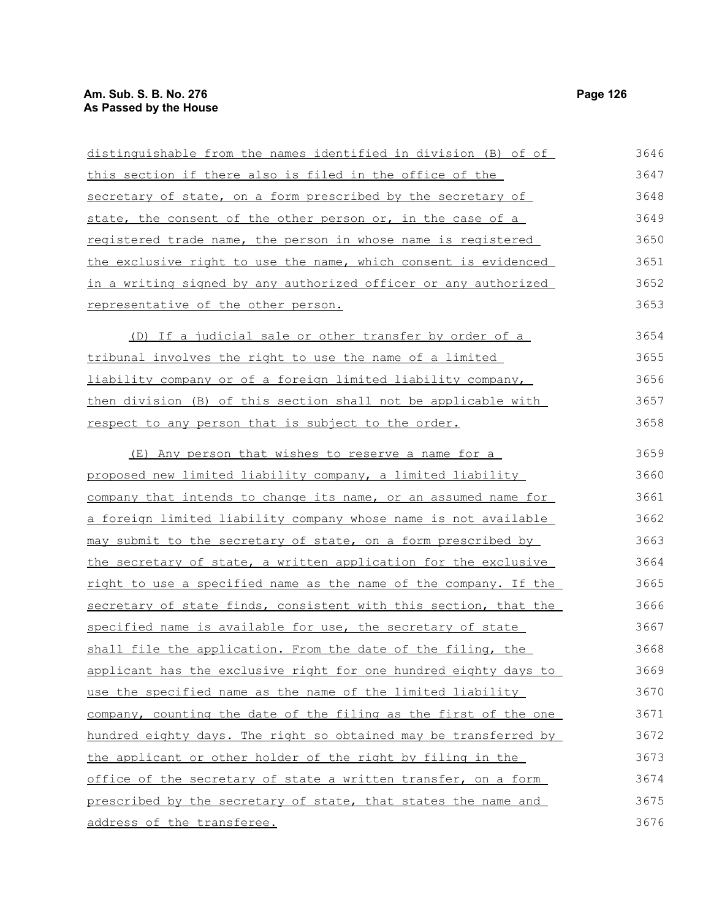representative of the other person.

| distinguishable from the names identified in division (B) of of | 3646 |
|-----------------------------------------------------------------|------|
| this section if there also is filed in the office of the        | 3647 |
| secretary of state, on a form prescribed by the secretary of    | 3648 |
| state, the consent of the other person or, in the case of a     | 3649 |
| registered trade name, the person in whose name is registered   | 3650 |
| the exclusive right to use the name, which consent is evidenced | 3651 |
| in a writing signed by any authorized officer or any authorized | 3652 |

(D) If a judicial sale or other transfer by order of a tribunal involves the right to use the name of a limited liability company or of a foreign limited liability company, then division (B) of this section shall not be applicable with

respect to any person that is subject to the order.

(E) Any person that wishes to reserve a name for a proposed new limited liability company, a limited liability company that intends to change its name, or an assumed name for a foreign limited liability company whose name is not available may submit to the secretary of state, on a form prescribed by the secretary of state, a written application for the exclusive right to use a specified name as the name of the company. If the secretary of state finds, consistent with this section, that the specified name is available for use, the secretary of state shall file the application. From the date of the filing, the applicant has the exclusive right for one hundred eighty days to use the specified name as the name of the limited liability company, counting the date of the filing as the first of the one hundred eighty days. The right so obtained may be transferred by the applicant or other holder of the right by filing in the office of the secretary of state a written transfer, on a form prescribed by the secretary of state, that states the name and address of the transferee. 3659 3660 3661 3662 3663 3664 3665 3666 3667 3668 3669 3670 3671 3672 3673 3674 3675 3676

3653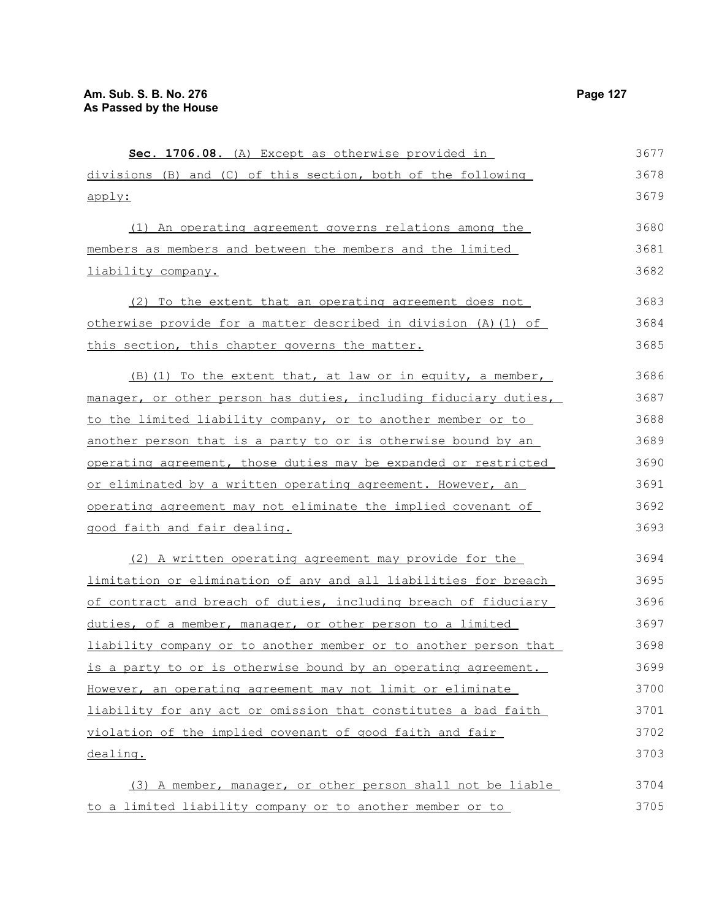| Sec. 1706.08. (A) Except as otherwise provided in                | 3677 |
|------------------------------------------------------------------|------|
| divisions (B) and (C) of this section, both of the following     | 3678 |
| apply:                                                           | 3679 |
| (1) An operating agreement governs relations among the           | 3680 |
| members as members and between the members and the limited       | 3681 |
| liability company.                                               | 3682 |
| (2) To the extent that an operating agreement does not           | 3683 |
| otherwise provide for a matter described in division (A) (1) of  | 3684 |
| this section, this chapter governs the matter.                   | 3685 |
| (B) (1) To the extent that, at law or in equity, a member,       | 3686 |
| manager, or other person has duties, including fiduciary duties, | 3687 |
| to the limited liability company, or to another member or to     | 3688 |
| another person that is a party to or is otherwise bound by an    | 3689 |
| operating agreement, those duties may be expanded or restricted  | 3690 |
| or eliminated by a written operating agreement. However, an      | 3691 |
| operating agreement may not eliminate the implied covenant of    | 3692 |
| good faith and fair dealing.                                     | 3693 |
| (2) A written operating agreement may provide for the            | 3694 |
| limitation or elimination of any and all liabilities for breach  | 3695 |
| of contract and breach of duties, including breach of fiduciary  | 3696 |
| duties, of a member, manager, or other person to a limited       | 3697 |
| liability company or to another member or to another person that | 3698 |
| is a party to or is otherwise bound by an operating agreement.   | 3699 |
| However, an operating agreement may not limit or eliminate       | 3700 |
| liability for any act or omission that constitutes a bad faith   | 3701 |
| violation of the implied covenant of good faith and fair         | 3702 |
| dealing.                                                         | 3703 |
| (3) A member, manager, or other person shall not be liable       | 3704 |
| to a limited liability company or to another member or to        | 3705 |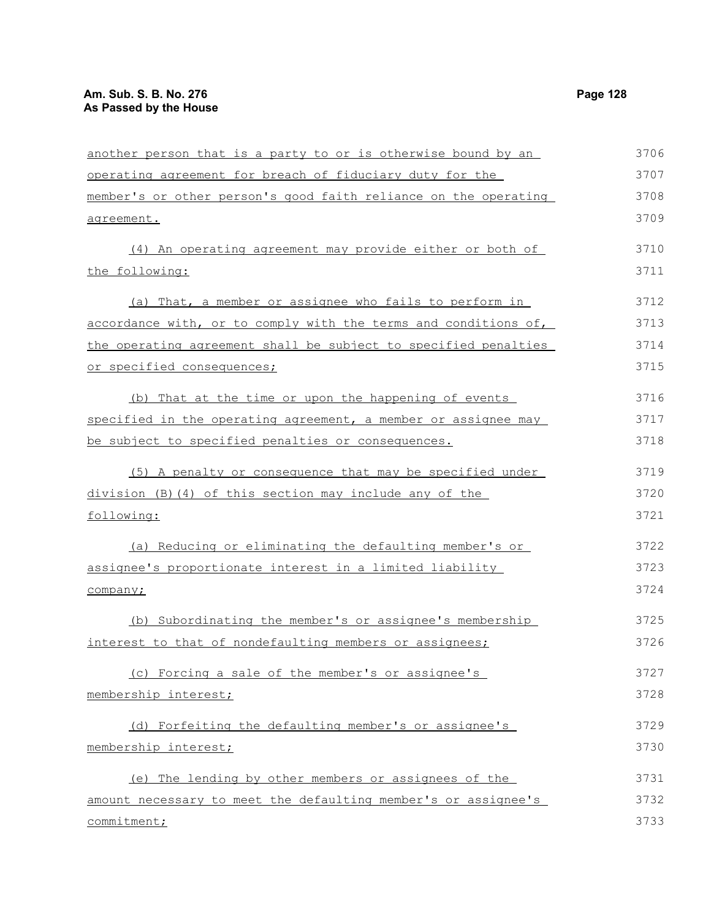another person that is a party to or is otherwise bound by an operating agreement for breach of fiduciary duty for the member's or other person's good faith reliance on the operating agreement. (4) An operating agreement may provide either or both of the following: (a) That, a member or assignee who fails to perform in accordance with, or to comply with the terms and conditions of, the operating agreement shall be subject to specified penalties or specified consequences; (b) That at the time or upon the happening of events specified in the operating agreement, a member or assignee may be subject to specified penalties or consequences. (5) A penalty or consequence that may be specified under division (B)(4) of this section may include any of the following: (a) Reducing or eliminating the defaulting member's or assignee's proportionate interest in a limited liability company; (b) Subordinating the member's or assignee's membership interest to that of nondefaulting members or assignees; (c) Forcing a sale of the member's or assignee's membership interest; (d) Forfeiting the defaulting member's or assignee's membership interest; (e) The lending by other members or assignees of the amount necessary to meet the defaulting member's or assignee's commitment; 3706 3707 3708 3709 3710 3711 3712 3713 3714 3715 3716 3717 3718 3719 3720 3721 3722 3723 3724 3725 3726 3727 3728 3729 3730 3731 3732 3733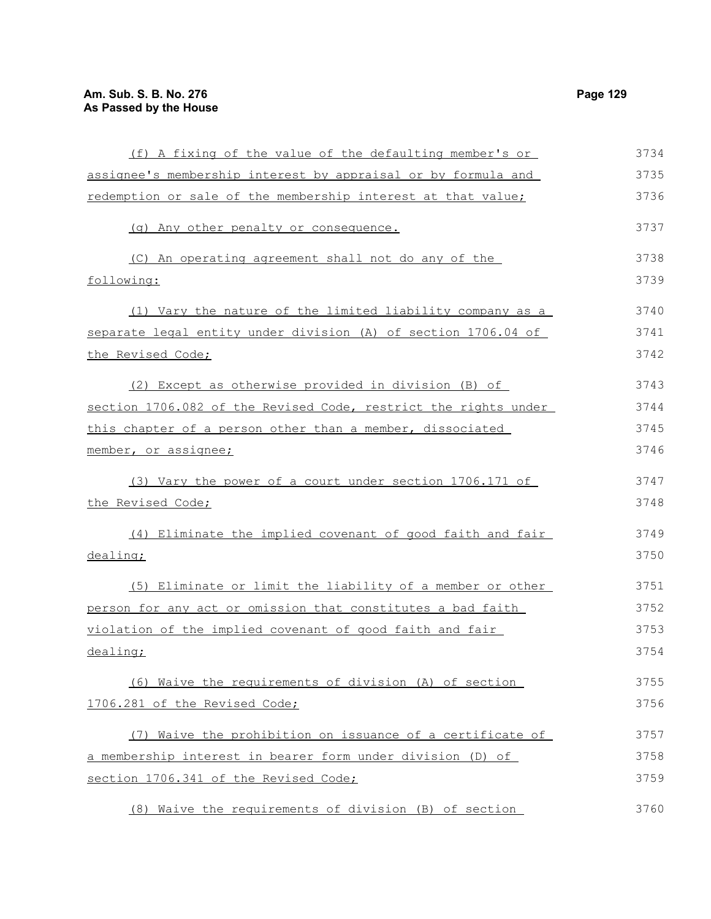(f) A fixing of the value of the defaulting member's or assignee's membership interest by appraisal or by formula and redemption or sale of the membership interest at that value; (g) Any other penalty or consequence. (C) An operating agreement shall not do any of the following: (1) Vary the nature of the limited liability company as a separate legal entity under division (A) of section 1706.04 of the Revised Code; (2) Except as otherwise provided in division (B) of section 1706.082 of the Revised Code, restrict the rights under this chapter of a person other than a member, dissociated member, or assignee; (3) Vary the power of a court under section 1706.171 of the Revised Code; (4) Eliminate the implied covenant of good faith and fair dealing; (5) Eliminate or limit the liability of a member or other person for any act or omission that constitutes a bad faith violation of the implied covenant of good faith and fair dealing; (6) Waive the requirements of division (A) of section 1706.281 of the Revised Code; (7) Waive the prohibition on issuance of a certificate of a membership interest in bearer form under division (D) of section 1706.341 of the Revised Code; 3734 3735 3736 3737 3738 3739 3740 3741 3742 3743 3744 3745 3746 3747 3748 3749 3750 3751 3752 3753 3754 3755 3756 3757 3758 3759

(8) Waive the requirements of division (B) of section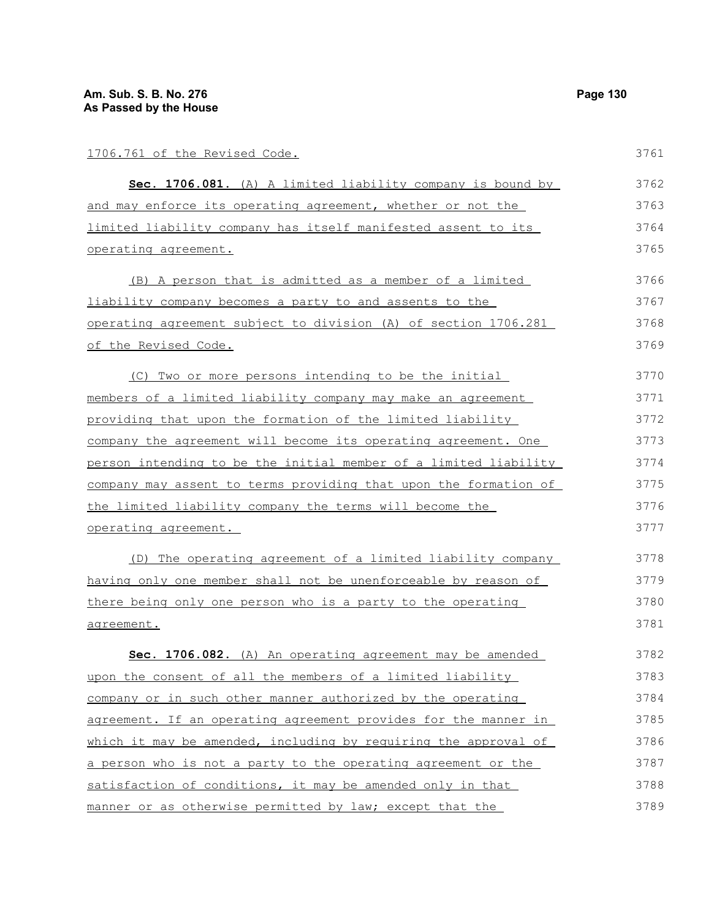| 1706.761 of the Revised Code.                                           | 3761 |
|-------------------------------------------------------------------------|------|
| Sec. 1706.081. (A) A limited liability company is bound by              | 3762 |
| and may enforce its operating agreement, whether or not the             | 3763 |
| limited liability company has itself manifested assent to its           | 3764 |
| operating agreement.                                                    | 3765 |
| (B) A person that is admitted as a member of a limited                  | 3766 |
| <u>liability company becomes a party to and assents to the</u>          | 3767 |
| operating agreement subject to division (A) of section 1706.281         | 3768 |
| of the Revised Code.                                                    | 3769 |
| (C) Two or more persons intending to be the initial                     | 3770 |
| <u>members of a limited liability company may make an agreement</u>     | 3771 |
| providing that upon the formation of the limited liability              | 3772 |
| company the agreement will become its operating agreement. One          | 3773 |
| person intending to be the initial member of a limited liability        | 3774 |
| <u>company may assent to terms providing that upon the formation of</u> | 3775 |
| the limited liability company the terms will become the                 | 3776 |
| operating agreement.                                                    | 3777 |
| (D) The operating agreement of a limited liability company              | 3778 |
| having only one member shall not be unenforceable by reason of          | 3779 |
| there being only one person who is a party to the operating             | 3780 |
| <u>agreement.</u>                                                       | 3781 |
| Sec. 1706.082. (A) An operating agreement may be amended                | 3782 |
| upon the consent of all the members of a limited liability              | 3783 |
| company or in such other manner authorized by the operating             | 3784 |
| agreement. If an operating agreement provides for the manner in         | 3785 |
| which it may be amended, including by requiring the approval of         | 3786 |
| a person who is not a party to the operating agreement or the           | 3787 |
| satisfaction of conditions, it may be amended only in that              | 3788 |
| manner or as otherwise permitted by law; except that the                | 3789 |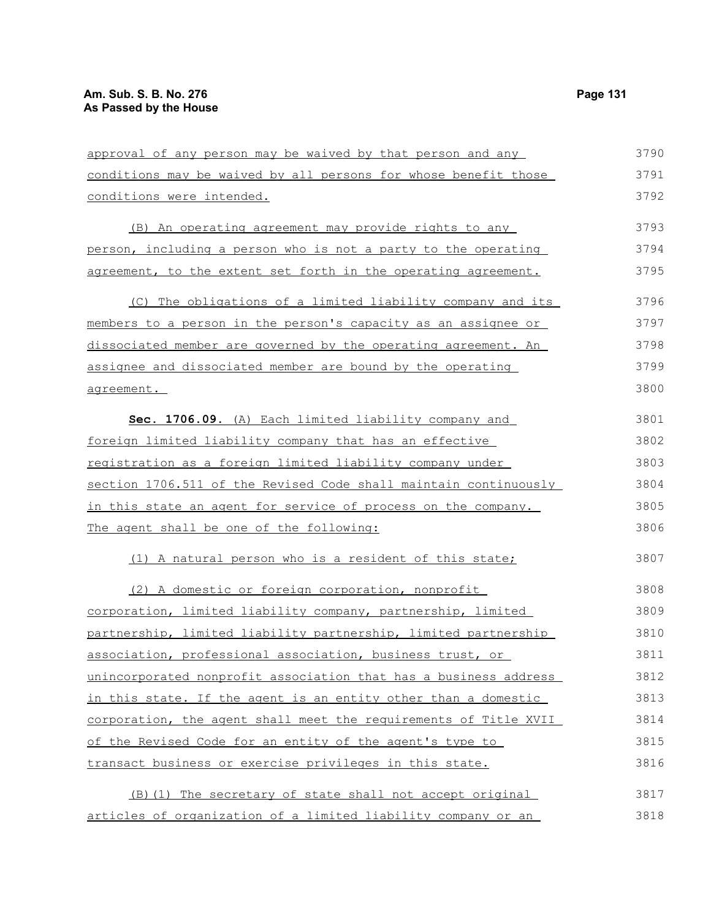| approval of any person may be waived by that person and any      | 3790 |
|------------------------------------------------------------------|------|
| conditions may be waived by all persons for whose benefit those  | 3791 |
| conditions were intended.                                        | 3792 |
| (B) An operating agreement may provide rights to any             | 3793 |
| person, including a person who is not a party to the operating   | 3794 |
| agreement, to the extent set forth in the operating agreement.   | 3795 |
| (C) The obligations of a limited liability company and its       | 3796 |
| members to a person in the person's capacity as an assignee or   | 3797 |
| dissociated member are governed by the operating agreement. An   | 3798 |
| assignee and dissociated member are bound by the operating       | 3799 |
| agreement.                                                       | 3800 |
| Sec. 1706.09. (A) Each limited liability company and             | 3801 |
| foreign limited liability company that has an effective          | 3802 |
| registration as a foreign limited liability company under        | 3803 |
| section 1706.511 of the Revised Code shall maintain continuously | 3804 |
| in this state an agent for service of process on the company.    | 3805 |
| The agent shall be one of the following:                         | 3806 |
| (1) A natural person who is a resident of this state;            | 3807 |
| (2) A domestic or foreign corporation, nonprofit                 | 3808 |
| corporation, limited liability company, partnership, limited     | 3809 |
| partnership, limited liability partnership, limited partnership  | 3810 |
| association, professional association, business trust, or        | 3811 |
| unincorporated nonprofit association that has a business address | 3812 |
| in this state. If the agent is an entity other than a domestic   | 3813 |
| corporation, the agent shall meet the requirements of Title XVII | 3814 |
| of the Revised Code for an entity of the agent's type to         | 3815 |
| transact business or exercise privileges in this state.          | 3816 |
| (B) (1) The secretary of state shall not accept original         | 3817 |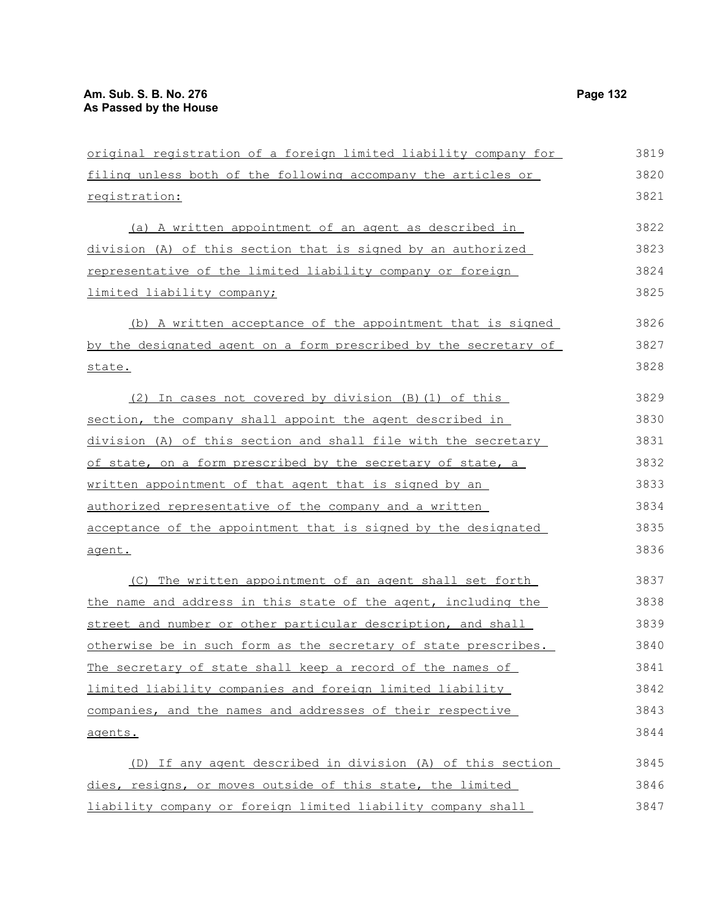| original registration of a foreign limited liability company for | 3819 |
|------------------------------------------------------------------|------|
| filing unless both of the following accompany the articles or    | 3820 |
| registration:                                                    | 3821 |
| (a) A written appointment of an agent as described in            | 3822 |
| division (A) of this section that is signed by an authorized     | 3823 |
| representative of the limited liability company or foreign       | 3824 |
| limited liability company;                                       | 3825 |
| (b) A written acceptance of the appointment that is signed       | 3826 |
| by the designated agent on a form prescribed by the secretary of | 3827 |
| state.                                                           | 3828 |
| (2) In cases not covered by division (B) (1) of this             | 3829 |
| section, the company shall appoint the agent described in        | 3830 |
| division (A) of this section and shall file with the secretary   | 3831 |
| of state, on a form prescribed by the secretary of state, a      | 3832 |
| written appointment of that agent that is signed by an           | 3833 |
| authorized representative of the company and a written           | 3834 |
| acceptance of the appointment that is signed by the designated   | 3835 |
| agent.                                                           | 3836 |
| (C) The written appointment of an agent shall set forth          | 3837 |
| the name and address in this state of the agent, including the   | 3838 |
| street and number or other particular description, and shall     | 3839 |
| otherwise be in such form as the secretary of state prescribes.  | 3840 |
| The secretary of state shall keep a record of the names of       | 3841 |
| limited liability companies and foreign limited liability        | 3842 |
| companies, and the names and addresses of their respective       | 3843 |
| agents.                                                          | 3844 |
| (D) If any agent described in division (A) of this section       | 3845 |
| dies, resigns, or moves outside of this state, the limited       | 3846 |
| liability company or foreign limited liability company shall     | 3847 |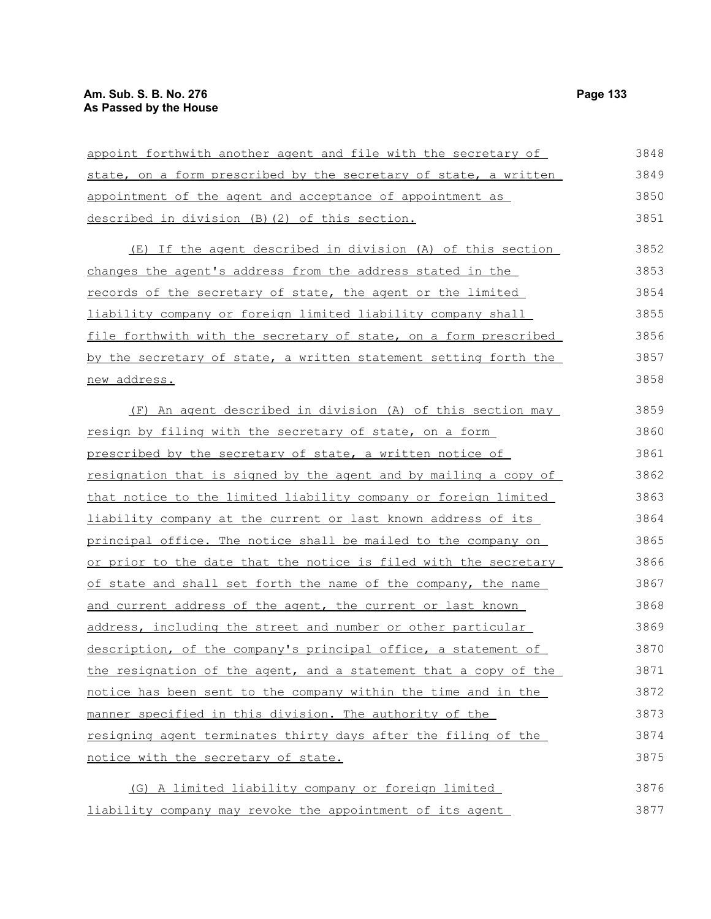| appoint forthwith another agent and file with the secretary of   | 3848 |
|------------------------------------------------------------------|------|
| state, on a form prescribed by the secretary of state, a written | 3849 |
| appointment of the agent and acceptance of appointment as        | 3850 |
| described in division (B) (2) of this section.                   | 3851 |
| (E) If the agent described in division (A) of this section       | 3852 |
| changes the agent's address from the address stated in the       | 3853 |
| records of the secretary of state, the agent or the limited      | 3854 |
| liability company or foreign limited liability company shall     | 3855 |
| file forthwith with the secretary of state, on a form prescribed | 3856 |
| by the secretary of state, a written statement setting forth the | 3857 |
| new address.                                                     | 3858 |
| (F) An agent described in division (A) of this section may       | 3859 |
| resign by filing with the secretary of state, on a form          | 3860 |
| prescribed by the secretary of state, a written notice of        | 3861 |
| resignation that is signed by the agent and by mailing a copy of | 3862 |
| that notice to the limited liability company or foreign limited  | 3863 |
| liability company at the current or last known address of its    | 3864 |
| principal office. The notice shall be mailed to the company on   | 3865 |
| or prior to the date that the notice is filed with the secretary | 3866 |
| of state and shall set forth the name of the company, the name   | 3867 |
| and current address of the agent, the current or last known      | 3868 |
| address, including the street and number or other particular     | 3869 |
| description, of the company's principal office, a statement of   | 3870 |
| the resignation of the agent, and a statement that a copy of the | 3871 |
| notice has been sent to the company within the time and in the   | 3872 |
| manner specified in this division. The authority of the          | 3873 |
| resigning agent terminates thirty days after the filing of the   | 3874 |
| notice with the secretary of state.                              | 3875 |
| (G) A limited liability company or foreign limited               | 3876 |
| liability company may revoke the appointment of its agent        | 3877 |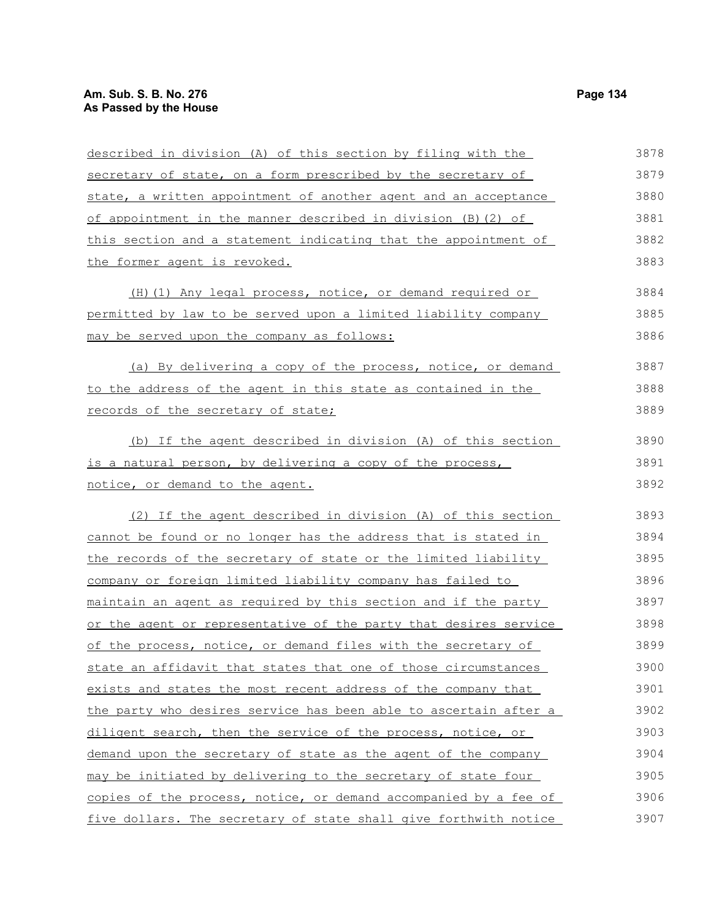| described in division (A) of this section by filing with the     | 3878 |
|------------------------------------------------------------------|------|
| secretary of state, on a form prescribed by the secretary of     | 3879 |
| state, a written appointment of another agent and an acceptance  | 3880 |
| of appointment in the manner described in division (B) (2) of    | 3881 |
| this section and a statement indicating that the appointment of  | 3882 |
| the former agent is revoked.                                     | 3883 |
| (H) (1) Any legal process, notice, or demand required or         | 3884 |
| permitted by law to be served upon a limited liability company   | 3885 |
| may be served upon the company as follows:                       | 3886 |
| (a) By delivering a copy of the process, notice, or demand       | 3887 |
| to the address of the agent in this state as contained in the    | 3888 |
| records of the secretary of state;                               | 3889 |
| (b) If the agent described in division (A) of this section       | 3890 |
| is a natural person, by delivering a copy of the process,        | 3891 |
| <u>notice, or demand to the agent.</u>                           | 3892 |
| (2) If the agent described in division (A) of this section       | 3893 |
| cannot be found or no longer has the address that is stated in   | 3894 |
| the records of the secretary of state or the limited liability   | 3895 |
| company or foreign limited liability company has failed to       | 3896 |
| maintain an agent as required by this section and if the party   | 3897 |
| or the agent or representative of the party that desires service | 3898 |
| of the process, notice, or demand files with the secretary of    | 3899 |
| state an affidavit that states that one of those circumstances   | 3900 |
| exists and states the most recent address of the company that    | 3901 |
| the party who desires service has been able to ascertain after a | 3902 |
| diligent search, then the service of the process, notice, or     | 3903 |
| demand upon the secretary of state as the agent of the company   | 3904 |
| may be initiated by delivering to the secretary of state four    | 3905 |
| copies of the process, notice, or demand accompanied by a fee of | 3906 |
| five dollars. The secretary of state shall give forthwith notice | 3907 |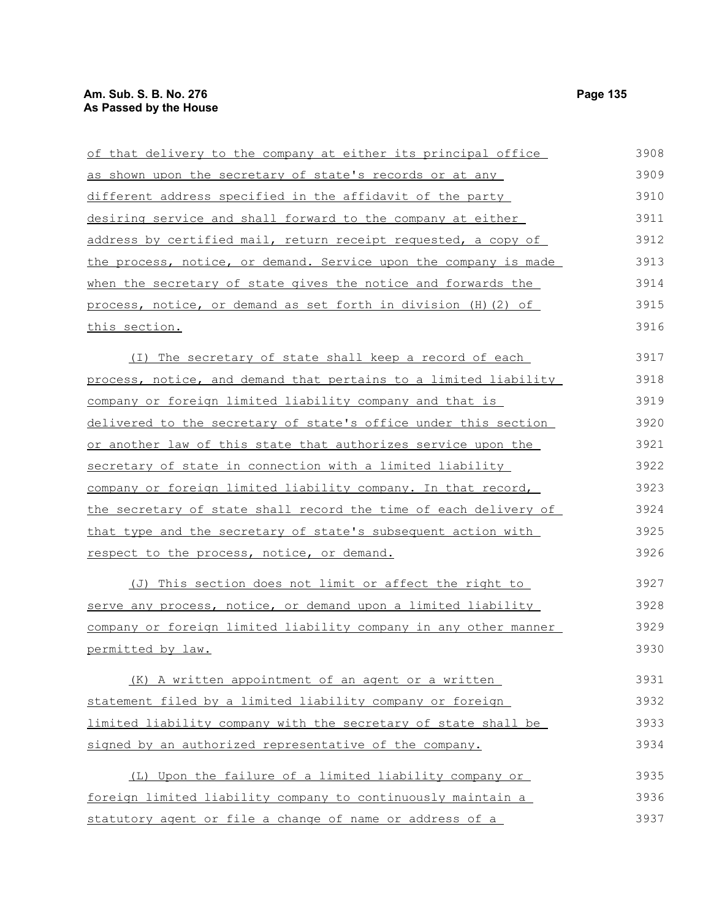# **Am. Sub. S. B. No. 276 Page 135 As Passed by the House**

| of that delivery to the company at either its principal office           | 3908 |
|--------------------------------------------------------------------------|------|
| as shown upon the secretary of state's records or at any                 | 3909 |
| different address specified in the affidavit of the party                | 3910 |
| desiring service and shall forward to the company at either              | 3911 |
| address by certified mail, return receipt requested, a copy of           | 3912 |
| the process, notice, or demand. Service upon the company is made         | 3913 |
| when the secretary of state gives the notice and forwards the            | 3914 |
| process, notice, or demand as set forth in division (H) (2) of           | 3915 |
| <u>this section.</u>                                                     | 3916 |
| (I) The secretary of state shall keep a record of each                   | 3917 |
| <u>process, notice, and demand that pertains to a limited liability </u> | 3918 |
| company or foreign limited liability company and that is                 | 3919 |
| delivered to the secretary of state's office under this section          | 3920 |
| or another law of this state that authorizes service upon the            | 3921 |
| secretary of state in connection with a limited liability                | 3922 |
| company or foreign limited liability company. In that record,            | 3923 |
| the secretary of state shall record the time of each delivery of         | 3924 |
| that type and the secretary of state's subsequent action with            | 3925 |
| respect to the process, notice, or demand.                               | 3926 |
| (J) This section does not limit or affect the right to                   | 3927 |
| <u>serve any process, notice, or demand upon a limited liability</u>     | 3928 |
| company or foreign limited liability company in any other manner         | 3929 |
| <u>permitted by law.</u>                                                 | 3930 |
| (K) A written appointment of an agent or a written                       | 3931 |
| statement filed by a limited liability company or foreign                | 3932 |
| limited liability company with the secretary of state shall be           | 3933 |
| signed by an authorized representative of the company.                   | 3934 |
| (L) Upon the failure of a limited liability company or                   | 3935 |
| foreign limited liability company to continuously maintain a             | 3936 |
| statutory agent or file a change of name or address of a                 | 3937 |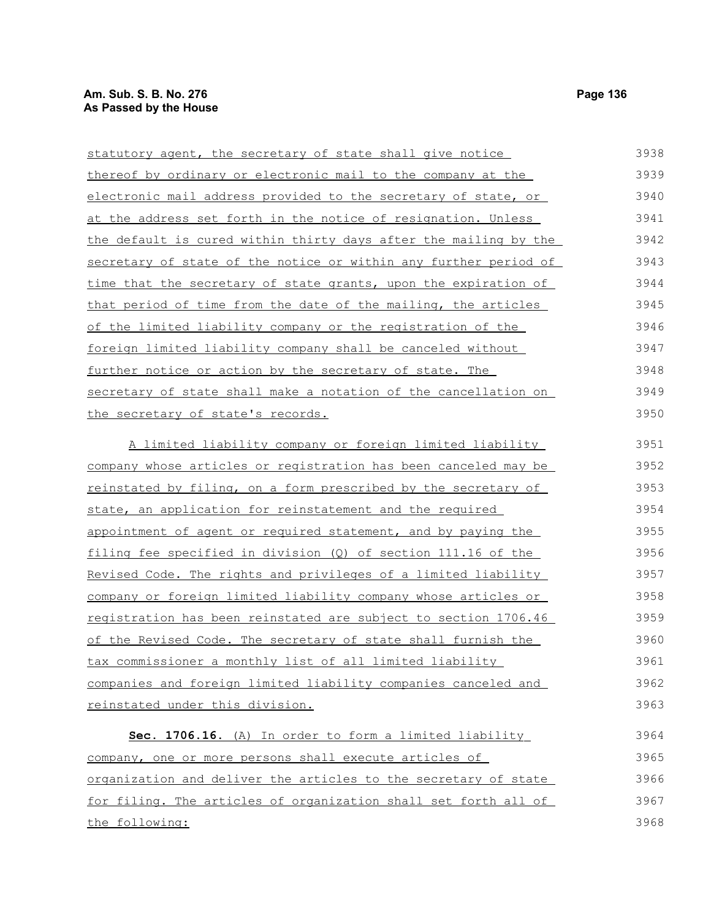# **Am. Sub. S. B. No. 276** Page 136 **As Passed by the House**

| statutory agent, the secretary of state shall give notice             | 3938 |
|-----------------------------------------------------------------------|------|
| thereof by ordinary or electronic mail to the company at the          | 3939 |
| electronic mail address provided to the secretary of state, or        | 3940 |
| at the address set forth in the notice of resignation. Unless         | 3941 |
| the default is cured within thirty days after the mailing by the      | 3942 |
| secretary of state of the notice or within any further period of      | 3943 |
| time that the secretary of state grants, upon the expiration of       | 3944 |
| that period of time from the date of the mailing, the articles        | 3945 |
| of the limited liability company or the registration of the           | 3946 |
| foreign limited liability company shall be canceled without           | 3947 |
| further notice or action by the secretary of state. The               | 3948 |
| secretary of state shall make a notation of the cancellation on       | 3949 |
| the secretary of state's records.                                     | 3950 |
| A limited liability company or foreign limited liability              | 3951 |
| company whose articles or registration has been canceled may be       | 3952 |
| reinstated by filing, on a form prescribed by the secretary of        | 3953 |
| state, an application for reinstatement and the required              | 3954 |
| appointment of agent or required statement, and by paying the         | 3955 |
| filing fee specified in division (Q) of section 111.16 of the         | 3956 |
| Revised Code. The rights and privileges of a limited liability        | 3957 |
| <u>company or foreign limited liability company whose articles or</u> | 3958 |
| registration has been reinstated are subject to section 1706.46       | 3959 |
| of the Revised Code. The secretary of state shall furnish the         | 3960 |
| tax commissioner a monthly list of all limited liability              | 3961 |
| companies and foreign limited liability companies canceled and        | 3962 |
| reinstated under this division.                                       | 3963 |
| Sec. 1706.16. (A) In order to form a limited liability                | 3964 |
| company, one or more persons shall execute articles of                | 3965 |
| organization and deliver the articles to the secretary of state       | 3966 |
| for filing. The articles of organization shall set forth all of       | 3967 |
| the following:                                                        | 3968 |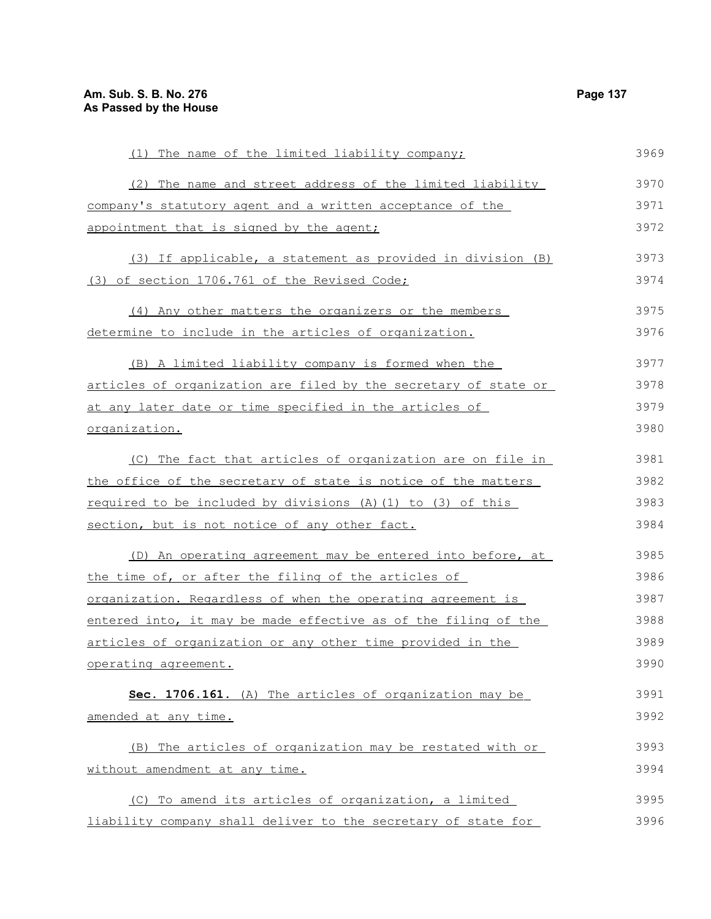| (1) The name of the limited liability company;                  | 3969 |
|-----------------------------------------------------------------|------|
| The name and street address of the limited liability<br>(2)     | 3970 |
| company's statutory agent and a written acceptance of the       | 3971 |
| appointment that is signed by the agent;                        | 3972 |
| (3) If applicable, a statement as provided in division (B)      | 3973 |
| (3) of section 1706.761 of the Revised Code;                    | 3974 |
| (4) Any other matters the organizers or the members             | 3975 |
| determine to include in the articles of organization.           | 3976 |
| (B) A limited liability company is formed when the              | 3977 |
| articles of organization are filed by the secretary of state or | 3978 |
| at any later date or time specified in the articles of          | 3979 |
| organization.                                                   | 3980 |
| (C) The fact that articles of organization are on file in       | 3981 |
| the office of the secretary of state is notice of the matters   | 3982 |
| required to be included by divisions (A) (1) to (3) of this     | 3983 |
| section, but is not notice of any other fact.                   | 3984 |
| (D) An operating agreement may be entered into before, at       | 3985 |
| the time of, or after the filing of the articles of             | 3986 |
| organization. Regardless of when the operating agreement is     | 3987 |
| entered into, it may be made effective as of the filing of the  | 3988 |
| articles of organization or any other time provided in the      | 3989 |
| operating agreement.                                            | 3990 |
| Sec. 1706.161. (A) The articles of organization may be          | 3991 |
| amended at any time.                                            | 3992 |
| (B) The articles of organization may be restated with or        | 3993 |
| without amendment at any time.                                  | 3994 |
| (C) To amend its articles of organization, a limited            | 3995 |
| liability company shall deliver to the secretary of state for   | 3996 |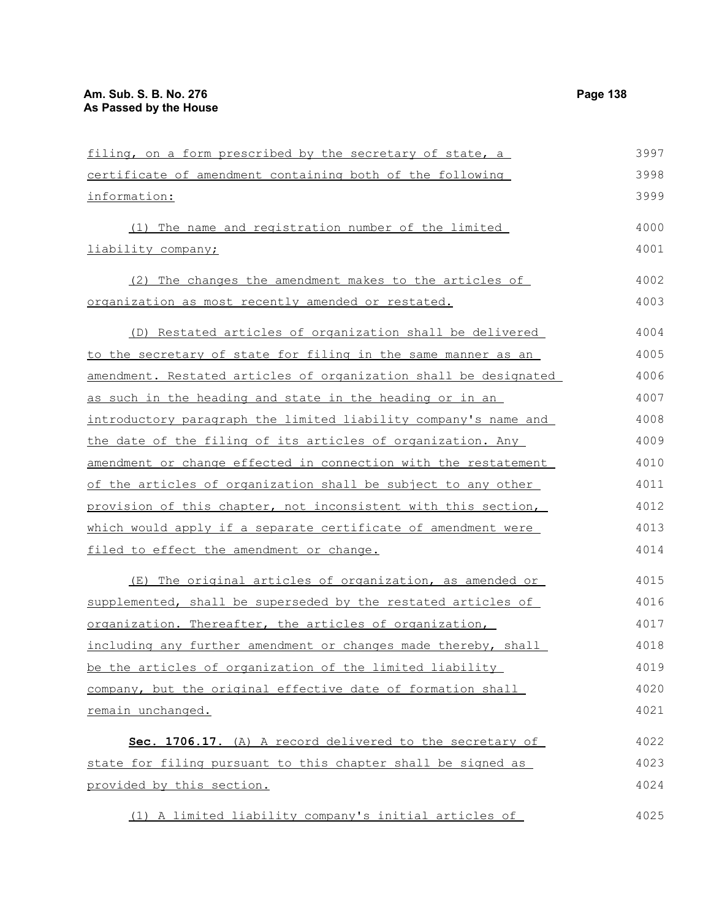filing, on a form prescribed by the secretary of state, a certificate of amendment containing both of the following information: (1) The name and registration number of the limited liability company; (2) The changes the amendment makes to the articles of organization as most recently amended or restated. (D) Restated articles of organization shall be delivered to the secretary of state for filing in the same manner as an amendment. Restated articles of organization shall be designated as such in the heading and state in the heading or in an introductory paragraph the limited liability company's name and the date of the filing of its articles of organization. Any amendment or change effected in connection with the restatement of the articles of organization shall be subject to any other provision of this chapter, not inconsistent with this section, which would apply if a separate certificate of amendment were filed to effect the amendment or change. (E) The original articles of organization, as amended or supplemented, shall be superseded by the restated articles of organization. Thereafter, the articles of organization, including any further amendment or changes made thereby, shall be the articles of organization of the limited liability company, but the original effective date of formation shall remain unchanged. **Sec. 1706.17.** (A) A record delivered to the secretary of state for filing pursuant to this chapter shall be signed as provided by this section. (1) A limited liability company's initial articles of 3997 3998 3999 4000 4001 4002 4003 4004 4005 4006 4007 4008 4009 4010 4011 4012 4013 4014 4015 4016 4017 4018 4019 4020 4021 4022 4023 4024 4025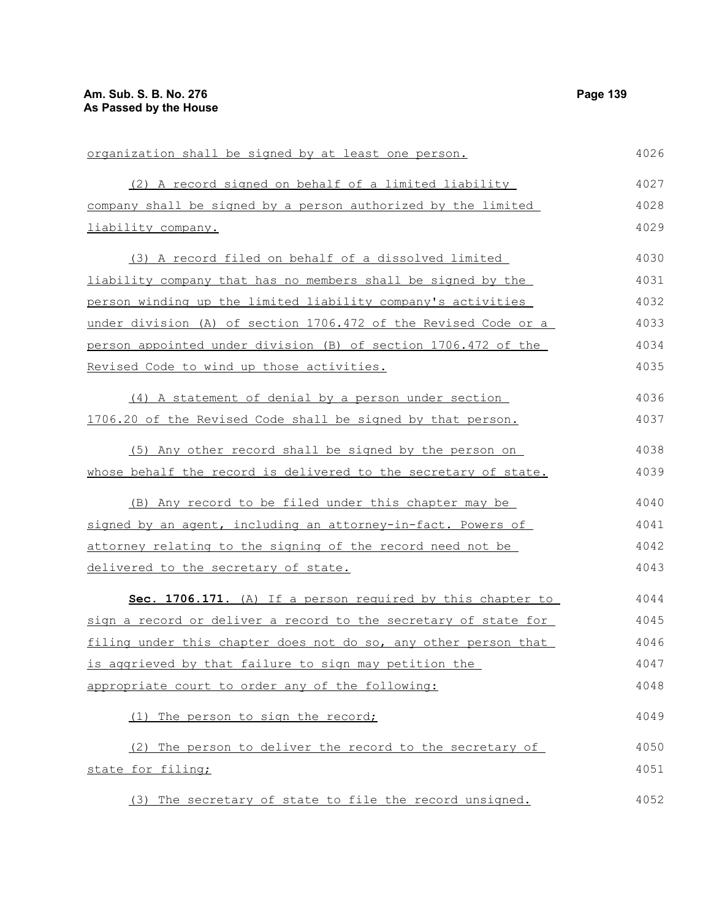| organization shall be signed by at least one person.            | 4026 |
|-----------------------------------------------------------------|------|
| (2) A record signed on behalf of a limited liability            | 4027 |
| company shall be signed by a person authorized by the limited   | 4028 |
| liability company.                                              | 4029 |
| (3) A record filed on behalf of a dissolved limited             | 4030 |
| liability company that has no members shall be signed by the    | 4031 |
| person winding up the limited liability company's activities    | 4032 |
| under division (A) of section 1706.472 of the Revised Code or a | 4033 |
| person appointed under division (B) of section 1706.472 of the  | 4034 |
| Revised Code to wind up those activities.                       | 4035 |
| (4) A statement of denial by a person under section             | 4036 |
| 1706.20 of the Revised Code shall be signed by that person.     | 4037 |
| (5) Any other record shall be signed by the person on           | 4038 |
| whose behalf the record is delivered to the secretary of state. | 4039 |
| (B) Any record to be filed under this chapter may be            | 4040 |
| signed by an agent, including an attorney-in-fact. Powers of    | 4041 |
| attorney relating to the signing of the record need not be      | 4042 |
| delivered to the secretary of state.                            | 4043 |
| Sec. 1706.171. (A) If a person required by this chapter to      | 4044 |
| sign a record or deliver a record to the secretary of state for | 4045 |
| filing under this chapter does not do so, any other person that | 4046 |
| is aggrieved by that failure to sign may petition the           | 4047 |
| appropriate court to order any of the following:                | 4048 |
| (1) The person to sign the record;                              | 4049 |
| (2) The person to deliver the record to the secretary of        | 4050 |
| state for filing;                                               | 4051 |
| (3) The secretary of state to file the record unsigned.         | 4052 |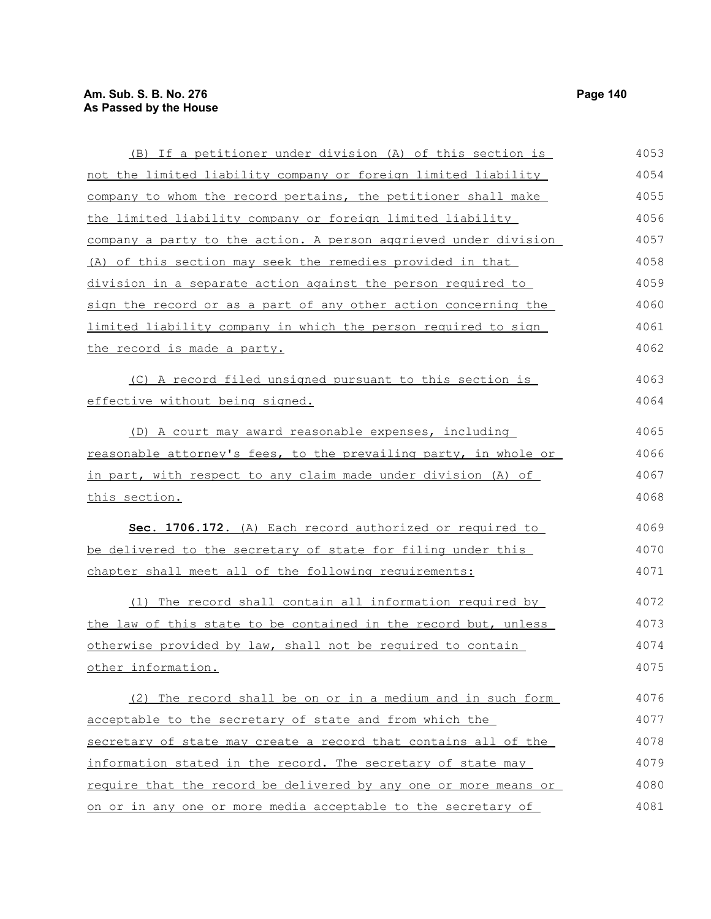this section.

(B) If a petitioner under division (A) of this section is not the limited liability company or foreign limited liability company to whom the record pertains, the petitioner shall make the limited liability company or foreign limited liability company a party to the action. A person aggrieved under division (A) of this section may seek the remedies provided in that division in a separate action against the person required to sign the record or as a part of any other action concerning the limited liability company in which the person required to sign the record is made a party. (C) A record filed unsigned pursuant to this section is effective without being signed. (D) A court may award reasonable expenses, including reasonable attorney's fees, to the prevailing party, in whole or in part, with respect to any claim made under division (A) of **Sec. 1706.172.** (A) Each record authorized or required to be delivered to the secretary of state for filing under this chapter shall meet all of the following requirements: 4053 4054 4055 4056 4057 4058 4059 4060 4061 4062 4063 4064 4065 4066 4067 4068 4069 4070 4071

(1) The record shall contain all information required by the law of this state to be contained in the record but, unless otherwise provided by law, shall not be required to contain other information. 4072 4073 4074 4075

(2) The record shall be on or in a medium and in such form acceptable to the secretary of state and from which the secretary of state may create a record that contains all of the information stated in the record. The secretary of state may require that the record be delivered by any one or more means or on or in any one or more media acceptable to the secretary of 4076 4077 4078 4079 4080 4081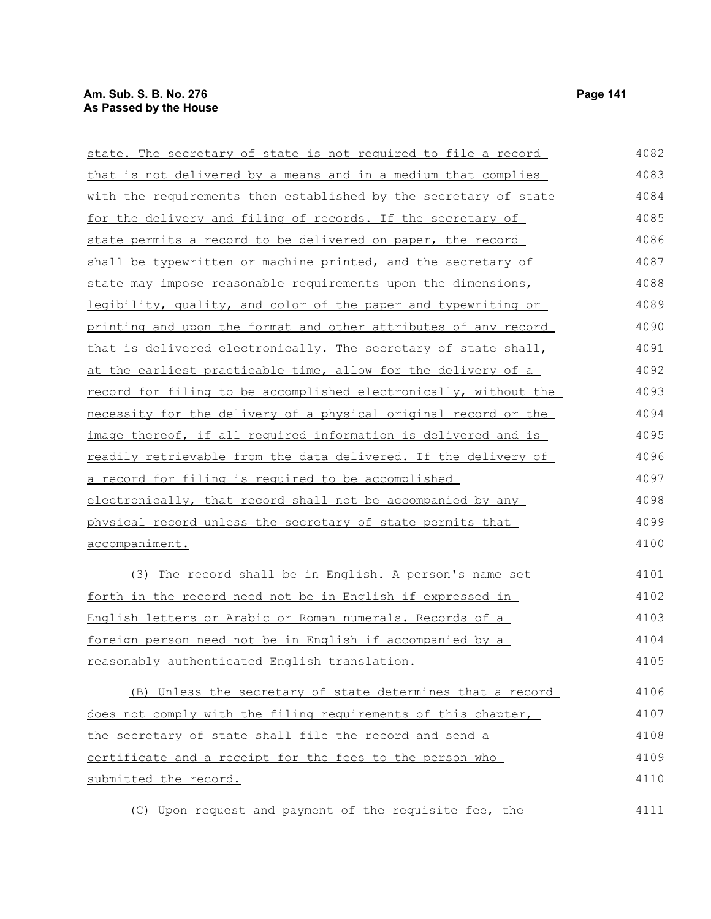| state. The secretary of state is not required to file a record    | 4082 |
|-------------------------------------------------------------------|------|
| that is not delivered by a means and in a medium that complies    | 4083 |
| with the requirements then established by the secretary of state  | 4084 |
| for the delivery and filing of records. If the secretary of       | 4085 |
| state permits a record to be delivered on paper, the record       | 4086 |
| shall be typewritten or machine printed, and the secretary of     | 4087 |
| state may impose reasonable requirements upon the dimensions,     | 4088 |
| legibility, quality, and color of the paper and typewriting or    | 4089 |
| printing and upon the format and other attributes of any record   | 4090 |
| that is delivered electronically. The secretary of state shall,   | 4091 |
| at the earliest practicable time, allow for the delivery of a     | 4092 |
| record for filing to be accomplished electronically, without the  | 4093 |
| necessity for the delivery of a physical original record or the   | 4094 |
| image thereof, if all required information is delivered and is    | 4095 |
| readily retrievable from the data delivered. If the delivery of   | 4096 |
| <u>a record for filing is required to be accomplished</u>         | 4097 |
| electronically, that record shall not be accompanied by any       | 4098 |
| physical record unless the secretary of state permits that        | 4099 |
| <u>accompaniment.</u>                                             | 4100 |
| (3) The record shall be in English. A person's name set           | 4101 |
| forth in the record need not be in English if expressed in        | 4102 |
| <u>English letters or Arabic or Roman numerals. Records of a </u> | 4103 |
| foreign person need not be in English if accompanied by a         | 4104 |
| reasonably authenticated English translation.                     | 4105 |
| (B) Unless the secretary of state determines that a record        | 4106 |
| does not comply with the filing requirements of this chapter,     | 4107 |
| the secretary of state shall file the record and send a           | 4108 |
| certificate and a receipt for the fees to the person who          | 4109 |
| submitted the record.                                             | 4110 |
|                                                                   |      |

(C) Upon request and payment of the requisite fee, the 4111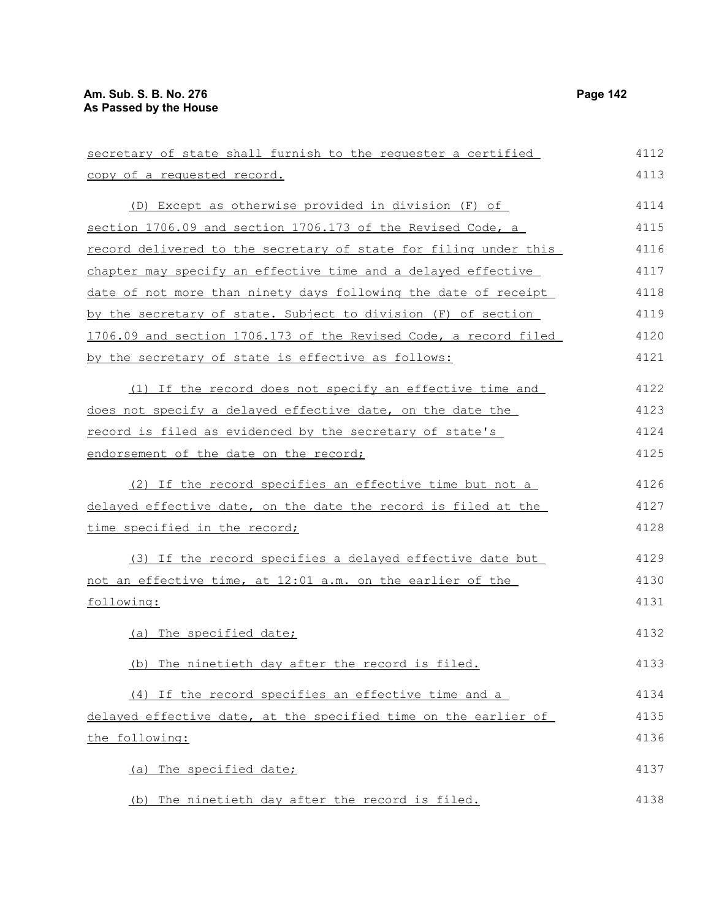| secretary of state shall furnish to the requester a certified    | 4112 |
|------------------------------------------------------------------|------|
| copy of a requested record.                                      | 4113 |
| (D) Except as otherwise provided in division (F) of              | 4114 |
| section 1706.09 and section 1706.173 of the Revised Code, a      | 4115 |
| record delivered to the secretary of state for filing under this | 4116 |
| chapter may specify an effective time and a delayed effective    | 4117 |
| date of not more than ninety days following the date of receipt  | 4118 |
| by the secretary of state. Subject to division (F) of section    | 4119 |
| 1706.09 and section 1706.173 of the Revised Code, a record filed | 4120 |
| by the secretary of state is effective as follows:               | 4121 |
| (1) If the record does not specify an effective time and         | 4122 |
| does not specify a delayed effective date, on the date the       | 4123 |
| record is filed as evidenced by the secretary of state's         | 4124 |
| endorsement of the date on the record;                           | 4125 |
| (2) If the record specifies an effective time but not a          | 4126 |
| delayed effective date, on the date the record is filed at the   | 4127 |
| time specified in the record;                                    | 4128 |
| (3) If the record specifies a delayed effective date but         | 4129 |
| not an effective time, at 12:01 a.m. on the earlier of the       | 4130 |
| following:                                                       | 4131 |
| (a) The specified date;                                          | 4132 |
| (b) The ninetieth day after the record is filed.                 | 4133 |
| (4) If the record specifies an effective time and a              | 4134 |
| delayed effective date, at the specified time on the earlier of  | 4135 |
| the following:                                                   | 4136 |
| (a) The specified date;                                          | 4137 |
| (b) The ninetieth day after the record is filed.                 | 4138 |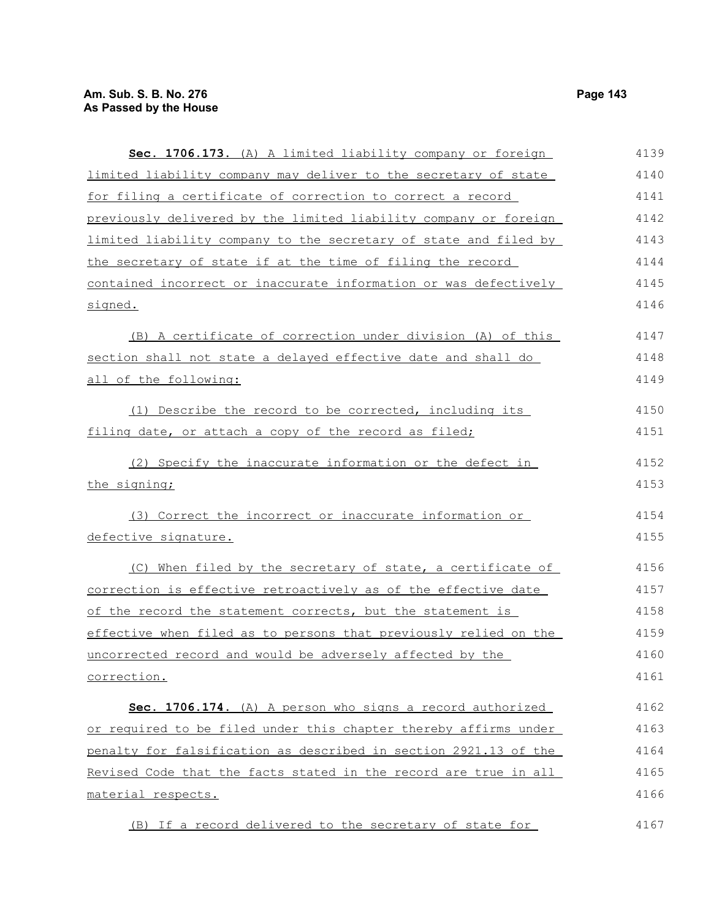correction.

| Sec. 1706.173. (A) A limited liability company or foreign        | 4139 |
|------------------------------------------------------------------|------|
| limited liability company may deliver to the secretary of state  | 4140 |
| for filing a certificate of correction to correct a record       | 4141 |
| previously delivered by the limited liability company or foreign | 4142 |
| limited liability company to the secretary of state and filed by | 4143 |
| the secretary of state if at the time of filing the record       | 4144 |
| contained incorrect or inaccurate information or was defectively | 4145 |
| signed.                                                          | 4146 |
| (B) A certificate of correction under division (A) of this       | 4147 |
| section shall not state a delayed effective date and shall do    | 4148 |
| all of the following:                                            | 4149 |
| (1) Describe the record to be corrected, including its           | 4150 |
| filing date, or attach a copy of the record as filed;            | 4151 |
| (2) Specify the inaccurate information or the defect in          | 4152 |
| the signing;                                                     | 4153 |
| (3) Correct the incorrect or inaccurate information or           | 4154 |
| defective signature.                                             | 4155 |
| (C) When filed by the secretary of state, a certificate of       | 4156 |
| correction is effective retroactively as of the effective date   | 4157 |
| of the record the statement corrects, but the statement is       | 4158 |
| effective when filed as to persons that previously relied on the | 4159 |
| uncorrected record and would be adversely affected by the        | 4160 |
|                                                                  |      |

 **Sec. 1706.174.** (A) A person who signs a record authorized or required to be filed under this chapter thereby affirms under penalty for falsification as described in section 2921.13 of the Revised Code that the facts stated in the record are true in all material respects. 4162 4163 4164 4165 4166

(B) If a record delivered to the secretary of state for 4167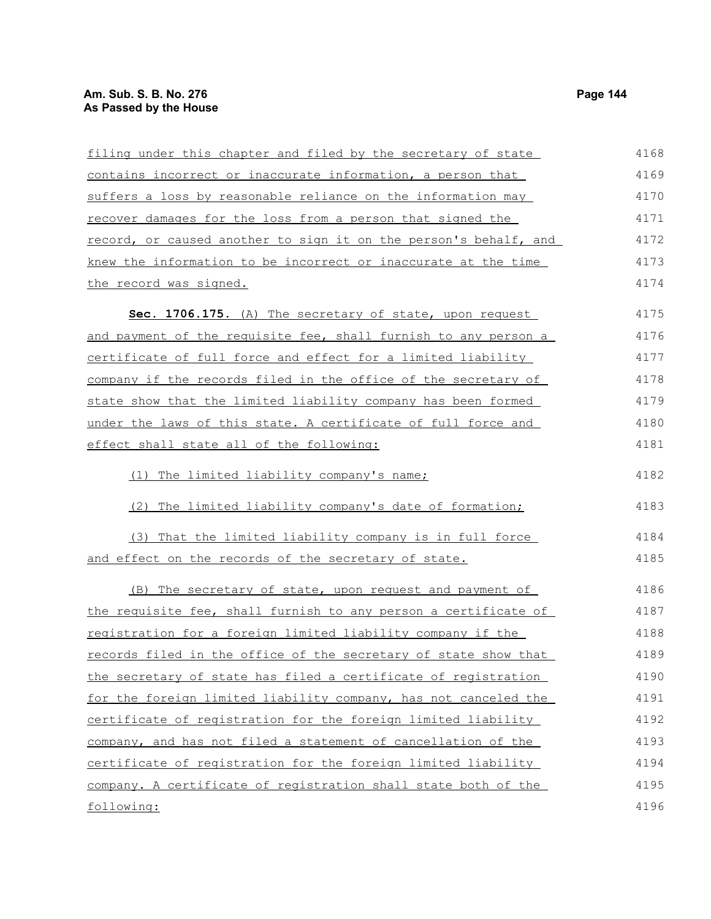# **Am. Sub. S. B. No. 276 Page 144 As Passed by the House**

| filing under this chapter and filed by the secretary of state    | 4168 |
|------------------------------------------------------------------|------|
|                                                                  |      |
| contains incorrect or inaccurate information, a person that      | 4169 |
| suffers a loss by reasonable reliance on the information may     | 4170 |
| recover damages for the loss from a person that signed the       | 4171 |
| record, or caused another to sign it on the person's behalf, and | 4172 |
| knew the information to be incorrect or inaccurate at the time   | 4173 |
| the record was signed.                                           | 4174 |
| Sec. 1706.175. (A) The secretary of state, upon request          | 4175 |
| and payment of the requisite fee, shall furnish to any person a  | 4176 |
| certificate of full force and effect for a limited liability     | 4177 |
| company if the records filed in the office of the secretary of   | 4178 |
| state show that the limited liability company has been formed    | 4179 |
| under the laws of this state. A certificate of full force and    | 4180 |
| effect shall state all of the following:                         | 4181 |
| (1) The limited liability company's name;                        | 4182 |
| (2) The limited liability company's date of formation;           | 4183 |
| (3) That the limited liability company is in full force          | 4184 |
| and effect on the records of the secretary of state.             | 4185 |
| (B) The secretary of state, upon request and payment of          | 4186 |
| the requisite fee, shall furnish to any person a certificate of  | 4187 |
| registration for a foreign limited liability company if the      | 4188 |
| records filed in the office of the secretary of state show that  | 4189 |
| the secretary of state has filed a certificate of registration   | 4190 |
| for the foreign limited liability company, has not canceled the  | 4191 |
| certificate of registration for the foreign limited liability    | 4192 |
| company, and has not filed a statement of cancellation of the    | 4193 |
| certificate of registration for the foreign limited liability    | 4194 |
| company. A certificate of registration shall state both of the   | 4195 |
| following:                                                       | 4196 |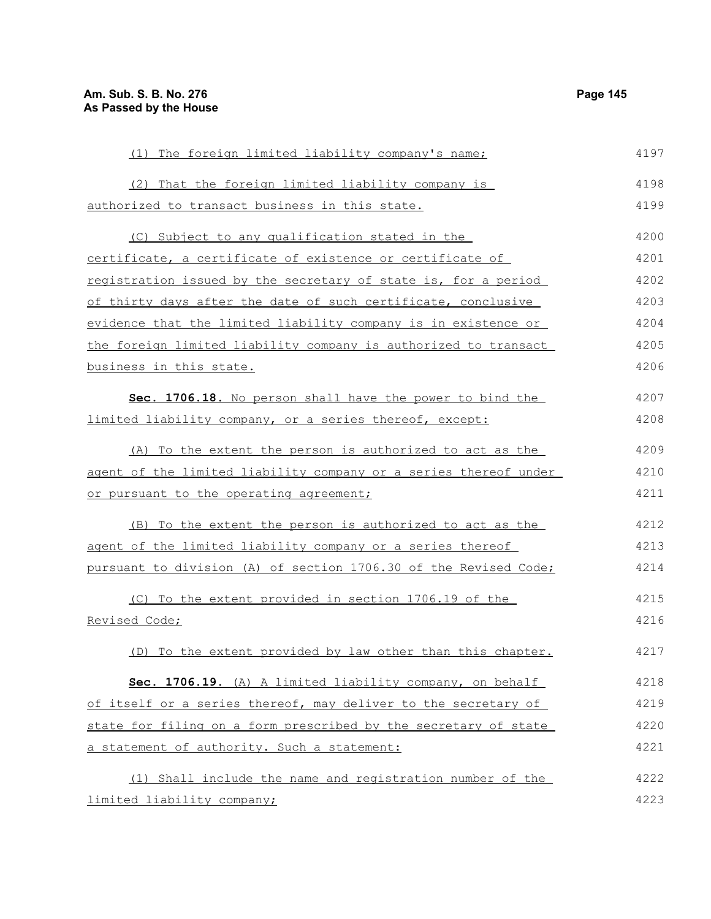(1) The foreign limited liability company's name; (2) That the foreign limited liability company is authorized to transact business in this state. (C) Subject to any qualification stated in the certificate, a certificate of existence or certificate of registration issued by the secretary of state is, for a period of thirty days after the date of such certificate, conclusive evidence that the limited liability company is in existence or the foreign limited liability company is authorized to transact business in this state. **Sec. 1706.18.** No person shall have the power to bind the limited liability company, or a series thereof, except: (A) To the extent the person is authorized to act as the agent of the limited liability company or a series thereof under or pursuant to the operating agreement; (B) To the extent the person is authorized to act as the agent of the limited liability company or a series thereof pursuant to division (A) of section 1706.30 of the Revised Code; (C) To the extent provided in section 1706.19 of the Revised Code; (D) To the extent provided by law other than this chapter. **Sec. 1706.19.** (A) A limited liability company, on behalf of itself or a series thereof, may deliver to the secretary of state for filing on a form prescribed by the secretary of state a statement of authority. Such a statement: (1) Shall include the name and registration number of the limited liability company; 4197 4198 4199 4200 4201 4202 4203 4204 4205 4206 4207 4208 4209 4210 4211 4212 4213 4214 4215 4216 4217 4218 4219 4220 4221 4222 4223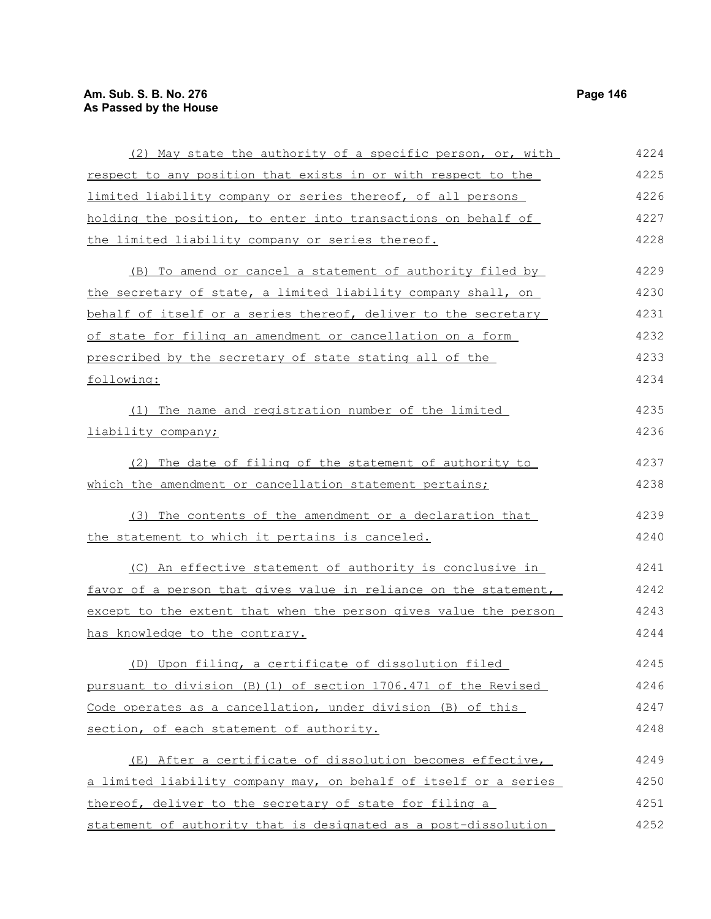| (2) May state the authority of a specific person, or, with       | 4224 |
|------------------------------------------------------------------|------|
| respect to any position that exists in or with respect to the    | 4225 |
| limited liability company or series thereof, of all persons      | 4226 |
| holding the position, to enter into transactions on behalf of    | 4227 |
| the limited liability company or series thereof.                 | 4228 |
| (B) To amend or cancel a statement of authority filed by         | 4229 |
| the secretary of state, a limited liability company shall, on    | 4230 |
| behalf of itself or a series thereof, deliver to the secretary   | 4231 |
| of state for filing an amendment or cancellation on a form       | 4232 |
| prescribed by the secretary of state stating all of the          | 4233 |
| following:                                                       | 4234 |
| (1) The name and registration number of the limited              | 4235 |
| liability company;                                               | 4236 |
| (2) The date of filing of the statement of authority to          | 4237 |
| which the amendment or cancellation statement pertains;          | 4238 |
| (3) The contents of the amendment or a declaration that          | 4239 |
| the statement to which it pertains is canceled.                  | 4240 |
| (C) An effective statement of authority is conclusive in         | 4241 |
| favor of a person that gives value in reliance on the statement, | 4242 |
| except to the extent that when the person gives value the person | 4243 |
| has knowledge to the contrary.                                   | 4244 |
| (D) Upon filing, a certificate of dissolution filed              | 4245 |
| pursuant to division (B) (1) of section 1706.471 of the Revised  | 4246 |
| Code operates as a cancellation, under division (B) of this      | 4247 |
| section, of each statement of authority.                         | 4248 |
| (E) After a certificate of dissolution becomes effective,        | 4249 |
| a limited liability company may, on behalf of itself or a series | 4250 |
| thereof, deliver to the secretary of state for filing a          | 4251 |
| statement of authority that is designated as a post-dissolution  | 4252 |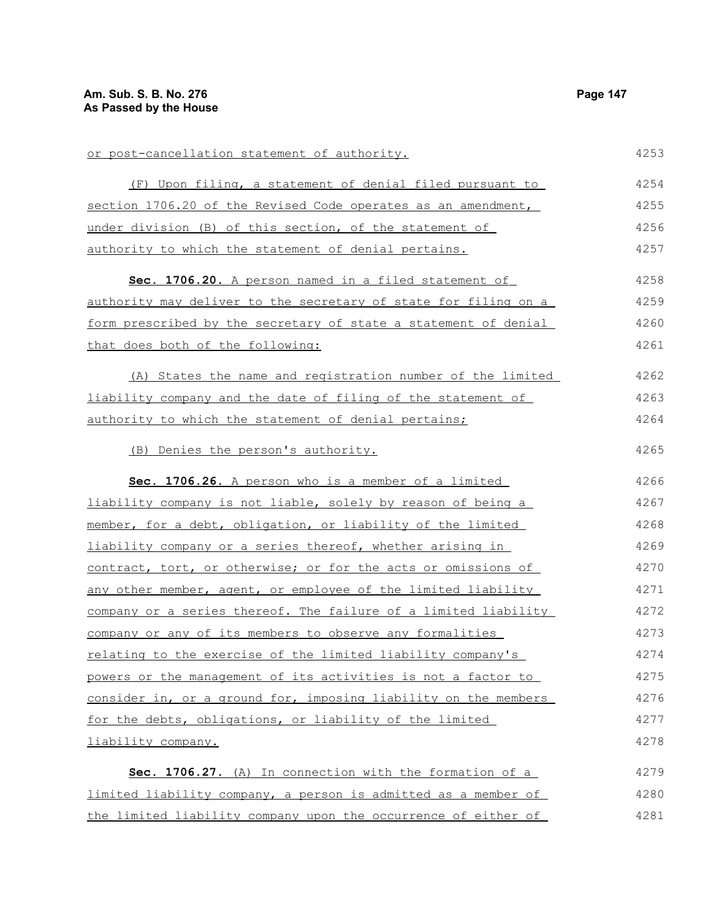or post-cancellation statement of authority. (F) Upon filing, a statement of denial filed pursuant to section 1706.20 of the Revised Code operates as an amendment, under division (B) of this section, of the statement of authority to which the statement of denial pertains. **Sec. 1706.20.** A person named in a filed statement of authority may deliver to the secretary of state for filing on a form prescribed by the secretary of state a statement of denial that does both of the following: (A) States the name and registration number of the limited liability company and the date of filing of the statement of authority to which the statement of denial pertains; (B) Denies the person's authority. **Sec. 1706.26.** A person who is a member of a limited liability company is not liable, solely by reason of being a member, for a debt, obligation, or liability of the limited liability company or a series thereof, whether arising in contract, tort, or otherwise; or for the acts or omissions of any other member, agent, or employee of the limited liability company or a series thereof. The failure of a limited liability company or any of its members to observe any formalities relating to the exercise of the limited liability company's powers or the management of its activities is not a factor to consider in, or a ground for, imposing liability on the members for the debts, obligations, or liability of the limited liability company. **Sec. 1706.27.** (A) In connection with the formation of a limited liability company, a person is admitted as a member of 4253 4254 4255 4256 4257 4258 4259 4260 4261 4262 4263 4264 4265 4266 4267 4268 4269 4270 4271 4272 4273 4274 4275 4276 4277 4278 4279 4280

the limited liability company upon the occurrence of either of

4281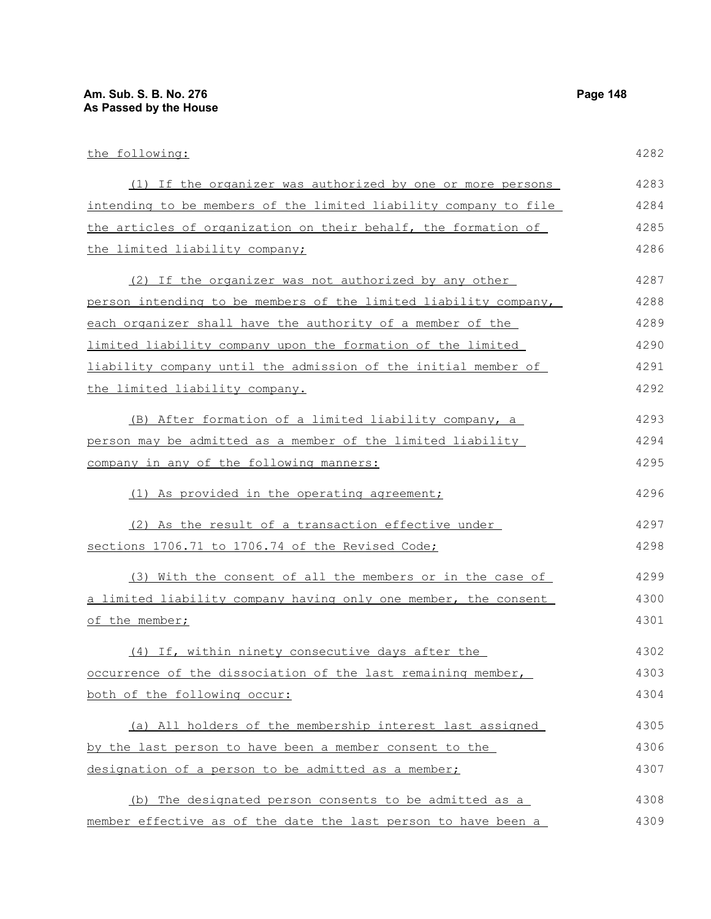the following: (1) If the organizer was authorized by one or more persons intending to be members of the limited liability company to file the articles of organization on their behalf, the formation of the limited liability company; (2) If the organizer was not authorized by any other person intending to be members of the limited liability company, each organizer shall have the authority of a member of the limited liability company upon the formation of the limited liability company until the admission of the initial member of the limited liability company. (B) After formation of a limited liability company, a person may be admitted as a member of the limited liability company in any of the following manners: (1) As provided in the operating agreement; (2) As the result of a transaction effective under sections 1706.71 to 1706.74 of the Revised Code; (3) With the consent of all the members or in the case of a limited liability company having only one member, the consent of the member; (4) If, within ninety consecutive days after the occurrence of the dissociation of the last remaining member, both of the following occur: (a) All holders of the membership interest last assigned by the last person to have been a member consent to the designation of a person to be admitted as a member; (b) The designated person consents to be admitted as a 4282 4283 4284 4285 4286 4287 4288 4289 4290 4291 4292 4293 4294 4295 4296 4297 4298 4299 4300 4301 4302 4303 4304 4305 4306 4307 4308

member effective as of the date the last person to have been a 4309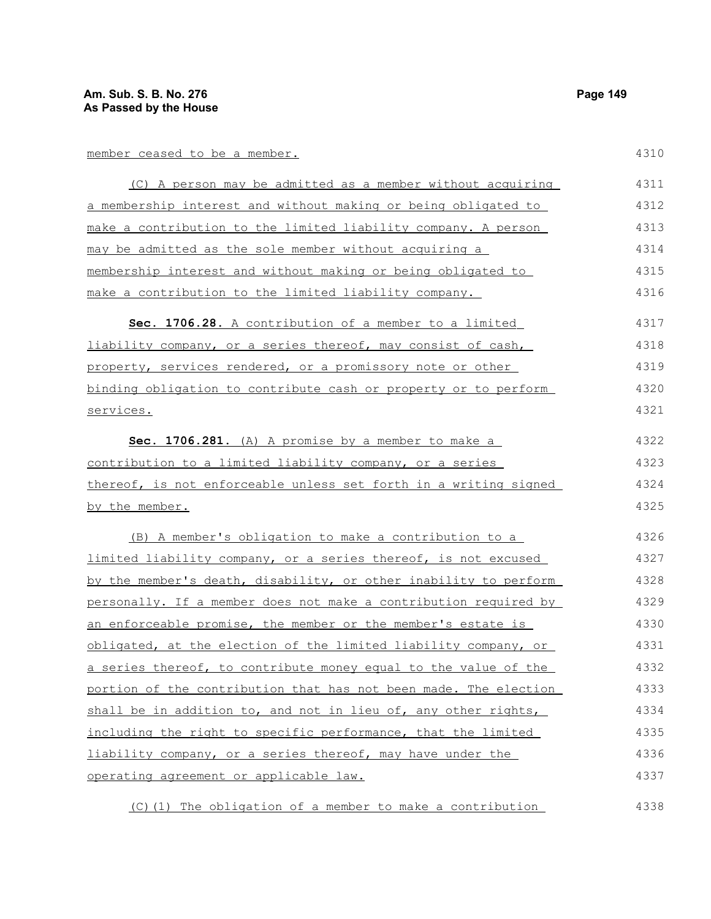# member ceased to be a member.

4310

| (C) A person may be admitted as a member without acquiring       | 4311 |
|------------------------------------------------------------------|------|
| a membership interest and without making or being obligated to   | 4312 |
| make a contribution to the limited liability company. A person   | 4313 |
| may be admitted as the sole member without acquiring a           | 4314 |
| membership interest and without making or being obligated to     | 4315 |
| make a contribution to the limited liability company.            | 4316 |
| Sec. 1706.28. A contribution of a member to a limited            | 4317 |
| liability company, or a series thereof, may consist of cash,     | 4318 |
| property, services rendered, or a promissory note or other       | 4319 |
| binding obligation to contribute cash or property or to perform  | 4320 |
| services.                                                        | 4321 |
| Sec. 1706.281. (A) A promise by a member to make a               | 4322 |
| contribution to a limited liability company, or a series         | 4323 |
| thereof, is not enforceable unless set forth in a writing signed | 4324 |
| by the member.                                                   | 4325 |
| (B) A member's obligation to make a contribution to a            | 4326 |
| limited liability company, or a series thereof, is not excused   | 4327 |
| by the member's death, disability, or other inability to perform | 4328 |
| personally. If a member does not make a contribution required by | 4329 |
| an enforceable promise, the member or the member's estate is     | 4330 |
| obligated, at the election of the limited liability company, or  | 4331 |
| a series thereof, to contribute money equal to the value of the  | 4332 |
| portion of the contribution that has not been made. The election | 4333 |
| shall be in addition to, and not in lieu of, any other rights,   | 4334 |
| including the right to specific performance, that the limited    | 4335 |
| liability company, or a series thereof, may have under the       | 4336 |
| operating agreement or applicable law.                           | 4337 |
| (C)(1) The obligation of a member to make a contribution         | 4338 |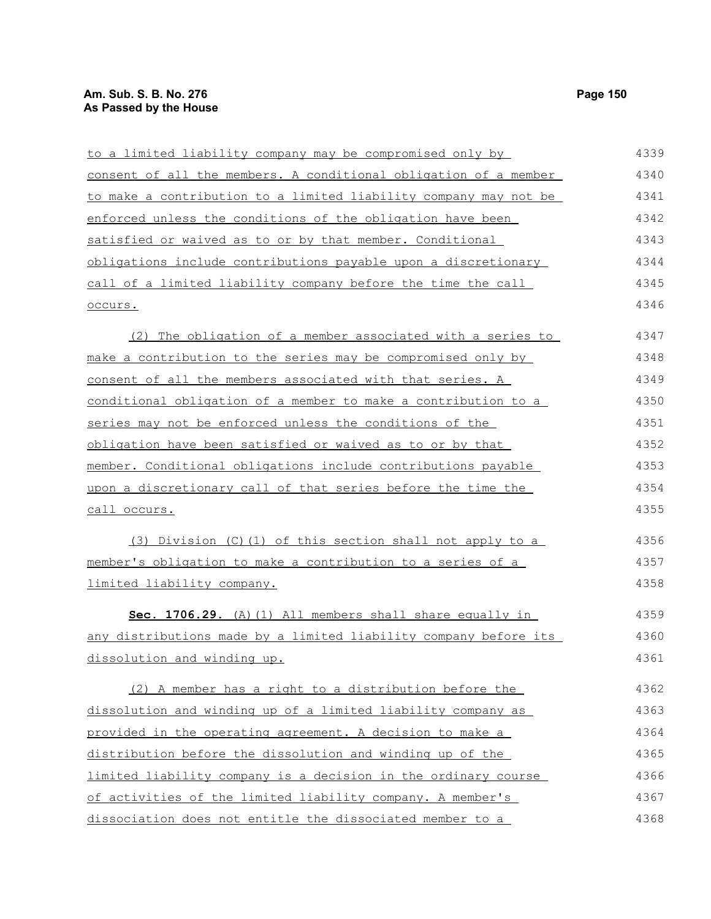# **Am. Sub. S. B. No. 276** Page 150 **As Passed by the House**

| to a limited liability company may be compromised only by        | 4339 |
|------------------------------------------------------------------|------|
| consent of all the members. A conditional obligation of a member | 4340 |
| to make a contribution to a limited liability company may not be | 4341 |
| enforced unless the conditions of the obligation have been       | 4342 |
| satisfied or waived as to or by that member. Conditional         | 4343 |
| obligations include contributions payable upon a discretionary   | 4344 |
| call of a limited liability company before the time the call     | 4345 |
| occurs.                                                          | 4346 |
| (2) The obligation of a member associated with a series to       | 4347 |
| make a contribution to the series may be compromised only by     | 4348 |
| consent of all the members associated with that series. A        | 4349 |
| conditional obligation of a member to make a contribution to a   | 4350 |
| series may not be enforced unless the conditions of the          | 4351 |
| obligation have been satisfied or waived as to or by that        | 4352 |
| member. Conditional obligations include contributions payable    | 4353 |
| upon a discretionary call of that series before the time the     | 4354 |
| <u>call occurs.</u>                                              | 4355 |
| (3) Division (C)(1) of this section shall not apply to a         | 4356 |
| member's obligation to make a contribution to a series of a      | 4357 |
| limited liability company.                                       | 4358 |
| Sec. 1706.29. (A) (1) All members shall share equally in         | 4359 |
| any distributions made by a limited liability company before its | 4360 |
| dissolution and winding up.                                      | 4361 |
| (2) A member has a right to a distribution before the            | 4362 |
| dissolution and winding up of a limited liability company as     | 4363 |
| provided in the operating agreement. A decision to make a        | 4364 |
| distribution before the dissolution and winding up of the        | 4365 |
| limited liability company is a decision in the ordinary course   | 4366 |
| of activities of the limited liability company. A member's       | 4367 |
| dissociation does not entitle the dissociated member to a        | 4368 |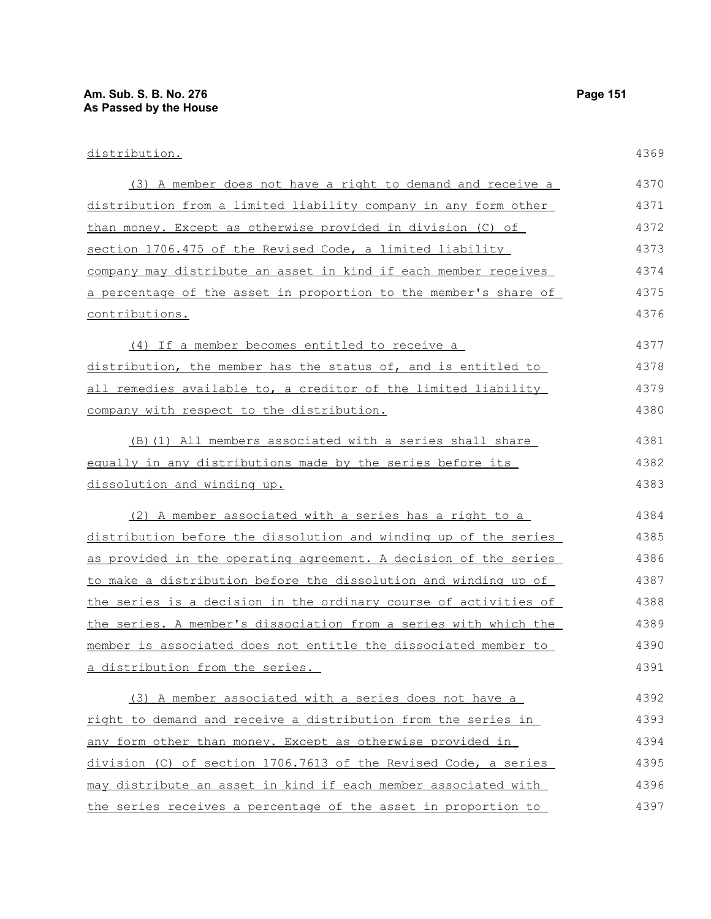| distribution.                                                    | 4369 |
|------------------------------------------------------------------|------|
| (3) A member does not have a right to demand and receive a       | 4370 |
| distribution from a limited liability company in any form other  | 4371 |
| than money. Except as otherwise provided in division (C) of      | 4372 |
| section 1706.475 of the Revised Code, a limited liability        | 4373 |
| company may distribute an asset in kind if each member receives  | 4374 |
| a percentage of the asset in proportion to the member's share of | 4375 |
| contributions.                                                   | 4376 |
| (4) If a member becomes entitled to receive a                    | 4377 |
| distribution, the member has the status of, and is entitled to   | 4378 |
| all remedies available to, a creditor of the limited liability   | 4379 |
| company with respect to the distribution.                        | 4380 |
| (B) (1) All members associated with a series shall share         | 4381 |
| equally in any distributions made by the series before its       | 4382 |
| dissolution and winding up.                                      | 4383 |
| (2) A member associated with a series has a right to a           | 4384 |
| distribution before the dissolution and winding up of the series | 4385 |
| as provided in the operating agreement. A decision of the series | 4386 |
| to make a distribution before the dissolution and winding up of  | 4387 |
| the series is a decision in the ordinary course of activities of | 4388 |
| the series. A member's dissociation from a series with which the | 4389 |
| member is associated does not entitle the dissociated member to  | 4390 |
| a distribution from the series.                                  | 4391 |
| (3) A member associated with a series does not have a            | 4392 |
| right to demand and receive a distribution from the series in    | 4393 |
| any form other than money. Except as otherwise provided in       | 4394 |
| division (C) of section 1706.7613 of the Revised Code, a series  | 4395 |
| may distribute an asset in kind if each member associated with   | 4396 |
| the series receives a percentage of the asset in proportion to   | 4397 |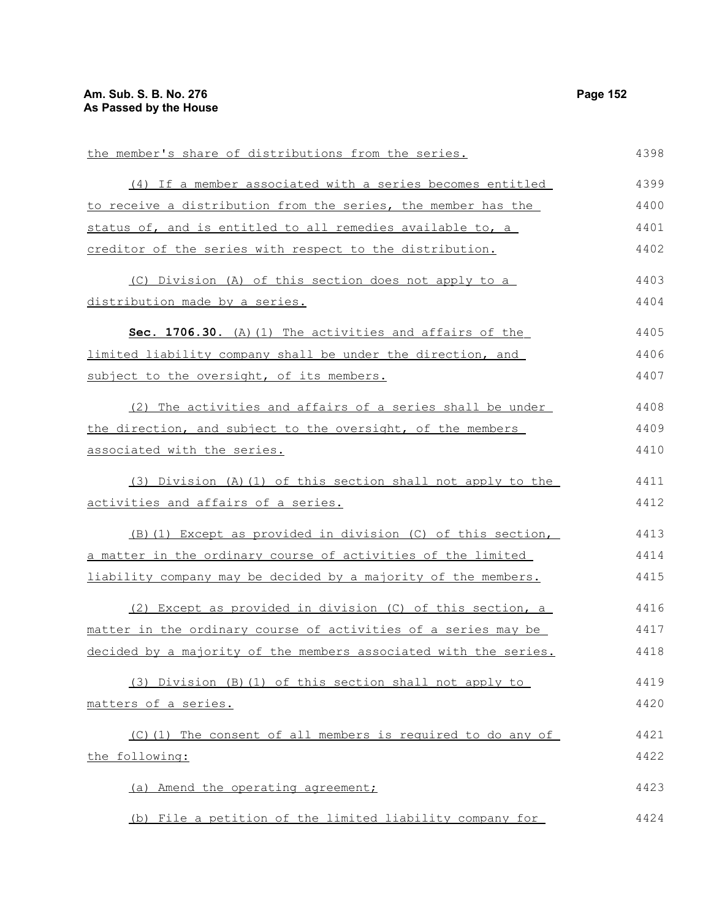| the member's share of distributions from the series.             | 4398 |
|------------------------------------------------------------------|------|
| (4) If a member associated with a series becomes entitled        | 4399 |
| to receive a distribution from the series, the member has the    | 4400 |
| status of, and is entitled to all remedies available to, a       | 4401 |
| creditor of the series with respect to the distribution.         | 4402 |
| (C) Division (A) of this section does not apply to a             | 4403 |
| distribution made by a series.                                   | 4404 |
| Sec. 1706.30. (A) (1) The activities and affairs of the          | 4405 |
| limited liability company shall be under the direction, and      | 4406 |
| subject to the oversight, of its members.                        | 4407 |
| (2) The activities and affairs of a series shall be under        | 4408 |
| the direction, and subject to the oversight, of the members      | 4409 |
| associated with the series.                                      | 4410 |
| (3) Division (A) (1) of this section shall not apply to the      | 4411 |
| activities and affairs of a series.                              | 4412 |
| (B) (1) Except as provided in division (C) of this section,      | 4413 |
| a matter in the ordinary course of activities of the limited     | 4414 |
| liability company may be decided by a majority of the members.   | 4415 |
| (2) Except as provided in division (C) of this section, a        | 4416 |
| matter in the ordinary course of activities of a series may be   | 4417 |
| decided by a majority of the members associated with the series. | 4418 |
| (3) Division (B)(1) of this section shall not apply to           | 4419 |
| matters of a series.                                             | 4420 |
| (C)(1) The consent of all members is required to do any of       | 4421 |
| the following:                                                   | 4422 |
| (a) Amend the operating agreement;                               | 4423 |
| (b) File a petition of the limited liability company for         | 4424 |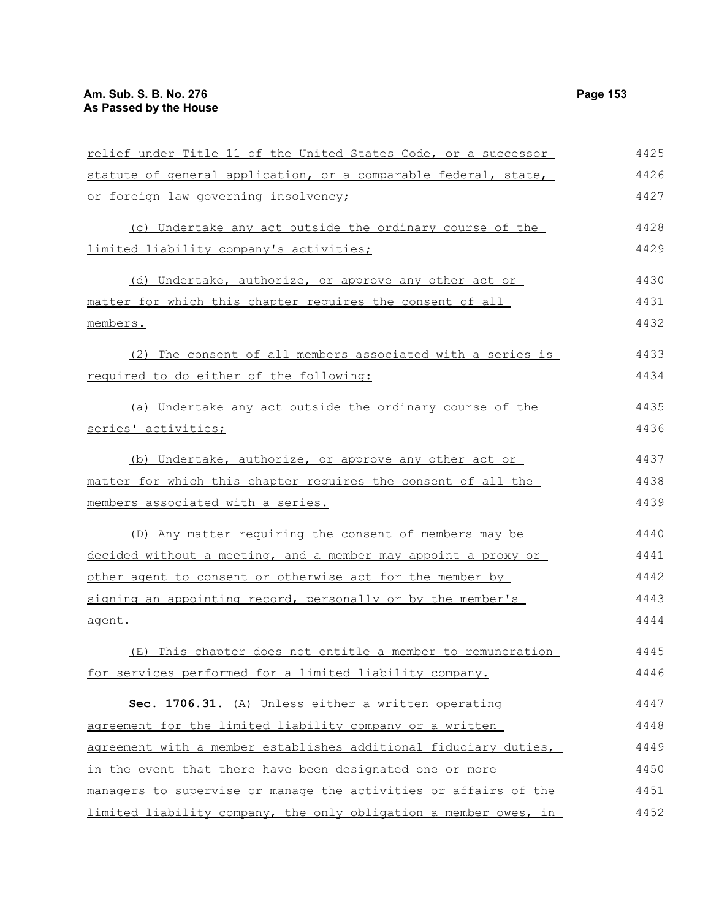| relief under Title 11 of the United States Code, or a successor  | 4425 |
|------------------------------------------------------------------|------|
| statute of general application, or a comparable federal, state,  | 4426 |
| or foreign law governing insolvency;                             | 4427 |
| (c) Undertake any act outside the ordinary course of the         | 4428 |
| limited liability company's activities;                          | 4429 |
| (d) Undertake, authorize, or approve any other act or            | 4430 |
| matter for which this chapter requires the consent of all        | 4431 |
| members.                                                         | 4432 |
| (2) The consent of all members associated with a series is       | 4433 |
| required to do either of the following:                          | 4434 |
| (a) Undertake any act outside the ordinary course of the         | 4435 |
| series' activities;                                              | 4436 |
| (b) Undertake, authorize, or approve any other act or            | 4437 |
| matter for which this chapter requires the consent of all the    | 4438 |
| members associated with a series.                                | 4439 |
| (D) Any matter requiring the consent of members may be           | 4440 |
| decided without a meeting, and a member may appoint a proxy or   | 4441 |
| other agent to consent or otherwise act for the member by        | 4442 |
| signing an appointing record, personally or by the member's      | 4443 |
| agent.                                                           | 4444 |
| (E) This chapter does not entitle a member to remuneration       | 4445 |
| for services performed for a limited liability company.          | 4446 |
| Sec. 1706.31. (A) Unless either a written operating              | 4447 |
| agreement for the limited liability company or a written         | 4448 |
| agreement with a member establishes additional fiduciary duties, | 4449 |
| in the event that there have been designated one or more         | 4450 |
| managers to supervise or manage the activities or affairs of the | 4451 |
| limited liability company, the only obligation a member owes, in | 4452 |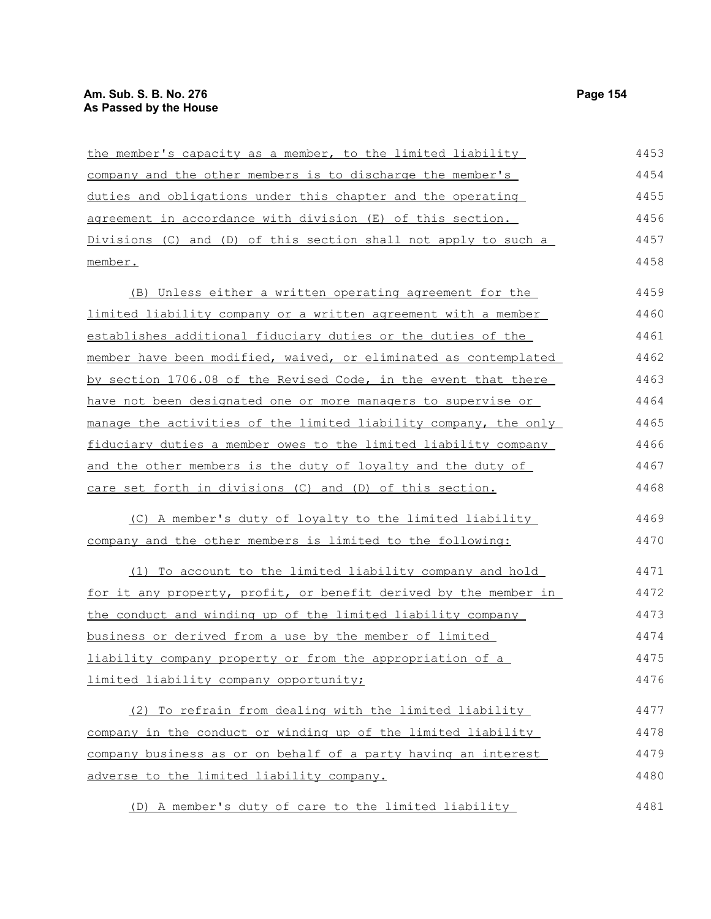| the member's capacity as a member, to the limited liability             | 4453 |
|-------------------------------------------------------------------------|------|
| company and the other members is to discharge the member's              | 4454 |
| duties and obligations under this chapter and the operating             | 4455 |
| agreement in accordance with division (E) of this section.              | 4456 |
| Divisions (C) and (D) of this section shall not apply to such a         | 4457 |
| member.                                                                 | 4458 |
| (B) Unless either a written operating agreement for the                 | 4459 |
| limited liability company or a written agreement with a member          | 4460 |
| establishes additional fiduciary duties or the duties of the            | 4461 |
| member have been modified, waived, or eliminated as contemplated        | 4462 |
| by section 1706.08 of the Revised Code, in the event that there         | 4463 |
| have not been designated one or more managers to supervise or           | 4464 |
| manage the activities of the limited liability company, the only        | 4465 |
| fiduciary duties a member owes to the limited liability company         | 4466 |
| and the other members is the duty of loyalty and the duty of            | 4467 |
| care set forth in divisions (C) and (D) of this section.                | 4468 |
| (C) A member's duty of loyalty to the limited liability                 | 4469 |
| company and the other members is limited to the following:              | 4470 |
| (1) To account to the limited liability company and hold                | 4471 |
| <u>for it any property, profit, or benefit derived by the member in</u> | 4472 |
| the conduct and winding up of the limited liability company             | 4473 |
| business or derived from a use by the member of limited                 | 4474 |
| liability company property or from the appropriation of a               | 4475 |
| limited liability company opportunity;                                  | 4476 |
| (2) To refrain from dealing with the limited liability                  | 4477 |
| company in the conduct or winding up of the limited liability           | 4478 |
| company business as or on behalf of a party having an interest          | 4479 |
| adverse to the limited liability company.                               | 4480 |
| (D) A member's duty of care to the limited liability                    | 4481 |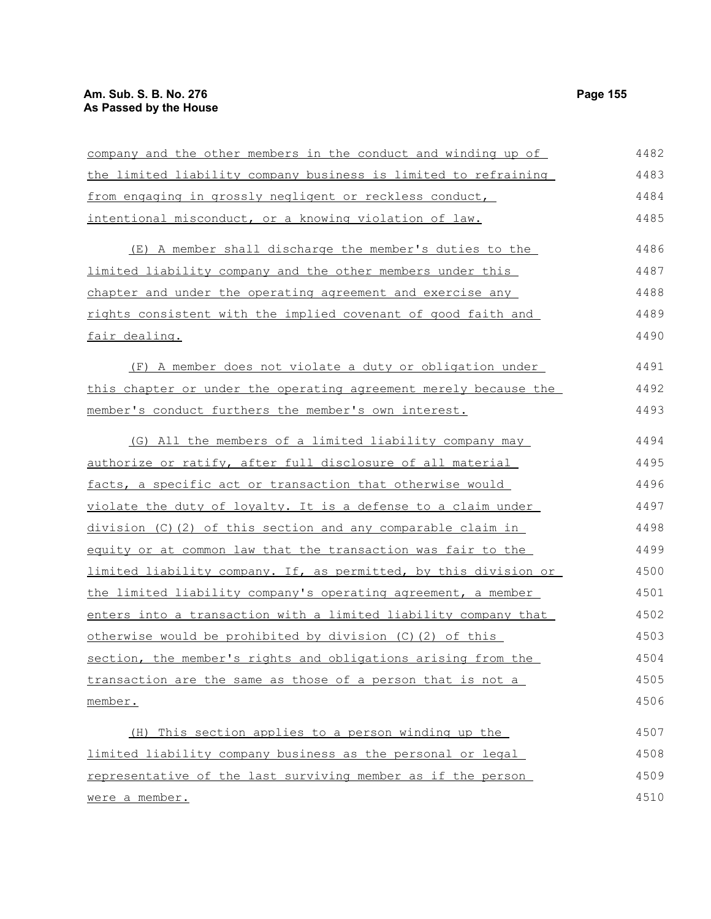# **Am. Sub. S. B. No. 276 Page 155 As Passed by the House**

| company and the other members in the conduct and winding up of   | 4482 |
|------------------------------------------------------------------|------|
| the limited liability company business is limited to refraining  | 4483 |
| from engaging in grossly negligent or reckless conduct,          | 4484 |
| intentional misconduct, or a knowing violation of law.           | 4485 |
| (E) A member shall discharge the member's duties to the          | 4486 |
| limited liability company and the other members under this       | 4487 |
| chapter and under the operating agreement and exercise any       | 4488 |
| rights consistent with the implied covenant of good faith and    | 4489 |
| fair dealing.                                                    | 4490 |
| (F) A member does not violate a duty or obligation under         | 4491 |
| this chapter or under the operating agreement merely because the | 4492 |
| member's conduct furthers the member's own interest.             | 4493 |
| (G) All the members of a limited liability company may           | 4494 |
| authorize or ratify, after full disclosure of all material       | 4495 |
| facts, a specific act or transaction that otherwise would        | 4496 |
| violate the duty of loyalty. It is a defense to a claim under    | 4497 |
| $division (C) (2) of this section and any comparable claim in$   | 4498 |
| equity or at common law that the transaction was fair to the     | 4499 |
| limited liability company. If, as permitted, by this division or | 4500 |
| the limited liability company's operating agreement, a member    | 4501 |
| enters into a transaction with a limited liability company that  | 4502 |
| otherwise would be prohibited by division (C) (2) of this        | 4503 |
| section, the member's rights and obligations arising from the    | 4504 |
| transaction are the same as those of a person that is not a      | 4505 |
| member.                                                          | 4506 |
| (H) This section applies to a person winding up the              | 4507 |
| limited liability company business as the personal or legal      | 4508 |
| representative of the last surviving member as if the person     | 4509 |
| were a member.                                                   | 4510 |

were a member.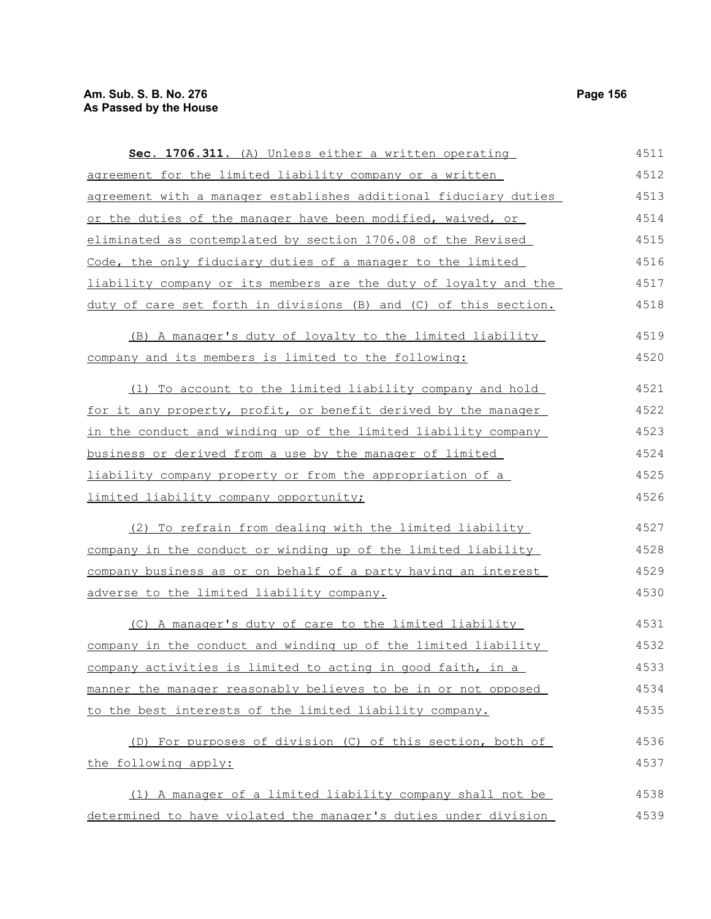Sec. 1706.311. (A) Unless either a written operating agreement for the limited liability company or a written 4511 4512

| agreement with a manager establishes additional fiduciary duties                                 | 4513     |
|--------------------------------------------------------------------------------------------------|----------|
| or the duties of the manager have been modified, waived, or                                      | 4514     |
| eliminated as contemplated by section 1706.08 of the Revised                                     | 4515     |
| Code, the only fiduciary duties of a manager to the limited                                      | 4516     |
| liability company or its members are the duty of loyalty and the                                 | 4517     |
| duty of care set forth in divisions (B) and (C) of this section.                                 | 4518     |
| (B) A manager's duty of loyalty to the limited liability                                         | 4519     |
| company and its members is limited to the following:                                             | 4520     |
| (1) To account to the limited liability company and hold                                         | 4521     |
| for it any property, profit, or benefit derived by the manager                                   | 4522     |
| in the conduct and winding up of the limited liability company                                   | 4523     |
| business or derived from a use by the manager of limited                                         | 4524     |
| liability company property or from the appropriation of a                                        | 4525     |
| limited liability company opportunity;                                                           | 4526     |
| (2) To refrain from dealing with the limited liability                                           | 4527     |
| company in the conduct or winding up of the limited liability                                    | 4528     |
| company business as or on behalf of a party having an interest                                   | 4529     |
| adverse to the limited liability company.                                                        | 4530     |
| (C) A manager's duty of care to the limited liability                                            | 4531     |
| о се бројата се се селото на селото бранското се се остава селото на Бранската бранска календар. | $1 - 20$ |

company in the conduct and winding up of the limited liability company activities is limited to acting in good faith, in a manner the manager reasonably believes to be in or not opposed to the best interests of the limited liability company. 4532 4533 4534 4535

```
(D) For purposes of division (C) of this section, both of
the following apply:
                                                                           4536
                                                                           4537
```
(1) A manager of a limited liability company shall not be determined to have violated the manager's duties under division 4538 4539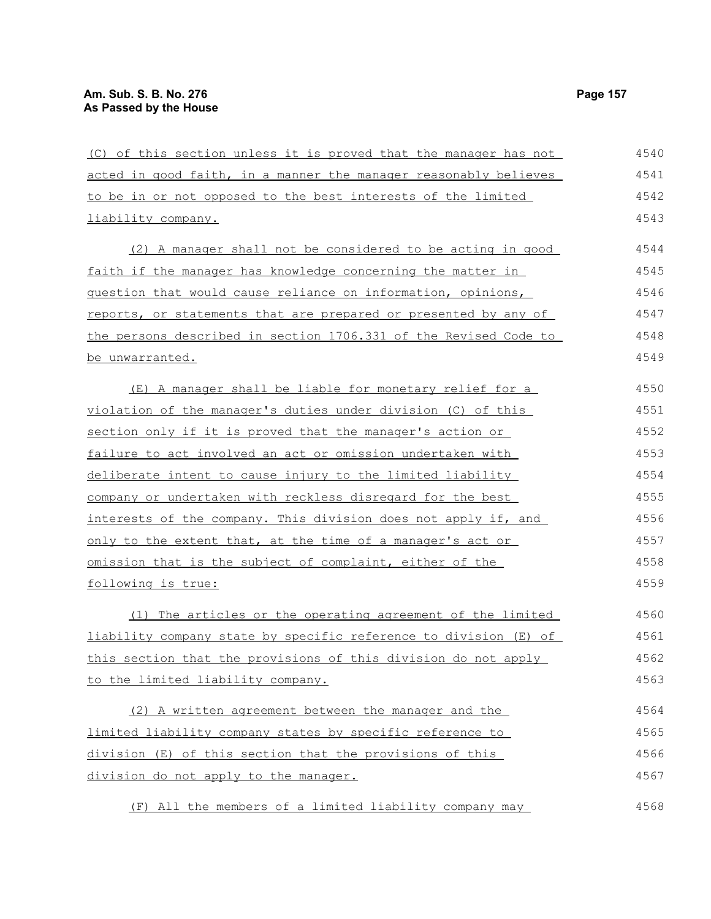(C) of this section unless it is proved that the manager has not acted in good faith, in a manner the manager reasonably believes to be in or not opposed to the best interests of the limited liability company. (2) A manager shall not be considered to be acting in good faith if the manager has knowledge concerning the matter in question that would cause reliance on information, opinions, reports, or statements that are prepared or presented by any of the persons described in section 1706.331 of the Revised Code to be unwarranted. (E) A manager shall be liable for monetary relief for a violation of the manager's duties under division (C) of this section only if it is proved that the manager's action or failure to act involved an act or omission undertaken with deliberate intent to cause injury to the limited liability company or undertaken with reckless disregard for the best interests of the company. This division does not apply if, and only to the extent that, at the time of a manager's act or omission that is the subject of complaint, either of the following is true: (1) The articles or the operating agreement of the limited liability company state by specific reference to division (E) of this section that the provisions of this division do not apply to the limited liability company. (2) A written agreement between the manager and the limited liability company states by specific reference to division (E) of this section that the provisions of this division do not apply to the manager. (F) All the members of a limited liability company may 4540 4541 4542 4543 4544 4545 4546 4547 4548 4549 4550 4551 4552 4553 4554 4555 4556 4557 4558 4559 4560 4561 4562 4563 4564 4565 4566 4567 4568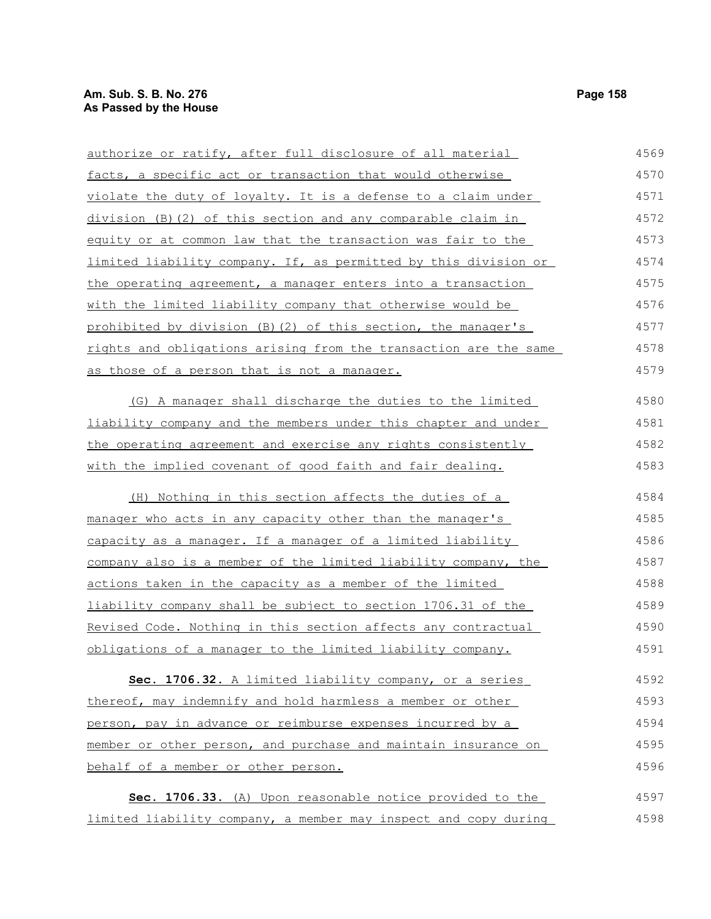| authorize or ratify, after full disclosure of all material        | 4569 |
|-------------------------------------------------------------------|------|
| facts, a specific act or transaction that would otherwise         | 4570 |
| violate the duty of loyalty. It is a defense to a claim under     | 4571 |
| division (B) (2) of this section and any comparable claim in      | 4572 |
| equity or at common law that the transaction was fair to the      | 4573 |
| limited liability company. If, as permitted by this division or   | 4574 |
| the operating agreement, a manager enters into a transaction      | 4575 |
| with the limited liability company that otherwise would be        | 4576 |
| prohibited by division (B) (2) of this section, the manager's     | 4577 |
| rights and obligations arising from the transaction are the same  | 4578 |
| as those of a person that is not a manager.                       | 4579 |
| (G) A manager shall discharge the duties to the limited           | 4580 |
| liability company and the members under this chapter and under    | 4581 |
| the operating agreement and exercise any rights consistently      | 4582 |
| with the implied covenant of good faith and fair dealing.         | 4583 |
| (H) Nothing in this section affects the duties of a               | 4584 |
| manager who acts in any capacity other than the manager's         | 4585 |
| capacity as a manager. If a manager of a limited liability        | 4586 |
| company also is a member of the limited liability company, the    | 4587 |
| actions taken in the capacity as a member of the limited          | 4588 |
| liability company shall be subject to section 1706.31 of the      | 4589 |
| Revised Code. Nothing in this section affects any contractual     | 4590 |
| <u>obligations of a manager to the limited liability company.</u> | 4591 |
| Sec. 1706.32. A limited liability company, or a series            | 4592 |
| thereof, may indemnify and hold harmless a member or other        | 4593 |
| person, pay in advance or reimburse expenses incurred by a        | 4594 |
| member or other person, and purchase and maintain insurance on    | 4595 |
| behalf of a member or other person.                               | 4596 |
| Sec. 1706.33. (A) Upon reasonable notice provided to the          | 4597 |
| limited liability company, a member may inspect and copy during   | 4598 |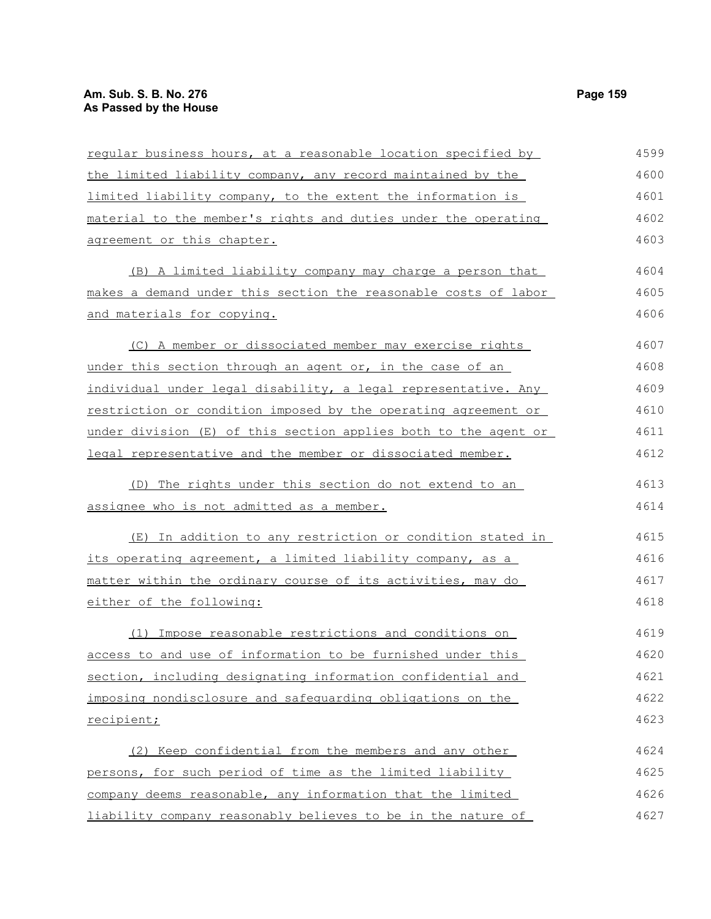| reqular business hours, at a reasonable location specified by   | 4599 |
|-----------------------------------------------------------------|------|
| the limited liability company, any record maintained by the     | 4600 |
| limited liability company, to the extent the information is     | 4601 |
| material to the member's rights and duties under the operating  | 4602 |
| agreement or this chapter.                                      | 4603 |
| (B) A limited liability company may charge a person that        | 4604 |
| makes a demand under this section the reasonable costs of labor | 4605 |
| and materials for copying.                                      | 4606 |
| (C) A member or dissociated member may exercise rights          | 4607 |
| under this section through an agent or, in the case of an       | 4608 |
| individual under legal disability, a legal representative. Any  | 4609 |
| restriction or condition imposed by the operating agreement or  | 4610 |
| under division (E) of this section applies both to the agent or | 4611 |
| legal representative and the member or dissociated member.      | 4612 |
| (D) The rights under this section do not extend to an           | 4613 |
| assignee who is not admitted as a member.                       | 4614 |
| (E) In addition to any restriction or condition stated in       | 4615 |
| its operating agreement, a limited liability company, as a      | 4616 |
| matter within the ordinary course of its activities, may do     | 4617 |
| either of the following:                                        | 4618 |
| Impose reasonable restrictions and conditions on<br>(1)         | 4619 |
| access to and use of information to be furnished under this     | 4620 |
| section, including designating information confidential and     | 4621 |
| imposing nondisclosure and safequarding obligations on the      | 4622 |
| recipient;                                                      | 4623 |
| (2) Keep confidential from the members and any other            | 4624 |
| persons, for such period of time as the limited liability       | 4625 |
| company deems reasonable, any information that the limited      | 4626 |
| liability company reasonably believes to be in the nature of    | 4627 |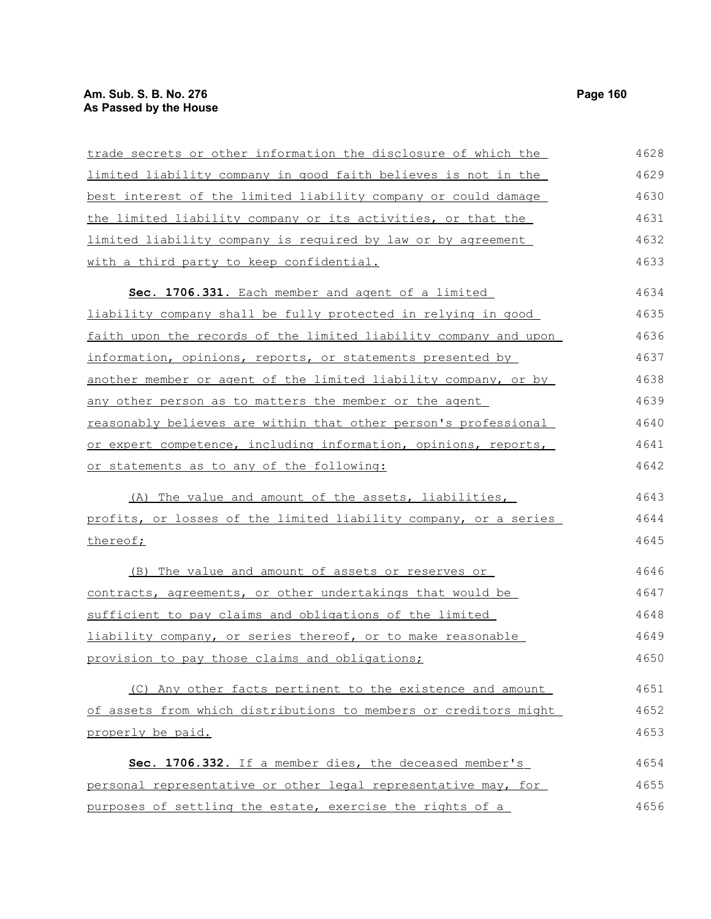# **Am. Sub. S. B. No. 276** Page 160 **As Passed by the House**

| trade secrets or other information the disclosure of which the   | 4628 |
|------------------------------------------------------------------|------|
| limited liability company in good faith believes is not in the   | 4629 |
| best interest of the limited liability company or could damage   | 4630 |
| the limited liability company or its activities, or that the     | 4631 |
| limited liability company is required by law or by agreement     | 4632 |
| with a third party to keep confidential.                         | 4633 |
| Sec. 1706.331. Each member and agent of a limited                | 4634 |
| liability company shall be fully protected in relying in good    | 4635 |
| faith upon the records of the limited liability company and upon | 4636 |
| information, opinions, reports, or statements presented by       | 4637 |
| another member or agent of the limited liability company, or by  | 4638 |
| any other person as to matters the member or the agent           | 4639 |
| reasonably believes are within that other person's professional  | 4640 |
| or expert competence, including information, opinions, reports,  | 4641 |
| or statements as to any of the following:                        | 4642 |
| (A) The value and amount of the assets, liabilities,             | 4643 |
| profits, or losses of the limited liability company, or a series | 4644 |
| thereof;                                                         | 4645 |
| (B) The value and amount of assets or reserves or                | 4646 |
| contracts, agreements, or other undertakings that would be       | 4647 |
| sufficient to pay claims and obligations of the limited          | 4648 |
| liability company, or series thereof, or to make reasonable      | 4649 |
| provision to pay those claims and obligations;                   | 4650 |
| (C) Any other facts pertinent to the existence and amount        | 4651 |
| of assets from which distributions to members or creditors might | 4652 |
| properly be paid.                                                | 4653 |
| Sec. 1706.332. If a member dies, the deceased member's           | 4654 |
| personal representative or other legal representative may, for   | 4655 |
| purposes of settling the estate, exercise the rights of a        | 4656 |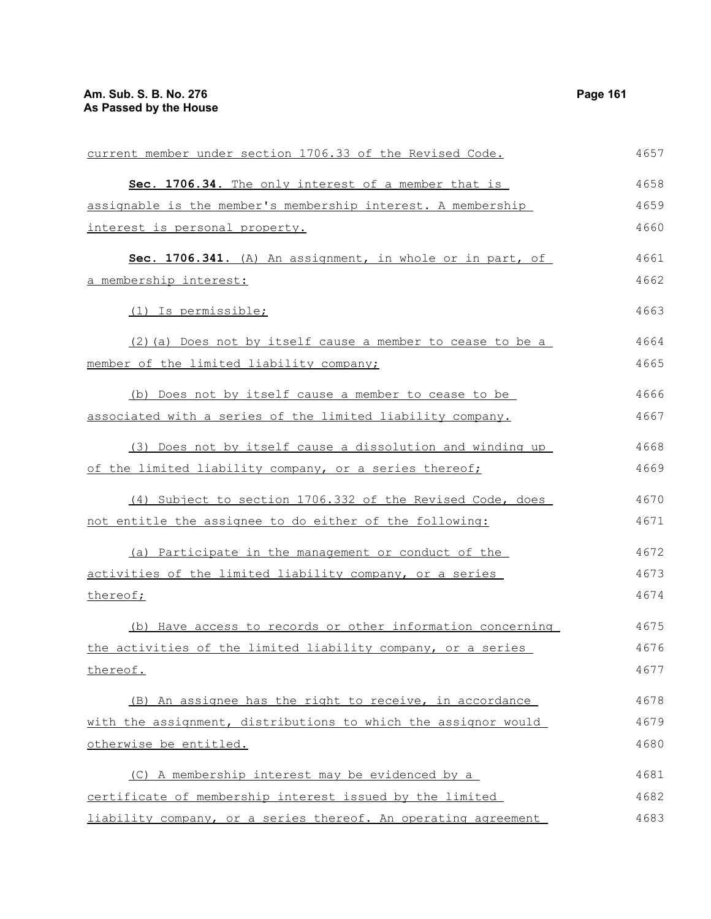| current member under section 1706.33 of the Revised Code.      | 4657 |
|----------------------------------------------------------------|------|
| Sec. 1706.34. The only interest of a member that is            | 4658 |
| assignable is the member's membership interest. A membership   | 4659 |
| interest is personal property.                                 | 4660 |
| Sec. 1706.341. (A) An assignment, in whole or in part, of      | 4661 |
| a membership interest:                                         | 4662 |
| (1) Is permissible;                                            | 4663 |
| (2) (a) Does not by itself cause a member to cease to be a     | 4664 |
| member of the limited liability company;                       | 4665 |
| (b) Does not by itself cause a member to cease to be           | 4666 |
| associated with a series of the limited liability company.     | 4667 |
| (3) Does not by itself cause a dissolution and winding up      | 4668 |
| of the limited liability company, or a series thereof;         | 4669 |
| (4) Subject to section 1706.332 of the Revised Code, does      | 4670 |
| not entitle the assignee to do either of the following:        | 4671 |
| (a) Participate in the management or conduct of the            | 4672 |
| activities of the limited liability company, or a series       | 4673 |
| thereof;                                                       | 4674 |
| (b) Have access to records or other information concerning     | 4675 |
| the activities of the limited liability company, or a series   | 4676 |
| thereof.                                                       | 4677 |
| (B) An assignee has the right to receive, in accordance        | 4678 |
| with the assignment, distributions to which the assignor would | 4679 |
| otherwise be entitled.                                         | 4680 |
| (C) A membership interest may be evidenced by a                | 4681 |
| certificate of membership interest issued by the limited       | 4682 |
| liability company, or a series thereof. An operating agreement | 4683 |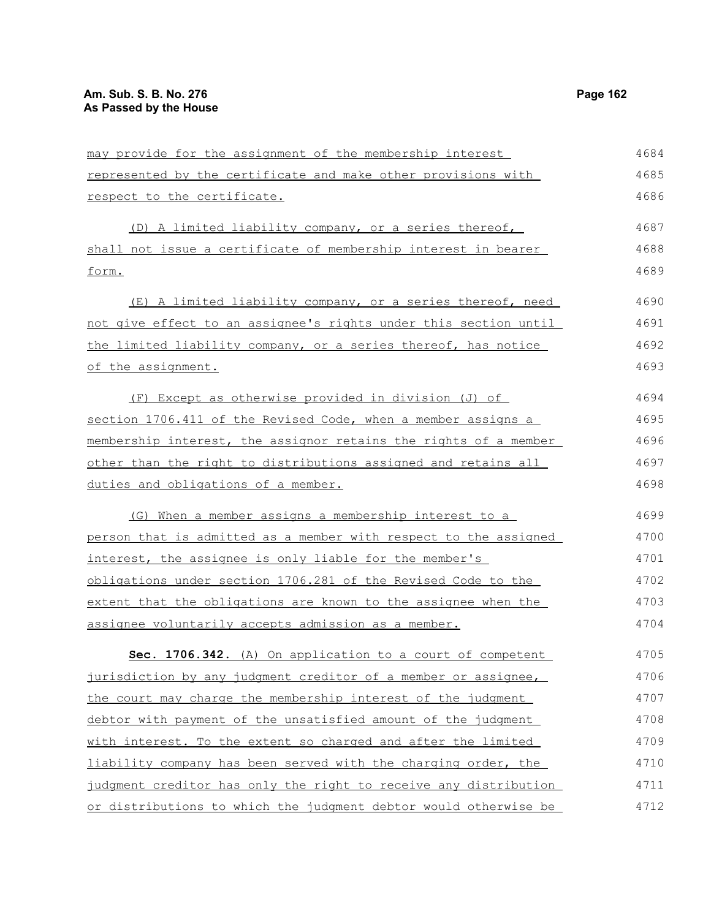| may provide for the assignment of the membership interest        | 4684 |
|------------------------------------------------------------------|------|
| represented by the certificate and make other provisions with    | 4685 |
| respect to the certificate.                                      | 4686 |
| (D) A limited liability company, or a series thereof,            | 4687 |
| shall not issue a certificate of membership interest in bearer   | 4688 |
| form.                                                            | 4689 |
| (E) A limited liability company, or a series thereof, need       | 4690 |
| not give effect to an assignee's rights under this section until | 4691 |
| the limited liability company, or a series thereof, has notice   | 4692 |
| of the assignment.                                               | 4693 |
| (F) Except as otherwise provided in division (J) of              | 4694 |
| section 1706.411 of the Revised Code, when a member assigns a    | 4695 |
| membership interest, the assignor retains the rights of a member | 4696 |
| other than the right to distributions assigned and retains all   | 4697 |
| duties and obligations of a member.                              | 4698 |
| (G) When a member assigns a membership interest to a             | 4699 |
| person that is admitted as a member with respect to the assigned | 4700 |
| interest, the assignee is only liable for the member's           | 4701 |
| obligations under section 1706.281 of the Revised Code to the    | 4702 |
| extent that the obligations are known to the assignee when the   | 4703 |
| assignee voluntarily accepts admission as a member.              | 4704 |
| Sec. 1706.342. (A) On application to a court of competent        | 4705 |
| jurisdiction by any judgment creditor of a member or assignee,   | 4706 |
| the court may charge the membership interest of the judgment     | 4707 |
| debtor with payment of the unsatisfied amount of the judgment    | 4708 |
| with interest. To the extent so charged and after the limited    | 4709 |
| liability company has been served with the charging order, the   | 4710 |
| judgment creditor has only the right to receive any distribution | 4711 |
| or distributions to which the judgment debtor would otherwise be | 4712 |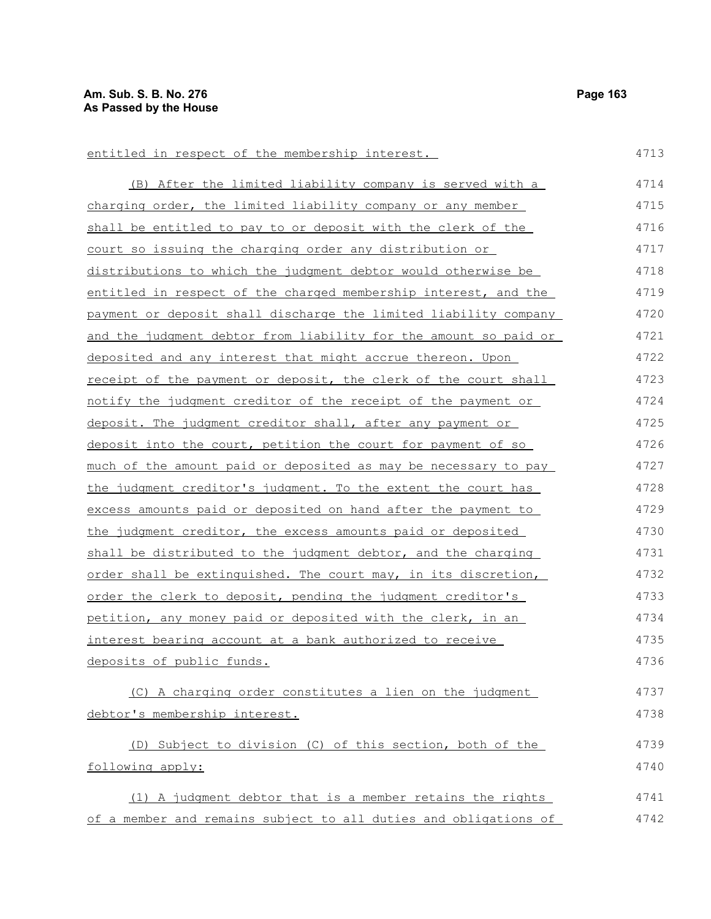| entitled in respect of the membership interest.                        | 4713 |
|------------------------------------------------------------------------|------|
| (B) After the limited liability company is served with a               | 4714 |
| charging order, the limited liability company or any member            | 4715 |
| shall be entitled to pay to or deposit with the clerk of the           | 4716 |
| court so issuing the charging order any distribution or                | 4717 |
| distributions to which the judgment debtor would otherwise be          | 4718 |
| <u>entitled in respect of the charged membership interest, and the</u> | 4719 |
| payment or deposit shall discharge the limited liability company       | 4720 |
| and the judgment debtor from liability for the amount so paid or       | 4721 |
| deposited and any interest that might accrue thereon. Upon             | 4722 |
| <u>receipt of the payment or deposit, the clerk of the court shall</u> | 4723 |
| notify the judgment creditor of the receipt of the payment or          | 4724 |
| deposit. The judgment creditor shall, after any payment or             | 4725 |
| deposit into the court, petition the court for payment of so           | 4726 |
| much of the amount paid or deposited as may be necessary to pay        | 4727 |
| the judgment creditor's judgment. To the extent the court has          | 4728 |
| excess amounts paid or deposited on hand after the payment to          | 4729 |
| the judgment creditor, the excess amounts paid or deposited            | 4730 |
| shall be distributed to the judgment debtor, and the charging          | 4731 |
| order shall be extinguished. The court may, in its discretion,         | 4732 |
| order the clerk to deposit, pending the judgment creditor's            | 4733 |
| petition, any money paid or deposited with the clerk, in an            | 4734 |
| <u>interest bearing account at a bank authorized to receive</u>        | 4735 |
| deposits of public funds.                                              | 4736 |
| (C) A charging order constitutes a lien on the judgment                | 4737 |
| debtor's membership interest.                                          | 4738 |
| (D) Subject to division (C) of this section, both of the               | 4739 |
| following apply:                                                       | 4740 |
| (1) A judgment debtor that is a member retains the rights              | 4741 |
| of a member and remains subject to all duties and obligations of       | 4742 |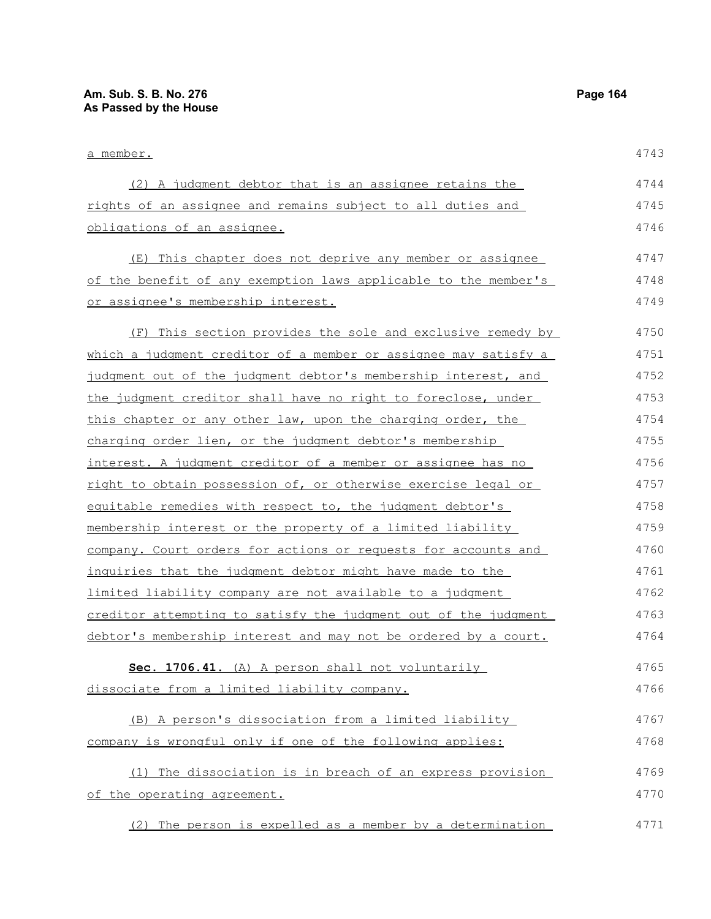| a member.                                                       | 4743 |
|-----------------------------------------------------------------|------|
| (2) A judgment debtor that is an assignee retains the           | 4744 |
| rights of an assignee and remains subject to all duties and     | 4745 |
| obligations of an assignee.                                     | 4746 |
| (E) This chapter does not deprive any member or assignee        | 4747 |
| of the benefit of any exemption laws applicable to the member's | 4748 |
| or assignee's membership interest.                              | 4749 |
| (F) This section provides the sole and exclusive remedy by      | 4750 |
| which a judgment creditor of a member or assignee may satisfy a | 4751 |
| judgment out of the judgment debtor's membership interest, and  | 4752 |
| the judgment creditor shall have no right to foreclose, under   | 4753 |
| this chapter or any other law, upon the charging order, the     | 4754 |
| charging order lien, or the judgment debtor's membership        | 4755 |
| interest. A judgment creditor of a member or assignee has no    | 4756 |
| right to obtain possession of, or otherwise exercise legal or   | 4757 |
| equitable remedies with respect to, the judgment debtor's       | 4758 |
| membership interest or the property of a limited liability      | 4759 |
| company. Court orders for actions or requests for accounts and  | 4760 |
| inquiries that the judgment debtor might have made to the       | 4761 |
| limited liability company are not available to a judgment       | 4762 |
| creditor attempting to satisfy the judgment out of the judgment | 4763 |
| debtor's membership interest and may not be ordered by a court. | 4764 |
| Sec. 1706.41. (A) A person shall not voluntarily                | 4765 |
| dissociate from a limited liability company.                    | 4766 |
| (B) A person's dissociation from a limited liability            | 4767 |
| company is wrongful only if one of the following applies:       | 4768 |
| (1) The dissociation is in breach of an express provision       | 4769 |
| of the operating agreement.                                     | 4770 |
| (2) The person is expelled as a member by a determination       | 4771 |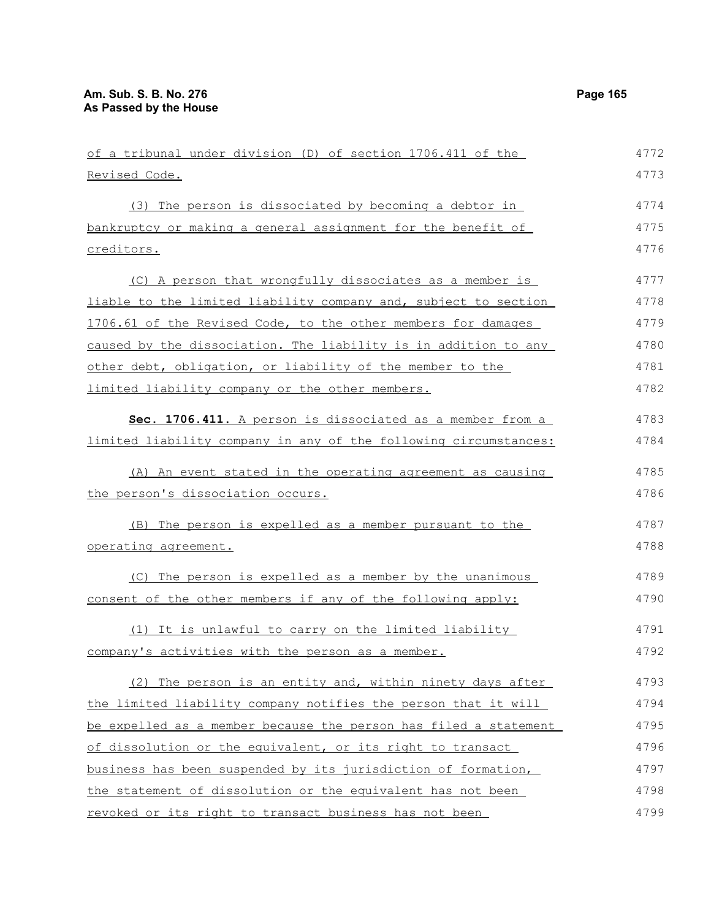| of a tribunal under division (D) of section 1706.411 of the      | 4772 |
|------------------------------------------------------------------|------|
| Revised Code.                                                    | 4773 |
| (3) The person is dissociated by becoming a debtor in            | 4774 |
| bankruptcy or making a general assignment for the benefit of     | 4775 |
| creditors.                                                       | 4776 |
| (C) A person that wrongfully dissociates as a member is          | 4777 |
| liable to the limited liability company and, subject to section  | 4778 |
| 1706.61 of the Revised Code, to the other members for damages    | 4779 |
| caused by the dissociation. The liability is in addition to any  | 4780 |
| other debt, obligation, or liability of the member to the        | 4781 |
| limited liability company or the other members.                  | 4782 |
| Sec. 1706.411. A person is dissociated as a member from a        | 4783 |
| limited liability company in any of the following circumstances: | 4784 |
| (A) An event stated in the operating agreement as causing        | 4785 |
| the person's dissociation occurs.                                | 4786 |
| (B) The person is expelled as a member pursuant to the           | 4787 |
| <u>operating agreement.</u>                                      | 4788 |
| (C) The person is expelled as a member by the unanimous          | 4789 |
| consent of the other members if any of the following apply:      | 4790 |
| (1) It is unlawful to carry on the limited liability             | 4791 |
| company's activities with the person as a member.                | 4792 |
| (2) The person is an entity and, within ninety days after        | 4793 |
| the limited liability company notifies the person that it will   | 4794 |
| be expelled as a member because the person has filed a statement | 4795 |
| of dissolution or the equivalent, or its right to transact       | 4796 |
| business has been suspended by its jurisdiction of formation,    | 4797 |
| the statement of dissolution or the equivalent has not been      | 4798 |
| revoked or its right to transact business has not been           | 4799 |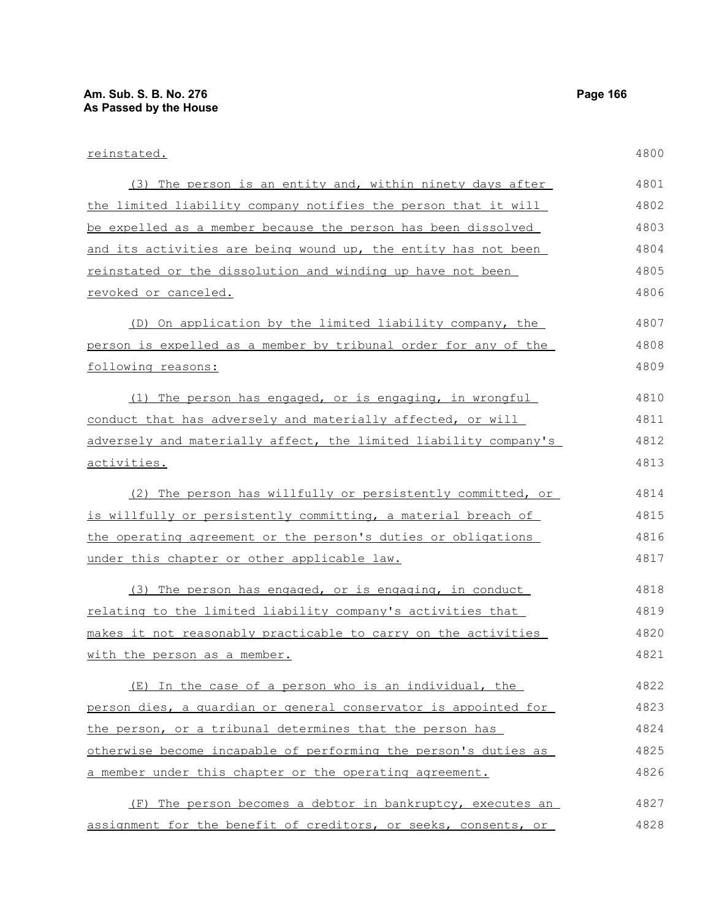| reinstated.                                                      | 4800 |
|------------------------------------------------------------------|------|
| (3) The person is an entity and, within ninety days after        | 4801 |
| the limited liability company notifies the person that it will   | 4802 |
| be expelled as a member because the person has been dissolved    | 4803 |
| and its activities are being wound up, the entity has not been   | 4804 |
| reinstated or the dissolution and winding up have not been       | 4805 |
| revoked or canceled.                                             | 4806 |
| (D) On application by the limited liability company, the         | 4807 |
| person is expelled as a member by tribunal order for any of the  | 4808 |
| following reasons:                                               | 4809 |
| (1) The person has engaged, or is engaging, in wrongful          | 4810 |
| conduct that has adversely and materially affected, or will      | 4811 |
| adversely and materially affect, the limited liability company's | 4812 |
| activities.                                                      | 4813 |
| (2) The person has willfully or persistently committed, or       | 4814 |
| is willfully or persistently committing, a material breach of    | 4815 |
| the operating agreement or the person's duties or obligations    | 4816 |
| under this chapter or other applicable law.                      | 4817 |
| (3) The person has engaged, or is engaging, in conduct           | 4818 |
| relating to the limited liability company's activities that      | 4819 |
| makes it not reasonably practicable to carry on the activities   | 4820 |
| with the person as a member.                                     | 4821 |
| (E) In the case of a person who is an individual, the            | 4822 |
| person dies, a quardian or general conservator is appointed for  | 4823 |
| the person, or a tribunal determines that the person has         | 4824 |
| otherwise become incapable of performing the person's duties as  | 4825 |
| a member under this chapter or the operating agreement.          | 4826 |
| (F) The person becomes a debtor in bankruptcy, executes an       | 4827 |
| assignment for the benefit of creditors, or seeks, consents, or  | 4828 |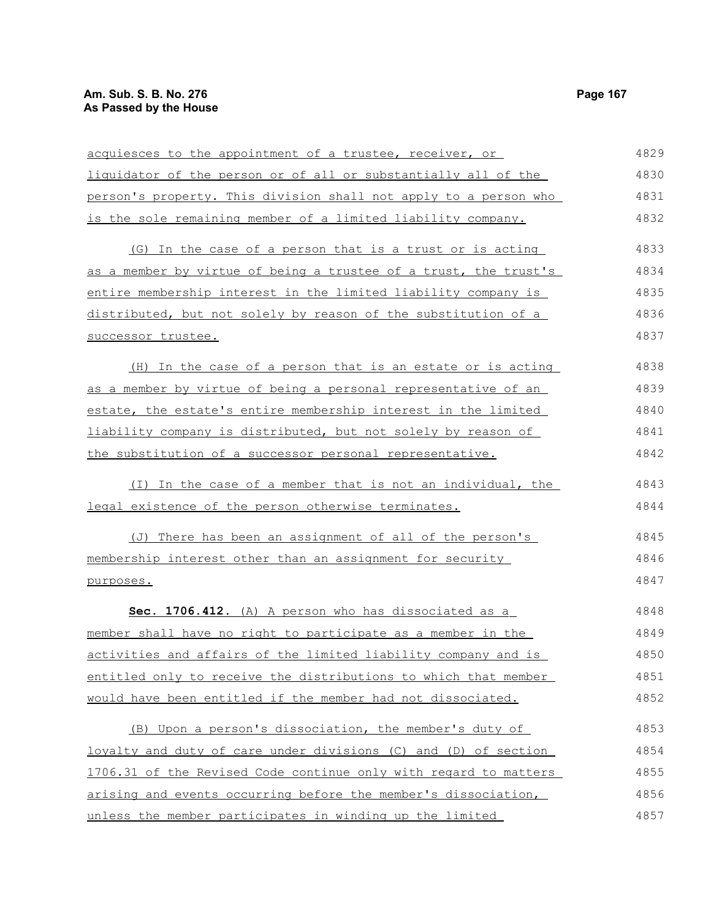### **Am. Sub. S. B. No. 276 Page 167** Page 167 **As Passed by the House**

acquiesces to the appointment of a trustee, receiver, or liquidator of the person or of all or substantially all of the person's property. This division shall not apply to a person who is the sole remaining member of a limited liability company. (G) In the case of a person that is a trust or is acting as a member by virtue of being a trustee of a trust, the trust's entire membership interest in the limited liability company is distributed, but not solely by reason of the substitution of a successor trustee. (H) In the case of a person that is an estate or is acting as a member by virtue of being a personal representative of an estate, the estate's entire membership interest in the limited liability company is distributed, but not solely by reason of the substitution of a successor personal representative. (I) In the case of a member that is not an individual, the legal existence of the person otherwise terminates. (J) There has been an assignment of all of the person's membership interest other than an assignment for security purposes. **Sec. 1706.412.** (A) A person who has dissociated as a member shall have no right to participate as a member in the activities and affairs of the limited liability company and is entitled only to receive the distributions to which that member would have been entitled if the member had not dissociated. (B) Upon a person's dissociation, the member's duty of loyalty and duty of care under divisions (C) and (D) of section 1706.31 of the Revised Code continue only with regard to matters arising and events occurring before the member's dissociation, unless the member participates in winding up the limited 4829 4830 4831 4832 4833 4834 4835 4836 4837 4838 4839 4840 4841 4842 4843 4844 4845 4846 4847 4848 4849 4850 4851 4852 4853 4854 4855 4856 4857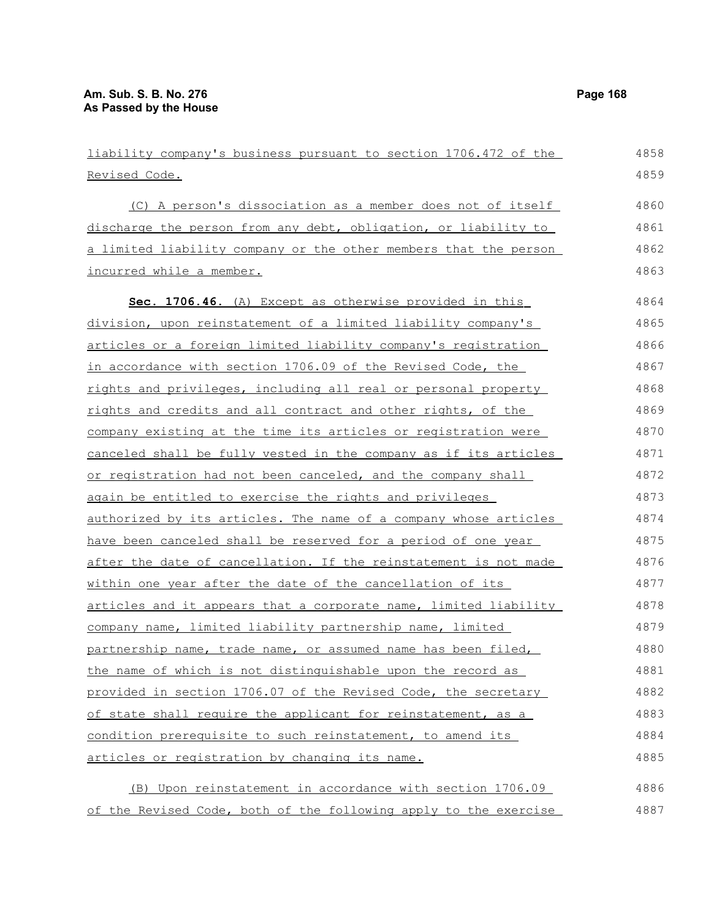| liability company's business pursuant to section 1706.472 of the | 4858 |
|------------------------------------------------------------------|------|
| Revised Code.                                                    | 4859 |
| (C) A person's dissociation as a member does not of itself       | 4860 |
| discharge the person from any debt, obligation, or liability to  | 4861 |
| a limited liability company or the other members that the person | 4862 |
| incurred while a member.                                         | 4863 |
| Sec. 1706.46. (A) Except as otherwise provided in this           | 4864 |
| division, upon reinstatement of a limited liability company's    | 4865 |
| articles or a foreign limited liability company's registration   | 4866 |
| in accordance with section 1706.09 of the Revised Code, the      | 4867 |
| rights and privileges, including all real or personal property   | 4868 |
| rights and credits and all contract and other rights, of the     | 4869 |
| company existing at the time its articles or registration were   | 4870 |
| canceled shall be fully vested in the company as if its articles | 4871 |
| or registration had not been canceled, and the company shall     | 4872 |
| again be entitled to exercise the rights and privileges          | 4873 |
| authorized by its articles. The name of a company whose articles | 4874 |
| have been canceled shall be reserved for a period of one year    | 4875 |
| after the date of cancellation. If the reinstatement is not made | 4876 |
| within one year after the date of the cancellation of its        | 4877 |
| articles and it appears that a corporate name, limited liability | 4878 |
| company name, limited liability partnership name, limited        | 4879 |
| partnership name, trade name, or assumed name has been filed,    | 4880 |
| the name of which is not distinguishable upon the record as      | 4881 |
| provided in section 1706.07 of the Revised Code, the secretary   | 4882 |
| of state shall require the applicant for reinstatement, as a     | 4883 |
| condition prerequisite to such reinstatement, to amend its       | 4884 |
| articles or registration by changing its name.                   | 4885 |
| (B) Upon reinstatement in accordance with section 1706.09        | 4886 |
| of the Revised Code, both of the following apply to the exercise | 4887 |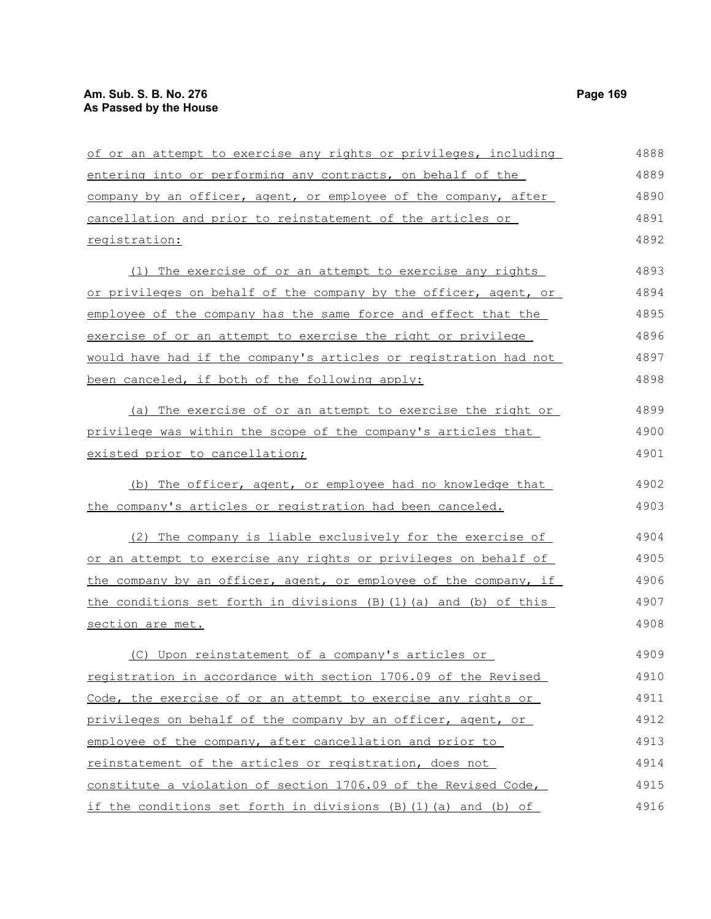| of or an attempt to exercise any rights or privileges, including      | 4888 |
|-----------------------------------------------------------------------|------|
| entering into or performing any contracts, on behalf of the           | 4889 |
| company by an officer, agent, or employee of the company, after       | 4890 |
| cancellation and prior to reinstatement of the articles or            | 4891 |
| registration:                                                         | 4892 |
| The exercise of or an attempt to exercise any rights<br>(1)           | 4893 |
| or privileges on behalf of the company by the officer, agent, or      | 4894 |
| employee of the company has the same force and effect that the        | 4895 |
| exercise of or an attempt to exercise the right or privilege          | 4896 |
| would have had if the company's articles or registration had not      | 4897 |
| been canceled, if both of the following apply:                        | 4898 |
| (a) The exercise of or an attempt to exercise the right or            | 4899 |
| privilege was within the scope of the company's articles that         | 4900 |
| existed prior to cancellation;                                        | 4901 |
| (b) The officer, agent, or employee had no knowledge that             | 4902 |
| the company's articles or registration had been canceled.             | 4903 |
| (2) The company is liable exclusively for the exercise of             | 4904 |
| or an attempt to exercise any rights or privileges on behalf of       | 4905 |
| the company by an officer, agent, or employee of the company, if      | 4906 |
| the conditions set forth in divisions $(B) (1) (a)$ and $(b)$ of this | 4907 |
| section are met.                                                      | 4908 |
| (C) Upon reinstatement of a company's articles or                     | 4909 |
| registration in accordance with section 1706.09 of the Revised        | 4910 |
| Code, the exercise of or an attempt to exercise any rights or         | 4911 |
| privileges on behalf of the company by an officer, agent, or          | 4912 |
| employee of the company, after cancellation and prior to              | 4913 |
| reinstatement of the articles or registration, does not               | 4914 |
| constitute a violation of section 1706.09 of the Revised Code,        | 4915 |
| if the conditions set forth in divisions (B)(1)(a) and (b) of         | 4916 |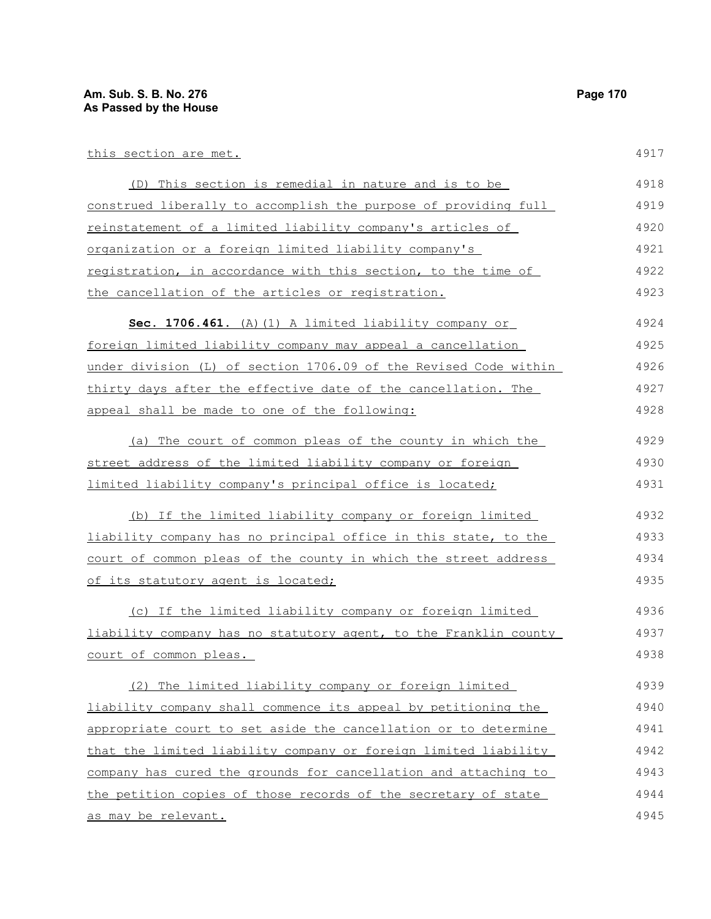| this section are met.                                            | 4917 |
|------------------------------------------------------------------|------|
| (D) This section is remedial in nature and is to be              | 4918 |
| construed liberally to accomplish the purpose of providing full  | 4919 |
| reinstatement of a limited liability company's articles of       | 4920 |
| organization or a foreign limited liability company's            | 4921 |
| registration, in accordance with this section, to the time of    | 4922 |
| the cancellation of the articles or registration.                | 4923 |
| Sec. 1706.461. (A) (1) A limited liability company or            | 4924 |
| foreign limited liability company may appeal a cancellation      | 4925 |
| under division (L) of section 1706.09 of the Revised Code within | 4926 |
| thirty days after the effective date of the cancellation. The    | 4927 |
| appeal shall be made to one of the following:                    | 4928 |
| (a) The court of common pleas of the county in which the         | 4929 |
| street address of the limited liability company or foreign       | 4930 |
| limited liability company's principal office is located;         | 4931 |
| (b) If the limited liability company or foreign limited          | 4932 |
| liability company has no principal office in this state, to the  | 4933 |
| court of common pleas of the county in which the street address  | 4934 |
| of its statutory agent is located;                               | 4935 |
| (c) If the limited liability company or foreign limited          | 4936 |
| liability company has no statutory agent, to the Franklin county | 4937 |
| court of common pleas.                                           | 4938 |
| (2) The limited liability company or foreign limited             | 4939 |
| liability company shall commence its appeal by petitioning the   | 4940 |
| appropriate court to set aside the cancellation or to determine  | 4941 |
| that the limited liability company or foreign limited liability  | 4942 |
| company has cured the grounds for cancellation and attaching to  | 4943 |
| the petition copies of those records of the secretary of state   | 4944 |
| as may be relevant.                                              | 4945 |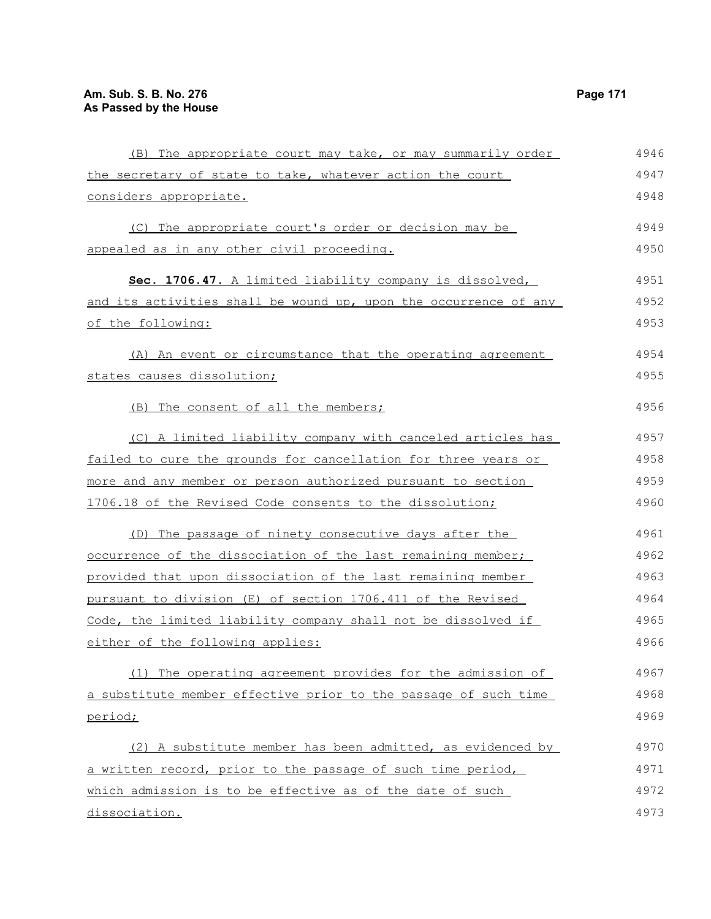| (B) The appropriate court may take, or may summarily order       | 4946 |
|------------------------------------------------------------------|------|
| the secretary of state to take, whatever action the court        | 4947 |
| considers appropriate.                                           | 4948 |
| (C) The appropriate court's order or decision may be             | 4949 |
| appealed as in any other civil proceeding.                       | 4950 |
| Sec. 1706.47. A limited liability company is dissolved,          | 4951 |
| and its activities shall be wound up, upon the occurrence of any | 4952 |
| of the following:                                                | 4953 |
| (A) An event or circumstance that the operating agreement        | 4954 |
| states causes dissolution;                                       | 4955 |
| (B) The consent of all the members;                              | 4956 |
| (C) A limited liability company with canceled articles has       | 4957 |
| failed to cure the grounds for cancellation for three years or   | 4958 |
| more and any member or person authorized pursuant to section     | 4959 |
| 1706.18 of the Revised Code consents to the dissolution;         | 4960 |
| (D) The passage of ninety consecutive days after the             | 4961 |
| occurrence of the dissociation of the last remaining member;     | 4962 |
| provided that upon dissociation of the last remaining member     | 4963 |
| pursuant to division (E) of section 1706.411 of the Revised      | 4964 |
| Code, the limited liability company shall not be dissolved if    | 4965 |
| either of the following applies:                                 | 4966 |
| (1) The operating agreement provides for the admission of        | 4967 |
| a substitute member effective prior to the passage of such time  | 4968 |
| period;                                                          | 4969 |
| (2) A substitute member has been admitted, as evidenced by       | 4970 |
| a written record, prior to the passage of such time period,      | 4971 |
| which admission is to be effective as of the date of such        | 4972 |
| dissociation.                                                    | 4973 |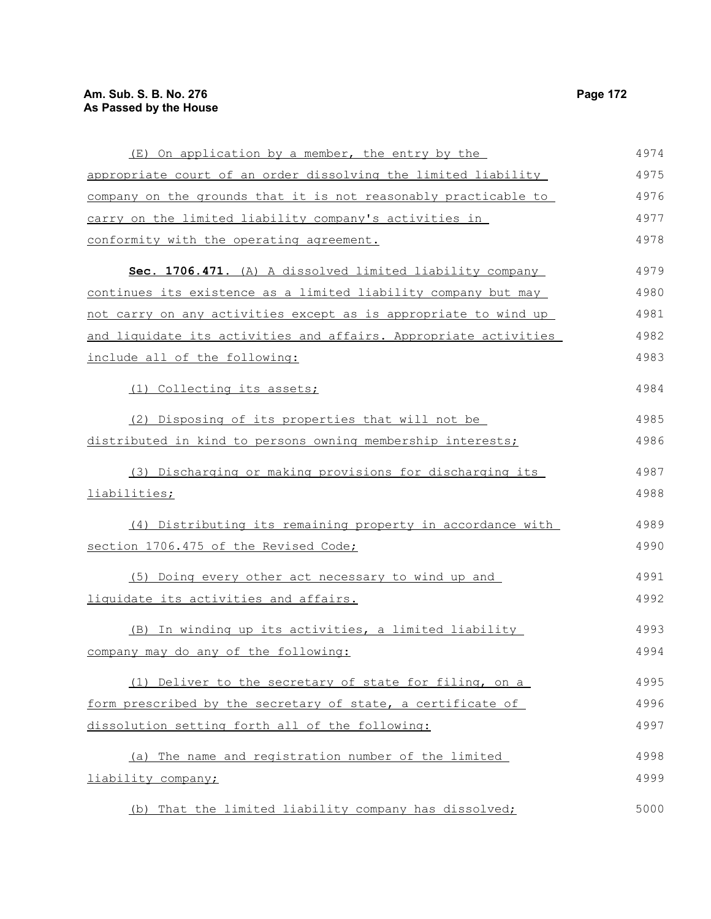# **Am. Sub. S. B. No. 276** Page 172 **As Passed by the House**

| (E) On application by a member, the entry by the                 | 4974 |
|------------------------------------------------------------------|------|
| appropriate court of an order dissolving the limited liability   | 4975 |
| company on the grounds that it is not reasonably practicable to  | 4976 |
| carry on the limited liability company's activities in           | 4977 |
| conformity with the operating agreement.                         | 4978 |
| Sec. 1706.471. (A) A dissolved limited liability company         | 4979 |
| continues its existence as a limited liability company but may   | 4980 |
| not carry on any activities except as is appropriate to wind up  | 4981 |
| and liquidate its activities and affairs. Appropriate activities | 4982 |
| include all of the following:                                    | 4983 |
| (1) Collecting its assets;                                       | 4984 |
| (2) Disposing of its properties that will not be                 | 4985 |
| distributed in kind to persons owning membership interests;      | 4986 |
| (3) Discharging or making provisions for discharging its         | 4987 |
| liabilities;                                                     | 4988 |
| (4) Distributing its remaining property in accordance with       | 4989 |
| section 1706.475 of the Revised Code;                            | 4990 |
| (5) Doing every other act necessary to wind up and               | 4991 |
| liquidate its activities and affairs.                            | 4992 |
| (B) In winding up its activities, a limited liability            | 4993 |
| company may do any of the following:                             | 4994 |
| (1) Deliver to the secretary of state for filing, on a           | 4995 |
| form prescribed by the secretary of state, a certificate of      | 4996 |
| dissolution setting forth all of the following:                  | 4997 |
| (a) The name and registration number of the limited              | 4998 |
| liability company;                                               | 4999 |
| (b) That the limited liability company has dissolved;            | 5000 |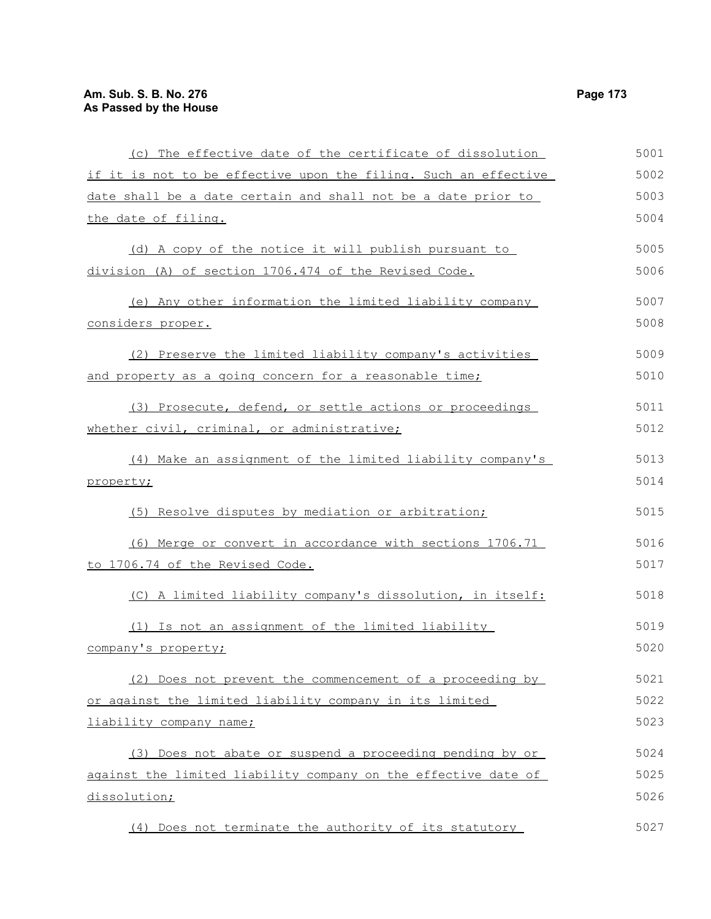| (c) The effective date of the certificate of dissolution        | 5001 |
|-----------------------------------------------------------------|------|
| if it is not to be effective upon the filing. Such an effective | 5002 |
| date shall be a date certain and shall not be a date prior to   | 5003 |
| the date of filing.                                             | 5004 |
| (d) A copy of the notice it will publish pursuant to            | 5005 |
| division (A) of section 1706.474 of the Revised Code.           | 5006 |
| (e) Any other information the limited liability company         | 5007 |
| considers proper.                                               | 5008 |
| (2) Preserve the limited liability company's activities         | 5009 |
| and property as a going concern for a reasonable time;          | 5010 |
| (3) Prosecute, defend, or settle actions or proceedings         | 5011 |
| whether civil, criminal, or administrative;                     | 5012 |
| (4) Make an assignment of the limited liability company's       | 5013 |
| property;                                                       | 5014 |
| (5) Resolve disputes by mediation or arbitration;               | 5015 |
| (6) Merge or convert in accordance with sections 1706.71        | 5016 |
| to 1706.74 of the Revised Code.                                 | 5017 |
| (C) A limited liability company's dissolution, in itself:       | 5018 |
| (1) Is not an assignment of the limited liability               | 5019 |
| company's property;                                             | 5020 |
| (2) Does not prevent the commencement of a proceeding by        | 5021 |
| or against the limited liability company in its limited         | 5022 |
| liability company name;                                         | 5023 |
| (3) Does not abate or suspend a proceeding pending by or        | 5024 |
| against the limited liability company on the effective date of  | 5025 |
| dissolution;                                                    | 5026 |
| (4) Does not terminate the authority of its statutory           | 5027 |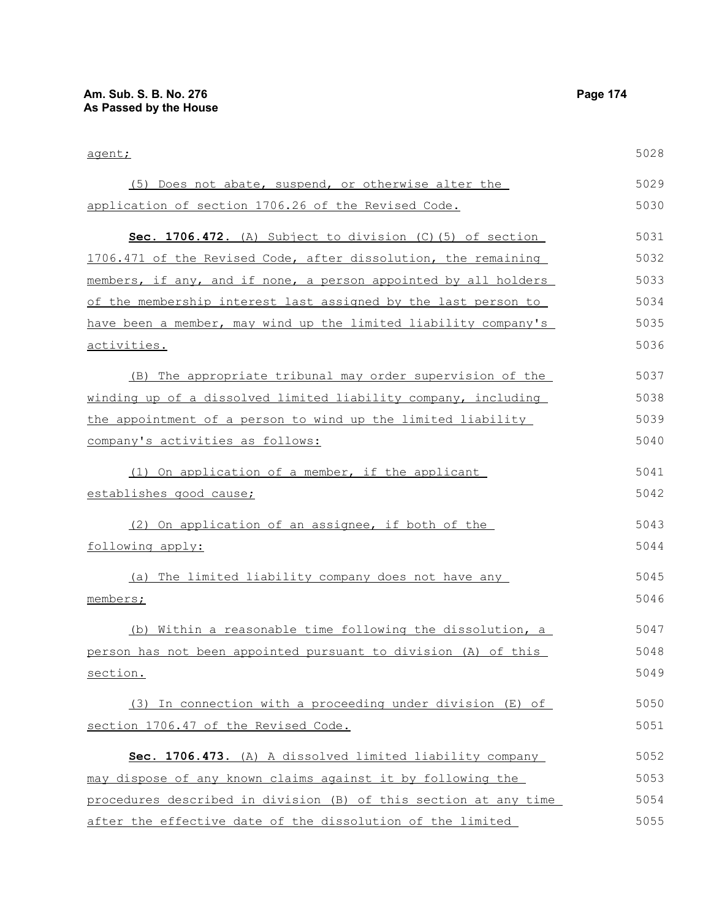| agent;                                                           | 5028 |
|------------------------------------------------------------------|------|
| (5) Does not abate, suspend, or otherwise alter the              | 5029 |
| application of section 1706.26 of the Revised Code.              | 5030 |
| Sec. 1706.472. (A) Subject to division (C) (5) of section        | 5031 |
| 1706.471 of the Revised Code, after dissolution, the remaining   | 5032 |
| members, if any, and if none, a person appointed by all holders  | 5033 |
| of the membership interest last assigned by the last person to   | 5034 |
| have been a member, may wind up the limited liability company's  | 5035 |
| activities.                                                      | 5036 |
| (B) The appropriate tribunal may order supervision of the        | 5037 |
| winding up of a dissolved limited liability company, including   | 5038 |
| the appointment of a person to wind up the limited liability     | 5039 |
| company's activities as follows:                                 | 5040 |
| (1) On application of a member, if the applicant                 | 5041 |
| establishes good cause;                                          | 5042 |
| (2) On application of an assignee, if both of the                | 5043 |
| following apply:                                                 | 5044 |
| The limited liability company does not have any<br>(a)           | 5045 |
| members;                                                         | 5046 |
| (b) Within a reasonable time following the dissolution, a        | 5047 |
| person has not been appointed pursuant to division (A) of this   | 5048 |
| section.                                                         | 5049 |
| (3) In connection with a proceeding under division (E) of        | 5050 |
| section 1706.47 of the Revised Code.                             | 5051 |
| Sec. 1706.473. (A) A dissolved limited liability company         | 5052 |
| may dispose of any known claims against it by following the      | 5053 |
| procedures described in division (B) of this section at any time | 5054 |
| after the effective date of the dissolution of the limited       | 5055 |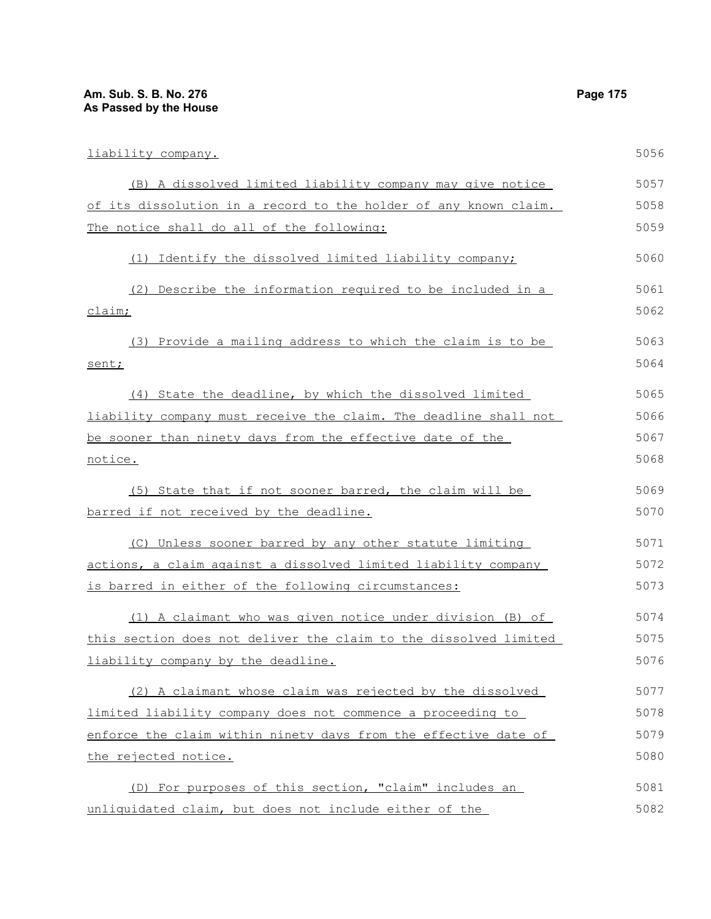| liability company.                                               | 5056 |
|------------------------------------------------------------------|------|
| (B) A dissolved limited liability company may give notice        | 5057 |
| of its dissolution in a record to the holder of any known claim. | 5058 |
| The notice shall do all of the following:                        | 5059 |
| (1) Identify the dissolved limited liability company;            | 5060 |
| (2) Describe the information required to be included in a        | 5061 |
| claim;                                                           | 5062 |
| (3) Provide a mailing address to which the claim is to be        | 5063 |
| sent;                                                            | 5064 |
| (4) State the deadline, by which the dissolved limited           | 5065 |
| liability company must receive the claim. The deadline shall not | 5066 |
| be sooner than ninety days from the effective date of the        | 5067 |
| notice.                                                          | 5068 |
| (5) State that if not sooner barred, the claim will be           | 5069 |
| barred if not received by the deadline.                          | 5070 |
| (C) Unless sooner barred by any other statute limiting           | 5071 |
| actions, a claim against a dissolved limited liability company   | 5072 |
| is barred in either of the following circumstances:              | 5073 |
| (1) A claimant who was given notice under division (B) of        | 5074 |
| this section does not deliver the claim to the dissolved limited | 5075 |
| liability company by the deadline.                               | 5076 |
| (2) A claimant whose claim was rejected by the dissolved         | 5077 |
| limited liability company does not commence a proceeding to      | 5078 |
| enforce the claim within ninety days from the effective date of  | 5079 |
| the rejected notice.                                             | 5080 |
| (D) For purposes of this section, "claim" includes an            | 5081 |
| unliquidated claim, but does not include either of the           | 5082 |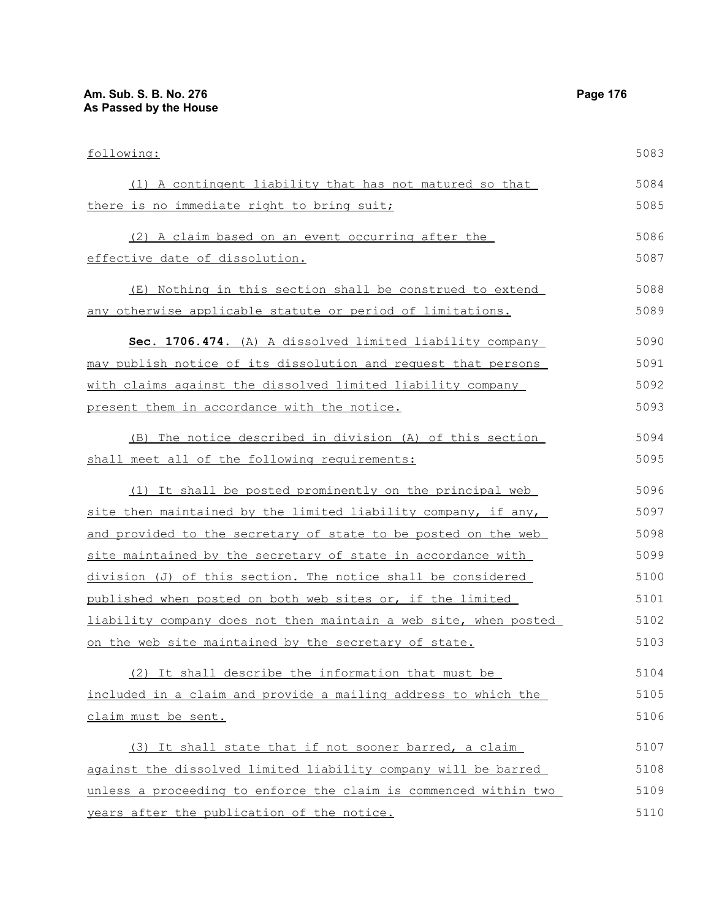| following:                                                       | 5083 |
|------------------------------------------------------------------|------|
| (1) A contingent liability that has not matured so that          | 5084 |
| there is no immediate right to bring suit;                       | 5085 |
| (2) A claim based on an event occurring after the                | 5086 |
| effective date of dissolution.                                   | 5087 |
| (E) Nothing in this section shall be construed to extend         | 5088 |
| any otherwise applicable statute or period of limitations.       | 5089 |
| Sec. 1706.474. (A) A dissolved limited liability company         | 5090 |
| may publish notice of its dissolution and request that persons   | 5091 |
| with claims against the dissolved limited liability company      | 5092 |
| present them in accordance with the notice.                      | 5093 |
| The notice described in division (A) of this section<br>(B)      | 5094 |
| shall meet all of the following requirements:                    | 5095 |
| (1) It shall be posted prominently on the principal web          | 5096 |
| site then maintained by the limited liability company, if any,   | 5097 |
| and provided to the secretary of state to be posted on the web   | 5098 |
| site maintained by the secretary of state in accordance with     | 5099 |
| division (J) of this section. The notice shall be considered     | 5100 |
| published when posted on both web sites or, if the limited       | 5101 |
| liability company does not then maintain a web site, when posted | 5102 |
| on the web site maintained by the secretary of state.            | 5103 |
| (2) It shall describe the information that must be               | 5104 |
| included in a claim and provide a mailing address to which the   | 5105 |
| claim must be sent.                                              | 5106 |
| (3) It shall state that if not sooner barred, a claim            | 5107 |
| against the dissolved limited liability company will be barred   | 5108 |
| unless a proceeding to enforce the claim is commenced within two | 5109 |
| years after the publication of the notice.                       | 5110 |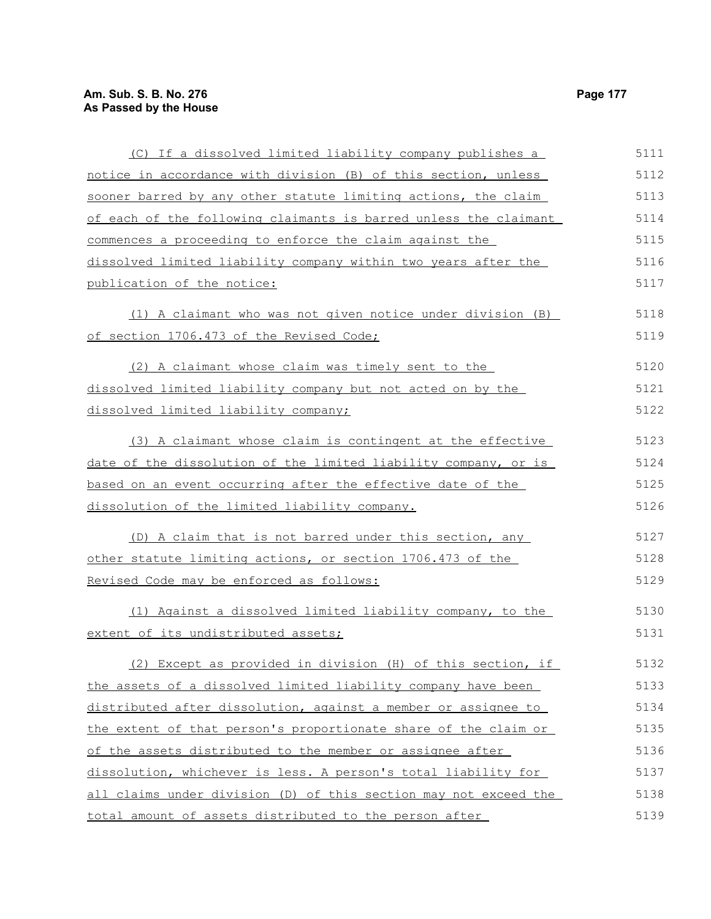| (C) If a dissolved limited liability company publishes a         | 5111 |
|------------------------------------------------------------------|------|
| notice in accordance with division (B) of this section, unless   | 5112 |
| sooner barred by any other statute limiting actions, the claim   | 5113 |
| of each of the following claimants is barred unless the claimant | 5114 |
| commences a proceeding to enforce the claim against the          | 5115 |
| dissolved limited liability company within two years after the   | 5116 |
| publication of the notice:                                       | 5117 |
| (1) A claimant who was not given notice under division (B)       | 5118 |
| of section 1706.473 of the Revised Code;                         | 5119 |
| (2) A claimant whose claim was timely sent to the                | 5120 |
| dissolved limited liability company but not acted on by the      | 5121 |
| dissolved limited liability company;                             | 5122 |
| (3) A claimant whose claim is contingent at the effective        | 5123 |
| date of the dissolution of the limited liability company, or is  | 5124 |
| based on an event occurring after the effective date of the      | 5125 |
| dissolution of the limited liability company.                    | 5126 |
| (D) A claim that is not barred under this section, any           | 5127 |
| other statute limiting actions, or section 1706.473 of the       | 5128 |
| Revised Code may be enforced as follows:                         | 5129 |
| (1) Against a dissolved limited liability company, to the        | 5130 |
| extent of its undistributed assets;                              | 5131 |
| (2) Except as provided in division (H) of this section, if       | 5132 |
| the assets of a dissolved limited liability company have been    | 5133 |
| distributed after dissolution, against a member or assignee to   | 5134 |
| the extent of that person's proportionate share of the claim or  | 5135 |
| of the assets distributed to the member or assignee after        | 5136 |
| dissolution, whichever is less. A person's total liability for   | 5137 |
| all claims under division (D) of this section may not exceed the | 5138 |
| total amount of assets distributed to the person after           | 5139 |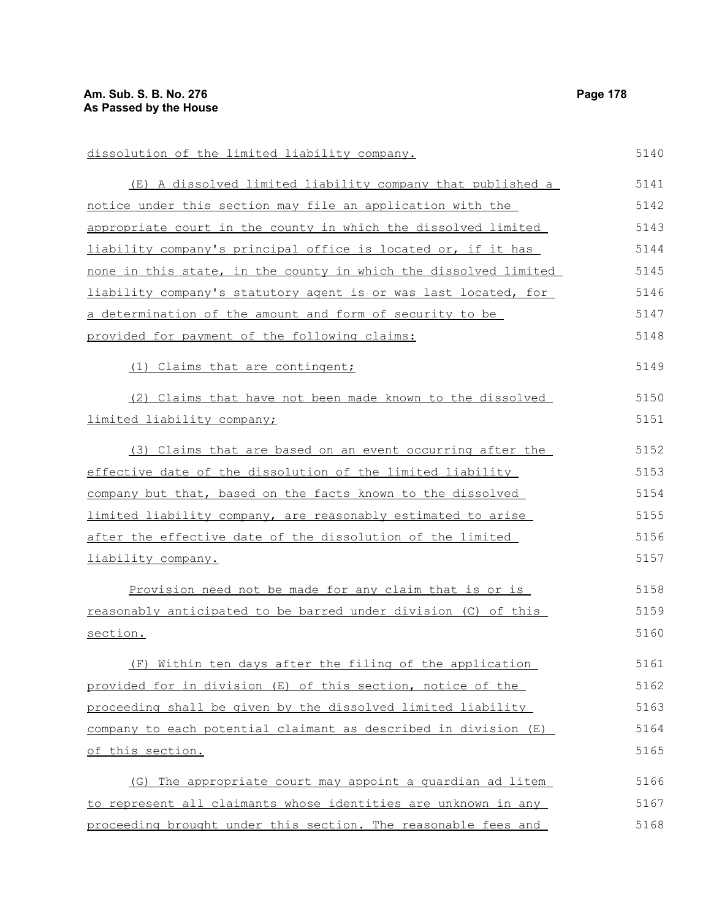dissolution of the limited liability company. (E) A dissolved limited liability company that published a notice under this section may file an application with the appropriate court in the county in which the dissolved limited liability company's principal office is located or, if it has none in this state, in the county in which the dissolved limited liability company's statutory agent is or was last located, for a determination of the amount and form of security to be provided for payment of the following claims: (1) Claims that are contingent; (2) Claims that have not been made known to the dissolved limited liability company; (3) Claims that are based on an event occurring after the effective date of the dissolution of the limited liability company but that, based on the facts known to the dissolved limited liability company, are reasonably estimated to arise after the effective date of the dissolution of the limited liability company. Provision need not be made for any claim that is or is reasonably anticipated to be barred under division (C) of this section. (F) Within ten days after the filing of the application provided for in division (E) of this section, notice of the proceeding shall be given by the dissolved limited liability company to each potential claimant as described in division (E) of this section. (G) The appropriate court may appoint a guardian ad litem to represent all claimants whose identities are unknown in any proceeding brought under this section. The reasonable fees and 5140 5141 5142 5143 5144 5145 5146 5147 5148 5149 5150 5151 5152 5153 5154 5155 5156 5157 5158 5159 5160 5161 5162 5163 5164 5165 5166 5167 5168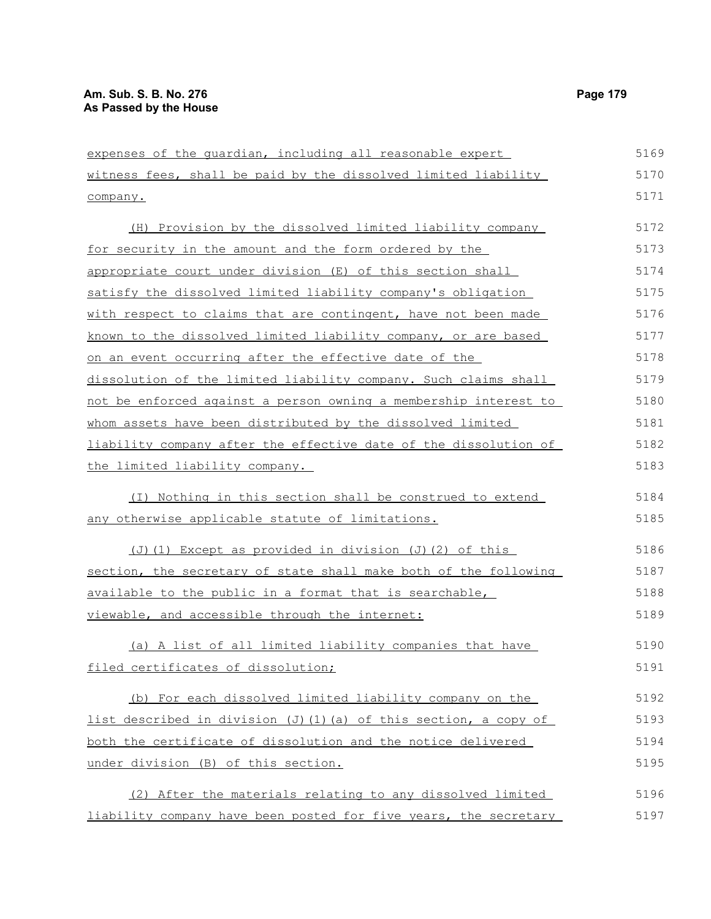| expenses of the guardian, including all reasonable expert        | 5169 |
|------------------------------------------------------------------|------|
| witness fees, shall be paid by the dissolved limited liability   | 5170 |
| company.                                                         | 5171 |
| (H) Provision by the dissolved limited liability company         | 5172 |
| for security in the amount and the form ordered by the           | 5173 |
| appropriate court under division (E) of this section shall       | 5174 |
| satisfy the dissolved limited liability company's obligation     | 5175 |
| with respect to claims that are contingent, have not been made   | 5176 |
| known to the dissolved limited liability company, or are based   | 5177 |
| on an event occurring after the effective date of the            | 5178 |
| dissolution of the limited liability company. Such claims shall  | 5179 |
| not be enforced against a person owning a membership interest to | 5180 |
| whom assets have been distributed by the dissolved limited       | 5181 |
| liability company after the effective date of the dissolution of | 5182 |
| the limited liability company.                                   | 5183 |
| (I) Nothing in this section shall be construed to extend         | 5184 |
| any otherwise applicable statute of limitations.                 | 5185 |
| (J)(1) Except as provided in division (J)(2) of this             | 5186 |
| section, the secretary of state shall make both of the following | 5187 |
| available to the public in a format that is searchable,          | 5188 |
| viewable, and accessible through the internet:                   | 5189 |
| (a) A list of all limited liability companies that have          | 5190 |
| filed certificates of dissolution;                               | 5191 |
| (b) For each dissolved limited liability company on the          | 5192 |
| list described in division (J)(1)(a) of this section, a copy of  | 5193 |
| both the certificate of dissolution and the notice delivered     | 5194 |
| under division (B) of this section.                              | 5195 |
| (2) After the materials relating to any dissolved limited        | 5196 |
| liability company have been posted for five years, the secretary | 5197 |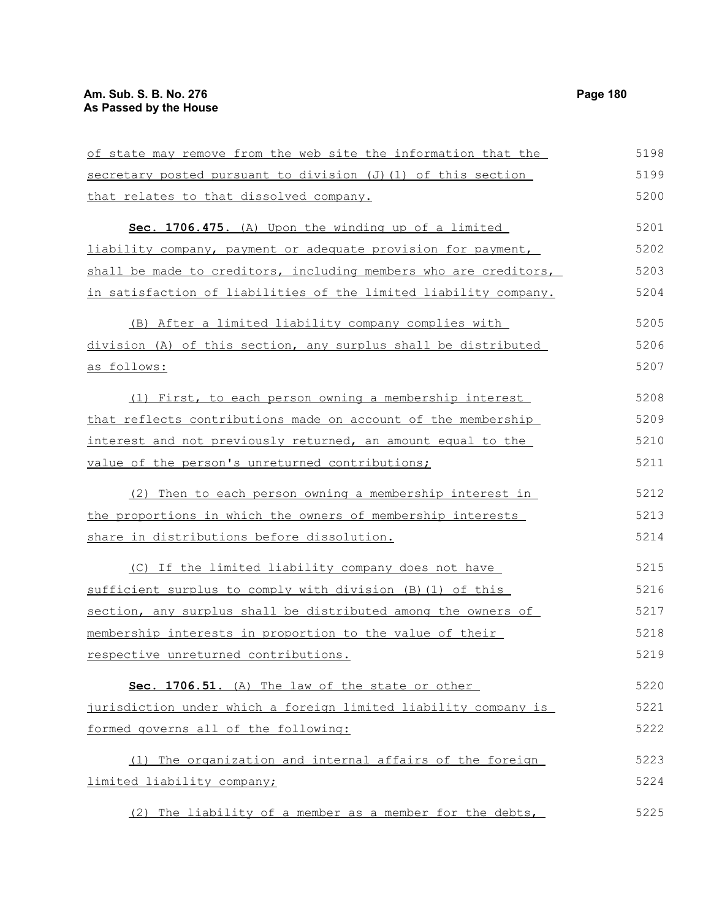| of state may remove from the web site the information that the   | 5198 |
|------------------------------------------------------------------|------|
| secretary posted pursuant to division (J) (1) of this section    | 5199 |
| that relates to that dissolved company.                          | 5200 |
| Sec. 1706.475. (A) Upon the winding up of a limited              | 5201 |
| liability company, payment or adequate provision for payment,    | 5202 |
| shall be made to creditors, including members who are creditors, | 5203 |
| in satisfaction of liabilities of the limited liability company. | 5204 |
| (B) After a limited liability company complies with              | 5205 |
| division (A) of this section, any surplus shall be distributed   | 5206 |
| <u>as follows:</u>                                               | 5207 |
| (1) First, to each person owning a membership interest           | 5208 |
| that reflects contributions made on account of the membership    | 5209 |
| interest and not previously returned, an amount equal to the     | 5210 |
| value of the person's unreturned contributions;                  | 5211 |
| (2) Then to each person owning a membership interest in          | 5212 |
| the proportions in which the owners of membership interests      | 5213 |
| share in distributions before dissolution.                       | 5214 |
| (C) If the limited liability company does not have               | 5215 |
| sufficient surplus to comply with division (B) (1) of this       | 5216 |
| section, any surplus shall be distributed among the owners of    | 5217 |
| membership interests in proportion to the value of their         | 5218 |
| respective unreturned contributions.                             | 5219 |
| Sec. 1706.51. (A) The law of the state or other                  | 5220 |
| jurisdiction under which a foreign limited liability company is  | 5221 |
| formed governs all of the following:                             | 5222 |
| (1) The organization and internal affairs of the foreign         | 5223 |
| limited liability company;                                       | 5224 |
| (2) The liability of a member as a member for the debts,         | 5225 |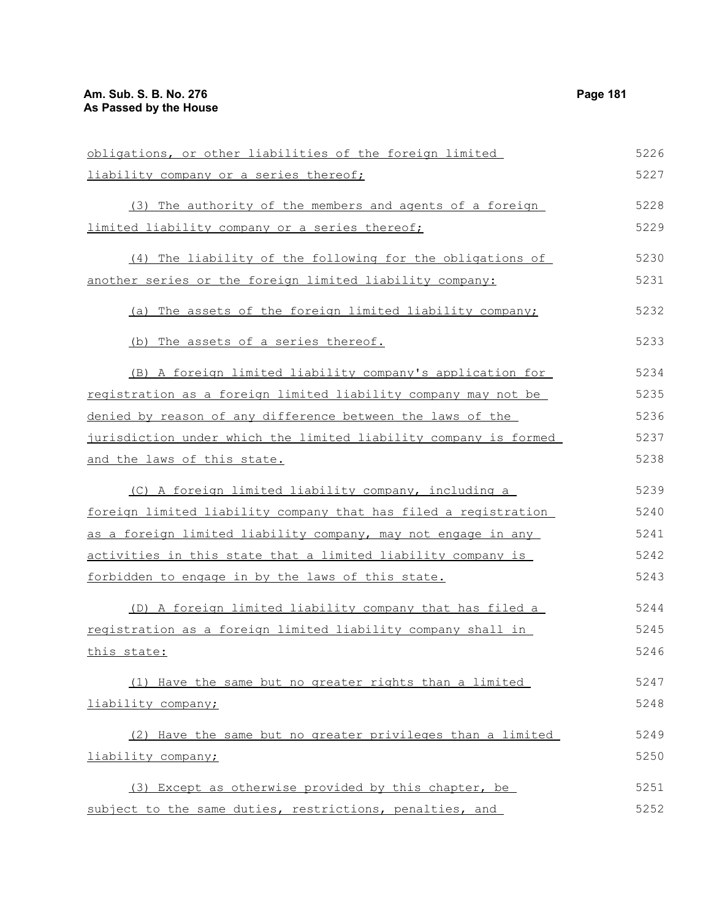| obligations, or other liabilities of the foreign limited         | 5226 |
|------------------------------------------------------------------|------|
| liability company or a series thereof;                           | 5227 |
| (3) The authority of the members and agents of a foreign         | 5228 |
| limited liability company or a series thereof;                   | 5229 |
| (4) The liability of the following for the obligations of        | 5230 |
| another series or the foreign limited liability company:         | 5231 |
| (a) The assets of the foreign limited liability company;         | 5232 |
| (b) The assets of a series thereof.                              | 5233 |
| (B) A foreign limited liability company's application for        | 5234 |
| registration as a foreign limited liability company may not be   | 5235 |
| denied by reason of any difference between the laws of the       | 5236 |
| jurisdiction under which the limited liability company is formed | 5237 |
| and the laws of this state.                                      | 5238 |
| (C) A foreign limited liability company, including a             | 5239 |
| foreign limited liability company that has filed a registration  | 5240 |
| as a foreign limited liability company, may not engage in any    | 5241 |
| activities in this state that a limited liability company is     | 5242 |
| forbidden to engage in by the laws of this state.                | 5243 |
| (D) A foreign limited liability company that has filed a         | 5244 |
| registration as a foreign limited liability company shall in     | 5245 |
| this state:                                                      | 5246 |
| (1) Have the same but no greater rights than a limited           | 5247 |
| liability company;                                               | 5248 |
| (2) Have the same but no greater privileges than a limited       | 5249 |
| liability company;                                               | 5250 |
| (3) Except as otherwise provided by this chapter, be             | 5251 |
| subject to the same duties, restrictions, penalties, and         | 5252 |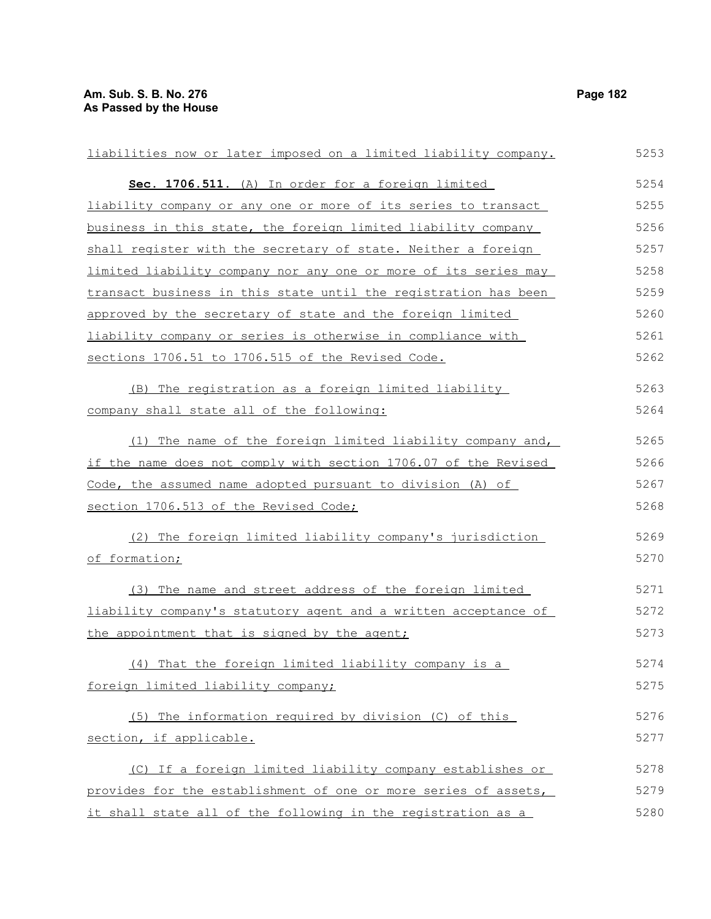| liabilities now or later imposed on a limited liability company. | 5253 |
|------------------------------------------------------------------|------|
| Sec. 1706.511. (A) In order for a foreign limited                | 5254 |
| liability company or any one or more of its series to transact   | 5255 |
| business in this state, the foreign limited liability company    | 5256 |
| shall register with the secretary of state. Neither a foreign    | 5257 |
| limited liability company nor any one or more of its series may  | 5258 |
| transact business in this state until the registration has been  | 5259 |
| approved by the secretary of state and the foreign limited       | 5260 |
| liability company or series is otherwise in compliance with      | 5261 |
| sections 1706.51 to 1706.515 of the Revised Code.                | 5262 |
| (B) The registration as a foreign limited liability              | 5263 |
| company shall state all of the following:                        | 5264 |
| (1) The name of the foreign limited liability company and,       | 5265 |
| if the name does not comply with section 1706.07 of the Revised  | 5266 |
| Code, the assumed name adopted pursuant to division (A) of       | 5267 |
| section 1706.513 of the Revised Code;                            | 5268 |
| (2) The foreign limited liability company's jurisdiction         | 5269 |
| of formation;                                                    | 5270 |
| (3) The name and street address of the foreign limited           | 5271 |
| liability company's statutory agent and a written acceptance of  | 5272 |
| the appointment that is signed by the agent;                     | 5273 |
| (4) That the foreign limited liability company is a              | 5274 |
| foreign limited liability company;                               | 5275 |
| (5) The information required by division (C) of this             | 5276 |
| section, if applicable.                                          | 5277 |
| (C) If a foreign limited liability company establishes or        | 5278 |
| provides for the establishment of one or more series of assets,  | 5279 |
| it shall state all of the following in the registration as a     | 5280 |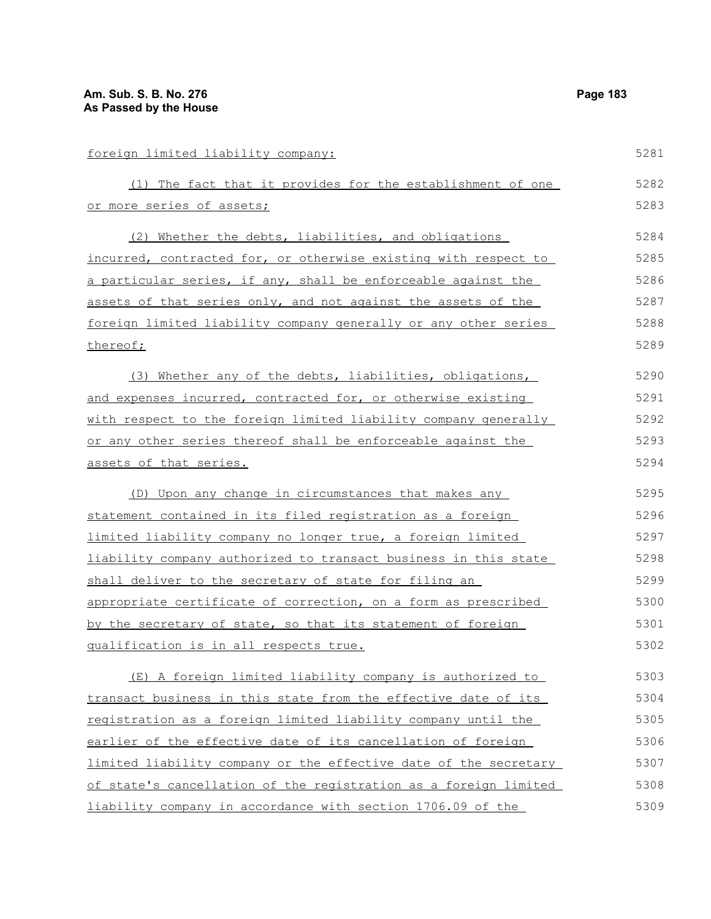| foreign limited liability company:                               | 5281 |
|------------------------------------------------------------------|------|
| (1) The fact that it provides for the establishment of one       | 5282 |
| or more series of assets;                                        | 5283 |
| (2) Whether the debts, liabilities, and obligations              | 5284 |
| incurred, contracted for, or otherwise existing with respect to  | 5285 |
| a particular series, if any, shall be enforceable against the    | 5286 |
| assets of that series only, and not against the assets of the    | 5287 |
| foreign limited liability company generally or any other series  | 5288 |
| thereof;                                                         | 5289 |
| (3) Whether any of the debts, liabilities, obligations,          | 5290 |
| and expenses incurred, contracted for, or otherwise existing     | 5291 |
| with respect to the foreign limited liability company generally  | 5292 |
| or any other series thereof shall be enforceable against the     | 5293 |
| assets of that series.                                           | 5294 |
| (D) Upon any change in circumstances that makes any              | 5295 |
| statement contained in its filed registration as a foreign       | 5296 |
| limited liability company no longer true, a foreign limited      | 5297 |
| liability company authorized to transact business in this state  | 5298 |
| shall deliver to the secretary of state for filing an            | 5299 |
| appropriate certificate of correction, on a form as prescribed   | 5300 |
| by the secretary of state, so that its statement of foreign      | 5301 |
| qualification is in all respects true.                           | 5302 |
| (E) A foreign limited liability company is authorized to         | 5303 |
| transact business in this state from the effective date of its   | 5304 |
| registration as a foreign limited liability company until the    | 5305 |
| earlier of the effective date of its cancellation of foreign     | 5306 |
| limited liability company or the effective date of the secretary | 5307 |
| of state's cancellation of the registration as a foreign limited | 5308 |
| liability company in accordance with section 1706.09 of the      | 5309 |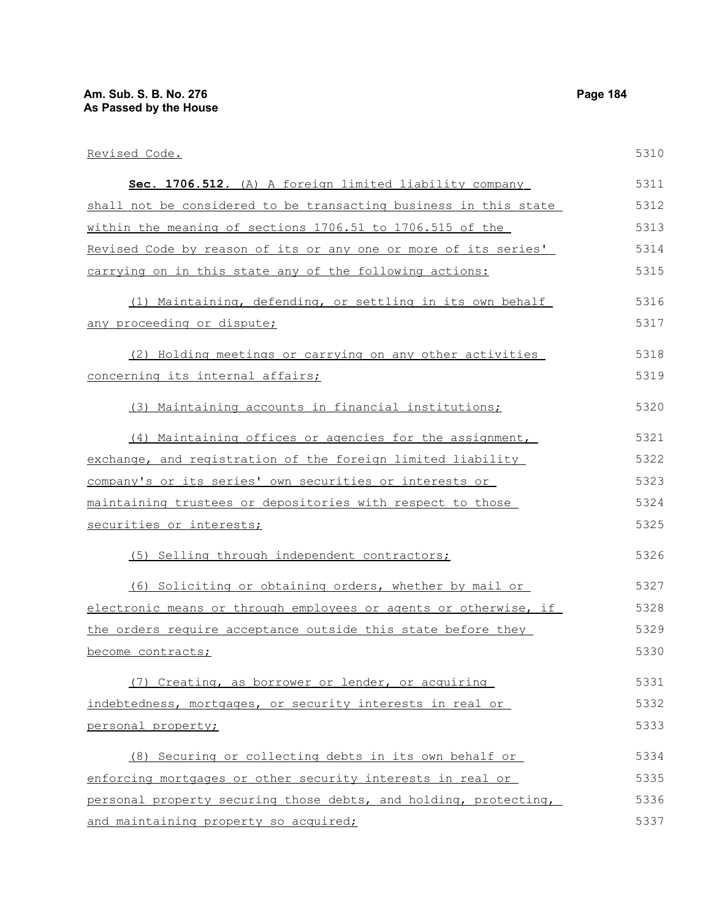| Revised Code.                                                    | 5310 |
|------------------------------------------------------------------|------|
| Sec. 1706.512. (A) A foreign limited liability company           | 5311 |
| shall not be considered to be transacting business in this state | 5312 |
| within the meaning of sections 1706.51 to 1706.515 of the        | 5313 |
| Revised Code by reason of its or any one or more of its series'  | 5314 |
| carrying on in this state any of the following actions:          | 5315 |
| (1) Maintaining, defending, or settling in its own behalf        | 5316 |
| any proceeding or dispute;                                       | 5317 |
| (2) Holding meetings or carrying on any other activities         | 5318 |
| concerning its internal affairs;                                 | 5319 |
| (3) Maintaining accounts in financial institutions;              | 5320 |
| (4) Maintaining offices or agencies for the assignment,          | 5321 |
| exchange, and registration of the foreign limited liability      | 5322 |
| company's or its series' own securities or interests or          | 5323 |
| maintaining trustees or depositories with respect to those       | 5324 |
| securities or interests;                                         | 5325 |
| (5) Selling through independent contractors;                     | 5326 |
| (6) Soliciting or obtaining orders, whether by mail or           | 5327 |
| electronic means or through employees or agents or otherwise, if | 5328 |
| the orders require acceptance outside this state before they     | 5329 |
| become contracts;                                                | 5330 |
| (7) Creating, as borrower or lender, or acquiring                | 5331 |
| indebtedness, mortgages, or security interests in real or        | 5332 |
| personal property;                                               | 5333 |
| (8) Securing or collecting debts in its own behalf or            | 5334 |
| enforcing mortgages or other security interests in real or       | 5335 |
| personal property securing those debts, and holding, protecting, | 5336 |
| and maintaining property so acquired;                            | 5337 |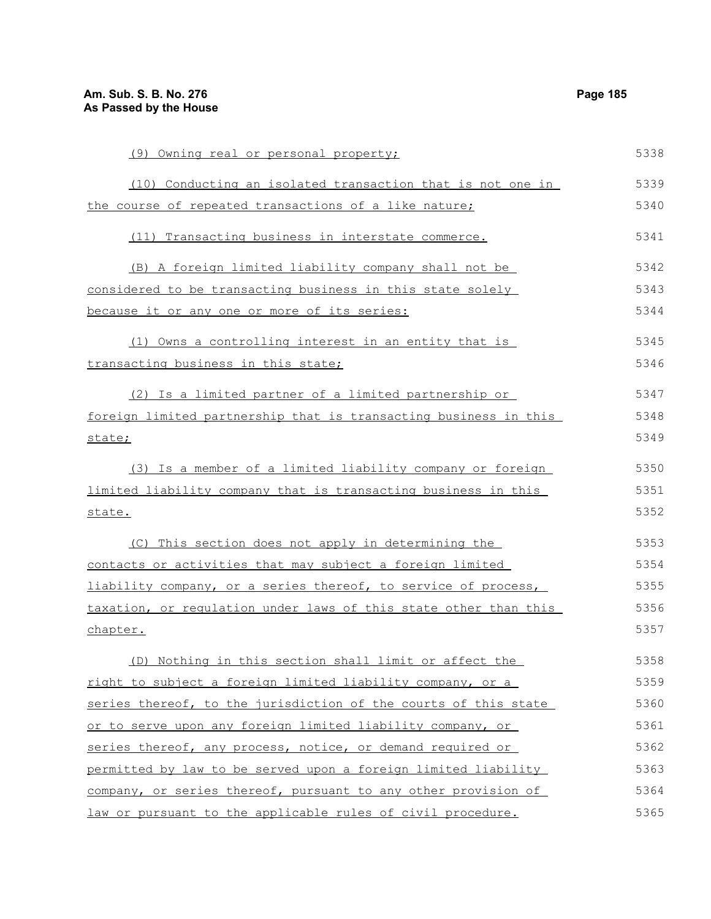| (9) Owning real or personal property;                            | 5338 |
|------------------------------------------------------------------|------|
| (10) Conducting an isolated transaction that is not one in       | 5339 |
| the course of repeated transactions of a like nature;            | 5340 |
| (11) Transacting business in interstate commerce.                | 5341 |
| (B) A foreign limited liability company shall not be             | 5342 |
| considered to be transacting business in this state solely       | 5343 |
| because it or any one or more of its series:                     | 5344 |
| (1) Owns a controlling interest in an entity that is             | 5345 |
| transacting business in this state;                              | 5346 |
| (2) Is a limited partner of a limited partnership or             | 5347 |
| foreign limited partnership that is transacting business in this | 5348 |
| state;                                                           | 5349 |
| (3) Is a member of a limited liability company or foreign        | 5350 |
| limited liability company that is transacting business in this   | 5351 |
| state.                                                           | 5352 |
| (C) This section does not apply in determining the               | 5353 |
| contacts or activities that may subject a foreign limited        | 5354 |
| liability company, or a series thereof, to service of process,   | 5355 |
| taxation, or regulation under laws of this state other than this | 5356 |
| chapter.                                                         | 5357 |
| (D) Nothing in this section shall limit or affect the            | 5358 |
| right to subject a foreign limited liability company, or a       | 5359 |
| series thereof, to the jurisdiction of the courts of this state  | 5360 |
| or to serve upon any foreign limited liability company, or       | 5361 |
| series thereof, any process, notice, or demand required or       | 5362 |
| permitted by law to be served upon a foreign limited liability   | 5363 |
| company, or series thereof, pursuant to any other provision of   | 5364 |
| law or pursuant to the applicable rules of civil procedure.      | 5365 |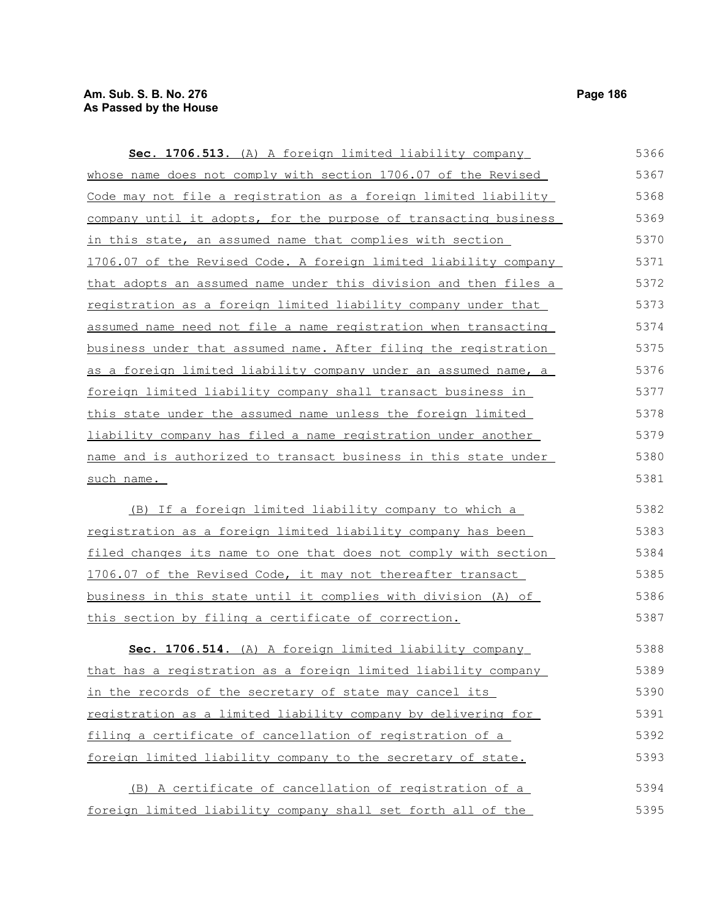| Sec. 1706.513. (A) A foreign limited liability company           | 5366 |
|------------------------------------------------------------------|------|
| whose name does not comply with section 1706.07 of the Revised   | 5367 |
| Code may not file a registration as a foreign limited liability  | 5368 |
| company until it adopts, for the purpose of transacting business | 5369 |
| in this state, an assumed name that complies with section        | 5370 |
| 1706.07 of the Revised Code. A foreign limited liability company | 5371 |
| that adopts an assumed name under this division and then files a | 5372 |
| registration as a foreign limited liability company under that   | 5373 |
| assumed name need not file a name registration when transacting  | 5374 |
| business under that assumed name. After filing the registration  | 5375 |
| as a foreign limited liability company under an assumed name, a  | 5376 |
| foreign limited liability company shall transact business in     | 5377 |
| this state under the assumed name unless the foreign limited     | 5378 |
| liability company has filed a name registration under another    | 5379 |
| name and is authorized to transact business in this state under  | 5380 |
| such name.                                                       | 5381 |
| (B) If a foreign limited liability company to which a            | 5382 |
| registration as a foreign limited liability company has been     | 5383 |
| filed changes its name to one that does not comply with section  | 5384 |
| 1706.07 of the Revised Code, it may not thereafter transact      | 5385 |
| business in this state until it complies with division (A) of    | 5386 |
| this section by filing a certificate of correction.              | 5387 |
| Sec. 1706.514. (A) A foreign limited liability company           | 5388 |
| that has a registration as a foreign limited liability company   | 5389 |
| in the records of the secretary of state may cancel its          | 5390 |
| registration as a limited liability company by delivering for    | 5391 |
| filing a certificate of cancellation of registration of a        | 5392 |
| foreign limited liability company to the secretary of state.     | 5393 |
| (B) A certificate of cancellation of registration of a           | 5394 |
| foreign limited liability company shall set forth all of the     | 5395 |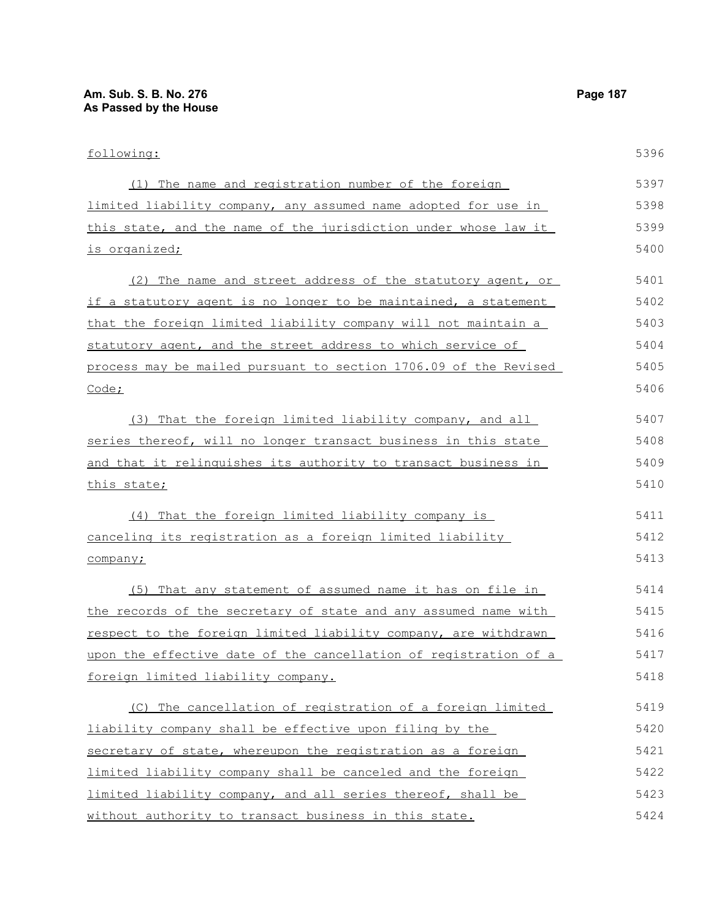| following:                                                            | 5396 |
|-----------------------------------------------------------------------|------|
| (1) The name and registration number of the foreign                   | 5397 |
| <u>limited liability company, any assumed name adopted for use in</u> | 5398 |
| this state, and the name of the jurisdiction under whose law it       | 5399 |
| <u>is organized;</u>                                                  | 5400 |
| (2) The name and street address of the statutory agent, or            | 5401 |
| if a statutory agent is no longer to be maintained, a statement       | 5402 |
| that the foreign limited liability company will not maintain a        | 5403 |
| statutory agent, and the street address to which service of           | 5404 |
| process may be mailed pursuant to section 1706.09 of the Revised      | 5405 |
| <u>Code;</u>                                                          | 5406 |
| (3) That the foreign limited liability company, and all               | 5407 |
| <u>series thereof, will no longer transact business in this state</u> | 5408 |
| and that it relinguishes its authority to transact business in        | 5409 |
| <u>this state;</u>                                                    | 5410 |
| (4) That the foreign limited liability company is                     | 5411 |
| canceling its registration as a foreign limited liability             | 5412 |
| company;                                                              | 5413 |
| (5) That any statement of assumed name it has on file in              | 5414 |
| the records of the secretary of state and any assumed name with       | 5415 |
| respect to the foreign limited liability company, are withdrawn       | 5416 |
| upon the effective date of the cancellation of registration of a      | 5417 |
| foreign limited liability company.                                    | 5418 |
| (C) The cancellation of registration of a foreign limited             | 5419 |
| liability company shall be effective upon filing by the               | 5420 |
| secretary of state, whereupon the registration as a foreign           | 5421 |
| limited liability company shall be canceled and the foreign           | 5422 |
| limited liability company, and all series thereof, shall be           | 5423 |
| without authority to transact business in this state.                 | 5424 |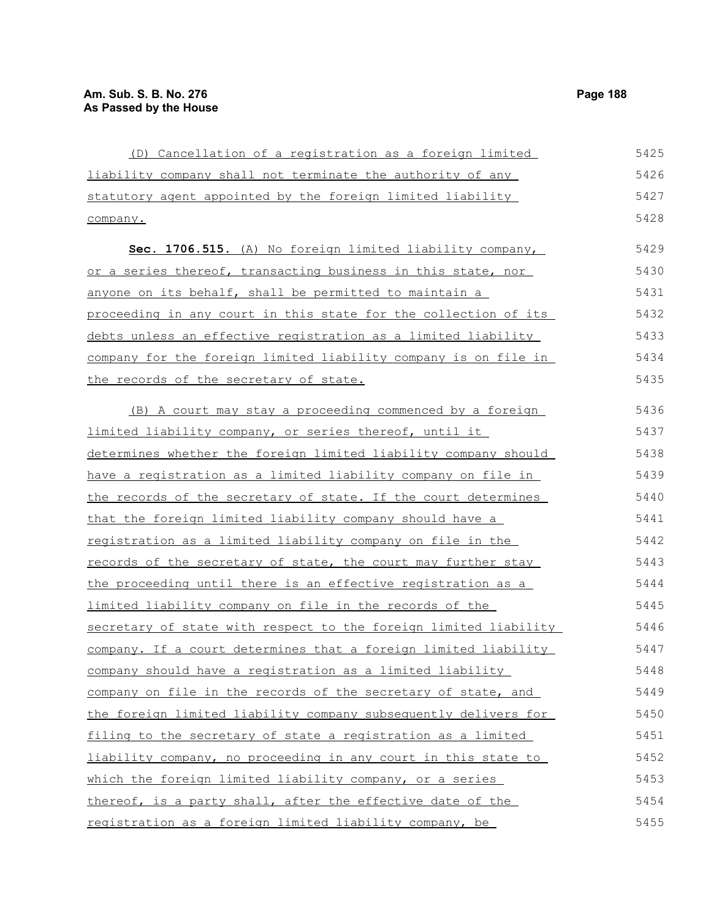| (D) Cancellation of a registration as a foreign limited           | 5425 |
|-------------------------------------------------------------------|------|
| liability company shall not terminate the authority of any        | 5426 |
| statutory agent appointed by the foreign limited liability        | 5427 |
| company.                                                          | 5428 |
| Sec. 1706.515. (A) No foreign limited liability company,          | 5429 |
| or a series thereof, transacting business in this state, nor      | 5430 |
| anyone on its behalf, shall be permitted to maintain a            | 5431 |
| proceeding in any court in this state for the collection of its   | 5432 |
| debts unless an effective registration as a limited liability     | 5433 |
| company for the foreign limited liability company is on file in   | 5434 |
| the records of the secretary of state.                            | 5435 |
| (B) A court may stay a proceeding commenced by a foreign          | 5436 |
| limited liability company, or series thereof, until it            | 5437 |
| determines whether the foreign limited liability company should   | 5438 |
| have a registration as a limited liability company on file in     | 5439 |
| the records of the secretary of state. If the court determines    | 5440 |
| that the foreign limited liability company should have a          | 5441 |
| <u>registration as a limited liability company on file in the</u> | 5442 |
| records of the secretary of state, the court may further stay     | 5443 |
| the proceeding until there is an effective registration as a      | 5444 |
| limited liability company on file in the records of the           | 5445 |
| secretary of state with respect to the foreign limited liability  | 5446 |
| company. If a court determines that a foreign limited liability   | 5447 |
| company should have a registration as a limited liability         | 5448 |
| company on file in the records of the secretary of state, and     | 5449 |
| the foreign limited liability company subsequently delivers for   | 5450 |
| filing to the secretary of state a registration as a limited      | 5451 |
| liability company, no proceeding in any court in this state to    | 5452 |
| which the foreign limited liability company, or a series          | 5453 |
| thereof, is a party shall, after the effective date of the        | 5454 |
| registration as a foreign limited liability company, be           | 5455 |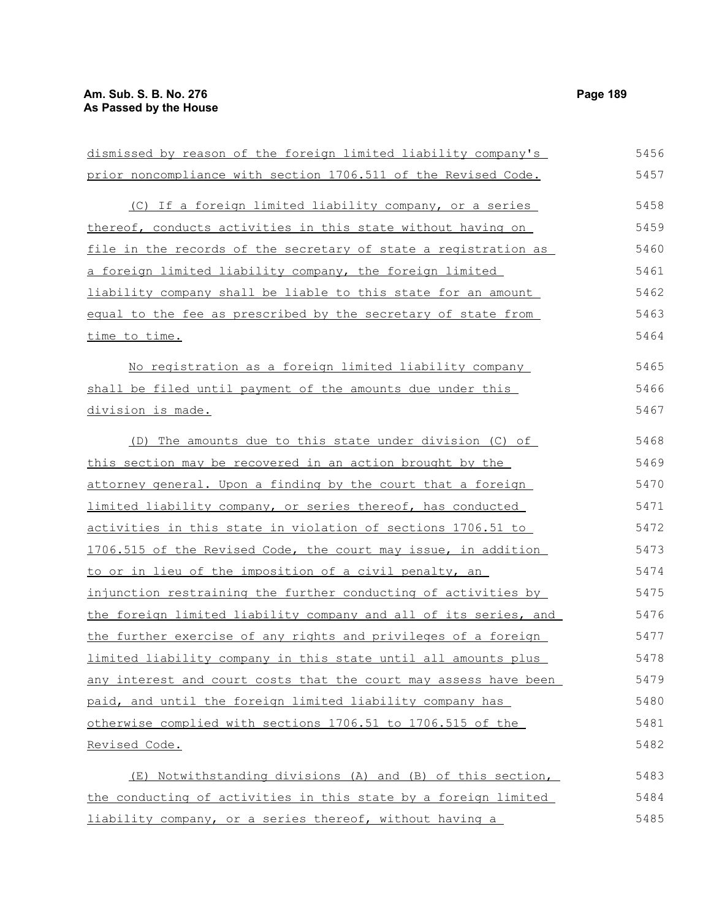| dismissed by reason of the foreign limited liability company's   | 5456 |
|------------------------------------------------------------------|------|
| prior noncompliance with section 1706.511 of the Revised Code.   | 5457 |
| (C) If a foreign limited liability company, or a series          | 5458 |
| thereof, conducts activities in this state without having on     | 5459 |
| file in the records of the secretary of state a registration as  | 5460 |
| a foreign limited liability company, the foreign limited         | 5461 |
| liability company shall be liable to this state for an amount    | 5462 |
| equal to the fee as prescribed by the secretary of state from    | 5463 |
| <u>time to time.</u>                                             | 5464 |
| No registration as a foreign limited liability company           | 5465 |
| shall be filed until payment of the amounts due under this       | 5466 |
| division is made.                                                | 5467 |
| (D) The amounts due to this state under division (C) of          | 5468 |
| this section may be recovered in an action brought by the        | 5469 |
| attorney general. Upon a finding by the court that a foreign     | 5470 |
| limited liability company, or series thereof, has conducted      | 5471 |
| activities in this state in violation of sections 1706.51 to     | 5472 |
| 1706.515 of the Revised Code, the court may issue, in addition   | 5473 |
| to or in lieu of the imposition of a civil penalty, an           | 5474 |
| injunction restraining the further conducting of activities by   | 5475 |
| the foreign limited liability company and all of its series, and | 5476 |
| the further exercise of any rights and privileges of a foreign   | 5477 |
| limited liability company in this state until all amounts plus   | 5478 |
| any interest and court costs that the court may assess have been | 5479 |
| paid, and until the foreign limited liability company has        | 5480 |
| otherwise complied with sections 1706.51 to 1706.515 of the      | 5481 |
| <u>Revised Code.</u>                                             | 5482 |
| (E) Notwithstanding divisions (A) and (B) of this section,       | 5483 |
| the conducting of activities in this state by a foreign limited  | 5484 |
| liability company, or a series thereof, without having a         | 5485 |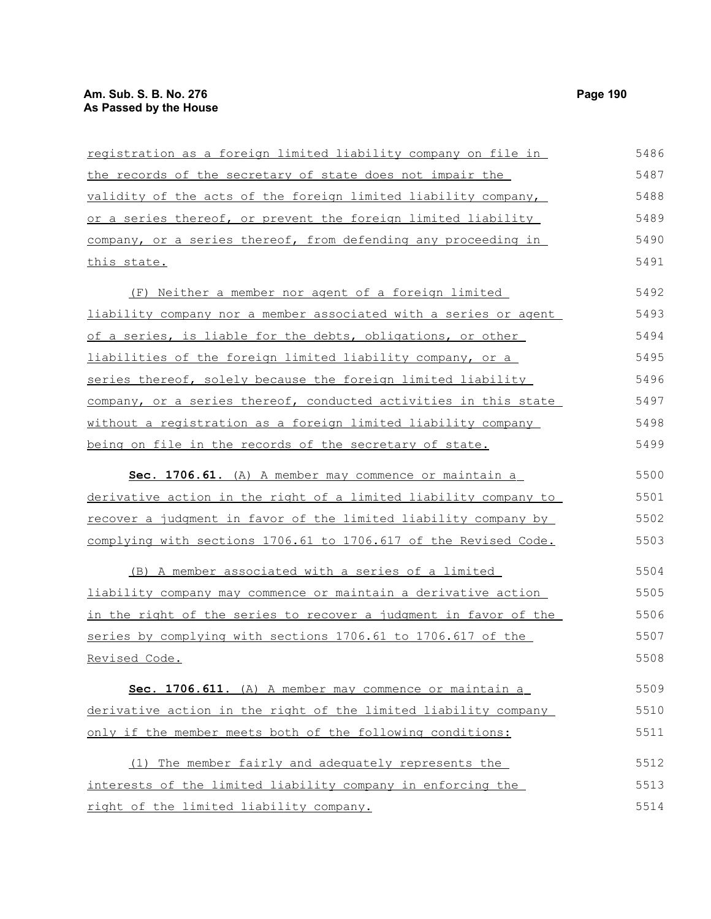| registration as a foreign limited liability company on file in   | 5486 |
|------------------------------------------------------------------|------|
| the records of the secretary of state does not impair the        | 5487 |
| validity of the acts of the foreign limited liability company,   | 5488 |
| or a series thereof, or prevent the foreign limited liability    | 5489 |
| company, or a series thereof, from defending any proceeding in   | 5490 |
| this state.                                                      | 5491 |
| (F) Neither a member nor agent of a foreign limited              | 5492 |
| liability company nor a member associated with a series or agent | 5493 |
| of a series, is liable for the debts, obligations, or other      | 5494 |
| liabilities of the foreign limited liability company, or a       | 5495 |
| series thereof, solely because the foreign limited liability     | 5496 |
| company, or a series thereof, conducted activities in this state | 5497 |
| without a registration as a foreign limited liability company    | 5498 |
| being on file in the records of the secretary of state.          | 5499 |
| Sec. 1706.61. (A) A member may commence or maintain a            | 5500 |
| derivative action in the right of a limited liability company to | 5501 |
| recover a judgment in favor of the limited liability company by  | 5502 |
| complying with sections 1706.61 to 1706.617 of the Revised Code. | 5503 |
| (B) A member associated with a series of a limited               | 5504 |
| liability company may commence or maintain a derivative action   | 5505 |
| in the right of the series to recover a judgment in favor of the | 5506 |
| series by complying with sections 1706.61 to 1706.617 of the     | 5507 |
| Revised Code.                                                    | 5508 |
| Sec. 1706.611. (A) A member may commence or maintain a           | 5509 |
| derivative action in the right of the limited liability company  | 5510 |
| only if the member meets both of the following conditions:       | 5511 |
| The member fairly and adequately represents the<br>(1)           | 5512 |
| interests of the limited liability company in enforcing the      | 5513 |
| right of the limited liability company.                          | 5514 |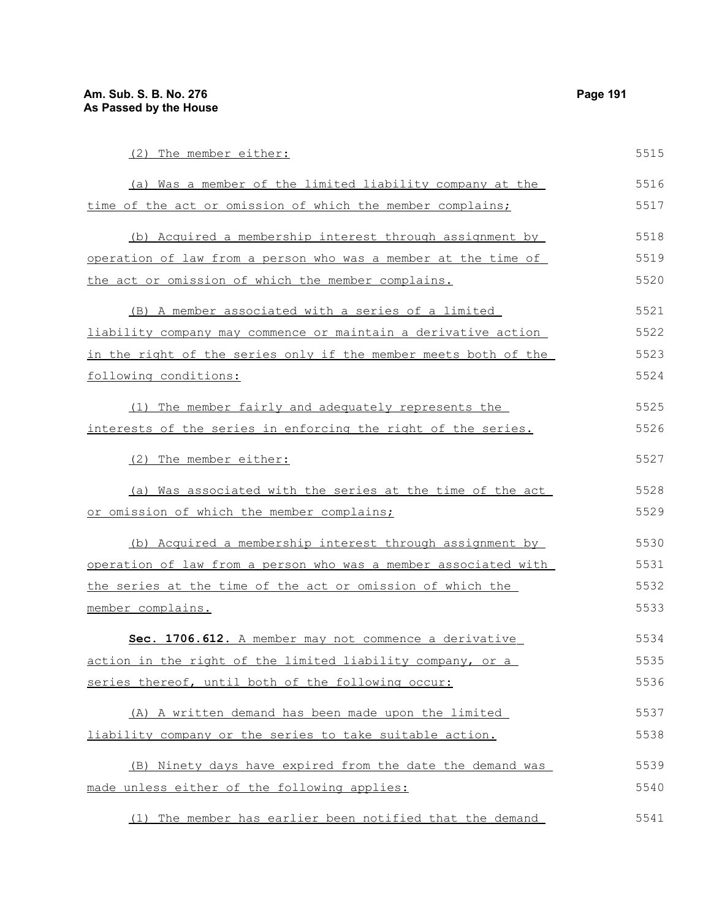| (2) The member either:                                          | 5515 |
|-----------------------------------------------------------------|------|
| (a) Was a member of the limited liability company at the        | 5516 |
| time of the act or omission of which the member complains;      | 5517 |
| (b) Acquired a membership interest through assignment by        | 5518 |
| operation of law from a person who was a member at the time of  | 5519 |
| the act or omission of which the member complains.              | 5520 |
| (B) A member associated with a series of a limited              | 5521 |
| liability company may commence or maintain a derivative action  | 5522 |
| in the right of the series only if the member meets both of the | 5523 |
| following conditions:                                           | 5524 |
| (1) The member fairly and adequately represents the             | 5525 |
| interests of the series in enforcing the right of the series.   | 5526 |
| (2) The member either:                                          | 5527 |
| (a) Was associated with the series at the time of the act       | 5528 |
| or omission of which the member complains;                      | 5529 |
| (b) Acquired a membership interest through assignment by        | 5530 |
| operation of law from a person who was a member associated with | 5531 |
| the series at the time of the act or omission of which the      | 5532 |
| member complains.                                               | 5533 |
| Sec. 1706.612. A member may not commence a derivative           | 5534 |
| action in the right of the limited liability company, or a      | 5535 |
| series thereof, until both of the following occur:              | 5536 |
| (A) A written demand has been made upon the limited             | 5537 |
| liability company or the series to take suitable action.        | 5538 |
| (B) Ninety days have expired from the date the demand was       | 5539 |
| made unless either of the following applies:                    | 5540 |
| (1) The member has earlier been notified that the demand        | 5541 |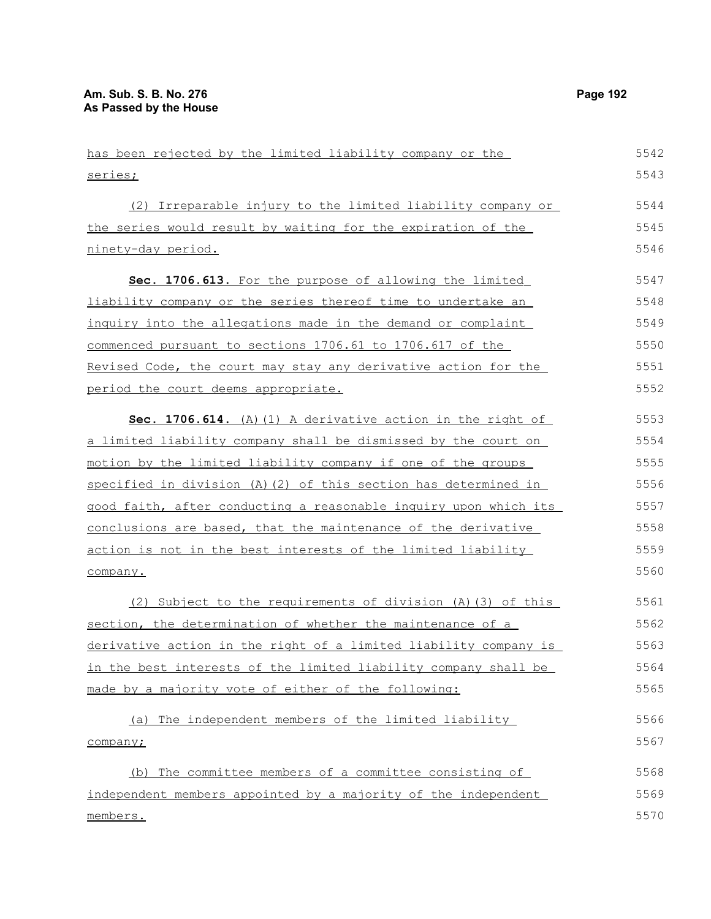has been rejected by the limited liability company or the series; (2) Irreparable injury to the limited liability company or the series would result by waiting for the expiration of the ninety-day period. **Sec. 1706.613.** For the purpose of allowing the limited liability company or the series thereof time to undertake an inquiry into the allegations made in the demand or complaint commenced pursuant to sections 1706.61 to 1706.617 of the Revised Code, the court may stay any derivative action for the period the court deems appropriate. **Sec. 1706.614.** (A)(1) A derivative action in the right of a limited liability company shall be dismissed by the court on motion by the limited liability company if one of the groups specified in division (A)(2) of this section has determined in good faith, after conducting a reasonable inquiry upon which its conclusions are based, that the maintenance of the derivative action is not in the best interests of the limited liability company. (2) Subject to the requirements of division (A)(3) of this section, the determination of whether the maintenance of a derivative action in the right of a limited liability company is in the best interests of the limited liability company shall be made by a majority vote of either of the following: (a) The independent members of the limited liability company; (b) The committee members of a committee consisting of independent members appointed by a majority of the independent members. 5542 5543 5544 5545 5546 5547 5548 5549 5550 5551 5552 5553 5554 5555 5556 5557 5558 5559 5560 5561 5562 5563 5564 5565 5566 5567 5568 5569 5570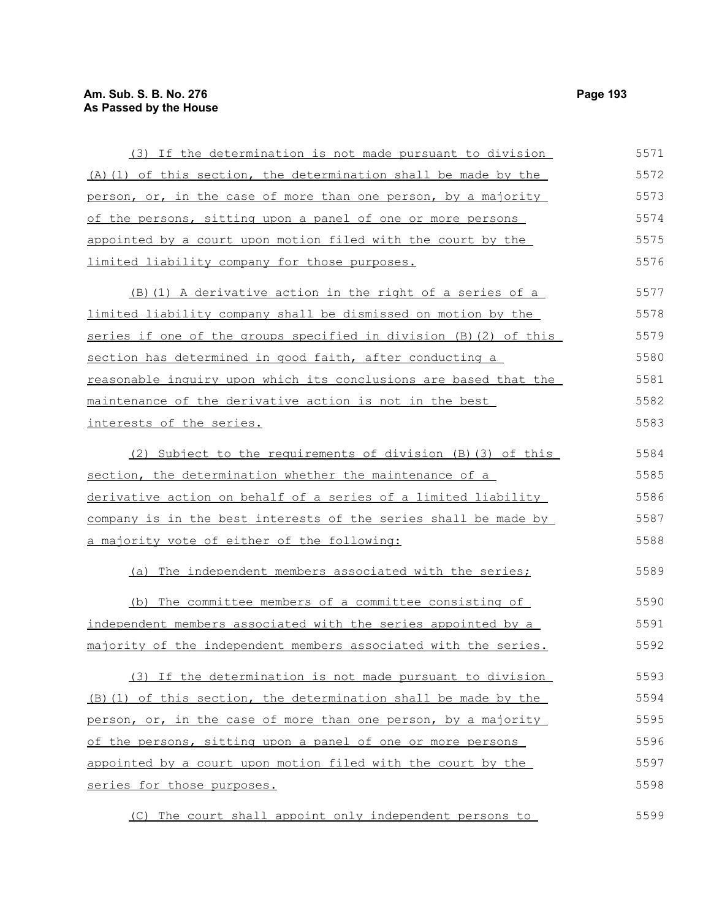## **Am. Sub. S. B. No. 276 Page 193 As Passed by the House**

| (3) If the determination is not made pursuant to division         | 5571 |
|-------------------------------------------------------------------|------|
| (A) (1) of this section, the determination shall be made by the   | 5572 |
| person, or, in the case of more than one person, by a majority    | 5573 |
| of the persons, sitting upon a panel of one or more persons       | 5574 |
| appointed by a court upon motion filed with the court by the      | 5575 |
| limited liability company for those purposes.                     | 5576 |
| (B) (1) A derivative action in the right of a series of a         | 5577 |
| limited liability company shall be dismissed on motion by the     | 5578 |
| series if one of the groups specified in division (B) (2) of this | 5579 |
| section has determined in good faith, after conducting a          | 5580 |
| reasonable inquiry upon which its conclusions are based that the  | 5581 |
| maintenance of the derivative action is not in the best           | 5582 |
| interests of the series.                                          | 5583 |
| (2) Subject to the requirements of division (B) (3) of this       | 5584 |
| section, the determination whether the maintenance of a           | 5585 |
| derivative action on behalf of a series of a limited liability    | 5586 |
| company is in the best interests of the series shall be made by   | 5587 |
| a majority vote of either of the following:                       | 5588 |
| (a) The independent members associated with the series;           | 5589 |
| The committee members of a committee consisting of<br>(b)         | 5590 |
| independent members associated with the series appointed by a     | 5591 |
| majority of the independent members associated with the series.   | 5592 |
| (3) If the determination is not made pursuant to division         | 5593 |
| (B) (1) of this section, the determination shall be made by the   | 5594 |
| person, or, in the case of more than one person, by a majority    | 5595 |
| of the persons, sitting upon a panel of one or more persons       | 5596 |
| appointed by a court upon motion filed with the court by the      | 5597 |
| series for those purposes.                                        | 5598 |
| (C) The court shall appoint only independent persons to           | 5599 |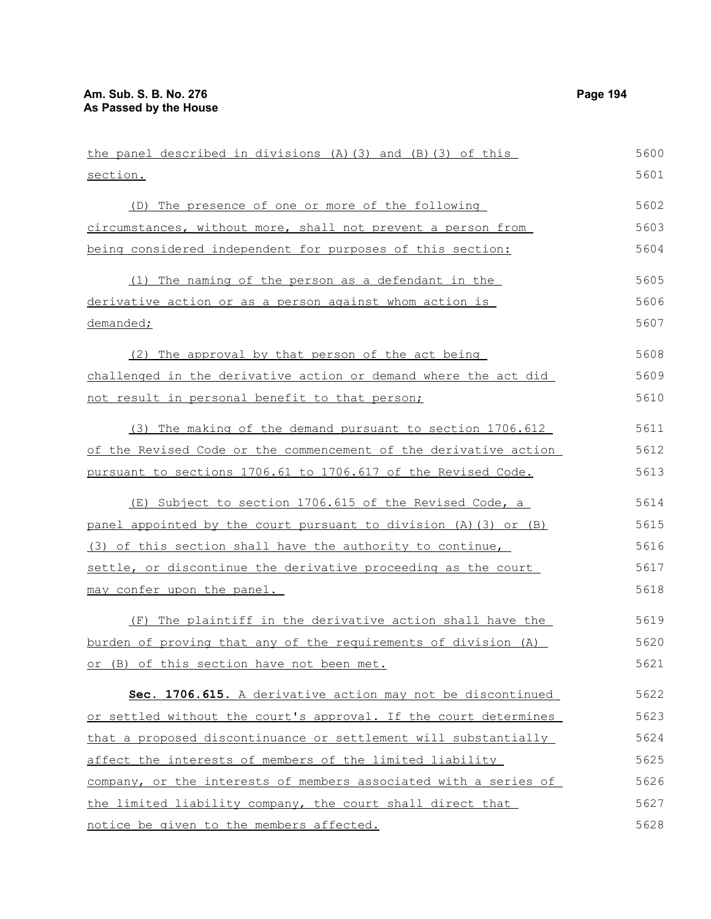| the panel described in divisions (A) (3) and (B) (3) of this     | 5600 |
|------------------------------------------------------------------|------|
| section.                                                         | 5601 |
| (D) The presence of one or more of the following                 | 5602 |
| circumstances, without more, shall not prevent a person from     | 5603 |
| being considered independent for purposes of this section:       | 5604 |
| (1) The naming of the person as a defendant in the               | 5605 |
| derivative action or as a person against whom action is          | 5606 |
| demanded;                                                        | 5607 |
| (2) The approval by that person of the act being                 | 5608 |
| challenged in the derivative action or demand where the act did  | 5609 |
| not result in personal benefit to that person;                   | 5610 |
| (3) The making of the demand pursuant to section 1706.612        | 5611 |
| of the Revised Code or the commencement of the derivative action | 5612 |
| pursuant to sections 1706.61 to 1706.617 of the Revised Code.    | 5613 |
| (E) Subject to section 1706.615 of the Revised Code, a           | 5614 |
| panel appointed by the court pursuant to division (A) (3) or (B) | 5615 |
| (3) of this section shall have the authority to continue,        | 5616 |
| settle, or discontinue the derivative proceeding as the court    | 5617 |
| may confer upon the panel.                                       | 5618 |
| The plaintiff in the derivative action shall have the<br>(F)     | 5619 |
| burden of proving that any of the requirements of division (A)   | 5620 |
| or (B) of this section have not been met.                        | 5621 |
| Sec. 1706.615. A derivative action may not be discontinued       | 5622 |
| or settled without the court's approval. If the court determines | 5623 |
| that a proposed discontinuance or settlement will substantially  | 5624 |
| affect the interests of members of the limited liability         | 5625 |
| company, or the interests of members associated with a series of | 5626 |
| the limited liability company, the court shall direct that       | 5627 |
| notice be given to the members affected.                         | 5628 |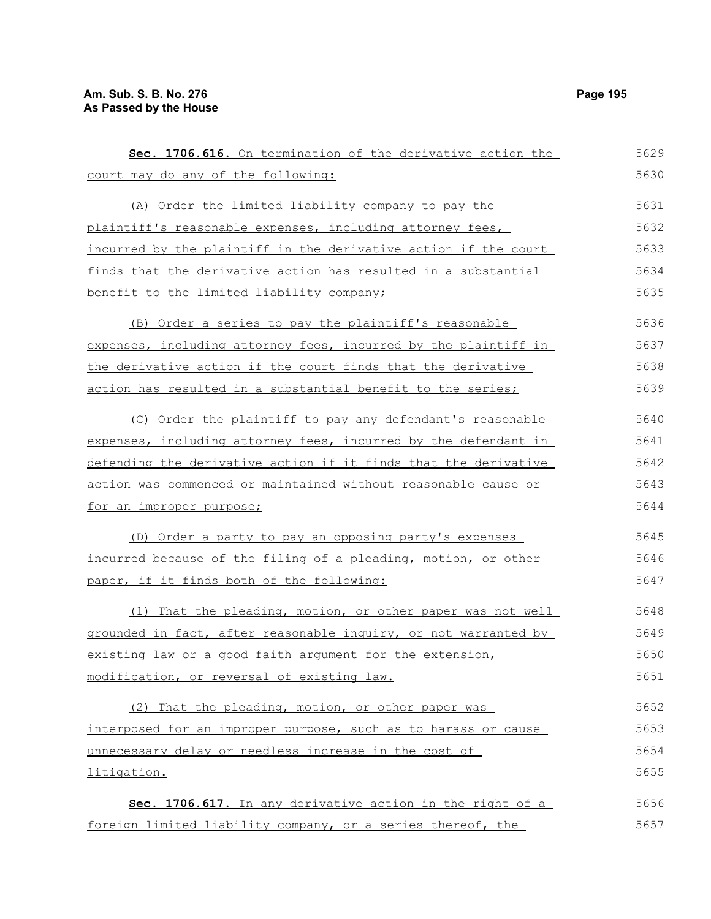| Sec. 1706.616. On termination of the derivative action the      | 5629 |
|-----------------------------------------------------------------|------|
| court may do any of the following:                              | 5630 |
| (A) Order the limited liability company to pay the              | 5631 |
| plaintiff's reasonable expenses, including attorney fees,       | 5632 |
| incurred by the plaintiff in the derivative action if the court | 5633 |
| finds that the derivative action has resulted in a substantial  | 5634 |
| benefit to the limited liability company;                       | 5635 |
| (B) Order a series to pay the plaintiff's reasonable            | 5636 |
| expenses, including attorney fees, incurred by the plaintiff in | 5637 |
| the derivative action if the court finds that the derivative    | 5638 |
| action has resulted in a substantial benefit to the series;     | 5639 |
| (C) Order the plaintiff to pay any defendant's reasonable       | 5640 |
| expenses, including attorney fees, incurred by the defendant in | 5641 |
| defending the derivative action if it finds that the derivative | 5642 |
| action was commenced or maintained without reasonable cause or  | 5643 |
| for an improper purpose;                                        | 5644 |
| (D) Order a party to pay an opposing party's expenses           | 5645 |
| incurred because of the filing of a pleading, motion, or other  | 5646 |
| paper, if it finds both of the following:                       | 5647 |
| (1) That the pleading, motion, or other paper was not well      | 5648 |
| grounded in fact, after reasonable inquiry, or not warranted by | 5649 |
| existing law or a good faith argument for the extension,        | 5650 |
| modification, or reversal of existing law.                      | 5651 |
| (2) That the pleading, motion, or other paper was               | 5652 |
| interposed for an improper purpose, such as to harass or cause  | 5653 |
| unnecessary delay or needless increase in the cost of           | 5654 |
| litigation.                                                     | 5655 |
| Sec. 1706.617. In any derivative action in the right of a       | 5656 |
| foreign limited liability company, or a series thereof, the     | 5657 |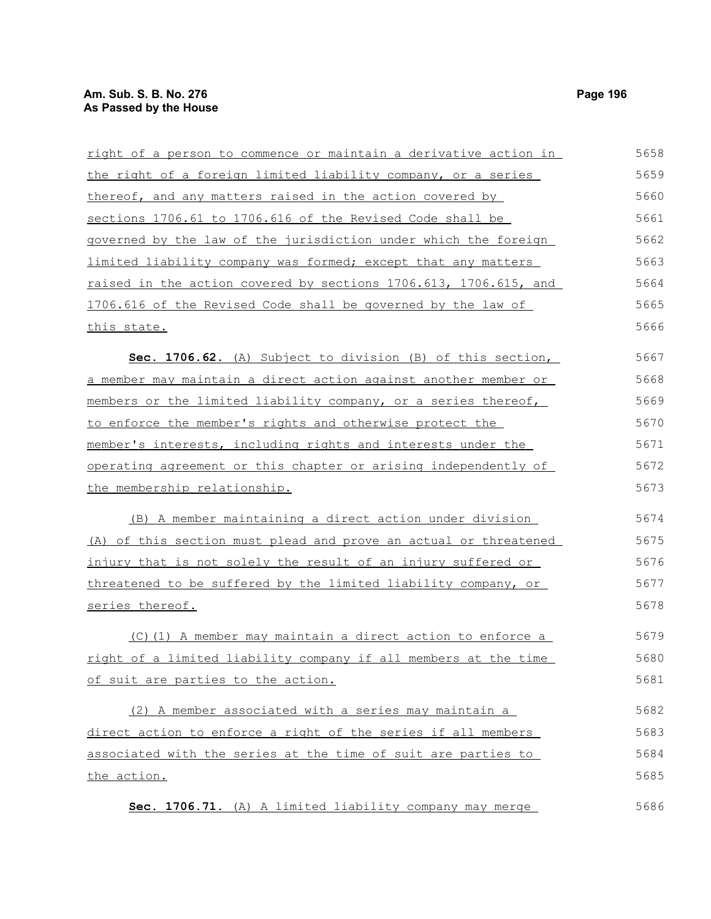| right of a person to commence or maintain a derivative action in | 5658 |
|------------------------------------------------------------------|------|
| the right of a foreign limited liability company, or a series    | 5659 |
| thereof, and any matters raised in the action covered by         | 5660 |
| sections 1706.61 to 1706.616 of the Revised Code shall be        | 5661 |
| governed by the law of the jurisdiction under which the foreign  | 5662 |
| limited liability company was formed; except that any matters    | 5663 |
| raised in the action covered by sections 1706.613, 1706.615, and | 5664 |
| 1706.616 of the Revised Code shall be governed by the law of     | 5665 |
| this state.                                                      | 5666 |
| Sec. 1706.62. (A) Subject to division (B) of this section,       | 5667 |
| a member may maintain a direct action against another member or  | 5668 |
| members or the limited liability company, or a series thereof,   | 5669 |
| to enforce the member's rights and otherwise protect the         | 5670 |
| member's interests, including rights and interests under the     | 5671 |
| operating agreement or this chapter or arising independently of  | 5672 |
| the membership relationship.                                     | 5673 |
| (B) A member maintaining a direct action under division          | 5674 |
| (A) of this section must plead and prove an actual or threatened | 5675 |
| injury that is not solely the result of an injury suffered or    | 5676 |
| threatened to be suffered by the limited liability company, or   | 5677 |
| series thereof.                                                  | 5678 |
| (C)(1) A member may maintain a direct action to enforce a        | 5679 |
| right of a limited liability company if all members at the time  | 5680 |
| of suit are parties to the action.                               | 5681 |
| (2) A member associated with a series may maintain a             | 5682 |
| direct action to enforce a right of the series if all members    | 5683 |
| associated with the series at the time of suit are parties to    | 5684 |
| the action.                                                      | 5685 |

**Sec. 1706.71.** (A) A limited liability company may merge

5686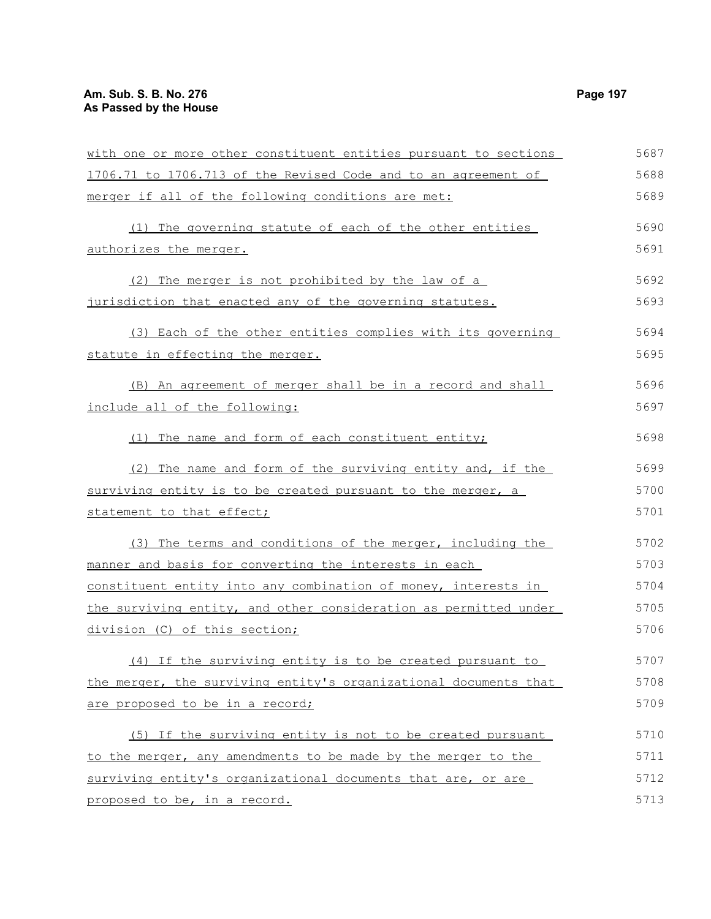| with one or more other constituent entities pursuant to sections | 5687 |
|------------------------------------------------------------------|------|
| 1706.71 to 1706.713 of the Revised Code and to an agreement of   | 5688 |
| merger if all of the following conditions are met:               | 5689 |
| (1) The governing statute of each of the other entities          | 5690 |
| authorizes the merger.                                           | 5691 |
| (2) The merger is not prohibited by the law of a                 | 5692 |
| jurisdiction that enacted any of the governing statutes.         | 5693 |
| (3) Each of the other entities complies with its governing       | 5694 |
| statute in effecting the merger.                                 | 5695 |
| (B) An agreement of merger shall be in a record and shall        | 5696 |
| include all of the following:                                    | 5697 |
| The name and form of each constituent entity;<br>(1)             | 5698 |
| The name and form of the surviving entity and, if the<br>(2)     | 5699 |
| surviving entity is to be created pursuant to the merger, a      | 5700 |
| statement to that effect;                                        | 5701 |
| (3) The terms and conditions of the merger, including the        | 5702 |
| manner and basis for converting the interests in each            | 5703 |
| constituent entity into any combination of money, interests in   | 5704 |
| the surviving entity, and other consideration as permitted under | 5705 |
| division (C) of this section;                                    | 5706 |
| (4) If the surviving entity is to be created pursuant to         | 5707 |
| the merger, the surviving entity's organizational documents that | 5708 |
| are proposed to be in a record;                                  | 5709 |
| (5) If the surviving entity is not to be created pursuant        | 5710 |
| to the merger, any amendments to be made by the merger to the    | 5711 |
| surviving entity's organizational documents that are, or are     | 5712 |
| proposed to be, in a record.                                     | 5713 |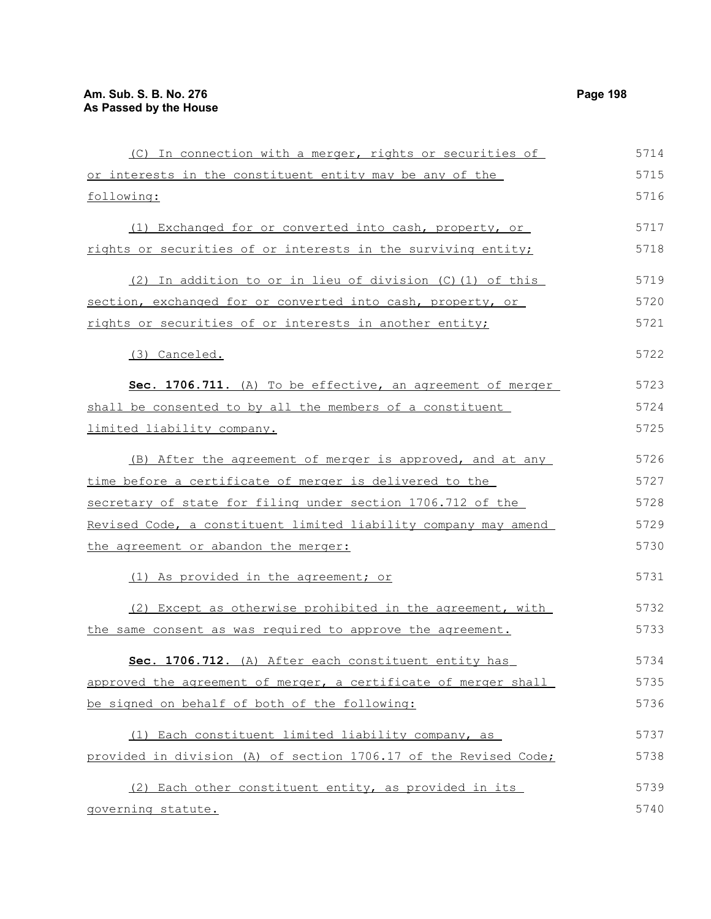(C) In connection with a merger, rights or securities of or interests in the constituent entity may be any of the following: (1) Exchanged for or converted into cash, property, or rights or securities of or interests in the surviving entity; (2) In addition to or in lieu of division (C)(1) of this section, exchanged for or converted into cash, property, or rights or securities of or interests in another entity; (3) Canceled. **Sec. 1706.711.** (A) To be effective, an agreement of merger shall be consented to by all the members of a constituent limited liability company. (B) After the agreement of merger is approved, and at any time before a certificate of merger is delivered to the secretary of state for filing under section 1706.712 of the Revised Code, a constituent limited liability company may amend the agreement or abandon the merger: (1) As provided in the agreement; or (2) Except as otherwise prohibited in the agreement, with the same consent as was required to approve the agreement. **Sec. 1706.712.** (A) After each constituent entity has approved the agreement of merger, a certificate of merger shall be signed on behalf of both of the following: (1) Each constituent limited liability company, as provided in division (A) of section 1706.17 of the Revised Code; 5714 5715 5716 5717 5718 5719 5720 5721 5722 5723 5724 5725 5726 5727 5728 5729 5730 5731 5732 5733 5734 5735 5736 5737 5738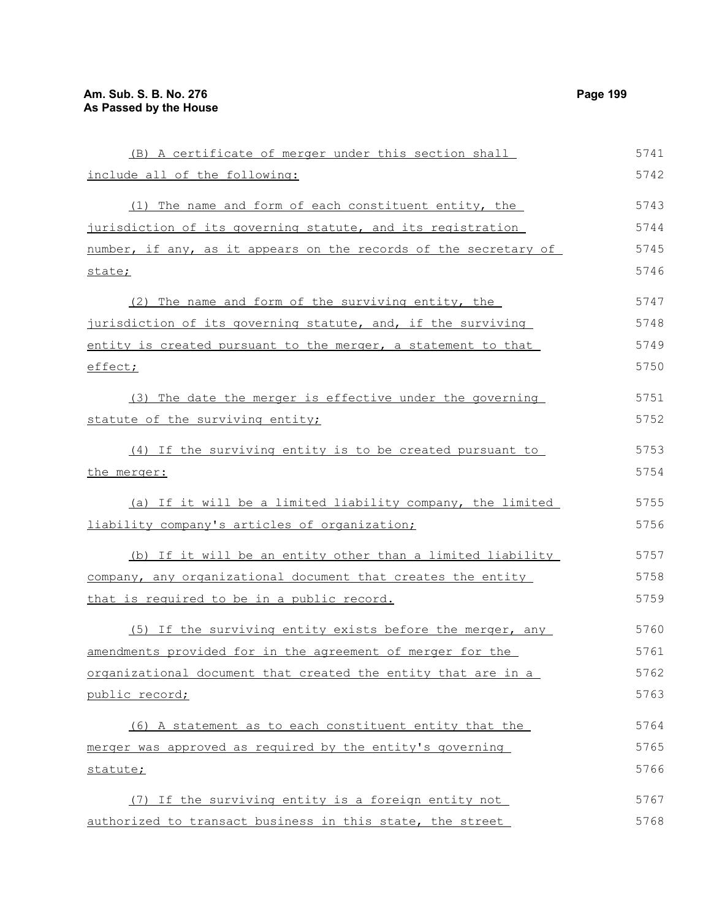| (B) A certificate of merger under this section shall             | 5741 |
|------------------------------------------------------------------|------|
| include all of the following:                                    | 5742 |
| (1) The name and form of each constituent entity, the            | 5743 |
| jurisdiction of its governing statute, and its registration      | 5744 |
| number, if any, as it appears on the records of the secretary of | 5745 |
| state;                                                           | 5746 |
| (2) The name and form of the surviving entity, the               | 5747 |
| jurisdiction of its governing statute, and, if the surviving     | 5748 |
| entity is created pursuant to the merger, a statement to that    | 5749 |
| effect;                                                          | 5750 |
| (3) The date the merger is effective under the governing         | 5751 |
| statute of the surviving entity;                                 | 5752 |
| (4) If the surviving entity is to be created pursuant to         | 5753 |
| <u>the merger:</u>                                               | 5754 |
| (a) If it will be a limited liability company, the limited       | 5755 |
| liability company's articles of organization;                    | 5756 |
| (b) If it will be an entity other than a limited liability       | 5757 |
| company, any organizational document that creates the entity     | 5758 |
| that is required to be in a public record.                       | 5759 |
| (5) If the surviving entity exists before the merger, any        | 5760 |
| amendments provided for in the agreement of merger for the       | 5761 |
| organizational document that created the entity that are in a    | 5762 |
| public record;                                                   | 5763 |
| (6) A statement as to each constituent entity that the           | 5764 |
| merger was approved as required by the entity's governing        | 5765 |
| statute;                                                         | 5766 |
| (7) If the surviving entity is a foreign entity not              | 5767 |
| authorized to transact business in this state, the street        | 5768 |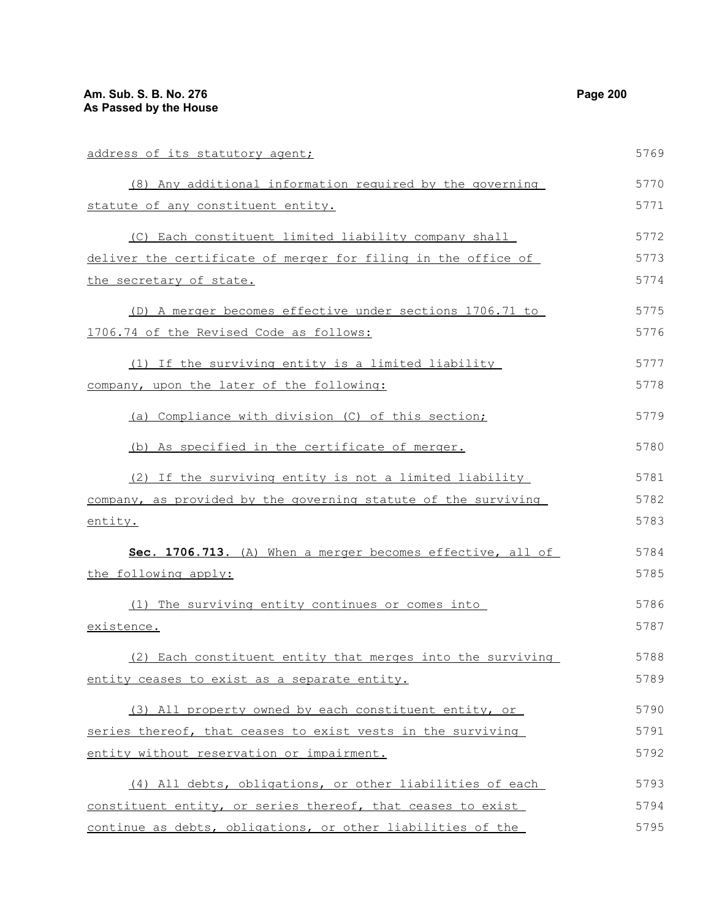| address of its statutory agent;                                | 5769 |
|----------------------------------------------------------------|------|
| (8) Any additional information required by the governing       | 5770 |
| statute of any constituent entity.                             | 5771 |
| (C) Each constituent limited liability company shall           | 5772 |
| deliver the certificate of merger for filing in the office of  | 5773 |
| the secretary of state.                                        | 5774 |
| (D) A merger becomes effective under sections 1706.71 to       | 5775 |
| 1706.74 of the Revised Code as follows:                        | 5776 |
| (1) If the surviving entity is a limited liability             | 5777 |
| company, upon the later of the following:                      | 5778 |
| (a) Compliance with division (C) of this section;              | 5779 |
| (b) As specified in the certificate of merger.                 | 5780 |
| (2) If the surviving entity is not a limited liability         | 5781 |
| company, as provided by the governing statute of the surviving | 5782 |
| entity.                                                        | 5783 |
| Sec. 1706.713. (A) When a merger becomes effective, all of     | 5784 |
| the following apply:                                           | 5785 |
| (1) The surviving entity continues or comes into               | 5786 |
| existence.                                                     | 5787 |
| (2) Each constituent entity that merges into the surviving     | 5788 |
| entity ceases to exist as a separate entity.                   | 5789 |
| (3) All property owned by each constituent entity, or          | 5790 |
| series thereof, that ceases to exist vests in the surviving    | 5791 |
| entity without reservation or impairment.                      | 5792 |
| (4) All debts, obligations, or other liabilities of each       | 5793 |
| constituent entity, or series thereof, that ceases to exist    | 5794 |
| continue as debts, obligations, or other liabilities of the    | 5795 |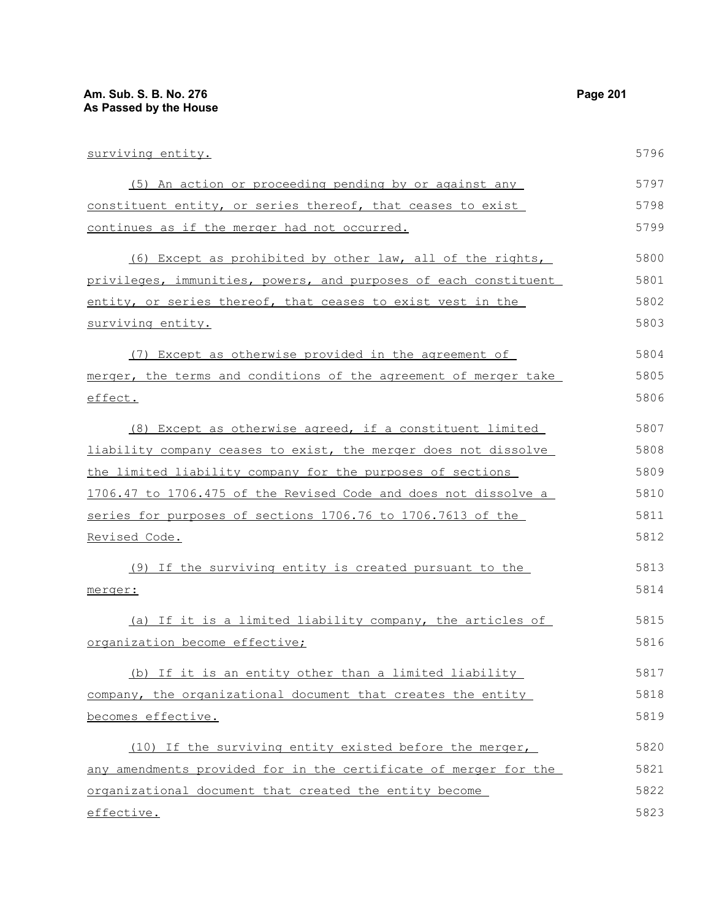| surviving entity.                                                | 5796 |
|------------------------------------------------------------------|------|
| (5) An action or proceeding pending by or against any            | 5797 |
| constituent entity, or series thereof, that ceases to exist      | 5798 |
| continues as if the merger had not occurred.                     | 5799 |
| (6) Except as prohibited by other law, all of the rights,        | 5800 |
| privileges, immunities, powers, and purposes of each constituent | 5801 |
| entity, or series thereof, that ceases to exist vest in the      | 5802 |
| surviving entity.                                                | 5803 |
| (7) Except as otherwise provided in the agreement of             | 5804 |
| merger, the terms and conditions of the agreement of merger take | 5805 |
| effect.                                                          | 5806 |
| (8) Except as otherwise agreed, if a constituent limited         | 5807 |
| liability company ceases to exist, the merger does not dissolve  | 5808 |
| the limited liability company for the purposes of sections       | 5809 |
| 1706.47 to 1706.475 of the Revised Code and does not dissolve a  | 5810 |
| series for purposes of sections 1706.76 to 1706.7613 of the      | 5811 |
| <u>Revised Code.</u>                                             | 5812 |
| (9) If the surviving entity is created pursuant to the           | 5813 |
| merger:                                                          | 5814 |
| (a) If it is a limited liability company, the articles of        | 5815 |
| organization become effective;                                   | 5816 |
| (b) If it is an entity other than a limited liability            | 5817 |
| company, the organizational document that creates the entity     | 5818 |
| becomes effective.                                               | 5819 |
| (10) If the surviving entity existed before the merger,          | 5820 |
| any amendments provided for in the certificate of merger for the | 5821 |
| organizational document that created the entity become           | 5822 |
| <u>effective.</u>                                                | 5823 |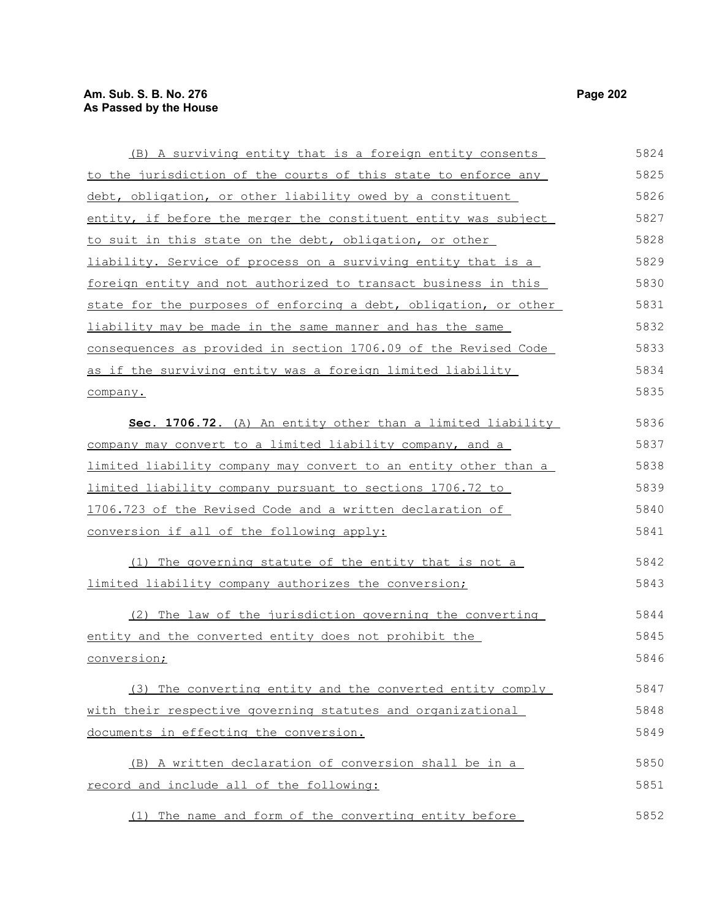(B) A surviving entity that is a foreign entity consents to the jurisdiction of the courts of this state to enforce any debt, obligation, or other liability owed by a constituent entity, if before the merger the constituent entity was subject to suit in this state on the debt, obligation, or other liability. Service of process on a surviving entity that is a foreign entity and not authorized to transact business in this state for the purposes of enforcing a debt, obligation, or other liability may be made in the same manner and has the same consequences as provided in section 1706.09 of the Revised Code as if the surviving entity was a foreign limited liability company. **Sec. 1706.72.** (A) An entity other than a limited liability company may convert to a limited liability company, and a limited liability company may convert to an entity other than a limited liability company pursuant to sections 1706.72 to 1706.723 of the Revised Code and a written declaration of conversion if all of the following apply: (1) The governing statute of the entity that is not a limited liability company authorizes the conversion; (2) The law of the jurisdiction governing the converting entity and the converted entity does not prohibit the conversion; (3) The converting entity and the converted entity comply with their respective governing statutes and organizational documents in effecting the conversion. (B) A written declaration of conversion shall be in a record and include all of the following: (1) The name and form of the converting entity before 5824 5825 5826 5827 5828 5829 5830 5831 5832 5833 5834 5835 5836 5837 5838 5839 5840 5841 5842 5843 5844 5845 5846 5847 5848 5849 5850 5851 5852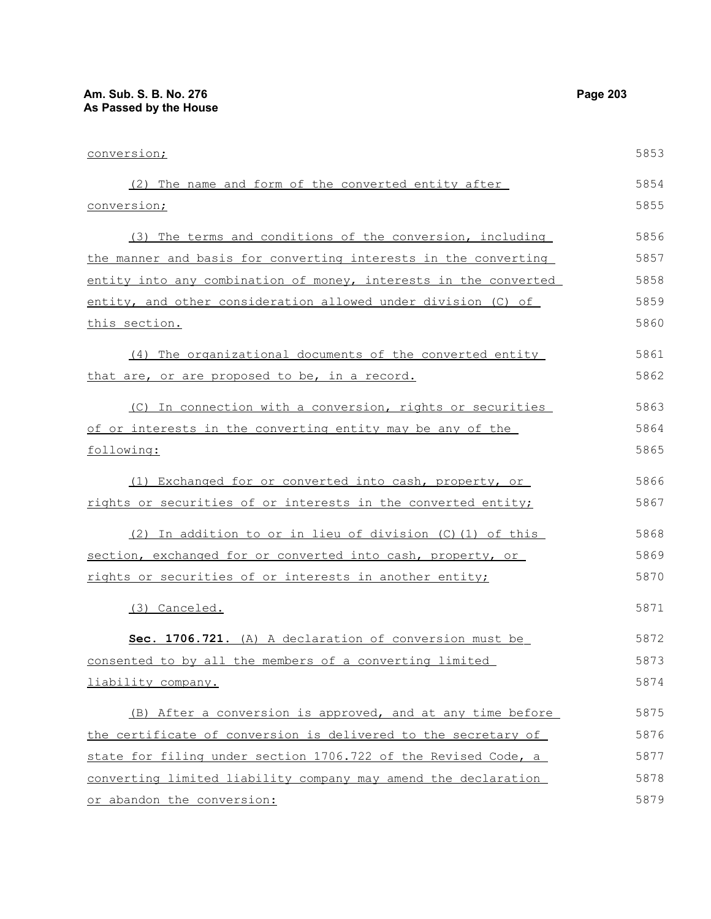## **Am. Sub. S. B. No. 276 Page 203 As Passed by the House**

| conversion;                                                      | 5853 |
|------------------------------------------------------------------|------|
| (2) The name and form of the converted entity after              | 5854 |
| <u>conversion;</u>                                               | 5855 |
| (3) The terms and conditions of the conversion, including        | 5856 |
| the manner and basis for converting interests in the converting  | 5857 |
| entity into any combination of money, interests in the converted | 5858 |
| entity, and other consideration allowed under division (C) of    | 5859 |
| <u>this section.</u>                                             | 5860 |
| (4) The organizational documents of the converted entity         | 5861 |
| that are, or are proposed to be, in a record.                    | 5862 |
| (C) In connection with a conversion, rights or securities        | 5863 |
| of or interests in the converting entity may be any of the       | 5864 |
| following:                                                       | 5865 |
| (1) Exchanged for or converted into cash, property, or           | 5866 |
| rights or securities of or interests in the converted entity;    | 5867 |
| (2) In addition to or in lieu of division (C) (1) of this        | 5868 |
| section, exchanged for or converted into cash, property, or      | 5869 |
| rights or securities of or interests in another entity;          | 5870 |
| (3) Canceled.                                                    | 5871 |
| Sec. 1706.721. (A) A declaration of conversion must be           | 5872 |
| consented to by all the members of a converting limited          | 5873 |
| liability company.                                               | 5874 |
| (B) After a conversion is approved, and at any time before       | 5875 |
| the certificate of conversion is delivered to the secretary of   | 5876 |
| state for filing under section 1706.722 of the Revised Code, a   | 5877 |
| converting limited liability company may amend the declaration   | 5878 |
| or abandon the conversion:                                       | 5879 |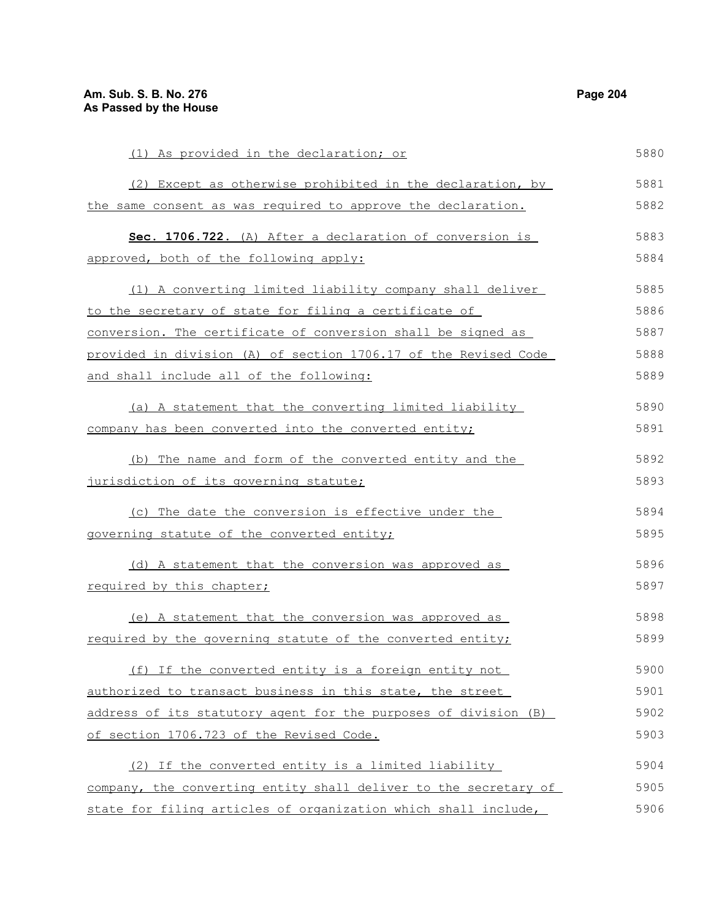(1) As provided in the declaration; or (2) Except as otherwise prohibited in the declaration, by the same consent as was required to approve the declaration. Sec. 1706.722. (A) After a declaration of conversion is approved, both of the following apply: (1) A converting limited liability company shall deliver to the secretary of state for filing a certificate of conversion. The certificate of conversion shall be signed as provided in division (A) of section 1706.17 of the Revised Code and shall include all of the following: (a) A statement that the converting limited liability company has been converted into the converted entity; (b) The name and form of the converted entity and the jurisdiction of its governing statute; (c) The date the conversion is effective under the governing statute of the converted entity; (d) A statement that the conversion was approved as required by this chapter; (e) A statement that the conversion was approved as required by the governing statute of the converted entity; (f) If the converted entity is a foreign entity not authorized to transact business in this state, the street address of its statutory agent for the purposes of division (B) of section 1706.723 of the Revised Code. (2) If the converted entity is a limited liability company, the converting entity shall deliver to the secretary of state for filing articles of organization which shall include, 5880 5881 5882 5883 5884 5885 5886 5887 5888 5889 5890 5891 5892 5893 5894 5895 5896 5897 5898 5899 5900 5901 5902 5903 5904 5905 5906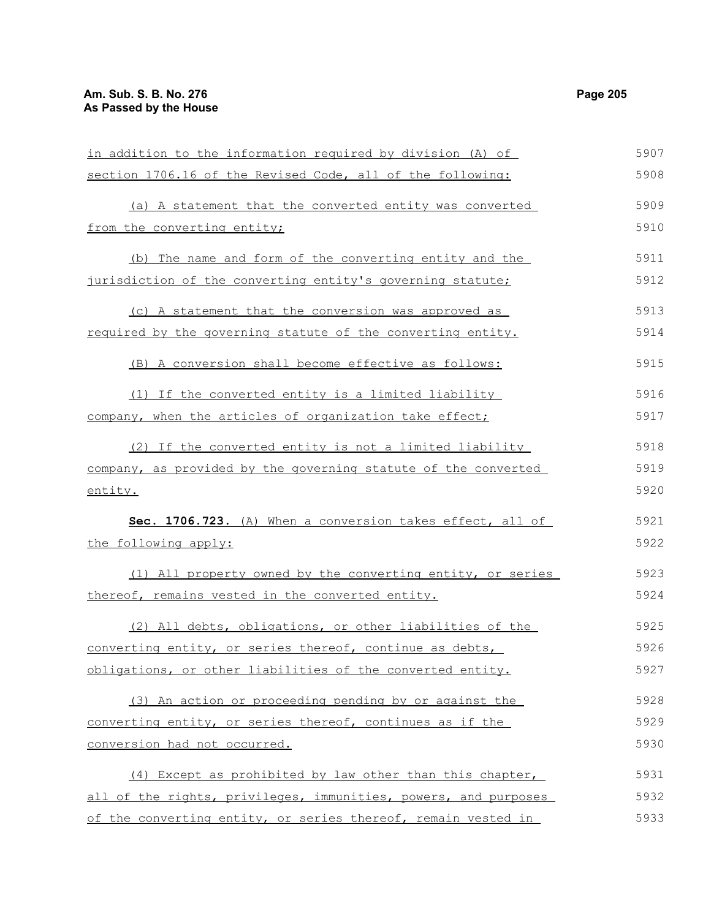in addition to the information required by division (A) of section 1706.16 of the Revised Code, all of the following: (a) A statement that the converted entity was converted from the converting entity; (b) The name and form of the converting entity and the jurisdiction of the converting entity's governing statute; (c) A statement that the conversion was approved as required by the governing statute of the converting entity. (B) A conversion shall become effective as follows: (1) If the converted entity is a limited liability company, when the articles of organization take effect; (2) If the converted entity is not a limited liability company, as provided by the governing statute of the converted entity. **Sec. 1706.723.** (A) When a conversion takes effect, all of the following apply: (1) All property owned by the converting entity, or series thereof, remains vested in the converted entity. (2) All debts, obligations, or other liabilities of the converting entity, or series thereof, continue as debts, obligations, or other liabilities of the converted entity. (3) An action or proceeding pending by or against the converting entity, or series thereof, continues as if the conversion had not occurred. (4) Except as prohibited by law other than this chapter, all of the rights, privileges, immunities, powers, and purposes of the converting entity, or series thereof, remain vested in 5907 5908 5909 5910 5911 5912 5913 5914 5915 5916 5917 5918 5919 5920 5921 5922 5923 5924 5925 5926 5927 5928 5929 5930 5931 5932 5933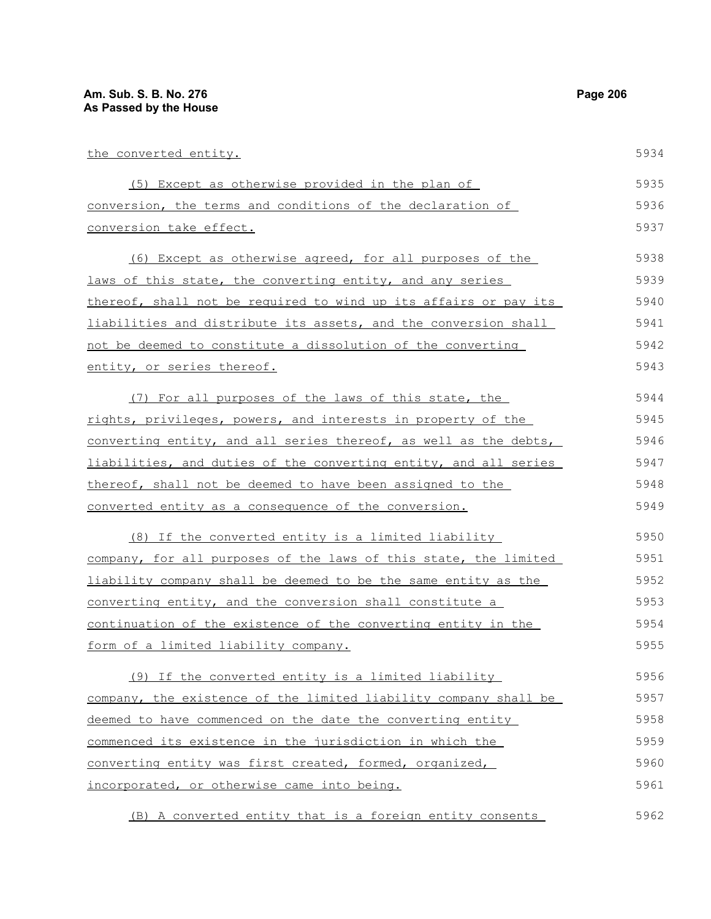| the converted entity.                                            | 5934 |
|------------------------------------------------------------------|------|
| (5) Except as otherwise provided in the plan of                  | 5935 |
| conversion, the terms and conditions of the declaration of       | 5936 |
| conversion take effect.                                          | 5937 |
| (6) Except as otherwise agreed, for all purposes of the          | 5938 |
| laws of this state, the converting entity, and any series        | 5939 |
| thereof, shall not be required to wind up its affairs or pay its | 5940 |
| liabilities and distribute its assets, and the conversion shall  | 5941 |
| not be deemed to constitute a dissolution of the converting      | 5942 |
| entity, or series thereof.                                       | 5943 |
| (7) For all purposes of the laws of this state, the              | 5944 |
| rights, privileges, powers, and interests in property of the     | 5945 |
| converting entity, and all series thereof, as well as the debts, | 5946 |
| liabilities, and duties of the converting entity, and all series | 5947 |
| thereof, shall not be deemed to have been assigned to the        | 5948 |
| converted entity as a consequence of the conversion.             | 5949 |
| (8) If the converted entity is a limited liability               | 5950 |
| company, for all purposes of the laws of this state, the limited | 5951 |
| liability company shall be deemed to be the same entity as the   | 5952 |
| converting entity, and the conversion shall constitute a         | 5953 |
| continuation of the existence of the converting entity in the    | 5954 |
| form of a limited liability company.                             | 5955 |
| (9) If the converted entity is a limited liability               | 5956 |
| company, the existence of the limited liability company shall be | 5957 |
| deemed to have commenced on the date the converting entity       | 5958 |
| commenced its existence in the jurisdiction in which the         | 5959 |
| converting entity was first created, formed, organized,          | 5960 |
| incorporated, or otherwise came into being.                      | 5961 |
| (B) A converted entity that is a foreign entity consents         | 5962 |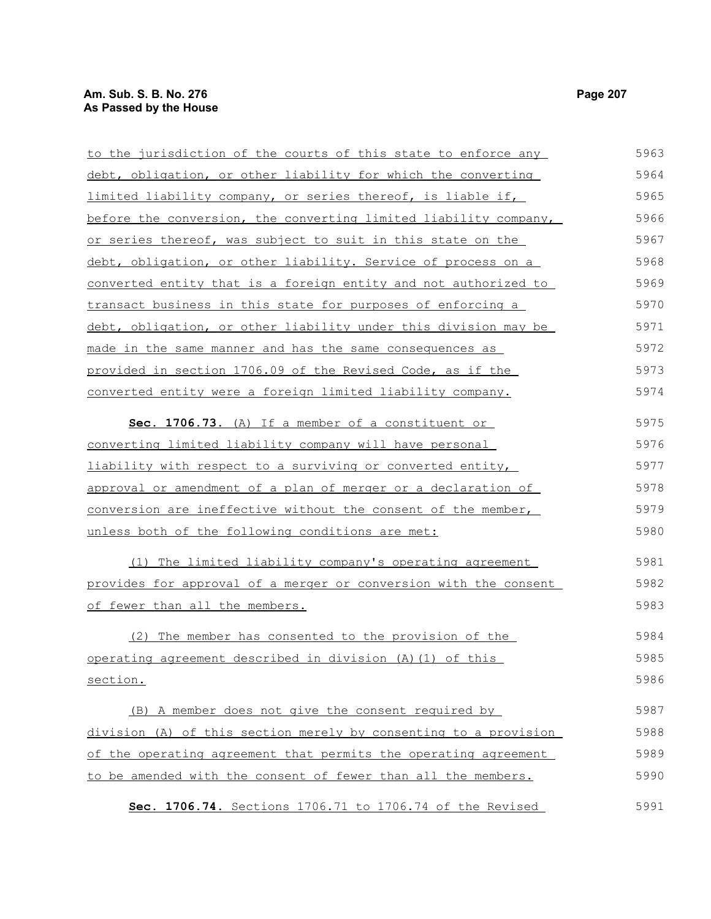## **Am. Sub. S. B. No. 276** Page 207 **As Passed by the House**

| to the jurisdiction of the courts of this state to enforce any   | 5963 |
|------------------------------------------------------------------|------|
| debt, obligation, or other liability for which the converting    | 5964 |
| limited liability company, or series thereof, is liable if,      | 5965 |
| before the conversion, the converting limited liability company, | 5966 |
| or series thereof, was subject to suit in this state on the      | 5967 |
| debt, obligation, or other liability. Service of process on a    | 5968 |
| converted entity that is a foreign entity and not authorized to  | 5969 |
| transact business in this state for purposes of enforcing a      | 5970 |
| debt, obligation, or other liability under this division may be  | 5971 |
| made in the same manner and has the same consequences as         | 5972 |
| provided in section 1706.09 of the Revised Code, as if the       | 5973 |
| converted entity were a foreign limited liability company.       | 5974 |
| Sec. 1706.73. (A) If a member of a constituent or                | 5975 |
| converting limited liability company will have personal          | 5976 |
| liability with respect to a surviving or converted entity,       | 5977 |
| approval or amendment of a plan of merger or a declaration of    | 5978 |
| conversion are ineffective without the consent of the member,    | 5979 |
| unless both of the following conditions are met:                 | 5980 |
| (1) The limited liability company's operating agreement          | 5981 |
| provides for approval of a merger or conversion with the consent | 5982 |
| of fewer than all the members.                                   | 5983 |
| (2) The member has consented to the provision of the             | 5984 |
| operating agreement described in division (A) (1) of this        | 5985 |
| section.                                                         | 5986 |
| (B) A member does not give the consent required by               | 5987 |
| division (A) of this section merely by consenting to a provision | 5988 |
| of the operating agreement that permits the operating agreement  | 5989 |
| to be amended with the consent of fewer than all the members.    | 5990 |
| Sec. 1706.74. Sections 1706.71 to 1706.74 of the Revised         | 5991 |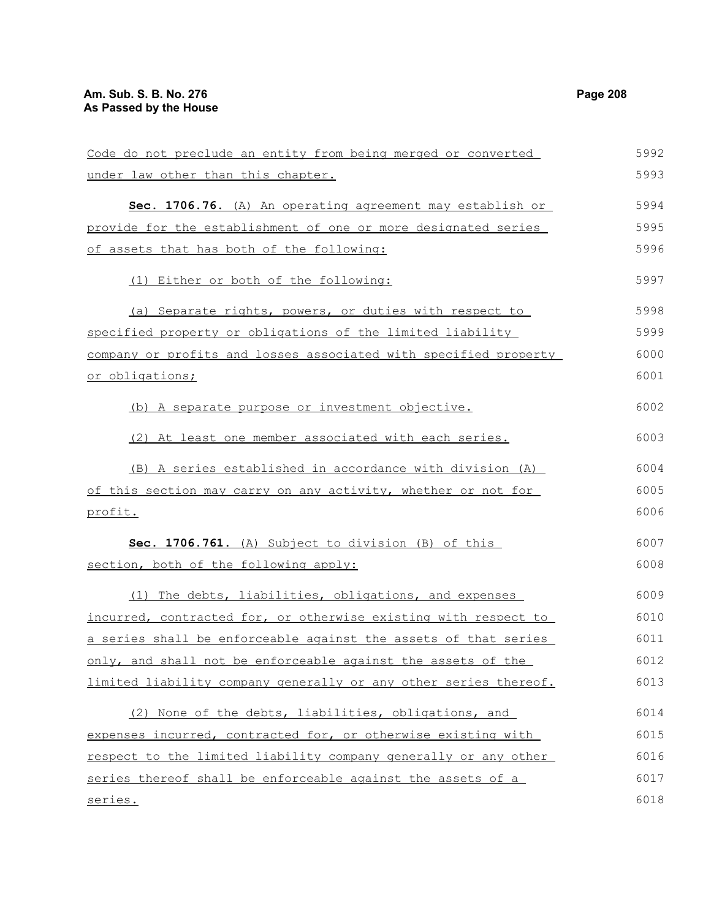| Code do not preclude an entity from being merged or converted    | 5992 |
|------------------------------------------------------------------|------|
| under law other than this chapter.                               | 5993 |
| Sec. 1706.76. (A) An operating agreement may establish or        | 5994 |
| provide for the establishment of one or more designated series   | 5995 |
| of assets that has both of the following:                        | 5996 |
| (1) Either or both of the following:                             | 5997 |
| (a) Separate rights, powers, or duties with respect to           | 5998 |
| specified property or obligations of the limited liability       | 5999 |
| company or profits and losses associated with specified property | 6000 |
| <u>or obligations;</u>                                           | 6001 |
| (b) A separate purpose or investment objective.                  | 6002 |
| (2) At least one member associated with each series.             | 6003 |
| (B) A series established in accordance with division (A)         | 6004 |
| of this section may carry on any activity, whether or not for    | 6005 |
| profit.                                                          | 6006 |
| Sec. 1706.761. (A) Subject to division (B) of this               | 6007 |
| section, both of the following apply:                            | 6008 |
| (1) The debts, liabilities, obligations, and expenses            | 6009 |
| incurred, contracted for, or otherwise existing with respect to  | 6010 |
| a series shall be enforceable against the assets of that series  | 6011 |
| only, and shall not be enforceable against the assets of the     | 6012 |
| limited liability company generally or any other series thereof. | 6013 |
| (2) None of the debts, liabilities, obligations, and             | 6014 |
| expenses incurred, contracted for, or otherwise existing with    | 6015 |
| respect to the limited liability company generally or any other  | 6016 |
| series thereof shall be enforceable against the assets of a      | 6017 |
| <u>series.</u>                                                   | 6018 |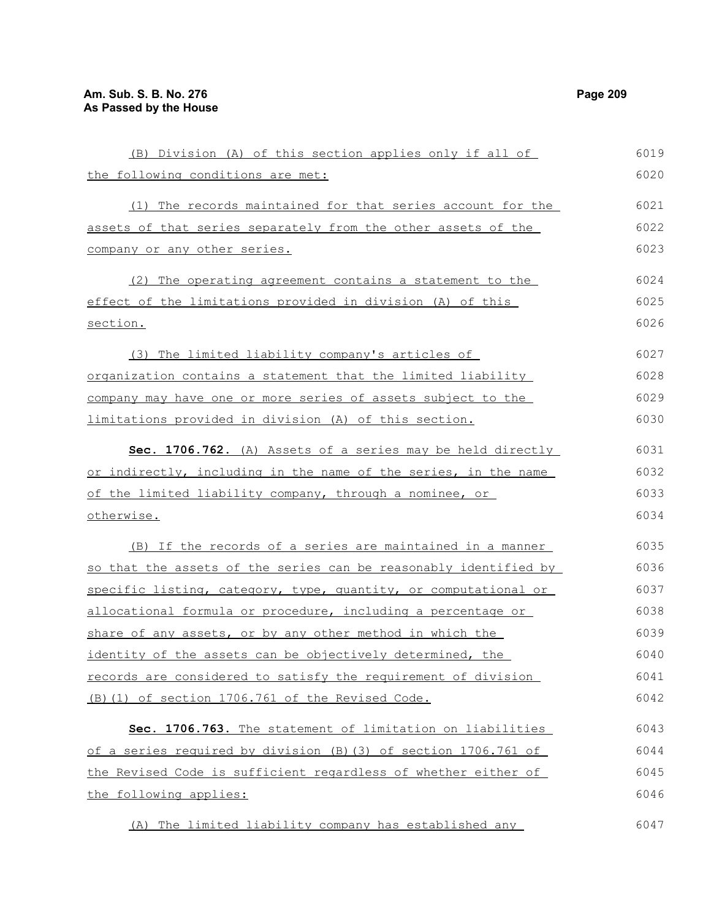| (B) Division (A) of this section applies only if all of          | 6019 |
|------------------------------------------------------------------|------|
| the following conditions are met:                                | 6020 |
| (1) The records maintained for that series account for the       | 6021 |
| assets of that series separately from the other assets of the    | 6022 |
| company or any other series.                                     | 6023 |
| (2) The operating agreement contains a statement to the          | 6024 |
| effect of the limitations provided in division (A) of this       | 6025 |
| section.                                                         | 6026 |
| (3) The limited liability company's articles of                  | 6027 |
| organization contains a statement that the limited liability     | 6028 |
| company may have one or more series of assets subject to the     | 6029 |
| limitations provided in division (A) of this section.            | 6030 |
| Sec. 1706.762. (A) Assets of a series may be held directly       | 6031 |
| or indirectly, including in the name of the series, in the name  | 6032 |
| of the limited liability company, through a nominee, or          | 6033 |
| otherwise.                                                       | 6034 |
| (B) If the records of a series are maintained in a manner        | 6035 |
| so that the assets of the series can be reasonably identified by | 6036 |
| specific listing, category, type, quantity, or computational or  | 6037 |
| allocational formula or procedure, including a percentage or     | 6038 |
| share of any assets, or by any other method in which the         | 6039 |
| identity of the assets can be objectively determined, the        | 6040 |
| records are considered to satisfy the requirement of division    | 6041 |
| (B) (1) of section 1706.761 of the Revised Code.                 | 6042 |
| Sec. 1706.763. The statement of limitation on liabilities        | 6043 |
| of a series required by division (B) (3) of section 1706.761 of  | 6044 |
| the Revised Code is sufficient regardless of whether either of   | 6045 |
| the following applies:                                           | 6046 |
| (A) The limited liability company has established any            | 6047 |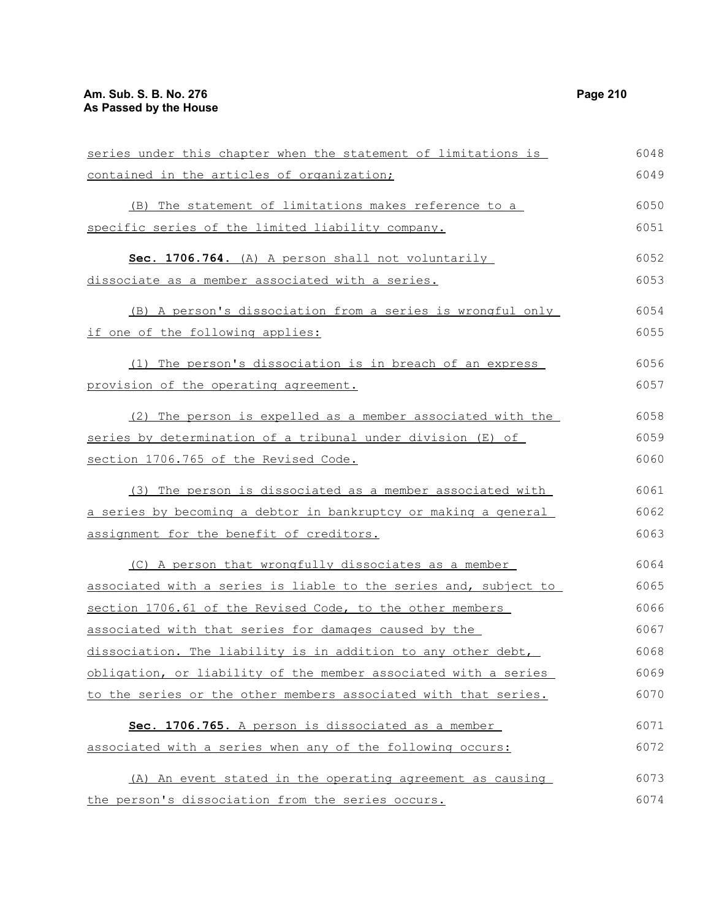| series under this chapter when the statement of limitations is   | 6048 |
|------------------------------------------------------------------|------|
| contained in the articles of organization;                       | 6049 |
| (B) The statement of limitations makes reference to a            | 6050 |
| specific series of the limited liability company.                | 6051 |
| Sec. 1706.764. (A) A person shall not voluntarily                | 6052 |
| dissociate as a member associated with a series.                 | 6053 |
| (B) A person's dissociation from a series is wrongful only       | 6054 |
| if one of the following applies:                                 | 6055 |
| (1) The person's dissociation is in breach of an express         | 6056 |
| provision of the operating agreement.                            | 6057 |
| (2) The person is expelled as a member associated with the       | 6058 |
| series by determination of a tribunal under division (E) of      | 6059 |
| section 1706.765 of the Revised Code.                            | 6060 |
| (3) The person is dissociated as a member associated with        | 6061 |
| a series by becoming a debtor in bankruptcy or making a general  | 6062 |
| assignment for the benefit of creditors.                         | 6063 |
| (C) A person that wrongfully dissociates as a member             | 6064 |
| associated with a series is liable to the series and, subject to | 6065 |
| section 1706.61 of the Revised Code, to the other members        | 6066 |
| associated with that series for damages caused by the            | 6067 |
| dissociation. The liability is in addition to any other debt,    | 6068 |
| obligation, or liability of the member associated with a series  | 6069 |
| to the series or the other members associated with that series.  | 6070 |
| Sec. 1706.765. A person is dissociated as a member               | 6071 |
| associated with a series when any of the following occurs:       | 6072 |
| (A) An event stated in the operating agreement as causing        | 6073 |
| the person's dissociation from the series occurs.                | 6074 |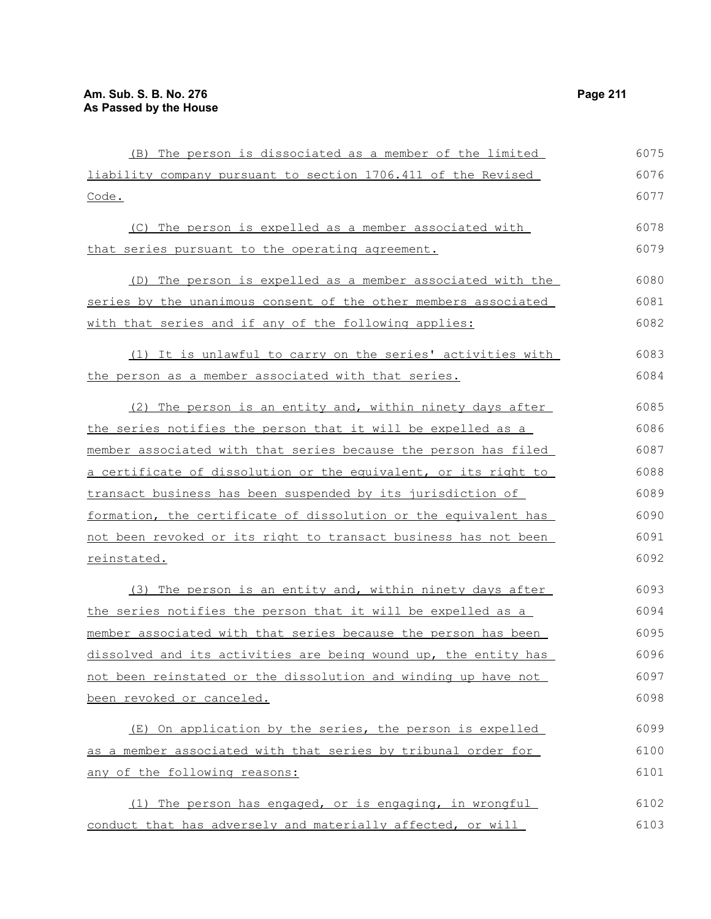| (B) The person is dissociated as a member of the limited        | 6075 |
|-----------------------------------------------------------------|------|
| liability company pursuant to section 1706.411 of the Revised   | 6076 |
| Code.                                                           | 6077 |
| (C) The person is expelled as a member associated with          | 6078 |
| that series pursuant to the operating agreement.                | 6079 |
| (D) The person is expelled as a member associated with the      | 6080 |
| series by the unanimous consent of the other members associated | 6081 |
| with that series and if any of the following applies:           | 6082 |
| (1) It is unlawful to carry on the series' activities with      | 6083 |
| the person as a member associated with that series.             | 6084 |
| (2) The person is an entity and, within ninety days after       | 6085 |
| the series notifies the person that it will be expelled as a    | 6086 |
| member associated with that series because the person has filed | 6087 |
| a certificate of dissolution or the equivalent, or its right to | 6088 |
| transact business has been suspended by its jurisdiction of     | 6089 |
| formation, the certificate of dissolution or the equivalent has | 6090 |
| not been revoked or its right to transact business has not been | 6091 |
| <u>reinstated.</u>                                              | 6092 |
| The person is an entity and, within ninety days after<br>(3)    | 6093 |
| the series notifies the person that it will be expelled as a    | 6094 |
| member associated with that series because the person has been  | 6095 |
| dissolved and its activities are being wound up, the entity has | 6096 |
| not been reinstated or the dissolution and winding up have not  | 6097 |
| been revoked or canceled.                                       | 6098 |
| (E) On application by the series, the person is expelled        | 6099 |
| as a member associated with that series by tribunal order for   | 6100 |
| any of the following reasons:                                   | 6101 |
| The person has engaged, or is engaging, in wrongful<br>(1)      | 6102 |
| conduct that has adversely and materially affected, or will     | 6103 |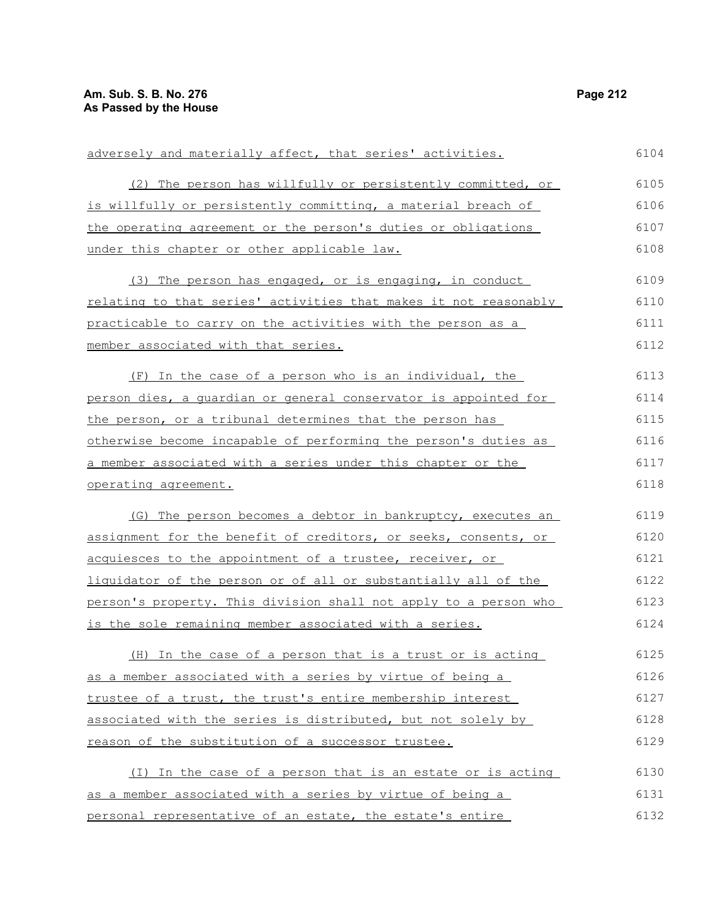| adversely and materially affect, that series' activities.        | 6104 |
|------------------------------------------------------------------|------|
| (2) The person has willfully or persistently committed, or       | 6105 |
| is willfully or persistently committing, a material breach of    | 6106 |
| the operating agreement or the person's duties or obligations    | 6107 |
| under this chapter or other applicable law.                      | 6108 |
| (3) The person has engaged, or is engaging, in conduct           | 6109 |
| relating to that series' activities that makes it not reasonably | 6110 |
| practicable to carry on the activities with the person as a      | 6111 |
| member associated with that series.                              | 6112 |
| (F) In the case of a person who is an individual, the            | 6113 |
| person dies, a quardian or general conservator is appointed for  | 6114 |
| the person, or a tribunal determines that the person has         | 6115 |
| otherwise become incapable of performing the person's duties as  | 6116 |
| a member associated with a series under this chapter or the      | 6117 |
| operating agreement.                                             | 6118 |
| (G) The person becomes a debtor in bankruptcy, executes an       | 6119 |
| assignment for the benefit of creditors, or seeks, consents, or  | 6120 |
| acquiesces to the appointment of a trustee, receiver, or         | 6121 |
| liquidator of the person or of all or substantially all of the   | 6122 |
| person's property. This division shall not apply to a person who | 6123 |
| is the sole remaining member associated with a series.           | 6124 |
| (H) In the case of a person that is a trust or is acting         | 6125 |
| as a member associated with a series by virtue of being a        | 6126 |
| trustee of a trust, the trust's entire membership interest       | 6127 |
| associated with the series is distributed, but not solely by     | 6128 |
| reason of the substitution of a successor trustee.               | 6129 |
| (I) In the case of a person that is an estate or is acting       | 6130 |
| as a member associated with a series by virtue of being a        | 6131 |
| personal representative of an estate, the estate's entire        | 6132 |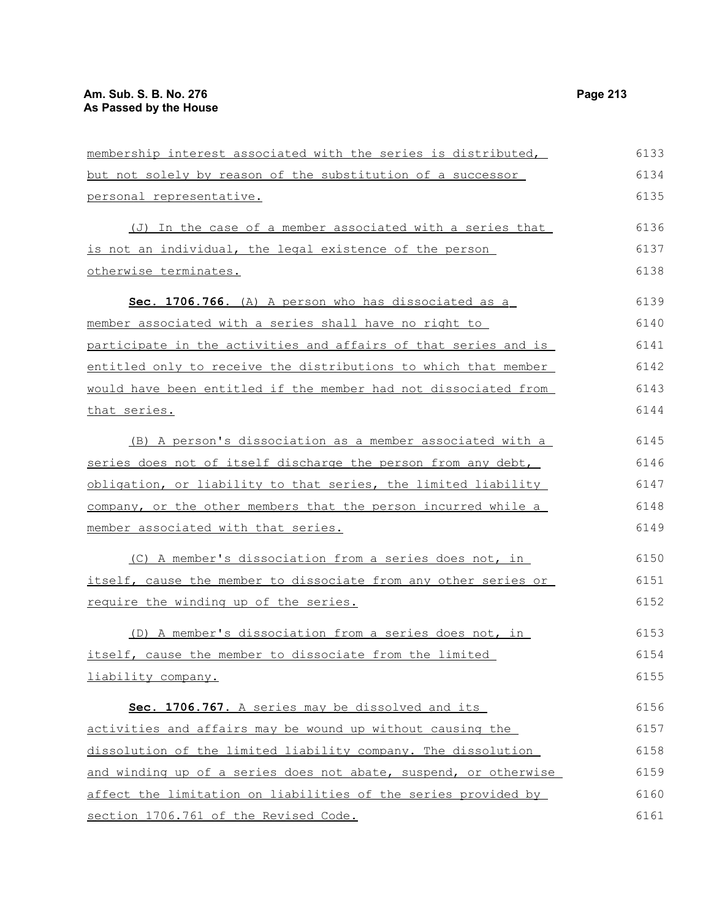| membership interest associated with the series is distributed,   | 6133 |
|------------------------------------------------------------------|------|
| but not solely by reason of the substitution of a successor      | 6134 |
| personal representative.                                         | 6135 |
| (J) In the case of a member associated with a series that        | 6136 |
| is not an individual, the legal existence of the person          | 6137 |
| otherwise terminates.                                            | 6138 |
| Sec. 1706.766. (A) A person who has dissociated as a             | 6139 |
| member associated with a series shall have no right to           | 6140 |
| participate in the activities and affairs of that series and is  | 6141 |
| entitled only to receive the distributions to which that member  | 6142 |
| would have been entitled if the member had not dissociated from  | 6143 |
| that series.                                                     | 6144 |
| (B) A person's dissociation as a member associated with a        | 6145 |
| series does not of itself discharge the person from any debt,    | 6146 |
| obligation, or liability to that series, the limited liability   | 6147 |
| company, or the other members that the person incurred while a   | 6148 |
| member associated with that series.                              | 6149 |
| (C) A member's dissociation from a series does not, in           | 6150 |
| itself, cause the member to dissociate from any other series or  | 6151 |
| require the winding up of the series.                            | 6152 |
| (D) A member's dissociation from a series does not, in           | 6153 |
| itself, cause the member to dissociate from the limited          | 6154 |
| liability company.                                               | 6155 |
| Sec. 1706.767. A series may be dissolved and its                 | 6156 |
| activities and affairs may be wound up without causing the       | 6157 |
| dissolution of the limited liability company. The dissolution    | 6158 |
| and winding up of a series does not abate, suspend, or otherwise | 6159 |
| affect the limitation on liabilities of the series provided by   | 6160 |
| section 1706.761 of the Revised Code.                            | 6161 |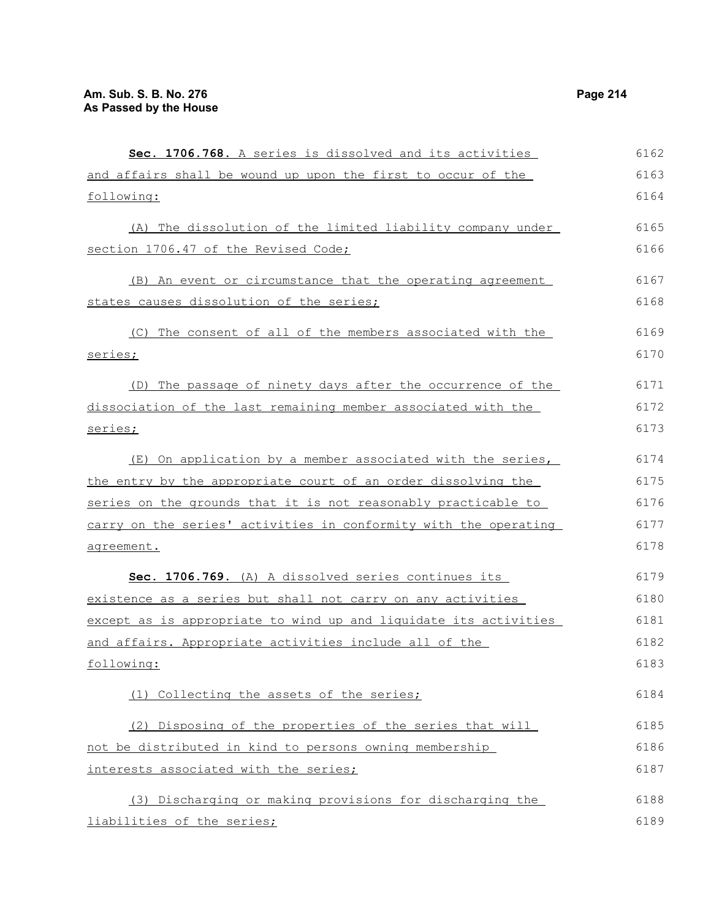**Sec. 1706.768.** A series is dissolved and its activities and affairs shall be wound up upon the first to occur of the following: (A) The dissolution of the limited liability company under section 1706.47 of the Revised Code; (B) An event or circumstance that the operating agreement states causes dissolution of the series; (C) The consent of all of the members associated with the series; (D) The passage of ninety days after the occurrence of the dissociation of the last remaining member associated with the series; (E) On application by a member associated with the series, the entry by the appropriate court of an order dissolving the series on the grounds that it is not reasonably practicable to carry on the series' activities in conformity with the operating agreement. **Sec. 1706.769.** (A) A dissolved series continues its existence as a series but shall not carry on any activities except as is appropriate to wind up and liquidate its activities and affairs. Appropriate activities include all of the following: (1) Collecting the assets of the series; (2) Disposing of the properties of the series that will not be distributed in kind to persons owning membership interests associated with the series; (3) Discharging or making provisions for discharging the liabilities of the series; 6162 6163 6164 6165 6166 6167 6168 6169 6170 6171 6172 6173 6174 6175 6176 6177 6178 6179 6180 6181 6182 6183 6184 6185 6186 6187 6188 6189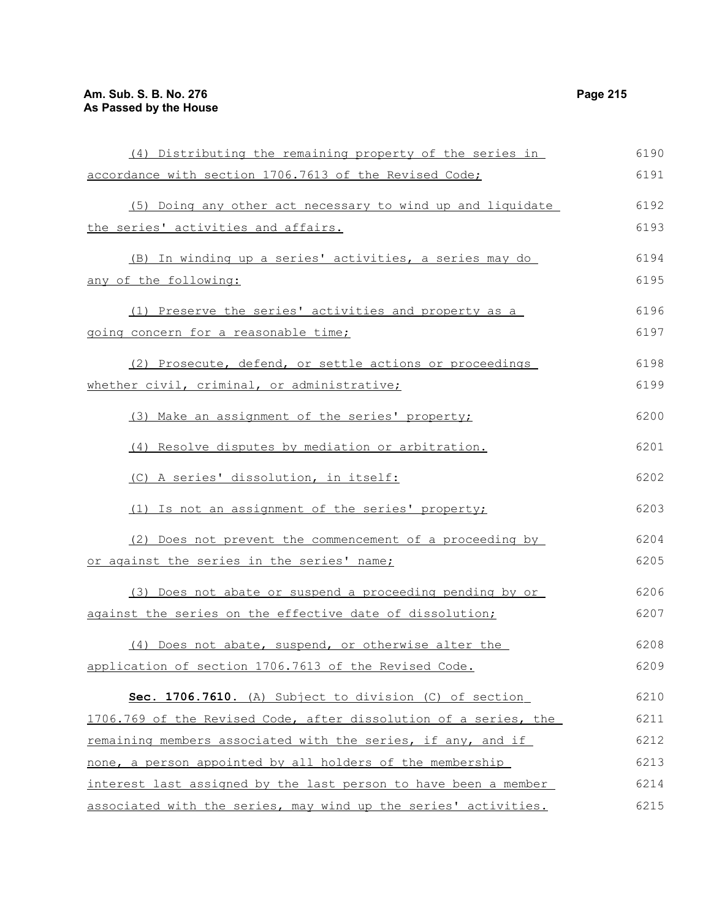| (4) Distributing the remaining property of the series in         | 6190 |
|------------------------------------------------------------------|------|
| accordance with section 1706.7613 of the Revised Code;           | 6191 |
| (5) Doing any other act necessary to wind up and liquidate       | 6192 |
| the series' activities and affairs.                              | 6193 |
| (B) In winding up a series' activities, a series may do          | 6194 |
| any of the following:                                            | 6195 |
|                                                                  |      |
| (1) Preserve the series' activities and property as a            | 6196 |
| going concern for a reasonable time;                             | 6197 |
| (2) Prosecute, defend, or settle actions or proceedings          | 6198 |
| whether civil, criminal, or administrative;                      | 6199 |
| (3) Make an assignment of the series' property;                  | 6200 |
| (4) Resolve disputes by mediation or arbitration.                | 6201 |
| (C) A series' dissolution, in itself:                            | 6202 |
| (1) Is not an assignment of the series' property;                | 6203 |
| (2) Does not prevent the commencement of a proceeding by         | 6204 |
| or against the series in the series' name;                       | 6205 |
| (3) Does not abate or suspend a proceeding pending by or         | 6206 |
| against the series on the effective date of dissolution;         | 6207 |
| (4) Does not abate, suspend, or otherwise alter the              | 6208 |
| application of section 1706.7613 of the Revised Code.            | 6209 |
| Sec. 1706.7610. (A) Subject to division (C) of section           | 6210 |
| 1706.769 of the Revised Code, after dissolution of a series, the | 6211 |
| remaining members associated with the series, if any, and if     | 6212 |
| none, a person appointed by all holders of the membership        | 6213 |
| interest last assigned by the last person to have been a member  | 6214 |
| associated with the series, may wind up the series' activities.  | 6215 |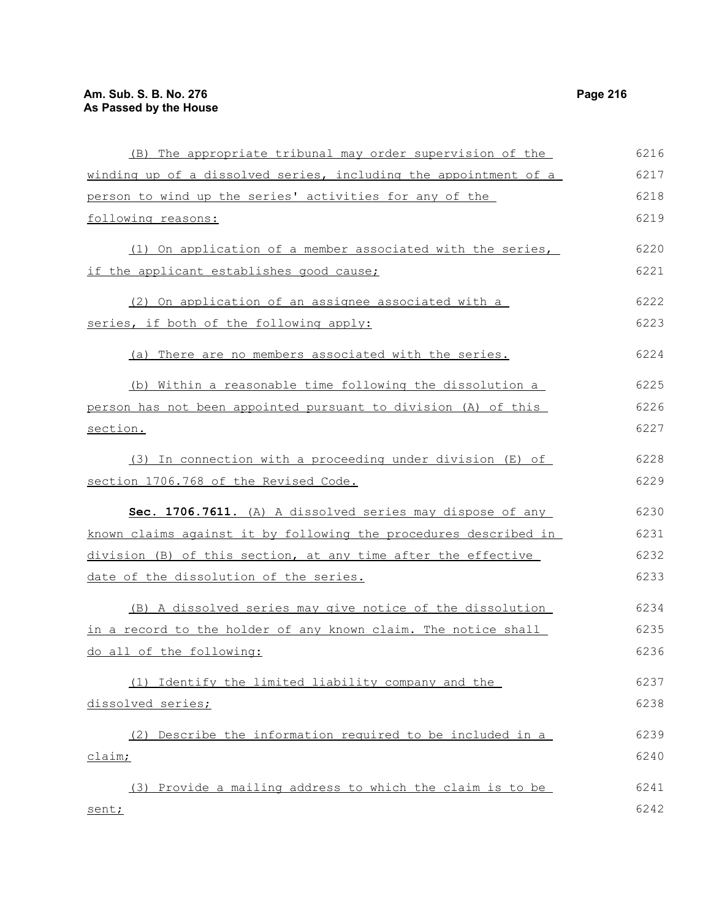| (B) The appropriate tribunal may order supervision of the        | 6216 |
|------------------------------------------------------------------|------|
| winding up of a dissolved series, including the appointment of a | 6217 |
| person to wind up the series' activities for any of the          | 6218 |
| following reasons:                                               | 6219 |
| (1) On application of a member associated with the series,       | 6220 |
| if the applicant establishes good cause;                         | 6221 |
| (2) On application of an assignee associated with a              | 6222 |
| series, if both of the following apply:                          | 6223 |
| (a) There are no members associated with the series.             | 6224 |
| (b) Within a reasonable time following the dissolution a         | 6225 |
| person has not been appointed pursuant to division (A) of this   | 6226 |
| section.                                                         | 6227 |
| (3) In connection with a proceeding under division (E) of        | 6228 |
| section 1706.768 of the Revised Code.                            | 6229 |
| Sec. 1706.7611. (A) A dissolved series may dispose of any        | 6230 |
| known claims against it by following the procedures described in | 6231 |
| division (B) of this section, at any time after the effective    | 6232 |
| date of the dissolution of the series.                           | 6233 |
| (B) A dissolved series may give notice of the dissolution        | 6234 |
| in a record to the holder of any known claim. The notice shall   | 6235 |
| do all of the following:                                         | 6236 |
| (1) Identify the limited liability company and the               | 6237 |
| <u>dissolved series;</u>                                         | 6238 |
| (2) Describe the information required to be included in a        | 6239 |
| <u>claim;</u>                                                    | 6240 |
| (3) Provide a mailing address to which the claim is to be        | 6241 |
| sent;                                                            | 6242 |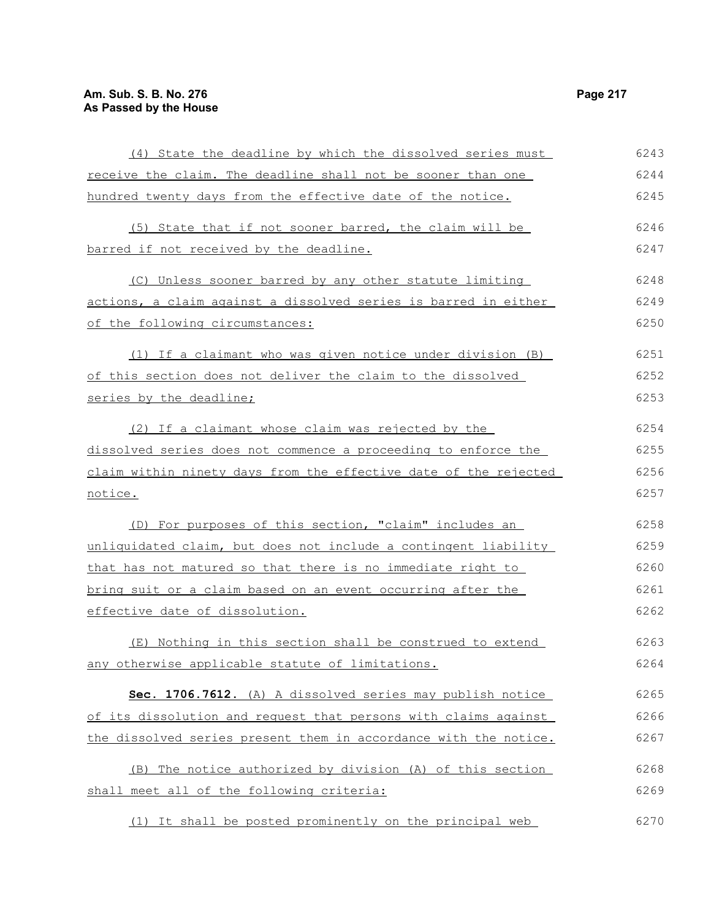| (4) State the deadline by which the dissolved series must        | 6243 |
|------------------------------------------------------------------|------|
| receive the claim. The deadline shall not be sooner than one     | 6244 |
| hundred twenty days from the effective date of the notice.       | 6245 |
| (5) State that if not sooner barred, the claim will be           | 6246 |
| barred if not received by the deadline.                          | 6247 |
|                                                                  |      |
| (C) Unless sooner barred by any other statute limiting           | 6248 |
| actions, a claim against a dissolved series is barred in either  | 6249 |
| of the following circumstances:                                  | 6250 |
| (1) If a claimant who was given notice under division (B)        | 6251 |
| of this section does not deliver the claim to the dissolved      | 6252 |
| series by the deadline;                                          | 6253 |
| (2) If a claimant whose claim was rejected by the                | 6254 |
| dissolved series does not commence a proceeding to enforce the   | 6255 |
| claim within ninety days from the effective date of the rejected | 6256 |
| notice.                                                          | 6257 |
| (D) For purposes of this section, "claim" includes an            | 6258 |
| unliquidated claim, but does not include a contingent liability  | 6259 |
| that has not matured so that there is no immediate right to      | 6260 |
| bring suit or a claim based on an event occurring after the      | 6261 |
| effective date of dissolution.                                   | 6262 |
| (E) Nothing in this section shall be construed to extend         | 6263 |
|                                                                  | 6264 |
| any otherwise applicable statute of limitations.                 |      |
| Sec. 1706.7612. (A) A dissolved series may publish notice        | 6265 |
| of its dissolution and request that persons with claims against  | 6266 |
| the dissolved series present them in accordance with the notice. | 6267 |
| (B) The notice authorized by division (A) of this section        | 6268 |
| shall meet all of the following criteria:                        | 6269 |
| (1) It shall be posted prominently on the principal web          | 6270 |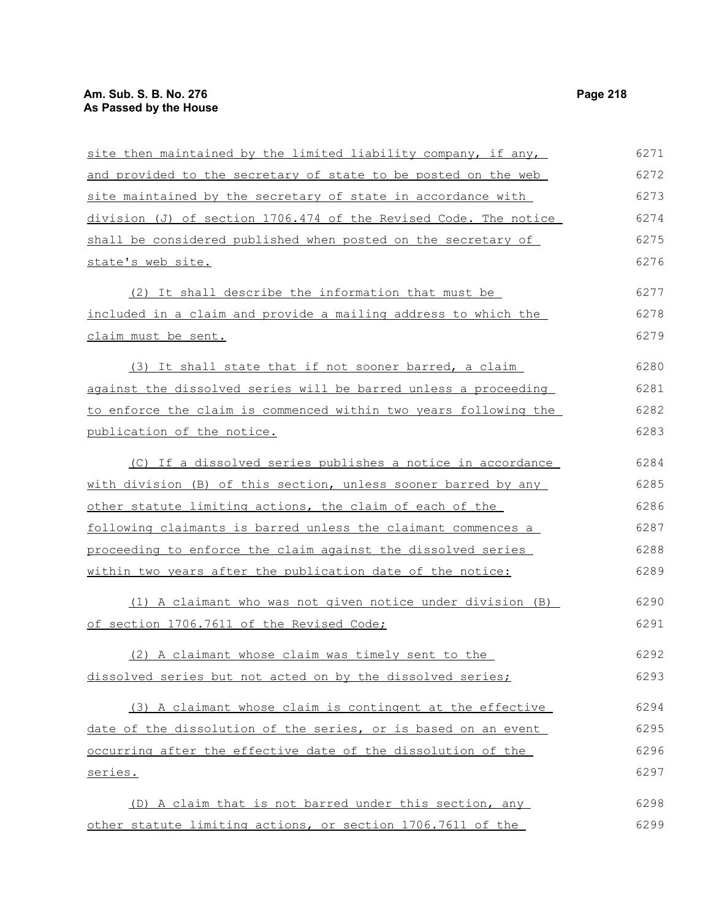| site then maintained by the limited liability company, if any,   | 6271 |
|------------------------------------------------------------------|------|
| and provided to the secretary of state to be posted on the web   | 6272 |
| site maintained by the secretary of state in accordance with     | 6273 |
| division (J) of section 1706.474 of the Revised Code. The notice | 6274 |
| shall be considered published when posted on the secretary of    | 6275 |
| state's web site.                                                | 6276 |
| (2) It shall describe the information that must be               | 6277 |
| included in a claim and provide a mailing address to which the   | 6278 |
| claim must be sent.                                              | 6279 |
| (3) It shall state that if not sooner barred, a claim            | 6280 |
| against the dissolved series will be barred unless a proceeding  | 6281 |
| to enforce the claim is commenced within two years following the | 6282 |
| publication of the notice.                                       | 6283 |
| (C) If a dissolved series publishes a notice in accordance       | 6284 |
| with division (B) of this section, unless sooner barred by any   | 6285 |
| other statute limiting actions, the claim of each of the         | 6286 |
| following claimants is barred unless the claimant commences a    | 6287 |
| proceeding to enforce the claim against the dissolved series     | 6288 |
| within two years after the publication date of the notice:       | 6289 |
| (1) A claimant who was not given notice under division (B)       | 6290 |
| of section 1706.7611 of the Revised Code;                        | 6291 |
| (2) A claimant whose claim was timely sent to the                | 6292 |
| dissolved series but not acted on by the dissolved series;       | 6293 |
| (3) A claimant whose claim is contingent at the effective        | 6294 |
| date of the dissolution of the series, or is based on an event   | 6295 |
| occurring after the effective date of the dissolution of the     | 6296 |
| series.                                                          | 6297 |
| (D) A claim that is not barred under this section, any           | 6298 |
| other statute limiting actions, or section 1706.7611 of the      | 6299 |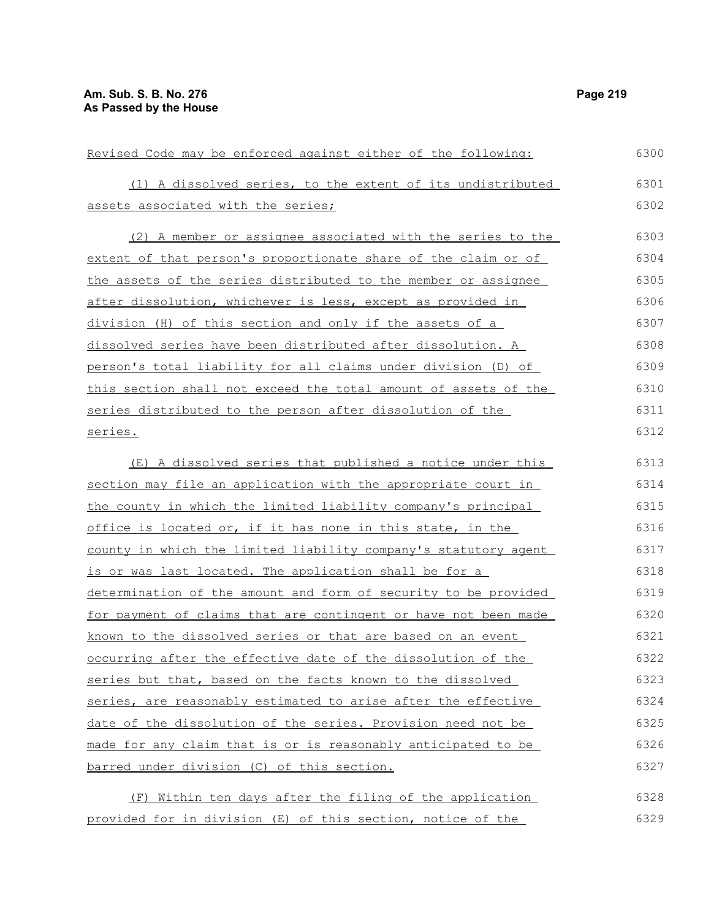| Revised Code may be enforced against either of the following:   | 6300 |
|-----------------------------------------------------------------|------|
| (1) A dissolved series, to the extent of its undistributed      | 6301 |
| assets associated with the series;                              | 6302 |
| (2) A member or assignee associated with the series to the      | 6303 |
| extent of that person's proportionate share of the claim or of  | 6304 |
| the assets of the series distributed to the member or assignee  | 6305 |
| after dissolution, whichever is less, except as provided in     | 6306 |
| division (H) of this section and only if the assets of a        | 6307 |
| dissolved series have been distributed after dissolution. A     | 6308 |
| person's total liability for all claims under division (D) of   | 6309 |
| this section shall not exceed the total amount of assets of the | 6310 |
| series distributed to the person after dissolution of the       | 6311 |
| series.                                                         | 6312 |
| (E) A dissolved series that published a notice under this       | 6313 |
| section may file an application with the appropriate court in   | 6314 |
| the county in which the limited liability company's principal   | 6315 |
| office is located or, if it has none in this state, in the      | 6316 |
| county in which the limited liability company's statutory agent | 6317 |
| is or was last located. The application shall be for a          | 6318 |
| determination of the amount and form of security to be provided | 6319 |
| for payment of claims that are contingent or have not been made | 6320 |
| known to the dissolved series or that are based on an event     | 6321 |
| occurring after the effective date of the dissolution of the    | 6322 |
| series but that, based on the facts known to the dissolved      | 6323 |
| series, are reasonably estimated to arise after the effective   | 6324 |
| date of the dissolution of the series. Provision need not be    | 6325 |
| made for any claim that is or is reasonably anticipated to be   | 6326 |
| barred under division (C) of this section.                      | 6327 |
|                                                                 |      |
| Within ten days after the filing of the application<br>(F)      | 6328 |
| provided for in division (E) of this section, notice of the     | 6329 |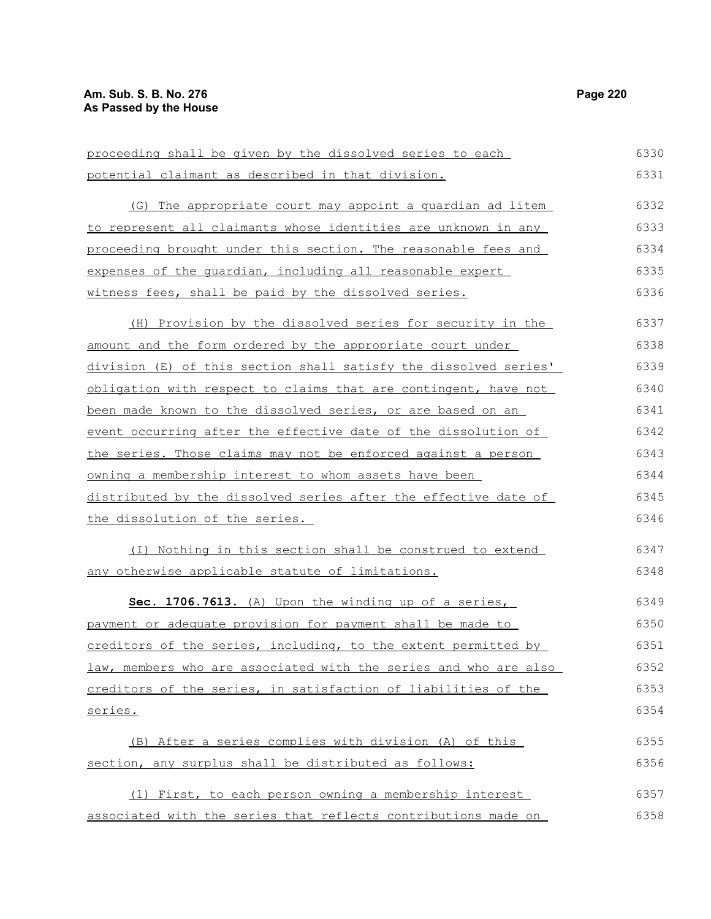| proceeding shall be given by the dissolved series to each        | 6330 |
|------------------------------------------------------------------|------|
| potential claimant as described in that division.                | 6331 |
| (G) The appropriate court may appoint a quardian ad litem        | 6332 |
| to represent all claimants whose identities are unknown in any   | 6333 |
| proceeding brought under this section. The reasonable fees and   | 6334 |
| expenses of the quardian, including all reasonable expert        | 6335 |
| witness fees, shall be paid by the dissolved series.             | 6336 |
| (H) Provision by the dissolved series for security in the        | 6337 |
| amount and the form ordered by the appropriate court under       | 6338 |
| division (E) of this section shall satisfy the dissolved series' | 6339 |
| obligation with respect to claims that are contingent, have not  | 6340 |
| been made known to the dissolved series, or are based on an      | 6341 |
| event occurring after the effective date of the dissolution of   | 6342 |
| the series. Those claims may not be enforced against a person    | 6343 |
| owning a membership interest to whom assets have been            | 6344 |
| distributed by the dissolved series after the effective date of  | 6345 |
| the dissolution of the series.                                   | 6346 |
| (I) Nothing in this section shall be construed to extend         | 6347 |
| any otherwise applicable statute of limitations.                 | 6348 |
| Sec. 1706.7613. (A) Upon the winding up of a series,             | 6349 |
| payment or adequate provision for payment shall be made to       | 6350 |
| creditors of the series, including, to the extent permitted by   | 6351 |
| law, members who are associated with the series and who are also | 6352 |
| creditors of the series, in satisfaction of liabilities of the   | 6353 |
| series.                                                          | 6354 |
| (B) After a series complies with division (A) of this            | 6355 |
| section, any surplus shall be distributed as follows:            | 6356 |
| (1) First, to each person owning a membership interest           | 6357 |
| associated with the series that reflects contributions made on   | 6358 |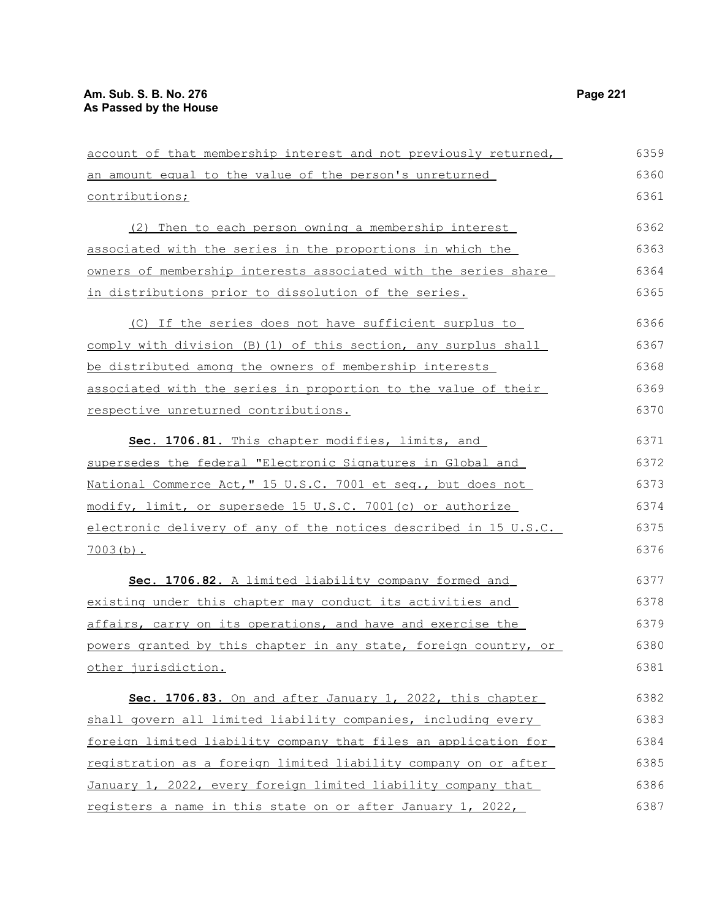| an amount equal to the value of the person's unreturned          | 6360 |
|------------------------------------------------------------------|------|
| contributions;                                                   | 6361 |
| (2) Then to each person owning a membership interest             | 6362 |
| associated with the series in the proportions in which the       | 6363 |
| owners of membership interests associated with the series share  | 6364 |
| in distributions prior to dissolution of the series.             | 6365 |
| (C) If the series does not have sufficient surplus to            | 6366 |
| comply with division (B) (1) of this section, any surplus shall  | 6367 |
| be distributed among the owners of membership interests          | 6368 |
| associated with the series in proportion to the value of their   | 6369 |
| respective unreturned contributions.                             | 6370 |
| Sec. 1706.81. This chapter modifies, limits, and                 | 6371 |
| supersedes the federal "Electronic Signatures in Global and      | 6372 |
| National Commerce Act," 15 U.S.C. 7001 et seq., but does not     | 6373 |
| modify, limit, or supersede 15 U.S.C. 7001(c) or authorize       | 6374 |
| electronic delivery of any of the notices described in 15 U.S.C. | 6375 |
| $7003(b)$ .                                                      | 6376 |
| Sec. 1706.82. A limited liability company formed and             | 6377 |
| existing under this chapter may conduct its activities and       | 6378 |
| affairs, carry on its operations, and have and exercise the      | 6379 |
| powers granted by this chapter in any state, foreign country, or | 6380 |
| other jurisdiction.                                              | 6381 |
| Sec. 1706.83. On and after January 1, 2022, this chapter         | 6382 |
| shall govern all limited liability companies, including every    | 6383 |
| foreign limited liability company that files an application for  | 6384 |
| registration as a foreign limited liability company on or after  | 6385 |
| January 1, 2022, every foreign limited liability company that    | 6386 |
| registers a name in this state on or after January 1, 2022,      | 6387 |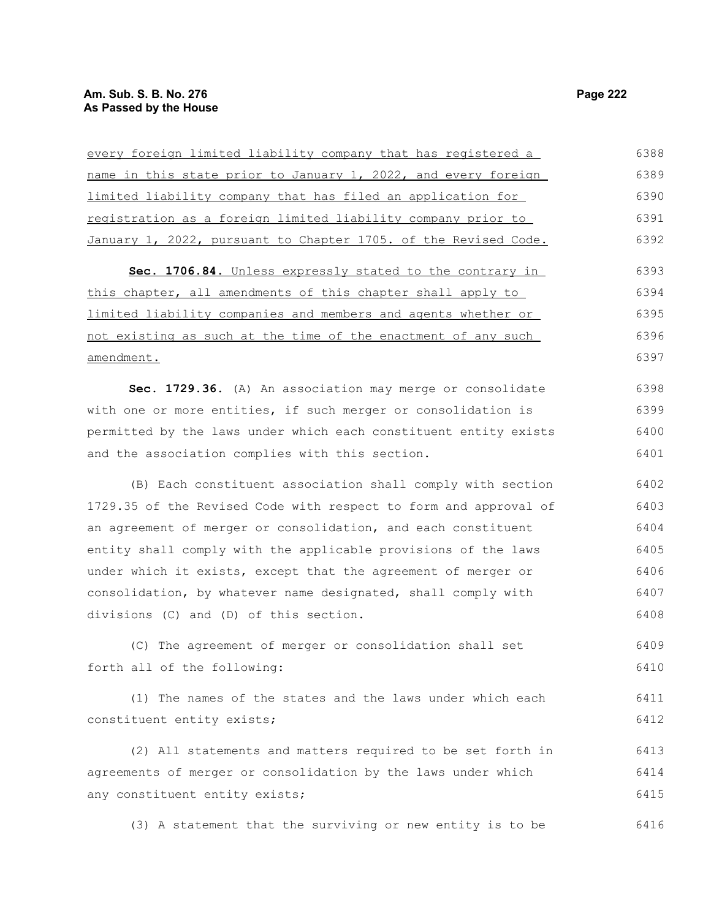every foreign limited liability company that has registered a name in this state prior to January 1, 2022, and every foreign limited liability company that has filed an application for registration as a foreign limited liability company prior to January 1, 2022, pursuant to Chapter 1705. of the Revised Code. **Sec. 1706.84.** Unless expressly stated to the contrary in this chapter, all amendments of this chapter shall apply to limited liability companies and members and agents whether or not existing as such at the time of the enactment of any such amendment. **Sec. 1729.36.** (A) An association may merge or consolidate with one or more entities, if such merger or consolidation is permitted by the laws under which each constituent entity exists and the association complies with this section. (B) Each constituent association shall comply with section 1729.35 of the Revised Code with respect to form and approval of an agreement of merger or consolidation, and each constituent entity shall comply with the applicable provisions of the laws under which it exists, except that the agreement of merger or consolidation, by whatever name designated, shall comply with divisions (C) and (D) of this section. (C) The agreement of merger or consolidation shall set forth all of the following: (1) The names of the states and the laws under which each constituent entity exists; (2) All statements and matters required to be set forth in 6388 6389 6390 6391 6392 6393 6394 6395 6396 6397 6398 6399 6400 6401 6402 6403 6404 6405 6406 6407 6408 6409 6410 6411 6412 6413

agreements of merger or consolidation by the laws under which any constituent entity exists; 6414 6415

(3) A statement that the surviving or new entity is to be 6416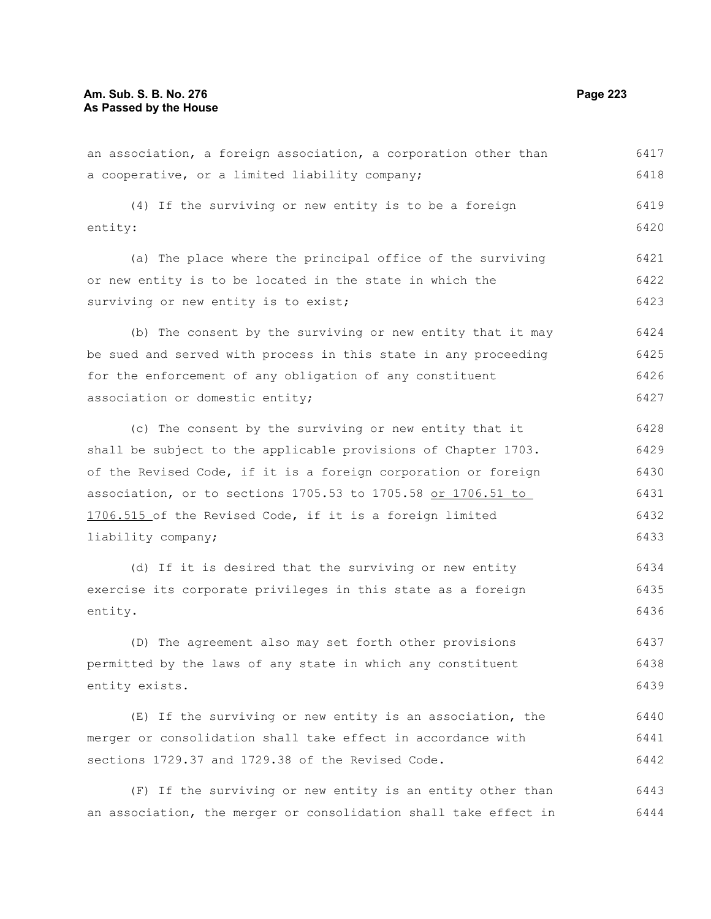an association, a foreign association, a corporation other than a cooperative, or a limited liability company; (4) If the surviving or new entity is to be a foreign entity: (a) The place where the principal office of the surviving or new entity is to be located in the state in which the surviving or new entity is to exist; (b) The consent by the surviving or new entity that it may be sued and served with process in this state in any proceeding for the enforcement of any obligation of any constituent association or domestic entity; (c) The consent by the surviving or new entity that it shall be subject to the applicable provisions of Chapter 1703. of the Revised Code, if it is a foreign corporation or foreign association, or to sections 1705.53 to 1705.58 or 1706.51 to 1706.515 of the Revised Code, if it is a foreign limited liability company; (d) If it is desired that the surviving or new entity exercise its corporate privileges in this state as a foreign entity. (D) The agreement also may set forth other provisions permitted by the laws of any state in which any constituent entity exists. (E) If the surviving or new entity is an association, the 6417 6418 6419 6420 6421 6422 6423 6424 6425 6426 6427 6428 6429 6430 6431 6432 6433 6434 6435 6436 6437 6438 6439 6440

merger or consolidation shall take effect in accordance with sections 1729.37 and 1729.38 of the Revised Code. 6441 6442

(F) If the surviving or new entity is an entity other than an association, the merger or consolidation shall take effect in 6443 6444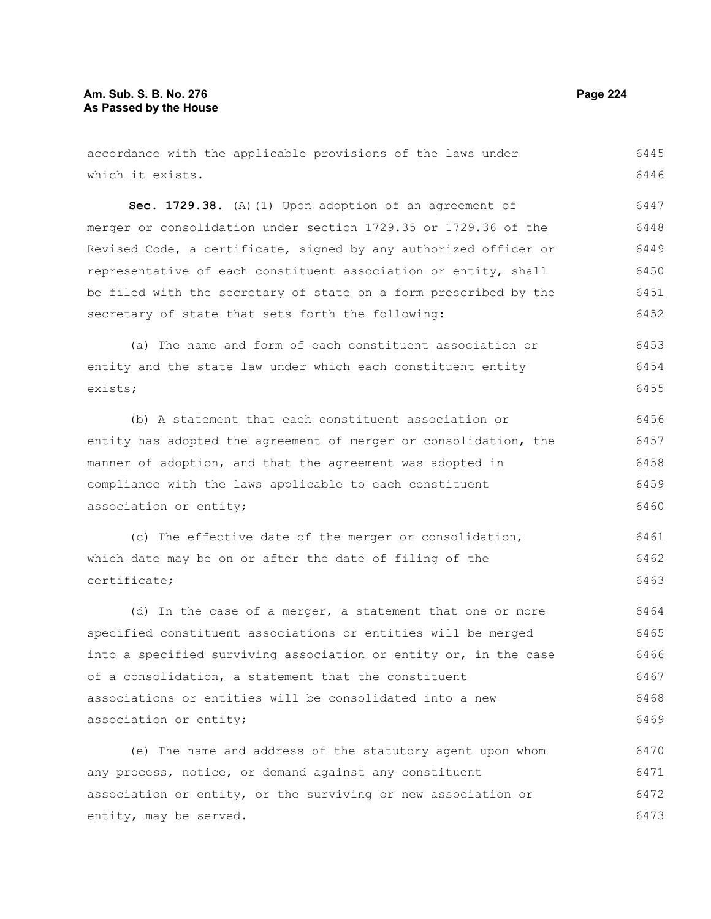| accordance with the applicable provisions of the laws under      | 6445 |
|------------------------------------------------------------------|------|
| which it exists.                                                 | 6446 |
| Sec. 1729.38. (A) (1) Upon adoption of an agreement of           | 6447 |
| merger or consolidation under section 1729.35 or 1729.36 of the  | 6448 |
| Revised Code, a certificate, signed by any authorized officer or | 6449 |
| representative of each constituent association or entity, shall  | 6450 |
| be filed with the secretary of state on a form prescribed by the | 6451 |
| secretary of state that sets forth the following:                | 6452 |
| (a) The name and form of each constituent association or         | 6453 |
| entity and the state law under which each constituent entity     | 6454 |
| exists;                                                          | 6455 |
| (b) A statement that each constituent association or             | 6456 |
| entity has adopted the agreement of merger or consolidation, the | 6457 |
| manner of adoption, and that the agreement was adopted in        | 6458 |
| compliance with the laws applicable to each constituent          | 6459 |
| association or entity;                                           | 6460 |
| (c) The effective date of the merger or consolidation,           | 6461 |
| which date may be on or after the date of filing of the          | 6462 |
| certificate;                                                     | 6463 |
| (d) In the case of a merger, a statement that one or more        | 6464 |
| specified constituent associations or entities will be merged    | 6465 |
| into a specified surviving association or entity or, in the case | 6466 |
| of a consolidation, a statement that the constituent             | 6467 |
| associations or entities will be consolidated into a new         | 6468 |
| association or entity;                                           | 6469 |
| (e) The name and address of the statutory agent upon whom        | 6470 |
| any process, notice, or demand against any constituent           | 6471 |
| association or entity, or the surviving or new association or    | 6472 |
| entity, may be served.                                           | 6473 |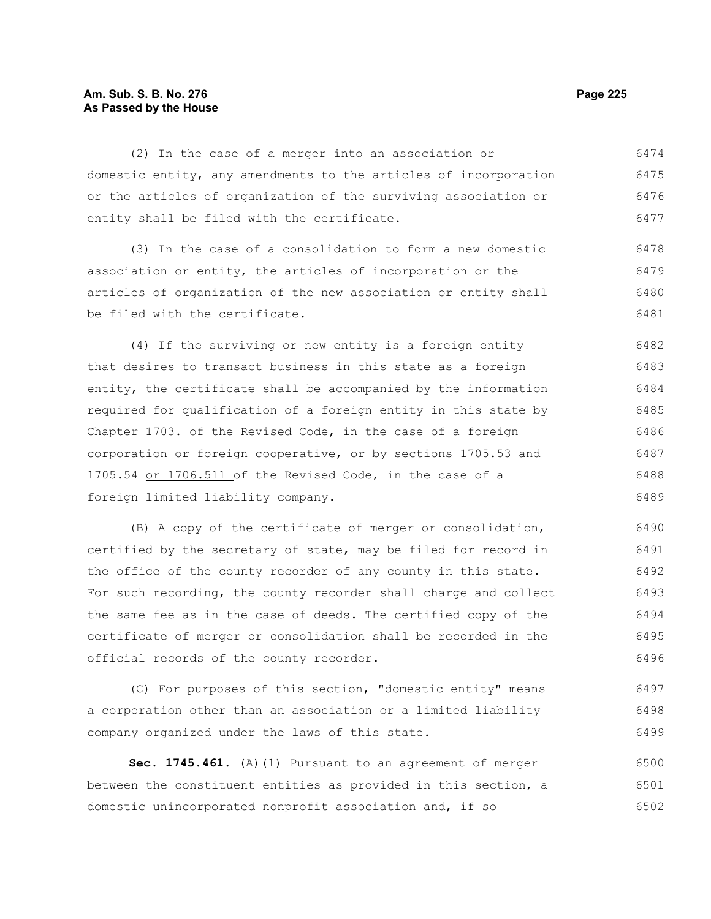#### **Am. Sub. S. B. No. 276 Page 225 As Passed by the House**

(2) In the case of a merger into an association or domestic entity, any amendments to the articles of incorporation or the articles of organization of the surviving association or entity shall be filed with the certificate. 6474 6475 6476 6477

(3) In the case of a consolidation to form a new domestic association or entity, the articles of incorporation or the articles of organization of the new association or entity shall be filed with the certificate. 6478 6479 6480 6481

(4) If the surviving or new entity is a foreign entity that desires to transact business in this state as a foreign entity, the certificate shall be accompanied by the information required for qualification of a foreign entity in this state by Chapter 1703. of the Revised Code, in the case of a foreign corporation or foreign cooperative, or by sections 1705.53 and 1705.54 or 1706.511 of the Revised Code, in the case of a foreign limited liability company. 6482 6483 6484 6485 6486 6487 6488 6489

(B) A copy of the certificate of merger or consolidation, certified by the secretary of state, may be filed for record in the office of the county recorder of any county in this state. For such recording, the county recorder shall charge and collect the same fee as in the case of deeds. The certified copy of the certificate of merger or consolidation shall be recorded in the official records of the county recorder. 6490 6491 6492 6493 6494 6495 6496

(C) For purposes of this section, "domestic entity" means a corporation other than an association or a limited liability company organized under the laws of this state. 6497 6498 6499

**Sec. 1745.461.** (A)(1) Pursuant to an agreement of merger between the constituent entities as provided in this section, a domestic unincorporated nonprofit association and, if so 6500 6501 6502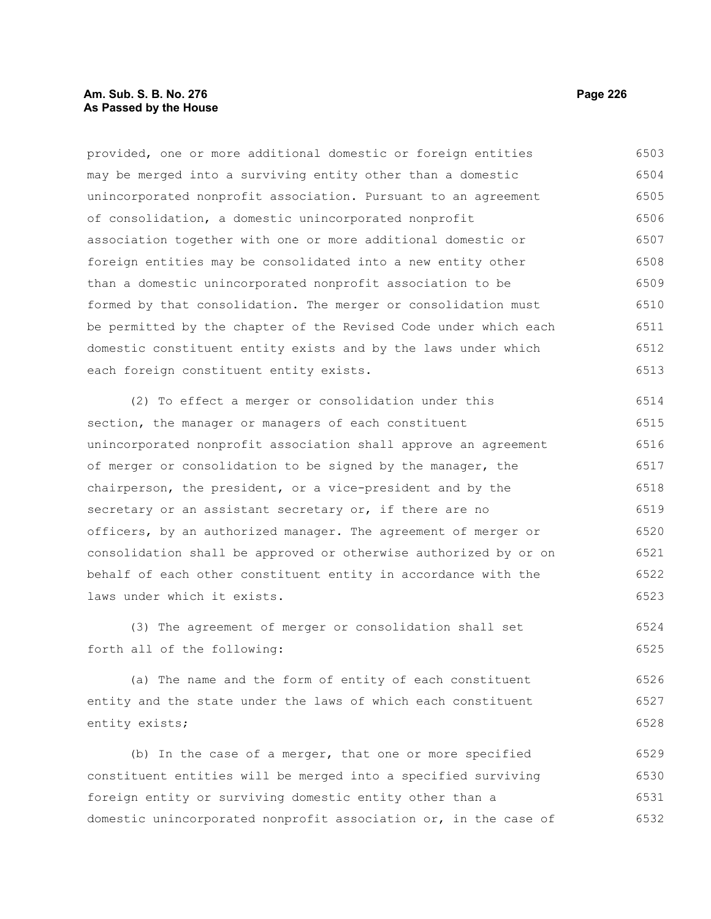## **Am. Sub. S. B. No. 276 Page 226 As Passed by the House**

provided, one or more additional domestic or foreign entities may be merged into a surviving entity other than a domestic unincorporated nonprofit association. Pursuant to an agreement of consolidation, a domestic unincorporated nonprofit association together with one or more additional domestic or foreign entities may be consolidated into a new entity other than a domestic unincorporated nonprofit association to be formed by that consolidation. The merger or consolidation must be permitted by the chapter of the Revised Code under which each domestic constituent entity exists and by the laws under which each foreign constituent entity exists. 6503 6504 6505 6506 6507 6508 6509 6510 6511 6512 6513

(2) To effect a merger or consolidation under this section, the manager or managers of each constituent unincorporated nonprofit association shall approve an agreement of merger or consolidation to be signed by the manager, the chairperson, the president, or a vice-president and by the secretary or an assistant secretary or, if there are no officers, by an authorized manager. The agreement of merger or consolidation shall be approved or otherwise authorized by or on behalf of each other constituent entity in accordance with the laws under which it exists. 6514 6515 6516 6517 6518 6519 6520 6521 6522 6523

(3) The agreement of merger or consolidation shall set forth all of the following: 6524 6525

(a) The name and the form of entity of each constituent entity and the state under the laws of which each constituent entity exists; 6526 6527 6528

(b) In the case of a merger, that one or more specified constituent entities will be merged into a specified surviving foreign entity or surviving domestic entity other than a domestic unincorporated nonprofit association or, in the case of 6529 6530 6531 6532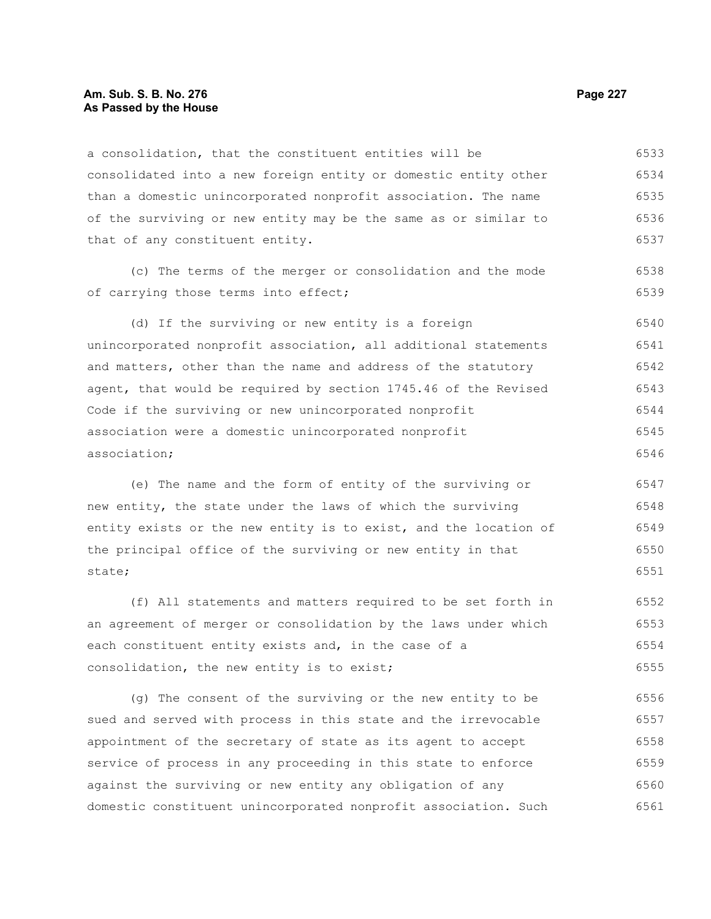#### **Am. Sub. S. B. No. 276 Page 227** Page 227 **As Passed by the House**

a consolidation, that the constituent entities will be consolidated into a new foreign entity or domestic entity other than a domestic unincorporated nonprofit association. The name of the surviving or new entity may be the same as or similar to that of any constituent entity. 6533 6534 6535 6536 6537

(c) The terms of the merger or consolidation and the mode of carrying those terms into effect;

(d) If the surviving or new entity is a foreign unincorporated nonprofit association, all additional statements and matters, other than the name and address of the statutory agent, that would be required by section 1745.46 of the Revised Code if the surviving or new unincorporated nonprofit association were a domestic unincorporated nonprofit association; 6540 6541 6542 6543 6544 6545 6546

(e) The name and the form of entity of the surviving or new entity, the state under the laws of which the surviving entity exists or the new entity is to exist, and the location of the principal office of the surviving or new entity in that state; 6547 6548 6549 6550 6551

(f) All statements and matters required to be set forth in an agreement of merger or consolidation by the laws under which each constituent entity exists and, in the case of a consolidation, the new entity is to exist; 6552 6553 6554 6555

(g) The consent of the surviving or the new entity to be sued and served with process in this state and the irrevocable appointment of the secretary of state as its agent to accept service of process in any proceeding in this state to enforce against the surviving or new entity any obligation of any domestic constituent unincorporated nonprofit association. Such 6556 6557 6558 6559 6560 6561

6538 6539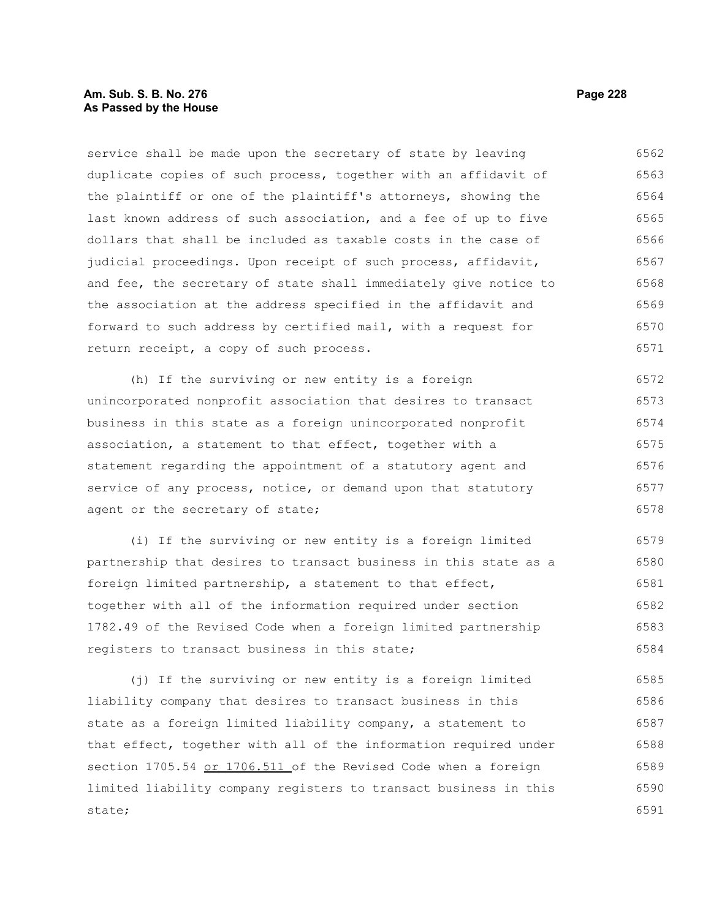#### **Am. Sub. S. B. No. 276 Page 228 As Passed by the House**

service shall be made upon the secretary of state by leaving duplicate copies of such process, together with an affidavit of the plaintiff or one of the plaintiff's attorneys, showing the last known address of such association, and a fee of up to five dollars that shall be included as taxable costs in the case of judicial proceedings. Upon receipt of such process, affidavit, and fee, the secretary of state shall immediately give notice to the association at the address specified in the affidavit and forward to such address by certified mail, with a request for return receipt, a copy of such process. 6562 6563 6564 6565 6566 6567 6568 6569 6570 6571

(h) If the surviving or new entity is a foreign unincorporated nonprofit association that desires to transact business in this state as a foreign unincorporated nonprofit association, a statement to that effect, together with a statement regarding the appointment of a statutory agent and service of any process, notice, or demand upon that statutory agent or the secretary of state; 6572 6573 6574 6575 6576 6577 6578

(i) If the surviving or new entity is a foreign limited partnership that desires to transact business in this state as a foreign limited partnership, a statement to that effect, together with all of the information required under section 1782.49 of the Revised Code when a foreign limited partnership registers to transact business in this state; 6579 6580 6581 6582 6583 6584

(j) If the surviving or new entity is a foreign limited liability company that desires to transact business in this state as a foreign limited liability company, a statement to that effect, together with all of the information required under section 1705.54 or 1706.511 of the Revised Code when a foreign limited liability company registers to transact business in this state; 6585 6586 6587 6588 6589 6590 6591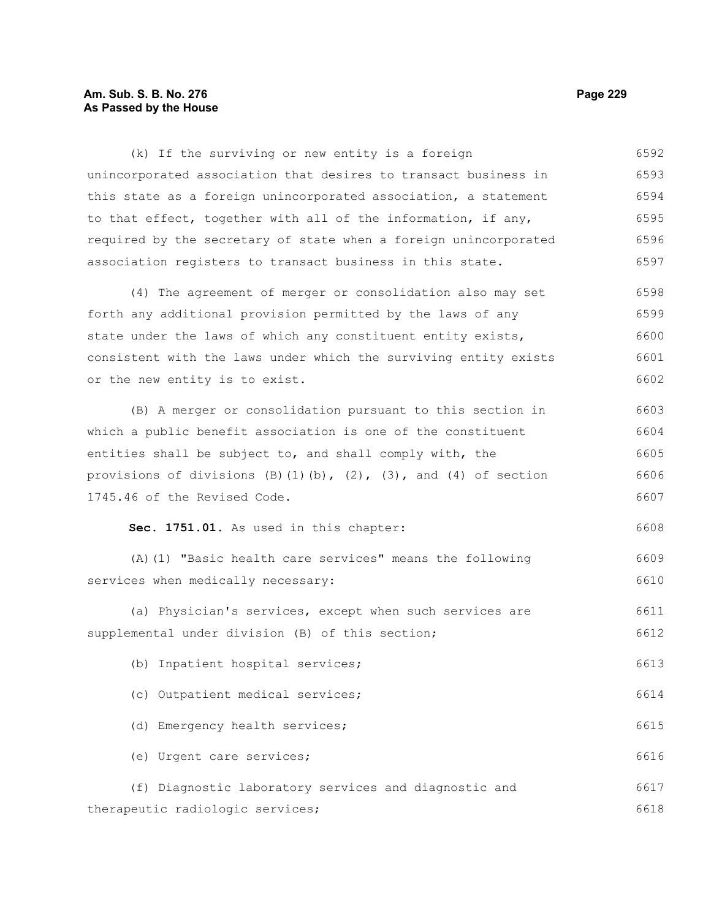#### **Am. Sub. S. B. No. 276 Page 229 As Passed by the House**

(k) If the surviving or new entity is a foreign unincorporated association that desires to transact business in this state as a foreign unincorporated association, a statement to that effect, together with all of the information, if any, required by the secretary of state when a foreign unincorporated association registers to transact business in this state. 6592 6593 6594 6595 6596 6597

(4) The agreement of merger or consolidation also may set forth any additional provision permitted by the laws of any state under the laws of which any constituent entity exists, consistent with the laws under which the surviving entity exists or the new entity is to exist. 6598 6599 6600 6601 6602

(B) A merger or consolidation pursuant to this section in which a public benefit association is one of the constituent entities shall be subject to, and shall comply with, the provisions of divisions  $(B)(1)(b)$ ,  $(2)$ ,  $(3)$ , and  $(4)$  of section 1745.46 of the Revised Code. 6603 6604 6605 6606 6607

## **Sec. 1751.01.** As used in this chapter:

(A)(1) "Basic health care services" means the following services when medically necessary: 6609 6610

(a) Physician's services, except when such services are supplemental under division (B) of this section; 6611 6612

(b) Inpatient hospital services; 6613

(c) Outpatient medical services;

(d) Emergency health services; (e) Urgent care services; 6615 6616

(f) Diagnostic laboratory services and diagnostic and therapeutic radiologic services; 6617 6618

6608

6614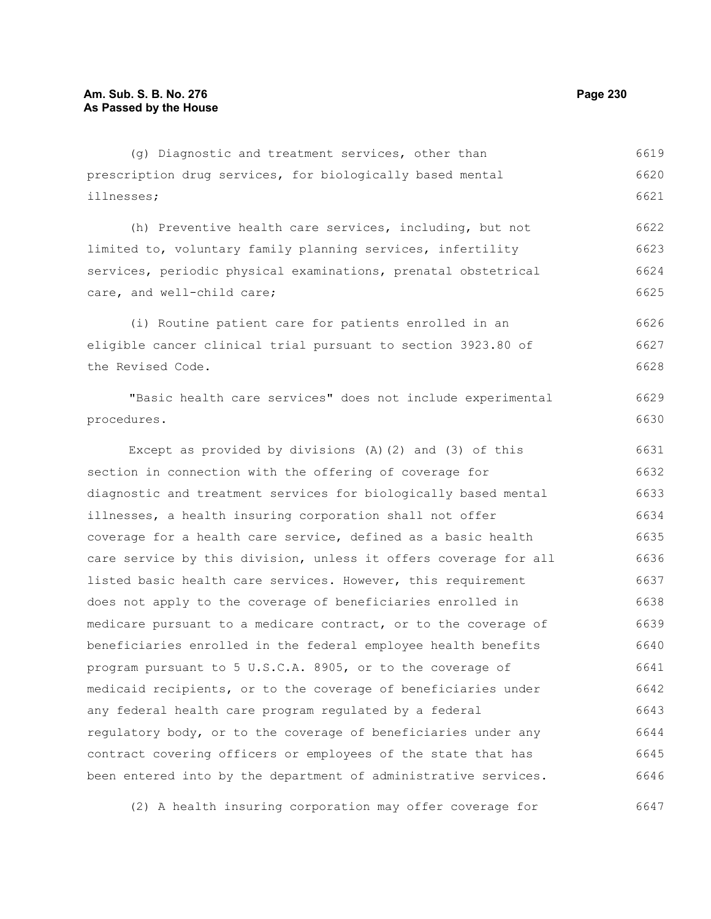| (g) Diagnostic and treatment services, other than                | 6619 |
|------------------------------------------------------------------|------|
| prescription drug services, for biologically based mental        | 6620 |
| illnesses;                                                       | 6621 |
| (h) Preventive health care services, including, but not          | 6622 |
| limited to, voluntary family planning services, infertility      | 6623 |
| services, periodic physical examinations, prenatal obstetrical   | 6624 |
| care, and well-child care;                                       | 6625 |
|                                                                  |      |
| (i) Routine patient care for patients enrolled in an             | 6626 |
| eligible cancer clinical trial pursuant to section 3923.80 of    | 6627 |
| the Revised Code.                                                | 6628 |
| "Basic health care services" does not include experimental       | 6629 |
| procedures.                                                      | 6630 |
| Except as provided by divisions $(A)$ $(2)$ and $(3)$ of this    | 6631 |
| section in connection with the offering of coverage for          | 6632 |
| diagnostic and treatment services for biologically based mental  | 6633 |
| illnesses, a health insuring corporation shall not offer         | 6634 |
| coverage for a health care service, defined as a basic health    | 6635 |
| care service by this division, unless it offers coverage for all | 6636 |
| listed basic health care services. However, this requirement     | 6637 |
| does not apply to the coverage of beneficiaries enrolled in      | 6638 |
| medicare pursuant to a medicare contract, or to the coverage of  | 6639 |
| beneficiaries enrolled in the federal employee health benefits   | 6640 |
| program pursuant to 5 U.S.C.A. 8905, or to the coverage of       | 6641 |
| medicaid recipients, or to the coverage of beneficiaries under   | 6642 |
| any federal health care program regulated by a federal           | 6643 |
| regulatory body, or to the coverage of beneficiaries under any   | 6644 |
| contract covering officers or employees of the state that has    | 6645 |
| been entered into by the department of administrative services.  | 6646 |
|                                                                  |      |
| (2) A health insuring corporation may offer coverage for         | 6647 |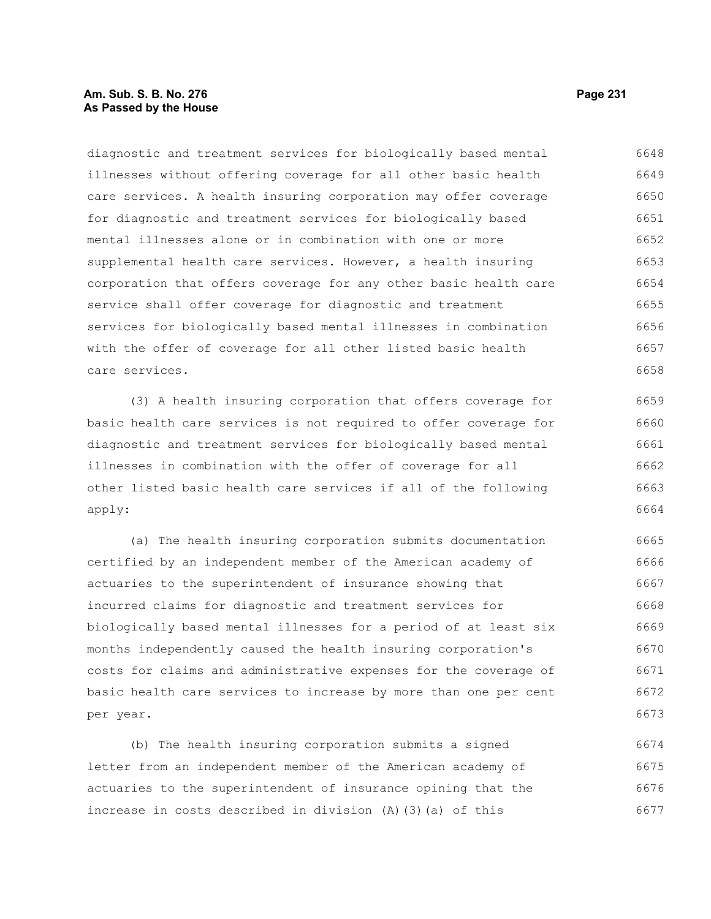#### **Am. Sub. S. B. No. 276 Page 231 As Passed by the House**

diagnostic and treatment services for biologically based mental illnesses without offering coverage for all other basic health care services. A health insuring corporation may offer coverage for diagnostic and treatment services for biologically based mental illnesses alone or in combination with one or more supplemental health care services. However, a health insuring corporation that offers coverage for any other basic health care service shall offer coverage for diagnostic and treatment services for biologically based mental illnesses in combination with the offer of coverage for all other listed basic health care services. 6648 6649 6650 6651 6652 6653 6654 6655 6656 6657 6658

(3) A health insuring corporation that offers coverage for basic health care services is not required to offer coverage for diagnostic and treatment services for biologically based mental illnesses in combination with the offer of coverage for all other listed basic health care services if all of the following apply: 6659 6660 6661 6662 6663 6664

(a) The health insuring corporation submits documentation certified by an independent member of the American academy of actuaries to the superintendent of insurance showing that incurred claims for diagnostic and treatment services for biologically based mental illnesses for a period of at least six months independently caused the health insuring corporation's costs for claims and administrative expenses for the coverage of basic health care services to increase by more than one per cent per year. 6665 6666 6667 6668 6669 6670 6671 6672 6673

(b) The health insuring corporation submits a signed letter from an independent member of the American academy of actuaries to the superintendent of insurance opining that the increase in costs described in division (A)(3)(a) of this 6674 6675 6676 6677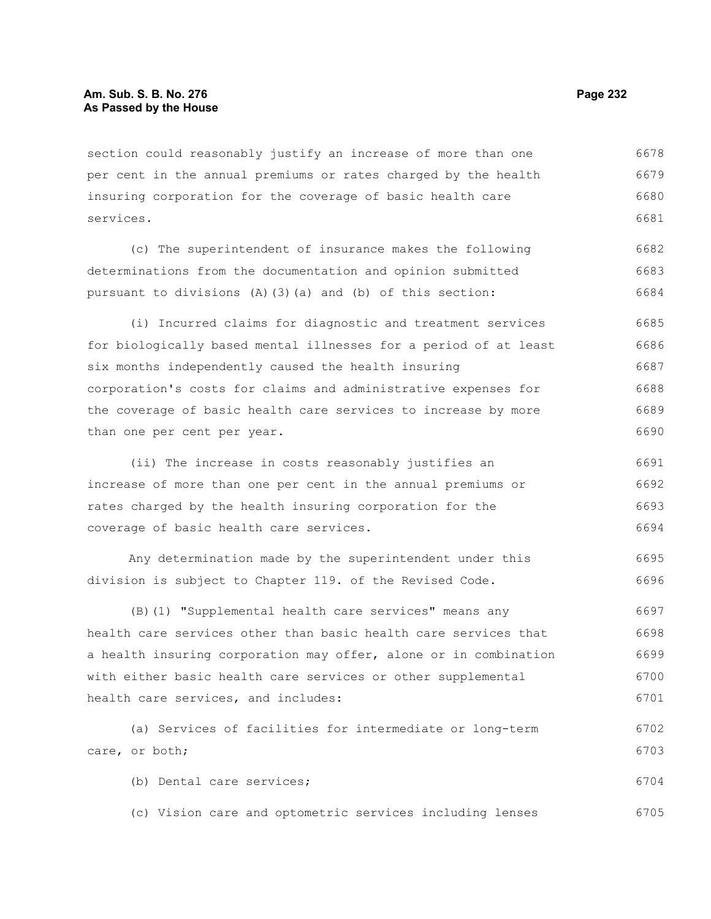section could reasonably justify an increase of more than one per cent in the annual premiums or rates charged by the health insuring corporation for the coverage of basic health care services. 6678 6679 6680 6681

(c) The superintendent of insurance makes the following determinations from the documentation and opinion submitted pursuant to divisions (A)(3)(a) and (b) of this section: 6682 6683 6684

(i) Incurred claims for diagnostic and treatment services for biologically based mental illnesses for a period of at least six months independently caused the health insuring corporation's costs for claims and administrative expenses for the coverage of basic health care services to increase by more than one per cent per year. 6685 6686 6687 6688 6689 6690

(ii) The increase in costs reasonably justifies an increase of more than one per cent in the annual premiums or rates charged by the health insuring corporation for the coverage of basic health care services. 6691 6692 6693 6694

Any determination made by the superintendent under this division is subject to Chapter 119. of the Revised Code. 6695 6696

(B)(1) "Supplemental health care services" means any health care services other than basic health care services that a health insuring corporation may offer, alone or in combination with either basic health care services or other supplemental health care services, and includes: 6697 6698 6699 6700 6701

(a) Services of facilities for intermediate or long-term care, or both; (b) Dental care services; 6702 6703 6704

(c) Vision care and optometric services including lenses 6705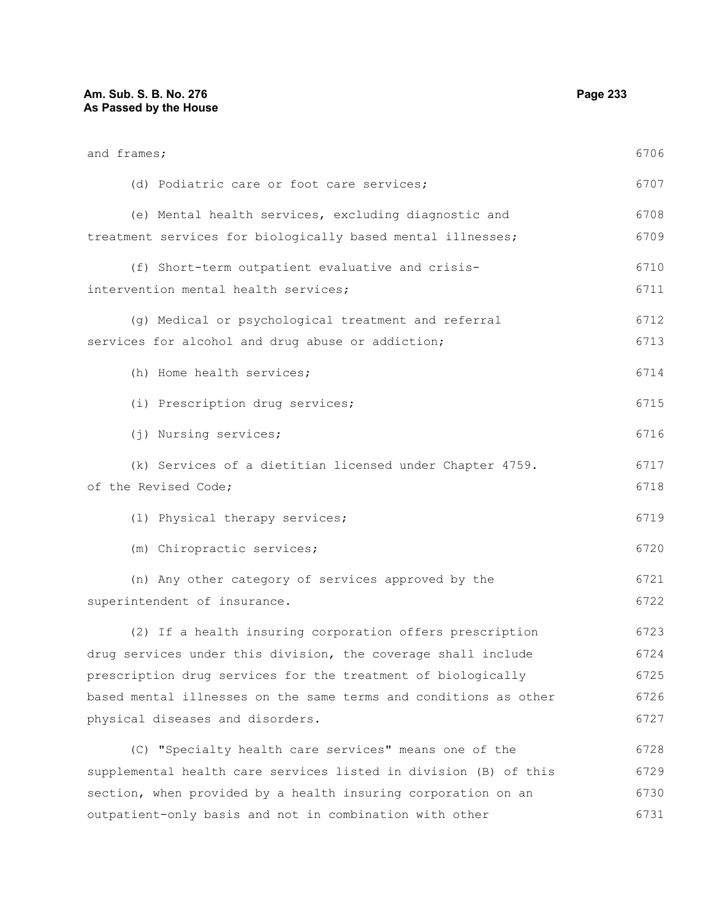and frames;

| (d) Podiatric care or foot care services;                        | 6707 |
|------------------------------------------------------------------|------|
| (e) Mental health services, excluding diagnostic and             | 6708 |
| treatment services for biologically based mental illnesses;      | 6709 |
| (f) Short-term outpatient evaluative and crisis-                 | 6710 |
| intervention mental health services;                             | 6711 |
| (g) Medical or psychological treatment and referral              | 6712 |
| services for alcohol and drug abuse or addiction;                | 6713 |
| (h) Home health services;                                        | 6714 |
| (i) Prescription drug services;                                  | 6715 |
| (j) Nursing services;                                            | 6716 |
| (k) Services of a dietitian licensed under Chapter 4759.         | 6717 |
| of the Revised Code;                                             | 6718 |
| (1) Physical therapy services;                                   | 6719 |
| (m) Chiropractic services;                                       | 6720 |
| (n) Any other category of services approved by the               | 6721 |
| superintendent of insurance.                                     | 6722 |
| (2) If a health insuring corporation offers prescription         | 6723 |
| drug services under this division, the coverage shall include    | 6724 |
| prescription drug services for the treatment of biologically     | 6725 |
| based mental illnesses on the same terms and conditions as other | 6726 |
| physical diseases and disorders.                                 | 6727 |
| (C) "Specialty health care services" means one of the            | 6728 |
| supplemental health care services listed in division (B) of this | 6729 |
| section, when provided by a health insuring corporation on an    | 6730 |
| outpatient-only basis and not in combination with other          | 6731 |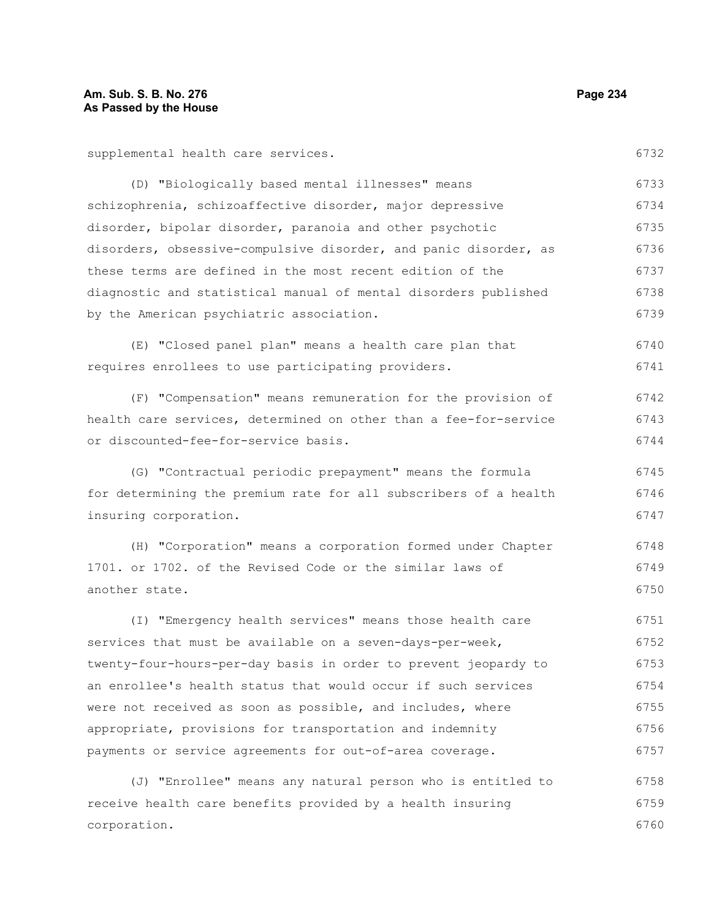supplemental health care services.

(D) "Biologically based mental illnesses" means schizophrenia, schizoaffective disorder, major depressive disorder, bipolar disorder, paranoia and other psychotic disorders, obsessive-compulsive disorder, and panic disorder, as these terms are defined in the most recent edition of the diagnostic and statistical manual of mental disorders published by the American psychiatric association. 6733 6734 6735 6736 6737 6738 6739

(E) "Closed panel plan" means a health care plan that requires enrollees to use participating providers. 6740 6741

(F) "Compensation" means remuneration for the provision of health care services, determined on other than a fee-for-service or discounted-fee-for-service basis. 6742 6743 6744

(G) "Contractual periodic prepayment" means the formula for determining the premium rate for all subscribers of a health insuring corporation. 6745 6746 6747

(H) "Corporation" means a corporation formed under Chapter 1701. or 1702. of the Revised Code or the similar laws of another state. 6748 6749 6750

(I) "Emergency health services" means those health care services that must be available on a seven-days-per-week, twenty-four-hours-per-day basis in order to prevent jeopardy to an enrollee's health status that would occur if such services were not received as soon as possible, and includes, where appropriate, provisions for transportation and indemnity payments or service agreements for out-of-area coverage. 6751 6752 6753 6754 6755 6756 6757

(J) "Enrollee" means any natural person who is entitled to receive health care benefits provided by a health insuring corporation. 6758 6759 6760

6732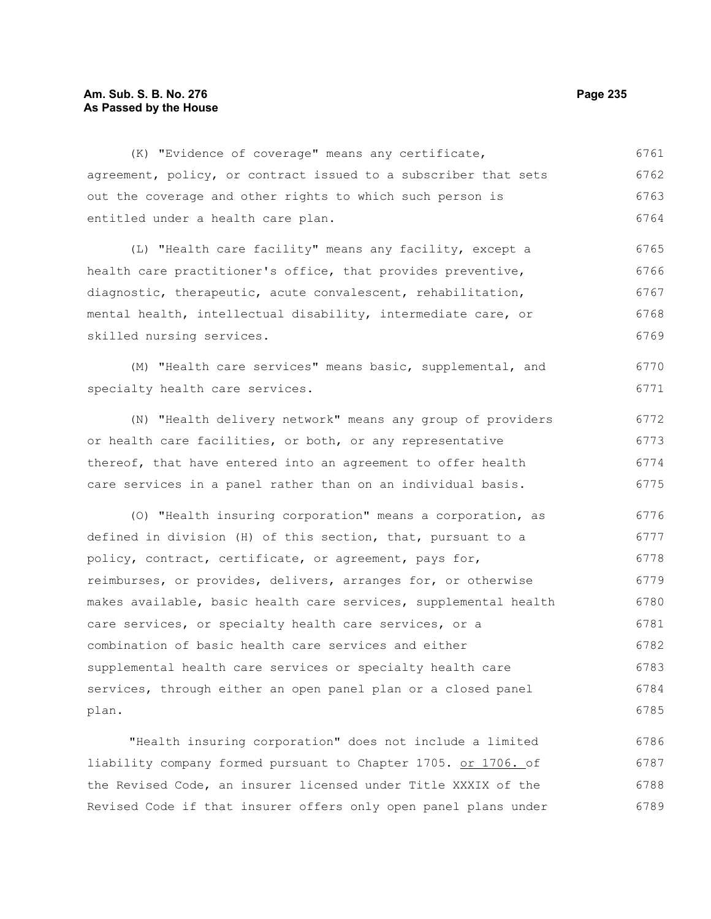## **Am. Sub. S. B. No. 276 Page 235 As Passed by the House**

(K) "Evidence of coverage" means any certificate, agreement, policy, or contract issued to a subscriber that sets out the coverage and other rights to which such person is entitled under a health care plan. (L) "Health care facility" means any facility, except a health care practitioner's office, that provides preventive, diagnostic, therapeutic, acute convalescent, rehabilitation, mental health, intellectual disability, intermediate care, or skilled nursing services. (M) "Health care services" means basic, supplemental, and specialty health care services. (N) "Health delivery network" means any group of providers or health care facilities, or both, or any representative thereof, that have entered into an agreement to offer health care services in a panel rather than on an individual basis. (O) "Health insuring corporation" means a corporation, as defined in division (H) of this section, that, pursuant to a policy, contract, certificate, or agreement, pays for, reimburses, or provides, delivers, arranges for, or otherwise makes available, basic health care services, supplemental health care services, or specialty health care services, or a combination of basic health care services and either supplemental health care services or specialty health care services, through either an open panel plan or a closed panel plan. 6761 6762 6763 6764 6765 6766 6767 6768 6769 6770 6771 6772 6773 6774 6775 6776 6777 6778 6779 6780 6781 6782 6783 6784 6785

"Health insuring corporation" does not include a limited liability company formed pursuant to Chapter 1705. or 1706. of the Revised Code, an insurer licensed under Title XXXIX of the Revised Code if that insurer offers only open panel plans under 6786 6787 6788 6789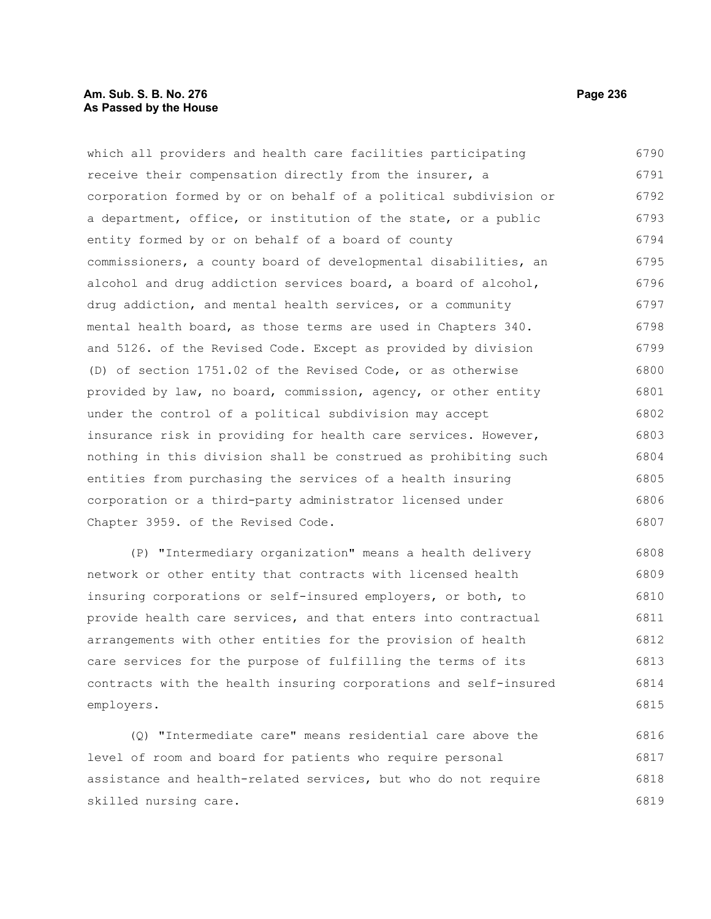#### **Am. Sub. S. B. No. 276 Page 236 As Passed by the House**

which all providers and health care facilities participating receive their compensation directly from the insurer, a corporation formed by or on behalf of a political subdivision or a department, office, or institution of the state, or a public entity formed by or on behalf of a board of county commissioners, a county board of developmental disabilities, an alcohol and drug addiction services board, a board of alcohol, drug addiction, and mental health services, or a community mental health board, as those terms are used in Chapters 340. and 5126. of the Revised Code. Except as provided by division (D) of section 1751.02 of the Revised Code, or as otherwise provided by law, no board, commission, agency, or other entity under the control of a political subdivision may accept insurance risk in providing for health care services. However, nothing in this division shall be construed as prohibiting such entities from purchasing the services of a health insuring corporation or a third-party administrator licensed under Chapter 3959. of the Revised Code. 6790 6791 6792 6793 6794 6795 6796 6797 6798 6799 6800 6801 6802 6803 6804 6805 6806 6807

(P) "Intermediary organization" means a health delivery network or other entity that contracts with licensed health insuring corporations or self-insured employers, or both, to provide health care services, and that enters into contractual arrangements with other entities for the provision of health care services for the purpose of fulfilling the terms of its contracts with the health insuring corporations and self-insured employers. 6808 6809 6810 6811 6812 6813 6814 6815

(Q) "Intermediate care" means residential care above the level of room and board for patients who require personal assistance and health-related services, but who do not require skilled nursing care. 6816 6817 6818 6819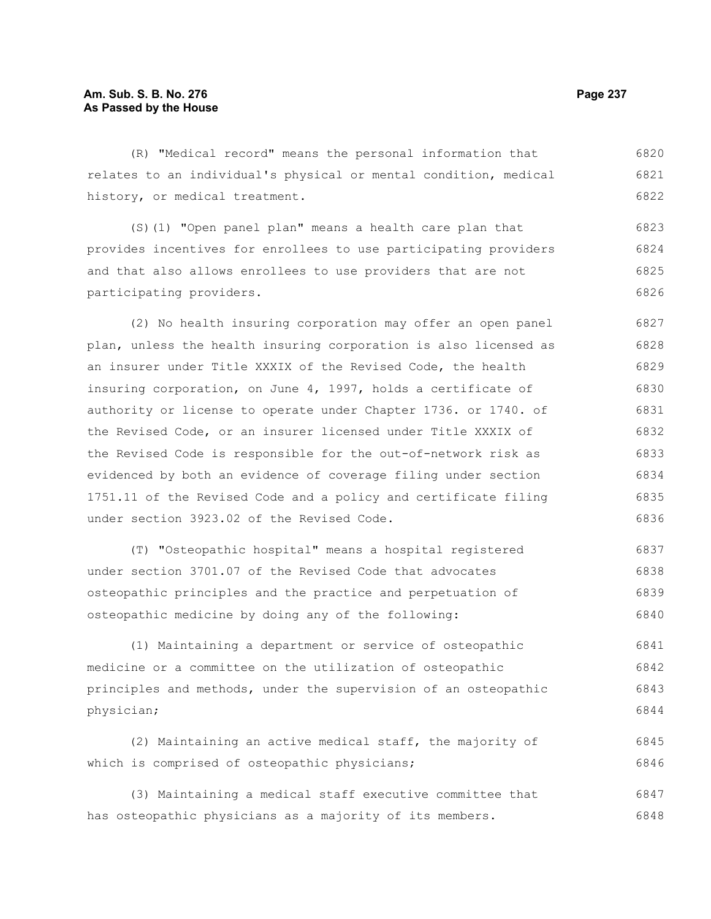(R) "Medical record" means the personal information that relates to an individual's physical or mental condition, medical history, or medical treatment. 6820 6821 6822

(S)(1) "Open panel plan" means a health care plan that provides incentives for enrollees to use participating providers and that also allows enrollees to use providers that are not participating providers. 6823 6824 6825 6826

(2) No health insuring corporation may offer an open panel plan, unless the health insuring corporation is also licensed as an insurer under Title XXXIX of the Revised Code, the health insuring corporation, on June 4, 1997, holds a certificate of authority or license to operate under Chapter 1736. or 1740. of the Revised Code, or an insurer licensed under Title XXXIX of the Revised Code is responsible for the out-of-network risk as evidenced by both an evidence of coverage filing under section 1751.11 of the Revised Code and a policy and certificate filing under section 3923.02 of the Revised Code. 6827 6828 6829 6830 6831 6832 6833 6834 6835 6836

(T) "Osteopathic hospital" means a hospital registered under section 3701.07 of the Revised Code that advocates osteopathic principles and the practice and perpetuation of osteopathic medicine by doing any of the following: 6837 6838 6839 6840

(1) Maintaining a department or service of osteopathic medicine or a committee on the utilization of osteopathic principles and methods, under the supervision of an osteopathic physician; 6841 6842 6843 6844

(2) Maintaining an active medical staff, the majority of which is comprised of osteopathic physicians; 6845 6846

(3) Maintaining a medical staff executive committee that has osteopathic physicians as a majority of its members. 6847 6848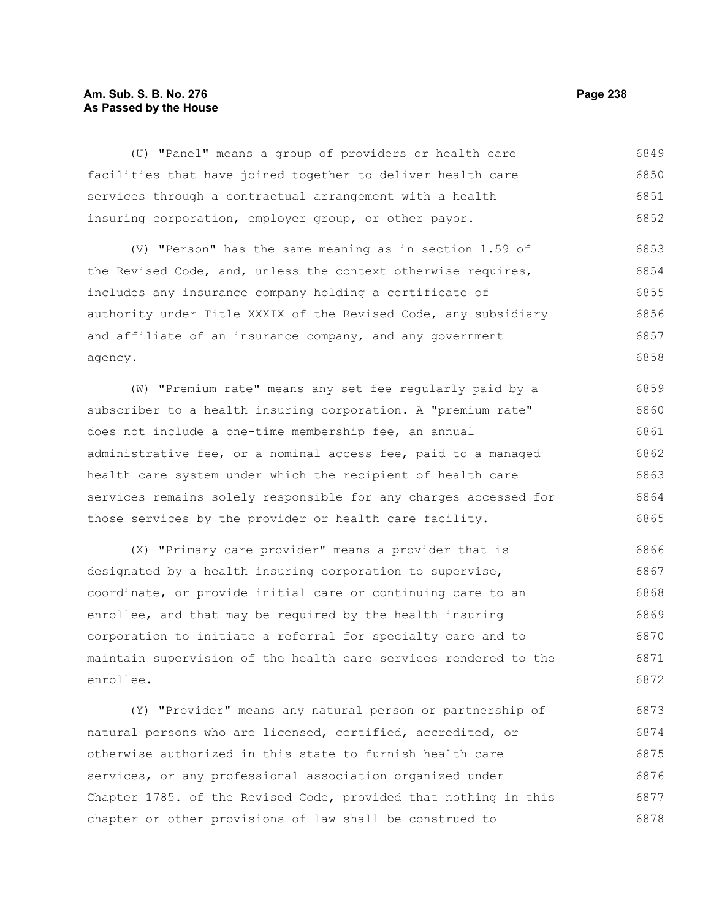## **Am. Sub. S. B. No. 276 Page 238 As Passed by the House**

(U) "Panel" means a group of providers or health care facilities that have joined together to deliver health care services through a contractual arrangement with a health insuring corporation, employer group, or other payor. 6849 6850 6851 6852

(V) "Person" has the same meaning as in section 1.59 of the Revised Code, and, unless the context otherwise requires, includes any insurance company holding a certificate of authority under Title XXXIX of the Revised Code, any subsidiary and affiliate of an insurance company, and any government agency. 6853 6854 6855 6856 6857 6858

(W) "Premium rate" means any set fee regularly paid by a subscriber to a health insuring corporation. A "premium rate" does not include a one-time membership fee, an annual administrative fee, or a nominal access fee, paid to a managed health care system under which the recipient of health care services remains solely responsible for any charges accessed for those services by the provider or health care facility. 6859 6860 6861 6862 6863 6864 6865

(X) "Primary care provider" means a provider that is designated by a health insuring corporation to supervise, coordinate, or provide initial care or continuing care to an enrollee, and that may be required by the health insuring corporation to initiate a referral for specialty care and to maintain supervision of the health care services rendered to the enrollee. 6866 6867 6868 6869 6870 6871 6872

(Y) "Provider" means any natural person or partnership of natural persons who are licensed, certified, accredited, or otherwise authorized in this state to furnish health care services, or any professional association organized under Chapter 1785. of the Revised Code, provided that nothing in this chapter or other provisions of law shall be construed to 6873 6874 6875 6876 6877 6878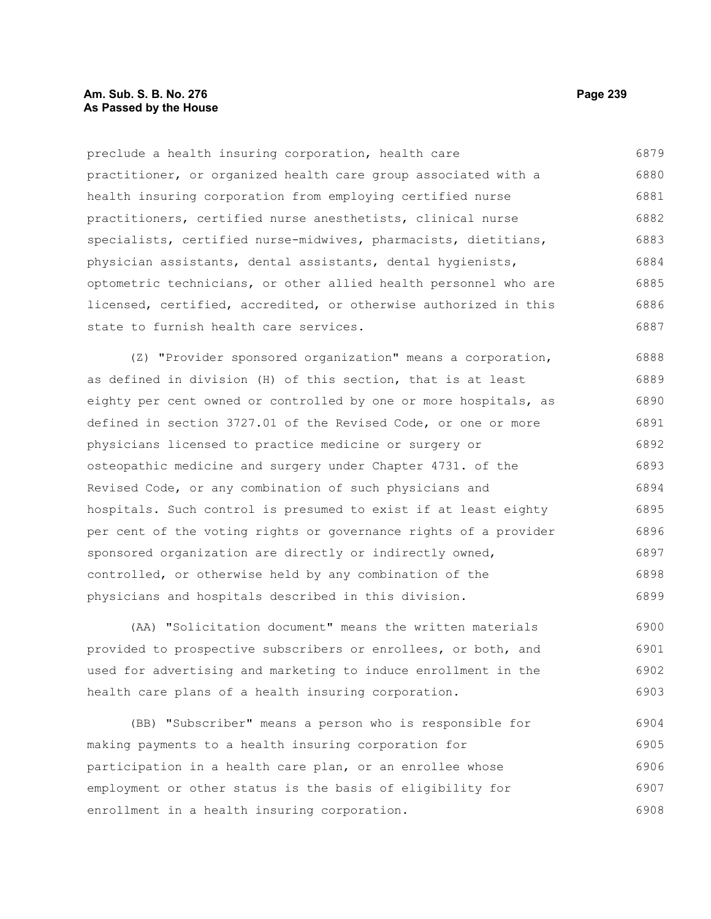#### **Am. Sub. S. B. No. 276 Page 239 As Passed by the House**

preclude a health insuring corporation, health care practitioner, or organized health care group associated with a health insuring corporation from employing certified nurse practitioners, certified nurse anesthetists, clinical nurse specialists, certified nurse-midwives, pharmacists, dietitians, physician assistants, dental assistants, dental hygienists, optometric technicians, or other allied health personnel who are licensed, certified, accredited, or otherwise authorized in this state to furnish health care services. 6879 6880 6881 6882 6883 6884 6885 6886 6887

(Z) "Provider sponsored organization" means a corporation, as defined in division (H) of this section, that is at least eighty per cent owned or controlled by one or more hospitals, as defined in section 3727.01 of the Revised Code, or one or more physicians licensed to practice medicine or surgery or osteopathic medicine and surgery under Chapter 4731. of the Revised Code, or any combination of such physicians and hospitals. Such control is presumed to exist if at least eighty per cent of the voting rights or governance rights of a provider sponsored organization are directly or indirectly owned, controlled, or otherwise held by any combination of the physicians and hospitals described in this division. 6888 6889 6890 6891 6892 6893 6894 6895 6896 6897 6898 6899

(AA) "Solicitation document" means the written materials provided to prospective subscribers or enrollees, or both, and used for advertising and marketing to induce enrollment in the health care plans of a health insuring corporation. 6900 6901 6902 6903

(BB) "Subscriber" means a person who is responsible for making payments to a health insuring corporation for participation in a health care plan, or an enrollee whose employment or other status is the basis of eligibility for enrollment in a health insuring corporation. 6904 6905 6906 6907 6908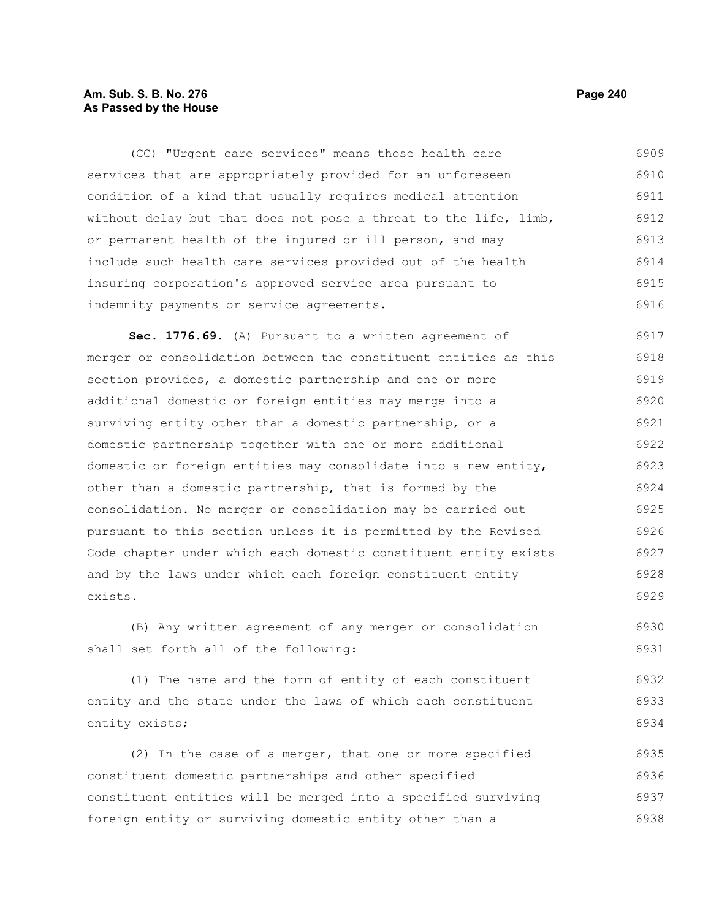## **Am. Sub. S. B. No. 276 Page 240** Page 240 **As Passed by the House**

(CC) "Urgent care services" means those health care services that are appropriately provided for an unforeseen condition of a kind that usually requires medical attention without delay but that does not pose a threat to the life, limb, or permanent health of the injured or ill person, and may include such health care services provided out of the health insuring corporation's approved service area pursuant to indemnity payments or service agreements. 6909 6910 6911 6912 6913 6914 6915 6916

**Sec. 1776.69.** (A) Pursuant to a written agreement of merger or consolidation between the constituent entities as this section provides, a domestic partnership and one or more additional domestic or foreign entities may merge into a surviving entity other than a domestic partnership, or a domestic partnership together with one or more additional domestic or foreign entities may consolidate into a new entity, other than a domestic partnership, that is formed by the consolidation. No merger or consolidation may be carried out pursuant to this section unless it is permitted by the Revised Code chapter under which each domestic constituent entity exists and by the laws under which each foreign constituent entity exists. 6917 6918 6919 6920 6921 6922 6923 6924 6925 6926 6927 6928 6929

(B) Any written agreement of any merger or consolidation shall set forth all of the following: 6930 6931

(1) The name and the form of entity of each constituent entity and the state under the laws of which each constituent entity exists; 6932 6933 6934

(2) In the case of a merger, that one or more specified constituent domestic partnerships and other specified constituent entities will be merged into a specified surviving foreign entity or surviving domestic entity other than a 6935 6936 6937 6938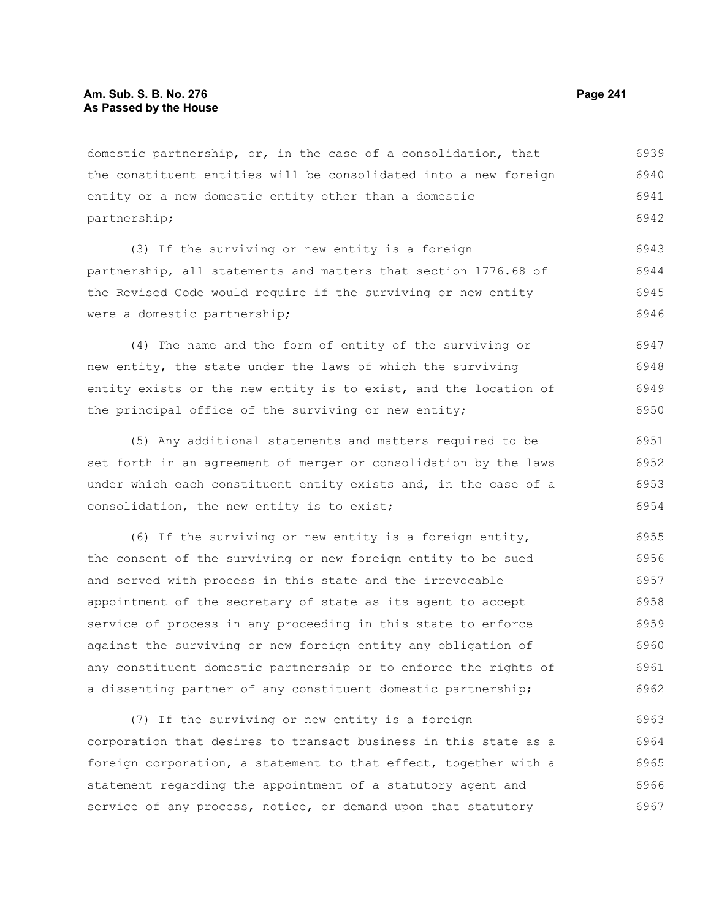domestic partnership, or, in the case of a consolidation, that the constituent entities will be consolidated into a new foreign entity or a new domestic entity other than a domestic partnership; 6939 6940 6941 6942

(3) If the surviving or new entity is a foreign partnership, all statements and matters that section 1776.68 of the Revised Code would require if the surviving or new entity were a domestic partnership; 6943 6944 6945 6946

(4) The name and the form of entity of the surviving or new entity, the state under the laws of which the surviving entity exists or the new entity is to exist, and the location of the principal office of the surviving or new entity; 6947 6948 6949 6950

(5) Any additional statements and matters required to be set forth in an agreement of merger or consolidation by the laws under which each constituent entity exists and, in the case of a consolidation, the new entity is to exist; 6951 6952 6953 6954

(6) If the surviving or new entity is a foreign entity, the consent of the surviving or new foreign entity to be sued and served with process in this state and the irrevocable appointment of the secretary of state as its agent to accept service of process in any proceeding in this state to enforce against the surviving or new foreign entity any obligation of any constituent domestic partnership or to enforce the rights of a dissenting partner of any constituent domestic partnership; 6955 6956 6957 6958 6959 6960 6961 6962

(7) If the surviving or new entity is a foreign corporation that desires to transact business in this state as a foreign corporation, a statement to that effect, together with a statement regarding the appointment of a statutory agent and service of any process, notice, or demand upon that statutory 6963 6964 6965 6966 6967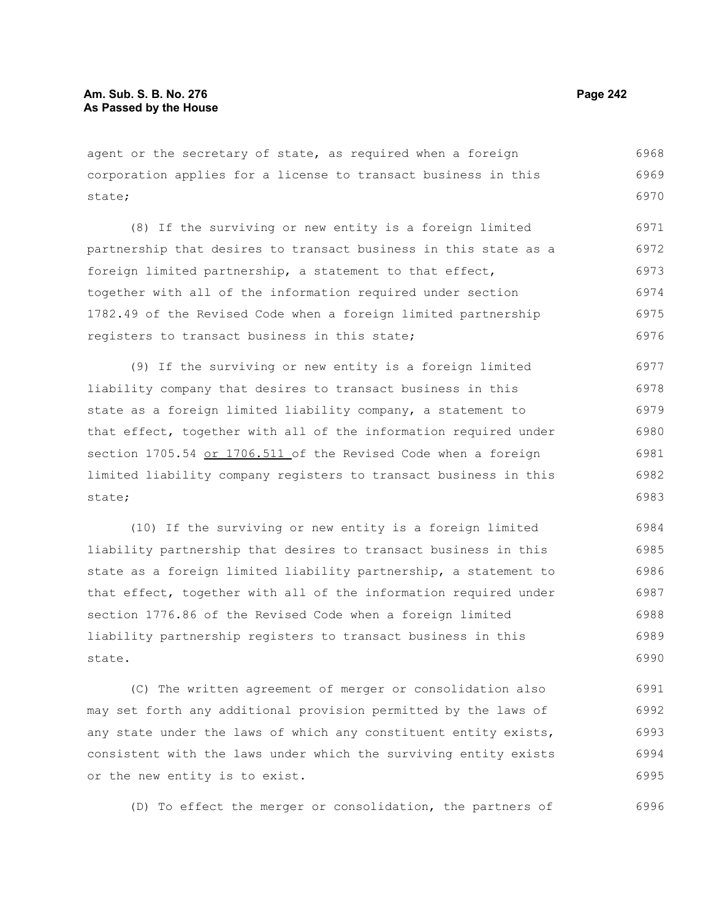agent or the secretary of state, as required when a foreign corporation applies for a license to transact business in this state; 6968 6969 6970

(8) If the surviving or new entity is a foreign limited partnership that desires to transact business in this state as a foreign limited partnership, a statement to that effect, together with all of the information required under section 1782.49 of the Revised Code when a foreign limited partnership registers to transact business in this state; 6971 6972 6973 6974 6975 6976

(9) If the surviving or new entity is a foreign limited liability company that desires to transact business in this state as a foreign limited liability company, a statement to that effect, together with all of the information required under section 1705.54 or 1706.511 of the Revised Code when a foreign limited liability company registers to transact business in this state; 6977 6978 6979 6980 6981 6982 6983

(10) If the surviving or new entity is a foreign limited liability partnership that desires to transact business in this state as a foreign limited liability partnership, a statement to that effect, together with all of the information required under section 1776.86 of the Revised Code when a foreign limited liability partnership registers to transact business in this state. 6984 6985 6986 6987 6988 6989 6990

(C) The written agreement of merger or consolidation also may set forth any additional provision permitted by the laws of any state under the laws of which any constituent entity exists, consistent with the laws under which the surviving entity exists or the new entity is to exist. 6991 6992 6993 6994 6995

(D) To effect the merger or consolidation, the partners of 6996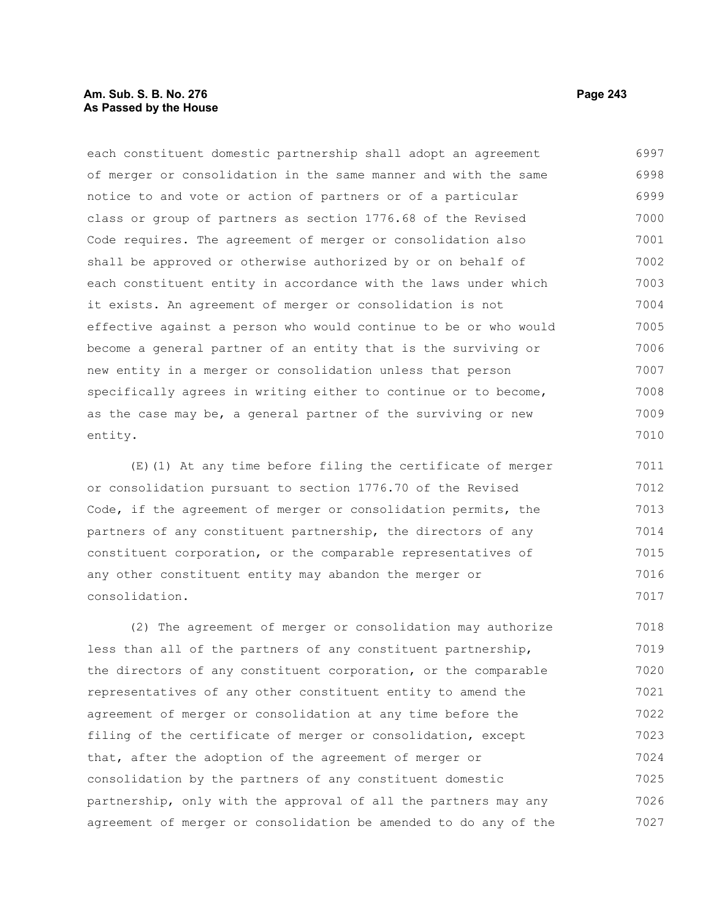## **Am. Sub. S. B. No. 276 Page 243 As Passed by the House**

each constituent domestic partnership shall adopt an agreement of merger or consolidation in the same manner and with the same notice to and vote or action of partners or of a particular class or group of partners as section 1776.68 of the Revised Code requires. The agreement of merger or consolidation also shall be approved or otherwise authorized by or on behalf of each constituent entity in accordance with the laws under which it exists. An agreement of merger or consolidation is not effective against a person who would continue to be or who would become a general partner of an entity that is the surviving or new entity in a merger or consolidation unless that person specifically agrees in writing either to continue or to become, as the case may be, a general partner of the surviving or new entity. 6997 6998 6999 7000 7001 7002 7003 7004 7005 7006 7007 7008 7009 7010

(E)(1) At any time before filing the certificate of merger or consolidation pursuant to section 1776.70 of the Revised Code, if the agreement of merger or consolidation permits, the partners of any constituent partnership, the directors of any constituent corporation, or the comparable representatives of any other constituent entity may abandon the merger or consolidation. 7011 7012 7013 7014 7015 7016 7017

(2) The agreement of merger or consolidation may authorize less than all of the partners of any constituent partnership, the directors of any constituent corporation, or the comparable representatives of any other constituent entity to amend the agreement of merger or consolidation at any time before the filing of the certificate of merger or consolidation, except that, after the adoption of the agreement of merger or consolidation by the partners of any constituent domestic partnership, only with the approval of all the partners may any agreement of merger or consolidation be amended to do any of the 7018 7019 7020 7021 7022 7023 7024 7025 7026 7027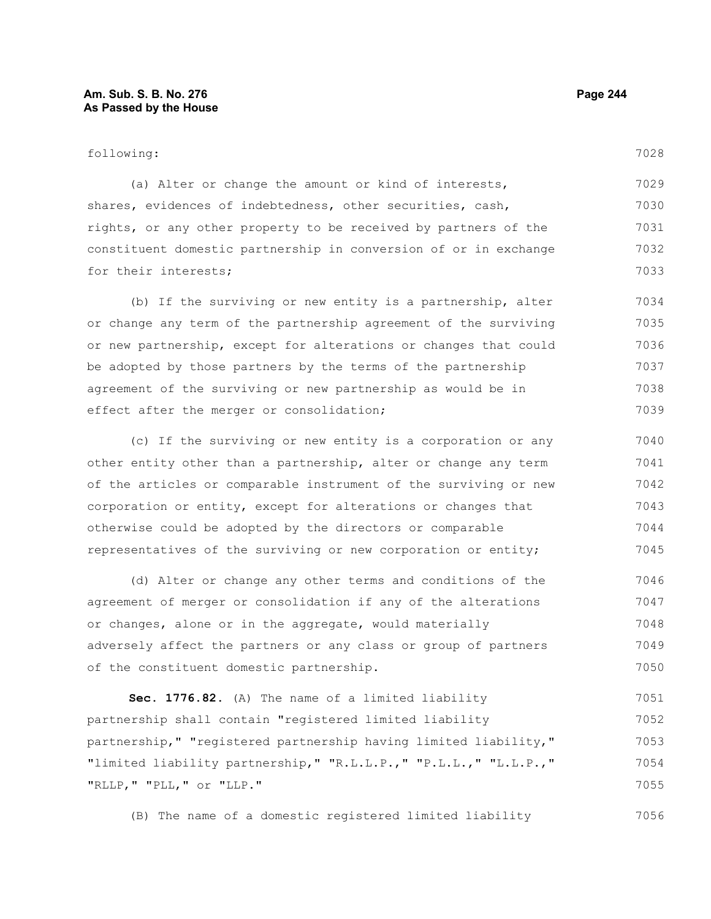#### following:

7028

(a) Alter or change the amount or kind of interests, shares, evidences of indebtedness, other securities, cash, rights, or any other property to be received by partners of the constituent domestic partnership in conversion of or in exchange for their interests; 7029 7030 7031 7032 7033

(b) If the surviving or new entity is a partnership, alter or change any term of the partnership agreement of the surviving or new partnership, except for alterations or changes that could be adopted by those partners by the terms of the partnership agreement of the surviving or new partnership as would be in effect after the merger or consolidation; 7034 7035 7036 7037 7038 7039

(c) If the surviving or new entity is a corporation or any other entity other than a partnership, alter or change any term of the articles or comparable instrument of the surviving or new corporation or entity, except for alterations or changes that otherwise could be adopted by the directors or comparable representatives of the surviving or new corporation or entity; 7040 7041 7042 7043 7044 7045

(d) Alter or change any other terms and conditions of the agreement of merger or consolidation if any of the alterations or changes, alone or in the aggregate, would materially adversely affect the partners or any class or group of partners of the constituent domestic partnership. 7046 7047 7048 7049 7050

**Sec. 1776.82.** (A) The name of a limited liability partnership shall contain "registered limited liability partnership," "registered partnership having limited liability," "limited liability partnership," "R.L.L.P.," "P.L.L.," "L.L.P.," "RLLP," "PLL," or "LLP." 7051 7052 7053 7054 7055

(B) The name of a domestic registered limited liability 7056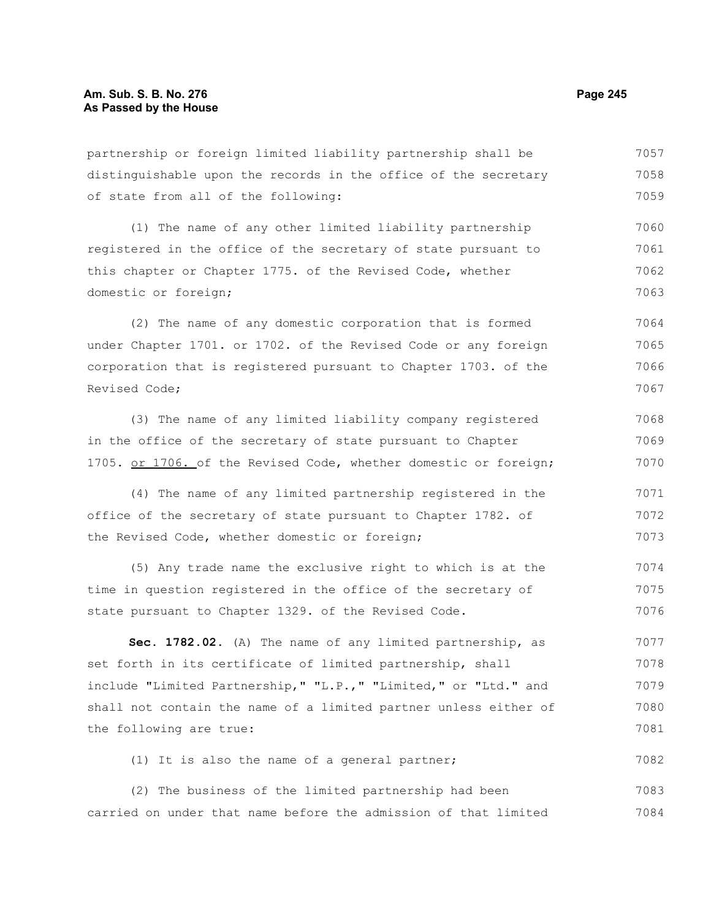#### partnership or foreign limited liability partnership shall be distinguishable upon the records in the office of the secretary of state from all of the following: (1) The name of any other limited liability partnership registered in the office of the secretary of state pursuant to this chapter or Chapter 1775. of the Revised Code, whether domestic or foreign; (2) The name of any domestic corporation that is formed under Chapter 1701. or 1702. of the Revised Code or any foreign corporation that is registered pursuant to Chapter 1703. of the Revised Code; (3) The name of any limited liability company registered in the office of the secretary of state pursuant to Chapter 1705. or 1706. of the Revised Code, whether domestic or foreign; (4) The name of any limited partnership registered in the office of the secretary of state pursuant to Chapter 1782. of the Revised Code, whether domestic or foreign; 7057 7058 7059 7060 7061 7062 7063 7064 7065 7066 7067 7068 7069 7070 7071 7072 7073

(5) Any trade name the exclusive right to which is at the time in question registered in the office of the secretary of state pursuant to Chapter 1329. of the Revised Code. 7074 7075 7076

**Sec. 1782.02.** (A) The name of any limited partnership, as set forth in its certificate of limited partnership, shall include "Limited Partnership," "L.P.," "Limited," or "Ltd." and shall not contain the name of a limited partner unless either of the following are true: 7077 7078 7079 7080 7081

(1) It is also the name of a general partner; 7082

(2) The business of the limited partnership had been carried on under that name before the admission of that limited 7083 7084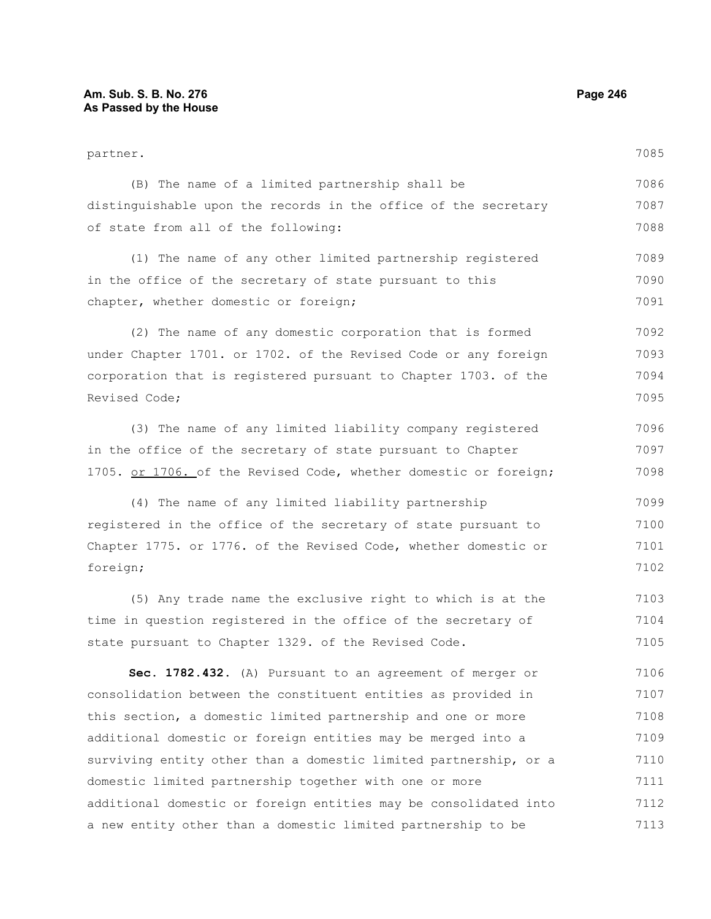| partner.                                                         | 7085 |
|------------------------------------------------------------------|------|
| (B) The name of a limited partnership shall be                   | 7086 |
| distinguishable upon the records in the office of the secretary  | 7087 |
| of state from all of the following:                              | 7088 |
| (1) The name of any other limited partnership registered         | 7089 |
| in the office of the secretary of state pursuant to this         | 7090 |
| chapter, whether domestic or foreign;                            | 7091 |
| (2) The name of any domestic corporation that is formed          | 7092 |
| under Chapter 1701. or 1702. of the Revised Code or any foreign  | 7093 |
| corporation that is registered pursuant to Chapter 1703. of the  | 7094 |
| Revised Code;                                                    | 7095 |
| (3) The name of any limited liability company registered         | 7096 |
| in the office of the secretary of state pursuant to Chapter      | 7097 |
| 1705. or 1706. of the Revised Code, whether domestic or foreign; | 7098 |
| (4) The name of any limited liability partnership                | 7099 |
| registered in the office of the secretary of state pursuant to   | 7100 |
| Chapter 1775. or 1776. of the Revised Code, whether domestic or  | 7101 |
| foreign;                                                         | 7102 |
| (5) Any trade name the exclusive right to which is at the        | 7103 |
| time in question registered in the office of the secretary of    | 7104 |
| state pursuant to Chapter 1329. of the Revised Code.             | 7105 |
| Sec. 1782.432. (A) Pursuant to an agreement of merger or         | 7106 |
| consolidation between the constituent entities as provided in    | 7107 |
| this section, a domestic limited partnership and one or more     | 7108 |
| additional domestic or foreign entities may be merged into a     | 7109 |
| surviving entity other than a domestic limited partnership, or a | 7110 |
| domestic limited partnership together with one or more           | 7111 |
| additional domestic or foreign entities may be consolidated into | 7112 |
| a new entity other than a domestic limited partnership to be     | 7113 |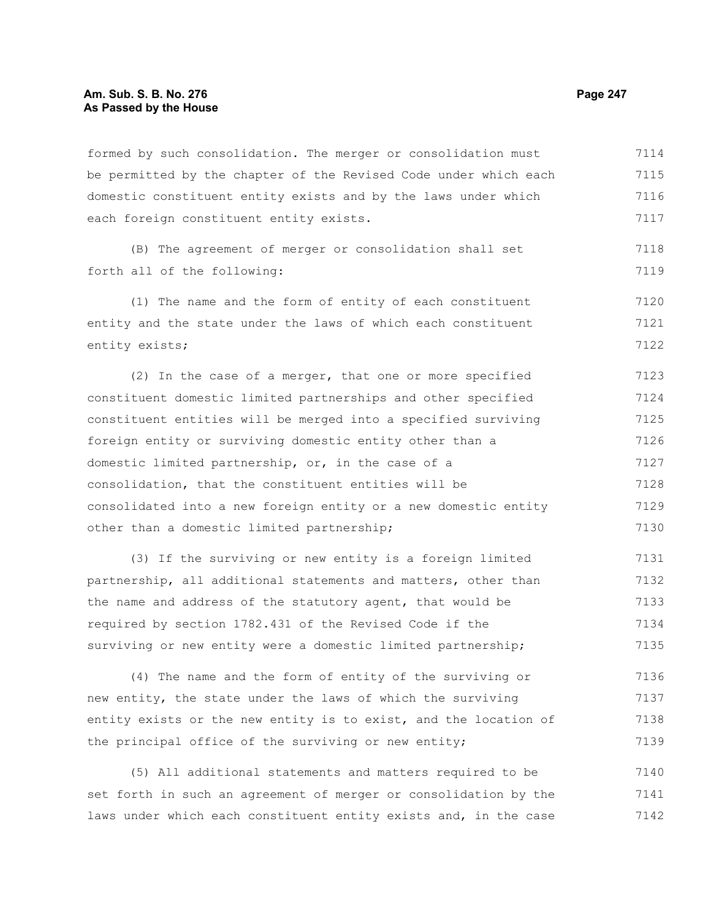formed by such consolidation. The merger or consolidation must be permitted by the chapter of the Revised Code under which each domestic constituent entity exists and by the laws under which each foreign constituent entity exists. 7114 7115 7116 7117

(B) The agreement of merger or consolidation shall set forth all of the following:

(1) The name and the form of entity of each constituent entity and the state under the laws of which each constituent entity exists; 7120 7121 7122

(2) In the case of a merger, that one or more specified constituent domestic limited partnerships and other specified constituent entities will be merged into a specified surviving foreign entity or surviving domestic entity other than a domestic limited partnership, or, in the case of a consolidation, that the constituent entities will be consolidated into a new foreign entity or a new domestic entity other than a domestic limited partnership; 7123 7124 7125 7126 7127 7128 7129 7130

(3) If the surviving or new entity is a foreign limited partnership, all additional statements and matters, other than the name and address of the statutory agent, that would be required by section 1782.431 of the Revised Code if the surviving or new entity were a domestic limited partnership; 7131 7132 7133 7134 7135

(4) The name and the form of entity of the surviving or new entity, the state under the laws of which the surviving entity exists or the new entity is to exist, and the location of the principal office of the surviving or new entity; 7136 7137 7138 7139

(5) All additional statements and matters required to be set forth in such an agreement of merger or consolidation by the laws under which each constituent entity exists and, in the case 7140 7141 7142

7118 7119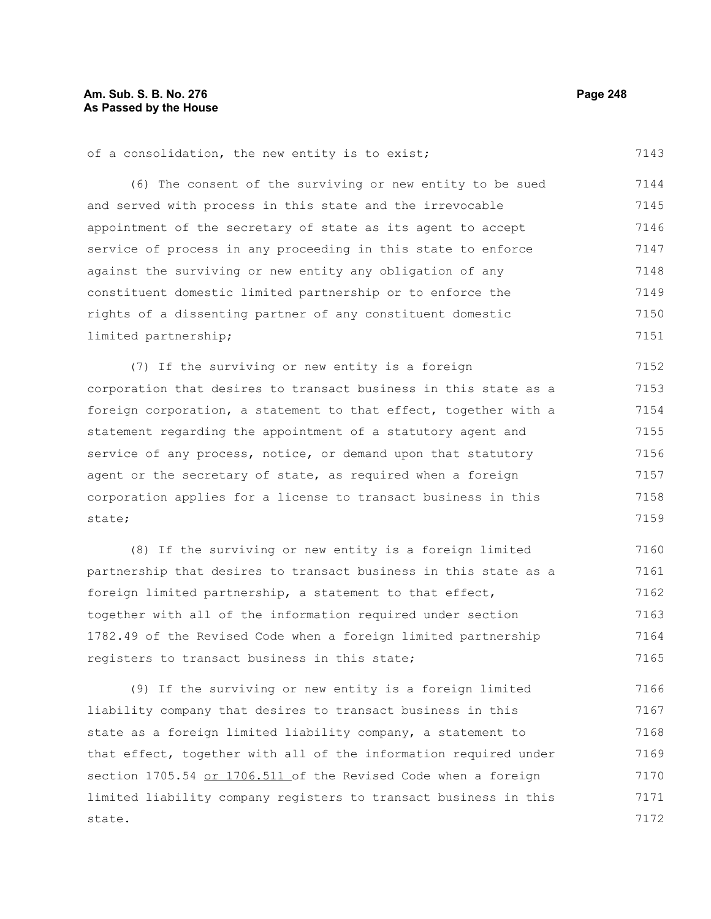## **Am. Sub. S. B. No. 276 Page 248 As Passed by the House**

of a consolidation, the new entity is to exist;

7143

(6) The consent of the surviving or new entity to be sued and served with process in this state and the irrevocable appointment of the secretary of state as its agent to accept service of process in any proceeding in this state to enforce against the surviving or new entity any obligation of any constituent domestic limited partnership or to enforce the rights of a dissenting partner of any constituent domestic limited partnership; 7144 7145 7146 7147 7148 7149 7150 7151

(7) If the surviving or new entity is a foreign corporation that desires to transact business in this state as a foreign corporation, a statement to that effect, together with a statement regarding the appointment of a statutory agent and service of any process, notice, or demand upon that statutory agent or the secretary of state, as required when a foreign corporation applies for a license to transact business in this state; 7152 7153 7154 7155 7156 7157 7158 7159

(8) If the surviving or new entity is a foreign limited partnership that desires to transact business in this state as a foreign limited partnership, a statement to that effect, together with all of the information required under section 1782.49 of the Revised Code when a foreign limited partnership registers to transact business in this state; 7160 7161 7162 7163 7164 7165

(9) If the surviving or new entity is a foreign limited liability company that desires to transact business in this state as a foreign limited liability company, a statement to that effect, together with all of the information required under section 1705.54 or 1706.511 of the Revised Code when a foreign limited liability company registers to transact business in this state. 7166 7167 7168 7169 7170 7171 7172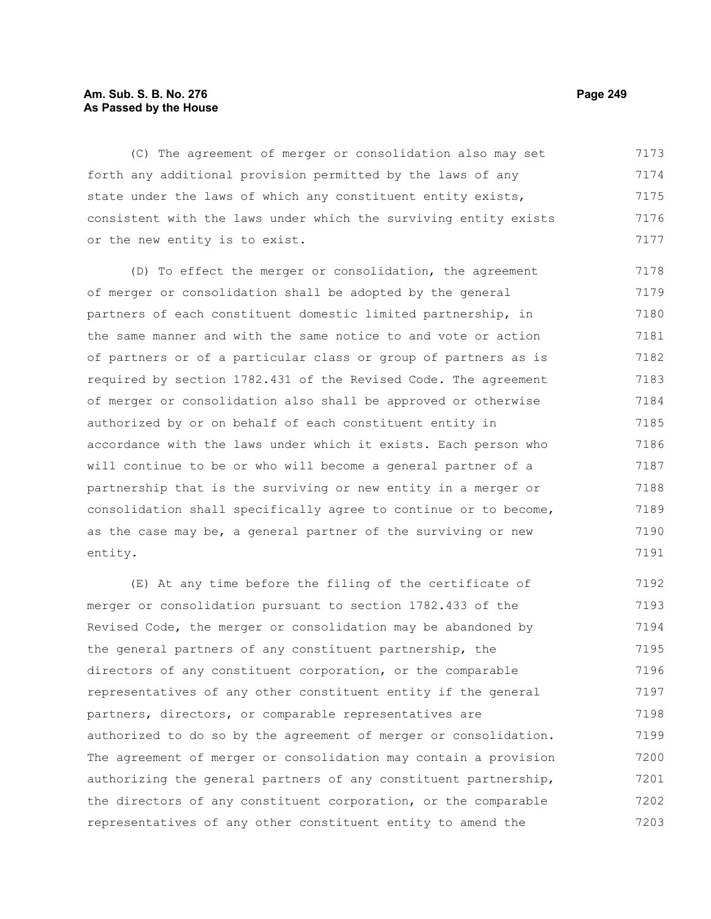#### **Am. Sub. S. B. No. 276 Page 249** Page 249 **As Passed by the House**

(C) The agreement of merger or consolidation also may set forth any additional provision permitted by the laws of any state under the laws of which any constituent entity exists, consistent with the laws under which the surviving entity exists or the new entity is to exist. 7173 7174 7175 7176 7177

(D) To effect the merger or consolidation, the agreement of merger or consolidation shall be adopted by the general partners of each constituent domestic limited partnership, in the same manner and with the same notice to and vote or action of partners or of a particular class or group of partners as is required by section 1782.431 of the Revised Code. The agreement of merger or consolidation also shall be approved or otherwise authorized by or on behalf of each constituent entity in accordance with the laws under which it exists. Each person who will continue to be or who will become a general partner of a partnership that is the surviving or new entity in a merger or consolidation shall specifically agree to continue or to become, as the case may be, a general partner of the surviving or new entity. 7178 7179 7180 7181 7182 7183 7184 7185 7186 7187 7188 7189 7190 7191

(E) At any time before the filing of the certificate of merger or consolidation pursuant to section 1782.433 of the Revised Code, the merger or consolidation may be abandoned by the general partners of any constituent partnership, the directors of any constituent corporation, or the comparable representatives of any other constituent entity if the general partners, directors, or comparable representatives are authorized to do so by the agreement of merger or consolidation. The agreement of merger or consolidation may contain a provision authorizing the general partners of any constituent partnership, the directors of any constituent corporation, or the comparable representatives of any other constituent entity to amend the 7192 7193 7194 7195 7196 7197 7198 7199 7200 7201 7202 7203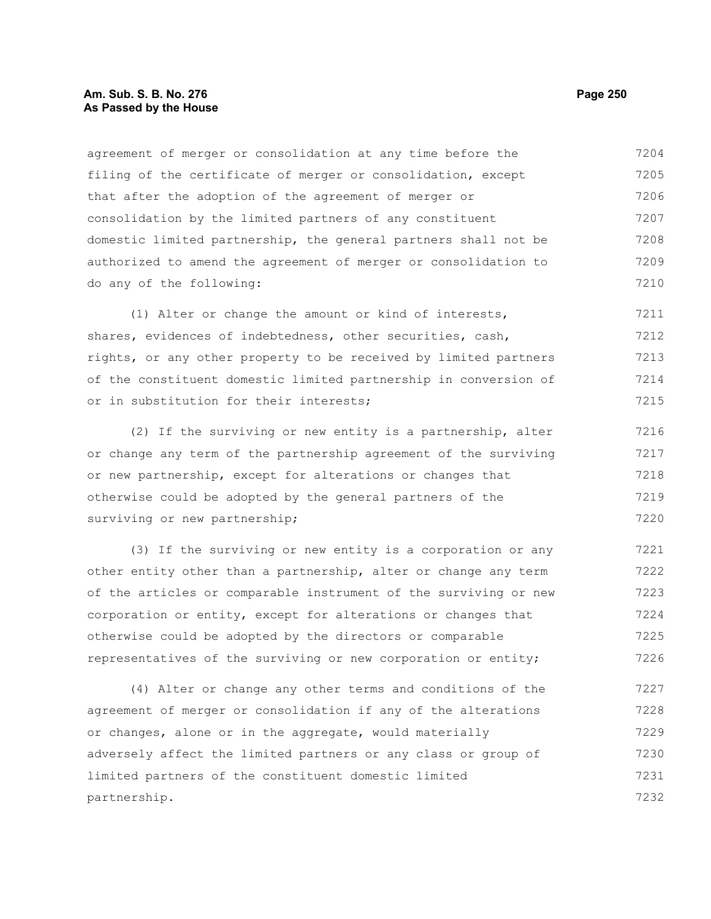#### **Am. Sub. S. B. No. 276 Page 250 As Passed by the House**

agreement of merger or consolidation at any time before the filing of the certificate of merger or consolidation, except that after the adoption of the agreement of merger or consolidation by the limited partners of any constituent domestic limited partnership, the general partners shall not be authorized to amend the agreement of merger or consolidation to do any of the following: 7204 7205 7206 7207 7208 7209 7210

(1) Alter or change the amount or kind of interests, shares, evidences of indebtedness, other securities, cash, rights, or any other property to be received by limited partners of the constituent domestic limited partnership in conversion of or in substitution for their interests; 7211 7212 7213 7214 7215

(2) If the surviving or new entity is a partnership, alter or change any term of the partnership agreement of the surviving or new partnership, except for alterations or changes that otherwise could be adopted by the general partners of the surviving or new partnership; 7216 7217 7218 7219 7220

(3) If the surviving or new entity is a corporation or any other entity other than a partnership, alter or change any term of the articles or comparable instrument of the surviving or new corporation or entity, except for alterations or changes that otherwise could be adopted by the directors or comparable representatives of the surviving or new corporation or entity; 7221 7222 7223 7224 7225 7226

(4) Alter or change any other terms and conditions of the agreement of merger or consolidation if any of the alterations or changes, alone or in the aggregate, would materially adversely affect the limited partners or any class or group of limited partners of the constituent domestic limited partnership. 7227 7228 7229 7230 7231 7232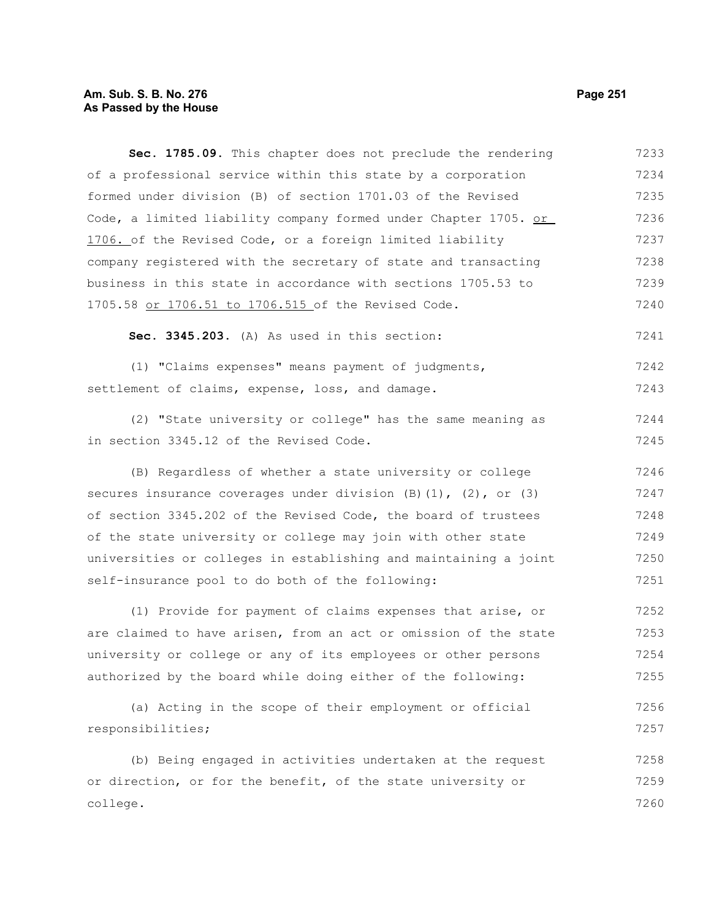# **Am. Sub. S. B. No. 276** Page 251 **As Passed by the House**

| Sec. 1785.09. This chapter does not preclude the rendering              | 7233 |
|-------------------------------------------------------------------------|------|
| of a professional service within this state by a corporation            | 7234 |
| formed under division (B) of section 1701.03 of the Revised             | 7235 |
| Code, a limited liability company formed under Chapter 1705. or         | 7236 |
| 1706. of the Revised Code, or a foreign limited liability               | 7237 |
| company registered with the secretary of state and transacting          | 7238 |
| business in this state in accordance with sections 1705.53 to           | 7239 |
| 1705.58 or 1706.51 to 1706.515 of the Revised Code.                     | 7240 |
| Sec. 3345.203. (A) As used in this section:                             | 7241 |
| (1) "Claims expenses" means payment of judgments,                       | 7242 |
| settlement of claims, expense, loss, and damage.                        | 7243 |
| (2) "State university or college" has the same meaning as               | 7244 |
| in section 3345.12 of the Revised Code.                                 | 7245 |
| (B) Regardless of whether a state university or college                 | 7246 |
| secures insurance coverages under division $(B) (1)$ , $(2)$ , or $(3)$ | 7247 |
| of section 3345.202 of the Revised Code, the board of trustees          | 7248 |
| of the state university or college may join with other state            | 7249 |
| universities or colleges in establishing and maintaining a joint        | 7250 |
| self-insurance pool to do both of the following:                        | 7251 |
| (1) Provide for payment of claims expenses that arise, or               | 7252 |
| are claimed to have arisen, from an act or omission of the state        | 7253 |
| university or college or any of its employees or other persons          | 7254 |
| authorized by the board while doing either of the following:            | 7255 |
| (a) Acting in the scope of their employment or official                 | 7256 |
| responsibilities;                                                       | 7257 |
| (b) Being engaged in activities undertaken at the request               | 7258 |
| or direction, or for the benefit, of the state university or            | 7259 |
| college.                                                                | 7260 |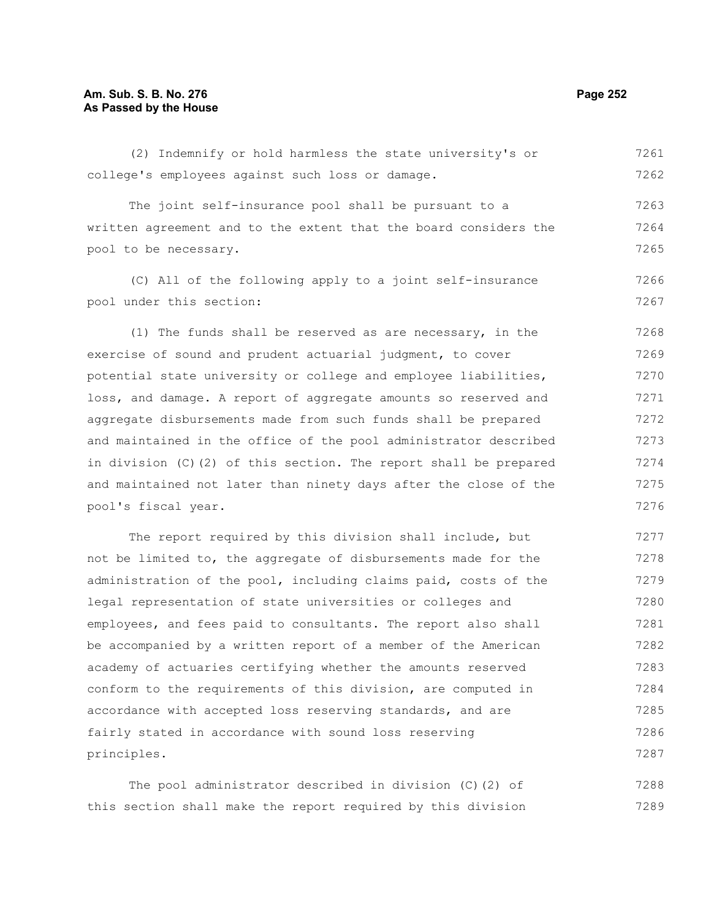#### **Am. Sub. S. B. No. 276 Page 252** Page 252 **As Passed by the House**

(2) Indemnify or hold harmless the state university's or college's employees against such loss or damage. 7261 7262

The joint self-insurance pool shall be pursuant to a written agreement and to the extent that the board considers the pool to be necessary. 7263 7264 7265

(C) All of the following apply to a joint self-insurance pool under this section: 7266 7267

(1) The funds shall be reserved as are necessary, in the exercise of sound and prudent actuarial judgment, to cover potential state university or college and employee liabilities, loss, and damage. A report of aggregate amounts so reserved and aggregate disbursements made from such funds shall be prepared and maintained in the office of the pool administrator described in division (C)(2) of this section. The report shall be prepared and maintained not later than ninety days after the close of the pool's fiscal year. 7268 7269 7270 7271 7272 7273 7274 7275 7276

The report required by this division shall include, but not be limited to, the aggregate of disbursements made for the administration of the pool, including claims paid, costs of the legal representation of state universities or colleges and employees, and fees paid to consultants. The report also shall be accompanied by a written report of a member of the American academy of actuaries certifying whether the amounts reserved conform to the requirements of this division, are computed in accordance with accepted loss reserving standards, and are fairly stated in accordance with sound loss reserving principles. 7277 7278 7279 7280 7281 7282 7283 7284 7285 7286 7287

The pool administrator described in division (C)(2) of this section shall make the report required by this division 7288 7289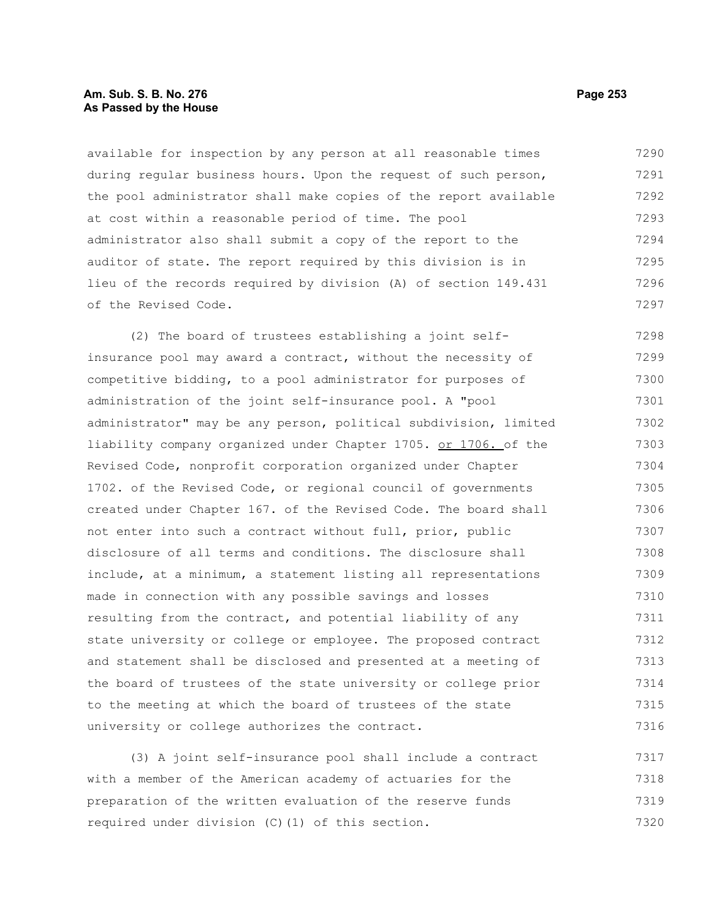# **Am. Sub. S. B. No. 276 Page 253 As Passed by the House**

available for inspection by any person at all reasonable times during regular business hours. Upon the request of such person, the pool administrator shall make copies of the report available at cost within a reasonable period of time. The pool administrator also shall submit a copy of the report to the auditor of state. The report required by this division is in lieu of the records required by division (A) of section 149.431 of the Revised Code. 7290 7291 7292 7293 7294 7295 7296 7297

(2) The board of trustees establishing a joint selfinsurance pool may award a contract, without the necessity of competitive bidding, to a pool administrator for purposes of administration of the joint self-insurance pool. A "pool administrator" may be any person, political subdivision, limited liability company organized under Chapter 1705. or 1706. of the Revised Code, nonprofit corporation organized under Chapter 1702. of the Revised Code, or regional council of governments created under Chapter 167. of the Revised Code. The board shall not enter into such a contract without full, prior, public disclosure of all terms and conditions. The disclosure shall include, at a minimum, a statement listing all representations made in connection with any possible savings and losses resulting from the contract, and potential liability of any state university or college or employee. The proposed contract and statement shall be disclosed and presented at a meeting of the board of trustees of the state university or college prior to the meeting at which the board of trustees of the state university or college authorizes the contract. 7298 7299 7300 7301 7302 7303 7304 7305 7306 7307 7308 7309 7310 7311 7312 7313 7314 7315 7316

(3) A joint self-insurance pool shall include a contract with a member of the American academy of actuaries for the preparation of the written evaluation of the reserve funds required under division (C)(1) of this section. 7317 7318 7319 7320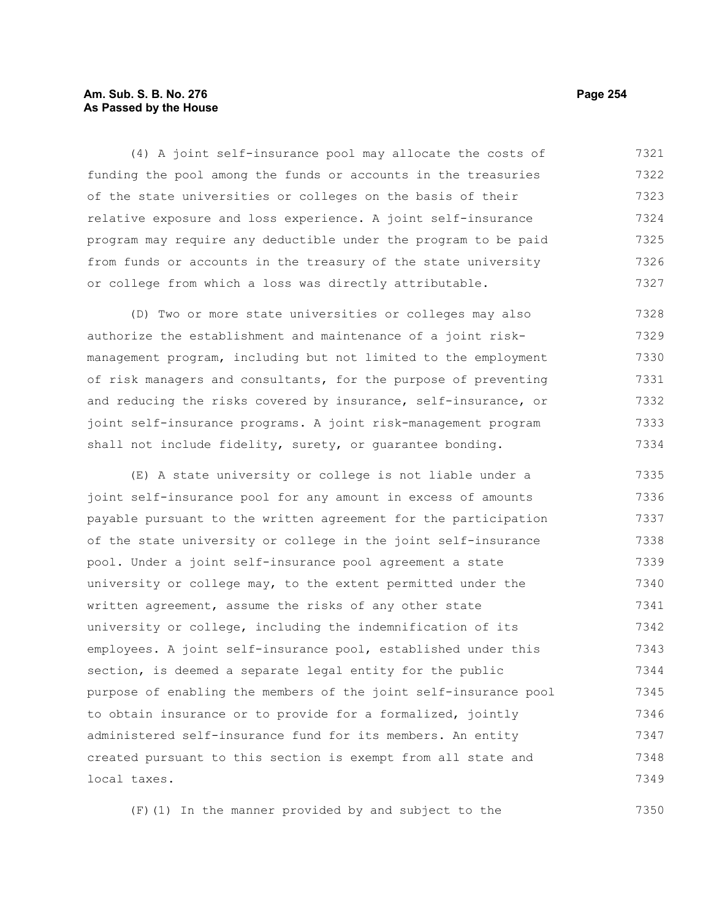# **Am. Sub. S. B. No. 276 Page 254** Page 254 **As Passed by the House**

(4) A joint self-insurance pool may allocate the costs of funding the pool among the funds or accounts in the treasuries of the state universities or colleges on the basis of their relative exposure and loss experience. A joint self-insurance program may require any deductible under the program to be paid from funds or accounts in the treasury of the state university or college from which a loss was directly attributable. 7321 7322 7323 7324 7325 7326 7327

(D) Two or more state universities or colleges may also authorize the establishment and maintenance of a joint riskmanagement program, including but not limited to the employment of risk managers and consultants, for the purpose of preventing and reducing the risks covered by insurance, self-insurance, or joint self-insurance programs. A joint risk-management program shall not include fidelity, surety, or guarantee bonding. 7328 7329 7330 7331 7332 7333 7334

(E) A state university or college is not liable under a joint self-insurance pool for any amount in excess of amounts payable pursuant to the written agreement for the participation of the state university or college in the joint self-insurance pool. Under a joint self-insurance pool agreement a state university or college may, to the extent permitted under the written agreement, assume the risks of any other state university or college, including the indemnification of its employees. A joint self-insurance pool, established under this section, is deemed a separate legal entity for the public purpose of enabling the members of the joint self-insurance pool to obtain insurance or to provide for a formalized, jointly administered self-insurance fund for its members. An entity created pursuant to this section is exempt from all state and local taxes. 7335 7336 7337 7338 7339 7340 7341 7342 7343 7344 7345 7346 7347 7348 7349

(F)(1) In the manner provided by and subject to the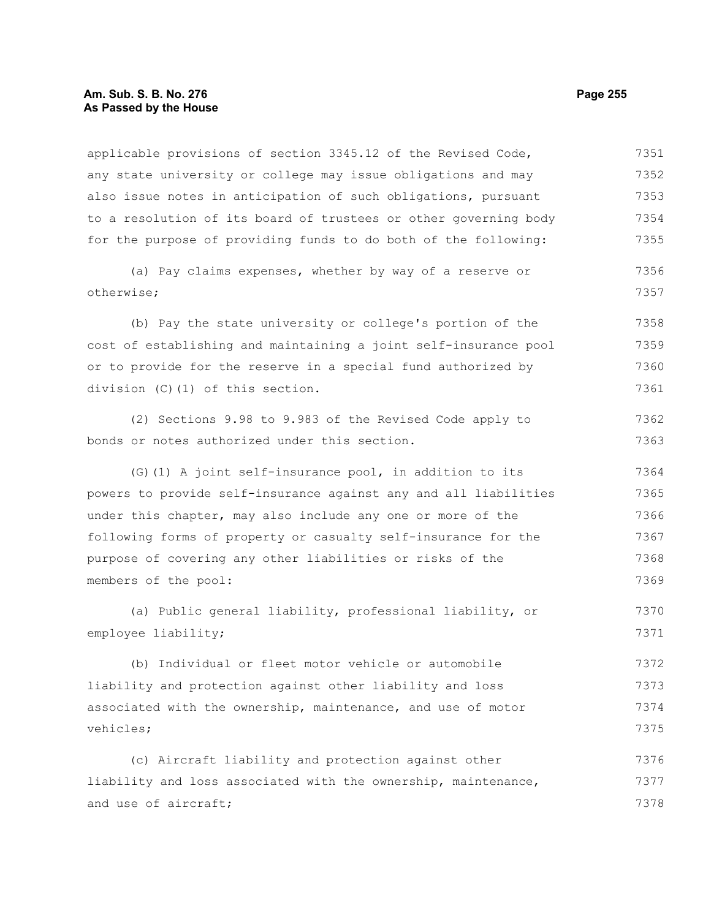## **Am. Sub. S. B. No. 276 Page 255 As Passed by the House**

applicable provisions of section 3345.12 of the Revised Code, any state university or college may issue obligations and may also issue notes in anticipation of such obligations, pursuant to a resolution of its board of trustees or other governing body for the purpose of providing funds to do both of the following: (a) Pay claims expenses, whether by way of a reserve or otherwise; (b) Pay the state university or college's portion of the cost of establishing and maintaining a joint self-insurance pool or to provide for the reserve in a special fund authorized by division (C)(1) of this section. (2) Sections 9.98 to 9.983 of the Revised Code apply to bonds or notes authorized under this section. (G)(1) A joint self-insurance pool, in addition to its powers to provide self-insurance against any and all liabilities under this chapter, may also include any one or more of the following forms of property or casualty self-insurance for the purpose of covering any other liabilities or risks of the members of the pool: (a) Public general liability, professional liability, or employee liability; (b) Individual or fleet motor vehicle or automobile liability and protection against other liability and loss associated with the ownership, maintenance, and use of motor vehicles; (c) Aircraft liability and protection against other liability and loss associated with the ownership, maintenance, and use of aircraft; 7351 7352 7353 7354 7355 7356 7357 7358 7359 7360 7361 7362 7363 7364 7365 7366 7367 7368 7369 7370 7371 7372 7373 7374 7375 7376 7377 7378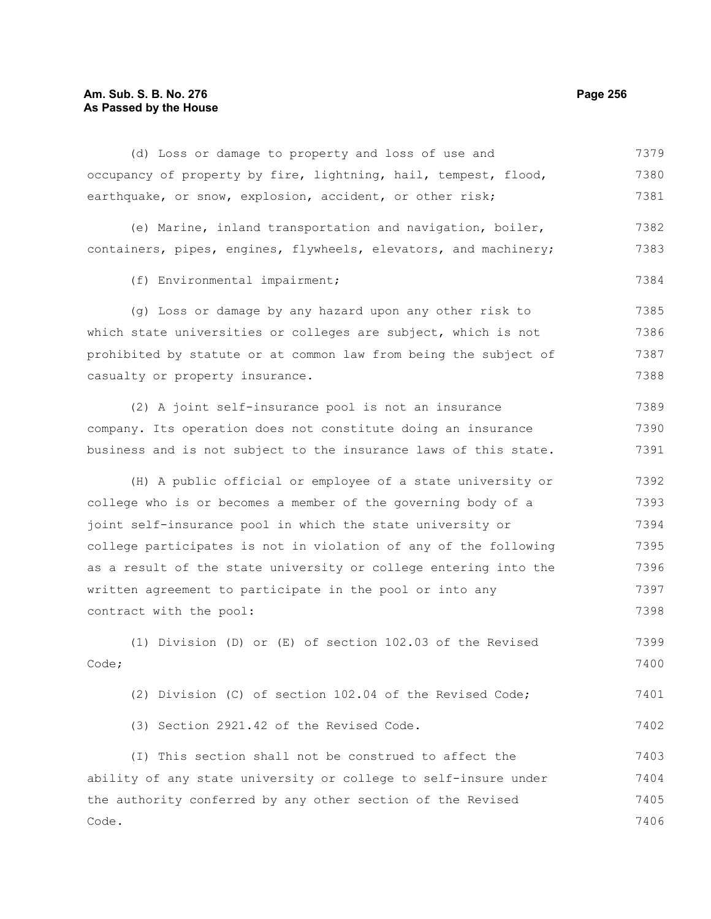## **Am. Sub. S. B. No. 276 Page 256 As Passed by the House**

(d) Loss or damage to property and loss of use and occupancy of property by fire, lightning, hail, tempest, flood, earthquake, or snow, explosion, accident, or other risk; 7379 7380 7381

|  | (e) Marine, inland transportation and navigation, boiler,        |  |  | 7382 |
|--|------------------------------------------------------------------|--|--|------|
|  | containers, pipes, engines, flywheels, elevators, and machinery; |  |  | 7383 |

(f) Environmental impairment;

(g) Loss or damage by any hazard upon any other risk to which state universities or colleges are subject, which is not prohibited by statute or at common law from being the subject of casualty or property insurance. 7385 7386 7387 7388

(2) A joint self-insurance pool is not an insurance company. Its operation does not constitute doing an insurance business and is not subject to the insurance laws of this state. 7389 7390 7391

(H) A public official or employee of a state university or college who is or becomes a member of the governing body of a joint self-insurance pool in which the state university or college participates is not in violation of any of the following as a result of the state university or college entering into the written agreement to participate in the pool or into any contract with the pool: 7392 7393 7394 7395 7396 7397 7398

(1) Division (D) or (E) of section 102.03 of the Revised Code; 7399 7400

(2) Division (C) of section 102.04 of the Revised Code; 7401

(3) Section 2921.42 of the Revised Code.

(I) This section shall not be construed to affect the ability of any state university or college to self-insure under the authority conferred by any other section of the Revised Code. 7403 7404 7405 7406

7384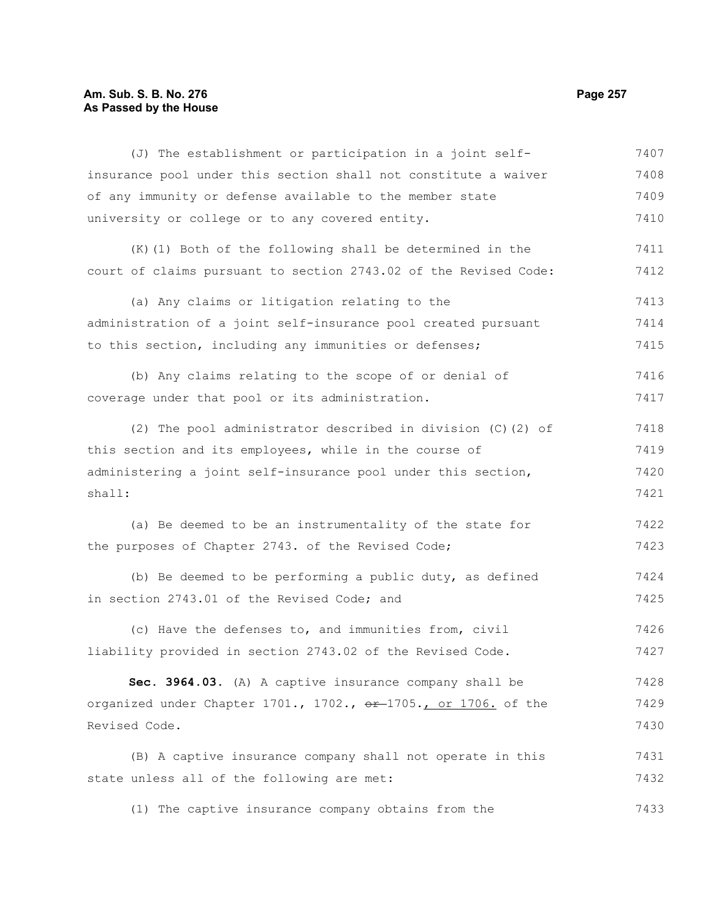# **Am. Sub. S. B. No. 276 Page 257 As Passed by the House**

| (J) The establishment or participation in a joint self-                    | 7407 |  |  |  |
|----------------------------------------------------------------------------|------|--|--|--|
| insurance pool under this section shall not constitute a waiver            | 7408 |  |  |  |
| of any immunity or defense available to the member state                   | 7409 |  |  |  |
| university or college or to any covered entity.                            | 7410 |  |  |  |
| (K) (1) Both of the following shall be determined in the                   | 7411 |  |  |  |
| court of claims pursuant to section 2743.02 of the Revised Code:           | 7412 |  |  |  |
| (a) Any claims or litigation relating to the                               | 7413 |  |  |  |
| administration of a joint self-insurance pool created pursuant             | 7414 |  |  |  |
| to this section, including any immunities or defenses;                     | 7415 |  |  |  |
| (b) Any claims relating to the scope of or denial of                       | 7416 |  |  |  |
| coverage under that pool or its administration.                            | 7417 |  |  |  |
| (2) The pool administrator described in division (C) (2) of                | 7418 |  |  |  |
| this section and its employees, while in the course of                     | 7419 |  |  |  |
| administering a joint self-insurance pool under this section,              | 7420 |  |  |  |
| shall:                                                                     | 7421 |  |  |  |
| (a) Be deemed to be an instrumentality of the state for                    | 7422 |  |  |  |
| the purposes of Chapter 2743. of the Revised Code;                         | 7423 |  |  |  |
| (b) Be deemed to be performing a public duty, as defined                   | 7424 |  |  |  |
| in section 2743.01 of the Revised Code; and                                | 7425 |  |  |  |
| (c) Have the defenses to, and immunities from, civil                       | 7426 |  |  |  |
| liability provided in section 2743.02 of the Revised Code.                 | 7427 |  |  |  |
| Sec. 3964.03. (A) A captive insurance company shall be                     | 7428 |  |  |  |
| organized under Chapter 1701., 1702., <del>or 1705., or 1706.</del> of the |      |  |  |  |
| Revised Code.                                                              | 7430 |  |  |  |
| (B) A captive insurance company shall not operate in this                  | 7431 |  |  |  |
| state unless all of the following are met:                                 | 7432 |  |  |  |
|                                                                            |      |  |  |  |

(1) The captive insurance company obtains from the 7433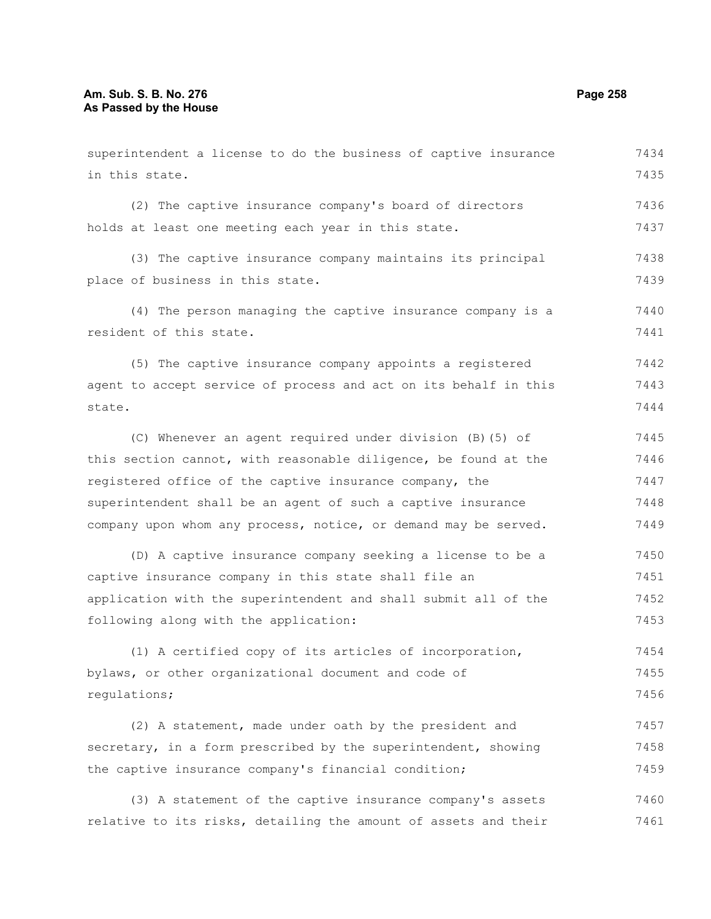superintendent a license to do the business of captive insurance in this state. (2) The captive insurance company's board of directors holds at least one meeting each year in this state. (3) The captive insurance company maintains its principal place of business in this state. (4) The person managing the captive insurance company is a resident of this state. (5) The captive insurance company appoints a registered agent to accept service of process and act on its behalf in this state. (C) Whenever an agent required under division (B)(5) of this section cannot, with reasonable diligence, be found at the registered office of the captive insurance company, the superintendent shall be an agent of such a captive insurance company upon whom any process, notice, or demand may be served. (D) A captive insurance company seeking a license to be a captive insurance company in this state shall file an application with the superintendent and shall submit all of the following along with the application: (1) A certified copy of its articles of incorporation, bylaws, or other organizational document and code of regulations; (2) A statement, made under oath by the president and secretary, in a form prescribed by the superintendent, showing the captive insurance company's financial condition; (3) A statement of the captive insurance company's assets 7434 7435 7436 7437 7438 7439 7440 7441 7442 7443 7444 7445 7446 7447 7448 7449 7450 7451 7452 7453 7454 7455 7456 7457 7458 7459 7460

relative to its risks, detailing the amount of assets and their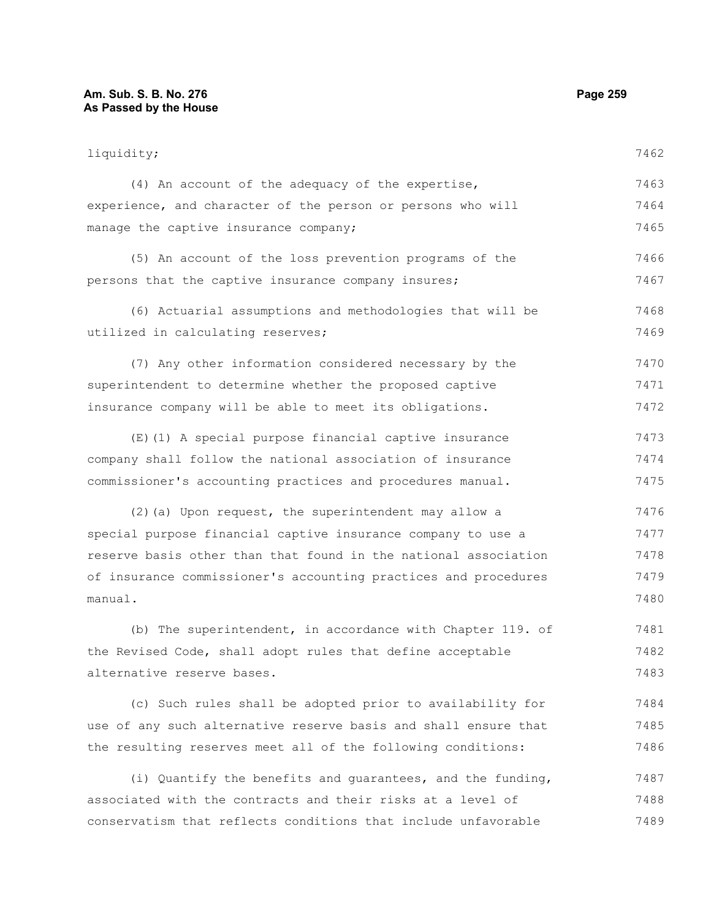#### **Am. Sub. S. B. No. 276 Page 259 As Passed by the House**

liquidity; (4) An account of the adequacy of the expertise, experience, and character of the person or persons who will manage the captive insurance company; (5) An account of the loss prevention programs of the persons that the captive insurance company insures; (6) Actuarial assumptions and methodologies that will be utilized in calculating reserves; (7) Any other information considered necessary by the superintendent to determine whether the proposed captive insurance company will be able to meet its obligations. (E)(1) A special purpose financial captive insurance company shall follow the national association of insurance commissioner's accounting practices and procedures manual. (2)(a) Upon request, the superintendent may allow a special purpose financial captive insurance company to use a reserve basis other than that found in the national association of insurance commissioner's accounting practices and procedures manual. (b) The superintendent, in accordance with Chapter 119. of the Revised Code, shall adopt rules that define acceptable alternative reserve bases. (c) Such rules shall be adopted prior to availability for use of any such alternative reserve basis and shall ensure that the resulting reserves meet all of the following conditions: (i) Quantify the benefits and guarantees, and the funding, 7462 7463 7464 7465 7466 7467 7468 7469 7470 7471 7472 7473 7474 7475 7476 7477 7478 7479 7480 7481 7482 7483 7484 7485 7486 7487

associated with the contracts and their risks at a level of conservatism that reflects conditions that include unfavorable 7488 7489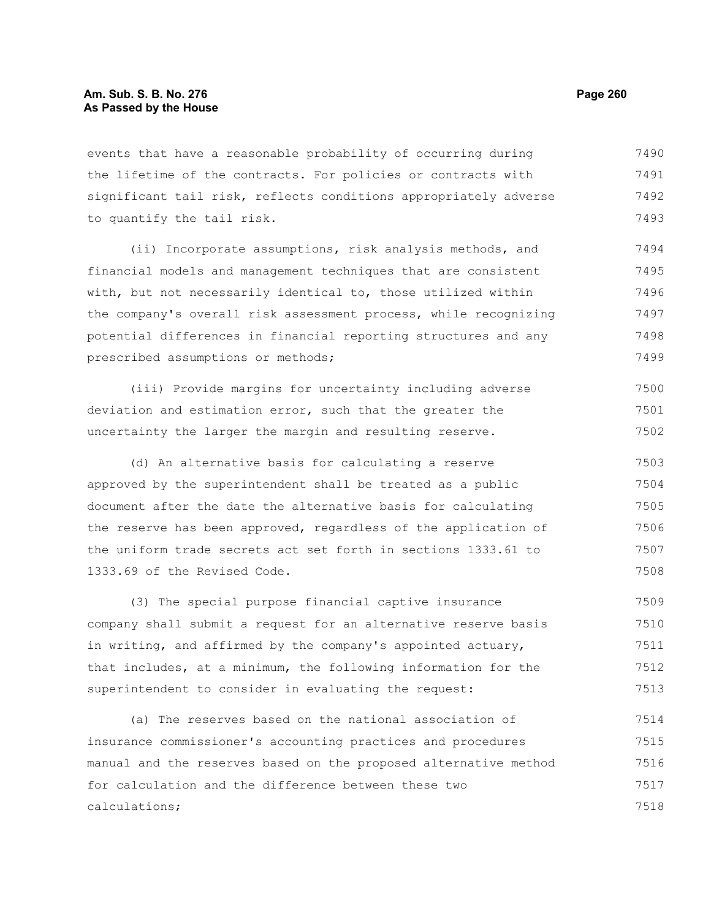## **Am. Sub. S. B. No. 276 Page 260 As Passed by the House**

events that have a reasonable probability of occurring during the lifetime of the contracts. For policies or contracts with significant tail risk, reflects conditions appropriately adverse to quantify the tail risk. 7490 7491 7492 7493

(ii) Incorporate assumptions, risk analysis methods, and financial models and management techniques that are consistent with, but not necessarily identical to, those utilized within the company's overall risk assessment process, while recognizing potential differences in financial reporting structures and any prescribed assumptions or methods; 7494 7495 7496 7497 7498 7499

(iii) Provide margins for uncertainty including adverse deviation and estimation error, such that the greater the uncertainty the larger the margin and resulting reserve. 7500 7501 7502

(d) An alternative basis for calculating a reserve approved by the superintendent shall be treated as a public document after the date the alternative basis for calculating the reserve has been approved, regardless of the application of the uniform trade secrets act set forth in sections 1333.61 to 1333.69 of the Revised Code. 7503 7504 7505 7506 7507 7508

(3) The special purpose financial captive insurance company shall submit a request for an alternative reserve basis in writing, and affirmed by the company's appointed actuary, that includes, at a minimum, the following information for the superintendent to consider in evaluating the request: 7509 7510 7511 7512 7513

(a) The reserves based on the national association of insurance commissioner's accounting practices and procedures manual and the reserves based on the proposed alternative method for calculation and the difference between these two calculations; 7514 7515 7516 7517 7518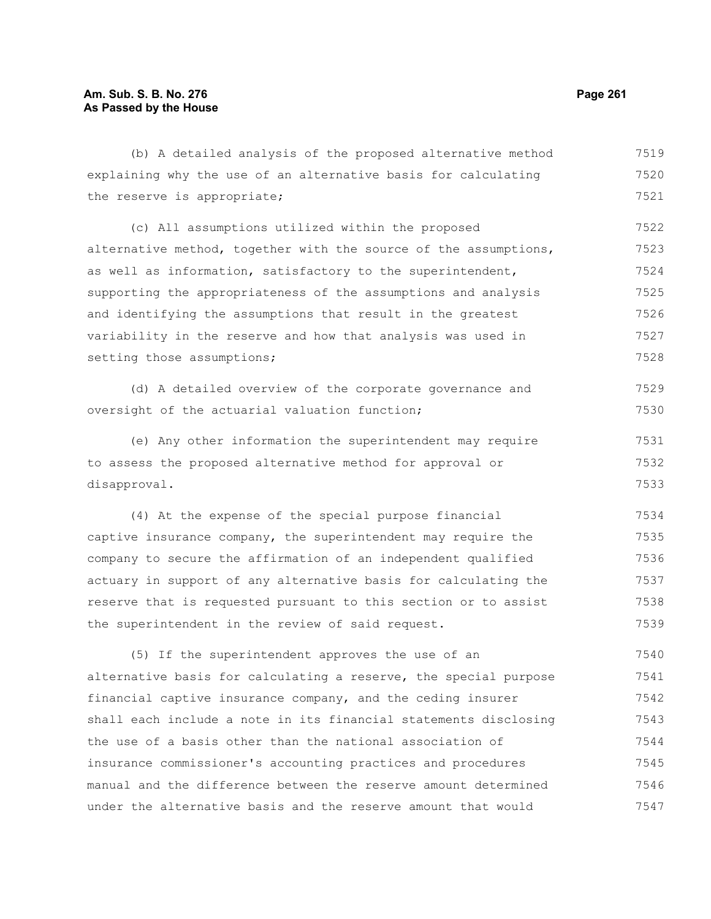(b) A detailed analysis of the proposed alternative method explaining why the use of an alternative basis for calculating the reserve is appropriate; (c) All assumptions utilized within the proposed alternative method, together with the source of the assumptions, as well as information, satisfactory to the superintendent, supporting the appropriateness of the assumptions and analysis and identifying the assumptions that result in the greatest variability in the reserve and how that analysis was used in setting those assumptions; (d) A detailed overview of the corporate governance and oversight of the actuarial valuation function; (e) Any other information the superintendent may require to assess the proposed alternative method for approval or disapproval. (4) At the expense of the special purpose financial captive insurance company, the superintendent may require the company to secure the affirmation of an independent qualified actuary in support of any alternative basis for calculating the reserve that is requested pursuant to this section or to assist the superintendent in the review of said request. 7520 7521 7522 7523 7524 7525 7526 7527 7528 7529 7530 7531 7532 7533 7534 7535 7536 7537 7538 7539 7540

(5) If the superintendent approves the use of an alternative basis for calculating a reserve, the special purpose financial captive insurance company, and the ceding insurer shall each include a note in its financial statements disclosing the use of a basis other than the national association of insurance commissioner's accounting practices and procedures manual and the difference between the reserve amount determined under the alternative basis and the reserve amount that would 7541 7542 7543 7544 7545 7546 7547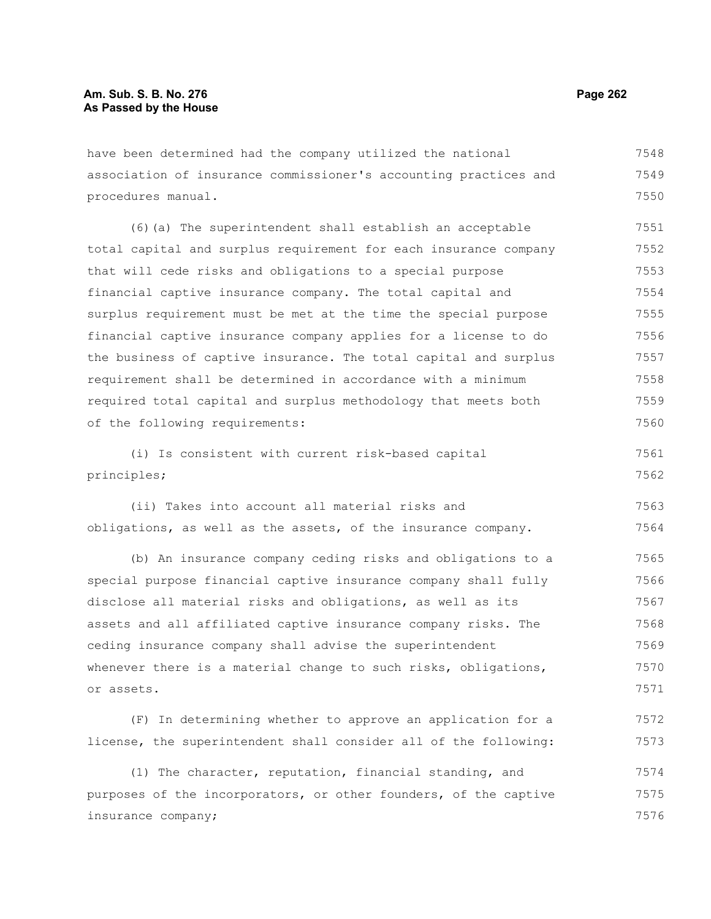have been determined had the company utilized the national association of insurance commissioner's accounting practices and procedures manual. 7548 7549 7550

(6)(a) The superintendent shall establish an acceptable total capital and surplus requirement for each insurance company that will cede risks and obligations to a special purpose financial captive insurance company. The total capital and surplus requirement must be met at the time the special purpose financial captive insurance company applies for a license to do the business of captive insurance. The total capital and surplus requirement shall be determined in accordance with a minimum required total capital and surplus methodology that meets both of the following requirements: 7551 7552 7553 7554 7555 7556 7557 7558 7559 7560

(i) Is consistent with current risk-based capital principles; 7561 7562

(ii) Takes into account all material risks and obligations, as well as the assets, of the insurance company. 7563 7564

(b) An insurance company ceding risks and obligations to a special purpose financial captive insurance company shall fully disclose all material risks and obligations, as well as its assets and all affiliated captive insurance company risks. The ceding insurance company shall advise the superintendent whenever there is a material change to such risks, obligations, or assets. 7565 7566 7567 7568 7569 7570 7571

(F) In determining whether to approve an application for a license, the superintendent shall consider all of the following: 7572 7573

(1) The character, reputation, financial standing, and purposes of the incorporators, or other founders, of the captive insurance company; 7574 7575 7576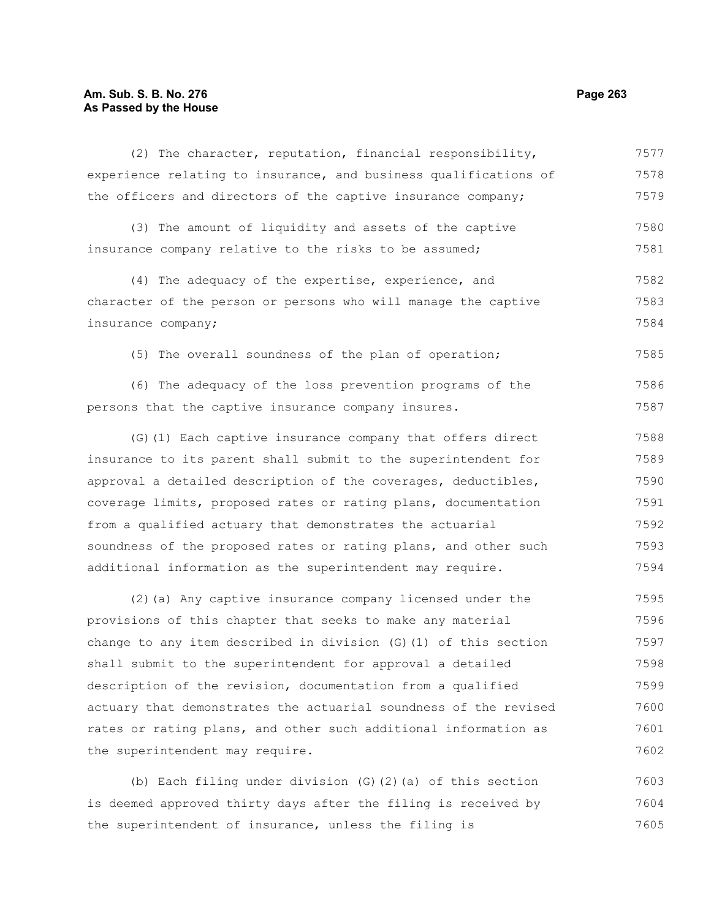## **Am. Sub. S. B. No. 276 Page 263 As Passed by the House**

(2) The character, reputation, financial responsibility, experience relating to insurance, and business qualifications of the officers and directors of the captive insurance company; 7577 7578 7579

(3) The amount of liquidity and assets of the captive insurance company relative to the risks to be assumed; 7580 7581

(4) The adequacy of the expertise, experience, and character of the person or persons who will manage the captive insurance company; 7582 7583 7584

(5) The overall soundness of the plan of operation;

(6) The adequacy of the loss prevention programs of the persons that the captive insurance company insures. 7586 7587

(G)(1) Each captive insurance company that offers direct insurance to its parent shall submit to the superintendent for approval a detailed description of the coverages, deductibles, coverage limits, proposed rates or rating plans, documentation from a qualified actuary that demonstrates the actuarial soundness of the proposed rates or rating plans, and other such additional information as the superintendent may require. 7588 7589 7590 7591 7592 7593 7594

(2)(a) Any captive insurance company licensed under the provisions of this chapter that seeks to make any material change to any item described in division (G)(1) of this section shall submit to the superintendent for approval a detailed description of the revision, documentation from a qualified actuary that demonstrates the actuarial soundness of the revised rates or rating plans, and other such additional information as the superintendent may require. 7595 7596 7597 7598 7599 7600 7601 7602

(b) Each filing under division (G)(2)(a) of this section is deemed approved thirty days after the filing is received by the superintendent of insurance, unless the filing is 7603 7604 7605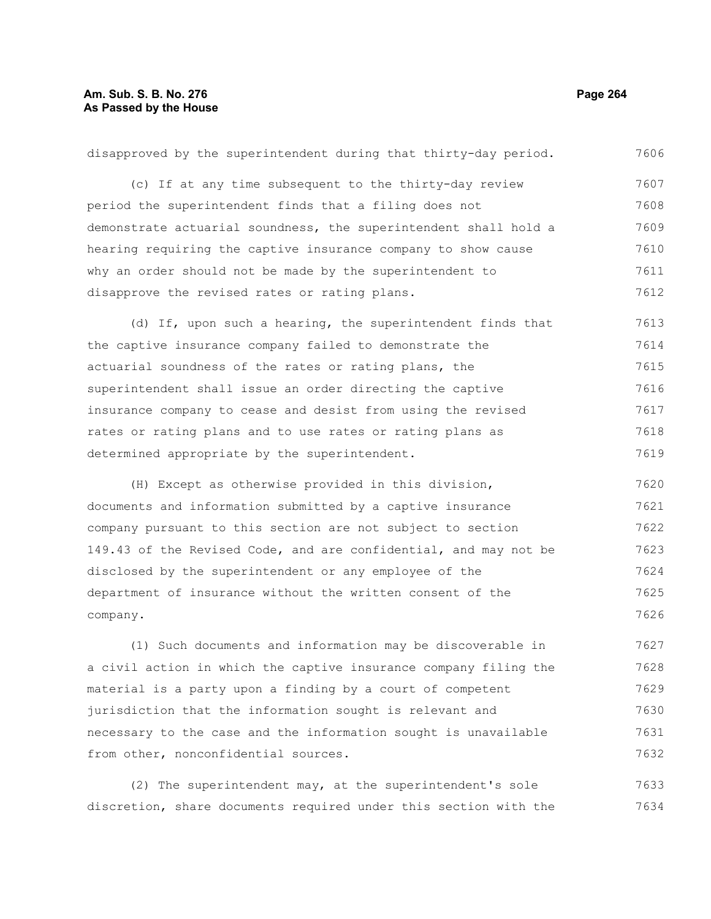# **Am. Sub. S. B. No. 276 Page 264 As Passed by the House**

disapproved by the superintendent during that thirty-day period. (c) If at any time subsequent to the thirty-day review period the superintendent finds that a filing does not demonstrate actuarial soundness, the superintendent shall hold a hearing requiring the captive insurance company to show cause why an order should not be made by the superintendent to disapprove the revised rates or rating plans. (d) If, upon such a hearing, the superintendent finds that the captive insurance company failed to demonstrate the actuarial soundness of the rates or rating plans, the superintendent shall issue an order directing the captive insurance company to cease and desist from using the revised rates or rating plans and to use rates or rating plans as determined appropriate by the superintendent. (H) Except as otherwise provided in this division, documents and information submitted by a captive insurance company pursuant to this section are not subject to section 149.43 of the Revised Code, and are confidential, and may not be disclosed by the superintendent or any employee of the department of insurance without the written consent of the company. (1) Such documents and information may be discoverable in a civil action in which the captive insurance company filing the 7606 7607 7608 7609 7610 7611 7612 7613 7614 7615 7616 7617 7618 7619 7620 7621 7622 7623 7624 7625 7626 7627 7628

material is a party upon a finding by a court of competent jurisdiction that the information sought is relevant and necessary to the case and the information sought is unavailable from other, nonconfidential sources. 7629 7630 7631 7632

(2) The superintendent may, at the superintendent's sole discretion, share documents required under this section with the 7633 7634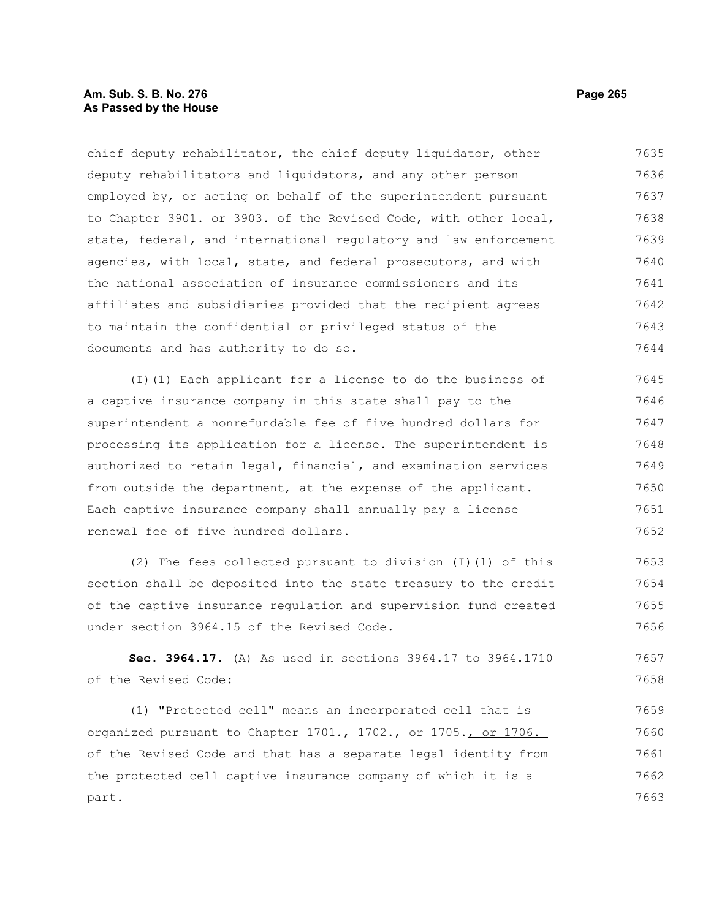## **Am. Sub. S. B. No. 276 Page 265** Page 265 **As Passed by the House**

chief deputy rehabilitator, the chief deputy liquidator, other deputy rehabilitators and liquidators, and any other person employed by, or acting on behalf of the superintendent pursuant to Chapter 3901. or 3903. of the Revised Code, with other local, state, federal, and international regulatory and law enforcement agencies, with local, state, and federal prosecutors, and with the national association of insurance commissioners and its affiliates and subsidiaries provided that the recipient agrees to maintain the confidential or privileged status of the documents and has authority to do so. 7635 7636 7637 7638 7639 7640 7641 7642 7643 7644

(I)(1) Each applicant for a license to do the business of a captive insurance company in this state shall pay to the superintendent a nonrefundable fee of five hundred dollars for processing its application for a license. The superintendent is authorized to retain legal, financial, and examination services from outside the department, at the expense of the applicant. Each captive insurance company shall annually pay a license renewal fee of five hundred dollars. 7645 7646 7647 7648 7649 7650 7651 7652

(2) The fees collected pursuant to division (I)(1) of this section shall be deposited into the state treasury to the credit of the captive insurance regulation and supervision fund created under section 3964.15 of the Revised Code. 7653 7654 7655 7656

**Sec. 3964.17.** (A) As used in sections 3964.17 to 3964.1710 of the Revised Code: 7657 7658

(1) "Protected cell" means an incorporated cell that is organized pursuant to Chapter  $1701.$ ,  $1702.$ ,  $e^{2}$   $1705.$ , or  $1706.$ of the Revised Code and that has a separate legal identity from the protected cell captive insurance company of which it is a part. 7659 7660 7661 7662 7663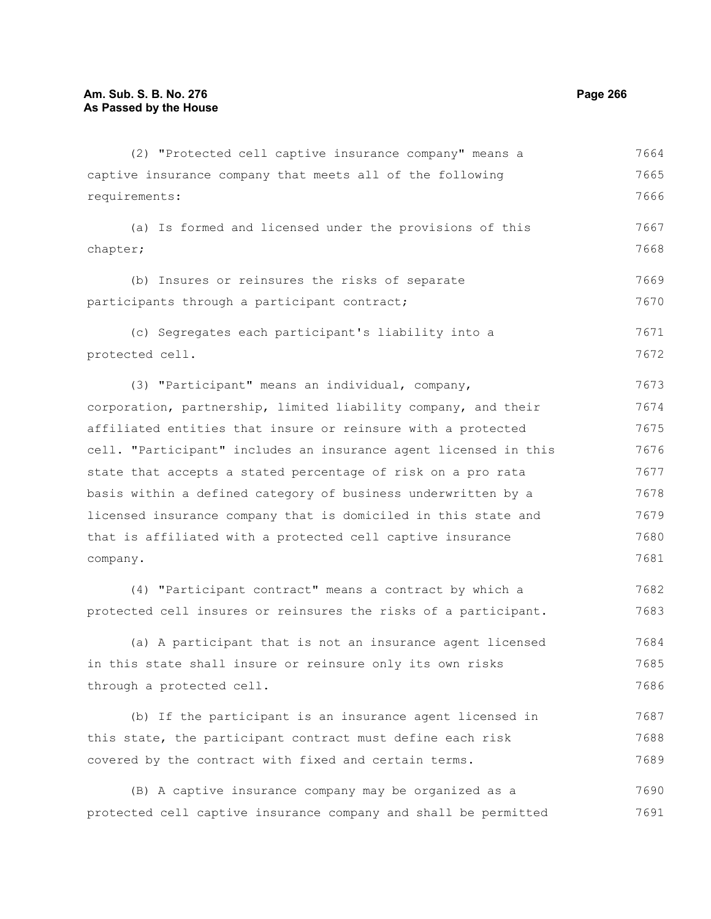(2) "Protected cell captive insurance company" means a captive insurance company that meets all of the following requirements: (a) Is formed and licensed under the provisions of this chapter; (b) Insures or reinsures the risks of separate participants through a participant contract; (c) Segregates each participant's liability into a protected cell. (3) "Participant" means an individual, company, corporation, partnership, limited liability company, and their affiliated entities that insure or reinsure with a protected cell. "Participant" includes an insurance agent licensed in this state that accepts a stated percentage of risk on a pro rata basis within a defined category of business underwritten by a licensed insurance company that is domiciled in this state and that is affiliated with a protected cell captive insurance company. (4) "Participant contract" means a contract by which a protected cell insures or reinsures the risks of a participant. 7664 7665 7666 7667 7668 7669 7670 7671 7672 7673 7674 7675 7676 7677 7678 7679 7680 7681 7682 7683

(a) A participant that is not an insurance agent licensed in this state shall insure or reinsure only its own risks through a protected cell. 7684 7685 7686

(b) If the participant is an insurance agent licensed in this state, the participant contract must define each risk covered by the contract with fixed and certain terms. 7687 7688 7689

(B) A captive insurance company may be organized as a protected cell captive insurance company and shall be permitted 7690 7691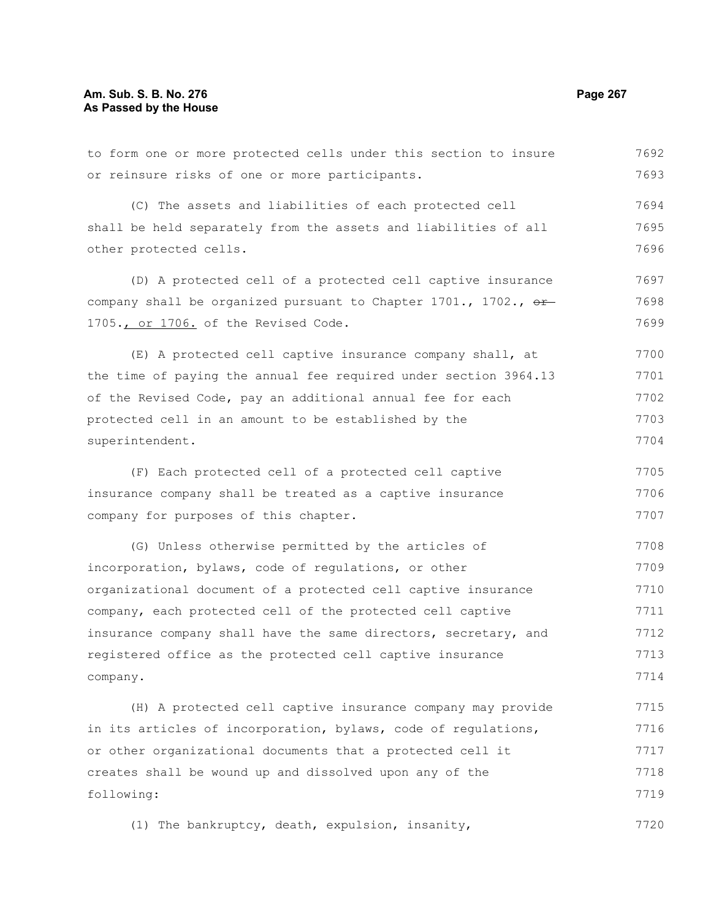or reinsure risks of one or more participants. (C) The assets and liabilities of each protected cell other protected cells. (D) A protected cell of a protected cell captive insurance 1705., or 1706. of the Revised Code. (E) A protected cell captive insurance company shall, at (F) Each protected cell of a protected cell captive (G) Unless otherwise permitted by the articles of (H) A protected cell captive insurance company may provide 7692 7693 7694 7695 7696 7697 7698 7699 7700 7701 7702 7703 7704 7705 7706 7707 7708 7709 7710 7711 7712 7713 7714 7715 7716

to form one or more protected cells under this section to insure

shall be held separately from the assets and liabilities of all

company shall be organized pursuant to Chapter 1701., 1702.,  $\sigma$ 

the time of paying the annual fee required under section 3964.13 of the Revised Code, pay an additional annual fee for each protected cell in an amount to be established by the superintendent.

insurance company shall be treated as a captive insurance company for purposes of this chapter.

incorporation, bylaws, code of regulations, or other organizational document of a protected cell captive insurance company, each protected cell of the protected cell captive insurance company shall have the same directors, secretary, and registered office as the protected cell captive insurance company.

in its articles of incorporation, bylaws, code of regulations, or other organizational documents that a protected cell it creates shall be wound up and dissolved upon any of the following: 7717 7718 7719

(1) The bankruptcy, death, expulsion, insanity, 7720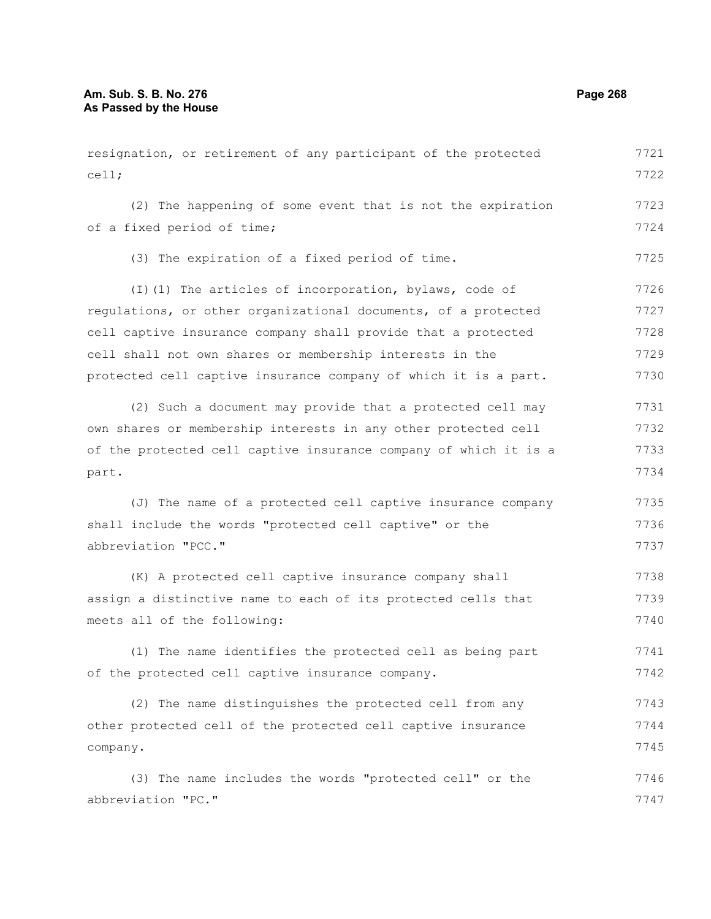resignation, or retirement of any participant of the protected cell; (2) The happening of some event that is not the expiration of a fixed period of time; (3) The expiration of a fixed period of time. (I)(1) The articles of incorporation, bylaws, code of regulations, or other organizational documents, of a protected cell captive insurance company shall provide that a protected cell shall not own shares or membership interests in the protected cell captive insurance company of which it is a part. (2) Such a document may provide that a protected cell may own shares or membership interests in any other protected cell of the protected cell captive insurance company of which it is a part. (J) The name of a protected cell captive insurance company shall include the words "protected cell captive" or the abbreviation "PCC." (K) A protected cell captive insurance company shall assign a distinctive name to each of its protected cells that meets all of the following: (1) The name identifies the protected cell as being part of the protected cell captive insurance company. (2) The name distinguishes the protected cell from any other protected cell of the protected cell captive insurance company. 7721 7722 7723 7724 7725 7726 7727 7728 7729 7730 7731 7732 7733 7734 7735 7736 7737 7738 7739 7740 7741 7742 7743 7744 7745

(3) The name includes the words "protected cell" or the abbreviation "PC." 7746 7747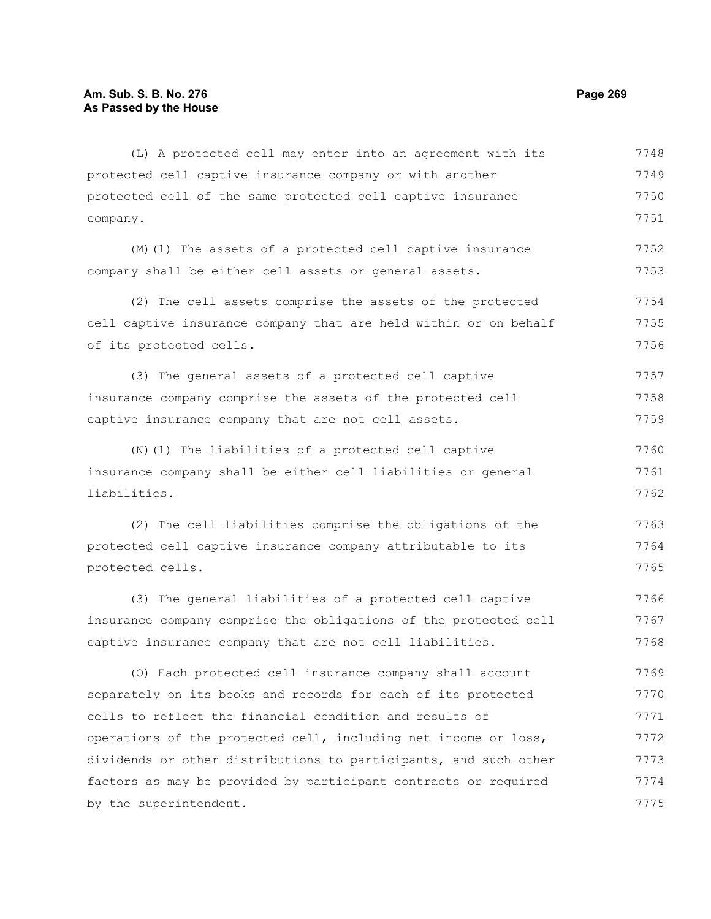company.

protected cell captive insurance company or with another protected cell of the same protected cell captive insurance (M)(1) The assets of a protected cell captive insurance company shall be either cell assets or general assets. (2) The cell assets comprise the assets of the protected cell captive insurance company that are held within or on behalf of its protected cells. 7749 7750 7751 7752 7753 7754 7755 7756

(3) The general assets of a protected cell captive insurance company comprise the assets of the protected cell captive insurance company that are not cell assets. 7757 7758 7759

(L) A protected cell may enter into an agreement with its

(N)(1) The liabilities of a protected cell captive insurance company shall be either cell liabilities or general liabilities. 7760 7761 7762

(2) The cell liabilities comprise the obligations of the protected cell captive insurance company attributable to its protected cells. 7763 7764 7765

(3) The general liabilities of a protected cell captive insurance company comprise the obligations of the protected cell captive insurance company that are not cell liabilities. 7766 7767 7768

(O) Each protected cell insurance company shall account separately on its books and records for each of its protected cells to reflect the financial condition and results of operations of the protected cell, including net income or loss, dividends or other distributions to participants, and such other factors as may be provided by participant contracts or required by the superintendent. 7769 7770 7771 7772 7773 7774 7775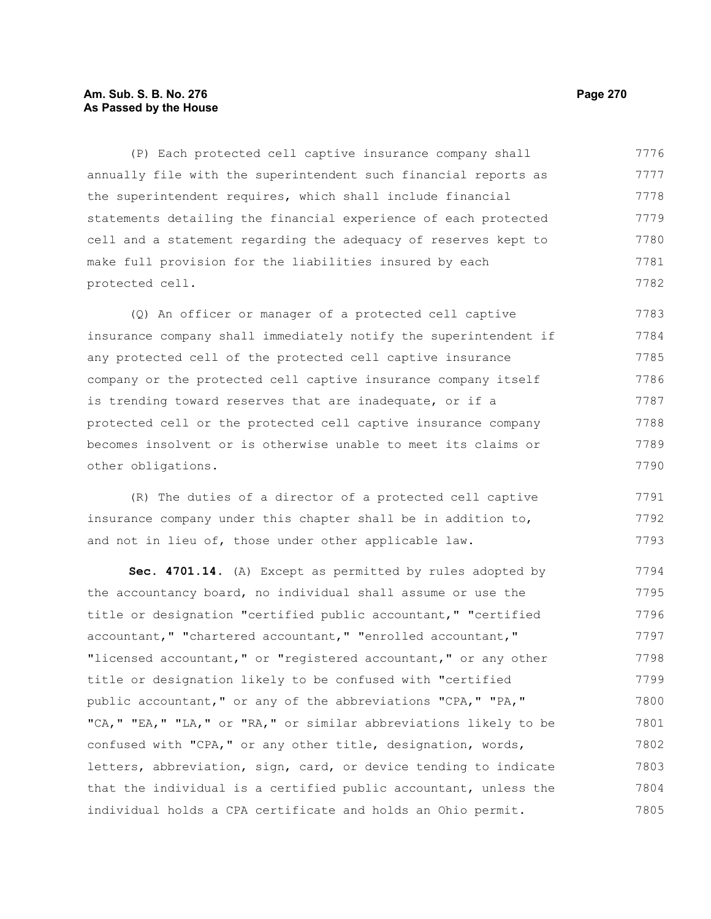# **Am. Sub. S. B. No. 276 Page 270 As Passed by the House**

(P) Each protected cell captive insurance company shall annually file with the superintendent such financial reports as the superintendent requires, which shall include financial statements detailing the financial experience of each protected cell and a statement regarding the adequacy of reserves kept to make full provision for the liabilities insured by each protected cell. 7776 7777 7778 7779 7780 7781 7782

(Q) An officer or manager of a protected cell captive insurance company shall immediately notify the superintendent if any protected cell of the protected cell captive insurance company or the protected cell captive insurance company itself is trending toward reserves that are inadequate, or if a protected cell or the protected cell captive insurance company becomes insolvent or is otherwise unable to meet its claims or other obligations. 7783 7784 7785 7786 7787 7788 7789 7790

(R) The duties of a director of a protected cell captive insurance company under this chapter shall be in addition to, and not in lieu of, those under other applicable law. 7791 7792 7793

**Sec. 4701.14.** (A) Except as permitted by rules adopted by the accountancy board, no individual shall assume or use the title or designation "certified public accountant," "certified accountant," "chartered accountant," "enrolled accountant," "licensed accountant," or "registered accountant," or any other title or designation likely to be confused with "certified public accountant," or any of the abbreviations "CPA," "PA," "CA," "EA," "LA," or "RA," or similar abbreviations likely to be confused with "CPA," or any other title, designation, words, letters, abbreviation, sign, card, or device tending to indicate that the individual is a certified public accountant, unless the individual holds a CPA certificate and holds an Ohio permit. 7794 7795 7796 7797 7798 7799 7800 7801 7802 7803 7804 7805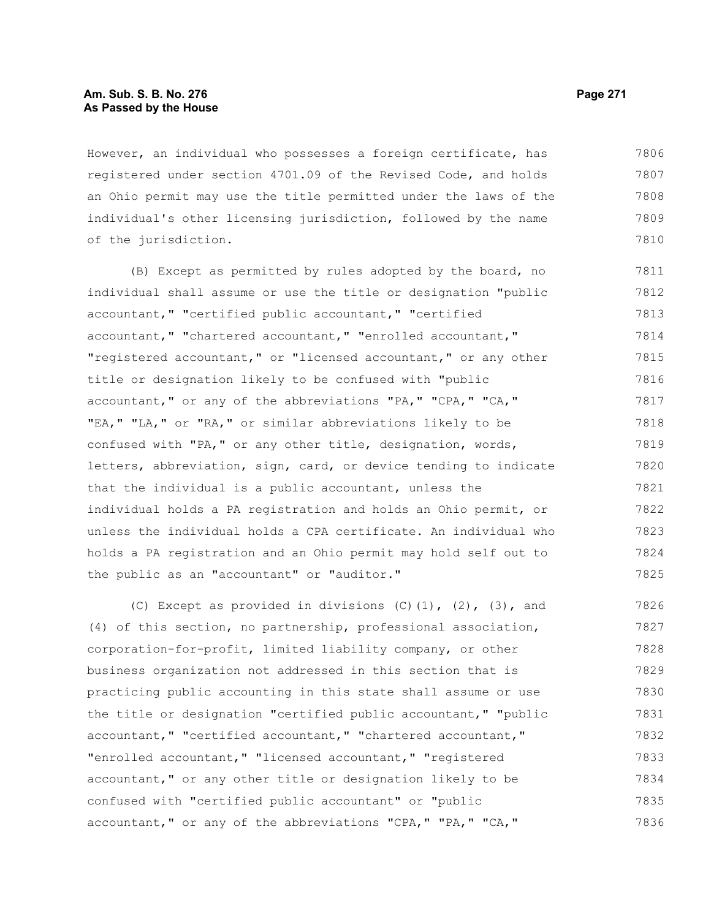## **Am. Sub. S. B. No. 276 Page 271 As Passed by the House**

However, an individual who possesses a foreign certificate, has registered under section 4701.09 of the Revised Code, and holds an Ohio permit may use the title permitted under the laws of the individual's other licensing jurisdiction, followed by the name of the jurisdiction. 7806 7807 7808 7809 7810

(B) Except as permitted by rules adopted by the board, no individual shall assume or use the title or designation "public accountant," "certified public accountant," "certified accountant," "chartered accountant," "enrolled accountant," "registered accountant," or "licensed accountant," or any other title or designation likely to be confused with "public accountant," or any of the abbreviations "PA," "CPA," "CA," "EA," "LA," or "RA," or similar abbreviations likely to be confused with "PA," or any other title, designation, words, letters, abbreviation, sign, card, or device tending to indicate that the individual is a public accountant, unless the individual holds a PA registration and holds an Ohio permit, or unless the individual holds a CPA certificate. An individual who holds a PA registration and an Ohio permit may hold self out to the public as an "accountant" or "auditor." 7811 7812 7813 7814 7815 7816 7817 7818 7819 7820 7821 7822 7823 7824 7825

(C) Except as provided in divisions  $(C)$   $(1)$ ,  $(2)$ ,  $(3)$ , and (4) of this section, no partnership, professional association, corporation-for-profit, limited liability company, or other business organization not addressed in this section that is practicing public accounting in this state shall assume or use the title or designation "certified public accountant," "public accountant," "certified accountant," "chartered accountant," "enrolled accountant," "licensed accountant," "registered accountant," or any other title or designation likely to be confused with "certified public accountant" or "public accountant," or any of the abbreviations "CPA," "PA," "CA," 7826 7827 7828 7829 7830 7831 7832 7833 7834 7835 7836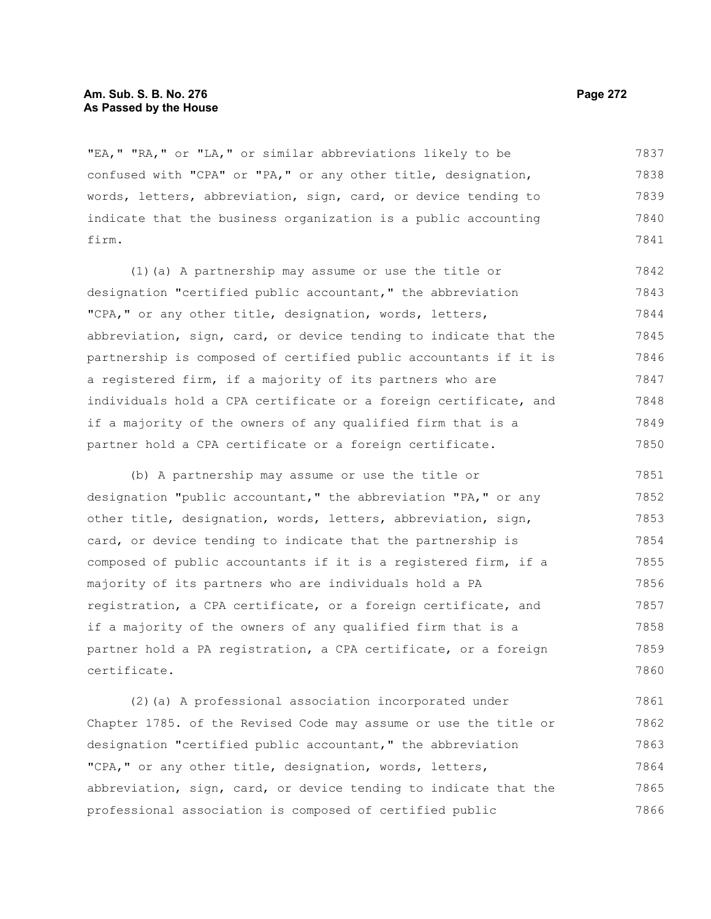## **Am. Sub. S. B. No. 276 Page 272** Page 272 **As Passed by the House**

"EA," "RA," or "LA," or similar abbreviations likely to be confused with "CPA" or "PA," or any other title, designation, words, letters, abbreviation, sign, card, or device tending to indicate that the business organization is a public accounting firm. 7837 7838 7839 7840 7841

(1)(a) A partnership may assume or use the title or designation "certified public accountant," the abbreviation "CPA," or any other title, designation, words, letters, abbreviation, sign, card, or device tending to indicate that the partnership is composed of certified public accountants if it is a registered firm, if a majority of its partners who are individuals hold a CPA certificate or a foreign certificate, and if a majority of the owners of any qualified firm that is a partner hold a CPA certificate or a foreign certificate. 7842 7843 7844 7845 7846 7847 7848 7849 7850

(b) A partnership may assume or use the title or designation "public accountant," the abbreviation "PA," or any other title, designation, words, letters, abbreviation, sign, card, or device tending to indicate that the partnership is composed of public accountants if it is a registered firm, if a majority of its partners who are individuals hold a PA registration, a CPA certificate, or a foreign certificate, and if a majority of the owners of any qualified firm that is a partner hold a PA registration, a CPA certificate, or a foreign certificate. 7851 7852 7853 7854 7855 7856 7857 7858 7859 7860

(2)(a) A professional association incorporated under Chapter 1785. of the Revised Code may assume or use the title or designation "certified public accountant," the abbreviation "CPA," or any other title, designation, words, letters, abbreviation, sign, card, or device tending to indicate that the professional association is composed of certified public 7861 7862 7863 7864 7865 7866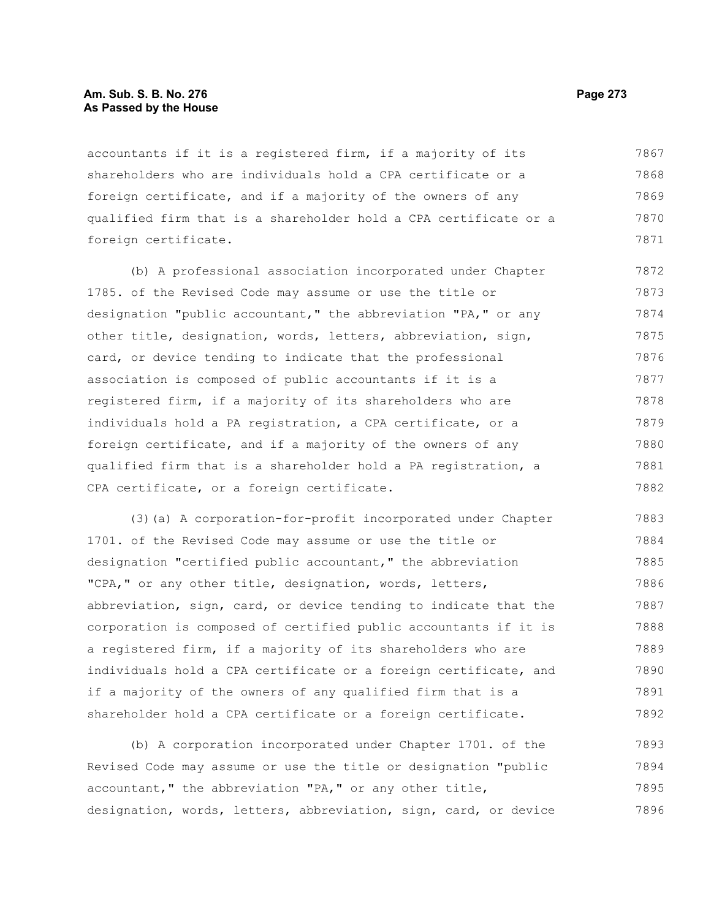## **Am. Sub. S. B. No. 276 Page 273 As Passed by the House**

accountants if it is a registered firm, if a majority of its shareholders who are individuals hold a CPA certificate or a foreign certificate, and if a majority of the owners of any qualified firm that is a shareholder hold a CPA certificate or a foreign certificate. 7867 7868 7869 7870 7871

(b) A professional association incorporated under Chapter 1785. of the Revised Code may assume or use the title or designation "public accountant," the abbreviation "PA," or any other title, designation, words, letters, abbreviation, sign, card, or device tending to indicate that the professional association is composed of public accountants if it is a registered firm, if a majority of its shareholders who are individuals hold a PA registration, a CPA certificate, or a foreign certificate, and if a majority of the owners of any qualified firm that is a shareholder hold a PA registration, a CPA certificate, or a foreign certificate. 7872 7873 7874 7875 7876 7877 7878 7879 7880 7881 7882

(3)(a) A corporation-for-profit incorporated under Chapter 1701. of the Revised Code may assume or use the title or designation "certified public accountant," the abbreviation "CPA," or any other title, designation, words, letters, abbreviation, sign, card, or device tending to indicate that the corporation is composed of certified public accountants if it is a registered firm, if a majority of its shareholders who are individuals hold a CPA certificate or a foreign certificate, and if a majority of the owners of any qualified firm that is a shareholder hold a CPA certificate or a foreign certificate. 7883 7884 7885 7886 7887 7888 7889 7890 7891 7892

(b) A corporation incorporated under Chapter 1701. of the Revised Code may assume or use the title or designation "public accountant," the abbreviation "PA," or any other title, designation, words, letters, abbreviation, sign, card, or device 7893 7894 7895 7896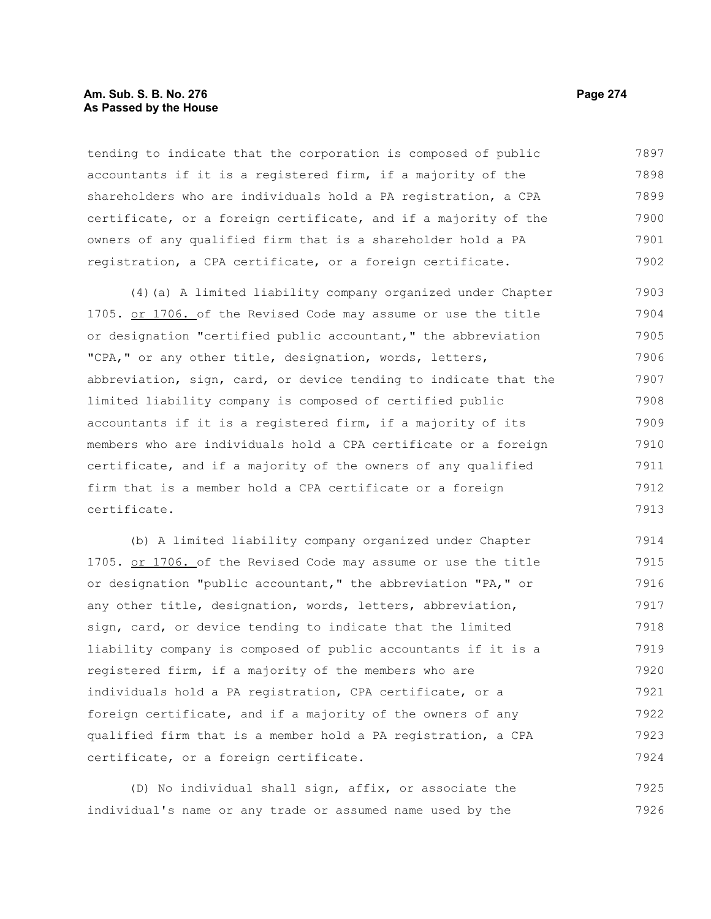## **Am. Sub. S. B. No. 276 Page 274** Page 274 **As Passed by the House**

tending to indicate that the corporation is composed of public accountants if it is a registered firm, if a majority of the shareholders who are individuals hold a PA registration, a CPA certificate, or a foreign certificate, and if a majority of the owners of any qualified firm that is a shareholder hold a PA registration, a CPA certificate, or a foreign certificate. 7897 7898 7899 7900 7901 7902

(4)(a) A limited liability company organized under Chapter 1705. or 1706. of the Revised Code may assume or use the title or designation "certified public accountant," the abbreviation "CPA," or any other title, designation, words, letters, abbreviation, sign, card, or device tending to indicate that the limited liability company is composed of certified public accountants if it is a registered firm, if a majority of its members who are individuals hold a CPA certificate or a foreign certificate, and if a majority of the owners of any qualified firm that is a member hold a CPA certificate or a foreign certificate. 7903 7904 7905 7906 7907 7908 7909 7910 7911 7912 7913

(b) A limited liability company organized under Chapter 1705. or 1706. of the Revised Code may assume or use the title or designation "public accountant," the abbreviation "PA," or any other title, designation, words, letters, abbreviation, sign, card, or device tending to indicate that the limited liability company is composed of public accountants if it is a registered firm, if a majority of the members who are individuals hold a PA registration, CPA certificate, or a foreign certificate, and if a majority of the owners of any qualified firm that is a member hold a PA registration, a CPA certificate, or a foreign certificate. 7914 7915 7916 7917 7918 7919 7920 7921 7922 7923 7924

(D) No individual shall sign, affix, or associate the individual's name or any trade or assumed name used by the 7925 7926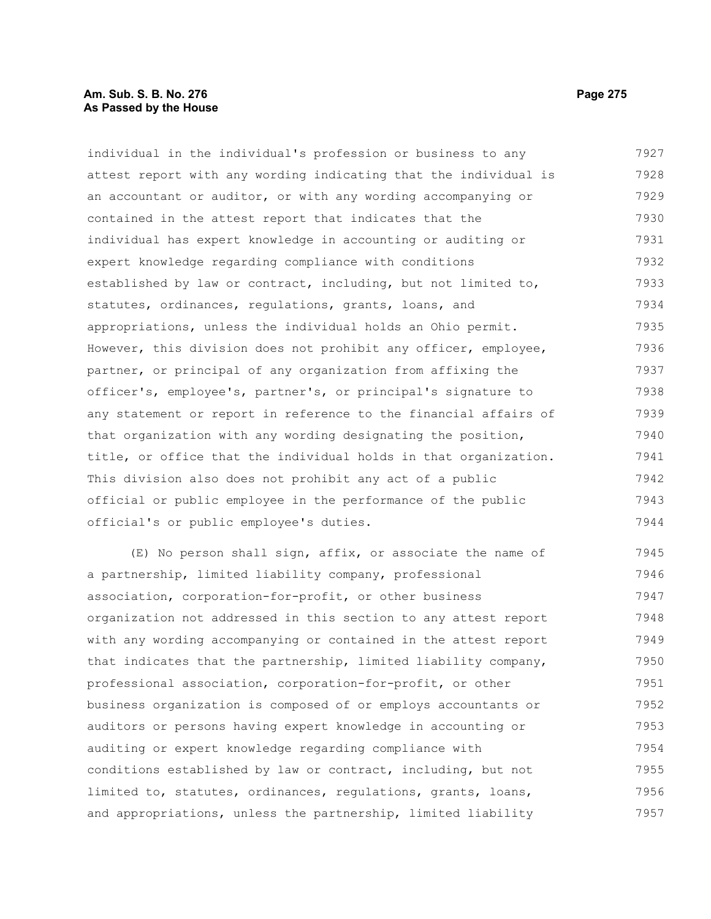# **Am. Sub. S. B. No. 276 Page 275 Page 275 As Passed by the House**

individual in the individual's profession or business to any attest report with any wording indicating that the individual is an accountant or auditor, or with any wording accompanying or contained in the attest report that indicates that the individual has expert knowledge in accounting or auditing or expert knowledge regarding compliance with conditions established by law or contract, including, but not limited to, statutes, ordinances, regulations, grants, loans, and appropriations, unless the individual holds an Ohio permit. However, this division does not prohibit any officer, employee, partner, or principal of any organization from affixing the officer's, employee's, partner's, or principal's signature to any statement or report in reference to the financial affairs of that organization with any wording designating the position, title, or office that the individual holds in that organization. This division also does not prohibit any act of a public official or public employee in the performance of the public official's or public employee's duties. 7927 7928 7929 7930 7931 7932 7933 7934 7935 7936 7937 7938 7939 7940 7941 7942 7943 7944

(E) No person shall sign, affix, or associate the name of a partnership, limited liability company, professional association, corporation-for-profit, or other business organization not addressed in this section to any attest report with any wording accompanying or contained in the attest report that indicates that the partnership, limited liability company, professional association, corporation-for-profit, or other business organization is composed of or employs accountants or auditors or persons having expert knowledge in accounting or auditing or expert knowledge regarding compliance with conditions established by law or contract, including, but not limited to, statutes, ordinances, regulations, grants, loans, and appropriations, unless the partnership, limited liability 7945 7946 7947 7948 7949 7950 7951 7952 7953 7954 7955 7956 7957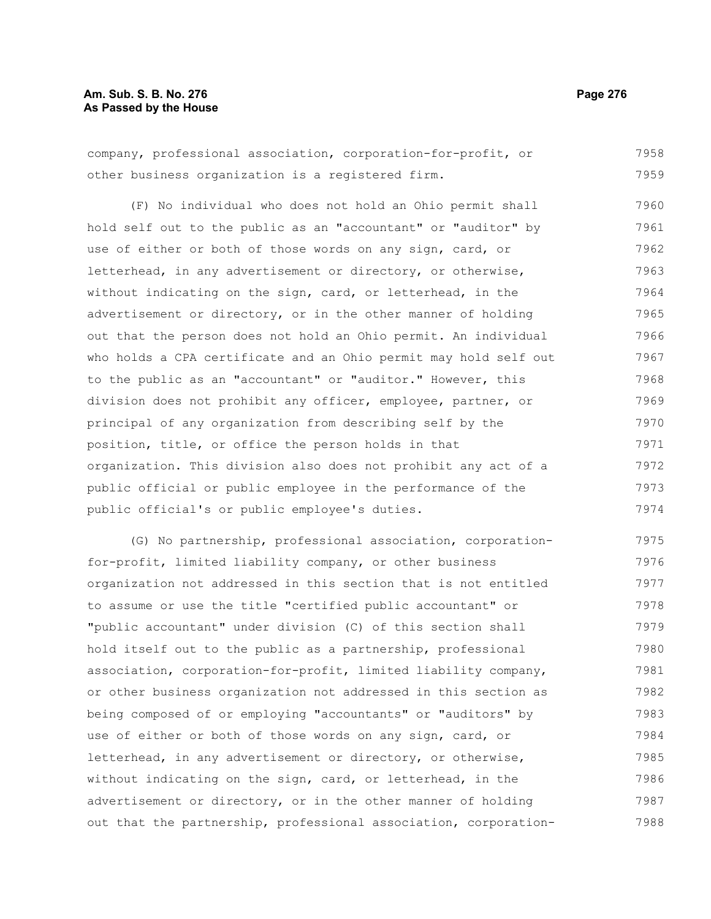# **Am. Sub. S. B. No. 276 Page 276** Page 276 **As Passed by the House**

company, professional association, corporation-for-profit, or other business organization is a registered firm. 7958 7959

(F) No individual who does not hold an Ohio permit shall hold self out to the public as an "accountant" or "auditor" by use of either or both of those words on any sign, card, or letterhead, in any advertisement or directory, or otherwise, without indicating on the sign, card, or letterhead, in the advertisement or directory, or in the other manner of holding out that the person does not hold an Ohio permit. An individual who holds a CPA certificate and an Ohio permit may hold self out to the public as an "accountant" or "auditor." However, this division does not prohibit any officer, employee, partner, or principal of any organization from describing self by the position, title, or office the person holds in that organization. This division also does not prohibit any act of a public official or public employee in the performance of the public official's or public employee's duties. 7960 7961 7962 7963 7964 7965 7966 7967 7968 7969 7970 7971 7972 7973 7974

(G) No partnership, professional association, corporationfor-profit, limited liability company, or other business organization not addressed in this section that is not entitled to assume or use the title "certified public accountant" or "public accountant" under division (C) of this section shall hold itself out to the public as a partnership, professional association, corporation-for-profit, limited liability company, or other business organization not addressed in this section as being composed of or employing "accountants" or "auditors" by use of either or both of those words on any sign, card, or letterhead, in any advertisement or directory, or otherwise, without indicating on the sign, card, or letterhead, in the advertisement or directory, or in the other manner of holding out that the partnership, professional association, corporation-7975 7976 7977 7978 7979 7980 7981 7982 7983 7984 7985 7986 7987 7988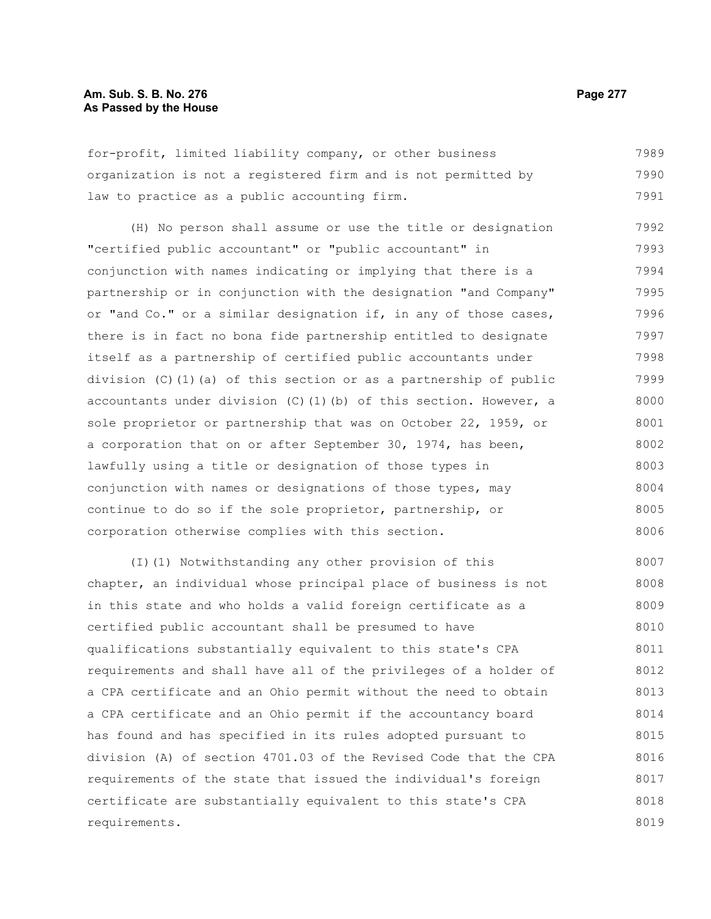## **Am. Sub. S. B. No. 276 Page 277** Page 277 **As Passed by the House**

for-profit, limited liability company, or other business organization is not a registered firm and is not permitted by law to practice as a public accounting firm. 7989 7990 7991

(H) No person shall assume or use the title or designation "certified public accountant" or "public accountant" in conjunction with names indicating or implying that there is a partnership or in conjunction with the designation "and Company" or "and Co." or a similar designation if, in any of those cases, there is in fact no bona fide partnership entitled to designate itself as a partnership of certified public accountants under division (C)(1)(a) of this section or as a partnership of public accountants under division  $(C)$  (1)(b) of this section. However, a sole proprietor or partnership that was on October 22, 1959, or a corporation that on or after September 30, 1974, has been, lawfully using a title or designation of those types in conjunction with names or designations of those types, may continue to do so if the sole proprietor, partnership, or corporation otherwise complies with this section. 7992 7993 7994 7995 7996 7997 7998 7999 8000 8001 8002 8003 8004 8005 8006

(I)(1) Notwithstanding any other provision of this chapter, an individual whose principal place of business is not in this state and who holds a valid foreign certificate as a certified public accountant shall be presumed to have qualifications substantially equivalent to this state's CPA requirements and shall have all of the privileges of a holder of a CPA certificate and an Ohio permit without the need to obtain a CPA certificate and an Ohio permit if the accountancy board has found and has specified in its rules adopted pursuant to division (A) of section 4701.03 of the Revised Code that the CPA requirements of the state that issued the individual's foreign certificate are substantially equivalent to this state's CPA requirements. 8007 8008 8009 8010 8011 8012 8013 8014 8015 8016 8017 8018 8019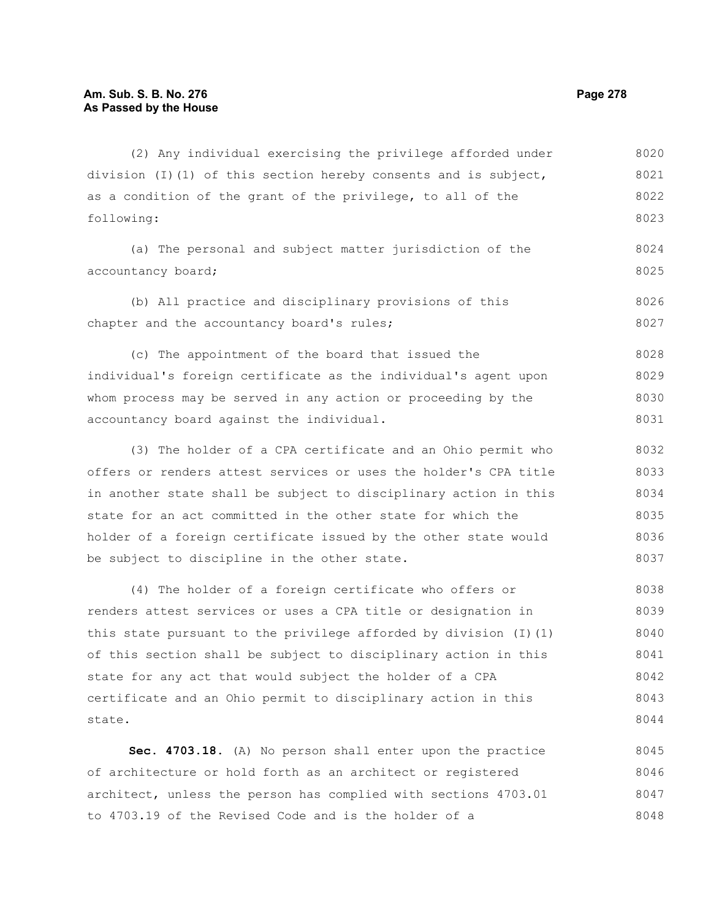state.

(2) Any individual exercising the privilege afforded under division (I)(1) of this section hereby consents and is subject, as a condition of the grant of the privilege, to all of the following: (a) The personal and subject matter jurisdiction of the accountancy board; (b) All practice and disciplinary provisions of this chapter and the accountancy board's rules; (c) The appointment of the board that issued the individual's foreign certificate as the individual's agent upon whom process may be served in any action or proceeding by the accountancy board against the individual. (3) The holder of a CPA certificate and an Ohio permit who offers or renders attest services or uses the holder's CPA title in another state shall be subject to disciplinary action in this state for an act committed in the other state for which the holder of a foreign certificate issued by the other state would be subject to discipline in the other state. (4) The holder of a foreign certificate who offers or renders attest services or uses a CPA title or designation in this state pursuant to the privilege afforded by division  $(I)(1)$ of this section shall be subject to disciplinary action in this state for any act that would subject the holder of a CPA 8020 8021 8022 8023 8024 8025 8026 8027 8028 8029 8030 8031 8032 8033 8034 8035 8036 8037 8038 8039 8040 8041 8042

**Sec. 4703.18.** (A) No person shall enter upon the practice of architecture or hold forth as an architect or registered architect, unless the person has complied with sections 4703.01 8045 8046 8047

certificate and an Ohio permit to disciplinary action in this

to 4703.19 of the Revised Code and is the holder of a

8043 8044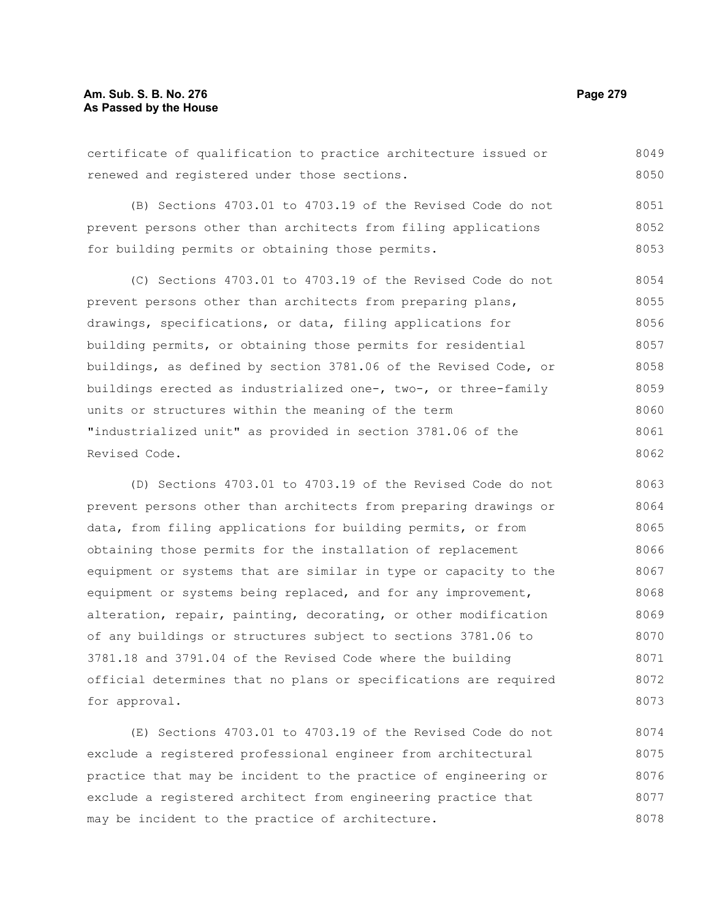# **Am. Sub. S. B. No. 276 Page 279** Page 279 **As Passed by the House**

certificate of qualification to practice architecture issued or renewed and registered under those sections. 8049 8050

(B) Sections 4703.01 to 4703.19 of the Revised Code do not prevent persons other than architects from filing applications for building permits or obtaining those permits. 8051 8052 8053

(C) Sections 4703.01 to 4703.19 of the Revised Code do not prevent persons other than architects from preparing plans, drawings, specifications, or data, filing applications for building permits, or obtaining those permits for residential buildings, as defined by section 3781.06 of the Revised Code, or buildings erected as industrialized one-, two-, or three-family units or structures within the meaning of the term "industrialized unit" as provided in section 3781.06 of the Revised Code. 8054 8055 8056 8057 8058 8059 8060 8061 8062

(D) Sections 4703.01 to 4703.19 of the Revised Code do not prevent persons other than architects from preparing drawings or data, from filing applications for building permits, or from obtaining those permits for the installation of replacement equipment or systems that are similar in type or capacity to the equipment or systems being replaced, and for any improvement, alteration, repair, painting, decorating, or other modification of any buildings or structures subject to sections 3781.06 to 3781.18 and 3791.04 of the Revised Code where the building official determines that no plans or specifications are required for approval. 8063 8064 8065 8066 8067 8068 8069 8070 8071 8072 8073

(E) Sections 4703.01 to 4703.19 of the Revised Code do not exclude a registered professional engineer from architectural practice that may be incident to the practice of engineering or exclude a registered architect from engineering practice that may be incident to the practice of architecture. 8074 8075 8076 8077 8078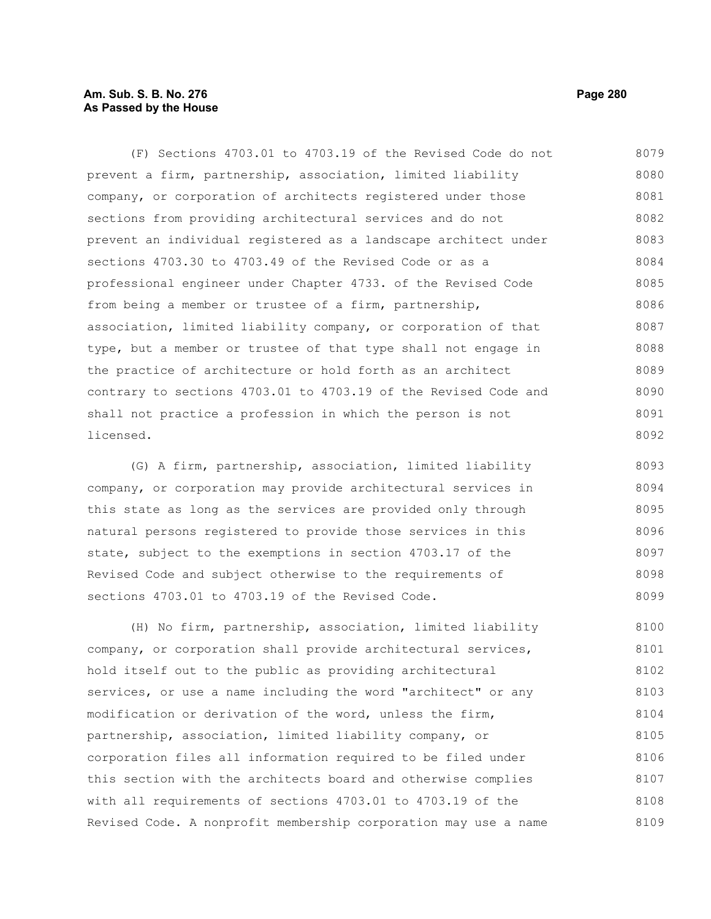# **Am. Sub. S. B. No. 276 Page 280 As Passed by the House**

(F) Sections 4703.01 to 4703.19 of the Revised Code do not prevent a firm, partnership, association, limited liability company, or corporation of architects registered under those sections from providing architectural services and do not prevent an individual registered as a landscape architect under sections 4703.30 to 4703.49 of the Revised Code or as a professional engineer under Chapter 4733. of the Revised Code from being a member or trustee of a firm, partnership, association, limited liability company, or corporation of that type, but a member or trustee of that type shall not engage in the practice of architecture or hold forth as an architect contrary to sections 4703.01 to 4703.19 of the Revised Code and shall not practice a profession in which the person is not licensed. 8079 8080 8081 8082 8083 8084 8085 8086 8087 8088 8089 8090 8091 8092

(G) A firm, partnership, association, limited liability company, or corporation may provide architectural services in this state as long as the services are provided only through natural persons registered to provide those services in this state, subject to the exemptions in section 4703.17 of the Revised Code and subject otherwise to the requirements of sections 4703.01 to 4703.19 of the Revised Code. 8093 8094 8095 8096 8097 8098 8099

(H) No firm, partnership, association, limited liability company, or corporation shall provide architectural services, hold itself out to the public as providing architectural services, or use a name including the word "architect" or any modification or derivation of the word, unless the firm, partnership, association, limited liability company, or corporation files all information required to be filed under this section with the architects board and otherwise complies with all requirements of sections 4703.01 to 4703.19 of the Revised Code. A nonprofit membership corporation may use a name 8100 8101 8102 8103 8104 8105 8106 8107 8108 8109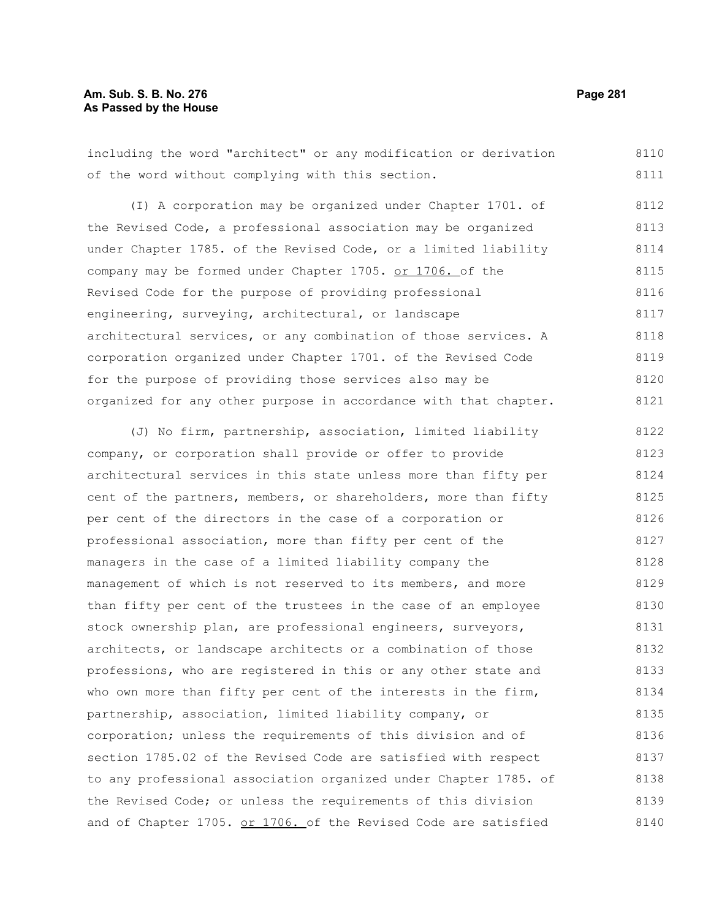## **Am. Sub. S. B. No. 276 Page 281 As Passed by the House**

including the word "architect" or any modification or derivation of the word without complying with this section. 8110 8111

(I) A corporation may be organized under Chapter 1701. of the Revised Code, a professional association may be organized under Chapter 1785. of the Revised Code, or a limited liability company may be formed under Chapter 1705. or 1706. of the Revised Code for the purpose of providing professional engineering, surveying, architectural, or landscape architectural services, or any combination of those services. A corporation organized under Chapter 1701. of the Revised Code for the purpose of providing those services also may be organized for any other purpose in accordance with that chapter. 8112 8113 8114 8115 8116 8117 8118 8119 8120 8121

(J) No firm, partnership, association, limited liability company, or corporation shall provide or offer to provide architectural services in this state unless more than fifty per cent of the partners, members, or shareholders, more than fifty per cent of the directors in the case of a corporation or professional association, more than fifty per cent of the managers in the case of a limited liability company the management of which is not reserved to its members, and more than fifty per cent of the trustees in the case of an employee stock ownership plan, are professional engineers, surveyors, architects, or landscape architects or a combination of those professions, who are registered in this or any other state and who own more than fifty per cent of the interests in the firm, partnership, association, limited liability company, or corporation; unless the requirements of this division and of section 1785.02 of the Revised Code are satisfied with respect to any professional association organized under Chapter 1785. of the Revised Code; or unless the requirements of this division and of Chapter 1705. or 1706. of the Revised Code are satisfied 8122 8123 8124 8125 8126 8127 8128 8129 8130 8131 8132 8133 8134 8135 8136 8137 8138 8139 8140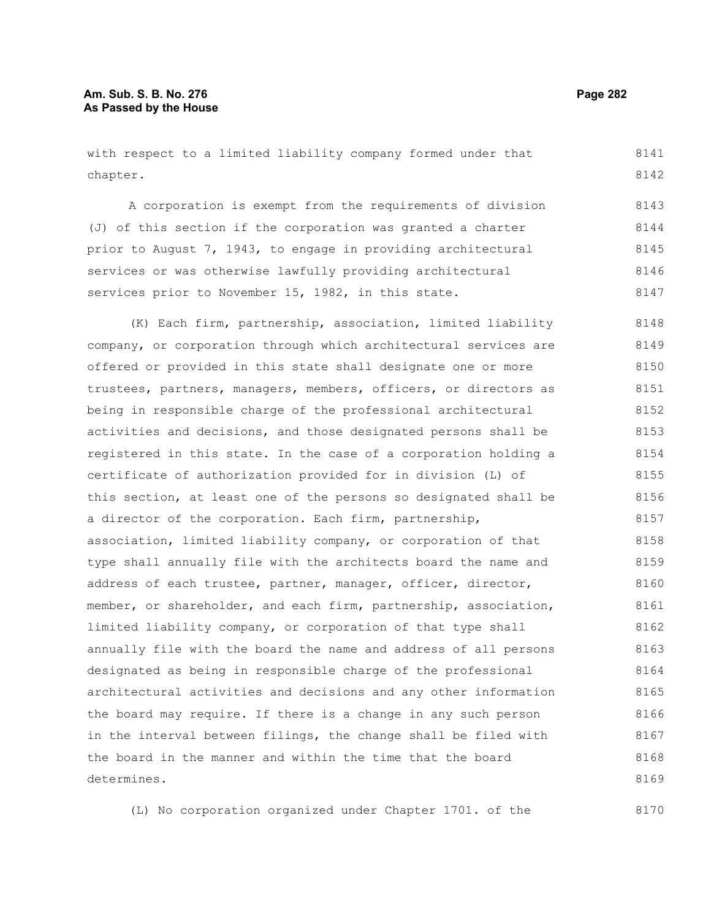# **Am. Sub. S. B. No. 276 Page 282 As Passed by the House**

with respect to a limited liability company formed under that chapter. 8141 8142

A corporation is exempt from the requirements of division (J) of this section if the corporation was granted a charter prior to August 7, 1943, to engage in providing architectural services or was otherwise lawfully providing architectural services prior to November 15, 1982, in this state. 8143 8144 8145 8146 8147

(K) Each firm, partnership, association, limited liability company, or corporation through which architectural services are offered or provided in this state shall designate one or more trustees, partners, managers, members, officers, or directors as being in responsible charge of the professional architectural activities and decisions, and those designated persons shall be registered in this state. In the case of a corporation holding a certificate of authorization provided for in division (L) of this section, at least one of the persons so designated shall be a director of the corporation. Each firm, partnership, association, limited liability company, or corporation of that type shall annually file with the architects board the name and address of each trustee, partner, manager, officer, director, member, or shareholder, and each firm, partnership, association, limited liability company, or corporation of that type shall annually file with the board the name and address of all persons designated as being in responsible charge of the professional architectural activities and decisions and any other information the board may require. If there is a change in any such person in the interval between filings, the change shall be filed with the board in the manner and within the time that the board determines. 8148 8149 8150 8151 8152 8153 8154 8155 8156 8157 8158 8159 8160 8161 8162 8163 8164 8165 8166 8167 8168 8169

(L) No corporation organized under Chapter 1701. of the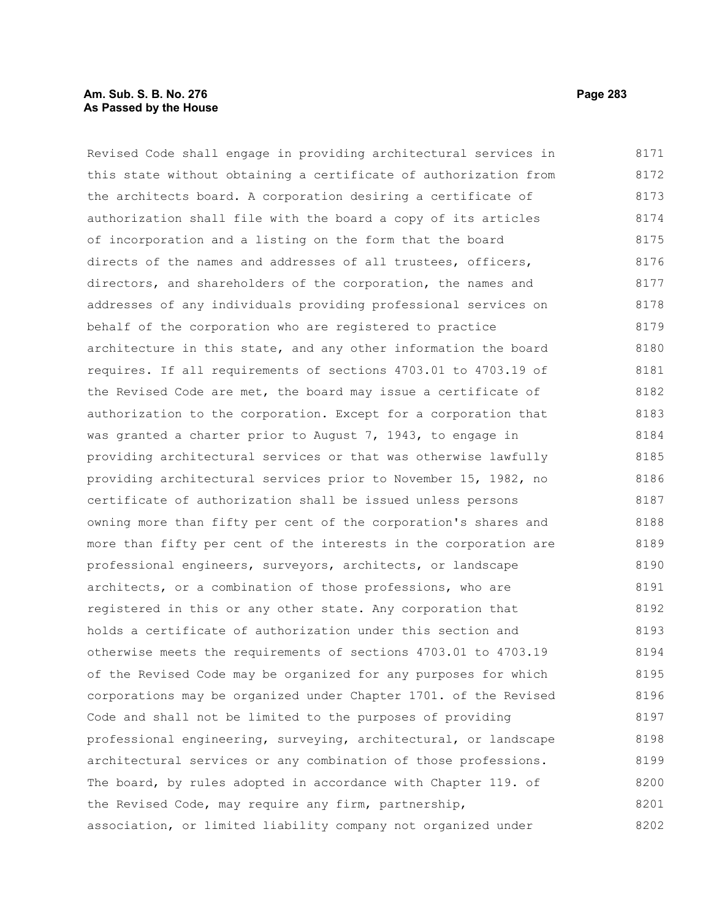## **Am. Sub. S. B. No. 276 Page 283 As Passed by the House**

Revised Code shall engage in providing architectural services in this state without obtaining a certificate of authorization from the architects board. A corporation desiring a certificate of authorization shall file with the board a copy of its articles of incorporation and a listing on the form that the board directs of the names and addresses of all trustees, officers, directors, and shareholders of the corporation, the names and addresses of any individuals providing professional services on behalf of the corporation who are registered to practice architecture in this state, and any other information the board requires. If all requirements of sections 4703.01 to 4703.19 of the Revised Code are met, the board may issue a certificate of authorization to the corporation. Except for a corporation that was granted a charter prior to August 7, 1943, to engage in providing architectural services or that was otherwise lawfully providing architectural services prior to November 15, 1982, no certificate of authorization shall be issued unless persons owning more than fifty per cent of the corporation's shares and more than fifty per cent of the interests in the corporation are professional engineers, surveyors, architects, or landscape architects, or a combination of those professions, who are registered in this or any other state. Any corporation that holds a certificate of authorization under this section and otherwise meets the requirements of sections 4703.01 to 4703.19 of the Revised Code may be organized for any purposes for which corporations may be organized under Chapter 1701. of the Revised Code and shall not be limited to the purposes of providing professional engineering, surveying, architectural, or landscape architectural services or any combination of those professions. The board, by rules adopted in accordance with Chapter 119. of the Revised Code, may require any firm, partnership, association, or limited liability company not organized under 8171 8172 8173 8174 8175 8176 8177 8178 8179 8180 8181 8182 8183 8184 8185 8186 8187 8188 8189 8190 8191 8192 8193 8194 8195 8196 8197 8198 8199 8200 8201 8202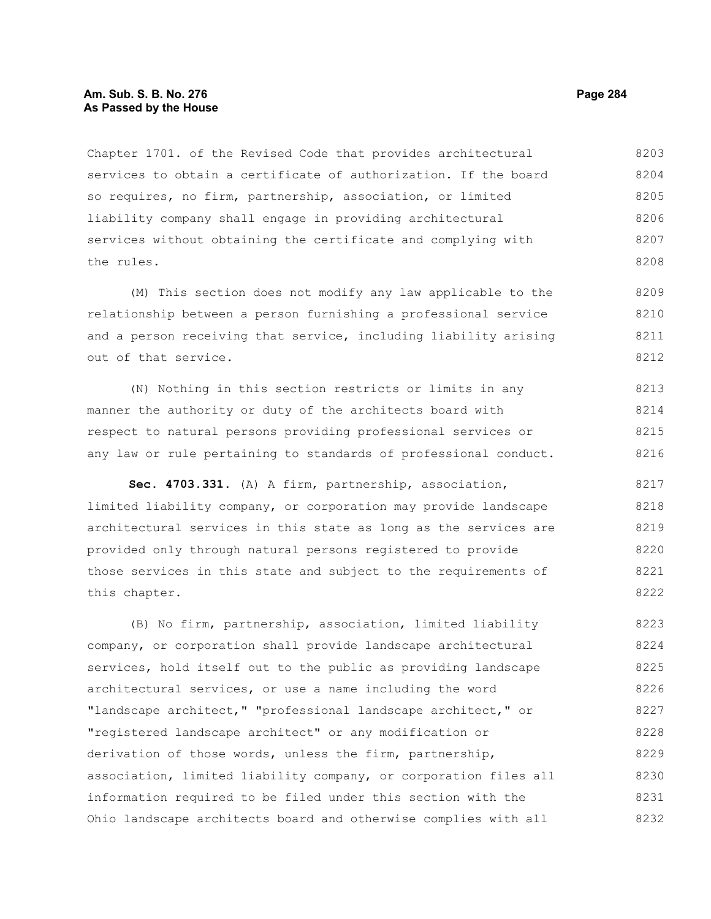## **Am. Sub. S. B. No. 276 Page 284 As Passed by the House**

Chapter 1701. of the Revised Code that provides architectural services to obtain a certificate of authorization. If the board so requires, no firm, partnership, association, or limited liability company shall engage in providing architectural services without obtaining the certificate and complying with the rules. 8203 8204 8205 8206 8207 8208

(M) This section does not modify any law applicable to the relationship between a person furnishing a professional service and a person receiving that service, including liability arising out of that service. 8209 8210 8211 8212

(N) Nothing in this section restricts or limits in any manner the authority or duty of the architects board with respect to natural persons providing professional services or any law or rule pertaining to standards of professional conduct. 8213 8214 8215 8216

**Sec. 4703.331.** (A) A firm, partnership, association, limited liability company, or corporation may provide landscape architectural services in this state as long as the services are provided only through natural persons registered to provide those services in this state and subject to the requirements of this chapter. 8217 8218 8219 8220 8221 8222

(B) No firm, partnership, association, limited liability company, or corporation shall provide landscape architectural services, hold itself out to the public as providing landscape architectural services, or use a name including the word "landscape architect," "professional landscape architect," or "registered landscape architect" or any modification or derivation of those words, unless the firm, partnership, association, limited liability company, or corporation files all information required to be filed under this section with the Ohio landscape architects board and otherwise complies with all 8223 8224 8225 8226 8227 8228 8229 8230 8231 8232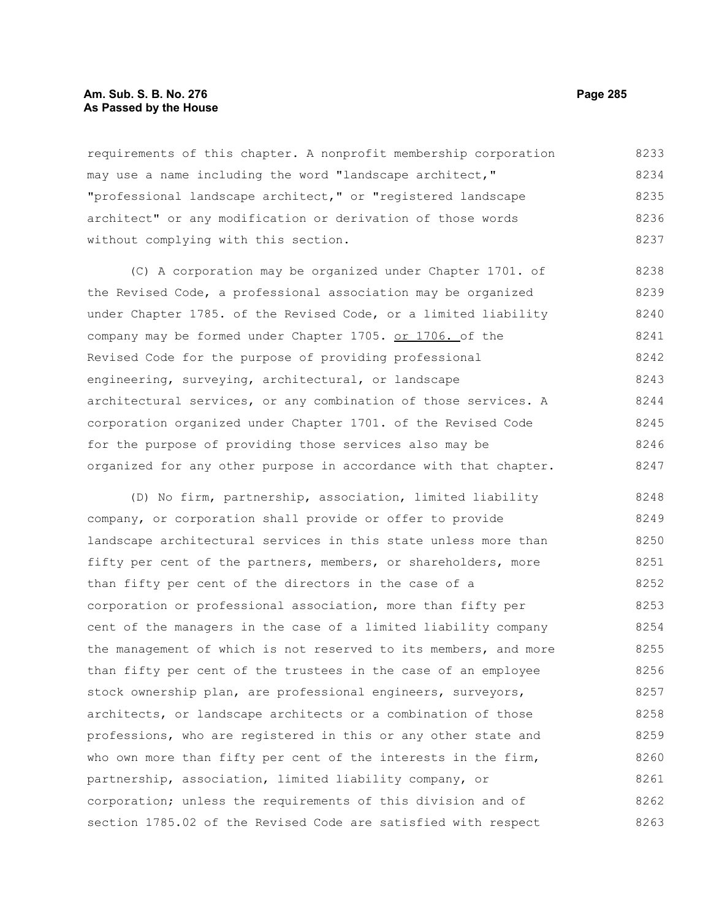#### **Am. Sub. S. B. No. 276 Page 285 As Passed by the House**

requirements of this chapter. A nonprofit membership corporation may use a name including the word "landscape architect," "professional landscape architect," or "registered landscape architect" or any modification or derivation of those words without complying with this section. 8233 8234 8235 8236 8237

(C) A corporation may be organized under Chapter 1701. of the Revised Code, a professional association may be organized under Chapter 1785. of the Revised Code, or a limited liability company may be formed under Chapter 1705. or 1706. of the Revised Code for the purpose of providing professional engineering, surveying, architectural, or landscape architectural services, or any combination of those services. A corporation organized under Chapter 1701. of the Revised Code for the purpose of providing those services also may be organized for any other purpose in accordance with that chapter. 8238 8239 8240 8241 8242 8243 8244 8245 8246 8247

(D) No firm, partnership, association, limited liability company, or corporation shall provide or offer to provide landscape architectural services in this state unless more than fifty per cent of the partners, members, or shareholders, more than fifty per cent of the directors in the case of a corporation or professional association, more than fifty per cent of the managers in the case of a limited liability company the management of which is not reserved to its members, and more than fifty per cent of the trustees in the case of an employee stock ownership plan, are professional engineers, surveyors, architects, or landscape architects or a combination of those professions, who are registered in this or any other state and who own more than fifty per cent of the interests in the firm, partnership, association, limited liability company, or corporation; unless the requirements of this division and of section 1785.02 of the Revised Code are satisfied with respect 8248 8249 8250 8251 8252 8253 8254 8255 8256 8257 8258 8259 8260 8261 8262 8263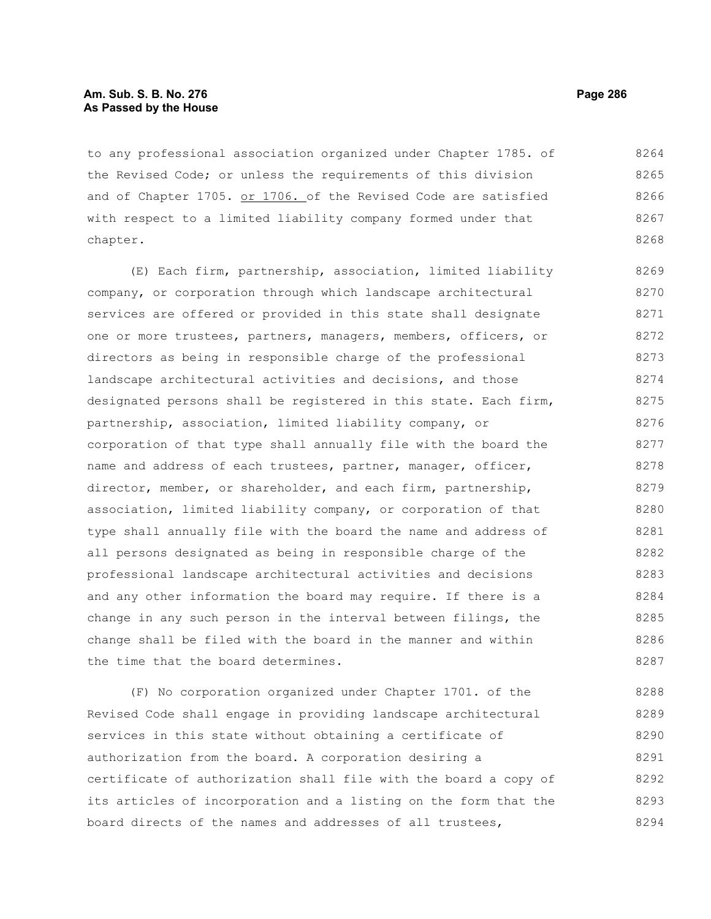## **Am. Sub. S. B. No. 276 Page 286 As Passed by the House**

to any professional association organized under Chapter 1785. of the Revised Code; or unless the requirements of this division and of Chapter 1705. or 1706. of the Revised Code are satisfied with respect to a limited liability company formed under that chapter. 8264 8265 8266 8267 8268

(E) Each firm, partnership, association, limited liability company, or corporation through which landscape architectural services are offered or provided in this state shall designate one or more trustees, partners, managers, members, officers, or directors as being in responsible charge of the professional landscape architectural activities and decisions, and those designated persons shall be registered in this state. Each firm, partnership, association, limited liability company, or corporation of that type shall annually file with the board the name and address of each trustees, partner, manager, officer, director, member, or shareholder, and each firm, partnership, association, limited liability company, or corporation of that type shall annually file with the board the name and address of all persons designated as being in responsible charge of the professional landscape architectural activities and decisions and any other information the board may require. If there is a change in any such person in the interval between filings, the change shall be filed with the board in the manner and within the time that the board determines. 8269 8270 8271 8272 8273 8274 8275 8276 8277 8278 8279 8280 8281 8282 8283 8284 8285 8286 8287

(F) No corporation organized under Chapter 1701. of the Revised Code shall engage in providing landscape architectural services in this state without obtaining a certificate of authorization from the board. A corporation desiring a certificate of authorization shall file with the board a copy of its articles of incorporation and a listing on the form that the board directs of the names and addresses of all trustees, 8288 8289 8290 8291 8292 8293 8294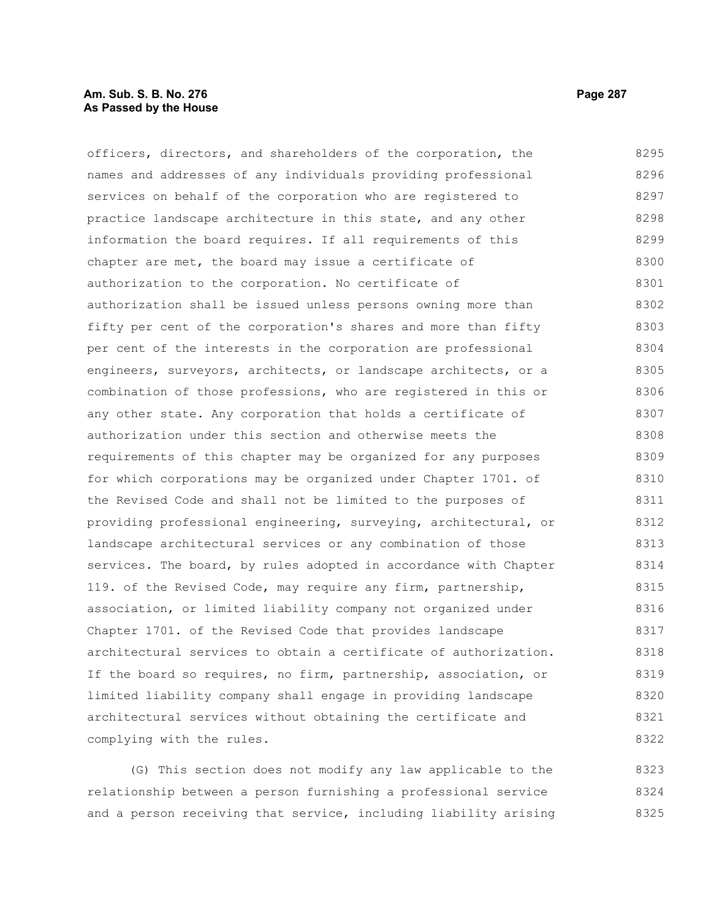## **Am. Sub. S. B. No. 276 Page 287** Page 287 **As Passed by the House**

officers, directors, and shareholders of the corporation, the names and addresses of any individuals providing professional services on behalf of the corporation who are registered to practice landscape architecture in this state, and any other information the board requires. If all requirements of this chapter are met, the board may issue a certificate of authorization to the corporation. No certificate of authorization shall be issued unless persons owning more than fifty per cent of the corporation's shares and more than fifty per cent of the interests in the corporation are professional engineers, surveyors, architects, or landscape architects, or a combination of those professions, who are registered in this or any other state. Any corporation that holds a certificate of authorization under this section and otherwise meets the requirements of this chapter may be organized for any purposes for which corporations may be organized under Chapter 1701. of the Revised Code and shall not be limited to the purposes of providing professional engineering, surveying, architectural, or landscape architectural services or any combination of those services. The board, by rules adopted in accordance with Chapter 119. of the Revised Code, may require any firm, partnership, association, or limited liability company not organized under Chapter 1701. of the Revised Code that provides landscape architectural services to obtain a certificate of authorization. If the board so requires, no firm, partnership, association, or limited liability company shall engage in providing landscape architectural services without obtaining the certificate and complying with the rules. 8295 8296 8297 8298 8299 8300 8301 8302 8303 8304 8305 8306 8307 8308 8309 8310 8311 8312 8313 8314 8315 8316 8317 8318 8319 8320 8321 8322

(G) This section does not modify any law applicable to the relationship between a person furnishing a professional service and a person receiving that service, including liability arising 8323 8324 8325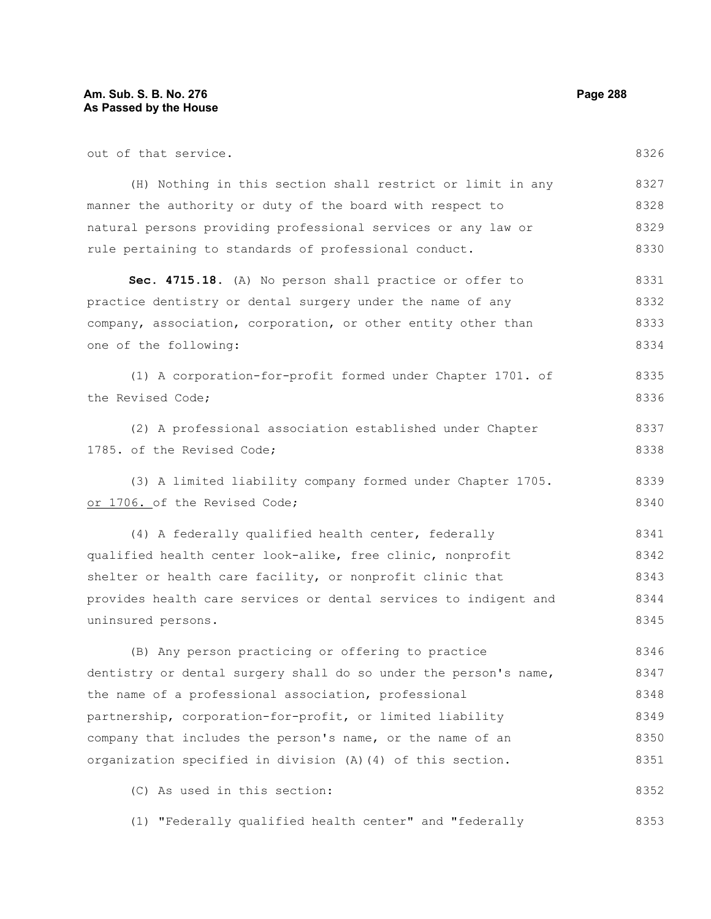| out of that service.                                             | 8326 |
|------------------------------------------------------------------|------|
| (H) Nothing in this section shall restrict or limit in any       | 8327 |
| manner the authority or duty of the board with respect to        | 8328 |
| natural persons providing professional services or any law or    | 8329 |
| rule pertaining to standards of professional conduct.            | 8330 |
| Sec. 4715.18. (A) No person shall practice or offer to           | 8331 |
| practice dentistry or dental surgery under the name of any       | 8332 |
| company, association, corporation, or other entity other than    | 8333 |
| one of the following:                                            | 8334 |
| (1) A corporation-for-profit formed under Chapter 1701. of       | 8335 |
| the Revised Code;                                                | 8336 |
| (2) A professional association established under Chapter         | 8337 |
| 1785. of the Revised Code;                                       | 8338 |
| (3) A limited liability company formed under Chapter 1705.       | 8339 |
| or 1706. of the Revised Code;                                    | 8340 |
| (4) A federally qualified health center, federally               | 8341 |
| qualified health center look-alike, free clinic, nonprofit       | 8342 |
| shelter or health care facility, or nonprofit clinic that        | 8343 |
| provides health care services or dental services to indigent and | 8344 |
| uninsured persons.                                               | 8345 |
| (B) Any person practicing or offering to practice                | 8346 |
| dentistry or dental surgery shall do so under the person's name, | 8347 |
| the name of a professional association, professional             | 8348 |
| partnership, corporation-for-profit, or limited liability        | 8349 |
| company that includes the person's name, or the name of an       | 8350 |
| organization specified in division (A) (4) of this section.      | 8351 |
| (C) As used in this section:                                     | 8352 |
| "Federally qualified health center" and "federally<br>(1)        | 8353 |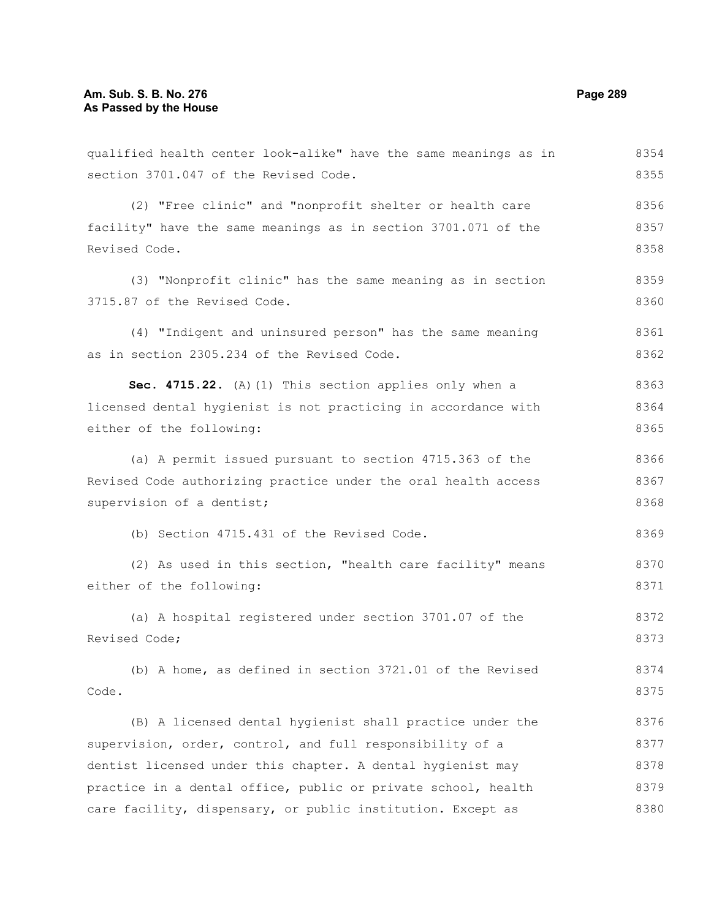qualified health center look-alike" have the same meanings as in section 3701.047 of the Revised Code. (2) "Free clinic" and "nonprofit shelter or health care facility" have the same meanings as in section 3701.071 of the Revised Code. (3) "Nonprofit clinic" has the same meaning as in section 3715.87 of the Revised Code. (4) "Indigent and uninsured person" has the same meaning as in section 2305.234 of the Revised Code. **Sec. 4715.22.** (A)(1) This section applies only when a licensed dental hygienist is not practicing in accordance with either of the following: (a) A permit issued pursuant to section 4715.363 of the Revised Code authorizing practice under the oral health access supervision of a dentist; (b) Section 4715.431 of the Revised Code. (2) As used in this section, "health care facility" means either of the following: (a) A hospital registered under section 3701.07 of the Revised Code; (b) A home, as defined in section 3721.01 of the Revised Code. (B) A licensed dental hygienist shall practice under the supervision, order, control, and full responsibility of a 8354 8355 8356 8357 8358 8359 8360 8361 8362 8363 8364 8365 8366 8367 8368 8369 8370 8371 8372 8373 8374 8375 8376 8377

dentist licensed under this chapter. A dental hygienist may practice in a dental office, public or private school, health care facility, dispensary, or public institution. Except as 8378 8379 8380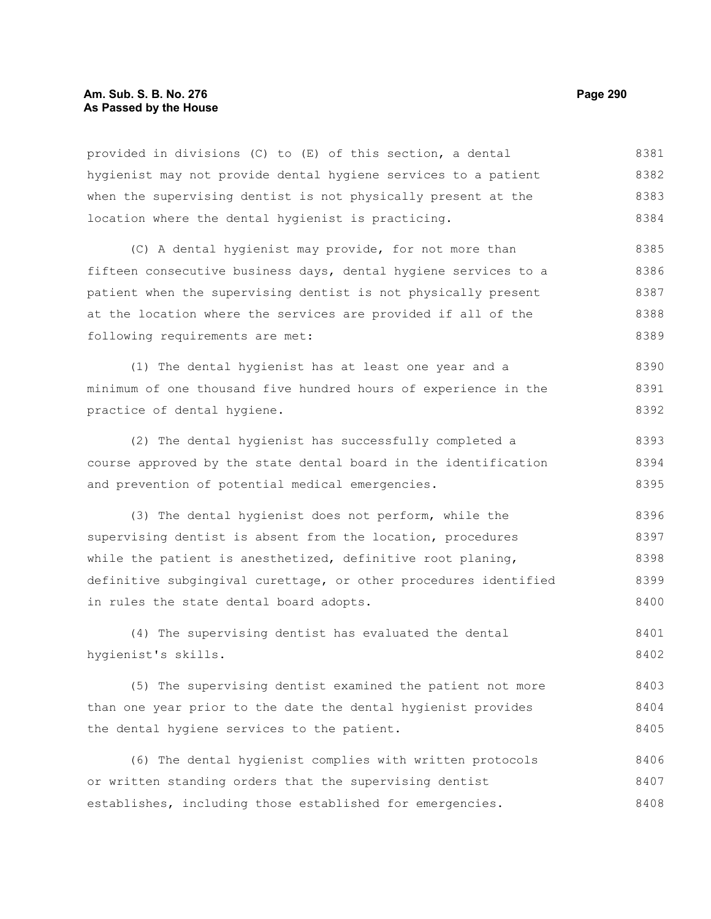#### **Am. Sub. S. B. No. 276 Page 290 As Passed by the House**

provided in divisions (C) to (E) of this section, a dental hygienist may not provide dental hygiene services to a patient when the supervising dentist is not physically present at the location where the dental hygienist is practicing. 8381 8382 8383 8384

(C) A dental hygienist may provide, for not more than fifteen consecutive business days, dental hygiene services to a patient when the supervising dentist is not physically present at the location where the services are provided if all of the following requirements are met: 8385 8386 8387 8388 8389

(1) The dental hygienist has at least one year and a minimum of one thousand five hundred hours of experience in the practice of dental hygiene. 8390 8391 8392

(2) The dental hygienist has successfully completed a course approved by the state dental board in the identification and prevention of potential medical emergencies. 8393 8394 8395

(3) The dental hygienist does not perform, while the supervising dentist is absent from the location, procedures while the patient is anesthetized, definitive root planing, definitive subgingival curettage, or other procedures identified in rules the state dental board adopts. 8396 8397 8398 8399 8400

(4) The supervising dentist has evaluated the dental hygienist's skills. 8401 8402

(5) The supervising dentist examined the patient not more than one year prior to the date the dental hygienist provides the dental hygiene services to the patient. 8403 8404 8405

(6) The dental hygienist complies with written protocols or written standing orders that the supervising dentist establishes, including those established for emergencies. 8406 8407 8408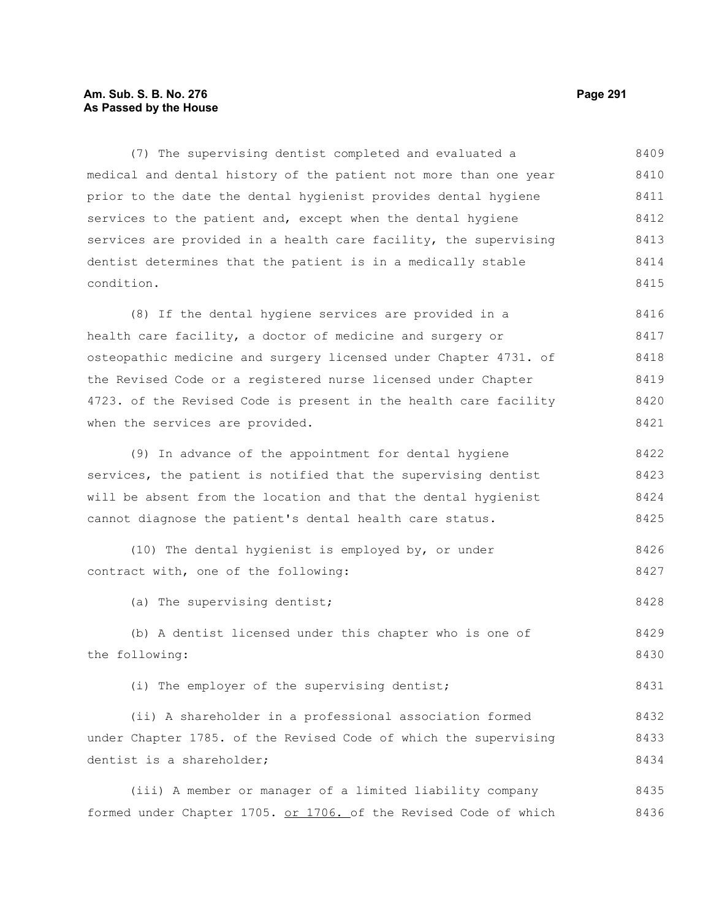### **Am. Sub. S. B. No. 276 Page 291 As Passed by the House**

(7) The supervising dentist completed and evaluated a medical and dental history of the patient not more than one year prior to the date the dental hygienist provides dental hygiene services to the patient and, except when the dental hygiene services are provided in a health care facility, the supervising dentist determines that the patient is in a medically stable condition. 8409 8410 8411 8412 8413 8414 8415

(8) If the dental hygiene services are provided in a health care facility, a doctor of medicine and surgery or osteopathic medicine and surgery licensed under Chapter 4731. of the Revised Code or a registered nurse licensed under Chapter 4723. of the Revised Code is present in the health care facility when the services are provided. 8416 8417 8418 8419 8420 8421

(9) In advance of the appointment for dental hygiene services, the patient is notified that the supervising dentist will be absent from the location and that the dental hygienist cannot diagnose the patient's dental health care status. 8422 8423 8424 8425

(10) The dental hygienist is employed by, or under contract with, one of the following: 8426 8427

(a) The supervising dentist; 8428

(b) A dentist licensed under this chapter who is one of the following: 8429 8430

(i) The employer of the supervising dentist;

(ii) A shareholder in a professional association formed under Chapter 1785. of the Revised Code of which the supervising dentist is a shareholder; 8432 8433 8434

(iii) A member or manager of a limited liability company formed under Chapter 1705. or 1706. of the Revised Code of which 8435 8436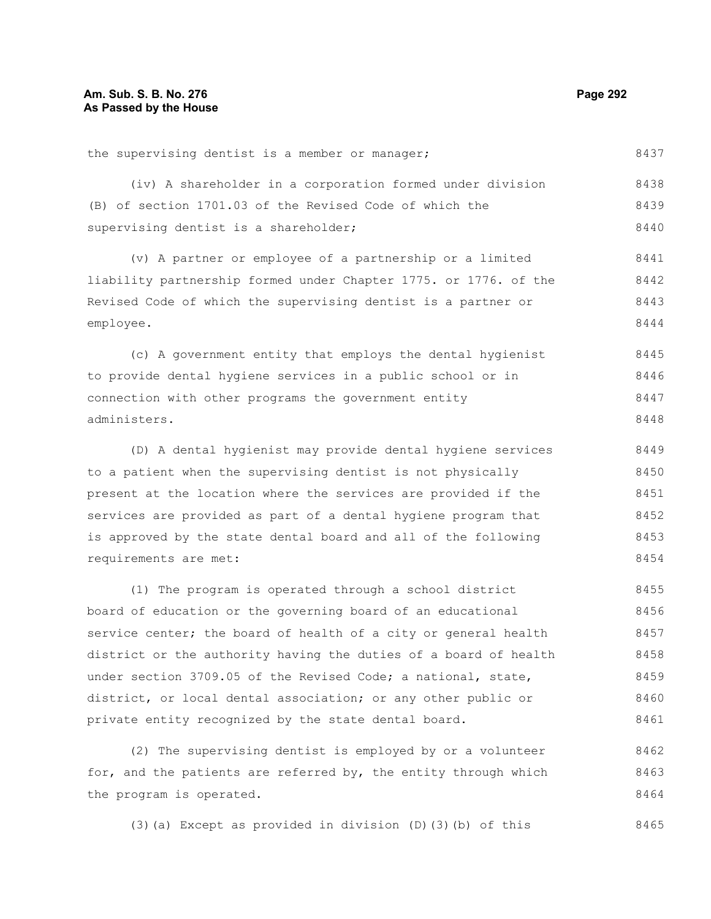#### the supervising dentist is a member or manager; (iv) A shareholder in a corporation formed under division (B) of section 1701.03 of the Revised Code of which the supervising dentist is a shareholder; (v) A partner or employee of a partnership or a limited liability partnership formed under Chapter 1775. or 1776. of the Revised Code of which the supervising dentist is a partner or employee. (c) A government entity that employs the dental hygienist to provide dental hygiene services in a public school or in connection with other programs the government entity administers. (D) A dental hygienist may provide dental hygiene services to a patient when the supervising dentist is not physically present at the location where the services are provided if the services are provided as part of a dental hygiene program that is approved by the state dental board and all of the following requirements are met: 8437 8438 8439 8440 8441 8442 8443 8444 8445 8446 8447 8448 8449 8450 8451 8452 8453 8454

(1) The program is operated through a school district board of education or the governing board of an educational service center; the board of health of a city or general health district or the authority having the duties of a board of health under section 3709.05 of the Revised Code; a national, state, district, or local dental association; or any other public or private entity recognized by the state dental board. 8455 8456 8457 8458 8459 8460 8461

(2) The supervising dentist is employed by or a volunteer for, and the patients are referred by, the entity through which the program is operated. 8462 8463 8464

(3)(a) Except as provided in division  $(D)$ (3)(b) of this 8465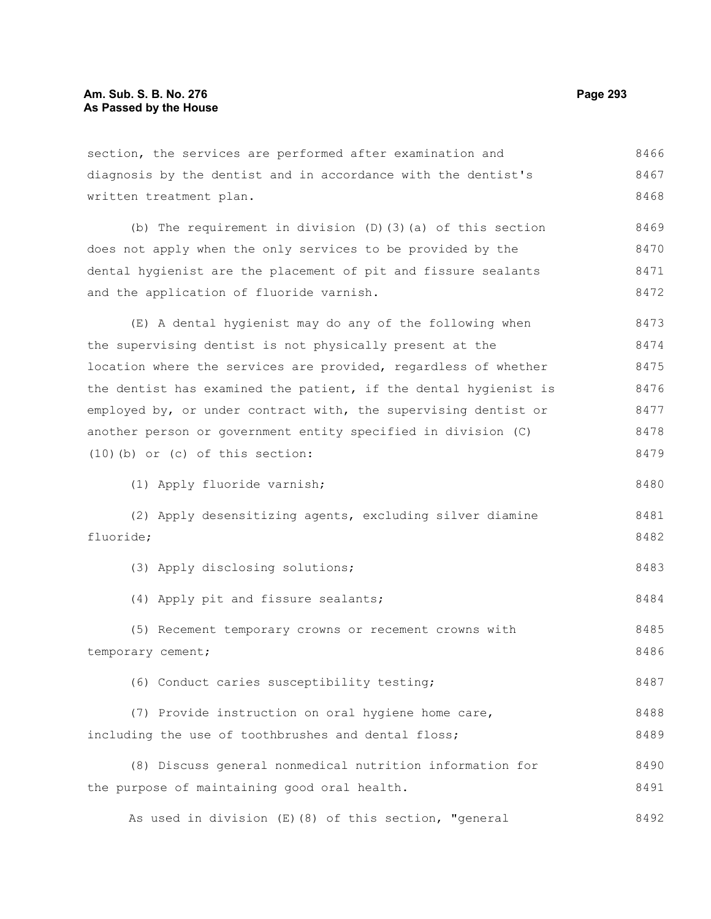| section, the services are performed after examination and        | 8466 |
|------------------------------------------------------------------|------|
| diagnosis by the dentist and in accordance with the dentist's    | 8467 |
| written treatment plan.                                          | 8468 |
| (b) The requirement in division $(D)$ (3) (a) of this section    | 8469 |
| does not apply when the only services to be provided by the      | 8470 |
| dental hygienist are the placement of pit and fissure sealants   | 8471 |
| and the application of fluoride varnish.                         | 8472 |
| (E) A dental hygienist may do any of the following when          | 8473 |
| the supervising dentist is not physically present at the         | 8474 |
| location where the services are provided, regardless of whether  | 8475 |
| the dentist has examined the patient, if the dental hygienist is | 8476 |
| employed by, or under contract with, the supervising dentist or  | 8477 |
| another person or government entity specified in division (C)    | 8478 |
| $(10)$ (b) or (c) of this section:                               | 8479 |
| (1) Apply fluoride varnish;                                      | 8480 |
| (2) Apply desensitizing agents, excluding silver diamine         | 8481 |
| fluoride;                                                        | 8482 |
| (3) Apply disclosing solutions;                                  | 8483 |
| (4) Apply pit and fissure sealants;                              | 8484 |
| (5) Recement temporary crowns or recement crowns with            | 8485 |
| temporary cement;                                                | 8486 |
| (6) Conduct caries susceptibility testing;                       | 8487 |
| (7) Provide instruction on oral hygiene home care,               | 8488 |
| including the use of toothbrushes and dental floss;              | 8489 |
| (8) Discuss general nonmedical nutrition information for         | 8490 |
| the purpose of maintaining good oral health.                     | 8491 |

As used in division (E)(8) of this section, "general 8492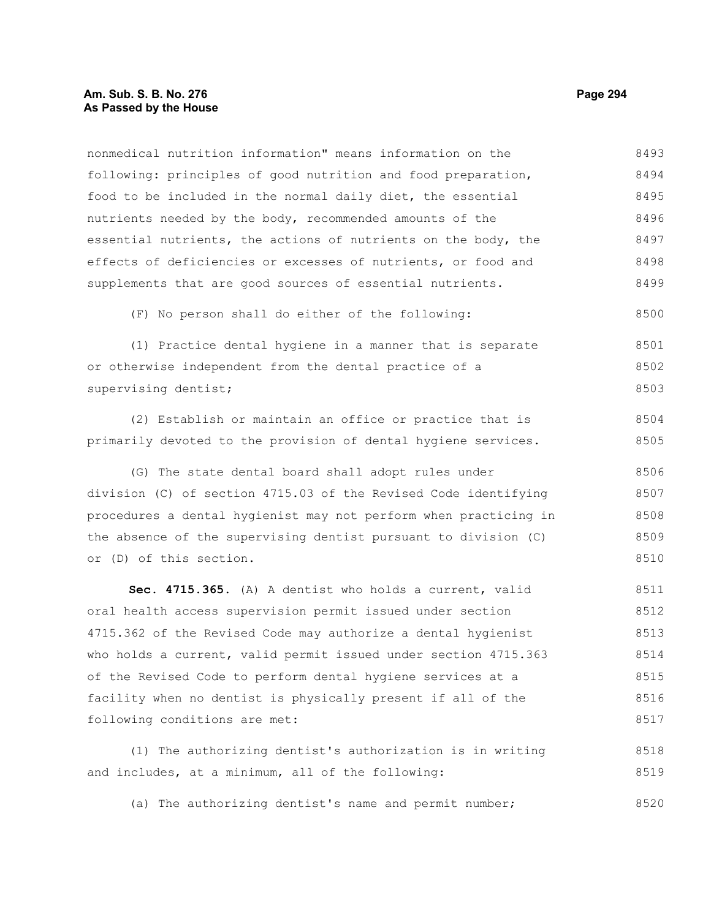#### **Am. Sub. S. B. No. 276 Page 294** Page 294 **As Passed by the House**

nonmedical nutrition information" means information on the following: principles of good nutrition and food preparation, food to be included in the normal daily diet, the essential nutrients needed by the body, recommended amounts of the essential nutrients, the actions of nutrients on the body, the effects of deficiencies or excesses of nutrients, or food and supplements that are good sources of essential nutrients. (F) No person shall do either of the following: (1) Practice dental hygiene in a manner that is separate or otherwise independent from the dental practice of a supervising dentist; (2) Establish or maintain an office or practice that is primarily devoted to the provision of dental hygiene services. (G) The state dental board shall adopt rules under division (C) of section 4715.03 of the Revised Code identifying procedures a dental hygienist may not perform when practicing in the absence of the supervising dentist pursuant to division (C) or (D) of this section. **Sec. 4715.365.** (A) A dentist who holds a current, valid oral health access supervision permit issued under section 4715.362 of the Revised Code may authorize a dental hygienist who holds a current, valid permit issued under section 4715.363 of the Revised Code to perform dental hygiene services at a facility when no dentist is physically present if all of the following conditions are met: 8493 8494 8495 8496 8497 8498 8499 8500 8501 8502 8503 8504 8505 8506 8507 8508 8509 8510 8511 8512 8513 8514 8515 8516 8517

(1) The authorizing dentist's authorization is in writing and includes, at a minimum, all of the following: 8518 8519

(a) The authorizing dentist's name and permit number; 8520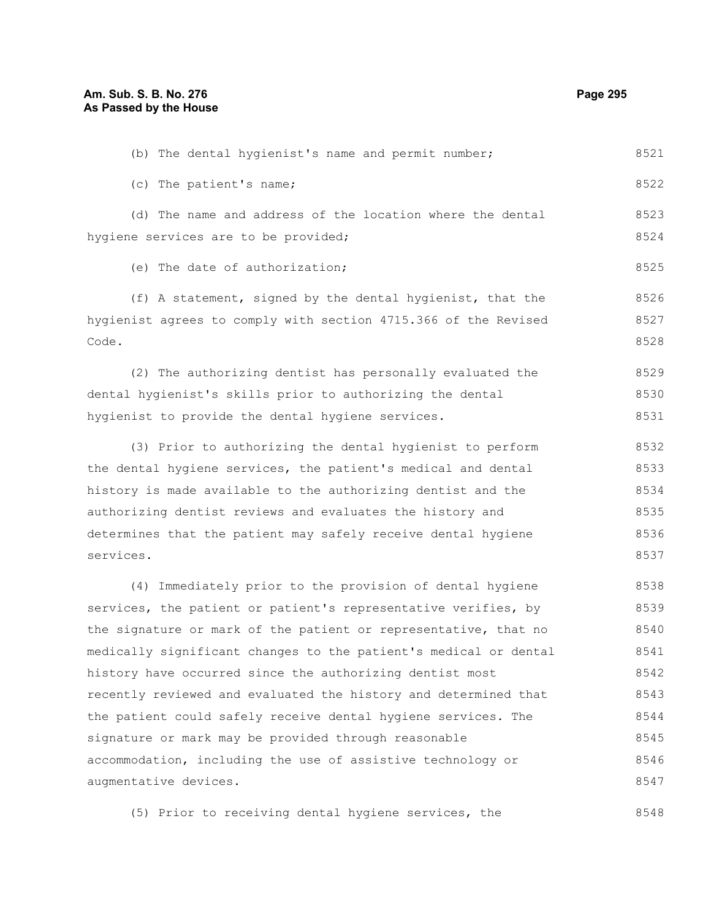Code.

(c) The patient's name; (d) The name and address of the location where the dental hygiene services are to be provided; (e) The date of authorization; (f) A statement, signed by the dental hygienist, that the hygienist agrees to comply with section 4715.366 of the Revised (2) The authorizing dentist has personally evaluated the dental hygienist's skills prior to authorizing the dental hygienist to provide the dental hygiene services. (3) Prior to authorizing the dental hygienist to perform the dental hygiene services, the patient's medical and dental history is made available to the authorizing dentist and the authorizing dentist reviews and evaluates the history and determines that the patient may safely receive dental hygiene services. (4) Immediately prior to the provision of dental hygiene services, the patient or patient's representative verifies, by the signature or mark of the patient or representative, that no medically significant changes to the patient's medical or dental history have occurred since the authorizing dentist most recently reviewed and evaluated the history and determined that 8522 8523 8524 8525 8526 8527 8528 8529 8530 8531 8532 8533 8534 8535 8536 8537 8538 8539 8540 8541 8542 8543

(b) The dental hygienist's name and permit number;

the patient could safely receive dental hygiene services. The signature or mark may be provided through reasonable accommodation, including the use of assistive technology or augmentative devices. 8544 8545 8546 8547

(5) Prior to receiving dental hygiene services, the 8548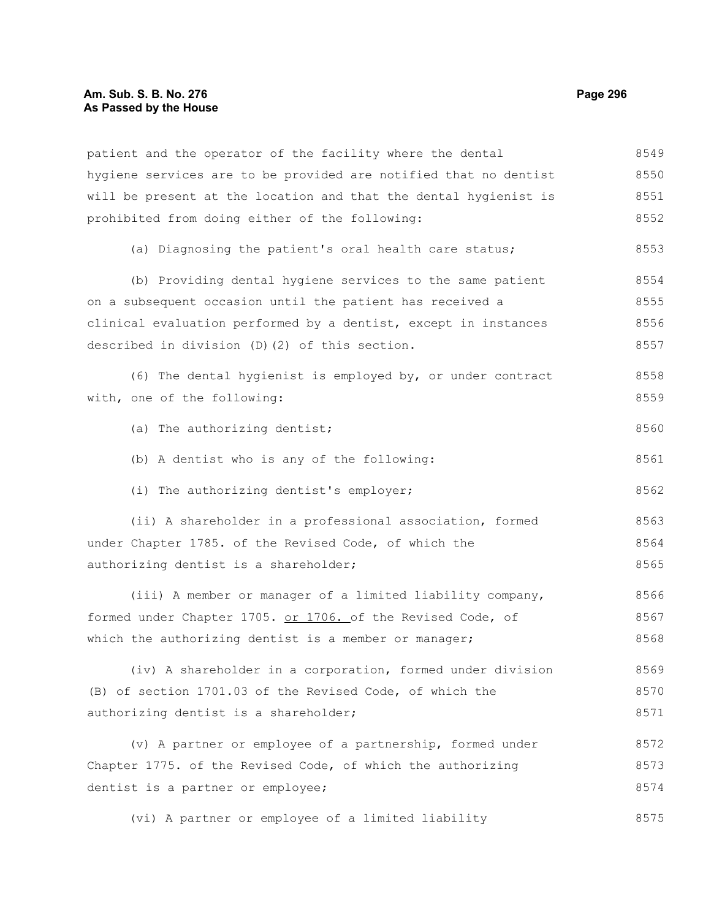#### **Am. Sub. S. B. No. 276 Page 296** Page 296 **As Passed by the House**

patient and the operator of the facility where the dental hygiene services are to be provided are notified that no dentist will be present at the location and that the dental hygienist is prohibited from doing either of the following: (a) Diagnosing the patient's oral health care status; (b) Providing dental hygiene services to the same patient on a subsequent occasion until the patient has received a clinical evaluation performed by a dentist, except in instances described in division (D)(2) of this section. (6) The dental hygienist is employed by, or under contract with, one of the following: (a) The authorizing dentist; (b) A dentist who is any of the following: (i) The authorizing dentist's employer; (ii) A shareholder in a professional association, formed under Chapter 1785. of the Revised Code, of which the authorizing dentist is a shareholder; (iii) A member or manager of a limited liability company, formed under Chapter 1705. or 1706. of the Revised Code, of which the authorizing dentist is a member or manager; (iv) A shareholder in a corporation, formed under division (B) of section 1701.03 of the Revised Code, of which the authorizing dentist is a shareholder; (v) A partner or employee of a partnership, formed under Chapter 1775. of the Revised Code, of which the authorizing dentist is a partner or employee; (vi) A partner or employee of a limited liability 8549 8550 8551 8552 8553 8554 8555 8556 8557 8558 8559 8560 8561 8562 8563 8564 8565 8566 8567 8568 8569 8570 8571 8572 8573 8574 8575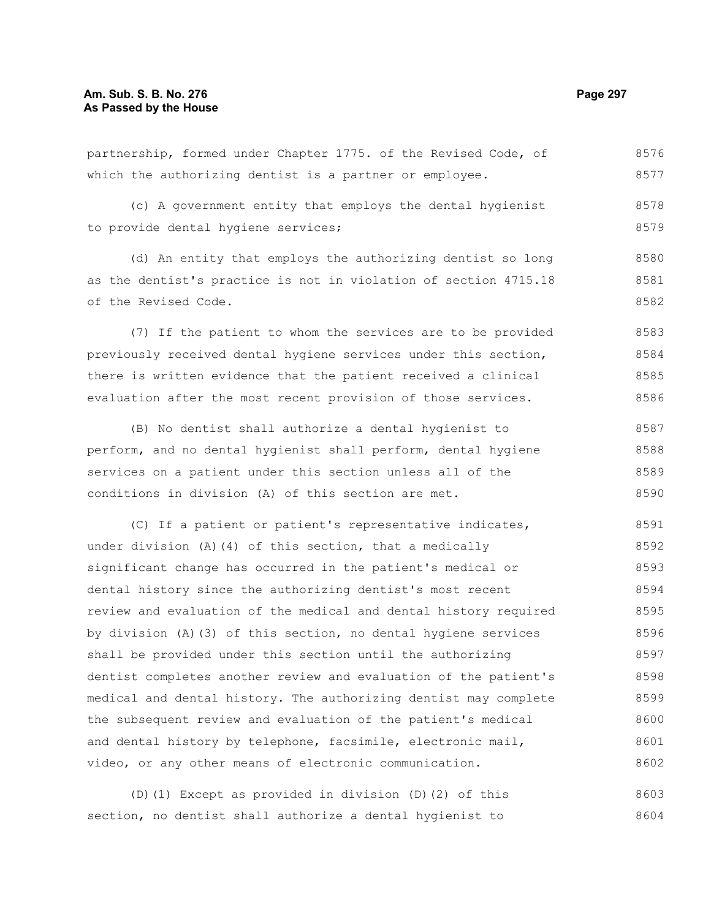| partnership, formed under Chapter 1775. of the Revised Code, of  | 8576 |
|------------------------------------------------------------------|------|
| which the authorizing dentist is a partner or employee.          | 8577 |
| (c) A government entity that employs the dental hygienist        | 8578 |
| to provide dental hygiene services;                              | 8579 |
| (d) An entity that employs the authorizing dentist so long       | 8580 |
| as the dentist's practice is not in violation of section 4715.18 | 8581 |
| of the Revised Code.                                             | 8582 |

(7) If the patient to whom the services are to be provided previously received dental hygiene services under this section, there is written evidence that the patient received a clinical evaluation after the most recent provision of those services. 8583 8584 8585 8586

(B) No dentist shall authorize a dental hygienist to perform, and no dental hygienist shall perform, dental hygiene services on a patient under this section unless all of the conditions in division (A) of this section are met. 8587 8588 8589 8590

(C) If a patient or patient's representative indicates, under division (A)(4) of this section, that a medically significant change has occurred in the patient's medical or dental history since the authorizing dentist's most recent review and evaluation of the medical and dental history required by division (A)(3) of this section, no dental hygiene services shall be provided under this section until the authorizing dentist completes another review and evaluation of the patient's medical and dental history. The authorizing dentist may complete the subsequent review and evaluation of the patient's medical and dental history by telephone, facsimile, electronic mail, video, or any other means of electronic communication. 8591 8592 8593 8594 8595 8596 8597 8598 8599 8600 8601 8602

(D)(1) Except as provided in division (D)(2) of this section, no dentist shall authorize a dental hygienist to 8603 8604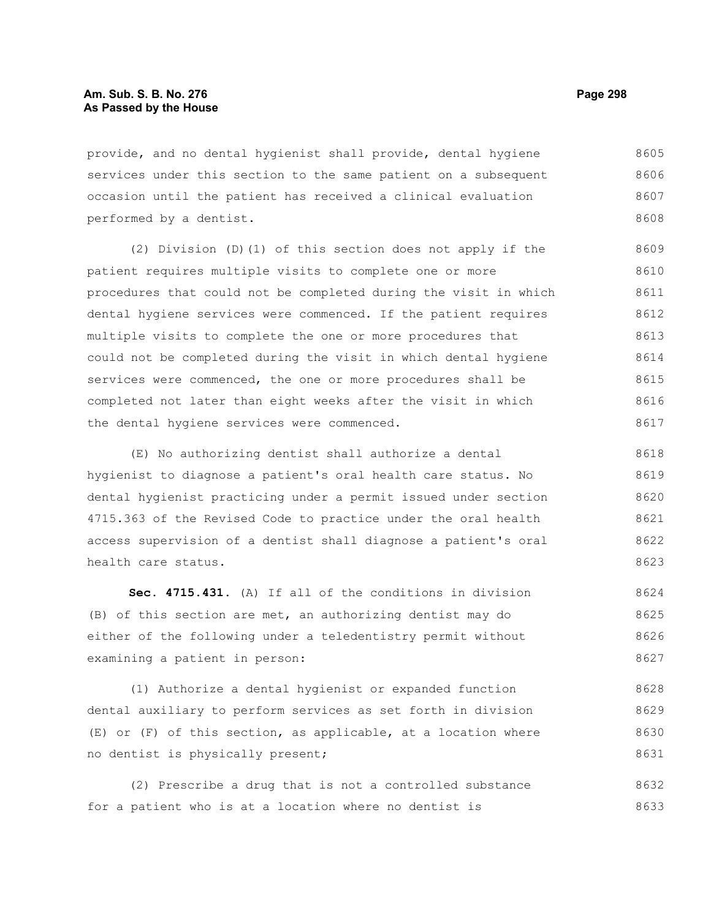provide, and no dental hygienist shall provide, dental hygiene services under this section to the same patient on a subsequent occasion until the patient has received a clinical evaluation performed by a dentist. 8605 8606 8607 8608

(2) Division (D)(1) of this section does not apply if the patient requires multiple visits to complete one or more procedures that could not be completed during the visit in which dental hygiene services were commenced. If the patient requires multiple visits to complete the one or more procedures that could not be completed during the visit in which dental hygiene services were commenced, the one or more procedures shall be completed not later than eight weeks after the visit in which the dental hygiene services were commenced. 8609 8610 8611 8612 8613 8614 8615 8616 8617

(E) No authorizing dentist shall authorize a dental hygienist to diagnose a patient's oral health care status. No dental hygienist practicing under a permit issued under section 4715.363 of the Revised Code to practice under the oral health access supervision of a dentist shall diagnose a patient's oral health care status. 8618 8619 8620 8621 8622 8623

**Sec. 4715.431.** (A) If all of the conditions in division (B) of this section are met, an authorizing dentist may do either of the following under a teledentistry permit without examining a patient in person: 8624 8625 8626 8627

(1) Authorize a dental hygienist or expanded function dental auxiliary to perform services as set forth in division (E) or (F) of this section, as applicable, at a location where no dentist is physically present; 8628 8629 8630 8631

(2) Prescribe a drug that is not a controlled substance for a patient who is at a location where no dentist is 8632 8633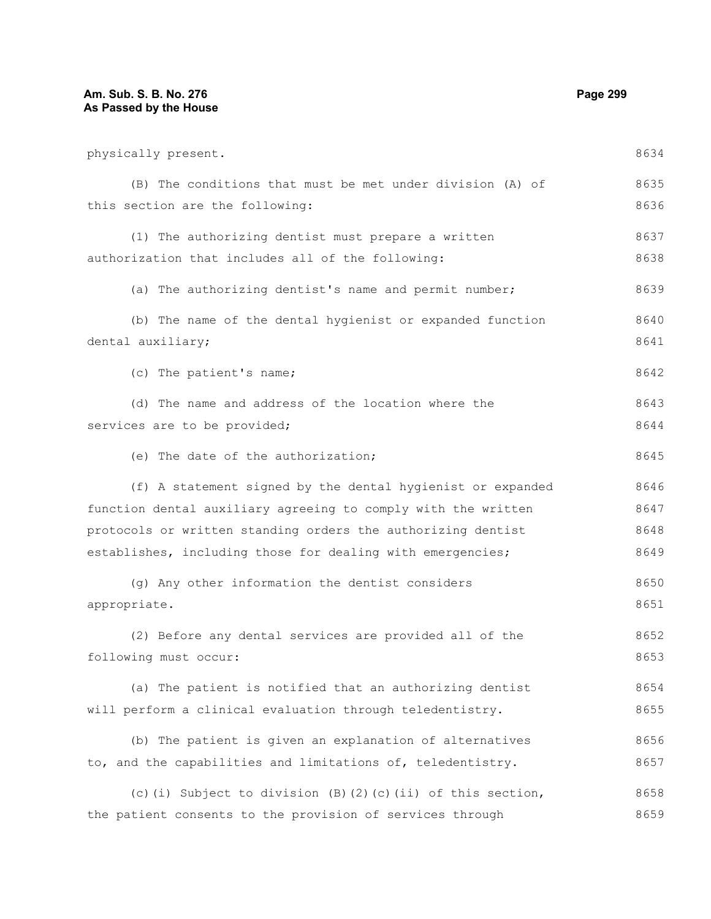# **Am. Sub. S. B. No. 276** Page 299 **As Passed by the House**

| physically present.                                           | 8634 |
|---------------------------------------------------------------|------|
| (B) The conditions that must be met under division (A) of     | 8635 |
| this section are the following:                               | 8636 |
| (1) The authorizing dentist must prepare a written            | 8637 |
| authorization that includes all of the following:             | 8638 |
| (a) The authorizing dentist's name and permit number;         | 8639 |
| (b) The name of the dental hygienist or expanded function     | 8640 |
| dental auxiliary;                                             | 8641 |
| (c) The patient's name;                                       | 8642 |
| (d) The name and address of the location where the            | 8643 |
| services are to be provided;                                  | 8644 |
| (e) The date of the authorization;                            | 8645 |
| (f) A statement signed by the dental hygienist or expanded    | 8646 |
| function dental auxiliary agreeing to comply with the written | 8647 |
| protocols or written standing orders the authorizing dentist  | 8648 |
| establishes, including those for dealing with emergencies;    | 8649 |
| (g) Any other information the dentist considers               | 8650 |
| appropriate.                                                  | 8651 |
| (2) Before any dental services are provided all of the        | 8652 |
| following must occur:                                         | 8653 |
| (a) The patient is notified that an authorizing dentist       | 8654 |
| will perform a clinical evaluation through teledentistry.     | 8655 |
| (b) The patient is given an explanation of alternatives       | 8656 |
| to, and the capabilities and limitations of, teledentistry.   | 8657 |
| (c) (i) Subject to division (B) (2) (c) (ii) of this section, | 8658 |
| the patient consents to the provision of services through     | 8659 |
|                                                               |      |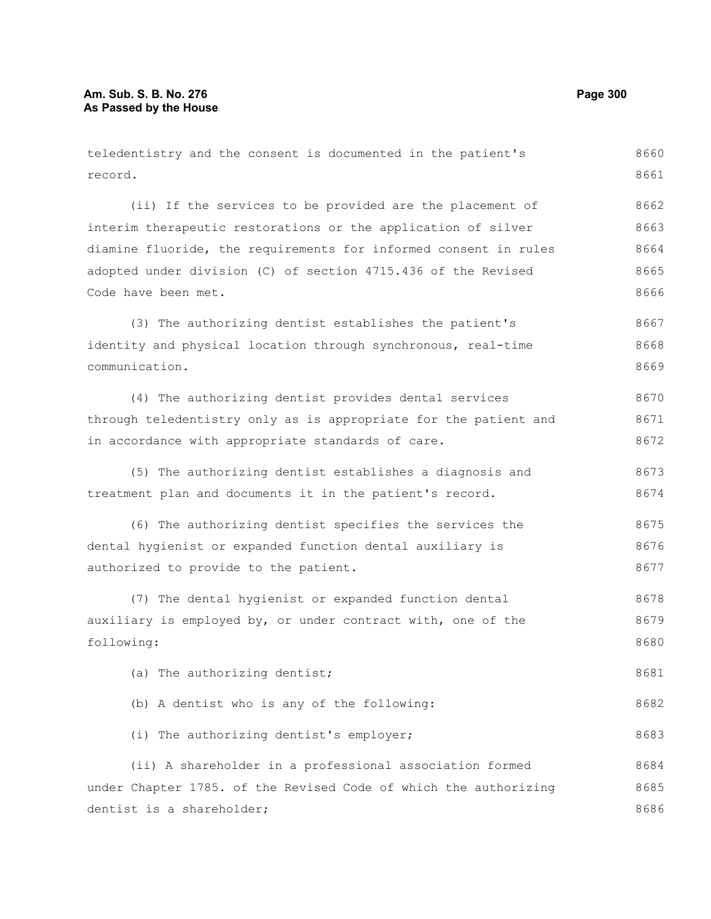| teledentistry and the consent is documented in the patient's     | 8660 |
|------------------------------------------------------------------|------|
| record.                                                          | 8661 |
| (ii) If the services to be provided are the placement of         | 8662 |
| interim therapeutic restorations or the application of silver    | 8663 |
| diamine fluoride, the requirements for informed consent in rules | 8664 |
| adopted under division (C) of section 4715.436 of the Revised    | 8665 |
| Code have been met.                                              | 8666 |
| (3) The authorizing dentist establishes the patient's            | 8667 |
| identity and physical location through synchronous, real-time    | 8668 |
| communication.                                                   | 8669 |
| (4) The authorizing dentist provides dental services             | 8670 |
| through teledentistry only as is appropriate for the patient and | 8671 |
| in accordance with appropriate standards of care.                | 8672 |
| (5) The authorizing dentist establishes a diagnosis and          | 8673 |
| treatment plan and documents it in the patient's record.         | 8674 |
| (6) The authorizing dentist specifies the services the           | 8675 |
| dental hygienist or expanded function dental auxiliary is        | 8676 |
| authorized to provide to the patient.                            | 8677 |
| (7) The dental hygienist or expanded function dental             | 8678 |
| auxiliary is employed by, or under contract with, one of the     | 8679 |
| following:                                                       | 8680 |
| (a) The authorizing dentist;                                     | 8681 |
| (b) A dentist who is any of the following:                       | 8682 |
| (i) The authorizing dentist's employer;                          | 8683 |
| (ii) A shareholder in a professional association formed          | 8684 |
| under Chapter 1785. of the Revised Code of which the authorizing | 8685 |
| dentist is a shareholder;                                        | 8686 |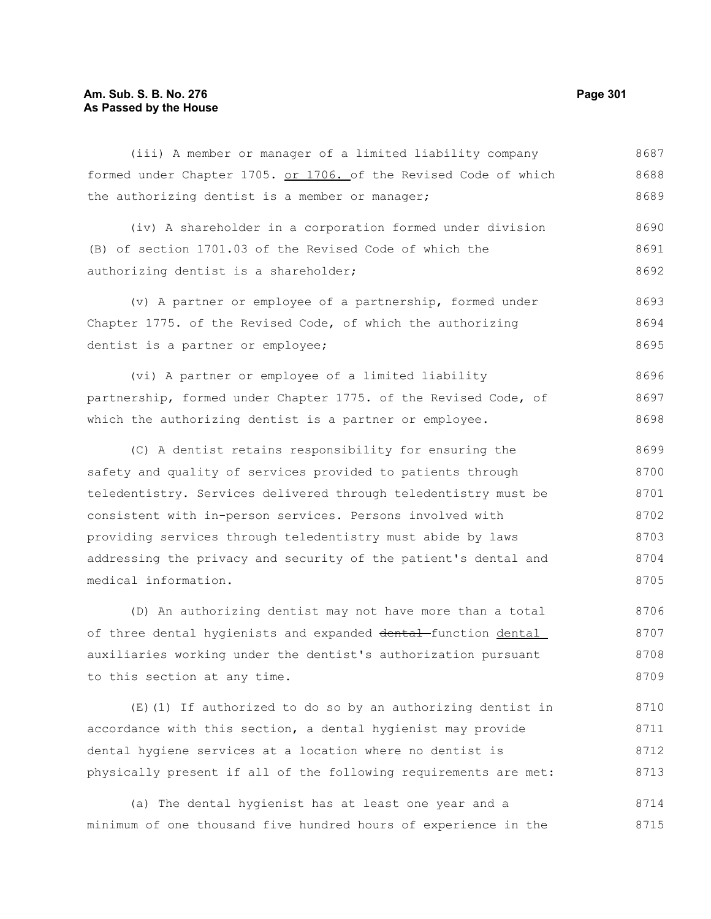### **Am. Sub. S. B. No. 276 Page 301 As Passed by the House**

(iii) A member or manager of a limited liability company formed under Chapter 1705. or 1706. of the Revised Code of which the authorizing dentist is a member or manager; 8687 8688 8689

(iv) A shareholder in a corporation formed under division (B) of section 1701.03 of the Revised Code of which the authorizing dentist is a shareholder; 8690 8691 8692

(v) A partner or employee of a partnership, formed under Chapter 1775. of the Revised Code, of which the authorizing dentist is a partner or employee; 8693 8694 8695

(vi) A partner or employee of a limited liability partnership, formed under Chapter 1775. of the Revised Code, of which the authorizing dentist is a partner or employee. 8696 8697 8698

(C) A dentist retains responsibility for ensuring the safety and quality of services provided to patients through teledentistry. Services delivered through teledentistry must be consistent with in-person services. Persons involved with providing services through teledentistry must abide by laws addressing the privacy and security of the patient's dental and medical information. 8699 8700 8701 8702 8703 8704 8705

(D) An authorizing dentist may not have more than a total of three dental hygienists and expanded dental function dental auxiliaries working under the dentist's authorization pursuant to this section at any time. 8706 8707 8708 8709

(E)(1) If authorized to do so by an authorizing dentist in accordance with this section, a dental hygienist may provide dental hygiene services at a location where no dentist is physically present if all of the following requirements are met: 8710 8711 8712 8713

(a) The dental hygienist has at least one year and a minimum of one thousand five hundred hours of experience in the 8714 8715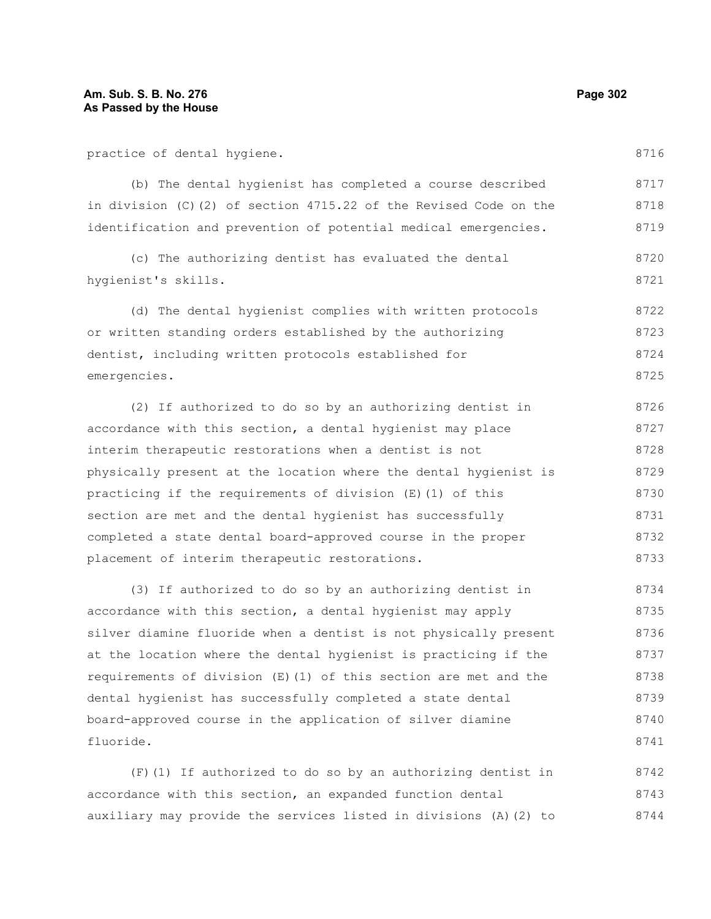practice of dental hygiene.

(b) The dental hygienist has completed a course described in division (C)(2) of section 4715.22 of the Revised Code on the identification and prevention of potential medical emergencies. 8717 8718 8719

(c) The authorizing dentist has evaluated the dental hygienist's skills. 8720 8721

(d) The dental hygienist complies with written protocols or written standing orders established by the authorizing dentist, including written protocols established for emergencies. 8722 8723 8724 8725

(2) If authorized to do so by an authorizing dentist in accordance with this section, a dental hygienist may place interim therapeutic restorations when a dentist is not physically present at the location where the dental hygienist is practicing if the requirements of division (E)(1) of this section are met and the dental hygienist has successfully completed a state dental board-approved course in the proper placement of interim therapeutic restorations. 8726 8727 8728 8729 8730 8731 8732 8733

(3) If authorized to do so by an authorizing dentist in accordance with this section, a dental hygienist may apply silver diamine fluoride when a dentist is not physically present at the location where the dental hygienist is practicing if the requirements of division (E)(1) of this section are met and the dental hygienist has successfully completed a state dental board-approved course in the application of silver diamine fluoride. 8734 8735 8736 8737 8738 8739 8740 8741

(F)(1) If authorized to do so by an authorizing dentist in accordance with this section, an expanded function dental auxiliary may provide the services listed in divisions (A)(2) to 8742 8743 8744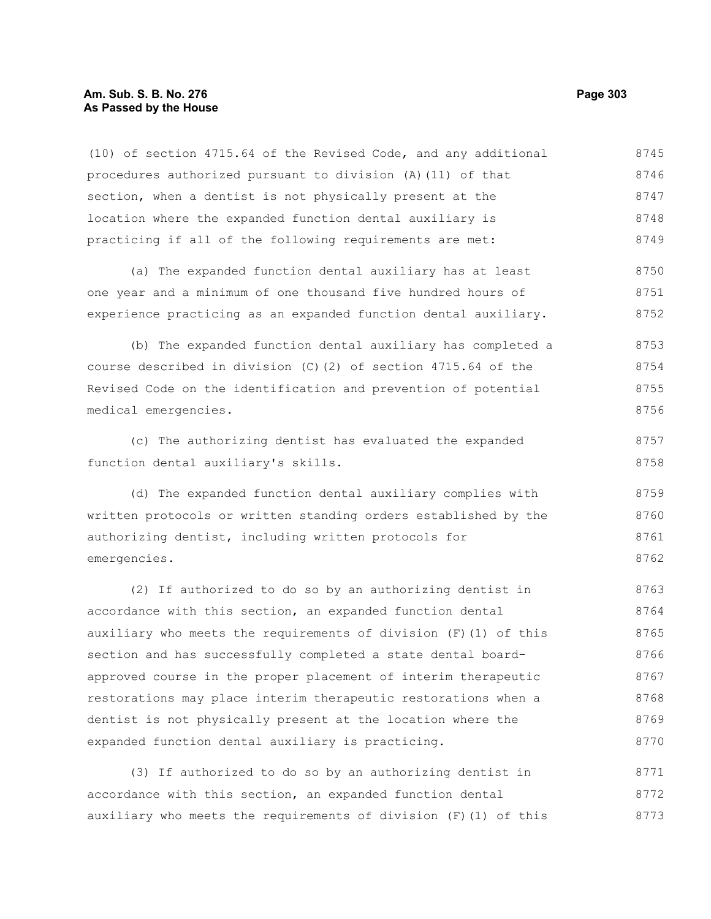#### **Am. Sub. S. B. No. 276 Page 303 As Passed by the House**

(10) of section 4715.64 of the Revised Code, and any additional procedures authorized pursuant to division (A)(11) of that section, when a dentist is not physically present at the location where the expanded function dental auxiliary is practicing if all of the following requirements are met: (a) The expanded function dental auxiliary has at least one year and a minimum of one thousand five hundred hours of experience practicing as an expanded function dental auxiliary. (b) The expanded function dental auxiliary has completed a course described in division (C)(2) of section 4715.64 of the Revised Code on the identification and prevention of potential medical emergencies. (c) The authorizing dentist has evaluated the expanded function dental auxiliary's skills. (d) The expanded function dental auxiliary complies with written protocols or written standing orders established by the authorizing dentist, including written protocols for emergencies. (2) If authorized to do so by an authorizing dentist in accordance with this section, an expanded function dental auxiliary who meets the requirements of division  $(F)$  (1) of this section and has successfully completed a state dental boardapproved course in the proper placement of interim therapeutic restorations may place interim therapeutic restorations when a 8745 8746 8747 8748 8749 8750 8751 8752 8753 8754 8755 8756 8757 8758 8759 8760 8761 8762 8763 8764 8765 8766 8767 8768

(3) If authorized to do so by an authorizing dentist in accordance with this section, an expanded function dental auxiliary who meets the requirements of division (F)(1) of this 8771 8772 8773

dentist is not physically present at the location where the

expanded function dental auxiliary is practicing.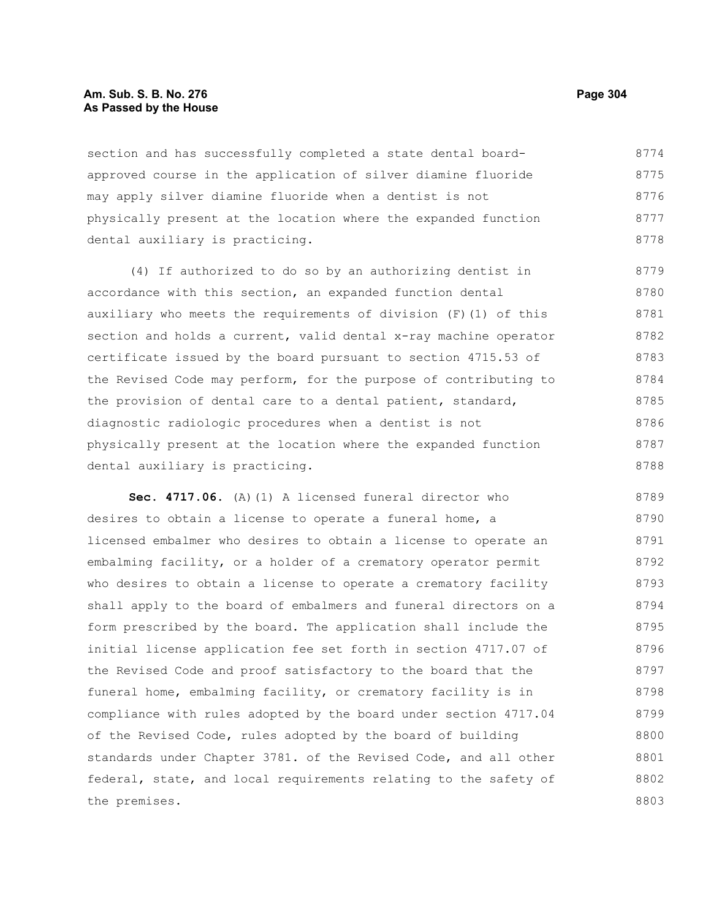#### **Am. Sub. S. B. No. 276 Page 304** Page 304 **As Passed by the House**

section and has successfully completed a state dental boardapproved course in the application of silver diamine fluoride may apply silver diamine fluoride when a dentist is not physically present at the location where the expanded function dental auxiliary is practicing. 8774 8775 8776 8777 8778

(4) If authorized to do so by an authorizing dentist in accordance with this section, an expanded function dental auxiliary who meets the requirements of division (F)(1) of this section and holds a current, valid dental x-ray machine operator certificate issued by the board pursuant to section 4715.53 of the Revised Code may perform, for the purpose of contributing to the provision of dental care to a dental patient, standard, diagnostic radiologic procedures when a dentist is not physically present at the location where the expanded function dental auxiliary is practicing. 8779 8780 8781 8782 8783 8784 8785 8786 8787 8788

**Sec. 4717.06.** (A)(1) A licensed funeral director who desires to obtain a license to operate a funeral home, a licensed embalmer who desires to obtain a license to operate an embalming facility, or a holder of a crematory operator permit who desires to obtain a license to operate a crematory facility shall apply to the board of embalmers and funeral directors on a form prescribed by the board. The application shall include the initial license application fee set forth in section 4717.07 of the Revised Code and proof satisfactory to the board that the funeral home, embalming facility, or crematory facility is in compliance with rules adopted by the board under section 4717.04 of the Revised Code, rules adopted by the board of building standards under Chapter 3781. of the Revised Code, and all other federal, state, and local requirements relating to the safety of the premises. 8789 8790 8791 8792 8793 8794 8795 8796 8797 8798 8799 8800 8801 8802 8803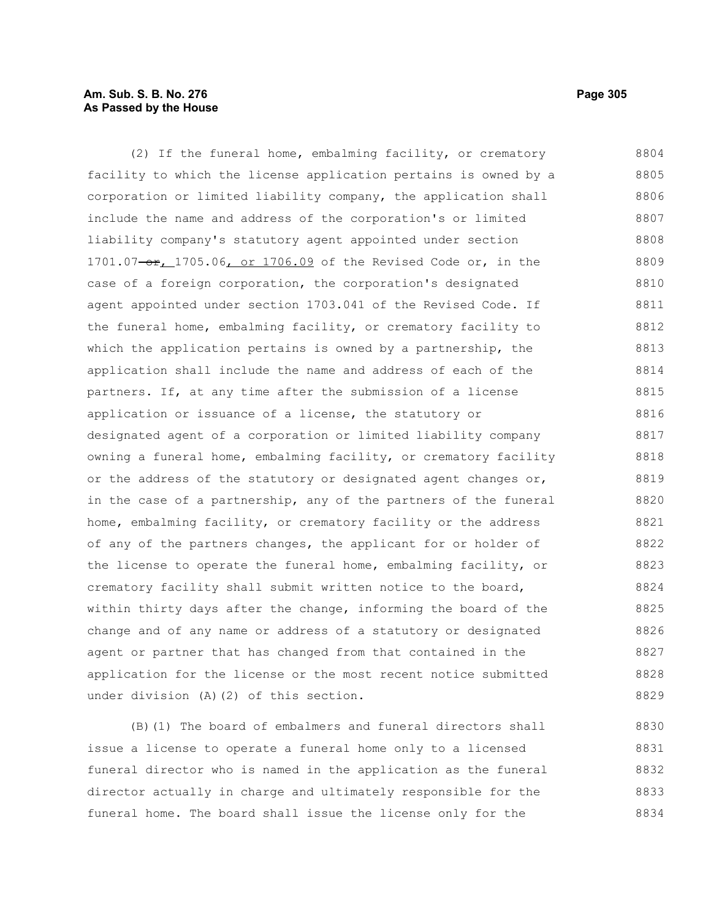### **Am. Sub. S. B. No. 276 Page 305** Page 305 **As Passed by the House**

(2) If the funeral home, embalming facility, or crematory facility to which the license application pertains is owned by a corporation or limited liability company, the application shall include the name and address of the corporation's or limited liability company's statutory agent appointed under section 1701.07-or, 1705.06, or 1706.09 of the Revised Code or, in the case of a foreign corporation, the corporation's designated agent appointed under section 1703.041 of the Revised Code. If the funeral home, embalming facility, or crematory facility to which the application pertains is owned by a partnership, the application shall include the name and address of each of the partners. If, at any time after the submission of a license application or issuance of a license, the statutory or designated agent of a corporation or limited liability company owning a funeral home, embalming facility, or crematory facility or the address of the statutory or designated agent changes or, in the case of a partnership, any of the partners of the funeral home, embalming facility, or crematory facility or the address of any of the partners changes, the applicant for or holder of the license to operate the funeral home, embalming facility, or crematory facility shall submit written notice to the board, within thirty days after the change, informing the board of the change and of any name or address of a statutory or designated agent or partner that has changed from that contained in the application for the license or the most recent notice submitted under division (A)(2) of this section. 8804 8805 8806 8807 8808 8809 8810 8811 8812 8813 8814 8815 8816 8817 8818 8819 8820 8821 8822 8823 8824 8825 8826 8827 8828 8829

(B)(1) The board of embalmers and funeral directors shall issue a license to operate a funeral home only to a licensed funeral director who is named in the application as the funeral director actually in charge and ultimately responsible for the funeral home. The board shall issue the license only for the 8830 8831 8832 8833 8834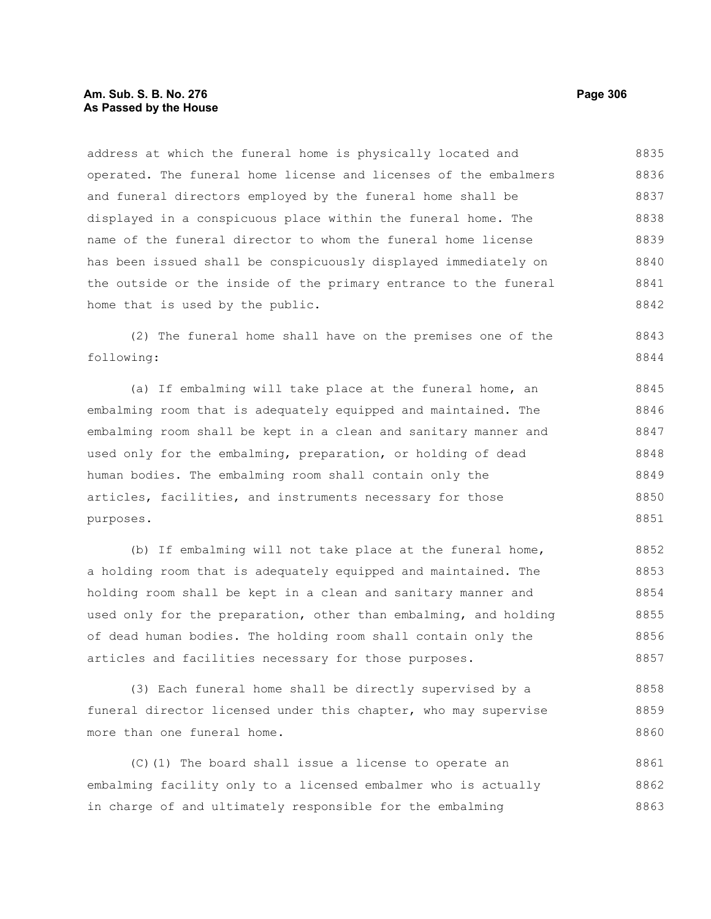### **Am. Sub. S. B. No. 276 Page 306** Page 306 **As Passed by the House**

address at which the funeral home is physically located and operated. The funeral home license and licenses of the embalmers and funeral directors employed by the funeral home shall be displayed in a conspicuous place within the funeral home. The name of the funeral director to whom the funeral home license has been issued shall be conspicuously displayed immediately on the outside or the inside of the primary entrance to the funeral home that is used by the public. 8835 8836 8837 8838 8839 8840 8841 8842

(2) The funeral home shall have on the premises one of the following: 8843 8844

(a) If embalming will take place at the funeral home, an embalming room that is adequately equipped and maintained. The embalming room shall be kept in a clean and sanitary manner and used only for the embalming, preparation, or holding of dead human bodies. The embalming room shall contain only the articles, facilities, and instruments necessary for those purposes. 8845 8846 8847 8848 8849 8850 8851

(b) If embalming will not take place at the funeral home, a holding room that is adequately equipped and maintained. The holding room shall be kept in a clean and sanitary manner and used only for the preparation, other than embalming, and holding of dead human bodies. The holding room shall contain only the articles and facilities necessary for those purposes. 8852 8853 8854 8855 8856 8857

(3) Each funeral home shall be directly supervised by a funeral director licensed under this chapter, who may supervise more than one funeral home. 8858 8859 8860

(C)(1) The board shall issue a license to operate an embalming facility only to a licensed embalmer who is actually in charge of and ultimately responsible for the embalming 8861 8862 8863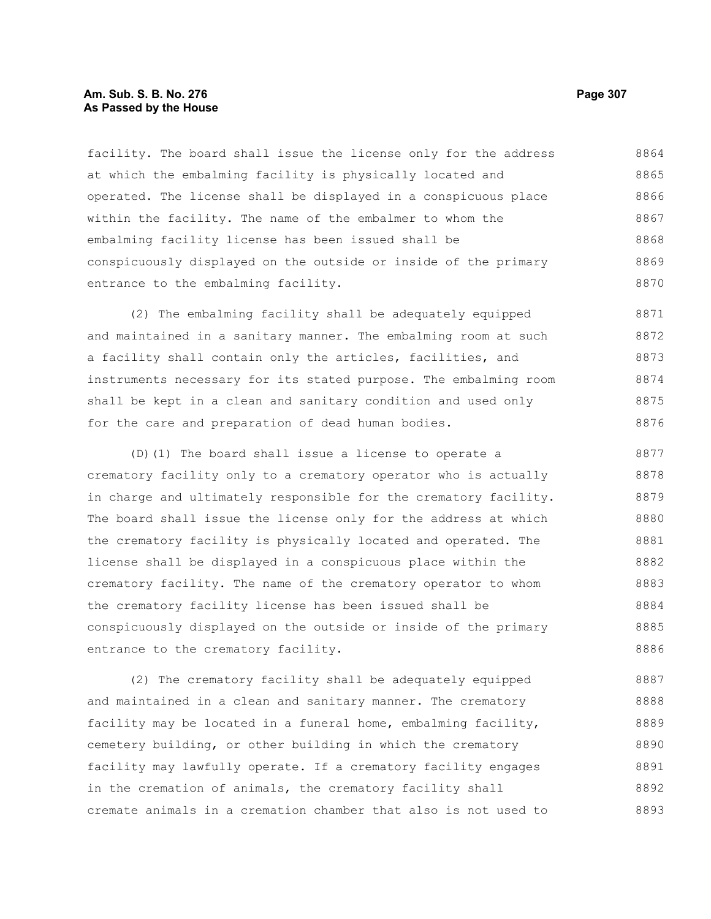#### **Am. Sub. S. B. No. 276 Page 307** Page 307 **As Passed by the House**

facility. The board shall issue the license only for the address at which the embalming facility is physically located and operated. The license shall be displayed in a conspicuous place within the facility. The name of the embalmer to whom the embalming facility license has been issued shall be conspicuously displayed on the outside or inside of the primary entrance to the embalming facility. 8864 8865 8866 8867 8868 8869 8870

(2) The embalming facility shall be adequately equipped and maintained in a sanitary manner. The embalming room at such a facility shall contain only the articles, facilities, and instruments necessary for its stated purpose. The embalming room shall be kept in a clean and sanitary condition and used only for the care and preparation of dead human bodies. 8871 8872 8873 8874 8875 8876

(D)(1) The board shall issue a license to operate a crematory facility only to a crematory operator who is actually in charge and ultimately responsible for the crematory facility. The board shall issue the license only for the address at which the crematory facility is physically located and operated. The license shall be displayed in a conspicuous place within the crematory facility. The name of the crematory operator to whom the crematory facility license has been issued shall be conspicuously displayed on the outside or inside of the primary entrance to the crematory facility. 8877 8878 8879 8880 8881 8882 8883 8884 8885 8886

(2) The crematory facility shall be adequately equipped and maintained in a clean and sanitary manner. The crematory facility may be located in a funeral home, embalming facility, cemetery building, or other building in which the crematory facility may lawfully operate. If a crematory facility engages in the cremation of animals, the crematory facility shall cremate animals in a cremation chamber that also is not used to 8887 8888 8889 8890 8891 8892 8893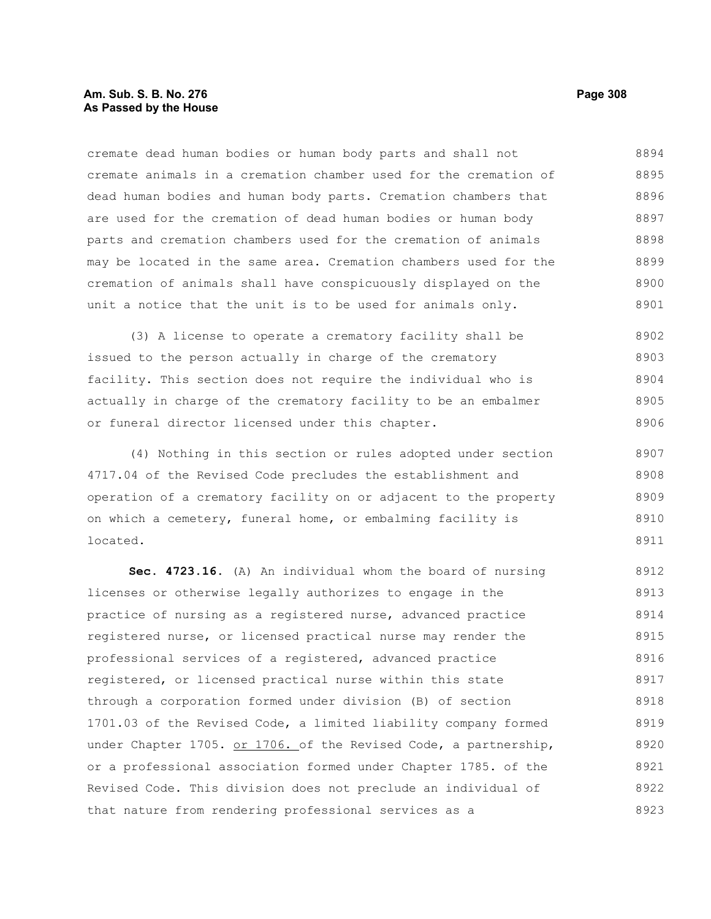#### **Am. Sub. S. B. No. 276 Page 308 As Passed by the House**

cremate dead human bodies or human body parts and shall not cremate animals in a cremation chamber used for the cremation of dead human bodies and human body parts. Cremation chambers that are used for the cremation of dead human bodies or human body parts and cremation chambers used for the cremation of animals may be located in the same area. Cremation chambers used for the cremation of animals shall have conspicuously displayed on the unit a notice that the unit is to be used for animals only. 8894 8895 8896 8897 8898 8899 8900 8901

(3) A license to operate a crematory facility shall be issued to the person actually in charge of the crematory facility. This section does not require the individual who is actually in charge of the crematory facility to be an embalmer or funeral director licensed under this chapter. 8902 8903 8904 8905 8906

(4) Nothing in this section or rules adopted under section 4717.04 of the Revised Code precludes the establishment and operation of a crematory facility on or adjacent to the property on which a cemetery, funeral home, or embalming facility is located. 8907 8908 8909 8910 8911

**Sec. 4723.16.** (A) An individual whom the board of nursing licenses or otherwise legally authorizes to engage in the practice of nursing as a registered nurse, advanced practice registered nurse, or licensed practical nurse may render the professional services of a registered, advanced practice registered, or licensed practical nurse within this state through a corporation formed under division (B) of section 1701.03 of the Revised Code, a limited liability company formed under Chapter 1705. or 1706. of the Revised Code, a partnership, or a professional association formed under Chapter 1785. of the Revised Code. This division does not preclude an individual of that nature from rendering professional services as a 8912 8913 8914 8915 8916 8917 8918 8919 8920 8921 8922 8923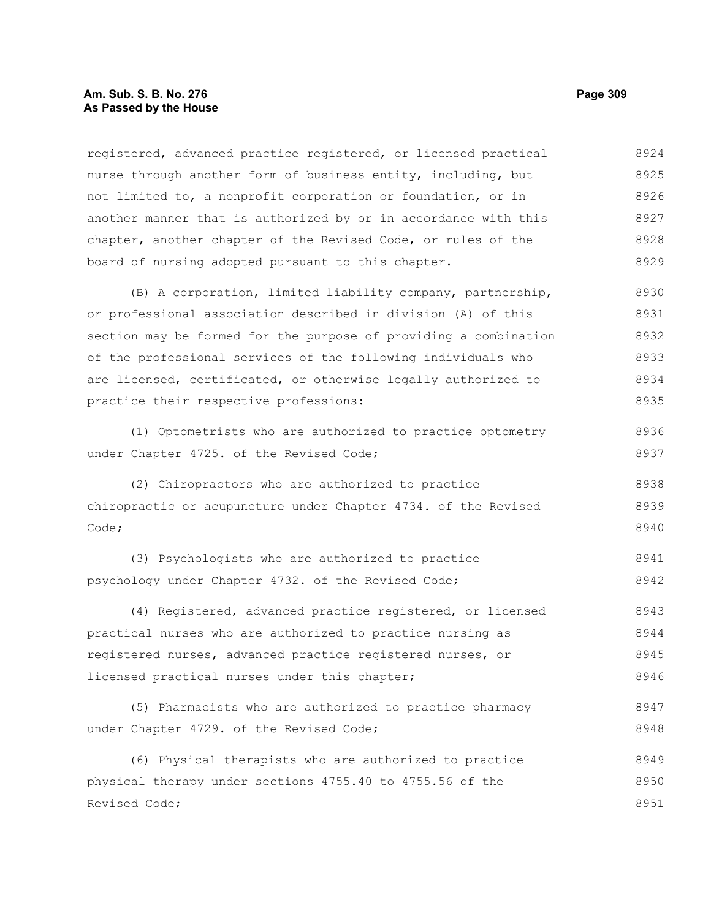#### **Am. Sub. S. B. No. 276 Page 309 As Passed by the House**

registered, advanced practice registered, or licensed practical nurse through another form of business entity, including, but not limited to, a nonprofit corporation or foundation, or in another manner that is authorized by or in accordance with this chapter, another chapter of the Revised Code, or rules of the board of nursing adopted pursuant to this chapter. (B) A corporation, limited liability company, partnership, or professional association described in division (A) of this section may be formed for the purpose of providing a combination of the professional services of the following individuals who are licensed, certificated, or otherwise legally authorized to practice their respective professions: (1) Optometrists who are authorized to practice optometry under Chapter 4725. of the Revised Code; (2) Chiropractors who are authorized to practice 8924 8925 8926 8927 8928 8929 8930 8931 8932 8933 8934 8935 8936 8937 8938

chiropractic or acupuncture under Chapter 4734. of the Revised Code; 8939 8940

(3) Psychologists who are authorized to practice psychology under Chapter 4732. of the Revised Code; 8941 8942

(4) Registered, advanced practice registered, or licensed practical nurses who are authorized to practice nursing as registered nurses, advanced practice registered nurses, or licensed practical nurses under this chapter; 8943 8944 8945 8946

(5) Pharmacists who are authorized to practice pharmacy under Chapter 4729. of the Revised Code; 8947 8948

(6) Physical therapists who are authorized to practice physical therapy under sections 4755.40 to 4755.56 of the Revised Code; 8949 8950 8951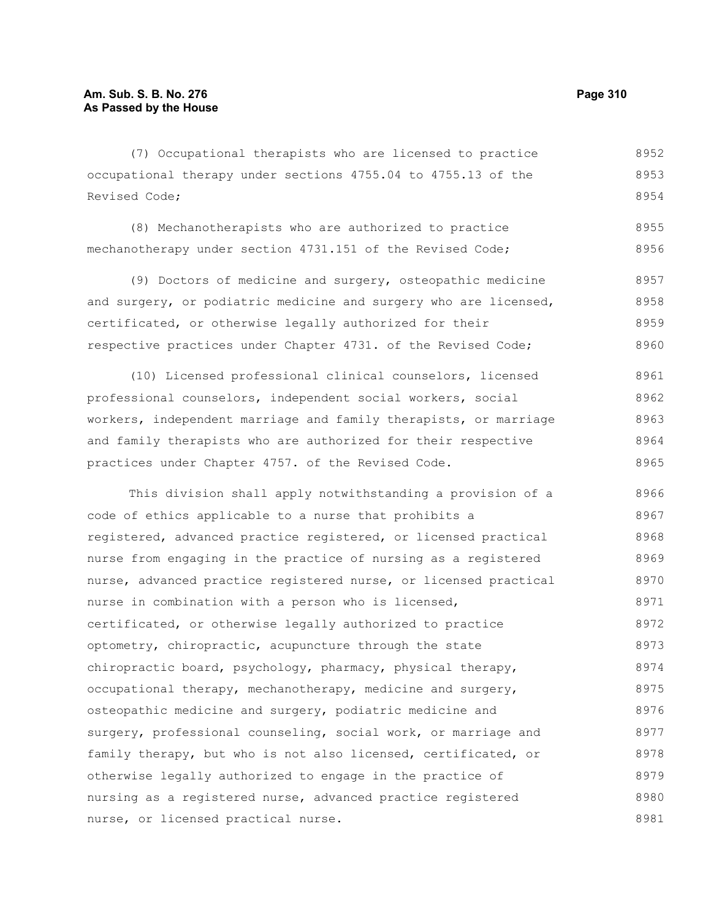(7) Occupational therapists who are licensed to practice occupational therapy under sections 4755.04 to 4755.13 of the Revised Code; 8952 8953 8954

(8) Mechanotherapists who are authorized to practice mechanotherapy under section 4731.151 of the Revised Code; 8955 8956

(9) Doctors of medicine and surgery, osteopathic medicine and surgery, or podiatric medicine and surgery who are licensed, certificated, or otherwise legally authorized for their respective practices under Chapter 4731. of the Revised Code; 8957 8958 8959 8960

(10) Licensed professional clinical counselors, licensed professional counselors, independent social workers, social workers, independent marriage and family therapists, or marriage and family therapists who are authorized for their respective practices under Chapter 4757. of the Revised Code. 8961 8962 8963 8964 8965

This division shall apply notwithstanding a provision of a code of ethics applicable to a nurse that prohibits a registered, advanced practice registered, or licensed practical nurse from engaging in the practice of nursing as a registered nurse, advanced practice registered nurse, or licensed practical nurse in combination with a person who is licensed, certificated, or otherwise legally authorized to practice optometry, chiropractic, acupuncture through the state chiropractic board, psychology, pharmacy, physical therapy, occupational therapy, mechanotherapy, medicine and surgery, osteopathic medicine and surgery, podiatric medicine and surgery, professional counseling, social work, or marriage and family therapy, but who is not also licensed, certificated, or otherwise legally authorized to engage in the practice of nursing as a registered nurse, advanced practice registered nurse, or licensed practical nurse. 8966 8967 8968 8969 8970 8971 8972 8973 8974 8975 8976 8977 8978 8979 8980 8981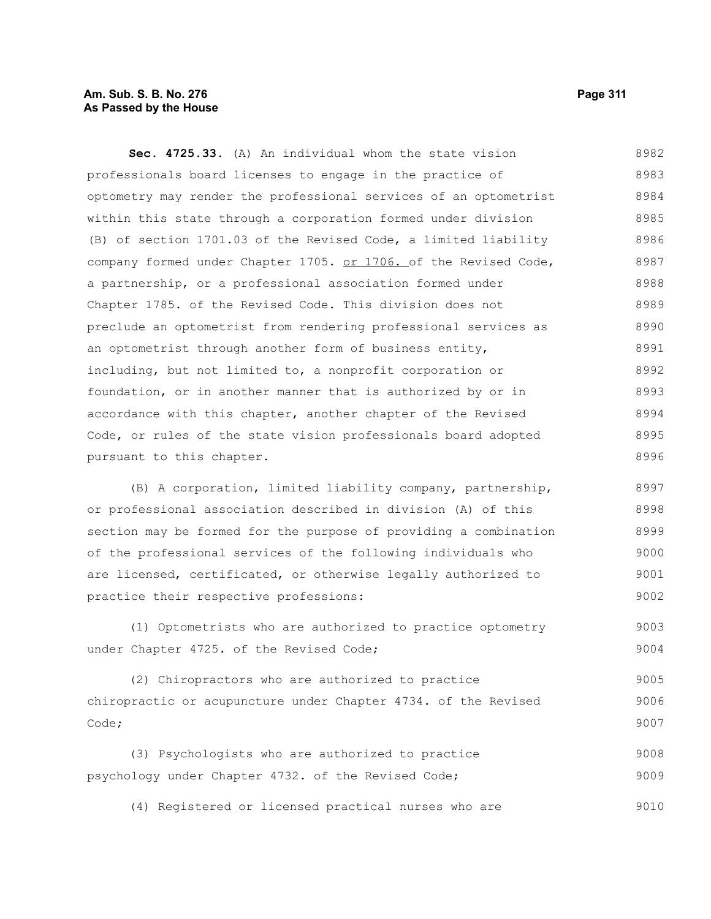#### **Am. Sub. S. B. No. 276 Page 311 As Passed by the House**

**Sec. 4725.33.** (A) An individual whom the state vision professionals board licenses to engage in the practice of optometry may render the professional services of an optometrist within this state through a corporation formed under division (B) of section 1701.03 of the Revised Code, a limited liability company formed under Chapter 1705. or 1706. of the Revised Code, a partnership, or a professional association formed under Chapter 1785. of the Revised Code. This division does not preclude an optometrist from rendering professional services as an optometrist through another form of business entity, including, but not limited to, a nonprofit corporation or foundation, or in another manner that is authorized by or in accordance with this chapter, another chapter of the Revised Code, or rules of the state vision professionals board adopted pursuant to this chapter. 8982 8983 8984 8985 8986 8987 8988 8989 8990 8991 8992 8993 8994 8995 8996

(B) A corporation, limited liability company, partnership, or professional association described in division (A) of this section may be formed for the purpose of providing a combination of the professional services of the following individuals who are licensed, certificated, or otherwise legally authorized to practice their respective professions: 8997 8998 8999 9000 9001 9002

(1) Optometrists who are authorized to practice optometry under Chapter 4725. of the Revised Code; 9003 9004

(2) Chiropractors who are authorized to practice chiropractic or acupuncture under Chapter 4734. of the Revised Code; 9005 9006 9007

(3) Psychologists who are authorized to practice psychology under Chapter 4732. of the Revised Code; 9008 9009

(4) Registered or licensed practical nurses who are 9010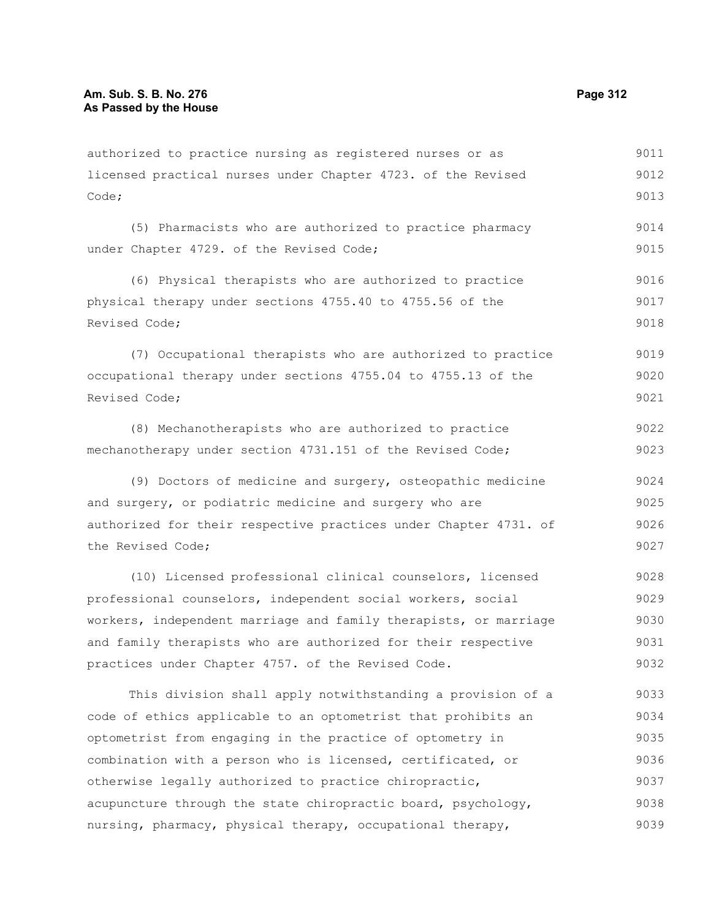licensed practical nurses under Chapter 4723. of the Revised Code; (5) Pharmacists who are authorized to practice pharmacy under Chapter 4729. of the Revised Code; (6) Physical therapists who are authorized to practice physical therapy under sections 4755.40 to 4755.56 of the Revised Code; (7) Occupational therapists who are authorized to practice occupational therapy under sections 4755.04 to 4755.13 of the Revised Code; (8) Mechanotherapists who are authorized to practice mechanotherapy under section 4731.151 of the Revised Code; (9) Doctors of medicine and surgery, osteopathic medicine 9012 9013 9014 9015 9016 9017 9018 9019 9020 9021 9022 9023 9024

authorized to practice nursing as registered nurses or as

and surgery, or podiatric medicine and surgery who are authorized for their respective practices under Chapter 4731. of the Revised Code; 9025 9026 9027

(10) Licensed professional clinical counselors, licensed professional counselors, independent social workers, social workers, independent marriage and family therapists, or marriage and family therapists who are authorized for their respective practices under Chapter 4757. of the Revised Code. 9028 9029 9030 9031 9032

This division shall apply notwithstanding a provision of a code of ethics applicable to an optometrist that prohibits an optometrist from engaging in the practice of optometry in combination with a person who is licensed, certificated, or otherwise legally authorized to practice chiropractic, acupuncture through the state chiropractic board, psychology, nursing, pharmacy, physical therapy, occupational therapy, 9033 9034 9035 9036 9037 9038 9039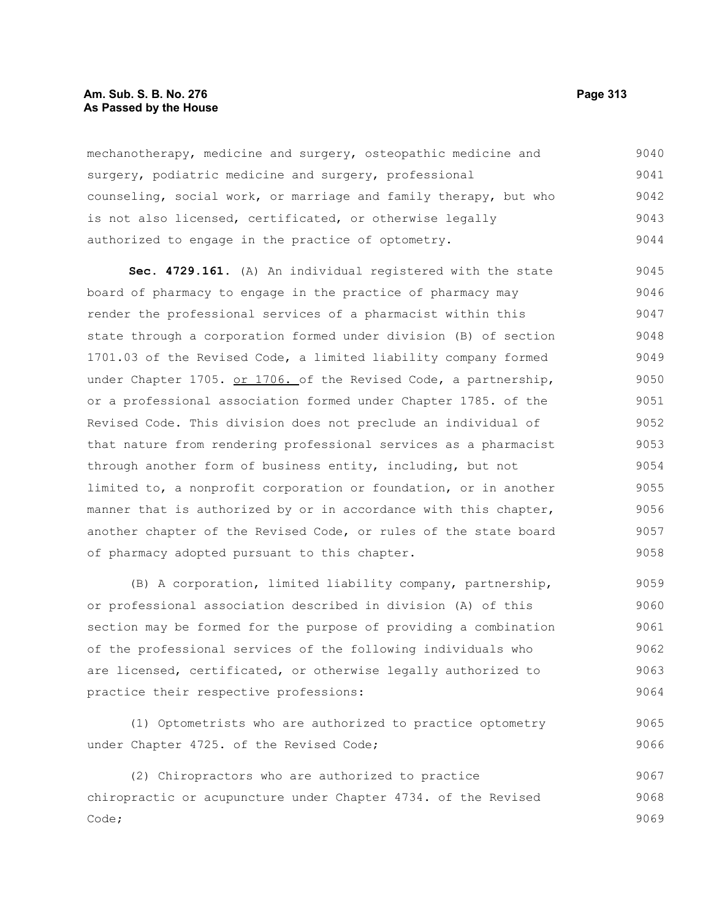#### **Am. Sub. S. B. No. 276 Page 313 As Passed by the House**

mechanotherapy, medicine and surgery, osteopathic medicine and surgery, podiatric medicine and surgery, professional counseling, social work, or marriage and family therapy, but who is not also licensed, certificated, or otherwise legally authorized to engage in the practice of optometry. 9040 9041 9042 9043 9044

**Sec. 4729.161.** (A) An individual registered with the state board of pharmacy to engage in the practice of pharmacy may render the professional services of a pharmacist within this state through a corporation formed under division (B) of section 1701.03 of the Revised Code, a limited liability company formed under Chapter 1705. or 1706. of the Revised Code, a partnership, or a professional association formed under Chapter 1785. of the Revised Code. This division does not preclude an individual of that nature from rendering professional services as a pharmacist through another form of business entity, including, but not limited to, a nonprofit corporation or foundation, or in another manner that is authorized by or in accordance with this chapter, another chapter of the Revised Code, or rules of the state board of pharmacy adopted pursuant to this chapter. 9045 9046 9047 9048 9049 9050 9051 9052 9053 9054 9055 9056 9057 9058

(B) A corporation, limited liability company, partnership, or professional association described in division (A) of this section may be formed for the purpose of providing a combination of the professional services of the following individuals who are licensed, certificated, or otherwise legally authorized to practice their respective professions: 9059 9060 9061 9062 9063 9064

(1) Optometrists who are authorized to practice optometry under Chapter 4725. of the Revised Code; 9065 9066

(2) Chiropractors who are authorized to practice chiropractic or acupuncture under Chapter 4734. of the Revised Code; 9067 9068 9069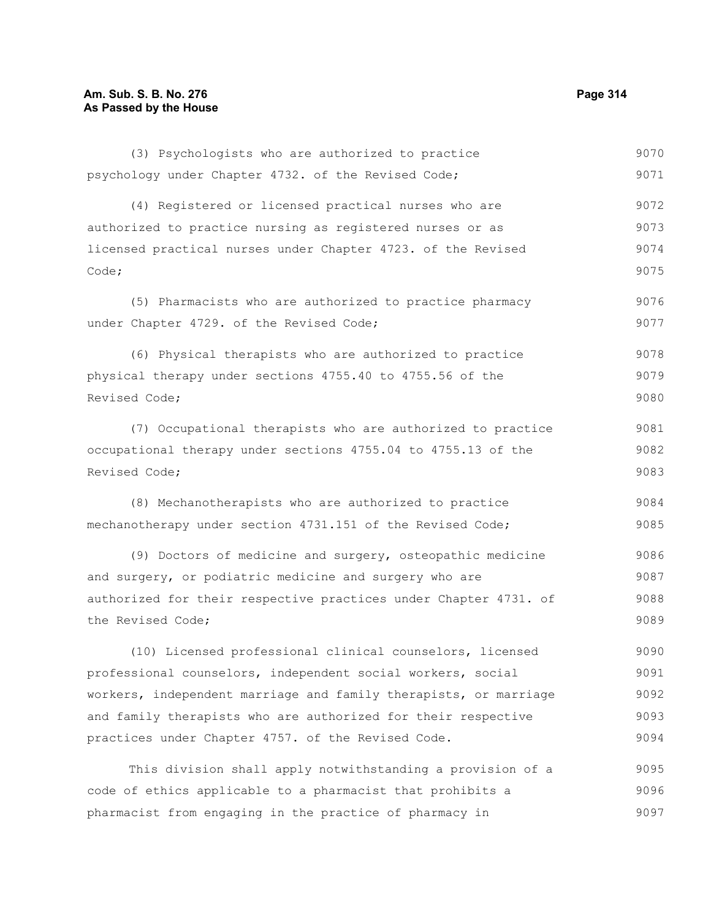(4) Registered or licensed practical nurses who are authorized to practice nursing as registered nurses or as licensed practical nurses under Chapter 4723. of the Revised Code; (5) Pharmacists who are authorized to practice pharmacy under Chapter 4729. of the Revised Code; (6) Physical therapists who are authorized to practice physical therapy under sections 4755.40 to 4755.56 of the Revised Code; (7) Occupational therapists who are authorized to practice occupational therapy under sections 4755.04 to 4755.13 of the Revised Code; (8) Mechanotherapists who are authorized to practice mechanotherapy under section 4731.151 of the Revised Code; (9) Doctors of medicine and surgery, osteopathic medicine and surgery, or podiatric medicine and surgery who are authorized for their respective practices under Chapter 4731. of the Revised Code; (10) Licensed professional clinical counselors, licensed professional counselors, independent social workers, social workers, independent marriage and family therapists, or marriage and family therapists who are authorized for their respective 9072 9073 9074 9075 9076 9077 9078 9079 9080 9081 9082 9083 9084 9085 9086 9087 9088 9089 9090 9091 9092 9093

(3) Psychologists who are authorized to practice

psychology under Chapter 4732. of the Revised Code;

This division shall apply notwithstanding a provision of a code of ethics applicable to a pharmacist that prohibits a pharmacist from engaging in the practice of pharmacy in 9095 9096 9097

practices under Chapter 4757. of the Revised Code.

9070 9071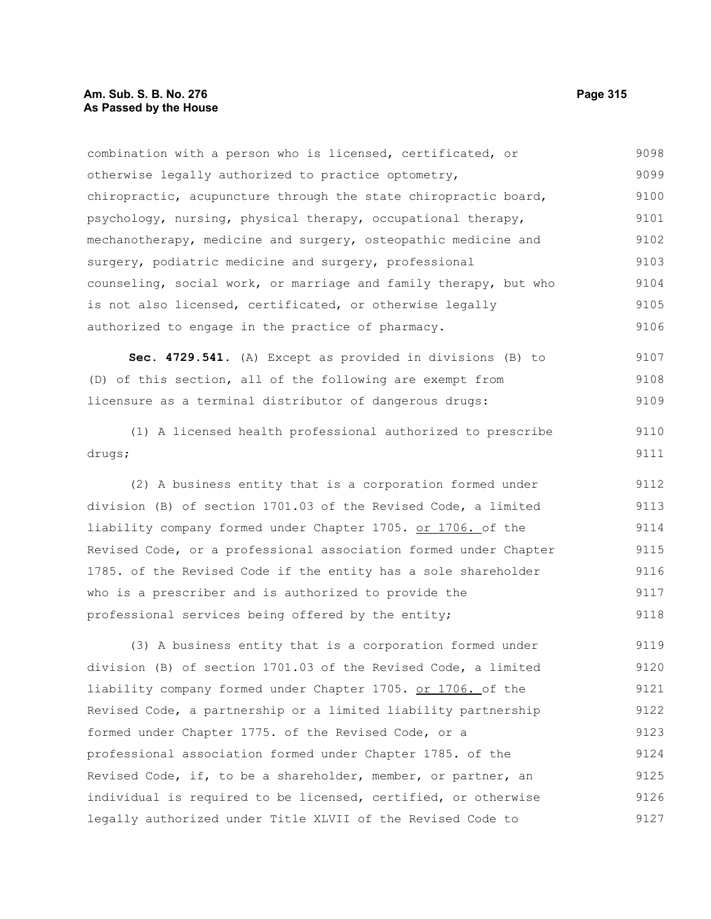combination with a person who is licensed, certificated, or otherwise legally authorized to practice optometry, chiropractic, acupuncture through the state chiropractic board, psychology, nursing, physical therapy, occupational therapy, mechanotherapy, medicine and surgery, osteopathic medicine and surgery, podiatric medicine and surgery, professional counseling, social work, or marriage and family therapy, but who is not also licensed, certificated, or otherwise legally authorized to engage in the practice of pharmacy. 9098 9099 9100 9101 9102 9103 9104 9105 9106

**Sec. 4729.541.** (A) Except as provided in divisions (B) to (D) of this section, all of the following are exempt from licensure as a terminal distributor of dangerous drugs: 9107 9108 9109

(1) A licensed health professional authorized to prescribe drugs;

(2) A business entity that is a corporation formed under division (B) of section 1701.03 of the Revised Code, a limited liability company formed under Chapter 1705. or 1706. of the Revised Code, or a professional association formed under Chapter 1785. of the Revised Code if the entity has a sole shareholder who is a prescriber and is authorized to provide the professional services being offered by the entity; 9112 9113 9114 9115 9116 9117 9118

(3) A business entity that is a corporation formed under division (B) of section 1701.03 of the Revised Code, a limited liability company formed under Chapter 1705. or 1706. of the Revised Code, a partnership or a limited liability partnership formed under Chapter 1775. of the Revised Code, or a professional association formed under Chapter 1785. of the Revised Code, if, to be a shareholder, member, or partner, an individual is required to be licensed, certified, or otherwise legally authorized under Title XLVII of the Revised Code to 9119 9120 9121 9122 9123 9124 9125 9126 9127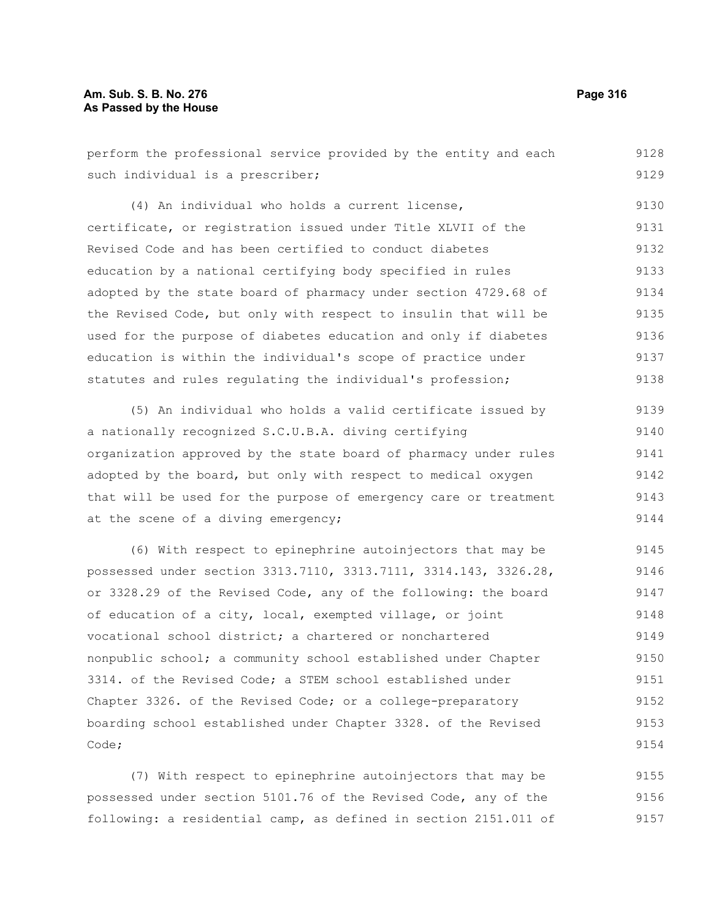### **Am. Sub. S. B. No. 276 Page 316 As Passed by the House**

| perform the professional service provided by the entity and each | 9128 |
|------------------------------------------------------------------|------|
| such individual is a prescriber;                                 | 9129 |
| (4) An individual who holds a current license,                   | 9130 |
| certificate, or registration issued under Title XLVII of the     | 9131 |
| Revised Code and has been certified to conduct diabetes          | 9132 |
| education by a national certifying body specified in rules       | 9133 |
| adopted by the state board of pharmacy under section 4729.68 of  | 9134 |
| the Revised Code, but only with respect to insulin that will be  | 9135 |
| used for the purpose of diabetes education and only if diabetes  | 9136 |
| education is within the individual's scope of practice under     | 9137 |
| statutes and rules regulating the individual's profession;       | 9138 |
| (5) An individual who holds a valid certificate issued by        | 9139 |
| a nationally recognized S.C.U.B.A. diving certifying             | 9140 |
| organization approved by the state board of pharmacy under rules | 9141 |
| adopted by the board, but only with respect to medical oxygen    | 9142 |
| that will be used for the purpose of emergency care or treatment | 9143 |
| at the scene of a diving emergency;                              | 9144 |
| (6) With respect to epinephrine autoinjectors that may be        | 9145 |
| possessed under section 3313.7110, 3313.7111, 3314.143, 3326.28, | 9146 |
| or 3328.29 of the Revised Code, any of the following: the board  | 9147 |
| of education of a city, local, exempted village, or joint        | 9148 |
| vocational school district; a chartered or nonchartered          | 9149 |
| nonpublic school; a community school established under Chapter   | 9150 |

3314. of the Revised Code; a STEM school established under Chapter 3326. of the Revised Code; or a college-preparatory boarding school established under Chapter 3328. of the Revised Code; 9151 9152 9153 9154

(7) With respect to epinephrine autoinjectors that may be possessed under section 5101.76 of the Revised Code, any of the following: a residential camp, as defined in section 2151.011 of 9155 9156 9157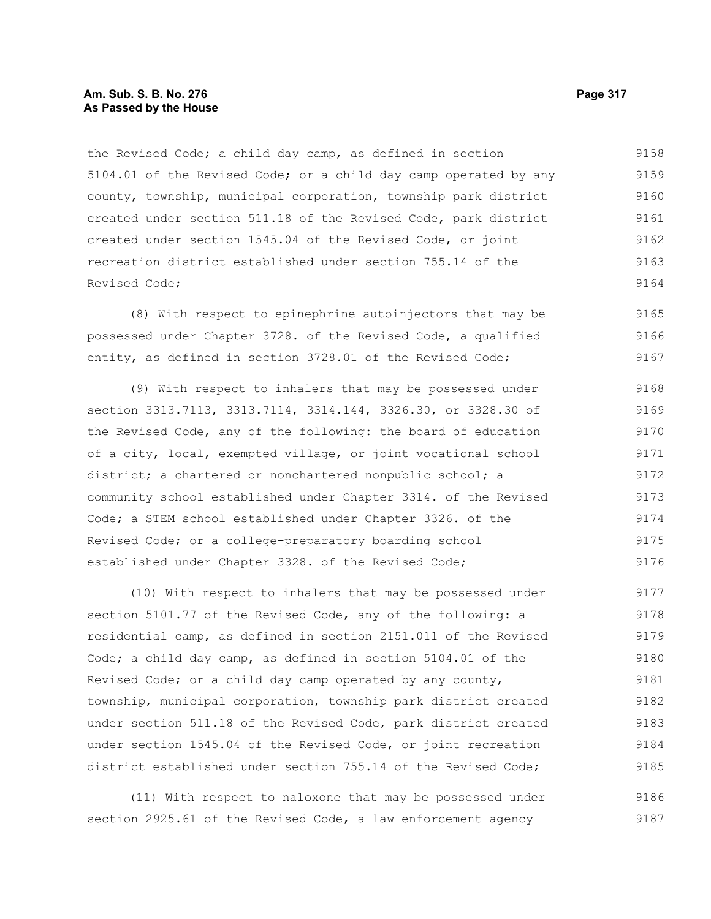#### **Am. Sub. S. B. No. 276 Page 317** Page 317 **As Passed by the House**

the Revised Code; a child day camp, as defined in section 5104.01 of the Revised Code; or a child day camp operated by any county, township, municipal corporation, township park district created under section 511.18 of the Revised Code, park district created under section 1545.04 of the Revised Code, or joint recreation district established under section 755.14 of the Revised Code; 9158 9159 9160 9161 9162 9163 9164

(8) With respect to epinephrine autoinjectors that may be possessed under Chapter 3728. of the Revised Code, a qualified entity, as defined in section 3728.01 of the Revised Code; 9165 9166 9167

(9) With respect to inhalers that may be possessed under section 3313.7113, 3313.7114, 3314.144, 3326.30, or 3328.30 of the Revised Code, any of the following: the board of education of a city, local, exempted village, or joint vocational school district; a chartered or nonchartered nonpublic school; a community school established under Chapter 3314. of the Revised Code; a STEM school established under Chapter 3326. of the Revised Code; or a college-preparatory boarding school established under Chapter 3328. of the Revised Code; 9168 9169 9170 9171 9172 9173 9174 9175 9176

(10) With respect to inhalers that may be possessed under section 5101.77 of the Revised Code, any of the following: a residential camp, as defined in section 2151.011 of the Revised Code; a child day camp, as defined in section 5104.01 of the Revised Code; or a child day camp operated by any county, township, municipal corporation, township park district created under section 511.18 of the Revised Code, park district created under section 1545.04 of the Revised Code, or joint recreation district established under section 755.14 of the Revised Code; 9177 9178 9179 9180 9181 9182 9183 9184 9185

(11) With respect to naloxone that may be possessed under section 2925.61 of the Revised Code, a law enforcement agency 9186 9187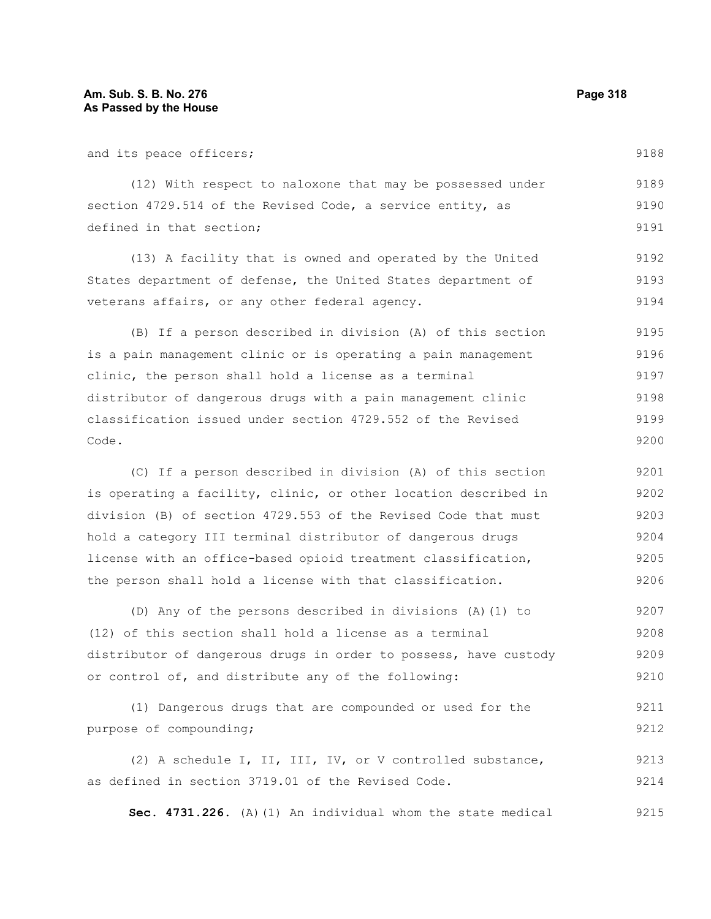9214

| and its peace officers;                                          | 9188 |
|------------------------------------------------------------------|------|
| (12) With respect to naloxone that may be possessed under        | 9189 |
| section 4729.514 of the Revised Code, a service entity, as       | 9190 |
| defined in that section;                                         | 9191 |
| (13) A facility that is owned and operated by the United         | 9192 |
| States department of defense, the United States department of    | 9193 |
| veterans affairs, or any other federal agency.                   | 9194 |
| (B) If a person described in division (A) of this section        | 9195 |
| is a pain management clinic or is operating a pain management    | 9196 |
| clinic, the person shall hold a license as a terminal            | 9197 |
| distributor of dangerous drugs with a pain management clinic     | 9198 |
| classification issued under section 4729.552 of the Revised      | 9199 |
| Code.                                                            | 9200 |
|                                                                  |      |
| (C) If a person described in division (A) of this section        | 9201 |
| is operating a facility, clinic, or other location described in  | 9202 |
| division (B) of section 4729.553 of the Revised Code that must   | 9203 |
| hold a category III terminal distributor of dangerous drugs      | 9204 |
| license with an office-based opioid treatment classification,    | 9205 |
| the person shall hold a license with that classification.        | 9206 |
| (D) Any of the persons described in divisions (A) (1) to         | 9207 |
| (12) of this section shall hold a license as a terminal          | 9208 |
| distributor of dangerous drugs in order to possess, have custody | 9209 |
| or control of, and distribute any of the following:              | 9210 |
| (1) Dangerous drugs that are compounded or used for the          | 9211 |
| purpose of compounding;                                          | 9212 |

**Sec. 4731.226.** (A)(1) An individual whom the state medical 9215

as defined in section 3719.01 of the Revised Code.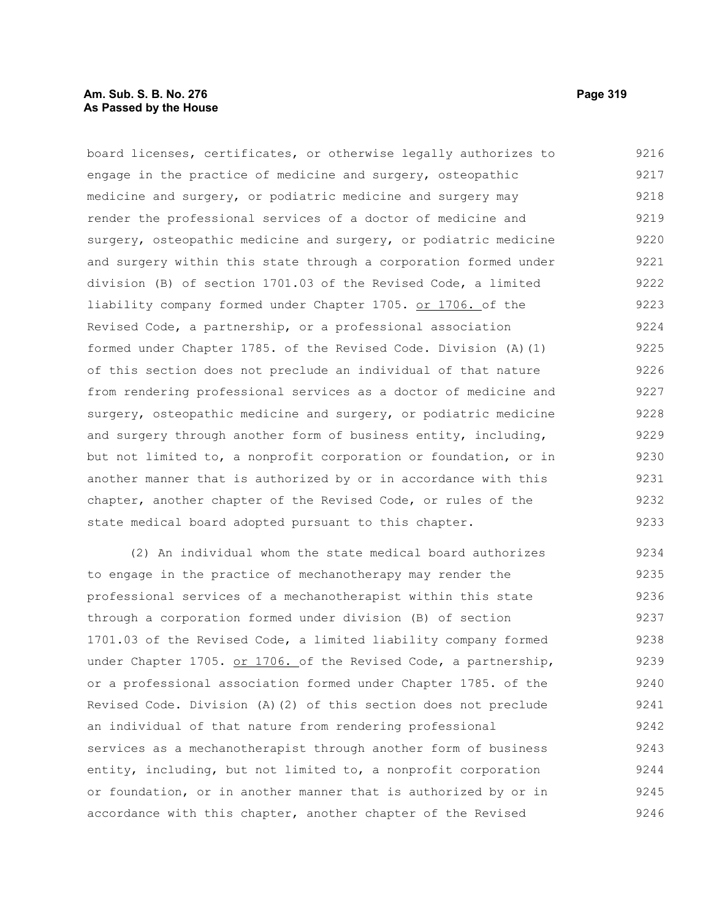### **Am. Sub. S. B. No. 276 Page 319 As Passed by the House**

board licenses, certificates, or otherwise legally authorizes to engage in the practice of medicine and surgery, osteopathic medicine and surgery, or podiatric medicine and surgery may render the professional services of a doctor of medicine and surgery, osteopathic medicine and surgery, or podiatric medicine and surgery within this state through a corporation formed under division (B) of section 1701.03 of the Revised Code, a limited liability company formed under Chapter 1705. or 1706. of the Revised Code, a partnership, or a professional association formed under Chapter 1785. of the Revised Code. Division (A)(1) of this section does not preclude an individual of that nature from rendering professional services as a doctor of medicine and surgery, osteopathic medicine and surgery, or podiatric medicine and surgery through another form of business entity, including, but not limited to, a nonprofit corporation or foundation, or in another manner that is authorized by or in accordance with this chapter, another chapter of the Revised Code, or rules of the state medical board adopted pursuant to this chapter. 9216 9217 9218 9219 9220 9221 9222 9223 9224 9225 9226 9227 9228 9229 9230 9231 9232 9233

(2) An individual whom the state medical board authorizes to engage in the practice of mechanotherapy may render the professional services of a mechanotherapist within this state through a corporation formed under division (B) of section 1701.03 of the Revised Code, a limited liability company formed under Chapter 1705. or 1706. of the Revised Code, a partnership, or a professional association formed under Chapter 1785. of the Revised Code. Division (A)(2) of this section does not preclude an individual of that nature from rendering professional services as a mechanotherapist through another form of business entity, including, but not limited to, a nonprofit corporation or foundation, or in another manner that is authorized by or in accordance with this chapter, another chapter of the Revised 9234 9235 9236 9237 9238 9239 9240 9241 9242 9243 9244 9245 9246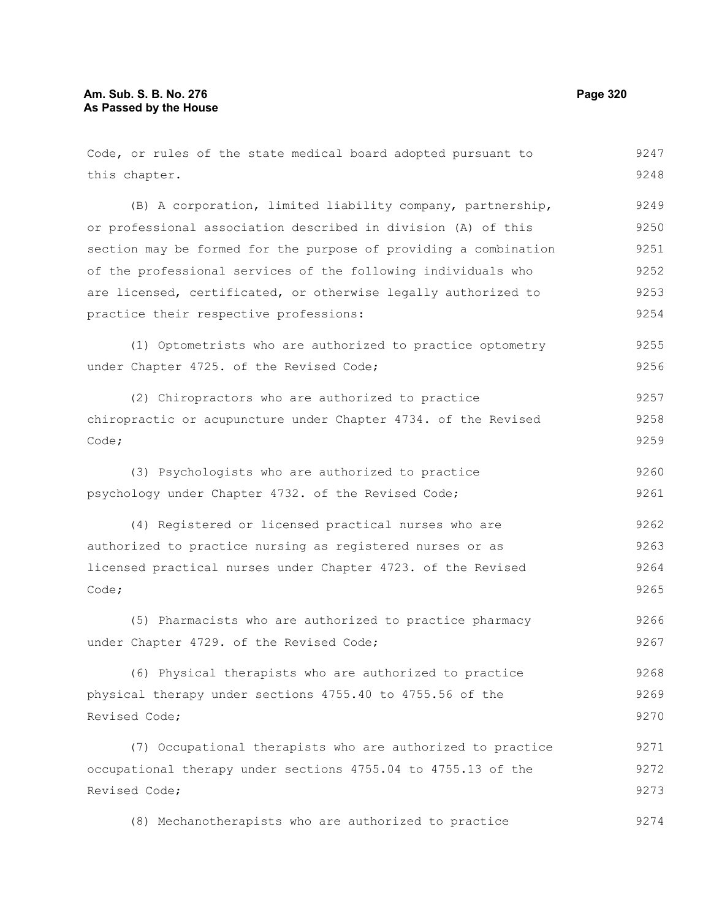| Code, or rules of the state medical board adopted pursuant to    | 9247 |
|------------------------------------------------------------------|------|
| this chapter.                                                    | 9248 |
| (B) A corporation, limited liability company, partnership,       | 9249 |
| or professional association described in division (A) of this    | 9250 |
| section may be formed for the purpose of providing a combination | 9251 |
| of the professional services of the following individuals who    | 9252 |
| are licensed, certificated, or otherwise legally authorized to   | 9253 |
| practice their respective professions:                           | 9254 |
| (1) Optometrists who are authorized to practice optometry        | 9255 |
| under Chapter 4725. of the Revised Code;                         | 9256 |
| (2) Chiropractors who are authorized to practice                 | 9257 |
| chiropractic or acupuncture under Chapter 4734. of the Revised   | 9258 |
| Code;                                                            | 9259 |
| (3) Psychologists who are authorized to practice                 | 9260 |
| psychology under Chapter 4732. of the Revised Code;              | 9261 |
| (4) Registered or licensed practical nurses who are              | 9262 |
| authorized to practice nursing as registered nurses or as        | 9263 |
| licensed practical nurses under Chapter 4723. of the Revised     | 9264 |
| Code;                                                            | 9265 |
| (5) Pharmacists who are authorized to practice pharmacy          | 9266 |
| under Chapter 4729. of the Revised Code;                         | 9267 |
| (6) Physical therapists who are authorized to practice           | 9268 |
| physical therapy under sections 4755.40 to 4755.56 of the        | 9269 |
| Revised Code;                                                    | 9270 |
| (7) Occupational therapists who are authorized to practice       | 9271 |
| occupational therapy under sections 4755.04 to 4755.13 of the    | 9272 |
| Revised Code;                                                    | 9273 |
| (8) Mechanotherapists who are authorized to practice             | 9274 |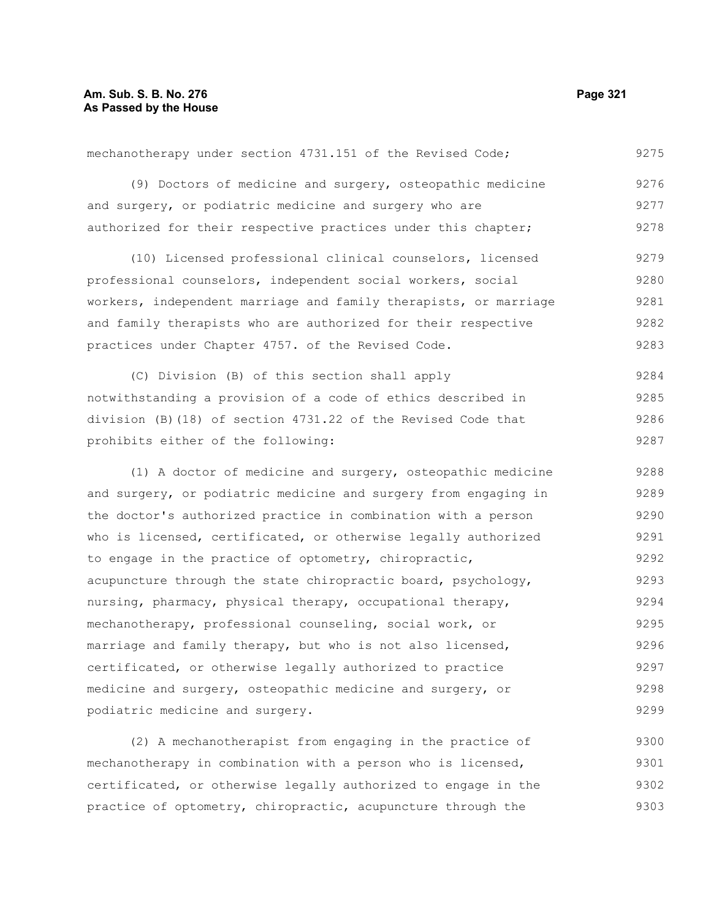mechanotherapy under section 4731.151 of the Revised Code; (9) Doctors of medicine and surgery, osteopathic medicine and surgery, or podiatric medicine and surgery who are authorized for their respective practices under this chapter; (10) Licensed professional clinical counselors, licensed professional counselors, independent social workers, social workers, independent marriage and family therapists, or marriage and family therapists who are authorized for their respective practices under Chapter 4757. of the Revised Code. (C) Division (B) of this section shall apply notwithstanding a provision of a code of ethics described in division (B)(18) of section 4731.22 of the Revised Code that prohibits either of the following: 9275 9276 9277 9278 9279 9280 9281 9282 9283 9284 9285 9286 9287

(1) A doctor of medicine and surgery, osteopathic medicine and surgery, or podiatric medicine and surgery from engaging in the doctor's authorized practice in combination with a person who is licensed, certificated, or otherwise legally authorized to engage in the practice of optometry, chiropractic, acupuncture through the state chiropractic board, psychology, nursing, pharmacy, physical therapy, occupational therapy, mechanotherapy, professional counseling, social work, or marriage and family therapy, but who is not also licensed, certificated, or otherwise legally authorized to practice medicine and surgery, osteopathic medicine and surgery, or podiatric medicine and surgery. 9288 9289 9290 9291 9292 9293 9294 9295 9296 9297 9298 9299

(2) A mechanotherapist from engaging in the practice of mechanotherapy in combination with a person who is licensed, certificated, or otherwise legally authorized to engage in the practice of optometry, chiropractic, acupuncture through the 9300 9301 9302 9303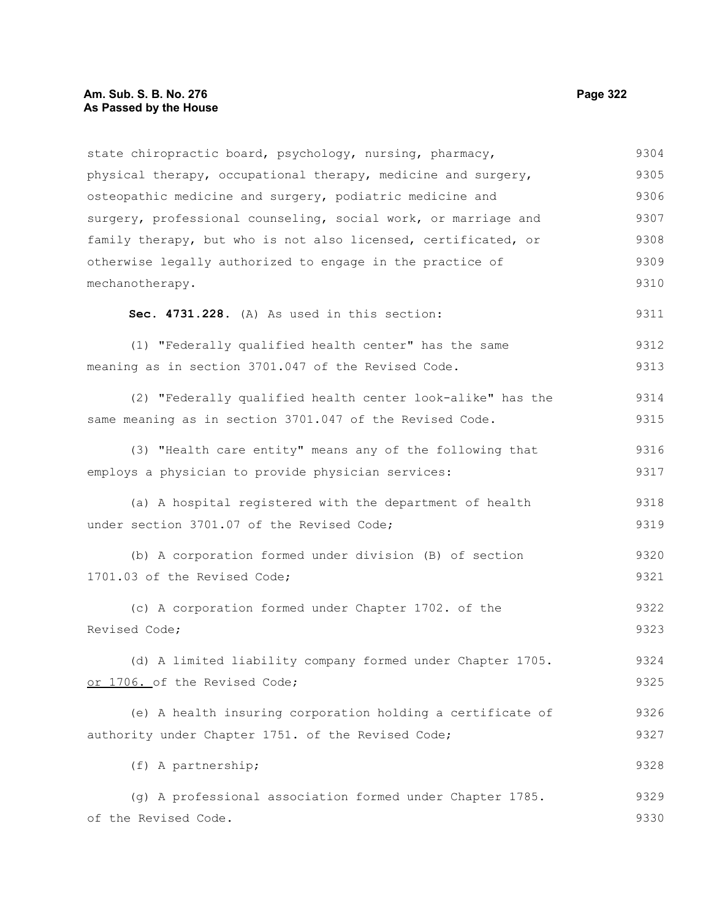# **Am. Sub. S. B. No. 276 Page 322 As Passed by the House**

| state chiropractic board, psychology, nursing, pharmacy,<br>physical therapy, occupational therapy, medicine and surgery,<br>osteopathic medicine and surgery, podiatric medicine and<br>surgery, professional counseling, social work, or marriage and<br>family therapy, but who is not also licensed, certificated, or<br>otherwise legally authorized to engage in the practice of<br>mechanotherapy.<br>Sec. 4731.228. (A) As used in this section:<br>(1) "Federally qualified health center" has the same<br>meaning as in section 3701.047 of the Revised Code.<br>(2) "Federally qualified health center look-alike" has the<br>same meaning as in section 3701.047 of the Revised Code.<br>(3) "Health care entity" means any of the following that<br>employs a physician to provide physician services:<br>(a) A hospital registered with the department of health<br>under section 3701.07 of the Revised Code;<br>(b) A corporation formed under division (B) of section<br>1701.03 of the Revised Code;<br>(c) A corporation formed under Chapter 1702. of the<br>Revised Code;<br>(d) A limited liability company formed under Chapter 1705.<br>or 1706. of the Revised Code;<br>(e) A health insuring corporation holding a certificate of<br>authority under Chapter 1751. of the Revised Code;<br>(f) A partnership;<br>(g) A professional association formed under Chapter 1785.<br>of the Revised Code. |      |
|------------------------------------------------------------------------------------------------------------------------------------------------------------------------------------------------------------------------------------------------------------------------------------------------------------------------------------------------------------------------------------------------------------------------------------------------------------------------------------------------------------------------------------------------------------------------------------------------------------------------------------------------------------------------------------------------------------------------------------------------------------------------------------------------------------------------------------------------------------------------------------------------------------------------------------------------------------------------------------------------------------------------------------------------------------------------------------------------------------------------------------------------------------------------------------------------------------------------------------------------------------------------------------------------------------------------------------------------------------------------------------------------------------------------------|------|
|                                                                                                                                                                                                                                                                                                                                                                                                                                                                                                                                                                                                                                                                                                                                                                                                                                                                                                                                                                                                                                                                                                                                                                                                                                                                                                                                                                                                                              | 9304 |
|                                                                                                                                                                                                                                                                                                                                                                                                                                                                                                                                                                                                                                                                                                                                                                                                                                                                                                                                                                                                                                                                                                                                                                                                                                                                                                                                                                                                                              | 9305 |
|                                                                                                                                                                                                                                                                                                                                                                                                                                                                                                                                                                                                                                                                                                                                                                                                                                                                                                                                                                                                                                                                                                                                                                                                                                                                                                                                                                                                                              | 9306 |
|                                                                                                                                                                                                                                                                                                                                                                                                                                                                                                                                                                                                                                                                                                                                                                                                                                                                                                                                                                                                                                                                                                                                                                                                                                                                                                                                                                                                                              | 9307 |
|                                                                                                                                                                                                                                                                                                                                                                                                                                                                                                                                                                                                                                                                                                                                                                                                                                                                                                                                                                                                                                                                                                                                                                                                                                                                                                                                                                                                                              | 9308 |
|                                                                                                                                                                                                                                                                                                                                                                                                                                                                                                                                                                                                                                                                                                                                                                                                                                                                                                                                                                                                                                                                                                                                                                                                                                                                                                                                                                                                                              | 9309 |
|                                                                                                                                                                                                                                                                                                                                                                                                                                                                                                                                                                                                                                                                                                                                                                                                                                                                                                                                                                                                                                                                                                                                                                                                                                                                                                                                                                                                                              | 9310 |
|                                                                                                                                                                                                                                                                                                                                                                                                                                                                                                                                                                                                                                                                                                                                                                                                                                                                                                                                                                                                                                                                                                                                                                                                                                                                                                                                                                                                                              | 9311 |
|                                                                                                                                                                                                                                                                                                                                                                                                                                                                                                                                                                                                                                                                                                                                                                                                                                                                                                                                                                                                                                                                                                                                                                                                                                                                                                                                                                                                                              | 9312 |
|                                                                                                                                                                                                                                                                                                                                                                                                                                                                                                                                                                                                                                                                                                                                                                                                                                                                                                                                                                                                                                                                                                                                                                                                                                                                                                                                                                                                                              | 9313 |
|                                                                                                                                                                                                                                                                                                                                                                                                                                                                                                                                                                                                                                                                                                                                                                                                                                                                                                                                                                                                                                                                                                                                                                                                                                                                                                                                                                                                                              | 9314 |
|                                                                                                                                                                                                                                                                                                                                                                                                                                                                                                                                                                                                                                                                                                                                                                                                                                                                                                                                                                                                                                                                                                                                                                                                                                                                                                                                                                                                                              | 9315 |
|                                                                                                                                                                                                                                                                                                                                                                                                                                                                                                                                                                                                                                                                                                                                                                                                                                                                                                                                                                                                                                                                                                                                                                                                                                                                                                                                                                                                                              | 9316 |
|                                                                                                                                                                                                                                                                                                                                                                                                                                                                                                                                                                                                                                                                                                                                                                                                                                                                                                                                                                                                                                                                                                                                                                                                                                                                                                                                                                                                                              | 9317 |
|                                                                                                                                                                                                                                                                                                                                                                                                                                                                                                                                                                                                                                                                                                                                                                                                                                                                                                                                                                                                                                                                                                                                                                                                                                                                                                                                                                                                                              | 9318 |
|                                                                                                                                                                                                                                                                                                                                                                                                                                                                                                                                                                                                                                                                                                                                                                                                                                                                                                                                                                                                                                                                                                                                                                                                                                                                                                                                                                                                                              | 9319 |
|                                                                                                                                                                                                                                                                                                                                                                                                                                                                                                                                                                                                                                                                                                                                                                                                                                                                                                                                                                                                                                                                                                                                                                                                                                                                                                                                                                                                                              | 9320 |
|                                                                                                                                                                                                                                                                                                                                                                                                                                                                                                                                                                                                                                                                                                                                                                                                                                                                                                                                                                                                                                                                                                                                                                                                                                                                                                                                                                                                                              | 9321 |
|                                                                                                                                                                                                                                                                                                                                                                                                                                                                                                                                                                                                                                                                                                                                                                                                                                                                                                                                                                                                                                                                                                                                                                                                                                                                                                                                                                                                                              | 9322 |
|                                                                                                                                                                                                                                                                                                                                                                                                                                                                                                                                                                                                                                                                                                                                                                                                                                                                                                                                                                                                                                                                                                                                                                                                                                                                                                                                                                                                                              | 9323 |
|                                                                                                                                                                                                                                                                                                                                                                                                                                                                                                                                                                                                                                                                                                                                                                                                                                                                                                                                                                                                                                                                                                                                                                                                                                                                                                                                                                                                                              | 9324 |
|                                                                                                                                                                                                                                                                                                                                                                                                                                                                                                                                                                                                                                                                                                                                                                                                                                                                                                                                                                                                                                                                                                                                                                                                                                                                                                                                                                                                                              | 9325 |
|                                                                                                                                                                                                                                                                                                                                                                                                                                                                                                                                                                                                                                                                                                                                                                                                                                                                                                                                                                                                                                                                                                                                                                                                                                                                                                                                                                                                                              | 9326 |
|                                                                                                                                                                                                                                                                                                                                                                                                                                                                                                                                                                                                                                                                                                                                                                                                                                                                                                                                                                                                                                                                                                                                                                                                                                                                                                                                                                                                                              | 9327 |
|                                                                                                                                                                                                                                                                                                                                                                                                                                                                                                                                                                                                                                                                                                                                                                                                                                                                                                                                                                                                                                                                                                                                                                                                                                                                                                                                                                                                                              |      |
|                                                                                                                                                                                                                                                                                                                                                                                                                                                                                                                                                                                                                                                                                                                                                                                                                                                                                                                                                                                                                                                                                                                                                                                                                                                                                                                                                                                                                              | 9328 |
|                                                                                                                                                                                                                                                                                                                                                                                                                                                                                                                                                                                                                                                                                                                                                                                                                                                                                                                                                                                                                                                                                                                                                                                                                                                                                                                                                                                                                              | 9329 |
|                                                                                                                                                                                                                                                                                                                                                                                                                                                                                                                                                                                                                                                                                                                                                                                                                                                                                                                                                                                                                                                                                                                                                                                                                                                                                                                                                                                                                              | 9330 |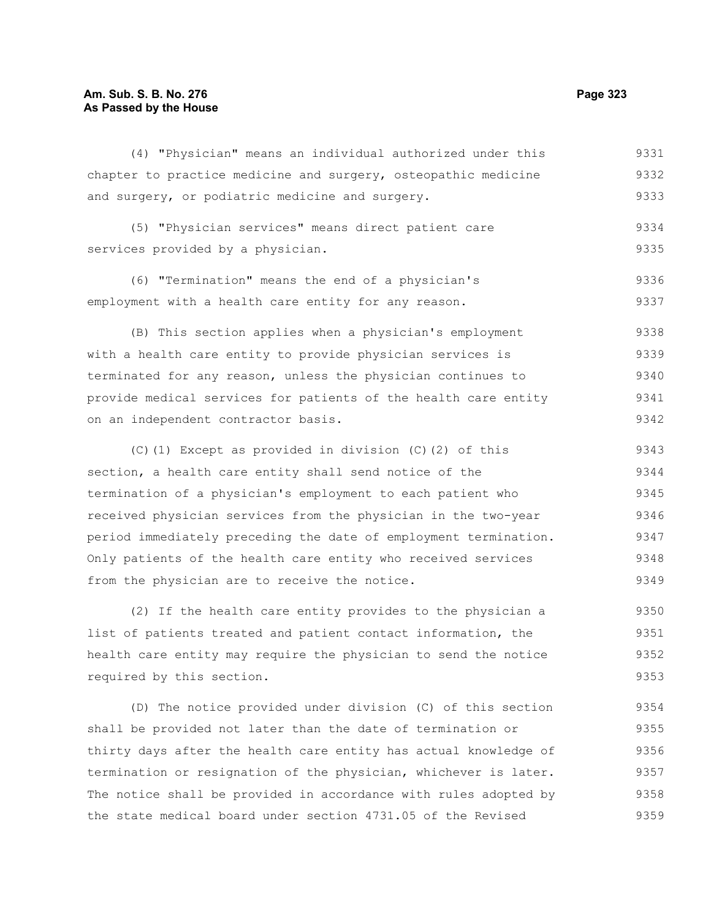#### **Am. Sub. S. B. No. 276 Page 323 As Passed by the House**

(4) "Physician" means an individual authorized under this chapter to practice medicine and surgery, osteopathic medicine and surgery, or podiatric medicine and surgery. (5) "Physician services" means direct patient care services provided by a physician. (6) "Termination" means the end of a physician's employment with a health care entity for any reason. (B) This section applies when a physician's employment with a health care entity to provide physician services is terminated for any reason, unless the physician continues to provide medical services for patients of the health care entity on an independent contractor basis. (C)(1) Except as provided in division (C)(2) of this section, a health care entity shall send notice of the termination of a physician's employment to each patient who received physician services from the physician in the two-year period immediately preceding the date of employment termination. Only patients of the health care entity who received services from the physician are to receive the notice. 9331 9332 9333 9334 9335 9336 9337 9338 9339 9340 9341 9342 9343 9344 9345 9346 9347 9348 9349

(2) If the health care entity provides to the physician a list of patients treated and patient contact information, the health care entity may require the physician to send the notice required by this section. 9350 9351 9352 9353

(D) The notice provided under division (C) of this section shall be provided not later than the date of termination or thirty days after the health care entity has actual knowledge of termination or resignation of the physician, whichever is later. The notice shall be provided in accordance with rules adopted by the state medical board under section 4731.05 of the Revised 9354 9355 9356 9357 9358 9359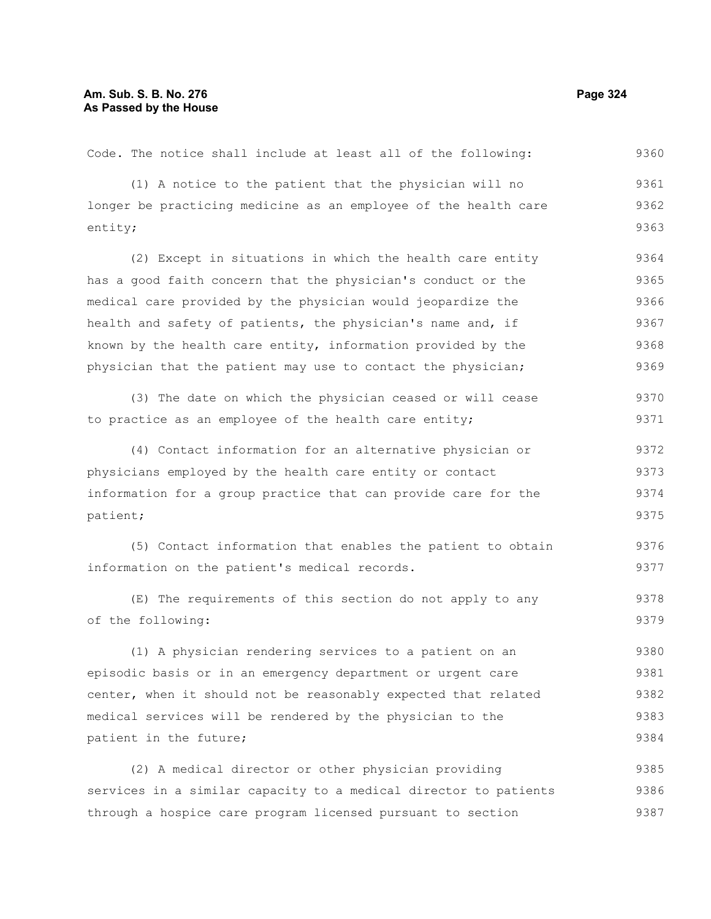| Code. The notice shall include at least all of the following:    | 9360 |
|------------------------------------------------------------------|------|
| (1) A notice to the patient that the physician will no           | 9361 |
| longer be practicing medicine as an employee of the health care  | 9362 |
| entity;                                                          | 9363 |
| (2) Except in situations in which the health care entity         | 9364 |
| has a good faith concern that the physician's conduct or the     | 9365 |
| medical care provided by the physician would jeopardize the      | 9366 |
| health and safety of patients, the physician's name and, if      | 9367 |
| known by the health care entity, information provided by the     | 9368 |
| physician that the patient may use to contact the physician;     | 9369 |
| (3) The date on which the physician ceased or will cease         | 9370 |
| to practice as an employee of the health care entity;            | 9371 |
| (4) Contact information for an alternative physician or          | 9372 |
| physicians employed by the health care entity or contact         | 9373 |
| information for a group practice that can provide care for the   | 9374 |
| patient;                                                         | 9375 |
| (5) Contact information that enables the patient to obtain       | 9376 |
| information on the patient's medical records.                    | 9377 |
| (E) The requirements of this section do not apply to any         | 9378 |
| of the following:                                                | 9379 |
| (1) A physician rendering services to a patient on an            | 9380 |
| episodic basis or in an emergency department or urgent care      | 9381 |
| center, when it should not be reasonably expected that related   | 9382 |
| medical services will be rendered by the physician to the        | 9383 |
| patient in the future;                                           | 9384 |
| (2) A medical director or other physician providing              | 9385 |
| services in a similar capacity to a medical director to patients | 9386 |
| through a hospice care program licensed pursuant to section      | 9387 |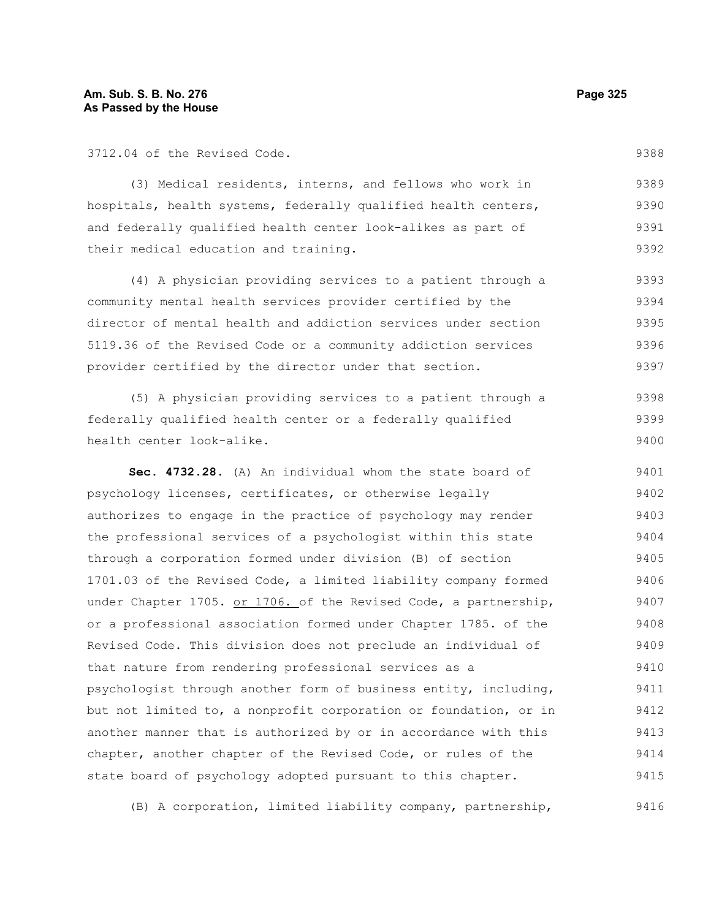3712.04 of the Revised Code.

9388

(3) Medical residents, interns, and fellows who work in hospitals, health systems, federally qualified health centers, and federally qualified health center look-alikes as part of their medical education and training. 9389 9390 9391 9392

(4) A physician providing services to a patient through a community mental health services provider certified by the director of mental health and addiction services under section 5119.36 of the Revised Code or a community addiction services provider certified by the director under that section. 9393 9394 9395 9396 9397

(5) A physician providing services to a patient through a federally qualified health center or a federally qualified health center look-alike. 9398 9399 9400

**Sec. 4732.28.** (A) An individual whom the state board of psychology licenses, certificates, or otherwise legally authorizes to engage in the practice of psychology may render the professional services of a psychologist within this state through a corporation formed under division (B) of section 1701.03 of the Revised Code, a limited liability company formed under Chapter 1705. or 1706. of the Revised Code, a partnership, or a professional association formed under Chapter 1785. of the Revised Code. This division does not preclude an individual of that nature from rendering professional services as a psychologist through another form of business entity, including, but not limited to, a nonprofit corporation or foundation, or in another manner that is authorized by or in accordance with this chapter, another chapter of the Revised Code, or rules of the state board of psychology adopted pursuant to this chapter. 9401 9402 9403 9404 9405 9406 9407 9408 9409 9410 9411 9412 9413 9414 9415

(B) A corporation, limited liability company, partnership, 9416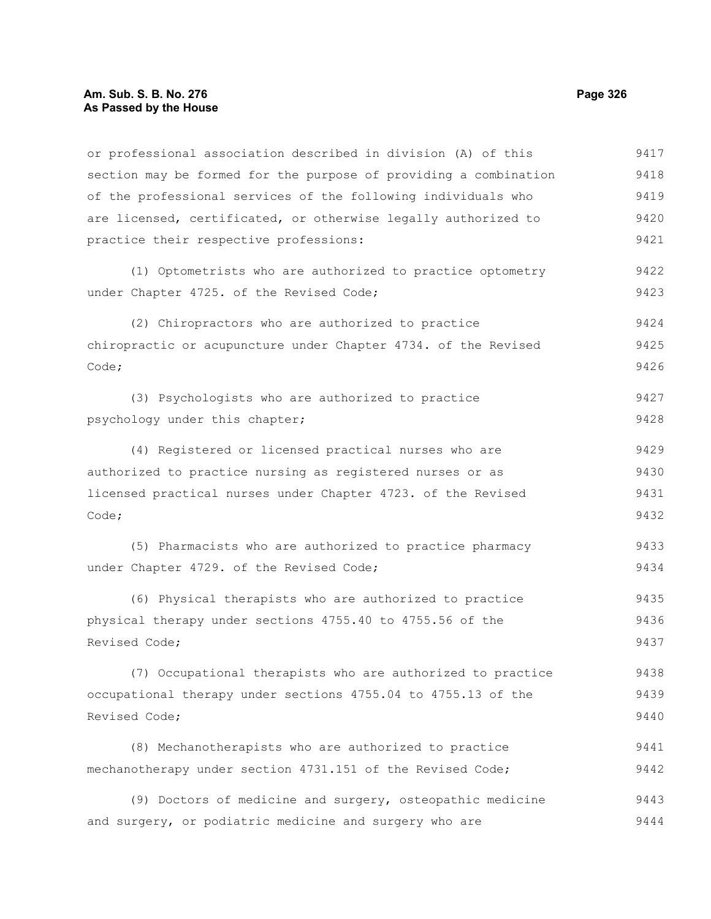or professional association described in division (A) of this section may be formed for the purpose of providing a combination of the professional services of the following individuals who are licensed, certificated, or otherwise legally authorized to practice their respective professions: 9417 9418 9419 9420 9421

(1) Optometrists who are authorized to practice optometry under Chapter 4725. of the Revised Code;

(2) Chiropractors who are authorized to practice chiropractic or acupuncture under Chapter 4734. of the Revised Code; 9424 9425 9426

(3) Psychologists who are authorized to practice psychology under this chapter; 9427 9428

(4) Registered or licensed practical nurses who are authorized to practice nursing as registered nurses or as licensed practical nurses under Chapter 4723. of the Revised Code; 9429 9430 9431 9432

(5) Pharmacists who are authorized to practice pharmacy under Chapter 4729. of the Revised Code; 9433 9434

(6) Physical therapists who are authorized to practice physical therapy under sections 4755.40 to 4755.56 of the Revised Code; 9435 9436 9437

(7) Occupational therapists who are authorized to practice occupational therapy under sections 4755.04 to 4755.13 of the Revised Code; 9438 9439 9440

(8) Mechanotherapists who are authorized to practice mechanotherapy under section 4731.151 of the Revised Code; 9441 9442

(9) Doctors of medicine and surgery, osteopathic medicine and surgery, or podiatric medicine and surgery who are 9443 9444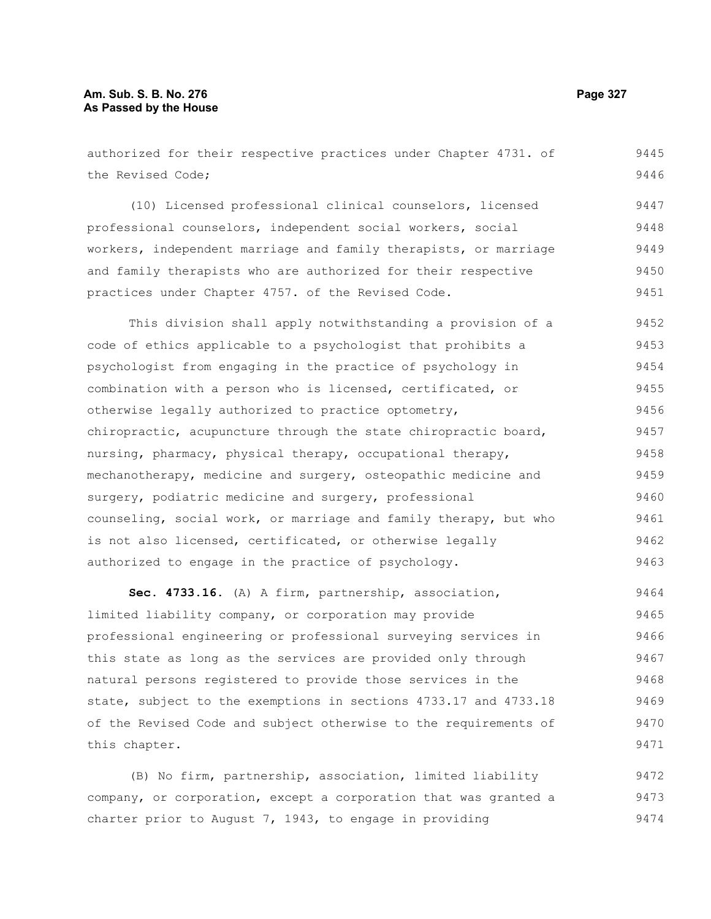#### **Am. Sub. S. B. No. 276 Page 327** Page 327 **As Passed by the House**

authorized for their respective practices under Chapter 4731. of the Revised Code; (10) Licensed professional clinical counselors, licensed professional counselors, independent social workers, social workers, independent marriage and family therapists, or marriage and family therapists who are authorized for their respective practices under Chapter 4757. of the Revised Code. This division shall apply notwithstanding a provision of a code of ethics applicable to a psychologist that prohibits a psychologist from engaging in the practice of psychology in combination with a person who is licensed, certificated, or otherwise legally authorized to practice optometry, chiropractic, acupuncture through the state chiropractic board, nursing, pharmacy, physical therapy, occupational therapy, mechanotherapy, medicine and surgery, osteopathic medicine and surgery, podiatric medicine and surgery, professional counseling, social work, or marriage and family therapy, but who is not also licensed, certificated, or otherwise legally authorized to engage in the practice of psychology. 9445 9446 9447 9448 9449 9450 9451 9452 9453 9454 9455 9456 9457 9458 9459 9460 9461 9462 9463

**Sec. 4733.16.** (A) A firm, partnership, association, limited liability company, or corporation may provide professional engineering or professional surveying services in this state as long as the services are provided only through natural persons registered to provide those services in the state, subject to the exemptions in sections 4733.17 and 4733.18 of the Revised Code and subject otherwise to the requirements of this chapter. 9464 9465 9466 9467 9468 9469 9470 9471

(B) No firm, partnership, association, limited liability company, or corporation, except a corporation that was granted a charter prior to August  $7, 1943,$  to engage in providing 9472 9473 9474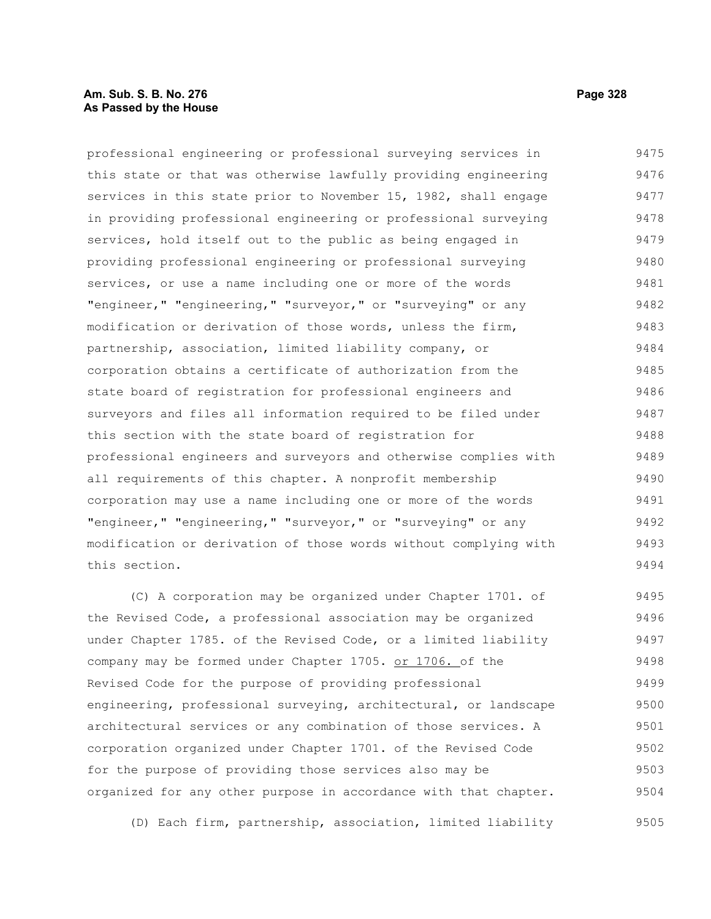#### **Am. Sub. S. B. No. 276 Page 328 As Passed by the House**

professional engineering or professional surveying services in this state or that was otherwise lawfully providing engineering services in this state prior to November 15, 1982, shall engage in providing professional engineering or professional surveying services, hold itself out to the public as being engaged in providing professional engineering or professional surveying services, or use a name including one or more of the words "engineer," "engineering," "surveyor," or "surveying" or any modification or derivation of those words, unless the firm, partnership, association, limited liability company, or corporation obtains a certificate of authorization from the state board of registration for professional engineers and surveyors and files all information required to be filed under this section with the state board of registration for professional engineers and surveyors and otherwise complies with all requirements of this chapter. A nonprofit membership corporation may use a name including one or more of the words "engineer," "engineering," "surveyor," or "surveying" or any modification or derivation of those words without complying with this section. 9475 9476 9477 9478 9479 9480 9481 9482 9483 9484 9485 9486 9487 9488 9489 9490 9491 9492 9493 9494

(C) A corporation may be organized under Chapter 1701. of the Revised Code, a professional association may be organized under Chapter 1785. of the Revised Code, or a limited liability company may be formed under Chapter 1705. or 1706. of the Revised Code for the purpose of providing professional engineering, professional surveying, architectural, or landscape architectural services or any combination of those services. A corporation organized under Chapter 1701. of the Revised Code for the purpose of providing those services also may be organized for any other purpose in accordance with that chapter. 9495 9496 9497 9498 9499 9500 9501 9502 9503 9504

(D) Each firm, partnership, association, limited liability 9505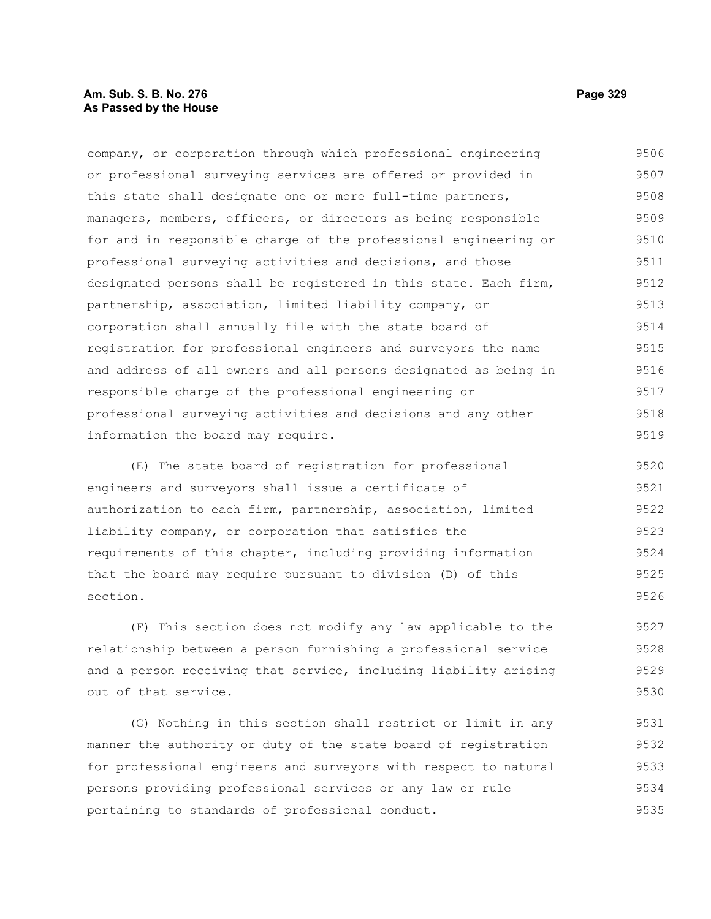### **Am. Sub. S. B. No. 276 Page 329 As Passed by the House**

company, or corporation through which professional engineering or professional surveying services are offered or provided in this state shall designate one or more full-time partners, managers, members, officers, or directors as being responsible for and in responsible charge of the professional engineering or professional surveying activities and decisions, and those designated persons shall be registered in this state. Each firm, partnership, association, limited liability company, or corporation shall annually file with the state board of registration for professional engineers and surveyors the name and address of all owners and all persons designated as being in responsible charge of the professional engineering or professional surveying activities and decisions and any other information the board may require. 9506 9507 9508 9509 9510 9511 9512 9513 9514 9515 9516 9517 9518 9519

(E) The state board of registration for professional engineers and surveyors shall issue a certificate of authorization to each firm, partnership, association, limited liability company, or corporation that satisfies the requirements of this chapter, including providing information that the board may require pursuant to division (D) of this section. 9520 9521 9522 9523 9524 9525 9526

(F) This section does not modify any law applicable to the relationship between a person furnishing a professional service and a person receiving that service, including liability arising out of that service. 9527 9528 9529 9530

(G) Nothing in this section shall restrict or limit in any manner the authority or duty of the state board of registration for professional engineers and surveyors with respect to natural persons providing professional services or any law or rule pertaining to standards of professional conduct. 9531 9532 9533 9534 9535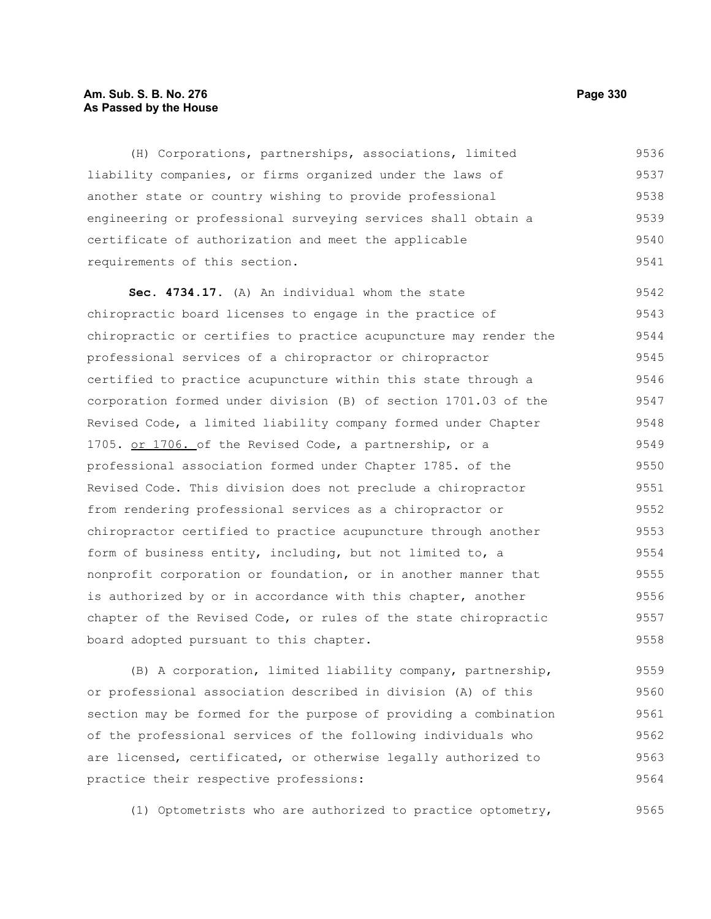#### **Am. Sub. S. B. No. 276 Page 330 As Passed by the House**

(H) Corporations, partnerships, associations, limited liability companies, or firms organized under the laws of another state or country wishing to provide professional engineering or professional surveying services shall obtain a certificate of authorization and meet the applicable requirements of this section. 9536 9537 9538 9539 9540 9541

**Sec. 4734.17.** (A) An individual whom the state chiropractic board licenses to engage in the practice of chiropractic or certifies to practice acupuncture may render the professional services of a chiropractor or chiropractor certified to practice acupuncture within this state through a corporation formed under division (B) of section 1701.03 of the Revised Code, a limited liability company formed under Chapter 1705. or 1706. of the Revised Code, a partnership, or a professional association formed under Chapter 1785. of the Revised Code. This division does not preclude a chiropractor from rendering professional services as a chiropractor or chiropractor certified to practice acupuncture through another form of business entity, including, but not limited to, a nonprofit corporation or foundation, or in another manner that is authorized by or in accordance with this chapter, another chapter of the Revised Code, or rules of the state chiropractic board adopted pursuant to this chapter. 9542 9543 9544 9545 9546 9547 9548 9549 9550 9551 9552 9553 9554 9555 9556 9557 9558

(B) A corporation, limited liability company, partnership, or professional association described in division (A) of this section may be formed for the purpose of providing a combination of the professional services of the following individuals who are licensed, certificated, or otherwise legally authorized to practice their respective professions: 9559 9560 9561 9562 9563 9564

(1) Optometrists who are authorized to practice optometry,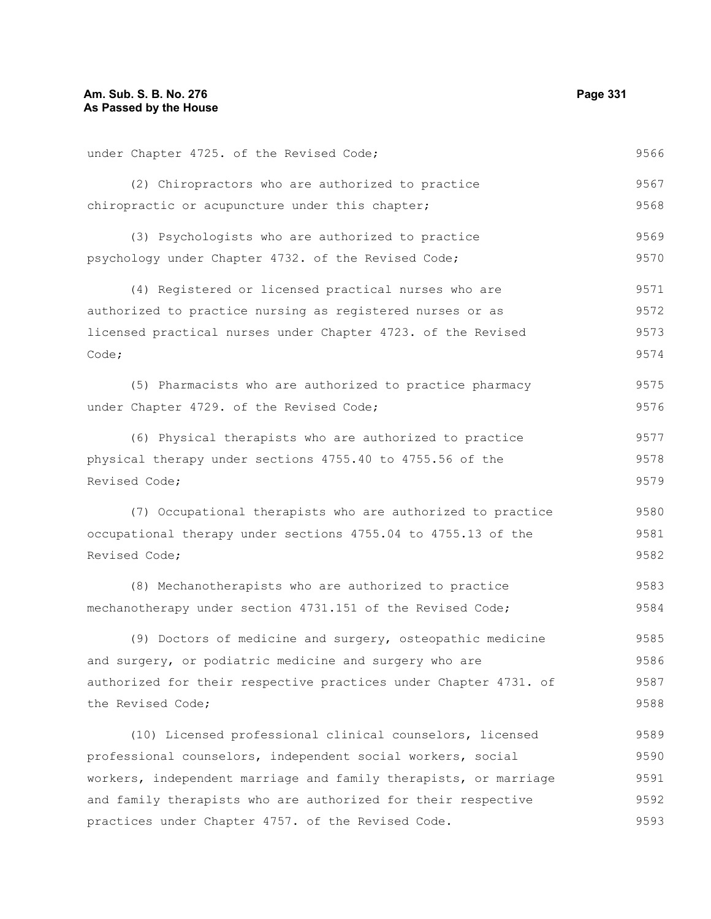| under Chapter 4725. of the Revised Code;                         | 9566 |  |  |  |  |  |  |  |
|------------------------------------------------------------------|------|--|--|--|--|--|--|--|
| (2) Chiropractors who are authorized to practice                 | 9567 |  |  |  |  |  |  |  |
| chiropractic or acupuncture under this chapter;                  | 9568 |  |  |  |  |  |  |  |
| (3) Psychologists who are authorized to practice                 | 9569 |  |  |  |  |  |  |  |
| psychology under Chapter 4732. of the Revised Code;              | 9570 |  |  |  |  |  |  |  |
| (4) Registered or licensed practical nurses who are              | 9571 |  |  |  |  |  |  |  |
| authorized to practice nursing as registered nurses or as        |      |  |  |  |  |  |  |  |
| licensed practical nurses under Chapter 4723. of the Revised     |      |  |  |  |  |  |  |  |
| Code;                                                            | 9574 |  |  |  |  |  |  |  |
| (5) Pharmacists who are authorized to practice pharmacy          | 9575 |  |  |  |  |  |  |  |
| under Chapter 4729. of the Revised Code;                         | 9576 |  |  |  |  |  |  |  |
| (6) Physical therapists who are authorized to practice           | 9577 |  |  |  |  |  |  |  |
| physical therapy under sections 4755.40 to 4755.56 of the        | 9578 |  |  |  |  |  |  |  |
| Revised Code;                                                    |      |  |  |  |  |  |  |  |
| (7) Occupational therapists who are authorized to practice       | 9580 |  |  |  |  |  |  |  |
| occupational therapy under sections 4755.04 to 4755.13 of the    |      |  |  |  |  |  |  |  |
| Revised Code;                                                    | 9582 |  |  |  |  |  |  |  |
| (8) Mechanotherapists who are authorized to practice             | 9583 |  |  |  |  |  |  |  |
| mechanotherapy under section 4731.151 of the Revised Code;       | 9584 |  |  |  |  |  |  |  |
| (9) Doctors of medicine and surgery, osteopathic medicine        | 9585 |  |  |  |  |  |  |  |
| and surgery, or podiatric medicine and surgery who are           |      |  |  |  |  |  |  |  |
| authorized for their respective practices under Chapter 4731. of | 9587 |  |  |  |  |  |  |  |
| the Revised Code;                                                | 9588 |  |  |  |  |  |  |  |
| (10) Licensed professional clinical counselors, licensed         | 9589 |  |  |  |  |  |  |  |
| professional counselors, independent social workers, social      |      |  |  |  |  |  |  |  |
| workers, independent marriage and family therapists, or marriage |      |  |  |  |  |  |  |  |
| and family therapists who are authorized for their respective    |      |  |  |  |  |  |  |  |
| practices under Chapter 4757. of the Revised Code.               | 9593 |  |  |  |  |  |  |  |
|                                                                  |      |  |  |  |  |  |  |  |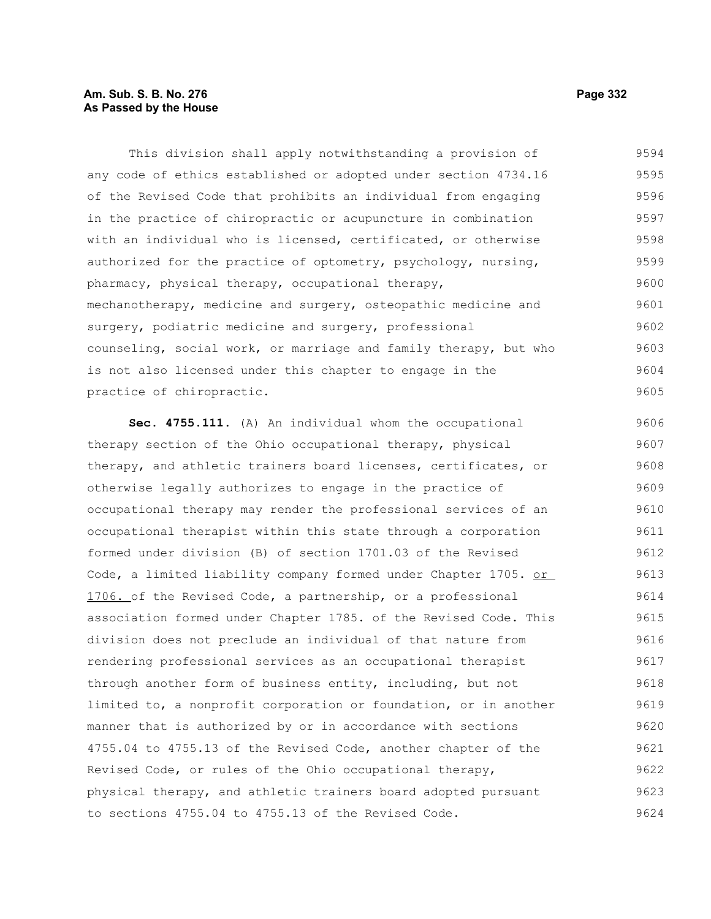## **Am. Sub. S. B. No. 276 Page 332 As Passed by the House**

This division shall apply notwithstanding a provision of any code of ethics established or adopted under section 4734.16 of the Revised Code that prohibits an individual from engaging in the practice of chiropractic or acupuncture in combination with an individual who is licensed, certificated, or otherwise authorized for the practice of optometry, psychology, nursing, pharmacy, physical therapy, occupational therapy, mechanotherapy, medicine and surgery, osteopathic medicine and surgery, podiatric medicine and surgery, professional counseling, social work, or marriage and family therapy, but who is not also licensed under this chapter to engage in the practice of chiropractic. 9594 9595 9596 9597 9598 9599 9600 9601 9602 9603 9604 9605

**Sec. 4755.111.** (A) An individual whom the occupational therapy section of the Ohio occupational therapy, physical therapy, and athletic trainers board licenses, certificates, or otherwise legally authorizes to engage in the practice of occupational therapy may render the professional services of an occupational therapist within this state through a corporation formed under division (B) of section 1701.03 of the Revised Code, a limited liability company formed under Chapter 1705. or 1706. of the Revised Code, a partnership, or a professional association formed under Chapter 1785. of the Revised Code. This division does not preclude an individual of that nature from rendering professional services as an occupational therapist through another form of business entity, including, but not limited to, a nonprofit corporation or foundation, or in another manner that is authorized by or in accordance with sections 4755.04 to 4755.13 of the Revised Code, another chapter of the Revised Code, or rules of the Ohio occupational therapy, physical therapy, and athletic trainers board adopted pursuant to sections 4755.04 to 4755.13 of the Revised Code. 9606 9607 9608 9609 9610 9611 9612 9613 9614 9615 9616 9617 9618 9619 9620 9621 9622 9623 9624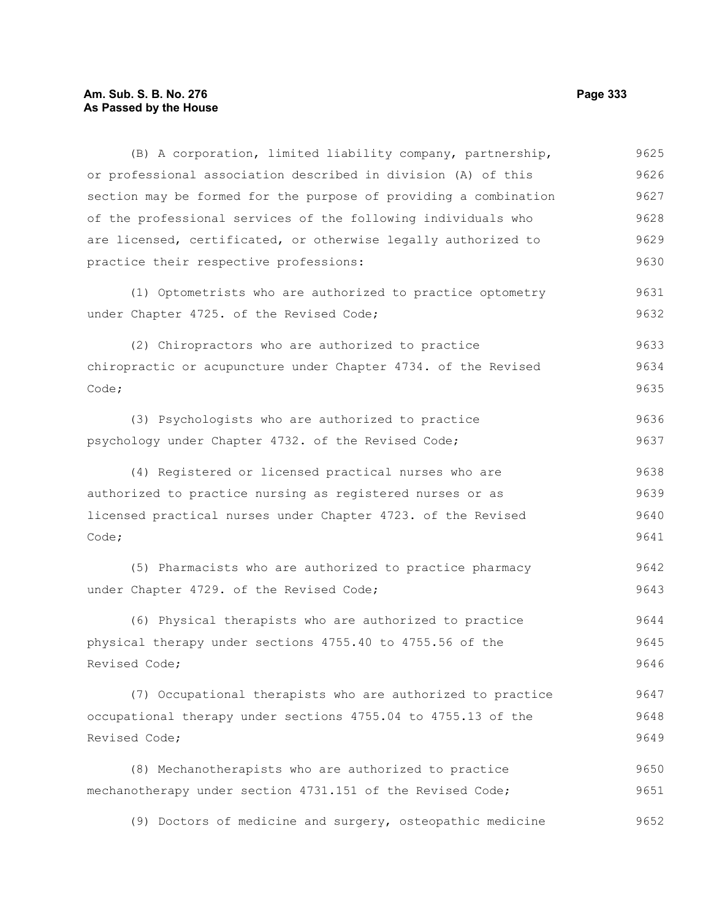# Am. Sub. S. B. No. 276 **Page 333 As Passed by the House**

| (B) A corporation, limited liability company, partnership,       | 9625 |  |  |  |  |  |  |
|------------------------------------------------------------------|------|--|--|--|--|--|--|
| or professional association described in division (A) of this    | 9626 |  |  |  |  |  |  |
| section may be formed for the purpose of providing a combination | 9627 |  |  |  |  |  |  |
| of the professional services of the following individuals who    | 9628 |  |  |  |  |  |  |
| are licensed, certificated, or otherwise legally authorized to   | 9629 |  |  |  |  |  |  |
| practice their respective professions:                           | 9630 |  |  |  |  |  |  |
| (1) Optometrists who are authorized to practice optometry        | 9631 |  |  |  |  |  |  |
| under Chapter 4725. of the Revised Code;                         | 9632 |  |  |  |  |  |  |
| (2) Chiropractors who are authorized to practice                 | 9633 |  |  |  |  |  |  |
| chiropractic or acupuncture under Chapter 4734. of the Revised   |      |  |  |  |  |  |  |
| Code;                                                            | 9635 |  |  |  |  |  |  |
| (3) Psychologists who are authorized to practice                 | 9636 |  |  |  |  |  |  |
| psychology under Chapter 4732. of the Revised Code;              | 9637 |  |  |  |  |  |  |
| (4) Registered or licensed practical nurses who are              | 9638 |  |  |  |  |  |  |
| authorized to practice nursing as registered nurses or as        | 9639 |  |  |  |  |  |  |
| licensed practical nurses under Chapter 4723. of the Revised     | 9640 |  |  |  |  |  |  |
| Code;                                                            | 9641 |  |  |  |  |  |  |
| (5) Pharmacists who are authorized to practice pharmacy          | 9642 |  |  |  |  |  |  |
| under Chapter 4729. of the Revised Code;                         | 9643 |  |  |  |  |  |  |
| (6) Physical therapists who are authorized to practice           | 9644 |  |  |  |  |  |  |
| physical therapy under sections 4755.40 to 4755.56 of the        | 9645 |  |  |  |  |  |  |
| Revised Code;                                                    | 9646 |  |  |  |  |  |  |
| (7) Occupational therapists who are authorized to practice       | 9647 |  |  |  |  |  |  |
| occupational therapy under sections 4755.04 to 4755.13 of the    | 9648 |  |  |  |  |  |  |
| Revised Code;                                                    | 9649 |  |  |  |  |  |  |
| (8) Mechanotherapists who are authorized to practice             | 9650 |  |  |  |  |  |  |
| mechanotherapy under section 4731.151 of the Revised Code;       | 9651 |  |  |  |  |  |  |
| (9) Doctors of medicine and surgery, osteopathic medicine        | 9652 |  |  |  |  |  |  |
|                                                                  |      |  |  |  |  |  |  |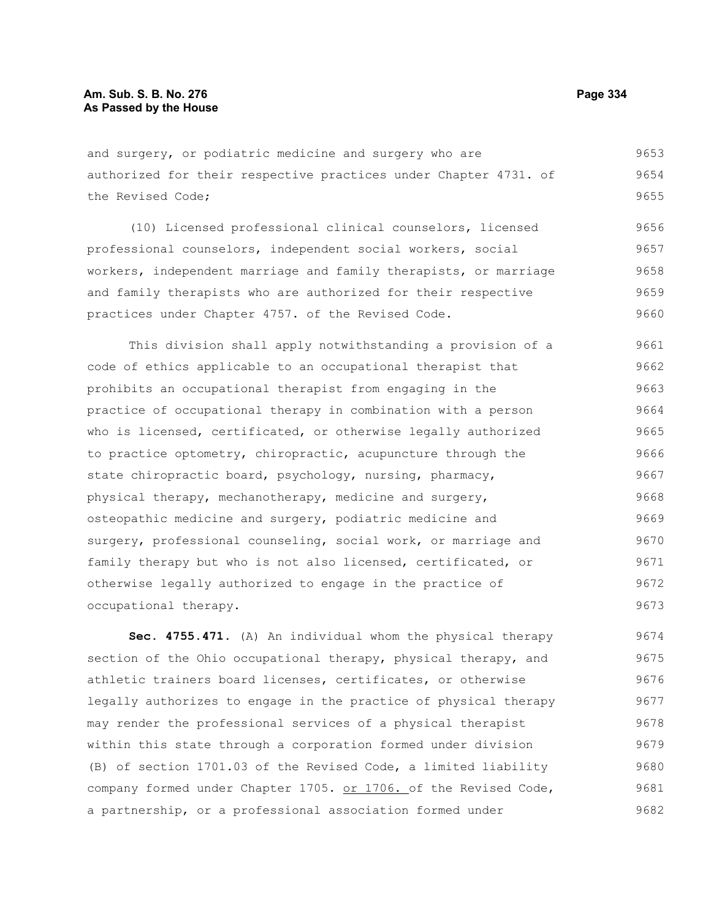and surgery, or podiatric medicine and surgery who are authorized for their respective practices under Chapter 4731. of the Revised Code; 9653 9654 9655

(10) Licensed professional clinical counselors, licensed professional counselors, independent social workers, social workers, independent marriage and family therapists, or marriage and family therapists who are authorized for their respective practices under Chapter 4757. of the Revised Code. 9656 9657 9658 9659 9660

This division shall apply notwithstanding a provision of a code of ethics applicable to an occupational therapist that prohibits an occupational therapist from engaging in the practice of occupational therapy in combination with a person who is licensed, certificated, or otherwise legally authorized to practice optometry, chiropractic, acupuncture through the state chiropractic board, psychology, nursing, pharmacy, physical therapy, mechanotherapy, medicine and surgery, osteopathic medicine and surgery, podiatric medicine and surgery, professional counseling, social work, or marriage and family therapy but who is not also licensed, certificated, or otherwise legally authorized to engage in the practice of occupational therapy. 9661 9662 9663 9664 9665 9666 9667 9668 9669 9670 9671 9672 9673

**Sec. 4755.471.** (A) An individual whom the physical therapy section of the Ohio occupational therapy, physical therapy, and athletic trainers board licenses, certificates, or otherwise legally authorizes to engage in the practice of physical therapy may render the professional services of a physical therapist within this state through a corporation formed under division (B) of section 1701.03 of the Revised Code, a limited liability company formed under Chapter 1705. or 1706. of the Revised Code, a partnership, or a professional association formed under 9674 9675 9676 9677 9678 9679 9680 9681 9682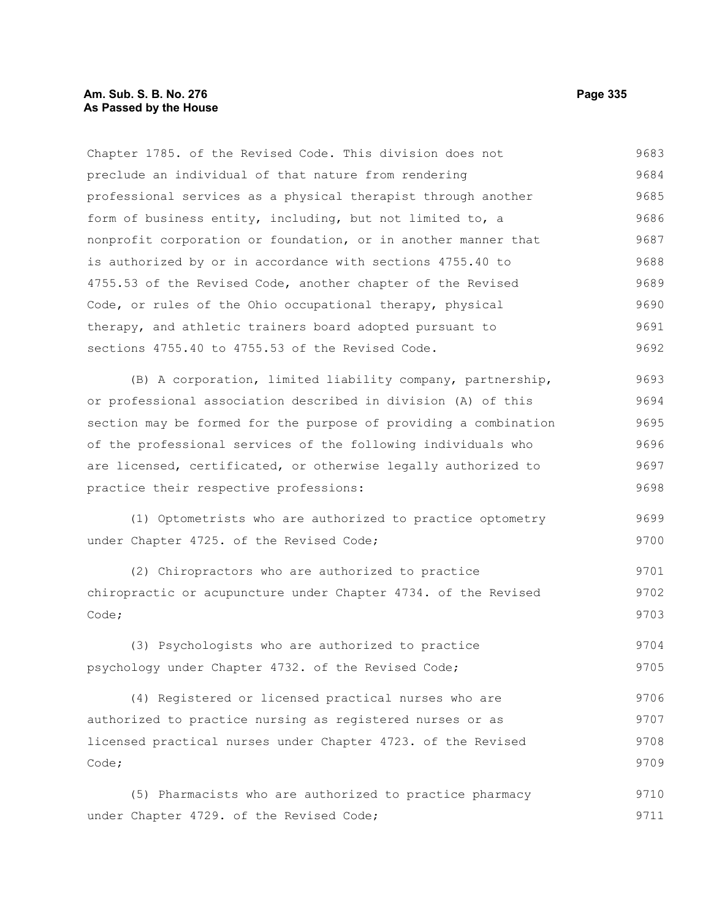Chapter 1785. of the Revised Code. This division does not preclude an individual of that nature from rendering professional services as a physical therapist through another form of business entity, including, but not limited to, a nonprofit corporation or foundation, or in another manner that is authorized by or in accordance with sections 4755.40 to 4755.53 of the Revised Code, another chapter of the Revised Code, or rules of the Ohio occupational therapy, physical therapy, and athletic trainers board adopted pursuant to sections 4755.40 to 4755.53 of the Revised Code. 9683 9684 9685 9686 9687 9688 9689 9690 9691 9692

(B) A corporation, limited liability company, partnership, or professional association described in division (A) of this section may be formed for the purpose of providing a combination of the professional services of the following individuals who are licensed, certificated, or otherwise legally authorized to practice their respective professions: 9693 9694 9695 9696 9697 9698

(1) Optometrists who are authorized to practice optometry under Chapter 4725. of the Revised Code; 9699 9700

(2) Chiropractors who are authorized to practice chiropractic or acupuncture under Chapter 4734. of the Revised Code; 9701 9702 9703

(3) Psychologists who are authorized to practice psychology under Chapter 4732. of the Revised Code; 9704 9705

(4) Registered or licensed practical nurses who are authorized to practice nursing as registered nurses or as licensed practical nurses under Chapter 4723. of the Revised Code; 9706 9707 9708 9709

(5) Pharmacists who are authorized to practice pharmacy under Chapter 4729. of the Revised Code; 9710 9711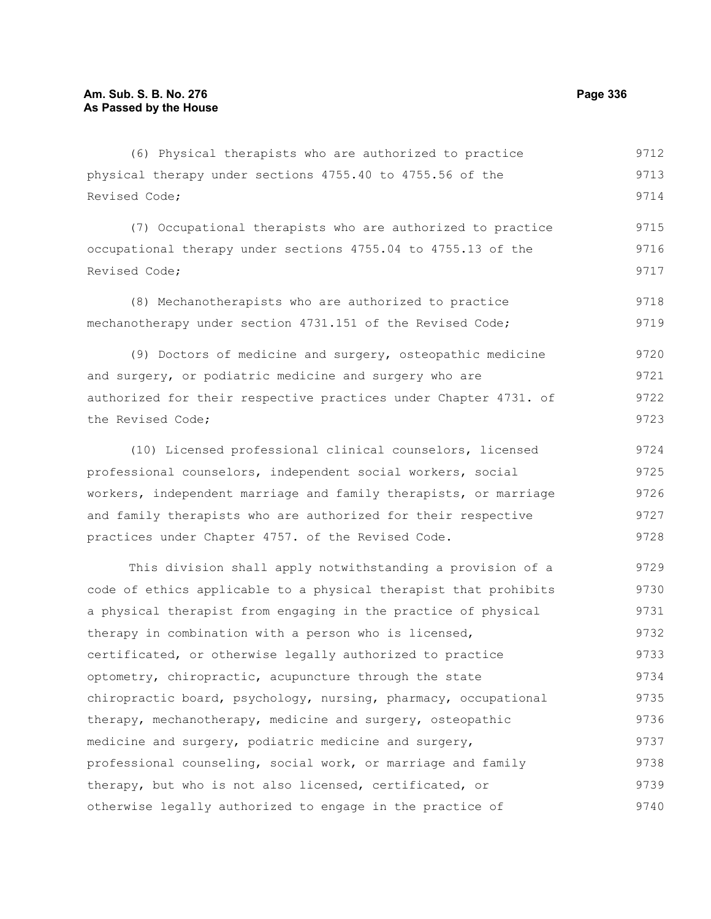(6) Physical therapists who are authorized to practice physical therapy under sections 4755.40 to 4755.56 of the Revised Code; 9712 9713 9714

(7) Occupational therapists who are authorized to practice occupational therapy under sections 4755.04 to 4755.13 of the Revised Code; 9715 9716 9717

(8) Mechanotherapists who are authorized to practice mechanotherapy under section 4731.151 of the Revised Code; 9718 9719

(9) Doctors of medicine and surgery, osteopathic medicine and surgery, or podiatric medicine and surgery who are authorized for their respective practices under Chapter 4731. of the Revised Code; 9720 9721 9722 9723

(10) Licensed professional clinical counselors, licensed professional counselors, independent social workers, social workers, independent marriage and family therapists, or marriage and family therapists who are authorized for their respective practices under Chapter 4757. of the Revised Code. 9724 9725 9726 9727 9728

This division shall apply notwithstanding a provision of a code of ethics applicable to a physical therapist that prohibits a physical therapist from engaging in the practice of physical therapy in combination with a person who is licensed, certificated, or otherwise legally authorized to practice optometry, chiropractic, acupuncture through the state chiropractic board, psychology, nursing, pharmacy, occupational therapy, mechanotherapy, medicine and surgery, osteopathic medicine and surgery, podiatric medicine and surgery, professional counseling, social work, or marriage and family therapy, but who is not also licensed, certificated, or otherwise legally authorized to engage in the practice of 9729 9730 9731 9732 9733 9734 9735 9736 9737 9738 9739 9740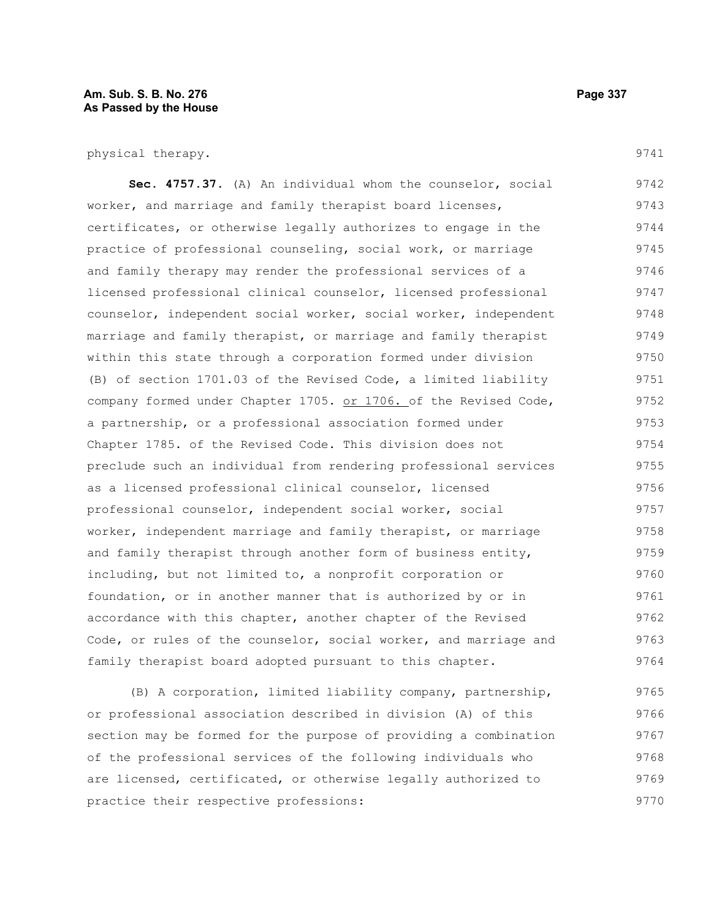#### **Am. Sub. S. B. No. 276 Page 337** Page 337 **As Passed by the House**

physical therapy.

**Sec. 4757.37.** (A) An individual whom the counselor, social worker, and marriage and family therapist board licenses, certificates, or otherwise legally authorizes to engage in the practice of professional counseling, social work, or marriage and family therapy may render the professional services of a licensed professional clinical counselor, licensed professional counselor, independent social worker, social worker, independent marriage and family therapist, or marriage and family therapist within this state through a corporation formed under division (B) of section 1701.03 of the Revised Code, a limited liability company formed under Chapter 1705. or 1706. of the Revised Code, a partnership, or a professional association formed under Chapter 1785. of the Revised Code. This division does not preclude such an individual from rendering professional services as a licensed professional clinical counselor, licensed professional counselor, independent social worker, social worker, independent marriage and family therapist, or marriage and family therapist through another form of business entity, including, but not limited to, a nonprofit corporation or foundation, or in another manner that is authorized by or in accordance with this chapter, another chapter of the Revised Code, or rules of the counselor, social worker, and marriage and family therapist board adopted pursuant to this chapter. 9742 9743 9744 9745 9746 9747 9748 9749 9750 9751 9752 9753 9754 9755 9756 9757 9758 9759 9760 9761 9762 9763 9764

(B) A corporation, limited liability company, partnership, or professional association described in division (A) of this section may be formed for the purpose of providing a combination of the professional services of the following individuals who are licensed, certificated, or otherwise legally authorized to practice their respective professions: 9765 9766 9767 9768 9769 9770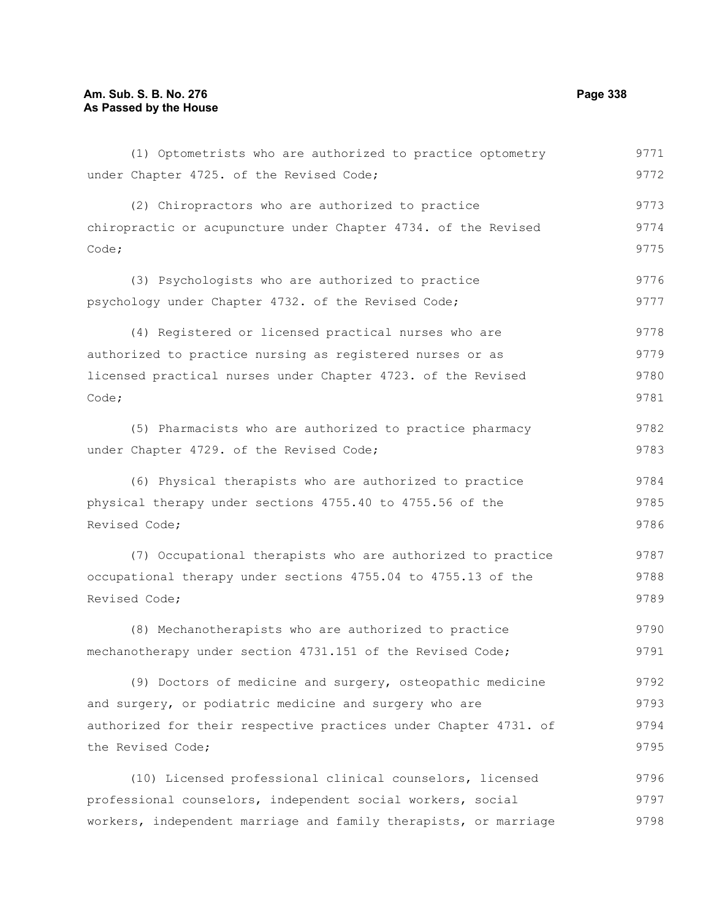#### **Am. Sub. S. B. No. 276 Page 338 As Passed by the House**

(1) Optometrists who are authorized to practice optometry under Chapter 4725. of the Revised Code; (2) Chiropractors who are authorized to practice chiropractic or acupuncture under Chapter 4734. of the Revised Code; (3) Psychologists who are authorized to practice psychology under Chapter 4732. of the Revised Code; (4) Registered or licensed practical nurses who are authorized to practice nursing as registered nurses or as licensed practical nurses under Chapter 4723. of the Revised Code; (5) Pharmacists who are authorized to practice pharmacy under Chapter 4729. of the Revised Code; (6) Physical therapists who are authorized to practice physical therapy under sections 4755.40 to 4755.56 of the Revised Code; (7) Occupational therapists who are authorized to practice occupational therapy under sections 4755.04 to 4755.13 of the Revised Code; (8) Mechanotherapists who are authorized to practice mechanotherapy under section 4731.151 of the Revised Code; (9) Doctors of medicine and surgery, osteopathic medicine and surgery, or podiatric medicine and surgery who are authorized for their respective practices under Chapter 4731. of the Revised Code; (10) Licensed professional clinical counselors, licensed professional counselors, independent social workers, social workers, independent marriage and family therapists, or marriage 9771 9772 9773 9774 9775 9776 9777 9778 9779 9780 9781 9782 9783 9784 9785 9786 9787 9788 9789 9790 9791 9792 9793 9794 9795 9796 9797 9798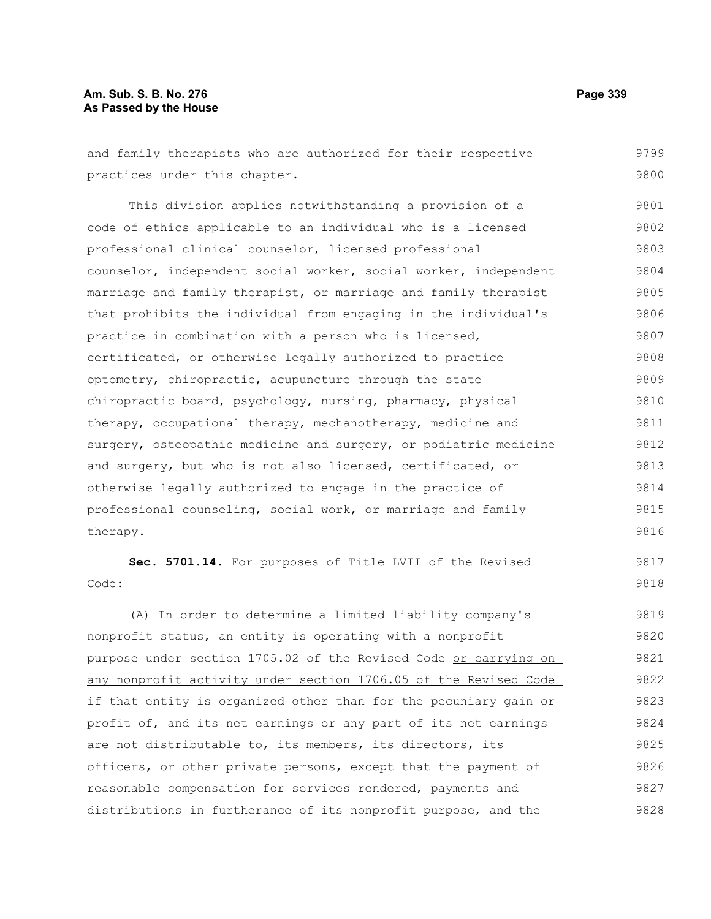# Am. Sub. S. B. No. 276 **Page 339 As Passed by the House**

| and family therapists who are authorized for their respective    | 9799 |
|------------------------------------------------------------------|------|
| practices under this chapter.                                    | 9800 |
| This division applies notwithstanding a provision of a           | 9801 |
| code of ethics applicable to an individual who is a licensed     | 9802 |
| professional clinical counselor, licensed professional           | 9803 |
| counselor, independent social worker, social worker, independent | 9804 |
| marriage and family therapist, or marriage and family therapist  | 9805 |
| that prohibits the individual from engaging in the individual's  | 9806 |
| practice in combination with a person who is licensed,           | 9807 |
| certificated, or otherwise legally authorized to practice        | 9808 |
| optometry, chiropractic, acupuncture through the state           | 9809 |
| chiropractic board, psychology, nursing, pharmacy, physical      | 9810 |
| therapy, occupational therapy, mechanotherapy, medicine and      | 9811 |
| surgery, osteopathic medicine and surgery, or podiatric medicine | 9812 |
| and surgery, but who is not also licensed, certificated, or      | 9813 |
| otherwise legally authorized to engage in the practice of        | 9814 |
| professional counseling, social work, or marriage and family     | 9815 |
| therapy.                                                         | 9816 |
| Sec. 5701.14. For purposes of Title LVII of the Revised          | 9817 |
| Code:                                                            | 9818 |
| (A) In order to determine a limited liability company's          | 9819 |
| nonprofit status, an entity is operating with a nonprofit        | 9820 |
| purpose under section 1705.02 of the Revised Code or carrying on | 9821 |
| any nonprofit activity under section 1706.05 of the Revised Code | 9822 |
| if that entity is organized other than for the pecuniary gain or | 9823 |
| profit of, and its net earnings or any part of its net earnings  | 9824 |
| are not distributable to, its members, its directors, its        | 9825 |
| officers, or other private persons, except that the payment of   | 9826 |
| reasonable compensation for services rendered, payments and      | 9827 |
| distributions in furtherance of its nonprofit purpose, and the   | 9828 |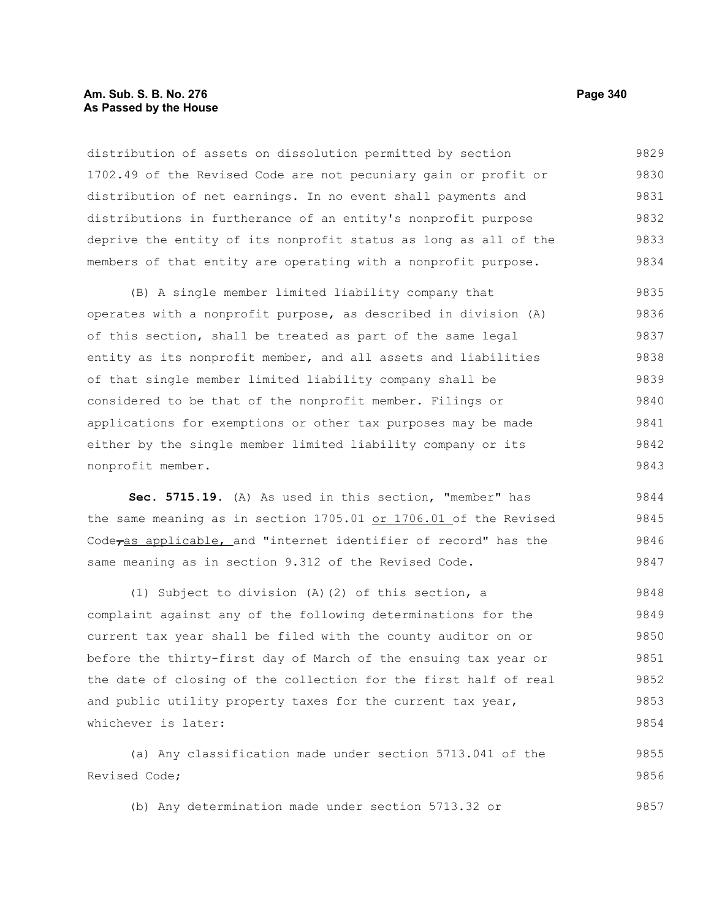#### **Am. Sub. S. B. No. 276 Page 340** Page 340 **As Passed by the House**

distribution of assets on dissolution permitted by section 1702.49 of the Revised Code are not pecuniary gain or profit or distribution of net earnings. In no event shall payments and distributions in furtherance of an entity's nonprofit purpose deprive the entity of its nonprofit status as long as all of the members of that entity are operating with a nonprofit purpose. 9829 9830 9831 9832 9833 9834

(B) A single member limited liability company that operates with a nonprofit purpose, as described in division (A) of this section, shall be treated as part of the same legal entity as its nonprofit member, and all assets and liabilities of that single member limited liability company shall be considered to be that of the nonprofit member. Filings or applications for exemptions or other tax purposes may be made either by the single member limited liability company or its nonprofit member. 9835 9836 9837 9838 9839 9840 9841 9842 9843

**Sec. 5715.19.** (A) As used in this section, "member" has the same meaning as in section 1705.01 or 1706.01 of the Revised Code<sub>ras applicable, and "internet identifier of record" has the</sub> same meaning as in section 9.312 of the Revised Code. 9844 9845 9846 9847

(1) Subject to division (A)(2) of this section, a complaint against any of the following determinations for the current tax year shall be filed with the county auditor on or before the thirty-first day of March of the ensuing tax year or the date of closing of the collection for the first half of real and public utility property taxes for the current tax year, whichever is later: 9848 9849 9850 9851 9852 9853 9854

(a) Any classification made under section 5713.041 of the Revised Code; 9855 9856

(b) Any determination made under section 5713.32 or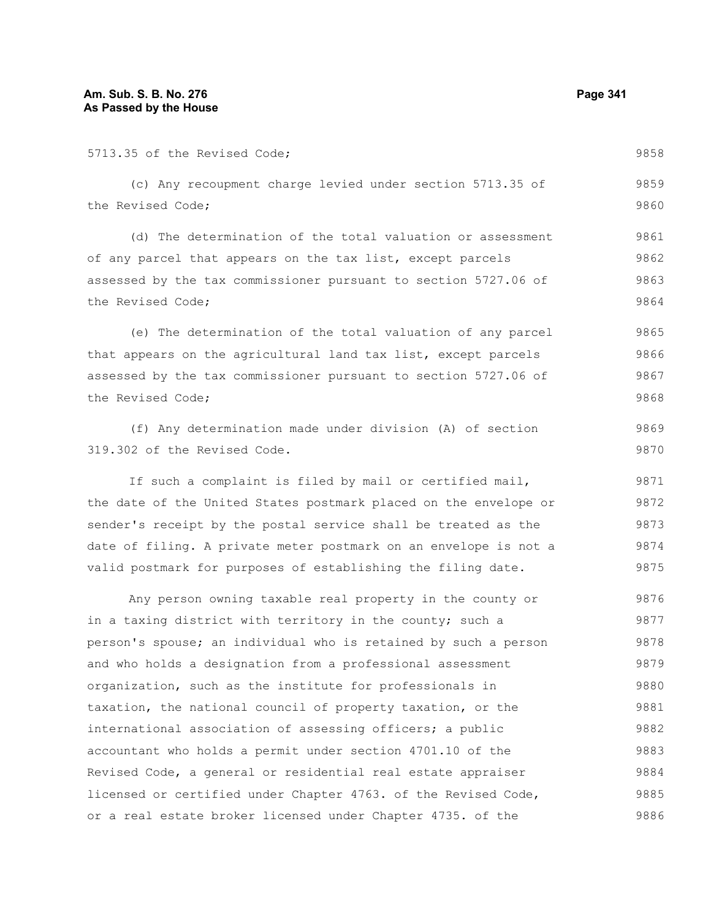| 5713.35 of the Revised Code;                                     | 9858 |  |  |  |  |  |  |
|------------------------------------------------------------------|------|--|--|--|--|--|--|
| (c) Any recoupment charge levied under section 5713.35 of        | 9859 |  |  |  |  |  |  |
| the Revised Code;                                                | 9860 |  |  |  |  |  |  |
| (d) The determination of the total valuation or assessment       | 9861 |  |  |  |  |  |  |
| of any parcel that appears on the tax list, except parcels       |      |  |  |  |  |  |  |
| assessed by the tax commissioner pursuant to section 5727.06 of  |      |  |  |  |  |  |  |
| the Revised Code;                                                | 9864 |  |  |  |  |  |  |
| (e) The determination of the total valuation of any parcel       | 9865 |  |  |  |  |  |  |
| that appears on the agricultural land tax list, except parcels   | 9866 |  |  |  |  |  |  |
| assessed by the tax commissioner pursuant to section 5727.06 of  | 9867 |  |  |  |  |  |  |
| the Revised Code;                                                | 9868 |  |  |  |  |  |  |
| (f) Any determination made under division (A) of section         | 9869 |  |  |  |  |  |  |
| 319.302 of the Revised Code.                                     | 9870 |  |  |  |  |  |  |
| If such a complaint is filed by mail or certified mail,          | 9871 |  |  |  |  |  |  |
| the date of the United States postmark placed on the envelope or | 9872 |  |  |  |  |  |  |
| sender's receipt by the postal service shall be treated as the   | 9873 |  |  |  |  |  |  |
| date of filing. A private meter postmark on an envelope is not a | 9874 |  |  |  |  |  |  |
| valid postmark for purposes of establishing the filing date.     | 9875 |  |  |  |  |  |  |
| Any person owning taxable real property in the county or         | 9876 |  |  |  |  |  |  |
| in a taxing district with territory in the county; such a        | 9877 |  |  |  |  |  |  |
| person's spouse; an individual who is retained by such a person  | 9878 |  |  |  |  |  |  |
| and who holds a designation from a professional assessment       | 9879 |  |  |  |  |  |  |
| organization, such as the institute for professionals in         | 9880 |  |  |  |  |  |  |
| taxation, the national council of property taxation, or the      | 9881 |  |  |  |  |  |  |
| international association of assessing officers; a public        | 9882 |  |  |  |  |  |  |
| accountant who holds a permit under section 4701.10 of the       | 9883 |  |  |  |  |  |  |
| Revised Code, a general or residential real estate appraiser     | 9884 |  |  |  |  |  |  |
| licensed or certified under Chapter 4763. of the Revised Code,   | 9885 |  |  |  |  |  |  |
| or a real estate broker licensed under Chapter 4735. of the      | 9886 |  |  |  |  |  |  |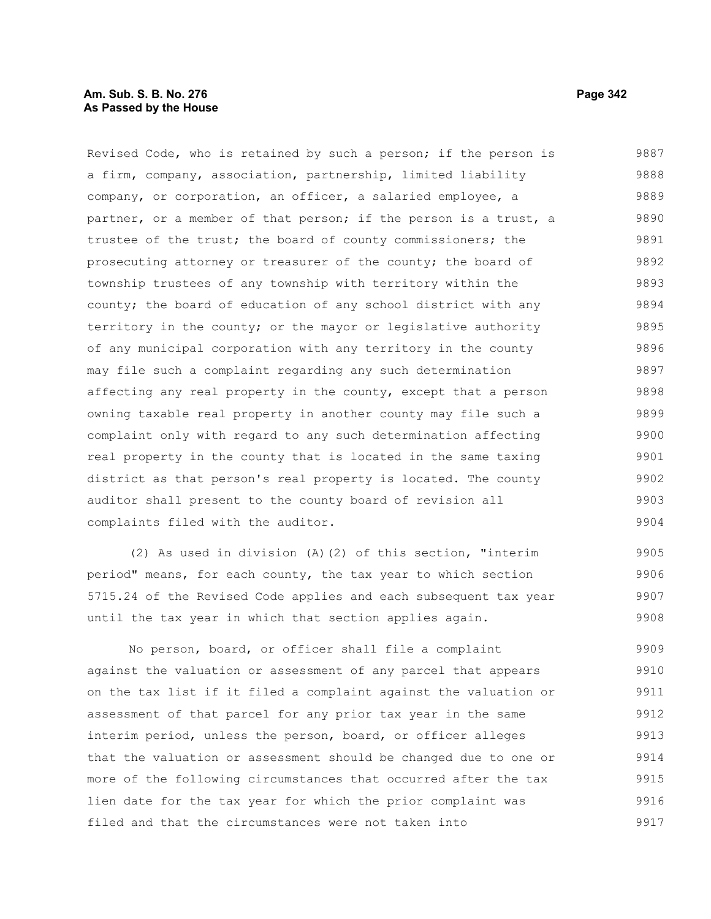## **Am. Sub. S. B. No. 276 Page 342** Page 342 **As Passed by the House**

Revised Code, who is retained by such a person; if the person is a firm, company, association, partnership, limited liability company, or corporation, an officer, a salaried employee, a partner, or a member of that person; if the person is a trust, a trustee of the trust; the board of county commissioners; the prosecuting attorney or treasurer of the county; the board of township trustees of any township with territory within the county; the board of education of any school district with any territory in the county; or the mayor or legislative authority of any municipal corporation with any territory in the county may file such a complaint regarding any such determination affecting any real property in the county, except that a person owning taxable real property in another county may file such a complaint only with regard to any such determination affecting real property in the county that is located in the same taxing district as that person's real property is located. The county auditor shall present to the county board of revision all complaints filed with the auditor. 9887 9888 9889 9890 9891 9892 9893 9894 9895 9896 9897 9898 9899 9900 9901 9902 9903 9904

(2) As used in division (A)(2) of this section, "interim period" means, for each county, the tax year to which section 5715.24 of the Revised Code applies and each subsequent tax year until the tax year in which that section applies again. 9905 9906 9907 9908

No person, board, or officer shall file a complaint against the valuation or assessment of any parcel that appears on the tax list if it filed a complaint against the valuation or assessment of that parcel for any prior tax year in the same interim period, unless the person, board, or officer alleges that the valuation or assessment should be changed due to one or more of the following circumstances that occurred after the tax lien date for the tax year for which the prior complaint was filed and that the circumstances were not taken into 9909 9910 9911 9912 9913 9914 9915 9916 9917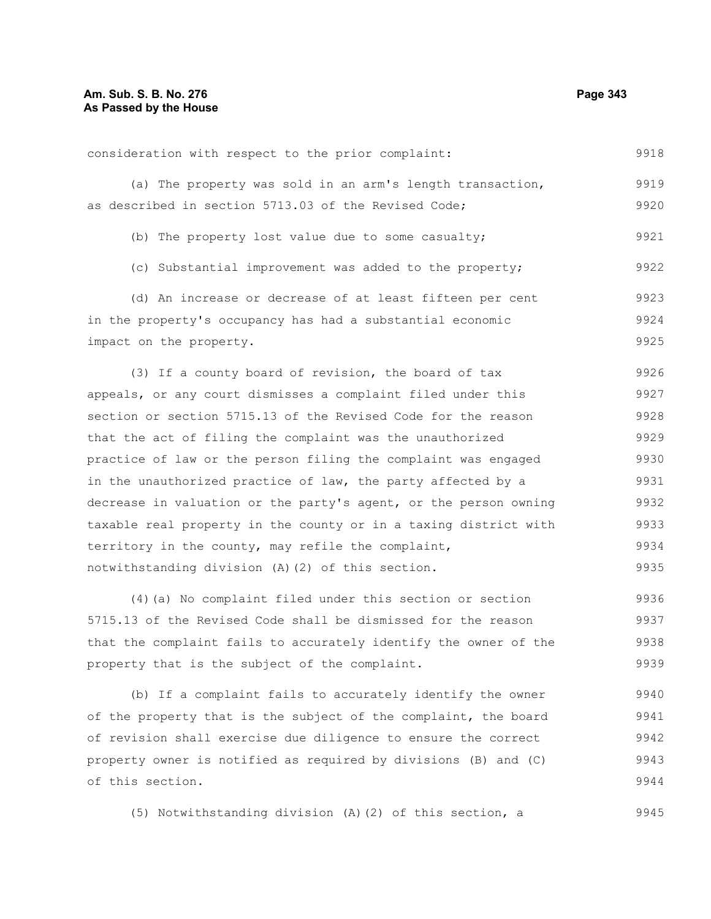9918

#### consideration with respect to the prior complaint:

|                                                      |  |  |  |  | (a) The property was sold in an arm's length transaction, | 9919 |
|------------------------------------------------------|--|--|--|--|-----------------------------------------------------------|------|
| as described in section 5713.03 of the Revised Code; |  |  |  |  |                                                           | 9920 |

- (b) The property lost value due to some casualty; 9921
- (c) Substantial improvement was added to the property; 9922

(d) An increase or decrease of at least fifteen per cent in the property's occupancy has had a substantial economic impact on the property. 9923 9924 9925

(3) If a county board of revision, the board of tax appeals, or any court dismisses a complaint filed under this section or section 5715.13 of the Revised Code for the reason that the act of filing the complaint was the unauthorized practice of law or the person filing the complaint was engaged in the unauthorized practice of law, the party affected by a decrease in valuation or the party's agent, or the person owning taxable real property in the county or in a taxing district with territory in the county, may refile the complaint, notwithstanding division (A)(2) of this section. 9926 9927 9928 9929 9930 9931 9932 9933 9934 9935

(4)(a) No complaint filed under this section or section 5715.13 of the Revised Code shall be dismissed for the reason that the complaint fails to accurately identify the owner of the property that is the subject of the complaint. 9936 9937 9938 9939

(b) If a complaint fails to accurately identify the owner of the property that is the subject of the complaint, the board of revision shall exercise due diligence to ensure the correct property owner is notified as required by divisions (B) and (C) of this section. 9940 9941 9942 9943 9944

(5) Notwithstanding division (A)(2) of this section, a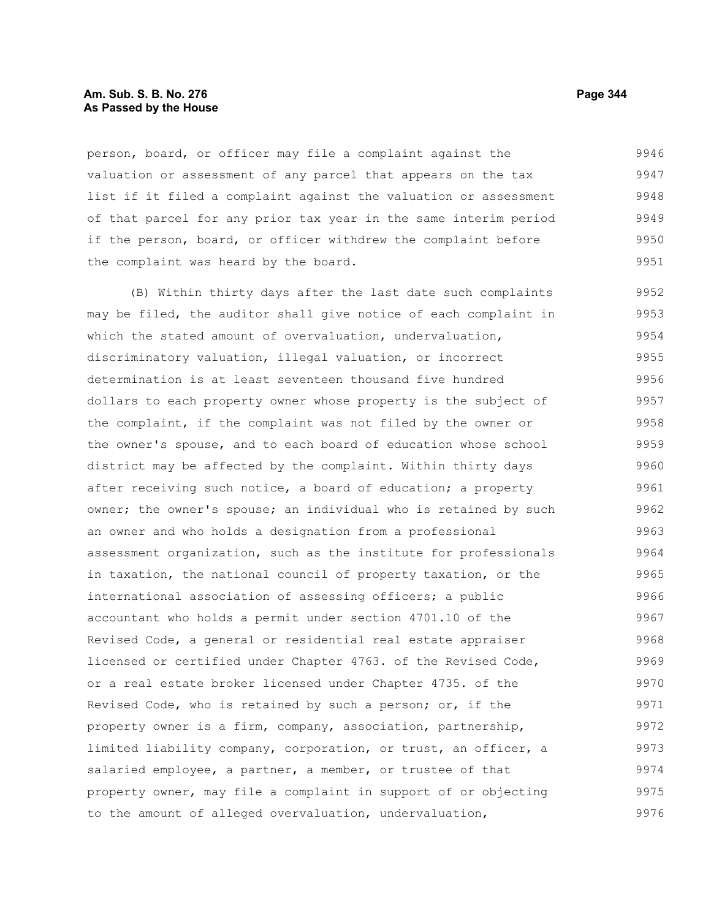#### **Am. Sub. S. B. No. 276 Page 344 As Passed by the House**

person, board, or officer may file a complaint against the valuation or assessment of any parcel that appears on the tax list if it filed a complaint against the valuation or assessment of that parcel for any prior tax year in the same interim period if the person, board, or officer withdrew the complaint before the complaint was heard by the board. 9946 9947 9948 9949 9950 9951

(B) Within thirty days after the last date such complaints may be filed, the auditor shall give notice of each complaint in which the stated amount of overvaluation, undervaluation, discriminatory valuation, illegal valuation, or incorrect determination is at least seventeen thousand five hundred dollars to each property owner whose property is the subject of the complaint, if the complaint was not filed by the owner or the owner's spouse, and to each board of education whose school district may be affected by the complaint. Within thirty days after receiving such notice, a board of education; a property owner; the owner's spouse; an individual who is retained by such an owner and who holds a designation from a professional assessment organization, such as the institute for professionals in taxation, the national council of property taxation, or the international association of assessing officers; a public accountant who holds a permit under section 4701.10 of the Revised Code, a general or residential real estate appraiser licensed or certified under Chapter 4763. of the Revised Code, or a real estate broker licensed under Chapter 4735. of the Revised Code, who is retained by such a person; or, if the property owner is a firm, company, association, partnership, limited liability company, corporation, or trust, an officer, a salaried employee, a partner, a member, or trustee of that property owner, may file a complaint in support of or objecting to the amount of alleged overvaluation, undervaluation, 9952 9953 9954 9955 9956 9957 9958 9959 9960 9961 9962 9963 9964 9965 9966 9967 9968 9969 9970 9971 9972 9973 9974 9975 9976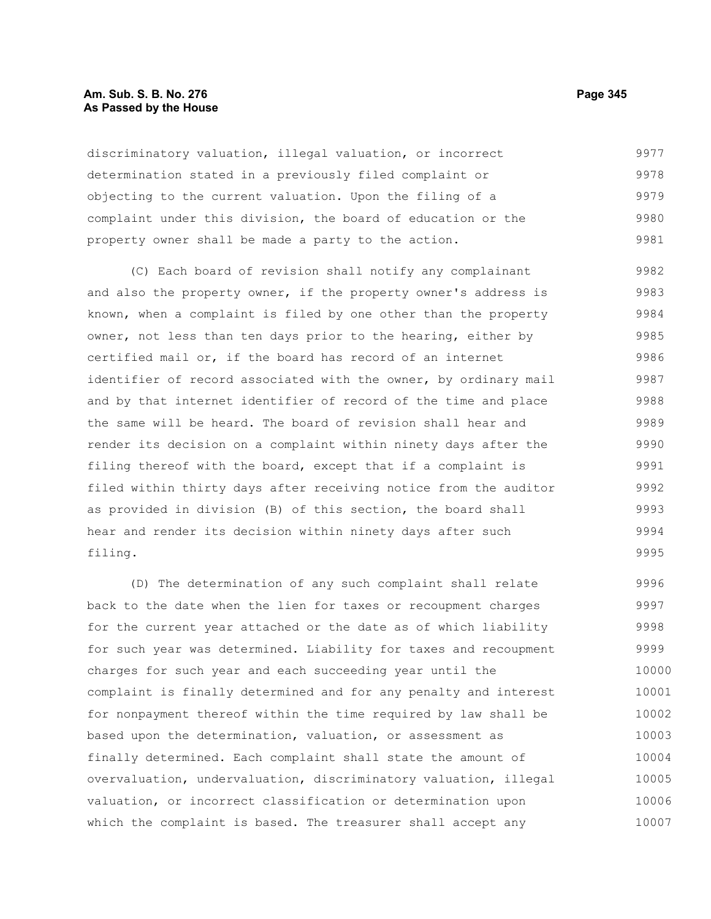#### **Am. Sub. S. B. No. 276 Page 345** Page 345 **As Passed by the House**

discriminatory valuation, illegal valuation, or incorrect determination stated in a previously filed complaint or objecting to the current valuation. Upon the filing of a complaint under this division, the board of education or the property owner shall be made a party to the action. 9977 9978 9979 9980 9981

(C) Each board of revision shall notify any complainant and also the property owner, if the property owner's address is known, when a complaint is filed by one other than the property owner, not less than ten days prior to the hearing, either by certified mail or, if the board has record of an internet identifier of record associated with the owner, by ordinary mail and by that internet identifier of record of the time and place the same will be heard. The board of revision shall hear and render its decision on a complaint within ninety days after the filing thereof with the board, except that if a complaint is filed within thirty days after receiving notice from the auditor as provided in division (B) of this section, the board shall hear and render its decision within ninety days after such filing. 9982 9983 9984 9985 9986 9987 9988 9989 9990 9991 9992 9993 9994 9995

(D) The determination of any such complaint shall relate back to the date when the lien for taxes or recoupment charges for the current year attached or the date as of which liability for such year was determined. Liability for taxes and recoupment charges for such year and each succeeding year until the complaint is finally determined and for any penalty and interest for nonpayment thereof within the time required by law shall be based upon the determination, valuation, or assessment as finally determined. Each complaint shall state the amount of overvaluation, undervaluation, discriminatory valuation, illegal valuation, or incorrect classification or determination upon which the complaint is based. The treasurer shall accept any 9996 9997 9998 9999 10000 10001 10002 10003 10004 10005 10006 10007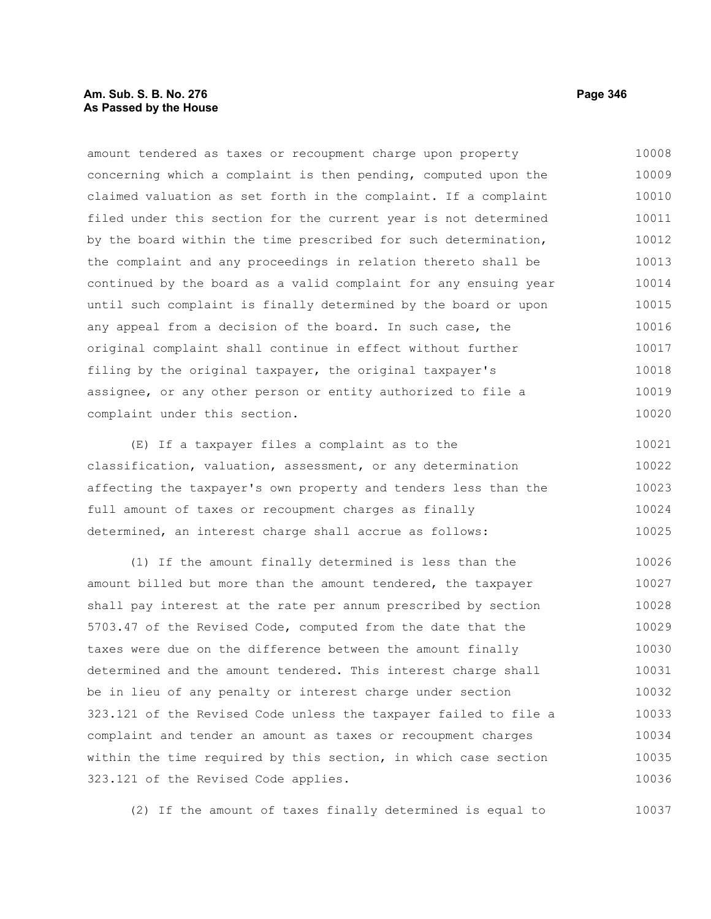#### **Am. Sub. S. B. No. 276 Page 346** Page 346 **As Passed by the House**

amount tendered as taxes or recoupment charge upon property concerning which a complaint is then pending, computed upon the claimed valuation as set forth in the complaint. If a complaint filed under this section for the current year is not determined by the board within the time prescribed for such determination, the complaint and any proceedings in relation thereto shall be continued by the board as a valid complaint for any ensuing year until such complaint is finally determined by the board or upon any appeal from a decision of the board. In such case, the original complaint shall continue in effect without further filing by the original taxpayer, the original taxpayer's assignee, or any other person or entity authorized to file a complaint under this section. 10008 10009 10010 10011 10012 10013 10014 10015 10016 10017 10018 10019 10020

(E) If a taxpayer files a complaint as to the classification, valuation, assessment, or any determination affecting the taxpayer's own property and tenders less than the full amount of taxes or recoupment charges as finally determined, an interest charge shall accrue as follows: 10021 10022 10023 10024 10025

(1) If the amount finally determined is less than the amount billed but more than the amount tendered, the taxpayer shall pay interest at the rate per annum prescribed by section 5703.47 of the Revised Code, computed from the date that the taxes were due on the difference between the amount finally determined and the amount tendered. This interest charge shall be in lieu of any penalty or interest charge under section 323.121 of the Revised Code unless the taxpayer failed to file a complaint and tender an amount as taxes or recoupment charges within the time required by this section, in which case section 323.121 of the Revised Code applies. 10026 10027 10028 10029 10030 10031 10032 10033 10034 10035 10036

(2) If the amount of taxes finally determined is equal to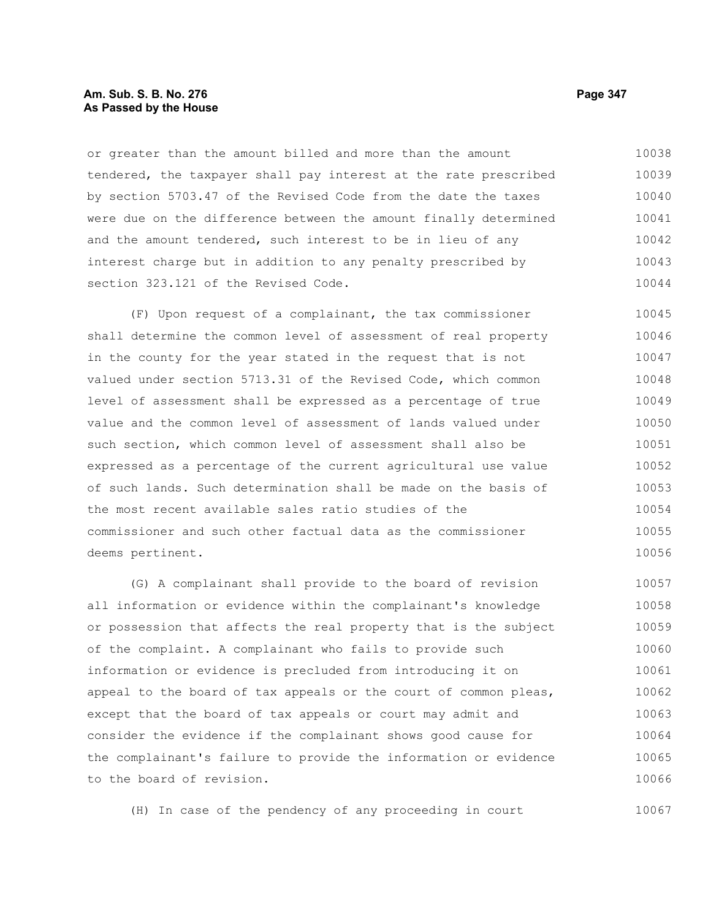#### **Am. Sub. S. B. No. 276 Page 347** Page 347 **As Passed by the House**

or greater than the amount billed and more than the amount tendered, the taxpayer shall pay interest at the rate prescribed by section 5703.47 of the Revised Code from the date the taxes were due on the difference between the amount finally determined and the amount tendered, such interest to be in lieu of any interest charge but in addition to any penalty prescribed by section 323.121 of the Revised Code. 10038 10039 10040 10041 10042 10043 10044

(F) Upon request of a complainant, the tax commissioner shall determine the common level of assessment of real property in the county for the year stated in the request that is not valued under section 5713.31 of the Revised Code, which common level of assessment shall be expressed as a percentage of true value and the common level of assessment of lands valued under such section, which common level of assessment shall also be expressed as a percentage of the current agricultural use value of such lands. Such determination shall be made on the basis of the most recent available sales ratio studies of the commissioner and such other factual data as the commissioner deems pertinent. 10045 10046 10047 10048 10049 10050 10051 10052 10053 10054 10055 10056

(G) A complainant shall provide to the board of revision all information or evidence within the complainant's knowledge or possession that affects the real property that is the subject of the complaint. A complainant who fails to provide such information or evidence is precluded from introducing it on appeal to the board of tax appeals or the court of common pleas, except that the board of tax appeals or court may admit and consider the evidence if the complainant shows good cause for the complainant's failure to provide the information or evidence to the board of revision. 10057 10058 10059 10060 10061 10062 10063 10064 10065 10066

(H) In case of the pendency of any proceeding in court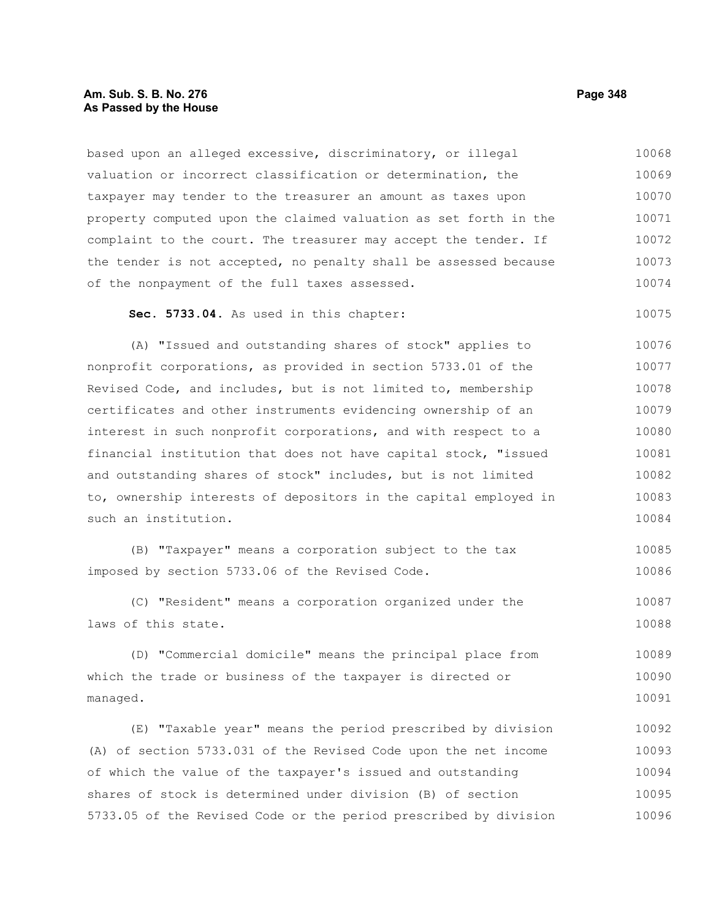#### **Am. Sub. S. B. No. 276 Page 348 As Passed by the House**

based upon an alleged excessive, discriminatory, or illegal valuation or incorrect classification or determination, the taxpayer may tender to the treasurer an amount as taxes upon property computed upon the claimed valuation as set forth in the complaint to the court. The treasurer may accept the tender. If the tender is not accepted, no penalty shall be assessed because of the nonpayment of the full taxes assessed. 10068 10069 10070 10071 10072 10073 10074

#### **Sec. 5733.04.** As used in this chapter: 10075

(A) "Issued and outstanding shares of stock" applies to nonprofit corporations, as provided in section 5733.01 of the Revised Code, and includes, but is not limited to, membership certificates and other instruments evidencing ownership of an interest in such nonprofit corporations, and with respect to a financial institution that does not have capital stock, "issued and outstanding shares of stock" includes, but is not limited to, ownership interests of depositors in the capital employed in such an institution. 10076 10077 10078 10079 10080 10081 10082 10083 10084

(B) "Taxpayer" means a corporation subject to the tax imposed by section 5733.06 of the Revised Code. 10085 10086

(C) "Resident" means a corporation organized under the laws of this state. 10087 10088

(D) "Commercial domicile" means the principal place from which the trade or business of the taxpayer is directed or managed. 10089 10090 10091

(E) "Taxable year" means the period prescribed by division (A) of section 5733.031 of the Revised Code upon the net income of which the value of the taxpayer's issued and outstanding shares of stock is determined under division (B) of section 5733.05 of the Revised Code or the period prescribed by division 10092 10093 10094 10095 10096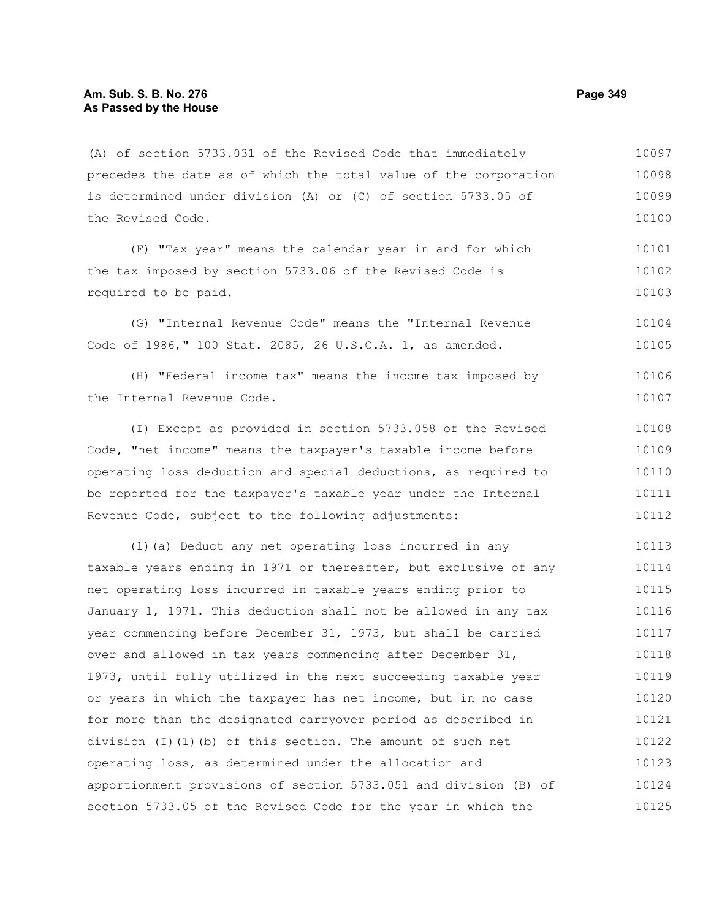(A) of section 5733.031 of the Revised Code that immediately precedes the date as of which the total value of the corporation is determined under division (A) or (C) of section 5733.05 of the Revised Code. 10097 10098 10099

(F) "Tax year" means the calendar year in and for which the tax imposed by section 5733.06 of the Revised Code is required to be paid. 10101 10102 10103

(G) "Internal Revenue Code" means the "Internal Revenue Code of 1986," 100 Stat. 2085, 26 U.S.C.A. 1, as amended. 10104 10105

(H) "Federal income tax" means the income tax imposed by the Internal Revenue Code. 10106 10107

(I) Except as provided in section 5733.058 of the Revised Code, "net income" means the taxpayer's taxable income before operating loss deduction and special deductions, as required to be reported for the taxpayer's taxable year under the Internal Revenue Code, subject to the following adjustments: 10108 10109 10110 10111 10112

(1)(a) Deduct any net operating loss incurred in any taxable years ending in 1971 or thereafter, but exclusive of any net operating loss incurred in taxable years ending prior to January 1, 1971. This deduction shall not be allowed in any tax year commencing before December 31, 1973, but shall be carried over and allowed in tax years commencing after December 31, 1973, until fully utilized in the next succeeding taxable year or years in which the taxpayer has net income, but in no case for more than the designated carryover period as described in division (I)(1)(b) of this section. The amount of such net operating loss, as determined under the allocation and apportionment provisions of section 5733.051 and division (B) of section 5733.05 of the Revised Code for the year in which the 10113 10114 10115 10116 10117 10118 10119 10120 10121 10122 10123 10124 10125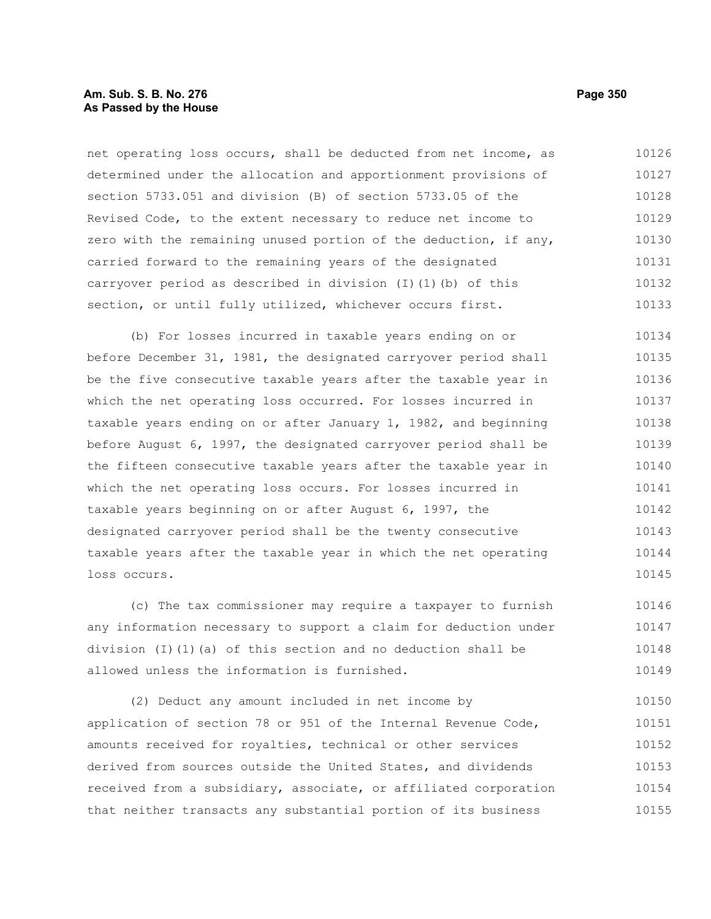#### **Am. Sub. S. B. No. 276 Page 350 As Passed by the House**

net operating loss occurs, shall be deducted from net income, as determined under the allocation and apportionment provisions of section 5733.051 and division (B) of section 5733.05 of the Revised Code, to the extent necessary to reduce net income to zero with the remaining unused portion of the deduction, if any, carried forward to the remaining years of the designated carryover period as described in division (I)(1)(b) of this section, or until fully utilized, whichever occurs first. 10126 10127 10128 10129 10130 10131 10132 10133

(b) For losses incurred in taxable years ending on or before December 31, 1981, the designated carryover period shall be the five consecutive taxable years after the taxable year in which the net operating loss occurred. For losses incurred in taxable years ending on or after January 1, 1982, and beginning before August 6, 1997, the designated carryover period shall be the fifteen consecutive taxable years after the taxable year in which the net operating loss occurs. For losses incurred in taxable years beginning on or after August 6, 1997, the designated carryover period shall be the twenty consecutive taxable years after the taxable year in which the net operating loss occurs. 10134 10135 10136 10137 10138 10139 10140 10141 10142 10143 10144 10145

(c) The tax commissioner may require a taxpayer to furnish any information necessary to support a claim for deduction under division  $(I)$   $(I)$   $(a)$  of this section and no deduction shall be allowed unless the information is furnished. 10146 10147 10148 10149

(2) Deduct any amount included in net income by application of section 78 or 951 of the Internal Revenue Code, amounts received for royalties, technical or other services derived from sources outside the United States, and dividends received from a subsidiary, associate, or affiliated corporation that neither transacts any substantial portion of its business 10150 10151 10152 10153 10154 10155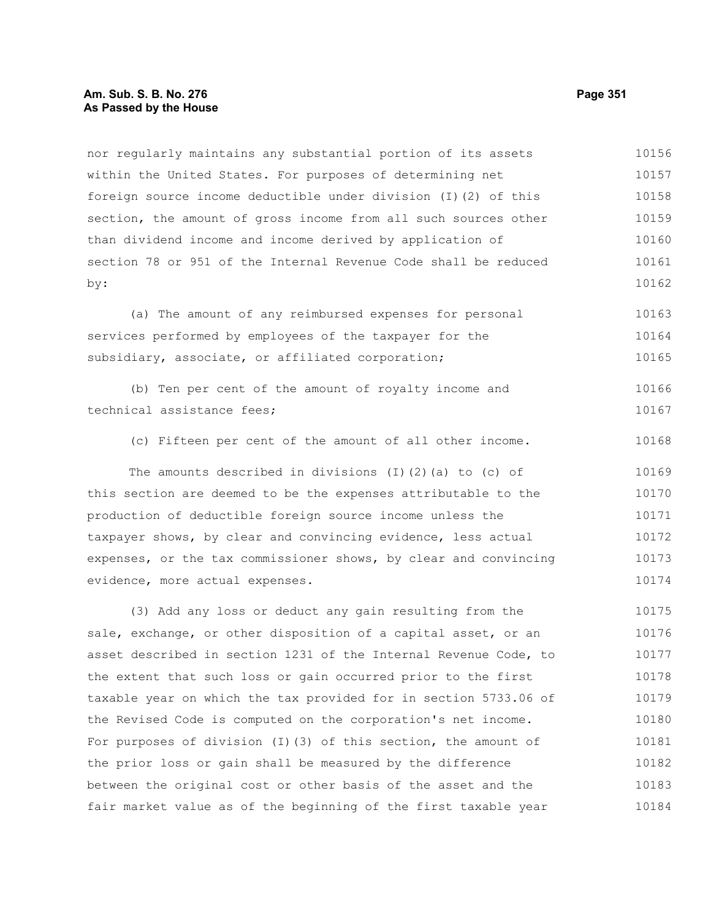#### **Am. Sub. S. B. No. 276 Page 351 As Passed by the House**

nor regularly maintains any substantial portion of its assets within the United States. For purposes of determining net foreign source income deductible under division (I)(2) of this section, the amount of gross income from all such sources other than dividend income and income derived by application of section 78 or 951 of the Internal Revenue Code shall be reduced by: 10156 10157 10158 10159 10160 10161 10162

(a) The amount of any reimbursed expenses for personal services performed by employees of the taxpayer for the subsidiary, associate, or affiliated corporation; 10163 10164 10165

(b) Ten per cent of the amount of royalty income and technical assistance fees; 10166 10167

(c) Fifteen per cent of the amount of all other income. 10168

The amounts described in divisions (I)(2)(a) to (c) of this section are deemed to be the expenses attributable to the production of deductible foreign source income unless the taxpayer shows, by clear and convincing evidence, less actual expenses, or the tax commissioner shows, by clear and convincing evidence, more actual expenses. 10169 10170 10171 10172 10173 10174

(3) Add any loss or deduct any gain resulting from the sale, exchange, or other disposition of a capital asset, or an asset described in section 1231 of the Internal Revenue Code, to the extent that such loss or gain occurred prior to the first taxable year on which the tax provided for in section 5733.06 of the Revised Code is computed on the corporation's net income. For purposes of division (I)(3) of this section, the amount of the prior loss or gain shall be measured by the difference between the original cost or other basis of the asset and the fair market value as of the beginning of the first taxable year 10175 10176 10177 10178 10179 10180 10181 10182 10183 10184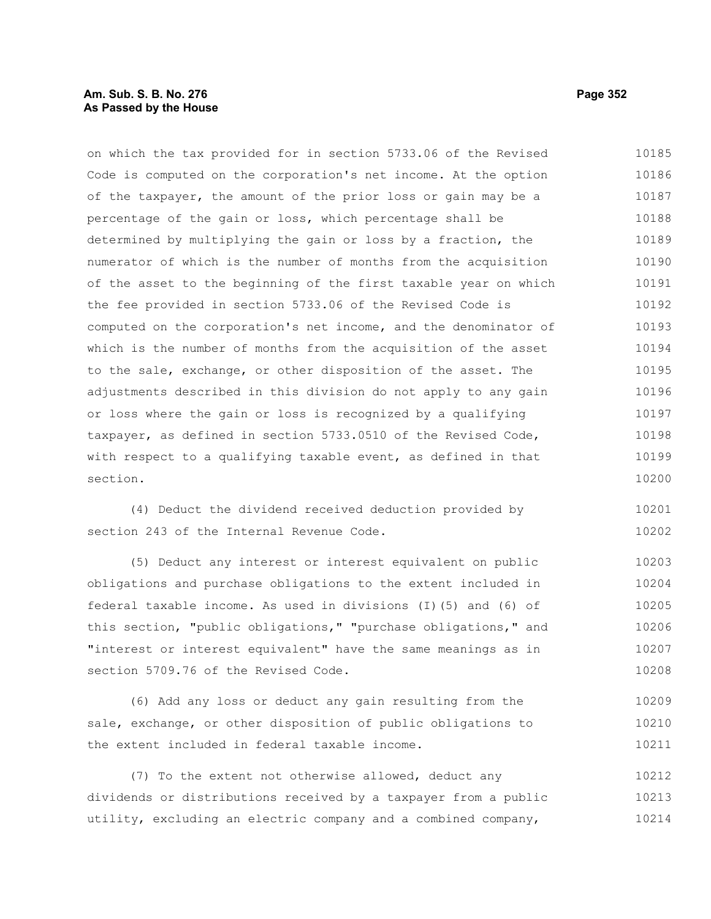## **Am. Sub. S. B. No. 276 Page 352 As Passed by the House**

on which the tax provided for in section 5733.06 of the Revised Code is computed on the corporation's net income. At the option of the taxpayer, the amount of the prior loss or gain may be a percentage of the gain or loss, which percentage shall be determined by multiplying the gain or loss by a fraction, the numerator of which is the number of months from the acquisition of the asset to the beginning of the first taxable year on which the fee provided in section 5733.06 of the Revised Code is computed on the corporation's net income, and the denominator of which is the number of months from the acquisition of the asset to the sale, exchange, or other disposition of the asset. The adjustments described in this division do not apply to any gain or loss where the gain or loss is recognized by a qualifying taxpayer, as defined in section 5733.0510 of the Revised Code, with respect to a qualifying taxable event, as defined in that section. 10185 10186 10187 10188 10189 10190 10191 10192 10193 10194 10195 10196 10197 10198 10199 10200

(4) Deduct the dividend received deduction provided by section 243 of the Internal Revenue Code. 10201 10202

(5) Deduct any interest or interest equivalent on public obligations and purchase obligations to the extent included in federal taxable income. As used in divisions (I)(5) and (6) of this section, "public obligations," "purchase obligations," and "interest or interest equivalent" have the same meanings as in section 5709.76 of the Revised Code. 10203 10204 10205 10206 10207 10208

(6) Add any loss or deduct any gain resulting from the sale, exchange, or other disposition of public obligations to the extent included in federal taxable income. 10209 10210 10211

(7) To the extent not otherwise allowed, deduct any dividends or distributions received by a taxpayer from a public utility, excluding an electric company and a combined company, 10212 10213 10214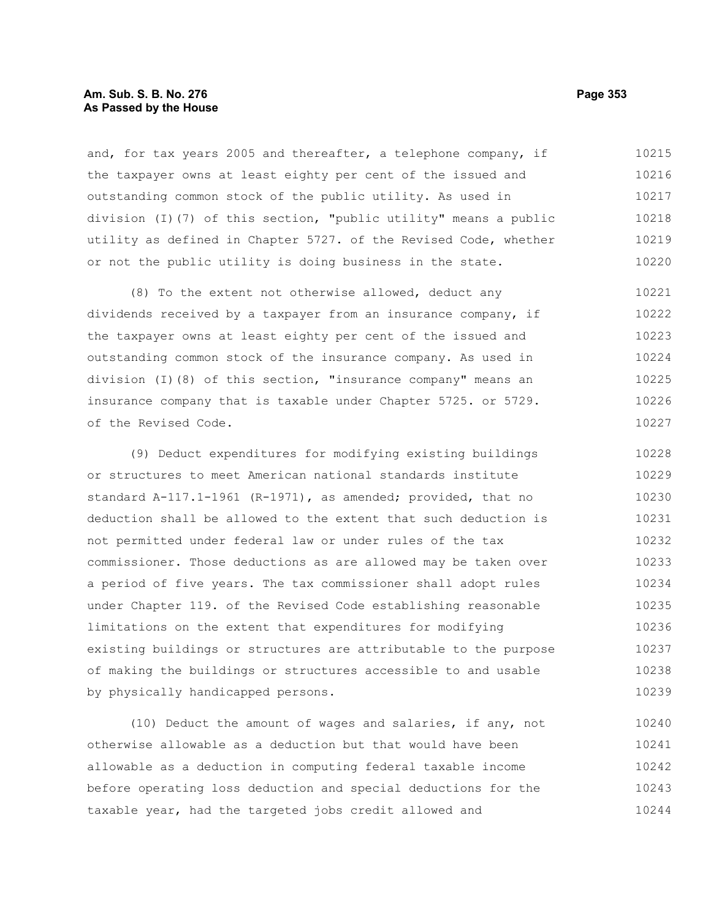#### **Am. Sub. S. B. No. 276 Page 353 As Passed by the House**

and, for tax years 2005 and thereafter, a telephone company, if the taxpayer owns at least eighty per cent of the issued and outstanding common stock of the public utility. As used in division (I)(7) of this section, "public utility" means a public utility as defined in Chapter 5727. of the Revised Code, whether or not the public utility is doing business in the state. 10215 10216 10217 10218 10219 10220

(8) To the extent not otherwise allowed, deduct any dividends received by a taxpayer from an insurance company, if the taxpayer owns at least eighty per cent of the issued and outstanding common stock of the insurance company. As used in division (I)(8) of this section, "insurance company" means an insurance company that is taxable under Chapter 5725. or 5729. of the Revised Code. 10221 10222 10223 10224 10225 10226 10227

(9) Deduct expenditures for modifying existing buildings or structures to meet American national standards institute standard A-117.1-1961 (R-1971), as amended; provided, that no deduction shall be allowed to the extent that such deduction is not permitted under federal law or under rules of the tax commissioner. Those deductions as are allowed may be taken over a period of five years. The tax commissioner shall adopt rules under Chapter 119. of the Revised Code establishing reasonable limitations on the extent that expenditures for modifying existing buildings or structures are attributable to the purpose of making the buildings or structures accessible to and usable by physically handicapped persons. 10228 10229 10230 10231 10232 10233 10234 10235 10236 10237 10238 10239

(10) Deduct the amount of wages and salaries, if any, not otherwise allowable as a deduction but that would have been allowable as a deduction in computing federal taxable income before operating loss deduction and special deductions for the taxable year, had the targeted jobs credit allowed and 10240 10241 10242 10243 10244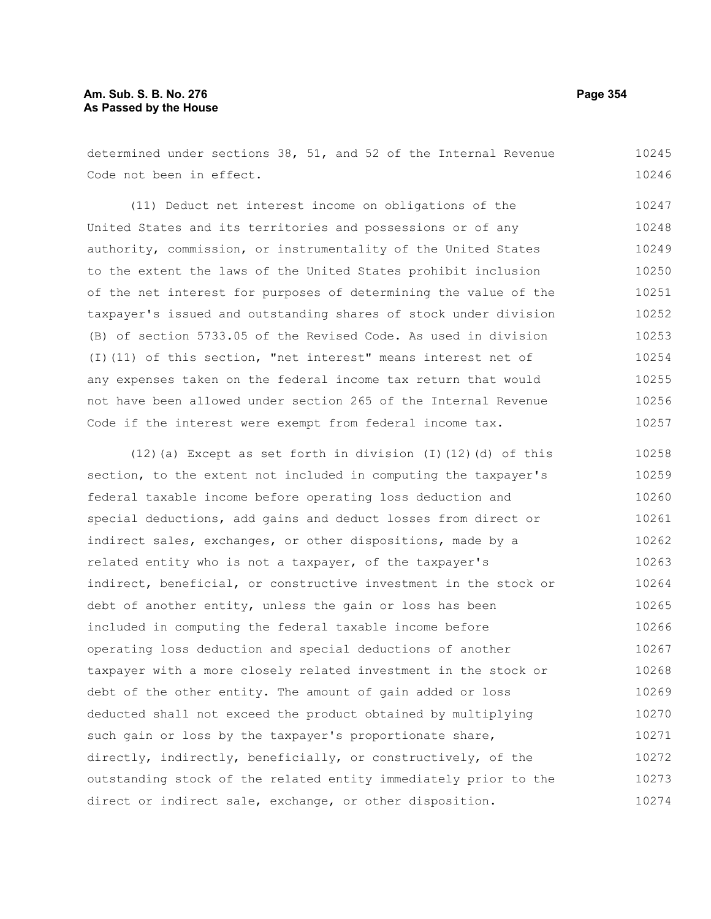determined under sections 38, 51, and 52 of the Internal Revenue Code not been in effect. 10245 10246

(11) Deduct net interest income on obligations of the United States and its territories and possessions or of any authority, commission, or instrumentality of the United States to the extent the laws of the United States prohibit inclusion of the net interest for purposes of determining the value of the taxpayer's issued and outstanding shares of stock under division (B) of section 5733.05 of the Revised Code. As used in division (I)(11) of this section, "net interest" means interest net of any expenses taken on the federal income tax return that would not have been allowed under section 265 of the Internal Revenue Code if the interest were exempt from federal income tax. 10247 10248 10249 10250 10251 10252 10253 10254 10255 10256 10257

(12)(a) Except as set forth in division (I)(12)(d) of this section, to the extent not included in computing the taxpayer's federal taxable income before operating loss deduction and special deductions, add gains and deduct losses from direct or indirect sales, exchanges, or other dispositions, made by a related entity who is not a taxpayer, of the taxpayer's indirect, beneficial, or constructive investment in the stock or debt of another entity, unless the gain or loss has been included in computing the federal taxable income before operating loss deduction and special deductions of another taxpayer with a more closely related investment in the stock or debt of the other entity. The amount of gain added or loss deducted shall not exceed the product obtained by multiplying such gain or loss by the taxpayer's proportionate share, directly, indirectly, beneficially, or constructively, of the outstanding stock of the related entity immediately prior to the direct or indirect sale, exchange, or other disposition. 10258 10259 10260 10261 10262 10263 10264 10265 10266 10267 10268 10269 10270 10271 10272 10273 10274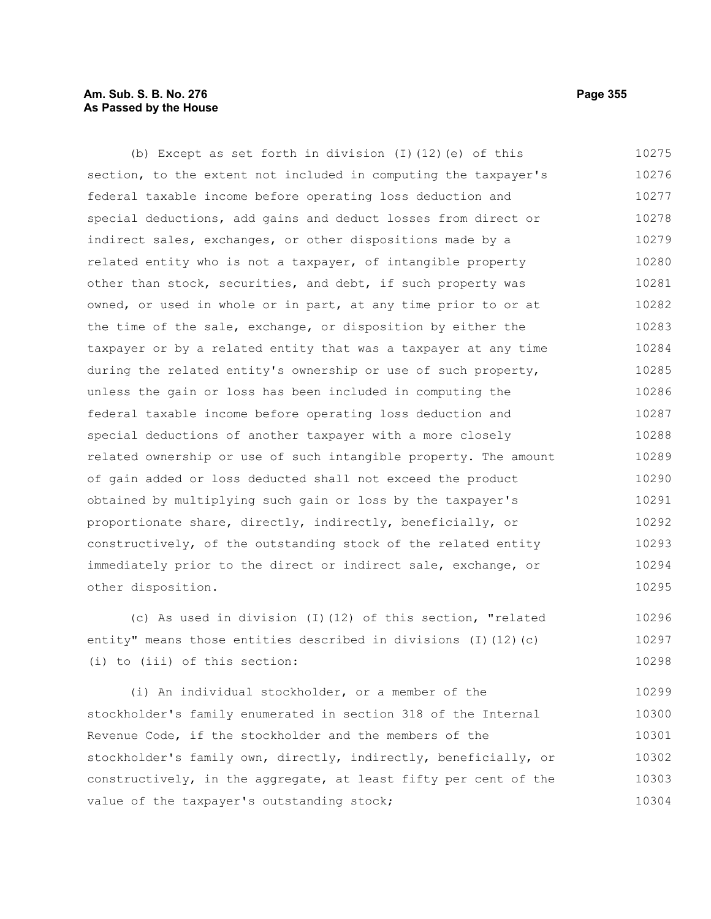## **Am. Sub. S. B. No. 276 Page 355 As Passed by the House**

(b) Except as set forth in division (I)(12)(e) of this section, to the extent not included in computing the taxpayer's federal taxable income before operating loss deduction and special deductions, add gains and deduct losses from direct or indirect sales, exchanges, or other dispositions made by a related entity who is not a taxpayer, of intangible property other than stock, securities, and debt, if such property was owned, or used in whole or in part, at any time prior to or at the time of the sale, exchange, or disposition by either the taxpayer or by a related entity that was a taxpayer at any time during the related entity's ownership or use of such property, unless the gain or loss has been included in computing the federal taxable income before operating loss deduction and special deductions of another taxpayer with a more closely related ownership or use of such intangible property. The amount of gain added or loss deducted shall not exceed the product obtained by multiplying such gain or loss by the taxpayer's proportionate share, directly, indirectly, beneficially, or constructively, of the outstanding stock of the related entity immediately prior to the direct or indirect sale, exchange, or other disposition. 10275 10276 10277 10278 10279 10280 10281 10282 10283 10284 10285 10286 10287 10288 10289 10290 10291 10292 10293 10294 10295

(c) As used in division (I)(12) of this section, "related entity" means those entities described in divisions (I)(12)(c) (i) to (iii) of this section: 10296 10297 10298

(i) An individual stockholder, or a member of the stockholder's family enumerated in section 318 of the Internal Revenue Code, if the stockholder and the members of the stockholder's family own, directly, indirectly, beneficially, or constructively, in the aggregate, at least fifty per cent of the value of the taxpayer's outstanding stock; 10299 10300 10301 10302 10303 10304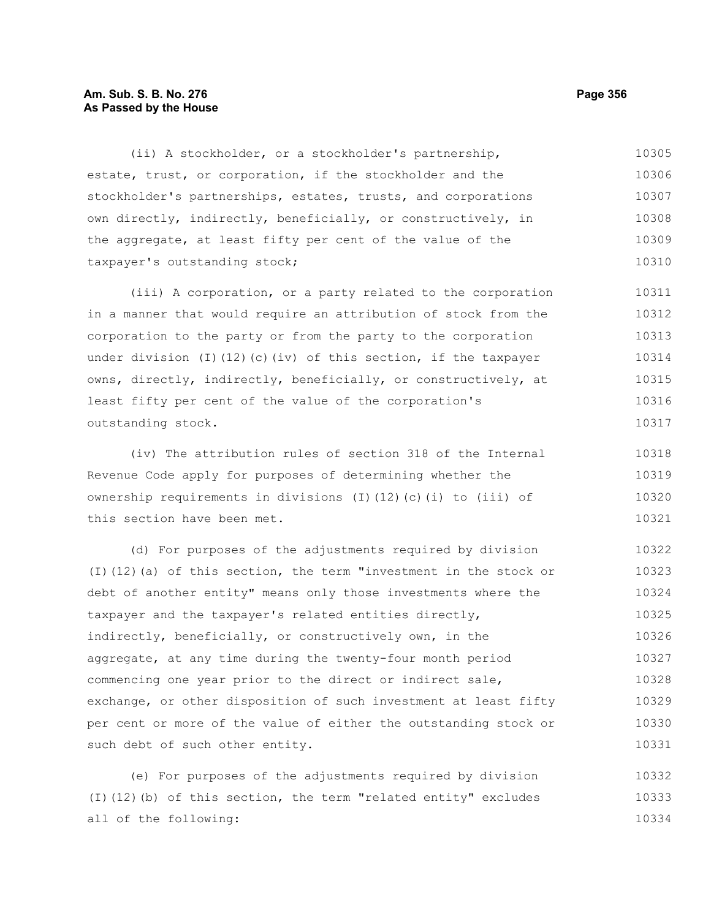#### **Am. Sub. S. B. No. 276 Page 356 As Passed by the House**

(ii) A stockholder, or a stockholder's partnership, estate, trust, or corporation, if the stockholder and the stockholder's partnerships, estates, trusts, and corporations own directly, indirectly, beneficially, or constructively, in the aggregate, at least fifty per cent of the value of the taxpayer's outstanding stock; 10305 10306 10307 10308 10309 10310

(iii) A corporation, or a party related to the corporation in a manner that would require an attribution of stock from the corporation to the party or from the party to the corporation under division (I)(12)(c)(iv) of this section, if the taxpayer owns, directly, indirectly, beneficially, or constructively, at least fifty per cent of the value of the corporation's outstanding stock. 10311 10312 10313 10314 10315 10316 10317

(iv) The attribution rules of section 318 of the Internal Revenue Code apply for purposes of determining whether the ownership requirements in divisions (I)(12)(c)(i) to (iii) of this section have been met. 10318 10319 10320 10321

(d) For purposes of the adjustments required by division (I)(12)(a) of this section, the term "investment in the stock or debt of another entity" means only those investments where the taxpayer and the taxpayer's related entities directly, indirectly, beneficially, or constructively own, in the aggregate, at any time during the twenty-four month period commencing one year prior to the direct or indirect sale, exchange, or other disposition of such investment at least fifty per cent or more of the value of either the outstanding stock or such debt of such other entity. 10322 10323 10324 10325 10326 10327 10328 10329 10330 10331

(e) For purposes of the adjustments required by division (I)(12)(b) of this section, the term "related entity" excludes all of the following: 10332 10333 10334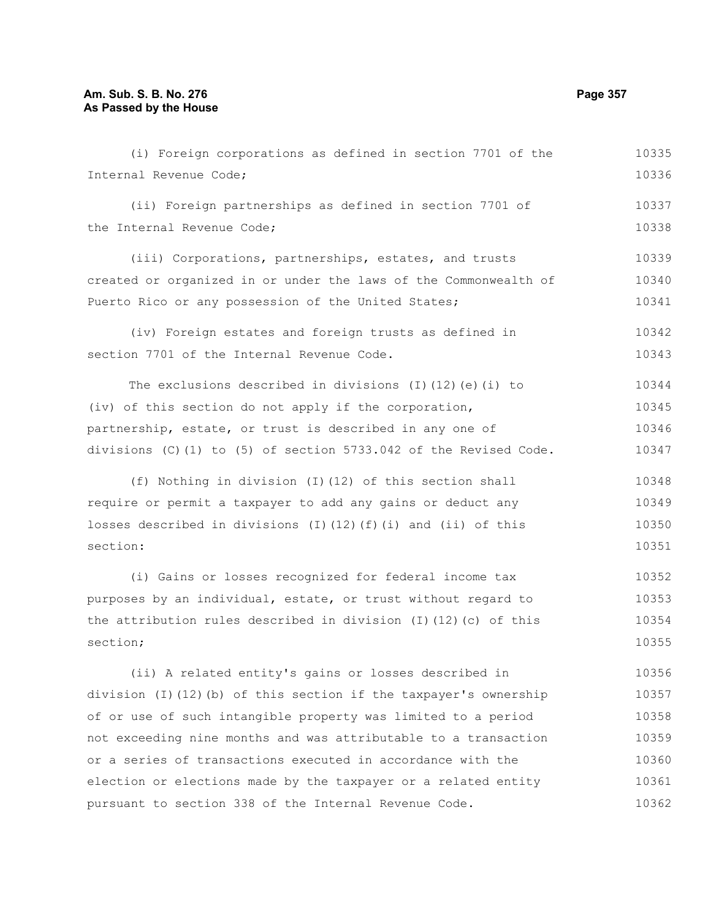Internal Revenue Code; (ii) Foreign partnerships as defined in section 7701 of the Internal Revenue Code; (iii) Corporations, partnerships, estates, and trusts created or organized in or under the laws of the Commonwealth of Puerto Rico or any possession of the United States; (iv) Foreign estates and foreign trusts as defined in section 7701 of the Internal Revenue Code. The exclusions described in divisions (I)(12)(e)(i) to (iv) of this section do not apply if the corporation, partnership, estate, or trust is described in any one of divisions (C)(1) to (5) of section 5733.042 of the Revised Code. (f) Nothing in division (I)(12) of this section shall require or permit a taxpayer to add any gains or deduct any losses described in divisions  $(I)(12)(f)(i)$  and  $(ii)$  of this section: (i) Gains or losses recognized for federal income tax purposes by an individual, estate, or trust without regard to the attribution rules described in division (I)(12)(c) of this section; (ii) A related entity's gains or losses described in division (I)(12)(b) of this section if the taxpayer's ownership of or use of such intangible property was limited to a period not exceeding nine months and was attributable to a transaction or a series of transactions executed in accordance with the election or elections made by the taxpayer or a related entity pursuant to section 338 of the Internal Revenue Code. 10336 10337 10338 10339 10340 10341 10342 10343 10344 10345 10346 10347 10348 10349 10350 10351 10352 10353 10354 10355 10356 10357 10358 10359 10360 10361 10362

(i) Foreign corporations as defined in section 7701 of the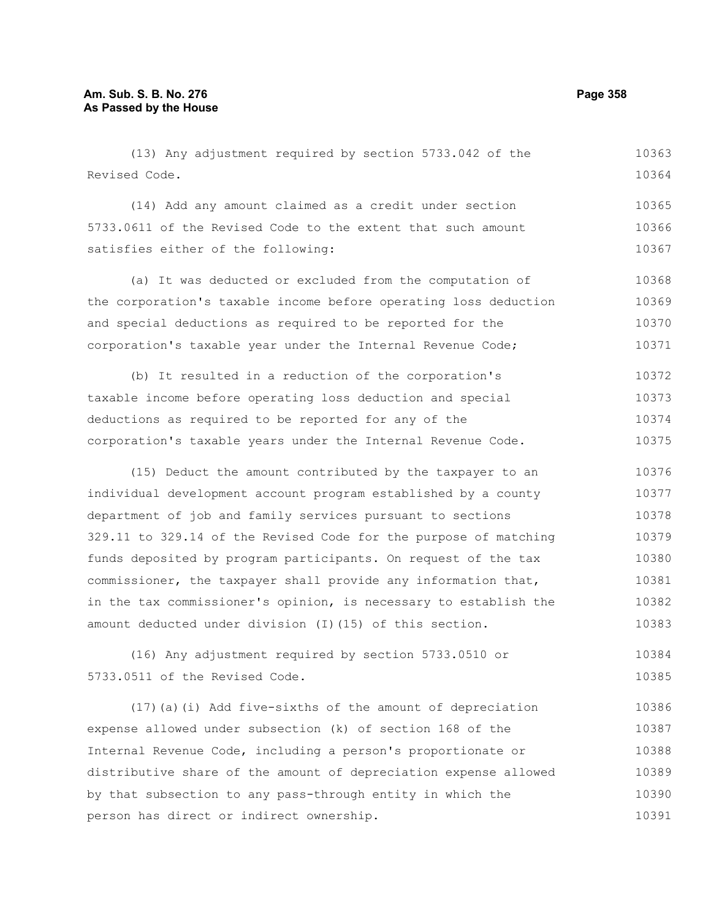(13) Any adjustment required by section 5733.042 of the Revised Code. 10363 10364

(14) Add any amount claimed as a credit under section 5733.0611 of the Revised Code to the extent that such amount satisfies either of the following: 10365 10366 10367

(a) It was deducted or excluded from the computation of the corporation's taxable income before operating loss deduction and special deductions as required to be reported for the corporation's taxable year under the Internal Revenue Code; 10368 10369 10370 10371

(b) It resulted in a reduction of the corporation's taxable income before operating loss deduction and special deductions as required to be reported for any of the corporation's taxable years under the Internal Revenue Code. 10372 10373 10374 10375

(15) Deduct the amount contributed by the taxpayer to an individual development account program established by a county department of job and family services pursuant to sections 329.11 to 329.14 of the Revised Code for the purpose of matching funds deposited by program participants. On request of the tax commissioner, the taxpayer shall provide any information that, in the tax commissioner's opinion, is necessary to establish the amount deducted under division (I)(15) of this section. 10376 10377 10378 10379 10380 10381 10382 10383

(16) Any adjustment required by section 5733.0510 or 5733.0511 of the Revised Code. 10384 10385

(17)(a)(i) Add five-sixths of the amount of depreciation expense allowed under subsection (k) of section 168 of the Internal Revenue Code, including a person's proportionate or distributive share of the amount of depreciation expense allowed by that subsection to any pass-through entity in which the person has direct or indirect ownership. 10386 10387 10388 10389 10390 10391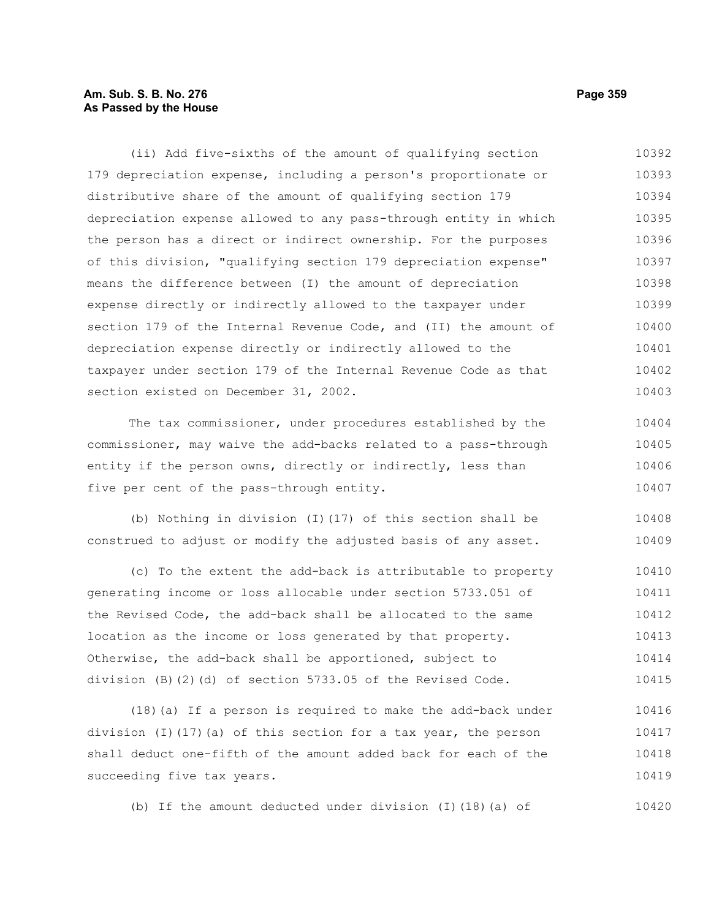### **Am. Sub. S. B. No. 276 Page 359 As Passed by the House**

(ii) Add five-sixths of the amount of qualifying section 179 depreciation expense, including a person's proportionate or distributive share of the amount of qualifying section 179 depreciation expense allowed to any pass-through entity in which the person has a direct or indirect ownership. For the purposes of this division, "qualifying section 179 depreciation expense" means the difference between (I) the amount of depreciation expense directly or indirectly allowed to the taxpayer under section 179 of the Internal Revenue Code, and (II) the amount of depreciation expense directly or indirectly allowed to the taxpayer under section 179 of the Internal Revenue Code as that section existed on December 31, 2002. The tax commissioner, under procedures established by the commissioner, may waive the add-backs related to a pass-through 10392 10393 10394 10395 10396 10397 10398 10399 10400 10401 10402 10403 10404

entity if the person owns, directly or indirectly, less than five per cent of the pass-through entity. 10405 10406 10407

(b) Nothing in division (I)(17) of this section shall be construed to adjust or modify the adjusted basis of any asset. 10408 10409

(c) To the extent the add-back is attributable to property generating income or loss allocable under section 5733.051 of the Revised Code, the add-back shall be allocated to the same location as the income or loss generated by that property. Otherwise, the add-back shall be apportioned, subject to division (B)(2)(d) of section 5733.05 of the Revised Code. 10410 10411 10412 10413 10414 10415

(18)(a) If a person is required to make the add-back under division (I)(17)(a) of this section for a tax year, the person shall deduct one-fifth of the amount added back for each of the succeeding five tax years. 10416 10417 10418 10419

(b) If the amount deducted under division (I)(18)(a) of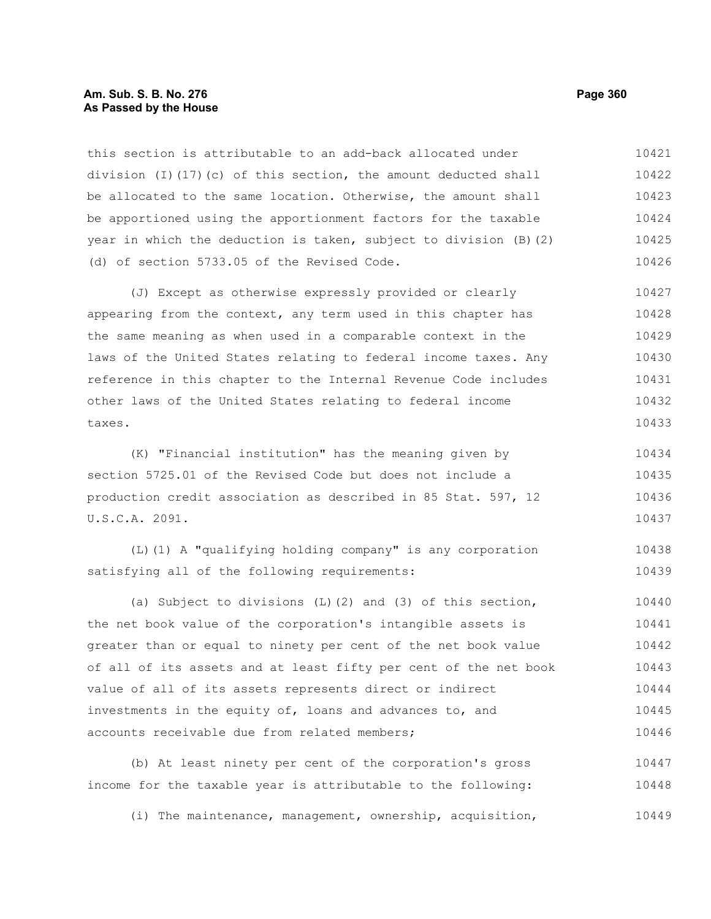#### **Am. Sub. S. B. No. 276 Page 360 As Passed by the House**

this section is attributable to an add-back allocated under division (I)(17)(c) of this section, the amount deducted shall be allocated to the same location. Otherwise, the amount shall be apportioned using the apportionment factors for the taxable year in which the deduction is taken, subject to division (B)(2) (d) of section 5733.05 of the Revised Code. 10421 10422 10423 10424 10425 10426

(J) Except as otherwise expressly provided or clearly appearing from the context, any term used in this chapter has the same meaning as when used in a comparable context in the laws of the United States relating to federal income taxes. Any reference in this chapter to the Internal Revenue Code includes other laws of the United States relating to federal income taxes. 10427 10428 10429 10430 10431 10432 10433

(K) "Financial institution" has the meaning given by section 5725.01 of the Revised Code but does not include a production credit association as described in 85 Stat. 597, 12 U.S.C.A. 2091. 10434 10435 10436 10437

(L)(1) A "qualifying holding company" is any corporation satisfying all of the following requirements: 10438 10439

(a) Subject to divisions (L)(2) and (3) of this section, the net book value of the corporation's intangible assets is greater than or equal to ninety per cent of the net book value of all of its assets and at least fifty per cent of the net book value of all of its assets represents direct or indirect investments in the equity of, loans and advances to, and accounts receivable due from related members; 10440 10441 10442 10443 10444 10445 10446

(b) At least ninety per cent of the corporation's gross income for the taxable year is attributable to the following: 10447 10448

(i) The maintenance, management, ownership, acquisition, 10449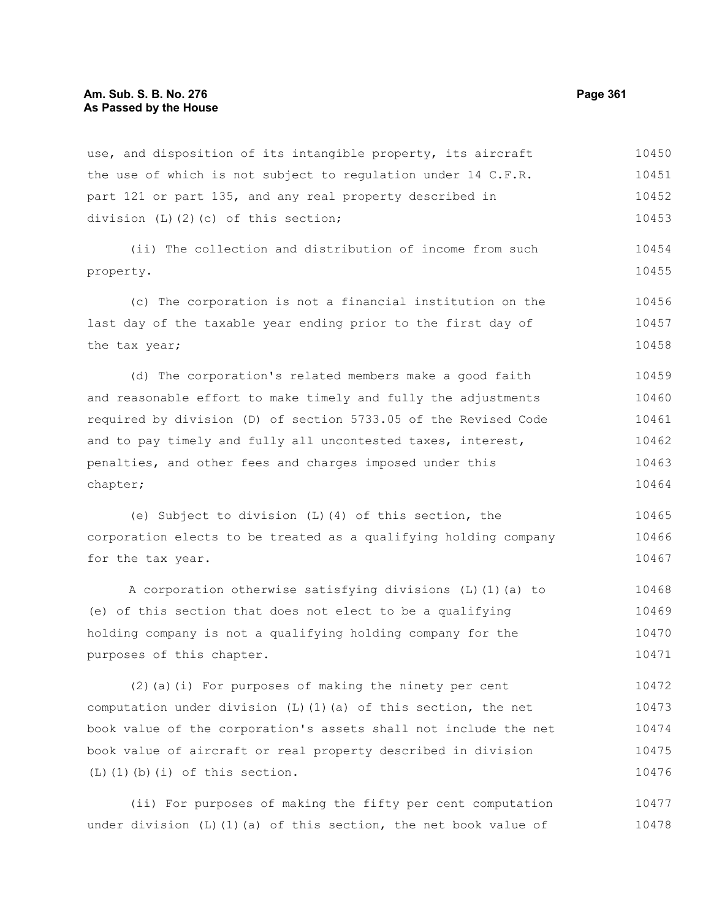use, and disposition of its intangible property, its aircraft the use of which is not subject to regulation under 14 C.F.R. part 121 or part 135, and any real property described in division (L)(2)(c) of this section; 10450 10451 10452 10453

(ii) The collection and distribution of income from such property. 10454 10455

(c) The corporation is not a financial institution on the last day of the taxable year ending prior to the first day of the tax year; 10456 10457 10458

(d) The corporation's related members make a good faith and reasonable effort to make timely and fully the adjustments required by division (D) of section 5733.05 of the Revised Code and to pay timely and fully all uncontested taxes, interest, penalties, and other fees and charges imposed under this chapter; 10459 10460 10461 10462 10463 10464

(e) Subject to division (L)(4) of this section, the corporation elects to be treated as a qualifying holding company for the tax year. 10465 10466 10467

A corporation otherwise satisfying divisions (L)(1)(a) to (e) of this section that does not elect to be a qualifying holding company is not a qualifying holding company for the purposes of this chapter. 10468 10469 10470 10471

(2)(a)(i) For purposes of making the ninety per cent computation under division  $(L)$  (1)(a) of this section, the net book value of the corporation's assets shall not include the net book value of aircraft or real property described in division (L)(1)(b)(i) of this section. 10472 10473 10474 10475 10476

(ii) For purposes of making the fifty per cent computation under division  $(L)$  (1)(a) of this section, the net book value of 10477 10478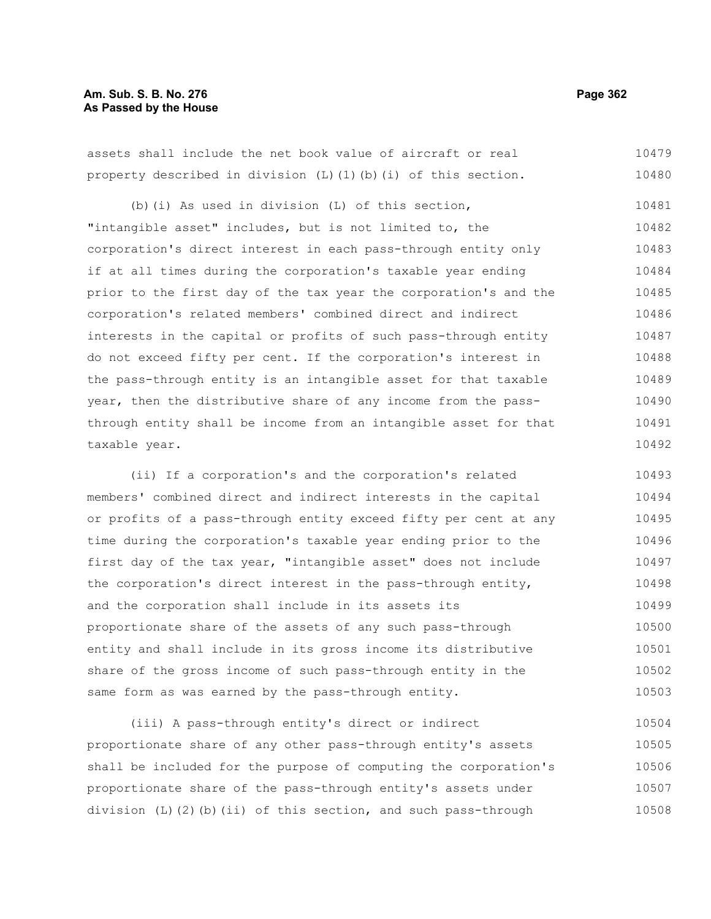# **Am. Sub. S. B. No. 276 Page 362 As Passed by the House**

assets shall include the net book value of aircraft or real property described in division  $(L)$  (1)(b)(i) of this section. 10479 10480

(b)(i) As used in division (L) of this section, "intangible asset" includes, but is not limited to, the corporation's direct interest in each pass-through entity only if at all times during the corporation's taxable year ending prior to the first day of the tax year the corporation's and the corporation's related members' combined direct and indirect interests in the capital or profits of such pass-through entity do not exceed fifty per cent. If the corporation's interest in the pass-through entity is an intangible asset for that taxable year, then the distributive share of any income from the passthrough entity shall be income from an intangible asset for that taxable year. 10481 10482 10483 10484 10485 10486 10487 10488 10489 10490 10491 10492

(ii) If a corporation's and the corporation's related members' combined direct and indirect interests in the capital or profits of a pass-through entity exceed fifty per cent at any time during the corporation's taxable year ending prior to the first day of the tax year, "intangible asset" does not include the corporation's direct interest in the pass-through entity, and the corporation shall include in its assets its proportionate share of the assets of any such pass-through entity and shall include in its gross income its distributive share of the gross income of such pass-through entity in the same form as was earned by the pass-through entity. 10493 10494 10495 10496 10497 10498 10499 10500 10501 10502 10503

(iii) A pass-through entity's direct or indirect proportionate share of any other pass-through entity's assets shall be included for the purpose of computing the corporation's proportionate share of the pass-through entity's assets under division (L)(2)(b)(ii) of this section, and such pass-through 10504 10505 10506 10507 10508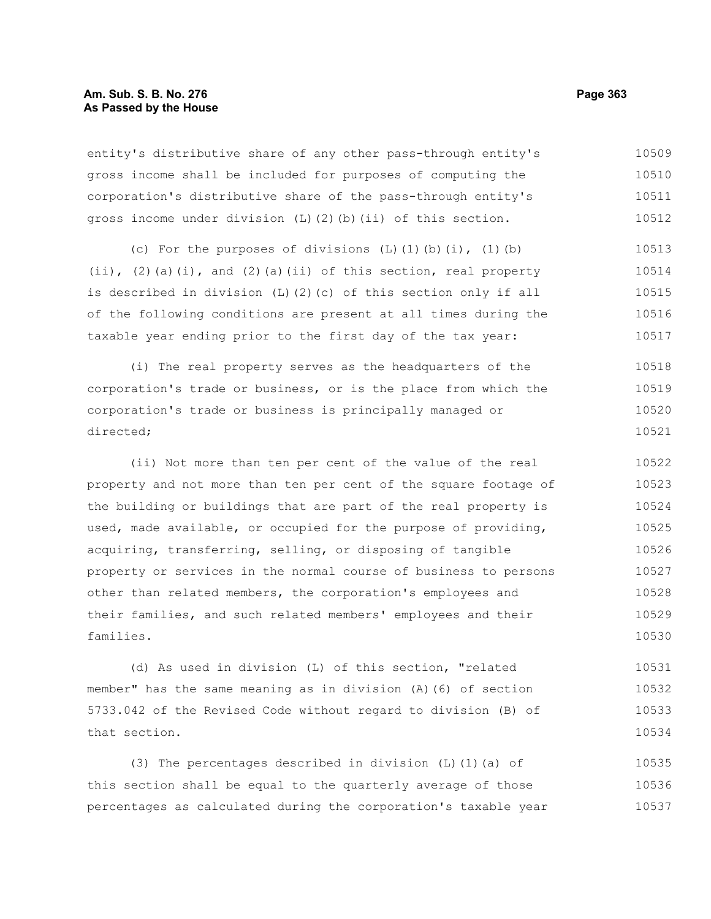entity's distributive share of any other pass-through entity's gross income shall be included for purposes of computing the corporation's distributive share of the pass-through entity's gross income under division (L)(2)(b)(ii) of this section. 10509 10510 10511 10512

(c) For the purposes of divisions  $(L)$   $(1)$   $(b)$   $(i)$ ,  $(1)$   $(b)$  $(i)$ ,  $(2)$  (a)(i), and  $(2)$  (a)(ii) of this section, real property is described in division (L)(2)(c) of this section only if all of the following conditions are present at all times during the taxable year ending prior to the first day of the tax year: 10513 10514 10515 10516 10517

(i) The real property serves as the headquarters of the corporation's trade or business, or is the place from which the corporation's trade or business is principally managed or directed; 10518 10519 10520 10521

(ii) Not more than ten per cent of the value of the real property and not more than ten per cent of the square footage of the building or buildings that are part of the real property is used, made available, or occupied for the purpose of providing, acquiring, transferring, selling, or disposing of tangible property or services in the normal course of business to persons other than related members, the corporation's employees and their families, and such related members' employees and their families. 10522 10523 10524 10525 10526 10527 10528 10529 10530

(d) As used in division (L) of this section, "related member" has the same meaning as in division (A)(6) of section 5733.042 of the Revised Code without regard to division (B) of that section. 10531 10532 10533 10534

(3) The percentages described in division (L)(1)(a) of this section shall be equal to the quarterly average of those percentages as calculated during the corporation's taxable year 10535 10536 10537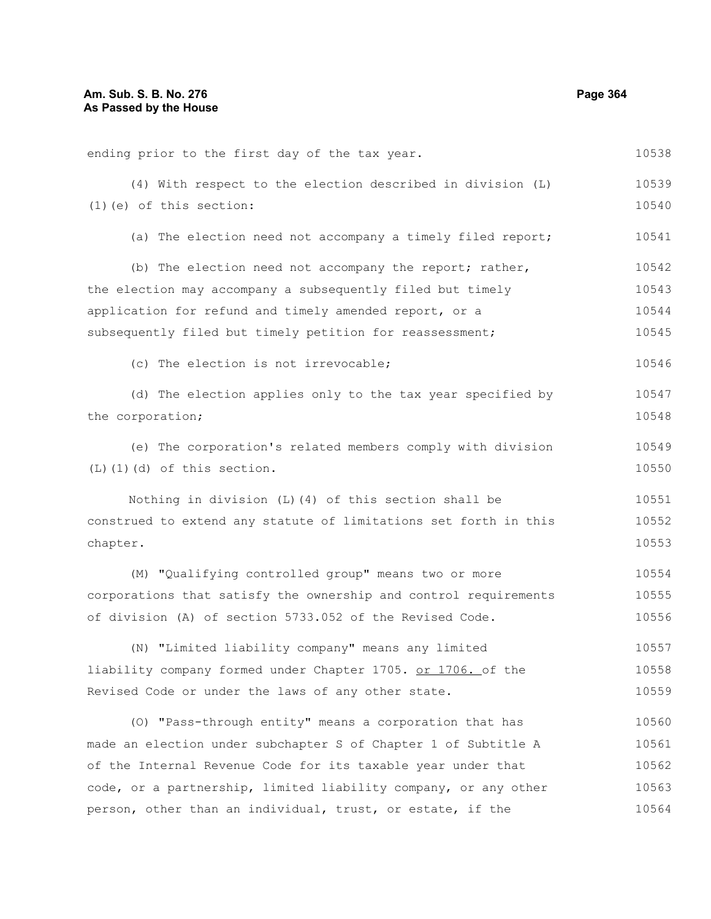| ending prior to the first day of the tax year.                   | 10538 |
|------------------------------------------------------------------|-------|
| (4) With respect to the election described in division (L)       | 10539 |
| $(1)$ (e) of this section:                                       | 10540 |
| (a) The election need not accompany a timely filed report;       | 10541 |
| (b) The election need not accompany the report; rather,          | 10542 |
| the election may accompany a subsequently filed but timely       | 10543 |
| application for refund and timely amended report, or a           | 10544 |
| subsequently filed but timely petition for reassessment;         | 10545 |
| (c) The election is not irrevocable;                             | 10546 |
| (d) The election applies only to the tax year specified by       | 10547 |
| the corporation;                                                 | 10548 |
| (e) The corporation's related members comply with division       | 10549 |
| $(L)$ $(1)$ $(d)$ of this section.                               | 10550 |
| Nothing in division (L) (4) of this section shall be             | 10551 |
| construed to extend any statute of limitations set forth in this | 10552 |
| chapter.                                                         | 10553 |
| (M) "Qualifying controlled group" means two or more              | 10554 |
| corporations that satisfy the ownership and control requirements | 10555 |
| of division (A) of section 5733.052 of the Revised Code.         | 10556 |
| (N) "Limited liability company" means any limited                | 10557 |
| liability company formed under Chapter 1705. or 1706. of the     | 10558 |
| Revised Code or under the laws of any other state.               | 10559 |
| (O) "Pass-through entity" means a corporation that has           | 10560 |
| made an election under subchapter S of Chapter 1 of Subtitle A   | 10561 |
| of the Internal Revenue Code for its taxable year under that     | 10562 |
| code, or a partnership, limited liability company, or any other  | 10563 |
| person, other than an individual, trust, or estate, if the       | 10564 |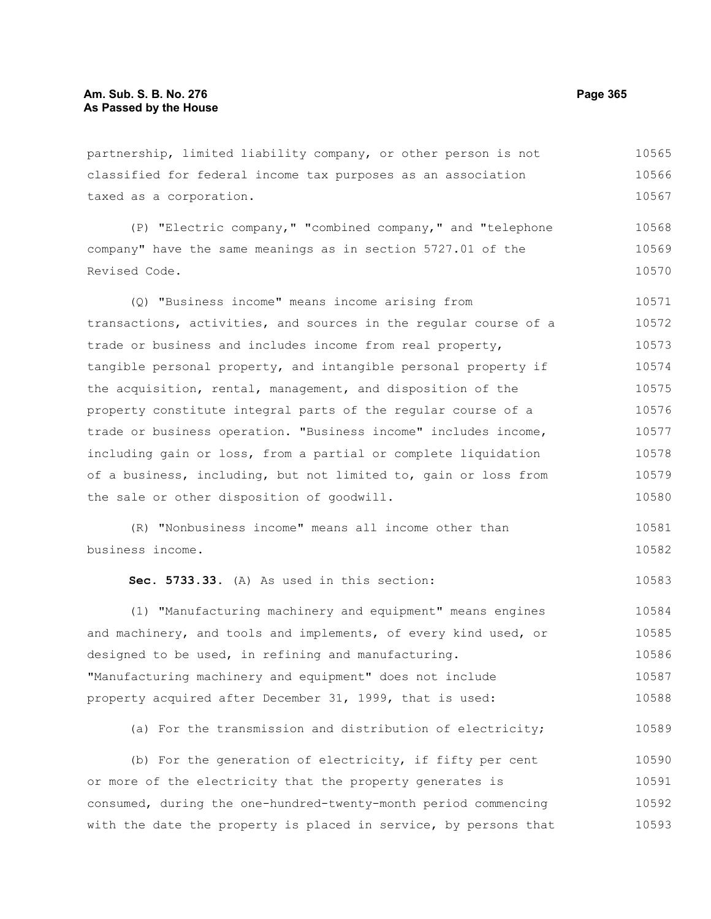partnership, limited liability company, or other person is not classified for federal income tax purposes as an association taxed as a corporation. 10565 10566 10567

(P) "Electric company," "combined company," and "telephone company" have the same meanings as in section 5727.01 of the Revised Code. 10568 10569 10570

(Q) "Business income" means income arising from transactions, activities, and sources in the regular course of a trade or business and includes income from real property, tangible personal property, and intangible personal property if the acquisition, rental, management, and disposition of the property constitute integral parts of the regular course of a trade or business operation. "Business income" includes income, including gain or loss, from a partial or complete liquidation of a business, including, but not limited to, gain or loss from the sale or other disposition of goodwill. 10571 10572 10573 10574 10575 10576 10577 10578 10579 10580

(R) "Nonbusiness income" means all income other than business income. 10581 10582

**Sec. 5733.33.** (A) As used in this section:

(1) "Manufacturing machinery and equipment" means engines and machinery, and tools and implements, of every kind used, or designed to be used, in refining and manufacturing. "Manufacturing machinery and equipment" does not include property acquired after December 31, 1999, that is used: 10584 10585 10586 10587 10588

(a) For the transmission and distribution of electricity; 10589

(b) For the generation of electricity, if fifty per cent or more of the electricity that the property generates is consumed, during the one-hundred-twenty-month period commencing with the date the property is placed in service, by persons that 10590 10591 10592 10593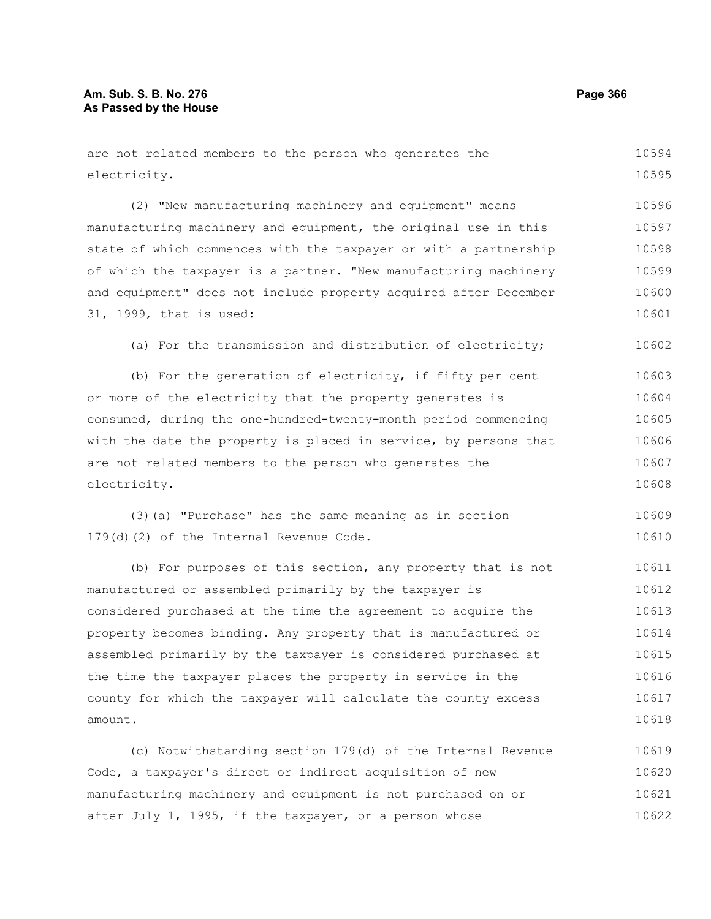| are not related members to the person who generates the          | 10594 |
|------------------------------------------------------------------|-------|
| electricity.                                                     | 10595 |
| (2) "New manufacturing machinery and equipment" means            | 10596 |
| manufacturing machinery and equipment, the original use in this  | 10597 |
| state of which commences with the taxpayer or with a partnership | 10598 |
| of which the taxpayer is a partner. "New manufacturing machinery | 10599 |
| and equipment" does not include property acquired after December | 10600 |
| 31, 1999, that is used:                                          | 10601 |
| (a) For the transmission and distribution of electricity;        | 10602 |
| (b) For the generation of electricity, if fifty per cent         | 10603 |
| or more of the electricity that the property generates is        | 10604 |
| consumed, during the one-hundred-twenty-month period commencing  | 10605 |
| with the date the property is placed in service, by persons that | 10606 |
| are not related members to the person who generates the          | 10607 |
| electricity.                                                     | 10608 |
| (3) (a) "Purchase" has the same meaning as in section            | 10609 |
| 179(d)(2) of the Internal Revenue Code.                          | 10610 |
| (b) For purposes of this section, any property that is not       | 10611 |
| manufactured or assembled primarily by the taxpayer is           | 10612 |
| considered purchased at the time the agreement to acquire the    | 10613 |
| property becomes binding. Any property that is manufactured or   | 10614 |
| assembled primarily by the taxpayer is considered purchased at   | 10615 |
| the time the taxpayer places the property in service in the      | 10616 |
| county for which the taxpayer will calculate the county excess   | 10617 |
| amount.                                                          | 10618 |

(c) Notwithstanding section 179(d) of the Internal Revenue Code, a taxpayer's direct or indirect acquisition of new manufacturing machinery and equipment is not purchased on or after July 1, 1995, if the taxpayer, or a person whose 10619 10620 10621 10622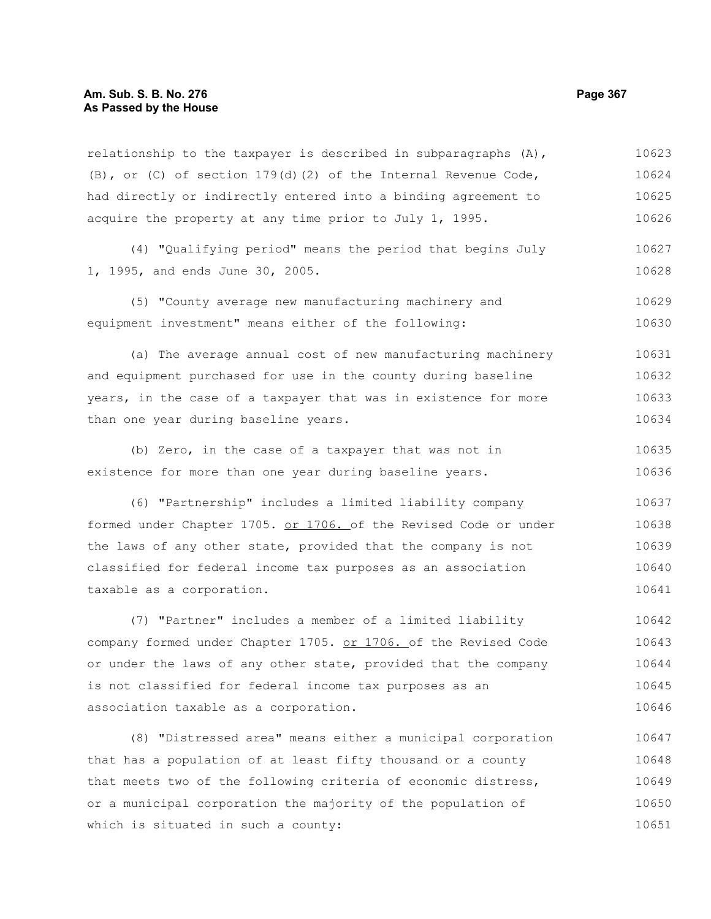relationship to the taxpayer is described in subparagraphs  $(A)$ , (B), or (C) of section  $179(d)$  (2) of the Internal Revenue Code, had directly or indirectly entered into a binding agreement to acquire the property at any time prior to July 1, 1995. 10623 10624 10625 10626

(4) "Qualifying period" means the period that begins July 1, 1995, and ends June 30, 2005. 10627 10628

(5) "County average new manufacturing machinery and equipment investment" means either of the following: 10629 10630

(a) The average annual cost of new manufacturing machinery and equipment purchased for use in the county during baseline years, in the case of a taxpayer that was in existence for more than one year during baseline years. 10631 10632 10633 10634

(b) Zero, in the case of a taxpayer that was not in existence for more than one year during baseline years. 10635 10636

(6) "Partnership" includes a limited liability company formed under Chapter 1705. or 1706. of the Revised Code or under the laws of any other state, provided that the company is not classified for federal income tax purposes as an association taxable as a corporation. 10637 10638 10639 10640 10641

(7) "Partner" includes a member of a limited liability company formed under Chapter 1705. or 1706. of the Revised Code or under the laws of any other state, provided that the company is not classified for federal income tax purposes as an association taxable as a corporation. 10642 10643 10644 10645 10646

(8) "Distressed area" means either a municipal corporation that has a population of at least fifty thousand or a county that meets two of the following criteria of economic distress, or a municipal corporation the majority of the population of which is situated in such a county: 10647 10648 10649 10650 10651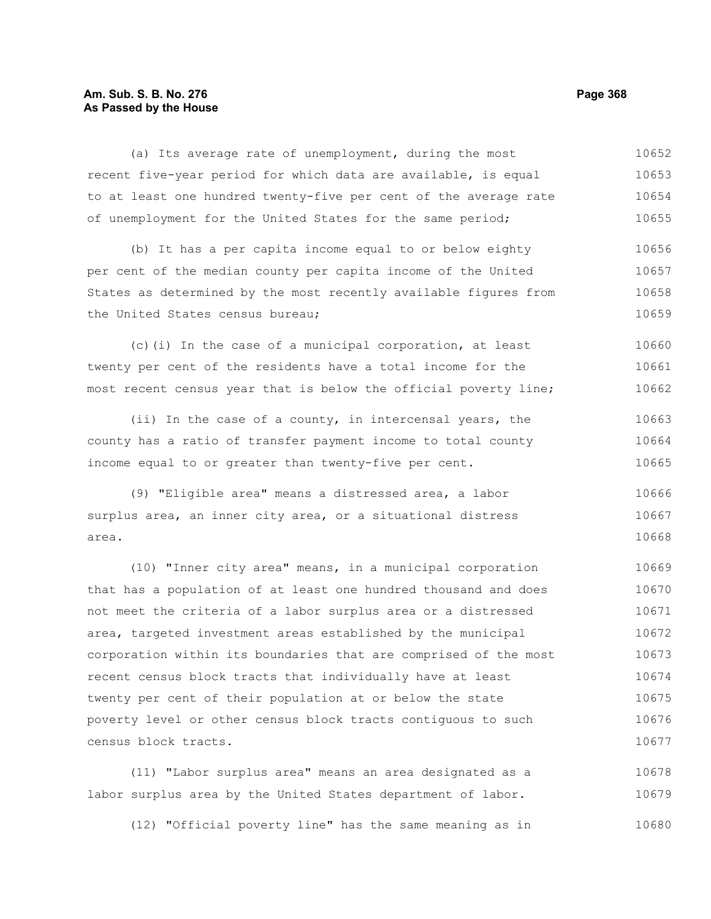# **Am. Sub. S. B. No. 276 Page 368 As Passed by the House**

census block tracts.

(a) Its average rate of unemployment, during the most recent five-year period for which data are available, is equal to at least one hundred twenty-five per cent of the average rate of unemployment for the United States for the same period; (b) It has a per capita income equal to or below eighty per cent of the median county per capita income of the United States as determined by the most recently available figures from the United States census bureau; (c)(i) In the case of a municipal corporation, at least twenty per cent of the residents have a total income for the most recent census year that is below the official poverty line; (ii) In the case of a county, in intercensal years, the county has a ratio of transfer payment income to total county income equal to or greater than twenty-five per cent. (9) "Eligible area" means a distressed area, a labor surplus area, an inner city area, or a situational distress area. (10) "Inner city area" means, in a municipal corporation that has a population of at least one hundred thousand and does not meet the criteria of a labor surplus area or a distressed area, targeted investment areas established by the municipal corporation within its boundaries that are comprised of the most recent census block tracts that individually have at least twenty per cent of their population at or below the state poverty level or other census block tracts contiguous to such 10652 10653 10654 10655 10656 10657 10658 10659 10660 10661 10662 10663 10664 10665 10666 10667 10668 10669 10670 10671 10672 10673 10674 10675 10676

(11) "Labor surplus area" means an area designated as a labor surplus area by the United States department of labor. 10678 10679

(12) "Official poverty line" has the same meaning as in 10680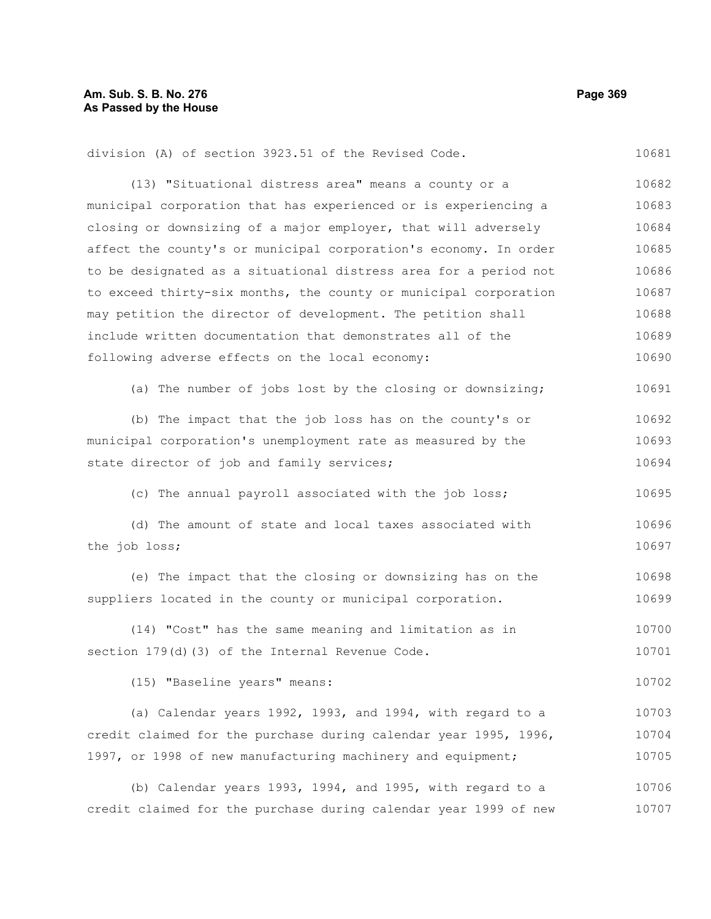10681

division (A) of section 3923.51 of the Revised Code.

(13) "Situational distress area" means a county or a municipal corporation that has experienced or is experiencing a closing or downsizing of a major employer, that will adversely affect the county's or municipal corporation's economy. In order to be designated as a situational distress area for a period not to exceed thirty-six months, the county or municipal corporation may petition the director of development. The petition shall include written documentation that demonstrates all of the following adverse effects on the local economy: (a) The number of jobs lost by the closing or downsizing; (b) The impact that the job loss has on the county's or municipal corporation's unemployment rate as measured by the state director of job and family services; (c) The annual payroll associated with the job loss; (d) The amount of state and local taxes associated with the job loss; (e) The impact that the closing or downsizing has on the suppliers located in the county or municipal corporation. (14) "Cost" has the same meaning and limitation as in section 179(d)(3) of the Internal Revenue Code. (15) "Baseline years" means: (a) Calendar years 1992, 1993, and 1994, with regard to a credit claimed for the purchase during calendar year 1995, 1996, 1997, or 1998 of new manufacturing machinery and equipment; 10682 10683 10684 10685 10686 10687 10688 10689 10690 10691 10692 10693 10694 10695 10696 10697 10698 10699 10700 10701 10702 10703 10704 10705

(b) Calendar years 1993, 1994, and 1995, with regard to a credit claimed for the purchase during calendar year 1999 of new 10706 10707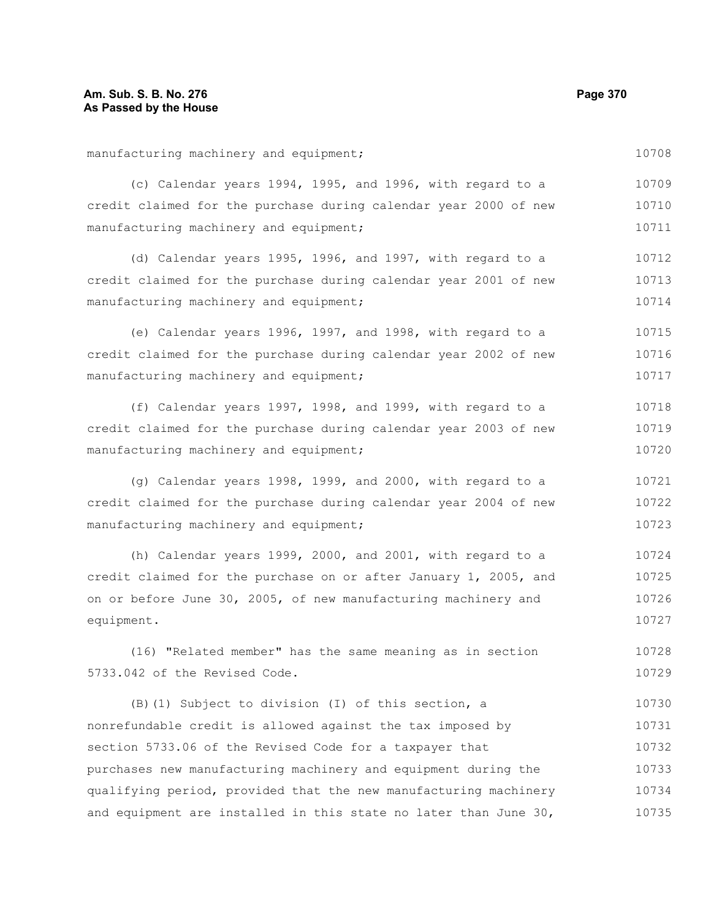manufacturing machinery and equipment; (c) Calendar years 1994, 1995, and 1996, with regard to a credit claimed for the purchase during calendar year 2000 of new manufacturing machinery and equipment; (d) Calendar years 1995, 1996, and 1997, with regard to a credit claimed for the purchase during calendar year 2001 of new manufacturing machinery and equipment; (e) Calendar years 1996, 1997, and 1998, with regard to a credit claimed for the purchase during calendar year 2002 of new manufacturing machinery and equipment; (f) Calendar years 1997, 1998, and 1999, with regard to a credit claimed for the purchase during calendar year 2003 of new manufacturing machinery and equipment; (g) Calendar years 1998, 1999, and 2000, with regard to a credit claimed for the purchase during calendar year 2004 of new manufacturing machinery and equipment; (h) Calendar years 1999, 2000, and 2001, with regard to a credit claimed for the purchase on or after January 1, 2005, and on or before June 30, 2005, of new manufacturing machinery and equipment. (16) "Related member" has the same meaning as in section 5733.042 of the Revised Code. (B)(1) Subject to division (I) of this section, a nonrefundable credit is allowed against the tax imposed by section 5733.06 of the Revised Code for a taxpayer that purchases new manufacturing machinery and equipment during the qualifying period, provided that the new manufacturing machinery 10708 10709 10710 10711 10712 10713 10714 10715 10716 10717 10718 10719 10720 10721 10722 10723 10724 10725 10726 10727 10728 10729 10730 10731 10732 10733 10734

and equipment are installed in this state no later than June 30,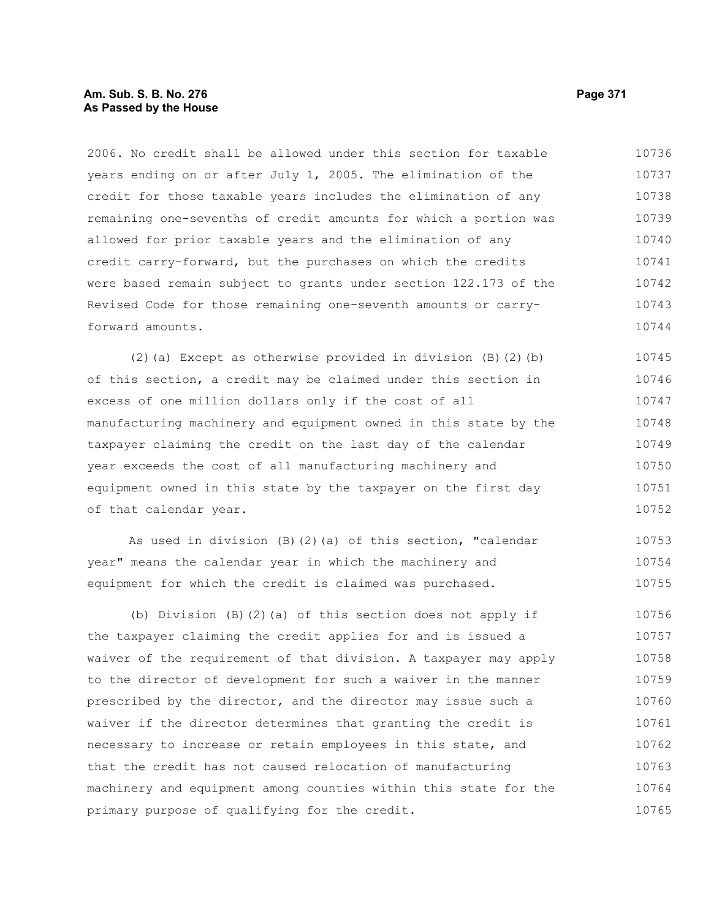# **Am. Sub. S. B. No. 276 Page 371 As Passed by the House**

2006. No credit shall be allowed under this section for taxable years ending on or after July 1, 2005. The elimination of the credit for those taxable years includes the elimination of any remaining one-sevenths of credit amounts for which a portion was allowed for prior taxable years and the elimination of any credit carry-forward, but the purchases on which the credits were based remain subject to grants under section 122.173 of the Revised Code for those remaining one-seventh amounts or carryforward amounts. 10736 10737 10738 10739 10740 10741 10742 10743 10744

(2)(a) Except as otherwise provided in division (B)(2)(b) of this section, a credit may be claimed under this section in excess of one million dollars only if the cost of all manufacturing machinery and equipment owned in this state by the taxpayer claiming the credit on the last day of the calendar year exceeds the cost of all manufacturing machinery and equipment owned in this state by the taxpayer on the first day of that calendar year. 10745 10746 10747 10748 10749 10750 10751 10752

As used in division (B)(2)(a) of this section, "calendar year" means the calendar year in which the machinery and equipment for which the credit is claimed was purchased. 10753 10754 10755

(b) Division (B)(2)(a) of this section does not apply if the taxpayer claiming the credit applies for and is issued a waiver of the requirement of that division. A taxpayer may apply to the director of development for such a waiver in the manner prescribed by the director, and the director may issue such a waiver if the director determines that granting the credit is necessary to increase or retain employees in this state, and that the credit has not caused relocation of manufacturing machinery and equipment among counties within this state for the primary purpose of qualifying for the credit. 10756 10757 10758 10759 10760 10761 10762 10763 10764 10765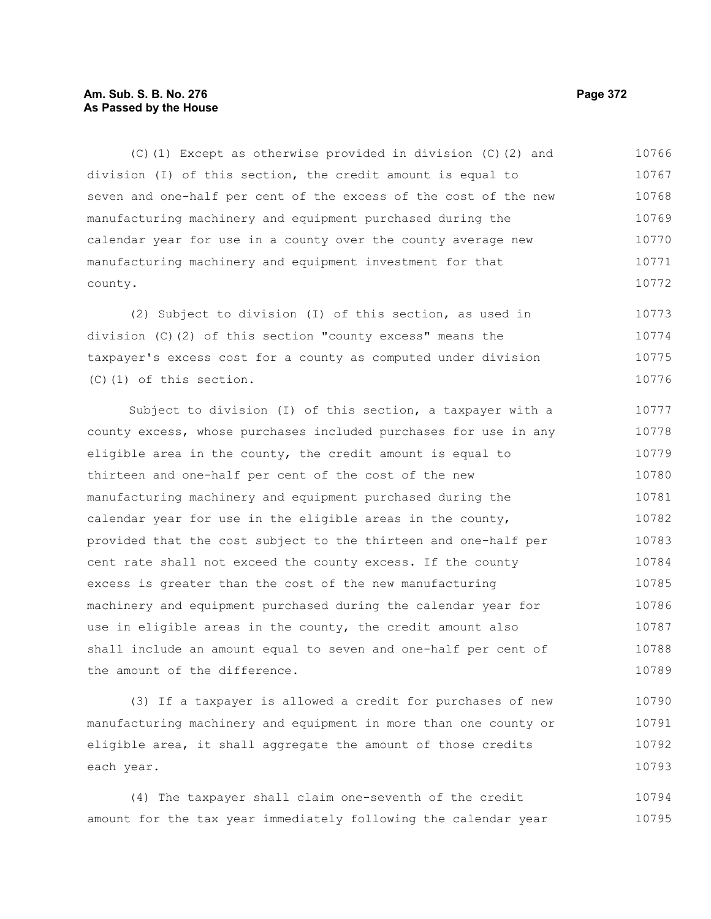# **Am. Sub. S. B. No. 276 Page 372 As Passed by the House**

(C)(1) Except as otherwise provided in division (C)(2) and division (I) of this section, the credit amount is equal to seven and one-half per cent of the excess of the cost of the new manufacturing machinery and equipment purchased during the calendar year for use in a county over the county average new manufacturing machinery and equipment investment for that county. 10766 10767 10768 10769 10770 10771 10772

(2) Subject to division (I) of this section, as used in division (C)(2) of this section "county excess" means the taxpayer's excess cost for a county as computed under division (C)(1) of this section. 10773 10774 10775 10776

Subject to division (I) of this section, a taxpayer with a county excess, whose purchases included purchases for use in any eligible area in the county, the credit amount is equal to thirteen and one-half per cent of the cost of the new manufacturing machinery and equipment purchased during the calendar year for use in the eligible areas in the county, provided that the cost subject to the thirteen and one-half per cent rate shall not exceed the county excess. If the county excess is greater than the cost of the new manufacturing machinery and equipment purchased during the calendar year for use in eligible areas in the county, the credit amount also shall include an amount equal to seven and one-half per cent of the amount of the difference. 10777 10778 10779 10780 10781 10782 10783 10784 10785 10786 10787 10788 10789

(3) If a taxpayer is allowed a credit for purchases of new manufacturing machinery and equipment in more than one county or eligible area, it shall aggregate the amount of those credits each year. 10790 10791 10792 10793

(4) The taxpayer shall claim one-seventh of the credit amount for the tax year immediately following the calendar year 10794 10795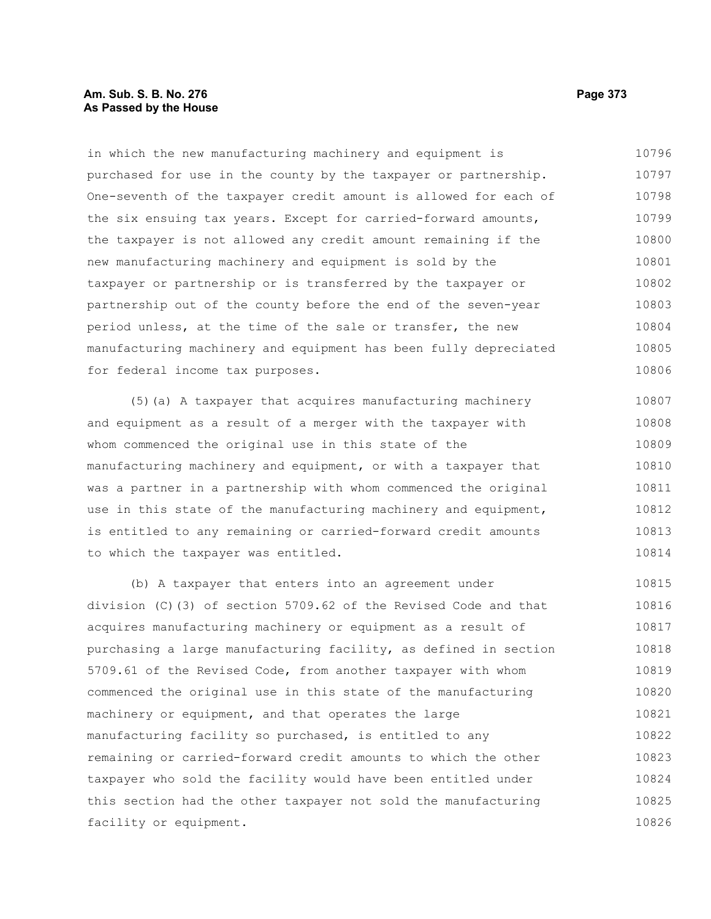#### **Am. Sub. S. B. No. 276 Page 373 As Passed by the House**

in which the new manufacturing machinery and equipment is purchased for use in the county by the taxpayer or partnership. One-seventh of the taxpayer credit amount is allowed for each of the six ensuing tax years. Except for carried-forward amounts, the taxpayer is not allowed any credit amount remaining if the new manufacturing machinery and equipment is sold by the taxpayer or partnership or is transferred by the taxpayer or partnership out of the county before the end of the seven-year period unless, at the time of the sale or transfer, the new manufacturing machinery and equipment has been fully depreciated for federal income tax purposes. 10796 10797 10798 10799 10800 10801 10802 10803 10804 10805 10806

(5)(a) A taxpayer that acquires manufacturing machinery and equipment as a result of a merger with the taxpayer with whom commenced the original use in this state of the manufacturing machinery and equipment, or with a taxpayer that was a partner in a partnership with whom commenced the original use in this state of the manufacturing machinery and equipment, is entitled to any remaining or carried-forward credit amounts to which the taxpayer was entitled. 10807 10808 10809 10810 10811 10812 10813 10814

(b) A taxpayer that enters into an agreement under division (C)(3) of section 5709.62 of the Revised Code and that acquires manufacturing machinery or equipment as a result of purchasing a large manufacturing facility, as defined in section 5709.61 of the Revised Code, from another taxpayer with whom commenced the original use in this state of the manufacturing machinery or equipment, and that operates the large manufacturing facility so purchased, is entitled to any remaining or carried-forward credit amounts to which the other taxpayer who sold the facility would have been entitled under this section had the other taxpayer not sold the manufacturing facility or equipment. 10815 10816 10817 10818 10819 10820 10821 10822 10823 10824 10825 10826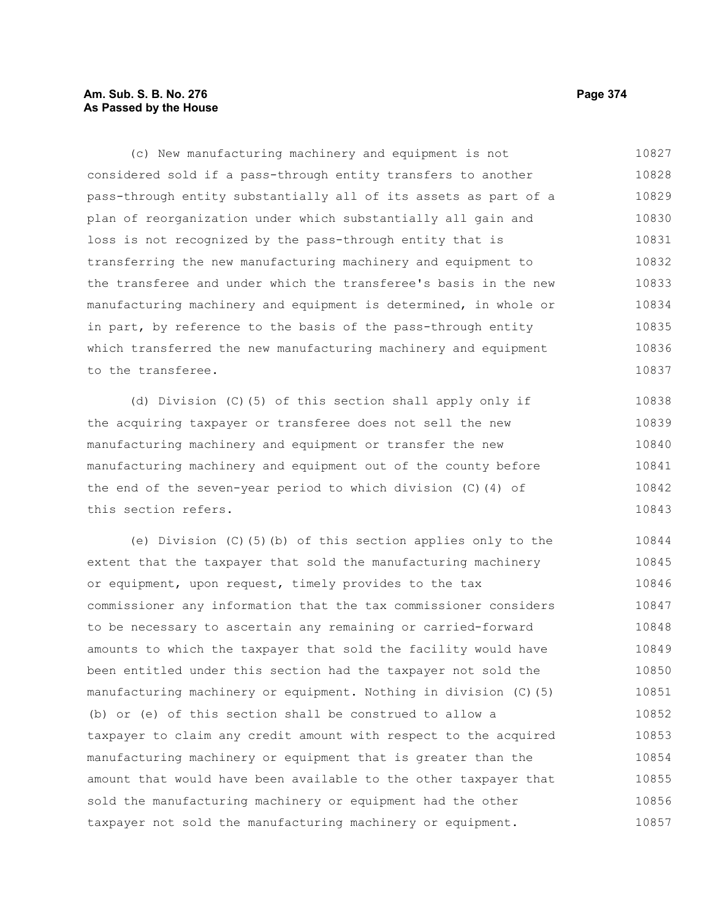# **Am. Sub. S. B. No. 276 Page 374** Page 374 **As Passed by the House**

(c) New manufacturing machinery and equipment is not considered sold if a pass-through entity transfers to another pass-through entity substantially all of its assets as part of a plan of reorganization under which substantially all gain and loss is not recognized by the pass-through entity that is transferring the new manufacturing machinery and equipment to the transferee and under which the transferee's basis in the new manufacturing machinery and equipment is determined, in whole or in part, by reference to the basis of the pass-through entity which transferred the new manufacturing machinery and equipment to the transferee. 10827 10828 10829 10830 10831 10832 10833 10834 10835 10836 10837

(d) Division (C)(5) of this section shall apply only if the acquiring taxpayer or transferee does not sell the new manufacturing machinery and equipment or transfer the new manufacturing machinery and equipment out of the county before the end of the seven-year period to which division (C)(4) of this section refers. 10838 10839 10840 10841 10842 10843

(e) Division (C)(5)(b) of this section applies only to the extent that the taxpayer that sold the manufacturing machinery or equipment, upon request, timely provides to the tax commissioner any information that the tax commissioner considers to be necessary to ascertain any remaining or carried-forward amounts to which the taxpayer that sold the facility would have been entitled under this section had the taxpayer not sold the manufacturing machinery or equipment. Nothing in division (C)(5) (b) or (e) of this section shall be construed to allow a taxpayer to claim any credit amount with respect to the acquired manufacturing machinery or equipment that is greater than the amount that would have been available to the other taxpayer that sold the manufacturing machinery or equipment had the other taxpayer not sold the manufacturing machinery or equipment. 10844 10845 10846 10847 10848 10849 10850 10851 10852 10853 10854 10855 10856 10857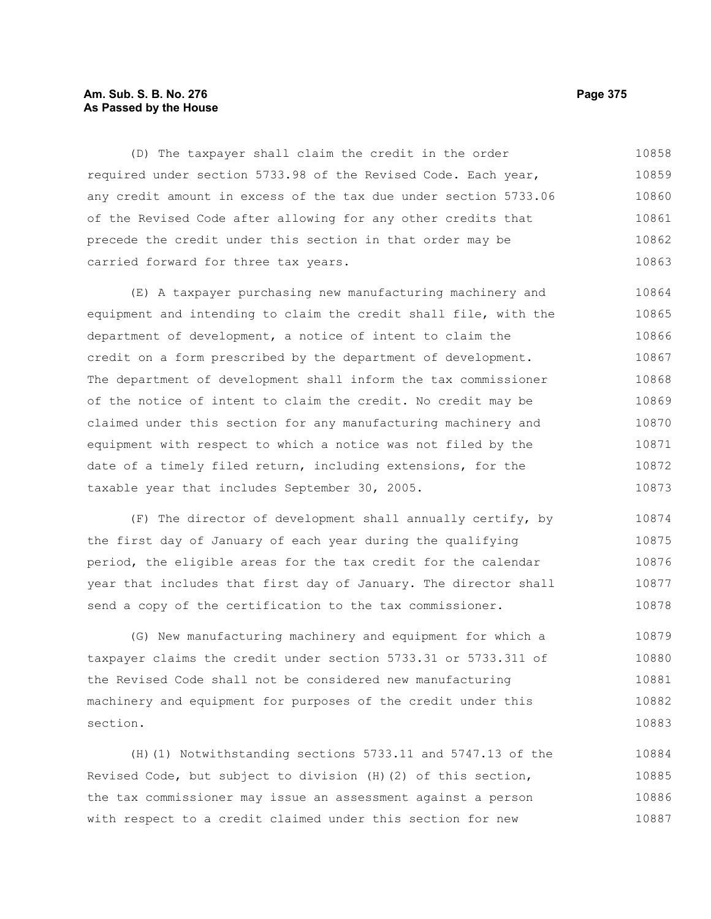# **Am. Sub. S. B. No. 276 Page 375** Page 375 **As Passed by the House**

(D) The taxpayer shall claim the credit in the order required under section 5733.98 of the Revised Code. Each year, any credit amount in excess of the tax due under section 5733.06 of the Revised Code after allowing for any other credits that precede the credit under this section in that order may be carried forward for three tax years. 10858 10859 10860 10861 10862 10863

(E) A taxpayer purchasing new manufacturing machinery and equipment and intending to claim the credit shall file, with the department of development, a notice of intent to claim the credit on a form prescribed by the department of development. The department of development shall inform the tax commissioner of the notice of intent to claim the credit. No credit may be claimed under this section for any manufacturing machinery and equipment with respect to which a notice was not filed by the date of a timely filed return, including extensions, for the taxable year that includes September 30, 2005. 10864 10865 10866 10867 10868 10869 10870 10871 10872 10873

(F) The director of development shall annually certify, by the first day of January of each year during the qualifying period, the eligible areas for the tax credit for the calendar year that includes that first day of January. The director shall send a copy of the certification to the tax commissioner. 10874 10875 10876 10877 10878

(G) New manufacturing machinery and equipment for which a taxpayer claims the credit under section 5733.31 or 5733.311 of the Revised Code shall not be considered new manufacturing machinery and equipment for purposes of the credit under this section. 10879 10880 10881 10882 10883

(H)(1) Notwithstanding sections 5733.11 and 5747.13 of the Revised Code, but subject to division (H)(2) of this section, the tax commissioner may issue an assessment against a person with respect to a credit claimed under this section for new 10884 10885 10886 10887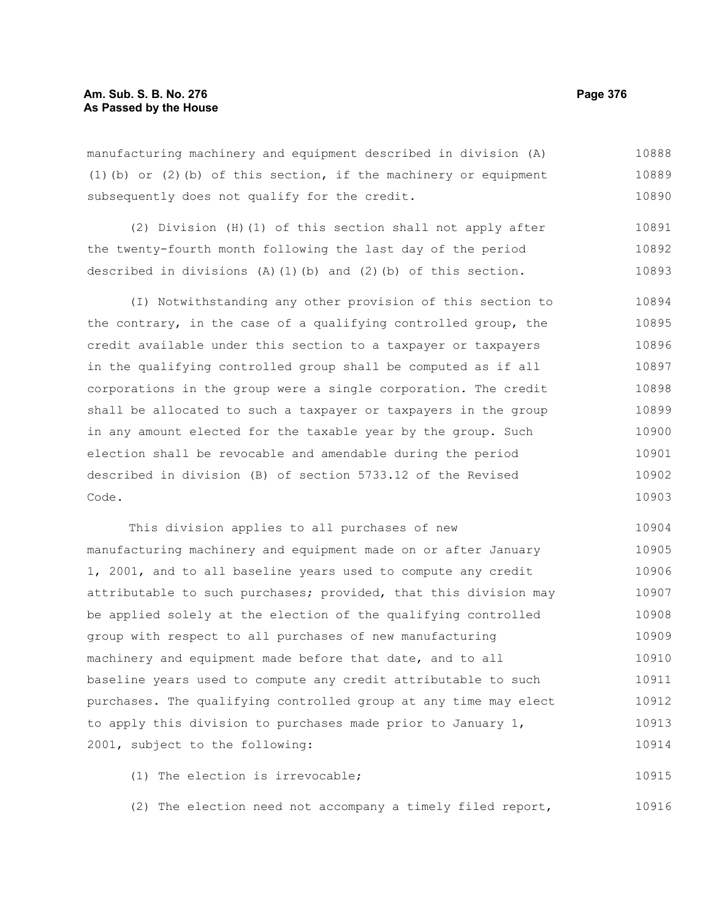manufacturing machinery and equipment described in division (A) (1)(b) or (2)(b) of this section, if the machinery or equipment subsequently does not qualify for the credit. 10888 10889 10890

(2) Division (H)(1) of this section shall not apply after the twenty-fourth month following the last day of the period described in divisions  $(A)$  (1)(b) and (2)(b) of this section. 10891 10892 10893

(I) Notwithstanding any other provision of this section to the contrary, in the case of a qualifying controlled group, the credit available under this section to a taxpayer or taxpayers in the qualifying controlled group shall be computed as if all corporations in the group were a single corporation. The credit shall be allocated to such a taxpayer or taxpayers in the group in any amount elected for the taxable year by the group. Such election shall be revocable and amendable during the period described in division (B) of section 5733.12 of the Revised Code. 10894 10895 10896 10897 10898 10899 10900 10901 10902 10903

This division applies to all purchases of new manufacturing machinery and equipment made on or after January 1, 2001, and to all baseline years used to compute any credit attributable to such purchases; provided, that this division may be applied solely at the election of the qualifying controlled group with respect to all purchases of new manufacturing machinery and equipment made before that date, and to all baseline years used to compute any credit attributable to such purchases. The qualifying controlled group at any time may elect to apply this division to purchases made prior to January 1, 2001, subject to the following: 10904 10905 10906 10907 10908 10909 10910 10911 10912 10913 10914

(1) The election is irrevocable; 10915

(2) The election need not accompany a timely filed report, 10916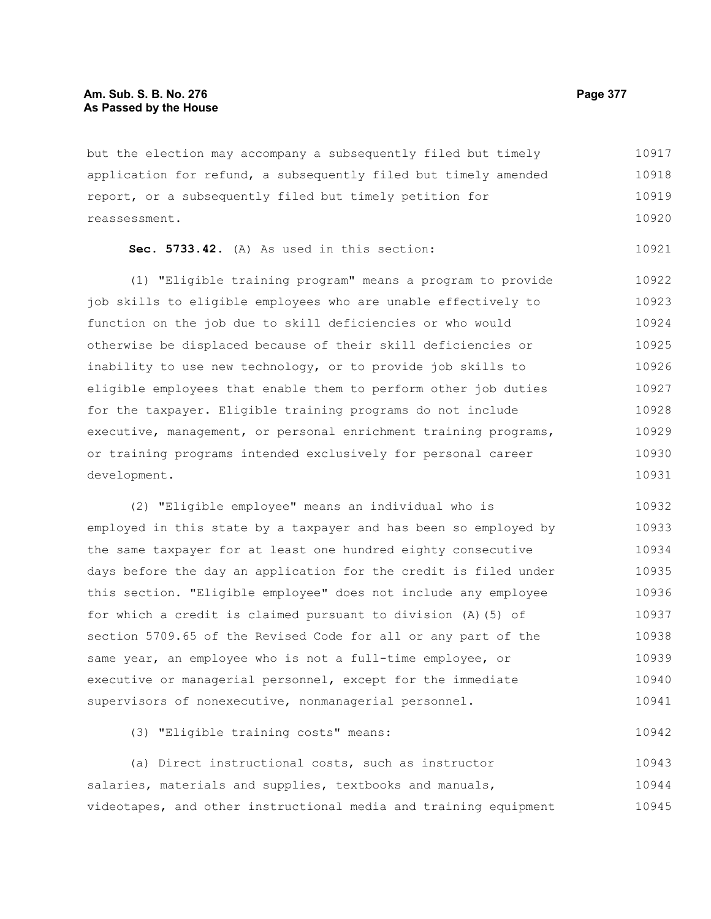but the election may accompany a subsequently filed but timely application for refund, a subsequently filed but timely amended report, or a subsequently filed but timely petition for reassessment. 10917 10918 10919 10920

|  | Sec. 5733.42. (A) As used in this section: |  |  |  |  |  |  | 10921 |
|--|--------------------------------------------|--|--|--|--|--|--|-------|
|--|--------------------------------------------|--|--|--|--|--|--|-------|

(1) "Eligible training program" means a program to provide job skills to eligible employees who are unable effectively to function on the job due to skill deficiencies or who would otherwise be displaced because of their skill deficiencies or inability to use new technology, or to provide job skills to eligible employees that enable them to perform other job duties for the taxpayer. Eligible training programs do not include executive, management, or personal enrichment training programs, or training programs intended exclusively for personal career development. 10922 10923 10924 10925 10926 10927 10928 10929 10930 10931

(2) "Eligible employee" means an individual who is employed in this state by a taxpayer and has been so employed by the same taxpayer for at least one hundred eighty consecutive days before the day an application for the credit is filed under this section. "Eligible employee" does not include any employee for which a credit is claimed pursuant to division (A)(5) of section 5709.65 of the Revised Code for all or any part of the same year, an employee who is not a full-time employee, or executive or managerial personnel, except for the immediate supervisors of nonexecutive, nonmanagerial personnel. 10932 10933 10934 10935 10936 10937 10938 10939 10940 10941

(3) "Eligible training costs" means:

(a) Direct instructional costs, such as instructor salaries, materials and supplies, textbooks and manuals, videotapes, and other instructional media and training equipment 10943 10944 10945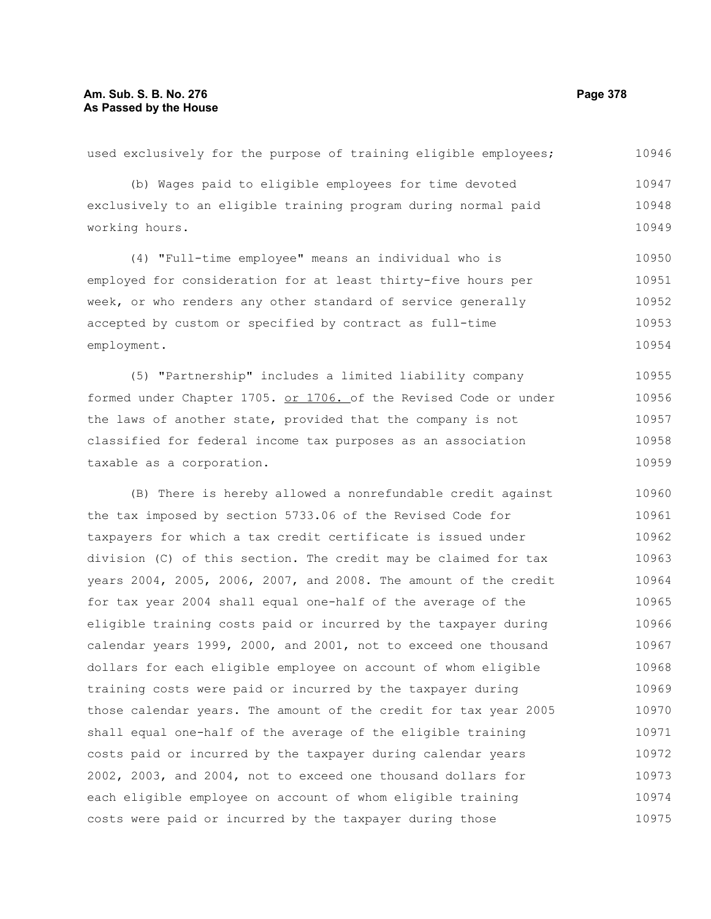# **Am. Sub. S. B. No. 276 Page 378 As Passed by the House**

used exclusively for the purpose of training eligible employees; (b) Wages paid to eligible employees for time devoted exclusively to an eligible training program during normal paid working hours. (4) "Full-time employee" means an individual who is employed for consideration for at least thirty-five hours per week, or who renders any other standard of service generally accepted by custom or specified by contract as full-time employment. (5) "Partnership" includes a limited liability company formed under Chapter 1705. or 1706. of the Revised Code or under the laws of another state, provided that the company is not classified for federal income tax purposes as an association taxable as a corporation. (B) There is hereby allowed a nonrefundable credit against the tax imposed by section 5733.06 of the Revised Code for taxpayers for which a tax credit certificate is issued under division (C) of this section. The credit may be claimed for tax years 2004, 2005, 2006, 2007, and 2008. The amount of the credit for tax year 2004 shall equal one-half of the average of the eligible training costs paid or incurred by the taxpayer during calendar years 1999, 2000, and 2001, not to exceed one thousand dollars for each eligible employee on account of whom eligible training costs were paid or incurred by the taxpayer during those calendar years. The amount of the credit for tax year 2005 shall equal one-half of the average of the eligible training costs paid or incurred by the taxpayer during calendar years 2002, 2003, and 2004, not to exceed one thousand dollars for each eligible employee on account of whom eligible training 10946 10947 10948 10949 10950 10951 10952 10953 10954 10955 10956 10957 10958 10959 10960 10961 10962 10963 10964 10965 10966 10967 10968 10969 10970 10971 10972 10973 10974

costs were paid or incurred by the taxpayer during those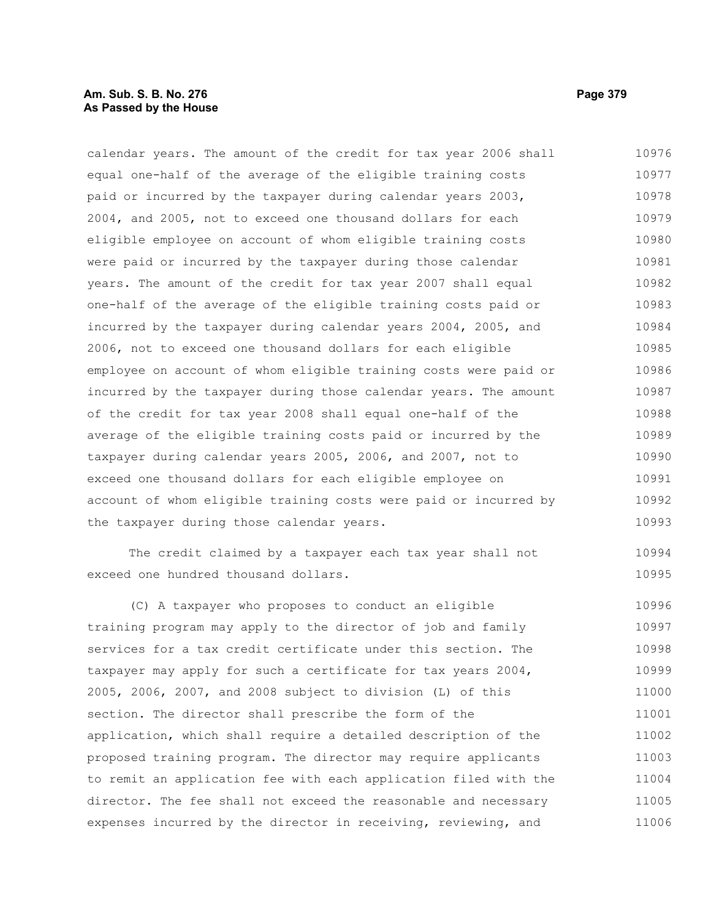# **Am. Sub. S. B. No. 276 Page 379 As Passed by the House**

calendar years. The amount of the credit for tax year 2006 shall equal one-half of the average of the eligible training costs paid or incurred by the taxpayer during calendar years 2003, 2004, and 2005, not to exceed one thousand dollars for each eligible employee on account of whom eligible training costs were paid or incurred by the taxpayer during those calendar years. The amount of the credit for tax year 2007 shall equal one-half of the average of the eligible training costs paid or incurred by the taxpayer during calendar years 2004, 2005, and 2006, not to exceed one thousand dollars for each eligible employee on account of whom eligible training costs were paid or incurred by the taxpayer during those calendar years. The amount of the credit for tax year 2008 shall equal one-half of the average of the eligible training costs paid or incurred by the taxpayer during calendar years 2005, 2006, and 2007, not to exceed one thousand dollars for each eligible employee on account of whom eligible training costs were paid or incurred by the taxpayer during those calendar years. 10976 10977 10978 10979 10980 10981 10982 10983 10984 10985 10986 10987 10988 10989 10990 10991 10992 10993

The credit claimed by a taxpayer each tax year shall not exceed one hundred thousand dollars.

(C) A taxpayer who proposes to conduct an eligible training program may apply to the director of job and family services for a tax credit certificate under this section. The taxpayer may apply for such a certificate for tax years 2004, 2005, 2006, 2007, and 2008 subject to division (L) of this section. The director shall prescribe the form of the application, which shall require a detailed description of the proposed training program. The director may require applicants to remit an application fee with each application filed with the director. The fee shall not exceed the reasonable and necessary expenses incurred by the director in receiving, reviewing, and 10996 10997 10998 10999 11000 11001 11002 11003 11004 11005 11006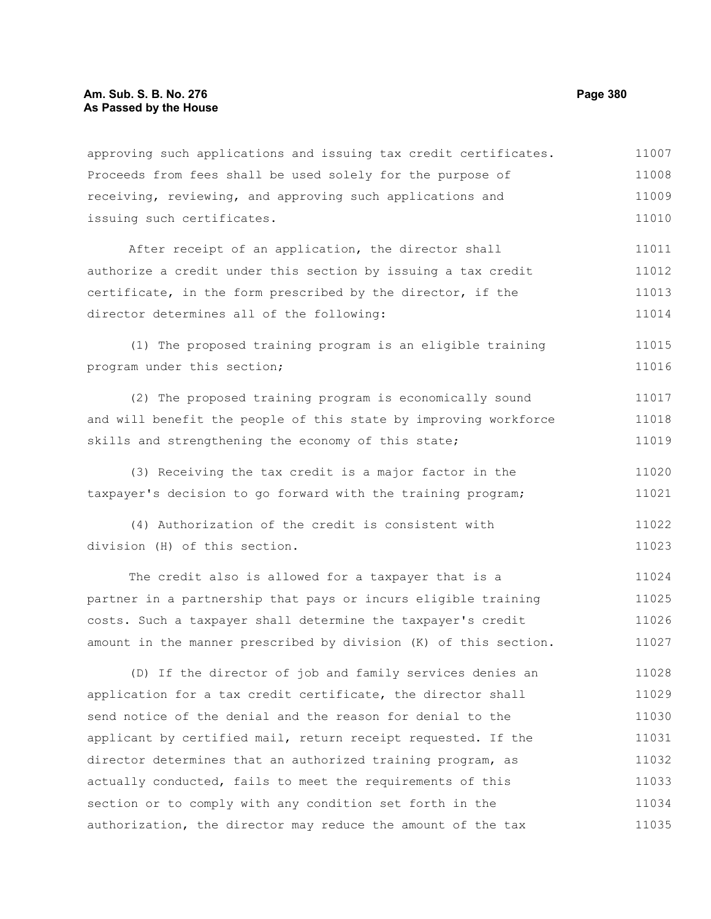approving such applications and issuing tax credit certificates. Proceeds from fees shall be used solely for the purpose of receiving, reviewing, and approving such applications and issuing such certificates. 11007 11008 11009 11010

After receipt of an application, the director shall authorize a credit under this section by issuing a tax credit certificate, in the form prescribed by the director, if the director determines all of the following: 11011 11012 11013 11014

(1) The proposed training program is an eligible training program under this section; 11015 11016

(2) The proposed training program is economically sound and will benefit the people of this state by improving workforce skills and strengthening the economy of this state; 11017 11018 11019

(3) Receiving the tax credit is a major factor in the taxpayer's decision to go forward with the training program; 11020 11021

(4) Authorization of the credit is consistent with division (H) of this section. 11022 11023

The credit also is allowed for a taxpayer that is a partner in a partnership that pays or incurs eligible training costs. Such a taxpayer shall determine the taxpayer's credit amount in the manner prescribed by division (K) of this section. 11024 11025 11026 11027

(D) If the director of job and family services denies an application for a tax credit certificate, the director shall send notice of the denial and the reason for denial to the applicant by certified mail, return receipt requested. If the director determines that an authorized training program, as actually conducted, fails to meet the requirements of this section or to comply with any condition set forth in the authorization, the director may reduce the amount of the tax 11028 11029 11030 11031 11032 11033 11034 11035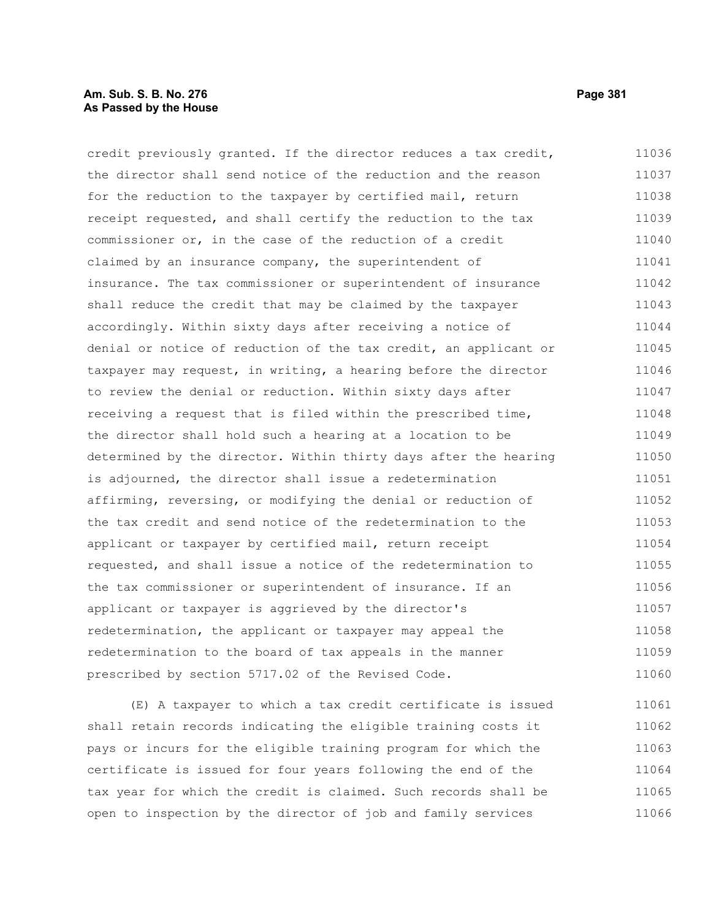# **Am. Sub. S. B. No. 276 Page 381 As Passed by the House**

credit previously granted. If the director reduces a tax credit, the director shall send notice of the reduction and the reason for the reduction to the taxpayer by certified mail, return receipt requested, and shall certify the reduction to the tax commissioner or, in the case of the reduction of a credit claimed by an insurance company, the superintendent of insurance. The tax commissioner or superintendent of insurance shall reduce the credit that may be claimed by the taxpayer accordingly. Within sixty days after receiving a notice of denial or notice of reduction of the tax credit, an applicant or taxpayer may request, in writing, a hearing before the director to review the denial or reduction. Within sixty days after receiving a request that is filed within the prescribed time, the director shall hold such a hearing at a location to be determined by the director. Within thirty days after the hearing is adjourned, the director shall issue a redetermination affirming, reversing, or modifying the denial or reduction of the tax credit and send notice of the redetermination to the applicant or taxpayer by certified mail, return receipt requested, and shall issue a notice of the redetermination to the tax commissioner or superintendent of insurance. If an applicant or taxpayer is aggrieved by the director's redetermination, the applicant or taxpayer may appeal the redetermination to the board of tax appeals in the manner prescribed by section 5717.02 of the Revised Code. 11036 11037 11038 11039 11040 11041 11042 11043 11044 11045 11046 11047 11048 11049 11050 11051 11052 11053 11054 11055 11056 11057 11058 11059 11060

(E) A taxpayer to which a tax credit certificate is issued shall retain records indicating the eligible training costs it pays or incurs for the eligible training program for which the certificate is issued for four years following the end of the tax year for which the credit is claimed. Such records shall be open to inspection by the director of job and family services 11061 11062 11063 11064 11065 11066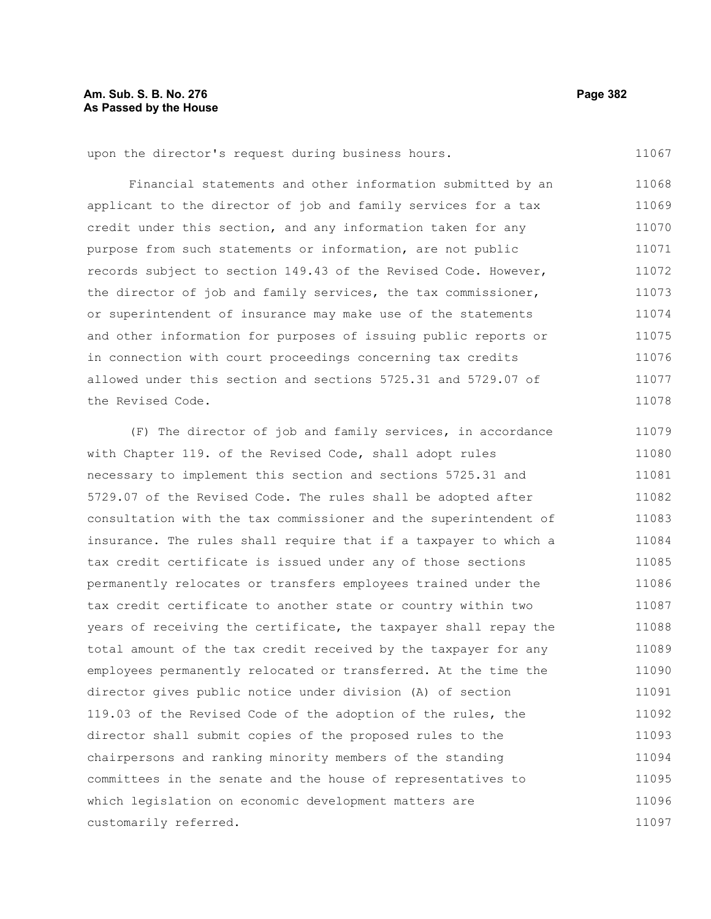# **Am. Sub. S. B. No. 276 Page 382 As Passed by the House**

upon the director's request during business hours.

Financial statements and other information submitted by an applicant to the director of job and family services for a tax credit under this section, and any information taken for any purpose from such statements or information, are not public records subject to section 149.43 of the Revised Code. However, the director of job and family services, the tax commissioner, or superintendent of insurance may make use of the statements and other information for purposes of issuing public reports or in connection with court proceedings concerning tax credits allowed under this section and sections 5725.31 and 5729.07 of the Revised Code. 11068 11069 11070 11071 11072 11073 11074 11075 11076 11077 11078

(F) The director of job and family services, in accordance with Chapter 119. of the Revised Code, shall adopt rules necessary to implement this section and sections 5725.31 and 5729.07 of the Revised Code. The rules shall be adopted after consultation with the tax commissioner and the superintendent of insurance. The rules shall require that if a taxpayer to which a tax credit certificate is issued under any of those sections permanently relocates or transfers employees trained under the tax credit certificate to another state or country within two years of receiving the certificate, the taxpayer shall repay the total amount of the tax credit received by the taxpayer for any employees permanently relocated or transferred. At the time the director gives public notice under division (A) of section 119.03 of the Revised Code of the adoption of the rules, the director shall submit copies of the proposed rules to the chairpersons and ranking minority members of the standing committees in the senate and the house of representatives to which legislation on economic development matters are customarily referred. 11079 11080 11081 11082 11083 11084 11085 11086 11087 11088 11089 11090 11091 11092 11093 11094 11095 11096 11097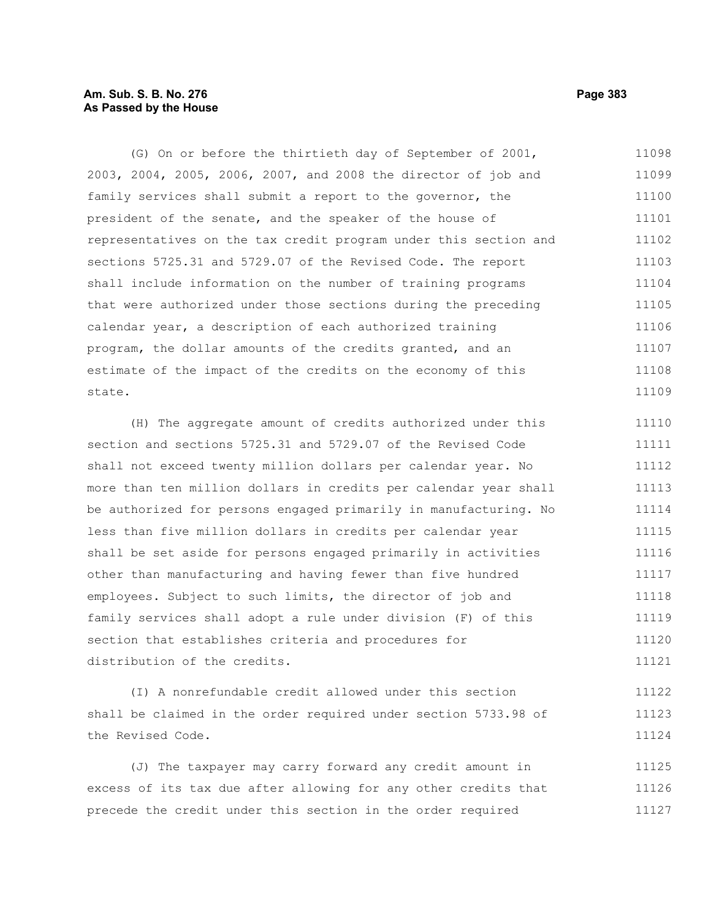# **Am. Sub. S. B. No. 276 Page 383 As Passed by the House**

(G) On or before the thirtieth day of September of 2001, 2003, 2004, 2005, 2006, 2007, and 2008 the director of job and family services shall submit a report to the governor, the president of the senate, and the speaker of the house of representatives on the tax credit program under this section and sections 5725.31 and 5729.07 of the Revised Code. The report shall include information on the number of training programs that were authorized under those sections during the preceding calendar year, a description of each authorized training program, the dollar amounts of the credits granted, and an estimate of the impact of the credits on the economy of this state. 11098 11099 11100 11101 11102 11103 11104 11105 11106 11107 11108 11109

(H) The aggregate amount of credits authorized under this section and sections 5725.31 and 5729.07 of the Revised Code shall not exceed twenty million dollars per calendar year. No more than ten million dollars in credits per calendar year shall be authorized for persons engaged primarily in manufacturing. No less than five million dollars in credits per calendar year shall be set aside for persons engaged primarily in activities other than manufacturing and having fewer than five hundred employees. Subject to such limits, the director of job and family services shall adopt a rule under division (F) of this section that establishes criteria and procedures for distribution of the credits. 11110 11111 11112 11113 11114 11115 11116 11117 11118 11119 11120 11121

(I) A nonrefundable credit allowed under this section shall be claimed in the order required under section 5733.98 of the Revised Code. 11122 11123 11124

(J) The taxpayer may carry forward any credit amount in excess of its tax due after allowing for any other credits that precede the credit under this section in the order required 11125 11126 11127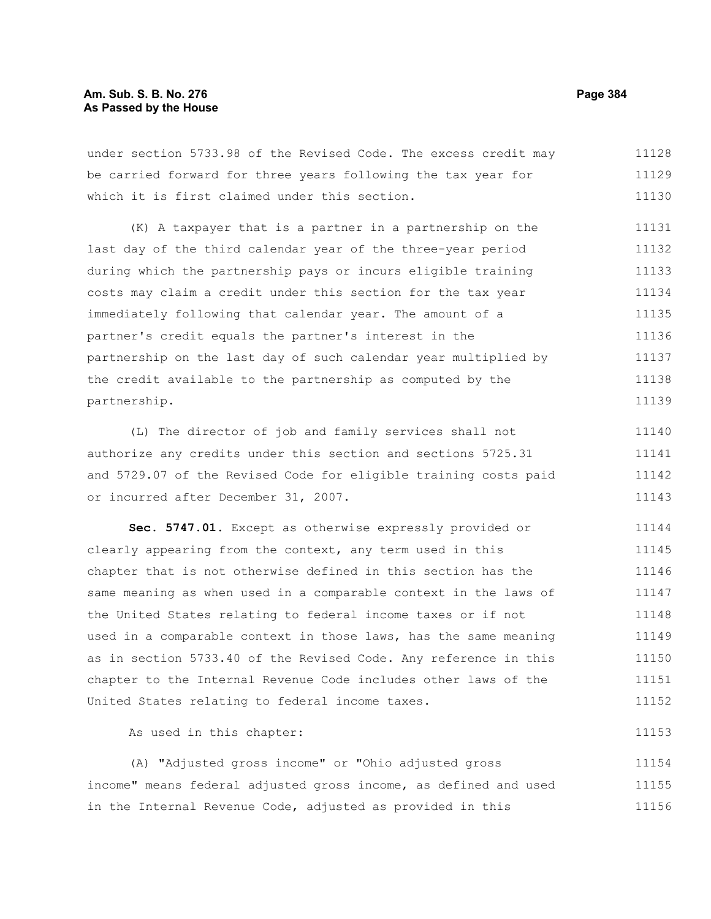# **Am. Sub. S. B. No. 276 Page 384 As Passed by the House**

under section 5733.98 of the Revised Code. The excess credit may be carried forward for three years following the tax year for which it is first claimed under this section. 11128 11129 11130

(K) A taxpayer that is a partner in a partnership on the last day of the third calendar year of the three-year period during which the partnership pays or incurs eligible training costs may claim a credit under this section for the tax year immediately following that calendar year. The amount of a partner's credit equals the partner's interest in the partnership on the last day of such calendar year multiplied by the credit available to the partnership as computed by the partnership. 11131 11132 11133 11134 11135 11136 11137 11138 11139

(L) The director of job and family services shall not authorize any credits under this section and sections 5725.31 and 5729.07 of the Revised Code for eligible training costs paid or incurred after December 31, 2007. 11140 11141 11142 11143

**Sec. 5747.01.** Except as otherwise expressly provided or clearly appearing from the context, any term used in this chapter that is not otherwise defined in this section has the same meaning as when used in a comparable context in the laws of the United States relating to federal income taxes or if not used in a comparable context in those laws, has the same meaning as in section 5733.40 of the Revised Code. Any reference in this chapter to the Internal Revenue Code includes other laws of the United States relating to federal income taxes. 11144 11145 11146 11147 11148 11149 11150 11151 11152

As used in this chapter:

(A) "Adjusted gross income" or "Ohio adjusted gross income" means federal adjusted gross income, as defined and used in the Internal Revenue Code, adjusted as provided in this 11154 11155 11156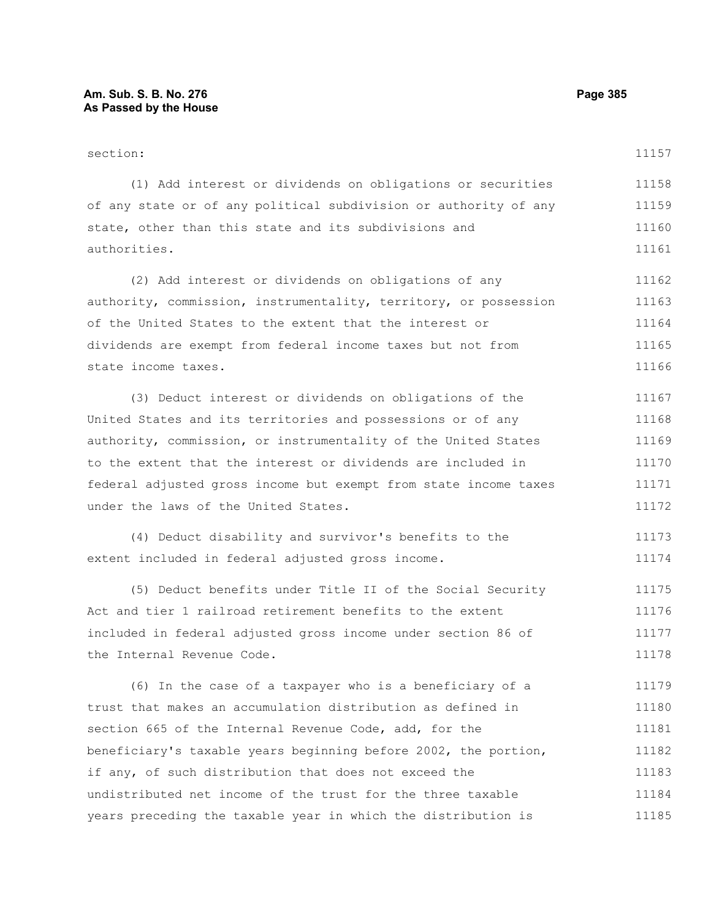#### section: (1) Add interest or dividends on obligations or securities of any state or of any political subdivision or authority of any state, other than this state and its subdivisions and authorities. (2) Add interest or dividends on obligations of any authority, commission, instrumentality, territory, or possession of the United States to the extent that the interest or dividends are exempt from federal income taxes but not from state income taxes. 11157 11158 11159 11160 11161 11162 11163 11164 11165 11166

(3) Deduct interest or dividends on obligations of the United States and its territories and possessions or of any authority, commission, or instrumentality of the United States to the extent that the interest or dividends are included in federal adjusted gross income but exempt from state income taxes under the laws of the United States. 11167 11168 11169 11170 11171 11172

(4) Deduct disability and survivor's benefits to the extent included in federal adjusted gross income. 11173 11174

(5) Deduct benefits under Title II of the Social Security Act and tier 1 railroad retirement benefits to the extent included in federal adjusted gross income under section 86 of the Internal Revenue Code. 11175 11176 11177 11178

(6) In the case of a taxpayer who is a beneficiary of a trust that makes an accumulation distribution as defined in section 665 of the Internal Revenue Code, add, for the beneficiary's taxable years beginning before 2002, the portion, if any, of such distribution that does not exceed the undistributed net income of the trust for the three taxable years preceding the taxable year in which the distribution is 11179 11180 11181 11182 11183 11184 11185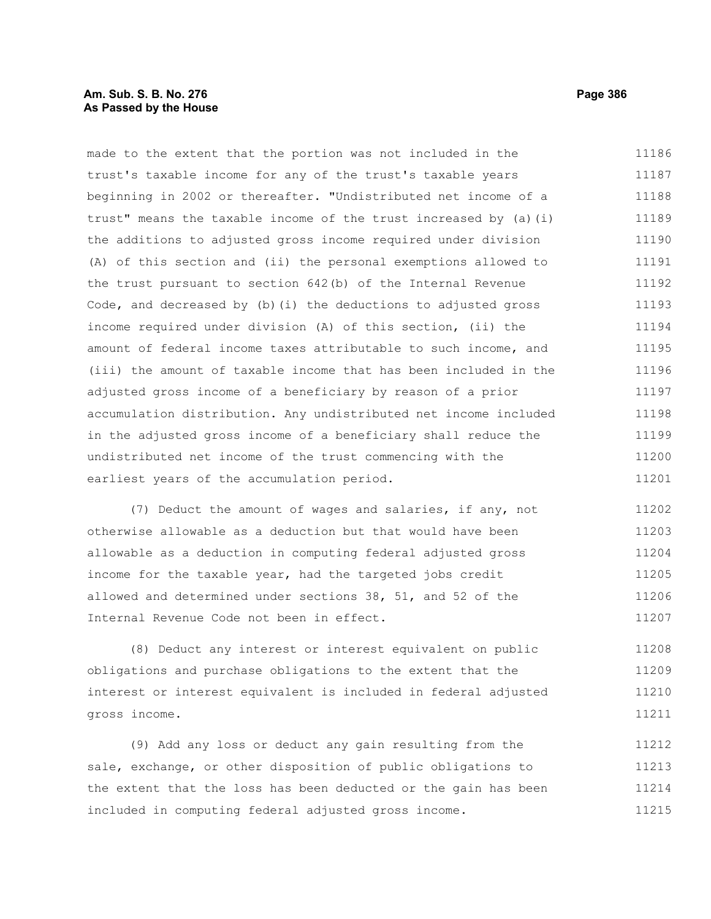# **Am. Sub. S. B. No. 276 Page 386 As Passed by the House**

made to the extent that the portion was not included in the trust's taxable income for any of the trust's taxable years beginning in 2002 or thereafter. "Undistributed net income of a trust" means the taxable income of the trust increased by (a)(i) the additions to adjusted gross income required under division (A) of this section and (ii) the personal exemptions allowed to the trust pursuant to section 642(b) of the Internal Revenue Code, and decreased by (b)(i) the deductions to adjusted gross income required under division (A) of this section, (ii) the amount of federal income taxes attributable to such income, and (iii) the amount of taxable income that has been included in the adjusted gross income of a beneficiary by reason of a prior accumulation distribution. Any undistributed net income included in the adjusted gross income of a beneficiary shall reduce the undistributed net income of the trust commencing with the earliest years of the accumulation period. 11186 11187 11188 11189 11190 11191 11192 11193 11194 11195 11196 11197 11198 11199 11200 11201

(7) Deduct the amount of wages and salaries, if any, not otherwise allowable as a deduction but that would have been allowable as a deduction in computing federal adjusted gross income for the taxable year, had the targeted jobs credit allowed and determined under sections 38, 51, and 52 of the Internal Revenue Code not been in effect. 11202 11203 11204 11205 11206 11207

(8) Deduct any interest or interest equivalent on public obligations and purchase obligations to the extent that the interest or interest equivalent is included in federal adjusted gross income. 11208 11209 11210 11211

(9) Add any loss or deduct any gain resulting from the sale, exchange, or other disposition of public obligations to the extent that the loss has been deducted or the gain has been included in computing federal adjusted gross income. 11212 11213 11214 11215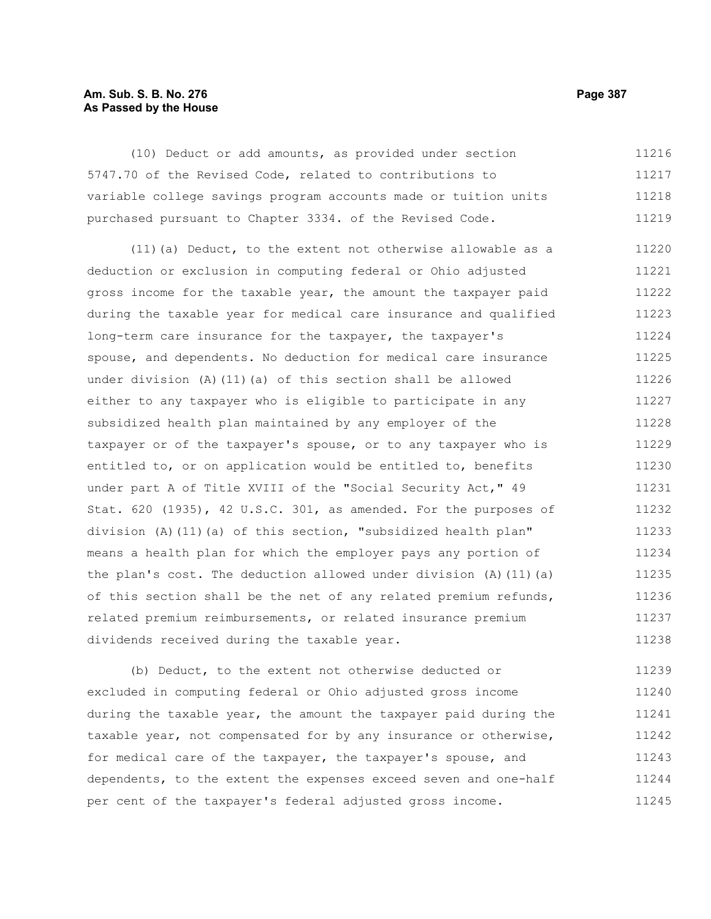# **Am. Sub. S. B. No. 276 Page 387** Page 387 **As Passed by the House**

(10) Deduct or add amounts, as provided under section 5747.70 of the Revised Code, related to contributions to variable college savings program accounts made or tuition units purchased pursuant to Chapter 3334. of the Revised Code. 11216 11217 11218 11219

(11)(a) Deduct, to the extent not otherwise allowable as a deduction or exclusion in computing federal or Ohio adjusted gross income for the taxable year, the amount the taxpayer paid during the taxable year for medical care insurance and qualified long-term care insurance for the taxpayer, the taxpayer's spouse, and dependents. No deduction for medical care insurance under division (A)(11)(a) of this section shall be allowed either to any taxpayer who is eligible to participate in any subsidized health plan maintained by any employer of the taxpayer or of the taxpayer's spouse, or to any taxpayer who is entitled to, or on application would be entitled to, benefits under part A of Title XVIII of the "Social Security Act," 49 Stat. 620 (1935), 42 U.S.C. 301, as amended. For the purposes of division (A)(11)(a) of this section, "subsidized health plan" means a health plan for which the employer pays any portion of the plan's cost. The deduction allowed under division  $(A)$  (11)(a) of this section shall be the net of any related premium refunds, related premium reimbursements, or related insurance premium dividends received during the taxable year. 11220 11221 11222 11223 11224 11225 11226 11227 11228 11229 11230 11231 11232 11233 11234 11235 11236 11237 11238

(b) Deduct, to the extent not otherwise deducted or excluded in computing federal or Ohio adjusted gross income during the taxable year, the amount the taxpayer paid during the taxable year, not compensated for by any insurance or otherwise, for medical care of the taxpayer, the taxpayer's spouse, and dependents, to the extent the expenses exceed seven and one-half per cent of the taxpayer's federal adjusted gross income. 11239 11240 11241 11242 11243 11244 11245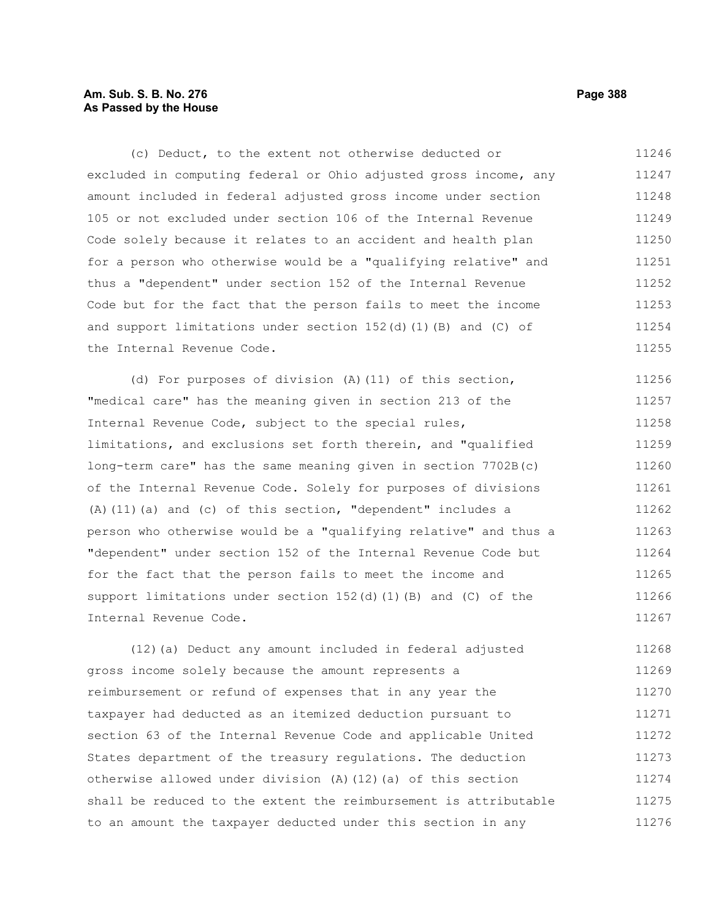# **Am. Sub. S. B. No. 276 Page 388 As Passed by the House**

(c) Deduct, to the extent not otherwise deducted or excluded in computing federal or Ohio adjusted gross income, any amount included in federal adjusted gross income under section 105 or not excluded under section 106 of the Internal Revenue Code solely because it relates to an accident and health plan for a person who otherwise would be a "qualifying relative" and thus a "dependent" under section 152 of the Internal Revenue Code but for the fact that the person fails to meet the income and support limitations under section  $152(d)(1)(B)$  and (C) of the Internal Revenue Code. 11246 11247 11248 11249 11250 11251 11252 11253 11254 11255

(d) For purposes of division (A)(11) of this section, "medical care" has the meaning given in section 213 of the Internal Revenue Code, subject to the special rules, limitations, and exclusions set forth therein, and "qualified long-term care" has the same meaning given in section 7702B(c) of the Internal Revenue Code. Solely for purposes of divisions (A)(11)(a) and (c) of this section, "dependent" includes a person who otherwise would be a "qualifying relative" and thus a "dependent" under section 152 of the Internal Revenue Code but for the fact that the person fails to meet the income and support limitations under section  $152(d)$  (1)(B) and (C) of the Internal Revenue Code. 11256 11257 11258 11259 11260 11261 11262 11263 11264 11265 11266 11267

(12)(a) Deduct any amount included in federal adjusted gross income solely because the amount represents a reimbursement or refund of expenses that in any year the taxpayer had deducted as an itemized deduction pursuant to section 63 of the Internal Revenue Code and applicable United States department of the treasury regulations. The deduction otherwise allowed under division (A)(12)(a) of this section shall be reduced to the extent the reimbursement is attributable to an amount the taxpayer deducted under this section in any 11268 11269 11270 11271 11272 11273 11274 11275 11276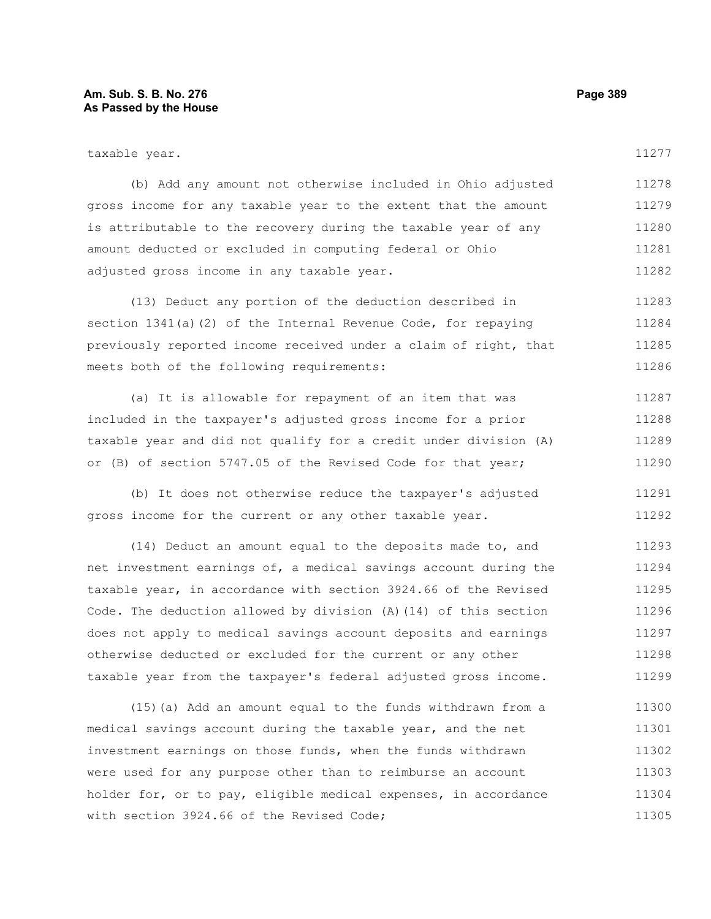#### **Am. Sub. S. B. No. 276 Page 389 As Passed by the House**

| taxable year.                                                    | 11277 |
|------------------------------------------------------------------|-------|
| (b) Add any amount not otherwise included in Ohio adjusted       | 11278 |
| gross income for any taxable year to the extent that the amount  | 11279 |
| is attributable to the recovery during the taxable year of any   | 11280 |
| amount deducted or excluded in computing federal or Ohio         | 11281 |
| adjusted gross income in any taxable year.                       | 11282 |
| (13) Deduct any portion of the deduction described in            | 11283 |
| section $1341(a)$ (2) of the Internal Revenue Code, for repaying | 11284 |
| previously reported income received under a claim of right, that | 11285 |
| meets both of the following requirements:                        | 11286 |

(a) It is allowable for repayment of an item that was included in the taxpayer's adjusted gross income for a prior taxable year and did not qualify for a credit under division (A) or (B) of section 5747.05 of the Revised Code for that year; 11287 11288 11289 11290

(b) It does not otherwise reduce the taxpayer's adjusted gross income for the current or any other taxable year. 11291 11292

(14) Deduct an amount equal to the deposits made to, and net investment earnings of, a medical savings account during the taxable year, in accordance with section 3924.66 of the Revised Code. The deduction allowed by division (A)(14) of this section does not apply to medical savings account deposits and earnings otherwise deducted or excluded for the current or any other taxable year from the taxpayer's federal adjusted gross income. 11293 11294 11295 11296 11297 11298 11299

(15)(a) Add an amount equal to the funds withdrawn from a medical savings account during the taxable year, and the net investment earnings on those funds, when the funds withdrawn were used for any purpose other than to reimburse an account holder for, or to pay, eligible medical expenses, in accordance with section 3924.66 of the Revised Code; 11300 11301 11302 11303 11304 11305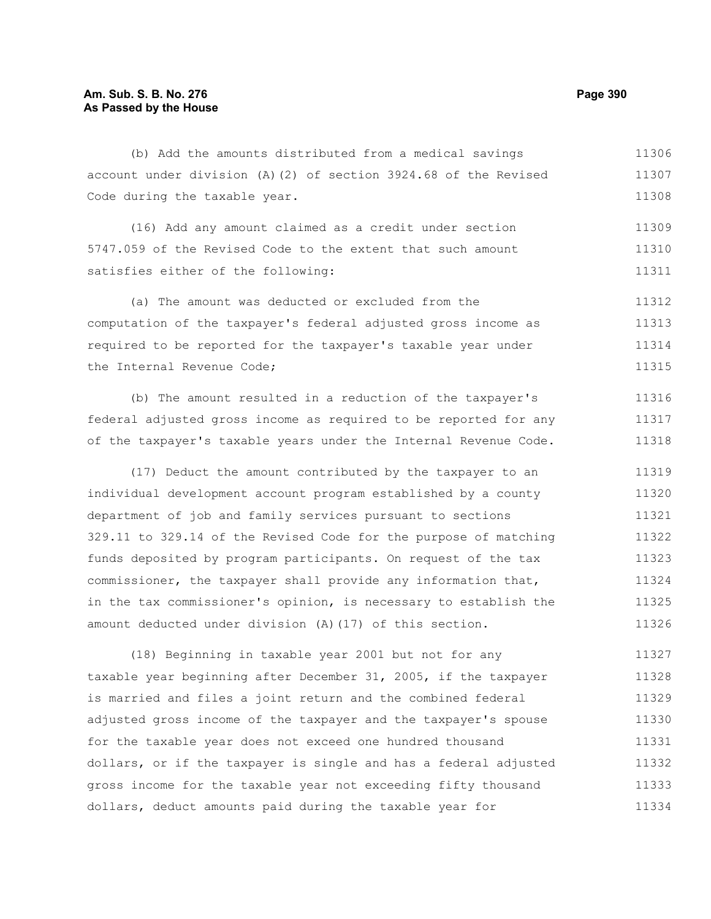(b) Add the amounts distributed from a medical savings account under division (A)(2) of section 3924.68 of the Revised Code during the taxable year. 11306 11307 11308

(16) Add any amount claimed as a credit under section 5747.059 of the Revised Code to the extent that such amount satisfies either of the following: 11309 11310 11311

(a) The amount was deducted or excluded from the computation of the taxpayer's federal adjusted gross income as required to be reported for the taxpayer's taxable year under the Internal Revenue Code; 11312 11313 11314 11315

(b) The amount resulted in a reduction of the taxpayer's federal adjusted gross income as required to be reported for any of the taxpayer's taxable years under the Internal Revenue Code. 11316 11317 11318

(17) Deduct the amount contributed by the taxpayer to an individual development account program established by a county department of job and family services pursuant to sections 329.11 to 329.14 of the Revised Code for the purpose of matching funds deposited by program participants. On request of the tax commissioner, the taxpayer shall provide any information that, in the tax commissioner's opinion, is necessary to establish the amount deducted under division (A)(17) of this section. 11319 11320 11321 11322 11323 11324 11325 11326

(18) Beginning in taxable year 2001 but not for any taxable year beginning after December 31, 2005, if the taxpayer is married and files a joint return and the combined federal adjusted gross income of the taxpayer and the taxpayer's spouse for the taxable year does not exceed one hundred thousand dollars, or if the taxpayer is single and has a federal adjusted gross income for the taxable year not exceeding fifty thousand dollars, deduct amounts paid during the taxable year for 11327 11328 11329 11330 11331 11332 11333 11334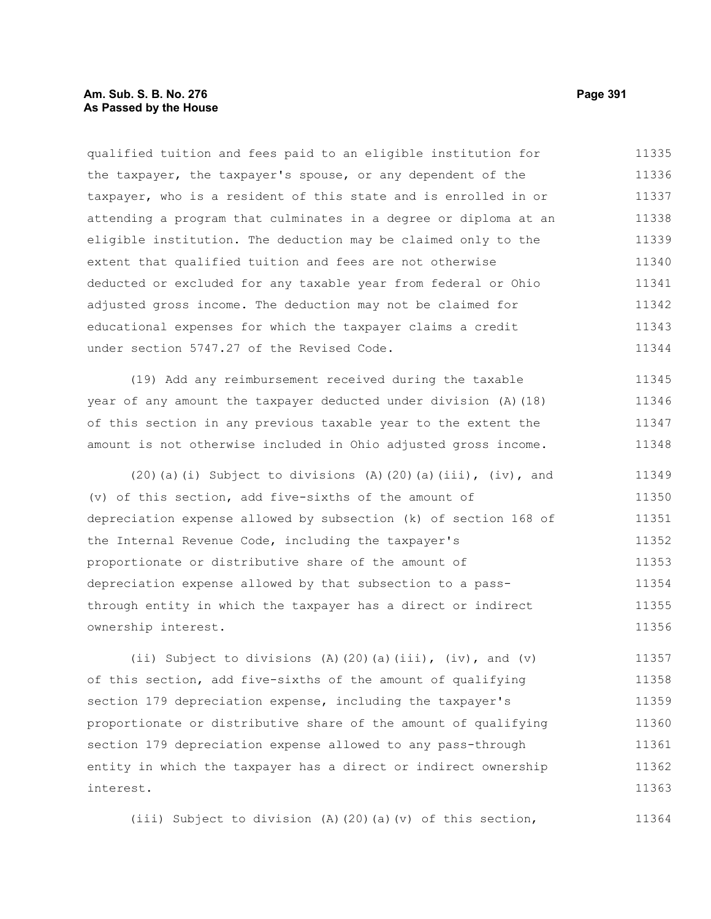# **Am. Sub. S. B. No. 276 Page 391 As Passed by the House**

qualified tuition and fees paid to an eligible institution for the taxpayer, the taxpayer's spouse, or any dependent of the taxpayer, who is a resident of this state and is enrolled in or attending a program that culminates in a degree or diploma at an eligible institution. The deduction may be claimed only to the extent that qualified tuition and fees are not otherwise deducted or excluded for any taxable year from federal or Ohio adjusted gross income. The deduction may not be claimed for educational expenses for which the taxpayer claims a credit under section 5747.27 of the Revised Code. 11335 11336 11337 11338 11339 11340 11341 11342 11343 11344

(19) Add any reimbursement received during the taxable year of any amount the taxpayer deducted under division (A)(18) of this section in any previous taxable year to the extent the amount is not otherwise included in Ohio adjusted gross income. 11345 11346 11347 11348

 $(20)(a)(i)$  Subject to divisions  $(A)(20)(a)(iii)$ ,  $(iv)$ , and (v) of this section, add five-sixths of the amount of depreciation expense allowed by subsection (k) of section 168 of the Internal Revenue Code, including the taxpayer's proportionate or distributive share of the amount of depreciation expense allowed by that subsection to a passthrough entity in which the taxpayer has a direct or indirect ownership interest. 11349 11350 11351 11352 11353 11354 11355 11356

(ii) Subject to divisions (A)(20)(a)(iii), (iv), and (v) of this section, add five-sixths of the amount of qualifying section 179 depreciation expense, including the taxpayer's proportionate or distributive share of the amount of qualifying section 179 depreciation expense allowed to any pass-through entity in which the taxpayer has a direct or indirect ownership interest. 11357 11358 11359 11360 11361 11362 11363

(iii) Subject to division (A)(20)(a)(v) of this section,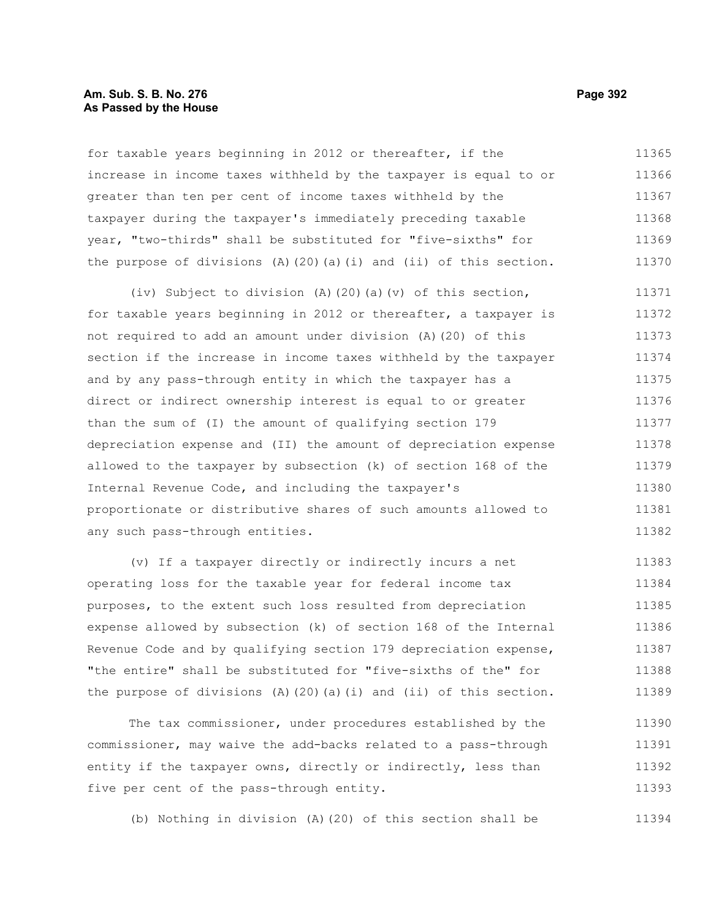#### **Am. Sub. S. B. No. 276 Page 392 As Passed by the House**

for taxable years beginning in 2012 or thereafter, if the increase in income taxes withheld by the taxpayer is equal to or greater than ten per cent of income taxes withheld by the taxpayer during the taxpayer's immediately preceding taxable year, "two-thirds" shall be substituted for "five-sixths" for the purpose of divisions  $(A)$  (20)(a)(i) and (ii) of this section. 11365 11366 11367 11368 11369 11370

(iv) Subject to division (A)(20)(a)(v) of this section, for taxable years beginning in 2012 or thereafter, a taxpayer is not required to add an amount under division (A)(20) of this section if the increase in income taxes withheld by the taxpayer and by any pass-through entity in which the taxpayer has a direct or indirect ownership interest is equal to or greater than the sum of (I) the amount of qualifying section 179 depreciation expense and (II) the amount of depreciation expense allowed to the taxpayer by subsection (k) of section 168 of the Internal Revenue Code, and including the taxpayer's proportionate or distributive shares of such amounts allowed to any such pass-through entities. 11371 11372 11373 11374 11375 11376 11377 11378 11379 11380 11381 11382

(v) If a taxpayer directly or indirectly incurs a net operating loss for the taxable year for federal income tax purposes, to the extent such loss resulted from depreciation expense allowed by subsection (k) of section 168 of the Internal Revenue Code and by qualifying section 179 depreciation expense, "the entire" shall be substituted for "five-sixths of the" for the purpose of divisions  $(A)$   $(20)$   $(a)$   $(i)$  and  $(ii)$  of this section. 11383 11384 11385 11386 11387 11388 11389

The tax commissioner, under procedures established by the commissioner, may waive the add-backs related to a pass-through entity if the taxpayer owns, directly or indirectly, less than five per cent of the pass-through entity. 11390 11391 11392 11393

(b) Nothing in division (A)(20) of this section shall be 11394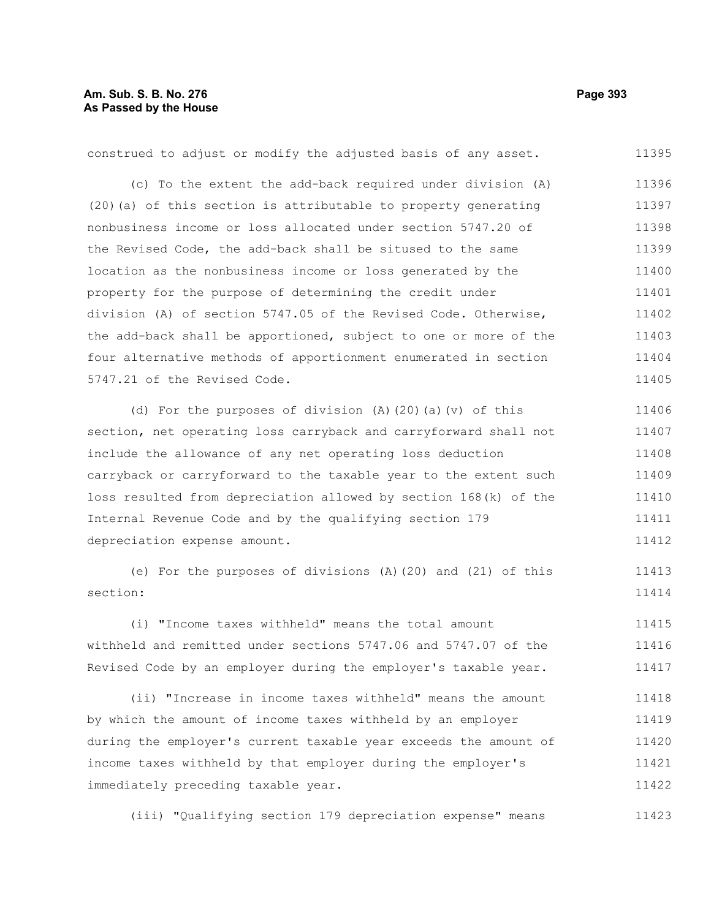| construed to adjust or modify the adjusted basis of any asset.   | 11395 |
|------------------------------------------------------------------|-------|
| (c) To the extent the add-back required under division (A)       | 11396 |
| (20) (a) of this section is attributable to property generating  | 11397 |
| nonbusiness income or loss allocated under section 5747.20 of    | 11398 |
| the Revised Code, the add-back shall be sitused to the same      | 11399 |
| location as the nonbusiness income or loss generated by the      | 11400 |
| property for the purpose of determining the credit under         | 11401 |
| division (A) of section 5747.05 of the Revised Code. Otherwise,  | 11402 |
| the add-back shall be apportioned, subject to one or more of the | 11403 |
| four alternative methods of apportionment enumerated in section  | 11404 |
| 5747.21 of the Revised Code.                                     | 11405 |
| (d) For the purposes of division (A) $(20)$ (a) $(v)$ of this    | 11406 |
| section, net operating loss carryback and carryforward shall not | 11407 |
| include the allowance of any net operating loss deduction        | 11408 |
| carryback or carryforward to the taxable year to the extent such | 11409 |
| loss resulted from depreciation allowed by section 168(k) of the | 11410 |
| Internal Revenue Code and by the qualifying section 179          | 11411 |
| depreciation expense amount.                                     | 11412 |
| (e) For the purposes of divisions (A) (20) and (21) of this      | 11413 |
| section:                                                         | 11414 |
| (i) "Income taxes withheld" means the total amount               | 11415 |
| withheld and remitted under sections 5747.06 and 5747.07 of the  | 11416 |
| Revised Code by an employer during the employer's taxable year.  | 11417 |
|                                                                  |       |

(ii) "Increase in income taxes withheld" means the amount by which the amount of income taxes withheld by an employer during the employer's current taxable year exceeds the amount of income taxes withheld by that employer during the employer's immediately preceding taxable year. 11418 11419 11420 11421 11422

(iii) "Qualifying section 179 depreciation expense" means 11423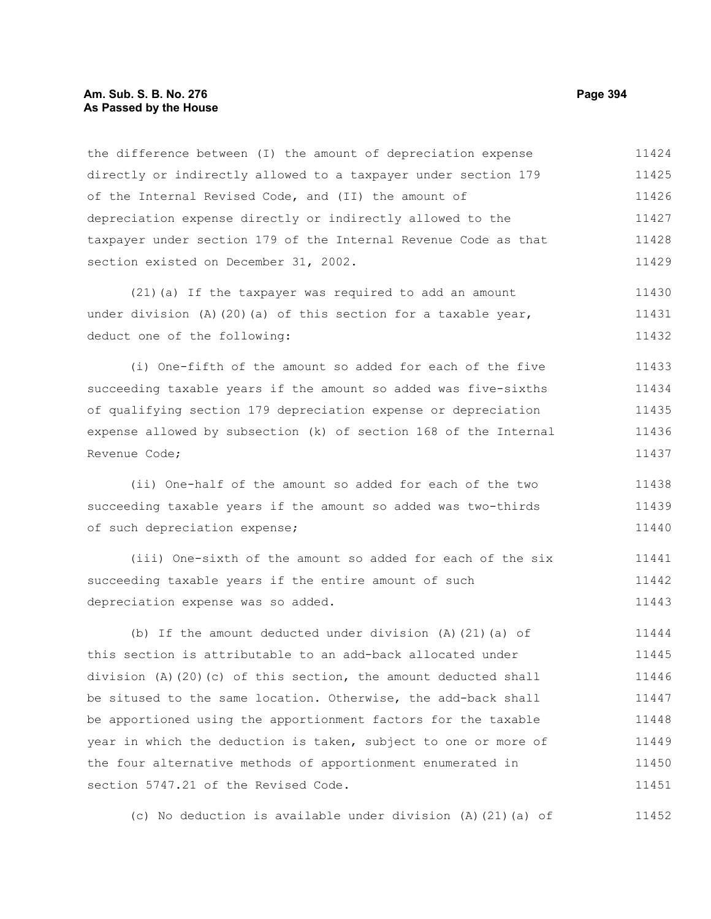#### **Am. Sub. S. B. No. 276 Page 394 As Passed by the House**

the difference between (I) the amount of depreciation expense directly or indirectly allowed to a taxpayer under section 179 of the Internal Revised Code, and (II) the amount of depreciation expense directly or indirectly allowed to the taxpayer under section 179 of the Internal Revenue Code as that section existed on December 31, 2002. 11424 11425 11426 11427 11428 11429

(21)(a) If the taxpayer was required to add an amount under division  $(A)$  (20)(a) of this section for a taxable year, deduct one of the following: 11430 11431 11432

(i) One-fifth of the amount so added for each of the five succeeding taxable years if the amount so added was five-sixths of qualifying section 179 depreciation expense or depreciation expense allowed by subsection (k) of section 168 of the Internal Revenue Code; 11433 11434 11435 11436 11437

(ii) One-half of the amount so added for each of the two succeeding taxable years if the amount so added was two-thirds of such depreciation expense; 11438 11439 11440

(iii) One-sixth of the amount so added for each of the six succeeding taxable years if the entire amount of such depreciation expense was so added. 11441 11442 11443

(b) If the amount deducted under division (A)(21)(a) of this section is attributable to an add-back allocated under division (A)(20)(c) of this section, the amount deducted shall be sitused to the same location. Otherwise, the add-back shall be apportioned using the apportionment factors for the taxable year in which the deduction is taken, subject to one or more of the four alternative methods of apportionment enumerated in section 5747.21 of the Revised Code. 11444 11445 11446 11447 11448 11449 11450 11451

(c) No deduction is available under division (A)(21)(a) of 11452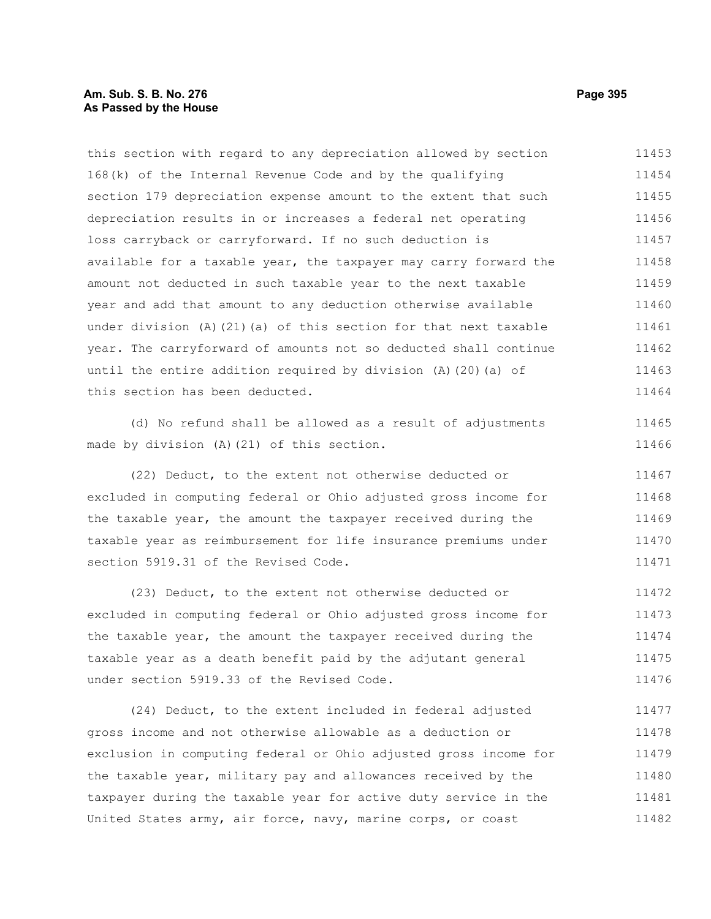# **Am. Sub. S. B. No. 276 Page 395 As Passed by the House**

this section with regard to any depreciation allowed by section 168(k) of the Internal Revenue Code and by the qualifying section 179 depreciation expense amount to the extent that such depreciation results in or increases a federal net operating loss carryback or carryforward. If no such deduction is available for a taxable year, the taxpayer may carry forward the amount not deducted in such taxable year to the next taxable year and add that amount to any deduction otherwise available under division (A)(21)(a) of this section for that next taxable year. The carryforward of amounts not so deducted shall continue until the entire addition required by division (A)(20)(a) of this section has been deducted. 11453 11454 11455 11456 11457 11458 11459 11460 11461 11462 11463 11464

(d) No refund shall be allowed as a result of adjustments made by division (A)(21) of this section.

(22) Deduct, to the extent not otherwise deducted or excluded in computing federal or Ohio adjusted gross income for the taxable year, the amount the taxpayer received during the taxable year as reimbursement for life insurance premiums under section 5919.31 of the Revised Code. 11467 11468 11469 11470 11471

(23) Deduct, to the extent not otherwise deducted or excluded in computing federal or Ohio adjusted gross income for the taxable year, the amount the taxpayer received during the taxable year as a death benefit paid by the adjutant general under section 5919.33 of the Revised Code. 11472 11473 11474 11475 11476

(24) Deduct, to the extent included in federal adjusted gross income and not otherwise allowable as a deduction or exclusion in computing federal or Ohio adjusted gross income for the taxable year, military pay and allowances received by the taxpayer during the taxable year for active duty service in the United States army, air force, navy, marine corps, or coast 11477 11478 11479 11480 11481 11482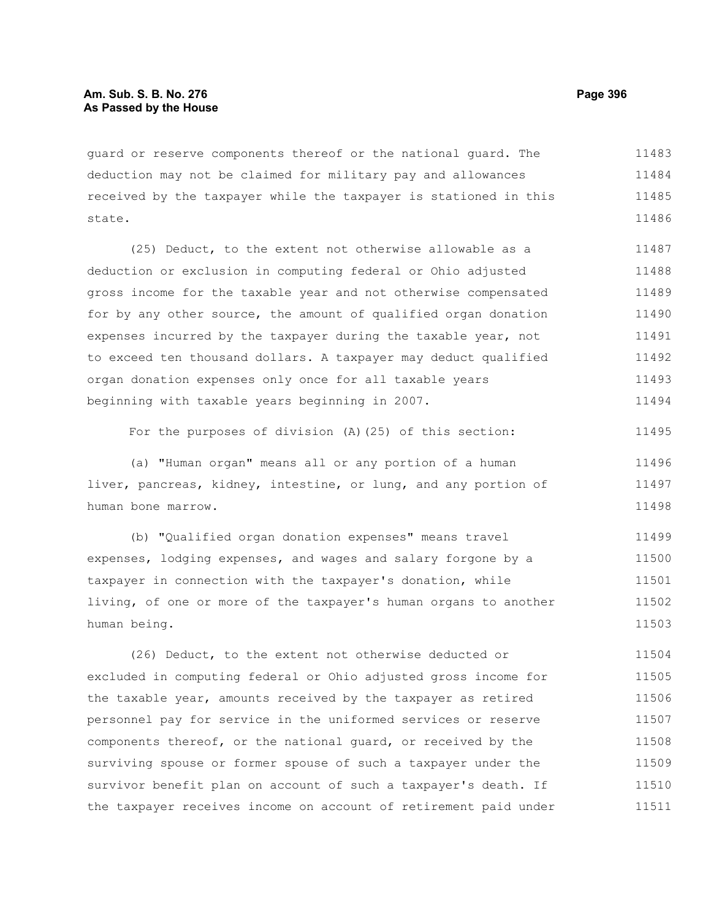guard or reserve components thereof or the national guard. The deduction may not be claimed for military pay and allowances received by the taxpayer while the taxpayer is stationed in this state. 11483 11484 11485 11486

(25) Deduct, to the extent not otherwise allowable as a deduction or exclusion in computing federal or Ohio adjusted gross income for the taxable year and not otherwise compensated for by any other source, the amount of qualified organ donation expenses incurred by the taxpayer during the taxable year, not to exceed ten thousand dollars. A taxpayer may deduct qualified organ donation expenses only once for all taxable years beginning with taxable years beginning in 2007. 11487 11488 11489 11490 11491 11492 11493 11494

For the purposes of division (A)(25) of this section: 11495

(a) "Human organ" means all or any portion of a human liver, pancreas, kidney, intestine, or lung, and any portion of human bone marrow. 11496 11497 11498

(b) "Qualified organ donation expenses" means travel expenses, lodging expenses, and wages and salary forgone by a taxpayer in connection with the taxpayer's donation, while living, of one or more of the taxpayer's human organs to another human being. 11499 11500 11501 11502 11503

(26) Deduct, to the extent not otherwise deducted or excluded in computing federal or Ohio adjusted gross income for the taxable year, amounts received by the taxpayer as retired personnel pay for service in the uniformed services or reserve components thereof, or the national guard, or received by the surviving spouse or former spouse of such a taxpayer under the survivor benefit plan on account of such a taxpayer's death. If the taxpayer receives income on account of retirement paid under 11504 11505 11506 11507 11508 11509 11510 11511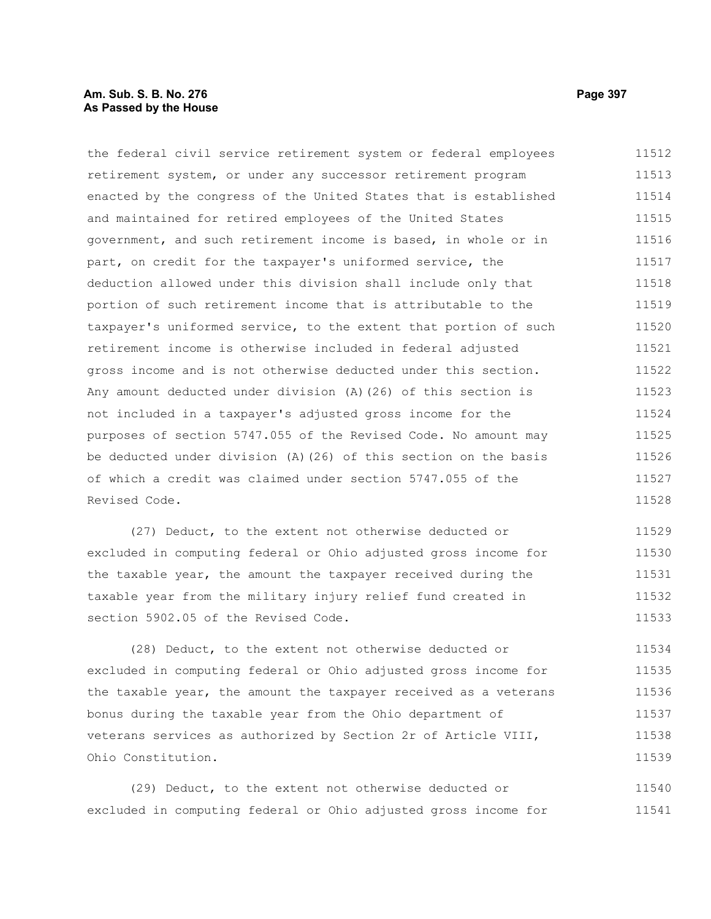# **Am. Sub. S. B. No. 276 Page 397** Page 397 **As Passed by the House**

the federal civil service retirement system or federal employees retirement system, or under any successor retirement program enacted by the congress of the United States that is established and maintained for retired employees of the United States government, and such retirement income is based, in whole or in part, on credit for the taxpayer's uniformed service, the deduction allowed under this division shall include only that portion of such retirement income that is attributable to the taxpayer's uniformed service, to the extent that portion of such retirement income is otherwise included in federal adjusted gross income and is not otherwise deducted under this section. Any amount deducted under division (A)(26) of this section is not included in a taxpayer's adjusted gross income for the purposes of section 5747.055 of the Revised Code. No amount may be deducted under division (A)(26) of this section on the basis of which a credit was claimed under section 5747.055 of the Revised Code. 11512 11513 11514 11515 11516 11517 11518 11519 11520 11521 11522 11523 11524 11525 11526 11527 11528

(27) Deduct, to the extent not otherwise deducted or excluded in computing federal or Ohio adjusted gross income for the taxable year, the amount the taxpayer received during the taxable year from the military injury relief fund created in section 5902.05 of the Revised Code. 11529 11530 11531 11532 11533

(28) Deduct, to the extent not otherwise deducted or excluded in computing federal or Ohio adjusted gross income for the taxable year, the amount the taxpayer received as a veterans bonus during the taxable year from the Ohio department of veterans services as authorized by Section 2r of Article VIII, Ohio Constitution. 11534 11535 11536 11537 11538 11539

(29) Deduct, to the extent not otherwise deducted or excluded in computing federal or Ohio adjusted gross income for 11540 11541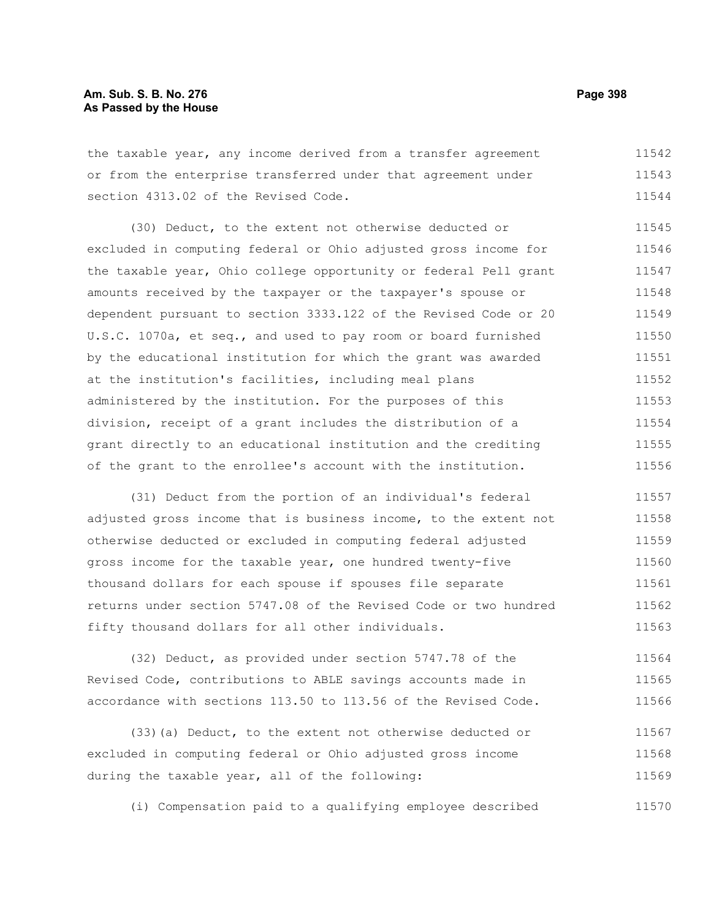# **Am. Sub. S. B. No. 276 Page 398 As Passed by the House**

the taxable year, any income derived from a transfer agreement or from the enterprise transferred under that agreement under section 4313.02 of the Revised Code. 11542 11543 11544

(30) Deduct, to the extent not otherwise deducted or excluded in computing federal or Ohio adjusted gross income for the taxable year, Ohio college opportunity or federal Pell grant amounts received by the taxpayer or the taxpayer's spouse or dependent pursuant to section 3333.122 of the Revised Code or 20 U.S.C. 1070a, et seq., and used to pay room or board furnished by the educational institution for which the grant was awarded at the institution's facilities, including meal plans administered by the institution. For the purposes of this division, receipt of a grant includes the distribution of a grant directly to an educational institution and the crediting of the grant to the enrollee's account with the institution. 11545 11546 11547 11548 11549 11550 11551 11552 11553 11554 11555 11556

(31) Deduct from the portion of an individual's federal adjusted gross income that is business income, to the extent not otherwise deducted or excluded in computing federal adjusted gross income for the taxable year, one hundred twenty-five thousand dollars for each spouse if spouses file separate returns under section 5747.08 of the Revised Code or two hundred fifty thousand dollars for all other individuals. 11557 11558 11559 11560 11561 11562 11563

(32) Deduct, as provided under section 5747.78 of the Revised Code, contributions to ABLE savings accounts made in accordance with sections 113.50 to 113.56 of the Revised Code. 11564 11565 11566

(33)(a) Deduct, to the extent not otherwise deducted or excluded in computing federal or Ohio adjusted gross income during the taxable year, all of the following: 11567 11568 11569

(i) Compensation paid to a qualifying employee described 11570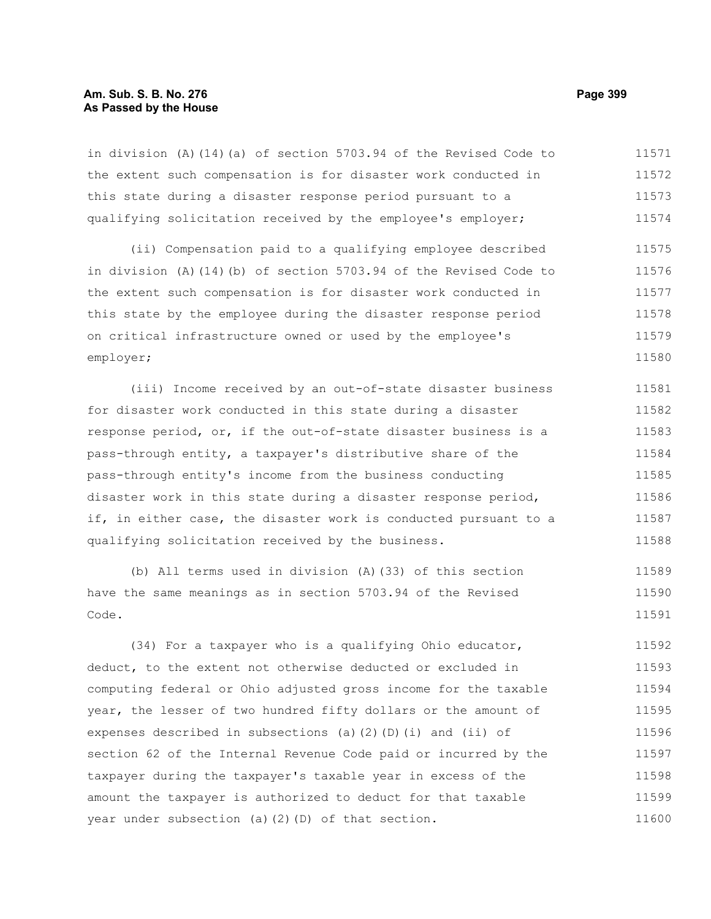# **Am. Sub. S. B. No. 276 Page 399 As Passed by the House**

in division (A)(14)(a) of section 5703.94 of the Revised Code to the extent such compensation is for disaster work conducted in this state during a disaster response period pursuant to a qualifying solicitation received by the employee's employer; 11571 11572 11573 11574

(ii) Compensation paid to a qualifying employee described in division (A)(14)(b) of section 5703.94 of the Revised Code to the extent such compensation is for disaster work conducted in this state by the employee during the disaster response period on critical infrastructure owned or used by the employee's employer; 11575 11576 11577 11578 11579 11580

(iii) Income received by an out-of-state disaster business for disaster work conducted in this state during a disaster response period, or, if the out-of-state disaster business is a pass-through entity, a taxpayer's distributive share of the pass-through entity's income from the business conducting disaster work in this state during a disaster response period, if, in either case, the disaster work is conducted pursuant to a qualifying solicitation received by the business. 11581 11582 11583 11584 11585 11586 11587 11588

(b) All terms used in division (A)(33) of this section have the same meanings as in section 5703.94 of the Revised Code. 11589 11590 11591

(34) For a taxpayer who is a qualifying Ohio educator, deduct, to the extent not otherwise deducted or excluded in computing federal or Ohio adjusted gross income for the taxable year, the lesser of two hundred fifty dollars or the amount of expenses described in subsections (a)(2)(D)(i) and (ii) of section 62 of the Internal Revenue Code paid or incurred by the taxpayer during the taxpayer's taxable year in excess of the amount the taxpayer is authorized to deduct for that taxable year under subsection (a)(2)(D) of that section. 11592 11593 11594 11595 11596 11597 11598 11599 11600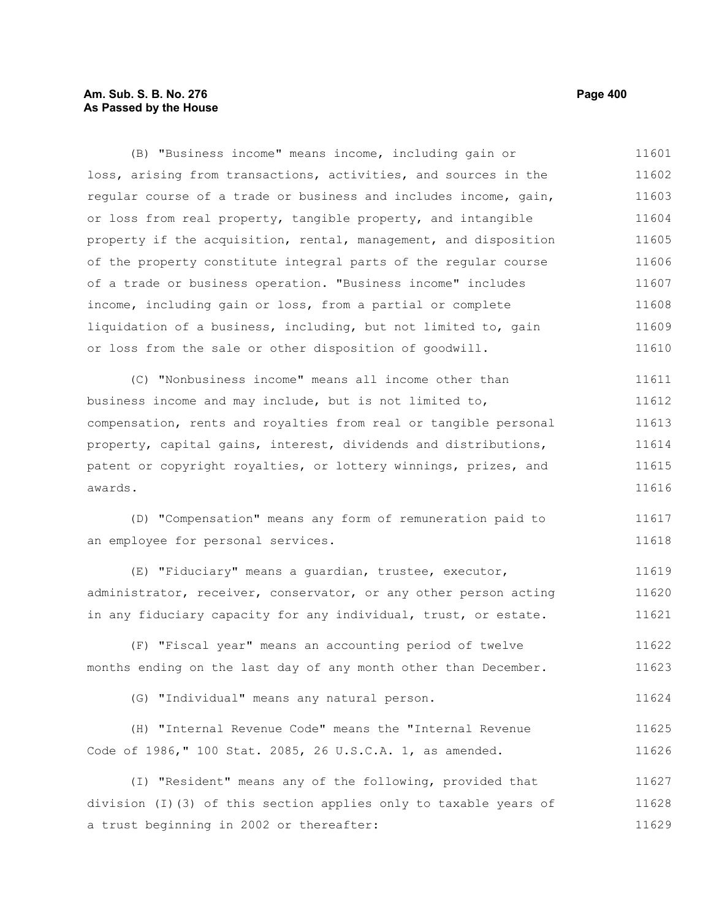# **Am. Sub. S. B. No. 276 Page 400 As Passed by the House**

(B) "Business income" means income, including gain or loss, arising from transactions, activities, and sources in the regular course of a trade or business and includes income, gain, or loss from real property, tangible property, and intangible property if the acquisition, rental, management, and disposition of the property constitute integral parts of the regular course of a trade or business operation. "Business income" includes income, including gain or loss, from a partial or complete liquidation of a business, including, but not limited to, gain or loss from the sale or other disposition of goodwill. 11601 11602 11603 11604 11605 11606 11607 11608 11609 11610

(C) "Nonbusiness income" means all income other than business income and may include, but is not limited to, compensation, rents and royalties from real or tangible personal property, capital gains, interest, dividends and distributions, patent or copyright royalties, or lottery winnings, prizes, and awards. 11611 11612 11613 11614 11615 11616

(D) "Compensation" means any form of remuneration paid to an employee for personal services. 11617 11618

(E) "Fiduciary" means a guardian, trustee, executor, administrator, receiver, conservator, or any other person acting in any fiduciary capacity for any individual, trust, or estate. 11619 11620 11621

(F) "Fiscal year" means an accounting period of twelve months ending on the last day of any month other than December. 11622 11623

(G) "Individual" means any natural person. 11624

|  |                                                           |  |  |  |  | (H) "Internal Revenue Code" means the "Internal Revenue | 11625 |
|--|-----------------------------------------------------------|--|--|--|--|---------------------------------------------------------|-------|
|  | Code of 1986," 100 Stat. 2085, 26 U.S.C.A. 1, as amended. |  |  |  |  |                                                         | 11626 |

(I) "Resident" means any of the following, provided that division (I)(3) of this section applies only to taxable years of a trust beginning in 2002 or thereafter: 11627 11628 11629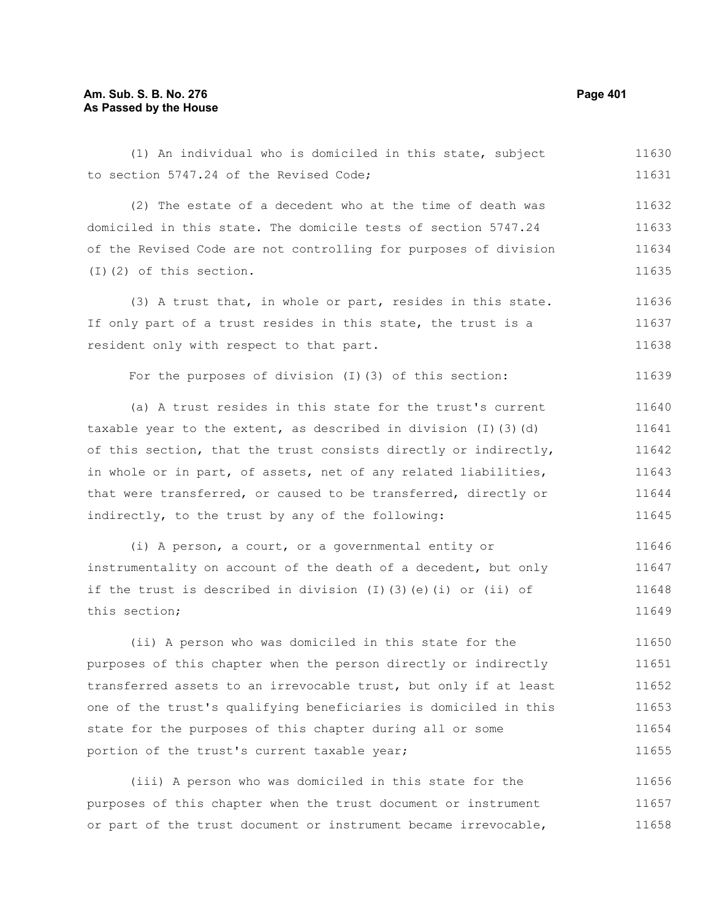# **Am. Sub. S. B. No. 276 Page 401 As Passed by the House**

(1) An individual who is domiciled in this state, subject to section 5747.24 of the Revised Code; 11630 11631

(2) The estate of a decedent who at the time of death was domiciled in this state. The domicile tests of section 5747.24 of the Revised Code are not controlling for purposes of division (I)(2) of this section. 11632 11633 11634 11635

(3) A trust that, in whole or part, resides in this state. If only part of a trust resides in this state, the trust is a resident only with respect to that part. 11636 11637 11638

For the purposes of division (I)(3) of this section:

(a) A trust resides in this state for the trust's current taxable year to the extent, as described in division  $(I)$  (3)(d) of this section, that the trust consists directly or indirectly, in whole or in part, of assets, net of any related liabilities, that were transferred, or caused to be transferred, directly or indirectly, to the trust by any of the following: 11640 11641 11642 11643 11644 11645

(i) A person, a court, or a governmental entity or instrumentality on account of the death of a decedent, but only if the trust is described in division (I)(3)(e)(i) or (ii) of this section; 11646 11647 11648 11649

(ii) A person who was domiciled in this state for the purposes of this chapter when the person directly or indirectly transferred assets to an irrevocable trust, but only if at least one of the trust's qualifying beneficiaries is domiciled in this state for the purposes of this chapter during all or some portion of the trust's current taxable year; 11650 11651 11652 11653 11654 11655

(iii) A person who was domiciled in this state for the purposes of this chapter when the trust document or instrument or part of the trust document or instrument became irrevocable, 11656 11657 11658

11639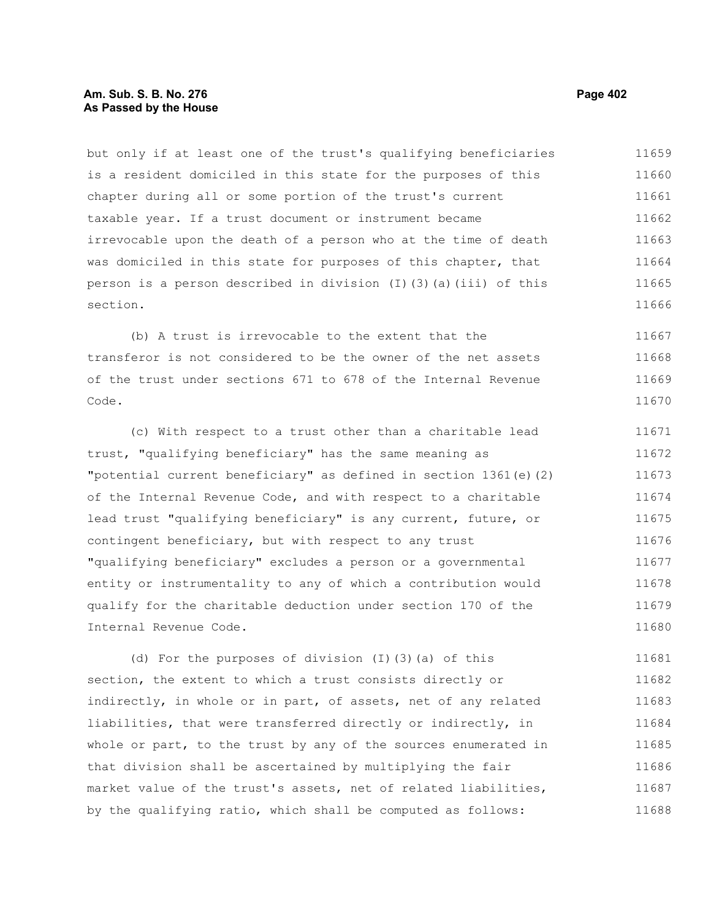# **Am. Sub. S. B. No. 276 Page 402** Page 402 **As Passed by the House**

but only if at least one of the trust's qualifying beneficiaries is a resident domiciled in this state for the purposes of this chapter during all or some portion of the trust's current taxable year. If a trust document or instrument became irrevocable upon the death of a person who at the time of death was domiciled in this state for purposes of this chapter, that person is a person described in division  $(I)(3)(a)(iii)$  of this section. 11659 11660 11661 11662 11663 11664 11665 11666

(b) A trust is irrevocable to the extent that the transferor is not considered to be the owner of the net assets of the trust under sections 671 to 678 of the Internal Revenue Code. 11667 11668 11669 11670

(c) With respect to a trust other than a charitable lead trust, "qualifying beneficiary" has the same meaning as "potential current beneficiary" as defined in section 1361(e)(2) of the Internal Revenue Code, and with respect to a charitable lead trust "qualifying beneficiary" is any current, future, or contingent beneficiary, but with respect to any trust "qualifying beneficiary" excludes a person or a governmental entity or instrumentality to any of which a contribution would qualify for the charitable deduction under section 170 of the Internal Revenue Code. 11671 11672 11673 11674 11675 11676 11677 11678 11679 11680

(d) For the purposes of division (I)(3)(a) of this section, the extent to which a trust consists directly or indirectly, in whole or in part, of assets, net of any related liabilities, that were transferred directly or indirectly, in whole or part, to the trust by any of the sources enumerated in that division shall be ascertained by multiplying the fair market value of the trust's assets, net of related liabilities, by the qualifying ratio, which shall be computed as follows: 11681 11682 11683 11684 11685 11686 11687 11688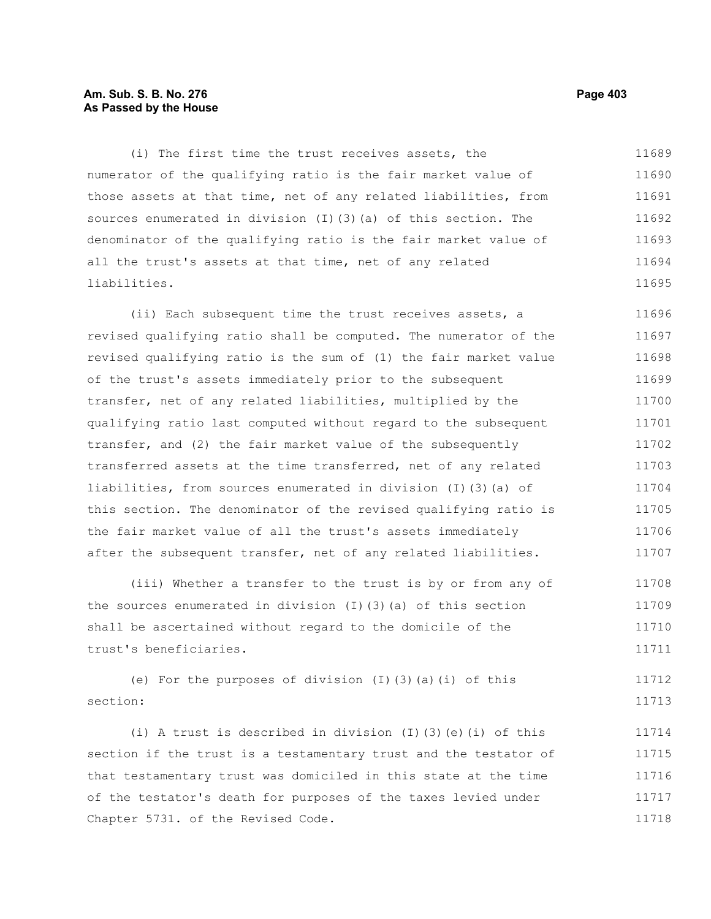# **Am. Sub. S. B. No. 276 Page 403 As Passed by the House**

(i) The first time the trust receives assets, the numerator of the qualifying ratio is the fair market value of those assets at that time, net of any related liabilities, from sources enumerated in division (I)(3)(a) of this section. The denominator of the qualifying ratio is the fair market value of all the trust's assets at that time, net of any related liabilities. 11689 11690 11691 11692 11693 11694 11695

(ii) Each subsequent time the trust receives assets, a revised qualifying ratio shall be computed. The numerator of the revised qualifying ratio is the sum of (1) the fair market value of the trust's assets immediately prior to the subsequent transfer, net of any related liabilities, multiplied by the qualifying ratio last computed without regard to the subsequent transfer, and (2) the fair market value of the subsequently transferred assets at the time transferred, net of any related liabilities, from sources enumerated in division (I)(3)(a) of this section. The denominator of the revised qualifying ratio is the fair market value of all the trust's assets immediately after the subsequent transfer, net of any related liabilities. 11696 11697 11698 11699 11700 11701 11702 11703 11704 11705 11706 11707

(iii) Whether a transfer to the trust is by or from any of the sources enumerated in division (I)(3)(a) of this section shall be ascertained without regard to the domicile of the trust's beneficiaries. 11708 11709 11710 11711

(e) For the purposes of division  $(I)(3)(a)(i)$  of this section: 11712 11713

(i) A trust is described in division (I)(3)(e)(i) of this section if the trust is a testamentary trust and the testator of that testamentary trust was domiciled in this state at the time of the testator's death for purposes of the taxes levied under Chapter 5731. of the Revised Code. 11714 11715 11716 11717 11718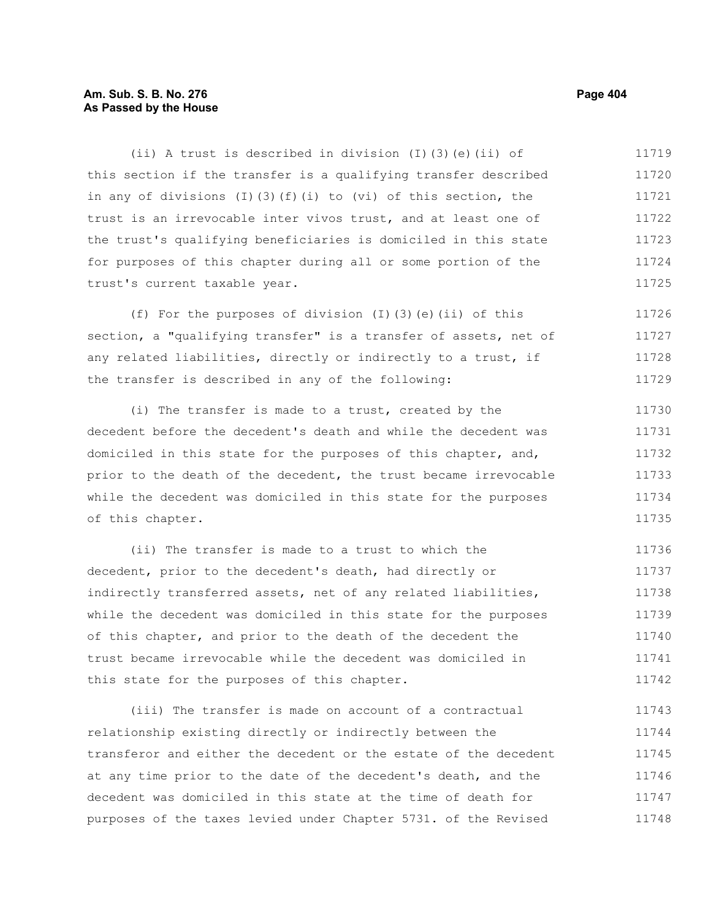# **Am. Sub. S. B. No. 276 Page 404** Page 404 **As Passed by the House**

(ii) A trust is described in division (I)(3)(e)(ii) of this section if the transfer is a qualifying transfer described in any of divisions  $(I)$   $(3)$   $(f)$   $(i)$  to  $(vi)$  of this section, the trust is an irrevocable inter vivos trust, and at least one of the trust's qualifying beneficiaries is domiciled in this state for purposes of this chapter during all or some portion of the trust's current taxable year. 11719 11720 11721 11722 11723 11724 11725

(f) For the purposes of division (I)(3)(e)(ii) of this section, a "qualifying transfer" is a transfer of assets, net of any related liabilities, directly or indirectly to a trust, if the transfer is described in any of the following: 11726 11727 11728 11729

(i) The transfer is made to a trust, created by the decedent before the decedent's death and while the decedent was domiciled in this state for the purposes of this chapter, and, prior to the death of the decedent, the trust became irrevocable while the decedent was domiciled in this state for the purposes of this chapter. 11730 11731 11732 11733 11734 11735

(ii) The transfer is made to a trust to which the decedent, prior to the decedent's death, had directly or indirectly transferred assets, net of any related liabilities, while the decedent was domiciled in this state for the purposes of this chapter, and prior to the death of the decedent the trust became irrevocable while the decedent was domiciled in this state for the purposes of this chapter. 11736 11737 11738 11739 11740 11741 11742

(iii) The transfer is made on account of a contractual relationship existing directly or indirectly between the transferor and either the decedent or the estate of the decedent at any time prior to the date of the decedent's death, and the decedent was domiciled in this state at the time of death for purposes of the taxes levied under Chapter 5731. of the Revised 11743 11744 11745 11746 11747 11748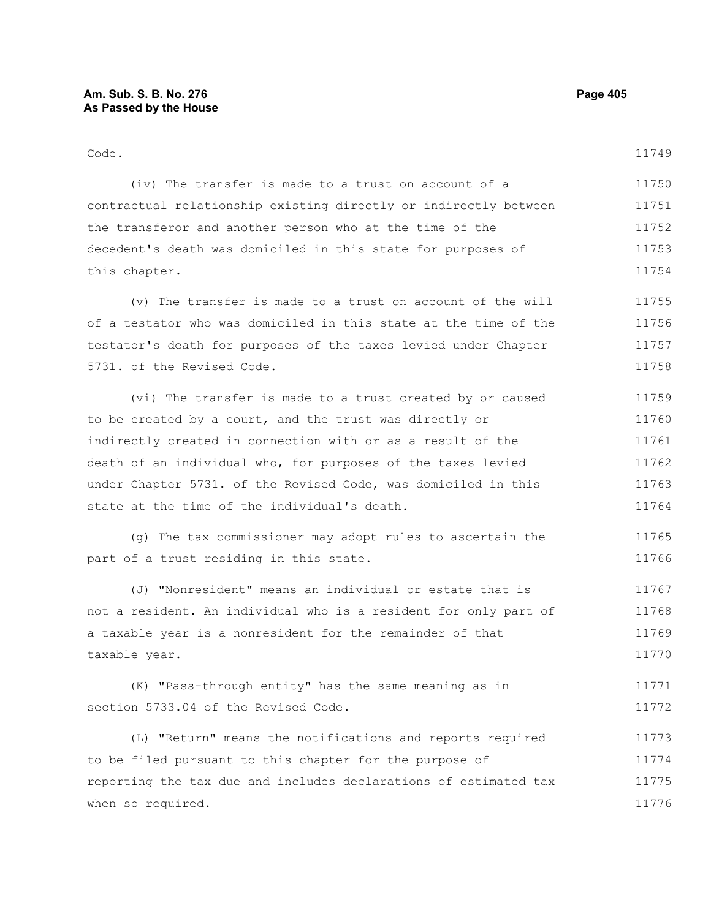# Code.

(iv) The transfer is made to a trust on account of a contractual relationship existing directly or indirectly between the transferor and another person who at the time of the decedent's death was domiciled in this state for purposes of this chapter. 11750 11751 11752 11753 11754

(v) The transfer is made to a trust on account of the will of a testator who was domiciled in this state at the time of the testator's death for purposes of the taxes levied under Chapter 5731. of the Revised Code. 11755 11756 11757 11758

(vi) The transfer is made to a trust created by or caused to be created by a court, and the trust was directly or indirectly created in connection with or as a result of the death of an individual who, for purposes of the taxes levied under Chapter 5731. of the Revised Code, was domiciled in this state at the time of the individual's death. 11759 11760 11761 11762 11763 11764

(g) The tax commissioner may adopt rules to ascertain the part of a trust residing in this state. 11765 11766

(J) "Nonresident" means an individual or estate that is not a resident. An individual who is a resident for only part of a taxable year is a nonresident for the remainder of that taxable year. 11767 11768 11769 11770

(K) "Pass-through entity" has the same meaning as in section 5733.04 of the Revised Code. 11771 11772

(L) "Return" means the notifications and reports required to be filed pursuant to this chapter for the purpose of reporting the tax due and includes declarations of estimated tax when so required. 11773 11774 11775 11776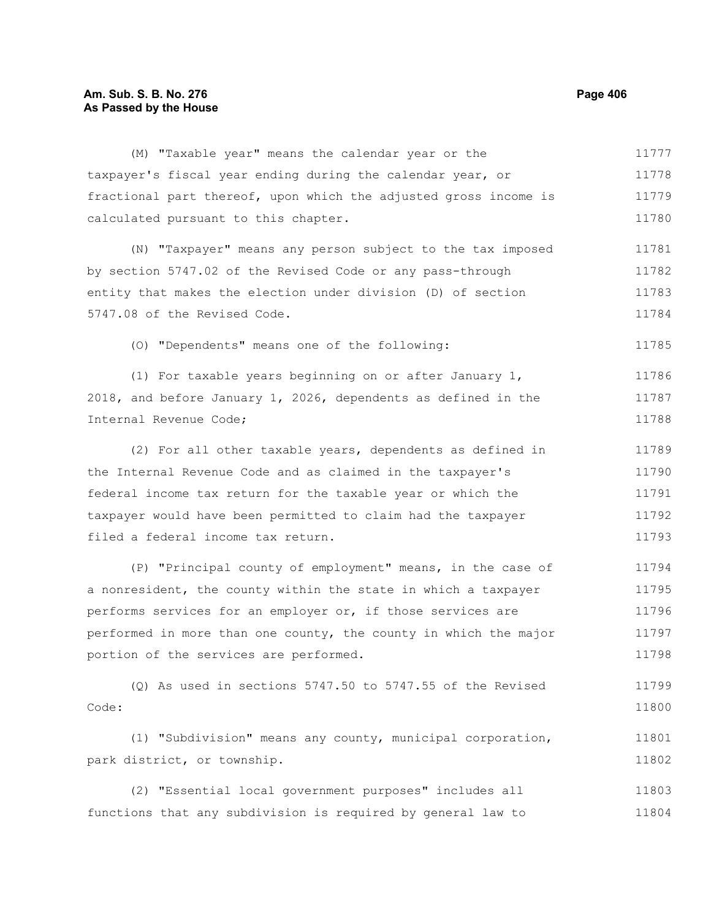# **Am. Sub. S. B. No. 276 Page 406** Page 406 **As Passed by the House**

(M) "Taxable year" means the calendar year or the taxpayer's fiscal year ending during the calendar year, or fractional part thereof, upon which the adjusted gross income is calculated pursuant to this chapter. (N) "Taxpayer" means any person subject to the tax imposed by section 5747.02 of the Revised Code or any pass-through entity that makes the election under division (D) of section 5747.08 of the Revised Code. (O) "Dependents" means one of the following: (1) For taxable years beginning on or after January 1, 2018, and before January 1, 2026, dependents as defined in the Internal Revenue Code; (2) For all other taxable years, dependents as defined in the Internal Revenue Code and as claimed in the taxpayer's federal income tax return for the taxable year or which the taxpayer would have been permitted to claim had the taxpayer filed a federal income tax return. (P) "Principal county of employment" means, in the case of 11778 11779 11780 11781 11782 11783 11784 11785 11786 11787 11788 11789 11790 11791 11792 11793 11794

a nonresident, the county within the state in which a taxpayer performs services for an employer or, if those services are performed in more than one county, the county in which the major portion of the services are performed. 11795 11796 11797 11798

(Q) As used in sections 5747.50 to 5747.55 of the Revised Code: 11799 11800

(1) "Subdivision" means any county, municipal corporation, park district, or township. 11801 11802

(2) "Essential local government purposes" includes all functions that any subdivision is required by general law to 11803 11804

11777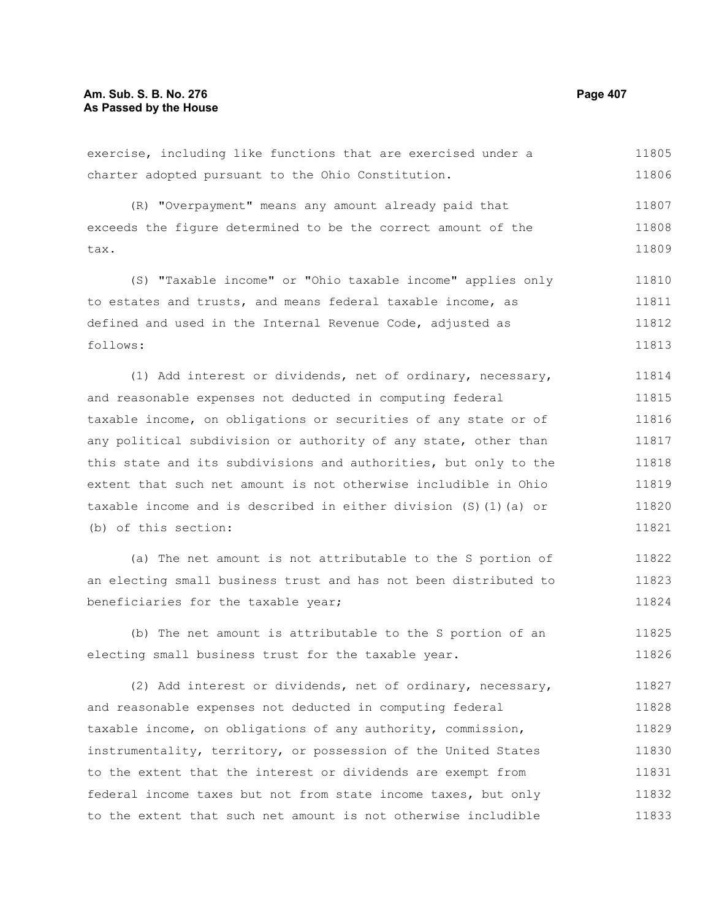#### exercise, including like functions that are exercised under a charter adopted pursuant to the Ohio Constitution. (R) "Overpayment" means any amount already paid that exceeds the figure determined to be the correct amount of the tax. (S) "Taxable income" or "Ohio taxable income" applies only to estates and trusts, and means federal taxable income, as defined and used in the Internal Revenue Code, adjusted as follows: (1) Add interest or dividends, net of ordinary, necessary, and reasonable expenses not deducted in computing federal taxable income, on obligations or securities of any state or of any political subdivision or authority of any state, other than this state and its subdivisions and authorities, but only to the extent that such net amount is not otherwise includible in Ohio taxable income and is described in either division (S)(1)(a) or (b) of this section: (a) The net amount is not attributable to the S portion of an electing small business trust and has not been distributed to beneficiaries for the taxable year; (b) The net amount is attributable to the S portion of an electing small business trust for the taxable year. (2) Add interest or dividends, net of ordinary, necessary, and reasonable expenses not deducted in computing federal taxable income, on obligations of any authority, commission, instrumentality, territory, or possession of the United States to the extent that the interest or dividends are exempt from 11805 11806 11807 11808 11809 11810 11811 11812 11813 11814 11815 11816 11817 11818 11819 11820 11821 11822 11823 11824 11825 11826 11827 11828 11829 11830 11831

federal income taxes but not from state income taxes, but only to the extent that such net amount is not otherwise includible 11832 11833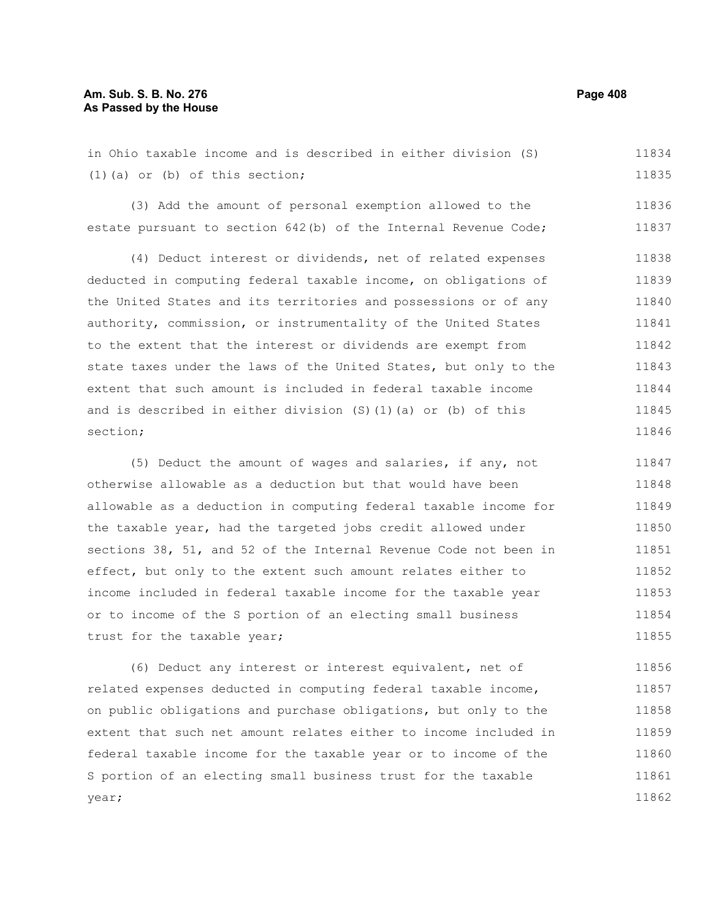# **Am. Sub. S. B. No. 276 Page 408 As Passed by the House**

in Ohio taxable income and is described in either division (S) (1)(a) or (b) of this section; 11834 11835

(3) Add the amount of personal exemption allowed to the estate pursuant to section 642(b) of the Internal Revenue Code; 11836 11837

(4) Deduct interest or dividends, net of related expenses deducted in computing federal taxable income, on obligations of the United States and its territories and possessions or of any authority, commission, or instrumentality of the United States to the extent that the interest or dividends are exempt from state taxes under the laws of the United States, but only to the extent that such amount is included in federal taxable income and is described in either division (S)(1)(a) or (b) of this section; 11838 11839 11840 11841 11842 11843 11844 11845 11846

(5) Deduct the amount of wages and salaries, if any, not otherwise allowable as a deduction but that would have been allowable as a deduction in computing federal taxable income for the taxable year, had the targeted jobs credit allowed under sections 38, 51, and 52 of the Internal Revenue Code not been in effect, but only to the extent such amount relates either to income included in federal taxable income for the taxable year or to income of the S portion of an electing small business trust for the taxable year; 11847 11848 11849 11850 11851 11852 11853 11854 11855

(6) Deduct any interest or interest equivalent, net of related expenses deducted in computing federal taxable income, on public obligations and purchase obligations, but only to the extent that such net amount relates either to income included in federal taxable income for the taxable year or to income of the S portion of an electing small business trust for the taxable year; 11856 11857 11858 11859 11860 11861 11862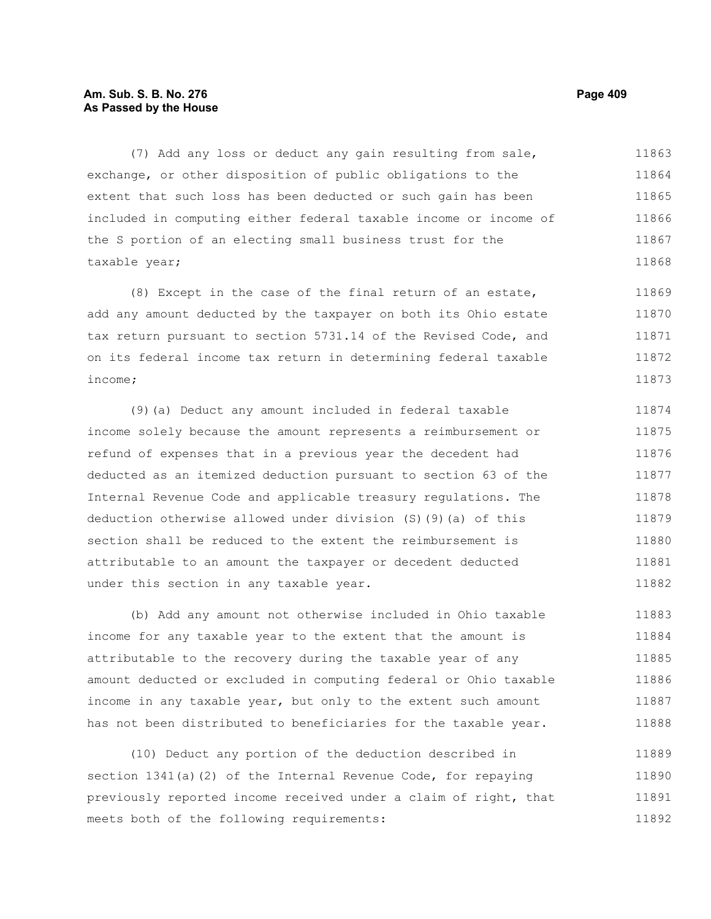# **Am. Sub. S. B. No. 276 Page 409 As Passed by the House**

(7) Add any loss or deduct any gain resulting from sale, exchange, or other disposition of public obligations to the extent that such loss has been deducted or such gain has been included in computing either federal taxable income or income of the S portion of an electing small business trust for the taxable year; 11863 11864 11865 11866 11867 11868

(8) Except in the case of the final return of an estate, add any amount deducted by the taxpayer on both its Ohio estate tax return pursuant to section 5731.14 of the Revised Code, and on its federal income tax return in determining federal taxable income; 11869 11870 11871 11872 11873

(9)(a) Deduct any amount included in federal taxable income solely because the amount represents a reimbursement or refund of expenses that in a previous year the decedent had deducted as an itemized deduction pursuant to section 63 of the Internal Revenue Code and applicable treasury regulations. The deduction otherwise allowed under division (S)(9)(a) of this section shall be reduced to the extent the reimbursement is attributable to an amount the taxpayer or decedent deducted under this section in any taxable year. 11874 11875 11876 11877 11878 11879 11880 11881 11882

(b) Add any amount not otherwise included in Ohio taxable income for any taxable year to the extent that the amount is attributable to the recovery during the taxable year of any amount deducted or excluded in computing federal or Ohio taxable income in any taxable year, but only to the extent such amount has not been distributed to beneficiaries for the taxable year. 11883 11884 11885 11886 11887 11888

(10) Deduct any portion of the deduction described in section 1341(a)(2) of the Internal Revenue Code, for repaying previously reported income received under a claim of right, that meets both of the following requirements: 11889 11890 11891 11892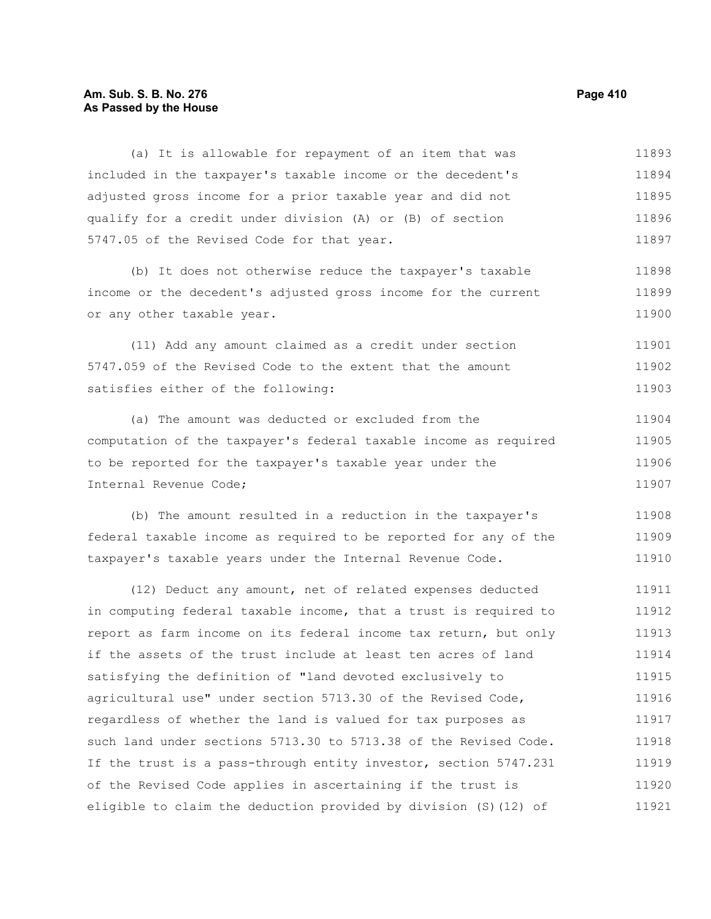# **Am. Sub. S. B. No. 276 Page 410 As Passed by the House**

(a) It is allowable for repayment of an item that was included in the taxpayer's taxable income or the decedent's adjusted gross income for a prior taxable year and did not qualify for a credit under division (A) or (B) of section 5747.05 of the Revised Code for that year. 11893 11894 11895 11896 11897

(b) It does not otherwise reduce the taxpayer's taxable income or the decedent's adjusted gross income for the current or any other taxable year. 11898 11899 11900

(11) Add any amount claimed as a credit under section 5747.059 of the Revised Code to the extent that the amount satisfies either of the following: 11901 11902 11903

(a) The amount was deducted or excluded from the computation of the taxpayer's federal taxable income as required to be reported for the taxpayer's taxable year under the Internal Revenue Code; 11904 11905 11906 11907

(b) The amount resulted in a reduction in the taxpayer's federal taxable income as required to be reported for any of the taxpayer's taxable years under the Internal Revenue Code. 11908 11909 11910

(12) Deduct any amount, net of related expenses deducted in computing federal taxable income, that a trust is required to report as farm income on its federal income tax return, but only if the assets of the trust include at least ten acres of land satisfying the definition of "land devoted exclusively to agricultural use" under section 5713.30 of the Revised Code, regardless of whether the land is valued for tax purposes as such land under sections 5713.30 to 5713.38 of the Revised Code. If the trust is a pass-through entity investor, section 5747.231 of the Revised Code applies in ascertaining if the trust is eligible to claim the deduction provided by division (S)(12) of 11911 11912 11913 11914 11915 11916 11917 11918 11919 11920 11921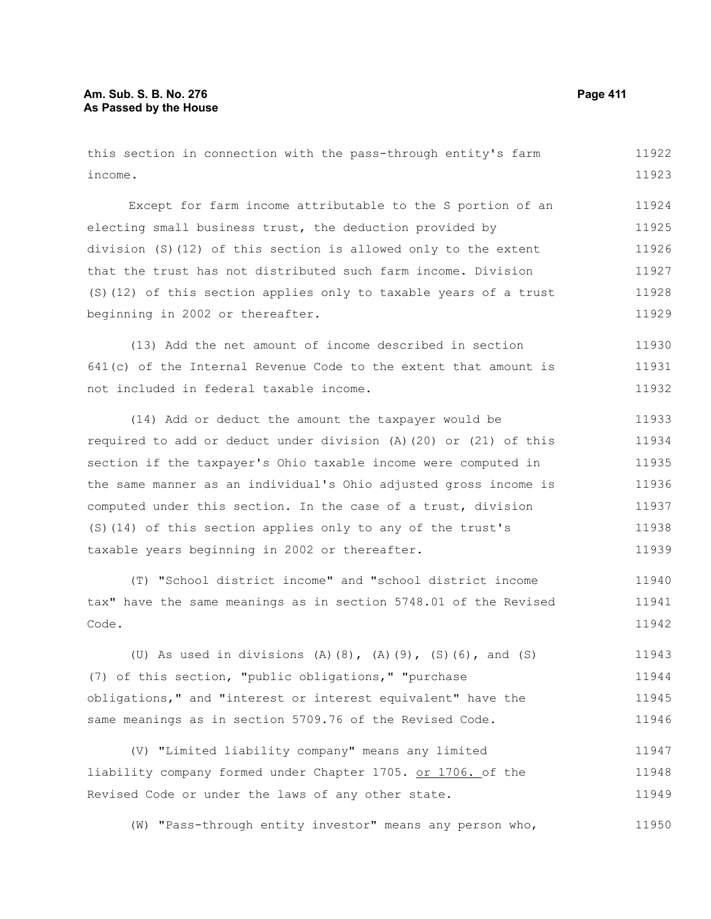this section in connection with the pass-through entity's farm income. Except for farm income attributable to the S portion of an electing small business trust, the deduction provided by division (S)(12) of this section is allowed only to the extent that the trust has not distributed such farm income. Division (S)(12) of this section applies only to taxable years of a trust beginning in 2002 or thereafter. (13) Add the net amount of income described in section 641(c) of the Internal Revenue Code to the extent that amount is not included in federal taxable income. (14) Add or deduct the amount the taxpayer would be required to add or deduct under division (A)(20) or (21) of this section if the taxpayer's Ohio taxable income were computed in the same manner as an individual's Ohio adjusted gross income is computed under this section. In the case of a trust, division (S)(14) of this section applies only to any of the trust's taxable years beginning in 2002 or thereafter. (T) "School district income" and "school district income tax" have the same meanings as in section 5748.01 of the Revised Code. (U) As used in divisions (A)(8), (A)(9), (S)(6), and (S) (7) of this section, "public obligations," "purchase obligations," and "interest or interest equivalent" have the same meanings as in section 5709.76 of the Revised Code. (V) "Limited liability company" means any limited liability company formed under Chapter 1705. or 1706. of the Revised Code or under the laws of any other state. (W) "Pass-through entity investor" means any person who, 11922 11923 11924 11925 11926 11927 11928 11929 11930 11931 11932 11933 11934 11935 11936 11937 11938 11939 11940 11941 11942 11943 11944 11945 11946 11947 11948 11949 11950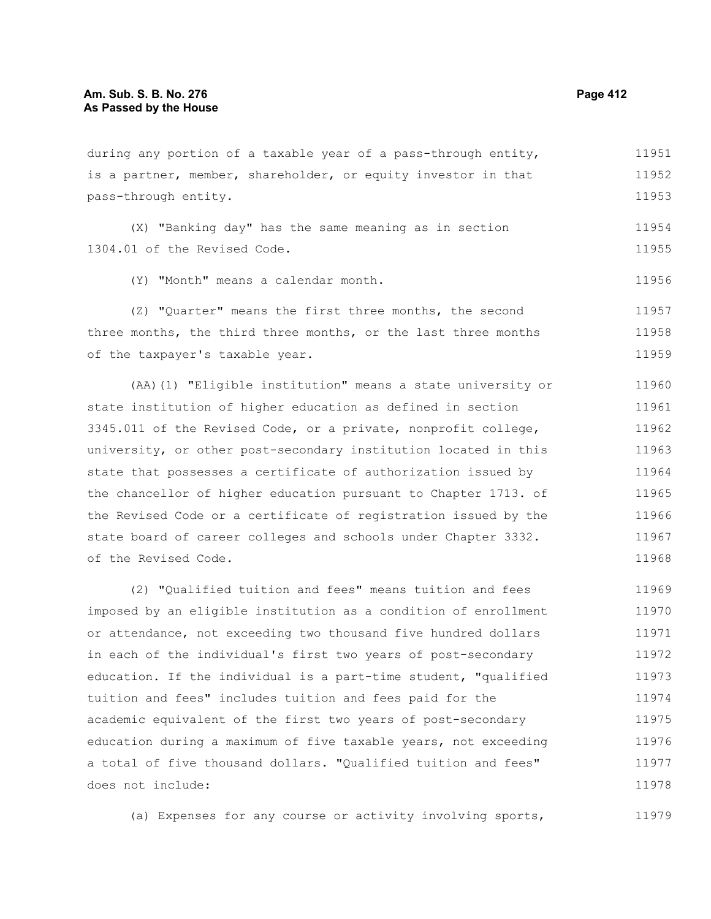pass-through entity.

during any portion of a taxable year of a pass-through entity, is a partner, member, shareholder, or equity investor in that

11952

11951

11953

11956

(X) "Banking day" has the same meaning as in section 1304.01 of the Revised Code. 11954 11955

(Y) "Month" means a calendar month.

(Z) "Quarter" means the first three months, the second three months, the third three months, or the last three months of the taxpayer's taxable year. 11957 11958 11959

(AA)(1) "Eligible institution" means a state university or state institution of higher education as defined in section 3345.011 of the Revised Code, or a private, nonprofit college, university, or other post-secondary institution located in this state that possesses a certificate of authorization issued by the chancellor of higher education pursuant to Chapter 1713. of the Revised Code or a certificate of registration issued by the state board of career colleges and schools under Chapter 3332. of the Revised Code. 11960 11961 11962 11963 11964 11965 11966 11967 11968

(2) "Qualified tuition and fees" means tuition and fees imposed by an eligible institution as a condition of enrollment or attendance, not exceeding two thousand five hundred dollars in each of the individual's first two years of post-secondary education. If the individual is a part-time student, "qualified tuition and fees" includes tuition and fees paid for the academic equivalent of the first two years of post-secondary education during a maximum of five taxable years, not exceeding a total of five thousand dollars. "Qualified tuition and fees" does not include: 11969 11970 11971 11972 11973 11974 11975 11976 11977 11978

(a) Expenses for any course or activity involving sports, 11979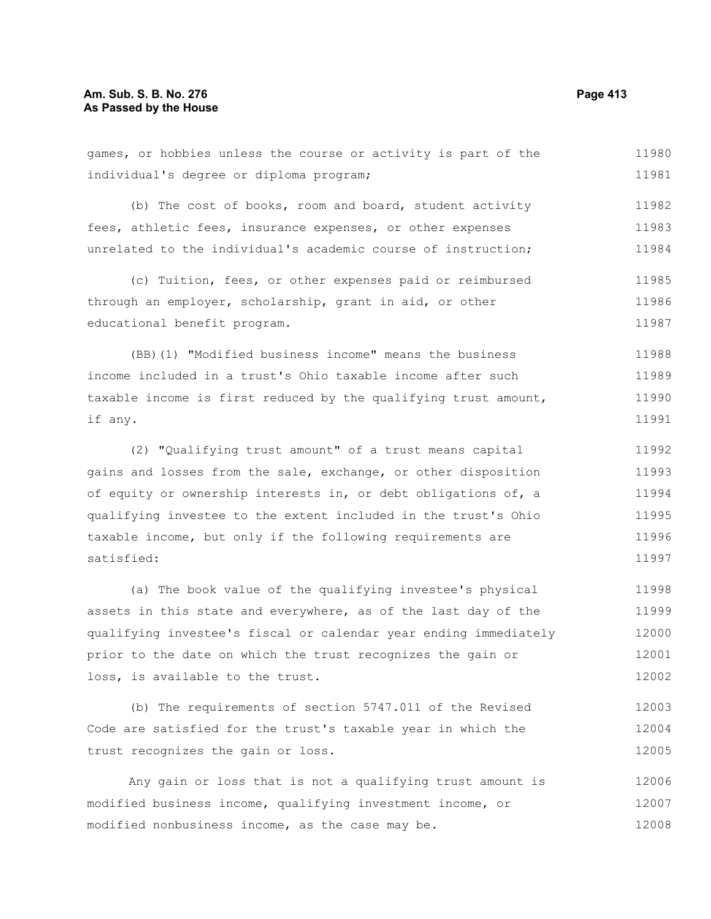# **Am. Sub. S. B. No. 276 Page 413 As Passed by the House**

games, or hobbies unless the course or activity is part of the individual's degree or diploma program; (b) The cost of books, room and board, student activity fees, athletic fees, insurance expenses, or other expenses unrelated to the individual's academic course of instruction; (c) Tuition, fees, or other expenses paid or reimbursed through an employer, scholarship, grant in aid, or other educational benefit program. (BB)(1) "Modified business income" means the business income included in a trust's Ohio taxable income after such taxable income is first reduced by the qualifying trust amount, if any. 11980 11981 11982 11983 11984 11985 11986 11987 11988 11989 11990 11991

(2) "Qualifying trust amount" of a trust means capital gains and losses from the sale, exchange, or other disposition of equity or ownership interests in, or debt obligations of, a qualifying investee to the extent included in the trust's Ohio taxable income, but only if the following requirements are satisfied: 11992 11993 11994 11995 11996 11997

(a) The book value of the qualifying investee's physical assets in this state and everywhere, as of the last day of the qualifying investee's fiscal or calendar year ending immediately prior to the date on which the trust recognizes the gain or loss, is available to the trust. 11998 11999 12000 12001 12002

(b) The requirements of section 5747.011 of the Revised Code are satisfied for the trust's taxable year in which the trust recognizes the gain or loss. 12003 12004 12005

Any gain or loss that is not a qualifying trust amount is modified business income, qualifying investment income, or modified nonbusiness income, as the case may be. 12006 12007 12008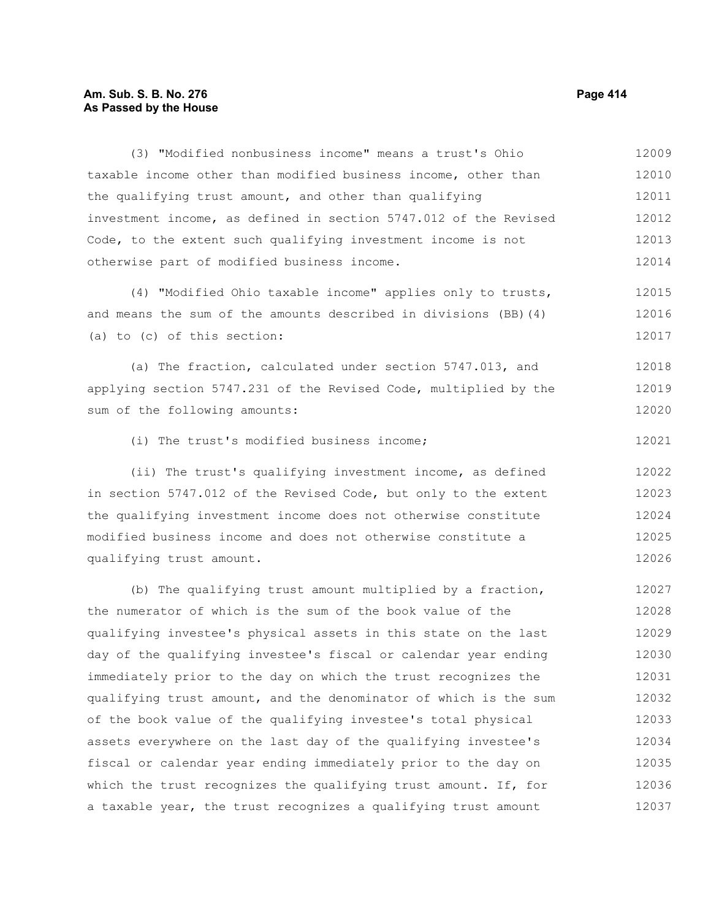# **Am. Sub. S. B. No. 276 Page 414 As Passed by the House**

(3) "Modified nonbusiness income" means a trust's Ohio taxable income other than modified business income, other than the qualifying trust amount, and other than qualifying investment income, as defined in section 5747.012 of the Revised Code, to the extent such qualifying investment income is not otherwise part of modified business income. (4) "Modified Ohio taxable income" applies only to trusts, and means the sum of the amounts described in divisions (BB)(4) (a) to (c) of this section: (a) The fraction, calculated under section 5747.013, and applying section 5747.231 of the Revised Code, multiplied by the sum of the following amounts: (i) The trust's modified business income; (ii) The trust's qualifying investment income, as defined in section 5747.012 of the Revised Code, but only to the extent the qualifying investment income does not otherwise constitute modified business income and does not otherwise constitute a qualifying trust amount. (b) The qualifying trust amount multiplied by a fraction, the numerator of which is the sum of the book value of the qualifying investee's physical assets in this state on the last day of the qualifying investee's fiscal or calendar year ending immediately prior to the day on which the trust recognizes the qualifying trust amount, and the denominator of which is the sum of the book value of the qualifying investee's total physical assets everywhere on the last day of the qualifying investee's fiscal or calendar year ending immediately prior to the day on 12010 12011 12012 12013 12014 12015 12016 12017 12018 12019 12020 12021 12022 12023 12024 12025 12026 12027 12028 12029 12030 12031 12032 12033 12034 12035

which the trust recognizes the qualifying trust amount. If, for a taxable year, the trust recognizes a qualifying trust amount

12009

12036 12037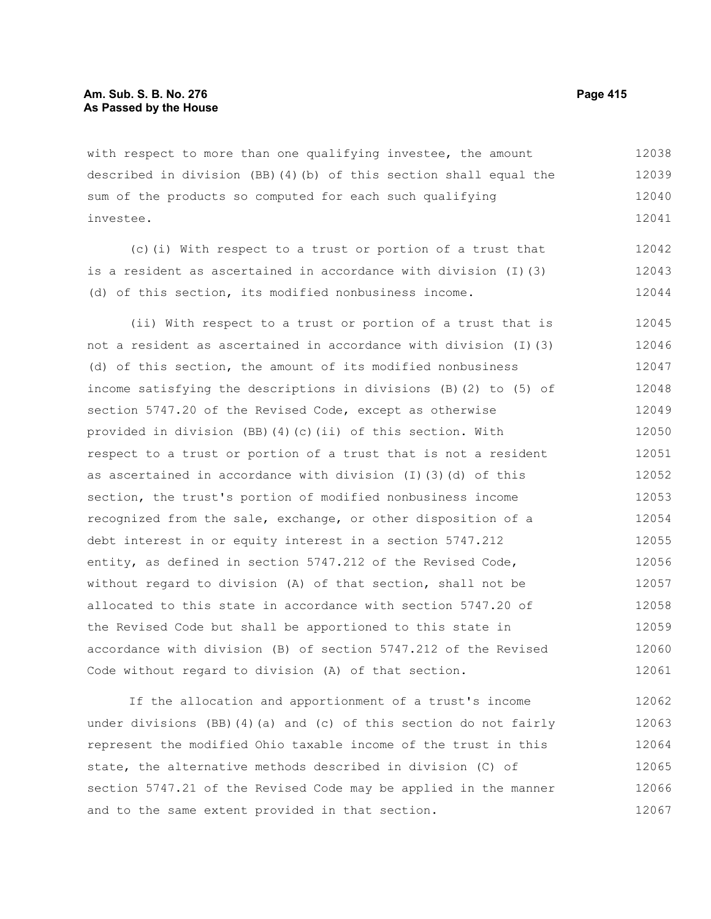with respect to more than one qualifying investee, the amount described in division (BB)(4)(b) of this section shall equal the sum of the products so computed for each such qualifying investee. 12038 12039 12040 12041

(c)(i) With respect to a trust or portion of a trust that is a resident as ascertained in accordance with division (I)(3) (d) of this section, its modified nonbusiness income. 12042 12043 12044

(ii) With respect to a trust or portion of a trust that is not a resident as ascertained in accordance with division (I)(3) (d) of this section, the amount of its modified nonbusiness income satisfying the descriptions in divisions (B)(2) to (5) of section 5747.20 of the Revised Code, except as otherwise provided in division (BB)(4)(c)(ii) of this section. With respect to a trust or portion of a trust that is not a resident as ascertained in accordance with division (I)(3)(d) of this section, the trust's portion of modified nonbusiness income recognized from the sale, exchange, or other disposition of a debt interest in or equity interest in a section 5747.212 entity, as defined in section 5747.212 of the Revised Code, without regard to division (A) of that section, shall not be allocated to this state in accordance with section 5747.20 of the Revised Code but shall be apportioned to this state in accordance with division (B) of section 5747.212 of the Revised Code without regard to division (A) of that section. 12045 12046 12047 12048 12049 12050 12051 12052 12053 12054 12055 12056 12057 12058 12059 12060 12061

If the allocation and apportionment of a trust's income under divisions (BB)(4)(a) and (c) of this section do not fairly represent the modified Ohio taxable income of the trust in this state, the alternative methods described in division (C) of section 5747.21 of the Revised Code may be applied in the manner and to the same extent provided in that section. 12062 12063 12064 12065 12066 12067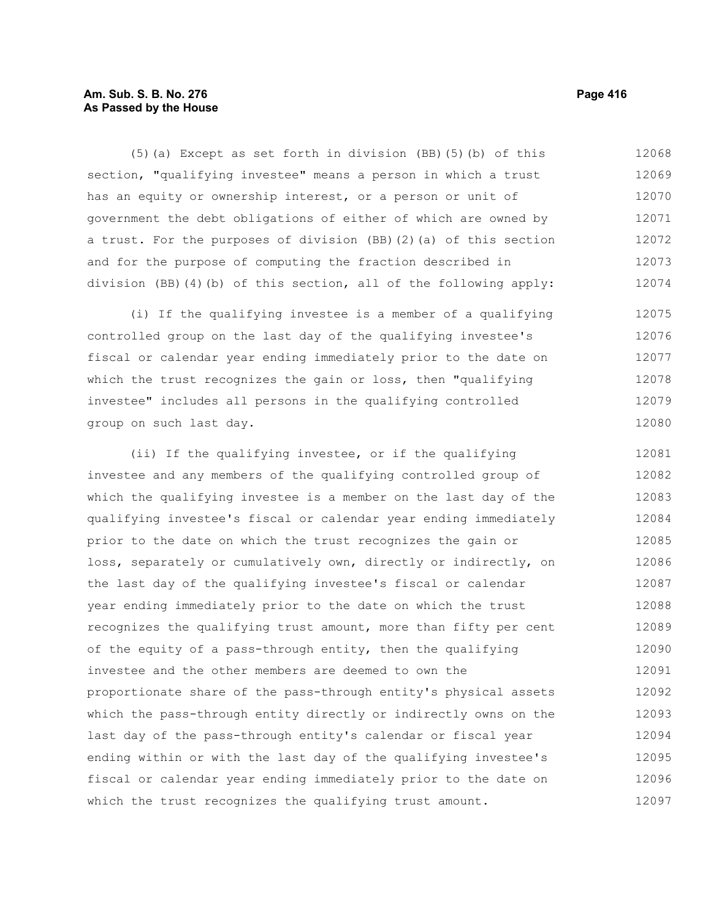# **Am. Sub. S. B. No. 276 Page 416** Page 416 **As Passed by the House**

(5)(a) Except as set forth in division (BB)(5)(b) of this section, "qualifying investee" means a person in which a trust has an equity or ownership interest, or a person or unit of government the debt obligations of either of which are owned by a trust. For the purposes of division (BB)(2)(a) of this section and for the purpose of computing the fraction described in division (BB)(4)(b) of this section, all of the following apply: 12068 12069 12070 12071 12072 12073 12074

(i) If the qualifying investee is a member of a qualifying controlled group on the last day of the qualifying investee's fiscal or calendar year ending immediately prior to the date on which the trust recognizes the gain or loss, then "qualifying investee" includes all persons in the qualifying controlled group on such last day. 12075 12076 12077 12078 12079 12080

(ii) If the qualifying investee, or if the qualifying investee and any members of the qualifying controlled group of which the qualifying investee is a member on the last day of the qualifying investee's fiscal or calendar year ending immediately prior to the date on which the trust recognizes the gain or loss, separately or cumulatively own, directly or indirectly, on the last day of the qualifying investee's fiscal or calendar year ending immediately prior to the date on which the trust recognizes the qualifying trust amount, more than fifty per cent of the equity of a pass-through entity, then the qualifying investee and the other members are deemed to own the proportionate share of the pass-through entity's physical assets which the pass-through entity directly or indirectly owns on the last day of the pass-through entity's calendar or fiscal year ending within or with the last day of the qualifying investee's fiscal or calendar year ending immediately prior to the date on which the trust recognizes the qualifying trust amount. 12081 12082 12083 12084 12085 12086 12087 12088 12089 12090 12091 12092 12093 12094 12095 12096 12097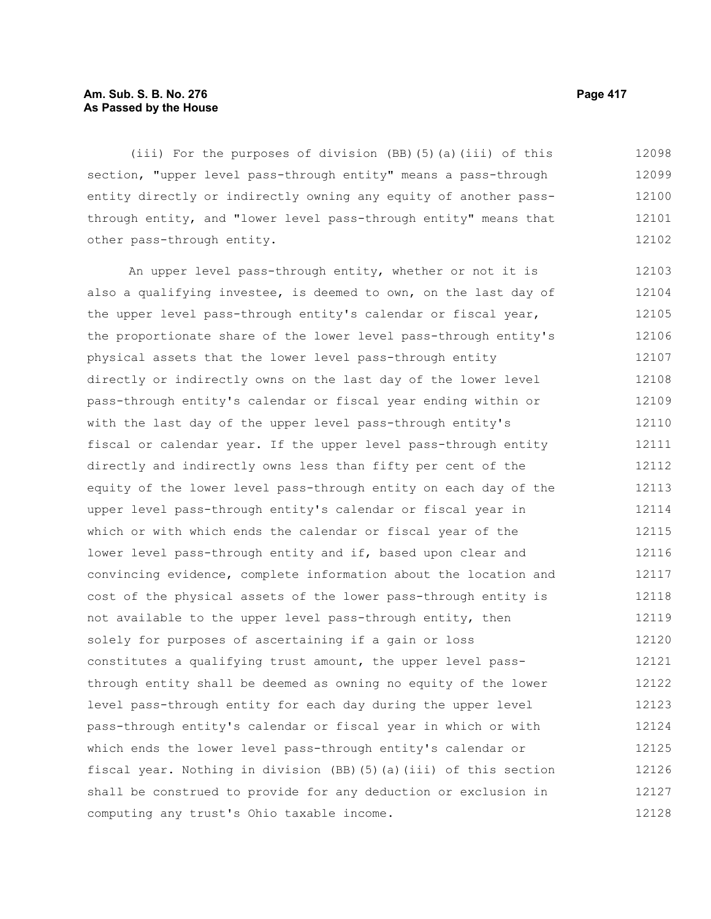# **Am. Sub. S. B. No. 276 Page 417** Page 417 **As Passed by the House**

(iii) For the purposes of division (BB)(5)(a)(iii) of this section, "upper level pass-through entity" means a pass-through entity directly or indirectly owning any equity of another passthrough entity, and "lower level pass-through entity" means that other pass-through entity. 12098 12099 12100 12101 12102

An upper level pass-through entity, whether or not it is also a qualifying investee, is deemed to own, on the last day of the upper level pass-through entity's calendar or fiscal year, the proportionate share of the lower level pass-through entity's physical assets that the lower level pass-through entity directly or indirectly owns on the last day of the lower level pass-through entity's calendar or fiscal year ending within or with the last day of the upper level pass-through entity's fiscal or calendar year. If the upper level pass-through entity directly and indirectly owns less than fifty per cent of the equity of the lower level pass-through entity on each day of the upper level pass-through entity's calendar or fiscal year in which or with which ends the calendar or fiscal year of the lower level pass-through entity and if, based upon clear and convincing evidence, complete information about the location and cost of the physical assets of the lower pass-through entity is not available to the upper level pass-through entity, then solely for purposes of ascertaining if a gain or loss constitutes a qualifying trust amount, the upper level passthrough entity shall be deemed as owning no equity of the lower level pass-through entity for each day during the upper level pass-through entity's calendar or fiscal year in which or with which ends the lower level pass-through entity's calendar or fiscal year. Nothing in division (BB)(5)(a)(iii) of this section shall be construed to provide for any deduction or exclusion in computing any trust's Ohio taxable income. 12103 12104 12105 12106 12107 12108 12109 12110 12111 12112 12113 12114 12115 12116 12117 12118 12119 12120 12121 12122 12123 12124 12125 12126 12127 12128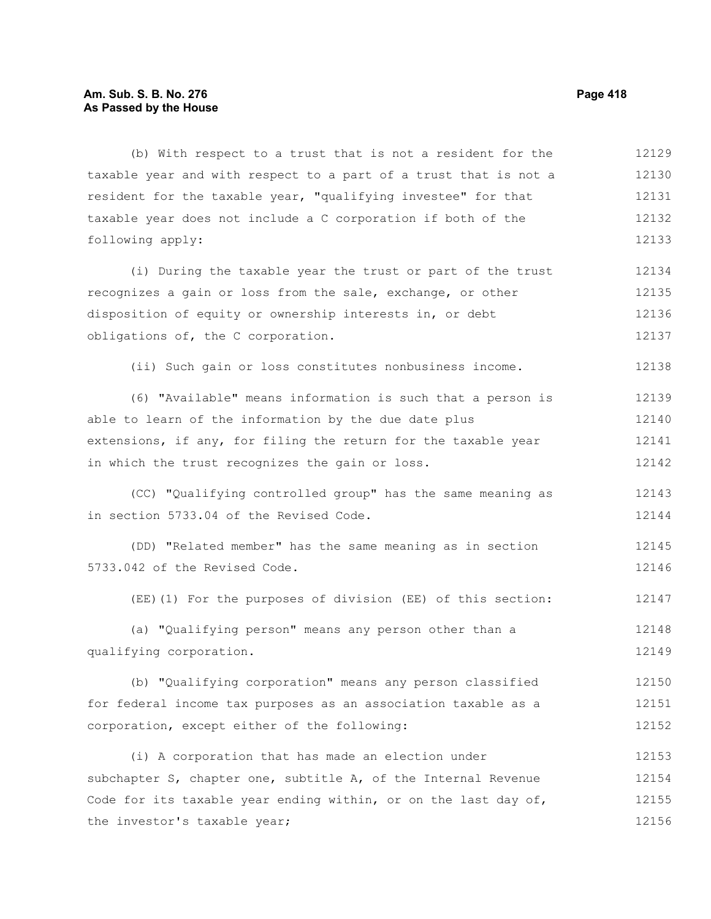# **Am. Sub. S. B. No. 276 Page 418 As Passed by the House**

(b) With respect to a trust that is not a resident for the taxable year and with respect to a part of a trust that is not a resident for the taxable year, "qualifying investee" for that taxable year does not include a C corporation if both of the following apply: (i) During the taxable year the trust or part of the trust recognizes a gain or loss from the sale, exchange, or other disposition of equity or ownership interests in, or debt obligations of, the C corporation. (ii) Such gain or loss constitutes nonbusiness income. (6) "Available" means information is such that a person is able to learn of the information by the due date plus extensions, if any, for filing the return for the taxable year in which the trust recognizes the gain or loss. (CC) "Qualifying controlled group" has the same meaning as in section 5733.04 of the Revised Code. (DD) "Related member" has the same meaning as in section 5733.042 of the Revised Code. (EE)(1) For the purposes of division (EE) of this section: (a) "Qualifying person" means any person other than a qualifying corporation. (b) "Qualifying corporation" means any person classified for federal income tax purposes as an association taxable as a corporation, except either of the following: (i) A corporation that has made an election under 12129 12130 12131 12132 12133 12134 12135 12136 12137 12138 12139 12140 12141 12142 12143 12144 12145 12146 12147 12148 12149 12150 12151 12152 12153

subchapter S, chapter one, subtitle A, of the Internal Revenue Code for its taxable year ending within, or on the last day of, the investor's taxable year; 12154 12155 12156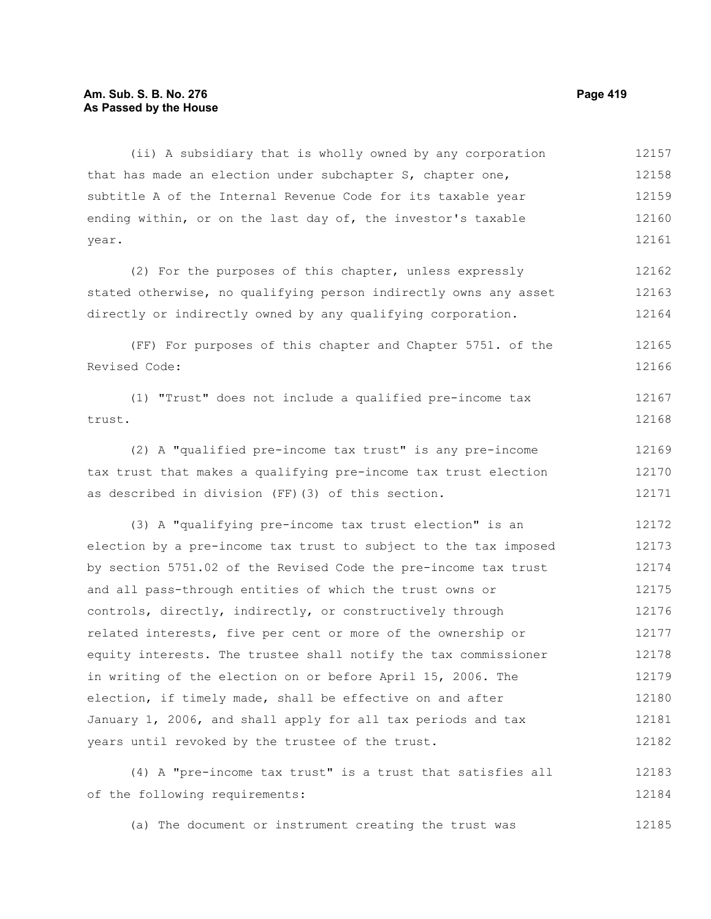# **Am. Sub. S. B. No. 276 Page 419 As Passed by the House**

(ii) A subsidiary that is wholly owned by any corporation that has made an election under subchapter S, chapter one, subtitle A of the Internal Revenue Code for its taxable year ending within, or on the last day of, the investor's taxable year. 12157 12158 12159 12160 12161

(2) For the purposes of this chapter, unless expressly stated otherwise, no qualifying person indirectly owns any asset directly or indirectly owned by any qualifying corporation. 12162 12163 12164

(FF) For purposes of this chapter and Chapter 5751. of the Revised Code: 12165 12166

(1) "Trust" does not include a qualified pre-income tax trust. 12167 12168

(2) A "qualified pre-income tax trust" is any pre-income tax trust that makes a qualifying pre-income tax trust election as described in division (FF)(3) of this section. 12169 12170 12171

(3) A "qualifying pre-income tax trust election" is an election by a pre-income tax trust to subject to the tax imposed by section 5751.02 of the Revised Code the pre-income tax trust and all pass-through entities of which the trust owns or controls, directly, indirectly, or constructively through related interests, five per cent or more of the ownership or equity interests. The trustee shall notify the tax commissioner in writing of the election on or before April 15, 2006. The election, if timely made, shall be effective on and after January 1, 2006, and shall apply for all tax periods and tax years until revoked by the trustee of the trust. 12172 12173 12174 12175 12176 12177 12178 12179 12180 12181 12182

(4) A "pre-income tax trust" is a trust that satisfies all of the following requirements: 12183 12184

(a) The document or instrument creating the trust was 12185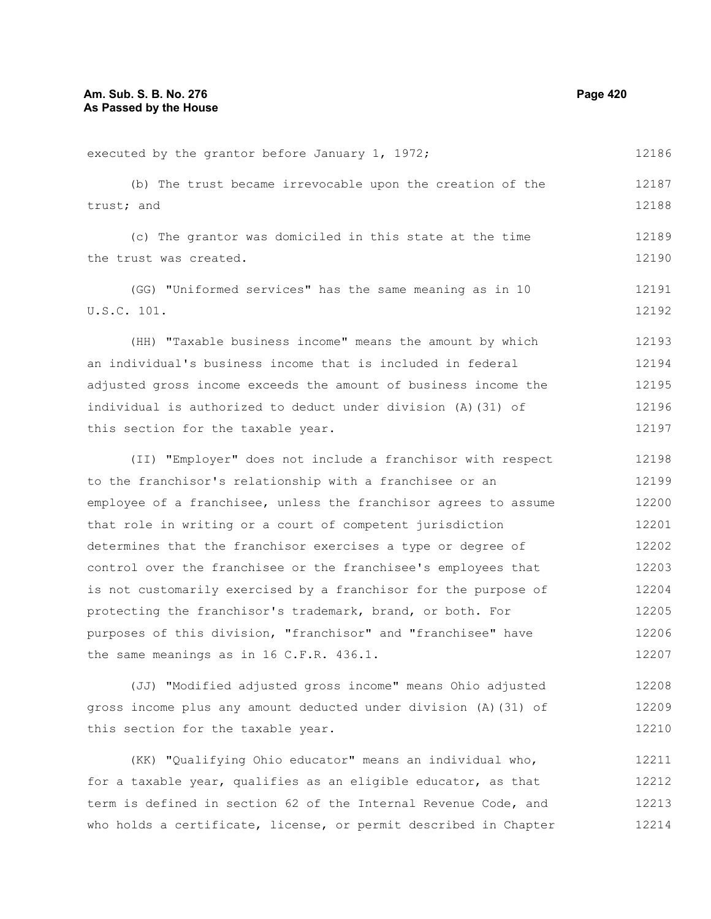executed by the grantor before January 1, 1972; (b) The trust became irrevocable upon the creation of the trust; and (c) The grantor was domiciled in this state at the time the trust was created. (GG) "Uniformed services" has the same meaning as in 10 U.S.C. 101. (HH) "Taxable business income" means the amount by which an individual's business income that is included in federal adjusted gross income exceeds the amount of business income the individual is authorized to deduct under division (A)(31) of this section for the taxable year. (II) "Employer" does not include a franchisor with respect to the franchisor's relationship with a franchisee or an employee of a franchisee, unless the franchisor agrees to assume that role in writing or a court of competent jurisdiction determines that the franchisor exercises a type or degree of control over the franchisee or the franchisee's employees that is not customarily exercised by a franchisor for the purpose of protecting the franchisor's trademark, brand, or both. For purposes of this division, "franchisor" and "franchisee" have the same meanings as in 16 C.F.R. 436.1. (JJ) "Modified adjusted gross income" means Ohio adjusted gross income plus any amount deducted under division (A)(31) of 12186 12187 12188 12189 12190 12191 12192 12193 12194 12195 12196 12197 12198 12199 12200 12201 12202 12203 12204 12205 12206 12207 12208 12209

(KK) "Qualifying Ohio educator" means an individual who, for a taxable year, qualifies as an eligible educator, as that term is defined in section 62 of the Internal Revenue Code, and who holds a certificate, license, or permit described in Chapter 12211 12212 12213 12214

this section for the taxable year.

12210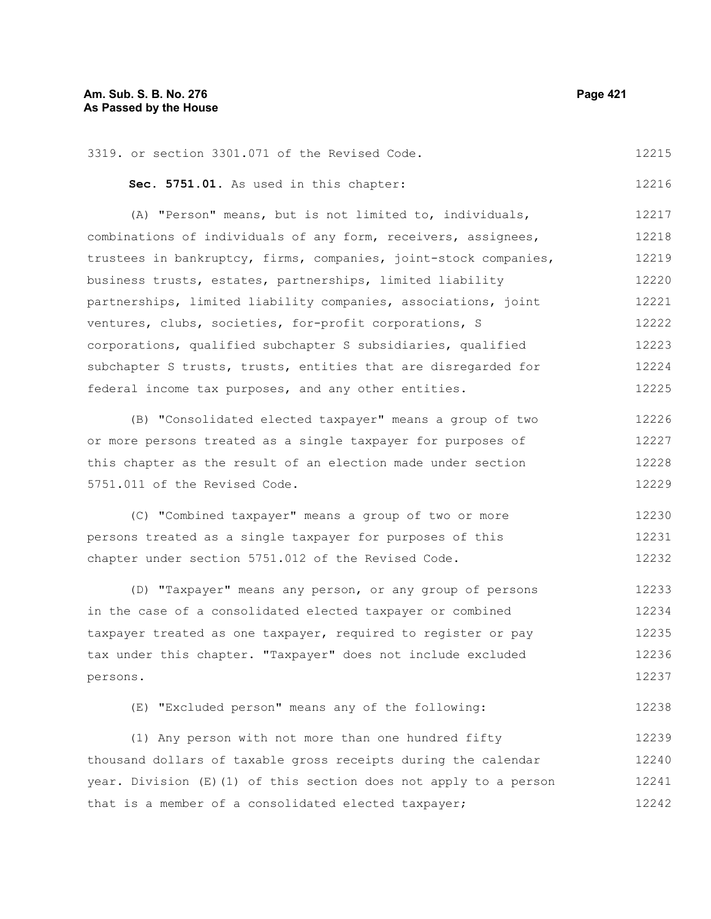| 3319. or section 3301.071 of the Revised Code. | 12215 |
|------------------------------------------------|-------|
| Sec. 5751.01. As used in this chapter:         | 12216 |

(A) "Person" means, but is not limited to, individuals, combinations of individuals of any form, receivers, assignees, trustees in bankruptcy, firms, companies, joint-stock companies, business trusts, estates, partnerships, limited liability partnerships, limited liability companies, associations, joint ventures, clubs, societies, for-profit corporations, S corporations, qualified subchapter S subsidiaries, qualified subchapter S trusts, trusts, entities that are disregarded for federal income tax purposes, and any other entities. 12217 12218 12219 12220 12221 12222 12223 12224 12225

(B) "Consolidated elected taxpayer" means a group of two or more persons treated as a single taxpayer for purposes of this chapter as the result of an election made under section 5751.011 of the Revised Code. 12226 12227 12228 12229

(C) "Combined taxpayer" means a group of two or more persons treated as a single taxpayer for purposes of this chapter under section 5751.012 of the Revised Code. 12230 12231 12232

(D) "Taxpayer" means any person, or any group of persons in the case of a consolidated elected taxpayer or combined taxpayer treated as one taxpayer, required to register or pay tax under this chapter. "Taxpayer" does not include excluded persons. 12233 12234 12235 12236 12237

(E) "Excluded person" means any of the following: 12238

(1) Any person with not more than one hundred fifty thousand dollars of taxable gross receipts during the calendar year. Division (E)(1) of this section does not apply to a person that is a member of a consolidated elected taxpayer; 12239 12240 12241 12242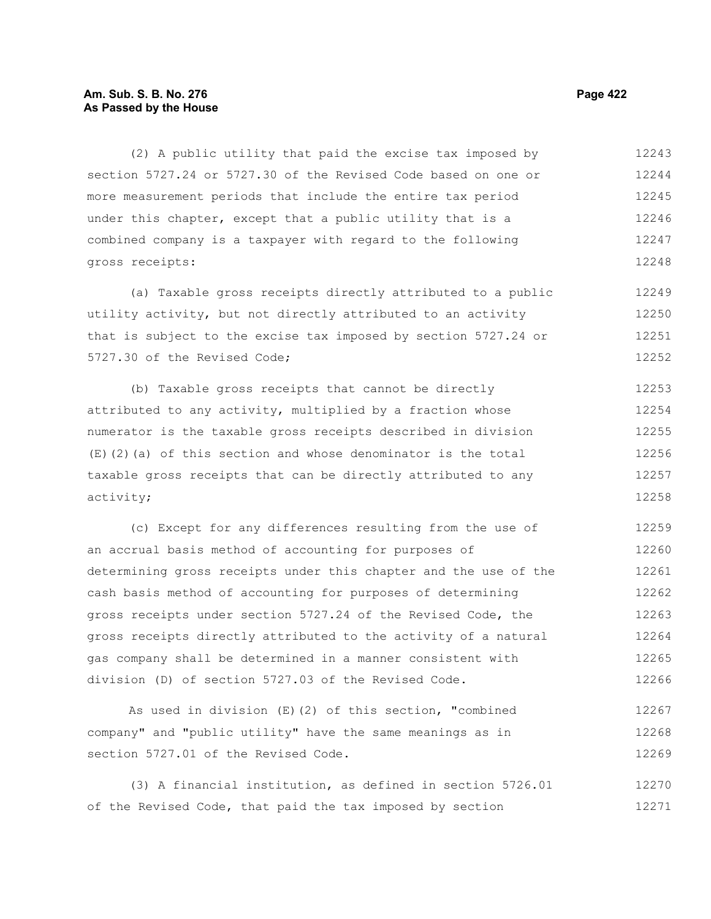# **Am. Sub. S. B. No. 276 Page 422 As Passed by the House**

(2) A public utility that paid the excise tax imposed by section 5727.24 or 5727.30 of the Revised Code based on one or more measurement periods that include the entire tax period under this chapter, except that a public utility that is a combined company is a taxpayer with regard to the following gross receipts: 12243 12244 12245 12246 12247 12248

(a) Taxable gross receipts directly attributed to a public utility activity, but not directly attributed to an activity that is subject to the excise tax imposed by section 5727.24 or 5727.30 of the Revised Code; 12249 12250 12251 12252

(b) Taxable gross receipts that cannot be directly attributed to any activity, multiplied by a fraction whose numerator is the taxable gross receipts described in division (E)(2)(a) of this section and whose denominator is the total taxable gross receipts that can be directly attributed to any activity; 12253 12254 12255 12256 12257 12258

(c) Except for any differences resulting from the use of an accrual basis method of accounting for purposes of determining gross receipts under this chapter and the use of the cash basis method of accounting for purposes of determining gross receipts under section 5727.24 of the Revised Code, the gross receipts directly attributed to the activity of a natural gas company shall be determined in a manner consistent with division (D) of section 5727.03 of the Revised Code. 12259 12260 12261 12262 12263 12264 12265 12266

As used in division (E)(2) of this section, "combined company" and "public utility" have the same meanings as in section 5727.01 of the Revised Code. 12267 12268 12269

(3) A financial institution, as defined in section 5726.01 of the Revised Code, that paid the tax imposed by section 12270 12271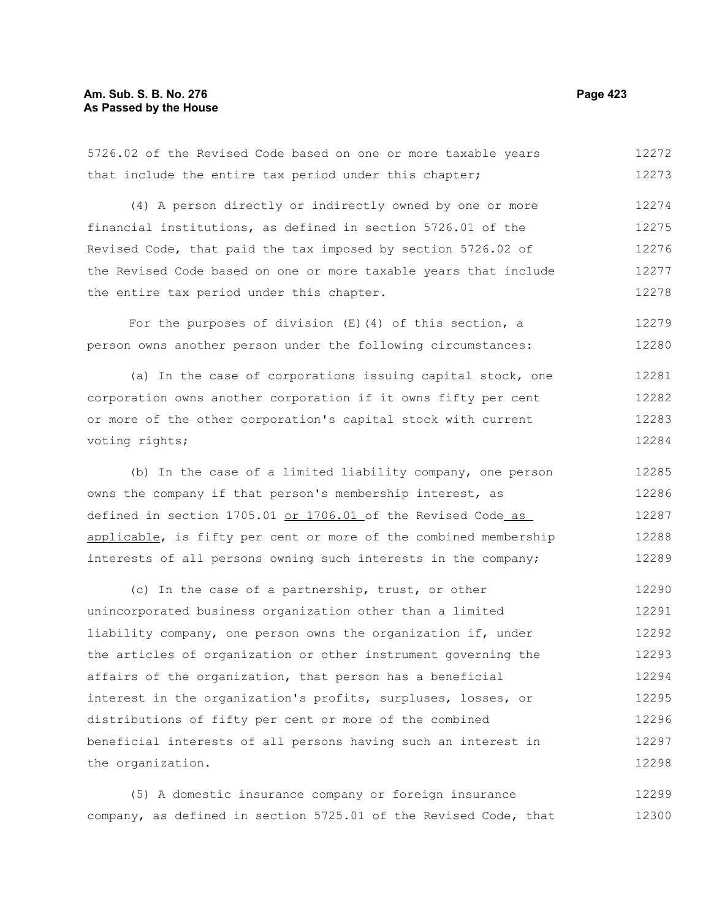# **Am. Sub. S. B. No. 276 Page 423 As Passed by the House**

5726.02 of the Revised Code based on one or more taxable years that include the entire tax period under this chapter; (4) A person directly or indirectly owned by one or more financial institutions, as defined in section 5726.01 of the Revised Code, that paid the tax imposed by section 5726.02 of the Revised Code based on one or more taxable years that include the entire tax period under this chapter. For the purposes of division  $(E)$  (4) of this section, a person owns another person under the following circumstances: 12272 12273 12274 12275 12276 12277 12278 12279 12280

(a) In the case of corporations issuing capital stock, one corporation owns another corporation if it owns fifty per cent or more of the other corporation's capital stock with current voting rights; 12281 12282 12283 12284

(b) In the case of a limited liability company, one person owns the company if that person's membership interest, as defined in section 1705.01 or 1706.01 of the Revised Code as applicable, is fifty per cent or more of the combined membership interests of all persons owning such interests in the company; 12285 12286 12287 12288 12289

(c) In the case of a partnership, trust, or other unincorporated business organization other than a limited liability company, one person owns the organization if, under the articles of organization or other instrument governing the affairs of the organization, that person has a beneficial interest in the organization's profits, surpluses, losses, or distributions of fifty per cent or more of the combined beneficial interests of all persons having such an interest in the organization. 12290 12291 12292 12293 12294 12295 12296 12297 12298

(5) A domestic insurance company or foreign insurance company, as defined in section 5725.01 of the Revised Code, that 12299 12300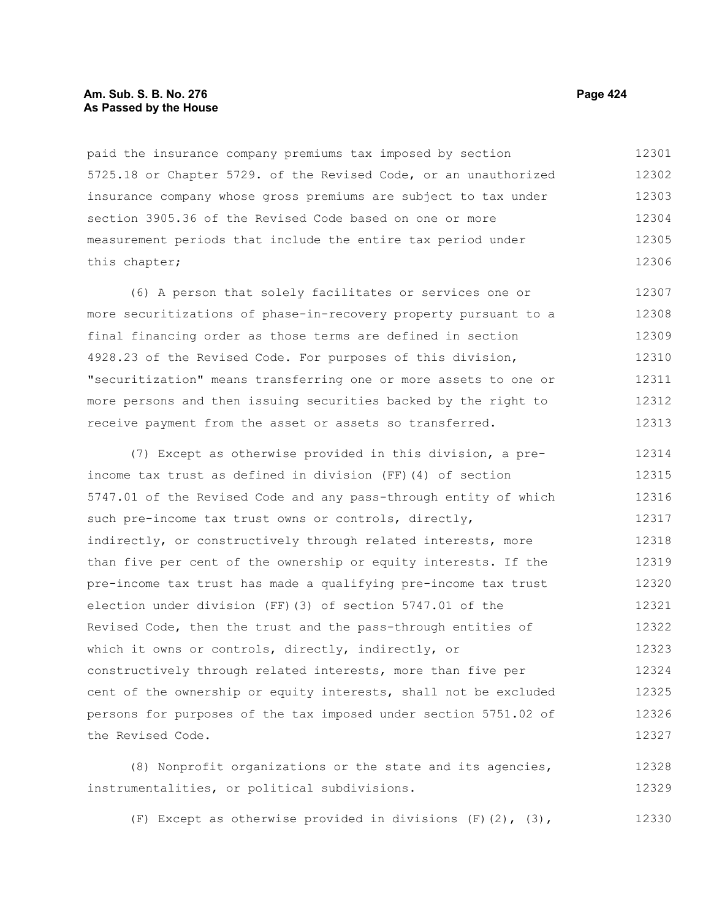#### **Am. Sub. S. B. No. 276 Page 424 As Passed by the House**

paid the insurance company premiums tax imposed by section 5725.18 or Chapter 5729. of the Revised Code, or an unauthorized insurance company whose gross premiums are subject to tax under section 3905.36 of the Revised Code based on one or more measurement periods that include the entire tax period under this chapter; 12301 12302 12303 12304 12305 12306

(6) A person that solely facilitates or services one or more securitizations of phase-in-recovery property pursuant to a final financing order as those terms are defined in section 4928.23 of the Revised Code. For purposes of this division, "securitization" means transferring one or more assets to one or more persons and then issuing securities backed by the right to receive payment from the asset or assets so transferred. 12307 12308 12309 12310 12311 12312 12313

(7) Except as otherwise provided in this division, a preincome tax trust as defined in division (FF)(4) of section 5747.01 of the Revised Code and any pass-through entity of which such pre-income tax trust owns or controls, directly, indirectly, or constructively through related interests, more than five per cent of the ownership or equity interests. If the pre-income tax trust has made a qualifying pre-income tax trust election under division (FF)(3) of section 5747.01 of the Revised Code, then the trust and the pass-through entities of which it owns or controls, directly, indirectly, or constructively through related interests, more than five per cent of the ownership or equity interests, shall not be excluded persons for purposes of the tax imposed under section 5751.02 of the Revised Code. 12314 12315 12316 12317 12318 12319 12320 12321 12322 12323 12324 12325 12326 12327

(8) Nonprofit organizations or the state and its agencies, instrumentalities, or political subdivisions. 12328 12329

(F) Except as otherwise provided in divisions  $(F)(2)$ ,  $(3)$ , 12330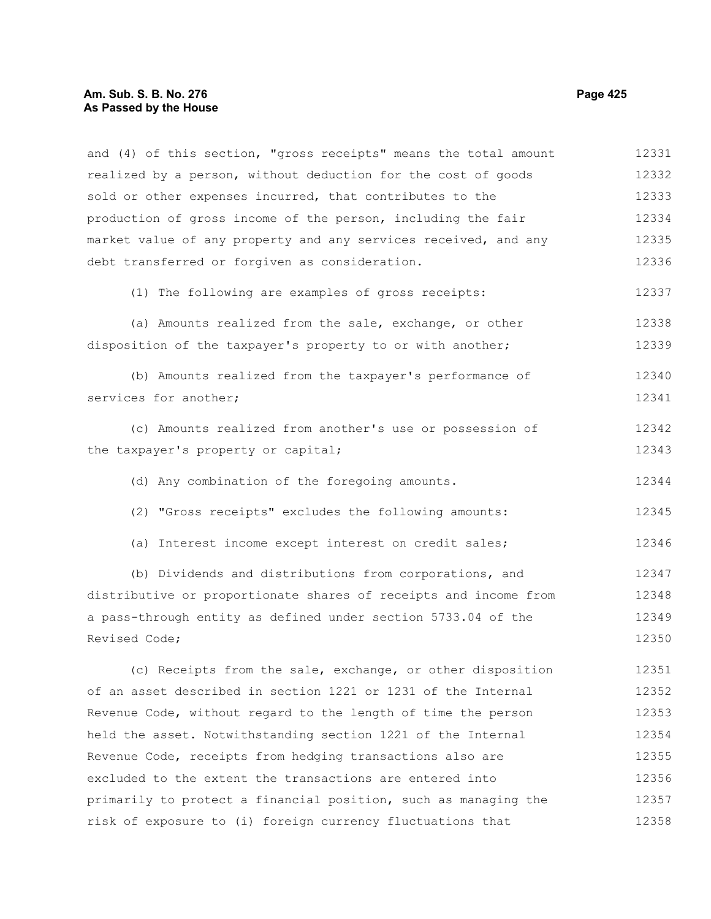#### **Am. Sub. S. B. No. 276 Page 425** Page 425 **As Passed by the House**

and (4) of this section, "gross receipts" means the total amount realized by a person, without deduction for the cost of goods sold or other expenses incurred, that contributes to the production of gross income of the person, including the fair market value of any property and any services received, and any debt transferred or forgiven as consideration. (1) The following are examples of gross receipts: (a) Amounts realized from the sale, exchange, or other disposition of the taxpayer's property to or with another; (b) Amounts realized from the taxpayer's performance of services for another; (c) Amounts realized from another's use or possession of the taxpayer's property or capital; (d) Any combination of the foregoing amounts. (2) "Gross receipts" excludes the following amounts: (a) Interest income except interest on credit sales; (b) Dividends and distributions from corporations, and distributive or proportionate shares of receipts and income from a pass-through entity as defined under section 5733.04 of the Revised Code; (c) Receipts from the sale, exchange, or other disposition of an asset described in section 1221 or 1231 of the Internal Revenue Code, without regard to the length of time the person held the asset. Notwithstanding section 1221 of the Internal Revenue Code, receipts from hedging transactions also are excluded to the extent the transactions are entered into primarily to protect a financial position, such as managing the risk of exposure to (i) foreign currency fluctuations that 12331 12332 12333 12334 12335 12336 12337 12338 12339 12340 12341 12342 12343 12344 12345 12346 12347 12348 12349 12350 12351 12352 12353 12354 12355 12356 12357 12358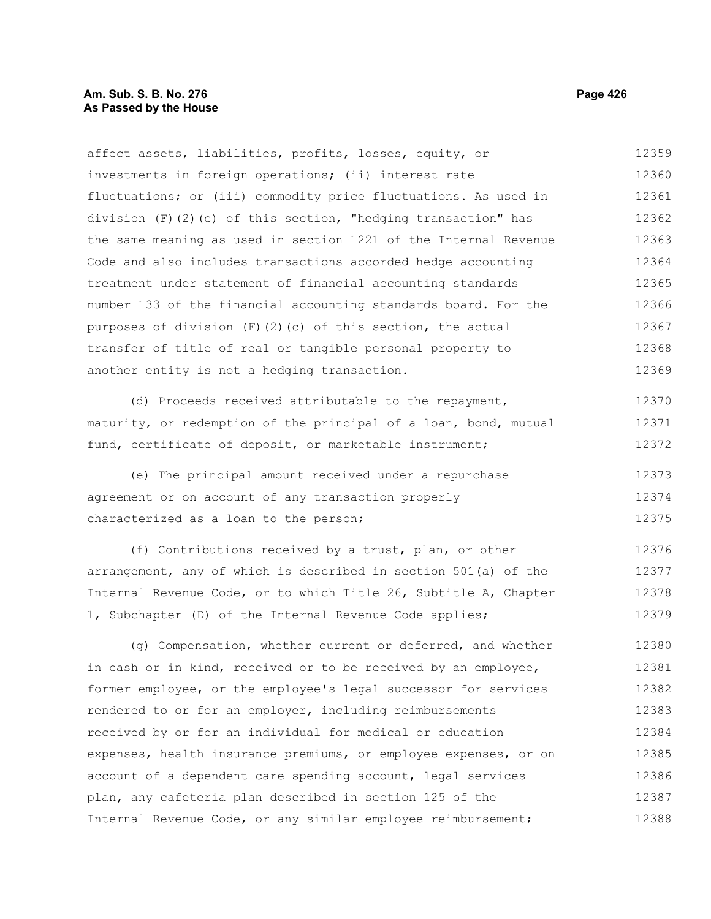# **Am. Sub. S. B. No. 276 Page 426** Page 426 **As Passed by the House**

affect assets, liabilities, profits, losses, equity, or investments in foreign operations; (ii) interest rate fluctuations; or (iii) commodity price fluctuations. As used in division  $(F)(2)(c)$  of this section, "hedging transaction" has the same meaning as used in section 1221 of the Internal Revenue Code and also includes transactions accorded hedge accounting treatment under statement of financial accounting standards number 133 of the financial accounting standards board. For the purposes of division  $(F)(2)(c)$  of this section, the actual transfer of title of real or tangible personal property to another entity is not a hedging transaction. 12359 12360 12361 12362 12363 12364 12365 12366 12367 12368 12369

(d) Proceeds received attributable to the repayment, maturity, or redemption of the principal of a loan, bond, mutual fund, certificate of deposit, or marketable instrument; 12370 12371 12372

(e) The principal amount received under a repurchase agreement or on account of any transaction properly characterized as a loan to the person; 12373 12374 12375

(f) Contributions received by a trust, plan, or other arrangement, any of which is described in section 501(a) of the Internal Revenue Code, or to which Title 26, Subtitle A, Chapter 1, Subchapter (D) of the Internal Revenue Code applies; 12376 12377 12378 12379

(g) Compensation, whether current or deferred, and whether in cash or in kind, received or to be received by an employee, former employee, or the employee's legal successor for services rendered to or for an employer, including reimbursements received by or for an individual for medical or education expenses, health insurance premiums, or employee expenses, or on account of a dependent care spending account, legal services plan, any cafeteria plan described in section 125 of the Internal Revenue Code, or any similar employee reimbursement; 12380 12381 12382 12383 12384 12385 12386 12387 12388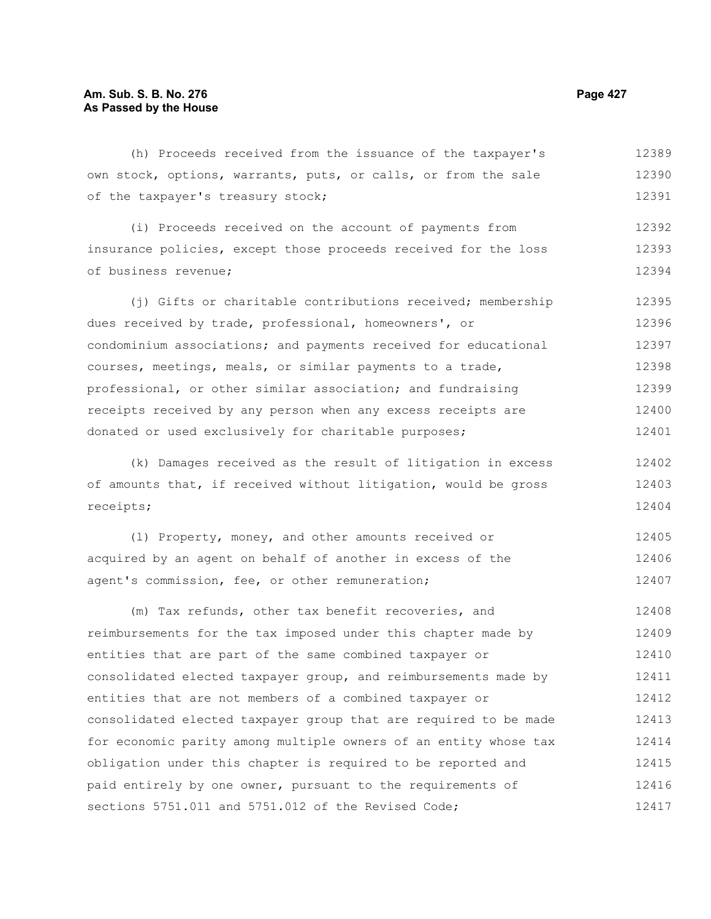(h) Proceeds received from the issuance of the taxpayer's own stock, options, warrants, puts, or calls, or from the sale of the taxpayer's treasury stock; 12389 12390

(i) Proceeds received on the account of payments from insurance policies, except those proceeds received for the loss of business revenue; 12392 12393 12394

(i) Gifts or charitable contributions received; membership dues received by trade, professional, homeowners', or condominium associations; and payments received for educational courses, meetings, meals, or similar payments to a trade, professional, or other similar association; and fundraising receipts received by any person when any excess receipts are donated or used exclusively for charitable purposes; 12395 12396 12397 12398 12399 12400 12401

(k) Damages received as the result of litigation in excess of amounts that, if received without litigation, would be gross receipts; 12402 12403 12404

(l) Property, money, and other amounts received or acquired by an agent on behalf of another in excess of the agent's commission, fee, or other remuneration; 12405 12406 12407

(m) Tax refunds, other tax benefit recoveries, and reimbursements for the tax imposed under this chapter made by entities that are part of the same combined taxpayer or consolidated elected taxpayer group, and reimbursements made by entities that are not members of a combined taxpayer or consolidated elected taxpayer group that are required to be made for economic parity among multiple owners of an entity whose tax obligation under this chapter is required to be reported and paid entirely by one owner, pursuant to the requirements of sections 5751.011 and 5751.012 of the Revised Code; 12408 12409 12410 12411 12412 12413 12414 12415 12416 12417

12391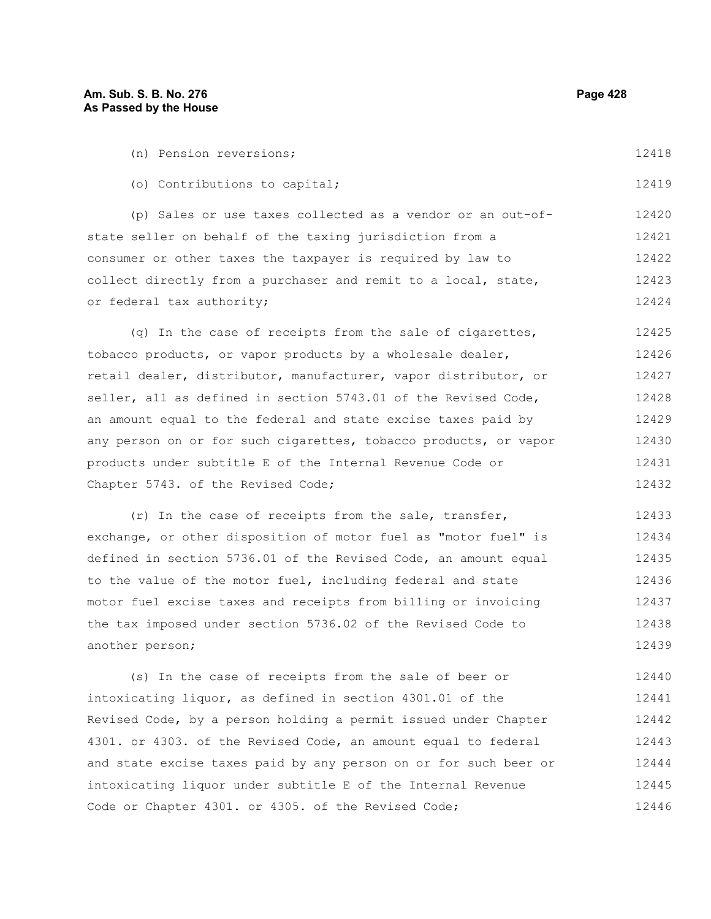another person;

12439

| (n) Pension reversions;                                          | 12418 |  |  |  |  |
|------------------------------------------------------------------|-------|--|--|--|--|
| (o) Contributions to capital;                                    | 12419 |  |  |  |  |
| (p) Sales or use taxes collected as a vendor or an out-of-       | 12420 |  |  |  |  |
| state seller on behalf of the taxing jurisdiction from a         | 12421 |  |  |  |  |
| consumer or other taxes the taxpayer is required by law to       |       |  |  |  |  |
| collect directly from a purchaser and remit to a local, state,   |       |  |  |  |  |
| or federal tax authority;                                        | 12424 |  |  |  |  |
| (q) In the case of receipts from the sale of cigarettes,         | 12425 |  |  |  |  |
| tobacco products, or vapor products by a wholesale dealer,       | 12426 |  |  |  |  |
| retail dealer, distributor, manufacturer, vapor distributor, or  | 12427 |  |  |  |  |
| seller, all as defined in section 5743.01 of the Revised Code,   | 12428 |  |  |  |  |
| an amount equal to the federal and state excise taxes paid by    | 12429 |  |  |  |  |
| any person on or for such cigarettes, tobacco products, or vapor | 12430 |  |  |  |  |
| products under subtitle E of the Internal Revenue Code or        |       |  |  |  |  |
| Chapter 5743. of the Revised Code;                               | 12432 |  |  |  |  |
| (r) In the case of receipts from the sale, transfer,             | 12433 |  |  |  |  |
| exchange, or other disposition of motor fuel as "motor fuel" is  | 12434 |  |  |  |  |
| defined in section 5736.01 of the Revised Code, an amount equal  | 12435 |  |  |  |  |
| to the value of the motor fuel, including federal and state      | 12436 |  |  |  |  |
| motor fuel excise taxes and receipts from billing or invoicing   |       |  |  |  |  |
| the tax imposed under section 5736.02 of the Revised Code to     | 12438 |  |  |  |  |

(s) In the case of receipts from the sale of beer or intoxicating liquor, as defined in section 4301.01 of the Revised Code, by a person holding a permit issued under Chapter 4301. or 4303. of the Revised Code, an amount equal to federal and state excise taxes paid by any person on or for such beer or intoxicating liquor under subtitle E of the Internal Revenue Code or Chapter 4301. or 4305. of the Revised Code; 12440 12441 12442 12443 12444 12445 12446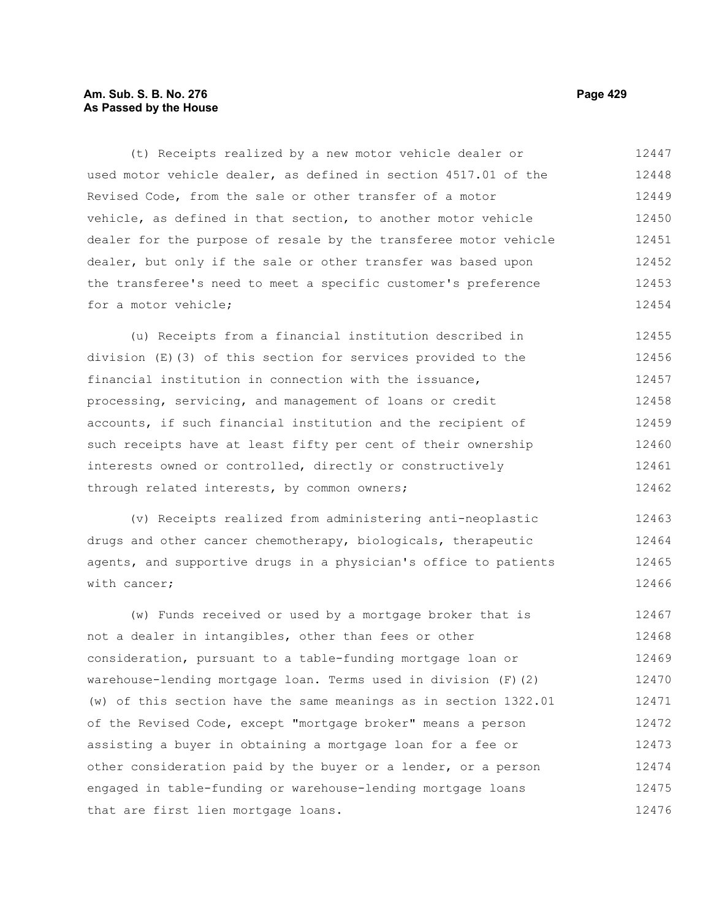# **Am. Sub. S. B. No. 276 Page 429** Page 429 **As Passed by the House**

(t) Receipts realized by a new motor vehicle dealer or used motor vehicle dealer, as defined in section 4517.01 of the Revised Code, from the sale or other transfer of a motor vehicle, as defined in that section, to another motor vehicle dealer for the purpose of resale by the transferee motor vehicle dealer, but only if the sale or other transfer was based upon the transferee's need to meet a specific customer's preference for a motor vehicle; 12447 12448 12449 12450 12451 12452 12453 12454

(u) Receipts from a financial institution described in division (E)(3) of this section for services provided to the financial institution in connection with the issuance, processing, servicing, and management of loans or credit accounts, if such financial institution and the recipient of such receipts have at least fifty per cent of their ownership interests owned or controlled, directly or constructively through related interests, by common owners; 12455 12456 12457 12458 12459 12460 12461 12462

(v) Receipts realized from administering anti-neoplastic drugs and other cancer chemotherapy, biologicals, therapeutic agents, and supportive drugs in a physician's office to patients with cancer; 12463 12464 12465 12466

(w) Funds received or used by a mortgage broker that is not a dealer in intangibles, other than fees or other consideration, pursuant to a table-funding mortgage loan or warehouse-lending mortgage loan. Terms used in division (F)(2) (w) of this section have the same meanings as in section 1322.01 of the Revised Code, except "mortgage broker" means a person assisting a buyer in obtaining a mortgage loan for a fee or other consideration paid by the buyer or a lender, or a person engaged in table-funding or warehouse-lending mortgage loans that are first lien mortgage loans. 12467 12468 12469 12470 12471 12472 12473 12474 12475 12476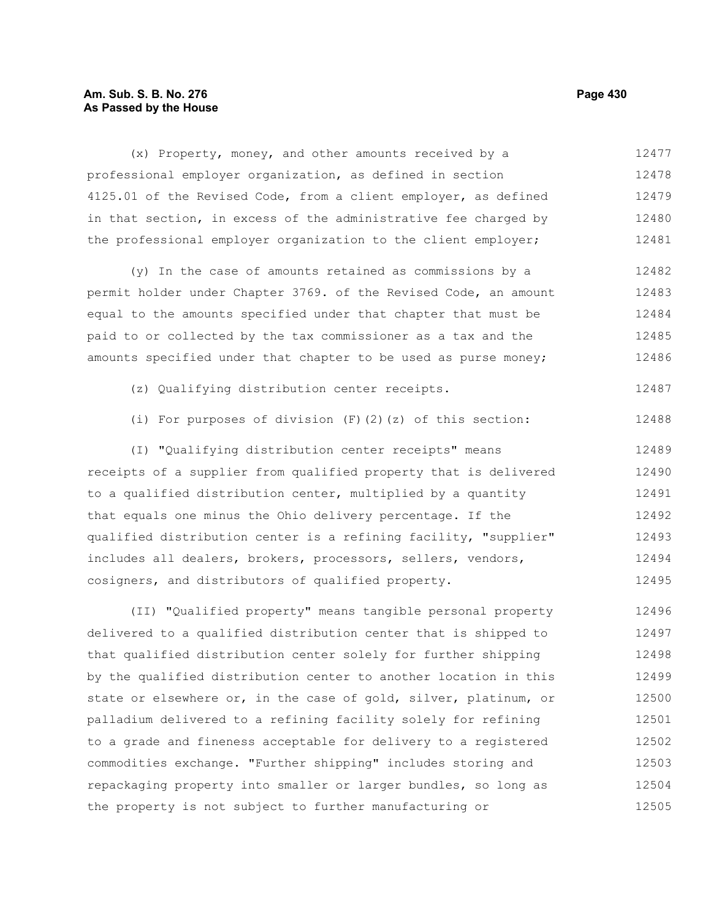# **Am. Sub. S. B. No. 276 Page 430 As Passed by the House**

(x) Property, money, and other amounts received by a professional employer organization, as defined in section 4125.01 of the Revised Code, from a client employer, as defined in that section, in excess of the administrative fee charged by the professional employer organization to the client employer; 12477 12478 12479 12480 12481

(y) In the case of amounts retained as commissions by a permit holder under Chapter 3769. of the Revised Code, an amount equal to the amounts specified under that chapter that must be paid to or collected by the tax commissioner as a tax and the amounts specified under that chapter to be used as purse money; 12482 12483 12484 12485 12486

- (z) Qualifying distribution center receipts. 12487
- (i) For purposes of division (F)(2)(z) of this section: 12488

(I) "Qualifying distribution center receipts" means receipts of a supplier from qualified property that is delivered to a qualified distribution center, multiplied by a quantity that equals one minus the Ohio delivery percentage. If the qualified distribution center is a refining facility, "supplier" includes all dealers, brokers, processors, sellers, vendors, cosigners, and distributors of qualified property. 12489 12490 12491 12492 12493 12494 12495

(II) "Qualified property" means tangible personal property delivered to a qualified distribution center that is shipped to that qualified distribution center solely for further shipping by the qualified distribution center to another location in this state or elsewhere or, in the case of gold, silver, platinum, or palladium delivered to a refining facility solely for refining to a grade and fineness acceptable for delivery to a registered commodities exchange. "Further shipping" includes storing and repackaging property into smaller or larger bundles, so long as the property is not subject to further manufacturing or 12496 12497 12498 12499 12500 12501 12502 12503 12504 12505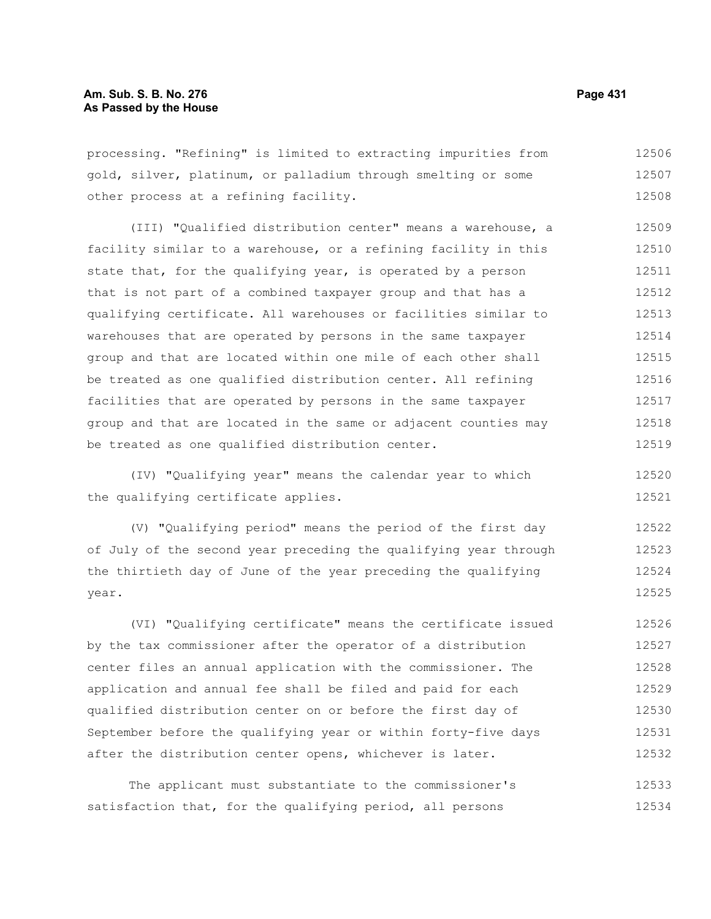processing. "Refining" is limited to extracting impurities from gold, silver, platinum, or palladium through smelting or some other process at a refining facility. 12506 12507 12508

(III) "Qualified distribution center" means a warehouse, a facility similar to a warehouse, or a refining facility in this state that, for the qualifying year, is operated by a person that is not part of a combined taxpayer group and that has a qualifying certificate. All warehouses or facilities similar to warehouses that are operated by persons in the same taxpayer group and that are located within one mile of each other shall be treated as one qualified distribution center. All refining facilities that are operated by persons in the same taxpayer group and that are located in the same or adjacent counties may be treated as one qualified distribution center. 12509 12510 12511 12512 12513 12514 12515 12516 12517 12518 12519

(IV) "Qualifying year" means the calendar year to which the qualifying certificate applies.

(V) "Qualifying period" means the period of the first day of July of the second year preceding the qualifying year through the thirtieth day of June of the year preceding the qualifying year. 12522 12523 12524 12525

(VI) "Qualifying certificate" means the certificate issued by the tax commissioner after the operator of a distribution center files an annual application with the commissioner. The application and annual fee shall be filed and paid for each qualified distribution center on or before the first day of September before the qualifying year or within forty-five days after the distribution center opens, whichever is later. 12526 12527 12528 12529 12530 12531 12532

The applicant must substantiate to the commissioner's satisfaction that, for the qualifying period, all persons 12533 12534

12520 12521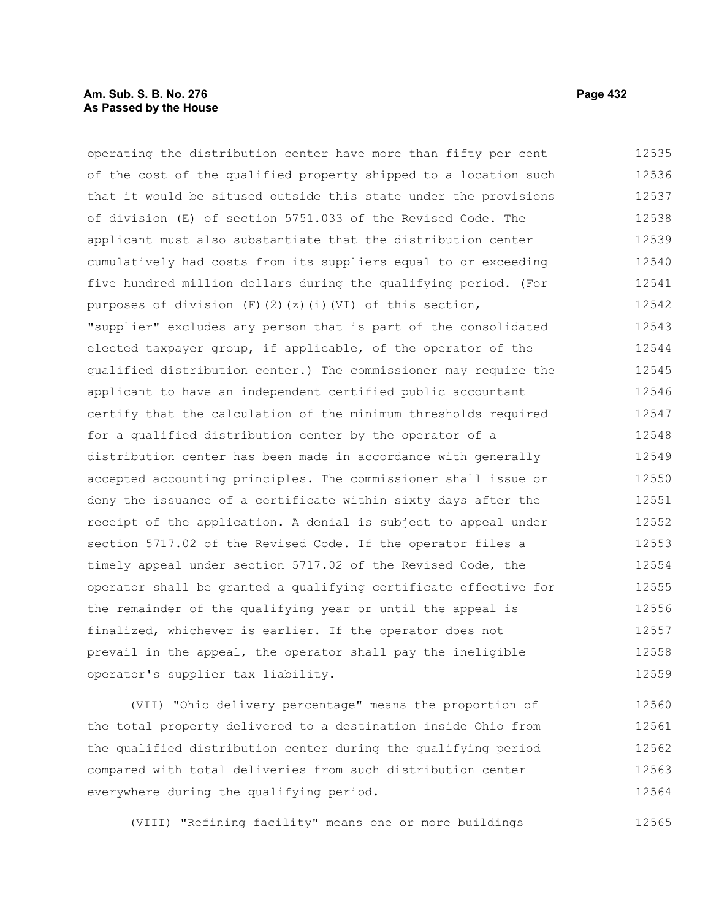# **Am. Sub. S. B. No. 276 Page 432 As Passed by the House**

operating the distribution center have more than fifty per cent of the cost of the qualified property shipped to a location such that it would be sitused outside this state under the provisions of division (E) of section 5751.033 of the Revised Code. The applicant must also substantiate that the distribution center cumulatively had costs from its suppliers equal to or exceeding five hundred million dollars during the qualifying period. (For purposes of division (F)(2)(z)(i)(VI) of this section, "supplier" excludes any person that is part of the consolidated elected taxpayer group, if applicable, of the operator of the qualified distribution center.) The commissioner may require the applicant to have an independent certified public accountant certify that the calculation of the minimum thresholds required for a qualified distribution center by the operator of a distribution center has been made in accordance with generally accepted accounting principles. The commissioner shall issue or deny the issuance of a certificate within sixty days after the receipt of the application. A denial is subject to appeal under section 5717.02 of the Revised Code. If the operator files a timely appeal under section 5717.02 of the Revised Code, the operator shall be granted a qualifying certificate effective for the remainder of the qualifying year or until the appeal is finalized, whichever is earlier. If the operator does not prevail in the appeal, the operator shall pay the ineligible operator's supplier tax liability. 12535 12536 12537 12538 12539 12540 12541 12542 12543 12544 12545 12546 12547 12548 12549 12550 12551 12552 12553 12554 12555 12556 12557 12558 12559

(VII) "Ohio delivery percentage" means the proportion of the total property delivered to a destination inside Ohio from the qualified distribution center during the qualifying period compared with total deliveries from such distribution center everywhere during the qualifying period. 12560 12561 12562 12563 12564

(VIII) "Refining facility" means one or more buildings

12565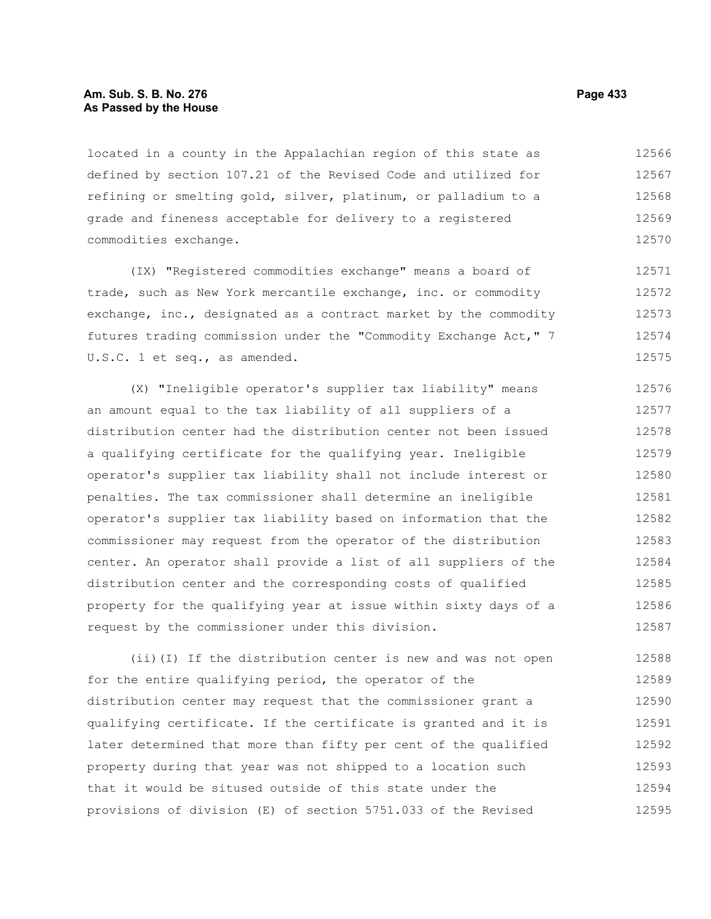# **Am. Sub. S. B. No. 276 Page 433 As Passed by the House**

located in a county in the Appalachian region of this state as defined by section 107.21 of the Revised Code and utilized for refining or smelting gold, silver, platinum, or palladium to a grade and fineness acceptable for delivery to a registered commodities exchange. 12566 12567 12568 12569 12570

(IX) "Registered commodities exchange" means a board of trade, such as New York mercantile exchange, inc. or commodity exchange, inc., designated as a contract market by the commodity futures trading commission under the "Commodity Exchange Act," 7 U.S.C. 1 et seq., as amended. 12571 12572 12573 12574 12575

(X) "Ineligible operator's supplier tax liability" means an amount equal to the tax liability of all suppliers of a distribution center had the distribution center not been issued a qualifying certificate for the qualifying year. Ineligible operator's supplier tax liability shall not include interest or penalties. The tax commissioner shall determine an ineligible operator's supplier tax liability based on information that the commissioner may request from the operator of the distribution center. An operator shall provide a list of all suppliers of the distribution center and the corresponding costs of qualified property for the qualifying year at issue within sixty days of a request by the commissioner under this division. 12576 12577 12578 12579 12580 12581 12582 12583 12584 12585 12586 12587

(ii)(I) If the distribution center is new and was not open for the entire qualifying period, the operator of the distribution center may request that the commissioner grant a qualifying certificate. If the certificate is granted and it is later determined that more than fifty per cent of the qualified property during that year was not shipped to a location such that it would be sitused outside of this state under the provisions of division (E) of section 5751.033 of the Revised 12588 12589 12590 12591 12592 12593 12594 12595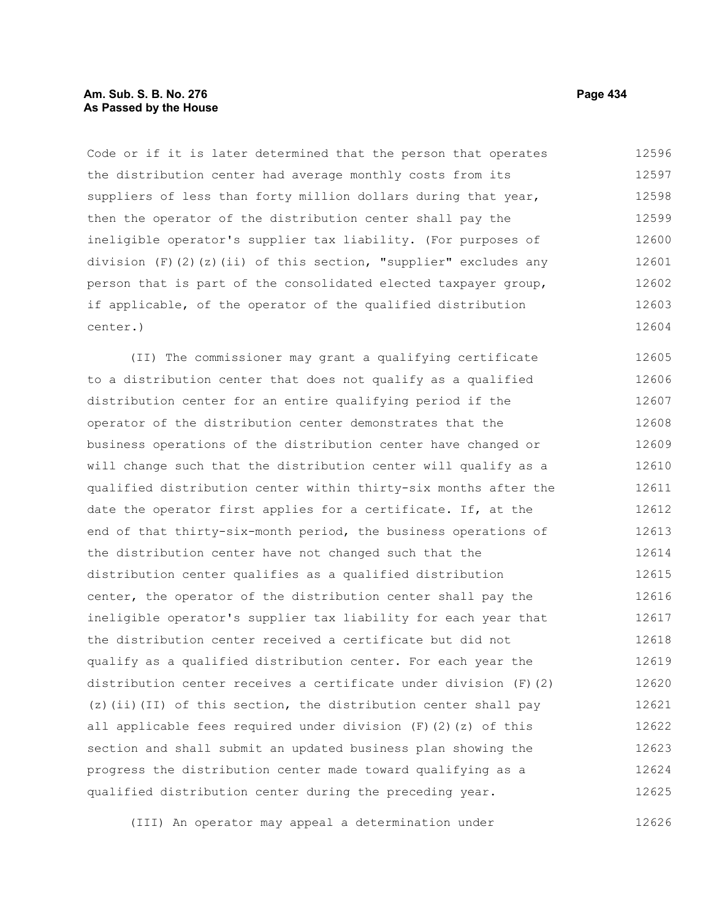# **Am. Sub. S. B. No. 276 Page 434 As Passed by the House**

Code or if it is later determined that the person that operates the distribution center had average monthly costs from its suppliers of less than forty million dollars during that year, then the operator of the distribution center shall pay the ineligible operator's supplier tax liability. (For purposes of division (F)(2)(z)(ii) of this section, "supplier" excludes any person that is part of the consolidated elected taxpayer group, if applicable, of the operator of the qualified distribution center.) 12596 12597 12598 12599 12600 12601 12602 12603 12604

(II) The commissioner may grant a qualifying certificate to a distribution center that does not qualify as a qualified distribution center for an entire qualifying period if the operator of the distribution center demonstrates that the business operations of the distribution center have changed or will change such that the distribution center will qualify as a qualified distribution center within thirty-six months after the date the operator first applies for a certificate. If, at the end of that thirty-six-month period, the business operations of the distribution center have not changed such that the distribution center qualifies as a qualified distribution center, the operator of the distribution center shall pay the ineligible operator's supplier tax liability for each year that the distribution center received a certificate but did not qualify as a qualified distribution center. For each year the distribution center receives a certificate under division (F)(2) (z)(ii)(II) of this section, the distribution center shall pay all applicable fees required under division  $(F)$  (2)(z) of this section and shall submit an updated business plan showing the progress the distribution center made toward qualifying as a qualified distribution center during the preceding year. 12605 12606 12607 12608 12609 12610 12611 12612 12613 12614 12615 12616 12617 12618 12619 12620 12621 12622 12623 12624 12625

(III) An operator may appeal a determination under 12626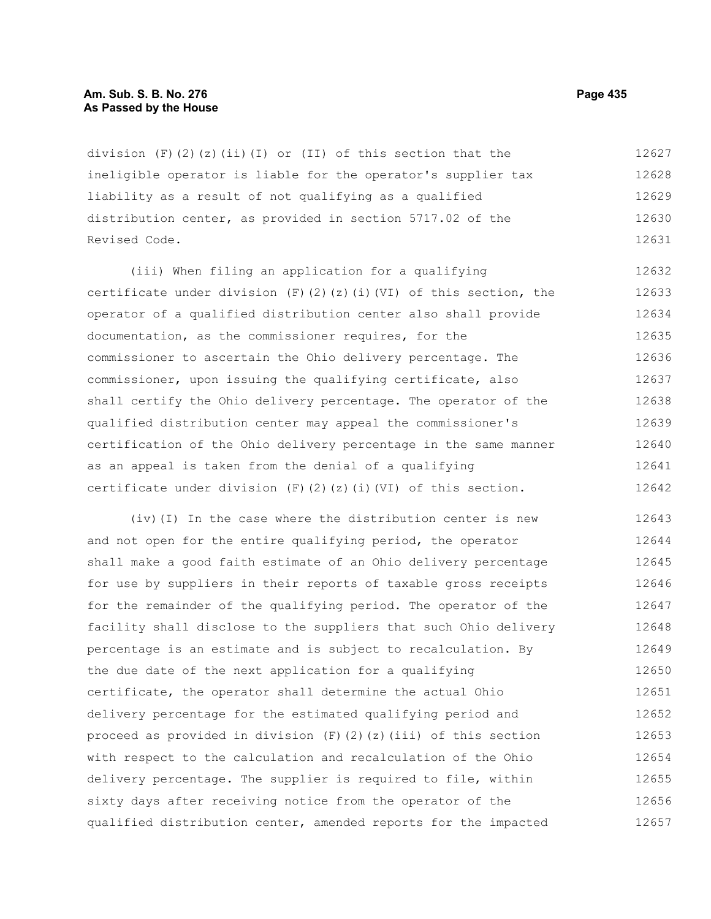#### **Am. Sub. S. B. No. 276 Page 435 As Passed by the House**

division  $(F)(2)(z)(ii)(I)$  or  $(II)$  of this section that the ineligible operator is liable for the operator's supplier tax liability as a result of not qualifying as a qualified distribution center, as provided in section 5717.02 of the Revised Code. 12627 12628 12629 12630 12631

(iii) When filing an application for a qualifying certificate under division (F)(2)(z)(i)(VI) of this section, the operator of a qualified distribution center also shall provide documentation, as the commissioner requires, for the commissioner to ascertain the Ohio delivery percentage. The commissioner, upon issuing the qualifying certificate, also shall certify the Ohio delivery percentage. The operator of the qualified distribution center may appeal the commissioner's certification of the Ohio delivery percentage in the same manner as an appeal is taken from the denial of a qualifying certificate under division  $(F)$  (2)(z)(i)(VI) of this section. 12632 12633 12634 12635 12636 12637 12638 12639 12640 12641 12642

(iv)(I) In the case where the distribution center is new and not open for the entire qualifying period, the operator shall make a good faith estimate of an Ohio delivery percentage for use by suppliers in their reports of taxable gross receipts for the remainder of the qualifying period. The operator of the facility shall disclose to the suppliers that such Ohio delivery percentage is an estimate and is subject to recalculation. By the due date of the next application for a qualifying certificate, the operator shall determine the actual Ohio delivery percentage for the estimated qualifying period and proceed as provided in division  $(F)(2)(z)(iii)$  of this section with respect to the calculation and recalculation of the Ohio delivery percentage. The supplier is required to file, within sixty days after receiving notice from the operator of the qualified distribution center, amended reports for the impacted 12643 12644 12645 12646 12647 12648 12649 12650 12651 12652 12653 12654 12655 12656 12657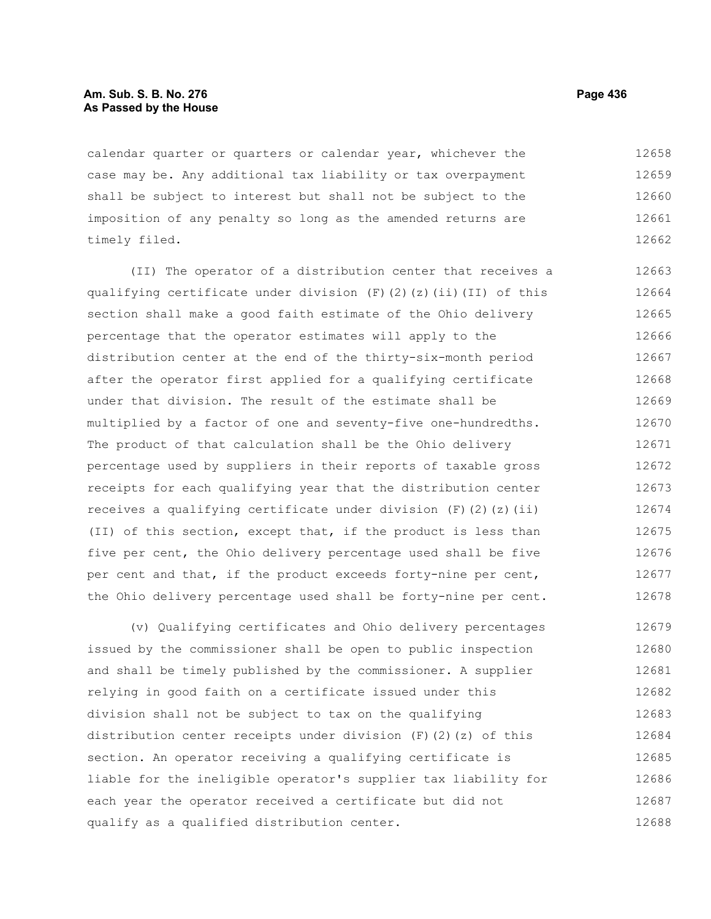# **Am. Sub. S. B. No. 276 Page 436** Page 436 **As Passed by the House**

calendar quarter or quarters or calendar year, whichever the case may be. Any additional tax liability or tax overpayment shall be subject to interest but shall not be subject to the imposition of any penalty so long as the amended returns are timely filed. 12658 12659 12660 12661 12662

(II) The operator of a distribution center that receives a qualifying certificate under division  $(F)$  (2)(z)(ii)(II) of this section shall make a good faith estimate of the Ohio delivery percentage that the operator estimates will apply to the distribution center at the end of the thirty-six-month period after the operator first applied for a qualifying certificate under that division. The result of the estimate shall be multiplied by a factor of one and seventy-five one-hundredths. The product of that calculation shall be the Ohio delivery percentage used by suppliers in their reports of taxable gross receipts for each qualifying year that the distribution center receives a qualifying certificate under division  $(F)$  (2)(z)(ii) (II) of this section, except that, if the product is less than five per cent, the Ohio delivery percentage used shall be five per cent and that, if the product exceeds forty-nine per cent, the Ohio delivery percentage used shall be forty-nine per cent. 12663 12664 12665 12666 12667 12668 12669 12670 12671 12672 12673 12674 12675 12676 12677 12678

(v) Qualifying certificates and Ohio delivery percentages issued by the commissioner shall be open to public inspection and shall be timely published by the commissioner. A supplier relying in good faith on a certificate issued under this division shall not be subject to tax on the qualifying distribution center receipts under division  $(F)(2)(z)$  of this section. An operator receiving a qualifying certificate is liable for the ineligible operator's supplier tax liability for each year the operator received a certificate but did not qualify as a qualified distribution center. 12679 12680 12681 12682 12683 12684 12685 12686 12687 12688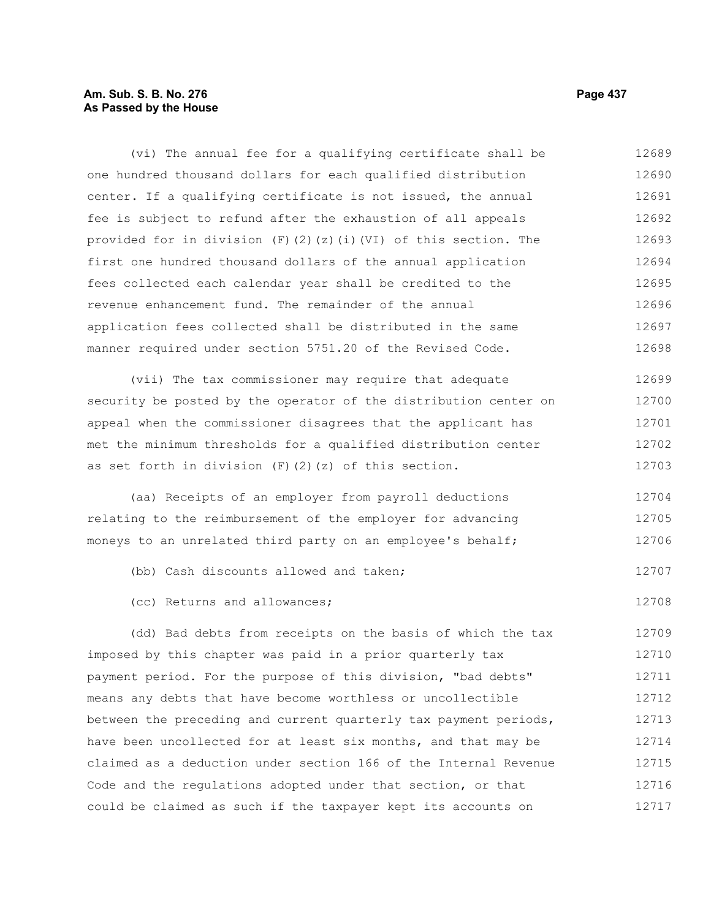# **Am. Sub. S. B. No. 276 Page 437** Page 437 **As Passed by the House**

(vi) The annual fee for a qualifying certificate shall be one hundred thousand dollars for each qualified distribution center. If a qualifying certificate is not issued, the annual fee is subject to refund after the exhaustion of all appeals provided for in division (F)(2)(z)(i)(VI) of this section. The first one hundred thousand dollars of the annual application fees collected each calendar year shall be credited to the revenue enhancement fund. The remainder of the annual application fees collected shall be distributed in the same manner required under section 5751.20 of the Revised Code. (vii) The tax commissioner may require that adequate security be posted by the operator of the distribution center on appeal when the commissioner disagrees that the applicant has met the minimum thresholds for a qualified distribution center as set forth in division  $(F)$   $(2)$   $(z)$  of this section. (aa) Receipts of an employer from payroll deductions relating to the reimbursement of the employer for advancing moneys to an unrelated third party on an employee's behalf; (bb) Cash discounts allowed and taken; (cc) Returns and allowances; 12689 12690 12691 12692 12693 12694 12695 12696 12697 12698 12699 12700 12701 12702 12703 12704 12705 12706 12707 12708

(dd) Bad debts from receipts on the basis of which the tax imposed by this chapter was paid in a prior quarterly tax payment period. For the purpose of this division, "bad debts" means any debts that have become worthless or uncollectible between the preceding and current quarterly tax payment periods, have been uncollected for at least six months, and that may be claimed as a deduction under section 166 of the Internal Revenue Code and the regulations adopted under that section, or that could be claimed as such if the taxpayer kept its accounts on 12709 12710 12711 12712 12713 12714 12715 12716 12717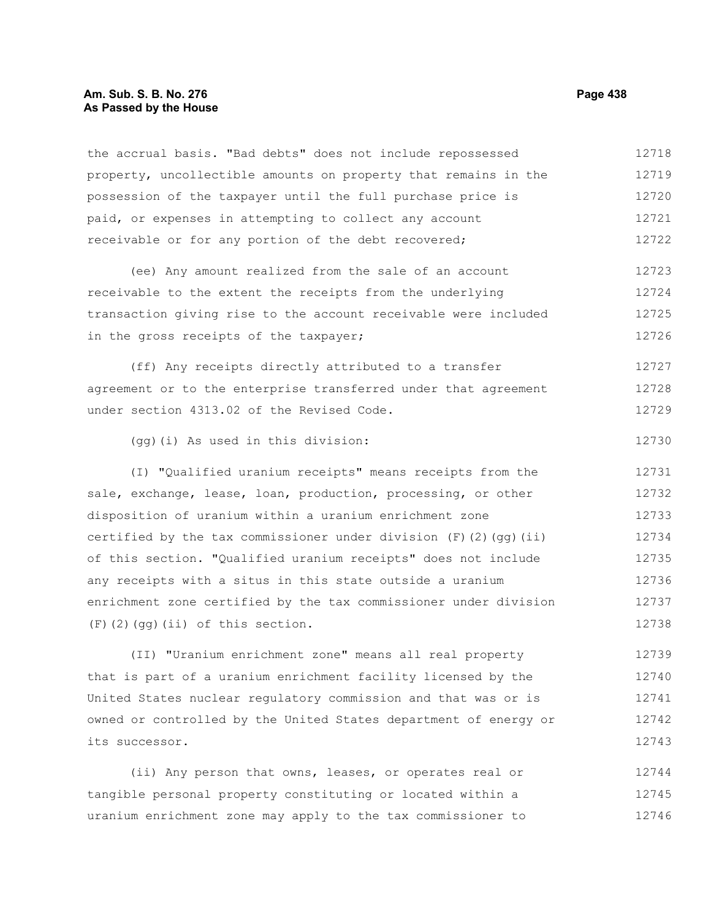## **Am. Sub. S. B. No. 276 Page 438 As Passed by the House**

the accrual basis. "Bad debts" does not include repossessed property, uncollectible amounts on property that remains in the possession of the taxpayer until the full purchase price is paid, or expenses in attempting to collect any account receivable or for any portion of the debt recovered; 12718 12719 12720 12721 12722

(ee) Any amount realized from the sale of an account receivable to the extent the receipts from the underlying transaction giving rise to the account receivable were included in the gross receipts of the taxpayer; 12723 12724 12725 12726

(ff) Any receipts directly attributed to a transfer agreement or to the enterprise transferred under that agreement under section 4313.02 of the Revised Code. 12727 12728 12729

(gg)(i) As used in this division:

(I) "Qualified uranium receipts" means receipts from the sale, exchange, lease, loan, production, processing, or other disposition of uranium within a uranium enrichment zone certified by the tax commissioner under division  $(F)$  (2)(qq)(ii) of this section. "Qualified uranium receipts" does not include any receipts with a situs in this state outside a uranium enrichment zone certified by the tax commissioner under division (F)(2)(gg)(ii) of this section. 12731 12732 12733 12734 12735 12736 12737 12738

(II) "Uranium enrichment zone" means all real property that is part of a uranium enrichment facility licensed by the United States nuclear regulatory commission and that was or is owned or controlled by the United States department of energy or its successor. 12739 12740 12741 12742 12743

(ii) Any person that owns, leases, or operates real or tangible personal property constituting or located within a uranium enrichment zone may apply to the tax commissioner to 12744 12745 12746

12730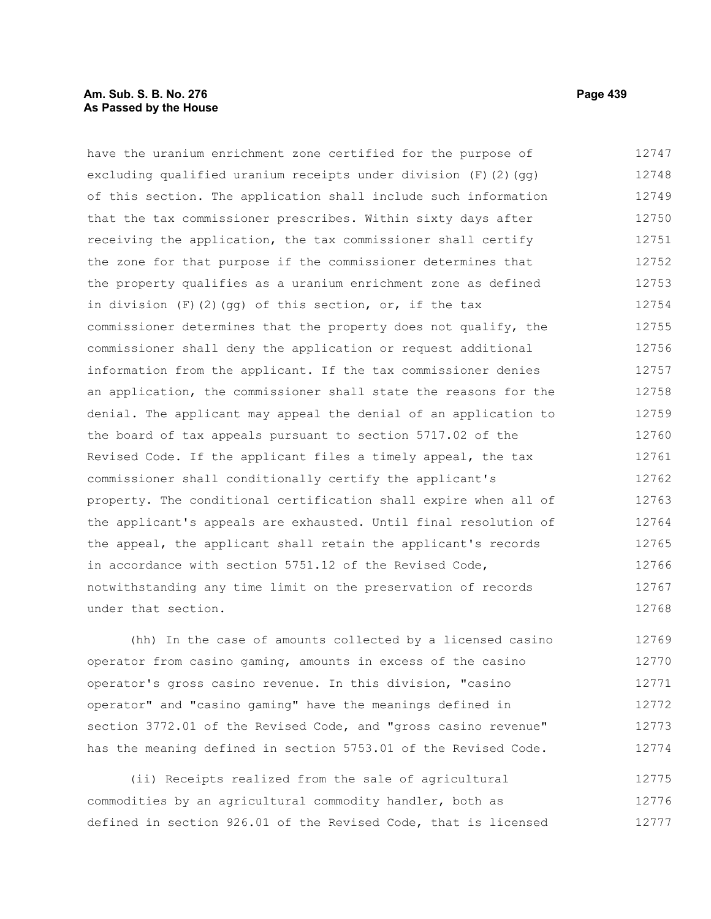# **Am. Sub. S. B. No. 276 Page 439 As Passed by the House**

have the uranium enrichment zone certified for the purpose of excluding qualified uranium receipts under division (F)(2)(gg) of this section. The application shall include such information that the tax commissioner prescribes. Within sixty days after receiving the application, the tax commissioner shall certify the zone for that purpose if the commissioner determines that the property qualifies as a uranium enrichment zone as defined in division  $(F)$  (2)(gg) of this section, or, if the tax commissioner determines that the property does not qualify, the commissioner shall deny the application or request additional information from the applicant. If the tax commissioner denies an application, the commissioner shall state the reasons for the denial. The applicant may appeal the denial of an application to the board of tax appeals pursuant to section 5717.02 of the Revised Code. If the applicant files a timely appeal, the tax commissioner shall conditionally certify the applicant's property. The conditional certification shall expire when all of the applicant's appeals are exhausted. Until final resolution of the appeal, the applicant shall retain the applicant's records in accordance with section 5751.12 of the Revised Code, notwithstanding any time limit on the preservation of records under that section. 12747 12748 12749 12750 12751 12752 12753 12754 12755 12756 12757 12758 12759 12760 12761 12762 12763 12764 12765 12766 12767 12768

(hh) In the case of amounts collected by a licensed casino operator from casino gaming, amounts in excess of the casino operator's gross casino revenue. In this division, "casino operator" and "casino gaming" have the meanings defined in section 3772.01 of the Revised Code, and "gross casino revenue" has the meaning defined in section 5753.01 of the Revised Code. 12769 12770 12771 12772 12773 12774

(ii) Receipts realized from the sale of agricultural commodities by an agricultural commodity handler, both as defined in section 926.01 of the Revised Code, that is licensed 12775 12776 12777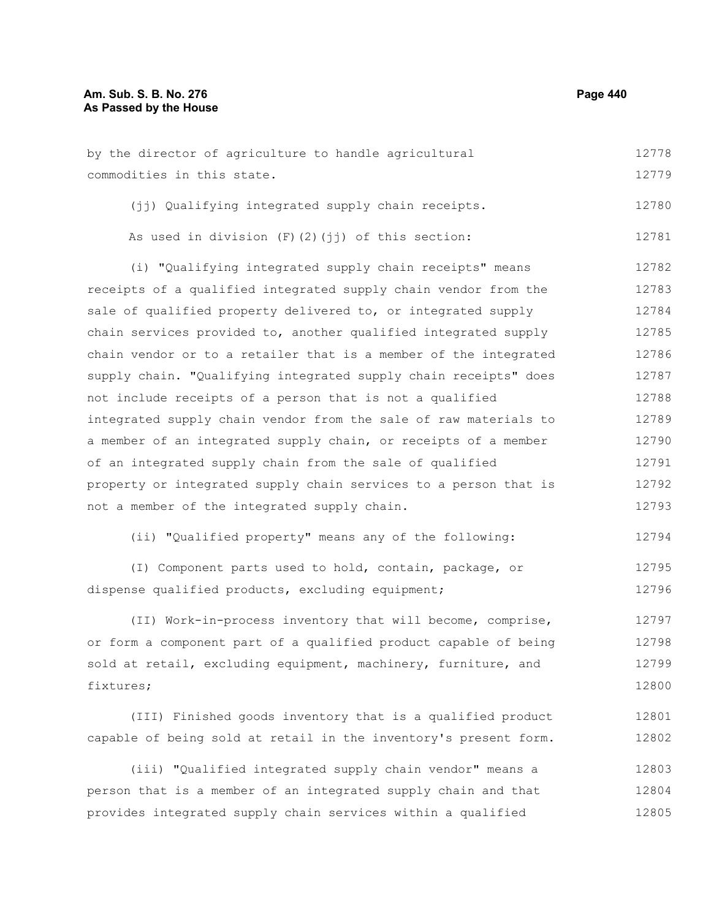by the director of agriculture to handle agricultural commodities in this state. 12778 12779

(ii) Qualifying integrated supply chain receipts. 12780

| As used in division $(F)$ $(2)$ $(jj)$ of this section: | 12781 |  |
|---------------------------------------------------------|-------|--|
|---------------------------------------------------------|-------|--|

(i) "Qualifying integrated supply chain receipts" means receipts of a qualified integrated supply chain vendor from the sale of qualified property delivered to, or integrated supply chain services provided to, another qualified integrated supply chain vendor or to a retailer that is a member of the integrated supply chain. "Qualifying integrated supply chain receipts" does not include receipts of a person that is not a qualified integrated supply chain vendor from the sale of raw materials to a member of an integrated supply chain, or receipts of a member of an integrated supply chain from the sale of qualified property or integrated supply chain services to a person that is not a member of the integrated supply chain. 12782 12783 12784 12785 12786 12787 12788 12789 12790 12791 12792 12793

(ii) "Qualified property" means any of the following: 12794

(I) Component parts used to hold, contain, package, or dispense qualified products, excluding equipment; 12795 12796

(II) Work-in-process inventory that will become, comprise, or form a component part of a qualified product capable of being sold at retail, excluding equipment, machinery, furniture, and fixtures; 12797 12798 12799 12800

(III) Finished goods inventory that is a qualified product capable of being sold at retail in the inventory's present form. 12801 12802

(iii) "Qualified integrated supply chain vendor" means a person that is a member of an integrated supply chain and that provides integrated supply chain services within a qualified 12803 12804 12805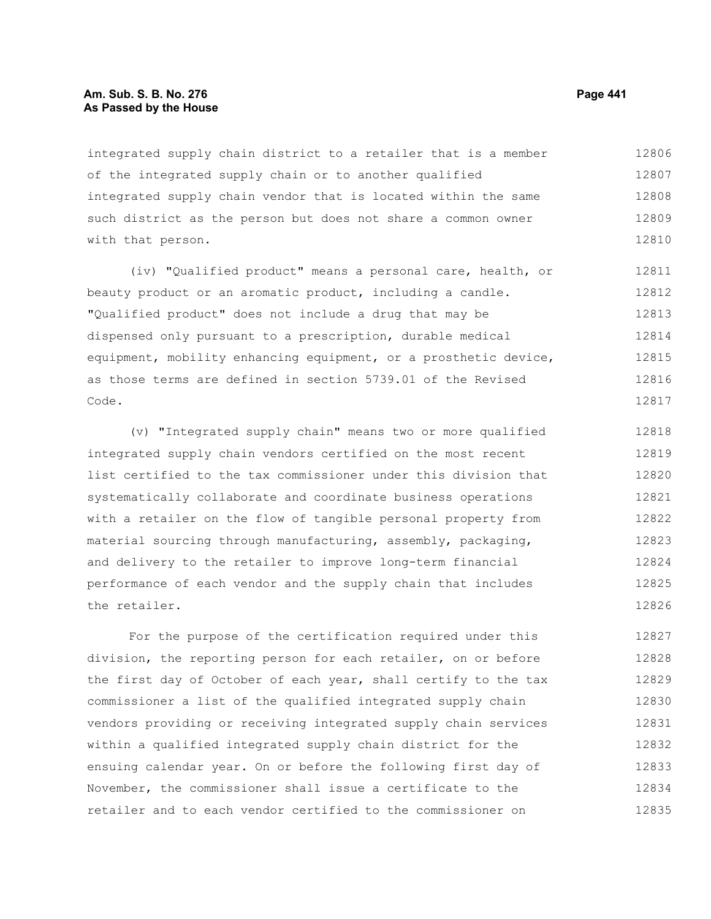## **Am. Sub. S. B. No. 276 Page 441 As Passed by the House**

integrated supply chain district to a retailer that is a member of the integrated supply chain or to another qualified integrated supply chain vendor that is located within the same such district as the person but does not share a common owner with that person. 12806 12807 12808 12809 12810

(iv) "Qualified product" means a personal care, health, or beauty product or an aromatic product, including a candle. "Qualified product" does not include a drug that may be dispensed only pursuant to a prescription, durable medical equipment, mobility enhancing equipment, or a prosthetic device, as those terms are defined in section 5739.01 of the Revised Code. 12811 12812 12813 12814 12815 12816 12817

(v) "Integrated supply chain" means two or more qualified integrated supply chain vendors certified on the most recent list certified to the tax commissioner under this division that systematically collaborate and coordinate business operations with a retailer on the flow of tangible personal property from material sourcing through manufacturing, assembly, packaging, and delivery to the retailer to improve long-term financial performance of each vendor and the supply chain that includes the retailer. 12818 12819 12820 12821 12822 12823 12824 12825 12826

For the purpose of the certification required under this division, the reporting person for each retailer, on or before the first day of October of each year, shall certify to the tax commissioner a list of the qualified integrated supply chain vendors providing or receiving integrated supply chain services within a qualified integrated supply chain district for the ensuing calendar year. On or before the following first day of November, the commissioner shall issue a certificate to the retailer and to each vendor certified to the commissioner on 12827 12828 12829 12830 12831 12832 12833 12834 12835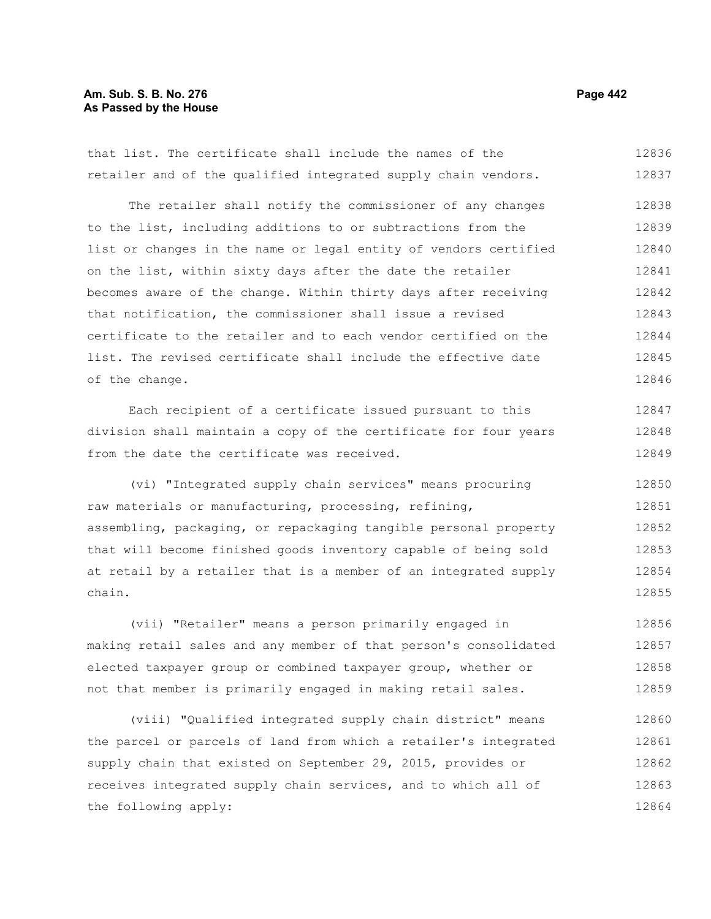# **Am. Sub. S. B. No. 276 Page 442** Page 442 **As Passed by the House**

that list. The certificate shall include the names of the retailer and of the qualified integrated supply chain vendors. 12836 12837

The retailer shall notify the commissioner of any changes to the list, including additions to or subtractions from the list or changes in the name or legal entity of vendors certified on the list, within sixty days after the date the retailer becomes aware of the change. Within thirty days after receiving that notification, the commissioner shall issue a revised certificate to the retailer and to each vendor certified on the list. The revised certificate shall include the effective date of the change. 12838 12839 12840 12841 12842 12843 12844 12845 12846

Each recipient of a certificate issued pursuant to this division shall maintain a copy of the certificate for four years from the date the certificate was received. 12847 12848 12849

(vi) "Integrated supply chain services" means procuring raw materials or manufacturing, processing, refining, assembling, packaging, or repackaging tangible personal property that will become finished goods inventory capable of being sold at retail by a retailer that is a member of an integrated supply chain. 12850 12851 12852 12853 12854 12855

(vii) "Retailer" means a person primarily engaged in making retail sales and any member of that person's consolidated elected taxpayer group or combined taxpayer group, whether or not that member is primarily engaged in making retail sales. 12856 12857 12858 12859

(viii) "Qualified integrated supply chain district" means the parcel or parcels of land from which a retailer's integrated supply chain that existed on September 29, 2015, provides or receives integrated supply chain services, and to which all of the following apply: 12860 12861 12862 12863 12864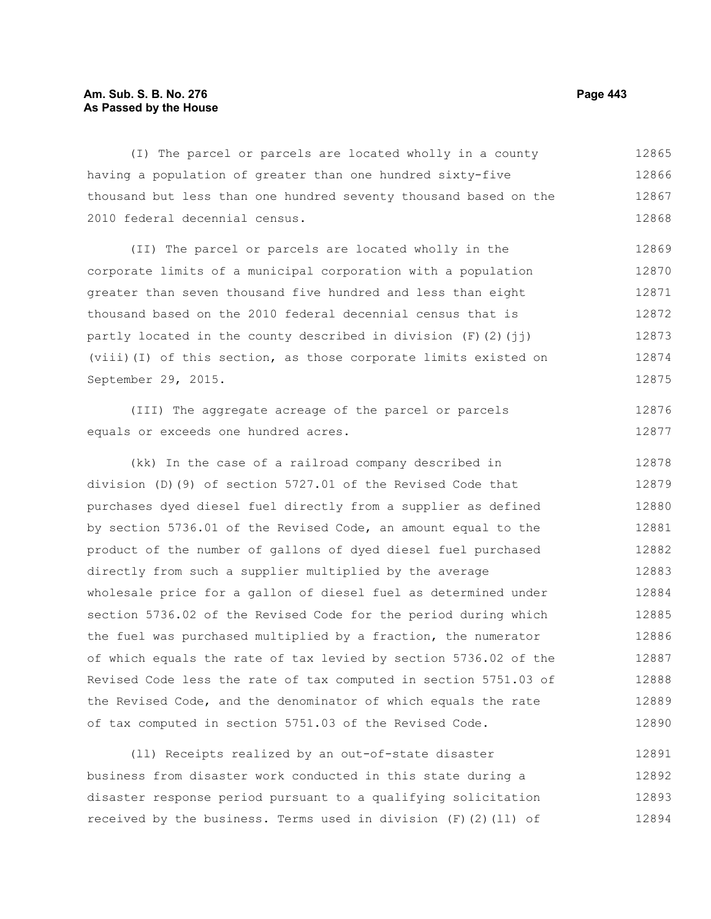# **Am. Sub. S. B. No. 276 Page 443 As Passed by the House**

(I) The parcel or parcels are located wholly in a county having a population of greater than one hundred sixty-five thousand but less than one hundred seventy thousand based on the 2010 federal decennial census. 12865 12866 12867 12868

(II) The parcel or parcels are located wholly in the corporate limits of a municipal corporation with a population greater than seven thousand five hundred and less than eight thousand based on the 2010 federal decennial census that is partly located in the county described in division  $(F)(2)(\pi i)$ (viii)(I) of this section, as those corporate limits existed on September 29, 2015. 12869 12870 12871 12872 12873 12874 12875

(III) The aggregate acreage of the parcel or parcels equals or exceeds one hundred acres. 12876 12877

(kk) In the case of a railroad company described in division (D)(9) of section 5727.01 of the Revised Code that purchases dyed diesel fuel directly from a supplier as defined by section 5736.01 of the Revised Code, an amount equal to the product of the number of gallons of dyed diesel fuel purchased directly from such a supplier multiplied by the average wholesale price for a gallon of diesel fuel as determined under section 5736.02 of the Revised Code for the period during which the fuel was purchased multiplied by a fraction, the numerator of which equals the rate of tax levied by section 5736.02 of the Revised Code less the rate of tax computed in section 5751.03 of the Revised Code, and the denominator of which equals the rate of tax computed in section 5751.03 of the Revised Code. 12878 12879 12880 12881 12882 12883 12884 12885 12886 12887 12888 12889 12890

(ll) Receipts realized by an out-of-state disaster business from disaster work conducted in this state during a disaster response period pursuant to a qualifying solicitation received by the business. Terms used in division  $(F)$  (2)(11) of 12891 12892 12893 12894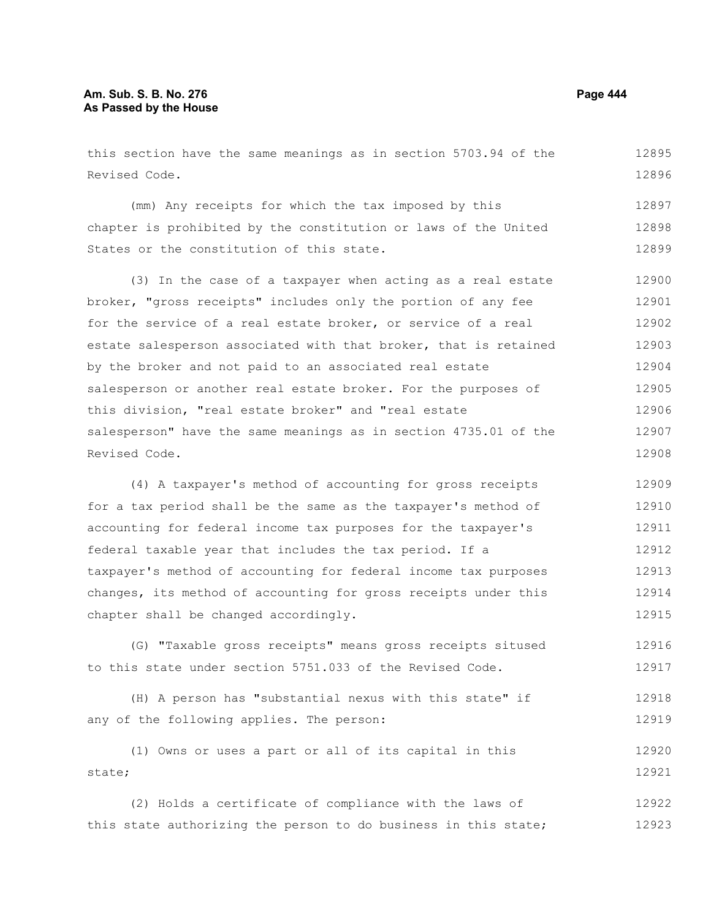# **Am. Sub. S. B. No. 276 Page 444 As Passed by the House**

this section have the same meanings as in section 5703.94 of the Revised Code. (mm) Any receipts for which the tax imposed by this chapter is prohibited by the constitution or laws of the United States or the constitution of this state. (3) In the case of a taxpayer when acting as a real estate broker, "gross receipts" includes only the portion of any fee for the service of a real estate broker, or service of a real estate salesperson associated with that broker, that is retained by the broker and not paid to an associated real estate salesperson or another real estate broker. For the purposes of this division, "real estate broker" and "real estate salesperson" have the same meanings as in section 4735.01 of the Revised Code. (4) A taxpayer's method of accounting for gross receipts for a tax period shall be the same as the taxpayer's method of accounting for federal income tax purposes for the taxpayer's 12895 12896 12897 12898 12899 12900 12901 12902 12903 12904 12905 12906 12907 12908 12909 12910 12911

federal taxable year that includes the tax period. If a taxpayer's method of accounting for federal income tax purposes changes, its method of accounting for gross receipts under this chapter shall be changed accordingly. 12912 12913 12914 12915

(G) "Taxable gross receipts" means gross receipts sitused to this state under section 5751.033 of the Revised Code. 12916 12917

(H) A person has "substantial nexus with this state" if any of the following applies. The person: 12918 12919

(1) Owns or uses a part or all of its capital in this state; 12920 12921

(2) Holds a certificate of compliance with the laws of this state authorizing the person to do business in this state; 12922 12923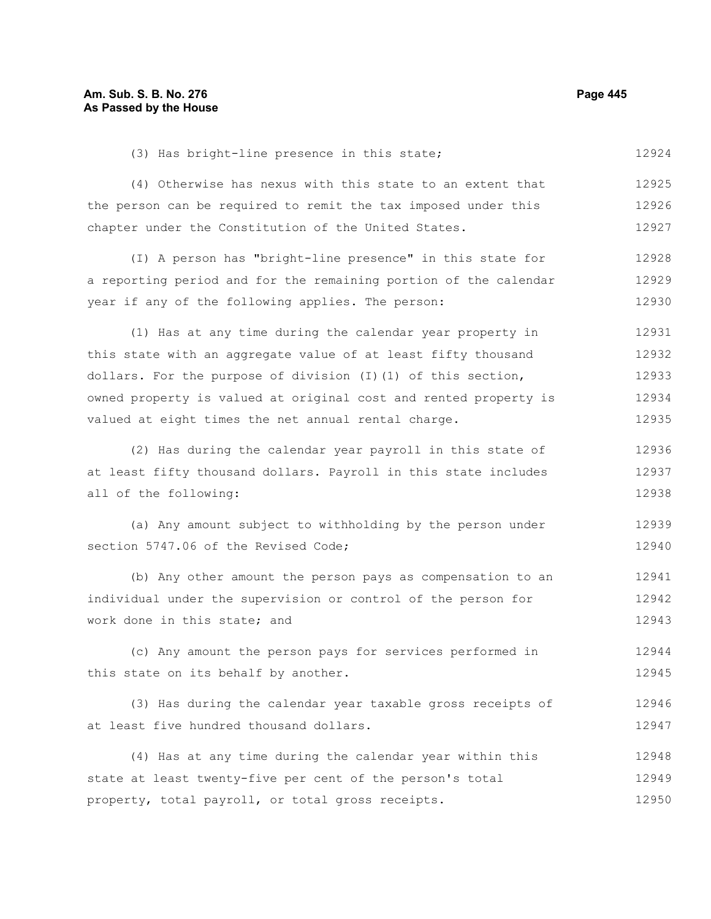(3) Has bright-line presence in this state; 12924

(4) Otherwise has nexus with this state to an extent that the person can be required to remit the tax imposed under this chapter under the Constitution of the United States. 12925 12926 12927

(I) A person has "bright-line presence" in this state for a reporting period and for the remaining portion of the calendar year if any of the following applies. The person: 12928 12929 12930

(1) Has at any time during the calendar year property in this state with an aggregate value of at least fifty thousand dollars. For the purpose of division  $(I)(1)$  of this section, owned property is valued at original cost and rented property is valued at eight times the net annual rental charge. 12931 12932 12933 12934 12935

(2) Has during the calendar year payroll in this state of at least fifty thousand dollars. Payroll in this state includes all of the following: 12936 12937 12938

(a) Any amount subject to withholding by the person under section 5747.06 of the Revised Code; 12939 12940

(b) Any other amount the person pays as compensation to an individual under the supervision or control of the person for work done in this state; and 12941 12942 12943

(c) Any amount the person pays for services performed in this state on its behalf by another. 12944 12945

(3) Has during the calendar year taxable gross receipts of at least five hundred thousand dollars. 12946 12947

(4) Has at any time during the calendar year within this state at least twenty-five per cent of the person's total property, total payroll, or total gross receipts. 12948 12949 12950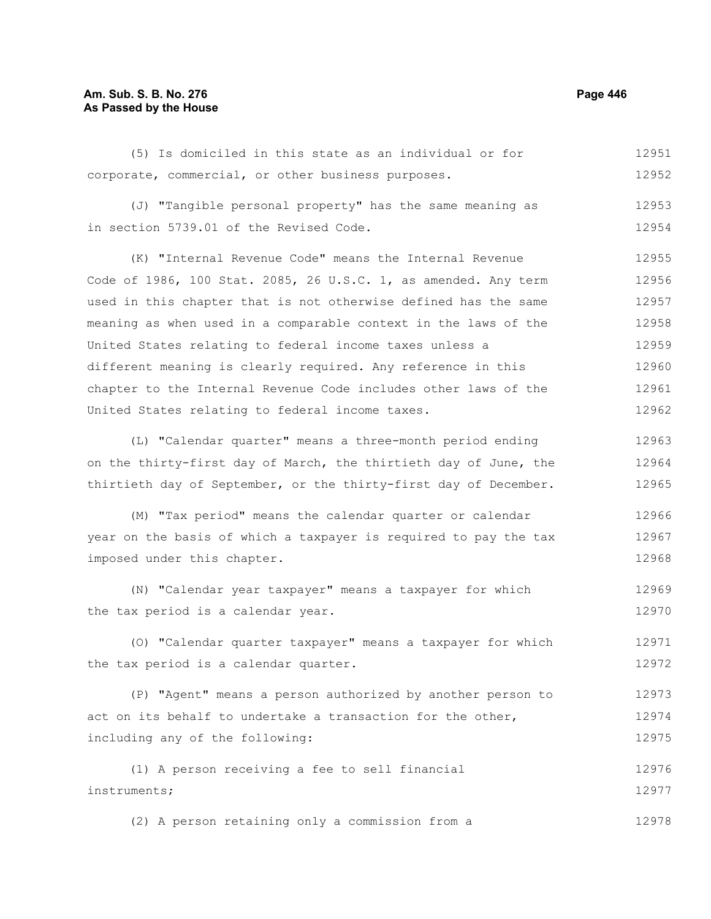# **Am. Sub. S. B. No. 276 Page 446** Page 446 **As Passed by the House**

(5) Is domiciled in this state as an individual or for corporate, commercial, or other business purposes. 12951 12952

(J) "Tangible personal property" has the same meaning as in section 5739.01 of the Revised Code. 12953 12954

(K) "Internal Revenue Code" means the Internal Revenue Code of 1986, 100 Stat. 2085, 26 U.S.C. 1, as amended. Any term used in this chapter that is not otherwise defined has the same meaning as when used in a comparable context in the laws of the United States relating to federal income taxes unless a different meaning is clearly required. Any reference in this chapter to the Internal Revenue Code includes other laws of the United States relating to federal income taxes. 12955 12956 12957 12958 12959 12960 12961 12962

(L) "Calendar quarter" means a three-month period ending on the thirty-first day of March, the thirtieth day of June, the thirtieth day of September, or the thirty-first day of December. 12963 12964 12965

(M) "Tax period" means the calendar quarter or calendar year on the basis of which a taxpayer is required to pay the tax imposed under this chapter. 12966 12967 12968

(N) "Calendar year taxpayer" means a taxpayer for which the tax period is a calendar year. 12969 12970

(O) "Calendar quarter taxpayer" means a taxpayer for which the tax period is a calendar quarter. 12971 12972

(P) "Agent" means a person authorized by another person to act on its behalf to undertake a transaction for the other, including any of the following: 12973 12974 12975

(1) A person receiving a fee to sell financial instruments; 12976 12977

(2) A person retaining only a commission from a 12978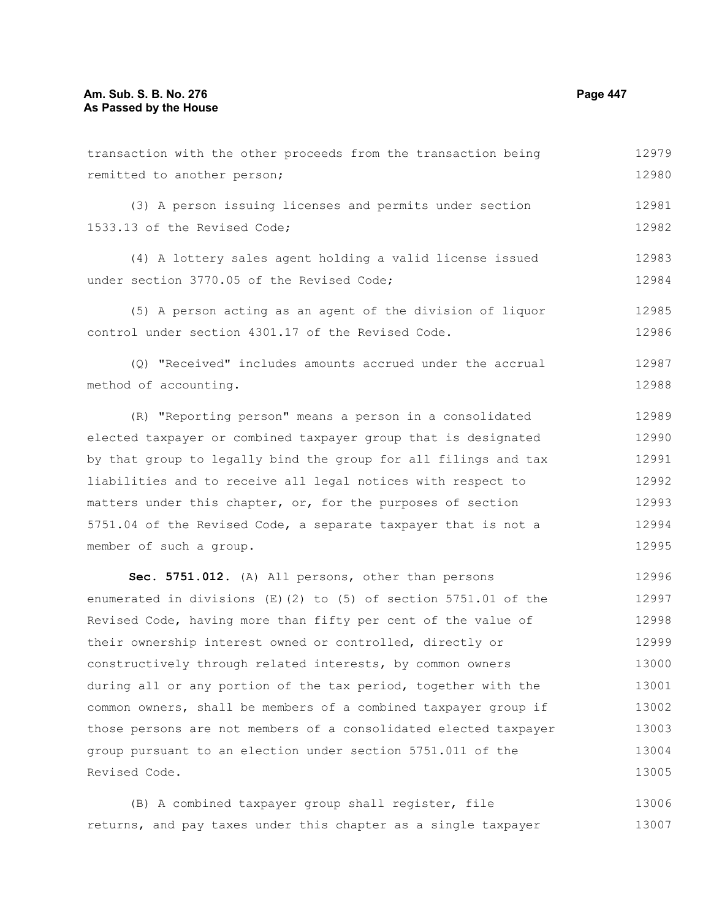| transaction with the other proceeds from the transaction being     | 12979 |
|--------------------------------------------------------------------|-------|
| remitted to another person;                                        | 12980 |
| (3) A person issuing licenses and permits under section            | 12981 |
| 1533.13 of the Revised Code;                                       | 12982 |
| (4) A lottery sales agent holding a valid license issued           | 12983 |
| under section 3770.05 of the Revised Code;                         | 12984 |
| (5) A person acting as an agent of the division of liquor          | 12985 |
| control under section 4301.17 of the Revised Code.                 | 12986 |
|                                                                    |       |
| (Q) "Received" includes amounts accrued under the accrual          | 12987 |
| method of accounting.                                              | 12988 |
| (R) "Reporting person" means a person in a consolidated            | 12989 |
| elected taxpayer or combined taxpayer group that is designated     | 12990 |
| by that group to legally bind the group for all filings and tax    | 12991 |
| liabilities and to receive all legal notices with respect to       | 12992 |
| matters under this chapter, or, for the purposes of section        | 12993 |
| 5751.04 of the Revised Code, a separate taxpayer that is not a     | 12994 |
| member of such a group.                                            | 12995 |
| Sec. 5751.012. (A) All persons, other than persons                 | 12996 |
| enumerated in divisions $(E)$ (2) to (5) of section 5751.01 of the | 12997 |
| Revised Code, having more than fifty per cent of the value of      | 12998 |
| their ownership interest owned or controlled, directly or          | 12999 |
| constructively through related interests, by common owners         | 13000 |
| during all or any portion of the tax period, together with the     | 13001 |
| common owners, shall be members of a combined taxpayer group if    | 13002 |
| those persons are not members of a consolidated elected taxpayer   | 13003 |
| group pursuant to an election under section 5751.011 of the        | 13004 |
| Revised Code.                                                      | 13005 |
|                                                                    |       |

(B) A combined taxpayer group shall register, file returns, and pay taxes under this chapter as a single taxpayer 13006 13007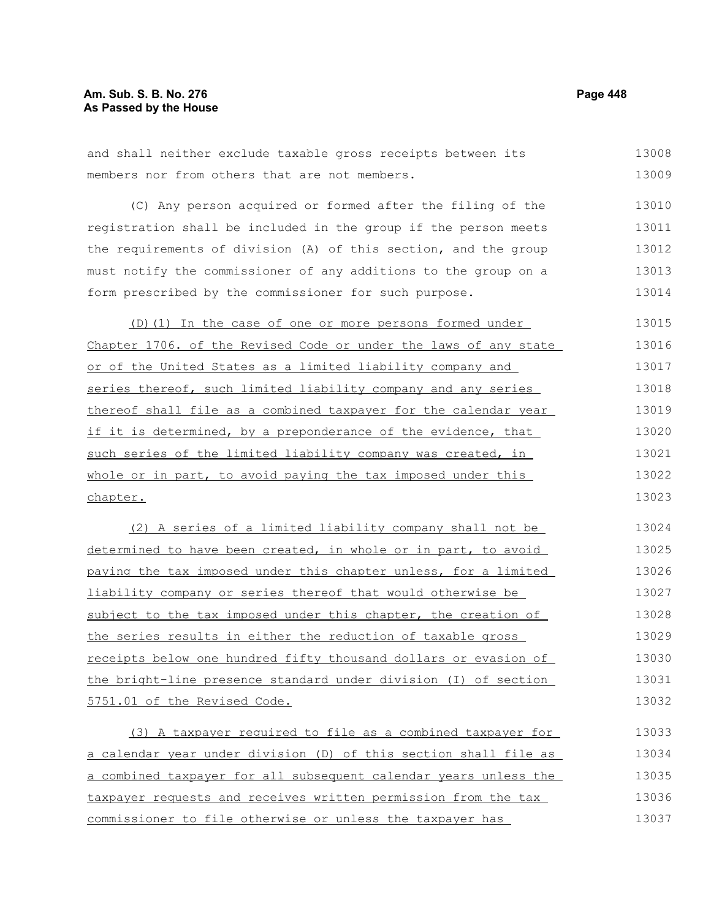# **Am. Sub. S. B. No. 276 Page 448 As Passed by the House**

and shall neither exclude taxable gross receipts between its members nor from others that are not members. 13008 13009

(C) Any person acquired or formed after the filing of the registration shall be included in the group if the person meets the requirements of division (A) of this section, and the group must notify the commissioner of any additions to the group on a form prescribed by the commissioner for such purpose. 13010 13011 13012 13013 13014

(D)(1) In the case of one or more persons formed under Chapter 1706. of the Revised Code or under the laws of any state or of the United States as a limited liability company and series thereof, such limited liability company and any series thereof shall file as a combined taxpayer for the calendar year if it is determined, by a preponderance of the evidence, that such series of the limited liability company was created, in whole or in part, to avoid paying the tax imposed under this chapter. 13015 13016 13017 13018 13019 13020 13021 13022 13023

(2) A series of a limited liability company shall not be determined to have been created, in whole or in part, to avoid paying the tax imposed under this chapter unless, for a limited liability company or series thereof that would otherwise be subject to the tax imposed under this chapter, the creation of the series results in either the reduction of taxable gross receipts below one hundred fifty thousand dollars or evasion of the bright-line presence standard under division (I) of section 5751.01 of the Revised Code. 13024 13025 13026 13027 13028 13029 13030 13031 13032

(3) A taxpayer required to file as a combined taxpayer for a calendar year under division (D) of this section shall file as a combined taxpayer for all subsequent calendar years unless the taxpayer requests and receives written permission from the tax commissioner to file otherwise or unless the taxpayer has 13033 13034 13035 13036 13037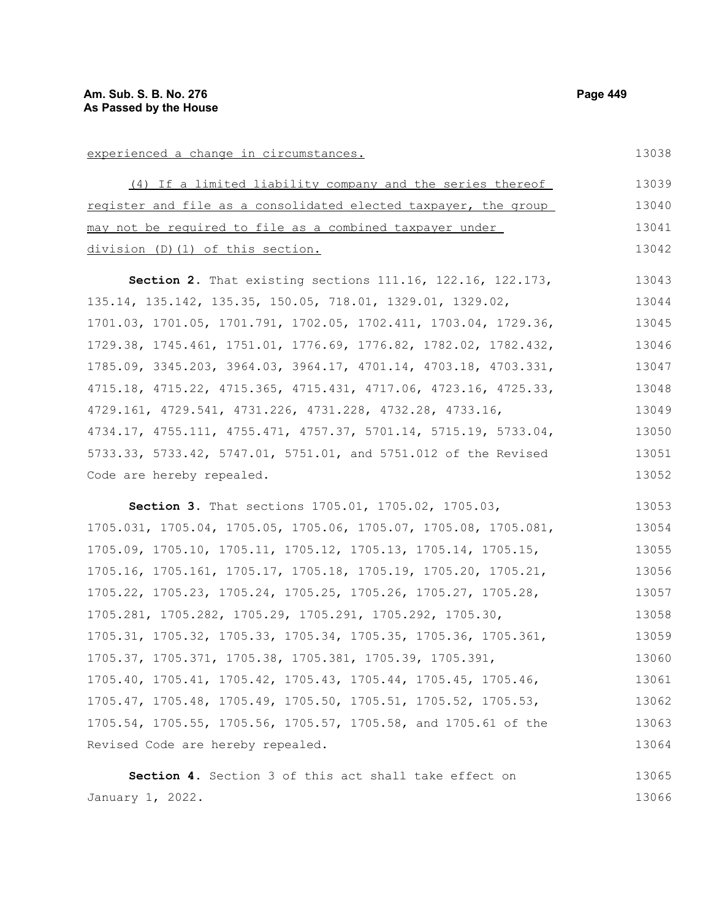experienced a change in circumstances. (4) If a limited liability company and the series thereof register and file as a consolidated elected taxpayer, the group may not be required to file as a combined taxpayer under division (D)(1) of this section. **Section 2.** That existing sections 111.16, 122.16, 122.173, 135.14, 135.142, 135.35, 150.05, 718.01, 1329.01, 1329.02, 13039 13040 13041 13042 13043 13044 13045

1701.03, 1701.05, 1701.791, 1702.05, 1702.411, 1703.04, 1729.36, 1729.38, 1745.461, 1751.01, 1776.69, 1776.82, 1782.02, 1782.432, 1785.09, 3345.203, 3964.03, 3964.17, 4701.14, 4703.18, 4703.331, 4715.18, 4715.22, 4715.365, 4715.431, 4717.06, 4723.16, 4725.33, 4729.161, 4729.541, 4731.226, 4731.228, 4732.28, 4733.16, 4734.17, 4755.111, 4755.471, 4757.37, 5701.14, 5715.19, 5733.04, 5733.33, 5733.42, 5747.01, 5751.01, and 5751.012 of the Revised Code are hereby repealed. 13046 13047 13048 13049 13050 13051 13052

**Section 3.** That sections 1705.01, 1705.02, 1705.03, 1705.031, 1705.04, 1705.05, 1705.06, 1705.07, 1705.08, 1705.081, 1705.09, 1705.10, 1705.11, 1705.12, 1705.13, 1705.14, 1705.15, 1705.16, 1705.161, 1705.17, 1705.18, 1705.19, 1705.20, 1705.21, 1705.22, 1705.23, 1705.24, 1705.25, 1705.26, 1705.27, 1705.28, 1705.281, 1705.282, 1705.29, 1705.291, 1705.292, 1705.30, 1705.31, 1705.32, 1705.33, 1705.34, 1705.35, 1705.36, 1705.361, 1705.37, 1705.371, 1705.38, 1705.381, 1705.39, 1705.391, 1705.40, 1705.41, 1705.42, 1705.43, 1705.44, 1705.45, 1705.46, 1705.47, 1705.48, 1705.49, 1705.50, 1705.51, 1705.52, 1705.53, 1705.54, 1705.55, 1705.56, 1705.57, 1705.58, and 1705.61 of the Revised Code are hereby repealed. 13053 13054 13055 13056 13057 13058 13059 13060 13061 13062 13063 13064

**Section 4.** Section 3 of this act shall take effect on January 1, 2022. 13065 13066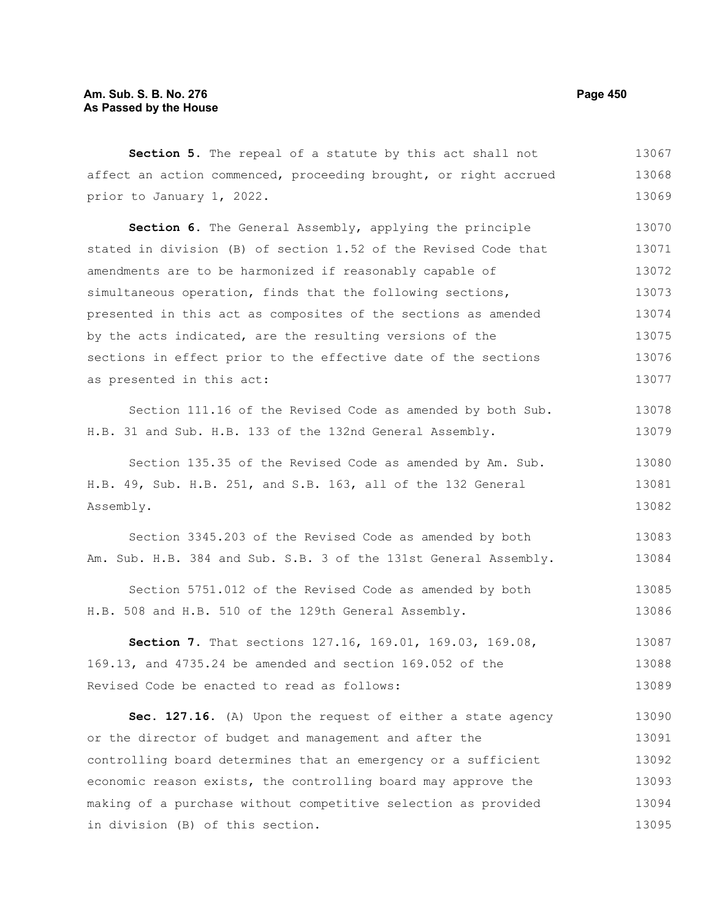| affect an action commenced, proceeding brought, or right accrued<br>prior to January 1, 2022.<br>Section 6. The General Assembly, applying the principle<br>stated in division (B) of section 1.52 of the Revised Code that<br>amendments are to be harmonized if reasonably capable of<br>simultaneous operation, finds that the following sections,<br>presented in this act as composites of the sections as amended<br>by the acts indicated, are the resulting versions of the<br>sections in effect prior to the effective date of the sections<br>as presented in this act:<br>Section 111.16 of the Revised Code as amended by both Sub.<br>H.B. 31 and Sub. H.B. 133 of the 132nd General Assembly.<br>Section 135.35 of the Revised Code as amended by Am. Sub.<br>H.B. 49, Sub. H.B. 251, and S.B. 163, all of the 132 General<br>Assembly.<br>Section 3345.203 of the Revised Code as amended by both<br>Am. Sub. H.B. 384 and Sub. S.B. 3 of the 131st General Assembly.<br>Section 5751.012 of the Revised Code as amended by both<br>H.B. 508 and H.B. 510 of the 129th General Assembly.<br>Section 7. That sections 127.16, 169.01, 169.03, 169.08,<br>169.13, and 4735.24 be amended and section 169.052 of the<br>Revised Code be enacted to read as follows:<br>Sec. 127.16. (A) Upon the request of either a state agency | Section 5. The repeal of a statute by this act shall not | 13067 |
|------------------------------------------------------------------------------------------------------------------------------------------------------------------------------------------------------------------------------------------------------------------------------------------------------------------------------------------------------------------------------------------------------------------------------------------------------------------------------------------------------------------------------------------------------------------------------------------------------------------------------------------------------------------------------------------------------------------------------------------------------------------------------------------------------------------------------------------------------------------------------------------------------------------------------------------------------------------------------------------------------------------------------------------------------------------------------------------------------------------------------------------------------------------------------------------------------------------------------------------------------------------------------------------------------------------------------------------------|----------------------------------------------------------|-------|
|                                                                                                                                                                                                                                                                                                                                                                                                                                                                                                                                                                                                                                                                                                                                                                                                                                                                                                                                                                                                                                                                                                                                                                                                                                                                                                                                                |                                                          | 13068 |
|                                                                                                                                                                                                                                                                                                                                                                                                                                                                                                                                                                                                                                                                                                                                                                                                                                                                                                                                                                                                                                                                                                                                                                                                                                                                                                                                                |                                                          | 13069 |
|                                                                                                                                                                                                                                                                                                                                                                                                                                                                                                                                                                                                                                                                                                                                                                                                                                                                                                                                                                                                                                                                                                                                                                                                                                                                                                                                                |                                                          | 13070 |
|                                                                                                                                                                                                                                                                                                                                                                                                                                                                                                                                                                                                                                                                                                                                                                                                                                                                                                                                                                                                                                                                                                                                                                                                                                                                                                                                                |                                                          | 13071 |
|                                                                                                                                                                                                                                                                                                                                                                                                                                                                                                                                                                                                                                                                                                                                                                                                                                                                                                                                                                                                                                                                                                                                                                                                                                                                                                                                                |                                                          | 13072 |
|                                                                                                                                                                                                                                                                                                                                                                                                                                                                                                                                                                                                                                                                                                                                                                                                                                                                                                                                                                                                                                                                                                                                                                                                                                                                                                                                                |                                                          | 13073 |
|                                                                                                                                                                                                                                                                                                                                                                                                                                                                                                                                                                                                                                                                                                                                                                                                                                                                                                                                                                                                                                                                                                                                                                                                                                                                                                                                                |                                                          | 13074 |
|                                                                                                                                                                                                                                                                                                                                                                                                                                                                                                                                                                                                                                                                                                                                                                                                                                                                                                                                                                                                                                                                                                                                                                                                                                                                                                                                                |                                                          | 13075 |
|                                                                                                                                                                                                                                                                                                                                                                                                                                                                                                                                                                                                                                                                                                                                                                                                                                                                                                                                                                                                                                                                                                                                                                                                                                                                                                                                                |                                                          | 13076 |
|                                                                                                                                                                                                                                                                                                                                                                                                                                                                                                                                                                                                                                                                                                                                                                                                                                                                                                                                                                                                                                                                                                                                                                                                                                                                                                                                                |                                                          | 13077 |
|                                                                                                                                                                                                                                                                                                                                                                                                                                                                                                                                                                                                                                                                                                                                                                                                                                                                                                                                                                                                                                                                                                                                                                                                                                                                                                                                                |                                                          | 13078 |
|                                                                                                                                                                                                                                                                                                                                                                                                                                                                                                                                                                                                                                                                                                                                                                                                                                                                                                                                                                                                                                                                                                                                                                                                                                                                                                                                                |                                                          | 13079 |
|                                                                                                                                                                                                                                                                                                                                                                                                                                                                                                                                                                                                                                                                                                                                                                                                                                                                                                                                                                                                                                                                                                                                                                                                                                                                                                                                                |                                                          | 13080 |
|                                                                                                                                                                                                                                                                                                                                                                                                                                                                                                                                                                                                                                                                                                                                                                                                                                                                                                                                                                                                                                                                                                                                                                                                                                                                                                                                                |                                                          | 13081 |
|                                                                                                                                                                                                                                                                                                                                                                                                                                                                                                                                                                                                                                                                                                                                                                                                                                                                                                                                                                                                                                                                                                                                                                                                                                                                                                                                                |                                                          | 13082 |
|                                                                                                                                                                                                                                                                                                                                                                                                                                                                                                                                                                                                                                                                                                                                                                                                                                                                                                                                                                                                                                                                                                                                                                                                                                                                                                                                                |                                                          | 13083 |
|                                                                                                                                                                                                                                                                                                                                                                                                                                                                                                                                                                                                                                                                                                                                                                                                                                                                                                                                                                                                                                                                                                                                                                                                                                                                                                                                                |                                                          | 13084 |
|                                                                                                                                                                                                                                                                                                                                                                                                                                                                                                                                                                                                                                                                                                                                                                                                                                                                                                                                                                                                                                                                                                                                                                                                                                                                                                                                                |                                                          | 13085 |
|                                                                                                                                                                                                                                                                                                                                                                                                                                                                                                                                                                                                                                                                                                                                                                                                                                                                                                                                                                                                                                                                                                                                                                                                                                                                                                                                                |                                                          | 13086 |
|                                                                                                                                                                                                                                                                                                                                                                                                                                                                                                                                                                                                                                                                                                                                                                                                                                                                                                                                                                                                                                                                                                                                                                                                                                                                                                                                                |                                                          | 13087 |
|                                                                                                                                                                                                                                                                                                                                                                                                                                                                                                                                                                                                                                                                                                                                                                                                                                                                                                                                                                                                                                                                                                                                                                                                                                                                                                                                                |                                                          | 13088 |
|                                                                                                                                                                                                                                                                                                                                                                                                                                                                                                                                                                                                                                                                                                                                                                                                                                                                                                                                                                                                                                                                                                                                                                                                                                                                                                                                                |                                                          | 13089 |
|                                                                                                                                                                                                                                                                                                                                                                                                                                                                                                                                                                                                                                                                                                                                                                                                                                                                                                                                                                                                                                                                                                                                                                                                                                                                                                                                                |                                                          | 13090 |

or the director of budget and management and after the controlling board determines that an emergency or a sufficient economic reason exists, the controlling board may approve the making of a purchase without competitive selection as provided in division (B) of this section. 13091 13092 13093 13094 13095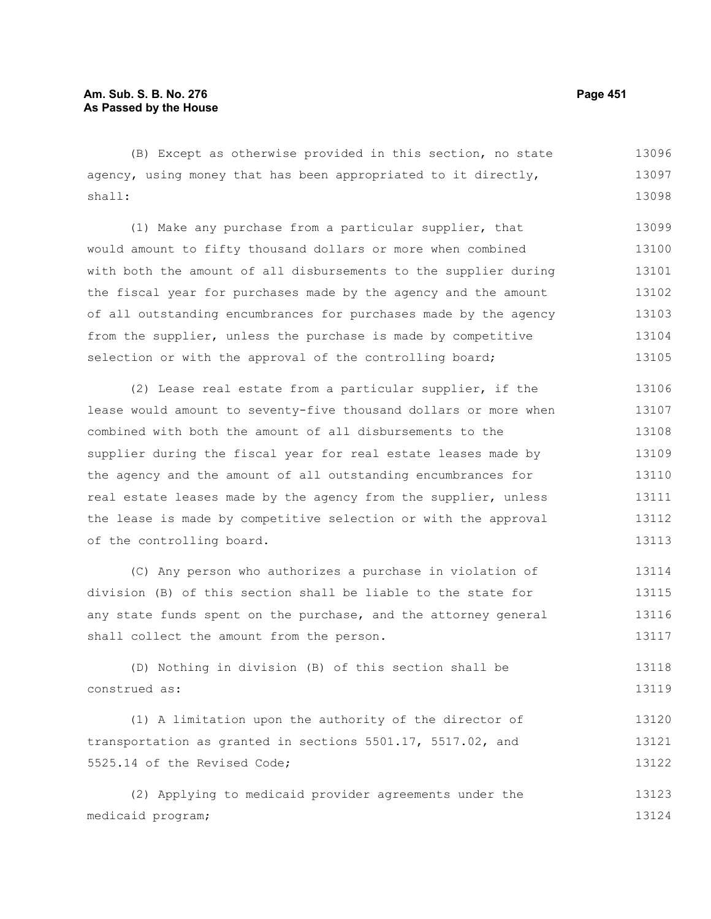(B) Except as otherwise provided in this section, no state agency, using money that has been appropriated to it directly, shall: 13096 13097 13098

(1) Make any purchase from a particular supplier, that would amount to fifty thousand dollars or more when combined with both the amount of all disbursements to the supplier during the fiscal year for purchases made by the agency and the amount of all outstanding encumbrances for purchases made by the agency from the supplier, unless the purchase is made by competitive selection or with the approval of the controlling board; 13099 13100 13101 13102 13103 13104 13105

(2) Lease real estate from a particular supplier, if the lease would amount to seventy-five thousand dollars or more when combined with both the amount of all disbursements to the supplier during the fiscal year for real estate leases made by the agency and the amount of all outstanding encumbrances for real estate leases made by the agency from the supplier, unless the lease is made by competitive selection or with the approval of the controlling board. 13106 13107 13108 13109 13110 13111 13112 13113

(C) Any person who authorizes a purchase in violation of division (B) of this section shall be liable to the state for any state funds spent on the purchase, and the attorney general shall collect the amount from the person. 13114 13115 13116 13117

(D) Nothing in division (B) of this section shall be construed as: 13118 13119

(1) A limitation upon the authority of the director of transportation as granted in sections 5501.17, 5517.02, and 5525.14 of the Revised Code; 13120 13121 13122

(2) Applying to medicaid provider agreements under the medicaid program; 13123 13124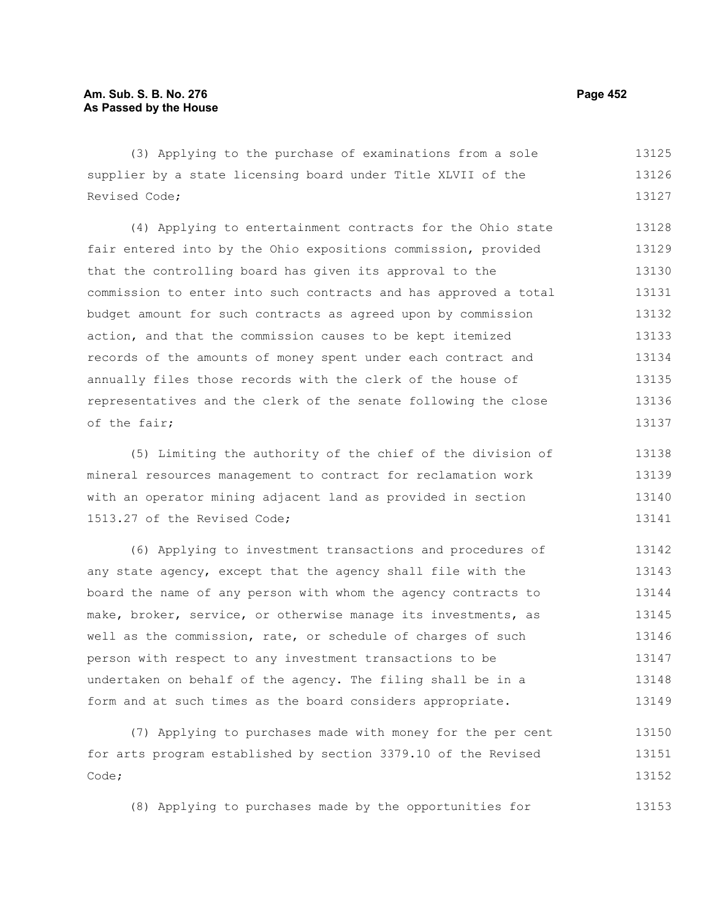(3) Applying to the purchase of examinations from a sole supplier by a state licensing board under Title XLVII of the Revised Code; 13125 13126 13127

(4) Applying to entertainment contracts for the Ohio state fair entered into by the Ohio expositions commission, provided that the controlling board has given its approval to the commission to enter into such contracts and has approved a total budget amount for such contracts as agreed upon by commission action, and that the commission causes to be kept itemized records of the amounts of money spent under each contract and annually files those records with the clerk of the house of representatives and the clerk of the senate following the close of the fair; 13128 13129 13130 13131 13132 13133 13134 13135 13136 13137

(5) Limiting the authority of the chief of the division of mineral resources management to contract for reclamation work with an operator mining adjacent land as provided in section 1513.27 of the Revised Code; 13138 13139 13140 13141

(6) Applying to investment transactions and procedures of any state agency, except that the agency shall file with the board the name of any person with whom the agency contracts to make, broker, service, or otherwise manage its investments, as well as the commission, rate, or schedule of charges of such person with respect to any investment transactions to be undertaken on behalf of the agency. The filing shall be in a form and at such times as the board considers appropriate. 13142 13143 13144 13145 13146 13147 13148 13149

(7) Applying to purchases made with money for the per cent for arts program established by section 3379.10 of the Revised Code; 13150 13151 13152

(8) Applying to purchases made by the opportunities for 13153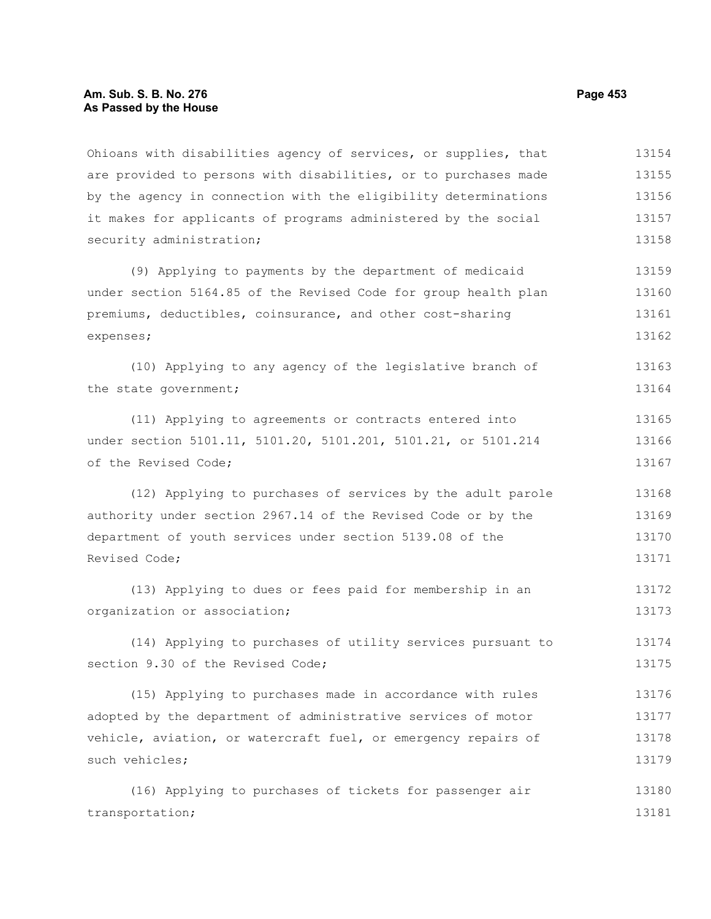## **Am. Sub. S. B. No. 276 Page 453 As Passed by the House**

Ohioans with disabilities agency of services, or supplies, that are provided to persons with disabilities, or to purchases made by the agency in connection with the eligibility determinations it makes for applicants of programs administered by the social security administration; 13154 13155 13156 13157 13158

(9) Applying to payments by the department of medicaid under section 5164.85 of the Revised Code for group health plan premiums, deductibles, coinsurance, and other cost-sharing expenses; 13159 13160 13161 13162

(10) Applying to any agency of the legislative branch of the state government; 13163 13164

(11) Applying to agreements or contracts entered into under section 5101.11, 5101.20, 5101.201, 5101.21, or 5101.214 of the Revised Code;

(12) Applying to purchases of services by the adult parole authority under section 2967.14 of the Revised Code or by the department of youth services under section 5139.08 of the Revised Code;

(13) Applying to dues or fees paid for membership in an organization or association; 13172 13173

(14) Applying to purchases of utility services pursuant to section 9.30 of the Revised Code; 13174 13175

(15) Applying to purchases made in accordance with rules adopted by the department of administrative services of motor vehicle, aviation, or watercraft fuel, or emergency repairs of such vehicles; 13176 13177 13178 13179

(16) Applying to purchases of tickets for passenger air transportation; 13180 13181

13165 13166 13167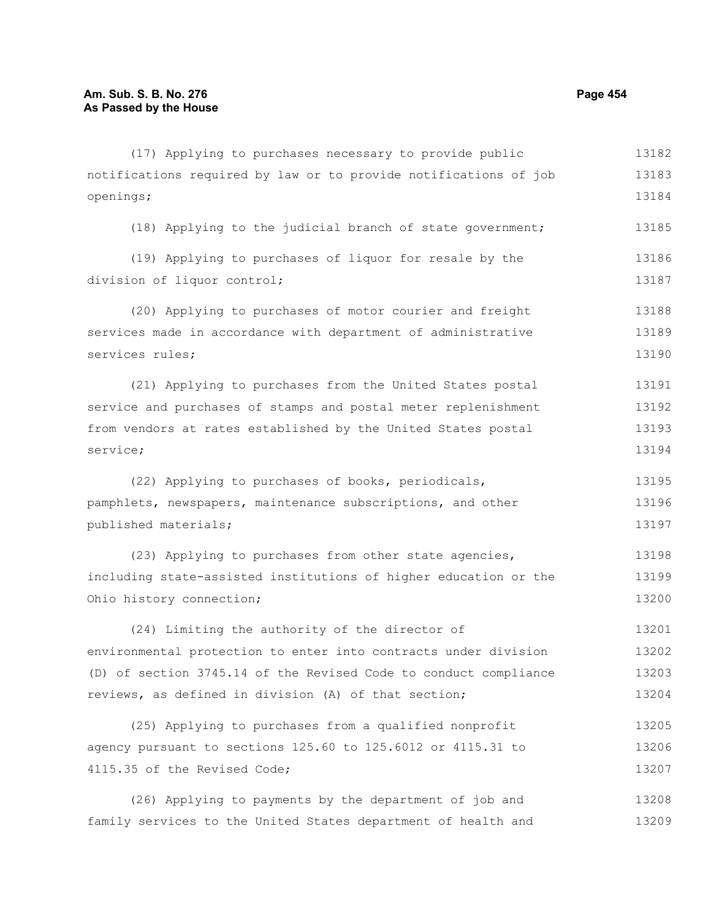openings;

(17) Applying to purchases necessary to provide public notifications required by law or to provide notifications of job (18) Applying to the judicial branch of state government;

(19) Applying to purchases of liquor for resale by the division of liquor control; 13186 13187

(20) Applying to purchases of motor courier and freight services made in accordance with department of administrative services rules; 13188 13189 13190

(21) Applying to purchases from the United States postal service and purchases of stamps and postal meter replenishment from vendors at rates established by the United States postal service; 13191 13192 13193 13194

(22) Applying to purchases of books, periodicals, pamphlets, newspapers, maintenance subscriptions, and other published materials; 13195 13196 13197

(23) Applying to purchases from other state agencies, including state-assisted institutions of higher education or the Ohio history connection; 13198 13199 13200

(24) Limiting the authority of the director of environmental protection to enter into contracts under division (D) of section 3745.14 of the Revised Code to conduct compliance reviews, as defined in division (A) of that section; 13201 13202 13203 13204

(25) Applying to purchases from a qualified nonprofit agency pursuant to sections 125.60 to 125.6012 or 4115.31 to 4115.35 of the Revised Code; 13205 13206 13207

(26) Applying to payments by the department of job and family services to the United States department of health and 13208 13209

13182 13183 13184

13185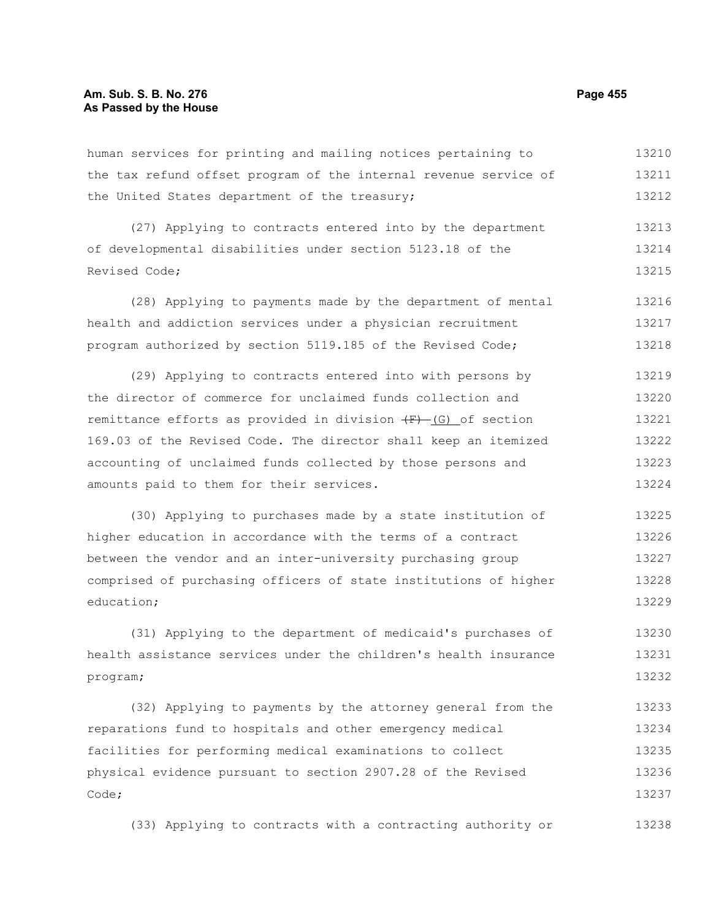human services for printing and mailing notices pertaining to the tax refund offset program of the internal revenue service of the United States department of the treasury; 13210 13211 13212

(27) Applying to contracts entered into by the department of developmental disabilities under section 5123.18 of the Revised Code; 13213 13214 13215

(28) Applying to payments made by the department of mental health and addiction services under a physician recruitment program authorized by section 5119.185 of the Revised Code; 13216 13217 13218

(29) Applying to contracts entered into with persons by the director of commerce for unclaimed funds collection and remittance efforts as provided in division  $(F)$  (G) of section 169.03 of the Revised Code. The director shall keep an itemized accounting of unclaimed funds collected by those persons and amounts paid to them for their services. 13219 13220 13221 13222 13223 13224

(30) Applying to purchases made by a state institution of higher education in accordance with the terms of a contract between the vendor and an inter-university purchasing group comprised of purchasing officers of state institutions of higher education; 13225 13226 13227 13228 13229

(31) Applying to the department of medicaid's purchases of health assistance services under the children's health insurance program; 13230 13231 13232

(32) Applying to payments by the attorney general from the reparations fund to hospitals and other emergency medical facilities for performing medical examinations to collect physical evidence pursuant to section 2907.28 of the Revised Code; 13233 13234 13235 13236 13237

(33) Applying to contracts with a contracting authority or 13238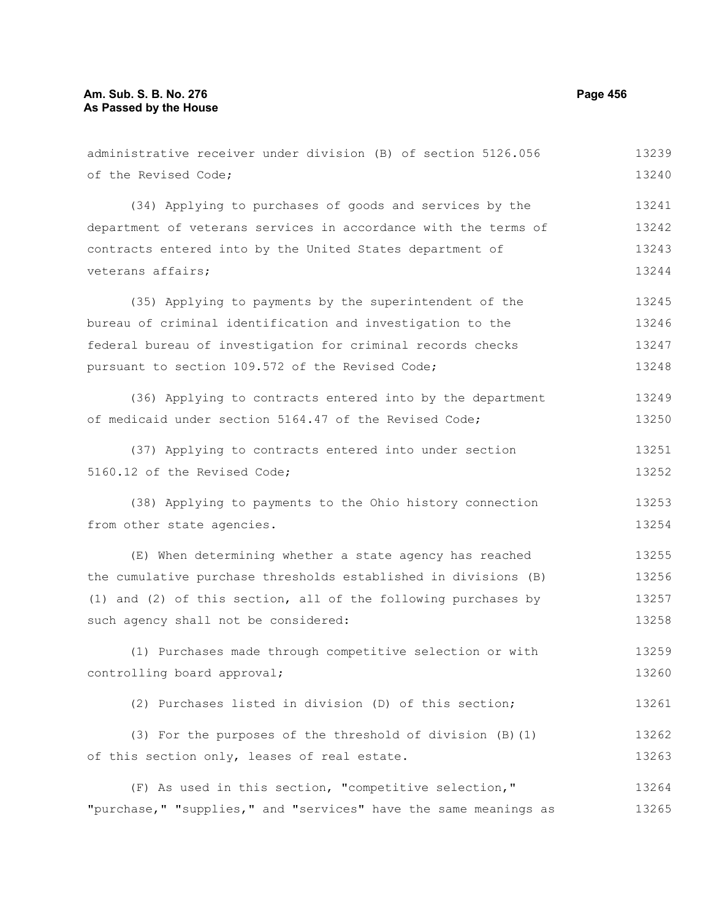administrative receiver under division (B) of section 5126.056 of the Revised Code; (34) Applying to purchases of goods and services by the department of veterans services in accordance with the terms of contracts entered into by the United States department of veterans affairs; (35) Applying to payments by the superintendent of the bureau of criminal identification and investigation to the federal bureau of investigation for criminal records checks pursuant to section 109.572 of the Revised Code; (36) Applying to contracts entered into by the department of medicaid under section 5164.47 of the Revised Code; (37) Applying to contracts entered into under section 5160.12 of the Revised Code; (38) Applying to payments to the Ohio history connection from other state agencies. (E) When determining whether a state agency has reached the cumulative purchase thresholds established in divisions (B) (1) and (2) of this section, all of the following purchases by such agency shall not be considered: (1) Purchases made through competitive selection or with controlling board approval; 13239 13240 13241 13242 13243 13244 13245 13246 13247 13248 13249 13250 13251 13252 13253 13254 13255 13256 13257 13258 13259 13260

(2) Purchases listed in division (D) of this section; 13261

(3) For the purposes of the threshold of division (B)(1) of this section only, leases of real estate. 13262 13263

(F) As used in this section, "competitive selection," "purchase," "supplies," and "services" have the same meanings as 13264 13265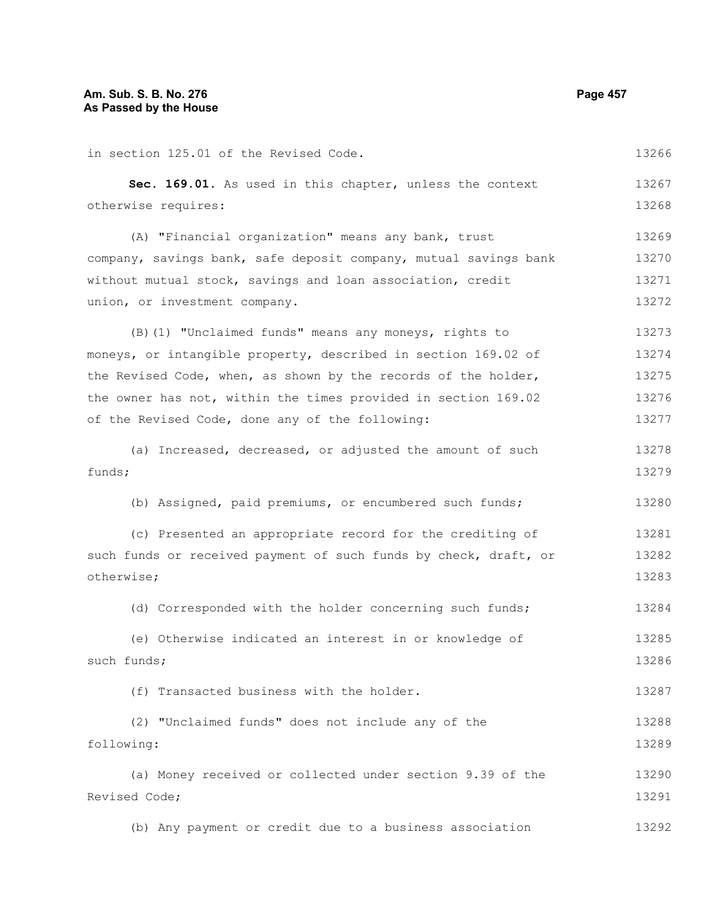| Sec. 169.01. As used in this chapter, unless the context         | 13267 |
|------------------------------------------------------------------|-------|
| otherwise requires:                                              | 13268 |
| (A) "Financial organization" means any bank, trust               | 13269 |
| company, savings bank, safe deposit company, mutual savings bank | 13270 |
| without mutual stock, savings and loan association, credit       | 13271 |
| union, or investment company.                                    | 13272 |
| (B) (1) "Unclaimed funds" means any moneys, rights to            | 13273 |
| moneys, or intangible property, described in section 169.02 of   | 13274 |
| the Revised Code, when, as shown by the records of the holder,   | 13275 |
| the owner has not, within the times provided in section 169.02   | 13276 |
| of the Revised Code, done any of the following:                  | 13277 |
| (a) Increased, decreased, or adjusted the amount of such         | 13278 |
| funds;                                                           | 13279 |
| (b) Assigned, paid premiums, or encumbered such funds;           | 13280 |
| (c) Presented an appropriate record for the crediting of         | 13281 |
| such funds or received payment of such funds by check, draft, or | 13282 |
| otherwise;                                                       | 13283 |
| (d) Corresponded with the holder concerning such funds;          | 13284 |
| (e) Otherwise indicated an interest in or knowledge of           | 13285 |
| such funds;                                                      | 13286 |
| (f) Transacted business with the holder.                         | 13287 |
| (2) "Unclaimed funds" does not include any of the                | 13288 |
| following:                                                       | 13289 |
| (a) Money received or collected under section 9.39 of the        | 13290 |
| Revised Code;                                                    | 13291 |
| (b) Any payment or credit due to a business association          | 13292 |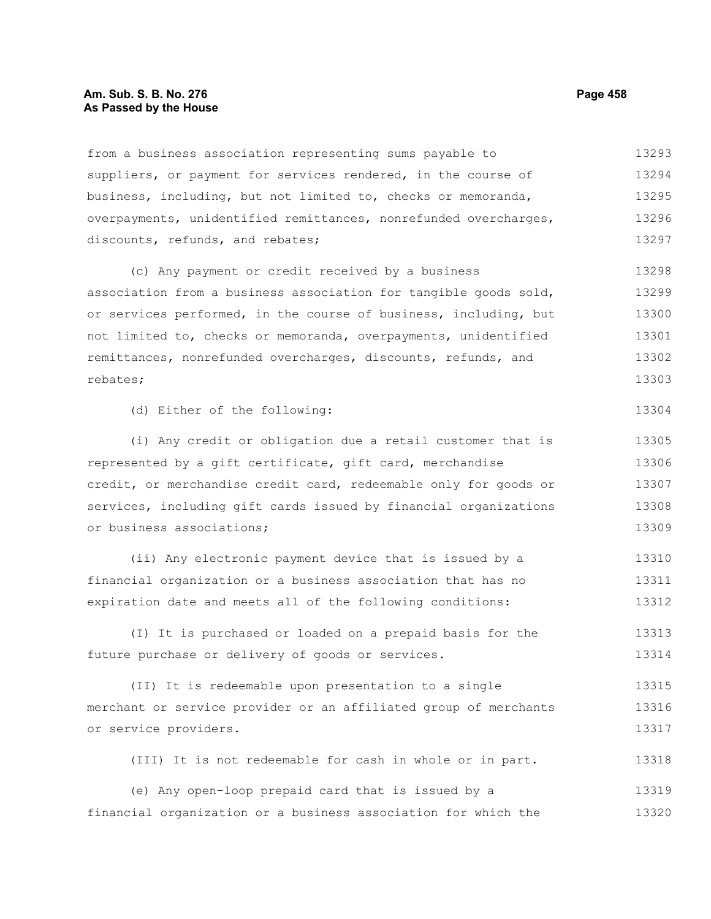#### **Am. Sub. S. B. No. 276 Page 458 As Passed by the House**

from a business association representing sums payable to suppliers, or payment for services rendered, in the course of business, including, but not limited to, checks or memoranda, overpayments, unidentified remittances, nonrefunded overcharges, discounts, refunds, and rebates; 13293 13294 13295 13296 13297

(c) Any payment or credit received by a business association from a business association for tangible goods sold, or services performed, in the course of business, including, but not limited to, checks or memoranda, overpayments, unidentified remittances, nonrefunded overcharges, discounts, refunds, and rebates; 13298 13299 13300 13301 13302 13303

```
(d) Either of the following:
```
(i) Any credit or obligation due a retail customer that is represented by a gift certificate, gift card, merchandise credit, or merchandise credit card, redeemable only for goods or services, including gift cards issued by financial organizations or business associations; 13305 13306 13307 13308 13309

(ii) Any electronic payment device that is issued by a financial organization or a business association that has no expiration date and meets all of the following conditions: 13310 13311 13312

(I) It is purchased or loaded on a prepaid basis for the future purchase or delivery of goods or services. 13313 13314

(II) It is redeemable upon presentation to a single merchant or service provider or an affiliated group of merchants or service providers. 13315 13316 13317

(III) It is not redeemable for cash in whole or in part. 13318

(e) Any open-loop prepaid card that is issued by a financial organization or a business association for which the 13319 13320

13304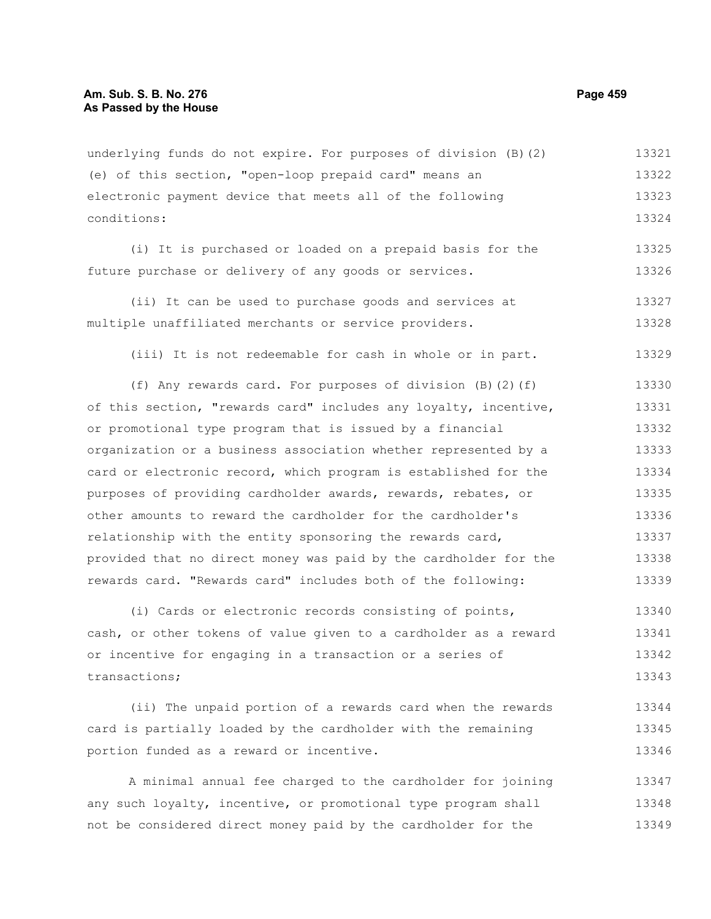underlying funds do not expire. For purposes of division (B)(2) (e) of this section, "open-loop prepaid card" means an electronic payment device that meets all of the following conditions: 13321 13322 13323 13324

(i) It is purchased or loaded on a prepaid basis for the future purchase or delivery of any goods or services. 13325 13326

(ii) It can be used to purchase goods and services at multiple unaffiliated merchants or service providers. 13327 13328

(iii) It is not redeemable for cash in whole or in part. 13329

(f) Any rewards card. For purposes of division (B)(2)(f) of this section, "rewards card" includes any loyalty, incentive, or promotional type program that is issued by a financial organization or a business association whether represented by a card or electronic record, which program is established for the purposes of providing cardholder awards, rewards, rebates, or other amounts to reward the cardholder for the cardholder's relationship with the entity sponsoring the rewards card, provided that no direct money was paid by the cardholder for the rewards card. "Rewards card" includes both of the following: 13330 13331 13332 13333 13334 13335 13336 13337 13338 13339

(i) Cards or electronic records consisting of points, cash, or other tokens of value given to a cardholder as a reward or incentive for engaging in a transaction or a series of transactions; 13340 13341 13342 13343

(ii) The unpaid portion of a rewards card when the rewards card is partially loaded by the cardholder with the remaining portion funded as a reward or incentive. 13344 13345 13346

A minimal annual fee charged to the cardholder for joining any such loyalty, incentive, or promotional type program shall not be considered direct money paid by the cardholder for the 13347 13348 13349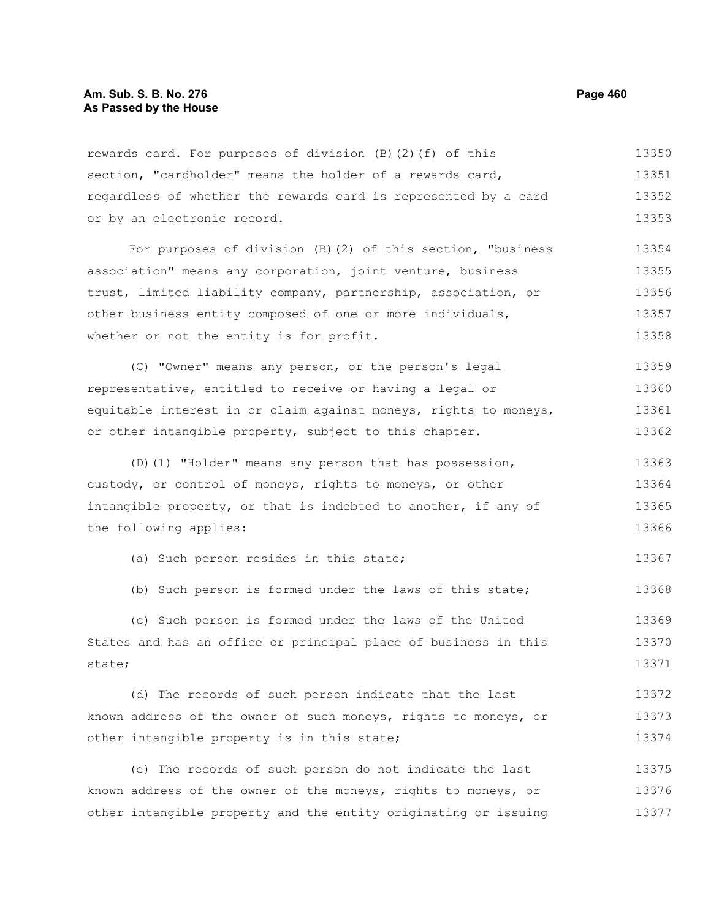rewards card. For purposes of division (B)(2)(f) of this section, "cardholder" means the holder of a rewards card, regardless of whether the rewards card is represented by a card or by an electronic record. 13350 13351 13352 13353

For purposes of division (B)(2) of this section, "business association" means any corporation, joint venture, business trust, limited liability company, partnership, association, or other business entity composed of one or more individuals, whether or not the entity is for profit. 13354 13355 13356 13357 13358

(C) "Owner" means any person, or the person's legal representative, entitled to receive or having a legal or equitable interest in or claim against moneys, rights to moneys, or other intangible property, subject to this chapter. 13359 13360 13361 13362

(D)(1) "Holder" means any person that has possession, custody, or control of moneys, rights to moneys, or other intangible property, or that is indebted to another, if any of the following applies: 13363 13364 13365 13366

(a) Such person resides in this state;

(b) Such person is formed under the laws of this state; 13368

(c) Such person is formed under the laws of the United States and has an office or principal place of business in this state; 13369 13370 13371

(d) The records of such person indicate that the last known address of the owner of such moneys, rights to moneys, or other intangible property is in this state; 13372 13373 13374

(e) The records of such person do not indicate the last known address of the owner of the moneys, rights to moneys, or other intangible property and the entity originating or issuing 13375 13376 13377

13367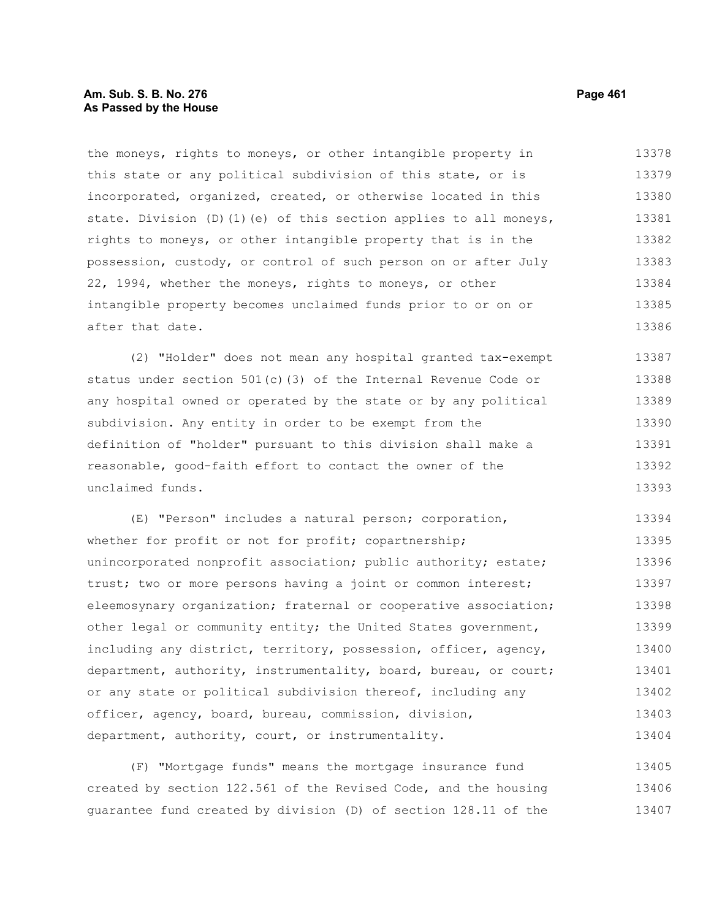# **Am. Sub. S. B. No. 276 Page 461 As Passed by the House**

the moneys, rights to moneys, or other intangible property in this state or any political subdivision of this state, or is incorporated, organized, created, or otherwise located in this state. Division (D)(1)(e) of this section applies to all moneys, rights to moneys, or other intangible property that is in the possession, custody, or control of such person on or after July 22, 1994, whether the moneys, rights to moneys, or other intangible property becomes unclaimed funds prior to or on or after that date. 13378 13379 13380 13381 13382 13383 13384 13385 13386

(2) "Holder" does not mean any hospital granted tax-exempt status under section 501(c)(3) of the Internal Revenue Code or any hospital owned or operated by the state or by any political subdivision. Any entity in order to be exempt from the definition of "holder" pursuant to this division shall make a reasonable, good-faith effort to contact the owner of the unclaimed funds. 13387 13388 13389 13390 13391 13392 13393

(E) "Person" includes a natural person; corporation, whether for profit or not for profit; copartnership; unincorporated nonprofit association; public authority; estate; trust; two or more persons having a joint or common interest; eleemosynary organization; fraternal or cooperative association; other legal or community entity; the United States government, including any district, territory, possession, officer, agency, department, authority, instrumentality, board, bureau, or court; or any state or political subdivision thereof, including any officer, agency, board, bureau, commission, division, department, authority, court, or instrumentality. 13394 13395 13396 13397 13398 13399 13400 13401 13402 13403 13404

(F) "Mortgage funds" means the mortgage insurance fund created by section 122.561 of the Revised Code, and the housing guarantee fund created by division (D) of section 128.11 of the 13405 13406 13407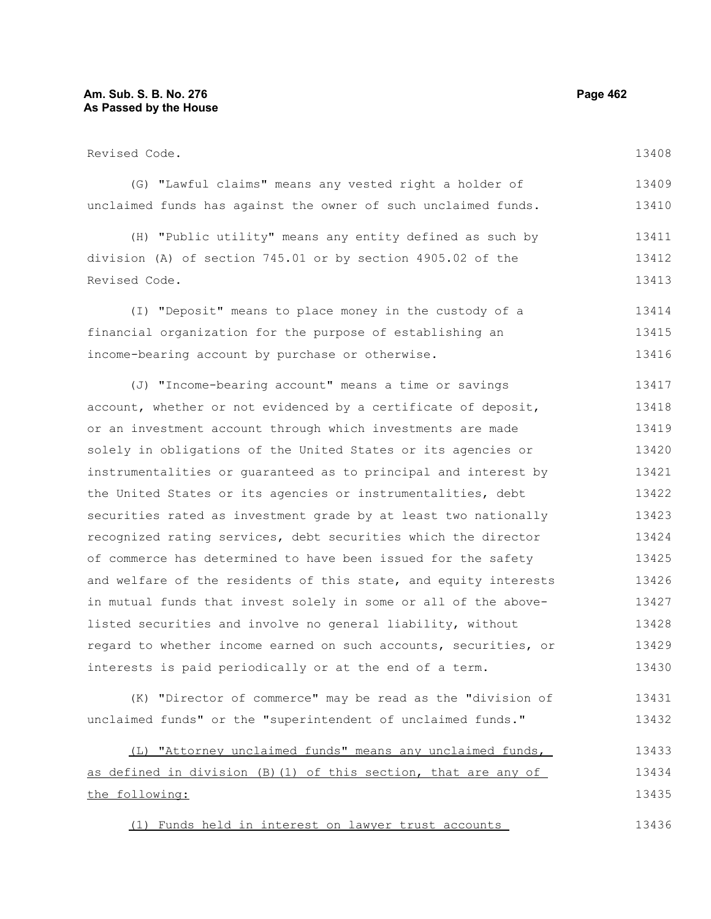# **Am. Sub. S. B. No. 276 Page 462 As Passed by the House**

Revised Code. (G) "Lawful claims" means any vested right a holder of unclaimed funds has against the owner of such unclaimed funds. (H) "Public utility" means any entity defined as such by division (A) of section 745.01 or by section 4905.02 of the Revised Code. (I) "Deposit" means to place money in the custody of a financial organization for the purpose of establishing an income-bearing account by purchase or otherwise. (J) "Income-bearing account" means a time or savings account, whether or not evidenced by a certificate of deposit, or an investment account through which investments are made solely in obligations of the United States or its agencies or instrumentalities or guaranteed as to principal and interest by the United States or its agencies or instrumentalities, debt securities rated as investment grade by at least two nationally recognized rating services, debt securities which the director of commerce has determined to have been issued for the safety and welfare of the residents of this state, and equity interests in mutual funds that invest solely in some or all of the abovelisted securities and involve no general liability, without regard to whether income earned on such accounts, securities, or interests is paid periodically or at the end of a term. (K) "Director of commerce" may be read as the "division of 13408 13409 13410 13411 13412 13413 13414 13415 13416 13417 13418 13419 13420 13421 13422 13423 13424 13425 13426 13427 13428 13429 13430 13431

(L) "Attorney unclaimed funds" means any unclaimed funds, as defined in division (B)(1) of this section, that are any of the following: 13433 13434 13435

unclaimed funds" or the "superintendent of unclaimed funds."

(1) Funds held in interest on lawyer trust accounts 13436

13432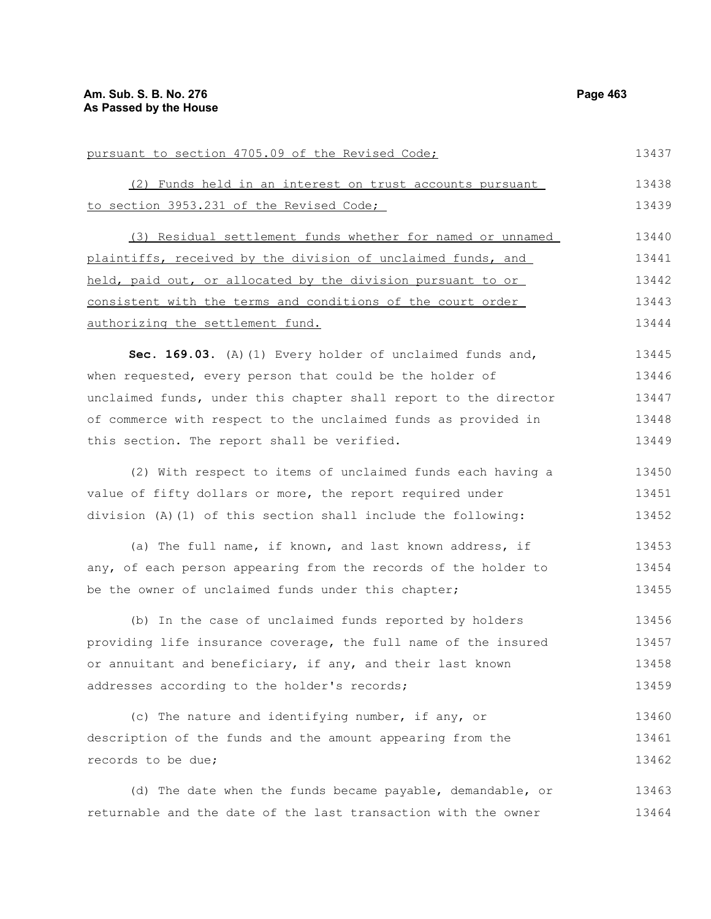pursuant to section 4705.09 of the Revised Code; (2) Funds held in an interest on trust accounts pursuant to section 3953.231 of the Revised Code; (3) Residual settlement funds whether for named or unnamed plaintiffs, received by the division of unclaimed funds, and held, paid out, or allocated by the division pursuant to or consistent with the terms and conditions of the court order authorizing the settlement fund. **Sec. 169.03.** (A)(1) Every holder of unclaimed funds and, when requested, every person that could be the holder of unclaimed funds, under this chapter shall report to the director of commerce with respect to the unclaimed funds as provided in this section. The report shall be verified. (2) With respect to items of unclaimed funds each having a value of fifty dollars or more, the report required under division (A)(1) of this section shall include the following: (a) The full name, if known, and last known address, if any, of each person appearing from the records of the holder to be the owner of unclaimed funds under this chapter; (b) In the case of unclaimed funds reported by holders providing life insurance coverage, the full name of the insured or annuitant and beneficiary, if any, and their last known addresses according to the holder's records; (c) The nature and identifying number, if any, or description of the funds and the amount appearing from the records to be due; 13437 13438 13439 13440 13441 13442 13443 13444 13445 13446 13447 13448 13449 13450 13451 13452 13453 13454 13455 13456 13457 13458 13459 13460 13461 13462

(d) The date when the funds became payable, demandable, or returnable and the date of the last transaction with the owner 13463 13464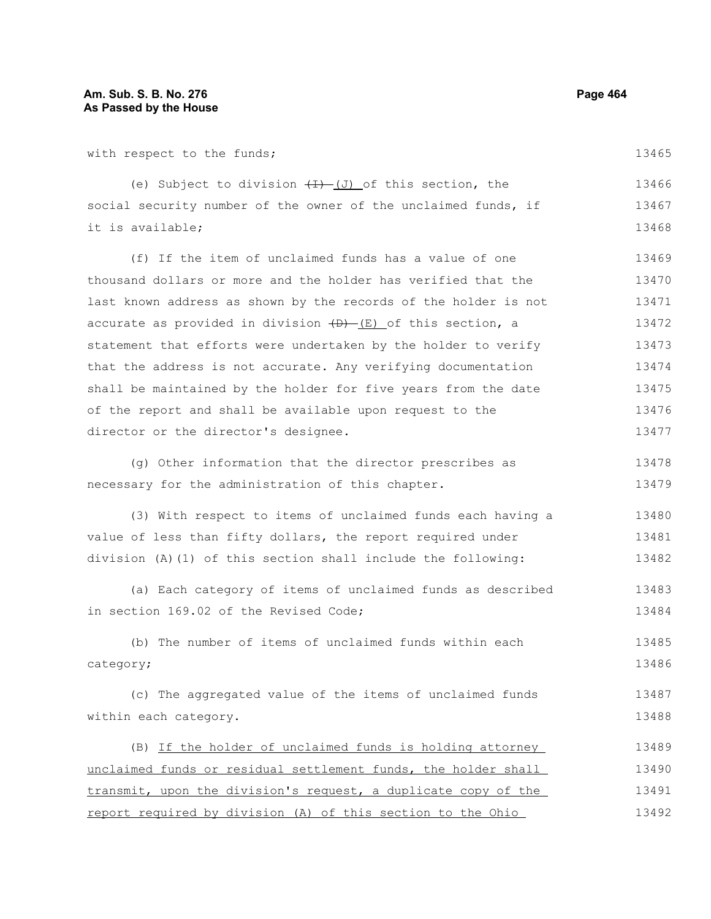| with respect to the funds;                                      | 13465 |
|-----------------------------------------------------------------|-------|
| (e) Subject to division $(H)$ (J) of this section, the          | 13466 |
| social security number of the owner of the unclaimed funds, if  | 13467 |
| it is available;                                                | 13468 |
| (f) If the item of unclaimed funds has a value of one           | 13469 |
| thousand dollars or more and the holder has verified that the   | 13470 |
| last known address as shown by the records of the holder is not | 13471 |
| accurate as provided in division (D) (E) of this section, a     | 13472 |
| statement that efforts were undertaken by the holder to verify  | 13473 |
| that the address is not accurate. Any verifying documentation   | 13474 |
| shall be maintained by the holder for five years from the date  | 13475 |
| of the report and shall be available upon request to the        | 13476 |
| director or the director's designee.                            | 13477 |
| (g) Other information that the director prescribes as           | 13478 |
| necessary for the administration of this chapter.               | 13479 |
| (3) With respect to items of unclaimed funds each having a      | 13480 |
| value of less than fifty dollars, the report required under     | 13481 |
| division (A) (1) of this section shall include the following:   | 13482 |
| (a) Each category of items of unclaimed funds as described      | 13483 |
| in section 169.02 of the Revised Code;                          | 13484 |
| (b) The number of items of unclaimed funds within each          | 13485 |
| category;                                                       | 13486 |
| (c) The aggregated value of the items of unclaimed funds        | 13487 |
| within each category.                                           | 13488 |
| (B) If the holder of unclaimed funds is holding attorney        | 13489 |
| unclaimed funds or residual settlement funds, the holder shall  | 13490 |
| transmit, upon the division's request, a duplicate copy of the  | 13491 |
| report required by division (A) of this section to the Ohio     | 13492 |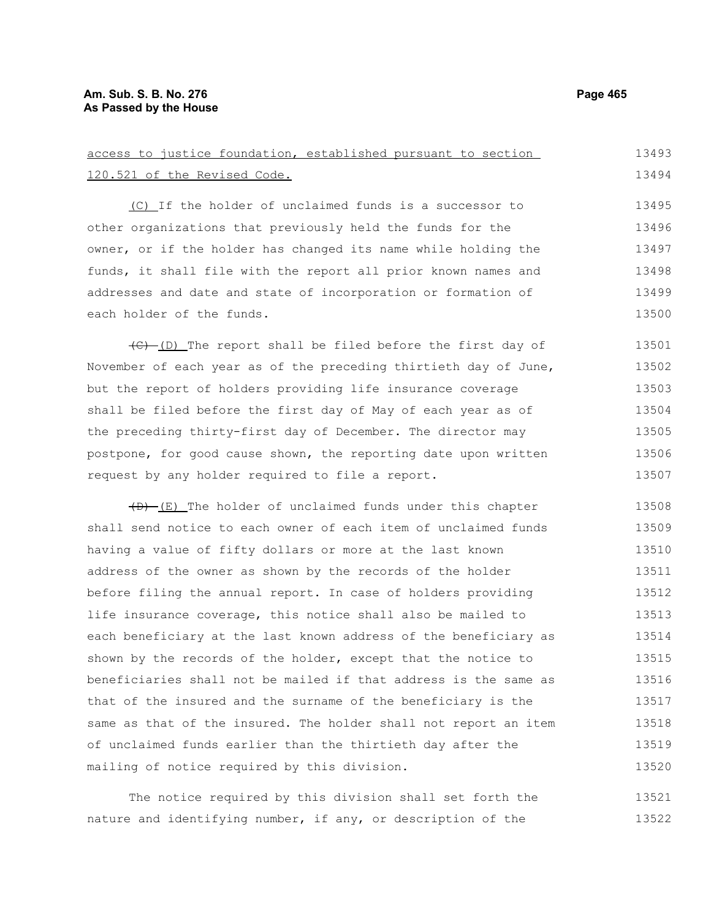# **Am. Sub. S. B. No. 276 Page 465 As Passed by the House**

| access to justice foundation, established pursuant to section    | 13493 |
|------------------------------------------------------------------|-------|
| 120.521 of the Revised Code.                                     | 13494 |
| (C) If the holder of unclaimed funds is a successor to           | 13495 |
| other organizations that previously held the funds for the       | 13496 |
| owner, or if the holder has changed its name while holding the   | 13497 |
| funds, it shall file with the report all prior known names and   | 13498 |
| addresses and date and state of incorporation or formation of    | 13499 |
| each holder of the funds.                                        | 13500 |
| (C)-(D) The report shall be filed before the first day of        | 13501 |
| November of each year as of the preceding thirtieth day of June, | 13502 |
| but the report of holders providing life insurance coverage      | 13503 |
| shall be filed before the first day of May of each year as of    | 13504 |
| the preceding thirty-first day of December. The director may     | 13505 |
| postpone, for good cause shown, the reporting date upon written  | 13506 |
| request by any holder required to file a report.                 | 13507 |
| $(D)$ (E) The holder of unclaimed funds under this chapter       | 13508 |
| shall send notice to each owner of each item of unclaimed funds  | 13509 |
| having a value of fifty dollars or more at the last known        | 13510 |
| address of the owner as shown by the records of the holder       | 13511 |
| before filing the annual report. In case of holders providing    | 13512 |
| life insurance coverage, this notice shall also be mailed to     | 13513 |
| each beneficiary at the last known address of the beneficiary as | 13514 |
| shown by the records of the holder, except that the notice to    | 13515 |
| beneficiaries shall not be mailed if that address is the same as | 13516 |
| that of the insured and the surname of the beneficiary is the    | 13517 |
| same as that of the insured. The holder shall not report an item | 13518 |
| of unclaimed funds earlier than the thirtieth day after the      | 13519 |
| mailing of notice required by this division.                     | 13520 |
| The notice required by this division shall set forth the         | 13521 |

The notice required by this division shall set forth the nature and identifying number, if any, or description of the 13521 13522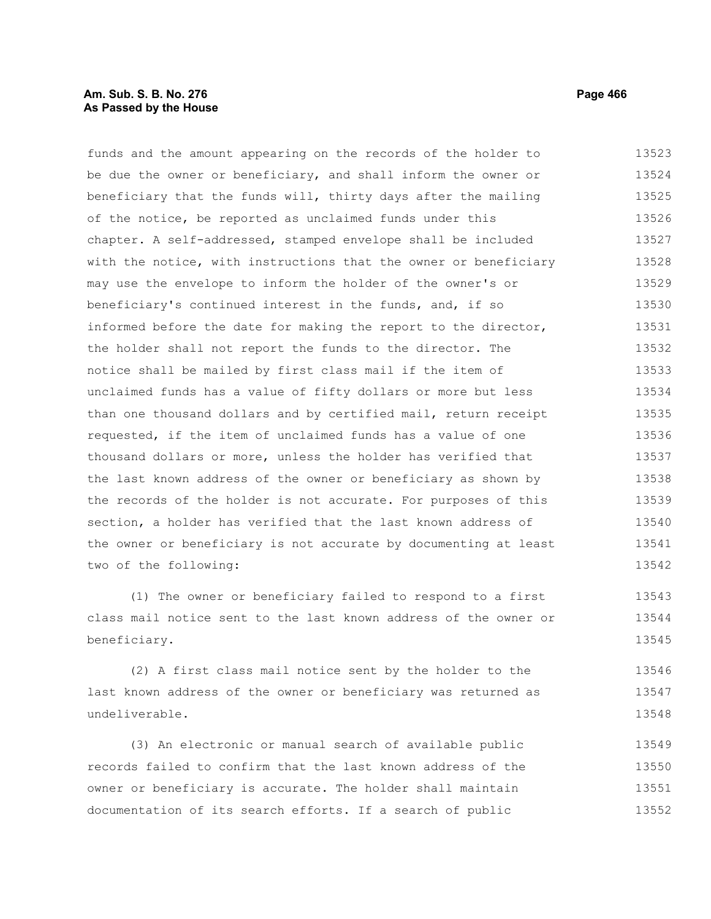# **Am. Sub. S. B. No. 276 Page 466 As Passed by the House**

funds and the amount appearing on the records of the holder to be due the owner or beneficiary, and shall inform the owner or beneficiary that the funds will, thirty days after the mailing of the notice, be reported as unclaimed funds under this chapter. A self-addressed, stamped envelope shall be included with the notice, with instructions that the owner or beneficiary may use the envelope to inform the holder of the owner's or beneficiary's continued interest in the funds, and, if so informed before the date for making the report to the director, the holder shall not report the funds to the director. The notice shall be mailed by first class mail if the item of unclaimed funds has a value of fifty dollars or more but less than one thousand dollars and by certified mail, return receipt requested, if the item of unclaimed funds has a value of one thousand dollars or more, unless the holder has verified that the last known address of the owner or beneficiary as shown by the records of the holder is not accurate. For purposes of this section, a holder has verified that the last known address of the owner or beneficiary is not accurate by documenting at least two of the following: 13523 13524 13525 13526 13527 13528 13529 13530 13531 13532 13533 13534 13535 13536 13537 13538 13539 13540 13541 13542

(1) The owner or beneficiary failed to respond to a first class mail notice sent to the last known address of the owner or beneficiary. 13543 13544 13545

(2) A first class mail notice sent by the holder to the last known address of the owner or beneficiary was returned as undeliverable. 13546 13547 13548

(3) An electronic or manual search of available public records failed to confirm that the last known address of the owner or beneficiary is accurate. The holder shall maintain documentation of its search efforts. If a search of public 13549 13550 13551 13552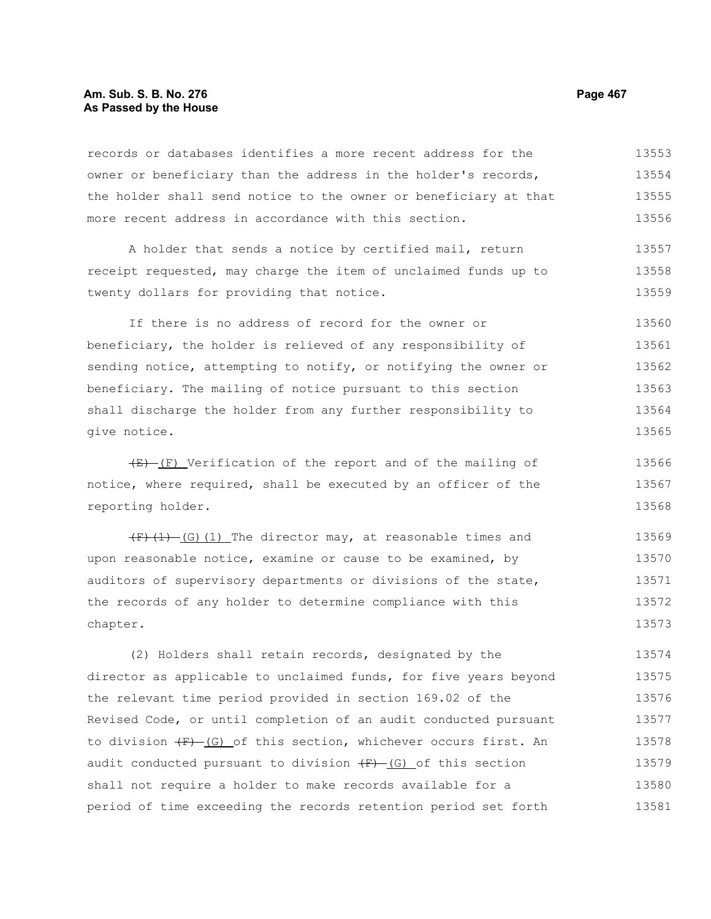# **Am. Sub. S. B. No. 276 Page 467** Page 467 **As Passed by the House**

records or databases identifies a more recent address for the owner or beneficiary than the address in the holder's records, the holder shall send notice to the owner or beneficiary at that more recent address in accordance with this section. 13553 13554 13555 13556

A holder that sends a notice by certified mail, return receipt requested, may charge the item of unclaimed funds up to twenty dollars for providing that notice. 13557 13558 13559

If there is no address of record for the owner or beneficiary, the holder is relieved of any responsibility of sending notice, attempting to notify, or notifying the owner or beneficiary. The mailing of notice pursuant to this section shall discharge the holder from any further responsibility to give notice. 13560 13561 13562 13563 13564 13565

 $(E)$  (F) Verification of the report and of the mailing of notice, where required, shall be executed by an officer of the reporting holder. 13566 13567 13568

 $(F)$  (1) (G)(1) The director may, at reasonable times and upon reasonable notice, examine or cause to be examined, by auditors of supervisory departments or divisions of the state, the records of any holder to determine compliance with this chapter. 13569 13570 13571 13572 13573

(2) Holders shall retain records, designated by the director as applicable to unclaimed funds, for five years beyond the relevant time period provided in section 169.02 of the Revised Code, or until completion of an audit conducted pursuant to division  $(F)$ -(G) of this section, whichever occurs first. An audit conducted pursuant to division  $\overline{F}$  (G) of this section shall not require a holder to make records available for a period of time exceeding the records retention period set forth 13574 13575 13576 13577 13578 13579 13580 13581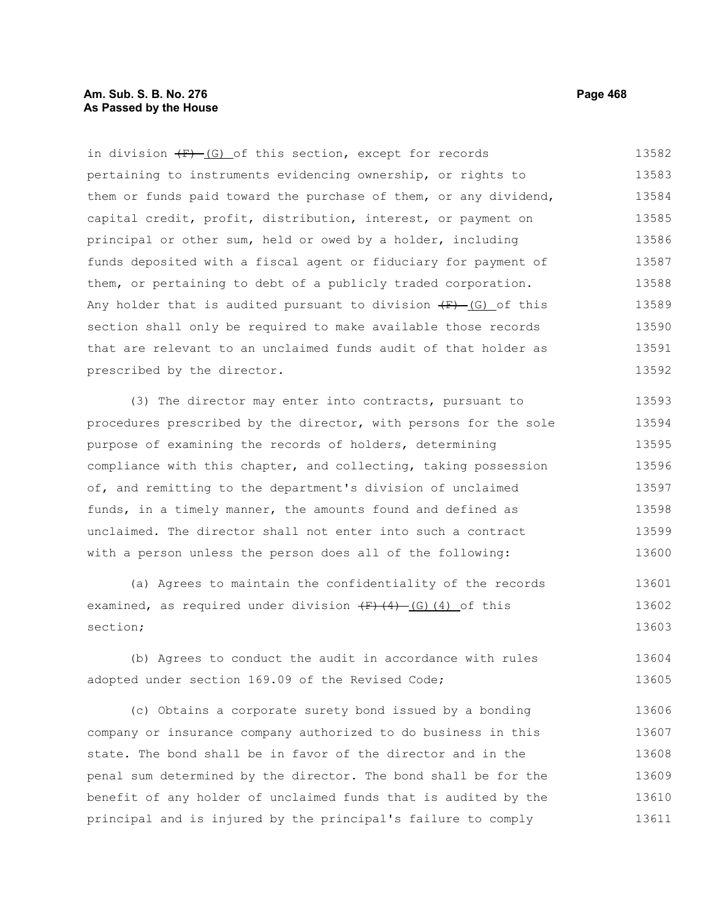# **Am. Sub. S. B. No. 276 Page 468 As Passed by the House**

in division  $(F)$  (G) of this section, except for records pertaining to instruments evidencing ownership, or rights to them or funds paid toward the purchase of them, or any dividend, capital credit, profit, distribution, interest, or payment on principal or other sum, held or owed by a holder, including funds deposited with a fiscal agent or fiduciary for payment of them, or pertaining to debt of a publicly traded corporation. Any holder that is audited pursuant to division  $(F)$  (G) of this section shall only be required to make available those records that are relevant to an unclaimed funds audit of that holder as prescribed by the director. 13582 13583 13584 13585 13586 13587 13588 13589 13590 13591 13592

(3) The director may enter into contracts, pursuant to procedures prescribed by the director, with persons for the sole purpose of examining the records of holders, determining compliance with this chapter, and collecting, taking possession of, and remitting to the department's division of unclaimed funds, in a timely manner, the amounts found and defined as unclaimed. The director shall not enter into such a contract with a person unless the person does all of the following: 13593 13594 13595 13596 13597 13598 13599 13600

(a) Agrees to maintain the confidentiality of the records examined, as required under division  $(F)$  (4) (G)(4) of this section; 13601 13602 13603

(b) Agrees to conduct the audit in accordance with rules adopted under section 169.09 of the Revised Code; 13604 13605

(c) Obtains a corporate surety bond issued by a bonding company or insurance company authorized to do business in this state. The bond shall be in favor of the director and in the penal sum determined by the director. The bond shall be for the benefit of any holder of unclaimed funds that is audited by the principal and is injured by the principal's failure to comply 13606 13607 13608 13609 13610 13611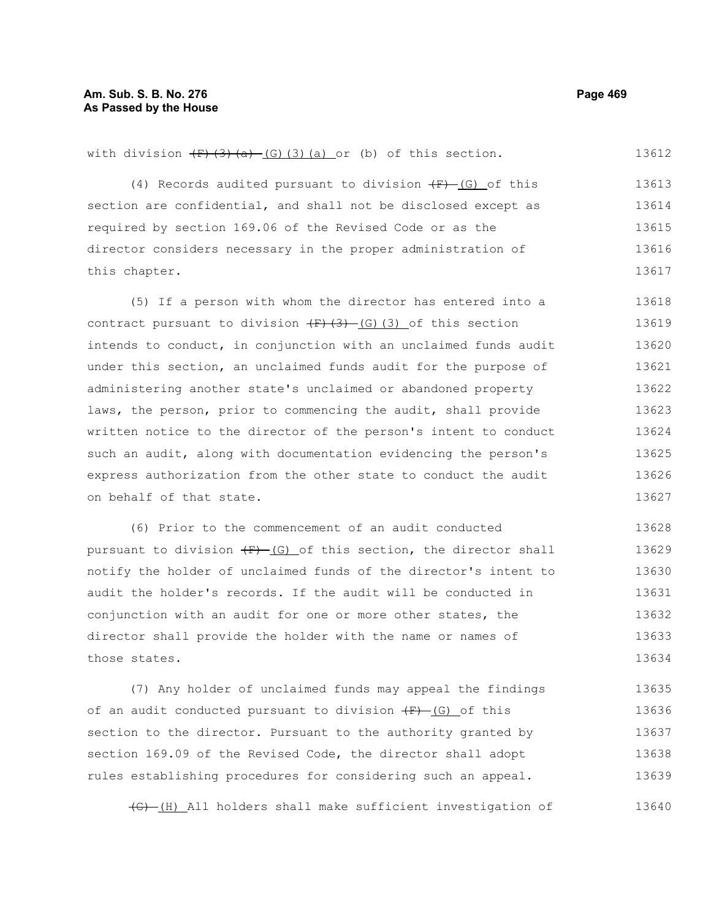13612

#### with division  $\left(\frac{F}{3}\right)\left(\frac{3}{4}\right)$  (G)(3)(a) or (b) of this section.

(4) Records audited pursuant to division  $(F) - (G)$  of this section are confidential, and shall not be disclosed except as required by section 169.06 of the Revised Code or as the director considers necessary in the proper administration of this chapter. 13613 13614 13615 13616 13617

(5) If a person with whom the director has entered into a contract pursuant to division  $\left(\frac{F}{G}\right)\left(\frac{G}{G}\right)$  of this section intends to conduct, in conjunction with an unclaimed funds audit under this section, an unclaimed funds audit for the purpose of administering another state's unclaimed or abandoned property laws, the person, prior to commencing the audit, shall provide written notice to the director of the person's intent to conduct such an audit, along with documentation evidencing the person's express authorization from the other state to conduct the audit on behalf of that state. 13618 13619 13620 13621 13622 13623 13624 13625 13626 13627

(6) Prior to the commencement of an audit conducted pursuant to division  $\overline{F}$  (G) of this section, the director shall notify the holder of unclaimed funds of the director's intent to audit the holder's records. If the audit will be conducted in conjunction with an audit for one or more other states, the director shall provide the holder with the name or names of those states. 13628 13629 13630 13631 13632 13633 13634

(7) Any holder of unclaimed funds may appeal the findings of an audit conducted pursuant to division  $(F)$  (G) of this section to the director. Pursuant to the authority granted by section 169.09 of the Revised Code, the director shall adopt rules establishing procedures for considering such an appeal. 13635 13636 13637 13638 13639

(G) (H) All holders shall make sufficient investigation of 13640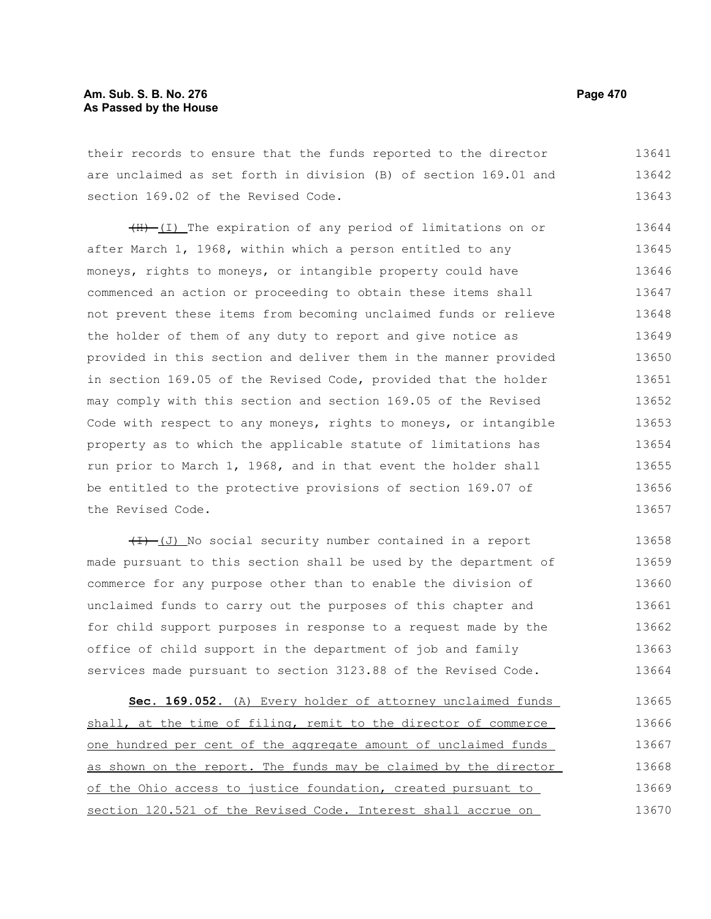# **Am. Sub. S. B. No. 276 Page 470 As Passed by the House**

their records to ensure that the funds reported to the director are unclaimed as set forth in division (B) of section 169.01 and section 169.02 of the Revised Code. 13641 13642 13643

(H) (I) The expiration of any period of limitations on or after March 1, 1968, within which a person entitled to any moneys, rights to moneys, or intangible property could have commenced an action or proceeding to obtain these items shall not prevent these items from becoming unclaimed funds or relieve the holder of them of any duty to report and give notice as provided in this section and deliver them in the manner provided in section 169.05 of the Revised Code, provided that the holder may comply with this section and section 169.05 of the Revised Code with respect to any moneys, rights to moneys, or intangible property as to which the applicable statute of limitations has run prior to March 1, 1968, and in that event the holder shall be entitled to the protective provisions of section 169.07 of the Revised Code. 13644 13645 13646 13647 13648 13649 13650 13651 13652 13653 13654 13655 13656 13657

 $(H)$  (J) No social security number contained in a report made pursuant to this section shall be used by the department of commerce for any purpose other than to enable the division of unclaimed funds to carry out the purposes of this chapter and for child support purposes in response to a request made by the office of child support in the department of job and family services made pursuant to section 3123.88 of the Revised Code. 13658 13659 13660 13661 13662 13663 13664

 **Sec. 169.052.** (A) Every holder of attorney unclaimed funds shall, at the time of filing, remit to the director of commerce one hundred per cent of the aggregate amount of unclaimed funds as shown on the report. The funds may be claimed by the director of the Ohio access to justice foundation, created pursuant to section 120.521 of the Revised Code. Interest shall accrue on 13665 13666 13667 13668 13669 13670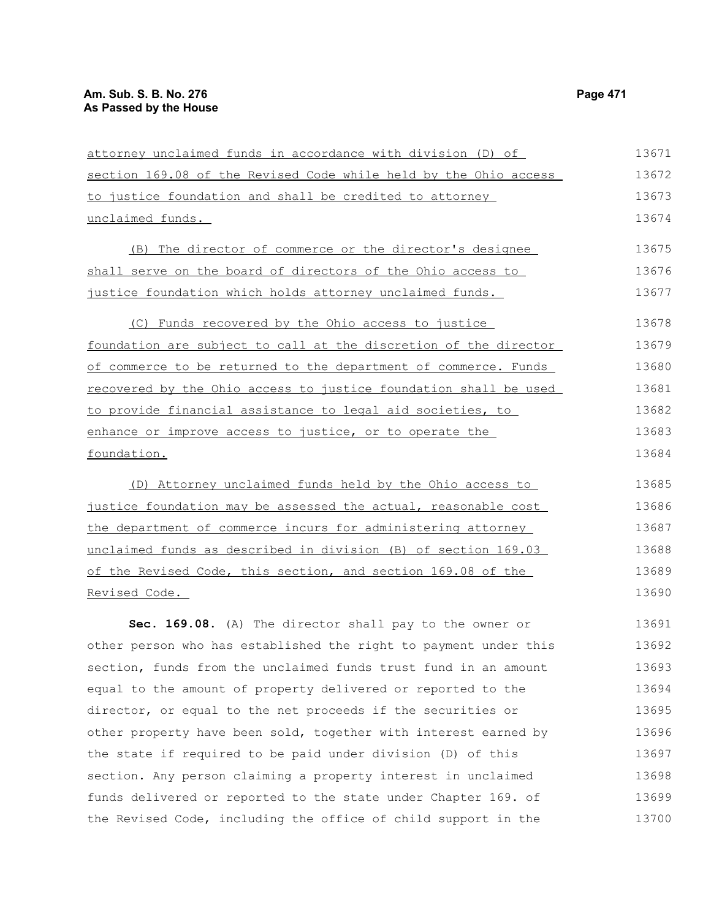attorney unclaimed funds in accordance with division (D) of section 169.08 of the Revised Code while held by the Ohio access to justice foundation and shall be credited to attorney unclaimed funds. (B) The director of commerce or the director's designee shall serve on the board of directors of the Ohio access to justice foundation which holds attorney unclaimed funds. (C) Funds recovered by the Ohio access to justice foundation are subject to call at the discretion of the director 13671 13672 13673 13674 13675 13676 13677 13678 13679

of commerce to be returned to the department of commerce. Funds recovered by the Ohio access to justice foundation shall be used to provide financial assistance to legal aid societies, to enhance or improve access to justice, or to operate the foundation. 13680 13681 13682 13683 13684

(D) Attorney unclaimed funds held by the Ohio access to justice foundation may be assessed the actual, reasonable cost the department of commerce incurs for administering attorney unclaimed funds as described in division (B) of section 169.03 of the Revised Code, this section, and section 169.08 of the Revised Code. 13685 13686 13687 13688 13689 13690

**Sec. 169.08.** (A) The director shall pay to the owner or other person who has established the right to payment under this section, funds from the unclaimed funds trust fund in an amount equal to the amount of property delivered or reported to the director, or equal to the net proceeds if the securities or other property have been sold, together with interest earned by the state if required to be paid under division (D) of this section. Any person claiming a property interest in unclaimed funds delivered or reported to the state under Chapter 169. of the Revised Code, including the office of child support in the 13691 13692 13693 13694 13695 13696 13697 13698 13699 13700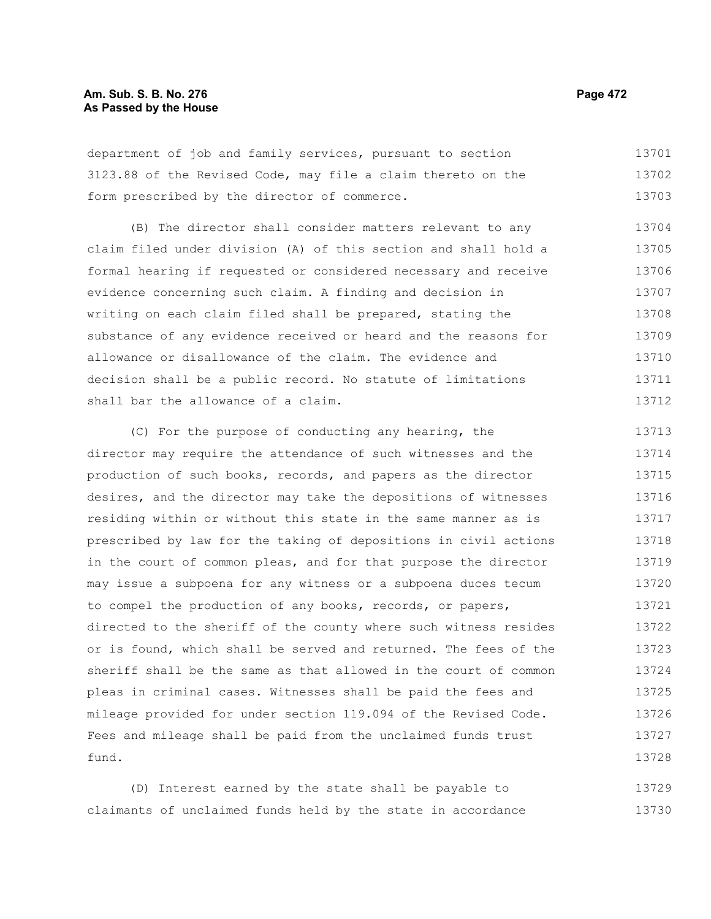# **Am. Sub. S. B. No. 276 Page 472** Page 472 **As Passed by the House**

department of job and family services, pursuant to section 3123.88 of the Revised Code, may file a claim thereto on the form prescribed by the director of commerce. 13701 13702 13703

(B) The director shall consider matters relevant to any claim filed under division (A) of this section and shall hold a formal hearing if requested or considered necessary and receive evidence concerning such claim. A finding and decision in writing on each claim filed shall be prepared, stating the substance of any evidence received or heard and the reasons for allowance or disallowance of the claim. The evidence and decision shall be a public record. No statute of limitations shall bar the allowance of a claim. 13704 13705 13706 13707 13708 13709 13710 13711 13712

(C) For the purpose of conducting any hearing, the director may require the attendance of such witnesses and the production of such books, records, and papers as the director desires, and the director may take the depositions of witnesses residing within or without this state in the same manner as is prescribed by law for the taking of depositions in civil actions in the court of common pleas, and for that purpose the director may issue a subpoena for any witness or a subpoena duces tecum to compel the production of any books, records, or papers, directed to the sheriff of the county where such witness resides or is found, which shall be served and returned. The fees of the sheriff shall be the same as that allowed in the court of common pleas in criminal cases. Witnesses shall be paid the fees and mileage provided for under section 119.094 of the Revised Code. Fees and mileage shall be paid from the unclaimed funds trust fund. 13713 13714 13715 13716 13717 13718 13719 13720 13721 13722 13723 13724 13725 13726 13727 13728

(D) Interest earned by the state shall be payable to claimants of unclaimed funds held by the state in accordance 13729 13730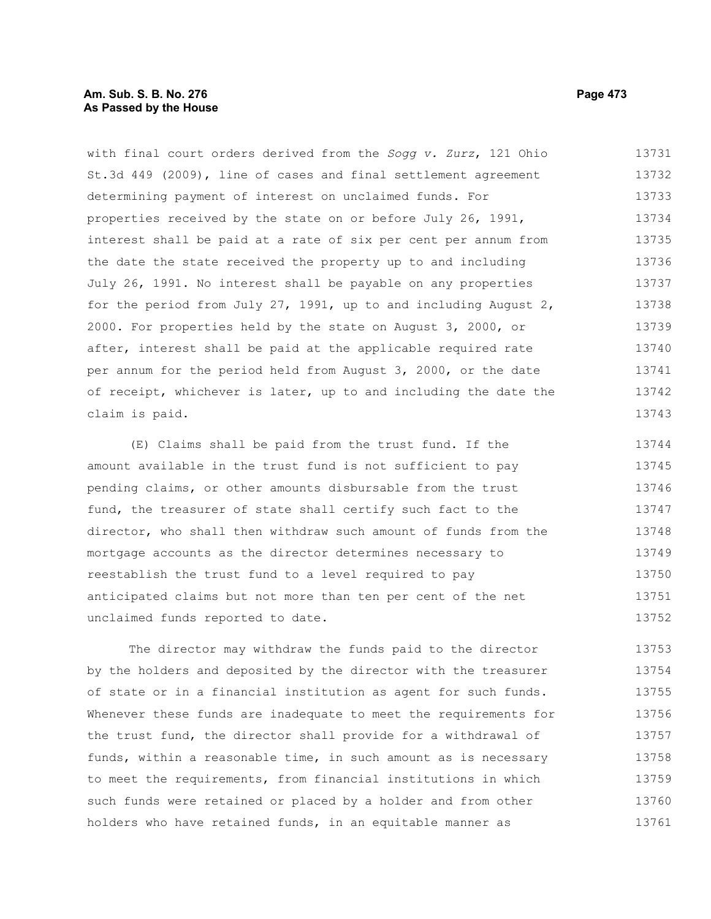# **Am. Sub. S. B. No. 276 Page 473 As Passed by the House**

with final court orders derived from the *Sogg v. Zurz*, 121 Ohio St.3d 449 (2009), line of cases and final settlement agreement determining payment of interest on unclaimed funds. For properties received by the state on or before July 26, 1991, interest shall be paid at a rate of six per cent per annum from the date the state received the property up to and including July 26, 1991. No interest shall be payable on any properties for the period from July 27, 1991, up to and including August 2, 2000. For properties held by the state on August 3, 2000, or after, interest shall be paid at the applicable required rate per annum for the period held from August 3, 2000, or the date of receipt, whichever is later, up to and including the date the claim is paid. 13731 13732 13733 13734 13735 13736 13737 13738 13739 13740 13741 13742 13743

(E) Claims shall be paid from the trust fund. If the amount available in the trust fund is not sufficient to pay pending claims, or other amounts disbursable from the trust fund, the treasurer of state shall certify such fact to the director, who shall then withdraw such amount of funds from the mortgage accounts as the director determines necessary to reestablish the trust fund to a level required to pay anticipated claims but not more than ten per cent of the net unclaimed funds reported to date. 13744 13745 13746 13747 13748 13749 13750 13751 13752

The director may withdraw the funds paid to the director by the holders and deposited by the director with the treasurer of state or in a financial institution as agent for such funds. Whenever these funds are inadequate to meet the requirements for the trust fund, the director shall provide for a withdrawal of funds, within a reasonable time, in such amount as is necessary to meet the requirements, from financial institutions in which such funds were retained or placed by a holder and from other holders who have retained funds, in an equitable manner as 13753 13754 13755 13756 13757 13758 13759 13760 13761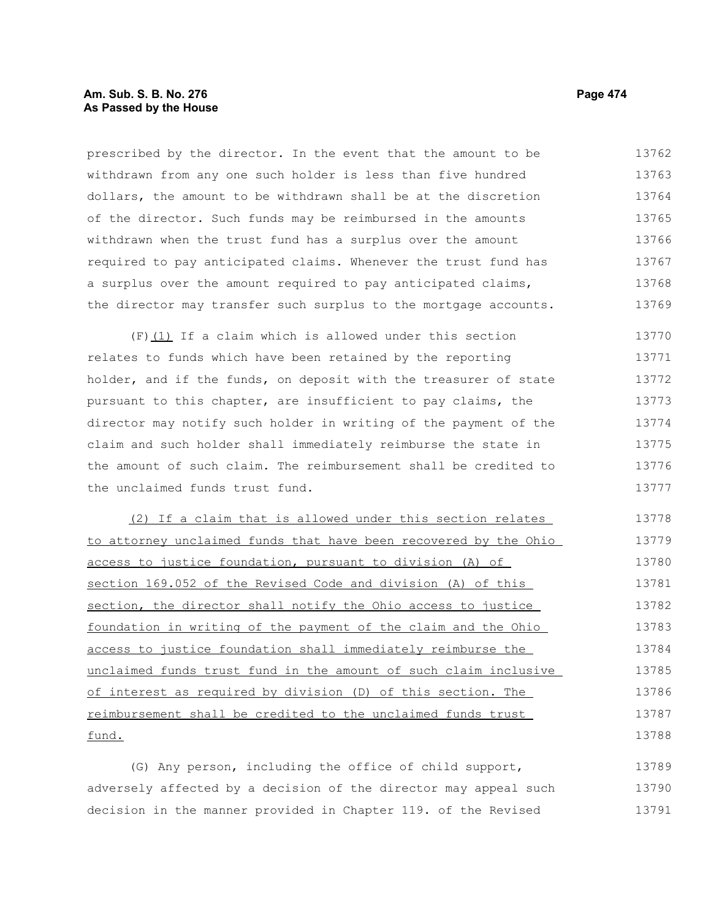# **Am. Sub. S. B. No. 276 Page 474** Page 474 **As Passed by the House**

prescribed by the director. In the event that the amount to be withdrawn from any one such holder is less than five hundred dollars, the amount to be withdrawn shall be at the discretion of the director. Such funds may be reimbursed in the amounts withdrawn when the trust fund has a surplus over the amount required to pay anticipated claims. Whenever the trust fund has a surplus over the amount required to pay anticipated claims, the director may transfer such surplus to the mortgage accounts. 13762 13763 13764 13765 13766 13767 13768 13769

 $(F)$  (1) If a claim which is allowed under this section relates to funds which have been retained by the reporting holder, and if the funds, on deposit with the treasurer of state pursuant to this chapter, are insufficient to pay claims, the director may notify such holder in writing of the payment of the claim and such holder shall immediately reimburse the state in the amount of such claim. The reimbursement shall be credited to the unclaimed funds trust fund. 13770 13771 13772 13773 13774 13775 13776 13777

(2) If a claim that is allowed under this section relates to attorney unclaimed funds that have been recovered by the Ohio access to justice foundation, pursuant to division (A) of section 169.052 of the Revised Code and division (A) of this section, the director shall notify the Ohio access to justice foundation in writing of the payment of the claim and the Ohio access to justice foundation shall immediately reimburse the unclaimed funds trust fund in the amount of such claim inclusive of interest as required by division (D) of this section. The reimbursement shall be credited to the unclaimed funds trust fund. 13778 13779 13780 13781 13782 13783 13784 13785 13786 13787 13788

(G) Any person, including the office of child support, adversely affected by a decision of the director may appeal such decision in the manner provided in Chapter 119. of the Revised 13789 13790 13791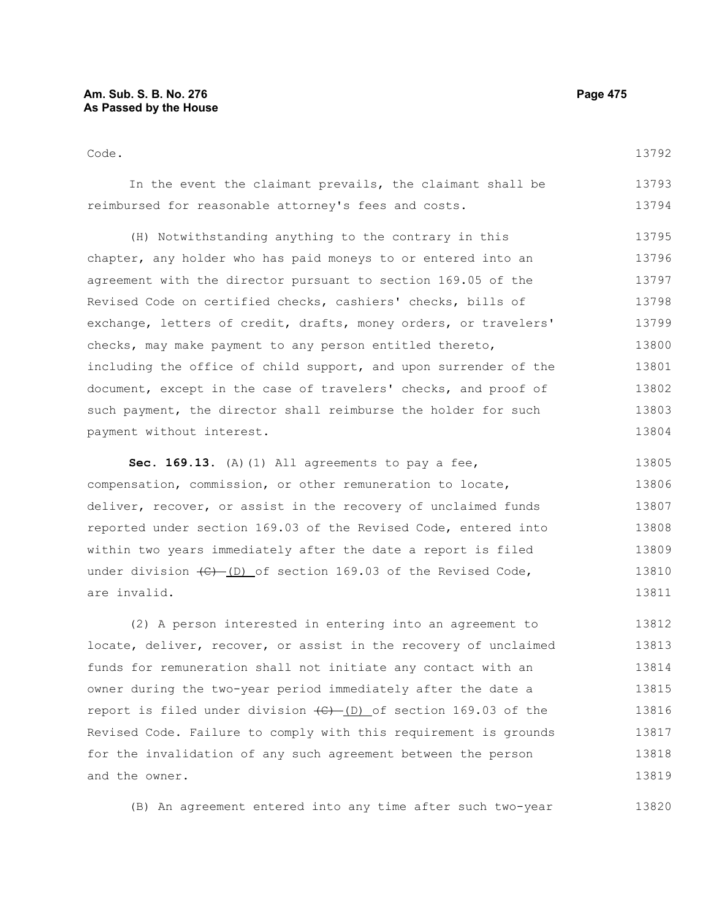| Code.                                                            | 13792 |
|------------------------------------------------------------------|-------|
| In the event the claimant prevails, the claimant shall be        | 13793 |
| reimbursed for reasonable attorney's fees and costs.             | 13794 |
| (H) Notwithstanding anything to the contrary in this             | 13795 |
| chapter, any holder who has paid moneys to or entered into an    | 13796 |
| agreement with the director pursuant to section 169.05 of the    | 13797 |
| Revised Code on certified checks, cashiers' checks, bills of     | 13798 |
| exchange, letters of credit, drafts, money orders, or travelers' | 13799 |
| checks, may make payment to any person entitled thereto,         | 13800 |
| including the office of child support, and upon surrender of the | 13801 |
| document, except in the case of travelers' checks, and proof of  | 13802 |
| such payment, the director shall reimburse the holder for such   | 13803 |
| payment without interest.                                        | 13804 |
|                                                                  |       |

Sec. 169.13. (A)(1) All agreements to pay a fee, compensation, commission, or other remuneration to locate, deliver, recover, or assist in the recovery of unclaimed funds reported under section 169.03 of the Revised Code, entered into within two years immediately after the date a report is filed under division  $\left(\frac{C}{C}\right)$  (D) of section 169.03 of the Revised Code, are invalid. 13805 13806 13807 13808 13809 13810 13811

(2) A person interested in entering into an agreement to locate, deliver, recover, or assist in the recovery of unclaimed funds for remuneration shall not initiate any contact with an owner during the two-year period immediately after the date a report is filed under division  $(\theta)$  (D) of section 169.03 of the Revised Code. Failure to comply with this requirement is grounds for the invalidation of any such agreement between the person and the owner. 13812 13813 13814 13815 13816 13817 13818 13819

(B) An agreement entered into any time after such two-year 13820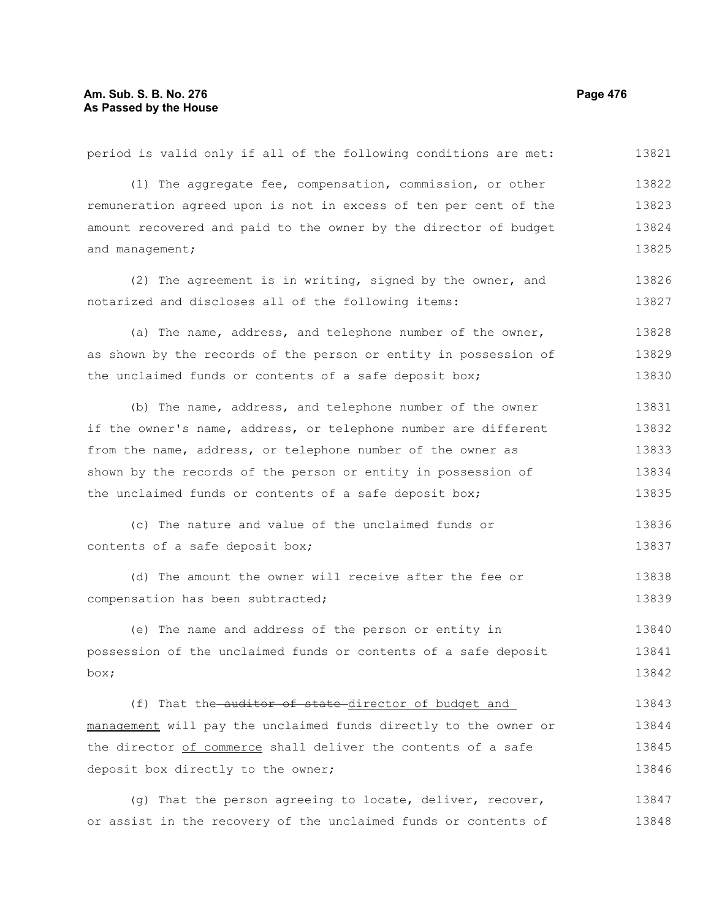# **Am. Sub. S. B. No. 276 Page 476** Page 476 **As Passed by the House**

period is valid only if all of the following conditions are met: (1) The aggregate fee, compensation, commission, or other remuneration agreed upon is not in excess of ten per cent of the amount recovered and paid to the owner by the director of budget and management; (2) The agreement is in writing, signed by the owner, and notarized and discloses all of the following items: (a) The name, address, and telephone number of the owner, as shown by the records of the person or entity in possession of the unclaimed funds or contents of a safe deposit box; (b) The name, address, and telephone number of the owner if the owner's name, address, or telephone number are different from the name, address, or telephone number of the owner as shown by the records of the person or entity in possession of the unclaimed funds or contents of a safe deposit box; (c) The nature and value of the unclaimed funds or contents of a safe deposit box; (d) The amount the owner will receive after the fee or compensation has been subtracted; (e) The name and address of the person or entity in possession of the unclaimed funds or contents of a safe deposit box; (f) That the auditor of state director of budget and management will pay the unclaimed funds directly to the owner or the director of commerce shall deliver the contents of a safe deposit box directly to the owner; (g) That the person agreeing to locate, deliver, recover, or assist in the recovery of the unclaimed funds or contents of 13821 13822 13823 13824 13825 13826 13827 13828 13829 13830 13831 13832 13833 13834 13835 13836 13837 13838 13839 13840 13841 13842 13843 13844 13845 13846 13847 13848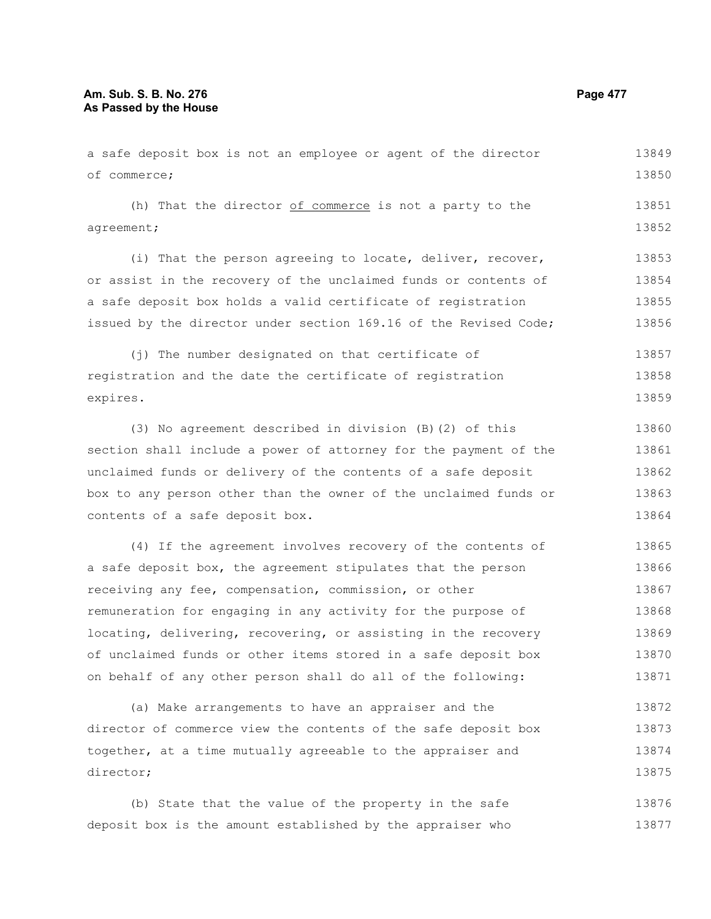### **Am. Sub. S. B. No. 276 Page 477** Page 477 **As Passed by the House**

a safe deposit box is not an employee or agent of the director of commerce; (h) That the director of commerce is not a party to the agreement; (i) That the person agreeing to locate, deliver, recover, or assist in the recovery of the unclaimed funds or contents of a safe deposit box holds a valid certificate of registration issued by the director under section 169.16 of the Revised Code; (j) The number designated on that certificate of registration and the date the certificate of registration expires. (3) No agreement described in division (B)(2) of this section shall include a power of attorney for the payment of the unclaimed funds or delivery of the contents of a safe deposit 13850 13851 13852 13853 13854 13855 13856 13857 13858 13859 13860 13861 13862

box to any person other than the owner of the unclaimed funds or contents of a safe deposit box. 13863 13864

(4) If the agreement involves recovery of the contents of a safe deposit box, the agreement stipulates that the person receiving any fee, compensation, commission, or other remuneration for engaging in any activity for the purpose of locating, delivering, recovering, or assisting in the recovery of unclaimed funds or other items stored in a safe deposit box on behalf of any other person shall do all of the following: 13865 13866 13867 13868 13869 13870 13871

(a) Make arrangements to have an appraiser and the director of commerce view the contents of the safe deposit box together, at a time mutually agreeable to the appraiser and director; 13872 13873 13874 13875

(b) State that the value of the property in the safe deposit box is the amount established by the appraiser who 13876 13877

13849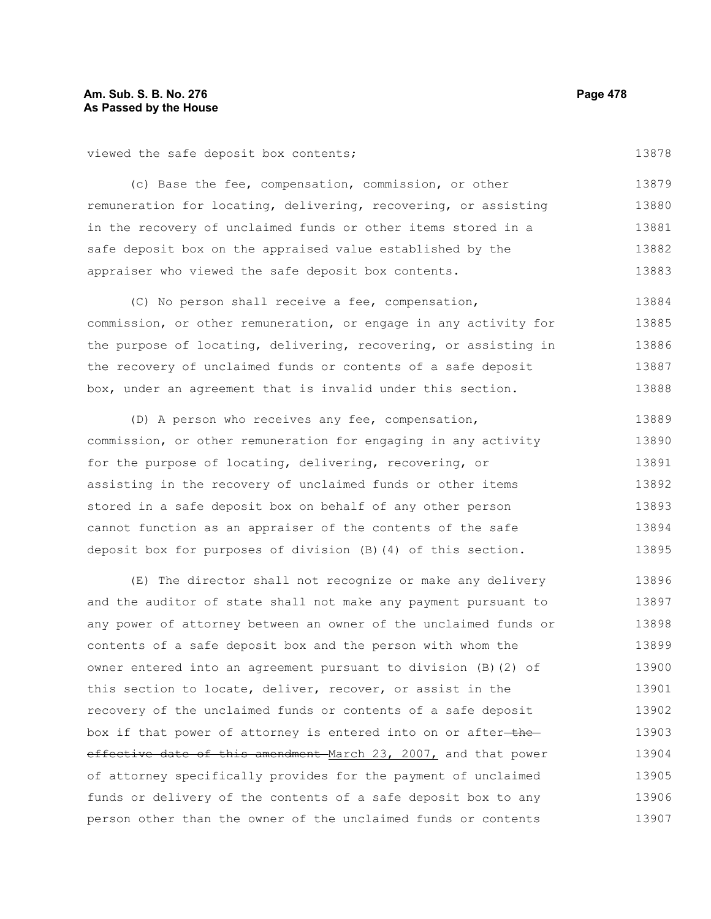viewed the safe deposit box contents;

13878

(c) Base the fee, compensation, commission, or other remuneration for locating, delivering, recovering, or assisting in the recovery of unclaimed funds or other items stored in a safe deposit box on the appraised value established by the appraiser who viewed the safe deposit box contents. 13879 13880 13881 13882 13883

(C) No person shall receive a fee, compensation, commission, or other remuneration, or engage in any activity for the purpose of locating, delivering, recovering, or assisting in the recovery of unclaimed funds or contents of a safe deposit box, under an agreement that is invalid under this section. 13884 13885 13886 13887 13888

(D) A person who receives any fee, compensation, commission, or other remuneration for engaging in any activity for the purpose of locating, delivering, recovering, or assisting in the recovery of unclaimed funds or other items stored in a safe deposit box on behalf of any other person cannot function as an appraiser of the contents of the safe deposit box for purposes of division (B)(4) of this section. 13889 13890 13891 13892 13893 13894 13895

(E) The director shall not recognize or make any delivery and the auditor of state shall not make any payment pursuant to any power of attorney between an owner of the unclaimed funds or contents of a safe deposit box and the person with whom the owner entered into an agreement pursuant to division (B)(2) of this section to locate, deliver, recover, or assist in the recovery of the unclaimed funds or contents of a safe deposit box if that power of attorney is entered into on or after-theeffective date of this amendment March 23, 2007, and that power of attorney specifically provides for the payment of unclaimed funds or delivery of the contents of a safe deposit box to any person other than the owner of the unclaimed funds or contents 13896 13897 13898 13899 13900 13901 13902 13903 13904 13905 13906 13907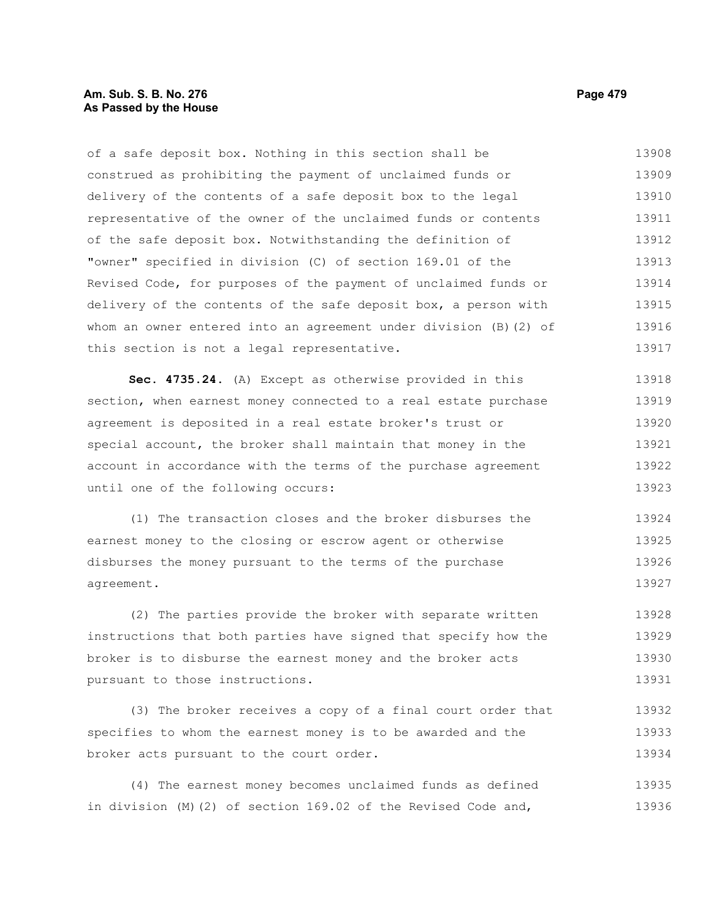## **Am. Sub. S. B. No. 276 Page 479** Page 479 **As Passed by the House**

of a safe deposit box. Nothing in this section shall be construed as prohibiting the payment of unclaimed funds or delivery of the contents of a safe deposit box to the legal representative of the owner of the unclaimed funds or contents of the safe deposit box. Notwithstanding the definition of "owner" specified in division (C) of section 169.01 of the Revised Code, for purposes of the payment of unclaimed funds or delivery of the contents of the safe deposit box, a person with whom an owner entered into an agreement under division (B)(2) of this section is not a legal representative. 13908 13909 13910 13911 13912 13913 13914 13915 13916 13917

**Sec. 4735.24.** (A) Except as otherwise provided in this section, when earnest money connected to a real estate purchase agreement is deposited in a real estate broker's trust or special account, the broker shall maintain that money in the account in accordance with the terms of the purchase agreement until one of the following occurs: 13918 13919 13920 13921 13922 13923

(1) The transaction closes and the broker disburses the earnest money to the closing or escrow agent or otherwise disburses the money pursuant to the terms of the purchase agreement. 13924 13925 13926 13927

(2) The parties provide the broker with separate written instructions that both parties have signed that specify how the broker is to disburse the earnest money and the broker acts pursuant to those instructions. 13928 13929 13930 13931

(3) The broker receives a copy of a final court order that specifies to whom the earnest money is to be awarded and the broker acts pursuant to the court order. 13932 13933 13934

(4) The earnest money becomes unclaimed funds as defined in division (M)(2) of section 169.02 of the Revised Code and, 13935 13936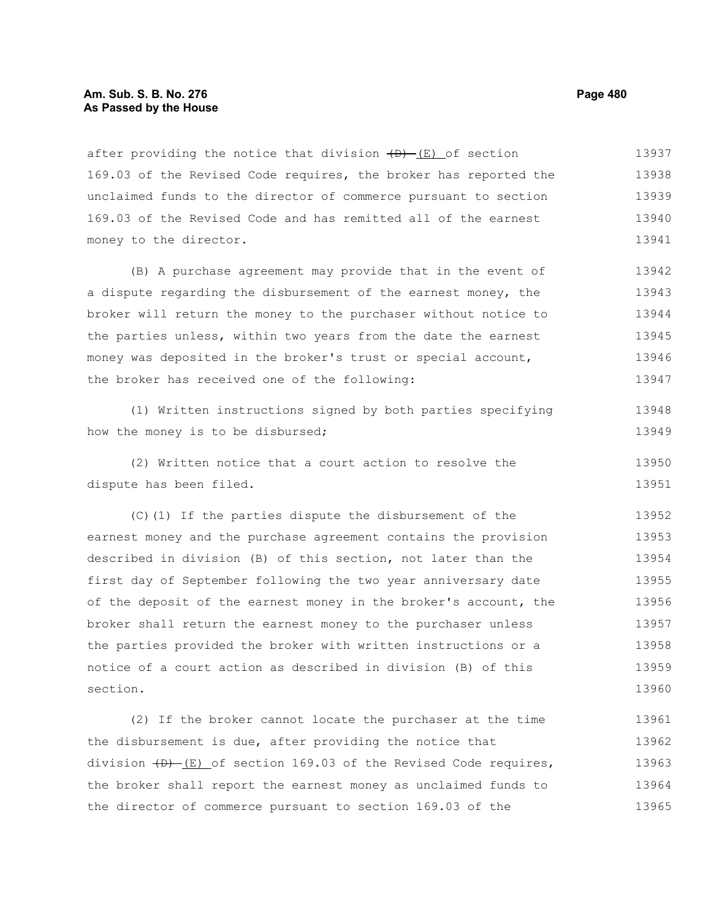#### **Am. Sub. S. B. No. 276 Page 480 As Passed by the House**

after providing the notice that division  $(D) - (E)$  of section 169.03 of the Revised Code requires, the broker has reported the unclaimed funds to the director of commerce pursuant to section 169.03 of the Revised Code and has remitted all of the earnest money to the director. 13937 13938 13939 13940 13941

(B) A purchase agreement may provide that in the event of a dispute regarding the disbursement of the earnest money, the broker will return the money to the purchaser without notice to the parties unless, within two years from the date the earnest money was deposited in the broker's trust or special account, the broker has received one of the following: 13942 13943 13944 13945 13946 13947

(1) Written instructions signed by both parties specifying how the money is to be disbursed; 13948 13949

(2) Written notice that a court action to resolve the dispute has been filed. 13950 13951

(C)(1) If the parties dispute the disbursement of the earnest money and the purchase agreement contains the provision described in division (B) of this section, not later than the first day of September following the two year anniversary date of the deposit of the earnest money in the broker's account, the broker shall return the earnest money to the purchaser unless the parties provided the broker with written instructions or a notice of a court action as described in division (B) of this section. 13952 13953 13954 13955 13956 13957 13958 13959 13960

(2) If the broker cannot locate the purchaser at the time the disbursement is due, after providing the notice that division  $(D)$  (E) of section 169.03 of the Revised Code requires, the broker shall report the earnest money as unclaimed funds to the director of commerce pursuant to section 169.03 of the 13961 13962 13963 13964 13965